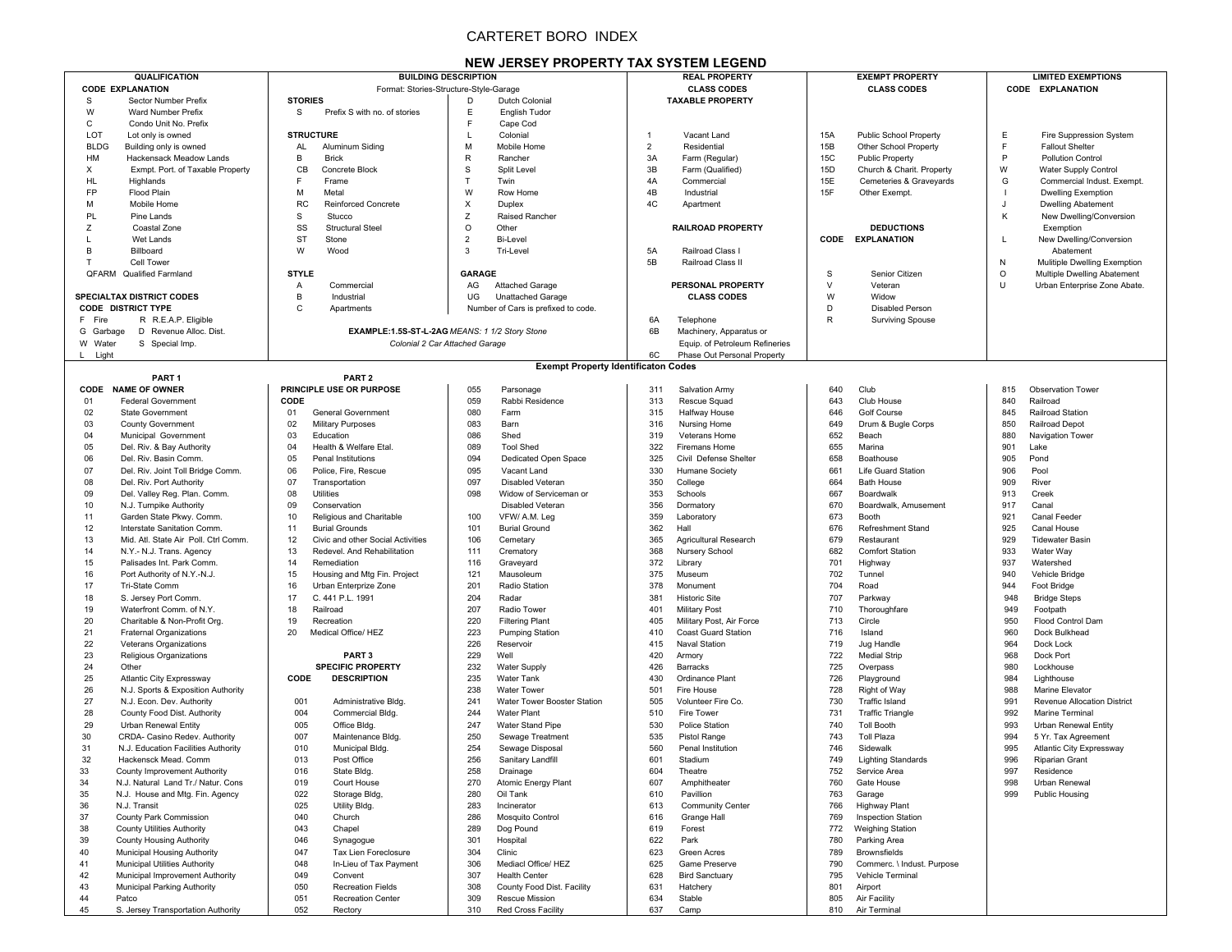# CARTERET BORO INDEX

## **NEW JERSEY PROPERTY TAX SYSTEM LEGEND**

| QUALIFICATION                       | <b>BUILDING DESCRIPTION</b>        |                                                | <b>REAL PROPERTY</b>              | <b>EXEMPT PROPERTY</b>                  | <b>LIMITED EXEMPTIONS</b>          |
|-------------------------------------|------------------------------------|------------------------------------------------|-----------------------------------|-----------------------------------------|------------------------------------|
|                                     |                                    |                                                |                                   |                                         |                                    |
| <b>CODE EXPLANATION</b>             |                                    | Format: Stories-Structure-Style-Garage         | <b>CLASS CODES</b>                | <b>CLASS CODES</b>                      | CODE EXPLANATION                   |
| S<br>Sector Number Prefix           | <b>STORIES</b>                     | Dutch Colonial<br>D                            | <b>TAXABLE PROPERTY</b>           |                                         |                                    |
| W<br><b>Ward Number Prefix</b>      | Prefix S with no. of stories<br>S. | Е<br>English Tudor                             |                                   |                                         |                                    |
| C<br>Condo Unit No. Prefix          |                                    | E<br>Cape Cod                                  |                                   |                                         |                                    |
| LOT                                 | <b>STRUCTURE</b>                   | L.                                             | Vacant Land                       | 15A                                     | Ε                                  |
| Lot only is owned                   |                                    | Colonial                                       | $\overline{1}$                    | Public School Property                  | Fire Suppression System            |
| <b>BLDG</b>                         | AL                                 | M                                              | $\overline{2}$                    | 15B                                     | E                                  |
| Building only is owned              | Aluminum Siding                    | Mobile Home                                    | Residential                       | Other School Property                   | <b>Fallout Shelter</b>             |
|                                     |                                    |                                                |                                   |                                         | P<br><b>Pollution Control</b>      |
| HM                                  | B                                  | $\mathsf{R}$                                   | 3A                                | <b>15C</b>                              |                                    |
| <b>Hackensack Meadow Lands</b>      | <b>Brick</b>                       | Rancher                                        | Farm (Regular)                    | <b>Public Property</b>                  |                                    |
| X                                   | CB                                 | S                                              | 3B                                | 15D                                     | W                                  |
| Exmpt. Port. of Taxable Property    | Concrete Block                     | Split Level                                    | Farm (Qualified)                  | Church & Charit. Property               | Water Supply Control               |
| HL                                  | E                                  | T                                              | 4A                                | 15E                                     | G                                  |
| Highlands                           | Frame                              | Twin                                           | Commercial                        | Cemeteries & Graveyards                 | Commercial Indust, Exempt.         |
| FP                                  | M                                  | W                                              | 4B                                | 15F                                     | <b>Dwelling Exemption</b>          |
| Flood Plain                         | Metal                              | Row Home                                       | Industrial                        | Other Exempt.                           |                                    |
| М                                   | <b>RC</b>                          | X                                              | 4C                                |                                         | J                                  |
| Mobile Home                         | <b>Reinforced Concrete</b>         | Duplex                                         | Apartment                         |                                         | <b>Dwelling Abatement</b>          |
|                                     |                                    |                                                |                                   |                                         |                                    |
| PL<br>Pine Lands                    | S<br>Stucco                        | $\mathsf Z$<br>Raised Rancher                  |                                   |                                         | Κ<br>New Dwelling/Conversion       |
| Z<br>Coastal Zone                   | SS<br><b>Structural Steel</b>      | $\circ$<br>Other                               | <b>RAILROAD PROPERTY</b>          | <b>DEDUCTIONS</b>                       | Exemption                          |
| Wet Lands                           | <b>ST</b><br>Stone                 | $\overline{2}$<br>Bi-Level                     |                                   | <b>CODE EXPLANATION</b>                 | L<br>New Dwelling/Conversion       |
| B<br>Billboard                      | W<br>Wood                          | 3<br>Tri-Level                                 | 5A<br>Railroad Class I            |                                         | Abatement                          |
| Cell Tower                          |                                    |                                                | 5B<br>Railroad Class II           |                                         | N<br>Mulitiple Dwelling Exemption  |
| OFARM<br><b>Qualified Farmland</b>  | <b>STYLE</b>                       | <b>GARAGE</b>                                  |                                   | S<br>Senior Citizen                     | $\circ$                            |
|                                     |                                    |                                                |                                   |                                         | Multiple Dwelling Abatement        |
|                                     | $\overline{A}$<br>Commercial       | AG<br><b>Attached Garage</b>                   | PERSONAL PROPERTY                 | $\vee$<br>Veteran                       | U<br>Urban Enterprise Zone Abate.  |
| <b>SPECIALTAX DISTRICT CODES</b>    | $\,$ B<br>Industrial               | UG<br><b>Unattached Garage</b>                 | <b>CLASS CODES</b>                | W<br>Widow                              |                                    |
| <b>CODE DISTRICT TYPE</b>           | $\mathsf C$<br>Apartments          | Number of Cars is prefixed to code.            |                                   | D<br><b>Disabled Person</b>             |                                    |
| F Fire<br>R R.E.A.P. Eligible       |                                    |                                                | 6A<br>Telephone                   | $\mathsf{R}$<br><b>Surviving Spouse</b> |                                    |
| G Garbage<br>D Revenue Alloc. Dist. |                                    |                                                | 6B                                |                                         |                                    |
|                                     |                                    | EXAMPLE:1.5S-ST-L-2AG MEANS: 1 1/2 Story Stone | Machinery, Apparatus or           |                                         |                                    |
| W Water<br>S Special Imp.           |                                    | Colonial 2 Car Attached Garage                 | Equip. of Petroleum Refineries    |                                         |                                    |
| L Light                             |                                    |                                                | 6C<br>Phase Out Personal Property |                                         |                                    |
|                                     |                                    | <b>Exempt Property Identificaton Codes</b>     |                                   |                                         |                                    |
| PART <sub>1</sub>                   | PART <sub>2</sub>                  |                                                |                                   |                                         |                                    |
| CODE NAME OF OWNER                  | PRINCIPLE USE OR PURPOSE           | 055<br>Parsonage                               | 311<br>Salvation Army             | Club<br>640                             | Observation Tower<br>815           |
|                                     |                                    |                                                |                                   |                                         |                                    |
| 01                                  | CODE                               | 059                                            | 313                               | 643                                     | 840                                |
| <b>Federal Government</b>           |                                    | Rabbi Residence                                | Rescue Squad                      | Club House                              | Railroad                           |
| 02                                  | 01                                 | 080                                            | 315                               | 646                                     | <b>Railroad Station</b>            |
| <b>State Government</b>             | General Government                 | Farm                                           | Halfway House                     | Golf Course                             | 845                                |
| 03                                  | 02                                 | 083                                            | Nursing Home                      | 649                                     | 850                                |
| <b>County Government</b>            | Military Purposes                  | Barn                                           | 316                               | Drum & Bugle Corps                      | Railroad Depot                     |
| 04                                  | 03                                 | 086                                            | 319                               | 652                                     | 880                                |
| Municipal Government                | Education                          | Shed                                           | Veterans Home                     | Beach                                   | Navigation Tower                   |
| 05                                  | 04                                 | 089                                            | 322                               | 655                                     | 901                                |
| Del. Riv. & Bay Authority           | Health & Welfare Etal              | <b>Tool Shed</b>                               | <b>Firemans Home</b>              | Marina                                  | Lake                               |
|                                     |                                    |                                                |                                   |                                         |                                    |
| 06                                  | 05                                 | 094                                            | 325                               | 658                                     | 905                                |
| Del. Riv. Basin Comm.               | Penal Institutions                 | Dedicated Open Space                           | Civil Defense Shelter             | Boathouse                               | Pond                               |
| 07                                  | 06                                 | 095                                            | 330                               | 661                                     | 906                                |
| Del. Riv. Joint Toll Bridge Comm.   | Police, Fire, Rescue               | Vacant Land                                    | Humane Society                    | Life Guard Station                      | Pool                               |
| 08                                  | 07                                 | 097                                            | 350                               | 664                                     | 909                                |
| Del. Riv. Port Authority            | Transportation                     | Disabled Veteran                               | College                           | <b>Bath House</b>                       | River                              |
| 09                                  | 08                                 | 098                                            | 353                               | 667                                     | 913                                |
| Del. Valley Reg. Plan. Comm.        | Utilities                          | Widow of Serviceman or                         | Schools                           | Boardwalk                               | Creek                              |
| 10                                  | 09<br>Conservation                 | Disabled Veteran                               | 356<br>Dormatory                  | 670<br>Boardwalk, Amusement             | 917<br>Canal                       |
| N.J. Turnpike Authority             |                                    |                                                |                                   |                                         |                                    |
| 11                                  | 10                                 | 100                                            | 359                               | 673                                     | 921                                |
| Garden State Pkwy. Comm             | Religious and Charitable           | VFW/ A.M. Lea                                  | Laboratory                        | Booth                                   | Canal Feeder                       |
| 12                                  | 11                                 | 101                                            | 362                               | 676                                     | 925                                |
| Interstate Sanitation Comm          | <b>Burial Grounds</b>              | <b>Burial Ground</b>                           | Hall                              | Refreshment Stand                       | Canal House                        |
| 13                                  | 12                                 | 106                                            | 365                               | 679                                     | 929                                |
| Mid. Atl. State Air Poll. Ctrl Comm | Civic and other Social Activities  | Cemetary                                       | Agricultural Research             | Restaurant                              | <b>Tidewater Basin</b>             |
| 14                                  | 13                                 | 111                                            | 368                               | 682                                     | 933                                |
| N.Y.- N.J. Trans. Agency            | Redevel. And Rehabilitation        | Crematory                                      | Nursery School                    | <b>Comfort Station</b>                  | Water Way                          |
| 15<br>Palisades Int. Park Comm      | 14<br>Remediation                  | 116                                            | 372                               | 701                                     | 937<br>Watershed                   |
|                                     |                                    | Graveyard                                      | Library                           | Highway                                 |                                    |
| 16                                  | 15                                 | 121                                            | 375                               | 702                                     | 940                                |
| Port Authority of N.Y.-N.J          | Housing and Mtg Fin. Project       | Mausoleum                                      | Museum                            | Tunnel                                  | Vehicle Bridge                     |
| 17                                  | 16                                 | 201                                            | 378                               | 704                                     | 944                                |
| Tri-State Comm                      | Urban Enterprize Zone              | Radio Station                                  | Monument                          | Road                                    | Foot Bridge                        |
| 18                                  | 17                                 | 204                                            | 381                               | 707                                     | 948                                |
| S. Jersey Port Comm.                | C. 441 P.L. 1991                   | Radar                                          | <b>Historic Site</b>              | Parkway                                 | <b>Bridge Steps</b>                |
| 19                                  | 18                                 | 207                                            | 401                               | 710                                     | 949                                |
| Waterfront Comm. of N.Y.            | Railroad                           | Radio Tower                                    | Military Post                     | Thoroughfare                            | Footpath                           |
| 20                                  | 19                                 | 220                                            | 405                               | 713                                     | 950                                |
| Charitable & Non-Profit Org.        | Recreation                         | <b>Filtering Plant</b>                         | Military Post, Air Force          | Circle                                  | Flood Control Dam                  |
|                                     |                                    |                                                |                                   |                                         |                                    |
| 21                                  | 20                                 | 223                                            | 410                               | 716                                     | 960                                |
| <b>Fraternal Organizations</b>      | Medical Office/ HEZ                | <b>Pumping Station</b>                         | Coast Guard Station               | Island                                  | Dock Bulkhead                      |
| 22                                  |                                    | 226                                            | 415                               | 719                                     | 964                                |
| Veterans Organizations              |                                    | Reservoir                                      | <b>Naval Station</b>              | Jug Handle                              | Dock Lock                          |
| 23                                  | PART <sub>3</sub>                  | 229                                            | 420                               | 722                                     | 968                                |
| Religious Organizations             |                                    | Well                                           | Armory                            | <b>Medial Strip</b>                     | Dock Port                          |
| 24                                  | <b>SPECIFIC PROPERTY</b>           | 232                                            | 426                               | 725                                     | 980                                |
| Other                               |                                    | <b>Water Supply</b>                            | Barracks                          | Overpass                                | Lockhouse                          |
| 25                                  | CODE                               | 235                                            | 430                               | 726                                     | 984                                |
| <b>Atlantic City Expressway</b>     | <b>DESCRIPTION</b>                 | <b>Water Tank</b>                              | Ordinance Plant                   | Playground                              | Lighthouse                         |
| 26                                  |                                    | 238<br><b>Water Tower</b>                      | 501                               |                                         | 988                                |
| N.J. Sports & Exposition Authority  |                                    |                                                | Fire House                        | 728<br>Right of Way                     | Marine Elevator                    |
| 27                                  | 001                                | 241                                            | 505                               | 730                                     | 991                                |
| N.J. Econ. Dev. Authority           | Administrative Bldg.               | Water Tower Booster Station                    | Volunteer Fire Co.                | <b>Traffic Island</b>                   | <b>Revenue Allocation District</b> |
| 28                                  | 004                                | 244                                            | 510                               | 731                                     | 992                                |
| County Food Dist. Authority         | Commercial Bldg.                   | <b>Water Plant</b>                             | Fire Tower                        | <b>Traffic Triangle</b>                 | Marine Terminal                    |
| 29                                  | 005                                | 247                                            | 530                               | 740                                     | 993                                |
| <b>Urban Renewal Entity</b>         | Office Bldg.                       | Water Stand Pipe                               | <b>Police Station</b>             | <b>Toll Booth</b>                       | <b>Urban Renewal Entity</b>        |
| 30                                  | 007                                | 250                                            | 535                               | 743                                     | 994                                |
| CRDA- Casino Redev. Authority       | Maintenance Bldg.                  | Sewage Treatment                               | Pistol Range                      | <b>Toll Plaza</b>                       | 5 Yr. Tax Agreement                |
| 31                                  | 010                                | 254                                            | 560                               | 746                                     | 995                                |
| N.J. Education Facilities Authority | Municipal Bldg.                    | Sewage Disposal                                | Penal Institution                 | Sidewalk                                | Atlantic City Expressway           |
|                                     |                                    |                                                |                                   |                                         |                                    |
| 32                                  | 013                                | 256                                            | 601                               | 749                                     | 996                                |
| Hackensck Mead. Comm                | Post Office                        | Sanitary Landfill                              | Stadium                           | <b>Lighting Standards</b>               | Riparian Grant                     |
| 33                                  | State Bldg.                        | Drainage                                       | 604                               | 752                                     | Residence                          |
| County Improvement Authority        | 016                                | 258                                            | Theatre                           | Service Area                            | 997                                |
| 34                                  | 019                                | 270                                            | 607                               | 760                                     | 998                                |
| N.J. Natural Land Tr./ Natur. Cons  | Court House                        | Atomic Energy Plant                            | Amphitheater                      | Gate House                              | Urban Renewal                      |
| 35                                  | 022                                | 280                                            | 610                               | 763                                     | 999                                |
| N.J. House and Mtg. Fin. Agency     | Storage Bldg,                      | Oil Tank                                       | Pavillion                         | Garage                                  | Public Housing                     |
| 36                                  | 025                                | 283                                            | 613                               | <b>Highway Plant</b>                    |                                    |
| N.J. Transit                        | Utility Bldg.                      | Incinerator                                    | <b>Community Center</b>           | 766                                     |                                    |
|                                     |                                    |                                                |                                   |                                         |                                    |
| 37                                  | 040                                | 286                                            | 616                               | <b>Inspection Station</b>               |                                    |
| County Park Commission              | Church                             | Mosquito Control                               | Grange Hall                       | 769                                     |                                    |
| 38                                  | 043                                | 289                                            | 619                               | <b>Weighing Station</b>                 |                                    |
| <b>County Utilities Authority</b>   | Chapel                             | Dog Pound                                      | Forest                            | 772                                     |                                    |
| 39                                  | 046                                | 301                                            | 622                               | Parking Area                            |                                    |
| County Housing Authority            | Synagogue                          | Hospital                                       | Park                              | 780                                     |                                    |
| 40                                  | 047                                | 304                                            | 623                               | Brownsfields                            |                                    |
| Municipal Housing Authority         | Tax Lien Foreclosure               | Clinic                                         | <b>Green Acres</b>                | 789                                     |                                    |
| 41                                  | 048                                | 306                                            | 625                               | 790                                     |                                    |
| Municipal Utilities Authority       | In-Lieu of Tax Payment             | Mediacl Office/ HEZ                            | Game Preserve                     | Commerc. \ Indust. Purpose              |                                    |
|                                     |                                    |                                                |                                   |                                         |                                    |
| 42                                  | 049                                | 307                                            | 628                               | 795                                     |                                    |
| Municipal Improvement Authority     | Convent                            | <b>Health Center</b>                           | <b>Bird Sanctuary</b>             | Vehicle Terminal                        |                                    |
| 43                                  | 050                                | 308                                            | 631                               | 801                                     |                                    |
| <b>Municipal Parking Authority</b>  | <b>Recreation Fields</b>           | County Food Dist. Facility                     | Hatchery                          | Airport                                 |                                    |
| 44                                  | 051                                | 309                                            | 634                               | Air Facility                            |                                    |
| Patco                               | <b>Recreation Center</b>           | Rescue Mission                                 | Stable                            | 805                                     |                                    |
| 45                                  | 052                                | 310                                            | 637                               | 810                                     |                                    |
| S. Jersey Transportation Authority  | Rectory                            | Red Cross Facility                             | Camp                              | Air Terminal                            |                                    |
|                                     |                                    |                                                |                                   |                                         |                                    |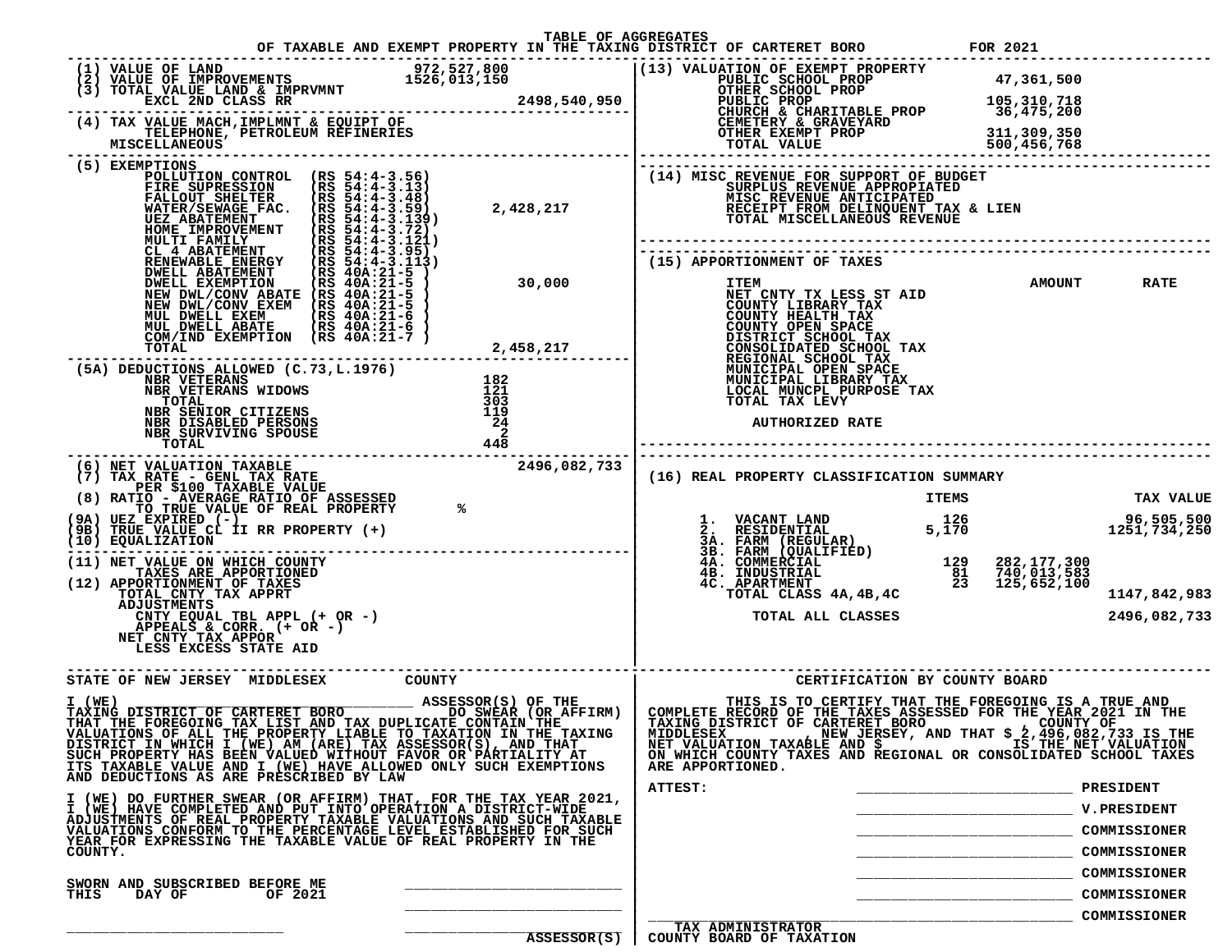| TABLE OF AGGREGATES                                                                                                                                                                                                                                                                                                                                                                                                                                                                                                                                                                                                                                                                |                                                                                                                                                                                                                                                                                        |
|------------------------------------------------------------------------------------------------------------------------------------------------------------------------------------------------------------------------------------------------------------------------------------------------------------------------------------------------------------------------------------------------------------------------------------------------------------------------------------------------------------------------------------------------------------------------------------------------------------------------------------------------------------------------------------|----------------------------------------------------------------------------------------------------------------------------------------------------------------------------------------------------------------------------------------------------------------------------------------|
|                                                                                                                                                                                                                                                                                                                                                                                                                                                                                                                                                                                                                                                                                    |                                                                                                                                                                                                                                                                                        |
|                                                                                                                                                                                                                                                                                                                                                                                                                                                                                                                                                                                                                                                                                    |                                                                                                                                                                                                                                                                                        |
| POLLUTION CONTROL (RS 54:4-3.56)<br>POLLUTION CONTROL (RS 54:4-3.56)<br>FIRE SUPRESSION (RS 54:4-3.13)<br>FALLOUT SHELTER (RS 54:4-3.48)<br>WATER/SEWAGE FAC. (RS 54:4-3.59)<br>UEZ ABATEMENT (RS 54:4-3.139)<br>MULTI FAMILY (RS 54:4-3.121)<br>MULTI FAMILY (RS 54:4-3.121)<br>CL 4 A                                                                                                                                                                                                                                                                                                                                                                                            | (14) MISC REVENUE FOR SUPPORT OF BUDGET<br>2,428,217<br>2,428,217 MISC REVENUE APPROPIATED<br>2,428,217 RECEIPT FROM DELINQUENT TAX & LIEN<br>TOTAL MISCELLANEOUS REVENUE                                                                                                              |
| <b>ENEMBRABLE ENERGY (RS 40A:21-5)</b><br>DWELL ABATEMENT (RS 40A:21-5)<br>NEW DWL/CONV ABATE (RS 40A:21-5)<br>NEW DWL/CONV ABATE (RS 40A:21-5)<br>NEW DWL/CONV EXEM (RS 40A:21-5)<br>NEW DWELL EXEM (RS 40A:21-6)<br>MUL DWELL ABATE (RS 40A:2<br>30,000<br>ENERIT (RS 40A:21-5)<br>NV ABATE (RS 40A:21-5) 30,000<br>NV ABATE (RS 40A:21-5) 30,000<br>EXEM (RS 40A:21-5) NET CNTY IBRARY TAX<br>EXEM (RS 40A:21-6) COUNTY HEALTH TAX<br>ABATE (RS 40A:21-6) COUNTY HEALTH TAX<br>ABATE (RS 40A:21-6) C                                                                                                                                                                            | (15) APPORTIONMENT OF TAXES<br><b>AMOUNT</b><br><b>RATE</b>                                                                                                                                                                                                                            |
| (5A) DEDUCTIONS ALLOWED (C.73, L.1976)<br>$\begin{array}{c} 182 \\ 121 \\ 303 \\ 119 \\ 24 \end{array}$<br><b>NBR VETERANS<br/>NBR VETERANS WIDOWS</b><br>VETERANS WIDOWS $\begin{array}{ccccc} \texttt{121} & & & & & \texttt{121} \\ \texttt{TAL} & & & & & & 303 \\ \texttt{SINOR} & & & & & & 303 \\ \texttt{DISABLED} & & & & & & 19 \\ \texttt{DISABLED} & & & & & & 24 \\ \texttt{SURVIVING} & & & & & & 24 \\ \texttt{SURVIVING} & & & & & & 24 \\ \texttt{SURVIVING} & & & & & & 24 \\ \texttt{TAL} & & & & & & 448 \\ \texttt{NITON} & & & & & & 24 \\ \texttt{$<br><b>TOTAL</b><br><b>NBR SENIOR CITIZENS<br/>NBR DISABLED PERSONS</b><br>NBR SURVIVING SPOUSE<br>TOTAL | <b>AUTHORIZED RATE</b>                                                                                                                                                                                                                                                                 |
| (6) NET VALUATION TAXABLE<br>(7) TAX_RATE___GENL_TAX_RATE<br>2496,082,733<br>(8) RATIO - AVERAGE WALUE<br>(8) RATIO - AVERAGE RATIO OF ASSESSED<br>(9A) UEZ EXPIRED (-)<br>(9A) UEZ EXPIRED (-)<br>(9B) TRUE VALUE CL II RR PROPERTY (+)<br>(10) EQUALIZATION                                                                                                                                                                                                                                                                                                                                                                                                                      | (16) REAL PROPERTY CLASSIFICATION SUMMARY<br>ITEMS<br><b>TAX VALUE</b><br>96,505,500<br>1251,734,250                                                                                                                                                                                   |
| (11) NET VALUE ON WHICH COUNTY<br>TAXES ARE APPORTIONED<br>(12) APPORTIONMENT OF TAXES<br>TOTAL CNTY TAX APPRT<br>ADJUSTMENTS<br>CNTY EQUAL TBL APPL (+ OR -)<br>APPEALS & CORR. (+ OR -)<br>NET_CNTY_TAX_APPOR_____<br>LESS EXCESS STATE AID                                                                                                                                                                                                                                                                                                                                                                                                                                      | <b>3.</b><br><b>1.</b> VACANT LAND 126<br>2. RESIDENTIAL 5,170<br>3A. FARM (REGULAR) 5,170<br>3B. FARM (QUALIFIED)<br>4A. COMMERCIAL 129<br>4B. INDUSTRIAL 81 740,013,583<br>4C. APARTMENT 23 125,652,100<br>TOTAL CLASS 4A,4B,4C<br>1147,842,983<br>2496,082,733<br>TOTAL ALL CLASSES |
| STATE OF NEW JERSEY MIDDLESEX COUNTY                                                                                                                                                                                                                                                                                                                                                                                                                                                                                                                                                                                                                                               | CERTIFICATION BY COUNTY BOARD                                                                                                                                                                                                                                                          |
| VALUATIONS OF ALL THE PROPERTY LIABLE TO TAXATION IN THE TAXING<br>DISTRICT IN WHICH I (WE) AM (ARE) TAX ASSESSOR(S), AND THAT<br>SUCH PROPERTY HAS BEEN VALUED WITHOUT FAVOR OR PARTIALITY AT<br>ITS TAXABLE VALUE AND I (WE) HAVE ALLOWED ONLY SUCH EXEMPTIONS<br>AND DEDUCTIONS AS ARE PRESCRIBED BY LAW                                                                                                                                                                                                                                                                                                                                                                        | $\overline{1}$ NEW JERSEY, AND THAT \$ 2,496,082,733 IS THE<br><b>MIDDLESEX</b><br>IS THE NET VALUATION<br>NET VALUATION TAXABLE AND \$<br>ON WHICH COUNTY TAXES AND REGIONAL OR CONSOLIDATED SCHOOL TAXES<br>ARE APPORTIONED.                                                         |
| I (WE) DO FURTHER SWEAR (OR AFFIRM) THAT, FOR THE TAX YEAR 2021,<br>I (WE) HAVE COMPLETED AND PUT INTO OPERATION A DISTRICT-WIDE<br>ADJUSTMENTS OF REAL PROPERTY TAXABLE VALUATIONS AND SUCH TAXABLE<br>VALUATIONS CONFORM TO THE PERCENTAGE LEVEL ESTABLISHED FOR SUCH<br>YEAR FOR EXPRESSING THE TAXABLE VALUE OF REAL PROPERTY IN THE<br>COUNTY.                                                                                                                                                                                                                                                                                                                                | ATTEST:<br>PRESIDENT<br><b>V.PRESIDENT</b><br>COMMISSIONER<br>COMMISSIONER                                                                                                                                                                                                             |
| SWORN AND SUBSCRIBED BEFORE ME<br>THIS<br>DAY OF<br>OF 2021                                                                                                                                                                                                                                                                                                                                                                                                                                                                                                                                                                                                                        | COMMISSIONER<br>COMMISSIONER                                                                                                                                                                                                                                                           |
| ASSESSOR(S)                                                                                                                                                                                                                                                                                                                                                                                                                                                                                                                                                                                                                                                                        | COMMISSIONER<br><b>TAX ADMINISTRATOR</b><br>COUNTY BOARD OF TAXATION                                                                                                                                                                                                                   |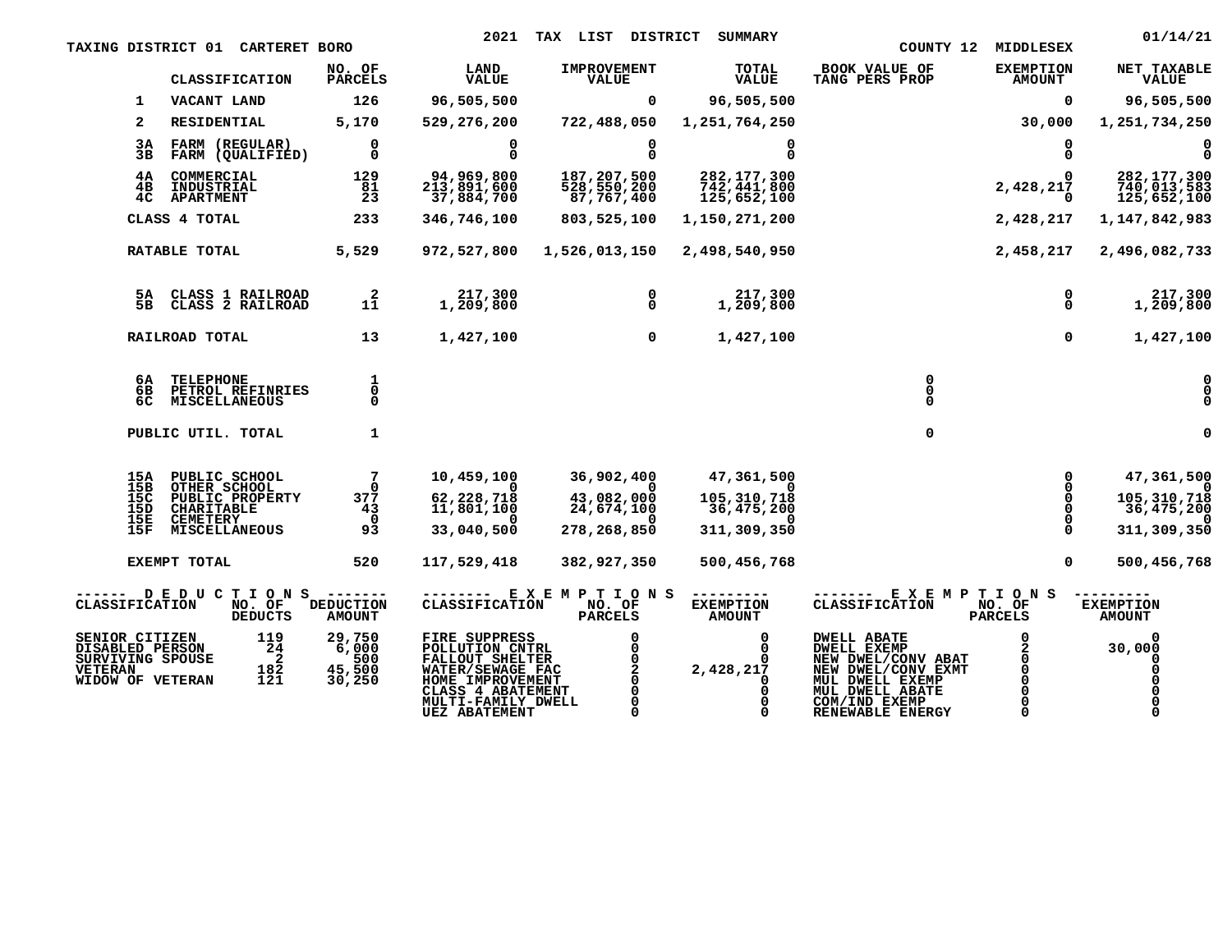|                                                                                             | <b>TAXING DISTRICT 01 CARTERET BORO</b>                                                                       |                                            | 2021                                                                                                                                                           | TAX LIST DISTRICT                                     | <b>SUMMARY</b>                                           |                                                                                                                                                                                        | COUNTY 12 MIDDLESEX               | 01/14/21                                               |
|---------------------------------------------------------------------------------------------|---------------------------------------------------------------------------------------------------------------|--------------------------------------------|----------------------------------------------------------------------------------------------------------------------------------------------------------------|-------------------------------------------------------|----------------------------------------------------------|----------------------------------------------------------------------------------------------------------------------------------------------------------------------------------------|-----------------------------------|--------------------------------------------------------|
|                                                                                             | CLASSIFICATION                                                                                                | NO. OF<br><b>PARCELS</b>                   | <b>LAND</b><br><b>VALUE</b>                                                                                                                                    | <b>IMPROVEMENT</b><br><b>VALUE</b>                    | TOTAL<br><b>VALUE</b>                                    | <b>BOOK VALUE OF</b><br>TANG PERS PROP                                                                                                                                                 | <b>EXEMPTION</b><br><b>AMOUNT</b> | NET TAXABLE<br><b>VALUE</b>                            |
| 1                                                                                           | VACANT LAND                                                                                                   | 126                                        | 96,505,500                                                                                                                                                     | 0                                                     | 96,505,500                                               |                                                                                                                                                                                        | 0                                 | 96,505,500                                             |
| $\mathbf{2}$                                                                                | RESIDENTIAL                                                                                                   | 5,170                                      | 529,276,200                                                                                                                                                    | 722,488,050                                           | 1,251,764,250                                            |                                                                                                                                                                                        | 30,000                            | 1,251,734,250                                          |
| 3A<br>3B                                                                                    | FARM (REGULAR)<br>FARM (QUALIFIED)                                                                            | 0<br>$\Omega$                              | 0<br>$\Omega$                                                                                                                                                  | 0<br><sup>0</sup>                                     | 0<br>$\Omega$                                            |                                                                                                                                                                                        | 0<br>$\Omega$                     | 0<br>$\Omega$                                          |
| 4A<br>4в<br>4 <sup>C</sup>                                                                  | COMMERCIAL<br><b>INDUSTRIAL</b><br><b>APARTMENT</b>                                                           | 129<br>81<br>23                            | 94,969,800<br>213,891,600<br>37,884,700                                                                                                                        | 187,207,500<br>528,550,200<br>87,767,400              | 282, 177, 300<br>742,441,800<br>125,652,100              |                                                                                                                                                                                        | 2,428,217<br>$\Omega$             | 282, 177, 300<br>740,013,583<br>125,652,100            |
|                                                                                             | CLASS 4 TOTAL                                                                                                 | 233                                        | 346,746,100                                                                                                                                                    | 803,525,100                                           | 1,150,271,200                                            |                                                                                                                                                                                        | 2,428,217                         | 1,147,842,983                                          |
|                                                                                             | RATABLE TOTAL                                                                                                 | 5,529                                      |                                                                                                                                                                | 972,527,800 1,526,013,150                             | 2,498,540,950                                            |                                                                                                                                                                                        | 2,458,217                         | 2,496,082,733                                          |
|                                                                                             | 5A CLASS 1 RAILROAD<br>5B CLASS 2 RAILROAD                                                                    | $\overline{2}$<br>11                       | 217,300<br>1,209,800                                                                                                                                           | 0<br>0                                                | 217,300<br>1,209,800                                     |                                                                                                                                                                                        | 0<br>Ō                            | 217,300<br>1,209,800                                   |
|                                                                                             | RAILROAD TOTAL                                                                                                | 13                                         | 1,427,100                                                                                                                                                      | $\mathbf 0$                                           | 1,427,100                                                |                                                                                                                                                                                        | $\mathbf{0}$                      | 1,427,100                                              |
| 6A –<br>6C                                                                                  | <b>TELEPHONE</b><br>6B PETROL REFINRIES<br>MISCELLANEOUS                                                      | 1<br>0<br>$\Omega$                         |                                                                                                                                                                |                                                       |                                                          | $\Omega$                                                                                                                                                                               |                                   | $\Omega$<br>0                                          |
|                                                                                             | PUBLIC UTIL. TOTAL                                                                                            | 1                                          |                                                                                                                                                                |                                                       |                                                          | $\Omega$                                                                                                                                                                               |                                   |                                                        |
| $^{15B}_{15C}$<br>15D<br>15E<br>15F                                                         | 15A PUBLIC SCHOOL<br>OTHER SCHOOL<br>PUBLIC PROPERTY<br>CHARITABLE<br><b>CEMETERY</b><br><b>MISCELLANEOUS</b> | -7<br>377<br>43<br>$\Omega$<br>93          | 10,459,100<br>62,228,718<br>11,801,100<br>33,040,500                                                                                                           | 36,902,400<br>43,082,000<br>24,674,100<br>278,268,850 | 47,361,500<br>105,310,718<br>36,475,200<br>311, 309, 350 |                                                                                                                                                                                        | $\frac{0}{0}$<br>Ō                | 47,361,500<br>105,310,718<br>36,475,200<br>311,309,350 |
|                                                                                             | <b>EXEMPT TOTAL</b>                                                                                           | 520                                        | 117,529,418                                                                                                                                                    | 382,927,350                                           | 500,456,768                                              |                                                                                                                                                                                        | $\Omega$                          | 500,456,768                                            |
| CLASSIFICATION                                                                              | ------ DEDUCTIONS -------<br>NO. OF<br><b>DEDUCTS</b>                                                         | <b>DEDUCTION</b><br><b>AMOUNT</b>          | <b>CLASSIFICATION</b>                                                                                                                                          | ------- EXEMPTIONS<br>NO. OF<br><b>PARCELS</b>        | ---------<br><b>EXEMPTION</b><br><b>AMOUNT</b>           | ------ EXEMPTIONS<br><b>CLASSIFICATION</b>                                                                                                                                             | NO. OF<br><b>PARCELS</b>          | <b>EXEMPTION</b><br><b>AMOUNT</b>                      |
| SENIOR CITIZEN<br>DISABLED PERSON<br>SURVIVING SPOUSE<br><b>VETERAN</b><br>WIDOW OF VETERAN | 119<br>24<br>$\overline{\phantom{a}}$<br>182<br>121                                                           | 29,750<br>6,000<br>500<br>45,500<br>30,250 | FIRE SUPPRESS<br>POLLUTION CNTRL<br>FALLOUT SHELTER<br>WATER/SEWAGE FAC<br>HOME IMPROVEMENT<br>CLASS 4 ABATEMENT<br>MULTI-FAMILY DWELL<br><b>UEZ ABATEMENT</b> | Ō.                                                    | 0<br>2,428,217                                           | <b>DWELL ABATE</b><br><b>DWELL EXEMP<br/>NEW DWEL/CONV ABAT<br/>NEW DWEL/CONV EXMT<br/>MUL DWELL EXEMP<br/>MUL DWELL EXEMP</b><br>MUL DWELL ABATE<br>COM/IND EXEMP<br>RENEWABLE ENERGY | <sup>0</sup>                      | 30,000                                                 |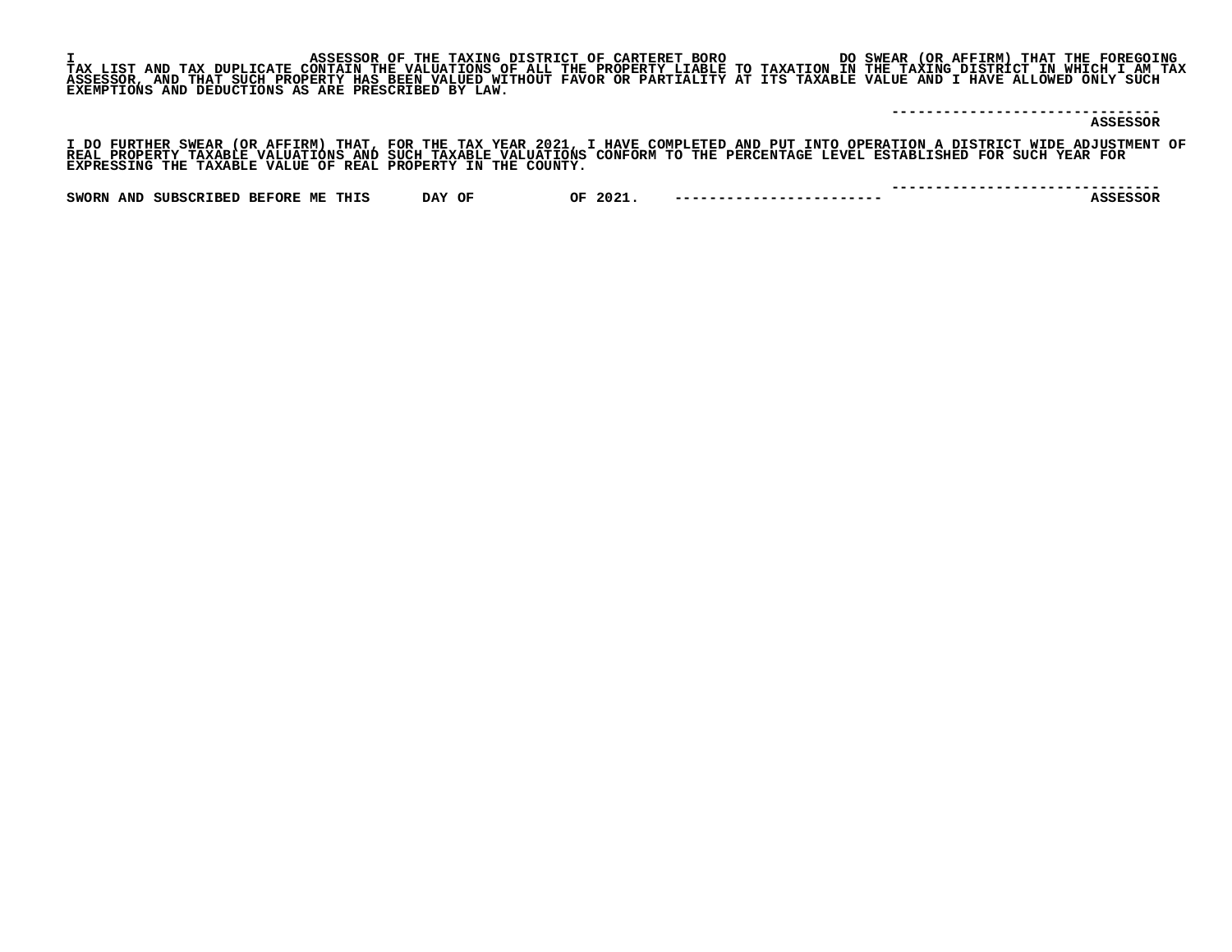|                                                     | ASSESSOR OF THE TAXING DISTRICT OF CARTERET BORO                                                                               |  | DO SWEAR (OR AFFIRM) THAT THE FOREGOING                                                                                           |
|-----------------------------------------------------|--------------------------------------------------------------------------------------------------------------------------------|--|-----------------------------------------------------------------------------------------------------------------------------------|
|                                                     |                                                                                                                                |  | TAX LIST AND TAX DUPLICATE CONTAIN THE VALUATIONS OF ALL THE PROPERTY LIABLE TO TAXATION IN THE TAXING DISTRICT IN WHICH I AM TAX |
|                                                     | ASSESSOR, AND THAT SUCH PROPERTY HAS BEEN VALUED WITHOUT FAVOR OR PARTIALITY AT ITS TAXABLE VALUE AND I HAVE ALLOWED ONLY SUCH |  |                                                                                                                                   |
| EXEMPTIONS AND DEDUCTIONS AS ARE PRESCRIBED BY LAW. |                                                                                                                                |  |                                                                                                                                   |
|                                                     |                                                                                                                                |  |                                                                                                                                   |
|                                                     |                                                                                                                                |  |                                                                                                                                   |
|                                                     |                                                                                                                                |  | ASSESSOR                                                                                                                          |

I DO FURTHER SWEAR (OR AFFIRM) THAT, FOR THE TAX YEAR 2021, I HAVE COMPLETED AND PUT INTO OPERATION A DISTRICT WIDE ADJUSTMENT OF<br>REAL PROPERTY TAXABLE VALUATIONS AND SUCH TAXABLE VALUATIONS CONFORM TO THE PERCENTAGE LEVEL

|                                                 |                             |                  |            |                           | --------------------------------- |
|-------------------------------------------------|-----------------------------|------------------|------------|---------------------------|-----------------------------------|
| <b>SWORN</b><br><b>SUBSCRIBED</b><br><b>AND</b> | <b>BEFORE</b><br>ME<br>THIS | <b>DAY</b><br>OF | 2021<br>ΟF | ------------------------- |                                   |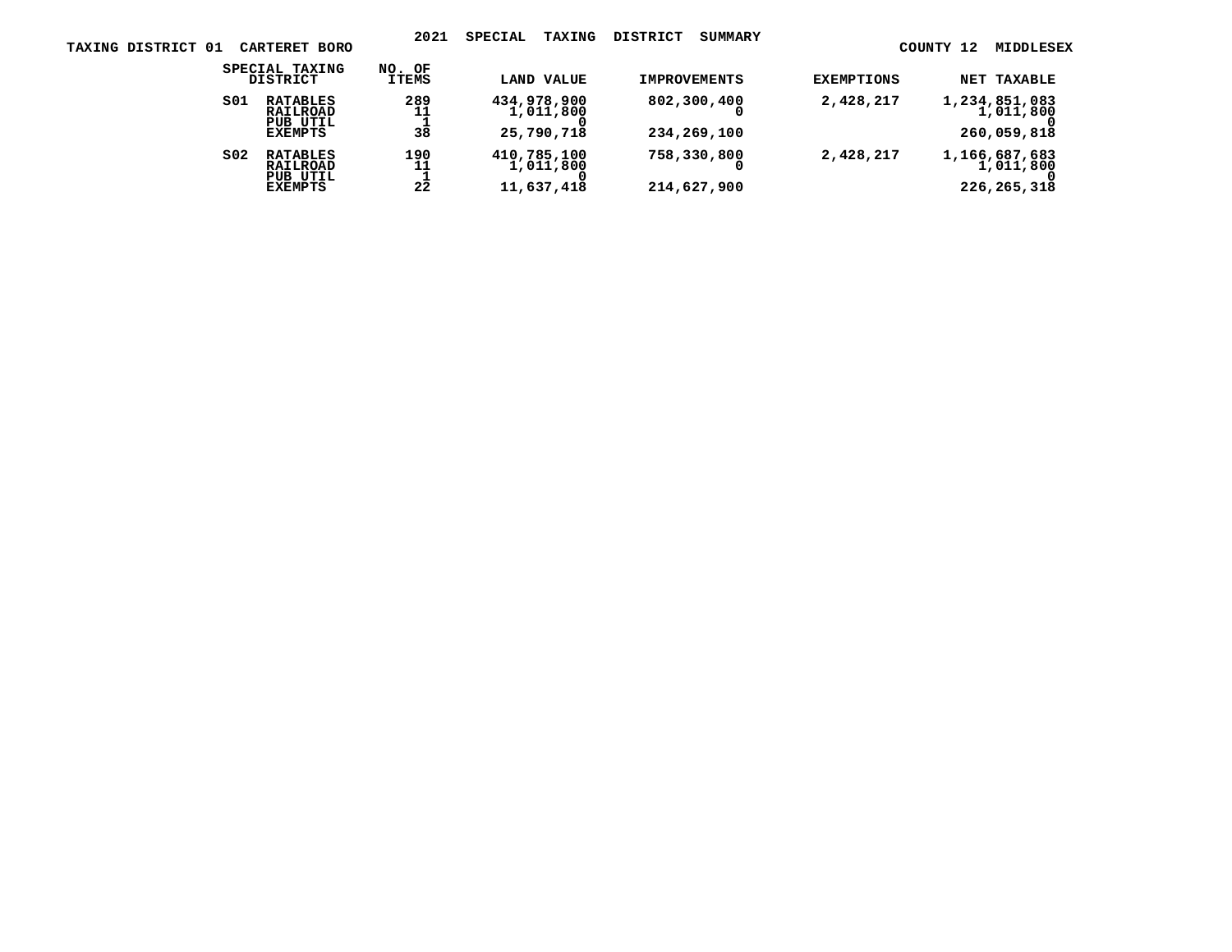| <b>NET TAXABLE</b>                        | <b>EXEMPTIONS</b> | <b>IMPROVEMENTS</b>        | LAND VALUE                             | NO. OF<br>ITEMS | SPECIAL TAXING<br>DISTRICT                                |                 |
|-------------------------------------------|-------------------|----------------------------|----------------------------------------|-----------------|-----------------------------------------------------------|-----------------|
| 1,234,851,083<br>1,011,800<br>260,059,818 | 2,428,217         | 802,300,400<br>234,269,100 | 434,978,900<br>1,011,800<br>25,790,718 | 289<br>11<br>38 | <b>RATABLES</b><br>RAILROAD<br>PUB UTIL<br>EXEMPTS        | SO1             |
| 1,166,687,683<br>1,011,800<br>226,265,318 | 2,428,217         | 758,330,800<br>214,627,900 | 410,785,100<br>1,011,800<br>11,637,418 | 190<br>11<br>22 | <b>RATABLES</b><br>RAILROAD<br>PUB UTIL<br><b>EXEMPTS</b> | SO <sub>2</sub> |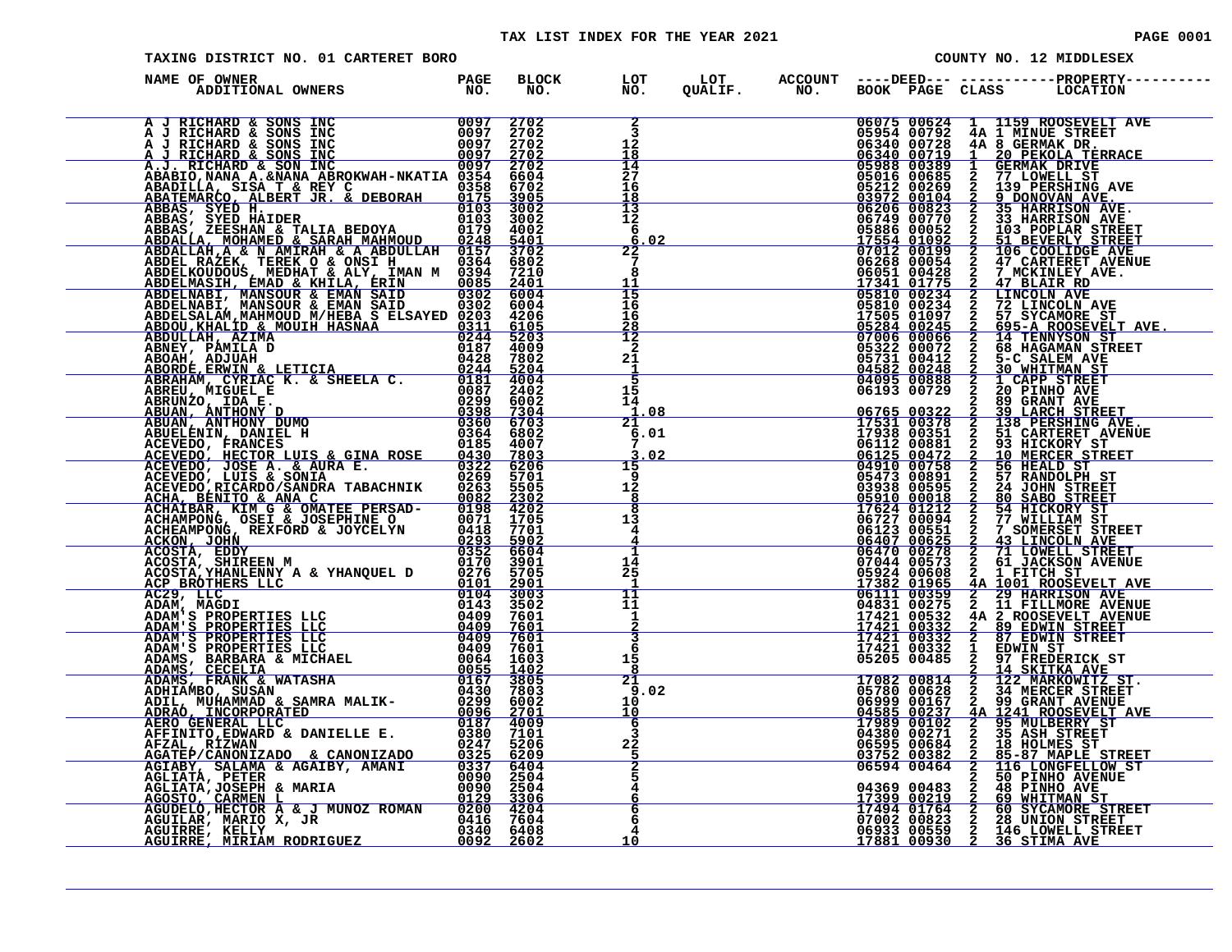|                                                                                                                                                                                                                                                            |                      |                     | TAX LIST INDEX FOR THE YEAR 2021 |  |                                     |               | <b>PAGE 0001</b>                                                                                                                                                                                                                                                                                                                       |
|------------------------------------------------------------------------------------------------------------------------------------------------------------------------------------------------------------------------------------------------------------|----------------------|---------------------|----------------------------------|--|-------------------------------------|---------------|----------------------------------------------------------------------------------------------------------------------------------------------------------------------------------------------------------------------------------------------------------------------------------------------------------------------------------------|
| TAXING DISTRICT NO. 01 CARTERET BORO                                                                                                                                                                                                                       |                      |                     |                                  |  |                                     |               | COUNTY NO. 12 MIDDLESEX                                                                                                                                                                                                                                                                                                                |
| NAME OF OWNER<br>ARM JREENAR & SON HAND (1972)<br>A J RICHARD & SONS INC (1972)<br>A J RICHARD & SONS INC (1972)<br>A J RICHARD & SONS INC (1972)<br>A J RICHARD & SONS INC (1972)<br>A J RICHARD & SONS INC (1972)<br>ABABIC MARM A GINAL BEDORAH AND (19 |                      |                     |                                  |  |                                     |               |                                                                                                                                                                                                                                                                                                                                        |
|                                                                                                                                                                                                                                                            |                      |                     |                                  |  |                                     |               |                                                                                                                                                                                                                                                                                                                                        |
|                                                                                                                                                                                                                                                            |                      |                     |                                  |  |                                     |               |                                                                                                                                                                                                                                                                                                                                        |
|                                                                                                                                                                                                                                                            |                      |                     |                                  |  |                                     |               |                                                                                                                                                                                                                                                                                                                                        |
|                                                                                                                                                                                                                                                            |                      |                     |                                  |  |                                     |               |                                                                                                                                                                                                                                                                                                                                        |
|                                                                                                                                                                                                                                                            |                      |                     | $\frac{18}{13}$                  |  |                                     |               |                                                                                                                                                                                                                                                                                                                                        |
|                                                                                                                                                                                                                                                            |                      |                     |                                  |  |                                     |               |                                                                                                                                                                                                                                                                                                                                        |
|                                                                                                                                                                                                                                                            |                      |                     | $\frac{2\overline{2}}{7}$        |  |                                     |               |                                                                                                                                                                                                                                                                                                                                        |
|                                                                                                                                                                                                                                                            |                      |                     |                                  |  |                                     |               |                                                                                                                                                                                                                                                                                                                                        |
|                                                                                                                                                                                                                                                            |                      |                     |                                  |  |                                     |               |                                                                                                                                                                                                                                                                                                                                        |
|                                                                                                                                                                                                                                                            |                      |                     |                                  |  |                                     |               |                                                                                                                                                                                                                                                                                                                                        |
|                                                                                                                                                                                                                                                            |                      |                     |                                  |  |                                     |               | 695-A ROOSEVELT AVE.                                                                                                                                                                                                                                                                                                                   |
|                                                                                                                                                                                                                                                            |                      |                     |                                  |  |                                     |               |                                                                                                                                                                                                                                                                                                                                        |
|                                                                                                                                                                                                                                                            |                      |                     |                                  |  |                                     |               |                                                                                                                                                                                                                                                                                                                                        |
|                                                                                                                                                                                                                                                            |                      |                     |                                  |  |                                     |               |                                                                                                                                                                                                                                                                                                                                        |
|                                                                                                                                                                                                                                                            |                      |                     |                                  |  |                                     |               |                                                                                                                                                                                                                                                                                                                                        |
|                                                                                                                                                                                                                                                            |                      |                     | 6.01                             |  |                                     |               |                                                                                                                                                                                                                                                                                                                                        |
|                                                                                                                                                                                                                                                            |                      |                     |                                  |  |                                     |               |                                                                                                                                                                                                                                                                                                                                        |
|                                                                                                                                                                                                                                                            |                      |                     | ق ا                              |  |                                     |               |                                                                                                                                                                                                                                                                                                                                        |
|                                                                                                                                                                                                                                                            |                      |                     | 12<br>$\frac{8}{8}$              |  |                                     |               |                                                                                                                                                                                                                                                                                                                                        |
|                                                                                                                                                                                                                                                            |                      |                     |                                  |  |                                     |               |                                                                                                                                                                                                                                                                                                                                        |
|                                                                                                                                                                                                                                                            |                      |                     | $\frac{4}{4}$                    |  |                                     |               |                                                                                                                                                                                                                                                                                                                                        |
|                                                                                                                                                                                                                                                            |                      |                     |                                  |  |                                     |               |                                                                                                                                                                                                                                                                                                                                        |
|                                                                                                                                                                                                                                                            |                      |                     |                                  |  |                                     |               |                                                                                                                                                                                                                                                                                                                                        |
|                                                                                                                                                                                                                                                            |                      |                     |                                  |  |                                     |               |                                                                                                                                                                                                                                                                                                                                        |
|                                                                                                                                                                                                                                                            |                      |                     |                                  |  |                                     |               |                                                                                                                                                                                                                                                                                                                                        |
|                                                                                                                                                                                                                                                            |                      |                     | $\frac{1}{2}$                    |  |                                     |               | $\begin{array}{cccc} 04831&00275&2&11&\texttt{FILLMORE}~\texttt{AVENUE}\\ 17421&005332&2&89&\texttt{EDWIN}~\texttt{STREET}\\ 17421&00332&2&89&\texttt{EDWIN}~\texttt{STREET}\\ 17421&00332&2&87&\texttt{EDWIN}~\texttt{STREET}\\ 17421&00332&2&87&\texttt{EDWIN}~\texttt{STREET}\\ 17421&00332&2&87&\texttt{EDWIN}~\texttt{STREET}\\ $ |
|                                                                                                                                                                                                                                                            |                      |                     | 6<br>15                          |  |                                     |               |                                                                                                                                                                                                                                                                                                                                        |
|                                                                                                                                                                                                                                                            |                      |                     | 8<br>21                          |  |                                     |               |                                                                                                                                                                                                                                                                                                                                        |
|                                                                                                                                                                                                                                                            |                      |                     | 9.02<br>10                       |  |                                     |               |                                                                                                                                                                                                                                                                                                                                        |
|                                                                                                                                                                                                                                                            |                      |                     | 10<br>$\sim$ 6                   |  |                                     |               |                                                                                                                                                                                                                                                                                                                                        |
| AFFINITO EDWARD & DANIELLE E.<br>AFZAL, RIZWAN                                                                                                                                                                                                             | 0380<br>0247         | 7101<br>5206        | 3<br>2Ž                          |  | 04380 00271<br>06595 00684          | $\frac{2}{2}$ | <b>35 ASH STREET</b><br>18 HOLMES ST                                                                                                                                                                                                                                                                                                   |
| AGATEP/CANONIZADO & CANONIZADO                                                                                                                                                                                                                             | $0325$<br>0337       | $\frac{6209}{6404}$ | 5<br>2                           |  | 03752 00382<br>06594 00464          | $\frac{2}{2}$ | 85-87 MAPLE STREET<br>116 LONGFELLOW ST                                                                                                                                                                                                                                                                                                |
| AGIABY, SALAMA & AGAIBY, AMANI<br>AGLIATA, PETER                                                                                                                                                                                                           | 0090                 | 2504                | 5                                |  |                                     |               | 50 PINHO AVENUE                                                                                                                                                                                                                                                                                                                        |
| AGLIATA, JOSEPH & MARIA<br>AGOSTO, CARMEN L                                                                                                                                                                                                                | 0090<br>0129         | 2504<br><u>3306</u> | 4<br>6                           |  | 04369 00483<br><u>17399 00219</u>   | $\frac{2}{2}$ | <b>48 PINHO AVE</b><br>69 WHITMAN ST                                                                                                                                                                                                                                                                                                   |
| AGUDELO, HECTOR A & J MUNOZ ROMAN<br>AGUILAR, MARIO X, JR                                                                                                                                                                                                  | 0200<br>0416         | 4204<br>7604        | 6<br>6                           |  | 17494 01764<br>07002 00823          | $\frac{2}{2}$ | 60 SYCAMORE STREET<br>28 UNION STREET                                                                                                                                                                                                                                                                                                  |
| <b>AGUIRRE, KELLY</b><br>AGUIRRE, MIRIAM RODRIGUEZ                                                                                                                                                                                                         | 0340<br><u>0092 </u> | 6408<br>2602        | 4<br>10                          |  | 06933 00559<br><u> 17881 00930 </u> |               | 146 LOWELL STREET<br><b>36 STIMA AVE</b>                                                                                                                                                                                                                                                                                               |

| ADAM, MAGDI                       | 0143 | 3502 |      | 04831 00275 2<br>11 FILLMORE AVENUE   |
|-----------------------------------|------|------|------|---------------------------------------|
| ADAM'S PROPERTIES LLC             | 0409 | 7601 |      | 17421 00532<br>4A 2 ROOSEVELT AVENUE  |
| ADAM'S PROPERTIES LLC             | 0409 | 7601 |      | 17421 00332 2 89 EDWIN STREET         |
| ADAM'S PROPERTIES LLC             | 0409 | 7601 |      | 17421 00332 2 87 EDWIN STREET         |
| ADAM'S PROPERTIES LLC             | 0409 | 7601 |      | 17421 00332 1<br>EDWIN ST             |
| ADAMS, BARBARA & MICHAEL          | 0064 | 1603 |      | 05205 00485 2<br>97 FREDERICK ST      |
| ADAMS, CECELIA                    | 0055 | 1402 |      | <b>14 SKITKA AVE</b>                  |
| ADAMS, FRANK & WATASHA            | 0167 | 3805 | 21   | 17082 00814<br>122 MARKOWITZ ST.      |
| ADHIAMBO, SUSAN                   | 0430 | 7803 | 9.02 | 05780 00628 2 34 MERCER STREET        |
| ADIL, MUHAMMAD & SAMRA MALIK-     | 0299 | 6002 | 10   | 06999 00167 2 99 GRANT AVENUE         |
| ADRAO, INCORPORATED               | 0096 | 2701 | 10   | 4A 1241 ROOSEVELT AVE<br>04585 00237  |
| AERO GENERAL LLC                  | 0187 | 4009 |      | 17989 00102 2 95 MULBERRY ST          |
| AFFINITO, EDWARD & DANIELLE E.    | 0380 | 7101 |      | 04380 00271 2 35 ASH STREET           |
| AFZAL, RIZWAN                     | 0247 | 5206 | 22   | 06595 00684 2<br>18 HOLMES ST         |
| AGATEP/CANONIZADO & CANONIZADO    | 0325 | 6209 |      | 03752 00382 2 85-87 MAPLE STREET      |
| AGIABY, SALAMA & AGAIBY, AMANI    | 0337 | 6404 |      | 06594 00464 2<br>116 LONGFELLOW ST    |
| <b>AGLIATA, PETER</b>             | 0090 | 2504 |      | 50 PINHO AVENUE                       |
| AGLIATA, JOSEPH & MARIA           | 0090 | 2504 |      | 04369 00483<br><b>48 PINHO AVE</b>    |
| AGOSTO, CARMEN L                  | 0129 | 3306 |      | 17399 00219 2<br><b>69 WHITMAN ST</b> |
| AGUDELO, HECTOR A & J MUNOZ ROMAN | 0200 | 4204 |      | 17494 01764 2<br>60 SYCAMORE STREET   |
| AGUILAR, MARIO X, JR              | 0416 | 7604 |      | 07002 00823<br>28 UNION STREET        |
| AGUIRRE, KELLY                    | 0340 | 6408 |      | 06933 00559 2 146 LOWELL STREET       |
| ACIITODE MIDIAM DODDICIIEZ        | nnas | 2602 |      | 17881 00930<br>36 CTTMA AVE           |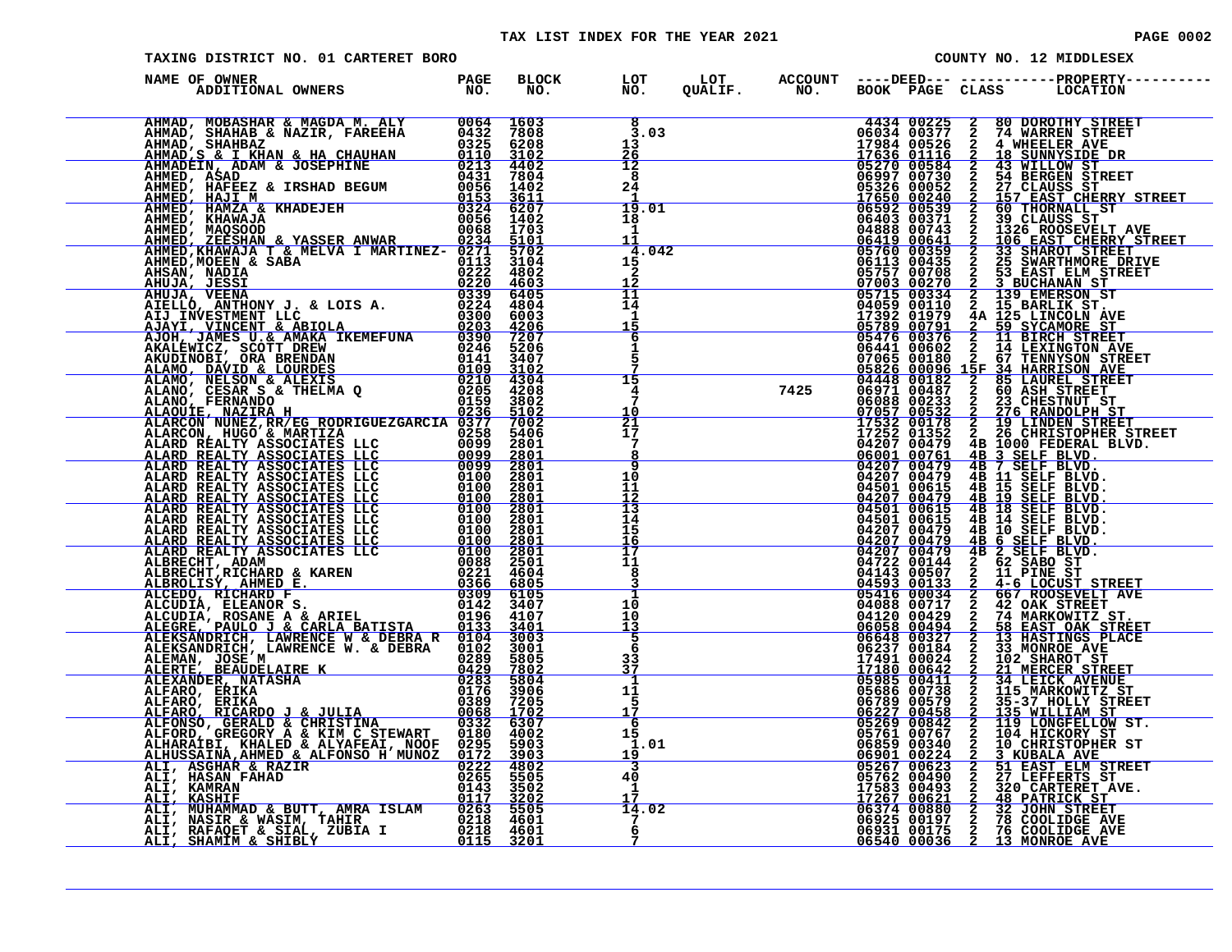### TAX LIST INDEX FOR THE YEAR 2021 **PAGE 0002** PAGE 0002

| PAGE 00 |  |
|---------|--|
|         |  |

| TAXING DISTRICT NO. 01 CARTERET BORO                                                                                                                                                                                             |  |                                         |  |  | COUNTY NO. 12 MIDDLESEX                                                                                  |
|----------------------------------------------------------------------------------------------------------------------------------------------------------------------------------------------------------------------------------|--|-----------------------------------------|--|--|----------------------------------------------------------------------------------------------------------|
| NAME OF OWNER                                                                                                                                                                                                                    |  |                                         |  |  | BLOCK LOT LOT ACCOUNT ----DEED--- -----------PROPERTY---<br>NO. NO. QUALIF. NO. BOOK PAGE CLASS LOCATION |
| NEME CONNER A MADIE ANNE PARE PROPIET ANNE PROPIET ANNE CONNECTION (1993) 1993 (1994)<br>ANNE CONNECTION ANNE PROPIET ANNE PROPIET ANNE PROPIET ANNE PROPIET ANNE PROPIET ANNE PROPIET ANNE PROPIET ANNE PROPIET ANNE PROPIET AN |  | $\overline{8}$<br>3.03<br>13<br>26      |  |  |                                                                                                          |
|                                                                                                                                                                                                                                  |  | $\overline{1}\overline{2}$<br>8<br>24   |  |  |                                                                                                          |
|                                                                                                                                                                                                                                  |  | 19.01<br>18<br>1<br><u> 11</u>          |  |  |                                                                                                          |
|                                                                                                                                                                                                                                  |  | 4.042<br>15<br>2<br>12<br>11            |  |  |                                                                                                          |
|                                                                                                                                                                                                                                  |  | 14<br>$\frac{1}{15}$<br>6               |  |  |                                                                                                          |
|                                                                                                                                                                                                                                  |  | 1<br>15                                 |  |  |                                                                                                          |
|                                                                                                                                                                                                                                  |  | 4<br>10<br>$\frac{1}{21}$<br>$1\bar{7}$ |  |  |                                                                                                          |
|                                                                                                                                                                                                                                  |  | 7<br>8<br>q<br>10                       |  |  |                                                                                                          |
|                                                                                                                                                                                                                                  |  | 11<br>12<br>$\frac{13}{14}$             |  |  |                                                                                                          |
|                                                                                                                                                                                                                                  |  | 15<br><u> 16</u><br>ĪŽ<br>11            |  |  |                                                                                                          |
|                                                                                                                                                                                                                                  |  | 8<br>3<br>1<br>10                       |  |  |                                                                                                          |
|                                                                                                                                                                                                                                  |  | 10<br>$\frac{13}{5}$<br>6<br>33         |  |  |                                                                                                          |
|                                                                                                                                                                                                                                  |  | 37<br>1<br>11<br>5                      |  |  |                                                                                                          |
|                                                                                                                                                                                                                                  |  | 17<br>-6<br>15<br>1.01                  |  |  |                                                                                                          |
|                                                                                                                                                                                                                                  |  | 19<br>3<br>40<br>1                      |  |  |                                                                                                          |
|                                                                                                                                                                                                                                  |  | 14.02<br>6                              |  |  |                                                                                                          |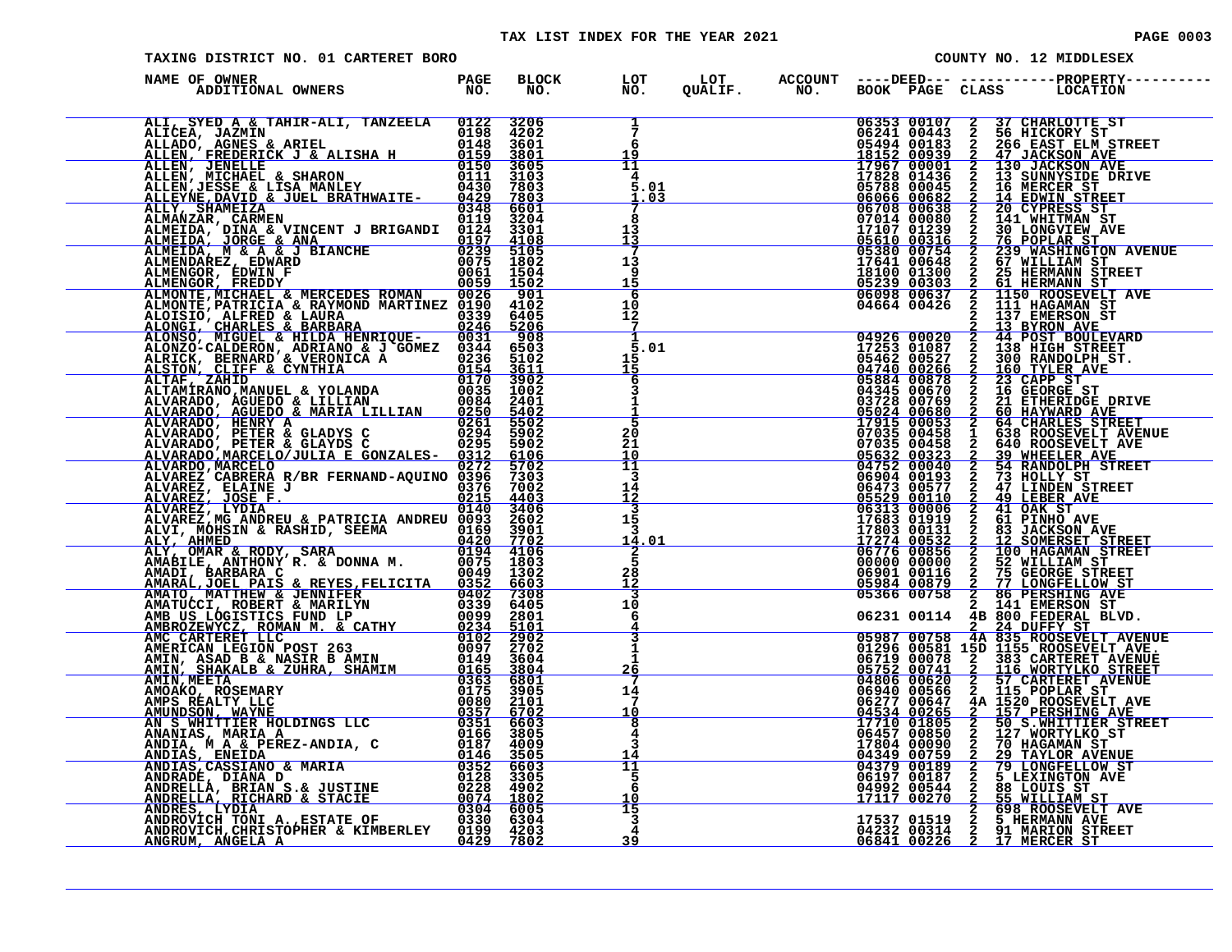| TAXING DISTRICT NO. 01 CARTERET BORO                                                                                                                                                                                         |  |                                                  |  |  | COUNTY NO. 12 MIDDLESEX                                                                                                                                                                                                                                                                                                   |
|------------------------------------------------------------------------------------------------------------------------------------------------------------------------------------------------------------------------------|--|--------------------------------------------------|--|--|---------------------------------------------------------------------------------------------------------------------------------------------------------------------------------------------------------------------------------------------------------------------------------------------------------------------------|
| )<br>De OWNER (DESPACE PROPERTY---- ) DE DOT DOT DE ACCOUNT ----DEED--- ------------PROPERTY-----<br>ADDITIONAL OWNERS (DOCATION NO, NO, QUALIF, NO, BOOK PAGE CLASS (LOCATION<br>NAME OF OWNER                              |  |                                                  |  |  |                                                                                                                                                                                                                                                                                                                           |
| NAME OF OWNER A MERCHAN IN TANKEL PARA BELONG AN ANNE CANNA CONSERVE AN ANNE CANNA CONSERVE AN ANNE CANNA CONSERVE AN ANNE CANNA CONSERVE AN ANNE CANNA CONSERVE AN ANNE CANNA CONSERVE AN ANNE CANNA CONSERVE AN ANNE CANNA |  | $\frac{1}{7}$<br>6<br>19                         |  |  | 06353 00107 2 37 CHARLOTTE ST<br>06241 00443 2 56 HICKORY ST<br>05494 00183 2 266 EAST ELM STREET<br>17967 000011 2 130 JACKSON AVE<br>17967 000011 2 130 JACKSON AVE<br>17967 000011 2 130 JACKSON AVE<br>17967 000012 130 JACKSON AVE<br>1                                                                              |
|                                                                                                                                                                                                                              |  | 11<br>4<br>5.01<br>1.03                          |  |  |                                                                                                                                                                                                                                                                                                                           |
|                                                                                                                                                                                                                              |  | 8<br>13<br>$\frac{13}{7}$                        |  |  | 76 POPLAR ST<br>239 WASHINGTON AVENUE<br>67 WILLIAM ST                                                                                                                                                                                                                                                                    |
|                                                                                                                                                                                                                              |  | 13<br><u>و</u><br>15<br>6                        |  |  |                                                                                                                                                                                                                                                                                                                           |
|                                                                                                                                                                                                                              |  | 10<br>12<br>$\overline{7}$<br>1                  |  |  | $\begin{tabular}{r rrrr} \hline & 06098 & 00637 & 2 & 1137 & 1302AMAN ST \\ \hline 04664 & 00426 & 2 & 137 & 20080 & 27 \\ 2 & 137 & 20830 & 27 & 29800 & 2000 & 2000 \\ 2 & 44 & 2081 & 2000 & 2000 & 2000 & 2000 \\ 2 & 44 & 2081 & 2000 & 2000 & 2000 & 2000 \\ 2 & 44 & 2081 & 2000 & 2000 &$                         |
|                                                                                                                                                                                                                              |  | 5.01<br>$\frac{15}{15}$<br>6                     |  |  |                                                                                                                                                                                                                                                                                                                           |
|                                                                                                                                                                                                                              |  | 3<br>1<br>訁                                      |  |  |                                                                                                                                                                                                                                                                                                                           |
|                                                                                                                                                                                                                              |  | $\frac{20}{21}$<br>10<br>īĪ<br>3                 |  |  |                                                                                                                                                                                                                                                                                                                           |
|                                                                                                                                                                                                                              |  | 14<br><u>īż</u><br>$\overline{\mathbf{3}}$<br>15 |  |  |                                                                                                                                                                                                                                                                                                                           |
|                                                                                                                                                                                                                              |  | 3<br><u> 14.01</u><br>2<br>5                     |  |  |                                                                                                                                                                                                                                                                                                                           |
|                                                                                                                                                                                                                              |  | $\frac{28}{12}$<br>$\overline{10}$               |  |  |                                                                                                                                                                                                                                                                                                                           |
|                                                                                                                                                                                                                              |  | 6<br>$\frac{4}{3}$                               |  |  |                                                                                                                                                                                                                                                                                                                           |
|                                                                                                                                                                                                                              |  | $\mathbf{1}$<br>26<br>7<br>14                    |  |  | 06231 00114 42 22 DUFFY ST<br>05987 00758 4A 835 ROOSEVELT AVENUE<br>01296 00581 15D 1155 ROOSEVELT AVE.<br>06719 00078 2 383 CARTERET AVENUE<br>05752 00741 2 116 MORTYLKO STREET<br>04806 00620 2 57 CARTERET AVENUE<br>06940 00566 2 11                                                                                |
|                                                                                                                                                                                                                              |  | 7<br>10<br>8<br>4<br>3                           |  |  | 06277 00647 4A 1520 ROOSEVELT AVE<br>04534 00265 2 157 PERSHING AVE<br>17710 01805 2 50 S.WHITTIER STRE:<br>06457 00850 2 127 WORTYLKO ST<br>50 S.WHITTIER STREET<br>127 WORTYLKO ST                                                                                                                                      |
|                                                                                                                                                                                                                              |  | $\overline{11}$<br>5<br>$\overline{6}$           |  |  | $\begin{tabular}{c c c c} 06277&00647&4A&1520 ROSEVELT AVE\\ \hline 04534&00265&2&157 PERSHHING AVE\\ \hline 17710&01805&2&10&8.WEITITER STREE\\ \hline 06457&00850&2&127 WORTYLKO ST\\ 17804&00090&2&70 HAGAMAN ST\\ \hline 04379&00189&2&79 LONGF RLCW ST\\ \hline 04379&00189&2&79 LONGFELLOW ST\\ \hline 04379&00187$ |
|                                                                                                                                                                                                                              |  | 10<br>15<br>$\overline{\mathbf{3}}$<br>4         |  |  |                                                                                                                                                                                                                                                                                                                           |
|                                                                                                                                                                                                                              |  | 39                                               |  |  |                                                                                                                                                                                                                                                                                                                           |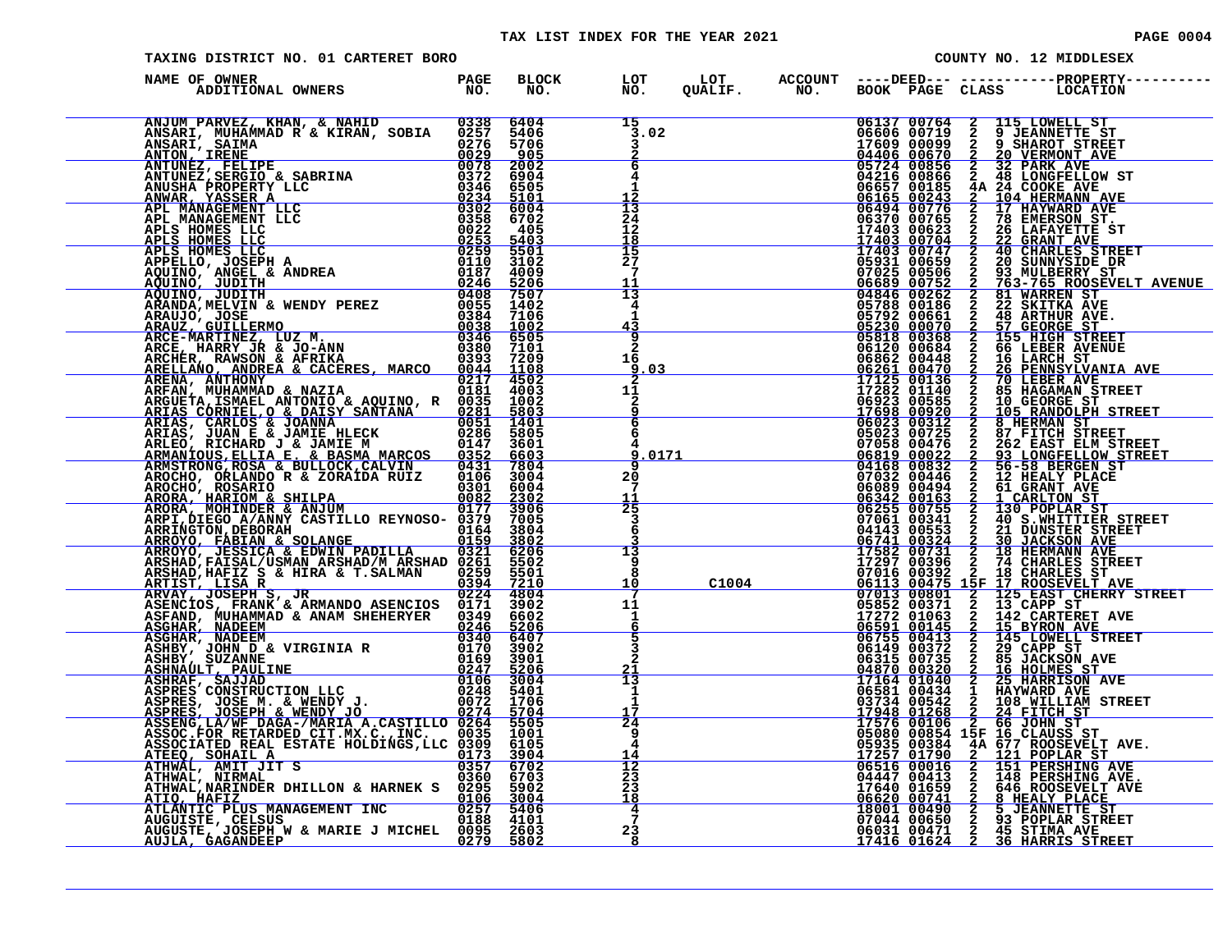| PAGE 00 |  |  |
|---------|--|--|
|---------|--|--|

| TAXING DISTRICT NO. 01 CARTERET BORO                                                                                                                                                                                                          |  |  | COUNTY NO. 12 MIDDLESEX |  |  |  |  |
|-----------------------------------------------------------------------------------------------------------------------------------------------------------------------------------------------------------------------------------------------|--|--|-------------------------|--|--|--|--|
| NAME OF OWNER                                                                                                                                                                                                                                 |  |  |                         |  |  |  |  |
| ANUMENT PRESERVIBLE ANDRE SANTON (1991)<br>ANNE PARTICULAR ANNE A RETRANDO CONSTANTING CONSTANT (1992)<br>ANTONIC LEMETER CONSTANT CONSTANT CONSTANT CONSTANT AND CONSTANT CONSTANT CONSTANT CONSTANT CONSTANT CONSTANT CONSTANT C            |  |  |                         |  |  |  |  |
|                                                                                                                                                                                                                                               |  |  |                         |  |  |  |  |
|                                                                                                                                                                                                                                               |  |  |                         |  |  |  |  |
|                                                                                                                                                                                                                                               |  |  |                         |  |  |  |  |
|                                                                                                                                                                                                                                               |  |  |                         |  |  |  |  |
|                                                                                                                                                                                                                                               |  |  |                         |  |  |  |  |
|                                                                                                                                                                                                                                               |  |  |                         |  |  |  |  |
|                                                                                                                                                                                                                                               |  |  |                         |  |  |  |  |
|                                                                                                                                                                                                                                               |  |  |                         |  |  |  |  |
|                                                                                                                                                                                                                                               |  |  |                         |  |  |  |  |
|                                                                                                                                                                                                                                               |  |  |                         |  |  |  |  |
|                                                                                                                                                                                                                                               |  |  |                         |  |  |  |  |
|                                                                                                                                                                                                                                               |  |  |                         |  |  |  |  |
| ARCRA MOHINDER & ANJUM<br>ARRINGTON ARNIV CASTILLO REYNOSO-0379 39065<br>ARRINGTON DEBORAH & SOLANGE 0154 38004<br>ARROYO, JEBORAH & SOLANGE 0164 38004<br>ARRENGTON, DEBORAH ARSHAD 0159 38004<br>ARRINGTON, PALSAL & EDWIN PADILLA 0321 520 |  |  |                         |  |  |  |  |
|                                                                                                                                                                                                                                               |  |  |                         |  |  |  |  |
| AUGUSTE, JOSEPH W & MARIE J MICHEL 0095 2603<br>AUJLA, GAGANDEEP 0279 5802                                                                                                                                                                    |  |  |                         |  |  |  |  |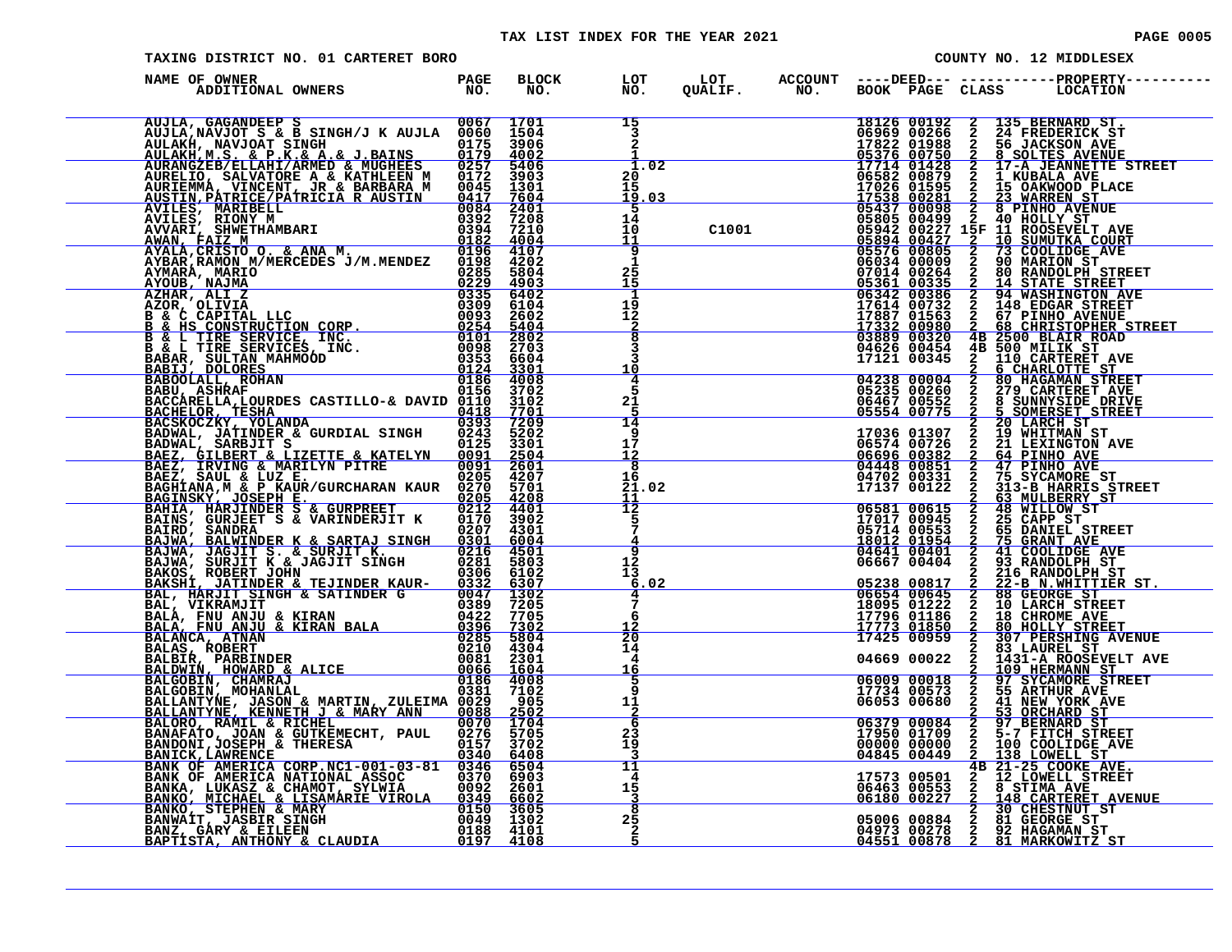### TAX LIST INDEX FOR THE YEAR 2021 **PAGE 0005** PAGE 0005

| TAXING DISTRICT NO. 01 CARTERET BORO                                                                                                                                                                                                                                    |  |                                                               |  | COUNTY NO. 12 MIDDLESEX |                                                                                               |               |                                                                                                                                                                                                                                                                                                   |
|-------------------------------------------------------------------------------------------------------------------------------------------------------------------------------------------------------------------------------------------------------------------------|--|---------------------------------------------------------------|--|-------------------------|-----------------------------------------------------------------------------------------------|---------------|---------------------------------------------------------------------------------------------------------------------------------------------------------------------------------------------------------------------------------------------------------------------------------------------------|
| NAME OF OWNER                                                                                                                                                                                                                                                           |  |                                                               |  |                         |                                                                                               |               | BLOCK LOT LOT ACCOUNT ----DEED--- -----------PROPERTY-----<br>NO. NO. QUALIF. NO. BOOK PAGE CLASS LOCATION                                                                                                                                                                                        |
| AUJILA, GAGANDEE S<br>AUJILA, NANJORE S SINGH/J K AUJLA 0067 1701<br>AULAKH, NAVJORT SINGH (J. RAINS 0175 39062<br>AULAKH, NAVJORT SINGH (J. RAINS 0175 39062<br>AURAHGZEE/ELLAHI/ARMED & MUGHEES 0257 54002<br>AURAHGZEE/ELLAHI/ARMED &                                |  | 15<br>$\overline{3}$                                          |  |                         |                                                                                               |               | UGLIF. "NO. BUCK 2 135 BERNARD ST.<br>18126 00192 2 135 BERNARD ST.<br>18126 00192 2 135 BERNARD ST.<br>1714 00266 2 24 FREDERICK ST<br>17214 007550 2 8 SOLTES AVENUE<br>175376 00750 2 8 SOLTES AVENUE<br>17538 002681 2 17UBALA AVE STR                                                        |
|                                                                                                                                                                                                                                                                         |  | 1.02<br>20<br>15<br><u> 19.03</u>                             |  |                         |                                                                                               |               |                                                                                                                                                                                                                                                                                                   |
|                                                                                                                                                                                                                                                                         |  | 5<br>14<br>10<br><u> 11</u>                                   |  |                         |                                                                                               |               |                                                                                                                                                                                                                                                                                                   |
|                                                                                                                                                                                                                                                                         |  | $\frac{9}{1}$<br>25<br>15                                     |  |                         |                                                                                               |               |                                                                                                                                                                                                                                                                                                   |
|                                                                                                                                                                                                                                                                         |  | 1<br>$\frac{1}{2}$<br>$\frac{2}{8}$                           |  |                         |                                                                                               |               |                                                                                                                                                                                                                                                                                                   |
|                                                                                                                                                                                                                                                                         |  | 3<br>3<br>10                                                  |  |                         | 04626 00454<br>17121 00345                                                                    |               | 4B 500 MILIK ST<br>2 110 CARTERET AVE<br>2 6 CHARLOTTE ST                                                                                                                                                                                                                                         |
| BABOLALL, ROHAN<br>BABOLALL, ROHAN<br>BACCARELLA,LOURDES CASTILLO-& DAVID 0110 3102<br>BACHELOR, TESHA<br>BACHELOR, TATINDER & GURDIAL SINGH 0243 7202<br>BADWAL, JATINDER & GURDIAL SINGH 0243 5202<br>BADWAL, SARBJIT S<br>BADWAL, SARBJIT                            |  | 4<br>5<br>21<br>5                                             |  |                         | 04238 00004<br>05235 00260<br>06467 00552<br>05554 00775                                      |               | 2 80 HAGAMAN STREET<br>2 279 CARTERET AVE<br>2 279 CARTERET AVENUE<br>2 279 CARTERET AVE<br>2 5 SUNNYSIDE DRIVE<br>2 5 SUNNYSIDE DRIVE<br>2 2 19 WHITMAN ST<br>2 21 LEXINGTON AVE<br>2 44 PINHO AVE<br>2 44 PINHO AVE<br>2 75 SYCAMORE STREET<br>2 33 MULBERRY STREET<br>2 48 WILLOW ST<br>2 48 W |
|                                                                                                                                                                                                                                                                         |  | 14<br>9<br>17<br>$\frac{12}{8}$                               |  |                         | 17036 01307<br>06574 00726                                                                    |               |                                                                                                                                                                                                                                                                                                   |
| <b>PARA, SAUL &amp; LUZ E.</b> 0205 4207<br><b>BAGINAN, &amp; PRAUR/GURCHARAN KAUR</b> 0270 5701<br><b>BAGINSKY, JOSEPH E. GURPREET</b> 0212 4201<br><b>BAHIA, HARJINDER S &amp; GURPREET</b> 0212 4401<br>BAINS, GURJEET S & VARINDERJIT K 0170 3902<br>BAIRD, SANDRAN |  | 16<br>21.02<br>11                                             |  |                         | 06696 00382<br>04448 00851<br>04702 00331<br>17137 00122                                      |               |                                                                                                                                                                                                                                                                                                   |
|                                                                                                                                                                                                                                                                         |  | $\overline{1}\overline{2}$<br>5<br>$\bar{7}$<br>$\frac{4}{9}$ |  |                         | 06581 00615<br>17017 00945<br>05714 00553<br>18012 01954<br>04641 00401                       |               |                                                                                                                                                                                                                                                                                                   |
| BAINS, GURJEET S & VARINDERJIT K 0170 3902<br>BAJWA, BALDAR<br>BAJWA, JAGJIT S. & SURJIT K. 0207 4301<br>BAJWA, JAGJIT S. & SURJIT K. 0216 4501<br>BAJWA, SURJIT K & JAGJIT SINGH 0281 5803<br>BAKSH, JATINDER & TEJINDER KAUR-0332 6307                                |  | 12<br>13<br>6.02                                              |  |                         | 06667 00404                                                                                   |               |                                                                                                                                                                                                                                                                                                   |
|                                                                                                                                                                                                                                                                         |  | 4<br>7<br>6<br>$\frac{12}{20}$                                |  |                         | 05238 00817<br>06654 00645<br>18095 01222<br>17796 01186<br><u>ī7773 01850</u><br>17425 00959 |               |                                                                                                                                                                                                                                                                                                   |
|                                                                                                                                                                                                                                                                         |  | 14<br>4<br>16<br>5                                            |  |                         | 04669 00022<br>06009 00018                                                                    | $\frac{2}{2}$ | 83 LAUREL ST<br>1431-A ROOSEVELT AVE<br>2 109 HERMANN ST<br>2 97 SYCAMORE STREET<br>2 55 ARTHUR AVE                                                                                                                                                                                               |
|                                                                                                                                                                                                                                                                         |  | 9<br>11<br>$\overline{a}$                                     |  |                         | 17734 00573<br>06053 00680                                                                    |               |                                                                                                                                                                                                                                                                                                   |
| BALLANTYNE, JASON & MARTIN, ZULEIMA 0029 905<br>BALLANTYNE, KENNETH J & MARY ANN 0088 2502<br>BALLANTYNE, KENNETH J & MARY ANN 0088 2502<br>BANAFATO, JOAN & GUTKEMECHT, PAUL 0276 5705<br>BANAFATO, JOAN & GUTKEMECHT, PAUL 0276 5702                                  |  | 6<br>23<br>19<br>3<br>11                                      |  |                         | 06379 00084<br>17950 01709<br>00000 00000<br>04845 00449                                      |               | <sup>2</sup> <sup>4</sup> NEW YORK AVE<br><sup>2</sup> 53 ORCHARD ST<br>2 97 BERNARD ST<br>2 5-7 FITCH STREET<br>2 100 COOLIDGE AVE<br><sup>2</sup> 138 LOWELL STREET<br>2 138 LOWELL ST<br>4B 21-25 COOKE AVE.                                                                                   |
| BANDONI,JOSEPH & THERESA<br>BANICK,LAWRENCE<br>BANK OF AMERICA CORP.NC1-001-03-81 0346 6504<br>BANK OF AMERICA NATIONAL ASSOC 0370 6903<br>BANKA, LUKASZ & CHAMOT, SYLWIA 00922 2602<br>BANKA, LUKASZ & LISAMARIE VIROLA 0349 6602<br>BANK                              |  | 4<br>15<br>8                                                  |  |                         |                                                                                               |               | 17573 00501 <sup>25</sup> 21-25 COOKE AVE.<br>06463 00553 2 8 STIMA AVE<br>06180 00227 2 148 CARTERET AVENUE<br>2 30 CHESTNUT ST<br>05006 00884 2 81 GEORGE ST<br>04973 00278 2 92 HAGAMAN ST<br>04551 00878 2 81 MARKOWITZ ST                                                                    |
|                                                                                                                                                                                                                                                                         |  | $2\bar{5}$<br>$\frac{2}{5}$                                   |  |                         |                                                                                               |               |                                                                                                                                                                                                                                                                                                   |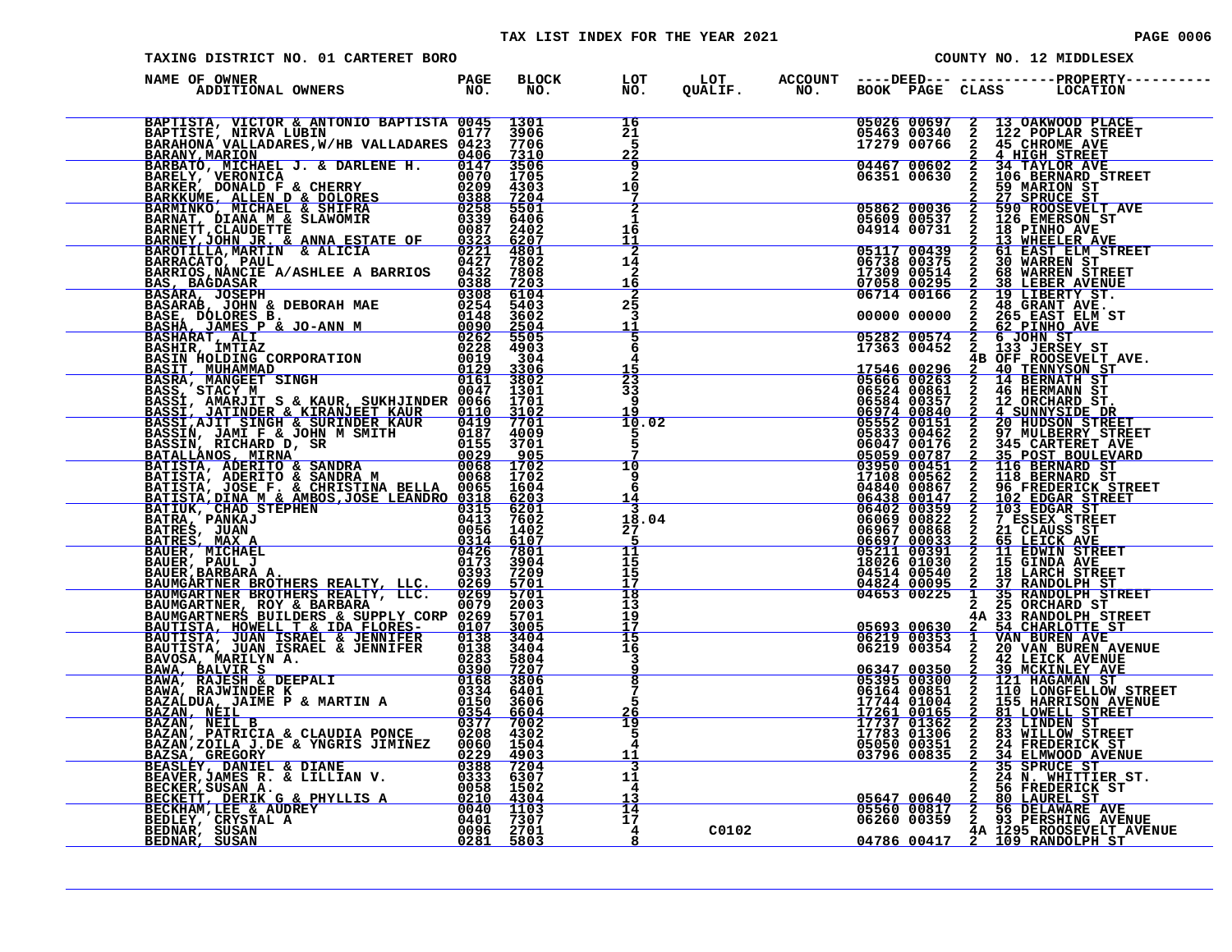| PAGE 000 |  |  |  |  |
|----------|--|--|--|--|
|----------|--|--|--|--|

| TAXING DISTRICT NO. 01 CARTERET BORO                                                                                                                                                                                          |  |                                                                       |       | COUNTY NO. 12 MIDDLESEX |  |                                                                                                                                                                                                                                                 |  |  |
|-------------------------------------------------------------------------------------------------------------------------------------------------------------------------------------------------------------------------------|--|-----------------------------------------------------------------------|-------|-------------------------|--|-------------------------------------------------------------------------------------------------------------------------------------------------------------------------------------------------------------------------------------------------|--|--|
| PAGE PAGE<br>ADDITIONAL OWNERS NO<br>NAME OF OWNER                                                                                                                                                                            |  |                                                                       |       |                         |  | BLOCK LOT LOT ACCOUNT ----DEED--- ------------PROPERTY----<br>NO. NO. QUALIF. NO. BOOK PAGE CLASS LOCATION                                                                                                                                      |  |  |
| NAME OF OWNER A MILIADAM PROFIE DE BEOCOMBAR PROFIETA DE PROPERTE DE PROPERTE DE PROPERTE DE PROPERTE DE PROPERTE DE PROPERTE DE PROPERTE DE PROPERTE DE PROPERTE DE PROPERTE DE PROPERTE DE PROPERTE DE PROPERTE DE PROPERTE |  | $\frac{16}{21}$<br>$\frac{-1}{2}$                                     |       |                         |  | 05026 00697 2 13 OAKWOOD PLACE<br>05463 00340 2 122 POPLAR STREET<br>17279 00766 2 45 CHROME AVE<br>04467 00602 2 34 TAYLOR AVE<br>06351 00630 2 106 BERNARD STREET                                                                             |  |  |
|                                                                                                                                                                                                                               |  | $\frac{9}{2}$<br>10                                                   |       |                         |  |                                                                                                                                                                                                                                                 |  |  |
|                                                                                                                                                                                                                               |  | ż<br>1<br>16                                                          |       |                         |  | 00331 00030 2 59 MARION STREET<br>05862 00036 2 59 NARION ST<br>05609 00537 2 126 EMERSON ST<br>04914 00731 2 18 PINHO AVE                                                                                                                      |  |  |
|                                                                                                                                                                                                                               |  | $\frac{\overline{1}\overline{1}}{1\overline{2}}$ 14<br>$\frac{2}{16}$ |       |                         |  |                                                                                                                                                                                                                                                 |  |  |
|                                                                                                                                                                                                                               |  | $\overline{2\overline{5}}$<br>3                                       |       |                         |  | 04914 00731 2 18 PINHO AVE<br>05117 00439 2 61 EAST ELM STREET<br>06738 00375 2 30 WARREN ST<br>17309 00514 2 68 WARREN STREET<br>07058 00295 2 30 WARREN STREET<br>07058 00295 2 48 GRANT AVE.<br>06714 00166 2 19 LIBERTY ST.<br>00000 00     |  |  |
|                                                                                                                                                                                                                               |  | $\frac{11}{5}$<br>6<br>$\frac{4}{15}$                                 |       |                         |  |                                                                                                                                                                                                                                                 |  |  |
|                                                                                                                                                                                                                               |  | 23<br>33<br>9                                                         |       |                         |  |                                                                                                                                                                                                                                                 |  |  |
|                                                                                                                                                                                                                               |  | 19<br>10.02<br>5<br>5                                                 |       |                         |  |                                                                                                                                                                                                                                                 |  |  |
|                                                                                                                                                                                                                               |  | 7<br>$\overline{10}$<br>ۏ<br>6                                        |       |                         |  | 17363 00452 2<br>$4B$ OFF ROOSEVELT AVE.<br>17546 00296 2 40 TENNATOM ST<br>05666 00296 2 14 BERNATH ST<br>06534 00361 2 12 ORCHARD ST.<br>06584 00367 2 12 ORCHARD ST.<br>06584 00357 2 12 ORCHARD ST.<br>06584 00357 2 20 NULBERRY STREET     |  |  |
|                                                                                                                                                                                                                               |  | 14<br>3<br>18.04<br>27                                                |       |                         |  |                                                                                                                                                                                                                                                 |  |  |
|                                                                                                                                                                                                                               |  | 5<br>11<br>15<br>15<br>17                                             |       |                         |  |                                                                                                                                                                                                                                                 |  |  |
|                                                                                                                                                                                                                               |  | 18<br>13<br>19                                                        |       |                         |  |                                                                                                                                                                                                                                                 |  |  |
|                                                                                                                                                                                                                               |  | $\frac{17}{15}$<br>$\overline{1}\overline{6}$                         |       |                         |  |                                                                                                                                                                                                                                                 |  |  |
|                                                                                                                                                                                                                               |  | 3<br>$\overline{8}$<br>Ť.                                             |       |                         |  |                                                                                                                                                                                                                                                 |  |  |
|                                                                                                                                                                                                                               |  | 5<br>26<br>19<br>5                                                    |       |                         |  |                                                                                                                                                                                                                                                 |  |  |
|                                                                                                                                                                                                                               |  | $\overline{4}$<br>11<br>3                                             |       |                         |  | <b>EXERIBING 17261</b> 00165 2 33 RANDLPH STREET<br>17744 01004 2 15 RANDLPH STREET<br>17744 01004 2 15 RANDLPH STREET<br>17744 01004 2 15 RANDLPH STREET<br>17744 01004 2 155 RARRISON AVENUE<br>17745 01336 2 31 LONGFELLOW STREET<br>17737 0 |  |  |
|                                                                                                                                                                                                                               |  | 11<br>4<br>13                                                         |       |                         |  | 2 34 NA WHITTIER ST.<br>2 24 NA WHITTIER ST.<br>2 56 FREDERICK ST<br>05560 00817 2 56 DELAWARE AVE<br>06260 00359 2 93 PERSHING AVENUE<br>04786 00417 2 109 RANDOLPH ST                                                                         |  |  |
|                                                                                                                                                                                                                               |  | $\frac{1}{17}$<br>$\overline{4}$<br>8                                 | C0102 |                         |  |                                                                                                                                                                                                                                                 |  |  |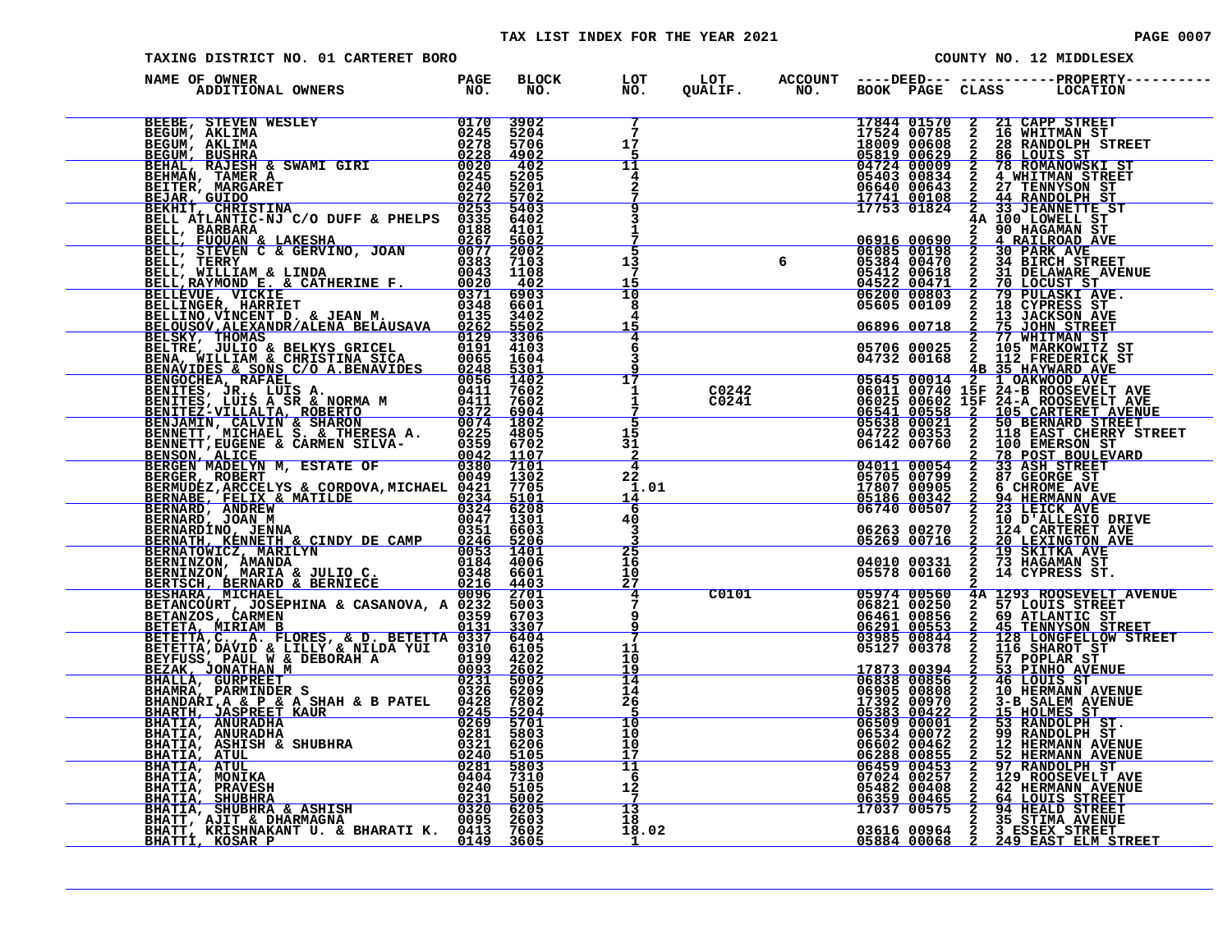| TAXING DISTRICT NO. 01 CARTERET BORO                                                                                                                                                                                         |  | COUNTY NO. 12 MIDDLESEX |                                                |  |       |                                                                                                         |               |                                                                                                                                                                                                                                            |
|------------------------------------------------------------------------------------------------------------------------------------------------------------------------------------------------------------------------------|--|-------------------------|------------------------------------------------|--|-------|---------------------------------------------------------------------------------------------------------|---------------|--------------------------------------------------------------------------------------------------------------------------------------------------------------------------------------------------------------------------------------------|
| NAME OF OWNER                                                                                                                                                                                                                |  | BLOCK LOT<br>NO. NO.    |                                                |  |       |                                                                                                         |               |                                                                                                                                                                                                                                            |
|                                                                                                                                                                                                                              |  |                         | $7\phantom{1}$<br>17                           |  |       | 17844 01570<br>17524 00785<br>18009 00608                                                               |               | 2 21 CAPP STREET<br>2 16 WHITMAN ST<br>2 28 RANDOLPH STREET<br>2 86 LOUIS ST                                                                                                                                                               |
|                                                                                                                                                                                                                              |  |                         | -5<br>11<br>4<br>2                             |  |       | 05819 00629<br>04724 00009<br>05403 00834<br>06640 00643                                                | $\frac{2}{2}$ | 78 ROMANOWSKI ST<br>4 WHITMAN STREET<br>2 27 TENNYSON ST<br>2 44 RANDOLPH ST<br>2 33 JEANNETTE ST                                                                                                                                          |
|                                                                                                                                                                                                                              |  |                         | 3<br>$\mathbf{1}$                              |  |       | <u>17741 ŏŏ1ōā</u><br>17753 01824                                                                       |               | 4A 100 LOWELL ST<br>2 90 HAGAMAN ST<br>2 4 RAILROAD AVI<br>2 30 PARK AVE                                                                                                                                                                   |
|                                                                                                                                                                                                                              |  |                         | 5<br>13<br>7<br>15                             |  |       | 06082 00158<br>06082 00158<br>05384 00470                                                               | $\mathbf{2}$  | 4 RAILROAD AVE<br>30 PARK AVE<br>34 BIRCH STREET<br>31 DELAWARE AVENUE                                                                                                                                                                     |
|                                                                                                                                                                                                                              |  |                         | $\overline{10}$<br>8<br>4<br>15                |  |       | 05412 00618<br>04522 00471<br>06200 00803<br>05605 00109<br>06896 00718                                 | $\frac{2}{2}$ | 2 31 DELAWARE AVE<br>2 79 PULASKI AVE<br>2 79 PULASKI AVE<br>2 18 CYPRESS ST<br>2 75 JOHN STREET<br>2 77 WHITMAN TREET<br>2 77 WHITMAN TT                                                                                                  |
|                                                                                                                                                                                                                              |  |                         | 4<br>6<br>3                                    |  |       |                                                                                                         |               |                                                                                                                                                                                                                                            |
|                                                                                                                                                                                                                              |  |                         | 17<br>1<br>$\frac{1}{7}$                       |  |       |                                                                                                         |               |                                                                                                                                                                                                                                            |
|                                                                                                                                                                                                                              |  |                         | 15<br>31<br>$\overline{a}$                     |  |       |                                                                                                         |               |                                                                                                                                                                                                                                            |
|                                                                                                                                                                                                                              |  |                         | $\overline{4}$<br>22<br>1.01<br>14             |  |       |                                                                                                         |               |                                                                                                                                                                                                                                            |
|                                                                                                                                                                                                                              |  |                         | -6<br>40<br>3<br>ર                             |  |       |                                                                                                         |               |                                                                                                                                                                                                                                            |
|                                                                                                                                                                                                                              |  |                         | $2\overline{5}$<br>16<br>10 <sub>o</sub><br>27 |  |       |                                                                                                         |               |                                                                                                                                                                                                                                            |
|                                                                                                                                                                                                                              |  |                         | 4<br>$7\phantom{.0}$<br>9<br>9                 |  | C0101 | 05974 00560<br>06821 00250<br>06461 00856<br><u> 6291 00553 00553 00553 00844</u><br>200844 03985 00844 |               | <b>4A 1293 ROOSEVELT AVENUE<br/> 2 57 LOUIS STREET<br/> 2 69 ATLANTIC ST<br/> 2 45 TENNYSON STREET<br/> 2 128 LONGFELLOW STREET<br/> 2 116 SHAROT ST<br/> 2 57 POPLAR ST</b>                                                               |
|                                                                                                                                                                                                                              |  |                         | 11<br>10<br>19                                 |  |       | 05127 00378                                                                                             |               |                                                                                                                                                                                                                                            |
|                                                                                                                                                                                                                              |  |                         | $\overline{14}$<br>14<br>26<br>$\overline{5}$  |  |       | $\begin{array}{r cccc} 17873 & 00394 \ \hline 06838 & 00856 \ 06905 & 00808 \end{array}$                |               | 2 53 PINHO AVENUE<br>2 46 LOUIS ST<br>2 10 HERMANN AVENUE                                                                                                                                                                                  |
| NAME OF OWNER IN SUITRE PARK IN SUITRE PARK IN SUITRE PRESENT AN ENERGY MANUFACTURE CONTROLL AN ENERGY AND CONTROLL AN ENERGY AND CONTROLL AND CONTROLL AND CONTROLL AND CONTROLL AND CONTROLL AND CONTROLL AND CONTROLL AND |  |                         | 10<br>10<br>10<br>17                           |  |       |                                                                                                         |               | 06905 00806 2 10 HERMANN AVENUE<br>17392 00970 2 3-B SALEM AVENUE<br>05383 00422 2 15 HOLMES ST<br>06509 00001 2 53 RANDOLPH ST.<br>06602 00462 2 12 HERMANN AVENUE<br>06602 00462 2 12 HERMANN AVENUE<br>0660453 00855 2 52 HERMANN AVENU |
|                                                                                                                                                                                                                              |  |                         | 11<br>-6<br>12<br>7                            |  |       |                                                                                                         |               |                                                                                                                                                                                                                                            |
|                                                                                                                                                                                                                              |  |                         | 13<br>18<br>18.02<br><u>1</u>                  |  |       |                                                                                                         |               | 03616 00964 2 3 ESSEX STREET<br>05884 00068 2 249 EAST ELM STREET                                                                                                                                                                          |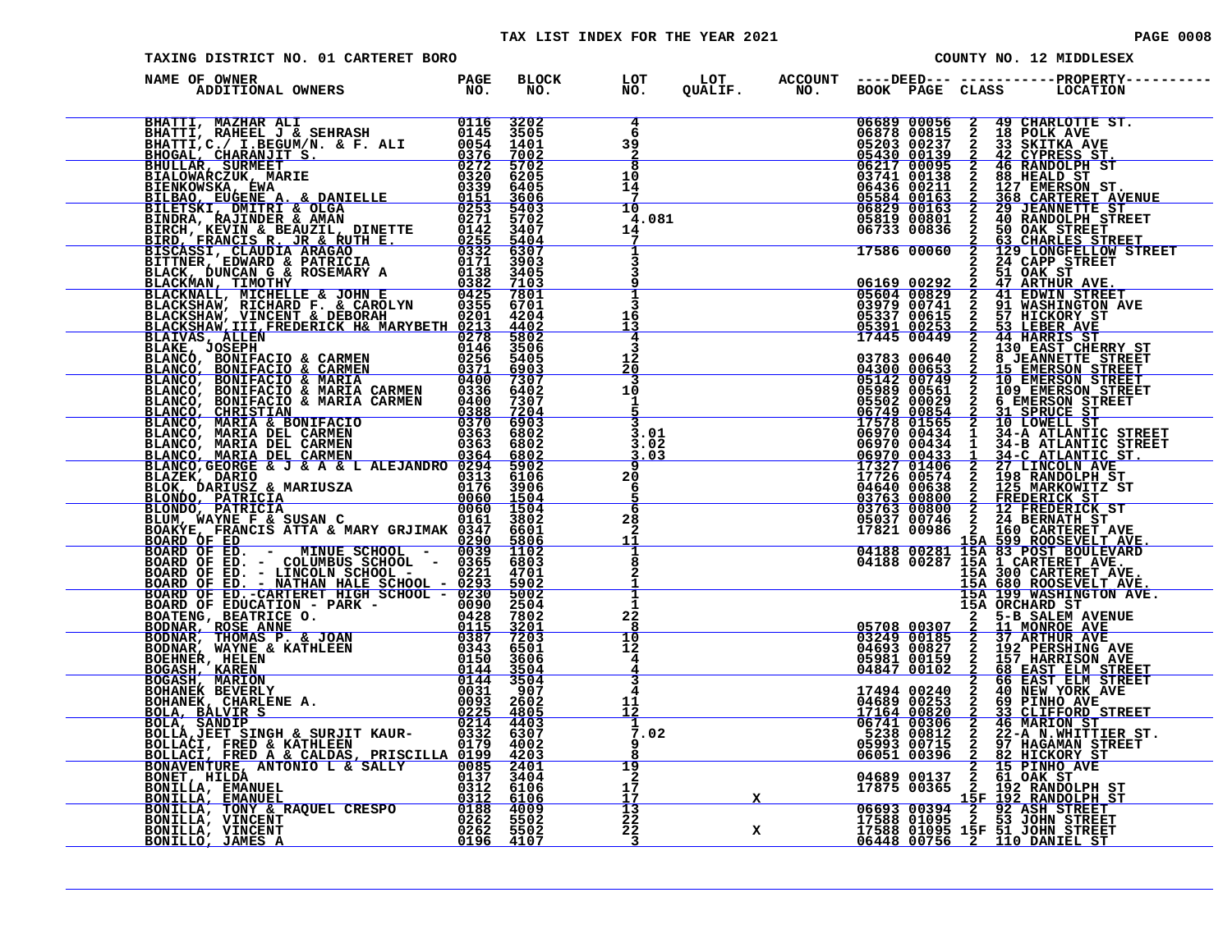| PAGE | 0008 |  |  |  |
|------|------|--|--|--|
|------|------|--|--|--|

| TAXING DISTRICT NO. 01 CARTERET BORO                                                                                                                                                                                          |  |  |                                               |   |  |                            | COUNTY NO. 12 MIDDLESEX |                                                                                                                                                                                                                                                                                                                                                                    |  |  |
|-------------------------------------------------------------------------------------------------------------------------------------------------------------------------------------------------------------------------------|--|--|-----------------------------------------------|---|--|----------------------------|-------------------------|--------------------------------------------------------------------------------------------------------------------------------------------------------------------------------------------------------------------------------------------------------------------------------------------------------------------------------------------------------------------|--|--|
| NAME OF OWNER                                                                                                                                                                                                                 |  |  |                                               |   |  |                            |                         | BLOCK LOT LOT ACCOUNT ----DEED--- -----------PROPERTY---<br>NO. NO. QUALIF. NO. BOOK PAGE CLASS LOCATION                                                                                                                                                                                                                                                           |  |  |
| NAME OF OWNER IN A SERIE BRACK AN ANNE PASSE DE CONNER PRANCE AN ANNE CONNER DE CONNER DE CONNER DE CONNER DE CONNER DE CONNER DE CONNER DE CONNER DE CONNER DE CONNER DE CONNER DE CONNER DE CONNER DE CONNER DE CONNER DE C |  |  | $\frac{4}{6}$<br>39                           |   |  |                            |                         | 06689 00056 2 49 CHARLOTTE ST.<br>06878 00815 2 18 POLK AVE<br>05203 00237 2 33 SKITKA AVE<br>05430 00139 2 42 CYPRESS ST.<br>06217 00095 2 46 RANDOLPH ST<br>06741 00138 2 368 HEALD ST.<br>05584 00163 2 368 HEALD ST.<br>05829 00163 2 368 HEALD                                                                                                                |  |  |
|                                                                                                                                                                                                                               |  |  | $\frac{2}{8}$<br>10<br>14<br>$\frac{7}{10}$   |   |  |                            |                         |                                                                                                                                                                                                                                                                                                                                                                    |  |  |
|                                                                                                                                                                                                                               |  |  | 4.081<br>14<br>7                              |   |  | 05819 00801<br>06733 00836 |                         | 2 40 RANDOLPH STREET<br>2 50 OAK STREET<br>17586 00060 2 63 CHARLES STREET<br>17586 00060 2 129 LONGFELLOW STREET<br>2 24 CAPP STREET                                                                                                                                                                                                                              |  |  |
|                                                                                                                                                                                                                               |  |  |                                               |   |  |                            |                         |                                                                                                                                                                                                                                                                                                                                                                    |  |  |
|                                                                                                                                                                                                                               |  |  | ঽ<br>16<br>13<br>4<br>3                       |   |  |                            |                         |                                                                                                                                                                                                                                                                                                                                                                    |  |  |
|                                                                                                                                                                                                                               |  |  | 12<br>2ō<br>$\overline{\mathbf{3}}$<br>10     |   |  |                            |                         |                                                                                                                                                                                                                                                                                                                                                                    |  |  |
|                                                                                                                                                                                                                               |  |  | $\mathbf{1}$<br>$\frac{5}{3}$<br>3.01<br>3.02 |   |  |                            |                         |                                                                                                                                                                                                                                                                                                                                                                    |  |  |
|                                                                                                                                                                                                                               |  |  | <u>3.03</u><br>9<br>20<br>6                   |   |  |                            |                         |                                                                                                                                                                                                                                                                                                                                                                    |  |  |
|                                                                                                                                                                                                                               |  |  | $rac{5}{6}$<br>28<br>$\mathbf{2}$             |   |  |                            |                         |                                                                                                                                                                                                                                                                                                                                                                    |  |  |
|                                                                                                                                                                                                                               |  |  | $\frac{1\bar{1}}{1}$<br>8<br>2                |   |  |                            |                         | 17586 00060 2 129 LONGEET OF STREET 06929 2 34 CARTERY STREET 03763 000614 2 2 44 HARRIS STREET 03783 000641 2 3 H WASHINGTON AVE 03377 0006142 2 44 HARRIS STREET 069253 2 53 LEBER AVE 03783 000653 2 15 EMERSON STREET 043                                                                                                                                      |  |  |
|                                                                                                                                                                                                                               |  |  | $\overline{\mathbf{1}}$<br>1<br>22<br>8       |   |  |                            |                         |                                                                                                                                                                                                                                                                                                                                                                    |  |  |
|                                                                                                                                                                                                                               |  |  | $\overline{10}$<br>$12 \overline{ }$<br>4     |   |  |                            |                         |                                                                                                                                                                                                                                                                                                                                                                    |  |  |
|                                                                                                                                                                                                                               |  |  | 4<br>11<br>12<br>1                            |   |  |                            |                         |                                                                                                                                                                                                                                                                                                                                                                    |  |  |
|                                                                                                                                                                                                                               |  |  | 7.02<br>ۏ<br>19                               |   |  |                            |                         | $\begin{tabular}{c c c c} & 15A & 199 & \texttt{MASHAN OF} \\ \hline 15A & ORCHARD ST \\ \hline 03249 & 00185 & 2 & 11 & \texttt{MONROE AVE} \\ \hline 03249 & 00185 & 2 & 11 & \texttt{MONROE AVE} \\ 04693 & 00827 & 2 & 192 & \texttt{PERSHING AVE} \\ 04693 & 00827 & 2 & 192 & \texttt{PERSHING AVE} \\ 04847 & 00102 & 2 & 68 & \texttt{EART ELM STREET} \\$ |  |  |
|                                                                                                                                                                                                                               |  |  | $\bar{2}$<br>17<br>17<br>$\frac{13}{22}$      |   |  |                            |                         |                                                                                                                                                                                                                                                                                                                                                                    |  |  |
|                                                                                                                                                                                                                               |  |  | 22<br>$\overline{\phantom{0}}^3$              | x |  |                            |                         |                                                                                                                                                                                                                                                                                                                                                                    |  |  |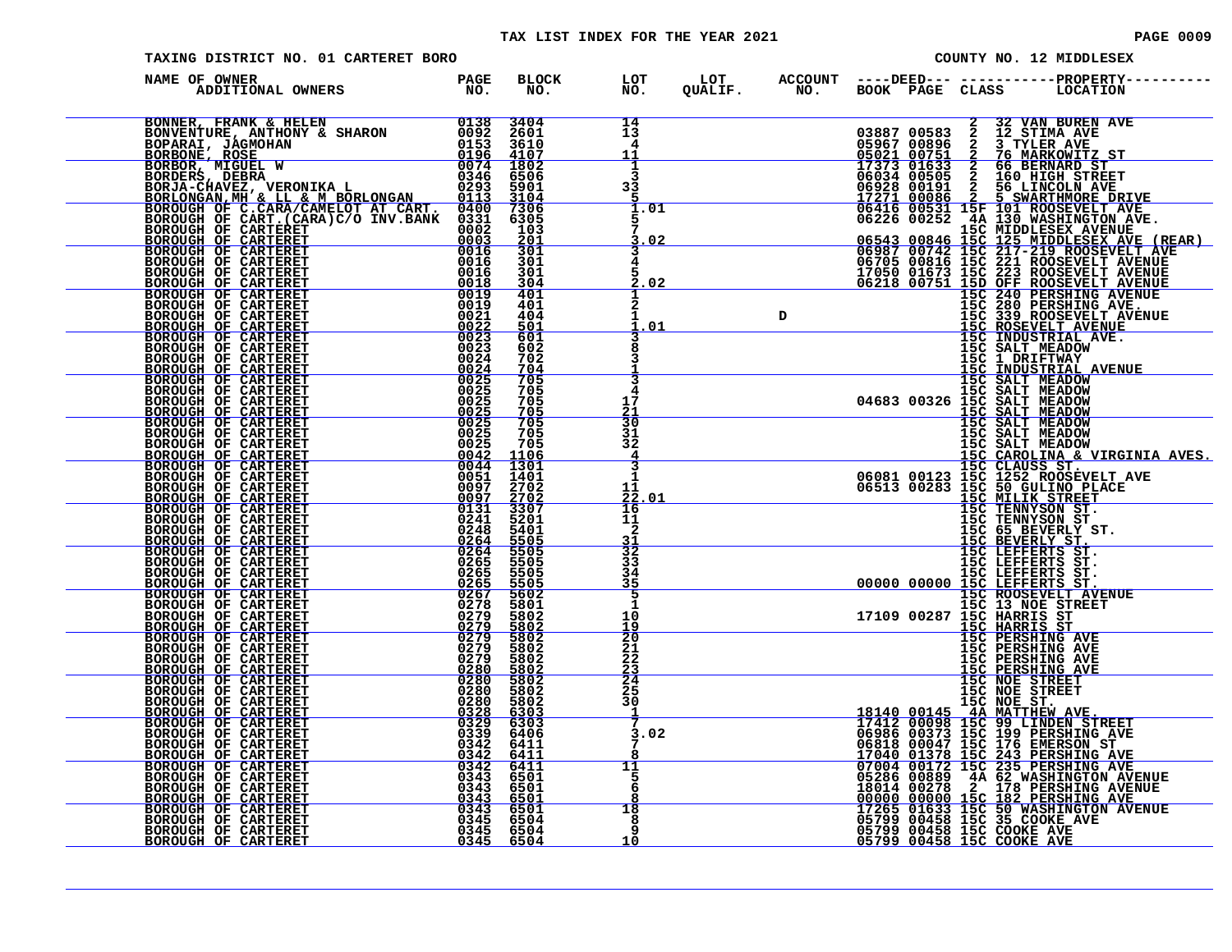### TAX LIST INDEX FOR THE YEAR 2021 **PAGE 10009** PAGE 0009

| TAXING DISTRICT NO. 01 CARTERET BORO                                                                                                                                                                                                                                                                                                                                                                                                                                                                                                                                                                                                                       |                                      |                                                   |   | COUNTY NO. 12 MIDDLESEX                                                                  |  |                                                                                                                                                                                                                                              |  |  |
|------------------------------------------------------------------------------------------------------------------------------------------------------------------------------------------------------------------------------------------------------------------------------------------------------------------------------------------------------------------------------------------------------------------------------------------------------------------------------------------------------------------------------------------------------------------------------------------------------------------------------------------------------------|--------------------------------------|---------------------------------------------------|---|------------------------------------------------------------------------------------------|--|----------------------------------------------------------------------------------------------------------------------------------------------------------------------------------------------------------------------------------------------|--|--|
| NAME OF OWNER                                                                                                                                                                                                                                                                                                                                                                                                                                                                                                                                                                                                                                              | BLOCK LOT<br>NO. NO.<br><b>BLOCK</b> |                                                   |   |                                                                                          |  |                                                                                                                                                                                                                                              |  |  |
| BONNER, FRANK & HELEN<br>BONNERTURE, ANTHONY & SHARON<br>DOPARAI, JAGMOHAN<br>BORBONE, ROSE<br>BORBONE, ROSE<br>BORBONE, NIGUEL W<br>BORBOR, MIGUEL W<br>BORDERS, DEBRA<br>BORDER SERA (9346 6506<br>BORLONGAN, MH & LL & M BORLONGAN<br>BORLONGAN                                                                                                                                                                                                                                                                                                                                                                                                         |                                      | 14<br>13<br>4<br>11                               |   |                                                                                          |  |                                                                                                                                                                                                                                              |  |  |
|                                                                                                                                                                                                                                                                                                                                                                                                                                                                                                                                                                                                                                                            |                                      | $\frac{1}{3}$<br>33<br>5                          |   |                                                                                          |  |                                                                                                                                                                                                                                              |  |  |
|                                                                                                                                                                                                                                                                                                                                                                                                                                                                                                                                                                                                                                                            |                                      | 1.01<br>5<br>5<br>. 02                            |   |                                                                                          |  |                                                                                                                                                                                                                                              |  |  |
| BOROUGH OF CARTERET BOROUGH OF CARTERET                                                                                                                                                                                                                                                                                                                                                                                                                                                                                                                                                                                                                    |                                      | 4<br>5<br>02                                      |   |                                                                                          |  |                                                                                                                                                                                                                                              |  |  |
| $\begin{array}{r} \textbf{MELOT} \hspace{0.2cm} \textbf{AT} \hspace{0.2cm} \textbf{CAP} \hspace{0.2cm} \textbf{1043} & \textbf{3104} \\ \textbf{XBLOT} \hspace{0.2cm} \textbf{AT} \hspace{0.2cm} \textbf{103} & \textbf{0302} & \textbf{0303} \\ \textbf{00015} & \textbf{0003} & \textbf{0015} & \textbf{0001} \\ \textbf{00016} & \textbf{0016} & \textbf{0016} \\ \textbf{0016} & \$<br>BOROUGH OF CARTERET<br>HOROUGH OF CARTERET<br>BOROUGH OF CARTERET<br>BOROUGH OF CARTERET<br>BOROUGH OF CARTERET<br>BOROUGH OF CARTERET<br>BOROUGH OF CARTERET<br>BOROUGH OF CARTERET<br>BOROUGH OF CARTERET<br>BOROUGH OF CARTERET<br>BOROUGH OF CARTERET<br>BO |                                      | 2<br>1<br>01                                      | D |                                                                                          |  | NO. BOOK PAGE CLASS LOCATION NEW AVERAL 00387 00383 2 12 STIMA AVE<br>03887 00583 2 12 STIMA AVE<br>03887 00583 2 12 STIMA AVE<br>05021 00751 2 76 MARKONITZ ST<br>17373 006352 2 56 BERNARD STETURE<br>06034 005351 2 166 BERNARD STETU     |  |  |
|                                                                                                                                                                                                                                                                                                                                                                                                                                                                                                                                                                                                                                                            |                                      |                                                   |   |                                                                                          |  |                                                                                                                                                                                                                                              |  |  |
|                                                                                                                                                                                                                                                                                                                                                                                                                                                                                                                                                                                                                                                            |                                      | 3<br>4<br>$\frac{17}{21}$<br>30                   |   |                                                                                          |  |                                                                                                                                                                                                                                              |  |  |
|                                                                                                                                                                                                                                                                                                                                                                                                                                                                                                                                                                                                                                                            |                                      | 31<br>$\overline{3}\overline{2}$<br>$\frac{4}{3}$ |   |                                                                                          |  |                                                                                                                                                                                                                                              |  |  |
|                                                                                                                                                                                                                                                                                                                                                                                                                                                                                                                                                                                                                                                            |                                      | $\mathbf{1}$<br>$\frac{11}{22}$<br>. 01           |   |                                                                                          |  |                                                                                                                                                                                                                                              |  |  |
|                                                                                                                                                                                                                                                                                                                                                                                                                                                                                                                                                                                                                                                            |                                      | 16<br>11<br>2<br>$\frac{31}{32}$                  |   |                                                                                          |  |                                                                                                                                                                                                                                              |  |  |
|                                                                                                                                                                                                                                                                                                                                                                                                                                                                                                                                                                                                                                                            |                                      | 33<br>34<br>35                                    |   | 15C LEFFERTS ST.<br>15C LEFFERTS ST.<br>15C LEFFERTS ST.<br>00000 00000 15C LEFFERTS ST. |  |                                                                                                                                                                                                                                              |  |  |
| BOROUGH OF CARTERET<br>BOROUGH OF CARTERET<br>BOROUGH OF CARTERET<br>BOROUGH OF CARTERET<br>BOROUGH OF CARTERET                                                                                                                                                                                                                                                                                                                                                                                                                                                                                                                                            |                                      | 5<br>1<br>10<br>19<br>$\frac{1}{20}$              |   |                                                                                          |  | 00000 00000 15C ROOSEVELT AVENUE<br>15C ROOSEVELT AVENUE<br>16C 13 NOE STREET<br>17109 00287 15C HARRIS ST<br>15C BERSHING AVE<br>15C PERSHING AVE<br>15C PERSHING AVE<br>15C PERSHING AVE<br>15C PERSHING AVE                               |  |  |
| BOROUGH OF CARTERET<br>BOROUGH OF CARTERET<br>BOROUGH OF CARTERET                                                                                                                                                                                                                                                                                                                                                                                                                                                                                                                                                                                          |                                      | 21<br>22<br>$\frac{23}{24}$                       |   |                                                                                          |  | <b>TEC PERSHING AVE<br/>TEC PERSHING AVE<br/>TEC NOE STREET<br/>TEC NOE STREET</b>                                                                                                                                                           |  |  |
| $\begin{array}{r rrrr} & & 0280 & 5802 \ \hline & & 0328 & 6303 \ 0329 & 6303 \ 0339 & 6406 \end{array}$                                                                                                                                                                                                                                                                                                                                                                                                                                                                                                                                                   |                                      | 25<br>30<br>1                                     |   |                                                                                          |  |                                                                                                                                                                                                                                              |  |  |
| BOROUGH OF CARTERET<br>BOROUGH OF CARTERET<br>BOROUGH OF CARTERET<br>BOROUGH OF CARTERET<br>BOROUGH OF CARTERET<br>BOROUGH OF CARTERET<br>BOROUGH OF CARTERET<br>BOROUGH OF CARTERET<br>BOROUGH OF CARTERET<br>BOROUGH OF CARTERET<br>BOROUGH OF CARTERET<br>BO                                                                                                                                                                                                                                                                                                                                                                                            |                                      | 7<br>3.02<br>7<br>11                              |   |                                                                                          |  | ISC NOE STREET<br>18140 00145 15C NOE STREET<br>17412 00098 15C 99 LINDEN STREET<br>06986 00373 15C 199 PERSHING AVE<br>06886 00347 15C 199 PERSHING AVE<br>06818 00047 15C 243 PERSHING AVE<br>07004 00172 15C 235 PERSHING AVE<br>07004 00 |  |  |
| $\begin{array}{r} 0339 \ 6406 \ 0342 \ 6411 \ 0342 \ 6411 \ 0343 \ 6501 \ 0343 \ 6501 \ 0343 \ 6501 \ 0343 \ 6501 \ 0344 \ 6501 \ 0345 \ 6504 \ 0345 \ 6504 \ 0345 \ 6504 \end{array}$                                                                                                                                                                                                                                                                                                                                                                                                                                                                     |                                      | 5<br>6<br>18                                      |   |                                                                                          |  |                                                                                                                                                                                                                                              |  |  |
|                                                                                                                                                                                                                                                                                                                                                                                                                                                                                                                                                                                                                                                            |                                      | 8<br>9<br>10                                      |   |                                                                                          |  |                                                                                                                                                                                                                                              |  |  |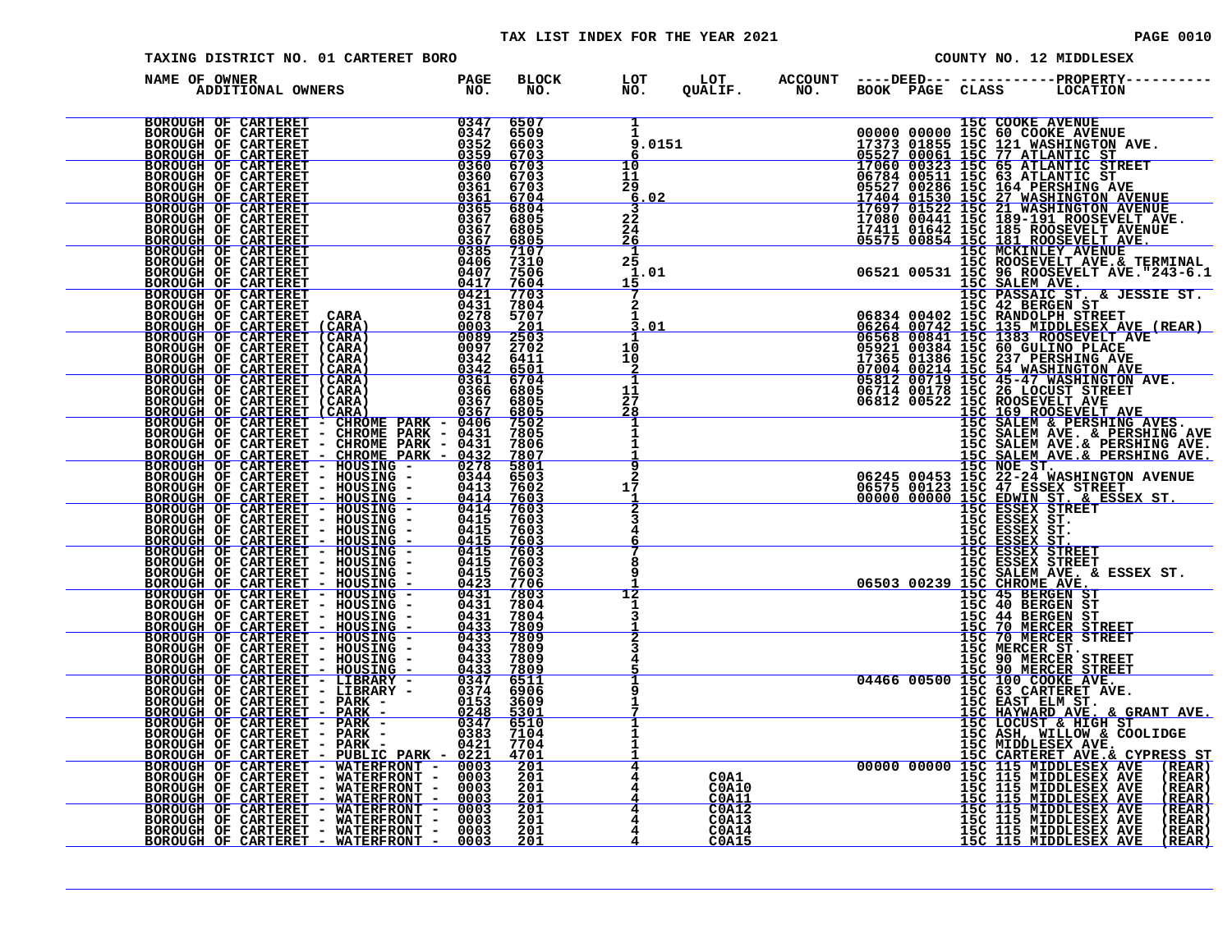### TAX LIST INDEX FOR THE YEAR 2021 **PAGE 0010** PAGE 0010

| TAXING DISTRICT NO. 01 CARTERET BORO                                                                                                                                                                                          |  |                                                                                                             | COUNTY NO. 12 MIDDLESEX |  |  |  |  |
|-------------------------------------------------------------------------------------------------------------------------------------------------------------------------------------------------------------------------------|--|-------------------------------------------------------------------------------------------------------------|-------------------------|--|--|--|--|
| NAME OF OWNER<br>DF OWNER<br>ADDITIONAL OWNERS NO.                                                                                                                                                                            |  | BLOCK LOT LOT ACCOUNT ----DEED----------------PROPERTY-----<br>NO. NO. QUALIF. NO. BOOK PAGE CLASS LOCATION |                         |  |  |  |  |
| NAME OF CONTERE PROPIES and the same of the same of the same of the same of the same of the same of the same of the same of the same of the same of the same of the same of the same of the same of the same of the same of t |  |                                                                                                             |                         |  |  |  |  |
|                                                                                                                                                                                                                               |  |                                                                                                             |                         |  |  |  |  |
|                                                                                                                                                                                                                               |  |                                                                                                             |                         |  |  |  |  |
|                                                                                                                                                                                                                               |  |                                                                                                             |                         |  |  |  |  |
|                                                                                                                                                                                                                               |  |                                                                                                             |                         |  |  |  |  |
|                                                                                                                                                                                                                               |  |                                                                                                             |                         |  |  |  |  |
|                                                                                                                                                                                                                               |  |                                                                                                             |                         |  |  |  |  |
|                                                                                                                                                                                                                               |  |                                                                                                             |                         |  |  |  |  |
|                                                                                                                                                                                                                               |  |                                                                                                             |                         |  |  |  |  |
|                                                                                                                                                                                                                               |  |                                                                                                             |                         |  |  |  |  |
|                                                                                                                                                                                                                               |  |                                                                                                             |                         |  |  |  |  |
|                                                                                                                                                                                                                               |  |                                                                                                             |                         |  |  |  |  |
|                                                                                                                                                                                                                               |  |                                                                                                             |                         |  |  |  |  |
|                                                                                                                                                                                                                               |  |                                                                                                             |                         |  |  |  |  |
|                                                                                                                                                                                                                               |  |                                                                                                             |                         |  |  |  |  |
|                                                                                                                                                                                                                               |  |                                                                                                             |                         |  |  |  |  |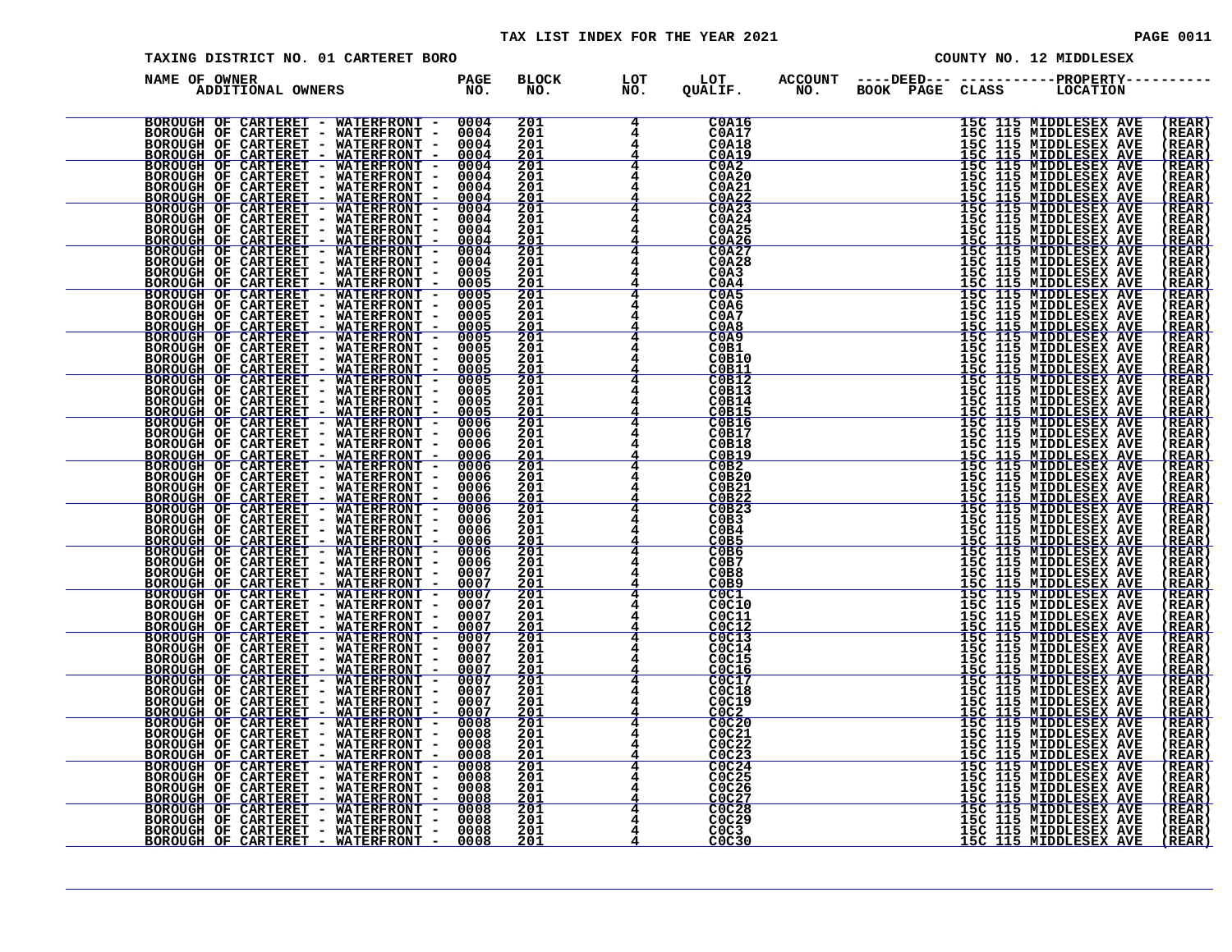| TAXING DISTRICT NO. 01 CARTERET BORO                 |  |                                        |                          |                                                                                                                                             |                        | COUNTY NO. 12 MIDDLESEX |  |                                                                                                                                                                                                                                                              |                                           |  |
|------------------------------------------------------|--|----------------------------------------|--------------------------|---------------------------------------------------------------------------------------------------------------------------------------------|------------------------|-------------------------|--|--------------------------------------------------------------------------------------------------------------------------------------------------------------------------------------------------------------------------------------------------------------|-------------------------------------------|--|
| NAME OF OWNER<br>F OWNER<br>ADDITIONAL OWNERS TO NO. |  | <b>BLOCK</b><br>NO.                    | LOT<br>$\overline{NO}$ . | LOT<br>QUALIF.                                                                                                                              | <b>ACCOUNT<br/>NO.</b> |                         |  | ----DEED--- -----------PROPERTY----------<br>BOOK PAGE CLASS     LOCATION                                                                                                                                                                                    |                                           |  |
|                                                      |  | 201<br>201<br>$\overline{201}$<br>2ŏī  | 4                        | <b>C0A16</b><br><b>C0A17</b><br><b>C0A18</b><br><b>C0A19</b>                                                                                |                        |                         |  |                                                                                                                                                                                                                                                              | (REAR)<br>(REAR)<br>(REAR)<br>(REAR)      |  |
|                                                      |  | 201<br>201<br>201                      |                          | $C0A2$<br>$C0A20$<br>C0A21                                                                                                                  |                        |                         |  |                                                                                                                                                                                                                                                              | ( REAR<br>( REAR<br>(REAR<br>REAR         |  |
|                                                      |  | $\frac{201}{201}$<br>201<br>201        |                          | C0A22<br><b>C0A24</b><br>C0A25                                                                                                              |                        |                         |  | 15C 115 MIDDLESEX AVE<br>15C 115 MIDDLESEX AVE<br>15C 115 MIDDLESEX AVE<br>15C 115 MIDDLESEX AVE<br>15C 115 MIDDLESEX AVE<br>15C 115 MIDDLESEX AVE<br>15C 115 MIDDLESEX AVE<br>15C 115 MIDDLESEX AVE<br>15C 115 MIDDLESEX AVE<br>15C 115 MIDDLESEX AVE<br>15 | ( REAR<br>(REAR<br>(REAR<br><u>(REAR</u>  |  |
|                                                      |  | $\frac{201}{201}$<br>201<br>201<br>201 |                          | $C0$ A26<br>C0A28<br>C <sub>0</sub> A <sub>3</sub><br>COA4                                                                                  |                        |                         |  |                                                                                                                                                                                                                                                              | (REAR<br>(REAR<br>(REAR<br>( REAR         |  |
|                                                      |  | 201<br>201<br>201<br>201               |                          | C <sub>0</sub> A <sub>5</sub><br>C <sub>0</sub> A <sub>6</sub><br><b>C0A7</b><br>COAB                                                       |                        |                         |  | 15C 115 MIDDLESEX AVE<br>15C 115 MIDDLESEX AVE<br>15C 115 MIDDLESEX AVE<br>15C 115 MIDDLESEX AVE<br>15C 115 MIDDLESEX AVE<br>15C 115 MIDDLESEX AVE<br>15C 115 MIDDLESEX AVE<br>15C 115 MIDDLESEX AVE                                                         | (REAR<br>( REAR<br>(REAR<br><u>(REAR</u>  |  |
|                                                      |  | 201<br>201<br>201<br>201               |                          | CO <sub>A</sub> 9<br>C0B1<br>C0B10<br>C0B11                                                                                                 |                        |                         |  | 15C 115 MIDDLESEX AVE<br>15C 115 MIDDLESEX AVE<br>15C 115 MIDDLESEX AVE<br>15C 115 MIDDLESEX AVE<br>15C 115 MIDDLESEX AVE<br>15C 115 MIDDLESEX AVE                                                                                                           | (REAR<br>(REAR<br>(REAR<br>(REAR          |  |
|                                                      |  | 201<br>201<br>201<br>$\frac{201}{201}$ |                          | <b>C0B12</b><br>C0B13<br>C0B14<br><b>COB15</b><br><b>C0B16</b>                                                                              |                        |                         |  |                                                                                                                                                                                                                                                              | (REAR)<br>(REAR<br>(REAR<br>REAR<br>(REAR |  |
|                                                      |  | 201<br>201<br>$\frac{201}{201}$<br>201 |                          | C0B17<br><b>C0B18</b><br><b>C0B19</b>                                                                                                       |                        |                         |  |                                                                                                                                                                                                                                                              | (REAR<br>( REAR<br>(REAR<br>(REAR         |  |
|                                                      |  | 201<br>2ŏī<br>201                      | 4                        | $COB2$<br>$COB20$<br>C0B21<br>CDB22<br>C0B23                                                                                                |                        |                         |  |                                                                                                                                                                                                                                                              | (REAR<br>( REAR<br>í REAR<br>(REAR        |  |
|                                                      |  | $\frac{201}{201}$<br>$\frac{201}{201}$ | 4<br>4                   | COB3<br>COB4<br>COB5<br>COB6                                                                                                                |                        |                         |  |                                                                                                                                                                                                                                                              | (REAR<br>( REAR<br><u>(REAR</u><br>( REAR |  |
|                                                      |  | 201<br>201<br><u>201</u><br>201        | 4<br>4                   | COB7<br>C0B8<br>COB9<br>COC1                                                                                                                |                        |                         |  |                                                                                                                                                                                                                                                              | (REAR<br>REAR<br><u>(REAR</u><br>( REAR   |  |
|                                                      |  | 201<br>201<br>$\frac{201}{201}$        |                          | C0C10<br>C0C11<br>$\frac{\tilde{C} \tilde{O} \tilde{C} \overline{1} \overline{2}}{\tilde{C} \tilde{O} \tilde{C} \overline{1} \overline{3}}$ |                        |                         |  |                                                                                                                                                                                                                                                              | (REAR<br>(REAR<br>(REAR<br>(REAR)         |  |
|                                                      |  | 201<br>201<br>$\frac{201}{201}$<br>201 |                          | C0C14<br>C0C15<br>C0C16<br><b>C0C17</b><br>C0C18                                                                                            |                        |                         |  |                                                                                                                                                                                                                                                              | (REAR<br>(REAR<br>(REAR<br>(REAR<br>(REAR |  |
|                                                      |  | 201<br>201<br>201<br>$\bar{201}$       |                          | C0C19<br>COC2<br>COC20<br>CO <sub>21</sub>                                                                                                  |                        |                         |  |                                                                                                                                                                                                                                                              | (REAR<br>(REAR<br>(REAR<br>( REAR         |  |
|                                                      |  | 201<br>$\frac{201}{201}$<br>201        |                          | CO <sub>22</sub><br>$\frac{\frac{0}{00023}}{\frac{0}{00024}}$                                                                               |                        |                         |  | FIRE IN FIRE PROFILE IN THE MIDDLESSES AVERALLY AND HIGHLAND IN THE MIDDLESSES AVERALLY IN THE MIDDLESSES AVERALLY IN THE MIDDLESSES AVERALLY IN THE MIDDLESSES AVERALLY IN THE MIDDLESSES AVERALLY IN THE MIDDLESSES AVERALLY                               | (REAR<br>(REAR<br>(REAR<br>(REAR          |  |
|                                                      |  | 201<br>201<br>201<br>201               |                          | COC25<br>COC26<br>COC27<br>COC28<br>C0C29                                                                                                   |                        |                         |  |                                                                                                                                                                                                                                                              | (REAR<br>(REAR<br>(REAR<br>(REAR          |  |
|                                                      |  | 201<br>201                             |                          | C <sub>0</sub> C <sub>3</sub><br>C <sub>0</sub> C <sub>30</sub>                                                                             |                        |                         |  |                                                                                                                                                                                                                                                              | (REAR<br>(REAR)                           |  |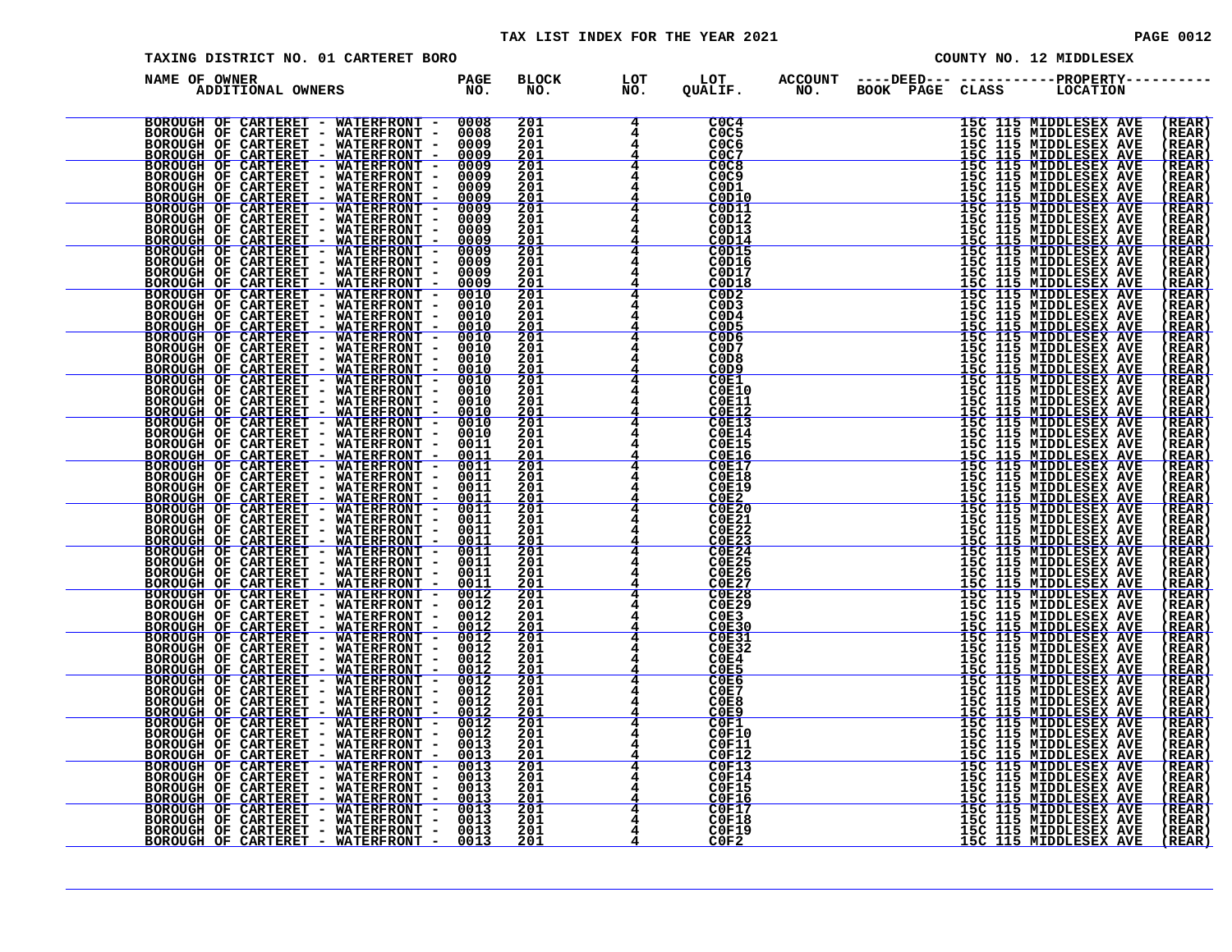### TAX LIST INDEX FOR THE YEAR 2021 **PAGE 0012** PAGE 0012

| TAXING DISTRICT NO. 01 CARTERET BORO                                                                                                                                                                                                     |  |                                         |                          |                                                                                                         | COUNTY NO. 12 MIDDLESEX |  |  |                                                                                                                                                                                                                                                              |                                                   |
|------------------------------------------------------------------------------------------------------------------------------------------------------------------------------------------------------------------------------------------|--|-----------------------------------------|--------------------------|---------------------------------------------------------------------------------------------------------|-------------------------|--|--|--------------------------------------------------------------------------------------------------------------------------------------------------------------------------------------------------------------------------------------------------------------|---------------------------------------------------|
| NAME OF OWNER<br>F OWNER<br>ADDITIONAL OWNERS TO NO.                                                                                                                                                                                     |  | <b>BLOCK</b><br>NO.                     | LOT<br>$\overline{NO}$ . | LOT<br>QUALIF.                                                                                          |                         |  |  | ACCOUNT ----DEED--- -----------PROPERTY----------<br>NO. BOOK PAGE CLASS LOCATION                                                                                                                                                                            |                                                   |
|                                                                                                                                                                                                                                          |  | 201<br>201<br>201<br>201                |                          | COC4<br>COC5<br>COC6<br>C <sub>0</sub> C <sub>7</sub>                                                   |                         |  |  |                                                                                                                                                                                                                                                              | (REAR)<br>(REAR)<br>(REAR)<br>(REAR)              |
|                                                                                                                                                                                                                                          |  | 201<br>201<br>201<br>$\frac{201}{201}$  |                          | COC8<br><b>COC9</b><br>COD1<br>C0D10                                                                    |                         |  |  |                                                                                                                                                                                                                                                              | ( REAR<br>( REAR<br>(REAR<br>REAR                 |
|                                                                                                                                                                                                                                          |  | 201<br>201<br><u> 201</u>               |                          | COD11<br>C0D12<br>C0D13<br>C0D14                                                                        |                         |  |  | 15C 115 MIDDLESEX AVE<br>15C 115 MIDDLESEX AVE<br>15C 115 MIDDLESEX AVE<br>15C 115 MIDDLESEX AVE<br>15C 115 MIDDLESEX AVE<br>15C 115 MIDDLESEX AVE<br>15C 115 MIDDLESEX AVE<br>15C 115 MIDDLESEX AVE<br>15C 115 MIDDLESEX AVE<br>15C 115 MIDDLESEX AVE<br>15 | ( REAR<br>(REAR<br>(REAR<br><u>(REAR</u>          |
|                                                                                                                                                                                                                                          |  | 201<br>201<br>201<br>201<br>201         |                          | C0D15<br>C0D16<br>C0D17<br>C0D18<br>COD2                                                                |                         |  |  |                                                                                                                                                                                                                                                              | (REAR<br>(REAR<br>(REAR<br>( REAR<br>(REAR        |
|                                                                                                                                                                                                                                          |  | 201<br>201<br>201<br>201                |                          | C <sub>0</sub> D <sub>3</sub><br>COD4<br>C <sub>0</sub> D <sub>5</sub><br>COD6                          |                         |  |  | 15C 115 MIDDLESEX AVE<br>15C 115 MIDDLESEX AVE<br>15C 115 MIDDLESEX AVE<br>15C 115 MIDDLESEX AVE<br>15C 115 MIDDLESEX AVE<br>15C 115 MIDDLESEX AVE<br>15C 115 MIDDLESEX AVE<br>15C 115 MIDDLESEX AVE                                                         | ( REAR<br>(REAR<br><u>(REAR</u><br>(REAR          |
|                                                                                                                                                                                                                                          |  | 201<br>201<br>201<br>201                |                          | C <sub>0</sub> D <sub>7</sub><br>C <sub>0</sub> D <sub>8</sub><br>C <sub>0</sub> D <sub>9</sub><br>COE1 |                         |  |  | 15C 115 MIDDLESEX AVE<br>15C 115 MIDDLESEX AVE<br>15C 115 MIDDLESEX AVE<br>15C 115 MIDDLESEX AVE<br>15C 115 MIDDLESEX AVE                                                                                                                                    | (REAR<br>(REAR<br>(REAR<br>(REAR)                 |
|                                                                                                                                                                                                                                          |  | 201<br>201<br>$\frac{201}{201}$<br>201  |                          | <b>C0E10</b><br><b>C0E11</b><br><b>COE12</b><br>COE13<br><b>C0E14</b>                                   |                         |  |  |                                                                                                                                                                                                                                                              | (REAR<br>(REAR<br>REAR<br>(REAR<br>(REAR          |
|                                                                                                                                                                                                                                          |  | 201<br>$\frac{201}{201}$<br>$\bar{201}$ |                          | <b>C0E15</b><br><b>COE16</b><br><b>COE17</b><br>C0E18                                                   |                         |  |  |                                                                                                                                                                                                                                                              | ( REAR<br>(REAR<br>(REAR<br>(REAR                 |
|                                                                                                                                                                                                                                          |  | 201<br>201<br>201<br>$\frac{201}{201}$  | 4<br>4                   | <b>C0E19</b><br>COE2<br>COE20<br><b>C0E21</b>                                                           |                         |  |  | 150 115 MIDDLESEX AVE<br>150 115 MIDDLESEX AVE<br>150 115 MIDDLESEX AVE<br>150 115 MIDDLESEX AVE<br>150 115 MIDDLESEX AVE<br>150 115 MIDDLESEX AVE<br>150 115 MIDDLESEX AVE<br>150 115 MIDDLESEX AVE<br>150 115 MIDDLESEX AVE<br>150 115 MIDDLESEX AVE<br>15 | ( REAR<br>í REAR<br>(REAR<br>(REAR                |
|                                                                                                                                                                                                                                          |  | $\frac{201}{201}$<br>201                | 4<br>4                   | <b>C0E22</b><br>$\frac{\texttt{COE23}}{\texttt{COE24}}$<br><b>C0E25</b>                                 |                         |  |  |                                                                                                                                                                                                                                                              | ( REAR<br><u>(REAR</u><br>( REAR<br>(REAR         |
|                                                                                                                                                                                                                                          |  | 201<br><u> 201</u><br>201<br>201<br>201 | 4                        | <b>C0E26</b><br>C0E27<br>COE28<br><b>C0E29</b><br>COE <sub>3</sub>                                      |                         |  |  |                                                                                                                                                                                                                                                              | (REAR<br><u>(REAR</u><br>( REAR<br>(REAR<br>(REAR |
|                                                                                                                                                                                                                                          |  | $\frac{201}{201}$<br>201<br>201         |                          | COE30<br><b>C0E31</b><br><b>C0E32</b><br>COE4                                                           |                         |  |  |                                                                                                                                                                                                                                                              | (REAR<br>(REAR)<br>(REAR<br>(REAR                 |
|                                                                                                                                                                                                                                          |  | $\frac{201}{201}$<br>201<br>201         |                          | COE5<br>COE6<br>COE7<br>COE8                                                                            |                         |  |  |                                                                                                                                                                                                                                                              | (REAR<br>(REAR<br>(REAR<br>(REAR<br>(REAR         |
| NAME OF CARTERET - WATERFRONT - 1990<br>NOGONOMI OF CARTERET - WATERFRONT - 00003<br>BOROUGH OF CARTERET - WATERFRONT - 00003<br>BOROUGH OF CARTERET - WATERFRONT - 00003<br>BOROUGH OF CARTERET - WATERFRONT - 00003<br>BOROUGH OF CART |  | 201<br>201<br>$\bar{201}$<br>201        |                          | COE9<br>C0F1<br><b>C0F10</b><br><b>C0F11</b><br>C0F12                                                   |                         |  |  | <b>15C 115 MIDDLESEX AVERICATION (15 MIDDLESEX AVERICATION 15C 115 MIDDLESEX AVERICATION 15C 115 MIDDLESEX AVERICATION 15C 115 MIDDLESEX AVERICATION (15 MIDDLESEX AVERICATION 15C 115 MIDDLESEX AVERICATION 15C 115 MIDDLESEX A</b>                         | (REAR<br>( REAR<br>(REAR<br>(REAR                 |
|                                                                                                                                                                                                                                          |  | $\frac{201}{201}$<br>201<br>201<br>201  |                          | C0F13<br><b>C0F14</b><br>C0F15<br>C0F16                                                                 |                         |  |  |                                                                                                                                                                                                                                                              | (REAR<br>(REAR<br>(REAR<br>(REAR                  |
|                                                                                                                                                                                                                                          |  | 201<br>201<br>201<br>201                |                          | C0F17<br>C0F18<br><b>C0F19</b><br>C0F2                                                                  |                         |  |  |                                                                                                                                                                                                                                                              | (REAR<br>(REAR<br>(REAR<br>(REAR)                 |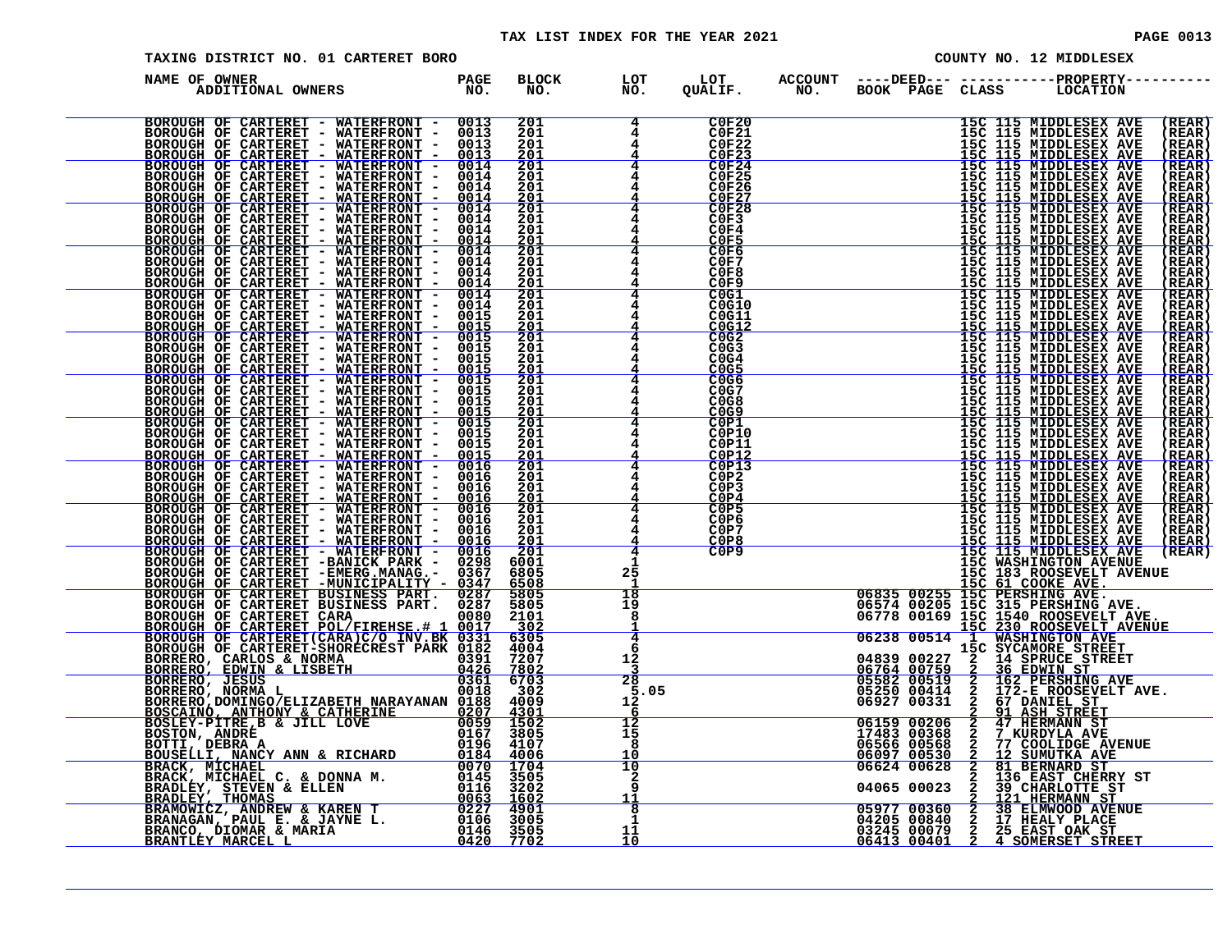| TAXING DISTRICT NO. 01 CARTERET BORO                                                                                                                                                                                                         |                     |                               |                                                                         |  | COUNTY NO. 12 MIDDLESEX                                                                                                                                                                                                                                                                                                                                                                                                 |                                |
|----------------------------------------------------------------------------------------------------------------------------------------------------------------------------------------------------------------------------------------------|---------------------|-------------------------------|-------------------------------------------------------------------------|--|-------------------------------------------------------------------------------------------------------------------------------------------------------------------------------------------------------------------------------------------------------------------------------------------------------------------------------------------------------------------------------------------------------------------------|--------------------------------|
| NAME OF OWNER<br>ADDITIONAL OWNERS PAGE                                                                                                                                                                                                      | <b>BLOCK</b><br>NO. | LOT<br>NO.                    | LOT<br>QUALIF.                                                          |  | ACCOUNT ----DEED--- -----------PROPERTY----<br>NO. BOOK PAGE CLASS LOCATION                                                                                                                                                                                                                                                                                                                                             |                                |
| ENGRE PRODUCTION ANTERET PRATEINFONT 1 00113 2011<br>HOC CARTERET - WATERFRONT 1 0013 2011<br>HOC CARTERET - WATERFRONT 1 0013 2011<br>HOC CARTERET - WATERFRONT 1 0013 2011<br>HOC CARTERET - WATERFRONT 1 0014 2011<br>HOC CARTERET -      |                     | 4<br>4                        | C0F20<br><b>C0F21</b>                                                   |  | $\begin{tabular}{c c c c} \multicolumn{1}{c}{\textbf{30.66}} \multicolumn{1}{c}{\textbf{30.67}} \multicolumn{1}{c}{\textbf{30.68}} \multicolumn{1}{c}{\textbf{50.68}} \multicolumn{1}{c}{\textbf{50.68}} \multicolumn{1}{c}{\textbf{50.68}} \multicolumn{1}{c}{\textbf{50.68}} \multicolumn{1}{c}{\textbf{50.68}} \multicolumn{1}{c}{\textbf{50.68}} \multicolumn{1}{c}{\textbf{50.68}} \multicolumn{1}{c}{\textbf{50.$ | (REAR)<br>(REAR)               |
|                                                                                                                                                                                                                                              |                     |                               | COF22                                                                   |  |                                                                                                                                                                                                                                                                                                                                                                                                                         | <b>REAR</b><br><u>(REAR)</u>   |
|                                                                                                                                                                                                                                              |                     | 4<br>4                        | $C$ OF <sub>24</sub><br><b>C0F26</b>                                    |  |                                                                                                                                                                                                                                                                                                                                                                                                                         | (REAR)<br>( REAR<br>(REAR      |
|                                                                                                                                                                                                                                              |                     |                               | C0F27<br>C0F28<br>COF3                                                  |  |                                                                                                                                                                                                                                                                                                                                                                                                                         | (REAR<br>(REAR<br>(REAR        |
|                                                                                                                                                                                                                                              |                     | 4                             | C0F4<br>COF5                                                            |  |                                                                                                                                                                                                                                                                                                                                                                                                                         | (REAR<br><u>(REAR)</u>         |
|                                                                                                                                                                                                                                              |                     |                               | C0F6<br>C0F7<br>C0F8                                                    |  |                                                                                                                                                                                                                                                                                                                                                                                                                         | (REAR)<br>(REAR<br>(REAR       |
|                                                                                                                                                                                                                                              |                     |                               | C0F9<br>COG1<br>C0G10                                                   |  |                                                                                                                                                                                                                                                                                                                                                                                                                         | (REAR)<br>(REAR)<br>(REAR      |
|                                                                                                                                                                                                                                              |                     |                               | C0G11<br>COG12<br>COG2                                                  |  |                                                                                                                                                                                                                                                                                                                                                                                                                         | (REAR<br>(REAR<br>(REAR        |
|                                                                                                                                                                                                                                              |                     |                               | C <sub>0</sub> G <sub>3</sub><br>COG4<br><b>C0G5</b>                    |  |                                                                                                                                                                                                                                                                                                                                                                                                                         | (REAR<br>(REAR<br>(REAR        |
|                                                                                                                                                                                                                                              |                     |                               | C <sub>0</sub> G <sub>6</sub><br>C <sub>0</sub> G7<br>C <sub>0</sub> G8 |  |                                                                                                                                                                                                                                                                                                                                                                                                                         | (REAR)<br>(REAR<br>(REAR       |
|                                                                                                                                                                                                                                              |                     |                               | <b>COG9</b><br>$C$ <sub>OP</sub> <sub>1</sub>                           |  |                                                                                                                                                                                                                                                                                                                                                                                                                         | (REAR<br>(REAR)                |
|                                                                                                                                                                                                                                              |                     |                               | C0P10<br>C0P11<br>COP12                                                 |  |                                                                                                                                                                                                                                                                                                                                                                                                                         | (REAR<br>(REAR<br><u>(REAR</u> |
|                                                                                                                                                                                                                                              |                     |                               | COP13<br>C0P2<br>COP3                                                   |  |                                                                                                                                                                                                                                                                                                                                                                                                                         | (REAR)<br>(REAR<br>(REAR       |
|                                                                                                                                                                                                                                              |                     |                               | COP4<br>C0P5<br>C <sub>0</sub> P <sub>6</sub>                           |  |                                                                                                                                                                                                                                                                                                                                                                                                                         | (REAR<br>(REAR)<br>( REAR      |
|                                                                                                                                                                                                                                              |                     |                               | C0P7<br>C0P8<br>COP9                                                    |  |                                                                                                                                                                                                                                                                                                                                                                                                                         | (REAR<br>(REAR)<br>(REAR)      |
|                                                                                                                                                                                                                                              |                     | 1<br>25                       |                                                                         |  |                                                                                                                                                                                                                                                                                                                                                                                                                         |                                |
|                                                                                                                                                                                                                                              |                     | 18<br>19                      |                                                                         |  |                                                                                                                                                                                                                                                                                                                                                                                                                         |                                |
|                                                                                                                                                                                                                                              |                     | 8<br>$\overline{4}$           |                                                                         |  |                                                                                                                                                                                                                                                                                                                                                                                                                         |                                |
|                                                                                                                                                                                                                                              |                     | 6<br>12<br>3                  |                                                                         |  |                                                                                                                                                                                                                                                                                                                                                                                                                         |                                |
|                                                                                                                                                                                                                                              |                     | $\overline{28}$<br>5.05<br>12 |                                                                         |  |                                                                                                                                                                                                                                                                                                                                                                                                                         |                                |
|                                                                                                                                                                                                                                              |                     | 6<br>$\frac{12}{15}$          |                                                                         |  |                                                                                                                                                                                                                                                                                                                                                                                                                         |                                |
|                                                                                                                                                                                                                                              |                     | 8<br>10<br>10                 |                                                                         |  |                                                                                                                                                                                                                                                                                                                                                                                                                         |                                |
| BORRERO, NORMA L.<br>BORRERO, DOMINGO/ELIZABETH NARAYANAN 0188 4009<br>BOSCAINO, ANTHONY & CATHERINE 0207 43001<br>BOSCAINO, ANDRE 0059 1502<br>BOSTON, ANDRE 0167 3805<br>BOTTON, ANDRE 0167 3805<br>BOTTON, ANDRE 0167 3805<br>BOUSELLI, N |                     | 2<br>9<br>11                  |                                                                         |  | 06624 00628 2 81 BERARLOTTE ST<br>04065 00023 2 39 CHARLOTTE ST<br>05977 00360 2 38 ELMWOOD AVENUE<br>04205 00840 2 38 ELMWOOD AVENUE<br>04245 00079 2 25 EAST OAK ST<br>06413 00401 2 4 SOMERSET STREET                                                                                                                                                                                                                |                                |
|                                                                                                                                                                                                                                              |                     | - 8<br>1                      |                                                                         |  |                                                                                                                                                                                                                                                                                                                                                                                                                         |                                |
|                                                                                                                                                                                                                                              |                     | 11<br>10                      |                                                                         |  |                                                                                                                                                                                                                                                                                                                                                                                                                         |                                |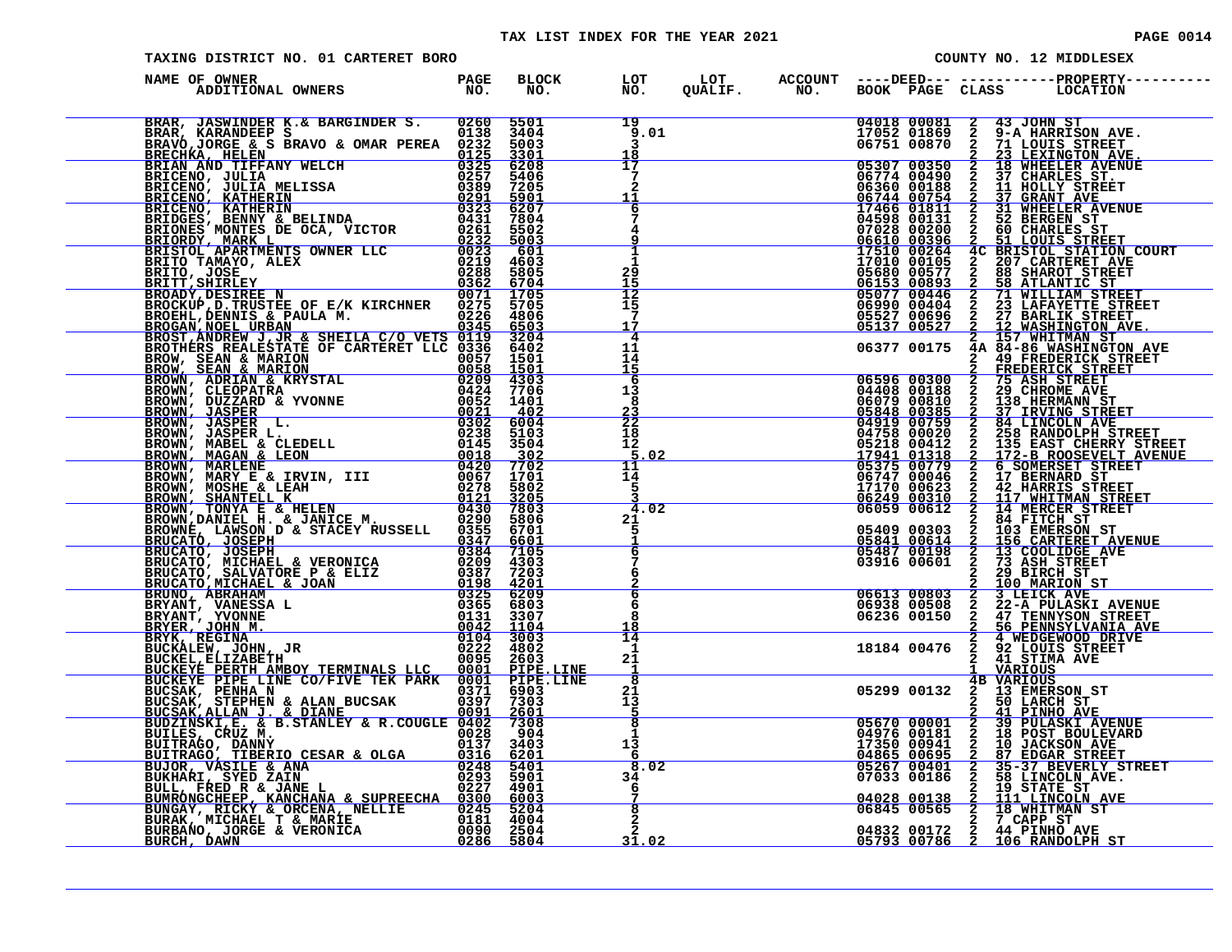| TAXING DISTRICT NO. 01 CARTERET BORO                                                                                                                                                                                                       |             |                                              |  |  | COUNTY NO. 12 MIDDLESEX                                                                                                                                                                                                                      |
|--------------------------------------------------------------------------------------------------------------------------------------------------------------------------------------------------------------------------------------------|-------------|----------------------------------------------|--|--|----------------------------------------------------------------------------------------------------------------------------------------------------------------------------------------------------------------------------------------------|
| NAME OF OWNER                                                                                                                                                                                                                              |             |                                              |  |  |                                                                                                                                                                                                                                              |
| BRAR, JASWINDER K.& BARGINDER S. 0260 5501<br>BRAR, KARANDEEP S. 0138 3404<br>BRAVO,JORGE & S BRAVO & OMAR PEREA 0232 5003<br>BRECHKA, HELEN<br>BRICENO, JULIA MELISSA 0235 5206<br>BRICENO, ULIA MELISSA 0235 5406<br>BRICENO, KATHERIN 0 |             | 19<br>9.01<br>3.<br>18                       |  |  | 04018 00081 2 43 JOHN ST<br>17052 01869 2 9-A HARRISON AVE.<br>06751 00870 2 21 LOUIS STREET<br>05307 00350 2 18 WHEELER AVENUE<br>06360 00188 2 11 HOLLY STREET<br>06360 00188 2 11 HOLLY STREET<br>06744 00154 2 31 WHEELER AVENUE<br>0674 |
|                                                                                                                                                                                                                                            |             | $\overline{17}$<br>-7<br>2<br>$\frac{11}{6}$ |  |  |                                                                                                                                                                                                                                              |
|                                                                                                                                                                                                                                            |             | 7<br>4<br>9                                  |  |  |                                                                                                                                                                                                                                              |
|                                                                                                                                                                                                                                            |             | $\frac{1}{1}$<br>$^{29}_{15}$                |  |  |                                                                                                                                                                                                                                              |
|                                                                                                                                                                                                                                            |             | $\frac{12}{15}$<br>7<br>$\overline{4}$       |  |  |                                                                                                                                                                                                                                              |
|                                                                                                                                                                                                                                            |             | 11<br>14<br>15<br>6                          |  |  | 06377 00175 44 84-86 WASHINGTON AVE<br>2 49 FREDERICK STREET<br>06596 00300 2 75 AREDERICK STREET<br>06596 00300 2 75 ASH STREET<br>066979 00810 2 29 CHROME AVE<br>066079 00810 2 138 HERMANN STREET<br>066079 00810 2 138 HERMANN STREET   |
|                                                                                                                                                                                                                                            |             | 13<br>8<br>$\frac{23}{22}$                   |  |  |                                                                                                                                                                                                                                              |
|                                                                                                                                                                                                                                            |             | 18<br>$12 \overline{ }$<br>5.02<br>11        |  |  |                                                                                                                                                                                                                                              |
|                                                                                                                                                                                                                                            |             | 14<br>-5<br>4.02                             |  |  |                                                                                                                                                                                                                                              |
|                                                                                                                                                                                                                                            |             | 21<br>5<br>$\frac{1}{6}$                     |  |  | 06747 000446 2 17 BERNARD STREET<br>17170 00623 2 12 HARRIS STREET<br>06249 00310 2 117 WHITMAN STREET<br>06059 00612 2 14 MERCER STREET<br>2 84 FITCH ST<br>05409 00303 2 1056 EMERSON ST<br>05841 00614 2 156 CARTERET AVENUE<br>05487 001 |
|                                                                                                                                                                                                                                            |             | $7\phantom{.0}$<br>6<br>6                    |  |  | 29 BIRCH ST                                                                                                                                                                                                                                  |
|                                                                                                                                                                                                                                            |             | 6<br>8<br>18<br>$\overline{14}$              |  |  |                                                                                                                                                                                                                                              |
|                                                                                                                                                                                                                                            |             | 1<br>21<br>ह                                 |  |  |                                                                                                                                                                                                                                              |
|                                                                                                                                                                                                                                            |             | 21<br>$1\frac{3}{5}$<br>$\overline{8}$       |  |  |                                                                                                                                                                                                                                              |
| BROGNI NEEL URBAN AND SEAMENT EN 1978 1978<br>EROSTI ANDERN JUNK SHEILA C/O VETS 00115 19704<br>BROWN, SEAN & MARION<br>BROWN, SEAN & MARION<br>BROWN, CLEOPATRA & KRYSTAL 00252 1401<br>BROWN, DUETAN & KRYSTAL 00252 1402<br>BROWN, DUET |             | $\mathbf{1}$<br>13<br>$\frac{1}{8.02}$       |  |  | 03916 00601 2 23 ASH STREET<br>06613 00803 2 1EICK AVE<br>06613 00803 2 1EICK AVE<br>06638 00508 2 27-A PULASKI AVENUE<br>06938 00508 2 27 TENNSYSON STREET<br>06236 00150 2 247 TENNSYSON STREET<br>2 4 WEDGEWOOD DRIVE<br>18184 00476 2 2  |
|                                                                                                                                                                                                                                            |             | 34<br>6                                      |  |  |                                                                                                                                                                                                                                              |
|                                                                                                                                                                                                                                            | $rac{8}{2}$ | 31.02                                        |  |  |                                                                                                                                                                                                                                              |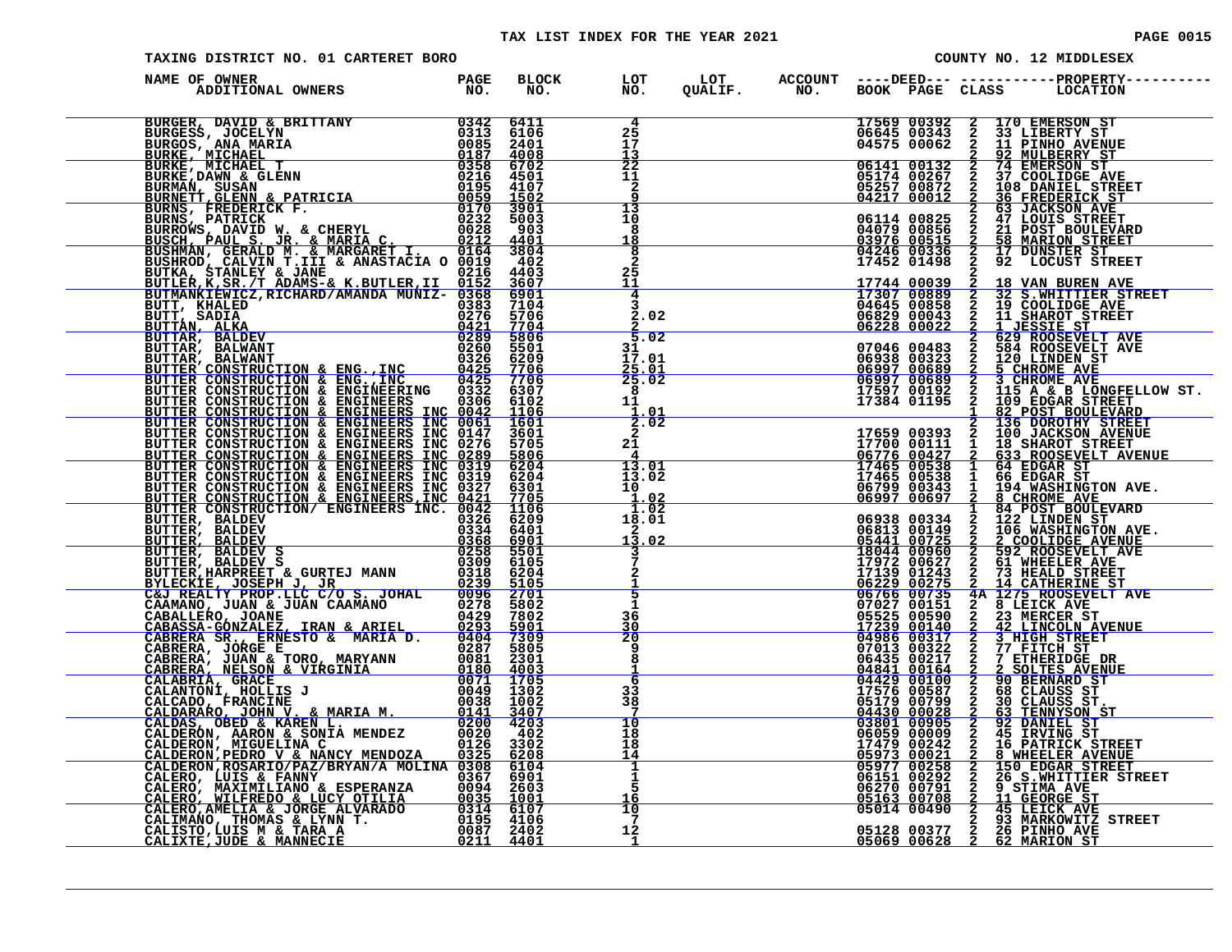### TAX LIST INDEX FOR THE YEAR 2021 **PAGE 10015** PAGE 0015

| TAXING DISTRICT NO. 01 CARTERET BORO                                                                                                                                                                                                         |                      |                                                      |  |                                                                         | COUNTY NO. 12 MIDDLESEX                                                                                                                                                                                                                                                                                             |
|----------------------------------------------------------------------------------------------------------------------------------------------------------------------------------------------------------------------------------------------|----------------------|------------------------------------------------------|--|-------------------------------------------------------------------------|---------------------------------------------------------------------------------------------------------------------------------------------------------------------------------------------------------------------------------------------------------------------------------------------------------------------|
| NAME OF OWNER<br>DF OWNER<br>ADDITIONAL OWNERS TO NO.                                                                                                                                                                                        | BLOCK LOT<br>NO. NO. |                                                      |  |                                                                         |                                                                                                                                                                                                                                                                                                                     |
| BURGER, DAVID & BRITTANY 0342 6411<br>BURGESS, JOCELYN 0313 6106<br>BURGOS, ANA MARIA 0085 2401<br>BURKE, MICHAEL 0187 4008<br>BURKE, MICHAEL 0187 4008<br>BURKE, DAWN & GLENN 0216 4501<br>BURNET, GLENN 0216 4501<br>BURNET, GLENN 0195 41 |                      | 4<br>$^{25}_{17}$<br>13                              |  | 17569 00392<br>06645 00343<br>04575 00062                               | 2 170 EMERSON ST<br>2 33 LIBERTY ST<br>2 11 PINHO AVENUE                                                                                                                                                                                                                                                            |
|                                                                                                                                                                                                                                              |                      | 22<br>11<br>$\mathbf{2}$<br>13                       |  | 06141 00132<br>05174 00267<br>05257 00872<br>04217 00012                | <b>2 11 PINHO AVENUE<br/> 2 2 MULEERRY ST<br/> 2 74 EMERSON ST<br/> 2 37 COOLIDGE AVE<br/> 2 108 DANIEL STREET<br/> 2 63 JACKSON AVE<br/> 2 47 LOUIS STREET<br/> 2 47 LOUIS STREET<br/> 2 58 MARION STREET<br/> 2 17 DUNSTER ST<br/> 2 17 DUNSTER ST<br/> 2 2 LOCUST STREET<br/></b>                                |
|                                                                                                                                                                                                                                              |                      | 10<br>8<br><u>18</u>                                 |  | 06114 00825<br>04079 00856<br>03976 00515<br>04246 00336<br>17452 01498 |                                                                                                                                                                                                                                                                                                                     |
| BUTKA, STANLEY & JANE<br>BUTLER, K, SR./T ADAMS-& K. BUTLER, II 0152 3607<br>BUTLER, K, SR./T ADAMS-& K. BUTLER, II 0152 3607<br>BUTMANKIEWICZ, RICHARD/AMANDA MUNIZ- 0368 6901                                                              |                      | $\frac{8}{2}$<br>25<br>11<br>$\overline{4}$          |  |                                                                         |                                                                                                                                                                                                                                                                                                                     |
|                                                                                                                                                                                                                                              |                      | 2.02<br>$\frac{2}{5.02}$                             |  |                                                                         |                                                                                                                                                                                                                                                                                                                     |
|                                                                                                                                                                                                                                              |                      | 31<br>17.01<br>$\frac{\overline{25.01}}{25.02}$<br>8 |  |                                                                         |                                                                                                                                                                                                                                                                                                                     |
|                                                                                                                                                                                                                                              |                      | 11<br>$\frac{1.01}{2.02}$                            |  |                                                                         |                                                                                                                                                                                                                                                                                                                     |
|                                                                                                                                                                                                                                              |                      | 21<br>$\frac{4}{13.01}$<br>13.02                     |  |                                                                         |                                                                                                                                                                                                                                                                                                                     |
|                                                                                                                                                                                                                                              |                      | $\overline{10}$<br>1.02<br>1.02<br>18.01<br>2        |  |                                                                         |                                                                                                                                                                                                                                                                                                                     |
|                                                                                                                                                                                                                                              |                      | 13.02                                                |  |                                                                         |                                                                                                                                                                                                                                                                                                                     |
| BUTTER, FRANKENT & JAMEL MARINE (1976)<br>BUTTER, F.S. (1976)<br>BUTTER, F.S. (T. ADAMS = K. BUTLER, III 0152 1607)<br>BUTTER, F.S. (T. ADAMS = K. BUTLER, III 0152 1607)<br>BUTTAR, BALDEV 02289 52010<br>BUTTAR, BALDEV 02289 52010<br>B   |                      | $rac{2}{5}$<br>$\ddot{1}$<br>36                      |  |                                                                         | $\begin{tabular}{c c c c} $1.774$ & $0.5889$ \\ \hline 1724$ & $0.6829$ & $2$ & $19$ & $5111$ & $11111$ \\ 0.68229 & 0.00242 & 2 & 1\_JESSET ST1T & AVE \\ 0.68229 & 0.0022 & 2 & 2 & 1\_JESSET ST1T & AVE \\ 0.7046 & 0.0483 & 2 & 524 & ROOSEVELT & AVE \\ 0.6938 & 0.232 & 1 & 2 & 1 & 1 & 1 & 1 & 1 & 1 & 1 & $ |
|                                                                                                                                                                                                                                              |                      | <u>30</u><br>20<br>9<br>8<br>-1                      |  |                                                                         | 07027 00151 44 28 LEICK AVENUE<br>07027 00151 42 BLEICK AVE<br>055235 00590 2 23 MERCER ST<br>17239 00140 2 42 LINCOLM AVENUE<br>070113 00322 2 77 FITCH ST<br>06431 00161 2 2 SOLITES DR<br>04841 00161 2 2 SOLITES DR<br>044429 00100 2 90                                                                        |
|                                                                                                                                                                                                                                              |                      | 6<br>33<br>38<br>Ž                                   |  |                                                                         |                                                                                                                                                                                                                                                                                                                     |
|                                                                                                                                                                                                                                              |                      | 10<br>18<br>18<br>14                                 |  |                                                                         |                                                                                                                                                                                                                                                                                                                     |
|                                                                                                                                                                                                                                              |                      | $\frac{1}{1}$<br>16<br>10                            |  |                                                                         |                                                                                                                                                                                                                                                                                                                     |
|                                                                                                                                                                                                                                              |                      | -7<br>12<br>$\mathbf{1}$                             |  |                                                                         | 05128 00377 2 26 PINHO AVE<br>05069 00628 2 62 MARION ST                                                                                                                                                                                                                                                            |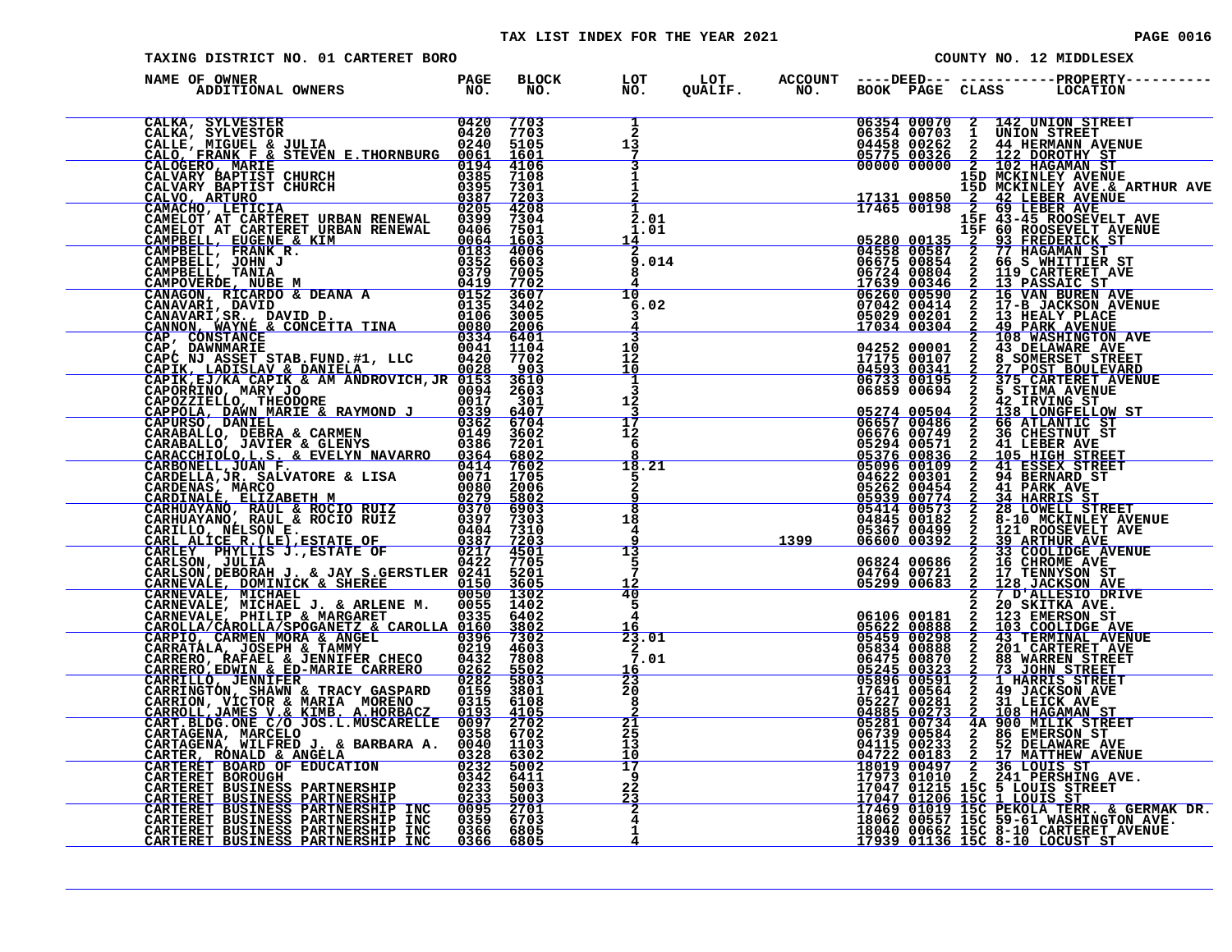| TAXING DISTRICT NO. 01 CARTERET BORO                                                                                                                                                                                                          |                  |                                                            |      | COUNTY NO. 12 MIDDLESEX |  |                                                                                                                                                                                                                                                                                                                                                                                            |  |  |  |
|-----------------------------------------------------------------------------------------------------------------------------------------------------------------------------------------------------------------------------------------------|------------------|------------------------------------------------------------|------|-------------------------|--|--------------------------------------------------------------------------------------------------------------------------------------------------------------------------------------------------------------------------------------------------------------------------------------------------------------------------------------------------------------------------------------------|--|--|--|
| NAME OF OWNER                                                                                                                                                                                                                                 | BLOCK LOT<br>NO. | NO.                                                        |      |                         |  |                                                                                                                                                                                                                                                                                                                                                                                            |  |  |  |
| ADDITIONAL OWNERS MO. MO. NO. NO. NO. NO. NO. NO. CALIKA, SYLVESTER 0420 7703<br>CALICA, SYLVESTER 0420 7703<br>CALICA, SYLVESTER CHERN E.THORNBURG 0020 51001<br>CALICAT ARTIFIC CHURCH 0385 7105<br>CALICAT BARTIST CHURCH 0385 72013<br>CA |                  | $\frac{1}{2}$<br>13<br>7                                   |      |                         |  | 06354 00070 2 142 UNION STREET<br>06354 00703 1 UNION STREET<br>04458 00262 2 44 HERMANN AVENUE<br>05775 00326 2 122 DOROTHY ST<br>00000 00000 12, 102 HAGAMAN ST                                                                                                                                                                                                                          |  |  |  |
|                                                                                                                                                                                                                                               |                  | 3<br>п.                                                    |      |                         |  | 15D MCKINLEY AVENUE                                                                                                                                                                                                                                                                                                                                                                        |  |  |  |
|                                                                                                                                                                                                                                               |                  | 2.01<br>1.01<br>14<br>9.014                                |      |                         |  | $\begin{tabular}{c c c c} \hline & $15D$~\texttt{MCKINLEY} \hline & $15D$~\texttt{MCKINLEY} \hline & $15D$~\texttt{MCKINLEY} \hline & $15D$~\texttt{MCKINLEY} \hline & $15D$~\texttt{MCKINLEY} \hline & $15D$~\texttt{MCKINLEY} \hline & $15D$~\texttt{MCKINLEY} \hline & $15D$~\texttt{MCKINLEY} \hline & $15F$~\texttt{60} \hline & $15F$~\texttt{61} \hline & $15F$~\texttt{63} \hline$ |  |  |  |
|                                                                                                                                                                                                                                               |                  | 10<br>6.02                                                 |      |                         |  |                                                                                                                                                                                                                                                                                                                                                                                            |  |  |  |
|                                                                                                                                                                                                                                               |                  | 10<br>īž.                                                  |      |                         |  |                                                                                                                                                                                                                                                                                                                                                                                            |  |  |  |
|                                                                                                                                                                                                                                               |                  | 10<br>1<br>3<br>12                                         |      |                         |  | 04252 00001 2 43 DELAMARE AVE<br>17175 00107 2 8 SOMERSET STREET<br>04593 00341 2 27 POST BOULEVARD<br>06733 00195 2 375 CARTERET AVENUE<br>06859 00694 2 5 STRMA AVENUE                                                                                                                                                                                                                   |  |  |  |
|                                                                                                                                                                                                                                               |                  | $\frac{3}{17}$<br>12<br>-6                                 |      |                         |  |                                                                                                                                                                                                                                                                                                                                                                                            |  |  |  |
|                                                                                                                                                                                                                                               |                  | 18.21<br>5.<br>2<br>q                                      |      |                         |  | 06859 00694 2 5/3 CARTERET AVENUE<br>05274 00504 2 42 IRVING ST<br>06859 00694 2 42 IRVING ST<br>06657 00486 2 66 ATLANTIC ST<br>066676 00749 2 36 CHESTNUT ST<br>066676 00749 2 36 CHESTNUT ST<br>052394 00836 2 105 HTGH STREET<br>05336 0                                                                                                                                               |  |  |  |
|                                                                                                                                                                                                                                               |                  | $\overline{\mathbf{8}}$<br>18<br>4<br>Q<br>$\overline{13}$ | 1399 |                         |  |                                                                                                                                                                                                                                                                                                                                                                                            |  |  |  |
|                                                                                                                                                                                                                                               |                  | 5<br><u> 12</u><br>40                                      |      |                         |  |                                                                                                                                                                                                                                                                                                                                                                                            |  |  |  |
|                                                                                                                                                                                                                                               |                  | 5<br>4<br>23.01<br>$\mathbf{2}$                            |      |                         |  |                                                                                                                                                                                                                                                                                                                                                                                            |  |  |  |
|                                                                                                                                                                                                                                               |                  | 7.01<br>L6<br>$\frac{23}{20}$                              |      |                         |  |                                                                                                                                                                                                                                                                                                                                                                                            |  |  |  |
|                                                                                                                                                                                                                                               |                  | 8<br>21<br>$\overline{2}\overline{5}$<br>īз                |      |                         |  |                                                                                                                                                                                                                                                                                                                                                                                            |  |  |  |
|                                                                                                                                                                                                                                               |                  | $\frac{10}{17}$<br>9<br>$2\overline{2}$                    |      |                         |  |                                                                                                                                                                                                                                                                                                                                                                                            |  |  |  |
| CARLEY PHYLLIS J.ESTATE OF 0287 7203<br>CARLEY PHYLLIS J.ESTATE OF 0287 72501<br>CARLEY PHYLLIS J.ESTATE OF 0227 4501<br>CARNEVALE, DOMINICK & SHEREE 0150 5605<br>CARNEVALE, DOMINICK & SHEREE 0150 5005<br>CARNEVALE, NICHAEL J. & ARLENE M |                  | $\frac{2\frac{3}{2}}{2}$                                   |      |                         |  | $\begin{tabular}{c cccc} $2$ & $20$-KLLES1O LKLSE1G1LKLSE1G1LKLSE1G21KAAABE1$\\ \hline 055622&00888&2&103&5005LIDGE \\ 05523&00298&2&43&7080LIDGE \\ 05459&00298&2&43&7080LIDGE \\ 05834&00888&2&201&CARTREET AVE \\ 05834&00888&2&201&CARTREET AVE \\ 058425&00870&2&88&WARRSITERET \\ 05821&005$                                                                                         |  |  |  |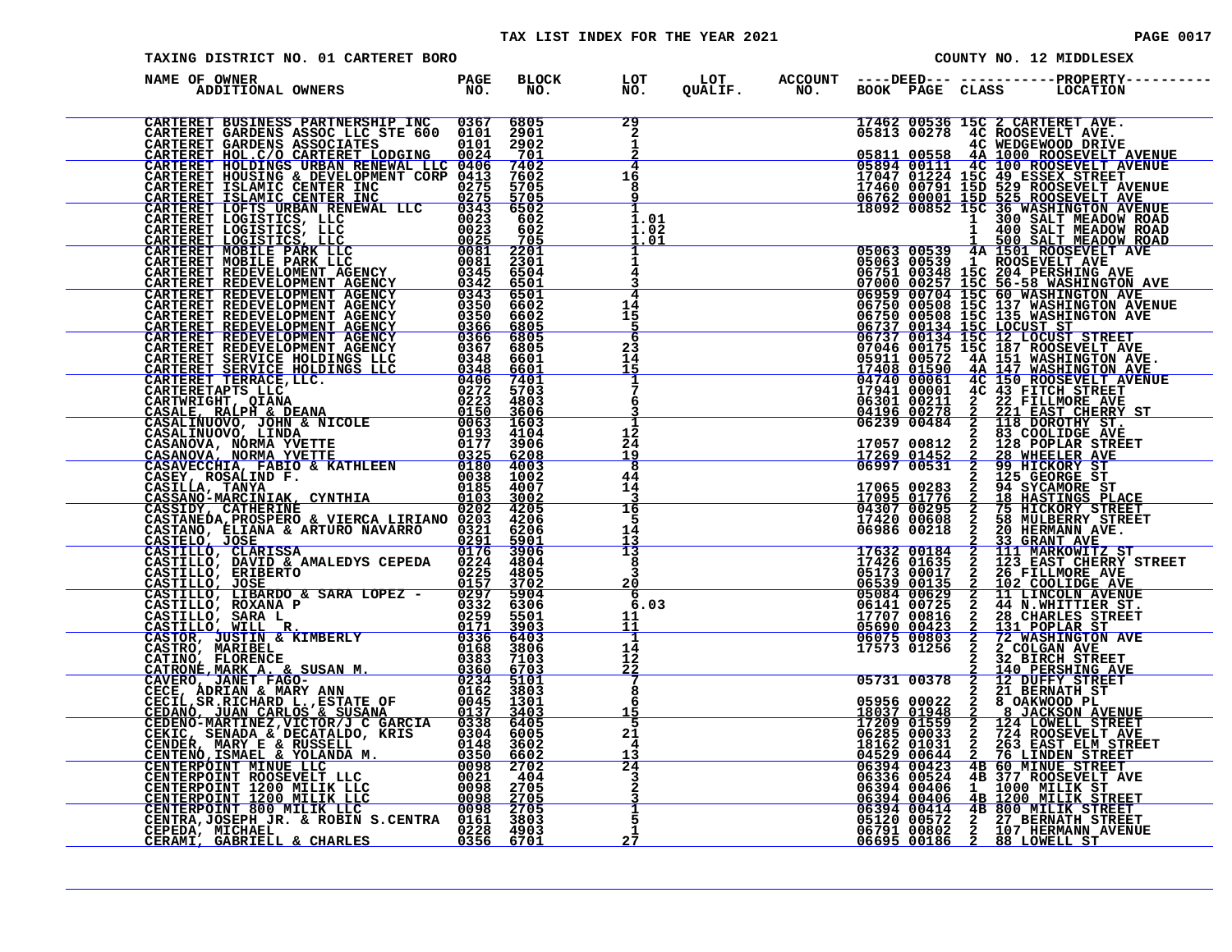### TAX LIST INDEX FOR THE YEAR 2021 **PAGE 0017** PAGE 0017

|  | -------- | - -<br>__ |  |
|--|----------|-----------|--|
|  |          |           |  |
|  |          |           |  |
|  |          |           |  |
|  |          |           |  |

| TAXING DISTRICT NO. 01 CARTERET BORO                 |           |           |                                                                |  | COUNTY NO. 12 MIDDLESEX                                                                |                                                  |                                 |                                                                                                                                                                                                                                                                                                                                                                                                                                                    |  |
|------------------------------------------------------|-----------|-----------|----------------------------------------------------------------|--|----------------------------------------------------------------------------------------|--------------------------------------------------|---------------------------------|----------------------------------------------------------------------------------------------------------------------------------------------------------------------------------------------------------------------------------------------------------------------------------------------------------------------------------------------------------------------------------------------------------------------------------------------------|--|
| NAME OF OWNER<br>F OWNER<br>ADDITIONAL OWNERS TO NO. |           |           |                                                                |  |                                                                                        |                                                  |                                 | BLOCK LOT LOT ACCOUNT ----DEED--- ------------PROPERTY----<br>NO. NO. QUALIF. NO. BOOK PAGE CLASS LOCATION                                                                                                                                                                                                                                                                                                                                         |  |
|                                                      |           |           | $\frac{29}{2}$<br>$\mathbf{1}$<br>$\frac{\frac{1}{2}}{4}$      |  |                                                                                        |                                                  |                                 | 17462 00536 15C 2 CARTERET AVE.<br>05813 00278 4C ROOSEVELT AVE.<br>05811 00558 4A 1000 ROOSEVELT AVENUE<br>05894 00111 4C 1000 ROOSEVELT AVENUE<br>17047 01224 15C 49 ESSEX STREET<br>17460 00791 15D 529 ROOSEVELT AVENUE<br>06762 00001                                                                                                                                                                                                         |  |
|                                                      |           |           | $1\bar{6}$<br>8<br>ۊ                                           |  |                                                                                        |                                                  |                                 |                                                                                                                                                                                                                                                                                                                                                                                                                                                    |  |
|                                                      |           |           | 1<br>1.01<br>1.02<br><u>1.01</u><br>ı                          |  |                                                                                        |                                                  |                                 | $\begin{array}{cccc} \textcolor{red}{18092} \textcolor{red}{00852} \textcolor{red}{15092} \textcolor{red}{20852} \textcolor{red}{15092} \textcolor{red}{3609852} \textcolor{red}{15092} \textcolor{red}{3609852} \textcolor{red}{1509852} \textcolor{red}{1509852} \textcolor{red}{150981T} \textcolor{red}{\textbf{M}\text{ER1DON RORD}} \\ \textcolor{red}{11} \textcolor{red}{109981T} \textcolor{red}{11} \textcolor{red}{109981T} \textcolor$ |  |
|                                                      |           |           | 1<br>4<br>3<br>4                                               |  |                                                                                        |                                                  |                                 |                                                                                                                                                                                                                                                                                                                                                                                                                                                    |  |
|                                                      |           |           | $\frac{1}{15}$<br><u>5</u><br>6                                |  |                                                                                        |                                                  |                                 |                                                                                                                                                                                                                                                                                                                                                                                                                                                    |  |
|                                                      |           |           | 23<br>14<br>15<br>1                                            |  |                                                                                        |                                                  |                                 |                                                                                                                                                                                                                                                                                                                                                                                                                                                    |  |
|                                                      |           |           | 7<br>6<br>12                                                   |  |                                                                                        |                                                  | $\mathbf{2}$                    |                                                                                                                                                                                                                                                                                                                                                                                                                                                    |  |
|                                                      |           |           | $\overline{2}\overline{4}$<br>$\frac{\bar{1}\bar{9}}{8}$<br>44 |  |                                                                                        | 17057 00812<br><u>17269 01452</u><br>06997 00531 | $\overline{2}$<br>$\frac{2}{2}$ | 83 COOLIDGE AVE<br>128 POPLAR STREET                                                                                                                                                                                                                                                                                                                                                                                                               |  |
|                                                      |           |           | 14<br>3<br>16<br>5                                             |  | 04307 00295<br>17420 00608<br>06986 00218                                              | 17065 00283<br>17095 01776                       |                                 | 128 WHEELER SIKE<br>28 WHEELER AVE<br>29 HICKORY ST<br>125 GEORGE ST<br>34 SYCAMORE ST<br>75 HICKORY STREET<br>75 HICKORY STREET<br>58 MULBERRY STREET<br>20 HERMANN AVE.<br>23 GEAMT AVE.                                                                                                                                                                                                                                                         |  |
|                                                      |           |           | 14<br>$\frac{13}{13}$<br>8                                     |  |                                                                                        |                                                  | <b>ANDIANONONONONONO</b>        | 33 GRANT AVE<br>111 MARKOWITZ ST                                                                                                                                                                                                                                                                                                                                                                                                                   |  |
|                                                      |           |           | 3<br>20<br>6<br>6.03                                           |  | 17632 00184<br>17426 01635<br>05173 00017<br>06539 00135<br>05084 00629<br>06141 00725 |                                                  |                                 | 123 EAST CHERRY STREET<br>26 FILLMORE AVE<br>102 COOLIDGE AVE<br>11 LINCOLN AVENUE<br>44 N.WHITTIER ST.                                                                                                                                                                                                                                                                                                                                            |  |
|                                                      |           |           | $\frac{11}{11}$<br>ı<br>14                                     |  | 17707 00816<br><u>05690 00423</u><br>06075 00803<br>17573 01256                        |                                                  |                                 | 28 CHARLES STREET<br>131 POPLAR ST<br>72 WASHINGTON AVE<br>2 COLGAN AVE                                                                                                                                                                                                                                                                                                                                                                            |  |
|                                                      |           |           | 12<br>$\frac{\overline{2}\overline{2}}{7}$<br>8                |  |                                                                                        | 05731 00378                                      |                                 | 32 BIRCH STREET<br>2 140 PERSHING AVE<br>2 12 DUFFY STREET<br>2 21 BERNATH ST                                                                                                                                                                                                                                                                                                                                                                      |  |
|                                                      |           |           | 6<br><u> 15</u><br>5<br>21<br>4                                |  | 18037 01948<br>17209 01559<br>06285 00033                                              | 05956 00022<br>18162 01031                       |                                 | 2 21 BEKNAIN 51<br>2 8 JACKSON AVENUE<br>2 124 LOWELL STREET<br>2 226 ROSEVELT AVENUE<br>2 263 EAST ELM STREET<br>2 76 LINDEN STREET<br>4B 60 MINUE STREET<br>4B 60 MINUE STREET<br>4B 60 MINUE STREET<br>4B 60 MINUE STREET<br>8 JACKSON AVENUE<br>124 LOWELL STREET<br>724 ROOSEVELT AVE<br>263 EAST ELM STREET                                                                                                                                  |  |
|                                                      |           |           | $\frac{13}{24}$<br>$\overline{3}$                              |  |                                                                                        |                                                  |                                 | 18162 01031 2 263 EAST ELM STREET<br>06394 00644 2 76 LINDEN STREET<br>06394 006423 4B 60 MINUE STREET<br>06336 00524 4B 377 ROOSEVELT AVE<br>06394 00406 1 1000 MILIK STREET<br>06394 00406 1 1000 MILIK STREET<br>06394 00414 4B 800 MILIK STR                                                                                                                                                                                                   |  |
| CEPEDA, MICHAEL                                      |           | 0228 4903 | $\frac{1}{5}$<br>1                                             |  |                                                                                        |                                                  |                                 |                                                                                                                                                                                                                                                                                                                                                                                                                                                    |  |
| <u>CERAMI, GABRIELL &amp; CHARLES</u>                | 0356 6701 |           | 27                                                             |  |                                                                                        |                                                  |                                 |                                                                                                                                                                                                                                                                                                                                                                                                                                                    |  |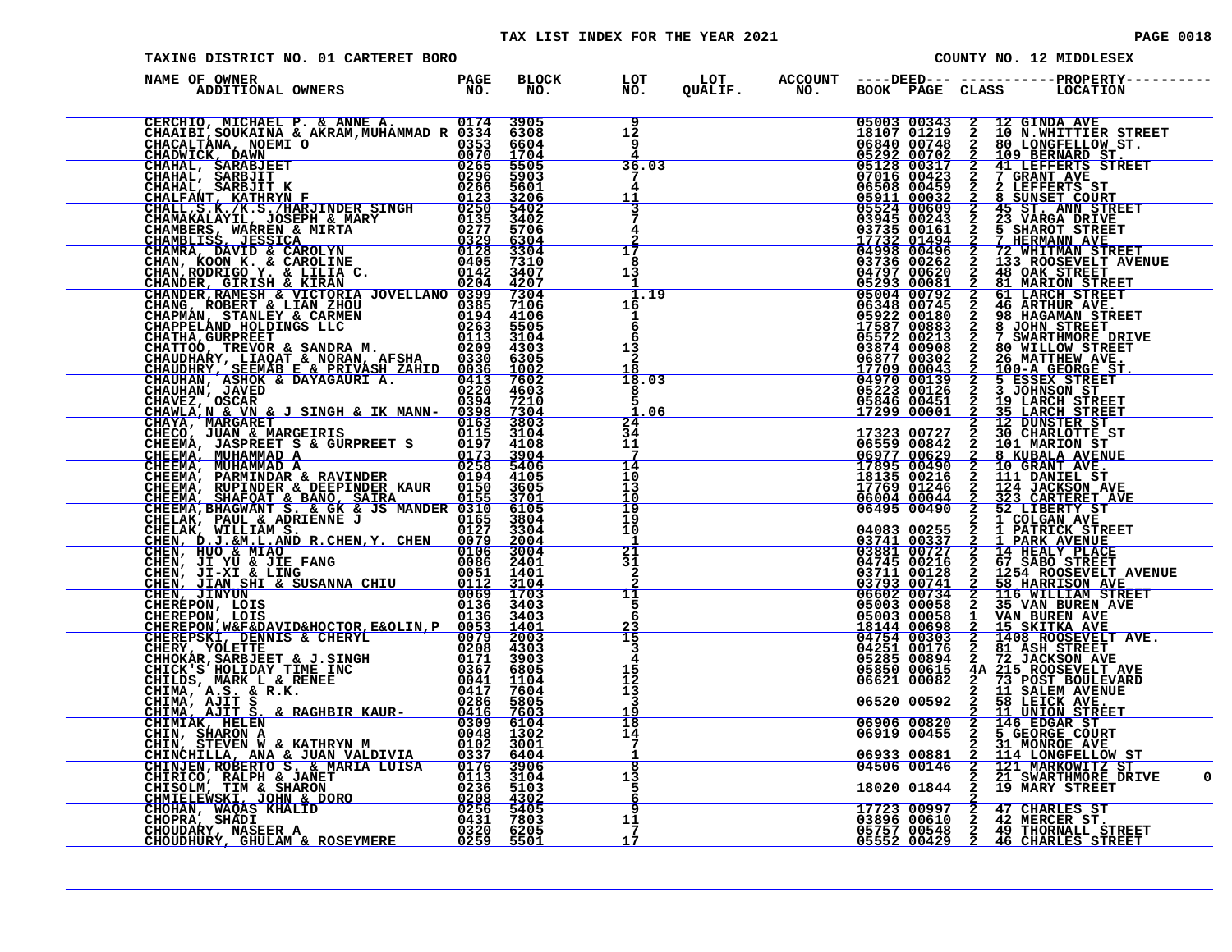| TAXING DISTRICT NO. 01 CARTERET BORO | COUNTY NO. 12 MIDDLESEX |                                        |                                                                                                                                                                                                                                                                     |                                                                                                                                                                                                                                                                                       |                                                  |                                           |                |                                                                                                                                                                                                                                            |  |
|--------------------------------------|-------------------------|----------------------------------------|---------------------------------------------------------------------------------------------------------------------------------------------------------------------------------------------------------------------------------------------------------------------|---------------------------------------------------------------------------------------------------------------------------------------------------------------------------------------------------------------------------------------------------------------------------------------|--------------------------------------------------|-------------------------------------------|----------------|--------------------------------------------------------------------------------------------------------------------------------------------------------------------------------------------------------------------------------------------|--|
| NAME OF OWNER                        |                         |                                        |                                                                                                                                                                                                                                                                     |                                                                                                                                                                                                                                                                                       |                                                  |                                           |                |                                                                                                                                                                                                                                            |  |
|                                      |                         | $\overline{9}$<br>$1\bar{2}$<br>9      |                                                                                                                                                                                                                                                                     |                                                                                                                                                                                                                                                                                       |                                                  |                                           |                | 05003 00343 2 12 GINDA AVE<br>18107 01219 2 10 N.WHITTIER STREET<br>06840 00748 2 80 LONGFELLOW ST.<br>05292 00702 2 109 BERNARD ST.<br>05128 00317 2 41 LEFFERTS STREET<br>07016 00423 2 2 LEFFERTS STREET<br>06508 004439 2 2 LEFFERTS S |  |
|                                      |                         | 36.03<br>7                             |                                                                                                                                                                                                                                                                     |                                                                                                                                                                                                                                                                                       |                                                  |                                           |                |                                                                                                                                                                                                                                            |  |
|                                      |                         | 4<br>11                                |                                                                                                                                                                                                                                                                     |                                                                                                                                                                                                                                                                                       |                                                  |                                           |                |                                                                                                                                                                                                                                            |  |
|                                      |                         | 7<br>4                                 |                                                                                                                                                                                                                                                                     |                                                                                                                                                                                                                                                                                       |                                                  |                                           |                |                                                                                                                                                                                                                                            |  |
|                                      |                         | $\overline{17}$<br>8                   |                                                                                                                                                                                                                                                                     |                                                                                                                                                                                                                                                                                       |                                                  |                                           |                |                                                                                                                                                                                                                                            |  |
|                                      |                         | 13<br>-1<br>$-1.19$                    |                                                                                                                                                                                                                                                                     |                                                                                                                                                                                                                                                                                       |                                                  |                                           |                |                                                                                                                                                                                                                                            |  |
|                                      |                         | 16<br>1<br>6                           |                                                                                                                                                                                                                                                                     |                                                                                                                                                                                                                                                                                       |                                                  |                                           |                |                                                                                                                                                                                                                                            |  |
|                                      |                         | 6<br>13<br>2                           |                                                                                                                                                                                                                                                                     | $\begin{array}{r} 0.3736 & 0.0262 \\ 0.4797 & 0.0620 \\ -0.4797 & 0.0620 \\ -0.5293 & 0.00681 \\ -0.5004 & 0.0792 \\ 0.6348 & 0.0745 \\ 0.5572 & 0.0883 \\ -17587 & 0.0883 \\ -17587 & 0.08930 \\ 0.3874 & 0.09902 \\ 0.6877 & 0.03022 \\ 17709 & 0.0043 \\ -17709 & 0.0043 \\ -0.52$ |                                                  |                                           |                |                                                                                                                                                                                                                                            |  |
|                                      |                         | 18<br>18.03<br>8                       |                                                                                                                                                                                                                                                                     |                                                                                                                                                                                                                                                                                       |                                                  |                                           |                |                                                                                                                                                                                                                                            |  |
|                                      |                         | 5<br>.06<br>24                         |                                                                                                                                                                                                                                                                     |                                                                                                                                                                                                                                                                                       |                                                  |                                           |                |                                                                                                                                                                                                                                            |  |
|                                      |                         | 34<br>11<br>7                          |                                                                                                                                                                                                                                                                     |                                                                                                                                                                                                                                                                                       |                                                  |                                           |                |                                                                                                                                                                                                                                            |  |
|                                      |                         | $\frac{14}{10}$<br>13                  | $\begin{array}{r l} \hline \textbf{17323} & 00727 \\ \textbf{06559} & 00842 \\ \hline \textbf{06977} & 00629 \\ \textbf{17895} & 00490 \\ \textbf{1735} & 00216 \\ \textbf{18135} & 00216 \\ \textbf{18135} & 00216 \\ \textbf{19176} & \textbf{19186} \end{array}$ |                                                                                                                                                                                                                                                                                       |                                                  |                                           |                |                                                                                                                                                                                                                                            |  |
|                                      |                         | 10<br>$\frac{19}{19}$                  |                                                                                                                                                                                                                                                                     |                                                                                                                                                                                                                                                                                       |                                                  | 17769 01246<br>06004 00044<br>06495 00490 |                |                                                                                                                                                                                                                                            |  |
|                                      |                         | 10<br>-1                               |                                                                                                                                                                                                                                                                     |                                                                                                                                                                                                                                                                                       |                                                  | 04083 00255<br>03741 00337<br>03881 00727 |                |                                                                                                                                                                                                                                            |  |
|                                      |                         | $\overline{21}$<br>31<br>$\frac{2}{2}$ |                                                                                                                                                                                                                                                                     |                                                                                                                                                                                                                                                                                       | 04745 00216<br>03711 00128<br>03793 00741        |                                           |                |                                                                                                                                                                                                                                            |  |
|                                      |                         | 11<br>5<br>6                           |                                                                                                                                                                                                                                                                     |                                                                                                                                                                                                                                                                                       |                                                  | 06602 00734<br>05003 00058                |                |                                                                                                                                                                                                                                            |  |
|                                      |                         | $\frac{23}{15}$                        |                                                                                                                                                                                                                                                                     |                                                                                                                                                                                                                                                                                       | 05003 00058<br><u>18144 00698</u><br>04754 00303 | 04251 00176                               |                |                                                                                                                                                                                                                                            |  |
|                                      |                         | $\frac{3}{4}$<br>$\frac{15}{12}$       |                                                                                                                                                                                                                                                                     |                                                                                                                                                                                                                                                                                       |                                                  | 05285 00894<br>05850 00615<br>06621 00082 |                | <b>4A 215 ROOSEVELT AVE</b><br>2 73 POST BOULEVARD<br>2 11 SALEM AVENUE                                                                                                                                                                    |  |
|                                      |                         | $\overline{1}\overline{3}$<br>3<br>19  |                                                                                                                                                                                                                                                                     |                                                                                                                                                                                                                                                                                       |                                                  | 06520 00592                               | $\overline{a}$ | 58 LEICK AVE.<br>11 UNION STREET                                                                                                                                                                                                           |  |
|                                      |                         | 18<br>14<br>$7\phantom{.0}$            |                                                                                                                                                                                                                                                                     |                                                                                                                                                                                                                                                                                       |                                                  | 06906 00820<br>06919 00455                |                | 2 146 EDGAR ST<br>2 5 GEORGE COURT<br>31 MONROE AVE                                                                                                                                                                                        |  |
|                                      |                         | -1<br>$\overline{\mathbf{8}}$<br>13    |                                                                                                                                                                                                                                                                     |                                                                                                                                                                                                                                                                                       |                                                  | 06933 00881<br>04506 00146                |                | <b>2 114 LONGFELLOW ST</b><br>2 121 MARKOWITZ ST<br>2 21 SWARTHMORE DRIVE                                                                                                                                                                  |  |
|                                      |                         | -5<br>6                                |                                                                                                                                                                                                                                                                     |                                                                                                                                                                                                                                                                                       |                                                  |                                           |                | 18020 01844 2 19 MARY STREET                                                                                                                                                                                                               |  |
|                                      |                         | 9<br>11<br>-7                          |                                                                                                                                                                                                                                                                     |                                                                                                                                                                                                                                                                                       |                                                  | 17723 00997                               |                | <b>17723 00997 2 47 CHARLES ST<br/>03896 00610 2 42 MERCER ST.<br/>05757 00548 2 49 THORNALL STREET<br/>05552 00429 2 46 CHARLES STREET</b>                                                                                                |  |
|                                      |                         | 17                                     |                                                                                                                                                                                                                                                                     |                                                                                                                                                                                                                                                                                       |                                                  |                                           |                |                                                                                                                                                                                                                                            |  |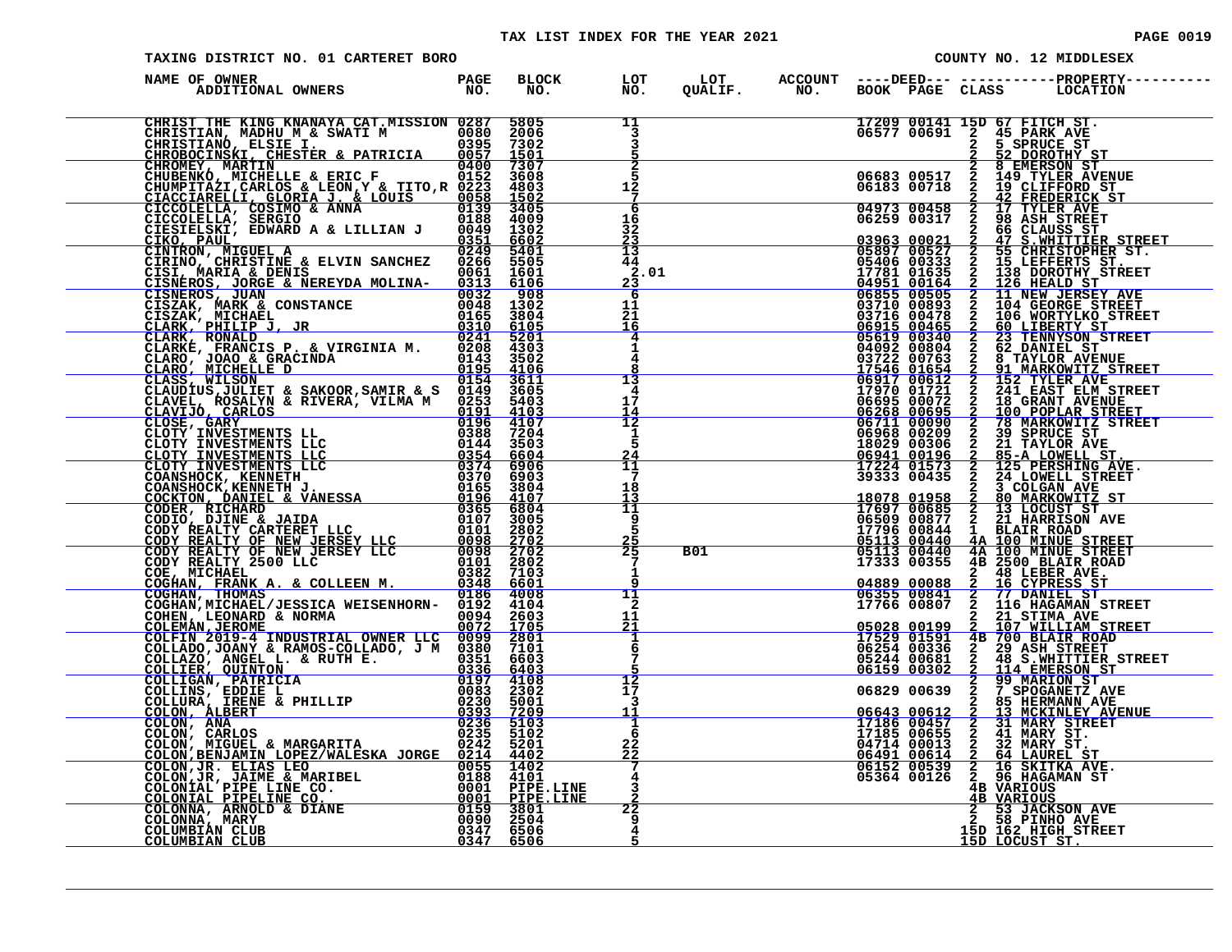| TAXING DISTRICT NO. 01 CARTERET BORO     |      | COUNTY NO. 12 MIDDLESEX                        |  |                                                        |                                           |                                                                                                                       |                                                                                                                                                                                                                                                                                                                                             |  |
|------------------------------------------|------|------------------------------------------------|--|--------------------------------------------------------|-------------------------------------------|-----------------------------------------------------------------------------------------------------------------------|---------------------------------------------------------------------------------------------------------------------------------------------------------------------------------------------------------------------------------------------------------------------------------------------------------------------------------------------|--|
| NAME OF OWNER                            |      |                                                |  |                                                        |                                           |                                                                                                                       |                                                                                                                                                                                                                                                                                                                                             |  |
| CHRIST THE KING KNANAYA CAT.MISSION 0287 | 5805 | 11<br>$\overline{\mathbf{3}}$                  |  |                                                        |                                           | 17209 00141 15D 67 FITCH ST.<br>06577 00691 2 45 PARK AVE<br>2 5 SPRUCE ST<br>2 52 DOROTHY ST                         |                                                                                                                                                                                                                                                                                                                                             |  |
|                                          |      | 5<br>12<br>$7\phantom{.0}$                     |  |                                                        |                                           |                                                                                                                       | $\begin{tabular}{@{}c@{\hspace{0.6cm}}}\hline & 5 & 5 & 5 & 5 \\ \hline \hline \\ 0 & 6 & 3 & 0 & 2 & 2 & 2 \\ 0 & 6 & 8 & 8 & 8 \\ \hline \\ 0 & 6 & 1 & 3 & 2 & 14 & 2 \\ 0 & 6 & 1 & 3 & 2 & 14 & 2 \\ 0 & 6 & 1 & 1 & 2 & 14 & 2 \\ 0 & 6 & 2 & 5 & 9 & 0 & 3 \\ 0 & 6 & 2 & 9 & 2 & 4 & 7 \\ 0 & 6 & 2 & 9 & 9 & 0 & 3 \\ 0 & 6 & 2 &$ |  |
|                                          |      | 6<br>16<br>32<br>$\frac{23}{13}$               |  |                                                        |                                           |                                                                                                                       |                                                                                                                                                                                                                                                                                                                                             |  |
|                                          |      | 44<br>2.01<br>23<br>-6                         |  |                                                        |                                           |                                                                                                                       |                                                                                                                                                                                                                                                                                                                                             |  |
|                                          |      | 11<br>2ī<br>16<br>4                            |  |                                                        |                                           |                                                                                                                       |                                                                                                                                                                                                                                                                                                                                             |  |
|                                          |      | ī<br>$\overline{4}$<br>13<br>4                 |  |                                                        |                                           |                                                                                                                       |                                                                                                                                                                                                                                                                                                                                             |  |
|                                          |      | 17<br>$\frac{14}{12}$<br>1                     |  |                                                        |                                           |                                                                                                                       |                                                                                                                                                                                                                                                                                                                                             |  |
|                                          |      | 5<br>$\frac{24}{11}$<br>7                      |  |                                                        |                                           |                                                                                                                       |                                                                                                                                                                                                                                                                                                                                             |  |
|                                          |      | 18<br>13<br>11<br>9<br>5.                      |  |                                                        |                                           |                                                                                                                       |                                                                                                                                                                                                                                                                                                                                             |  |
|                                          |      | $\frac{25}{25}$<br>$7\phantom{.0}$<br>1        |  | B01                                                    | 05113 00440<br>05113 00440<br>17333 00355 |                                                                                                                       | 4A 100 MINUE STREET<br>4A 100 MINUE STREET<br>4B 2500 BLAIR ROAD                                                                                                                                                                                                                                                                            |  |
|                                          |      | ā<br>11<br>$\mathbf{2}$<br>11                  |  | <u> Alexandria (h. 1878).</u><br>Alexandria (h. 1872). | 04889 00088<br>06355 00841<br>17766 00807 | $\bar{2}$                                                                                                             | 2 48 LEBER AVE.<br>2 16 CYPRESS ST<br>2 77 DANIEL ST<br>2 116 HAGAMAN_STREET<br>21 STIMA AVE<br>107 WILLIAM STREET                                                                                                                                                                                                                          |  |
|                                          |      | <u> 21</u><br>$\frac{1}{6}$<br>$7\phantom{.0}$ |  |                                                        | 05028 00199<br>17529 01591<br>06159 00302 | 06254 00336 2 29 ASH STREET<br>05244 00681 2 48 S.WHITTIER<br>$\overline{a}$                                          | <b>4B 700 BLAIR ROAD</b><br>48 S.WHITTIER STREET<br>114 EMERSON ST                                                                                                                                                                                                                                                                          |  |
|                                          |      | $\frac{5}{12}$<br>$\bar{1}\bar{7}$<br>3<br>11  |  |                                                        | 06829 00639                               |                                                                                                                       | 99 MARION ST<br>2 99 MARION ST<br>2 7 SPOGANETZ AVE<br>2 85 HERMANN AVE                                                                                                                                                                                                                                                                     |  |
|                                          |      | 1<br>6<br>$22 \overline{2}$<br><u> 22</u>      |  |                                                        |                                           |                                                                                                                       | 06643 00612 2 13 MCKINLEY AVENUE<br>17186 00457 2 31 MARY STREET<br>17185 00655 2 41 MARY ST.<br>04714 00013 2 32 MARY ST.                                                                                                                                                                                                                  |  |
|                                          |      | $\frac{4}{3}$                                  |  |                                                        |                                           | 06491 00614 2 64 LAUREL ST<br>06152 00539 2 16 SKITKA AVE.<br>05364 00126 2 96 HAGAMAN ST<br>4B VARIOUS<br>4B VARIOUS |                                                                                                                                                                                                                                                                                                                                             |  |
|                                          |      | 22<br>9<br>4<br>5                              |  |                                                        |                                           | 15D LOCUST ST.                                                                                                        | 2 53 JACKSON AVE<br>2 58 PINHO AVE<br>15D 162 HIGH STREET                                                                                                                                                                                                                                                                                   |  |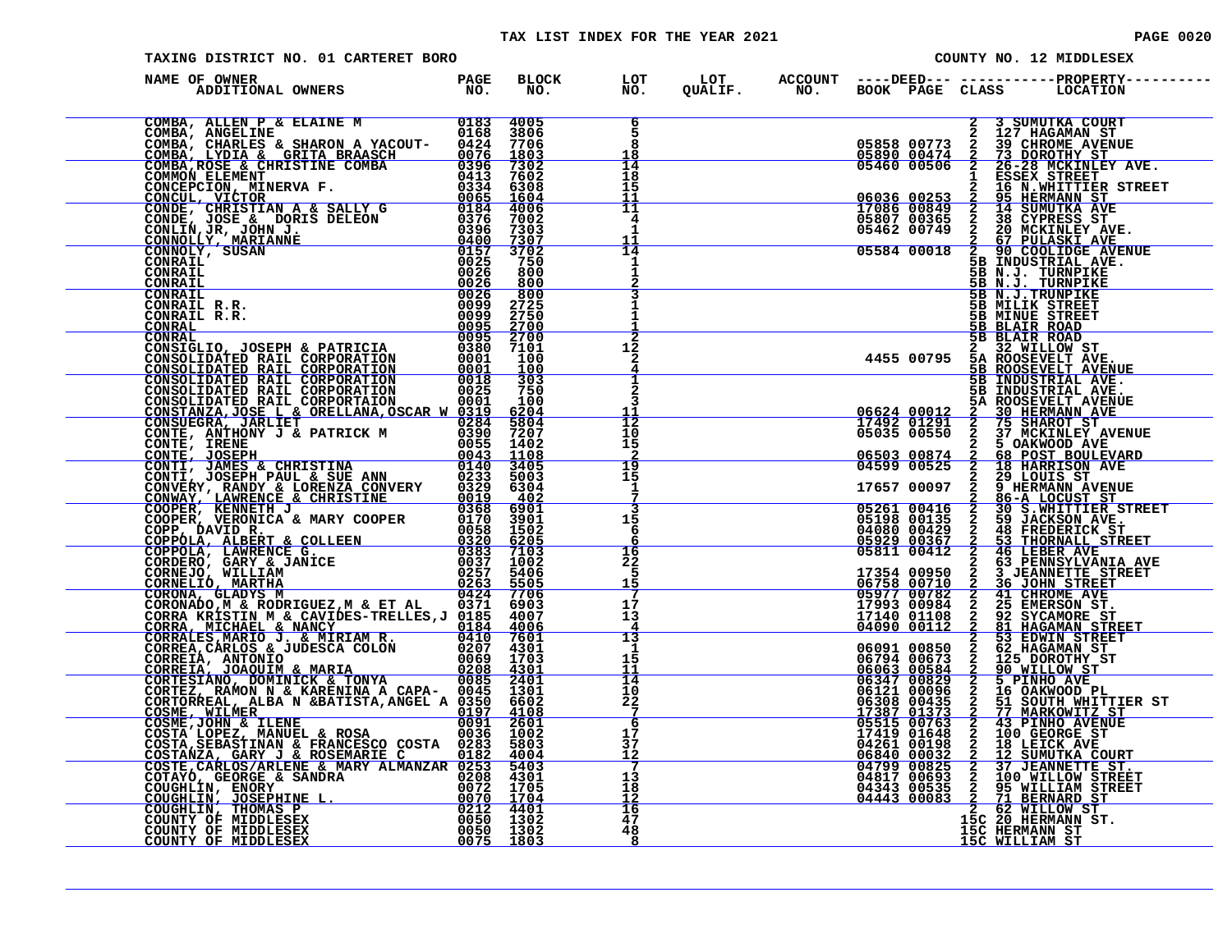### TAX LIST INDEX FOR THE YEAR 2021 **PAGE 10020** PAGE 0020

| TAXING DISTRICT NO. 01 CARTERET BORO                                                                                                                                                                                          |  |                                                     |  |                                                                       |                                                                                                                                   | COUNTY NO. 12 MIDDLESEX                                                                                                                                                                                                                                                                 |
|-------------------------------------------------------------------------------------------------------------------------------------------------------------------------------------------------------------------------------|--|-----------------------------------------------------|--|-----------------------------------------------------------------------|-----------------------------------------------------------------------------------------------------------------------------------|-----------------------------------------------------------------------------------------------------------------------------------------------------------------------------------------------------------------------------------------------------------------------------------------|
| NAME OF OWNER                                                                                                                                                                                                                 |  |                                                     |  |                                                                       |                                                                                                                                   |                                                                                                                                                                                                                                                                                         |
| NAME OF OWNER PARTICULAR PROPERTY ON A MODEL CONSULTATION CONSULTATION CONSULTATION CONSULTATION CONSULTATION CONSULTATION CONSULTATION CONSULTATION CONSULTATION CONSULTATION CONSULTATION CONSULTATION CONSULTATION CONSULT |  | 6<br>5<br>8<br>18                                   |  |                                                                       |                                                                                                                                   | 2 3 SUMUTKA COURT<br>2 30 SUBAMA ST<br>05858 00773 2 39 CHROME AVENUE<br>05890 00474 2 73 DOROTHY ST<br>05460 00506 2 26-28 MCKINLEY AVE.<br>1 ESSEX STREET CREET                                                                                                                       |
|                                                                                                                                                                                                                               |  | 14<br>18<br>15                                      |  |                                                                       |                                                                                                                                   |                                                                                                                                                                                                                                                                                         |
|                                                                                                                                                                                                                               |  | 11<br>11<br>$\overline{\mathbf{4}}$<br>$\mathbf{1}$ |  |                                                                       |                                                                                                                                   | 1 ESSEX STREET<br>06036 00253 2 16 N.WHITTER STREET<br>17086 00849 2 14 SUMUTKA AVE<br>05807 00365 2 38 CYPRESS ST<br>05462 00749 2 26 MCKINLEY AVE<br>05584 00018 2 90 COOLIDGE AVENUE<br>5B N.J. TIRNDIKE.                                                                            |
|                                                                                                                                                                                                                               |  | 11<br>14<br>1                                       |  |                                                                       |                                                                                                                                   |                                                                                                                                                                                                                                                                                         |
|                                                                                                                                                                                                                               |  |                                                     |  |                                                                       | <b>5B N.J. TURNPIKE<br/><u>5B N.J. TURNPIKE</u><br/>5B N.J. TURNPIKE</b><br>5B MILIK STREET<br>5B MINUE STREET<br>5B MINUE STREET |                                                                                                                                                                                                                                                                                         |
|                                                                                                                                                                                                                               |  |                                                     |  |                                                                       | <b>5B BLAIR ROAD</b><br>5B BLAIR ROAD                                                                                             |                                                                                                                                                                                                                                                                                         |
|                                                                                                                                                                                                                               |  | 12<br>$\overline{a}$                                |  | 2 32 WILLOW ST<br>4455 00795 5A ROOSEVELT AVE.<br>5B ROOSEVELT AVENUE |                                                                                                                                   |                                                                                                                                                                                                                                                                                         |
|                                                                                                                                                                                                                               |  | $\mathbf{2}$<br>3                                   |  |                                                                       |                                                                                                                                   | 5B INDUSTRIAL AVE.<br>5B INDUSTRIAL AVE.<br>5A ROOSEVELT AVENUE                                                                                                                                                                                                                         |
|                                                                                                                                                                                                                               |  | 12<br>10<br>15                                      |  |                                                                       |                                                                                                                                   | 06624 00012 2 30 HERMAN AVE<br>17492 01291 2 75 SHAROT ST<br>05035 00550 2 37 MCKINLEY AVENUE<br>06503 00874 2 5 OAKWOOD AVE<br>04599 00525 2 18 HARRISON AVE<br>17657 00007 2 29 LOUIS ST                                                                                              |
|                                                                                                                                                                                                                               |  | $\overline{19}$<br>15                               |  |                                                                       |                                                                                                                                   |                                                                                                                                                                                                                                                                                         |
|                                                                                                                                                                                                                               |  | 1<br>3<br>15                                        |  |                                                                       |                                                                                                                                   |                                                                                                                                                                                                                                                                                         |
|                                                                                                                                                                                                                               |  | 6<br>6<br>16                                        |  |                                                                       |                                                                                                                                   |                                                                                                                                                                                                                                                                                         |
|                                                                                                                                                                                                                               |  | 22<br>5<br>15                                       |  |                                                                       |                                                                                                                                   |                                                                                                                                                                                                                                                                                         |
|                                                                                                                                                                                                                               |  | -7<br>17<br>13                                      |  |                                                                       |                                                                                                                                   |                                                                                                                                                                                                                                                                                         |
|                                                                                                                                                                                                                               |  | $\frac{4}{13}$<br>-1<br>15                          |  |                                                                       |                                                                                                                                   |                                                                                                                                                                                                                                                                                         |
|                                                                                                                                                                                                                               |  | 11<br>14<br>10                                      |  |                                                                       |                                                                                                                                   |                                                                                                                                                                                                                                                                                         |
|                                                                                                                                                                                                                               |  | $^{22}_{7}$<br>-6<br>17                             |  |                                                                       |                                                                                                                                   |                                                                                                                                                                                                                                                                                         |
|                                                                                                                                                                                                                               |  | 37<br>$\frac{12}{7}$                                |  |                                                                       |                                                                                                                                   |                                                                                                                                                                                                                                                                                         |
|                                                                                                                                                                                                                               |  | 13<br>18<br>12                                      |  |                                                                       |                                                                                                                                   |                                                                                                                                                                                                                                                                                         |
|                                                                                                                                                                                                                               |  | 16<br>47<br>48<br>- 8                               |  |                                                                       | 15C HERMANN ST<br>15C HERMANN ST                                                                                                  | $\begin{tabular}{l cccc} 642536&06925&2&28&160857&208&100178&97\\ 24536&06925&2&29&160178&97\\ 17657&00097&2&86-{\bf A} {\bf \; {\bf \small LOCUST STIST}}\\ 05261&00416&2&306&308&100178&97\\ 051938&000135&2&308&100178&97\\ 04080&00422&2&49&37{\bf \small RDEENTIST} \\ 064080&004$ |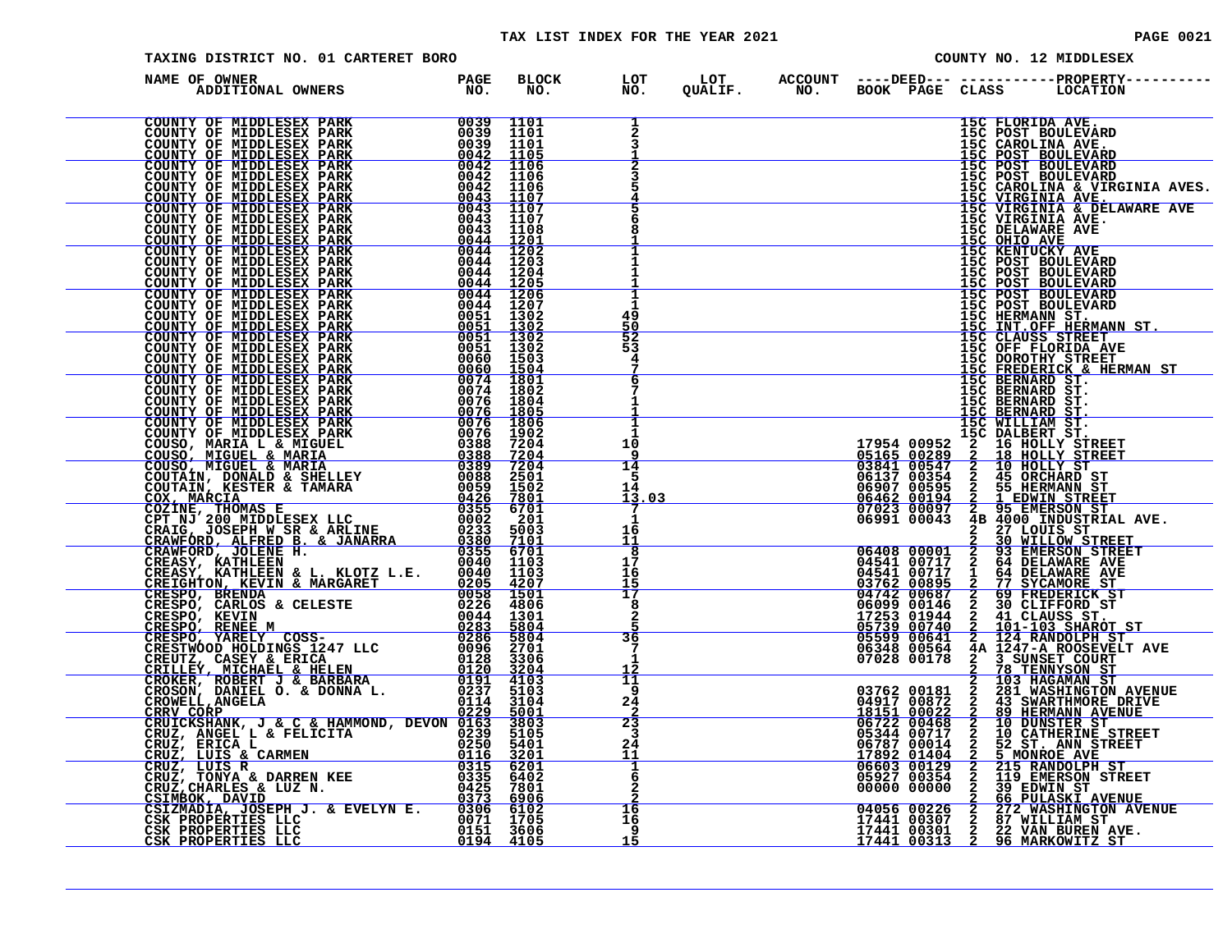### TAX LIST INDEX FOR THE YEAR 2021 **PAGE 0021** PAGE 0021

| TAXING DISTRICT NO. 01 CARTERET BORO                                                                                                                                                                                                                                                            |  |                                                          |  | COUNTY NO. 12 MIDDLESEX |  |                  |                                                                                                                                                                                                                                                                                      |
|-------------------------------------------------------------------------------------------------------------------------------------------------------------------------------------------------------------------------------------------------------------------------------------------------|--|----------------------------------------------------------|--|-------------------------|--|------------------|--------------------------------------------------------------------------------------------------------------------------------------------------------------------------------------------------------------------------------------------------------------------------------------|
| DF OWNER<br>ADDITIONAL OWNERS TO NO.<br>NAME OF OWNER<br>NAME OF AUDER PARK PROPERTY OF MIDDLESSIX PARK PROPERTY OF MIDDLESSIX PARK COUNTY OF MIDDLESSIX PARK 00033 1101<br>COUNTY OF MIDDLESSIX PARK 00033 1101<br>COUNTY OF MIDDLESSIX PARK 00033 1101<br>COUNTY OF MIDDLESSIX PARK 00033 110 |  |                                                          |  |                         |  |                  | BLOCK LOT LOT ACCOUNT ----DEED---------------PROPERTY---<br>NO. NO. QUALIF. NO. BOOKPAGECLASS LOCATION                                                                                                                                                                               |
|                                                                                                                                                                                                                                                                                                 |  | 1<br>$\overline{a}$                                      |  |                         |  | 15C FLORIDA AVE. |                                                                                                                                                                                                                                                                                      |
|                                                                                                                                                                                                                                                                                                 |  | 3                                                        |  |                         |  |                  | 15C POST BOULEVARD<br>15C CAROLINA AVE.<br>15C POST BOULEVARD<br>15C POST BOULEVARD<br>15C POST BOULEVARD                                                                                                                                                                            |
|                                                                                                                                                                                                                                                                                                 |  |                                                          |  |                         |  |                  |                                                                                                                                                                                                                                                                                      |
|                                                                                                                                                                                                                                                                                                 |  |                                                          |  |                         |  |                  |                                                                                                                                                                                                                                                                                      |
|                                                                                                                                                                                                                                                                                                 |  | 5                                                        |  |                         |  |                  | <b>15C CAROLINA &amp; VIRGINIA AVES.<br/>15C VIRGINIA AVE.<br/>15C VIRGINIA AVE.<br/>15C VIRGINIA AVE.<br/>15C VIRGINIA AVE.<br/>15C DELAWARE AVE.</b>                                                                                                                               |
|                                                                                                                                                                                                                                                                                                 |  |                                                          |  |                         |  |                  |                                                                                                                                                                                                                                                                                      |
|                                                                                                                                                                                                                                                                                                 |  | 6                                                        |  |                         |  |                  |                                                                                                                                                                                                                                                                                      |
|                                                                                                                                                                                                                                                                                                 |  | Զ                                                        |  |                         |  |                  |                                                                                                                                                                                                                                                                                      |
|                                                                                                                                                                                                                                                                                                 |  |                                                          |  |                         |  |                  | 15C OHIO AVE<br>15C KENTUCKY AVE<br>15C FOST BOULEVARD                                                                                                                                                                                                                               |
|                                                                                                                                                                                                                                                                                                 |  |                                                          |  |                         |  |                  | <b>15C POST BOULEVARD<br/>15C POST BOULEVARD<br/>15C POST BOULEVARD<br/>15C POST BOULEVARD<br/>15C POST BOULEVARD<br/>15C HOULEVARD<br/>15C HITRER BERMANN ST<br/>15C CLAUSS STREET<br/>15C DOROTHY STREET<br/>15C BERNARD ST.<br/>15C BERNARD ST.<br/>15C BERNARD ST.<br/>15C B</b> |
|                                                                                                                                                                                                                                                                                                 |  |                                                          |  |                         |  |                  |                                                                                                                                                                                                                                                                                      |
|                                                                                                                                                                                                                                                                                                 |  | 1                                                        |  |                         |  |                  |                                                                                                                                                                                                                                                                                      |
|                                                                                                                                                                                                                                                                                                 |  | 49                                                       |  |                         |  |                  |                                                                                                                                                                                                                                                                                      |
|                                                                                                                                                                                                                                                                                                 |  | 50<br>$\overline{52}$                                    |  |                         |  |                  |                                                                                                                                                                                                                                                                                      |
|                                                                                                                                                                                                                                                                                                 |  | 53                                                       |  |                         |  |                  |                                                                                                                                                                                                                                                                                      |
|                                                                                                                                                                                                                                                                                                 |  | 4                                                        |  |                         |  |                  |                                                                                                                                                                                                                                                                                      |
|                                                                                                                                                                                                                                                                                                 |  | 6                                                        |  |                         |  |                  |                                                                                                                                                                                                                                                                                      |
|                                                                                                                                                                                                                                                                                                 |  |                                                          |  |                         |  |                  |                                                                                                                                                                                                                                                                                      |
|                                                                                                                                                                                                                                                                                                 |  | 1                                                        |  |                         |  |                  |                                                                                                                                                                                                                                                                                      |
|                                                                                                                                                                                                                                                                                                 |  | ī                                                        |  |                         |  |                  |                                                                                                                                                                                                                                                                                      |
|                                                                                                                                                                                                                                                                                                 |  | $\mathbf{1}$<br>10                                       |  |                         |  |                  |                                                                                                                                                                                                                                                                                      |
|                                                                                                                                                                                                                                                                                                 |  | 9                                                        |  |                         |  |                  |                                                                                                                                                                                                                                                                                      |
|                                                                                                                                                                                                                                                                                                 |  | 14<br>-5                                                 |  |                         |  |                  |                                                                                                                                                                                                                                                                                      |
|                                                                                                                                                                                                                                                                                                 |  | 14                                                       |  |                         |  |                  |                                                                                                                                                                                                                                                                                      |
|                                                                                                                                                                                                                                                                                                 |  | 13.03<br>$\bar{7}$                                       |  |                         |  |                  |                                                                                                                                                                                                                                                                                      |
|                                                                                                                                                                                                                                                                                                 |  | 1                                                        |  |                         |  |                  |                                                                                                                                                                                                                                                                                      |
|                                                                                                                                                                                                                                                                                                 |  | 16                                                       |  |                         |  |                  |                                                                                                                                                                                                                                                                                      |
|                                                                                                                                                                                                                                                                                                 |  | $\frac{11}{8}$                                           |  |                         |  |                  | 15C BERNARD ST.<br>15C BERNARD ST.<br>15C BERNARD ST.<br>15C BERNARD ST.<br>15C BERNARD ST.<br>15C DEENARD ST.<br>15C DEENARD ST.<br>15C DEENARD ST.<br>15C DEENARD ST.<br>15C DEENARD ST.<br>15C DEENARD ST.<br>16C MILITAM ST.<br>16C MILITAM ST.<br>1                             |
|                                                                                                                                                                                                                                                                                                 |  | 17<br>16                                                 |  |                         |  |                  |                                                                                                                                                                                                                                                                                      |
|                                                                                                                                                                                                                                                                                                 |  | $\frac{15}{17}$                                          |  |                         |  |                  |                                                                                                                                                                                                                                                                                      |
|                                                                                                                                                                                                                                                                                                 |  | 8                                                        |  |                         |  |                  |                                                                                                                                                                                                                                                                                      |
|                                                                                                                                                                                                                                                                                                 |  | $\mathbf{2}$                                             |  |                         |  |                  |                                                                                                                                                                                                                                                                                      |
|                                                                                                                                                                                                                                                                                                 |  | 36                                                       |  |                         |  |                  |                                                                                                                                                                                                                                                                                      |
|                                                                                                                                                                                                                                                                                                 |  | 7                                                        |  |                         |  |                  | 06348 00564 4A 1247-A ROOSEVELT AVE<br>07028 00178 2 3 SUNSET COURT                                                                                                                                                                                                                  |
|                                                                                                                                                                                                                                                                                                 |  | 1<br>12                                                  |  |                         |  |                  |                                                                                                                                                                                                                                                                                      |
|                                                                                                                                                                                                                                                                                                 |  | $\overline{11}$                                          |  |                         |  |                  |                                                                                                                                                                                                                                                                                      |
|                                                                                                                                                                                                                                                                                                 |  | 9<br>24                                                  |  |                         |  |                  |                                                                                                                                                                                                                                                                                      |
|                                                                                                                                                                                                                                                                                                 |  | $\overline{a}$                                           |  |                         |  |                  |                                                                                                                                                                                                                                                                                      |
|                                                                                                                                                                                                                                                                                                 |  | 23<br>3                                                  |  |                         |  |                  |                                                                                                                                                                                                                                                                                      |
|                                                                                                                                                                                                                                                                                                 |  | 24                                                       |  |                         |  |                  |                                                                                                                                                                                                                                                                                      |
|                                                                                                                                                                                                                                                                                                 |  | 11                                                       |  |                         |  |                  |                                                                                                                                                                                                                                                                                      |
|                                                                                                                                                                                                                                                                                                 |  | $\frac{1}{6}$                                            |  |                         |  |                  |                                                                                                                                                                                                                                                                                      |
|                                                                                                                                                                                                                                                                                                 |  |                                                          |  |                         |  |                  |                                                                                                                                                                                                                                                                                      |
|                                                                                                                                                                                                                                                                                                 |  |                                                          |  |                         |  |                  |                                                                                                                                                                                                                                                                                      |
|                                                                                                                                                                                                                                                                                                 |  |                                                          |  |                         |  |                  |                                                                                                                                                                                                                                                                                      |
|                                                                                                                                                                                                                                                                                                 |  | $\begin{array}{r} 1\bar{6} \\ 16 \\ 9 \\ 15 \end{array}$ |  |                         |  |                  | 07028 00178 22 3 SUNSET COURT<br>2 78 TENNYSON ST<br>2 78 TENNYSON ST<br>2 281 WASHINGTON AVENUE<br>04917 00872 2 43 SWARTHMORE DRIVE<br>16151 00022 2 43 SWARTHMORE DRIVE<br>06722 00468 2 10 DUNSTER ST<br>05722 00468 2 10 DUNSTER ST<br>0                                        |
|                                                                                                                                                                                                                                                                                                 |  |                                                          |  |                         |  |                  |                                                                                                                                                                                                                                                                                      |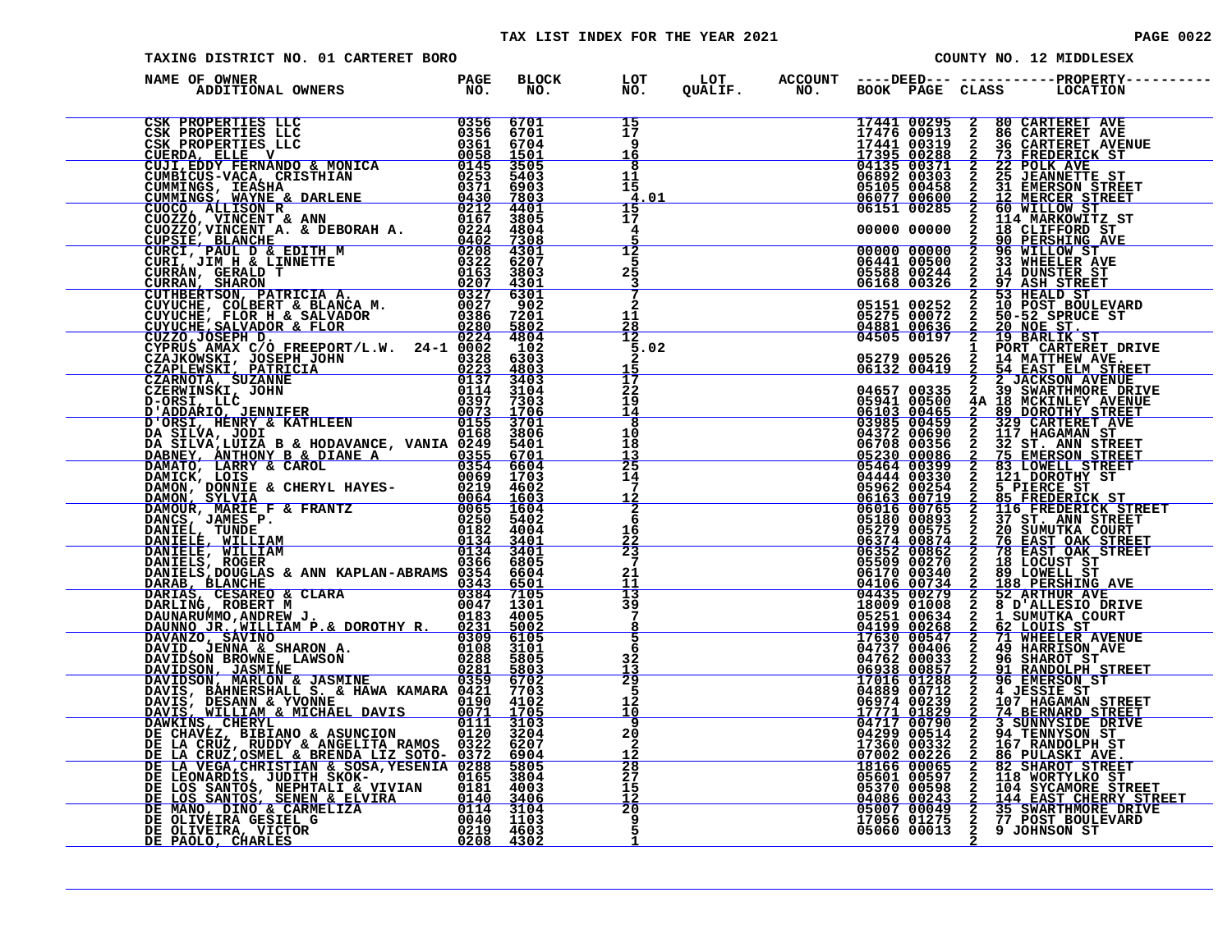### TAX LIST INDEX FOR THE YEAR 2021 **PAGE 10022** PAGE 0022

| TAXING DISTRICT NO. 01 CARTERET BORO |  | COUNTY NO. 12 MIDDLESEX                                |  |  |  |                                                          |  |                                                                                                                                                                                                                                                                                                                                                                                                                                                                                                                  |
|--------------------------------------|--|--------------------------------------------------------|--|--|--|----------------------------------------------------------|--|------------------------------------------------------------------------------------------------------------------------------------------------------------------------------------------------------------------------------------------------------------------------------------------------------------------------------------------------------------------------------------------------------------------------------------------------------------------------------------------------------------------|
| NAME OF OWNER                        |  |                                                        |  |  |  |                                                          |  | BLOCK LOT LOT ACCOUNT ----DEED--- ------------PROPERTY--<br>NO. NO. QUALIF. NO. BOOK PAGE CLASS LOCATION                                                                                                                                                                                                                                                                                                                                                                                                         |
|                                      |  | $\frac{15}{17}$<br>9<br>16                             |  |  |  |                                                          |  | 17441 00295 2 80 CARTERET AVE<br>17476 00913 2 86 CARTERET AVENUE<br>17495 00288 2 36 CARTERET AVENUE<br>17395 00288 2 73 FREDERICK ST<br>04135 00371 2 22 POLK AVE<br>06892 00303 2 25 JEMERSON STREET<br>05105 00458 2 31 EMERSON STREET<br>06077                                                                                                                                                                                                                                                              |
|                                      |  | 8<br>11<br>15<br>4.01<br>15                            |  |  |  |                                                          |  |                                                                                                                                                                                                                                                                                                                                                                                                                                                                                                                  |
|                                      |  | 17<br>4<br>$\overline{12}$                             |  |  |  |                                                          |  | 00000 00000 2 114 MARKOWITZ ST<br>00000 00000 2 18 CLIFFORD ST                                                                                                                                                                                                                                                                                                                                                                                                                                                   |
|                                      |  | 5<br>25<br>3<br>7                                      |  |  |  |                                                          |  | 00000 00000 2 90 PERSHING AVE<br>00000 00000 2 96 WILLOW ST<br>05588 00244 2 33 WHEELER AVE<br>05588 00244 2 97 ASH_STREET                                                                                                                                                                                                                                                                                                                                                                                       |
|                                      |  | $\overline{a}$<br>11<br>$\frac{28}{12}$                |  |  |  | 05151 00252<br>05275 00072<br>04881 00636<br>04505 00197 |  | 2 53 HEALD ST<br>2 10 POST BOULEVARD<br>2 10 POST BOULEVARD<br>2 20 NOE ST<br>2 19 BARLIK ST                                                                                                                                                                                                                                                                                                                                                                                                                     |
|                                      |  | 5.02<br>$\frac{15}{17}$<br>22                          |  |  |  |                                                          |  |                                                                                                                                                                                                                                                                                                                                                                                                                                                                                                                  |
|                                      |  | 19<br>$\overline{14}$<br>$\overline{\mathbf{8}}$<br>10 |  |  |  |                                                          |  |                                                                                                                                                                                                                                                                                                                                                                                                                                                                                                                  |
|                                      |  | 18<br>$\frac{13}{25}$<br>14                            |  |  |  |                                                          |  |                                                                                                                                                                                                                                                                                                                                                                                                                                                                                                                  |
|                                      |  | 7<br>$\frac{1}{6}$<br>16                               |  |  |  |                                                          |  |                                                                                                                                                                                                                                                                                                                                                                                                                                                                                                                  |
|                                      |  | $\frac{22}{23}$<br>7<br>21                             |  |  |  |                                                          |  |                                                                                                                                                                                                                                                                                                                                                                                                                                                                                                                  |
|                                      |  | 11<br>13<br>39<br>$\frac{7}{5}$                        |  |  |  |                                                          |  |                                                                                                                                                                                                                                                                                                                                                                                                                                                                                                                  |
|                                      |  | 6<br>32<br>$\frac{13}{29}$                             |  |  |  |                                                          |  |                                                                                                                                                                                                                                                                                                                                                                                                                                                                                                                  |
|                                      |  | 5<br>12<br><u>10</u>                                   |  |  |  |                                                          |  |                                                                                                                                                                                                                                                                                                                                                                                                                                                                                                                  |
|                                      |  | $\overline{9}$<br>20<br>2<br>$\frac{12}{28}$<br>27     |  |  |  |                                                          |  |                                                                                                                                                                                                                                                                                                                                                                                                                                                                                                                  |
|                                      |  | 15<br>12<br>20                                         |  |  |  |                                                          |  | 2 16 PULASKI AVE.<br>2 86 PULASKI AVE.<br>2 82 SHAROT STREET<br>2 118 WORTYLKO ST<br>2 104 SYCAMORE STREET<br>2 144 EAST-CHERRY STREET<br>2 144 EAST-CHERRY STREET<br>$\begin{array}{cccc} 17360&003322&2&167\text{ KANDOLPH SF.}\\ 18166&00065&2&86\text{ PULASKI ANFE.}\\ 18166&00065&2&82\text{ SHART NREF.}\\ 05601&00597&2&118\text{ WORTYLKO ST} \\ 05370&00598&2&104\text{ SYCAMORE STREF}\\ 04086&00243&2&35\text{ SNARTHMORE DRTVE}\\ 17056&01275&2&77\text{ POST BOULEVARD}\\ 05060&00043&2&9\text{ J$ |
|                                      |  | ۊ<br>5                                                 |  |  |  |                                                          |  |                                                                                                                                                                                                                                                                                                                                                                                                                                                                                                                  |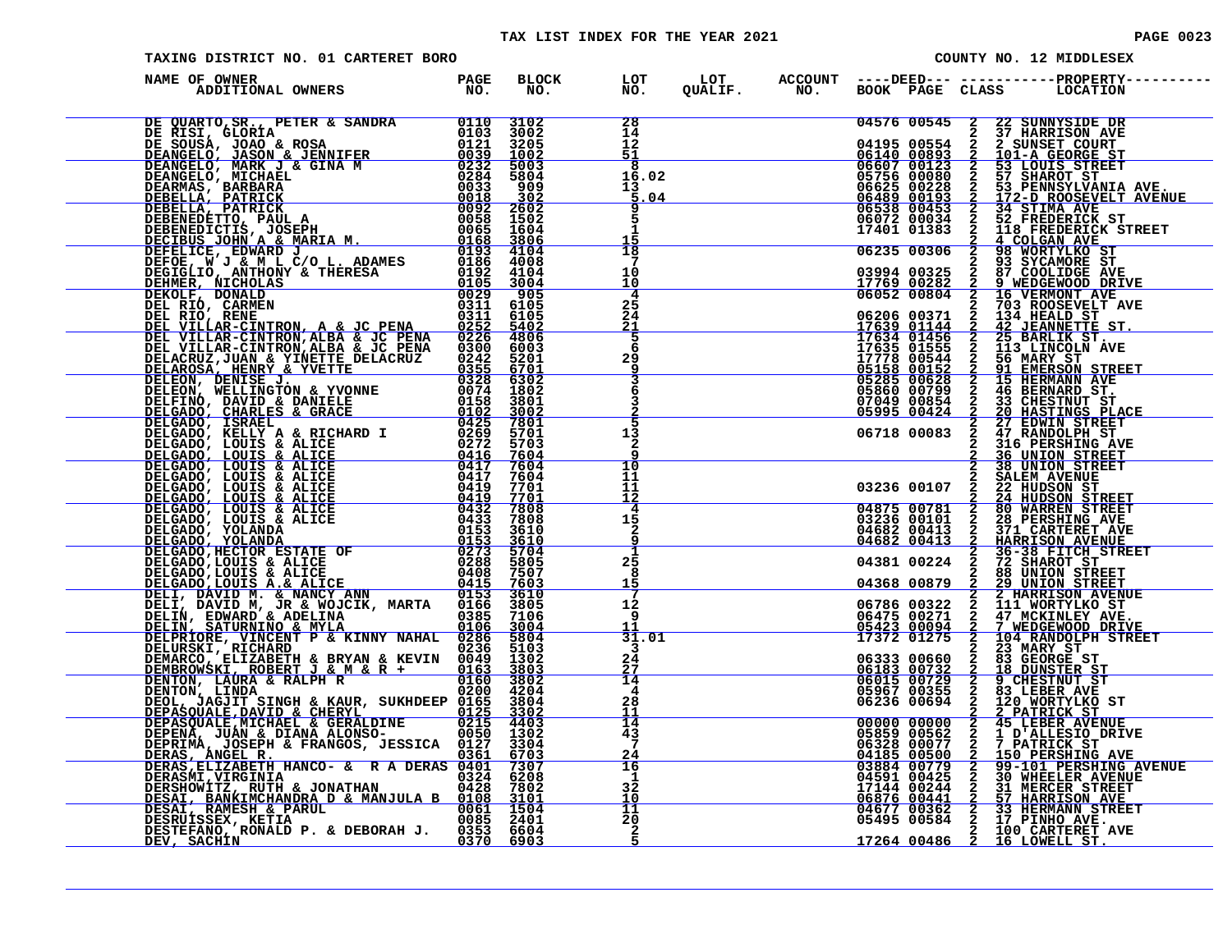| TAXING DISTRICT NO. 01 CARTERET BORO                                                                                                        | COUNTY NO. 12 MIDDLESEX |  |                                  |  |  |                    |  |                                                                                                                                                                                                                                                                                                                                                                                                                   |
|---------------------------------------------------------------------------------------------------------------------------------------------|-------------------------|--|----------------------------------|--|--|--------------------|--|-------------------------------------------------------------------------------------------------------------------------------------------------------------------------------------------------------------------------------------------------------------------------------------------------------------------------------------------------------------------------------------------------------------------|
| DE OWNER PAGE BLOCK<br>ADDITIONAL OWNERS NO. NO.<br>NAME OF OWNER                                                                           |                         |  | LOT<br>NO.                       |  |  |                    |  | LOT ACCOUNT ----DEED--- -----------PROPERTY----<br>QUALIF.        NO.      BOOK   PAGE   CLASS        LOCATION                                                                                                                                                                                                                                                                                                    |
|                                                                                                                                             |                         |  | 28<br>$\frac{14}{12}$            |  |  |                    |  | $\begin{tabular}{c c c c} \multicolumn{1}{c}{\textbf{5.33.5}} \multicolumn{1}{c}{\textbf{6.43.5}} \multicolumn{1}{c}{\textbf{6.43.5}} \multicolumn{1}{c}{\textbf{6.43.5}} \multicolumn{1}{c}{\textbf{6.43.5}} \multicolumn{1}{c}{\textbf{6.43.5}} \multicolumn{1}{c}{\textbf{6.43.5}} \multicolumn{1}{c}{\textbf{6.43.5}} \multicolumn{1}{c}{\textbf{6.43.5}} \multicolumn{1}{c}{\textbf{6.43.5}} \multicolumn{1$ |
|                                                                                                                                             |                         |  | 51<br>8<br>16.02                 |  |  |                    |  |                                                                                                                                                                                                                                                                                                                                                                                                                   |
|                                                                                                                                             |                         |  | 13<br>5.04                       |  |  |                    |  |                                                                                                                                                                                                                                                                                                                                                                                                                   |
|                                                                                                                                             |                         |  | 5<br>1                           |  |  |                    |  |                                                                                                                                                                                                                                                                                                                                                                                                                   |
|                                                                                                                                             |                         |  | $\frac{1\overline{5}}{18}$<br>10 |  |  |                    |  |                                                                                                                                                                                                                                                                                                                                                                                                                   |
|                                                                                                                                             |                         |  | 10<br>4<br>25                    |  |  |                    |  |                                                                                                                                                                                                                                                                                                                                                                                                                   |
|                                                                                                                                             |                         |  | 24<br>$\frac{21}{5}$             |  |  |                    |  |                                                                                                                                                                                                                                                                                                                                                                                                                   |
|                                                                                                                                             |                         |  | 6<br>29<br>9                     |  |  |                    |  |                                                                                                                                                                                                                                                                                                                                                                                                                   |
|                                                                                                                                             |                         |  | 3<br>6                           |  |  |                    |  |                                                                                                                                                                                                                                                                                                                                                                                                                   |
|                                                                                                                                             |                         |  | ŝ<br>13<br>$\mathbf{z}$          |  |  |                    |  |                                                                                                                                                                                                                                                                                                                                                                                                                   |
|                                                                                                                                             |                         |  | $\overline{10}$<br>11            |  |  |                    |  | <b>36 UNION STREET</b><br><b>38 UNION STREET</b><br>2 SALEM AVENUE                                                                                                                                                                                                                                                                                                                                                |
|                                                                                                                                             |                         |  | 11<br>12<br>4                    |  |  |                    |  | 03236 00107 2 22 HUDSON ST                                                                                                                                                                                                                                                                                                                                                                                        |
|                                                                                                                                             |                         |  | 15<br>$\mathbf{2}$               |  |  |                    |  | 04875 00781 2 80 WARREN STREET<br>03236 00101 2 28 PERSHING AVE<br>04682 00413 2 371 CARTERET AVE<br>04682 00413 2 HARRISON AVENUE                                                                                                                                                                                                                                                                                |
|                                                                                                                                             |                         |  | 25<br>8                          |  |  |                    |  | $\begin{array}{cccc} 04682&00413&2&371&\text{CARTERET AVE}\\ 04682&00413&2&\text{HARTSON AVENUN ENREET}\\ 04381&00224&2&72&\text{SHART OF} &\text{STREET}\\ 04368&00879&2&88&\text{UNION STREET}\\ 06786&00322&2&\text{HICON STREF} &\text{SITEEFT}\\ 064368&00879&2&2&\text{HARKISON AVENUE}\\ 06786&00322&2&111&\text{WORTYLKO ST}\\ 0542$                                                                      |
|                                                                                                                                             |                         |  | 15<br>12<br>9                    |  |  |                    |  |                                                                                                                                                                                                                                                                                                                                                                                                                   |
|                                                                                                                                             |                         |  | 31.01                            |  |  |                    |  |                                                                                                                                                                                                                                                                                                                                                                                                                   |
|                                                                                                                                             |                         |  | 24<br>27<br>14                   |  |  |                    |  |                                                                                                                                                                                                                                                                                                                                                                                                                   |
|                                                                                                                                             |                         |  | 4<br>28<br>11                    |  |  |                    |  |                                                                                                                                                                                                                                                                                                                                                                                                                   |
|                                                                                                                                             |                         |  | 14<br>$4\frac{3}{7}$             |  |  |                    |  |                                                                                                                                                                                                                                                                                                                                                                                                                   |
|                                                                                                                                             |                         |  | 24<br>16<br>1                    |  |  |                    |  | 06333 00660 2 33 GEORGE ST<br>0615 00732 2 9 CHESTNUT ST<br>06015 00732 2 9 CHESTNUT ST<br>05015 00729 2 9 CHESTNUT ST<br>05967 00355 2 83 LEBER AVE<br>06236 00694 2 12ATRICK ST<br>0000000000 2 45 LEBER AVENUE<br>06852 00507 2 1 PATRICK                                                                                                                                                                      |
|                                                                                                                                             |                         |  | 32<br>10<br>11                   |  |  |                    |  |                                                                                                                                                                                                                                                                                                                                                                                                                   |
| DESAI, RAMESH & PARUL & MAROLA 19061 1504<br>DESAIJ RAMESH & PARUL 19085 2401<br>DESTEFANO, RONALD P. & DEBORAH J. 1935 6603<br>DEV, SACHIN |                         |  | 20<br>2                          |  |  | $1726400486\quad2$ |  | 100 CARTERET AVE<br>16 LOWELL ST.                                                                                                                                                                                                                                                                                                                                                                                 |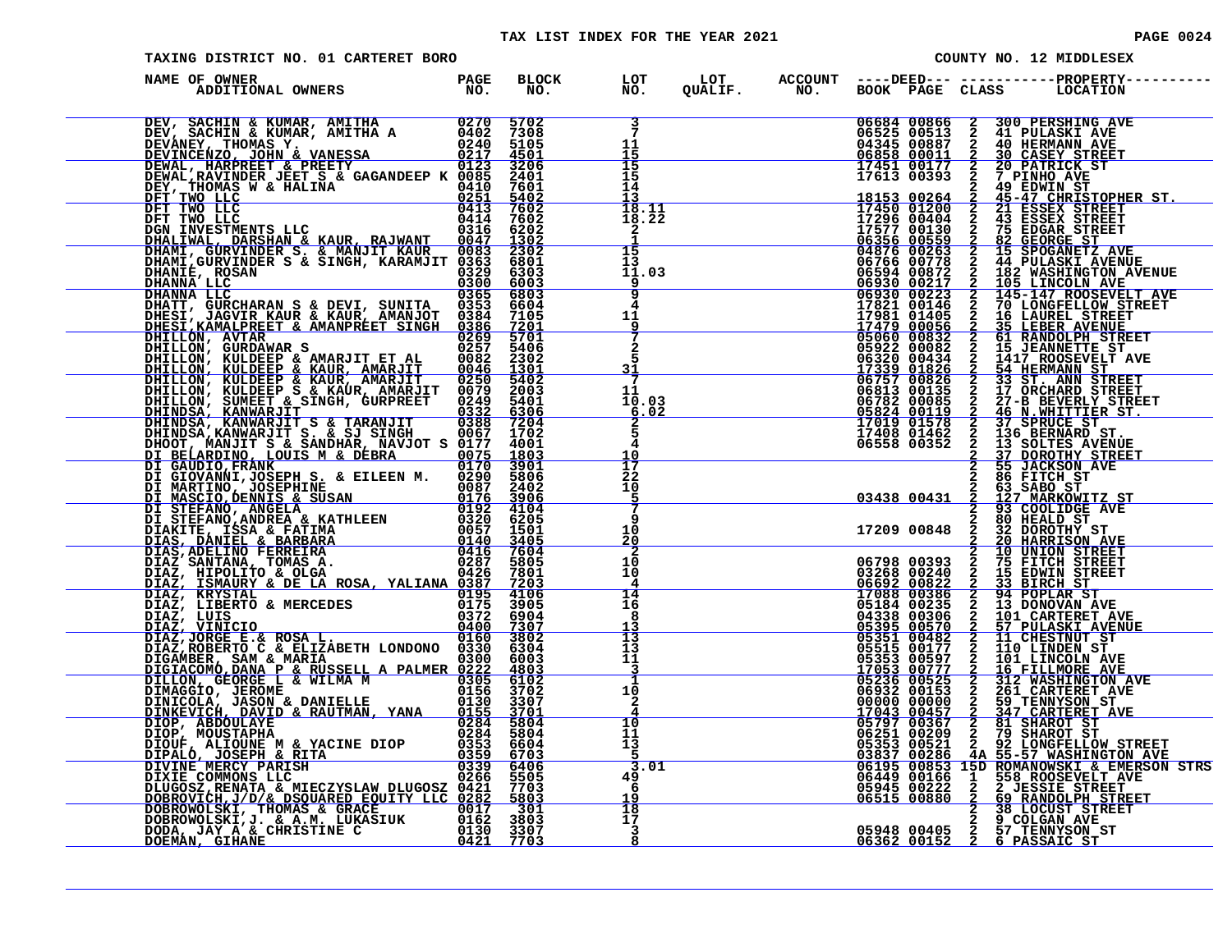#### TAX LIST INDEX FOR THE YEAR 2021

| TAXING DISTRICT NO. 01 CARTERET BORO                                                                                                                                                                                                                                                                                                         |  |                                          |                                                                | COUNTY NO. 12 MIDDLESEX                                                                                                                                                                                                                                                                                                                                                                                                            |
|----------------------------------------------------------------------------------------------------------------------------------------------------------------------------------------------------------------------------------------------------------------------------------------------------------------------------------------------|--|------------------------------------------|----------------------------------------------------------------|------------------------------------------------------------------------------------------------------------------------------------------------------------------------------------------------------------------------------------------------------------------------------------------------------------------------------------------------------------------------------------------------------------------------------------|
| NAME OF OWNER                                                                                                                                                                                                                                                                                                                                |  |                                          |                                                                |                                                                                                                                                                                                                                                                                                                                                                                                                                    |
| DEV, SACHIN & KUMAR, AMITHA $10270$ 5702<br>DEV, SACHIN & KUMAR, AMITHA A 0402 7308<br>DEVINCENZO, JOHN & VANESSA 0240 5105<br>DEVINCENZO, JOHN & VANESSA 0247 4501<br>DEWAL, HARPREET & PREETY 0123 3206<br>DEWAL, HARPREET & PREETY 00                                                                                                     |  | 7<br>11<br>15                            | 06684 00866<br>$\frac{0.6858}{1.7451}$ $\frac{0.0177}{0.0177}$ | $\mathbf{2}$<br>300 PERSHING AVE<br>06525 00513 2 41 PULASKI AVE<br>04345 00887 2 40 HERMANN AVE<br>06858 00011 2 30 CASEY STREET                                                                                                                                                                                                                                                                                                  |
|                                                                                                                                                                                                                                                                                                                                              |  | 15<br>15<br>14                           | 17613 00393                                                    | 2 20 PATRICK ST<br>2 7 PINHO AVE                                                                                                                                                                                                                                                                                                                                                                                                   |
| DENAL, KAVINDER JEET S & GAGANDEEP R 00410 7601<br>DEY, THOMAS W & HALINA<br>DET TWO LLC<br>DET TWO LLC<br>DET TWO LLC<br>DET TWO LLC<br>DET TWO LLC<br>DET TWO LLC<br>DEALINESTMENTS LLC<br>DEALINAL, DARSHAN & KAUR, RAJWANT<br>DEALINAL, GURVIN                                                                                           |  | 18.11<br>18.22<br>2                      |                                                                |                                                                                                                                                                                                                                                                                                                                                                                                                                    |
| DHANIÉ, ROSAN<br><u>DHANNA LLC</u>                                                                                                                                                                                                                                                                                                           |  | 15<br>13 <sup>1</sup><br>11.03<br>9<br>9 |                                                                | $\begin{array}{cccc} 17613&00393&2&7 \text{ PTNHO AVE}\\ \hline 18153&00264&2&45-47 \text{ CHRISTOPHER ST.}\\ 17450&01200&2&21 \text{ ESSEX STREF}\\ 17296&00404&2&43 \text{ ESSEX STREF}\\ 17277&00130&2&75 \text{ EDGAR STREF}\\ 06356&00559&2&82 \text{ GEORGE ST}\\ 06356&00559&2&82 \text{ GEORGE ST}\\ 064766&00778&2&44 \text{ PULASKI A$                                                                                   |
| DHANIE, ROSAN 0329 6303<br>DHANNA LLC 0365 6803<br>DHANNA LLC 0365 6803<br>DHANNA LLC 0365 6803<br>DHATT, GURCHARAN S & DEVI, SUNITA 0353 6604<br>DHESI, JAGVIR KAUR & KAUR, AMANOT 0384 7105<br>DHESI, JAGVIR KAUR & KAUR, AMANOT 0384 71<br>DHESI, KAMALPREET & AMANPRÉET SINGH 0386 7201<br>DHESI, KAMALPREET & AMANPRÉET SINGH 0386 7201 |  | 4<br>11<br>-9                            | $\frac{17\bar{4}\bar{7}9}{05060}\,\frac{00056}{00832}$         | 2 35 LEBER AVENUE<br>2 61 RANDOLPH STREET                                                                                                                                                                                                                                                                                                                                                                                          |
| DHESI, JAGVIR KAUR & KAUR, AMANJT 0984 7105<br>DHESI, KAMILPEET & MANPEET SINGH 0386 7201<br>DHILLON, KULDEEP & MARJIT ET AL 00822 3902<br>DHILLON, KULDEEP & KAUR, AMARJIT 00822 3302<br>DHILLON, KULDEEP & KAUR, AMARJIT 00822 3301<br>DHIL                                                                                                |  | 2<br>5.<br>31<br>-7                      |                                                                | 050600003222015<br>0692200082220147ENEST<br>0632000082220147ENEST<br>063200043421417ROGEVELTAVE<br>1733901826254HERMANN ST<br>06757008262335T. ANN STREET<br>0678200135227-BEVERLY STREET<br>0678200085227-BEVERLY STREET<br>0582400119246N.WH                                                                                                                                                                                     |
|                                                                                                                                                                                                                                                                                                                                              |  | 11<br>10.03<br>6.02                      |                                                                |                                                                                                                                                                                                                                                                                                                                                                                                                                    |
|                                                                                                                                                                                                                                                                                                                                              |  | 5.<br>10<br>17                           |                                                                | 17408 01462 2 136 BERNARD ST.<br>06558 00352 2 13 SOLTES AVENUE<br>2 37 DOROTHY STREET<br>2 55 JACKSON AVE<br>2 86 FITCH ST                                                                                                                                                                                                                                                                                                        |
|                                                                                                                                                                                                                                                                                                                                              |  | 22<br>10<br>5.<br>q                      |                                                                |                                                                                                                                                                                                                                                                                                                                                                                                                                    |
|                                                                                                                                                                                                                                                                                                                                              |  | 10<br>20<br>2<br>10                      |                                                                | $\begin{array}{r} 2868 \overline{) } \\ -03438 \overline{) } \\ -03438 \overline{) } \\ -03438 \overline{) } \\ -03438 \overline{) } \\ -03438 \overline{) } \\ -03438 \overline{) } \\ -03438 \overline{) } \\ -03438 \overline{) } \\ -0348 \overline{) } \\ -0348 \overline{) } \\ -0348 \overline{) } \\ -0448 \overline{) } \\ -0448 \overline{) } \\ -0448 \overline{) } \\ -0448 \overline{) } \\ -0448 \overline{) } \\ -$ |
|                                                                                                                                                                                                                                                                                                                                              |  | 10<br>4<br>14<br>16                      |                                                                | 06798 00393 2 75 FITCH STREET<br>03268 00240 2 15 EDWIN STREET<br>06692 00822 2 33 BIRCH STREET<br>17088 00386 2 34 POPLAR ST<br>05184 00235 2 13 DONOVAN AVE                                                                                                                                                                                                                                                                      |
|                                                                                                                                                                                                                                                                                                                                              |  | 8<br>$\overline{13}$<br>13               |                                                                | 04338 00306 2 101 CARTERET AVI<br>05395 00570 2 57 PULASKI AVENI<br>05351 00482 2 11 CHESTNUT ST<br>05515 00477 2 110 LINDEN ST<br>05353 00597 2 101 LINCOLN AVE<br>2 101 CARTERET AVE<br>2 57 PULASKI AVENU<br>2 11 CHESTNUT ST<br>57 PULASKI AVENUE<br>11 CHESTNUT ST                                                                                                                                                            |
|                                                                                                                                                                                                                                                                                                                                              |  | 11<br>$\overline{\mathbf{3}}$<br>1<br>10 |                                                                |                                                                                                                                                                                                                                                                                                                                                                                                                                    |
|                                                                                                                                                                                                                                                                                                                                              |  | 2<br>10<br>11                            |                                                                | 0535300597 2 10 LINCOLN AVE<br>17053 00777 2 16 FILLMORE AVE<br>05236 00525 2 312 WASHINGTON AVE<br>06932 00153 2 261 CARTERET AVE<br>00000 00000 2 59 TENNYSON ST<br>17043 00457 2 31 SHAROT ST<br>05797 00367 2 81 SHAROT ST<br>05251 0020                                                                                                                                                                                       |
| DIAZ/ROBERTO C & ELIZABETH LONDONO 0330 6304<br>DIAZ/ROBERTO C & ELIZABETH LONDONO 0330 6304<br>DIGAMBER, SAM & MARIA<br>DILLON, GEORGE L & WILMA M<br>DILLON, GEORGE L & WILMA M<br>0305 6102<br>DIMAGGIO, JEROME<br>DINAGGIO, JEROME<br>OILL                                                                                               |  | 13<br>-5<br>3.01<br>49<br>-6             |                                                                | 05353 00521 2 92 LONGFELLOW STREET<br>06195 00286 4A 55-57 WASHINGTON AVE<br>06195 00853 15D ROMANOWSKI & EMERSON STRS<br>06449 00166 1 558 ROOSEVELT AVE<br>05945 00222 2 2 DESSIE STREET<br>06515 00880 2 2 9 RANDOLPH STREET<br>2 38 LO                                                                                                                                                                                         |
|                                                                                                                                                                                                                                                                                                                                              |  | 19<br>18<br>17                           |                                                                |                                                                                                                                                                                                                                                                                                                                                                                                                                    |
|                                                                                                                                                                                                                                                                                                                                              |  | 3<br>8                                   |                                                                |                                                                                                                                                                                                                                                                                                                                                                                                                                    |

| <b>PAGE</b> | 0024 |
|-------------|------|
|             |      |
|             |      |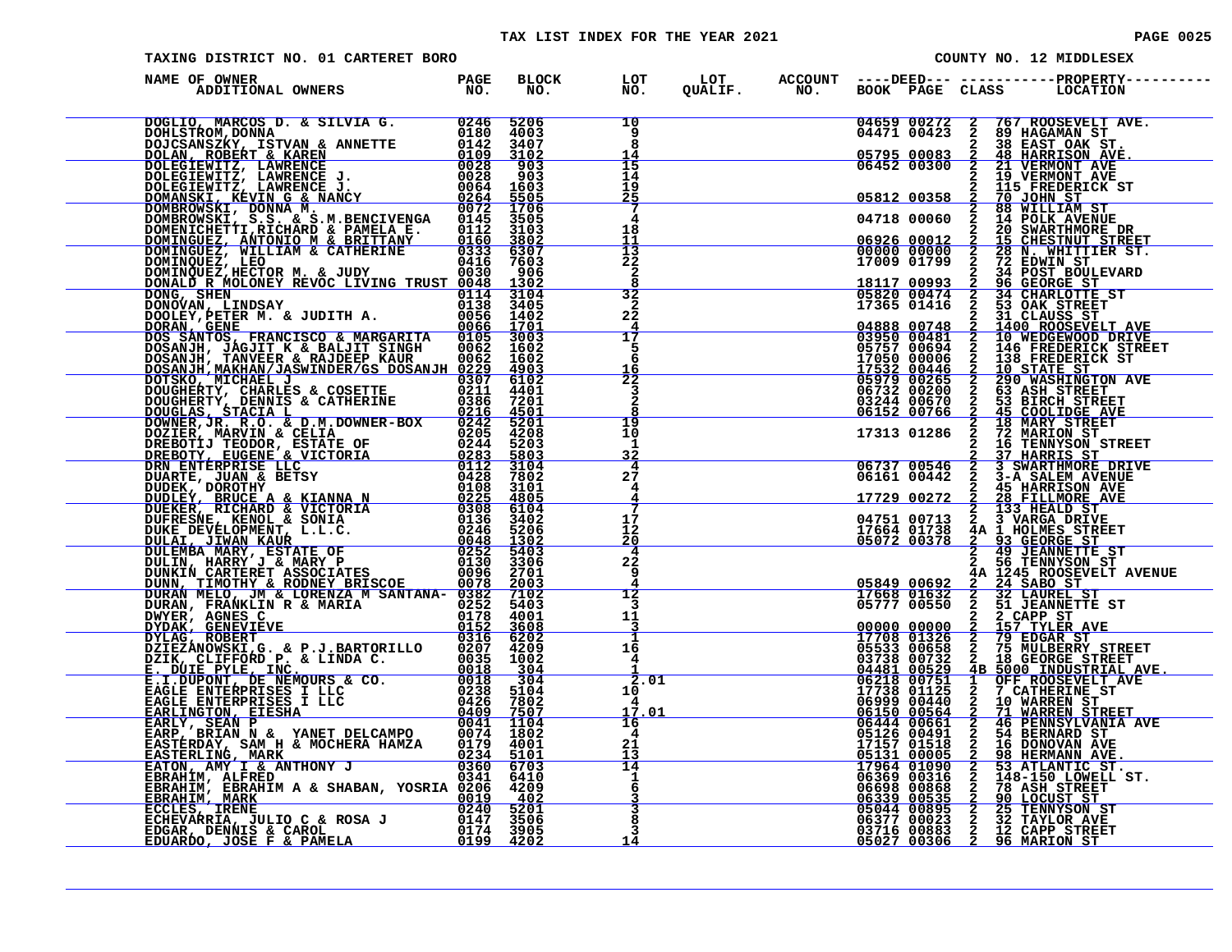### TAX LIST INDEX FOR THE YEAR 2021 **PAGE 10025** PAGE 0025

| TAXING DISTRICT NO. 01 CARTERET BORO                                                                                                                                                                                         |  |                                       |  |             |                                                                  |                    | COUNTY NO. 12 MIDDLESEX                                                                                                                                                                                                                                                                                                                                                               |
|------------------------------------------------------------------------------------------------------------------------------------------------------------------------------------------------------------------------------|--|---------------------------------------|--|-------------|------------------------------------------------------------------|--------------------|---------------------------------------------------------------------------------------------------------------------------------------------------------------------------------------------------------------------------------------------------------------------------------------------------------------------------------------------------------------------------------------|
| NAME OF OWNER                                                                                                                                                                                                                |  |                                       |  |             |                                                                  |                    |                                                                                                                                                                                                                                                                                                                                                                                       |
|                                                                                                                                                                                                                              |  | 10<br>9<br>8                          |  |             |                                                                  |                    | 04659 00272 2 767 ROOSEVELT AVE.<br>04471 00423 2 89 HAGAMAN ST                                                                                                                                                                                                                                                                                                                       |
|                                                                                                                                                                                                                              |  | 14<br>15<br>$\bar{1}\bar{4}$<br>19    |  |             | 05795 00083<br>06452 00300                                       |                    | 2 89 HAGAMAN PST.<br>2 48 HARRISON AVE.<br>2 21 VERMONT AVE.<br>2 19 VERMONT AVE.                                                                                                                                                                                                                                                                                                     |
|                                                                                                                                                                                                                              |  | $\frac{25}{7}$<br>4                   |  |             |                                                                  |                    | <b>2</b> 115 FREDERICK ST<br>05812 00358 2 70 JOHN ST<br>05812 00358 2 70 JOHN ST<br>04718 00060 2 14 POLK AVENUE                                                                                                                                                                                                                                                                     |
|                                                                                                                                                                                                                              |  | 18<br>11<br>$\frac{13}{22}$           |  |             | 06926 00012<br>00000 00000<br>17009 01799                        | $\frac{2}{2}$      | 20 SWARTHMORE DR<br>15 CHESTNUT STREET<br>28 N. WHITTIER ST.<br>72 EDWIN ST                                                                                                                                                                                                                                                                                                           |
|                                                                                                                                                                                                                              |  | $\overline{a}$<br>8<br>32<br>2        |  | 18117 00993 | 05820 00474<br>17365 01416                                       | <b>DAN</b>         | 34 POST BOULEVARD<br>96 GEORGE ST<br>34 CHARLOTTE ST<br>53 OAK STREET                                                                                                                                                                                                                                                                                                                 |
|                                                                                                                                                                                                                              |  | 22<br>$rac{4}{17}$                    |  |             | $\frac{04888}{03950} \frac{00748}{00481}$                        | 2<br>$\frac{2}{2}$ | 31 CLAUSS ST<br>1400 ROOSEVELT AVE<br>10 WEDGEWOOD DRIVE                                                                                                                                                                                                                                                                                                                              |
|                                                                                                                                                                                                                              |  | 5<br>6<br>16<br>22                    |  |             | 05757 00694<br>17050 00006<br><u>17532 00446<br/>05979 00265</u> |                    | 2 146 FREDERICK STREET<br>2 138 FREDERICK ST<br>2 10 STATE ST                                                                                                                                                                                                                                                                                                                         |
|                                                                                                                                                                                                                              |  | 3<br>$\overline{a}$<br>19             |  |             | 06732 00200<br>03244 00670<br>06152 00766                        | $\frac{2}{2}$      | 290 WASHINGTON AVE<br>53 BIRCH STREET<br><u>45 COOLIDGE AVE</u><br>18 MARY STREET                                                                                                                                                                                                                                                                                                     |
|                                                                                                                                                                                                                              |  | 10<br>ı<br>32                         |  |             |                                                                  |                    |                                                                                                                                                                                                                                                                                                                                                                                       |
|                                                                                                                                                                                                                              |  | 4<br>27<br>4<br>4                     |  |             |                                                                  |                    |                                                                                                                                                                                                                                                                                                                                                                                       |
|                                                                                                                                                                                                                              |  | 17<br>$12 \,$<br>20                   |  |             |                                                                  |                    | $\begin{tabular}{l c c c c c} \hline & 2 & 18 & \text{MARY STREF} \\\hline 2 & 18 & \text{MARY STREF} \\\hline 2 & 72 & \text{MATION ST2 & 16 & \text{TENNSTON STREF} \\\hline 2 & 16 & \text{TENNSTON STREF} \\\hline 2 & 37 & \text{HARKIS ST66161 & 00442 & 2 & 3 & \text{SWARTIMORE DRTVE} \\\hline 06161 & 00442 & 2 & 45 & \text{HARKISON NVE} \\\hline 17729 & 00272 & 2 & 28$ |
|                                                                                                                                                                                                                              |  | 4<br>22<br>9                          |  |             |                                                                  |                    |                                                                                                                                                                                                                                                                                                                                                                                       |
|                                                                                                                                                                                                                              |  | 12<br>3<br>11                         |  |             |                                                                  |                    |                                                                                                                                                                                                                                                                                                                                                                                       |
| NAME OF OWNER PARK IN A ANNUAL MARINE PARK BLOCK ANNUAL MARINE PROPERTY. THE SERVE THE CONDUCT IS a server of the conduction of the conduction of the server of the server of the conduction of the conduction of the server |  | $\frac{3}{1}$<br>16<br>$\overline{4}$ |  |             |                                                                  |                    | 2 2 CAPP ST<br>00000 00000 2 157 TYLER AVE<br>17708 01326 2 79 EDGAR ST<br>05533 00658 2 75 NULBERRY STREET<br>03738 00732 2 18 GEORGE STREET                                                                                                                                                                                                                                         |
|                                                                                                                                                                                                                              |  | 2.01<br>10<br>4<br>17.01              |  |             |                                                                  |                    | 03738 00732 2 18 GEORGE STREET<br>04481 00529 4B 5000 INDUSTRIAL AVE.<br>06218 00751 1 OFF ROOSEVELT AVE<br>17738 01125 2 7 CATHERINE ST                                                                                                                                                                                                                                              |
|                                                                                                                                                                                                                              |  | 16<br>4<br>21                         |  |             |                                                                  |                    |                                                                                                                                                                                                                                                                                                                                                                                       |
|                                                                                                                                                                                                                              |  | $\frac{13}{14}$<br>$\frac{1}{6}$      |  |             |                                                                  |                    |                                                                                                                                                                                                                                                                                                                                                                                       |
|                                                                                                                                                                                                                              |  | $\overline{3}$<br>8<br>3<br>14        |  |             |                                                                  |                    | 17738 01125 2 7 CATHERINE ST<br>01 06999 00440 2 10 WARREN STREET<br>06444 00661 2 46 PENNSYLVANIA AVE<br>06444 00661 2 46 PENNSYLVANIA AVE<br>05126 00491 2 54 BERNARD ST<br>17157 01157 01518 2 16 DONOVAN AVE<br>05131 00005 2 98 BERMA                                                                                                                                            |
|                                                                                                                                                                                                                              |  |                                       |  |             |                                                                  |                    |                                                                                                                                                                                                                                                                                                                                                                                       |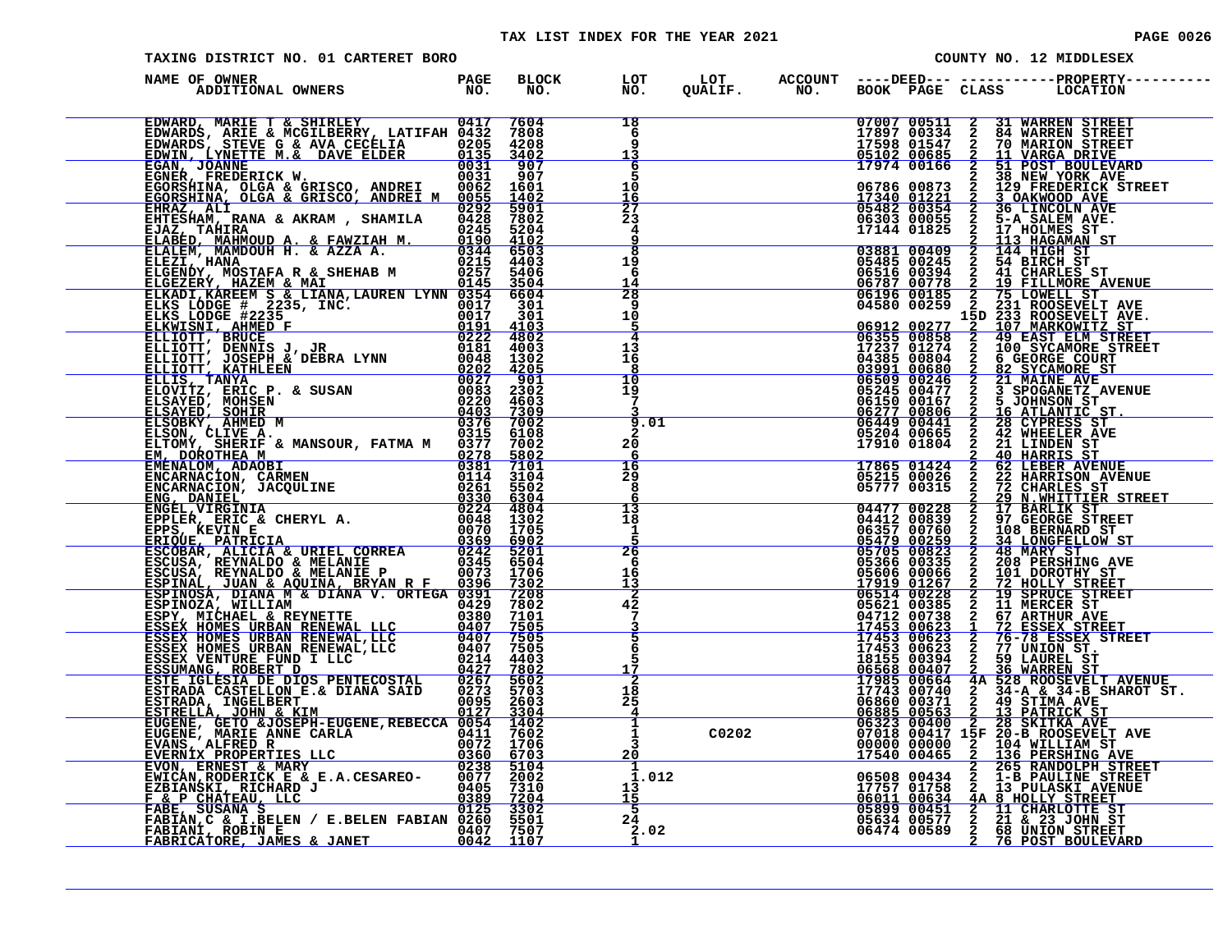### TAX LIST INDEX FOR THE YEAR 2021 **PAGE 0026** PAGE 0026

| TAXING DISTRICT NO. 01 CARTERET BORO                                           |  |                                                           |  |  | COUNTY NO. 12 MIDDLESEX                                                                                                                                                                                                                                                                                                                    |
|--------------------------------------------------------------------------------|--|-----------------------------------------------------------|--|--|--------------------------------------------------------------------------------------------------------------------------------------------------------------------------------------------------------------------------------------------------------------------------------------------------------------------------------------------|
| NAME OF OWNER                                                                  |  |                                                           |  |  | BLOCK LOT LOT ACCOUNT ----DEED--- -----------PROPERTY-----<br>NO. NO. QUALIF. NO. BOOK PAGE CLASS LOCATION                                                                                                                                                                                                                                 |
|                                                                                |  | 18<br>6<br>ğ<br>13                                        |  |  | $\begin{tabular}{ c  c c c c c} \hline 07007&00511&2&31\text{ WARREN STREET} \\ 17897&00334&2&84\text{ WARREN STREET} \\ 17598&01547&2&70\text{ MARTON STREET} \\ 05102&00685&2&11\text{ VARRB}} \\ \hline 17974&00166&2&51\text{ POST BOUREVARD} \\ 0786&0873&2&38\text{ NEW YORK AVE} \\ 0786&00873&2&129\text{ FREDERICET} \\ \hline 1$ |
|                                                                                |  | $\frac{6}{5}$<br>10<br>$rac{16}{27}$                      |  |  |                                                                                                                                                                                                                                                                                                                                            |
|                                                                                |  | $\overline{2}3$<br>4<br>9<br>$\overline{\mathbf{g}}$      |  |  |                                                                                                                                                                                                                                                                                                                                            |
|                                                                                |  | 19<br>6<br>14<br>28                                       |  |  | 1/144 01825 2 113 HAGAMAIST<br>03881 00409 2 144 HIGH ST<br>05485 00245 2 54 BIRCH ST<br>06516 00394 2 41 CHARLES ST<br>06787 00778 2 15 FILMMORE AVENUE<br>06196 00185 2 75 LOWELL ST<br>04580 00259 2 231 ROOSEVELT AVE<br>15D 233 ROOSEVE                                                                                               |
|                                                                                |  | 9<br>10<br>5<br>4                                         |  |  |                                                                                                                                                                                                                                                                                                                                            |
|                                                                                |  | 13<br>16<br>8<br>10                                       |  |  |                                                                                                                                                                                                                                                                                                                                            |
|                                                                                |  | 19<br>$\overline{7}$<br>9.01<br>$\mathbf{2}$              |  |  |                                                                                                                                                                                                                                                                                                                                            |
|                                                                                |  | 20<br>6<br>$\frac{16}{29}$                                |  |  |                                                                                                                                                                                                                                                                                                                                            |
|                                                                                |  | 8<br>$\frac{13}{18}$                                      |  |  |                                                                                                                                                                                                                                                                                                                                            |
|                                                                                |  | 1<br>26<br>6                                              |  |  |                                                                                                                                                                                                                                                                                                                                            |
|                                                                                |  | 16<br>13<br>$\overline{42}$<br>7                          |  |  |                                                                                                                                                                                                                                                                                                                                            |
|                                                                                |  | 5<br>5<br><u> 17</u>                                      |  |  | 06196 00185 2 75 LOWELL STREET<br>06358 00255 2 751 ROOSEVELT AVE<br>06358 00255 2 751 ROOSEVELT AVE<br>06315 002578 2 19 PAST ELM STREET<br>17237 012674 2 100 SYAMORE STREET<br>06325 002626 2 100 SYAMORE STREET<br>06326 0002606 2 5                                                                                                   |
|                                                                                |  | 2<br>18<br>25<br>4                                        |  |  |                                                                                                                                                                                                                                                                                                                                            |
|                                                                                |  | 1<br>$\mathbf{1}$<br>$\overline{3}$<br>20<br>$\mathbf{1}$ |  |  |                                                                                                                                                                                                                                                                                                                                            |
|                                                                                |  | 1.012<br>13<br>15<br>- 5                                  |  |  | 17540 00434 2 265 RANDOLPH STREET<br>06508 00434 2 1-B PAULINE STREET<br>17757 01758 2 13 PULASKI AVENUE<br>06011 00634 4A 8 HOLLY STREET<br>05899 00451 2 11 CHARLOTTE ST<br>05634 00577 2 21 & 23 JOHN STREET<br>06474 00589 2 76 POST B                                                                                                 |
| FABIANI, ROBIN E (2008) 1999 1997 7507<br>FABRICATORE, JAMES & JANET 0042 1107 |  | $2\bar{4}$<br>2.02                                        |  |  |                                                                                                                                                                                                                                                                                                                                            |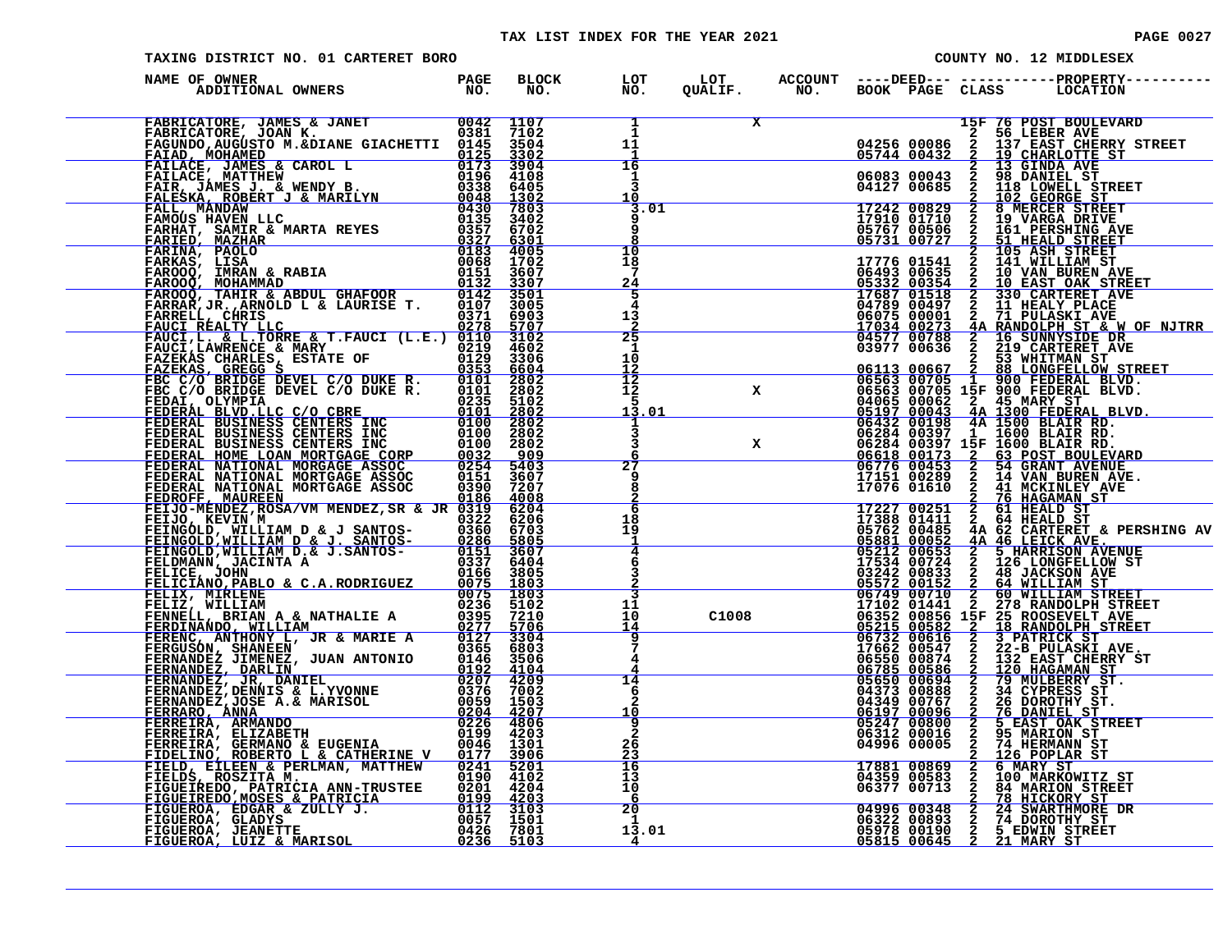| TAXING DISTRICT NO. 01 CARTERET BORO                                                                                                                                                                                          |  |  |                                                                   |  |  | COUNTY NO. 12 MIDDLESEX |  |                                                                                                                                  |  |  |
|-------------------------------------------------------------------------------------------------------------------------------------------------------------------------------------------------------------------------------|--|--|-------------------------------------------------------------------|--|--|-------------------------|--|----------------------------------------------------------------------------------------------------------------------------------|--|--|
| NAME OF OWNER                                                                                                                                                                                                                 |  |  |                                                                   |  |  |                         |  |                                                                                                                                  |  |  |
| NAME OF OWNERS JEMES CREWS AND MANUEL AND 1100 PRODUCED PRODUCED IN A 1990 PRODUCED IN A 1990 PRODUCED IN A 1990 PRODUCED IN A 1990 PRODUCED IN A 1990 PRODUCED IN A 1990 PRODUCED IN A 1990 PRODUCED IN A 1990 PRODUCED IN A |  |  | $\mathbf{1}$ and $\mathbf{1}$<br>$\mathbf{i}$<br>11<br>1          |  |  |                         |  | X 15F 76 POST BOULEVARD<br>2 56 LEBER AVE<br>04256 00086 2 137 EAST CHERRY STREET<br>05744 00432 2 19 CHARLOTTE ST               |  |  |
|                                                                                                                                                                                                                               |  |  | $\overline{16}$<br>1<br>3<br>10                                   |  |  |                         |  |                                                                                                                                  |  |  |
|                                                                                                                                                                                                                               |  |  | 3.01<br>9<br>9<br>10                                              |  |  |                         |  |                                                                                                                                  |  |  |
|                                                                                                                                                                                                                               |  |  | 18<br>$7\phantom{.0}$<br>24<br>5                                  |  |  |                         |  |                                                                                                                                  |  |  |
|                                                                                                                                                                                                                               |  |  | 4<br>13<br>$\frac{2}{5}$                                          |  |  |                         |  |                                                                                                                                  |  |  |
|                                                                                                                                                                                                                               |  |  | $\mathbf{1}$<br>$1\overline{0}$<br>$12^{\circ}$<br>$\frac{1}{12}$ |  |  |                         |  |                                                                                                                                  |  |  |
|                                                                                                                                                                                                                               |  |  | 5<br>13.01                                                        |  |  |                         |  |                                                                                                                                  |  |  |
|                                                                                                                                                                                                                               |  |  | 3<br>6<br>27<br>9                                                 |  |  |                         |  |                                                                                                                                  |  |  |
|                                                                                                                                                                                                                               |  |  | 8<br>6<br>18                                                      |  |  |                         |  |                                                                                                                                  |  |  |
|                                                                                                                                                                                                                               |  |  | 19<br>-1<br>$\overline{4}$<br>6                                   |  |  |                         |  |                                                                                                                                  |  |  |
|                                                                                                                                                                                                                               |  |  | $\overline{3}$<br>11                                              |  |  |                         |  |                                                                                                                                  |  |  |
|                                                                                                                                                                                                                               |  |  | 10<br>14<br>7                                                     |  |  |                         |  |                                                                                                                                  |  |  |
|                                                                                                                                                                                                                               |  |  | 4<br>14<br>6<br>$\overline{a}$                                    |  |  |                         |  |                                                                                                                                  |  |  |
|                                                                                                                                                                                                                               |  |  | 10<br>9<br>$\bar{2}$<br>26                                        |  |  |                         |  |                                                                                                                                  |  |  |
|                                                                                                                                                                                                                               |  |  | $\frac{23}{16}$<br>13<br>10                                       |  |  |                         |  | 04996 00005 2 126 POPLAR ST<br>17881 00869 2 6 MARY ST<br>04359 00583 2 100 MARKOWITZ ST<br>06377 00713 2 84 MARION STREET       |  |  |
|                                                                                                                                                                                                                               |  |  | -6<br>20<br>$\mathbf{1}$<br>13.01                                 |  |  |                         |  | 08377 00713 2 02 HEACORY STREET<br>04996 00348 2 24 SWARTHMORE DR<br>06322 00893 2 74 DOROTHY STREET<br>05815 00645 2 21 MARY ST |  |  |
|                                                                                                                                                                                                                               |  |  | $\frac{4}{ }$                                                     |  |  |                         |  |                                                                                                                                  |  |  |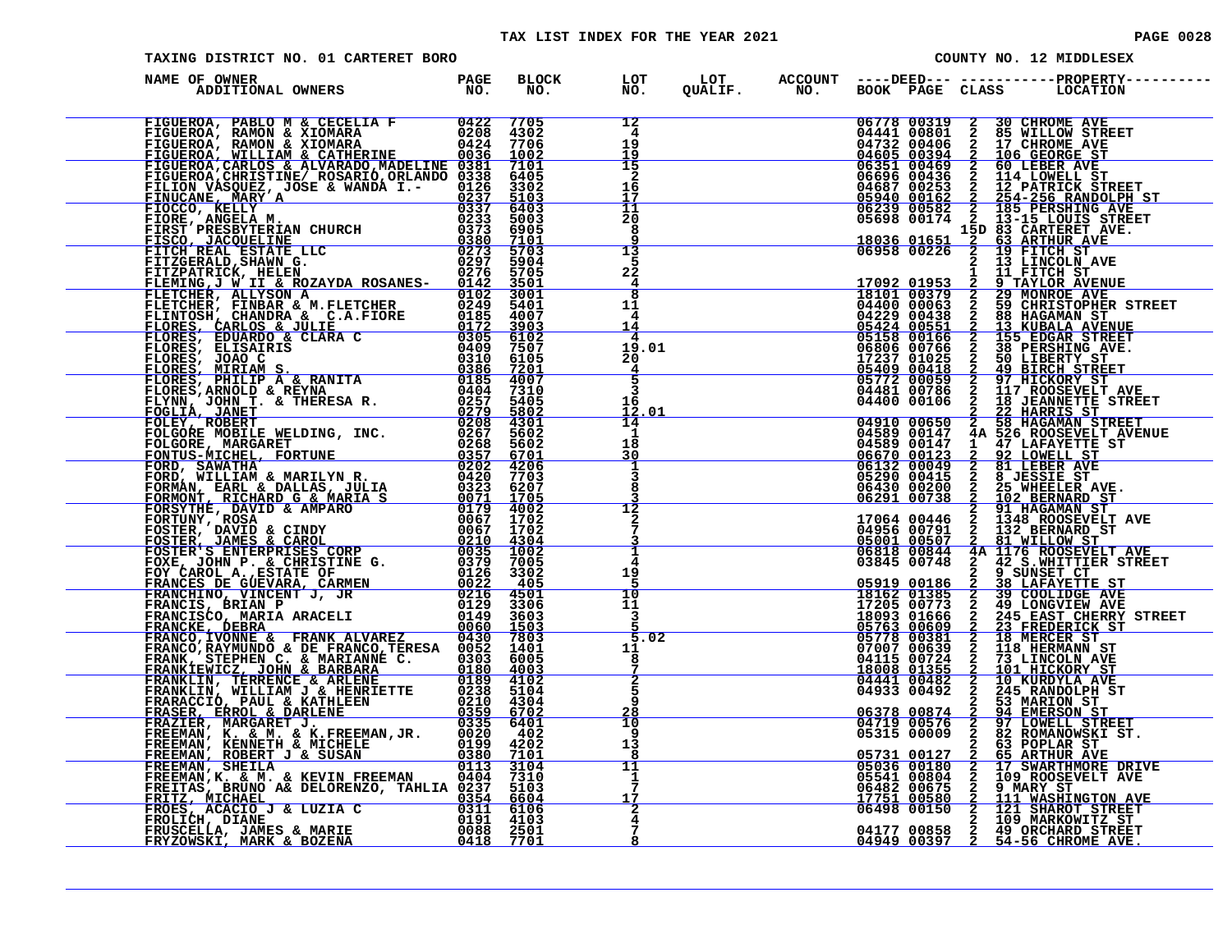### TAX LIST INDEX FOR THE YEAR 2021 **PAGE 0028** PAGE 0028

| PAGE |  |
|------|--|
|      |  |

| TAXING DISTRICT NO. 01 CARTERET BORO<br>COUNTY NO. 12 MIDDLESEX |  |                      |                                             |  |  |  |  |  |                                                                                                                                                                                                                                                     |
|-----------------------------------------------------------------|--|----------------------|---------------------------------------------|--|--|--|--|--|-----------------------------------------------------------------------------------------------------------------------------------------------------------------------------------------------------------------------------------------------------|
| NAME OF OWNER                                                   |  | BLOCK LOT<br>NO. NO. |                                             |  |  |  |  |  |                                                                                                                                                                                                                                                     |
|                                                                 |  |                      | 12<br>$\overline{4}$<br>ق1<br>19            |  |  |  |  |  | 06778 00319 2 30 CHROME AVE<br>04441 00801 2 85 WILLOW STREET<br>04732 00406 2 17 CHROME AVE<br>04655 00394 2 106 GEORGE ST<br>06351 00469 2 60 LEBER AVE<br>06696 00436 2 114 LOWELL ST<br>06696 00436 2 114 LOWELL ST<br>06897 00253 2 12 PATRICK |
|                                                                 |  |                      | $\frac{15}{2}$<br>16<br>17<br>$11\,$        |  |  |  |  |  |                                                                                                                                                                                                                                                     |
|                                                                 |  |                      | 20<br>8<br>q<br>$\frac{13}{5}$              |  |  |  |  |  | 18036 01651 <sup>- 2</sup> 63 ARTHUR AVE<br>06958 00226 2 19 FITCH ST                                                                                                                                                                               |
|                                                                 |  |                      | 22<br>$\frac{4}{8}$<br>11                   |  |  |  |  |  | 13 LINCOLN AVE                                                                                                                                                                                                                                      |
|                                                                 |  |                      | 4<br>14<br>$\overline{4}$<br>19.01          |  |  |  |  |  |                                                                                                                                                                                                                                                     |
|                                                                 |  |                      | 20 <sup>°</sup><br>$\frac{4}{5}$<br>3<br>16 |  |  |  |  |  |                                                                                                                                                                                                                                                     |
|                                                                 |  |                      | 12.01<br>14<br>1<br>18                      |  |  |  |  |  |                                                                                                                                                                                                                                                     |
|                                                                 |  |                      | 30<br>T<br>$\overline{3}$<br>8              |  |  |  |  |  |                                                                                                                                                                                                                                                     |
|                                                                 |  |                      | 12<br>$\mathbf{2}$<br>7                     |  |  |  |  |  |                                                                                                                                                                                                                                                     |
|                                                                 |  |                      | $\overline{\mathbf{1}}$<br>4<br>19<br>5     |  |  |  |  |  |                                                                                                                                                                                                                                                     |
|                                                                 |  |                      | 10<br>11<br>3<br>5.02                       |  |  |  |  |  |                                                                                                                                                                                                                                                     |
|                                                                 |  |                      | 11<br>8<br>$\frac{7}{2}$                    |  |  |  |  |  |                                                                                                                                                                                                                                                     |
|                                                                 |  |                      | 5<br>q<br>28<br>10                          |  |  |  |  |  |                                                                                                                                                                                                                                                     |
|                                                                 |  |                      | 9<br>13<br>8<br>11<br>1                     |  |  |  |  |  |                                                                                                                                                                                                                                                     |
|                                                                 |  |                      | 7<br>17<br>$\frac{2}{4}$                    |  |  |  |  |  | 05731 00127 2 63 POPLAR ST<br>05731 00127 2 65 ARTHUR AVE<br>05036 00180 2 17 SWARTHMORE DRIVE<br>05541 00804 2 109 ROOSEVELT AVE<br>06482 00675 2 111 WASHINGTON AVE<br>06498 00150 2 121 SHAROT STREET<br>06498 00150 2 121 SHAROT STREE          |
|                                                                 |  |                      | 8                                           |  |  |  |  |  | 04177 00858 2 49 ORCHARD STREET<br>04949 00397 2 54-56 CHROME AVE.                                                                                                                                                                                  |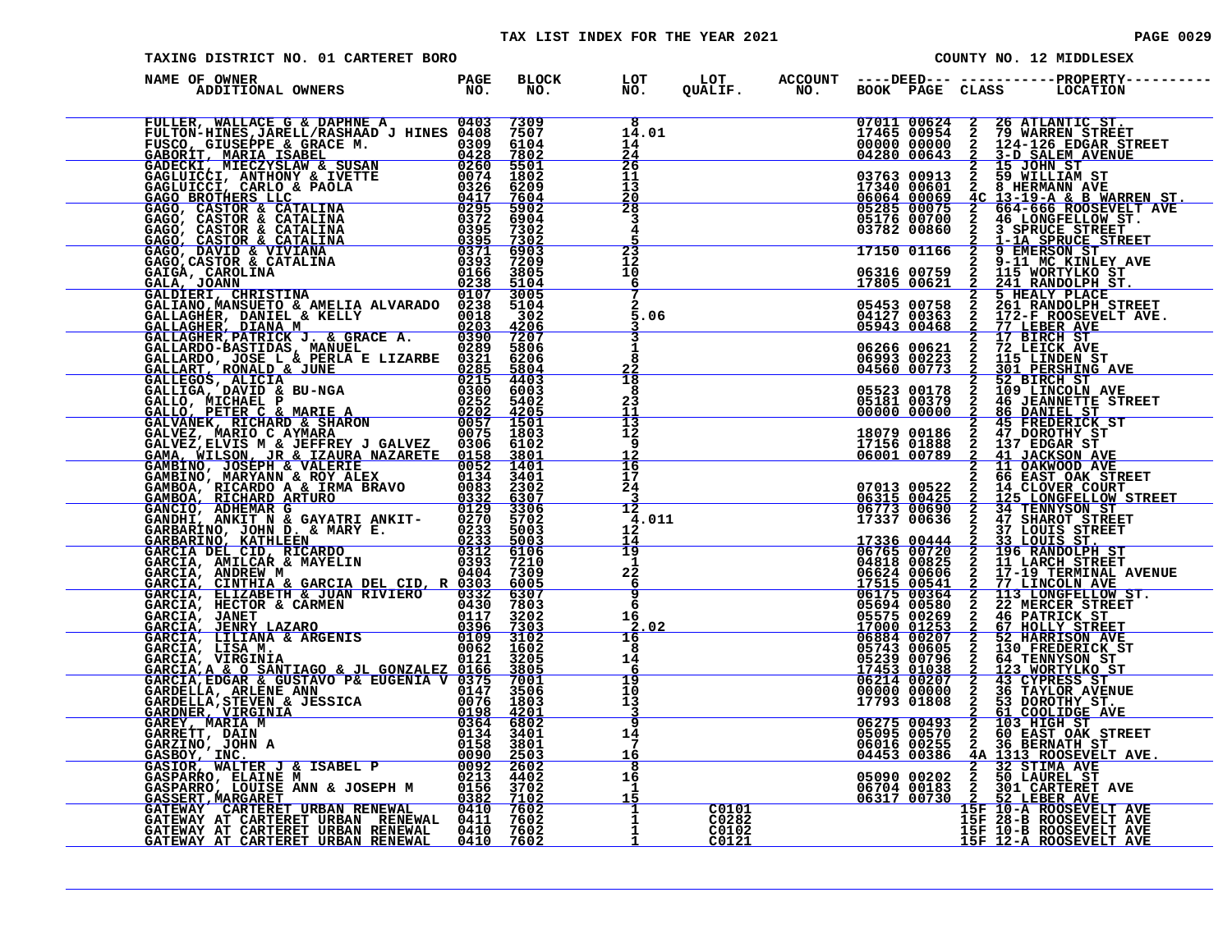### TAX LIST INDEX FOR THE YEAR 2021

| <b>PAGE 0029</b> |  |
|------------------|--|
|                  |  |

| TAXING DISTRICT NO. 01 CARTERET BORO                                                                                                                                                                                                             |                      |                                       |                                                                                    | COUNTY NO. 12 MIDDLESEX |                                                                 |                                  |                                                                                                                                                                                                                                 |  |
|--------------------------------------------------------------------------------------------------------------------------------------------------------------------------------------------------------------------------------------------------|----------------------|---------------------------------------|------------------------------------------------------------------------------------|-------------------------|-----------------------------------------------------------------|----------------------------------|---------------------------------------------------------------------------------------------------------------------------------------------------------------------------------------------------------------------------------|--|
| NAME OF OWNER<br>DF OWNER<br>ADDITIONAL OWNERS TO NO.                                                                                                                                                                                            | BLOCK LOT<br>NO. NO. |                                       |                                                                                    |                         |                                                                 |                                  |                                                                                                                                                                                                                                 |  |
|                                                                                                                                                                                                                                                  |                      | 8<br>14.01<br>14<br>$\frac{24}{}$     |                                                                                    |                         |                                                                 |                                  |                                                                                                                                                                                                                                 |  |
|                                                                                                                                                                                                                                                  |                      | 26<br>11<br>13<br>$\frac{20}{28}$     |                                                                                    |                         | 03763 00913<br>17340 00601<br>06064 00069<br>05285 00075        | $2^{\circ}$                      | 2 15 JOHN ST<br>2 59 WILLIAM ST<br>8 HERMANN AVE<br>4C 13-19-A & B WARREN ST.<br>2 664-666 ROOSEVELT AVE                                                                                                                        |  |
|                                                                                                                                                                                                                                                  |                      | 3<br>4<br>23                          |                                                                                    |                         | 05176 00700<br>03782 00860<br>17150 01166                       | $rac{2}{2}$                      | <b>2 664-666 ROOSEVEI</b><br>2 46 LONGFELLOW ST<br>2 3 SPRUCE STREET<br>46 LONGFELLOW ST.<br>1-1A SPRUCE STREET<br>9 EMERSON ST                                                                                                 |  |
|                                                                                                                                                                                                                                                  |                      | $12^{\circ}$<br>10<br><u>6</u><br>7   |                                                                                    |                         | 06316 00759<br>17805 00621                                      |                                  | 9-11 MC KINLEY AVE<br>2 J-11 MC KINLEY<br>2 115 WORTYLKO ST<br>2 241 RANDOLDU 2                                                                                                                                                 |  |
|                                                                                                                                                                                                                                                  |                      | 5.06                                  |                                                                                    |                         | 05453 00758<br>04127 00363<br>05943 00468<br>06266 00621        |                                  | 2 5 HEALY PLACE<br>2 261 RANDOLPH STREET<br>2 261 RANDOLPH STREET<br>2 77 LEBER AVE<br>77 LEBER AVE<br>17 BIRCH ST<br>72 LEICK AVE                                                                                              |  |
|                                                                                                                                                                                                                                                  |                      | $\bar{8}$<br>22<br>18<br>8            |                                                                                    |                         | 06993 00223<br>04560 00773<br>05523 00178                       | $\frac{2}{2}$<br>$\frac{2}{2}$   | 115 LINDEN ST<br>301 PERSHING AVE<br>52 BIRCH ST<br>109 LINCOLN AVE                                                                                                                                                             |  |
|                                                                                                                                                                                                                                                  |                      | 23<br>11<br>ī3<br>12<br>9             |                                                                                    |                         | 05181 00379<br>00000 00000<br>18079 00186<br>17156 01888        |                                  |                                                                                                                                                                                                                                 |  |
|                                                                                                                                                                                                                                                  |                      | $\frac{12}{16}$<br>17<br>24           |                                                                                    |                         | 06001 00789                                                     |                                  | 2 109 LINCOLN AVE<br>2 45 DANIEL ST<br>2 45 PREDERICK ST<br>2 47 DOROTHY ST<br>2 47 DOROTHY ST<br>2 11 JACKSON AVE<br>2 11 JACKSON AVE<br>2 11 OAKWOOD AVE<br>2 6 EAST OAK STREET<br>3 6 CAST OAK STREET<br>2 6 CAST OAK STREET |  |
|                                                                                                                                                                                                                                                  |                      | 3<br>12<br>4.011<br>12                |                                                                                    |                         | 07013 00522<br><u>06315 00425</u><br>06773 00690<br>17337 00636 | <b>NANNA</b>                     | <b>80 EAST UAR STREET<br/>14 CLOVER COURT<br/>125 LONGFELLOW STREET<br/>34 TENNYSON ST<br/>47 SHAROT STREET<br/>37 LOUIS STREET<br/>33 LOUIS STREET<br/>196 RANDOLPH ST</b>                                                     |  |
|                                                                                                                                                                                                                                                  |                      | 14<br>19<br>1<br>$2\overline{2}$<br>6 | $0481800825$<br>0481800825<br>0662400606<br>0652400606<br>1751500544<br>0559400580 |                         | 17336 00444<br>06765 00720                                      | $rac{2}{2}$<br><b>NAND</b>       | 11 LARCH STREET<br>17-19 TERMINAL AVENUE<br><u>77 LINCOLN AVE</u>                                                                                                                                                               |  |
|                                                                                                                                                                                                                                                  |                      | 9<br>6<br>16<br>.02                   | $\underbrace{02207}_{06894} \underbrace{02207}_{020207}$                           |                         |                                                                 | $\frac{\overline{2}}{2}$         | 113 LONGFELLOW ST.<br>22 MERCER STREET<br>46 PATRICK ST<br>67 HOLLY STREET<br>52 HARRISON AVE                                                                                                                                   |  |
|                                                                                                                                                                                                                                                  |                      | 16<br>8<br>14<br>6                    |                                                                                    |                         | 05743 00605<br>05239 00796<br><u>17453 01038</u><br>06214 00207 | $\overline{a}$<br>$\overline{2}$ | 130 FREDERICK ST<br>64 TENNYSON ST<br>123 WORTYLKO ST<br>43 CYPRESS ST<br>36 TAYLOR AVENUE                                                                                                                                      |  |
|                                                                                                                                                                                                                                                  |                      | 19<br>10<br>13<br>9                   |                                                                                    |                         | 00000 00000<br>17793 01808                                      | $\frac{2}{2}$                    | 53 DOROTHY ST.<br>61 COOLIDGE AVE                                                                                                                                                                                               |  |
| GARCIA, LISAM<br>CARCIA, LISAM<br>GARCIA, LISAM<br>GARCIA, LISAM<br>GARCIA, EDGANTIAGO & JL. GONZALEZ 0126<br>GARCIA, EDGAN & GUSTAVO P& EUGENIA V 0375 7001<br>GARDELLA, ARLENE ANN<br>CARDELLA, ARLENE ANN<br>CARDELLA, ARLENE ANN<br>CARDELLA |                      | 14<br>7<br>$\frac{16}{8}$             |                                                                                    |                         | 06275 00493<br>05095 00570<br>06016 00255<br>04453 00386        | $\frac{2}{2}$                    | 103 HIGH ST<br>60 EAST OAK STREET<br>36 BERNATH ST<br>AA 1313 ROOSEVELT AVE.<br>2 32 STIMA AVE                                                                                                                                  |  |
|                                                                                                                                                                                                                                                  |                      | 16<br>1<br>$\frac{1}{1}$              | C0101                                                                              |                         |                                                                 |                                  | 05090 00202 2 50 LAUREL ST<br>06704 00183 2 301 CARTERET AVE<br>06317 00730 2 52 LEBER AVE<br>15F 10-A ROOSEVELT AVE                                                                                                            |  |
|                                                                                                                                                                                                                                                  |                      |                                       | C0282<br>C0102<br>C0121                                                            |                         |                                                                 |                                  | 15F 28-B ROOSEVELT AVE<br>15F 10-B ROOSEVELT AVE<br>15F 12-A ROOSEVELT AVE                                                                                                                                                      |  |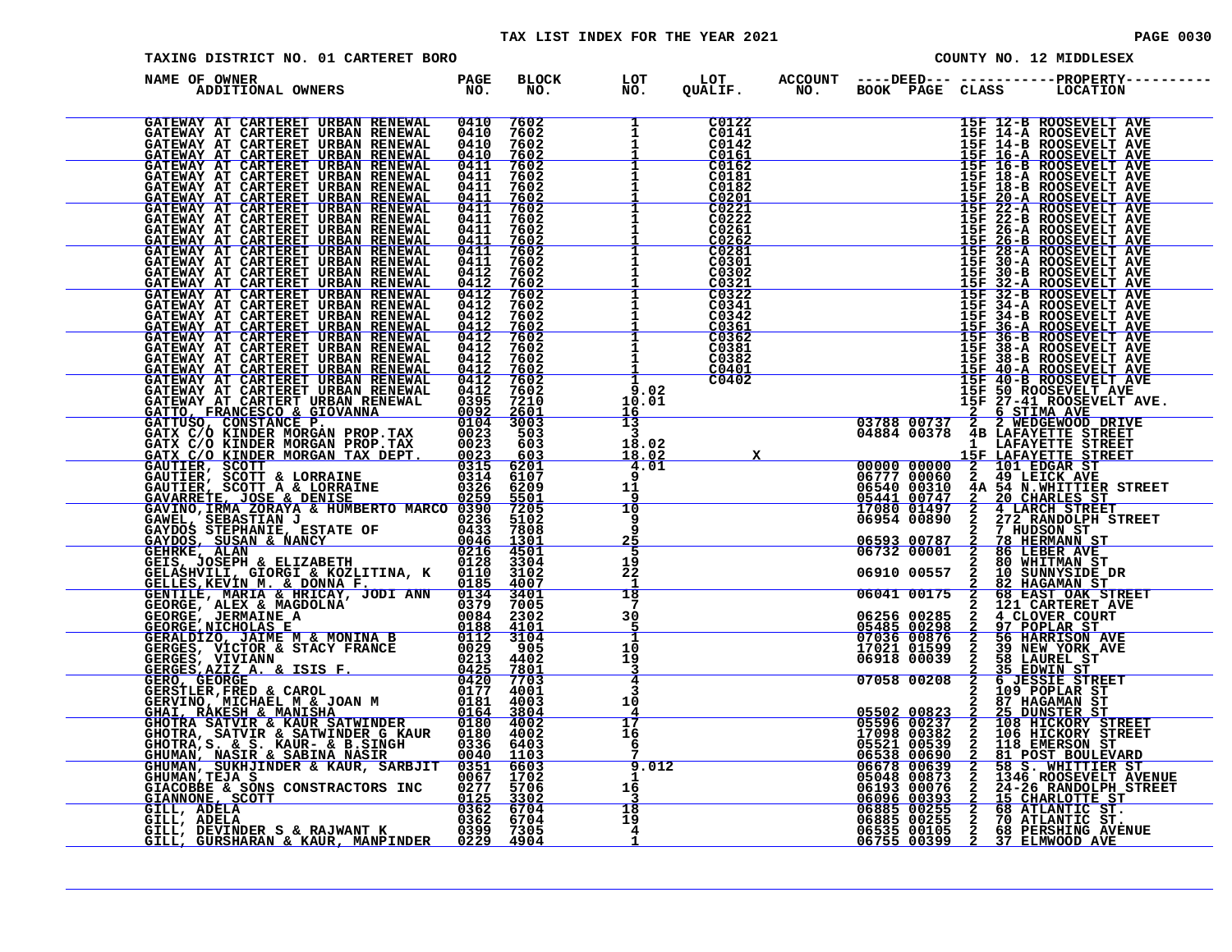| TAXING DISTRICT NO. 01 CARTERET BORO                                                                                                                                                                                                         |  |                                        |                                                                                                                                                                                                                                                                                                                                                                                                                                                                       |                                                                                                                                                      |   | COUNTY NO. 12 MIDDLESEX                                                                                                                                                                                                                                                                                                                                  |
|----------------------------------------------------------------------------------------------------------------------------------------------------------------------------------------------------------------------------------------------|--|----------------------------------------|-----------------------------------------------------------------------------------------------------------------------------------------------------------------------------------------------------------------------------------------------------------------------------------------------------------------------------------------------------------------------------------------------------------------------------------------------------------------------|------------------------------------------------------------------------------------------------------------------------------------------------------|---|----------------------------------------------------------------------------------------------------------------------------------------------------------------------------------------------------------------------------------------------------------------------------------------------------------------------------------------------------------|
| NAME OF OWNER<br>ADDITIONAL OWNERS PAGE NO.                                                                                                                                                                                                  |  |                                        |                                                                                                                                                                                                                                                                                                                                                                                                                                                                       |                                                                                                                                                      |   | BLOCK LOT LOT ACCOUNT ----DEED--- -----------PROPERTY----<br>NO. NO. QUALIF. NO. BOOK PAGE CLASS LOCATION                                                                                                                                                                                                                                                |
|                                                                                                                                                                                                                                              |  |                                        | $\begin{array}{ c c } \hline 1 & {\tiny\begin{array}{c} \text{C}\text{U1zz}} \ \text{I} & {\tiny\begin{array}{c} \text{C}\text{U1z}} \ \text{I} & {\tiny\begin{array}{c} \text{C}\text{0141}} \ \text{I} & {\tiny\begin{array}{c} \text{C}\text{0142}} \ \text{I} & {\tiny\begin{array}{c} \text{C}\text{0161}} \ \text{I} & {\tiny\begin{array}{c} \text{C}\text{0161}} \ \text{I} & {\tiny\begin{array}{c} \text{C}\text{0182}} \ \text{I} & {\tiny\begin{array}{c$ |                                                                                                                                                      |   |                                                                                                                                                                                                                                                                                                                                                          |
|                                                                                                                                                                                                                                              |  | $\mathbf{1}$                           | C0182<br>C0201<br>C0221                                                                                                                                                                                                                                                                                                                                                                                                                                               |                                                                                                                                                      |   |                                                                                                                                                                                                                                                                                                                                                          |
|                                                                                                                                                                                                                                              |  |                                        | $\begin{array}{r} 11 10182\ -11 102221\ 1 \end{array}$                                                                                                                                                                                                                                                                                                                                                                                                                |                                                                                                                                                      |   |                                                                                                                                                                                                                                                                                                                                                          |
|                                                                                                                                                                                                                                              |  | $\mathbf{1}$<br>$\frac{1}{1}$          | C0302<br>$rac{C0302}{C0321}$<br>C0322                                                                                                                                                                                                                                                                                                                                                                                                                                 |                                                                                                                                                      |   |                                                                                                                                                                                                                                                                                                                                                          |
|                                                                                                                                                                                                                                              |  | $\mathbf{1}$                           | C0341<br>C0342<br>$\frac{1}{1}$ $\frac{0.361}{0.362}$<br>C0381                                                                                                                                                                                                                                                                                                                                                                                                        |                                                                                                                                                      |   |                                                                                                                                                                                                                                                                                                                                                          |
|                                                                                                                                                                                                                                              |  | $\mathbf{1}$<br>9.02<br>10.01          | C0382<br>C0401<br>C0402                                                                                                                                                                                                                                                                                                                                                                                                                                               |                                                                                                                                                      |   | 15F 12-B ROOSEVELT AVE<br>15F 14-B ROOSEVELT AVE<br>15F 14-B ROOSEVELT AVE<br>15F 14-B ROOSEVELT AVE<br>15F 16-B ROOSEVELT AVE<br>15F 16-B ROOSEVELT AVE<br>15F 16-B ROOSEVELT AVE<br>15F 18-B ROOSEVELT AVE<br>15F 18-B ROOSEVELT AVE<br>15F 20                                                                                                         |
|                                                                                                                                                                                                                                              |  | $\frac{16}{13}$<br>3<br>18.02          |                                                                                                                                                                                                                                                                                                                                                                                                                                                                       |                                                                                                                                                      |   | 02<br>01<br>15F 50 ROOSEVELT AVE<br>15F 50 ROOSEVELT AVE<br>15F 50 ROOSEVELT AVE<br>15F 50 ROOSEVELT AVE<br>15F 50 ROOSEVELT AVE<br>15F 50 ROOSEVELT AVE<br>16F LARAYETTE STREET<br>26 STIMA AVE<br>26 STIMA AVE<br>16F LARAYETTE STREET<br>166                                                                                                          |
|                                                                                                                                                                                                                                              |  | 18.02<br>4.01<br>$\bar{9}$<br>11<br>9  |                                                                                                                                                                                                                                                                                                                                                                                                                                                                       |                                                                                                                                                      |   |                                                                                                                                                                                                                                                                                                                                                          |
|                                                                                                                                                                                                                                              |  | $\overline{10}$<br>9<br><b>g</b><br>25 |                                                                                                                                                                                                                                                                                                                                                                                                                                                                       |                                                                                                                                                      |   |                                                                                                                                                                                                                                                                                                                                                          |
|                                                                                                                                                                                                                                              |  | 5<br>19<br>$2\overline{2}$<br>-1<br>18 |                                                                                                                                                                                                                                                                                                                                                                                                                                                                       |                                                                                                                                                      |   |                                                                                                                                                                                                                                                                                                                                                          |
|                                                                                                                                                                                                                                              |  | 7<br>30<br>5                           |                                                                                                                                                                                                                                                                                                                                                                                                                                                                       | 06256 00285<br><u>05485 00298</u><br>07036 00876                                                                                                     | 2 | 2 4 CLOVER COURT<br>2 97 POPLAR ST<br>97 POPLAR ST<br>56 HARRISON AVE                                                                                                                                                                                                                                                                                    |
|                                                                                                                                                                                                                                              |  | 10<br>19<br>3<br>$\overline{4}$<br>3   |                                                                                                                                                                                                                                                                                                                                                                                                                                                                       | 17021 01599<br>06918 00039<br>07058 00208                                                                                                            |   | 2 39 NEW YORK AVE<br>2 58 LAUREL ST<br>3 58 LAUREL ST<br>2 35 EDWIN ST<br>2 6 JESSIE STREET<br>2 109 POPLAR ST                                                                                                                                                                                                                                           |
|                                                                                                                                                                                                                                              |  | 10<br>4<br>17<br>16                    |                                                                                                                                                                                                                                                                                                                                                                                                                                                                       | $\begin{array}{r l} \textbf{05502} & \textbf{00823} \ \textbf{0237} & \textbf{05596} & \textbf{00237} \ \textbf{17098} & \textbf{00382} \end{array}$ |   | 3 37 HAGAMAN ST<br>05502 008237 2 25 DUNSTER ST<br>05596 00237 2 108 HICKORY STREET<br>17098 00382 2 106 HICKORY STREET<br>05521 00539 2 118 EMERSON ST.                                                                                                                                                                                                 |
| NAME OF OMNER EN ELECCIONAL CONTRESS (MARINE 1997)<br>CATEMAY AT CARTEER URBAN EENERAL 04410 7602<br>CATEMAY AT CARTEER URBAN EENERAL 04410 7602<br>CATEMAY AT CARTEER URBAN EENERAL 04410 7602<br>CATEMAY AT CARTEER URBAN EENERAL 0        |  | 6<br>9.012<br>$\mathbf{1}$             |                                                                                                                                                                                                                                                                                                                                                                                                                                                                       |                                                                                                                                                      |   |                                                                                                                                                                                                                                                                                                                                                          |
| GHUMAN, SEARCHUMAN AND SURVEY AND SURVEY AND CHUMAN, TEJA S<br>GHUMAN, TEJA S<br>GIACOBBE & SONS CONSTRACTORS INC 0277 5706<br>GIANNONE, SCOTT 0125 3302<br>GILL, ADELA 0362 6704<br>GILL, ADELA 0362 6704<br>GILL, ADELA 0399 7305<br>GILL, |  | 16<br>3<br>$\frac{18}{19}$<br>4        |                                                                                                                                                                                                                                                                                                                                                                                                                                                                       |                                                                                                                                                      |   | $\begin{tabular}{c cccc} 05521 & 00539 & 2 & 118 \text{ EMERSON ST} \\ \hline 06538 & 00690 & 2 & 81 \text{ POST BOUTEVARD} \\ \hline 06678 & 00639 & 2 & 58 \text{ S. WHTTIER ST} \\ 05048 & 00639 & 2 & 1346 \text{ ROOSEVELT AVENUE} \\ 05048 & 00873 & 2 & 1346 \text{ ROOSEVELT AVENUE} \\ 06193 & 00076 & 2 & 24-26 \text{ RANDOTE ST} \\ 06096 &$ |
|                                                                                                                                                                                                                                              |  |                                        |                                                                                                                                                                                                                                                                                                                                                                                                                                                                       |                                                                                                                                                      |   |                                                                                                                                                                                                                                                                                                                                                          |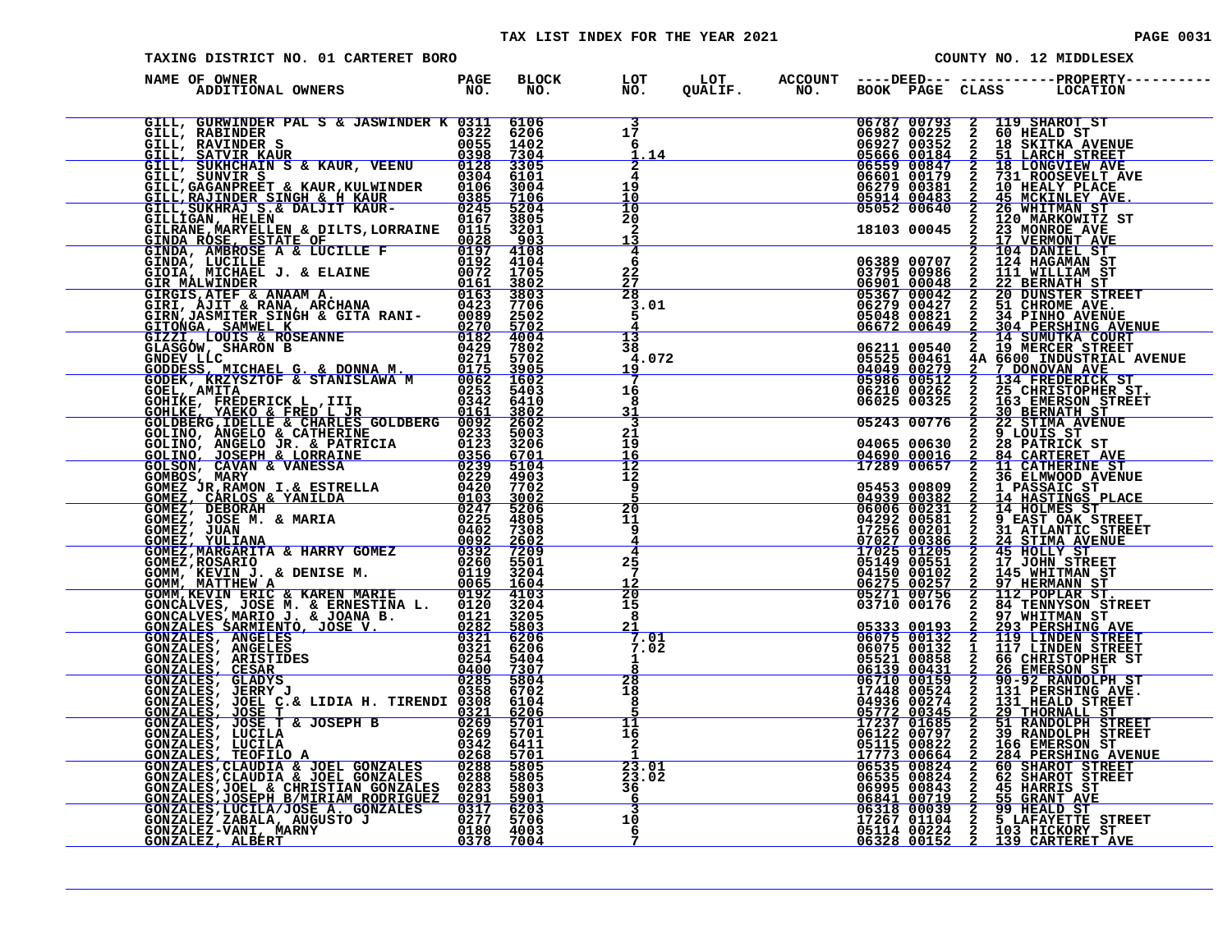### TAX LIST INDEX FOR THE YEAR 2021 **PAGE 10031** PAGE 0031

| TAXING DISTRICT NO. 01 CARTERET BORO                                                                                                                                                                                                                                                           |  | COUNTY NO. 12 MIDDLESEX                     |  |             |                                                                                                                                                                                                                                                     |  |  |
|------------------------------------------------------------------------------------------------------------------------------------------------------------------------------------------------------------------------------------------------------------------------------------------------|--|---------------------------------------------|--|-------------|-----------------------------------------------------------------------------------------------------------------------------------------------------------------------------------------------------------------------------------------------------|--|--|
| DF OWNER<br>ADDITIONAL OWNERS TO NO.<br>NAME OF OWNER                                                                                                                                                                                                                                          |  |                                             |  |             | BLOCK LOT LOT ACCOUNT ----DEED--- -----------PROPERTY-----<br>NO. NO. QUALIF. NO. BOOK PAGE CLASS LOCATION                                                                                                                                          |  |  |
| GILL, GURWINDER PAL S & JASWINDER K 0311 6106<br>GILL, SURVATURE PALIS & JANKINDER KOMINISTAN (1971)<br>GILL, SURVATURE PALIS & JASWINDER KOMINISTAN (1972)<br>GILL, SURVATURE SCRIPT (1972)<br>GILL, SURVATURE SCRIPT (1973)<br>GILL, SURVATURE SCRIPT (1973)<br>GILL, SURVATURE SCRIPT (1973 |  | $\frac{3}{17}$<br>-6<br>1.14                |  |             | 06787 00793 2 119 SHAROT ST<br>06982 00225 2 60 HEALD ST<br>06927 00352 2 18 SKITKA AVENUE<br>05666 00184 2 51 LARCH STREET<br>06559 00847 2 18 LONGVIEW AVE<br>06601 00179 2 731 ROOSEVELT AVE<br>06279 00381 2 10 HEALY PLACE<br>05914 00483 2 45 |  |  |
|                                                                                                                                                                                                                                                                                                |  | $\frac{2}{4}$<br>19<br>$\frac{10}{10}$      |  |             | 10 HEALY PLACE<br>45 MCKINLEY AVE                                                                                                                                                                                                                   |  |  |
|                                                                                                                                                                                                                                                                                                |  | $\frac{20}{2}$<br>13                        |  | 18103 00045 | 2 120 MARKOWITZ ST<br>2 23 MONROE AVE<br>17 VERMONT AVE                                                                                                                                                                                             |  |  |
|                                                                                                                                                                                                                                                                                                |  | 4<br>6<br>$\frac{22}{27}$                   |  | 06389 00707 | 104 DANIEL ST<br>2 104 DANIEL ST<br>2 124 HAGAMAN ST                                                                                                                                                                                                |  |  |
|                                                                                                                                                                                                                                                                                                |  | 28<br>3.01<br>5                             |  |             |                                                                                                                                                                                                                                                     |  |  |
|                                                                                                                                                                                                                                                                                                |  | 13<br>38<br>4.072<br>19                     |  |             |                                                                                                                                                                                                                                                     |  |  |
|                                                                                                                                                                                                                                                                                                |  | 16<br>8<br>31                               |  |             | 06389 00707 2 124 HAGAMAN ST<br>06901 00048 2 211 WILLIAM ST<br>06901 00048 2 22 BERNATH ST<br>05367 00042 2 20 DUNSTER STREET<br>052679 00427 2 31 CHROME AVENUE<br>05048 00821 2 34 PINHO AVENUE<br>06672 00649 2 304 PERSHING AVENUE<br>         |  |  |
|                                                                                                                                                                                                                                                                                                |  | $\overline{\mathbf{3}}$<br>21<br>ī5         |  |             | 06210 0776 2 23 CHAINING TREET<br>05243 00776 2 22 STIMA AVENUE<br>05243 00776 2 22 STIMA AVENUE<br>04065 00630 2 28 PATRICK ST<br>04065 00630 2 28 PATRICK ST<br>17226 00065 2 14 HASTING PLACE<br>06006 00231 2 14 HASTING PLACE<br>06006         |  |  |
|                                                                                                                                                                                                                                                                                                |  | $\frac{16}{12}$<br>9                        |  |             |                                                                                                                                                                                                                                                     |  |  |
|                                                                                                                                                                                                                                                                                                |  | 20<br>11<br>9<br>4                          |  |             |                                                                                                                                                                                                                                                     |  |  |
|                                                                                                                                                                                                                                                                                                |  | 4<br>$2\bar{5}$<br>$12$                     |  |             |                                                                                                                                                                                                                                                     |  |  |
|                                                                                                                                                                                                                                                                                                |  | $\overline{20}$<br>15<br>8                  |  |             |                                                                                                                                                                                                                                                     |  |  |
|                                                                                                                                                                                                                                                                                                |  | 7.01<br>7.02<br>$\mathbf{1}$                |  |             | 03710 00176 2 112 TENNYSON STREET<br>05333 00193 2 297 WHITMAN ST<br>06075 00132 2 119 LINDEN STREET<br>06075 00132 2 119 LINDEN STREET<br>06075 00132 2 119 LINDEN STREET<br>06075 00132 1 117 LINDEN STREET<br>06525 00132 2 26 EMERSON           |  |  |
|                                                                                                                                                                                                                                                                                                |  | 28<br>18<br>8                               |  |             |                                                                                                                                                                                                                                                     |  |  |
|                                                                                                                                                                                                                                                                                                |  | 11<br>īē<br>2                               |  |             |                                                                                                                                                                                                                                                     |  |  |
| GONZALES, JERRY J<br>GONZALES, JERRY J<br>GONZALES, JOSE T & LIDIA H. TIRENDI 0338 6702<br>GONZALES, JOSE T & JOSEPH B<br>0269 5701<br>GONZALES, LUCILA<br>0269 5701<br>GONZALES, LUCILA<br>0269 5701<br>GONZALES, LUCILA<br>0269 5701<br>GONZALES,                                            |  | 23.01<br>$\frac{23.02}{36}$                 |  |             |                                                                                                                                                                                                                                                     |  |  |
|                                                                                                                                                                                                                                                                                                |  | $\mathbf{3}$<br>$1\bar{0}$<br>$\frac{6}{7}$ |  |             |                                                                                                                                                                                                                                                     |  |  |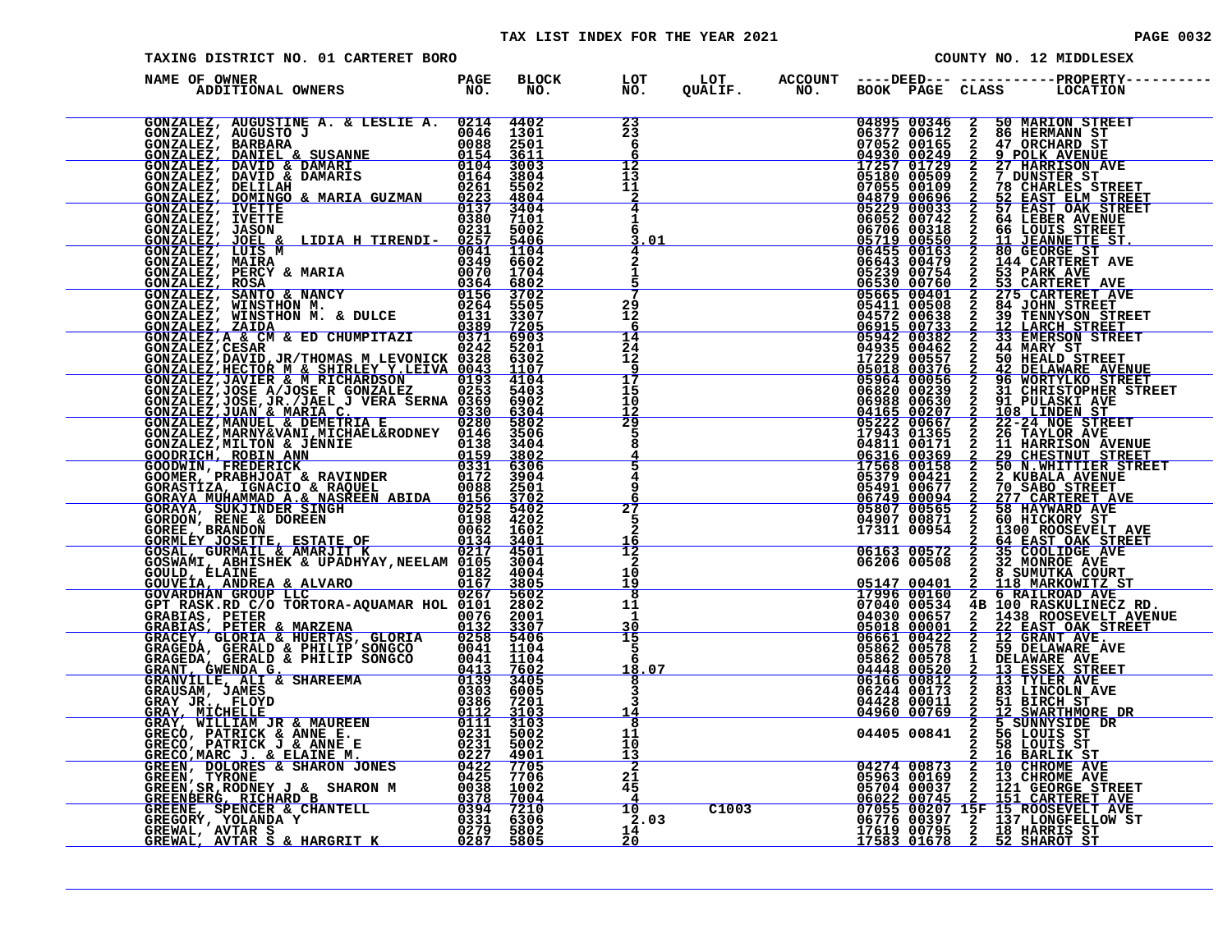| PAGE | იი |  |  |
|------|----|--|--|
|------|----|--|--|

| TAXING DISTRICT NO. 01 CARTERET BORO |  |  |  | COUNTY NO. 12 MIDDLESEX                                                                                                                                                                                                                                                                                                                            |
|--------------------------------------|--|--|--|----------------------------------------------------------------------------------------------------------------------------------------------------------------------------------------------------------------------------------------------------------------------------------------------------------------------------------------------------|
| NAME OF OWNER                        |  |  |  | BLOCK LOT LOT ACCOUNT ----DEED--- -----------PROPERTY----<br>NO. NO. QUALIF. NO. BOOK PAGE CLASS LOCATION                                                                                                                                                                                                                                          |
|                                      |  |  |  |                                                                                                                                                                                                                                                                                                                                                    |
|                                      |  |  |  |                                                                                                                                                                                                                                                                                                                                                    |
|                                      |  |  |  |                                                                                                                                                                                                                                                                                                                                                    |
|                                      |  |  |  |                                                                                                                                                                                                                                                                                                                                                    |
|                                      |  |  |  |                                                                                                                                                                                                                                                                                                                                                    |
|                                      |  |  |  |                                                                                                                                                                                                                                                                                                                                                    |
|                                      |  |  |  |                                                                                                                                                                                                                                                                                                                                                    |
|                                      |  |  |  |                                                                                                                                                                                                                                                                                                                                                    |
|                                      |  |  |  |                                                                                                                                                                                                                                                                                                                                                    |
|                                      |  |  |  |                                                                                                                                                                                                                                                                                                                                                    |
|                                      |  |  |  | $\begin{tabular}{c c c c} \hline 049071 & 2 & 60 & 717087875 \\ 043007 & 08871 & 2 & 1300 & \text{ROOSFSET} \text{ AVE} \\ \hline 17311 & 00954 & 2 & 1300 & \text{ROOSFSET} \text{ AVE} \\ \hline 06163 & 00572 & 2 & 35 & \text{COOLIDGE AVE} \\ \hline 06163 & 00572 & 2 & 35 & \text{COOLIDGE AVE} \\ \hline 06206 & 00508 & 2 & 3 & \text{SM$ |
|                                      |  |  |  |                                                                                                                                                                                                                                                                                                                                                    |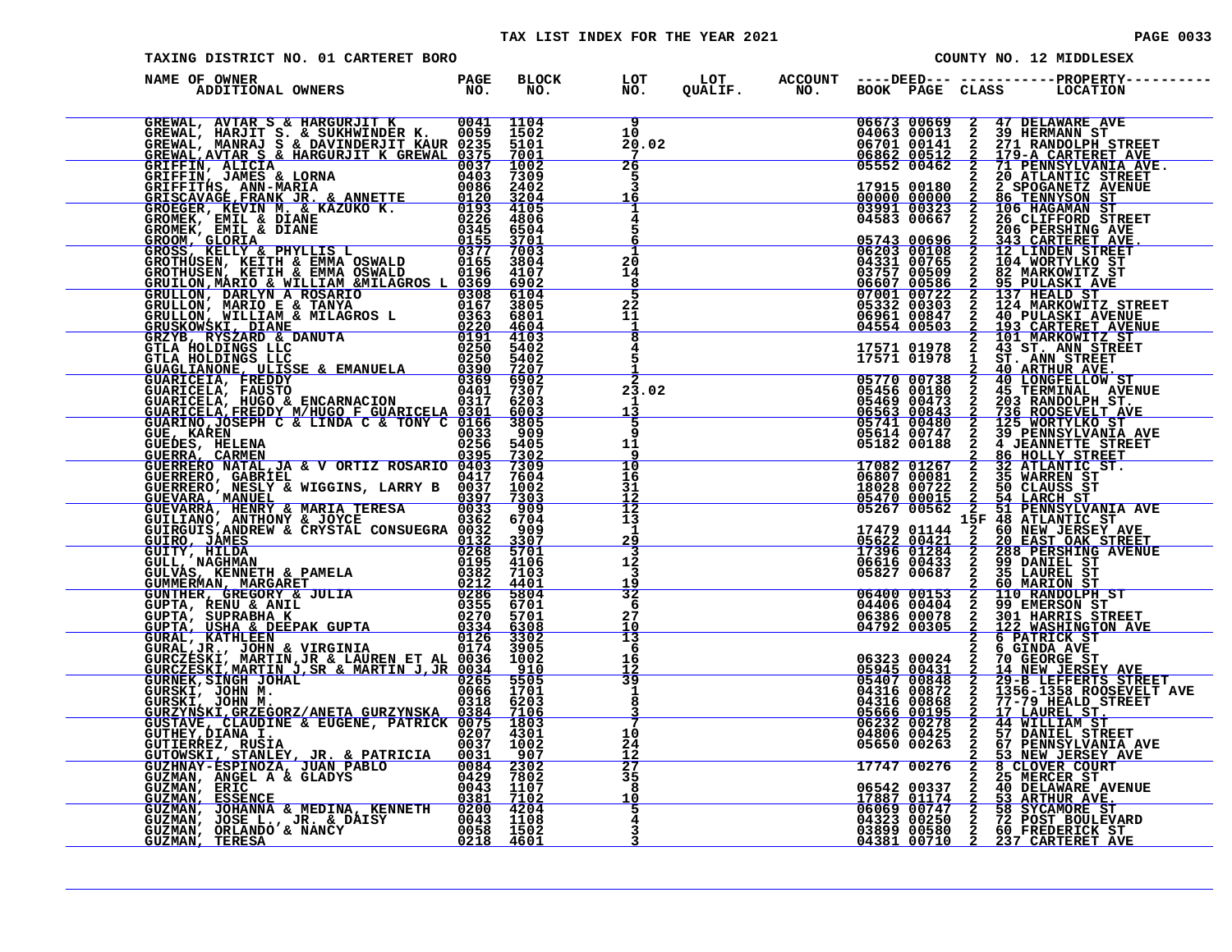|                                                                                                                                                                                                                                                |                      |                                                                 | TAX LIST INDEX FOR THE YEAR 2021 |                |                       |                                                              |                                                  | <b>PAGE 0033</b>                                                                                                      |
|------------------------------------------------------------------------------------------------------------------------------------------------------------------------------------------------------------------------------------------------|----------------------|-----------------------------------------------------------------|----------------------------------|----------------|-----------------------|--------------------------------------------------------------|--------------------------------------------------|-----------------------------------------------------------------------------------------------------------------------|
| TAXING DISTRICT NO. 01 CARTERET BORO                                                                                                                                                                                                           |                      |                                                                 |                                  |                |                       |                                                              |                                                  | COUNTY NO. 12 MIDDLESEX                                                                                               |
| NAME OF OWNER THE STATE OF STRIKE STATES.<br>ADDITIONAL OWNERS                                                                                                                                                                                 | <b>PAGE</b><br>NO.   | <b>BLOCK</b><br>NO.                                             | LOT<br>NO.                       | LOT<br>OUALIF. | <b>ACCOUNT</b><br>NO. | BOOK PAGE CLASS                                              |                                                  | <b>LOCATION</b>                                                                                                       |
| GREWAL, AVTAR S & HARGURJIT K<br>GREWAL, HARJIT S. & SUKHWINDER K.<br>GREWAL, MANRAJ S & DAVINDERJIT KAUR 0235<br><u>GREWAL, AVTAR S &amp; HARGURJIT K GREWAL 0375</u>                                                                         |                      | 0041 1104<br>0059 1502<br>5101<br>7001                          | 9<br>10<br>20.02<br>7            |                |                       | 06673 00669 2<br>04063 00013<br>06701 00141<br>06862 00512   | $\overline{2}$<br>$\frac{2}{2}$                  | <b>47 DELAWARE AVE</b><br><b>39 HERMANN ST</b><br>271 RANDOLPH STREET<br>179-A CARTERET AVE                           |
| GRIFFIN, ALICIA<br>GRIFFIN, ALICIA<br>GRIFFIN, JAMES & LORNA<br>GRIFFITHS, ANN-MARIA<br><u>GRISCAVAGE,FRANK JR. &amp; ANNETTE</u>                                                                                                              | 0037<br>0403         | 1002<br>7309<br>0086 2402<br>$0120$ 3204                        | 26<br>$\frac{3}{16}$             |                |                       | 05552 00462                                                  | $\overline{2}$<br>2                              | 71 PENNSYLVANIA AVE.<br>20 ATLANTIC STREET<br>17915 00180  2  2  SPOGANETZ AVENUE<br>00000 00000  2  86  TENNYSON  ST |
| GROEGER, KEVIN M. & KAZUKO K.                                                                                                                                                                                                                  | 0226<br>0345         | 0193 4105<br>4806<br>6504                                       |                                  |                |                       | $03991$ $00323$ $\overline{2}$<br>04583 00667<br>05743 00696 | $\mathbf{2}$                                     | <b>106 HAGAMAN ST</b><br>26 CLIFFORD STREET<br>206 PERSHING AVE<br>343 CARTERET AVE.                                  |
| GROMEK, ENIL & DIANE<br>GROMEK, EMIL & DIANE<br>GROMM, GLORIA<br>GROOM, GLORIA<br>GROTHUSEN, KEILY & PHYLLIS L<br>GROTHUSEN, KEITH & EMMA OSWALD<br>GROTHUSEN, KEITH & EMMA OSWALD<br><u>GRUILON, MARIO &amp; WILLIAM &amp;MILAGROS L 0369</u> |                      | <u>0155 3701</u><br>0377 7003<br>0165 3804<br>0196 4107<br>6902 | $^{20}_{14}$<br>8                |                |                       | 03757 00509<br>06607 00586                                   |                                                  | 06203 00108 2 12 LINDEN STREET<br>04331 00765 2 104 WORTYLKO ST<br>2 82 MARKOWITZ ST<br>2 95 PULASKI AVE              |
| GRUILLON, MARIL A ROSARIO<br>GRULLON, DARIYO E & TANYA<br>GRULLON, MARIO E & MILAGROS L<br>CRULLON, WILLIAM & MILAGROS L<br>CPUSKOWSKI. DIANE                                                                                                  | 0308                 | 6104<br>0167 3805<br>0363 6801<br>0220 4604                     | $\overline{5}$<br>2Ž<br>11       |                |                       | 07001 00722<br>04554 00503                                   | $\mathbf{2}$                                     | 137 HEALD ST<br>$05332$ $00303$ $2$ $124$ MARKOWITZ STREET<br>06961 00847 2 40 PULASKI AVENUE                         |
| GRUSKOWSKI, DIANE<br>GRZYB, RYSZARD & DANUTA<br>GTLA HOLDINGS LLC<br>GTLA HOLDINGS LLC<br>GUAGLIANONE, ULISSE & EMANUELA                                                                                                                       | 0250<br>0390         | 0191 4103<br>0250 5402<br>5402<br>7207                          |                                  |                |                       | 17571 01978<br>17571 01978                                   | $\mathbf{2}$                                     | <u>193 CARTERET AVENUE<br/>101 MARKOWITZ ST</u><br>43 ST. ANN STREET<br>ST. ANN STREET<br><b>40 ARTHUR AVE.</b>       |
| GUARICEIA, FREDDY 0369<br>GUARICELA, FAUSTO 0401<br>GUARICELA, HUGO & ENCARNACION 0317<br><u>GUARICELA, FREDDY M/HUGO F GUARICELA 0301</u>                                                                                                     | 0369                 | 6902<br>7307<br>6203<br>6003                                    | 2<br>23.02<br>13                 |                |                       | 05770 00738 2<br>05456 00180<br><u>06563 00843 2 . </u>      |                                                  | 2 40 LONGFELLOW ST<br>2 45 TERMINAL AVENUE<br>05469 00473 2 203 RANDOLPH ST.<br>736 ROOSEVELT AVE                     |
| GUARINO, JOSEPH C & LINDA C & TONY C 0166<br><b>GUEDES, RAKEN<br/>GUEDES, HELENA<br/>GUERRA, CARMEN</b>                                                                                                                                        | 0033<br>0256<br>0395 | 3805<br>909<br>5405<br>7302                                     | 9<br>11<br>9                     |                |                       | 05741 00480<br>05614 00747<br>05182 00188                    | $\overline{2}$<br>$\mathbf{2}$<br>$\overline{a}$ | 125 WORTYLKO ST<br><b>39 PENNSYLVANIA AVE</b><br>4 JEANNETTE STREET<br>86 HOLLY STREET                                |
| CUERREDO NATAL IA S V OPTIZ POCARTO 0402                                                                                                                                                                                                       |                      | 7200                                                            | $\overline{10}$                  |                |                       |                                                              |                                                  | 17092 01267 2 22 AFTANTIC CT                                                                                          |

| GREWAL, AVTAR S<br>$\leq$ EARCULT K (0041 1104 GREWAL, MANIRA S & DAVINDERJIT KAUR (0231 51001 GREWAL, MANRA S & DAVINDERJIT KAUR (0237 100023 GREFFIN, JAMES & HARGURJIT K GREWAL (0237 100023 GREFFIN, JAMES & HARGURJIT K G                 |      |                     |                                                           | 9                                                  | 06673 00669                               |                                                  | <b>47 DELAWARE AVE</b><br><b>39 HERMANN ST</b>                                                                                                                                                                                                |
|------------------------------------------------------------------------------------------------------------------------------------------------------------------------------------------------------------------------------------------------|------|---------------------|-----------------------------------------------------------|----------------------------------------------------|-------------------------------------------|--------------------------------------------------|-----------------------------------------------------------------------------------------------------------------------------------------------------------------------------------------------------------------------------------------------|
|                                                                                                                                                                                                                                                |      |                     | 10                                                        |                                                    | 04063 00013                               | <b>DONNA</b>                                     |                                                                                                                                                                                                                                               |
|                                                                                                                                                                                                                                                |      |                     |                                                           | 20.02<br>7                                         | 06701 00141<br><u> 06862 00512</u>        |                                                  | 271 RANDOLPH STREET                                                                                                                                                                                                                           |
|                                                                                                                                                                                                                                                |      |                     |                                                           |                                                    | 05552 00462                               |                                                  | 179-A CARTERET AVE<br>71 PENNSYLVANIA AVE.<br>20 ATLANTIC STREET.                                                                                                                                                                             |
|                                                                                                                                                                                                                                                |      |                     | $\frac{26}{5}$                                            |                                                    |                                           |                                                  |                                                                                                                                                                                                                                               |
|                                                                                                                                                                                                                                                |      |                     |                                                           | 3                                                  | 17915 00180<br>00000 00000<br>03991 00323 | $\frac{2}{2}$                                    | 2 SPOGANETZ AVENUE<br>86 TENNYSON ST<br>106 HAGAMAN ST                                                                                                                                                                                        |
|                                                                                                                                                                                                                                                |      |                     | 16                                                        |                                                    |                                           |                                                  |                                                                                                                                                                                                                                               |
|                                                                                                                                                                                                                                                |      |                     |                                                           |                                                    |                                           | $\overline{\mathbf{2}}$                          |                                                                                                                                                                                                                                               |
|                                                                                                                                                                                                                                                |      |                     |                                                           | 4                                                  | 04583 00667                               | $\overline{a}$                                   | <b>26 CLIFFORD STREET</b><br>206 PERSHING AVE                                                                                                                                                                                                 |
|                                                                                                                                                                                                                                                |      |                     |                                                           | 5                                                  |                                           |                                                  |                                                                                                                                                                                                                                               |
|                                                                                                                                                                                                                                                |      |                     |                                                           |                                                    | 05743 00696<br>06203 00108                |                                                  | 343 CARTERET AVE.<br>12 LINDEN STREET                                                                                                                                                                                                         |
|                                                                                                                                                                                                                                                |      |                     | 20                                                        |                                                    | 04331 00765                               |                                                  | 104 WORTYLKO ST                                                                                                                                                                                                                               |
|                                                                                                                                                                                                                                                |      |                     | 14                                                        |                                                    | 03757 00509                               |                                                  | 82 MARKOWITZ ST                                                                                                                                                                                                                               |
|                                                                                                                                                                                                                                                |      |                     |                                                           | 8                                                  |                                           | <u>06607 00586 </u>                              | 95 PULASKI AVE<br>137 HEALD ST<br>124 MARKOWITZ STREET                                                                                                                                                                                        |
|                                                                                                                                                                                                                                                |      |                     |                                                           | 5                                                  | 07001 00722                               |                                                  |                                                                                                                                                                                                                                               |
|                                                                                                                                                                                                                                                |      |                     | $^{2\bar{2}}_{11}$                                        |                                                    |                                           | 05332 00303                                      |                                                                                                                                                                                                                                               |
|                                                                                                                                                                                                                                                |      |                     |                                                           |                                                    | <u>ŎĞŠĀĪ ŎŎŠ47</u>                        |                                                  | 40 PULASKI AVENUE                                                                                                                                                                                                                             |
|                                                                                                                                                                                                                                                |      |                     |                                                           | -1                                                 | 04554 00503                               |                                                  |                                                                                                                                                                                                                                               |
|                                                                                                                                                                                                                                                |      |                     |                                                           | $\overline{\mathbf{8}}$<br>$\overline{\mathbf{4}}$ |                                           | $\frac{2}{2}$                                    |                                                                                                                                                                                                                                               |
|                                                                                                                                                                                                                                                |      |                     |                                                           |                                                    | 17571 01978<br>17571 01978                | $\mathbf{1}$                                     |                                                                                                                                                                                                                                               |
|                                                                                                                                                                                                                                                |      |                     |                                                           |                                                    |                                           |                                                  |                                                                                                                                                                                                                                               |
|                                                                                                                                                                                                                                                |      |                     |                                                           | 2                                                  |                                           | $\frac{2}{2}$                                    | <b>193 CARTERET AVENUE<br/>193 CARTERET AVENUE<br/>101 MARKOWITZ ST<br/>43 ST. ANN STREET<br/>40 ARTHUR AVE.<br/>40 LONGFELLOW ST.</b>                                                                                                        |
|                                                                                                                                                                                                                                                |      |                     |                                                           | 23.02                                              | 05770 00738<br>05456 00180                |                                                  | <b>45 TERMINAL AVENUE</b>                                                                                                                                                                                                                     |
|                                                                                                                                                                                                                                                |      |                     |                                                           | 1                                                  |                                           | 05469 00473<br>06563 00843                       |                                                                                                                                                                                                                                               |
|                                                                                                                                                                                                                                                |      |                     | 13                                                        |                                                    |                                           | $\begin{array}{c}\n 2 \\  2 \\  2\n \end{array}$ | <b>203 RANDOLPH ST.<br/>736 ROOSEVELT AVE<br/>125 WORTYLKO ST</b>                                                                                                                                                                             |
| GUARINO, JOSEPH C & LINDA C & TONY C 0166                                                                                                                                                                                                      |      | 3805<br>909         |                                                           | 5<br>9                                             |                                           |                                                  |                                                                                                                                                                                                                                               |
|                                                                                                                                                                                                                                                |      | 5405                | 11                                                        |                                                    |                                           |                                                  |                                                                                                                                                                                                                                               |
|                                                                                                                                                                                                                                                |      |                     |                                                           |                                                    |                                           |                                                  |                                                                                                                                                                                                                                               |
| GUE, KAREN CARMEN CARRIE (1993)<br>GUEDES, HELENA 0256<br>GUERRA, CARMEN 0395<br>GUERRERO NATAL, JA & VORTIZ ROSARIO 0403<br>GUERRERO, GABRIEL MICCING 11DN D 0417                                                                             |      | $\frac{7302}{7309}$ | $\frac{-\overline{9}}{10}$                                |                                                    |                                           |                                                  |                                                                                                                                                                                                                                               |
|                                                                                                                                                                                                                                                |      | 7604                | 16                                                        |                                                    |                                           |                                                  |                                                                                                                                                                                                                                               |
| GUERRERO, NESLY & WIGGINS, LARRY B 0037                                                                                                                                                                                                        |      | 1002                | 31                                                        |                                                    |                                           |                                                  |                                                                                                                                                                                                                                               |
| GUEVARA, MANUEL<br>$\overline{\text{0397}}$                                                                                                                                                                                                    |      | <u>7303</u><br>909  | <u>īā</u>                                                 |                                                    |                                           |                                                  | UPH<br>163 10 DENNISITIES<br>16807 00081 2 39 DENNISITIES<br>16807 00081 2 36 HOLLY STREET<br>16802 00022 2 32 ATLANTIC ST.<br>16928 00722 2 35 WARREN ST<br>1622 00022 2 51 LARCH ST<br>05267 00562 2 51 DENNISITIANTE<br>17479 01144 15F 48 |
| GUEVARRA, HENRY & MARIA TERESA 0033<br>GUILIANO, ANTHONY & JOYCE 0362<br>GUIRGUIS, ANDREW & CRYSTAL CONSUEGRA 0032                                                                                                                             |      | 6704                | $\begin{array}{c}\n\overline{12} \\ 13 \\ 1\n\end{array}$ |                                                    |                                           |                                                  |                                                                                                                                                                                                                                               |
|                                                                                                                                                                                                                                                |      | 909                 |                                                           |                                                    |                                           |                                                  |                                                                                                                                                                                                                                               |
|                                                                                                                                                                                                                                                |      | 3307                | $\frac{29}{3}$                                            |                                                    |                                           |                                                  |                                                                                                                                                                                                                                               |
|                                                                                                                                                                                                                                                |      | 5701                |                                                           |                                                    |                                           |                                                  |                                                                                                                                                                                                                                               |
|                                                                                                                                                                                                                                                |      | 4106                | 12                                                        |                                                    |                                           |                                                  |                                                                                                                                                                                                                                               |
|                                                                                                                                                                                                                                                |      | 7103<br>4401        | 19                                                        | $\overline{3}$                                     |                                           |                                                  |                                                                                                                                                                                                                                               |
|                                                                                                                                                                                                                                                |      | 5804                |                                                           |                                                    |                                           | $\frac{1}{2}$                                    |                                                                                                                                                                                                                                               |
|                                                                                                                                                                                                                                                |      | 6701                | $\frac{1}{32}$                                            |                                                    |                                           |                                                  |                                                                                                                                                                                                                                               |
|                                                                                                                                                                                                                                                |      | 5701                | 27                                                        |                                                    |                                           | 06386 00078<br>04792 00305                       | 301 HARRIS STREET                                                                                                                                                                                                                             |
|                                                                                                                                                                                                                                                |      | $\frac{6308}{3302}$ | 10                                                        |                                                    |                                           |                                                  | 122 WASHINGTON AVE                                                                                                                                                                                                                            |
| GUIRGUIS, JAMESW & CRYSTAL CONSUEGRA 0032<br>GUIRO, JAMES<br>GUIRT, HILDA 0132<br>GUIRT, HILDA 0268<br>GUINAS, KENNETH & PAMELA 0132<br>GUIMAS, KENNETH & PAMELA 0382<br>GUIMAS, KENNETH & PAMELA 0382<br>GUNTHER, GREGORY & JULIA 02286<br>GU |      |                     | $\overline{13}$                                           |                                                    |                                           |                                                  |                                                                                                                                                                                                                                               |
|                                                                                                                                                                                                                                                |      | 3905<br>1002        | 16                                                        | 6                                                  |                                           | $\frac{2}{2}$<br>06323 00024                     | 6 GINDA AVE<br>70 GEORGE ST                                                                                                                                                                                                                   |
|                                                                                                                                                                                                                                                |      | 910                 |                                                           |                                                    |                                           |                                                  |                                                                                                                                                                                                                                               |
|                                                                                                                                                                                                                                                |      | 5505                | $\frac{12}{39}$                                           |                                                    |                                           | 05945 00431<br>05407 00848                       | 14 NEW JERSEY AVE<br>29-B LEFFERTS STREET<br>1356-1358 ROOSEVELT AVE                                                                                                                                                                          |
|                                                                                                                                                                                                                                                |      | 1701                |                                                           | 1                                                  | 04316 00872                               |                                                  |                                                                                                                                                                                                                                               |
|                                                                                                                                                                                                                                                |      | 6203                |                                                           |                                                    | 04316 00868                               |                                                  | 77-79 HEALD STREET<br>17 LAUREL ST.                                                                                                                                                                                                           |
|                                                                                                                                                                                                                                                |      | 7106                |                                                           | $\bar{3}$                                          | <u>05666 00195</u>                        | MANNANN                                          |                                                                                                                                                                                                                                               |
|                                                                                                                                                                                                                                                | 0207 | 1803                | 10                                                        |                                                    | 06232 00278                               |                                                  | 44 WILLIAM ST<br>57 DANIEL STREET                                                                                                                                                                                                             |
| GUTHEY, DIANA I.<br>GUTIERREZ, RUSIA                                                                                                                                                                                                           | 0037 | 4301<br>1002        |                                                           | 24                                                 | 04806 00425<br>05650 00263                |                                                  | 67 PENNSYLVANIA AVE                                                                                                                                                                                                                           |
|                                                                                                                                                                                                                                                |      |                     | 12                                                        |                                                    |                                           |                                                  |                                                                                                                                                                                                                                               |
|                                                                                                                                                                                                                                                |      |                     | $\frac{1}{27}$                                            |                                                    | 17747 00276                               | $\overline{2}$                                   | 53 NEW JERSEY AVE 8 CLOVER COURT                                                                                                                                                                                                              |
|                                                                                                                                                                                                                                                |      |                     | 35                                                        |                                                    |                                           |                                                  | 25 MERCER ST                                                                                                                                                                                                                                  |
|                                                                                                                                                                                                                                                |      |                     | 10                                                        | 8                                                  | 06542 00337<br>17887 01174                | $\frac{2}{2}$                                    | <b>40 DELAWARE AVENUE</b><br>53 ARTHUR AVE.                                                                                                                                                                                                   |
| GUTIERREZ, RUSIA<br>GUTOMSKI, STANLEY, JR. & PATRICIA 0031 902<br>GUZMAN, ANGEL A & GLADYS 0084 2302<br>GUZMAN, ANGEL A & GLADYS 00443 7802<br>GUZMAN, ERIC<br>GUZMAN, ESSENCE 00443 1107<br>GUZMAN, JOHANNA & MEDINA, KENNETH 02801 4204<br>  |      |                     |                                                           | 5                                                  | 06069 00747                               |                                                  |                                                                                                                                                                                                                                               |
|                                                                                                                                                                                                                                                |      |                     |                                                           | 4                                                  | 04323 00250                               | $\frac{2}{2}$                                    | 58 SYCAMORE ST<br>72 POST BOULEVARD                                                                                                                                                                                                           |
|                                                                                                                                                                                                                                                |      |                     |                                                           |                                                    | 03899 00580                               | $\frac{2}{2}$                                    | 60 FREDERICK ST                                                                                                                                                                                                                               |
|                                                                                                                                                                                                                                                |      |                     |                                                           |                                                    | 04381 00710                               |                                                  | 237 CARTERET AVE                                                                                                                                                                                                                              |
|                                                                                                                                                                                                                                                |      |                     |                                                           |                                                    |                                           |                                                  |                                                                                                                                                                                                                                               |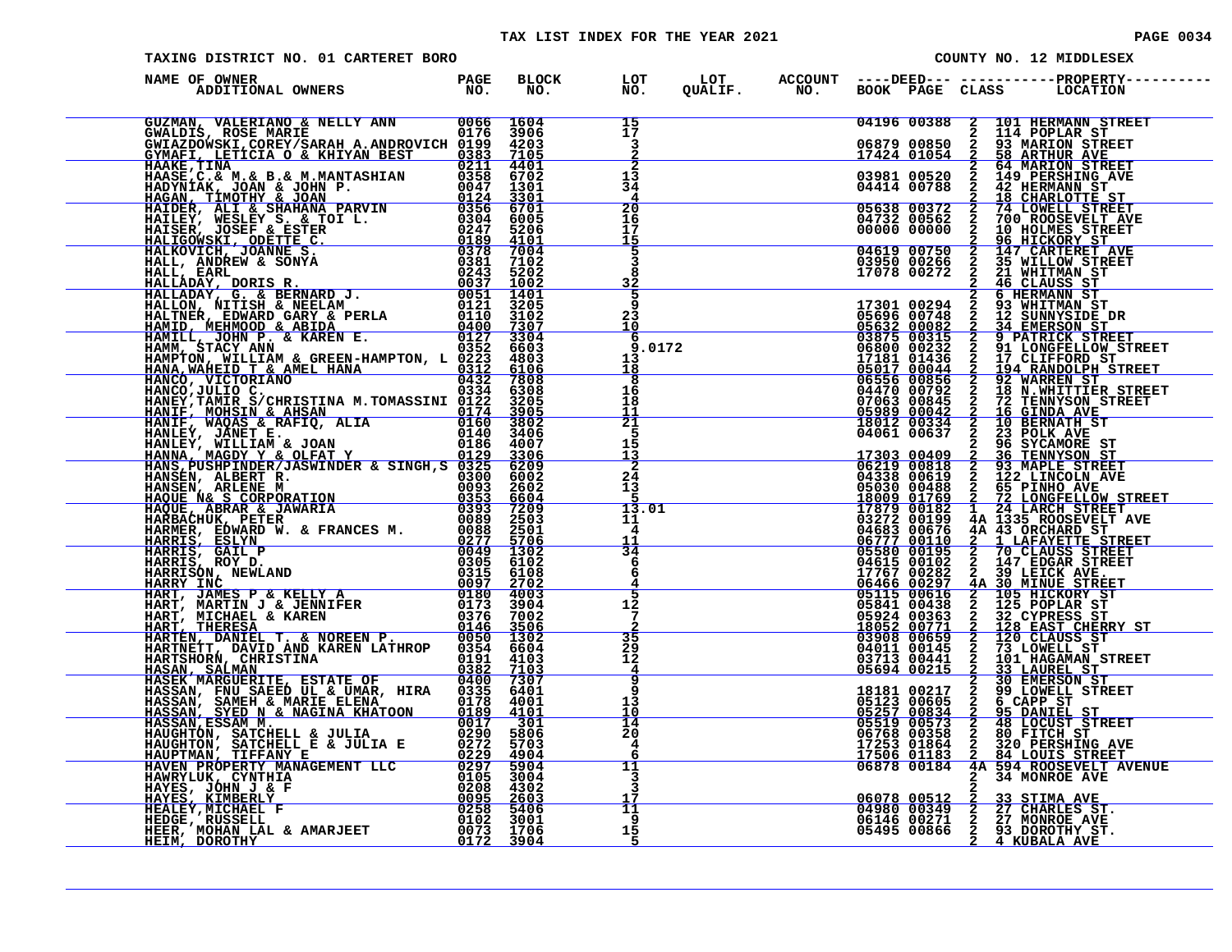# TAX LIST INDEX FOR THE YEAR 2021 **PAGE 10034** PAGE 0034

| TAXING DISTRICT NO. 01 CARTERET BORO                                                                                                                                                                                                           |                      |                                               |  |  | COUNTY NO. 12 MIDDLESEX                                                                                                                                                                                                                                                                                                                              |
|------------------------------------------------------------------------------------------------------------------------------------------------------------------------------------------------------------------------------------------------|----------------------|-----------------------------------------------|--|--|------------------------------------------------------------------------------------------------------------------------------------------------------------------------------------------------------------------------------------------------------------------------------------------------------------------------------------------------------|
| NAME OF OWNER                                                                                                                                                                                                                                  | BLOCK LOT<br>NO. NO. |                                               |  |  |                                                                                                                                                                                                                                                                                                                                                      |
|                                                                                                                                                                                                                                                |                      | 15<br>17<br>$\mathbf{3}$                      |  |  | $\begin{tabular}{c cccc} 04196&00388&2&101 \text{ HERMANN STREET} \\ 06879&00850&2&93 \text{ MARION STREET} \\ 17424&01054&2&58 \text{ ARHUN SYEET} \\ 03981&00520&2&149 \text{ PERSHING AVE} \\ 04414&00788&2&42 \text{ HERMANN ST} \\ \hline \textbf{05638}&00372&2&74 \text{ LONELL STREET} \\ 04732&00562&2&700 \text{ ROOSEVELT AVE} \\ 00000&$ |
|                                                                                                                                                                                                                                                |                      | 2<br>13<br>34                                 |  |  |                                                                                                                                                                                                                                                                                                                                                      |
|                                                                                                                                                                                                                                                |                      | 20<br>16<br>17<br><u>15</u><br>5              |  |  |                                                                                                                                                                                                                                                                                                                                                      |
|                                                                                                                                                                                                                                                |                      | 3<br>8<br>32<br>5                             |  |  | 00000 00000 2 96 HICKORY ST<br>04619 00750 2 147 CARTERET AVE<br>03950 00266 2 35 WILLOW STREET<br>17078 00272 2 46 CLAUSS ST                                                                                                                                                                                                                        |
|                                                                                                                                                                                                                                                |                      | q<br>23<br>10<br>-6<br>9.0172                 |  |  |                                                                                                                                                                                                                                                                                                                                                      |
|                                                                                                                                                                                                                                                |                      | 13<br>18<br>$\overline{\mathbf{8}}$<br>16     |  |  |                                                                                                                                                                                                                                                                                                                                                      |
|                                                                                                                                                                                                                                                |                      | 18<br>11<br>$\overline{21}$<br>5              |  |  |                                                                                                                                                                                                                                                                                                                                                      |
|                                                                                                                                                                                                                                                |                      | 15<br>$\frac{13}{2}$<br>$2\overline{4}$<br>13 |  |  |                                                                                                                                                                                                                                                                                                                                                      |
|                                                                                                                                                                                                                                                |                      | 13.01<br>11<br>4                              |  |  |                                                                                                                                                                                                                                                                                                                                                      |
|                                                                                                                                                                                                                                                |                      | $\frac{11}{34}$<br>6<br>6<br>4                |  |  |                                                                                                                                                                                                                                                                                                                                                      |
|                                                                                                                                                                                                                                                |                      | 5<br>12<br>$7\phantom{.0}$<br>$\overline{35}$ |  |  |                                                                                                                                                                                                                                                                                                                                                      |
|                                                                                                                                                                                                                                                |                      | 29<br>12<br>$\overline{4}$<br>$\overline{q}$  |  |  |                                                                                                                                                                                                                                                                                                                                                      |
|                                                                                                                                                                                                                                                |                      | 9<br>13<br>10<br>14                           |  |  |                                                                                                                                                                                                                                                                                                                                                      |
|                                                                                                                                                                                                                                                |                      | 20<br>4<br>6<br>11                            |  |  |                                                                                                                                                                                                                                                                                                                                                      |
| HAWENLIUK, CYNTHIA<br>HAWENLIUK, CYNTHIA<br>HAYES, JOHN J & F<br>HAYES, KIMBERLY<br>HEXLEY, MICHAEL F<br>HERDGE, RUSSELL COMPARED COST 3004<br>HERDGE, RUSSELL CONTROLL CONTROLLY<br>HERDGE, MOHAN LAL & AMARJEET 0073 1706<br>HERR, MOHAN LAL |                      | 3<br>11<br>- 9                                |  |  | <b>34 MONROE AVE</b><br>06078 00512 2 33 STIMA AVE<br>04980 00349 2 27 CHARLES ST.<br>06146 00271 2 27 MONROE AVE<br>05495 00866 2 4 KUBALA AVE                                                                                                                                                                                                      |
|                                                                                                                                                                                                                                                |                      | 15                                            |  |  |                                                                                                                                                                                                                                                                                                                                                      |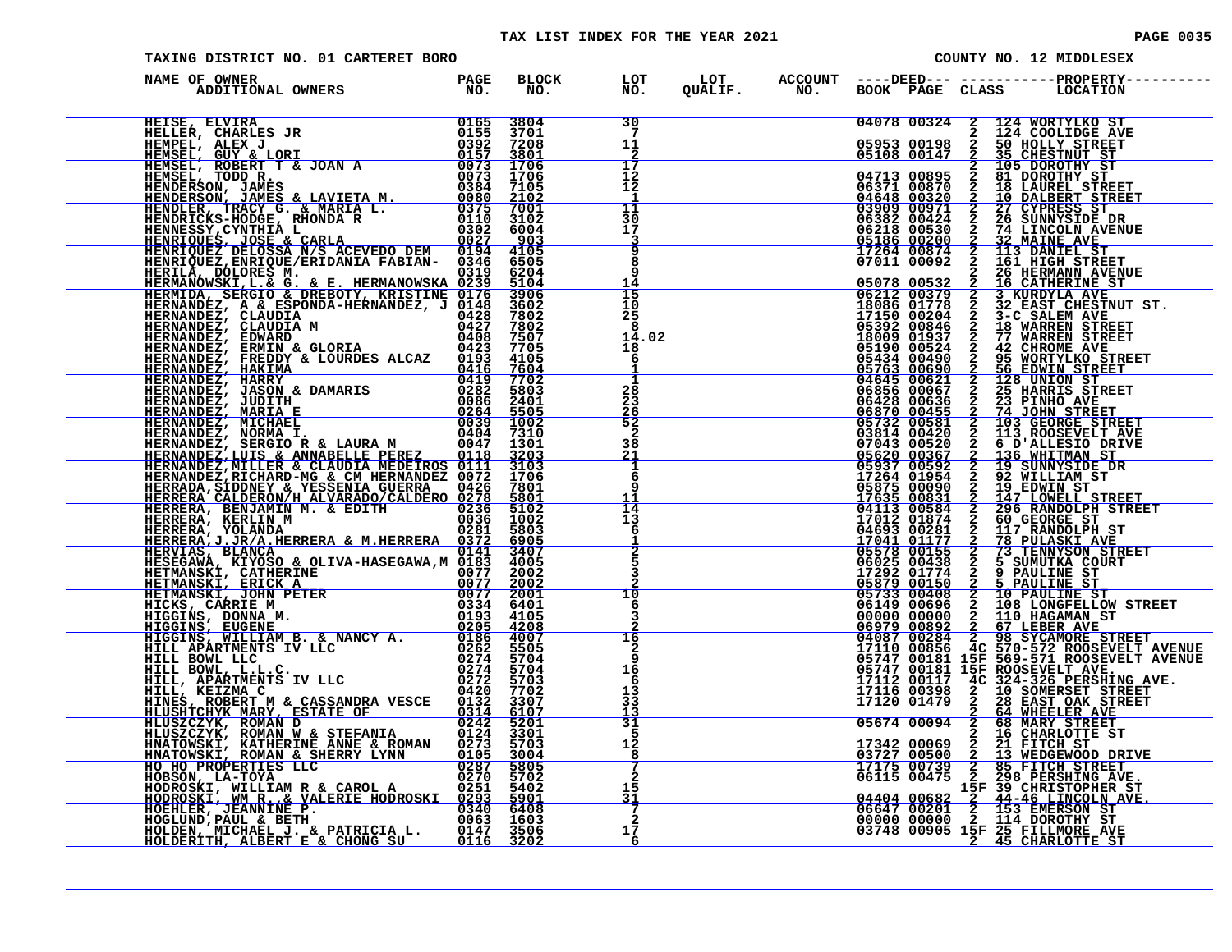#### TAX LIST INDEX FOR THE YEAR 2021 **PAGE 10035** PAGE 0035

| PAGE | 0 |
|------|---|
|      |   |

|               | TAXING DISTRICT NO. 01 CARTERET BORO |  |                                                    |  |  | COUNTY NO. 12 MIDDLESEX                                                                                            |
|---------------|--------------------------------------|--|----------------------------------------------------|--|--|--------------------------------------------------------------------------------------------------------------------|
| NAME OF OWNER |                                      |  |                                                    |  |  | LOT ACCOUNT ----DEED--- -----------PROPERTY-----<br>QUALIF.        NO.       BOOK    PAGE   CLASS         LOCATION |
|               |                                      |  | $\frac{30}{7}$<br>11                               |  |  |                                                                                                                    |
|               |                                      |  | 17<br>$12 \overline{ }$<br>12                      |  |  |                                                                                                                    |
|               |                                      |  | $\frac{11}{30}$<br>ĭŽ<br>3<br>$\overline{9}$       |  |  |                                                                                                                    |
|               |                                      |  | ā<br>-9<br><u> 14</u><br>$\frac{15}{10}$           |  |  |                                                                                                                    |
|               |                                      |  | 25<br>14.02                                        |  |  |                                                                                                                    |
|               |                                      |  | 18<br>6<br>$\overline{\mathbf{1}}$                 |  |  |                                                                                                                    |
|               |                                      |  | $\frac{28}{23}$<br>$\frac{26}{52}$<br>$\mathbf{2}$ |  |  |                                                                                                                    |
|               |                                      |  | 38<br>21<br>$\frac{1}{6}$                          |  |  |                                                                                                                    |
|               |                                      |  | q<br>14<br>13<br>6                                 |  |  |                                                                                                                    |
|               |                                      |  | $\bar{2}$<br>3                                     |  |  |                                                                                                                    |
|               |                                      |  | 10<br>6<br>3                                       |  |  |                                                                                                                    |
|               |                                      |  | 16<br>$\mathbf{2}$<br>9<br>16                      |  |  |                                                                                                                    |
|               |                                      |  | -6<br>13<br>$3\bar{3}$<br>13                       |  |  |                                                                                                                    |
|               |                                      |  | 31<br>5<br>12<br>$\frac{8}{7}$                     |  |  |                                                                                                                    |
|               |                                      |  | $\mathbf{2}$<br>15<br>31                           |  |  |                                                                                                                    |
|               |                                      |  | $\mathbf{2}$<br>17<br>6                            |  |  |                                                                                                                    |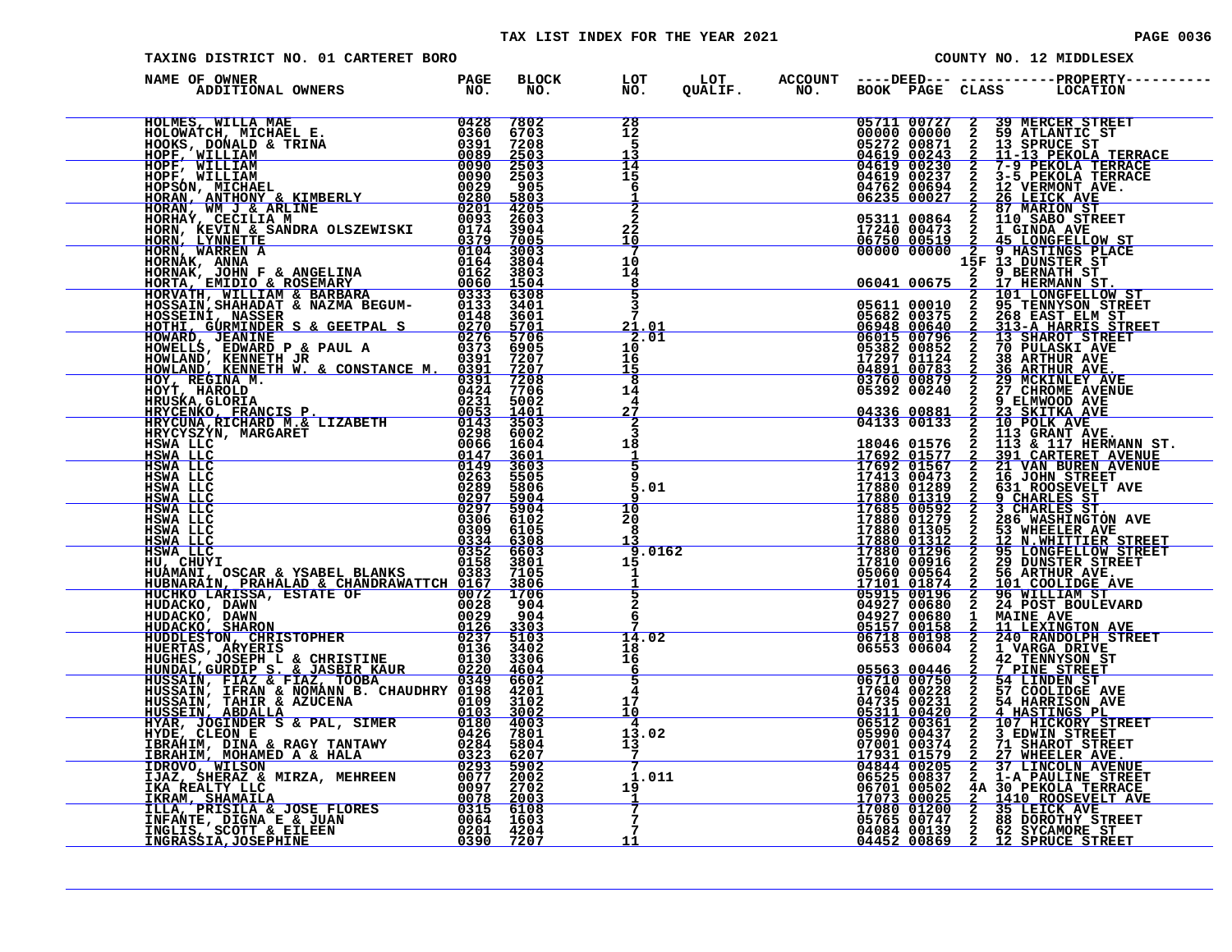#### TAX LIST INDEX FOR THE YEAR 2021 **PAGE 0036** PAGE 0036

| TAXING DISTRICT NO. 01 CARTERET BORO                                                                                                                                                                                                           |      |              |                       |  |  | COUNTY NO. 12 MIDDLESEX                                                                                                                                                                                                                      |
|------------------------------------------------------------------------------------------------------------------------------------------------------------------------------------------------------------------------------------------------|------|--------------|-----------------------|--|--|----------------------------------------------------------------------------------------------------------------------------------------------------------------------------------------------------------------------------------------------|
| NAME OF OWNER                                                                                                                                                                                                                                  |      |              |                       |  |  | OURLIP. "NO." BOOK "BASE CLASS" IN NEW PRESS, THE RESERVED AND CONSULT AND CONSULT AND CONSULT AND CONSULT AND CONSULT AND CONSULT AND CONSULT AND CONSULT AND CONSULT AND CONSULT AND CONSULT AND CONSULT AND CONSULT AND CO                |
| ENGINE ANNE MENINE RESERVED ON A STRAIN CONSERVED AND A TRIMATION ON A TRIMATION ON A TRIMATION ON A STRAIN CONSERVED ON A SALURE SAMPLE ON A SALURE SAMPLE ON A SALURE SAMPLE SAMPLE SAMPLE SAMPLE SAMPLE SAMPLE SAMPLE SAMPL                 |      |              | 28                    |  |  |                                                                                                                                                                                                                                              |
|                                                                                                                                                                                                                                                |      |              | 12<br>-5              |  |  |                                                                                                                                                                                                                                              |
|                                                                                                                                                                                                                                                |      |              | 13                    |  |  |                                                                                                                                                                                                                                              |
|                                                                                                                                                                                                                                                |      |              | 14<br>15              |  |  |                                                                                                                                                                                                                                              |
|                                                                                                                                                                                                                                                |      |              | 6                     |  |  |                                                                                                                                                                                                                                              |
|                                                                                                                                                                                                                                                |      |              |                       |  |  |                                                                                                                                                                                                                                              |
|                                                                                                                                                                                                                                                |      |              |                       |  |  |                                                                                                                                                                                                                                              |
|                                                                                                                                                                                                                                                |      |              | 22<br>10              |  |  |                                                                                                                                                                                                                                              |
|                                                                                                                                                                                                                                                |      |              |                       |  |  |                                                                                                                                                                                                                                              |
|                                                                                                                                                                                                                                                |      |              | 10<br>14              |  |  |                                                                                                                                                                                                                                              |
|                                                                                                                                                                                                                                                |      |              | 8                     |  |  |                                                                                                                                                                                                                                              |
|                                                                                                                                                                                                                                                |      |              | 5                     |  |  |                                                                                                                                                                                                                                              |
|                                                                                                                                                                                                                                                |      |              |                       |  |  |                                                                                                                                                                                                                                              |
|                                                                                                                                                                                                                                                |      |              | <u> 21.01</u><br>2.01 |  |  |                                                                                                                                                                                                                                              |
|                                                                                                                                                                                                                                                |      |              | 10                    |  |  |                                                                                                                                                                                                                                              |
|                                                                                                                                                                                                                                                |      |              | 16<br>15              |  |  |                                                                                                                                                                                                                                              |
|                                                                                                                                                                                                                                                |      |              | 8                     |  |  |                                                                                                                                                                                                                                              |
|                                                                                                                                                                                                                                                |      |              | 14<br>4               |  |  |                                                                                                                                                                                                                                              |
|                                                                                                                                                                                                                                                |      |              |                       |  |  |                                                                                                                                                                                                                                              |
|                                                                                                                                                                                                                                                |      |              |                       |  |  |                                                                                                                                                                                                                                              |
|                                                                                                                                                                                                                                                |      |              | 18                    |  |  |                                                                                                                                                                                                                                              |
|                                                                                                                                                                                                                                                |      |              | -1                    |  |  |                                                                                                                                                                                                                                              |
| HSWA LLC                                                                                                                                                                                                                                       | 0263 | 5505         |                       |  |  |                                                                                                                                                                                                                                              |
| HSWA LLC<br>HSWA LLC                                                                                                                                                                                                                           | 0289 | 5806<br>5904 | 5.01                  |  |  |                                                                                                                                                                                                                                              |
| $\frac{0.297}{0.297}$<br>HSWA LLC                                                                                                                                                                                                              |      | 5904         | 10                    |  |  |                                                                                                                                                                                                                                              |
| HSWA LLC                                                                                                                                                                                                                                       | 0306 | 6102         | 20<br>8               |  |  |                                                                                                                                                                                                                                              |
|                                                                                                                                                                                                                                                |      |              | 13                    |  |  |                                                                                                                                                                                                                                              |
|                                                                                                                                                                                                                                                |      |              | 9.0162<br>15          |  |  |                                                                                                                                                                                                                                              |
|                                                                                                                                                                                                                                                |      |              | $\mathbf{1}$          |  |  |                                                                                                                                                                                                                                              |
|                                                                                                                                                                                                                                                |      |              |                       |  |  |                                                                                                                                                                                                                                              |
|                                                                                                                                                                                                                                                |      |              |                       |  |  |                                                                                                                                                                                                                                              |
|                                                                                                                                                                                                                                                |      |              | 6                     |  |  |                                                                                                                                                                                                                                              |
|                                                                                                                                                                                                                                                |      |              | 14.02                 |  |  |                                                                                                                                                                                                                                              |
|                                                                                                                                                                                                                                                |      |              | 18<br>16              |  |  |                                                                                                                                                                                                                                              |
| HSWA LLC 0306 6102<br>HSWA LLC 0306 6102<br>HSWA LLC 0334 6308<br>HU, CHUYI<br>HU, CHUYI<br>HUAMANI, OSCAR & YSABEL BLANKS 0383 7105<br>HUAMANI, OSCAR & YSABEL BLANKS 0383 7105<br>HUAMANI, PRAHALAD & CHANDRAWATTCH 0167 3806<br>HUDACKO, DA |      |              | 6                     |  |  | 05563 00446 2 7 PINE STREET<br>06710 00750 2 54 LINDEN ST<br>17604 00228 2 57 COOLIDGE AVE                                                                                                                                                   |
|                                                                                                                                                                                                                                                |      |              |                       |  |  |                                                                                                                                                                                                                                              |
|                                                                                                                                                                                                                                                |      |              | 17<br>10              |  |  |                                                                                                                                                                                                                                              |
|                                                                                                                                                                                                                                                |      |              | -4                    |  |  |                                                                                                                                                                                                                                              |
|                                                                                                                                                                                                                                                |      |              | 13.02                 |  |  |                                                                                                                                                                                                                                              |
| HUSSAIN, IFRAN & NOMÁNN B. CHAUDHRY 0198 4201<br>HUSSAIN, TAHIR & AZUCENA 0109 31002<br>HUSSEIN, ABDALLA<br>HUSSEIN, ABDALLA<br>HUSSEIN, JOGINDER S & PAL, SIMER 0180 4003<br>HYDE, CLEON E<br>IBRAHIM, DONAMED A & HALA 02293 5902<br>IBRAH   |      |              | $\frac{13}{7}$        |  |  | 17604 00231 2 57 COOLIDGE AVE<br>04735 00231 2 54 HARRISON AVE<br>05311 00420 2 4 HARRISON AVE<br>06512 00361 2 107 HICKORY STREET<br>05990 00437 2 3 EDWIN STREET<br>07901 00374 2 27 WHEELER AVE<br>04844 00205 2 1-A PAULINE STREET<br>06 |
|                                                                                                                                                                                                                                                |      |              | 1.011                 |  |  |                                                                                                                                                                                                                                              |
|                                                                                                                                                                                                                                                |      |              | 19                    |  |  |                                                                                                                                                                                                                                              |
|                                                                                                                                                                                                                                                |      |              |                       |  |  |                                                                                                                                                                                                                                              |
|                                                                                                                                                                                                                                                |      |              | -7                    |  |  |                                                                                                                                                                                                                                              |
|                                                                                                                                                                                                                                                |      |              | <u>11</u>             |  |  |                                                                                                                                                                                                                                              |
|                                                                                                                                                                                                                                                |      |              |                       |  |  |                                                                                                                                                                                                                                              |

| 0424<br>14<br>05392 00240<br>$\mathbf{2}$<br>7706<br>27 CHROME AVENUE<br>0231<br>5002<br>4<br>9 ELMWOOD AVE<br>0053<br>27<br>$\overline{2}$<br>1401<br>23 SKITKA AVE<br>04336 00881<br>3503<br>$\overline{2}$<br>04133 00133<br>HRYCUNA, RICHARD M.& LIZABETH<br>0143<br>10 POLK AVE<br>6002<br>3<br>0298<br>113 GRANT AVE.<br>113 & 117 HERMANN ST.<br>HRYCYSZYN, MARGARET<br>$\mathbf{2}$<br>18<br>0066<br>18046 01576<br>HSWA LLC<br>1604<br>-1<br>$\mathbf{2}$<br>0147<br>3601<br><b>HSWA LLC</b><br>17692 01577<br><b>391 CARTERET AVENUE</b><br>0149<br>3603<br>17692 01567<br>2<br><b>21 VAN BUREN AVENUE</b><br>HSWA LLC<br>$\frac{5}{9}$<br>17413 00473<br>2<br>0263<br>HSWA LLC<br>5505<br>16 JOHN STREET<br>5806<br>5.01<br>17880 01289<br>2<br>0289<br>631 ROOSEVELT AVE<br>HSWA LLC<br>$\mathbf{2}$<br>0297<br>5904<br>17880 01319<br>HSWA LLC<br>9 CHARLES ST<br>17685 00592<br>3 CHARLES ST.<br>0297<br>10<br>$\overline{2}$<br>5904<br>HSWA LLC<br>2<br>0306<br>6102<br>20<br>17880 01279<br>17880 01305<br>HSWA LLC<br>286 WASHINGTON AVE<br>$\mathbf{2}$<br>0309<br>6105<br>8<br>53 WHEELER AVE<br>HSWA LLC<br>17880 01312<br>$\overline{a}$<br>0334<br>6308<br>13<br>HSWA LLC<br>12 N.WHITTIER STREET<br>6603<br>9.0162<br>17880 01296<br>0352<br>95 LONGFELLOW STREET<br>HSWA LLC<br>2<br>17810 00916<br>$\overline{a}$<br>0158<br>3801<br>HU, CHUYI<br>29 DUNSTER STREET<br>$^{15}_{\ 1}$<br>2<br>0383<br>05060 00564<br>HUAMANI, OSCAR & YSABEL BLANKS<br>7105<br>56 ARTHUR AVE.<br>3806<br><u> 17101 01874</u><br>2<br>HUBNARAIN, PRAHALAD & CHANDRAWATTCH 0167<br>101 COOLIDGE AVE<br>$rac{1}{5}$<br>6<br>05915 00196<br>HUCHKO LARISSA, ESTATE OF<br>$\overline{2}$<br>96 WILLIAM ST<br>0072<br>1706<br>32300<br>10029<br>122 <u>4</u><br>122 <u>4</u><br>04927 00680<br>HUDACKO, DAWN<br>904<br>2<br>24 POST BOULEVARD<br>904<br>04927 00680<br>$\mathbf{1}$<br><b>MAINE AVE</b><br>HUDACKO, DAWN<br>05157 00158<br>$\mathbf{2}$<br>3303<br>11 LEXINGTON AVE<br>HUDACKO, SHARON<br>HUDDLESTON, CHRISTOPHER<br>HUERTAS, ARYERIS<br>HUGHES, JOSEPH L & CHRISTINE<br>0237<br>14.02<br>5103<br>06718 00198<br>240 RANDOLPH STREET<br>0136<br>3402<br>06553 00604<br>2<br>18<br>1 VARGA DRIVE<br>īĕ<br>0130<br>2<br>3306<br><b>42 TENNYSON ST</b><br>HUNDAL, GURDIP S. & JASBIR KAUR<br>6<br>$\mathbf{2}$<br>0220<br>4604<br>05563 00446<br>7 PINE STREET<br>$\frac{5}{4}$<br>HUSSAIN, FIAZ & FIAZ, TOOBA 0349<br>HUSSAIN, IFRAN & NOMANN B. CHAUDHRY 0198<br>6602<br>06710 00750<br>$\mathbf{2}$<br>54 LINDEN ST<br>17604 00228<br>$\mathbf{2}$<br>57 COOLIDGE AVE<br>4201<br>17<br>$\frac{2}{2}$<br>3102<br>04735 00231<br>0109<br>HUSSAIN, TAHIR & AZUCENA<br>54 HARRISON AVE<br>3002<br>10<br>0103<br>05311 00420<br>HUSSEIN, ABDALLA<br>4 HASTINGS PL<br>HYAR, JOGINDER S & PAL, SIMER<br>HYAR, JOGINDER S & PAL, SIMER<br>0180<br>$\frac{2}{2}$<br>$\overline{4}$<br>4003<br>06512 00361<br>107 HICKORY STREET<br>7801<br>0426<br>13.02<br>05990 00437<br>3 EDWIN STREET<br>HYDE, CLEON E<br>$\overline{2}$<br>$\overline{1}3$<br>07001 00374<br>0284<br>5804<br>IBRAHIM, DINA & RAGY TANTAWY<br>71 SHAROT STREET<br><u>17931 01579</u><br>04844 00205<br>0323<br>$\overline{2}$<br>IBRAHIM, MOHAMED A & HALA<br>$\frac{6207}{5902}$<br>27 WHEELER AVE.<br>0293<br>37 LINCOLN AVENUE<br>IDROVO, WILSON<br>2<br>1.011<br>$\mathbf{2}$<br>0077<br>2002<br>06525 00837<br>IJAZ, SHERAZ & MIRZA, MEHREEN<br>1-A PAULINE STREET<br>0097<br>2702<br>06701 00502<br>IKA REALTY LLC<br>19<br>4A 30 PEKOLA TERRACE<br>0078<br>2003<br>17073 00025<br>$\mathbf{2}$<br>IKRAM, SHAMAILA<br>1410 ROOSEVELT AVE<br>ILLA, PRISILA & JOSE FLORES<br>17080 01200<br>0315<br>6108<br>$\overline{2}$<br>35 LEICK AVE<br>$\overline{a}$<br>INFANTE, DIGNA E & JUAN<br>0064 1603<br>05765 00747<br><b>88 DOROTHY STREET</b><br>7<br>0201 4204<br>$\mathbf{2}$<br>04084 00139<br>62 SYCAMORE ST<br>INGLIS, SCOTT & EILEEN<br>11<br>$\mathbf{2}$<br>0390<br>7207<br>04452 00869<br>12 SPRUCE STREET<br><u>INGRASSIA, JOSEPHINE</u> |  | 0391 | 7208 | 8 | 03760 00879 | 2 | 29 MCKINLEY AVE |
|----------------------------------------------------------------------------------------------------------------------------------------------------------------------------------------------------------------------------------------------------------------------------------------------------------------------------------------------------------------------------------------------------------------------------------------------------------------------------------------------------------------------------------------------------------------------------------------------------------------------------------------------------------------------------------------------------------------------------------------------------------------------------------------------------------------------------------------------------------------------------------------------------------------------------------------------------------------------------------------------------------------------------------------------------------------------------------------------------------------------------------------------------------------------------------------------------------------------------------------------------------------------------------------------------------------------------------------------------------------------------------------------------------------------------------------------------------------------------------------------------------------------------------------------------------------------------------------------------------------------------------------------------------------------------------------------------------------------------------------------------------------------------------------------------------------------------------------------------------------------------------------------------------------------------------------------------------------------------------------------------------------------------------------------------------------------------------------------------------------------------------------------------------------------------------------------------------------------------------------------------------------------------------------------------------------------------------------------------------------------------------------------------------------------------------------------------------------------------------------------------------------------------------------------------------------------------------------------------------------------------------------------------------------------------------------------------------------------------------------------------------------------------------------------------------------------------------------------------------------------------------------------------------------------------------------------------------------------------------------------------------------------------------------------------------------------------------------------------------------------------------------------------------------------------------------------------------------------------------------------------------------------------------------------------------------------------------------------------------------------------------------------------------------------------------------------------------------------------------------------------------------------------------------------------------------------------------------------------------------------------------------------------------------------------------------------------------------------------------------------------------------------------------------------------------------------------------------------------------------------------------------------------------------------------------------------------------------------------------------------------------------------------------------|--|------|------|---|-------------|---|-----------------|
|                                                                                                                                                                                                                                                                                                                                                                                                                                                                                                                                                                                                                                                                                                                                                                                                                                                                                                                                                                                                                                                                                                                                                                                                                                                                                                                                                                                                                                                                                                                                                                                                                                                                                                                                                                                                                                                                                                                                                                                                                                                                                                                                                                                                                                                                                                                                                                                                                                                                                                                                                                                                                                                                                                                                                                                                                                                                                                                                                                                                                                                                                                                                                                                                                                                                                                                                                                                                                                                                                                                                                                                                                                                                                                                                                                                                                                                                                                                                                                                                                                        |  |      |      |   |             |   |                 |
|                                                                                                                                                                                                                                                                                                                                                                                                                                                                                                                                                                                                                                                                                                                                                                                                                                                                                                                                                                                                                                                                                                                                                                                                                                                                                                                                                                                                                                                                                                                                                                                                                                                                                                                                                                                                                                                                                                                                                                                                                                                                                                                                                                                                                                                                                                                                                                                                                                                                                                                                                                                                                                                                                                                                                                                                                                                                                                                                                                                                                                                                                                                                                                                                                                                                                                                                                                                                                                                                                                                                                                                                                                                                                                                                                                                                                                                                                                                                                                                                                                        |  |      |      |   |             |   |                 |
|                                                                                                                                                                                                                                                                                                                                                                                                                                                                                                                                                                                                                                                                                                                                                                                                                                                                                                                                                                                                                                                                                                                                                                                                                                                                                                                                                                                                                                                                                                                                                                                                                                                                                                                                                                                                                                                                                                                                                                                                                                                                                                                                                                                                                                                                                                                                                                                                                                                                                                                                                                                                                                                                                                                                                                                                                                                                                                                                                                                                                                                                                                                                                                                                                                                                                                                                                                                                                                                                                                                                                                                                                                                                                                                                                                                                                                                                                                                                                                                                                                        |  |      |      |   |             |   |                 |
|                                                                                                                                                                                                                                                                                                                                                                                                                                                                                                                                                                                                                                                                                                                                                                                                                                                                                                                                                                                                                                                                                                                                                                                                                                                                                                                                                                                                                                                                                                                                                                                                                                                                                                                                                                                                                                                                                                                                                                                                                                                                                                                                                                                                                                                                                                                                                                                                                                                                                                                                                                                                                                                                                                                                                                                                                                                                                                                                                                                                                                                                                                                                                                                                                                                                                                                                                                                                                                                                                                                                                                                                                                                                                                                                                                                                                                                                                                                                                                                                                                        |  |      |      |   |             |   |                 |
|                                                                                                                                                                                                                                                                                                                                                                                                                                                                                                                                                                                                                                                                                                                                                                                                                                                                                                                                                                                                                                                                                                                                                                                                                                                                                                                                                                                                                                                                                                                                                                                                                                                                                                                                                                                                                                                                                                                                                                                                                                                                                                                                                                                                                                                                                                                                                                                                                                                                                                                                                                                                                                                                                                                                                                                                                                                                                                                                                                                                                                                                                                                                                                                                                                                                                                                                                                                                                                                                                                                                                                                                                                                                                                                                                                                                                                                                                                                                                                                                                                        |  |      |      |   |             |   |                 |
|                                                                                                                                                                                                                                                                                                                                                                                                                                                                                                                                                                                                                                                                                                                                                                                                                                                                                                                                                                                                                                                                                                                                                                                                                                                                                                                                                                                                                                                                                                                                                                                                                                                                                                                                                                                                                                                                                                                                                                                                                                                                                                                                                                                                                                                                                                                                                                                                                                                                                                                                                                                                                                                                                                                                                                                                                                                                                                                                                                                                                                                                                                                                                                                                                                                                                                                                                                                                                                                                                                                                                                                                                                                                                                                                                                                                                                                                                                                                                                                                                                        |  |      |      |   |             |   |                 |
|                                                                                                                                                                                                                                                                                                                                                                                                                                                                                                                                                                                                                                                                                                                                                                                                                                                                                                                                                                                                                                                                                                                                                                                                                                                                                                                                                                                                                                                                                                                                                                                                                                                                                                                                                                                                                                                                                                                                                                                                                                                                                                                                                                                                                                                                                                                                                                                                                                                                                                                                                                                                                                                                                                                                                                                                                                                                                                                                                                                                                                                                                                                                                                                                                                                                                                                                                                                                                                                                                                                                                                                                                                                                                                                                                                                                                                                                                                                                                                                                                                        |  |      |      |   |             |   |                 |
|                                                                                                                                                                                                                                                                                                                                                                                                                                                                                                                                                                                                                                                                                                                                                                                                                                                                                                                                                                                                                                                                                                                                                                                                                                                                                                                                                                                                                                                                                                                                                                                                                                                                                                                                                                                                                                                                                                                                                                                                                                                                                                                                                                                                                                                                                                                                                                                                                                                                                                                                                                                                                                                                                                                                                                                                                                                                                                                                                                                                                                                                                                                                                                                                                                                                                                                                                                                                                                                                                                                                                                                                                                                                                                                                                                                                                                                                                                                                                                                                                                        |  |      |      |   |             |   |                 |
|                                                                                                                                                                                                                                                                                                                                                                                                                                                                                                                                                                                                                                                                                                                                                                                                                                                                                                                                                                                                                                                                                                                                                                                                                                                                                                                                                                                                                                                                                                                                                                                                                                                                                                                                                                                                                                                                                                                                                                                                                                                                                                                                                                                                                                                                                                                                                                                                                                                                                                                                                                                                                                                                                                                                                                                                                                                                                                                                                                                                                                                                                                                                                                                                                                                                                                                                                                                                                                                                                                                                                                                                                                                                                                                                                                                                                                                                                                                                                                                                                                        |  |      |      |   |             |   |                 |
|                                                                                                                                                                                                                                                                                                                                                                                                                                                                                                                                                                                                                                                                                                                                                                                                                                                                                                                                                                                                                                                                                                                                                                                                                                                                                                                                                                                                                                                                                                                                                                                                                                                                                                                                                                                                                                                                                                                                                                                                                                                                                                                                                                                                                                                                                                                                                                                                                                                                                                                                                                                                                                                                                                                                                                                                                                                                                                                                                                                                                                                                                                                                                                                                                                                                                                                                                                                                                                                                                                                                                                                                                                                                                                                                                                                                                                                                                                                                                                                                                                        |  |      |      |   |             |   |                 |
|                                                                                                                                                                                                                                                                                                                                                                                                                                                                                                                                                                                                                                                                                                                                                                                                                                                                                                                                                                                                                                                                                                                                                                                                                                                                                                                                                                                                                                                                                                                                                                                                                                                                                                                                                                                                                                                                                                                                                                                                                                                                                                                                                                                                                                                                                                                                                                                                                                                                                                                                                                                                                                                                                                                                                                                                                                                                                                                                                                                                                                                                                                                                                                                                                                                                                                                                                                                                                                                                                                                                                                                                                                                                                                                                                                                                                                                                                                                                                                                                                                        |  |      |      |   |             |   |                 |
|                                                                                                                                                                                                                                                                                                                                                                                                                                                                                                                                                                                                                                                                                                                                                                                                                                                                                                                                                                                                                                                                                                                                                                                                                                                                                                                                                                                                                                                                                                                                                                                                                                                                                                                                                                                                                                                                                                                                                                                                                                                                                                                                                                                                                                                                                                                                                                                                                                                                                                                                                                                                                                                                                                                                                                                                                                                                                                                                                                                                                                                                                                                                                                                                                                                                                                                                                                                                                                                                                                                                                                                                                                                                                                                                                                                                                                                                                                                                                                                                                                        |  |      |      |   |             |   |                 |
|                                                                                                                                                                                                                                                                                                                                                                                                                                                                                                                                                                                                                                                                                                                                                                                                                                                                                                                                                                                                                                                                                                                                                                                                                                                                                                                                                                                                                                                                                                                                                                                                                                                                                                                                                                                                                                                                                                                                                                                                                                                                                                                                                                                                                                                                                                                                                                                                                                                                                                                                                                                                                                                                                                                                                                                                                                                                                                                                                                                                                                                                                                                                                                                                                                                                                                                                                                                                                                                                                                                                                                                                                                                                                                                                                                                                                                                                                                                                                                                                                                        |  |      |      |   |             |   |                 |
|                                                                                                                                                                                                                                                                                                                                                                                                                                                                                                                                                                                                                                                                                                                                                                                                                                                                                                                                                                                                                                                                                                                                                                                                                                                                                                                                                                                                                                                                                                                                                                                                                                                                                                                                                                                                                                                                                                                                                                                                                                                                                                                                                                                                                                                                                                                                                                                                                                                                                                                                                                                                                                                                                                                                                                                                                                                                                                                                                                                                                                                                                                                                                                                                                                                                                                                                                                                                                                                                                                                                                                                                                                                                                                                                                                                                                                                                                                                                                                                                                                        |  |      |      |   |             |   |                 |
|                                                                                                                                                                                                                                                                                                                                                                                                                                                                                                                                                                                                                                                                                                                                                                                                                                                                                                                                                                                                                                                                                                                                                                                                                                                                                                                                                                                                                                                                                                                                                                                                                                                                                                                                                                                                                                                                                                                                                                                                                                                                                                                                                                                                                                                                                                                                                                                                                                                                                                                                                                                                                                                                                                                                                                                                                                                                                                                                                                                                                                                                                                                                                                                                                                                                                                                                                                                                                                                                                                                                                                                                                                                                                                                                                                                                                                                                                                                                                                                                                                        |  |      |      |   |             |   |                 |
|                                                                                                                                                                                                                                                                                                                                                                                                                                                                                                                                                                                                                                                                                                                                                                                                                                                                                                                                                                                                                                                                                                                                                                                                                                                                                                                                                                                                                                                                                                                                                                                                                                                                                                                                                                                                                                                                                                                                                                                                                                                                                                                                                                                                                                                                                                                                                                                                                                                                                                                                                                                                                                                                                                                                                                                                                                                                                                                                                                                                                                                                                                                                                                                                                                                                                                                                                                                                                                                                                                                                                                                                                                                                                                                                                                                                                                                                                                                                                                                                                                        |  |      |      |   |             |   |                 |
|                                                                                                                                                                                                                                                                                                                                                                                                                                                                                                                                                                                                                                                                                                                                                                                                                                                                                                                                                                                                                                                                                                                                                                                                                                                                                                                                                                                                                                                                                                                                                                                                                                                                                                                                                                                                                                                                                                                                                                                                                                                                                                                                                                                                                                                                                                                                                                                                                                                                                                                                                                                                                                                                                                                                                                                                                                                                                                                                                                                                                                                                                                                                                                                                                                                                                                                                                                                                                                                                                                                                                                                                                                                                                                                                                                                                                                                                                                                                                                                                                                        |  |      |      |   |             |   |                 |
|                                                                                                                                                                                                                                                                                                                                                                                                                                                                                                                                                                                                                                                                                                                                                                                                                                                                                                                                                                                                                                                                                                                                                                                                                                                                                                                                                                                                                                                                                                                                                                                                                                                                                                                                                                                                                                                                                                                                                                                                                                                                                                                                                                                                                                                                                                                                                                                                                                                                                                                                                                                                                                                                                                                                                                                                                                                                                                                                                                                                                                                                                                                                                                                                                                                                                                                                                                                                                                                                                                                                                                                                                                                                                                                                                                                                                                                                                                                                                                                                                                        |  |      |      |   |             |   |                 |
|                                                                                                                                                                                                                                                                                                                                                                                                                                                                                                                                                                                                                                                                                                                                                                                                                                                                                                                                                                                                                                                                                                                                                                                                                                                                                                                                                                                                                                                                                                                                                                                                                                                                                                                                                                                                                                                                                                                                                                                                                                                                                                                                                                                                                                                                                                                                                                                                                                                                                                                                                                                                                                                                                                                                                                                                                                                                                                                                                                                                                                                                                                                                                                                                                                                                                                                                                                                                                                                                                                                                                                                                                                                                                                                                                                                                                                                                                                                                                                                                                                        |  |      |      |   |             |   |                 |
|                                                                                                                                                                                                                                                                                                                                                                                                                                                                                                                                                                                                                                                                                                                                                                                                                                                                                                                                                                                                                                                                                                                                                                                                                                                                                                                                                                                                                                                                                                                                                                                                                                                                                                                                                                                                                                                                                                                                                                                                                                                                                                                                                                                                                                                                                                                                                                                                                                                                                                                                                                                                                                                                                                                                                                                                                                                                                                                                                                                                                                                                                                                                                                                                                                                                                                                                                                                                                                                                                                                                                                                                                                                                                                                                                                                                                                                                                                                                                                                                                                        |  |      |      |   |             |   |                 |
|                                                                                                                                                                                                                                                                                                                                                                                                                                                                                                                                                                                                                                                                                                                                                                                                                                                                                                                                                                                                                                                                                                                                                                                                                                                                                                                                                                                                                                                                                                                                                                                                                                                                                                                                                                                                                                                                                                                                                                                                                                                                                                                                                                                                                                                                                                                                                                                                                                                                                                                                                                                                                                                                                                                                                                                                                                                                                                                                                                                                                                                                                                                                                                                                                                                                                                                                                                                                                                                                                                                                                                                                                                                                                                                                                                                                                                                                                                                                                                                                                                        |  |      |      |   |             |   |                 |
|                                                                                                                                                                                                                                                                                                                                                                                                                                                                                                                                                                                                                                                                                                                                                                                                                                                                                                                                                                                                                                                                                                                                                                                                                                                                                                                                                                                                                                                                                                                                                                                                                                                                                                                                                                                                                                                                                                                                                                                                                                                                                                                                                                                                                                                                                                                                                                                                                                                                                                                                                                                                                                                                                                                                                                                                                                                                                                                                                                                                                                                                                                                                                                                                                                                                                                                                                                                                                                                                                                                                                                                                                                                                                                                                                                                                                                                                                                                                                                                                                                        |  |      |      |   |             |   |                 |
|                                                                                                                                                                                                                                                                                                                                                                                                                                                                                                                                                                                                                                                                                                                                                                                                                                                                                                                                                                                                                                                                                                                                                                                                                                                                                                                                                                                                                                                                                                                                                                                                                                                                                                                                                                                                                                                                                                                                                                                                                                                                                                                                                                                                                                                                                                                                                                                                                                                                                                                                                                                                                                                                                                                                                                                                                                                                                                                                                                                                                                                                                                                                                                                                                                                                                                                                                                                                                                                                                                                                                                                                                                                                                                                                                                                                                                                                                                                                                                                                                                        |  |      |      |   |             |   |                 |
|                                                                                                                                                                                                                                                                                                                                                                                                                                                                                                                                                                                                                                                                                                                                                                                                                                                                                                                                                                                                                                                                                                                                                                                                                                                                                                                                                                                                                                                                                                                                                                                                                                                                                                                                                                                                                                                                                                                                                                                                                                                                                                                                                                                                                                                                                                                                                                                                                                                                                                                                                                                                                                                                                                                                                                                                                                                                                                                                                                                                                                                                                                                                                                                                                                                                                                                                                                                                                                                                                                                                                                                                                                                                                                                                                                                                                                                                                                                                                                                                                                        |  |      |      |   |             |   |                 |
|                                                                                                                                                                                                                                                                                                                                                                                                                                                                                                                                                                                                                                                                                                                                                                                                                                                                                                                                                                                                                                                                                                                                                                                                                                                                                                                                                                                                                                                                                                                                                                                                                                                                                                                                                                                                                                                                                                                                                                                                                                                                                                                                                                                                                                                                                                                                                                                                                                                                                                                                                                                                                                                                                                                                                                                                                                                                                                                                                                                                                                                                                                                                                                                                                                                                                                                                                                                                                                                                                                                                                                                                                                                                                                                                                                                                                                                                                                                                                                                                                                        |  |      |      |   |             |   |                 |
|                                                                                                                                                                                                                                                                                                                                                                                                                                                                                                                                                                                                                                                                                                                                                                                                                                                                                                                                                                                                                                                                                                                                                                                                                                                                                                                                                                                                                                                                                                                                                                                                                                                                                                                                                                                                                                                                                                                                                                                                                                                                                                                                                                                                                                                                                                                                                                                                                                                                                                                                                                                                                                                                                                                                                                                                                                                                                                                                                                                                                                                                                                                                                                                                                                                                                                                                                                                                                                                                                                                                                                                                                                                                                                                                                                                                                                                                                                                                                                                                                                        |  |      |      |   |             |   |                 |
|                                                                                                                                                                                                                                                                                                                                                                                                                                                                                                                                                                                                                                                                                                                                                                                                                                                                                                                                                                                                                                                                                                                                                                                                                                                                                                                                                                                                                                                                                                                                                                                                                                                                                                                                                                                                                                                                                                                                                                                                                                                                                                                                                                                                                                                                                                                                                                                                                                                                                                                                                                                                                                                                                                                                                                                                                                                                                                                                                                                                                                                                                                                                                                                                                                                                                                                                                                                                                                                                                                                                                                                                                                                                                                                                                                                                                                                                                                                                                                                                                                        |  |      |      |   |             |   |                 |
|                                                                                                                                                                                                                                                                                                                                                                                                                                                                                                                                                                                                                                                                                                                                                                                                                                                                                                                                                                                                                                                                                                                                                                                                                                                                                                                                                                                                                                                                                                                                                                                                                                                                                                                                                                                                                                                                                                                                                                                                                                                                                                                                                                                                                                                                                                                                                                                                                                                                                                                                                                                                                                                                                                                                                                                                                                                                                                                                                                                                                                                                                                                                                                                                                                                                                                                                                                                                                                                                                                                                                                                                                                                                                                                                                                                                                                                                                                                                                                                                                                        |  |      |      |   |             |   |                 |
|                                                                                                                                                                                                                                                                                                                                                                                                                                                                                                                                                                                                                                                                                                                                                                                                                                                                                                                                                                                                                                                                                                                                                                                                                                                                                                                                                                                                                                                                                                                                                                                                                                                                                                                                                                                                                                                                                                                                                                                                                                                                                                                                                                                                                                                                                                                                                                                                                                                                                                                                                                                                                                                                                                                                                                                                                                                                                                                                                                                                                                                                                                                                                                                                                                                                                                                                                                                                                                                                                                                                                                                                                                                                                                                                                                                                                                                                                                                                                                                                                                        |  |      |      |   |             |   |                 |
|                                                                                                                                                                                                                                                                                                                                                                                                                                                                                                                                                                                                                                                                                                                                                                                                                                                                                                                                                                                                                                                                                                                                                                                                                                                                                                                                                                                                                                                                                                                                                                                                                                                                                                                                                                                                                                                                                                                                                                                                                                                                                                                                                                                                                                                                                                                                                                                                                                                                                                                                                                                                                                                                                                                                                                                                                                                                                                                                                                                                                                                                                                                                                                                                                                                                                                                                                                                                                                                                                                                                                                                                                                                                                                                                                                                                                                                                                                                                                                                                                                        |  |      |      |   |             |   |                 |
|                                                                                                                                                                                                                                                                                                                                                                                                                                                                                                                                                                                                                                                                                                                                                                                                                                                                                                                                                                                                                                                                                                                                                                                                                                                                                                                                                                                                                                                                                                                                                                                                                                                                                                                                                                                                                                                                                                                                                                                                                                                                                                                                                                                                                                                                                                                                                                                                                                                                                                                                                                                                                                                                                                                                                                                                                                                                                                                                                                                                                                                                                                                                                                                                                                                                                                                                                                                                                                                                                                                                                                                                                                                                                                                                                                                                                                                                                                                                                                                                                                        |  |      |      |   |             |   |                 |
|                                                                                                                                                                                                                                                                                                                                                                                                                                                                                                                                                                                                                                                                                                                                                                                                                                                                                                                                                                                                                                                                                                                                                                                                                                                                                                                                                                                                                                                                                                                                                                                                                                                                                                                                                                                                                                                                                                                                                                                                                                                                                                                                                                                                                                                                                                                                                                                                                                                                                                                                                                                                                                                                                                                                                                                                                                                                                                                                                                                                                                                                                                                                                                                                                                                                                                                                                                                                                                                                                                                                                                                                                                                                                                                                                                                                                                                                                                                                                                                                                                        |  |      |      |   |             |   |                 |
|                                                                                                                                                                                                                                                                                                                                                                                                                                                                                                                                                                                                                                                                                                                                                                                                                                                                                                                                                                                                                                                                                                                                                                                                                                                                                                                                                                                                                                                                                                                                                                                                                                                                                                                                                                                                                                                                                                                                                                                                                                                                                                                                                                                                                                                                                                                                                                                                                                                                                                                                                                                                                                                                                                                                                                                                                                                                                                                                                                                                                                                                                                                                                                                                                                                                                                                                                                                                                                                                                                                                                                                                                                                                                                                                                                                                                                                                                                                                                                                                                                        |  |      |      |   |             |   |                 |
|                                                                                                                                                                                                                                                                                                                                                                                                                                                                                                                                                                                                                                                                                                                                                                                                                                                                                                                                                                                                                                                                                                                                                                                                                                                                                                                                                                                                                                                                                                                                                                                                                                                                                                                                                                                                                                                                                                                                                                                                                                                                                                                                                                                                                                                                                                                                                                                                                                                                                                                                                                                                                                                                                                                                                                                                                                                                                                                                                                                                                                                                                                                                                                                                                                                                                                                                                                                                                                                                                                                                                                                                                                                                                                                                                                                                                                                                                                                                                                                                                                        |  |      |      |   |             |   |                 |
|                                                                                                                                                                                                                                                                                                                                                                                                                                                                                                                                                                                                                                                                                                                                                                                                                                                                                                                                                                                                                                                                                                                                                                                                                                                                                                                                                                                                                                                                                                                                                                                                                                                                                                                                                                                                                                                                                                                                                                                                                                                                                                                                                                                                                                                                                                                                                                                                                                                                                                                                                                                                                                                                                                                                                                                                                                                                                                                                                                                                                                                                                                                                                                                                                                                                                                                                                                                                                                                                                                                                                                                                                                                                                                                                                                                                                                                                                                                                                                                                                                        |  |      |      |   |             |   |                 |
|                                                                                                                                                                                                                                                                                                                                                                                                                                                                                                                                                                                                                                                                                                                                                                                                                                                                                                                                                                                                                                                                                                                                                                                                                                                                                                                                                                                                                                                                                                                                                                                                                                                                                                                                                                                                                                                                                                                                                                                                                                                                                                                                                                                                                                                                                                                                                                                                                                                                                                                                                                                                                                                                                                                                                                                                                                                                                                                                                                                                                                                                                                                                                                                                                                                                                                                                                                                                                                                                                                                                                                                                                                                                                                                                                                                                                                                                                                                                                                                                                                        |  |      |      |   |             |   |                 |
|                                                                                                                                                                                                                                                                                                                                                                                                                                                                                                                                                                                                                                                                                                                                                                                                                                                                                                                                                                                                                                                                                                                                                                                                                                                                                                                                                                                                                                                                                                                                                                                                                                                                                                                                                                                                                                                                                                                                                                                                                                                                                                                                                                                                                                                                                                                                                                                                                                                                                                                                                                                                                                                                                                                                                                                                                                                                                                                                                                                                                                                                                                                                                                                                                                                                                                                                                                                                                                                                                                                                                                                                                                                                                                                                                                                                                                                                                                                                                                                                                                        |  |      |      |   |             |   |                 |
|                                                                                                                                                                                                                                                                                                                                                                                                                                                                                                                                                                                                                                                                                                                                                                                                                                                                                                                                                                                                                                                                                                                                                                                                                                                                                                                                                                                                                                                                                                                                                                                                                                                                                                                                                                                                                                                                                                                                                                                                                                                                                                                                                                                                                                                                                                                                                                                                                                                                                                                                                                                                                                                                                                                                                                                                                                                                                                                                                                                                                                                                                                                                                                                                                                                                                                                                                                                                                                                                                                                                                                                                                                                                                                                                                                                                                                                                                                                                                                                                                                        |  |      |      |   |             |   |                 |
|                                                                                                                                                                                                                                                                                                                                                                                                                                                                                                                                                                                                                                                                                                                                                                                                                                                                                                                                                                                                                                                                                                                                                                                                                                                                                                                                                                                                                                                                                                                                                                                                                                                                                                                                                                                                                                                                                                                                                                                                                                                                                                                                                                                                                                                                                                                                                                                                                                                                                                                                                                                                                                                                                                                                                                                                                                                                                                                                                                                                                                                                                                                                                                                                                                                                                                                                                                                                                                                                                                                                                                                                                                                                                                                                                                                                                                                                                                                                                                                                                                        |  |      |      |   |             |   |                 |
|                                                                                                                                                                                                                                                                                                                                                                                                                                                                                                                                                                                                                                                                                                                                                                                                                                                                                                                                                                                                                                                                                                                                                                                                                                                                                                                                                                                                                                                                                                                                                                                                                                                                                                                                                                                                                                                                                                                                                                                                                                                                                                                                                                                                                                                                                                                                                                                                                                                                                                                                                                                                                                                                                                                                                                                                                                                                                                                                                                                                                                                                                                                                                                                                                                                                                                                                                                                                                                                                                                                                                                                                                                                                                                                                                                                                                                                                                                                                                                                                                                        |  |      |      |   |             |   |                 |
|                                                                                                                                                                                                                                                                                                                                                                                                                                                                                                                                                                                                                                                                                                                                                                                                                                                                                                                                                                                                                                                                                                                                                                                                                                                                                                                                                                                                                                                                                                                                                                                                                                                                                                                                                                                                                                                                                                                                                                                                                                                                                                                                                                                                                                                                                                                                                                                                                                                                                                                                                                                                                                                                                                                                                                                                                                                                                                                                                                                                                                                                                                                                                                                                                                                                                                                                                                                                                                                                                                                                                                                                                                                                                                                                                                                                                                                                                                                                                                                                                                        |  |      |      |   |             |   |                 |
|                                                                                                                                                                                                                                                                                                                                                                                                                                                                                                                                                                                                                                                                                                                                                                                                                                                                                                                                                                                                                                                                                                                                                                                                                                                                                                                                                                                                                                                                                                                                                                                                                                                                                                                                                                                                                                                                                                                                                                                                                                                                                                                                                                                                                                                                                                                                                                                                                                                                                                                                                                                                                                                                                                                                                                                                                                                                                                                                                                                                                                                                                                                                                                                                                                                                                                                                                                                                                                                                                                                                                                                                                                                                                                                                                                                                                                                                                                                                                                                                                                        |  |      |      |   |             |   |                 |
|                                                                                                                                                                                                                                                                                                                                                                                                                                                                                                                                                                                                                                                                                                                                                                                                                                                                                                                                                                                                                                                                                                                                                                                                                                                                                                                                                                                                                                                                                                                                                                                                                                                                                                                                                                                                                                                                                                                                                                                                                                                                                                                                                                                                                                                                                                                                                                                                                                                                                                                                                                                                                                                                                                                                                                                                                                                                                                                                                                                                                                                                                                                                                                                                                                                                                                                                                                                                                                                                                                                                                                                                                                                                                                                                                                                                                                                                                                                                                                                                                                        |  |      |      |   |             |   |                 |
|                                                                                                                                                                                                                                                                                                                                                                                                                                                                                                                                                                                                                                                                                                                                                                                                                                                                                                                                                                                                                                                                                                                                                                                                                                                                                                                                                                                                                                                                                                                                                                                                                                                                                                                                                                                                                                                                                                                                                                                                                                                                                                                                                                                                                                                                                                                                                                                                                                                                                                                                                                                                                                                                                                                                                                                                                                                                                                                                                                                                                                                                                                                                                                                                                                                                                                                                                                                                                                                                                                                                                                                                                                                                                                                                                                                                                                                                                                                                                                                                                                        |  |      |      |   |             |   |                 |
|                                                                                                                                                                                                                                                                                                                                                                                                                                                                                                                                                                                                                                                                                                                                                                                                                                                                                                                                                                                                                                                                                                                                                                                                                                                                                                                                                                                                                                                                                                                                                                                                                                                                                                                                                                                                                                                                                                                                                                                                                                                                                                                                                                                                                                                                                                                                                                                                                                                                                                                                                                                                                                                                                                                                                                                                                                                                                                                                                                                                                                                                                                                                                                                                                                                                                                                                                                                                                                                                                                                                                                                                                                                                                                                                                                                                                                                                                                                                                                                                                                        |  |      |      |   |             |   |                 |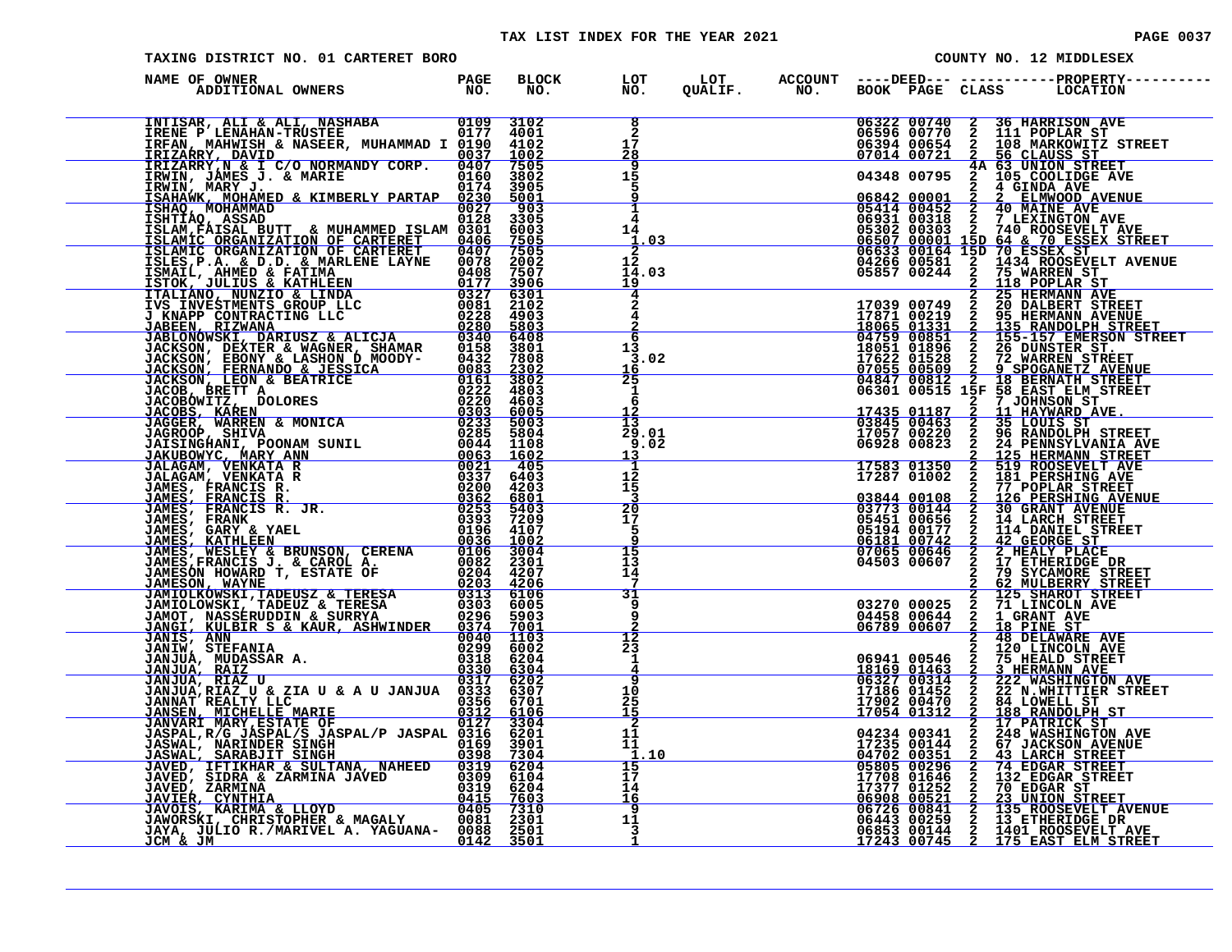# TAX LIST INDEX FOR THE YEAR 2021 **PAGE 0037** TAXING DISTRICT NO. 01 CARTERET BORO COUNTY NO. 12 MIDDLESEX

| NAME OF OWNER<br>PAGE<br>NO.<br>ADDITIONAL OWNERS | BLOCK<br>NO. | LOT<br>NO.                                    |  |                                                                                                        |                                                                                                                                                                                                                                                                                                         |
|---------------------------------------------------|--------------|-----------------------------------------------|--|--------------------------------------------------------------------------------------------------------|---------------------------------------------------------------------------------------------------------------------------------------------------------------------------------------------------------------------------------------------------------------------------------------------------------|
|                                                   |              | $1\bar{7}$<br>28                              |  | 06322 00740<br>06596 00770<br>06394 00654<br>07014 00721                                               | 06322 00740 2 36 HARRISON AVE<br>06596 00770 2 111 POPLAR ST<br>06394 00654 2 108 MARKOWITZ STREET<br>07014 00721 2 56 CLAUSS ST<br>04348 00795 2 105 COOLIDGE AVE                                                                                                                                      |
|                                                   |              | $\overline{9}$<br>15<br>5<br>9                |  |                                                                                                        |                                                                                                                                                                                                                                                                                                         |
|                                                   |              | 4<br>14                                       |  |                                                                                                        |                                                                                                                                                                                                                                                                                                         |
|                                                   |              | $\frac{1.03}{2}$<br>12<br>14.03<br>19         |  |                                                                                                        | $\begin{tabular}{c c c c} \hline & 04348 & 00795 & 2^4 & 0.5 & 000L1DGE\mbox{\bf 24} & 0.000L1DGE\mbox{\bf 24} & 0.000L1DGE\mbox{\bf 24} & 0.000L1DGE\mbox{\bf 25} & 0.000L1DGE\mbox{\bf 26} & 0.000L1DGE\mbox{\bf 28} & 0.000L1DGE\mbox{\bf 28} & 0.000L1DGE\mbox{\bf 28} & 0.000L1DGE\mbox{\bf 28} &$ |
|                                                   |              | $\overline{4}$<br>$\overline{4}$              |  |                                                                                                        |                                                                                                                                                                                                                                                                                                         |
|                                                   |              | $\frac{2}{6}$<br>13<br>3.02<br>16             |  |                                                                                                        |                                                                                                                                                                                                                                                                                                         |
|                                                   |              | $2\frac{5}{1}$                                |  |                                                                                                        | 35 BASIC ELM SIK<br>11 HAYWARD AVE.<br>35 LOUIS ST                                                                                                                                                                                                                                                      |
|                                                   |              | $\frac{12}{13}$<br>29.01<br>9.02<br><u>13</u> |  | $\begin{array}{r} 17435 & 01187 \\ \hline 03845 & 00463 \\ 17057 & 00220 \\ 06928 & 00823 \end{array}$ | 2 7 JOHNSON ST<br>2 11 HAYWARD AVE.<br>2 35 LOUIS ST<br>2 96 RANDOLPH STREET<br>2 24 PENNSYLVANIA AVE                                                                                                                                                                                                   |
|                                                   |              | Ą.<br>12<br>15<br><u>3</u>                    |  |                                                                                                        |                                                                                                                                                                                                                                                                                                         |
|                                                   |              | $\frac{20}{17}$<br>-5<br>q                    |  |                                                                                                        |                                                                                                                                                                                                                                                                                                         |
|                                                   |              | 15<br>13<br>14<br>$7\phantom{.0}$             |  |                                                                                                        | 66928 00823 2 24 PENNSYLVANIA AVE<br>17583 01350 2 24 PENNSYLVANIA AVE<br>17583 01350 2 519 ROSETVENT AVE<br>17287 01002 2 181 PERSHING AVE<br>03844 00108 2 77 POPLAR STREET<br>03873 00144 2 30 GRANT AVENUE<br>03773 00144 2 30 GRANT A                                                              |
|                                                   |              | 31<br>9<br>$\overline{9}$                     |  |                                                                                                        |                                                                                                                                                                                                                                                                                                         |
|                                                   |              | $\overline{12}$<br>23<br>1<br>$\frac{4}{9}$   |  |                                                                                                        |                                                                                                                                                                                                                                                                                                         |
|                                                   |              | 10<br>$\frac{25}{15}$                         |  |                                                                                                        |                                                                                                                                                                                                                                                                                                         |
|                                                   |              | $\overline{2}$<br>11<br>11<br>$\mathbf{1}$    |  |                                                                                                        |                                                                                                                                                                                                                                                                                                         |
|                                                   |              | $\frac{15}{17}$<br>14<br>16                   |  |                                                                                                        | 3 48 DELAWARE AVE<br>06941 00546 2 120 LINCOLN AVE<br>18169 01463 2 3 HERMANN AVE<br>06737 00314 2 222 WASHINGTON AVE<br>17186 01452 2 222 WASHINGTON AVE<br>17902 00470 2 84 LOWELL ST<br>17054 01312 2 17 PATRICK STREET<br>17054 01312 2                                                             |
|                                                   |              | $\overline{9}$<br>11                          |  |                                                                                                        |                                                                                                                                                                                                                                                                                                         |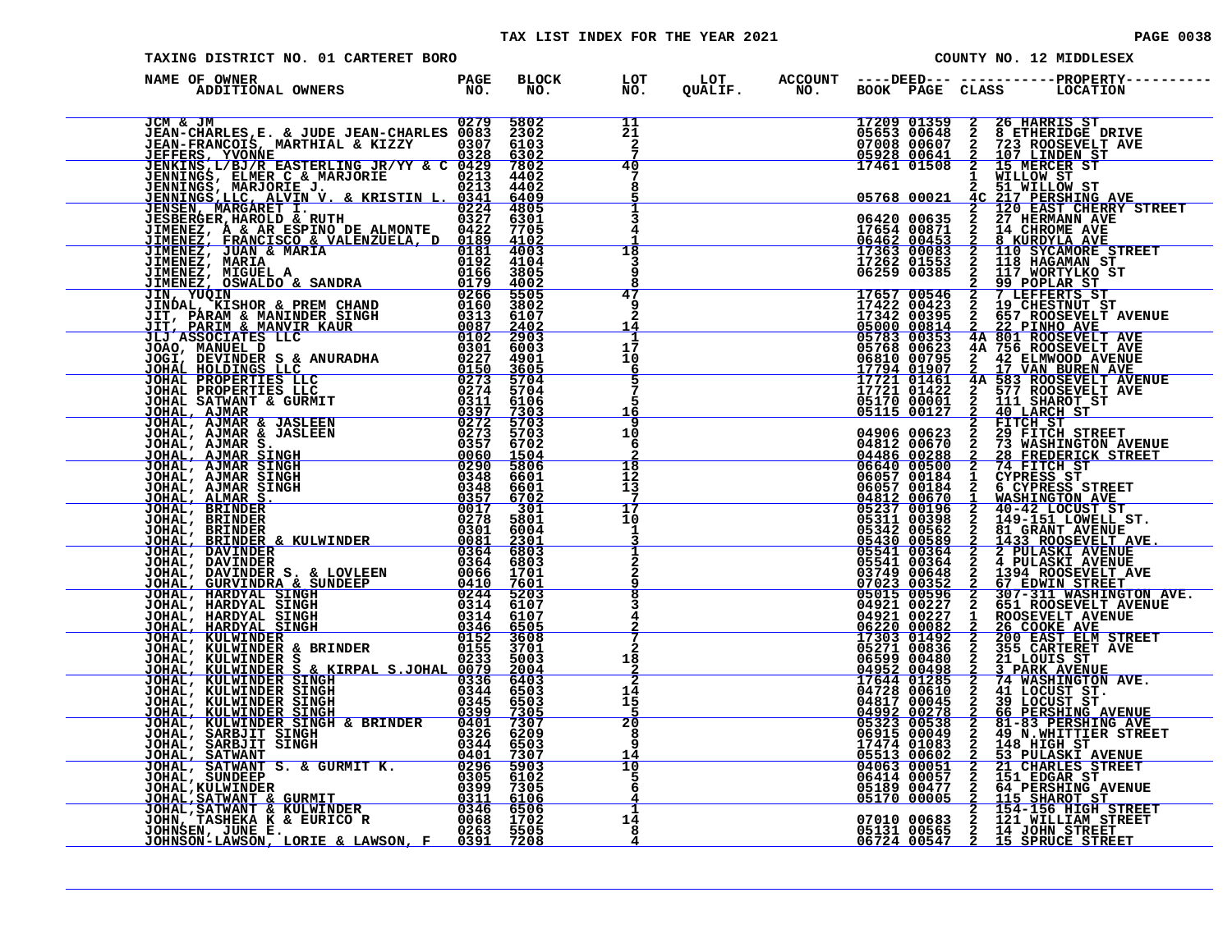# TAX LIST INDEX FOR THE YEAR 2021 CONTROL CONTROL CONTROL PAGE 0038

|  | <b>PAGE 0038</b> |  |  |  |
|--|------------------|--|--|--|
|--|------------------|--|--|--|

| TAXING DISTRICT NO. 01 CARTERET BORO                                                                                                                                                                                                                                                                                                                                                                                        |                      |                                        |  |  | COUNTY NO. 12 MIDDLESEX                                                                                                                                                                                                                                                                                         |
|-----------------------------------------------------------------------------------------------------------------------------------------------------------------------------------------------------------------------------------------------------------------------------------------------------------------------------------------------------------------------------------------------------------------------------|----------------------|----------------------------------------|--|--|-----------------------------------------------------------------------------------------------------------------------------------------------------------------------------------------------------------------------------------------------------------------------------------------------------------------|
| PAGE BLOCK LOT<br>ADDITIONAL OWNERS PAGE BLOCK LOT<br>NAME OF OWNER                                                                                                                                                                                                                                                                                                                                                         |                      |                                        |  |  |                                                                                                                                                                                                                                                                                                                 |
| <b>JCM &amp; JM</b> 0279<br>JEAN-CHARLES, E. & JUDE JEAN-CHARLES 0083<br>JEAN-FRANCOIS, MARTHIAL & KIZZY 00307<br>JEFFERS, YVONNE<br>$\begin{tabular}{ c c c c c c c c c c c c c c} \hline GEM & JMR & JMR & JERM-CHRELS & 0213 & 5022 & 5022 & 5022 & 5022 & 5022 & 5022 & 5022 & 5022 & 5022 & 5022 & 5022 & 5022 & 5022 & 5022 & 5022 & 5022 & 5022 & 5022 & 5022 & 5022 & 5022 & 5022 & 5022 & 5022 & 5022 & 5022 & 50$ | 5802<br>2302<br>6103 | 11<br>21<br>$\frac{2}{7}$              |  |  | 17209 01359 2 26 HARRIS ST<br>05653 00648 2 8 ETHERIDGE DRIVE<br>07008 00607 2 723 ROOSEVELT AVE<br>05928 00641 2 107 LINDEN ST<br>17461 01508 2 15 MERCER ST                                                                                                                                                   |
|                                                                                                                                                                                                                                                                                                                                                                                                                             |                      | 40<br>7<br>8                           |  |  |                                                                                                                                                                                                                                                                                                                 |
|                                                                                                                                                                                                                                                                                                                                                                                                                             |                      | Ť<br>3<br>18                           |  |  |                                                                                                                                                                                                                                                                                                                 |
|                                                                                                                                                                                                                                                                                                                                                                                                                             |                      | 3<br>47                                |  |  |                                                                                                                                                                                                                                                                                                                 |
|                                                                                                                                                                                                                                                                                                                                                                                                                             |                      | 9<br>2<br>14                           |  |  |                                                                                                                                                                                                                                                                                                                 |
|                                                                                                                                                                                                                                                                                                                                                                                                                             |                      | 17<br>10<br>6<br>$\frac{5}{7}$         |  |  |                                                                                                                                                                                                                                                                                                                 |
|                                                                                                                                                                                                                                                                                                                                                                                                                             |                      | 5<br>16<br>ۊ<br>10                     |  |  |                                                                                                                                                                                                                                                                                                                 |
|                                                                                                                                                                                                                                                                                                                                                                                                                             |                      | -6<br>$\frac{18}{12}$                  |  |  |                                                                                                                                                                                                                                                                                                                 |
|                                                                                                                                                                                                                                                                                                                                                                                                                             |                      | $1\frac{3}{7}$<br>17<br>10             |  |  |                                                                                                                                                                                                                                                                                                                 |
|                                                                                                                                                                                                                                                                                                                                                                                                                             |                      | $\frac{1}{3}$                          |  |  |                                                                                                                                                                                                                                                                                                                 |
|                                                                                                                                                                                                                                                                                                                                                                                                                             |                      | 9<br>$\overline{\mathbf{8}}$<br>3<br>4 |  |  |                                                                                                                                                                                                                                                                                                                 |
|                                                                                                                                                                                                                                                                                                                                                                                                                             |                      | $\overline{2}$<br>18                   |  |  | $\begin{tabular}{c c c} \hline & 0492 \\ \hline 06220 \\ 07303 \\ 07303 \\ 06599 \\ 04952 \\ 06599 \\ 04952 \\ 04952 \\ 04972 \\ 04928 \\ 0497 \\ 0497 \\ 0497 \\ 0497 \\ 0497 \\ 0497 \\ 05323 \\ 05323 \\ 0538 \\ 2841 \\ 2842 \\ 291 \\ 0605 \\ 2049 \\ 2148 \\ 2148 \\ 2148 \\ 2151 \\ 2167 \\ 2188 \\ 229$ |
|                                                                                                                                                                                                                                                                                                                                                                                                                             |                      | $\frac{2}{2}$<br>14<br>15<br>5         |  |  |                                                                                                                                                                                                                                                                                                                 |
|                                                                                                                                                                                                                                                                                                                                                                                                                             |                      | 20<br>ē<br>9                           |  |  |                                                                                                                                                                                                                                                                                                                 |
|                                                                                                                                                                                                                                                                                                                                                                                                                             |                      | $\frac{1}{5}$                          |  |  |                                                                                                                                                                                                                                                                                                                 |
|                                                                                                                                                                                                                                                                                                                                                                                                                             |                      | 1<br>14<br>8                           |  |  |                                                                                                                                                                                                                                                                                                                 |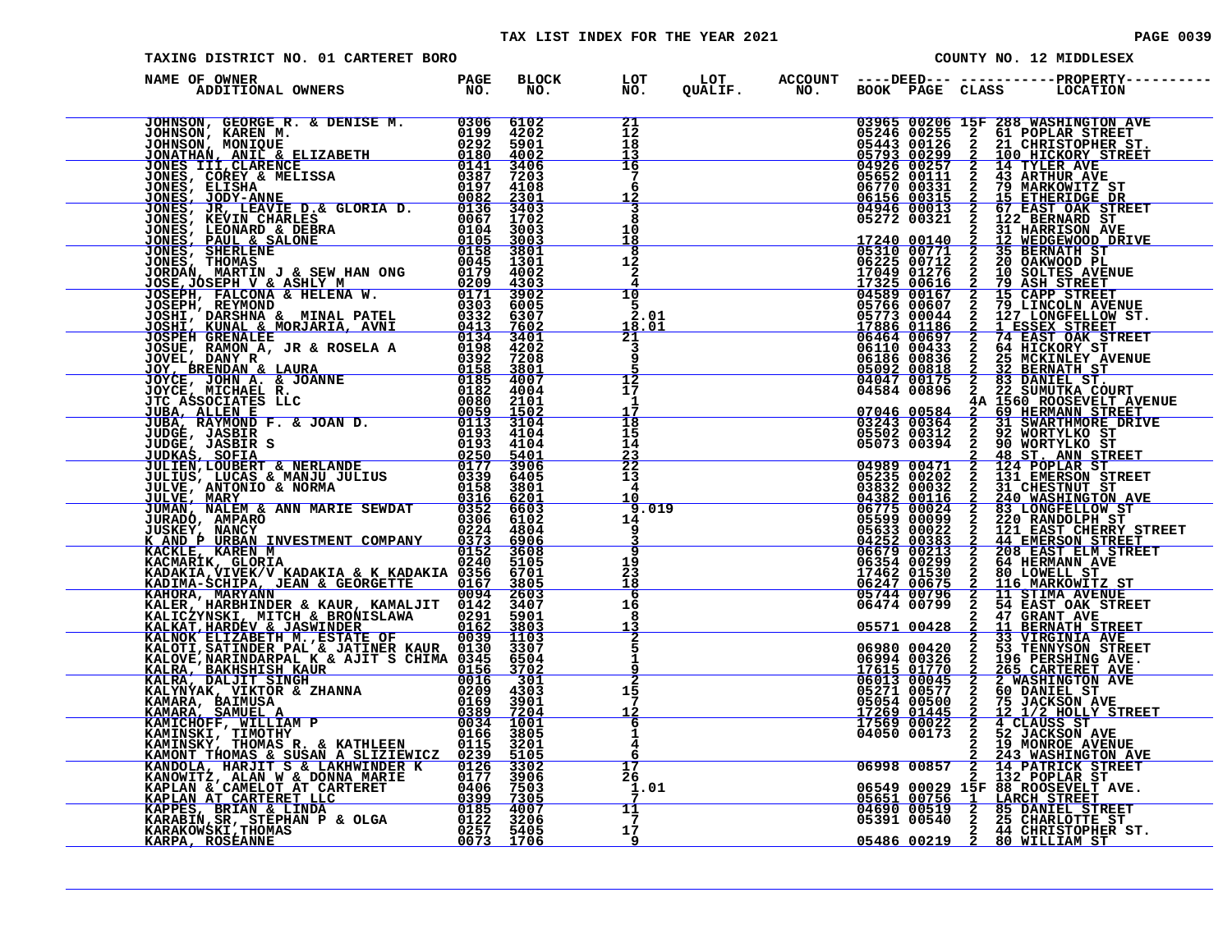#### TAX LIST INDEX FOR THE YEAR 2021 **PAGE 10039** PAGE 0039

| TAXING DISTRICT NO. 01 CARTERET BORO                                                                                                                                                                                                       |  |                                                                                                                                                                                                                                                                                                                                                                                                                         |                                                         |                                                                                                | COUNTY NO. 12 MIDDLESEX                                                                                                                                                                                                                                                                                                                                                                                                                       |
|--------------------------------------------------------------------------------------------------------------------------------------------------------------------------------------------------------------------------------------------|--|-------------------------------------------------------------------------------------------------------------------------------------------------------------------------------------------------------------------------------------------------------------------------------------------------------------------------------------------------------------------------------------------------------------------------|---------------------------------------------------------|------------------------------------------------------------------------------------------------|-----------------------------------------------------------------------------------------------------------------------------------------------------------------------------------------------------------------------------------------------------------------------------------------------------------------------------------------------------------------------------------------------------------------------------------------------|
| NAME OF OWNER                                                                                                                                                                                                                              |  |                                                                                                                                                                                                                                                                                                                                                                                                                         |                                                         |                                                                                                |                                                                                                                                                                                                                                                                                                                                                                                                                                               |
|                                                                                                                                                                                                                                            |  | $\begin{array}{c} 21 \\ 12 \\ 18 \end{array}$<br>13                                                                                                                                                                                                                                                                                                                                                                     |                                                         |                                                                                                | 03965 00206 15F 288 WASHINGTON AVE<br>05246 00255 2 61 POPLAR STREET<br>05443 00126 2 21 CHRISTOPHER ST.<br>05793 00229 2 100 HICKORY STREET<br>04926 00257 2 14 TYLER AVE<br>06770 00331 2 79 MARKOWITZ ST<br>06156 00331 2 15 ETHERIDGE                                                                                                                                                                                                     |
|                                                                                                                                                                                                                                            |  | 16<br>7<br>6<br>$\frac{12}{3}$                                                                                                                                                                                                                                                                                                                                                                                          |                                                         |                                                                                                |                                                                                                                                                                                                                                                                                                                                                                                                                                               |
|                                                                                                                                                                                                                                            |  | 8<br>10<br><u> 18</u>                                                                                                                                                                                                                                                                                                                                                                                                   |                                                         |                                                                                                |                                                                                                                                                                                                                                                                                                                                                                                                                                               |
|                                                                                                                                                                                                                                            |  | $\overline{\mathbf{8}}$<br>12<br>2<br>4                                                                                                                                                                                                                                                                                                                                                                                 |                                                         |                                                                                                |                                                                                                                                                                                                                                                                                                                                                                                                                                               |
|                                                                                                                                                                                                                                            |  | 10<br>-5<br>2.01<br>$\frac{18.01}{21}$                                                                                                                                                                                                                                                                                                                                                                                  |                                                         |                                                                                                |                                                                                                                                                                                                                                                                                                                                                                                                                                               |
|                                                                                                                                                                                                                                            |  | $\overline{3}$<br>q                                                                                                                                                                                                                                                                                                                                                                                                     |                                                         |                                                                                                |                                                                                                                                                                                                                                                                                                                                                                                                                                               |
|                                                                                                                                                                                                                                            |  | 12<br>17<br>1                                                                                                                                                                                                                                                                                                                                                                                                           | $\begin{array}{c c} 07046 & 00584 \ \hline \end{array}$ |                                                                                                | 4A 1560 ROOSEVELT AVENUE                                                                                                                                                                                                                                                                                                                                                                                                                      |
|                                                                                                                                                                                                                                            |  | $\overline{18}$<br>15<br>14                                                                                                                                                                                                                                                                                                                                                                                             |                                                         |                                                                                                | $\begin{array}{cccc} 07046 & 00584 & \textcolor{red}{\bar{2}}^{\text{n}} & \textcolor{red}{\bar{6}} \textcolor{red}{\bar{9}} & \textcolor{red}{\bar{H} \textbf{ERMANN} } \textcolor{red}{STR}\textcolor{red}{EFT} \\ \textcolor{red}{0}3243 & 00364 & 2 & 31 & \textcolor{red}{SWARTHMORE} \textcolor{red}{DRTVE} \\ 05502 & 00312 & 2 & 92 & \textcolor{red}{WORTYLKO} \textcolor{red}{ST} \\ 05073 & 00394 & 2 & 90 & \textcolor{red}{WORT$ |
|                                                                                                                                                                                                                                            |  | $\frac{23}{22}$<br>13                                                                                                                                                                                                                                                                                                                                                                                                   |                                                         |                                                                                                | 2 48 ST. ANN STREET<br>04989 00471 2 124 POPLAR ST<br>05235 00202 2 131 EMERSON STREET                                                                                                                                                                                                                                                                                                                                                        |
|                                                                                                                                                                                                                                            |  | $\begin{array}{r} 14 \ \hline 4 \ \hline 10 \ \hline 19.019 \ \hline 9 \ \hline 9 \ \hline 1 \ \hline 2 \ \hline 3 \ \hline 6 \ \hline 7 \ \hline 7 \ \hline 8 \ \hline 9 \ \hline 1 \ \hline 1 \ \hline 2 \ \hline 3 \ \hline 2 \ \hline 3 \ \hline 4 \ \hline 5 \ \hline 1 \ \hline 4 \ \hline 2 \ \hline 0 \ \hline 1 \ \hline 2 \ \hline 3 \ \hline 4 \ \hline 5 \ \hline 2 \ \hline 3 \ \hline 0 \ \hline 2$<br>14 |                                                         |                                                                                                | 05235 00202 2 131 EMERSON STREET<br>04832 00032 2 31 CHESTNUT ST<br>04382 00116 2 240 WASHINGTON AVE<br>06775 00024 2 83 LONGFELLOW ST<br>05599 00099 2 220 RANDOLPH ST<br>05599 00024 2 44 EMERSON STREET<br>04252 00383 2 44 EMERSON STR                                                                                                                                                                                                    |
|                                                                                                                                                                                                                                            |  | ৾৽<br>19<br>$\bar{2}\bar{3}$<br>18                                                                                                                                                                                                                                                                                                                                                                                      |                                                         |                                                                                                |                                                                                                                                                                                                                                                                                                                                                                                                                                               |
|                                                                                                                                                                                                                                            |  | 6<br>16<br>8<br><u> 13</u>                                                                                                                                                                                                                                                                                                                                                                                              |                                                         |                                                                                                |                                                                                                                                                                                                                                                                                                                                                                                                                                               |
|                                                                                                                                                                                                                                            |  | $\overline{2}$<br>9                                                                                                                                                                                                                                                                                                                                                                                                     |                                                         |                                                                                                |                                                                                                                                                                                                                                                                                                                                                                                                                                               |
|                                                                                                                                                                                                                                            |  | $\overline{2}$<br>15<br>$7\phantom{.0}$<br><u> 12</u>                                                                                                                                                                                                                                                                                                                                                                   |                                                         | $\begin{array}{r} 0.0146 \ 0.00000 \ 0.000000 \ 0.0000000 \ 0.0000000 \ 0.0000000 \end{array}$ | $\begin{array}{r@{\hspace{0.6cm}}c@{\hspace{0.6cm}}c@{\hspace{0.6cm}}c@{\hspace{0.6cm}}c@{\hspace{0.6cm}}c@{\hspace{0.6cm}}c@{\hspace{0.6cm}}c@{\hspace{0.6cm}}c@{\hspace{0.6cm}}c@{\hspace{0.6cm}}c@{\hspace{0.6cm}}c@{\hspace{0.6cm}}c@{\hspace{0.6cm}}c@{\hspace{0.6cm}}c@{\hspace{0.6cm}}c@{\hspace{0.6cm}}c@{\hspace{0.6cm}}c@{\hspace{0.6cm}}c@{\hspace{0.6cm}}c@{\hspace{$                                                             |
| KANC PURBAN INVESTMENT COMPANY 0153 6906<br>KACKLE, KAREN MWESTMENT COMPANY 0153 3606<br>KACKARIK, GLORIA (UERA)<br>KADAKIA, VIEK/V KADAKIA & KADAKIA 0167 51005<br>KADAKIA, MARYANN<br>KALICZYNSKI, MITCH & BRONISLAWA 0167 3606<br>KALIC |  | 6<br>1<br>4                                                                                                                                                                                                                                                                                                                                                                                                             |                                                         |                                                                                                | 2 4 CLAUSS ST<br>2 52 JACKSON AVE<br>2 19 MONROE AVENUE                                                                                                                                                                                                                                                                                                                                                                                       |
|                                                                                                                                                                                                                                            |  | 17<br>26<br>1.01                                                                                                                                                                                                                                                                                                                                                                                                        |                                                         |                                                                                                | 2 243 WASHINGTON AVE<br>06998 00857 2 14 PATRICK STREET<br>06549 00029 15F 88 ROOSEVELT AVE.<br>05651 00756 1 LARCH STREET<br>04690 00519 2 85 DANIEL STREET<br>05391 00540 2 25 CHARLET COBERT                                                                                                                                                                                                                                               |
|                                                                                                                                                                                                                                            |  | 11<br>-7<br>17<br>9                                                                                                                                                                                                                                                                                                                                                                                                     |                                                         |                                                                                                | 05486 00219 2 80 WILLIAM ST.                                                                                                                                                                                                                                                                                                                                                                                                                  |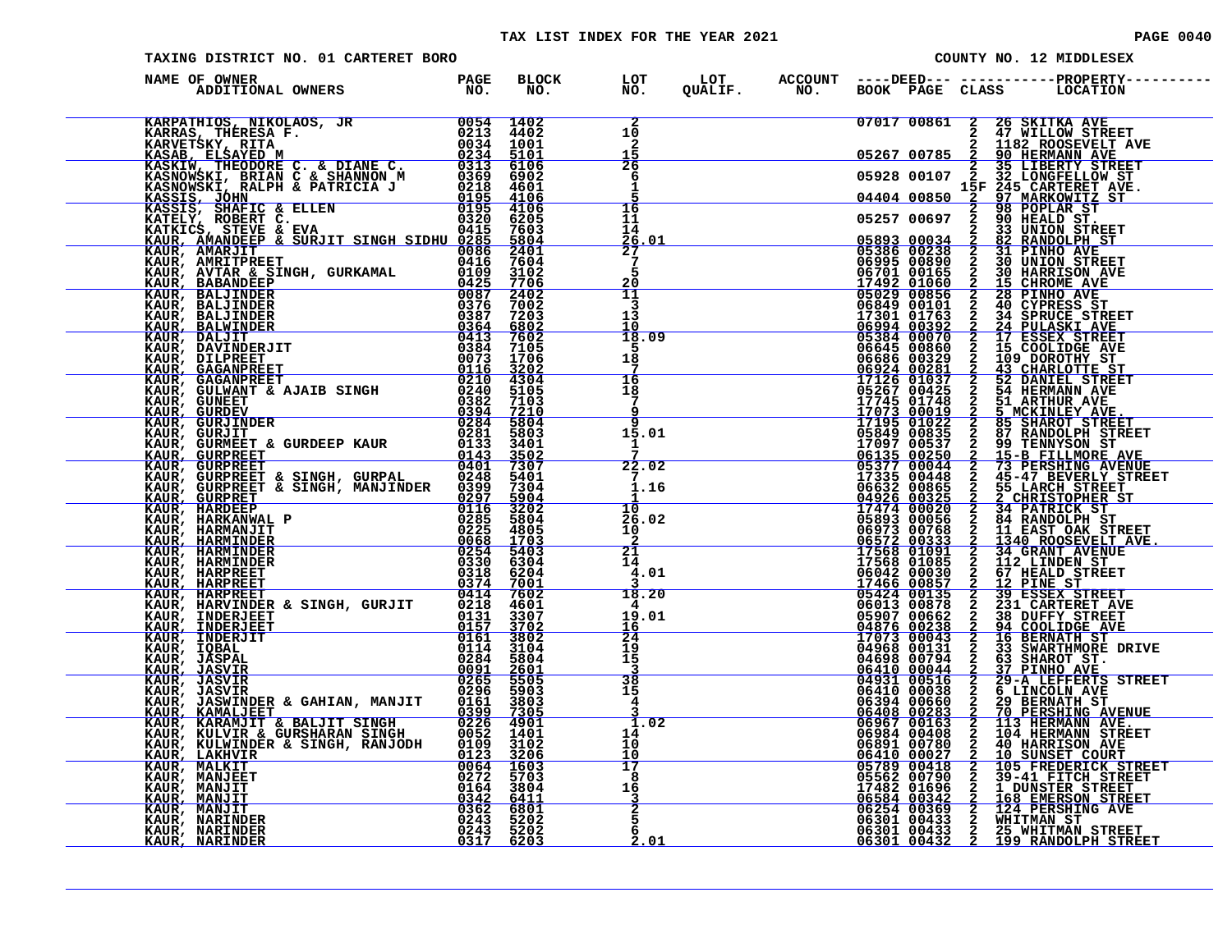#### TAX LIST INDEX FOR THE YEAR 2021 **PAGE 10040** PAGE 0040

| TAXING DISTRICT NO. 01 CARTERET BORO                                                                                                                                                                                                           |  |                                               |  |  | COUNTY NO. 12 MIDDLESEX                                                                                  |
|------------------------------------------------------------------------------------------------------------------------------------------------------------------------------------------------------------------------------------------------|--|-----------------------------------------------|--|--|----------------------------------------------------------------------------------------------------------|
| NAME OF OWNER                                                                                                                                                                                                                                  |  |                                               |  |  | BLOCK LOT LOT ACCOUNT ----DEED--- -----------PROPERTY---<br>NO. NO. QUALIF. NO. BOOK PAGE CLASS LOCATION |
| NAME COMMERCY IN A MANUFACT CONDUCT AND CONSULTED AND ENGINEERING IN A 1990 SERIES IN A 1990 SERIES IN A 1990 SERIES IN A 1990 SERIES IN A 1990 SERIES IN A 1990 SERIES IN A 1990 SERIES IN A 1990 SERIES IN A 1990 SERIES IN                  |  | $\overline{\mathbf{2}}$<br>10<br>$\mathbf{2}$ |  |  |                                                                                                          |
|                                                                                                                                                                                                                                                |  |                                               |  |  |                                                                                                          |
|                                                                                                                                                                                                                                                |  | $\overline{26}$<br>6                          |  |  |                                                                                                          |
|                                                                                                                                                                                                                                                |  | 1                                             |  |  |                                                                                                          |
|                                                                                                                                                                                                                                                |  | 16<br>11                                      |  |  |                                                                                                          |
|                                                                                                                                                                                                                                                |  | 14                                            |  |  |                                                                                                          |
|                                                                                                                                                                                                                                                |  | $\frac{\bar{26}}{27}$ , 01<br>27              |  |  |                                                                                                          |
|                                                                                                                                                                                                                                                |  | Š.<br>20                                      |  |  |                                                                                                          |
|                                                                                                                                                                                                                                                |  | 11<br>3                                       |  |  |                                                                                                          |
|                                                                                                                                                                                                                                                |  | 13<br>10                                      |  |  |                                                                                                          |
|                                                                                                                                                                                                                                                |  | 18.09                                         |  |  |                                                                                                          |
|                                                                                                                                                                                                                                                |  | -5<br>$1\bar{8}$                              |  |  |                                                                                                          |
|                                                                                                                                                                                                                                                |  | 7<br>$\frac{16}{18}$                          |  |  |                                                                                                          |
|                                                                                                                                                                                                                                                |  | $\frac{5}{7}$                                 |  |  |                                                                                                          |
|                                                                                                                                                                                                                                                |  | 9<br>ۊ                                        |  |  |                                                                                                          |
|                                                                                                                                                                                                                                                |  | 15.01                                         |  |  |                                                                                                          |
|                                                                                                                                                                                                                                                |  | 22.02                                         |  |  |                                                                                                          |
|                                                                                                                                                                                                                                                |  | $\overline{7}$<br>1.16                        |  |  |                                                                                                          |
|                                                                                                                                                                                                                                                |  | 10                                            |  |  |                                                                                                          |
|                                                                                                                                                                                                                                                |  | 26.02<br>10                                   |  |  |                                                                                                          |
|                                                                                                                                                                                                                                                |  |                                               |  |  |                                                                                                          |
|                                                                                                                                                                                                                                                |  | $\overline{21}$<br>14                         |  |  |                                                                                                          |
|                                                                                                                                                                                                                                                |  | $\frac{1}{4}$ .01                             |  |  |                                                                                                          |
|                                                                                                                                                                                                                                                |  | 18.20<br>4                                    |  |  |                                                                                                          |
|                                                                                                                                                                                                                                                |  | 19.01<br>16                                   |  |  |                                                                                                          |
|                                                                                                                                                                                                                                                |  | 24<br>19                                      |  |  |                                                                                                          |
|                                                                                                                                                                                                                                                |  | 15<br>3                                       |  |  |                                                                                                          |
|                                                                                                                                                                                                                                                |  | $\overline{38}$<br>15                         |  |  |                                                                                                          |
|                                                                                                                                                                                                                                                |  | 4                                             |  |  |                                                                                                          |
|                                                                                                                                                                                                                                                |  | 1.02<br>14                                    |  |  |                                                                                                          |
|                                                                                                                                                                                                                                                |  | 10<br>10                                      |  |  |                                                                                                          |
| XAUR, JASVIR<br>XAUR, JASVIRDER & GAHIAN, MANJIT<br>XAUR, KAMALJEET<br>XAUR, KARAMJIT & BALJIT SINGH<br>XAUR, KARAMJIT & BALJIT SINGH<br>XAUR, KULWIR & GURSHARAN SINGH<br>XAUR, KULWIR & SINGH, RANJODH<br>XAUR, LAKHVIR & SINGH, RANJODH<br> |  | <u>17</u><br>8                                |  |  |                                                                                                          |
|                                                                                                                                                                                                                                                |  |                                               |  |  |                                                                                                          |
|                                                                                                                                                                                                                                                |  | $\frac{16}{3}$                                |  |  |                                                                                                          |
|                                                                                                                                                                                                                                                |  | $\overline{6}$                                |  |  |                                                                                                          |
|                                                                                                                                                                                                                                                |  | 2.01                                          |  |  |                                                                                                          |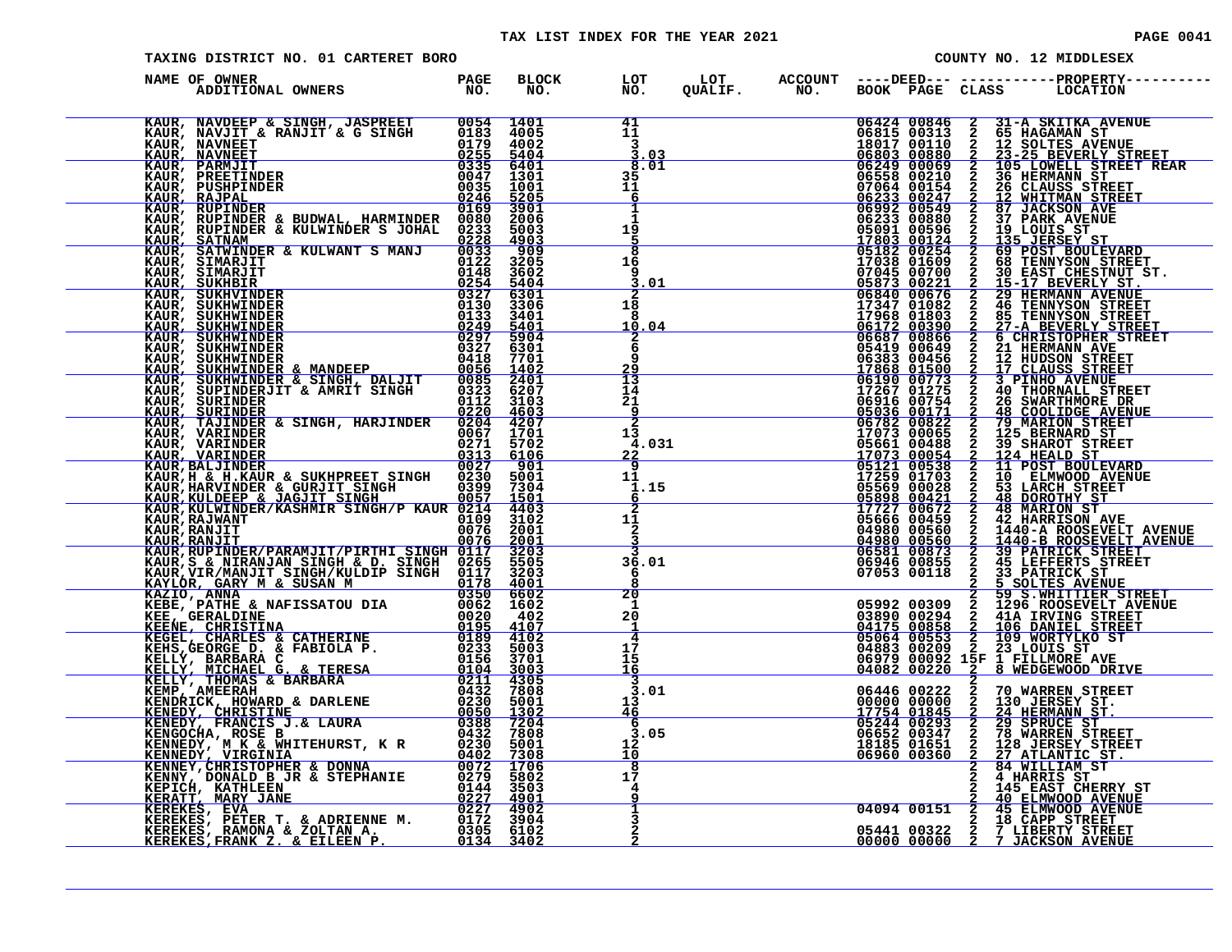|                                                                                                                                                                                                                                                                                              |                           | TAX LIST INDEX FOR THE YEAR 2021 |                           |                |                       |                                           |                | <b>PAGE 0041</b>                                               |
|----------------------------------------------------------------------------------------------------------------------------------------------------------------------------------------------------------------------------------------------------------------------------------------------|---------------------------|----------------------------------|---------------------------|----------------|-----------------------|-------------------------------------------|----------------|----------------------------------------------------------------|
| TAXING DISTRICT NO. 01 CARTERET BORO                                                                                                                                                                                                                                                         |                           |                                  |                           |                |                       |                                           |                | COUNTY NO. 12 MIDDLESEX                                        |
| NAME OF OWNER<br>ADDITIONAL OWNERS                                                                                                                                                                                                                                                           | PAGE<br>$N\overline{O}$ . | <b>BLOCK</b><br>NO.              | LOT<br>NO.                | LOT<br>QUALIF. | <b>ACCOUNT</b><br>NO. |                                           |                | ----DEED--- -----------PROPERTY---<br>BOOK PAGE CLASS LOCATION |
|                                                                                                                                                                                                                                                                                              |                           | 0054 1401                        | 41                        |                |                       | 06424 00846                               | 2              | 31-A SKITKA AVENUE                                             |
| KAUR, NAVDEEP & SINGH, JASPREET<br>KAUR, NAVJIT & RANJIT & G SINGH                                                                                                                                                                                                                           |                           | 0183 4005                        |                           |                |                       | 06815 00313                               |                | 65 HAGAMAN ST                                                  |
| KAUR, NAVNEET                                                                                                                                                                                                                                                                                | 0179                      | 4002                             | $\frac{11}{3}$            |                |                       | 18017 00110                               | $\frac{2}{2}$  | 12 SOLTES AVENUE                                               |
| KAUR, NAVNEET                                                                                                                                                                                                                                                                                | 0255                      | 5404                             | 3.03                      |                |                       | 06803 00880                               | $\overline{a}$ | 23-25 BEVERLY STREET                                           |
| <b>KAUR, NAVHEL<br/>KAUR, PARMJIT<br/>KAUR, PREETINDER<br/>KAUR, RAJPAL<br/>KAUR, RUPINDER</b>                                                                                                                                                                                               | 0335                      | 6401                             | 8.01                      |                |                       | 06249 00069                               | 2              | 105 LOWELL STREET REAR                                         |
|                                                                                                                                                                                                                                                                                              | 0047                      | 1301                             | 35                        |                |                       |                                           | $\frac{2}{2}$  | 36 HERMANN ST                                                  |
|                                                                                                                                                                                                                                                                                              | 0035                      | 1001                             | $\frac{11}{6}$            |                |                       |                                           |                | 26 CLAUSS STREET                                               |
|                                                                                                                                                                                                                                                                                              | 0246                      | 5205                             |                           |                |                       | 07064 00154<br>06233 00247<br>06992 00549 |                | 12 WHITMAN STREET                                              |
|                                                                                                                                                                                                                                                                                              | 0169                      | 3901                             |                           |                |                       |                                           | $\overline{2}$ | <b>87 JACKSON AVE</b>                                          |
| KAUR, RUPINDER & BUDWAL, HARMINDER 0080<br>KAUR, RUPINDER & KULWINDER S JOHAL 0233                                                                                                                                                                                                           |                           | 2006                             |                           |                |                       | 06233 00880                               | 2              | <b>37 PARK AVENUE</b>                                          |
|                                                                                                                                                                                                                                                                                              |                           | 5003                             | $\frac{1\overline{9}}{5}$ |                |                       | 05091 00596                               | 2              | 19 LOUIS ST                                                    |
| KAUR, SATNAM                                                                                                                                                                                                                                                                                 | 0228                      | 4903                             |                           |                |                       | $\frac{17803}{05182} \frac{00124}{00254}$ | $\overline{a}$ | 135 JERSEY ST                                                  |
| KAUR, SATWINDER & KULWANT S MANJ                                                                                                                                                                                                                                                             | 0033<br>0122              | $-909$<br>3205                   | $\frac{8}{16}$            |                |                       |                                           | $\frac{2}{2}$  | 69 POST BOULEVARD                                              |
|                                                                                                                                                                                                                                                                                              | 0148                      | 3602                             | 9                         |                |                       | 17038 01609                               |                | <b>68 TENNYSON STREET</b>                                      |
|                                                                                                                                                                                                                                                                                              | 0254                      | 5404                             | 3.01                      |                |                       |                                           | $\frac{2}{2}$  | 30 EAST CHESTNUT ST.<br><u>15-17 BEVERLY ST.</u>               |
|                                                                                                                                                                                                                                                                                              | 0327                      | 6301                             | 2                         |                |                       | 07045 00700<br>05873 00221<br>06840 00676 |                | <b>29 HERMANN AVENUE</b>                                       |
|                                                                                                                                                                                                                                                                                              | 0130                      | 3306                             |                           |                |                       |                                           | $\frac{2}{2}$  |                                                                |
|                                                                                                                                                                                                                                                                                              | 0133                      | 3401                             | $\frac{18}{8}$            |                |                       | 17347 01082<br>17968 01803                |                | <b>46 TENNYSON STREET<br/>85 TENNYSON STREET</b>               |
|                                                                                                                                                                                                                                                                                              | 0249                      | 5401                             | 10.04                     |                |                       | 06172 00390                               | $\mathbf{2}$   | 27-A BEVERLY STREET                                            |
|                                                                                                                                                                                                                                                                                              | 0297                      | 5904                             |                           |                |                       | 06687 00866                               |                | 2 6 CHRISTOPHER STREET                                         |
|                                                                                                                                                                                                                                                                                              | 0327                      | 6301                             | <b>DO</b><br>O            |                |                       | 05419 00649                               | 2              | 21 HERMANN AVE                                                 |
|                                                                                                                                                                                                                                                                                              | 0418                      | 7701                             |                           |                |                       | 06383 00456<br>17868 01500                | $\frac{2}{2}$  | 12 HUDSON STREET<br>17 CLAUSS STREET                           |
| <b>KAUR, SIMARJIT<br/>KAUR, SIMARJIT<br/>KAUR, SUKHBIR<br/>KAUR, SUKHBIR<br/>KAUR, SUKHWINDER<br/>KAUR, SUKHWINDER<br/>KAUR, SUKHWINDER<br/>KAUR, SUKHWINDER<br/>KAUR, SUKHWINDER<br/>KAUR, SUKHWINDER<br/>KAUR, SUKHWINDER &amp; MANDEEP<br/>KAUR, SUKHWINDER &amp; MANDEEP<br/>KAUR, S</b> | 0056                      | 1402                             | 29                        |                |                       |                                           |                |                                                                |
| KAUR, SUKHWINDER & SINGH, DALJIT<br>KAUR, SUPINDERJIT & AMRIT SINGH                                                                                                                                                                                                                          | 0085                      | 2401                             | $\frac{13}{14}$           |                |                       | 06190 00773<br>17267 01275                | $\frac{2}{2}$  | <b>3 PINHO AVENUE</b>                                          |
|                                                                                                                                                                                                                                                                                              | 0323                      | 6207                             |                           |                |                       |                                           |                | <b>40 THORNALL STREET</b>                                      |
| KAUR, SURINDER                                                                                                                                                                                                                                                                               | 0112                      | 3103                             | $\frac{1}{2}$             |                |                       | 06916 00754                               | $\frac{2}{2}$  | 26 SWARTHMORE DR                                               |
| KAUR, SURINDER                                                                                                                                                                                                                                                                               | 0220                      | 4603                             | $\overline{2}$            |                |                       | 05036 00171                               |                | 48 COOLIDGE AVENUE                                             |
| KAUR, TAJINDER & SINGH, HARJINDER 0204                                                                                                                                                                                                                                                       |                           | 4207<br>1701                     | 13                        |                |                       | 06782 00822                               | $\overline{2}$ | <b>79 MARION STREET</b>                                        |
| KAUR, VARINDER<br>KAUR, VARINDER                                                                                                                                                                                                                                                             | 0067<br>0271              | 5702                             | 4.031                     |                |                       | 17073 00065<br>05661 00488                | $\frac{2}{2}$  | 125 BERNARD ST<br>39 SHAROT STREET                             |
| KAUR, VARINDER                                                                                                                                                                                                                                                                               | 0313                      | 6106                             | <u>22</u>                 |                |                       | 17073 00054                               |                | 2 124 HEALD ST                                                 |
| <b>KAUR, BALJINDER</b>                                                                                                                                                                                                                                                                       | 0027                      | 901                              | $\overline{9}$            |                |                       |                                           |                | 11 POST BOULEVARD                                              |
| KAUR, H & H. KAUR & SUKHPREET SINGH                                                                                                                                                                                                                                                          | 0230                      | 5001                             | 11                        |                |                       | 05121 00538<br>17259 01703                |                | 10 ELMWOOD AVENUE                                              |
| KAUR, HARVINDER & GURJIT SINGH                                                                                                                                                                                                                                                               | 0399                      | 7304                             | 1.15                      |                |                       | 05569 00028                               |                | 53 LARCH STREET                                                |
| KAUR, KULDEEP & JAGJIT SINGH                                                                                                                                                                                                                                                                 | 0057                      | 1501                             | 6                         |                |                       | 05898 00421                               | $\frac{2}{2}$  | <b>48 DOROTHY ST</b>                                           |
| KAUR, KULWINDER/KASHMIR SINGH/P KAUR 0214                                                                                                                                                                                                                                                    |                           | 4403                             | $\overline{\mathbf{2}}$   |                |                       | 17727 00672                               | $\frac{2}{2}$  | 48 MARION ST                                                   |
| KAUR, RAJWANT                                                                                                                                                                                                                                                                                | 0109                      | 3102                             | 1ī                        |                |                       | 05666 00459                               |                | 42 HARRISON AVE                                                |
| KAUR, RANJIT                                                                                                                                                                                                                                                                                 | 0076                      | 2001                             | $\overline{2}$            |                |                       | 04980 00560                               | $\mathbf{2}$   | 1440-A ROOSEVELT AVENUE                                        |
| KAUR, RANJIT                                                                                                                                                                                                                                                                                 | 0076                      | 2001                             |                           |                |                       | 04980 00560                               | $\mathbf{2}$   | 1440-B ROOSEVELT AVENUE                                        |
| KAUR, RUPINDER/PARAMJIT/PIRTHI SINGH 0117                                                                                                                                                                                                                                                    |                           | 3203                             | $\overline{3}$            |                |                       | 06581 00873                               | 2              | <b>39 PATRICK STREET</b>                                       |
| KAUR, S & NIRANJAN SINGH & D. SINGH 0265<br>KAUR, VIR/MANJIT SINGH/KULDIP SINGH 0117                                                                                                                                                                                                         |                           | 5505                             | 36.01                     |                |                       | 06946 00855                               | $\frac{2}{2}$  | 45 LEFFERTS STREET<br>33 PATRICK ST                            |
| KAVLÓR GARY M & SHSAN M                                                                                                                                                                                                                                                                      | 0178                      | 3203<br>4001                     | 6<br>Ŕ                    |                |                       | 07053 00118                               | $\sim$         | 5 SOLTES AVENUE                                                |
|                                                                                                                                                                                                                                                                                              |                           |                                  |                           |                |                       |                                           |                |                                                                |

| KAUR, NAVDEEP & SINGH, JASPREET 0054<br>KAUR, NAVJIT & RANJIT & G SINGH 0183<br>KAUR, NAVNEET 0255<br>KAUR, NAVNEET 0255<br>KAUR, PARMJIT 0335<br>KAUR, PREETINDER 0045<br>KAUR, RAJPAL 0246<br>KAUR, RAJPAL 0246<br>KAUR, RAJPAL 0246<br>KAUR,    |                     | 1401                | 41                        |                              | $\begin{array}{@{}ll@{}} 06424 & 00846 & 2 \\ 06815 & 00313 & 2 \\ 18017 & 00110 & 2 \\ 06803 & 00880 & 2 \\ 06249 & 00069 & 2 \\ 07064 & 00154 & 2 \\ 06233 & 00247 & 2 \\ \end{array}$ | 31-A SKITKA AVENUE<br>65 HAGAMAN ST<br>12 SOLTES AVENUE<br>23-25 BEVERLY STREET<br>105 LOWELL STREET REAR<br>36 HERMANN ST                                                                                                                                                                                                                                                                                                                              |
|----------------------------------------------------------------------------------------------------------------------------------------------------------------------------------------------------------------------------------------------------|---------------------|---------------------|---------------------------|------------------------------|------------------------------------------------------------------------------------------------------------------------------------------------------------------------------------------|---------------------------------------------------------------------------------------------------------------------------------------------------------------------------------------------------------------------------------------------------------------------------------------------------------------------------------------------------------------------------------------------------------------------------------------------------------|
|                                                                                                                                                                                                                                                    |                     | 4005<br>4002        | 11                        | 3                            |                                                                                                                                                                                          |                                                                                                                                                                                                                                                                                                                                                                                                                                                         |
|                                                                                                                                                                                                                                                    |                     | 5404                |                           | .03                          |                                                                                                                                                                                          |                                                                                                                                                                                                                                                                                                                                                                                                                                                         |
|                                                                                                                                                                                                                                                    |                     |                     |                           | 8.01                         |                                                                                                                                                                                          |                                                                                                                                                                                                                                                                                                                                                                                                                                                         |
|                                                                                                                                                                                                                                                    |                     | $6401$<br>$1301$    | 35                        |                              |                                                                                                                                                                                          |                                                                                                                                                                                                                                                                                                                                                                                                                                                         |
|                                                                                                                                                                                                                                                    |                     | 1001                | 11                        |                              | 07064 00154<br>06233 00247<br>06992 00549                                                                                                                                                | <b>26 CLAUSS STREET<br/>12 WHITMAN STREET<br/>87 JACKSON AVE</b>                                                                                                                                                                                                                                                                                                                                                                                        |
|                                                                                                                                                                                                                                                    |                     | $\frac{5205}{3901}$ | <u>6</u>                  |                              |                                                                                                                                                                                          |                                                                                                                                                                                                                                                                                                                                                                                                                                                         |
|                                                                                                                                                                                                                                                    |                     |                     |                           | $\mathbf{I}$<br>$\mathbf{1}$ |                                                                                                                                                                                          | $\overline{\mathbf{2}}$                                                                                                                                                                                                                                                                                                                                                                                                                                 |
| KAUR, RUPINDER & BUDWAL, HARMINDER 0080<br>KAUR, RUPINDER & KULWINDER S JOHAL 0233                                                                                                                                                                 |                     | 2006<br>5003        |                           |                              |                                                                                                                                                                                          |                                                                                                                                                                                                                                                                                                                                                                                                                                                         |
| KAUR, SATNAM                                                                                                                                                                                                                                       |                     |                     | $\frac{1\overline{9}}{5}$ |                              |                                                                                                                                                                                          |                                                                                                                                                                                                                                                                                                                                                                                                                                                         |
| KAUR, SATWINDER & KULWANT S MANJ                                                                                                                                                                                                                   | $\frac{0228}{0033}$ | $\frac{4903}{909}$  | $\overline{\mathbf{8}}$   |                              |                                                                                                                                                                                          | <b>37 PARK AVENUE<br/>19 LOUIS ST<br/>135 JERSEY ST<br/>69 POST BOULEVARD<br/>68 TENNYSON STREET</b>                                                                                                                                                                                                                                                                                                                                                    |
|                                                                                                                                                                                                                                                    |                     | 3205                | $1\bar{6}$                |                              |                                                                                                                                                                                          |                                                                                                                                                                                                                                                                                                                                                                                                                                                         |
|                                                                                                                                                                                                                                                    |                     | 3602                | 9                         |                              |                                                                                                                                                                                          |                                                                                                                                                                                                                                                                                                                                                                                                                                                         |
|                                                                                                                                                                                                                                                    |                     | $\frac{5404}{6301}$ |                           | .01                          |                                                                                                                                                                                          | <b>88 TENNISON STREET<br/> 15-17 BEVERLY ST.<br/> 29 HERMANN AVENUE<br/> 46 TENNISON STREET<br/> 27-A BEVERLY STREET<br/> 27-A BEVERLY STREET<br/> 67 CHRISTOPHER, STREET<br/> 67 CHRISTOPHER, STREET<br/> 67 CHRISTOPHER, STREET</b>                                                                                                                                                                                                                   |
|                                                                                                                                                                                                                                                    |                     | 3306                | $\frac{2}{18}$            |                              |                                                                                                                                                                                          |                                                                                                                                                                                                                                                                                                                                                                                                                                                         |
|                                                                                                                                                                                                                                                    |                     | 3401                | 8                         |                              |                                                                                                                                                                                          |                                                                                                                                                                                                                                                                                                                                                                                                                                                         |
|                                                                                                                                                                                                                                                    |                     | $\frac{5401}{5904}$ |                           | 10.04                        |                                                                                                                                                                                          |                                                                                                                                                                                                                                                                                                                                                                                                                                                         |
|                                                                                                                                                                                                                                                    |                     |                     |                           | $\frac{2}{6}$                |                                                                                                                                                                                          |                                                                                                                                                                                                                                                                                                                                                                                                                                                         |
|                                                                                                                                                                                                                                                    |                     | 6301<br>7701        |                           |                              |                                                                                                                                                                                          |                                                                                                                                                                                                                                                                                                                                                                                                                                                         |
|                                                                                                                                                                                                                                                    |                     | 1402                | 9<br><u>29</u>            |                              |                                                                                                                                                                                          |                                                                                                                                                                                                                                                                                                                                                                                                                                                         |
|                                                                                                                                                                                                                                                    |                     |                     |                           |                              |                                                                                                                                                                                          | <b>21 HERMANN AVE 31 ABI (1918)</b><br>12 HUDSON STREET<br>3 PINHO AVENUE<br>40 THORNALL STREET<br>40 THORNALL STREET                                                                                                                                                                                                                                                                                                                                   |
|                                                                                                                                                                                                                                                    |                     | $\frac{2401}{6207}$ | $\frac{13}{14}$           |                              |                                                                                                                                                                                          |                                                                                                                                                                                                                                                                                                                                                                                                                                                         |
|                                                                                                                                                                                                                                                    |                     | 3103                | 21                        |                              |                                                                                                                                                                                          |                                                                                                                                                                                                                                                                                                                                                                                                                                                         |
|                                                                                                                                                                                                                                                    |                     | $\frac{4603}{4207}$ | $\frac{9}{2}$             |                              |                                                                                                                                                                                          | 26 SWARTHMORE DR<br>48 COOLIDGE AVENUE<br>79 MARION STREET                                                                                                                                                                                                                                                                                                                                                                                              |
|                                                                                                                                                                                                                                                    |                     |                     |                           |                              |                                                                                                                                                                                          |                                                                                                                                                                                                                                                                                                                                                                                                                                                         |
|                                                                                                                                                                                                                                                    |                     | 1701<br>5702        | 13                        | 4.031                        |                                                                                                                                                                                          | 125 BERNARD ST<br>39 SHAROT STREET                                                                                                                                                                                                                                                                                                                                                                                                                      |
|                                                                                                                                                                                                                                                    |                     | 6106                | <u>22</u>                 |                              |                                                                                                                                                                                          | 124 HEALD ST                                                                                                                                                                                                                                                                                                                                                                                                                                            |
|                                                                                                                                                                                                                                                    |                     | 901                 | 9                         |                              |                                                                                                                                                                                          |                                                                                                                                                                                                                                                                                                                                                                                                                                                         |
|                                                                                                                                                                                                                                                    |                     | 5001                | 11                        |                              |                                                                                                                                                                                          | 11 POST BOULEVARD<br>10 ELMWOOD AVENUE                                                                                                                                                                                                                                                                                                                                                                                                                  |
|                                                                                                                                                                                                                                                    |                     | 7304                |                           | 1.15                         |                                                                                                                                                                                          |                                                                                                                                                                                                                                                                                                                                                                                                                                                         |
| KAUR, SATNAM<br>KAUR, SATWINDER & KULWANT S MANJ 0033<br>KAUR, SATWINDER & KULWANT S 0122<br>KAUR, SIMARJIT 00122<br>KAUR, SUKHBIR<br>KAUR, SUKHWINDER 0133<br>KAUR, SUKHWINDER 0133<br>KAUR, SUKHWINDER 02297<br>KAUR, SUKHWINDER 02297<br>KAUR   |                     | 1501                |                           | 6                            | $1707300054 \ 1707300054 \ 0512100538 \ 0512100538 \ 1725901703 \ 0556900028 \ 0589800421 \ 17272700672 \ 05727 \ 00672$                                                                 | <b>MANDANNANNAN</b><br>53 LARCH STREET<br>48 DOROTHY ST                                                                                                                                                                                                                                                                                                                                                                                                 |
|                                                                                                                                                                                                                                                    |                     | 4403<br>3102        |                           | $\overline{2}$               |                                                                                                                                                                                          |                                                                                                                                                                                                                                                                                                                                                                                                                                                         |
|                                                                                                                                                                                                                                                    | 0076                | 2001                | $\frac{1\bar{1}}{2}$      |                              | 05666 00459<br>04980 00560                                                                                                                                                               |                                                                                                                                                                                                                                                                                                                                                                                                                                                         |
| <b>KAUR, RANJIT<br/>KAUR, RANJIT</b>                                                                                                                                                                                                               | 0076                |                     |                           |                              |                                                                                                                                                                                          |                                                                                                                                                                                                                                                                                                                                                                                                                                                         |
|                                                                                                                                                                                                                                                    |                     | $\frac{2001}{3203}$ |                           |                              | 04980 00560<br>06581 00873                                                                                                                                                               | <b>48 DOKUTHI BI</b><br>42 HARRISON AVE<br>1440-A ROOSEVELT AVENUE<br>1440-A ROOSEVELT AVENUE<br>1440-B ROOSEVELT AVENUE<br>39 PATRICK STREET<br>45 LEFFERTS STREET<br>33 PATRICK STREET<br>5 SOLTRS AVENUE                                                                                                                                                                                                                                             |
|                                                                                                                                                                                                                                                    |                     | 5505<br>3203        |                           | 36.01                        | 06946 00855<br>07053 00118                                                                                                                                                               |                                                                                                                                                                                                                                                                                                                                                                                                                                                         |
|                                                                                                                                                                                                                                                    |                     |                     | 6<br>8                    |                              |                                                                                                                                                                                          |                                                                                                                                                                                                                                                                                                                                                                                                                                                         |
|                                                                                                                                                                                                                                                    |                     | 4001<br>6602        |                           |                              |                                                                                                                                                                                          | 5 SOLTES AVENUE                                                                                                                                                                                                                                                                                                                                                                                                                                         |
|                                                                                                                                                                                                                                                    |                     | 1602                | $\frac{20}{1}$            |                              |                                                                                                                                                                                          | 59 S.WHITTIER STREET<br>1296 ROOSEVELT AVENUE                                                                                                                                                                                                                                                                                                                                                                                                           |
|                                                                                                                                                                                                                                                    |                     | 402                 | 20                        |                              |                                                                                                                                                                                          |                                                                                                                                                                                                                                                                                                                                                                                                                                                         |
|                                                                                                                                                                                                                                                    |                     | 4107                |                           |                              |                                                                                                                                                                                          |                                                                                                                                                                                                                                                                                                                                                                                                                                                         |
|                                                                                                                                                                                                                                                    |                     | 4102                |                           | $\overline{4}$               |                                                                                                                                                                                          |                                                                                                                                                                                                                                                                                                                                                                                                                                                         |
|                                                                                                                                                                                                                                                    |                     | 5003                | 17                        |                              |                                                                                                                                                                                          |                                                                                                                                                                                                                                                                                                                                                                                                                                                         |
|                                                                                                                                                                                                                                                    |                     | 3701                | 15<br><u>16</u>           |                              |                                                                                                                                                                                          |                                                                                                                                                                                                                                                                                                                                                                                                                                                         |
| KAUR, RANJIT 10076<br>KAUR, RANJIT 10076<br>KAUR, RANJIT<br>KAUR, RUPINDER/PARAMJIT/PIRTHI SINGH 0117<br>KAUR, SE NIRANJAN SINGH & D. SINGH 0265<br>KAILOR, GARY M & SUSAN M 0350<br>KAZIO, ANNA<br>KAZIO, ANNA<br>KAZIO, ANNA<br>KAZIO, ANNA<br>K |                     | 3003<br>4305        | 3                         |                              |                                                                                                                                                                                          | $\underbrace{04175}_{0483} \underbrace{09294}_{00858} \underbrace{2}_{2} \underbrace{1296}_{106} \underbrace{00858}_{\text{ROOSEVELT AVN}} \underbrace{1296}_{\text{AVINEL STREF}} \underbrace{04883}_{\text{OS979}} \underbrace{09858}_{02} \underbrace{2}_{2} \underbrace{106}_{23} \underbrace{08081}_{\text{MORTYLKO ST}} \underbrace{087}_{\text{ST}} \underbrace{04883}_{\text{O4082}} \underbrace{0222}_{0222} \underbrace{23}_{2} \underbrace{$ |
|                                                                                                                                                                                                                                                    |                     | 7808                | 3                         | .01                          |                                                                                                                                                                                          |                                                                                                                                                                                                                                                                                                                                                                                                                                                         |
|                                                                                                                                                                                                                                                    |                     | 5001                | 13                        |                              | <u>QQQQQ QQQQQ</u>                                                                                                                                                                       | $\frac{2}{2}$                                                                                                                                                                                                                                                                                                                                                                                                                                           |
|                                                                                                                                                                                                                                                    |                     | 1302                | <u>46</u>                 |                              |                                                                                                                                                                                          |                                                                                                                                                                                                                                                                                                                                                                                                                                                         |
|                                                                                                                                                                                                                                                    |                     | 7204                | 6                         |                              | 17754 01845<br>05244 00293<br>06652 00347<br>18185 01651                                                                                                                                 | 130 JERSEY ST.<br><u>24 HERMANN ST.</u><br>29 SPRUCE ST<br>78 WARREN STREET<br>128 JERSEY STREET<br>$\frac{2}{2}$                                                                                                                                                                                                                                                                                                                                       |
|                                                                                                                                                                                                                                                    |                     |                     |                           | 3.05                         |                                                                                                                                                                                          |                                                                                                                                                                                                                                                                                                                                                                                                                                                         |
|                                                                                                                                                                                                                                                    |                     | 5001                | 12<br>10                  |                              | 06960 00360                                                                                                                                                                              | $\overline{2}$                                                                                                                                                                                                                                                                                                                                                                                                                                          |
|                                                                                                                                                                                                                                                    |                     | $\frac{7308}{1706}$ | $\overline{\mathbf{8}}$   |                              |                                                                                                                                                                                          | 27 ATLANTIC ST.<br>84 WILLIAM ST                                                                                                                                                                                                                                                                                                                                                                                                                        |
|                                                                                                                                                                                                                                                    |                     | 5802                | 17                        |                              |                                                                                                                                                                                          | 4 HARRIS ST                                                                                                                                                                                                                                                                                                                                                                                                                                             |
|                                                                                                                                                                                                                                                    |                     | 3503                | 4                         |                              |                                                                                                                                                                                          | 145 EAST CHERRY ST<br>40 ELMWOOD AVENUE                                                                                                                                                                                                                                                                                                                                                                                                                 |
|                                                                                                                                                                                                                                                    |                     | <u>4901</u>         |                           |                              |                                                                                                                                                                                          |                                                                                                                                                                                                                                                                                                                                                                                                                                                         |
|                                                                                                                                                                                                                                                    |                     | 4902<br>3904        |                           |                              | 04094 00151                                                                                                                                                                              | $\frac{1}{2}$<br>45 ELMWOOD AVENUE<br>18 CAPP STREET__                                                                                                                                                                                                                                                                                                                                                                                                  |
|                                                                                                                                                                                                                                                    |                     | 6102                |                           |                              |                                                                                                                                                                                          |                                                                                                                                                                                                                                                                                                                                                                                                                                                         |
|                                                                                                                                                                                                                                                    |                     | 3402                |                           |                              | 05441 00322<br>00000 00000                                                                                                                                                               | 2 7 LIBERTY STREET<br>2 7 JACKSON AVENUE                                                                                                                                                                                                                                                                                                                                                                                                                |
|                                                                                                                                                                                                                                                    |                     |                     |                           |                              |                                                                                                                                                                                          |                                                                                                                                                                                                                                                                                                                                                                                                                                                         |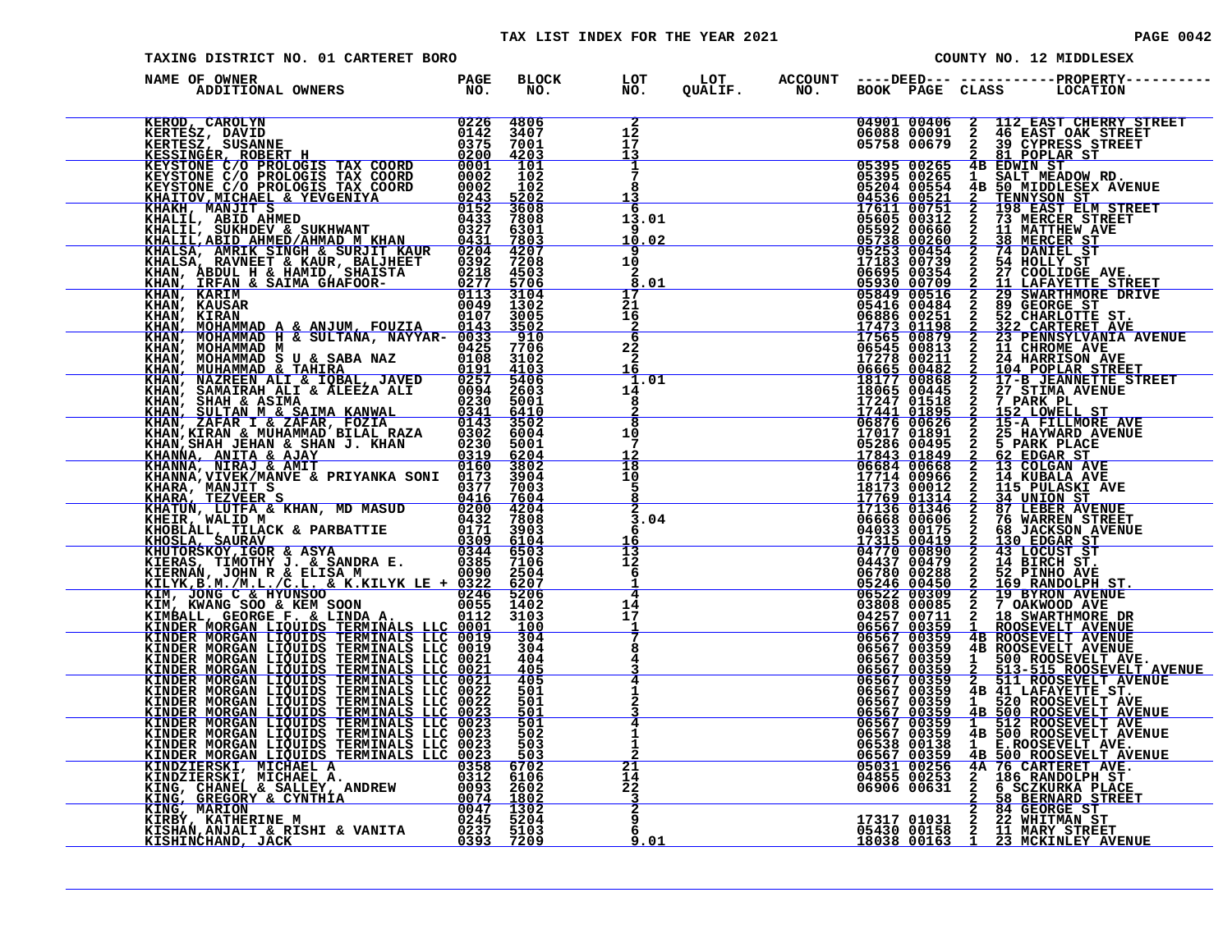#### TAX LIST INDEX FOR THE YEAR 2021 **PAGE 0042** PAGE 0042

| PAGE 004 |
|----------|
|----------|

| TAXING DISTRICT NO. 01 CARTERET BORO |              |                                                    |  |  | COUNTY NO. 12 MIDDLESEX                                                                                                                                                                                                                                                                                                                                                          |
|--------------------------------------|--------------|----------------------------------------------------|--|--|----------------------------------------------------------------------------------------------------------------------------------------------------------------------------------------------------------------------------------------------------------------------------------------------------------------------------------------------------------------------------------|
| NAME OF OWNER                        | BLOCK<br>NO. | LOT<br>NO.                                         |  |  |                                                                                                                                                                                                                                                                                                                                                                                  |
|                                      |              | $\begin{array}{c} 2 \\ 12 \\ 17 \end{array}$<br>13 |  |  | $\begin{tabular}{c c c c} \multicolumn{1}{c}{\textbf{ACWOUT}} & $\textbf{5000F} & $\textbf{5000F} & $\textbf{5000F} & $\textbf{6000F} & $\textbf{6000F} & $\textbf{6000F} & $\textbf{6000F} & $\textbf{6000F} & $\textbf{6000F} & $\textbf{6000F} & $\textbf{6000F} & $\textbf{6000F} & $\textbf{6000F} & $\textbf{600F} \\ \hline & $04001 & 004000 & 2 & 112 & \textbf{RAP} &$ |
|                                      |              | 1<br>8<br>13                                       |  |  |                                                                                                                                                                                                                                                                                                                                                                                  |
|                                      |              | 6<br>13.01<br>9<br>10.02                           |  |  |                                                                                                                                                                                                                                                                                                                                                                                  |
|                                      |              | 9<br>$1\bar{0}$<br>$\overline{2}$<br>8.01          |  |  |                                                                                                                                                                                                                                                                                                                                                                                  |
|                                      |              | $\frac{17}{21}$<br>16<br>$rac{2}{6}$               |  |  |                                                                                                                                                                                                                                                                                                                                                                                  |
|                                      |              | $2\frac{2}{2}$<br>16                               |  |  |                                                                                                                                                                                                                                                                                                                                                                                  |
|                                      |              | 1.01<br>14<br>$rac{8}{8}$                          |  |  |                                                                                                                                                                                                                                                                                                                                                                                  |
|                                      |              | 10<br>7<br>$\frac{12}{18}$                         |  |  |                                                                                                                                                                                                                                                                                                                                                                                  |
|                                      |              | 10<br>5<br>8                                       |  |  |                                                                                                                                                                                                                                                                                                                                                                                  |
|                                      |              | 2<br>3.04<br>6<br>16                               |  |  |                                                                                                                                                                                                                                                                                                                                                                                  |
|                                      |              | $\overline{13}$<br>12<br>6                         |  |  |                                                                                                                                                                                                                                                                                                                                                                                  |
|                                      |              | 4<br>14<br>17<br>וי                                |  |  |                                                                                                                                                                                                                                                                                                                                                                                  |
|                                      |              |                                                    |  |  |                                                                                                                                                                                                                                                                                                                                                                                  |
|                                      |              |                                                    |  |  |                                                                                                                                                                                                                                                                                                                                                                                  |
|                                      |              |                                                    |  |  |                                                                                                                                                                                                                                                                                                                                                                                  |
|                                      |              | 21<br>$\begin{array}{c} 14 \\ 22 \\ 3 \end{array}$ |  |  |                                                                                                                                                                                                                                                                                                                                                                                  |
|                                      |              | $\frac{2}{9}$<br>9.01                              |  |  |                                                                                                                                                                                                                                                                                                                                                                                  |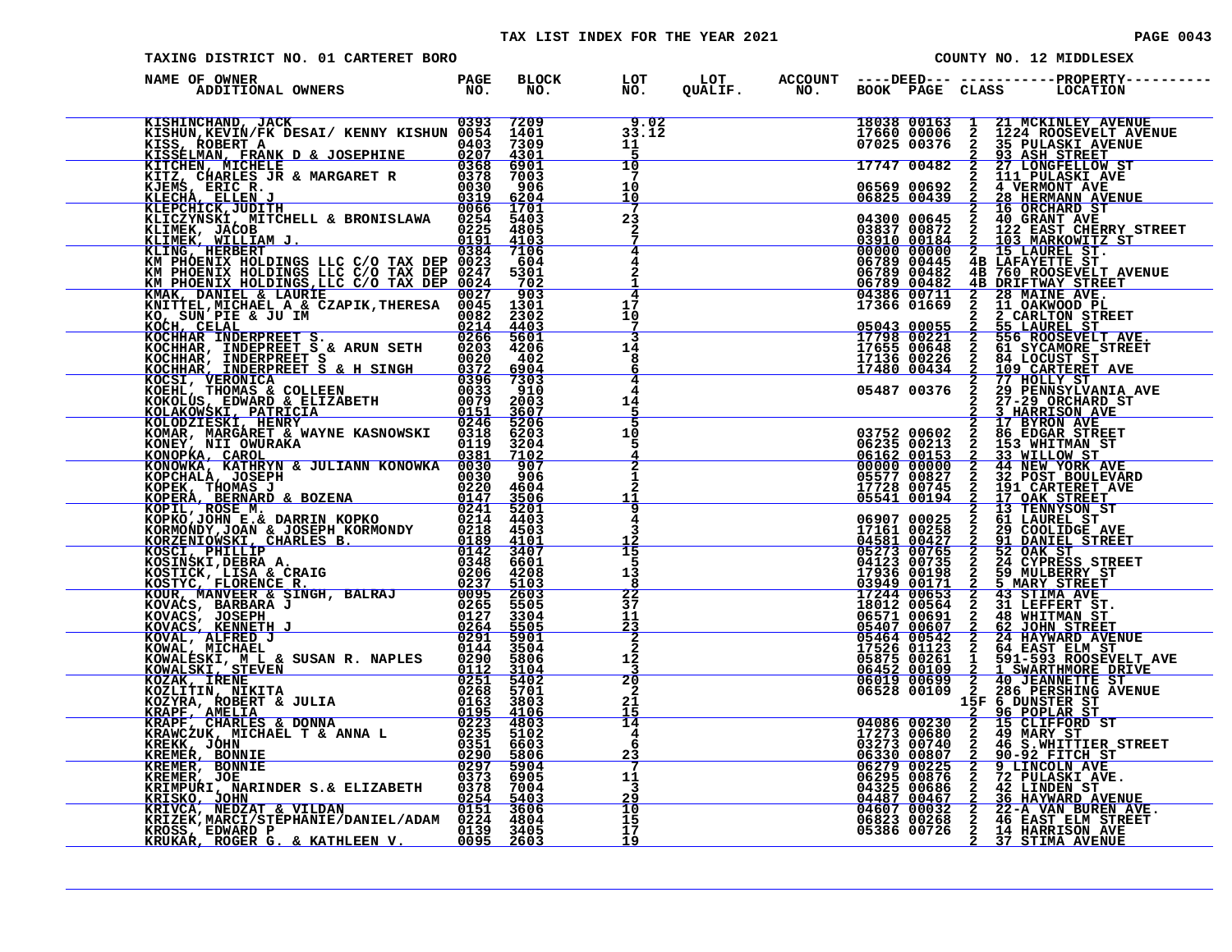| TAXING DISTRICT NO. 01 CARTERET BORO                                                                                                                                                                                                          |  |                                                       |  |  | COUNTY NO. 12 MIDDLESEX                                                                                                                                                                                                                          |
|-----------------------------------------------------------------------------------------------------------------------------------------------------------------------------------------------------------------------------------------------|--|-------------------------------------------------------|--|--|--------------------------------------------------------------------------------------------------------------------------------------------------------------------------------------------------------------------------------------------------|
| NAME OF OWNER                                                                                                                                                                                                                                 |  |                                                       |  |  |                                                                                                                                                                                                                                                  |
|                                                                                                                                                                                                                                               |  |                                                       |  |  |                                                                                                                                                                                                                                                  |
| <b>EXERIMERAND, JACK 61393 7209 9.02</b><br>EXERIUN, KEVIN/FK DESAI/ KENNY KISHUN 0054 1401 33.12<br>KISSELMAN, FRANK D & JOSEPHINE 0207 4301 5<br>KITCHEN, MICHELE 63207 4301 5<br>KITCHEN, MICHELE 6378 6901 10<br>KITCA, GHARLES JR & MARG |  |                                                       |  |  | 18038 00163 1 21 MCKINLEY AVENUE<br>17660 00006 2 1224 ROOSEVELT AVENUE<br>07025 00376 2 35 PULASKI AVENUE<br>17747 00482 2 27 LONGFELLOW ST<br>06569 00692 2 4 VERMONT AVE<br>06825 00439 2 28 HERMANN AVENUE<br>06825 00439 2 26 HERMANN AVENU |
|                                                                                                                                                                                                                                               |  |                                                       |  |  |                                                                                                                                                                                                                                                  |
|                                                                                                                                                                                                                                               |  | $\overline{a}$<br>$\overline{4}$                      |  |  |                                                                                                                                                                                                                                                  |
|                                                                                                                                                                                                                                               |  | 17<br>10<br>7                                         |  |  | 06789 00711 2 28 MAINE STREET<br>17366 01669 2 11 OAKWOOD PL<br>2 2 CARLTON STREET<br>05043 00055 2 55 LAUREL ST<br>17938 00055 2 55 LAUREL ST<br>17655 00648 2 51 SYCAMORE STREET<br>17136 00226 2 84 LOCUST ST<br>17136 00226 2 84 LOCUST      |
|                                                                                                                                                                                                                                               |  | 14<br>8<br>6                                          |  |  |                                                                                                                                                                                                                                                  |
|                                                                                                                                                                                                                                               |  | 4<br>14<br>5<br>10                                    |  |  |                                                                                                                                                                                                                                                  |
|                                                                                                                                                                                                                                               |  | 5                                                     |  |  |                                                                                                                                                                                                                                                  |
|                                                                                                                                                                                                                                               |  | $\overline{a}$<br>11<br>$\overline{9}$<br>4           |  |  |                                                                                                                                                                                                                                                  |
|                                                                                                                                                                                                                                               |  | 3<br>ŤŜ<br>5                                          |  |  |                                                                                                                                                                                                                                                  |
|                                                                                                                                                                                                                                               |  | 13<br>8<br>22<br>37                                   |  |  |                                                                                                                                                                                                                                                  |
|                                                                                                                                                                                                                                               |  | 11<br>$\frac{2\overline{3}}{2}$<br>$\mathbf{2}$<br>12 |  |  | 17136 00238 2 34 LOCUST STREET TO 17161 00238 2 27 PRINTS TO 17236 000202 2 27 PRINTS TO 17236 000202 2 27 PRINTS TO 17236 00000 2 33 NHTMAN ST<br>06232 00602 2 28 NATIONAL STREET AVE 06612 00152 2 29 PRINTS TO 17236 00000                   |
|                                                                                                                                                                                                                                               |  | 20<br>$\overline{a}$<br>21                            |  |  | 15F 6 DUNSTER ST                                                                                                                                                                                                                                 |
|                                                                                                                                                                                                                                               |  | 15<br>14<br>4<br>6<br><u>23</u>                       |  |  | 15F 6 DUNSTER ST<br>04086 00230 2 15 CLIFFORD ST<br>17273 00680 2 49 MARY ST<br>03273 00740 2 46 S.WHITTIER STREET<br>06230 00225 2 9 LINCOLN AVE<br>06230 00225 2 9 LINCOLN AVE<br>06295 00876 2 72 PULASKI AVE.<br>04487 00686 2 42 LINDEN     |
|                                                                                                                                                                                                                                               |  | 11<br>$\overline{3}$                                  |  |  |                                                                                                                                                                                                                                                  |
| EREMER, JORNAL CONNUE<br>EREMER, JOE<br>KRISKO, JOHN 0254 5403<br>KRISKO, JOHN 0254 5403<br>KRIVCA, NEDZAT & VILDAN 0151 3606<br>KRIZEK, MARCI/STEPHANIE/DANIEL/ADAM 0224 4804<br>KRIZEK, MARCI/STEPHANIE/DANIEL/ADAM 0224 406<br>KROSS, EDW  |  | 10<br>15<br>17<br>19                                  |  |  |                                                                                                                                                                                                                                                  |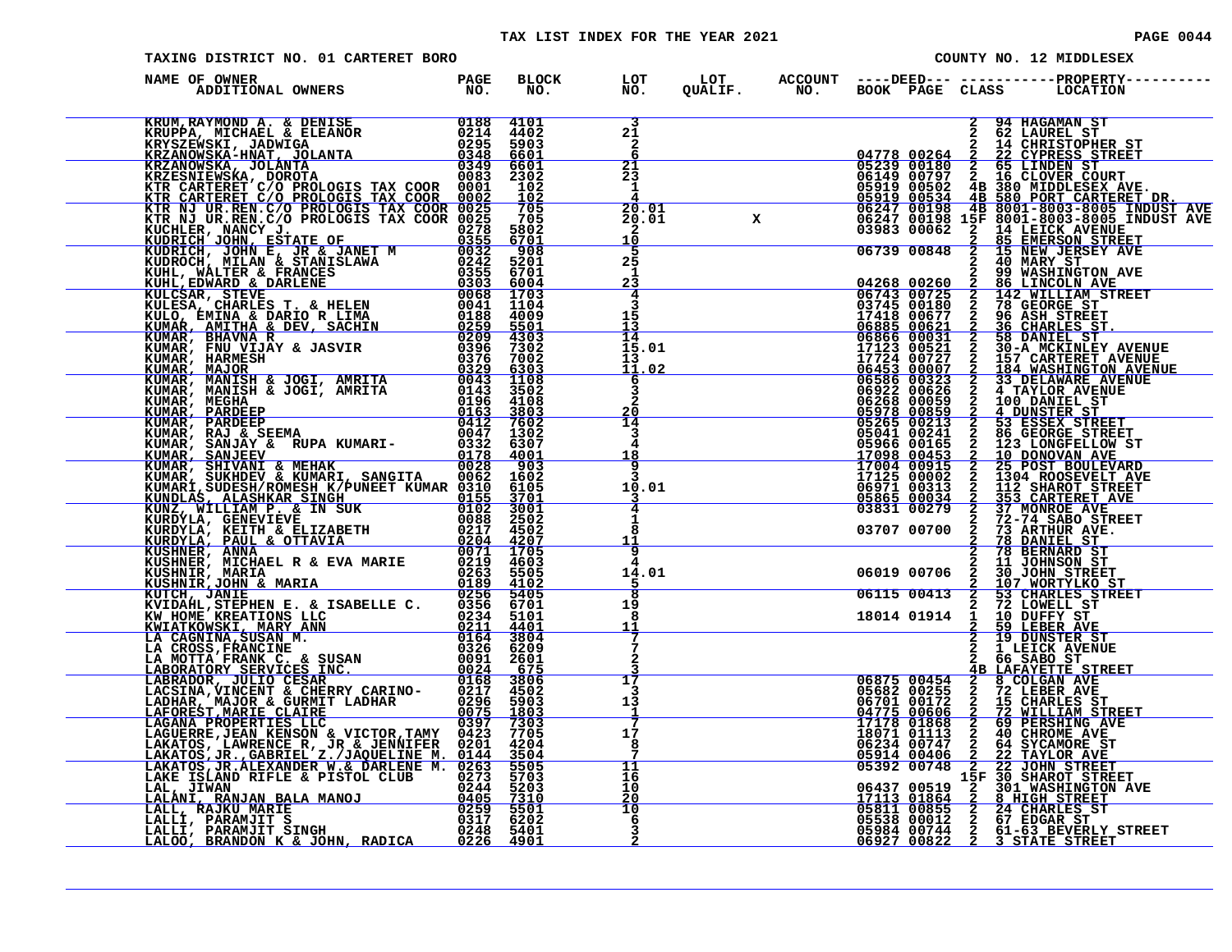| TAXING DISTRICT NO. 01 CARTERET BORO                                                                                                                                                                                          |  |                                            |  |                                                                                                                                                                                                                                                                                                                       |                                                                  |                                                                                                                                                                                                                                                                                                                                                                                                                             |
|-------------------------------------------------------------------------------------------------------------------------------------------------------------------------------------------------------------------------------|--|--------------------------------------------|--|-----------------------------------------------------------------------------------------------------------------------------------------------------------------------------------------------------------------------------------------------------------------------------------------------------------------------|------------------------------------------------------------------|-----------------------------------------------------------------------------------------------------------------------------------------------------------------------------------------------------------------------------------------------------------------------------------------------------------------------------------------------------------------------------------------------------------------------------|
| NAME OF OWNER                                                                                                                                                                                                                 |  |                                            |  |                                                                                                                                                                                                                                                                                                                       |                                                                  | BLOCK LOT LOT ACCOUNT ----DEED--- -----------PROPERTY---<br>NO. NO. QUALIF. NO. BOOK PAGE CLASS LOCATION                                                                                                                                                                                                                                                                                                                    |
|                                                                                                                                                                                                                               |  | 3<br>$2\bar{1}$<br>$\mathbf{2}$<br>6       |  |                                                                                                                                                                                                                                                                                                                       |                                                                  |                                                                                                                                                                                                                                                                                                                                                                                                                             |
|                                                                                                                                                                                                                               |  | $\frac{21}{23}$<br>1                       |  |                                                                                                                                                                                                                                                                                                                       |                                                                  |                                                                                                                                                                                                                                                                                                                                                                                                                             |
| NAME OF OWNER PARTIES PRODUCED IN A SERVICE PROPERTY AND THE MANUS PROPERTY AND CONSULTED AND CONSULTED AND CONSULTED AND CONSULTED AND CONSULTED AND CONSULTED AND CONSULTED AND CONSULTED AND CONSULTED AND CONSULTED AND C |  | 20.01<br>20.01<br>10<br>5                  |  |                                                                                                                                                                                                                                                                                                                       |                                                                  | $\begin{tabular}{c c c} \multicolumn{1}{c}{\textbf{CCOUNT}} & \textbf{---} \textbf{DEEL} & \textbf{---} \end{tabular} \vspace{0.08cm} \begin{tabular}{c}{\textbf{2.94 HAGAMAN}}\\ \textbf{2.94 HAGAMAN} & \textbf{2.95 FURREID STIRER SET} \\ \hline 2.94 HAGAMAN & \textbf{2.95 FURREID STER SET} \\ \hline 04778 & 00264 & 222 & 0170 \text{RB} & 087 \text{RERET} \\ \hline 06749 & 00279 & 2 & 16 & 0$                  |
|                                                                                                                                                                                                                               |  | 25<br>1<br>23<br>4                         |  |                                                                                                                                                                                                                                                                                                                       |                                                                  |                                                                                                                                                                                                                                                                                                                                                                                                                             |
|                                                                                                                                                                                                                               |  | $\frac{15}{14}$                            |  |                                                                                                                                                                                                                                                                                                                       |                                                                  |                                                                                                                                                                                                                                                                                                                                                                                                                             |
|                                                                                                                                                                                                                               |  | 15.01<br>$\frac{13}{11.02}$<br>$rac{6}{3}$ |  | $\begin{array}{r rrrr} & & & 04268&00260\\ \hline & & 06743&00725\\ \hline & 06743&00725\\ \hline & 03745&00180\\ \hline & 17418&00677\\ \hline & 06885&00621\\ \hline & 17123&00521\\ \hline & 17724&00727\\ \hline & 06453&00023\\ \hline & 17724&00727\\ \hline & 06586&00323\\ \hline & 05041&00245\\ \hline & 0$ |                                                                  | $\begin{tabular}{c c c} $ \begin{array}{c} \textbf{2} & 40 & \textbf{m}_{\text{LSH}} \\ \textbf{2} & 99 & \textbf{WASH1} \\ \textbf{5} & 2 & 142 & \textbf{WILILIM} \textbf{ STREE}^\text{T} \\ \textbf{7} & 2 & 142 & \textbf{WILILIM} \textbf{ STREE}^\text{T} \\ \textbf{7} & 2 & 142 & \textbf{WILILIM} \textbf{ STREE}^\text{T} \\ \textbf{7} & 2 & 36 & \textbf{GB SNRE} \textbf{ ST}^\text{T} \\ \textbf{7} & 2 & 3$ |
|                                                                                                                                                                                                                               |  | $\mathbf{2}$<br>$\frac{20}{14}$<br>3       |  |                                                                                                                                                                                                                                                                                                                       |                                                                  |                                                                                                                                                                                                                                                                                                                                                                                                                             |
|                                                                                                                                                                                                                               |  | 4<br><u>18</u><br>$\overline{9}$<br>3      |  |                                                                                                                                                                                                                                                                                                                       |                                                                  |                                                                                                                                                                                                                                                                                                                                                                                                                             |
|                                                                                                                                                                                                                               |  | 10.01<br>4<br>1                            |  |                                                                                                                                                                                                                                                                                                                       |                                                                  |                                                                                                                                                                                                                                                                                                                                                                                                                             |
|                                                                                                                                                                                                                               |  | 8<br>$\frac{11}{9}$                        |  |                                                                                                                                                                                                                                                                                                                       |                                                                  |                                                                                                                                                                                                                                                                                                                                                                                                                             |
|                                                                                                                                                                                                                               |  | 14.01<br>$\overline{8}$<br>19<br>8         |  |                                                                                                                                                                                                                                                                                                                       |                                                                  | 2 78 BERNARD ST<br>06019 00706 2 10 JOHN STREET<br>06115 00413 2 107 WORTYLKO ST<br>06115 00413 2 72 LOWELL ST<br>18014 01914 1 10 DUFFY ST<br>2 19 DUNSTER ST<br>2 19 DUNSTER ST<br>2 19 DUNSTER ST<br>2 19 DUNSTER ST<br>2 19 DUNSTER ST<br>2 16                                                                                                                                                                          |
|                                                                                                                                                                                                                               |  | <u> 11</u><br>7<br>$\mathbf{2}$            |  |                                                                                                                                                                                                                                                                                                                       | $\overline{2}$ $\overline{66}$ $\overline{SABO}$ $\overline{ST}$ |                                                                                                                                                                                                                                                                                                                                                                                                                             |
|                                                                                                                                                                                                                               |  | 17<br>3<br>13                              |  |                                                                                                                                                                                                                                                                                                                       |                                                                  | 4B LAFAYETTE STREET                                                                                                                                                                                                                                                                                                                                                                                                         |
|                                                                                                                                                                                                                               |  | 1<br>7<br>17<br>8                          |  |                                                                                                                                                                                                                                                                                                                       |                                                                  | <b>66875 00454 2 8 COLGAN AVE 166875 00454 2 8 COLGAN AVE 06701 00172 2 15 CHARLES ST<br/>04775 00606 2 72 WILLIAM STREET 17175 00606 2 72 WILLIAM STREET<br/>17178 01868 2 69 PERSAING AVE 18071 01113 2 40 CHROME AVE<br/>06234 00747 2 64</b>                                                                                                                                                                            |
|                                                                                                                                                                                                                               |  | 11<br>16<br>10<br>20                       |  |                                                                                                                                                                                                                                                                                                                       |                                                                  |                                                                                                                                                                                                                                                                                                                                                                                                                             |
|                                                                                                                                                                                                                               |  | 10<br>-6<br>3                              |  |                                                                                                                                                                                                                                                                                                                       |                                                                  |                                                                                                                                                                                                                                                                                                                                                                                                                             |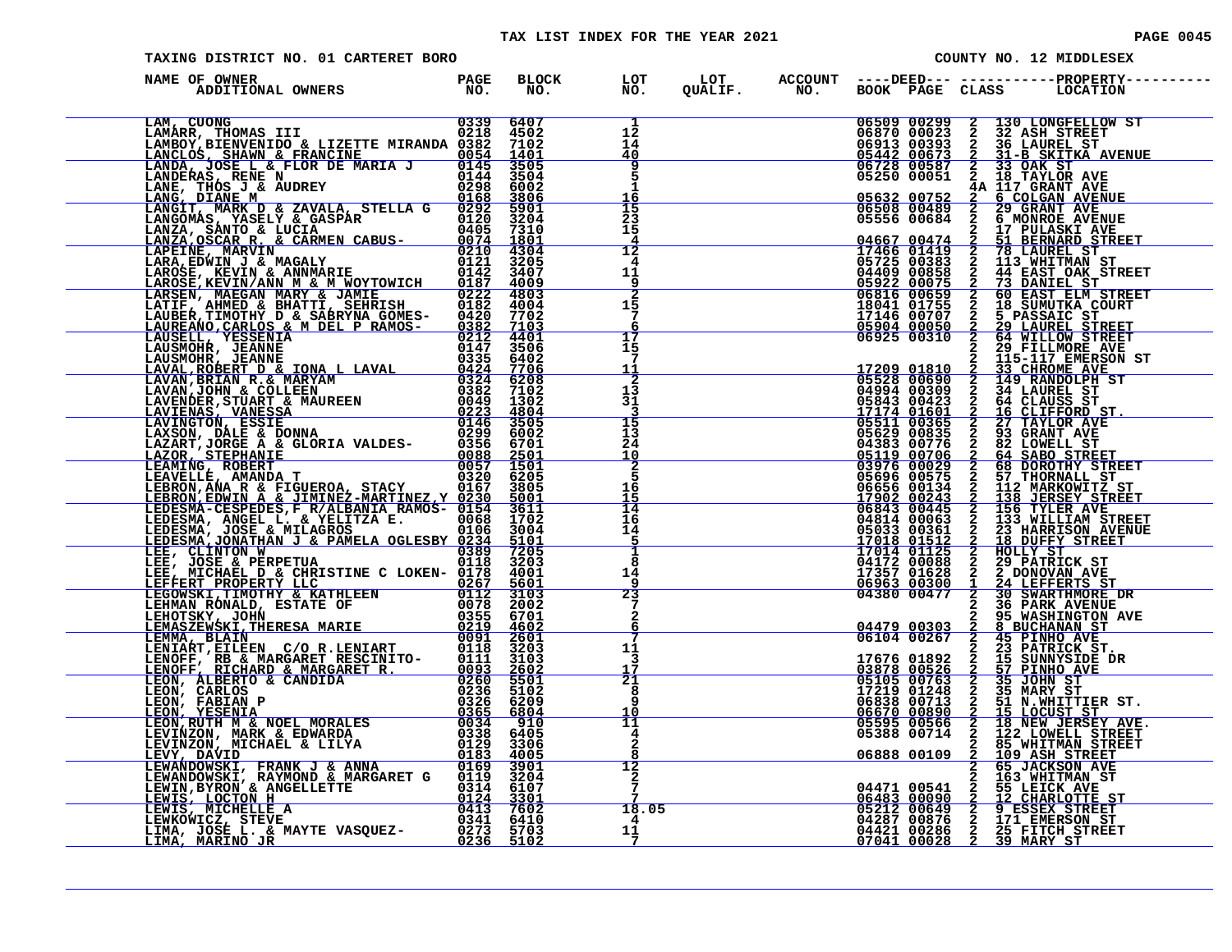#### TAX LIST INDEX FOR THE YEAR 2021 **PAGE 0045** PAGE 0045

| TAXING DISTRICT NO. 01 CARTERET BORO                                                                                                                                                                                          |  |                                                      |  |                                                                         |               | COUNTY NO. 12 MIDDLESEX                                                                                                                                                                                                                                                                                                                                       |
|-------------------------------------------------------------------------------------------------------------------------------------------------------------------------------------------------------------------------------|--|------------------------------------------------------|--|-------------------------------------------------------------------------|---------------|---------------------------------------------------------------------------------------------------------------------------------------------------------------------------------------------------------------------------------------------------------------------------------------------------------------------------------------------------------------|
| NAME OF OWNER                                                                                                                                                                                                                 |  |                                                      |  |                                                                         |               | BLOCK LOT LOT ACCOUNT ----DEED--- -----------PROPERTY---<br>NO. NO. QUALIF. NO. BOOK PAGE CLASS LOCATION                                                                                                                                                                                                                                                      |
| NAME OF OWNER IN A MOTE IN A MONET COMES PRODUCED AN ANNOUNCE ANNOUNCE ANNOUNCE IN A MONET CONSUMER CONSUMER AN A MONET CONSUMER CONSUMER AN A MONET CONSUMER CONSUMER AN A MONET CONSUMER CONSUMER AN A MONET CONSUMER AN AN |  | 1<br>$1\overline{2}$<br>$\bar{1}\bar{4}$<br>40       |  |                                                                         |               | 06509 00299 2 130 LONGFELLOW ST<br>06870 00023 2 32 ASH STREET<br>06913 00393 2 36 LAUREL ST<br>05442 00673 2 31 BSKITKA AVENUE<br>06728 00587 2 33 OAK ST<br>05250 00051 2 18 TAYLOR AVE                                                                                                                                                                     |
|                                                                                                                                                                                                                               |  | 9<br>5<br>1<br><u> 16</u>                            |  | 05632 00752<br>06508 00489                                              |               | <b>4A II7 GRANT AVE<br/> 2 6 COLGAN AVENUE<br/> 2 29 GRANT AVE<br/> 2 6 MONROE AVENUE</b>                                                                                                                                                                                                                                                                     |
|                                                                                                                                                                                                                               |  | $\overline{15}$<br>$\frac{23}{15}$<br>$\frac{4}{12}$ |  | 05556 00684<br>04667 00474<br>17466 01419                               |               | <b>17 PULASKI AVE</b>                                                                                                                                                                                                                                                                                                                                         |
|                                                                                                                                                                                                                               |  | 4<br>11<br>9                                         |  | 05725 00383<br>04409 00858<br>05922 00075<br>06816 00659<br>18041 01755 |               | 2 17 FULASAI AVE<br>2 78 LAUREL ST<br>2 78 LAUREL ST<br>2 44 EAST OAK STREET<br>2 60 EAST OAK STREET<br>2 60 EAST ELM STREET<br>2 18 SUMUTKA COURT<br>2 5 PASSAIC ST<br>2 5 PASSAIC STREET<br>2 5 PASSAIC ST                                                                                                                                                  |
|                                                                                                                                                                                                                               |  | $\frac{2}{15}$<br>$7\phantom{.0}$<br>6<br>17         |  | 17146 00707<br>05904 00050<br>06925 00310                               | $\frac{2}{2}$ | <b>29 LAUREL STREET</b><br>64 WILLOW STREET                                                                                                                                                                                                                                                                                                                   |
|                                                                                                                                                                                                                               |  | $\overline{1}\overline{5}$<br>11<br>$\overline{2}$   |  |                                                                         | $\mathbf{2}$  | 29 FILLMORE AVE                                                                                                                                                                                                                                                                                                                                               |
|                                                                                                                                                                                                                               |  | 13<br>31<br>$\frac{15}{13}$                          |  |                                                                         |               |                                                                                                                                                                                                                                                                                                                                                               |
|                                                                                                                                                                                                                               |  | 24<br>10<br>$rac{2}{5}$                              |  |                                                                         |               |                                                                                                                                                                                                                                                                                                                                                               |
|                                                                                                                                                                                                                               |  | $rac{16}{15}$<br>14<br>16                            |  |                                                                         |               | $\begin{tabular}{ c  c  c c c c} \hline 17209 & 01810 & 2 & \overline{115-111}\text{MORE AVE} \\ \hline 05528 & 00690 & 2 & 149 & \text{RANDOLPH ST} \\ \hline 05528 & 00690 & 2 & 149 & \text{RANDOLPH ST} \\ \hline 04994 & 00309 & 2 & 34 & \text{LAVREL ST} \\ \hline 05511 & 00365 & 2 & 64 & \text{CALUES ST} \\ \hline 05511 & 00365 & 2 & 27 & \text$ |
|                                                                                                                                                                                                                               |  | 14<br>$\frac{5}{1}$<br>8                             |  |                                                                         |               |                                                                                                                                                                                                                                                                                                                                                               |
|                                                                                                                                                                                                                               |  | 14<br>-9<br>23<br>7                                  |  |                                                                         |               |                                                                                                                                                                                                                                                                                                                                                               |
|                                                                                                                                                                                                                               |  | 2<br>6<br>7<br>11<br>3                               |  | $04479003030610400267$<br>17676 01892                                   |               | 2 8 BUCHANAN ST<br>2 45 PINHO AVE<br>2 23 PATRICK ST.<br>2 15 SUNNYSIDE DR                                                                                                                                                                                                                                                                                    |
|                                                                                                                                                                                                                               |  | 17<br>$\overline{21}$<br>8<br>ġ.                     |  |                                                                         |               | 17676 01822 2 15 SUNNYSIDE DR<br>05105 00763 2 35 JOHN ST<br>17219 01248 2 35 JOHN ST<br>17219 01248 2 35 MARY ST<br>06638 00713 2 51 M.WHITTLER ST.<br>06670 00890 2 15 MCCUST STREET<br>05595 00566 2 18 NEW JERSEY AVE.<br>05888 00714 2                                                                                                                   |
|                                                                                                                                                                                                                               |  | 10<br>11<br>4<br>2                                   |  |                                                                         |               |                                                                                                                                                                                                                                                                                                                                                               |
|                                                                                                                                                                                                                               |  | 8<br>12<br>2<br>7                                    |  | 06888 00109 2 109 ASH STREET<br>2 65 JACKSON AVE                        |               | 2 163 WHITMAN ST                                                                                                                                                                                                                                                                                                                                              |
|                                                                                                                                                                                                                               |  | 18.05<br>4<br>11<br>7                                |  |                                                                         |               | 04471 00541 2 55 LEICK AVE<br>06483 00090 2 12 CHARLOTTE ST<br>05212 00649 2 9 ESSEX STREET<br>04287 00876 2 171 EMERSON ST<br>04421 00286 2 25 FITCH STREET<br>07041 00028 2 39 MARY ST                                                                                                                                                                      |
|                                                                                                                                                                                                                               |  |                                                      |  |                                                                         |               |                                                                                                                                                                                                                                                                                                                                                               |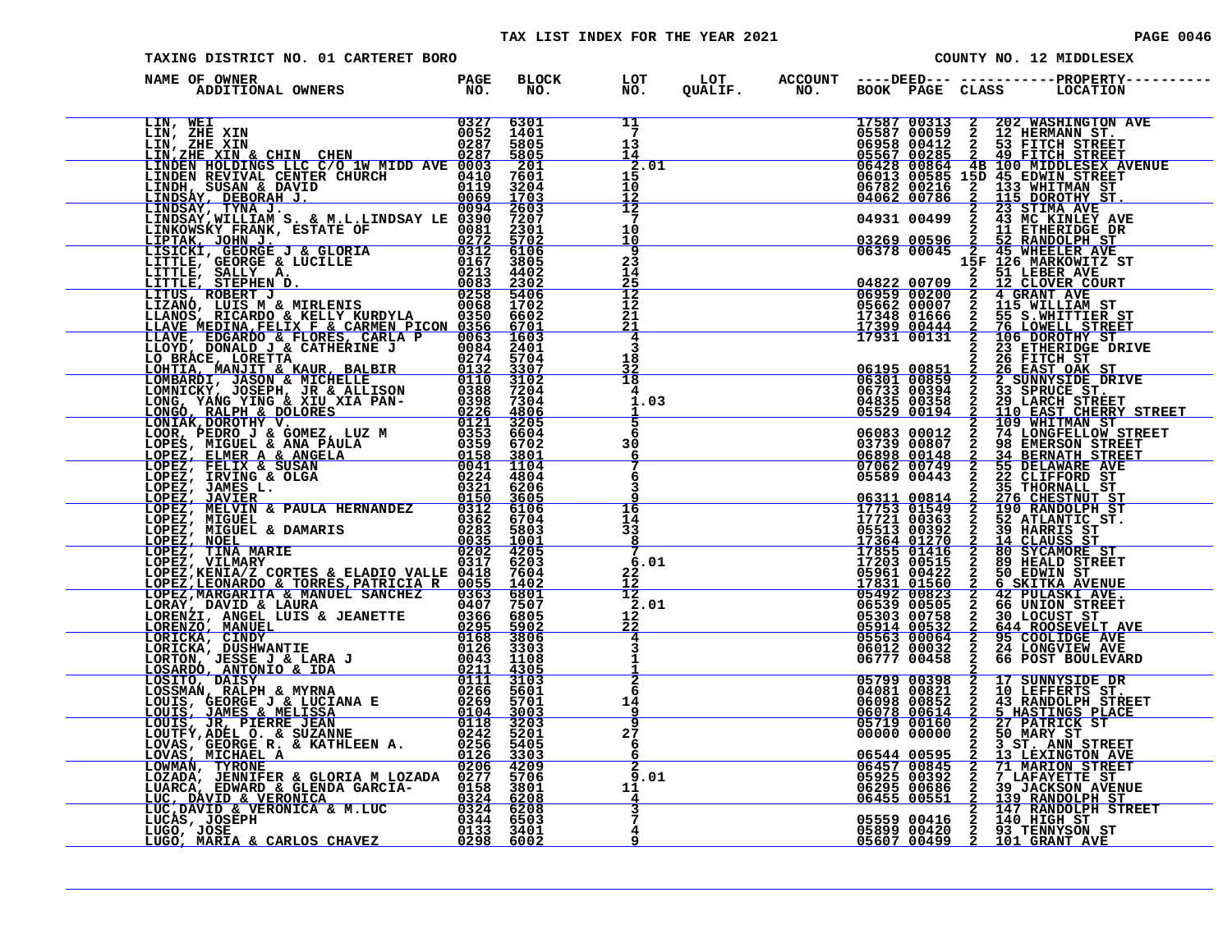| <b>PAGE 0046</b> |  |  |
|------------------|--|--|
|                  |  |  |

| <b>TAXING DISTRICT NO. 01 CARTERET BORO</b>                                                                                                                                                                                                    |  |                            |  |                                                                                                                                                                                                                                                                                                             |                            | COUNTY NO. 12 MIDDLESEX                                                                                                                                                                                                                                                                      |
|------------------------------------------------------------------------------------------------------------------------------------------------------------------------------------------------------------------------------------------------|--|----------------------------|--|-------------------------------------------------------------------------------------------------------------------------------------------------------------------------------------------------------------------------------------------------------------------------------------------------------------|----------------------------|----------------------------------------------------------------------------------------------------------------------------------------------------------------------------------------------------------------------------------------------------------------------------------------------|
| NAME OF OWNER<br>NAME OF OWNER AND THE MANUSING PROPERTY OF BELONG CONSULTING THE MANUSING CONSULTING THE CONSULTING CONSULTING THE CONSULTING CONSULTING THE CONSULTING CONSULTING THE CONSULTING CONSULTING THE CONSULTING CONSULTING THE CO |  |                            |  |                                                                                                                                                                                                                                                                                                             |                            | BLOCK LOT LOT ACCOUNT ----DEED----------------PROPERTY---<br>NO. NO. QUALIF. NO. BOOK PAGE CLASS LOCATION                                                                                                                                                                                    |
|                                                                                                                                                                                                                                                |  | $\frac{11}{7}$             |  |                                                                                                                                                                                                                                                                                                             |                            | 17587 00313 2 202 WASHINGTON AVE<br>05587 00059 2 12 HERMANN ST.<br>06958 00412 2 53 FITCH STREET<br>05567 00285 2 49 FITCH STREET<br>06428 00864 4B 100 MIDDLESEX AVENUE<br>06613 00585 15D 45 EDWIN STREET<br>06782 00216 2 133 WHITMAN                                                    |
|                                                                                                                                                                                                                                                |  | 13<br>14                   |  |                                                                                                                                                                                                                                                                                                             |                            |                                                                                                                                                                                                                                                                                              |
|                                                                                                                                                                                                                                                |  | 2.01<br>15                 |  |                                                                                                                                                                                                                                                                                                             |                            |                                                                                                                                                                                                                                                                                              |
|                                                                                                                                                                                                                                                |  | 10                         |  |                                                                                                                                                                                                                                                                                                             |                            |                                                                                                                                                                                                                                                                                              |
|                                                                                                                                                                                                                                                |  | $\frac{12}{12}$<br>-7      |  |                                                                                                                                                                                                                                                                                                             |                            |                                                                                                                                                                                                                                                                                              |
|                                                                                                                                                                                                                                                |  | 10<br><u> 10</u>           |  |                                                                                                                                                                                                                                                                                                             |                            |                                                                                                                                                                                                                                                                                              |
|                                                                                                                                                                                                                                                |  | 9<br>23                    |  |                                                                                                                                                                                                                                                                                                             |                            |                                                                                                                                                                                                                                                                                              |
|                                                                                                                                                                                                                                                |  | 14<br>25                   |  |                                                                                                                                                                                                                                                                                                             |                            | 2 51 LEBER AVE<br>2 12 CLOVER COURT                                                                                                                                                                                                                                                          |
|                                                                                                                                                                                                                                                |  | $\frac{12}{12}$            |  |                                                                                                                                                                                                                                                                                                             |                            |                                                                                                                                                                                                                                                                                              |
|                                                                                                                                                                                                                                                |  | 21<br>21                   |  |                                                                                                                                                                                                                                                                                                             |                            |                                                                                                                                                                                                                                                                                              |
|                                                                                                                                                                                                                                                |  | $\overline{4}$<br>3        |  |                                                                                                                                                                                                                                                                                                             |                            | 04822 00709 2 12 CLOVER COMMERCIES<br>06959 00200 2 4 GRANT AVE<br>05662 00200 2 115 WILLIAM ST<br>17348 01666 2 55 S.WHITTIER ST<br>1739 00444 2 76 LOWELL STREET<br>17931 00131 2 106 DOROTHY ST<br>23 ETHERIDGE DRI<br>2 23 ETHERIDGE DRIVE                                               |
|                                                                                                                                                                                                                                                |  | 18<br>32                   |  |                                                                                                                                                                                                                                                                                                             | 06195 00851                |                                                                                                                                                                                                                                                                                              |
|                                                                                                                                                                                                                                                |  | 18<br>4                    |  |                                                                                                                                                                                                                                                                                                             | 06301 00859<br>06733 00394 |                                                                                                                                                                                                                                                                                              |
|                                                                                                                                                                                                                                                |  | 1.03                       |  |                                                                                                                                                                                                                                                                                                             | 04835 00358<br>05529 00194 |                                                                                                                                                                                                                                                                                              |
|                                                                                                                                                                                                                                                |  | 5<br>6                     |  |                                                                                                                                                                                                                                                                                                             |                            |                                                                                                                                                                                                                                                                                              |
|                                                                                                                                                                                                                                                |  | 30<br><u>6</u>             |  |                                                                                                                                                                                                                                                                                                             | 06083 00012<br>03739 00807 |                                                                                                                                                                                                                                                                                              |
|                                                                                                                                                                                                                                                |  | 6                          |  | 06898 00148<br>07062 00749<br>05589 00443                                                                                                                                                                                                                                                                   |                            | 2 23 ETHERIDGE DRIVE<br>2 26 EAST OAK ST<br>2 26 EAST OAK ST<br>2 3 SUNNYSIDE DRIVE<br>2 3 SUNNYSIDE DRIVE<br>2 3 SUNNYSIDE DRIVE<br>2 10 EAST CHERRY STREET<br>2 10 EAST CHERRY STREET<br>2 34 BERNARE AVE<br>2 35 DELAWARE AVE<br>2 22 CLIFFORD                                            |
|                                                                                                                                                                                                                                                |  | 3<br>9                     |  |                                                                                                                                                                                                                                                                                                             |                            |                                                                                                                                                                                                                                                                                              |
|                                                                                                                                                                                                                                                |  | 16<br>14                   |  |                                                                                                                                                                                                                                                                                                             |                            |                                                                                                                                                                                                                                                                                              |
|                                                                                                                                                                                                                                                |  | $\overline{3}\overline{3}$ |  |                                                                                                                                                                                                                                                                                                             |                            |                                                                                                                                                                                                                                                                                              |
|                                                                                                                                                                                                                                                |  | $\frac{8}{7}$<br>6.01      |  |                                                                                                                                                                                                                                                                                                             |                            |                                                                                                                                                                                                                                                                                              |
|                                                                                                                                                                                                                                                |  | $\frac{22}{12}$            |  |                                                                                                                                                                                                                                                                                                             |                            |                                                                                                                                                                                                                                                                                              |
|                                                                                                                                                                                                                                                |  | 12<br>2.01                 |  |                                                                                                                                                                                                                                                                                                             |                            |                                                                                                                                                                                                                                                                                              |
|                                                                                                                                                                                                                                                |  | $\frac{12}{22}$            |  |                                                                                                                                                                                                                                                                                                             |                            |                                                                                                                                                                                                                                                                                              |
|                                                                                                                                                                                                                                                |  | $\overline{4}$<br>3        |  | $\frac{06311}{17753} \frac{00814}{01549} \ \frac{17753}{17721} \frac{00363}{00363} \ \frac{05513}{17365} \frac{01270}{01416} \ \frac{17365}{17263} \frac{01426}{00422} \ \frac{00422}{05691422} \ \frac{008530}{055303} \ \frac{00532}{05563} \ \frac{00532}{055653} \ \frac{000632}{055653} \ \frac{00063$ |                            | 2 22 CLIFFORMALL ST<br>2 35 THORNALL ST<br>2 276 CHESTNUT ST<br>2 52 ATLANTIC ST<br>2 3 9 HARRIS ST<br>2 2 39 HARRIS ST<br>6 2 2 30 SYCAMORE ST<br>5 2 2 30 HEALD ST<br>5 2 2 4 2 BULASKI AVENU<br>758 2 4 2 6 UNION STREE<br>758 2 30 LOCUST ST<br><br>644 ROOSEVELT AVE<br>95 COOLIDGE AVE |
|                                                                                                                                                                                                                                                |  | $\ddot{1}$                 |  |                                                                                                                                                                                                                                                                                                             | 06777 00458                | <b>24 LONGVIEW AVE</b><br>66 POST BOULEVARD                                                                                                                                                                                                                                                  |
|                                                                                                                                                                                                                                                |  | $\overline{2}$<br>6        |  |                                                                                                                                                                                                                                                                                                             |                            |                                                                                                                                                                                                                                                                                              |
|                                                                                                                                                                                                                                                |  | 14<br>-9                   |  |                                                                                                                                                                                                                                                                                                             |                            |                                                                                                                                                                                                                                                                                              |
|                                                                                                                                                                                                                                                |  | $\overline{9}$<br>27       |  |                                                                                                                                                                                                                                                                                                             |                            |                                                                                                                                                                                                                                                                                              |
|                                                                                                                                                                                                                                                |  | 6                          |  |                                                                                                                                                                                                                                                                                                             |                            |                                                                                                                                                                                                                                                                                              |
|                                                                                                                                                                                                                                                |  | 9.01                       |  |                                                                                                                                                                                                                                                                                                             |                            |                                                                                                                                                                                                                                                                                              |
|                                                                                                                                                                                                                                                |  | 11<br>4                    |  |                                                                                                                                                                                                                                                                                                             |                            |                                                                                                                                                                                                                                                                                              |
|                                                                                                                                                                                                                                                |  | $\frac{3}{7}$              |  |                                                                                                                                                                                                                                                                                                             |                            | 0699 00398 2 17 SUNNYSING BREET<br>06098 00821 2 10 LEFFERTS ST.<br>06098 00821 2 43 RANDOLPH STREET<br>06078 00614 2 5 HASTINGS PLACE<br>06078 00614 2 5 HASTINGS PLACE<br>06070 000000 2 50 MARY ST<br>06544 00595 2 3 ST. ANN STREET<br>0                                                 |
|                                                                                                                                                                                                                                                |  |                            |  |                                                                                                                                                                                                                                                                                                             |                            |                                                                                                                                                                                                                                                                                              |
|                                                                                                                                                                                                                                                |  |                            |  |                                                                                                                                                                                                                                                                                                             |                            |                                                                                                                                                                                                                                                                                              |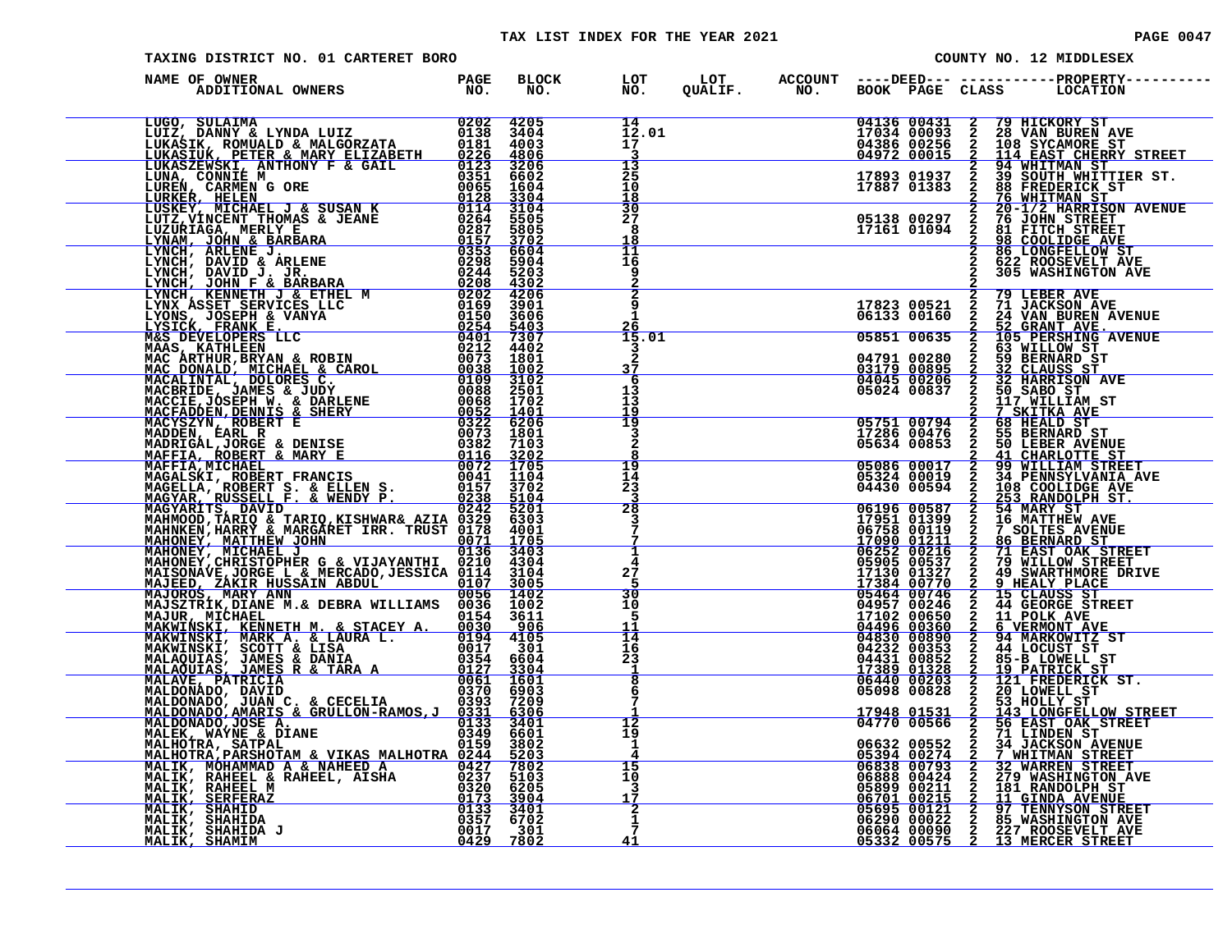#### TAX LIST INDEX FOR THE YEAR 2021 **PAGE 0047** PAGE 0047

| TAXING DISTRICT NO. 01 CARTERET BORO |  |                                                    |  |                                                          | COUNTY NO. 12 MIDDLESEX                                                                                                                                                                                                                                                                                                                                        |
|--------------------------------------|--|----------------------------------------------------|--|----------------------------------------------------------|----------------------------------------------------------------------------------------------------------------------------------------------------------------------------------------------------------------------------------------------------------------------------------------------------------------------------------------------------------------|
| NAME OF OWNER                        |  |                                                    |  |                                                          | BLOCK LOT LOT ACCOUNT ----DEED--- -----------PROPERTY----------<br>NO. NO. QUALIF. NO. BOOK PAGE CLASS LOCATION                                                                                                                                                                                                                                                |
|                                      |  | 14<br>12.01<br>17 <sup>7</sup><br>3                |  |                                                          | 04136 00431 2 79 HICKORY ST<br>17034 00093 2 28 VAN BUREN AVE<br>04386 00256 2 108 SYCAMORE ST<br>04972 00015 2 114 EAST CHERRY STREET<br>17893 01937 2 39 SOUTH WHITTIER ST.<br>17887 01383 2 88 FREDERICK ST<br>2 76 WHITMAN ST<br>05138 00297 2                                                                                                             |
|                                      |  | 13<br>25<br>10<br><u> 18</u><br>$\overline{30}$    |  |                                                          |                                                                                                                                                                                                                                                                                                                                                                |
|                                      |  | 27<br>8<br>18<br>īī                                |  |                                                          | 05138 00297 2 76 JOHN STREET<br>17161 01094 2 81 FITCH STREET<br><b>98 COOLIDGE AVE</b><br><b>86 LONGFELLOW ST</b>                                                                                                                                                                                                                                             |
|                                      |  | 16<br>$\frac{9}{2}$                                |  |                                                          | 622 ROOSEVELT AVE<br>305 WASHINGTON AVE                                                                                                                                                                                                                                                                                                                        |
|                                      |  | $rac{2}{9}$<br>$\mathbf{1}$<br><u> 26</u><br>15.01 |  | 17823 00521<br>06133 00160<br>05851 00635                | $\frac{2}{2}$<br><b>79 LEBER AVE<br/>71 JACKSON AVE<br/>24 VAN BUREN AVENUE</b><br>52 GRANT AVE.<br>105 PERSHING AVENUE<br>$\frac{2}{2}$                                                                                                                                                                                                                       |
|                                      |  | 3<br>2<br>37                                       |  | 04791 00280<br>03179 00895<br>04045 00206<br>05024 00837 | $\begin{array}{c}\n 2 \\  \hline\n 2 \\  \hline\n 2\n \end{array}$                                                                                                                                                                                                                                                                                             |
|                                      |  | 6<br>13<br>13<br>19<br><u>15</u>                   |  |                                                          | <b>117 WILLIAM ST<br/> 7 SKITKA AVE<br/> 68 HEALD ST<br/> 55 BERNARD ST<br/> 50 LEBER AVENUE</b>                                                                                                                                                                                                                                                               |
|                                      |  | $\frac{3}{2}$                                      |  |                                                          |                                                                                                                                                                                                                                                                                                                                                                |
|                                      |  | $\frac{19}{14}$<br>23<br>3                         |  |                                                          |                                                                                                                                                                                                                                                                                                                                                                |
|                                      |  | $\overline{28}$<br>3                               |  |                                                          | $\begin{tabular}{c c c} \multicolumn{1}{c}{\textbf{5}}\qquad \qquad \textbf{0} & \textbf{0} & \textbf{0} & \textbf{0} & \textbf{0} & \textbf{0} \\ \hline 0 & 0 & 0 & 0 & 0 & 0 & 0 & 0 \\ \hline 0 & 0 & 0 & 0 & 0 & 0 & 0 & 0 & 0 \\ 0 & 0 & 0 & 0 & 0 & 0 & 0 & 0 & 0 & 0 \\ 0 & 0 & 0 & 0 & 0 & 0 & 0 & 0 & 0 & 0 \\ 0 & 0 & 0 & 0 & 0 & 0 & 0 & 0 & 0 & $ |
|                                      |  | $\mathbf 1$<br>4<br>27<br>5                        |  |                                                          |                                                                                                                                                                                                                                                                                                                                                                |
|                                      |  | 30<br>10<br>-5<br>11                               |  |                                                          |                                                                                                                                                                                                                                                                                                                                                                |
|                                      |  | Ī4<br>16<br>23<br>$\frac{1}{8}$                    |  |                                                          |                                                                                                                                                                                                                                                                                                                                                                |
|                                      |  | 6<br>$7\phantom{.0}$                               |  | $\frac{17948}{04770} \frac{01531}{00566}$                | 53 HOLLY ST                                                                                                                                                                                                                                                                                                                                                    |
|                                      |  | 12<br>19<br>1<br>4                                 |  | 06632 00552                                              | $\frac{2}{2}$<br>143 LONGFELLOW STREET<br>56 EAST OAK STREET<br>71 LINDEN ST<br>$\overline{2}$<br>34 JACKSON AVENUE                                                                                                                                                                                                                                            |
|                                      |  | $\overline{15}$<br>10<br>3<br>17                   |  |                                                          |                                                                                                                                                                                                                                                                                                                                                                |
|                                      |  | $\frac{2}{1}$<br>41                                |  |                                                          | 06632 00552 2 34 JACKSON AVENUE<br>06832 00793 2 32 WAREN STREET<br>06838 00793 2 32 WAREN STREET<br>06888 00424 2 279 WASHINGTON AVE<br>05899 00211 2 181 NDA AVENUE<br>05695 00121 2 97 TENNYSON STREET<br>066290 00022 2 85 WASHINGTON AVE<br>06                                                                                                            |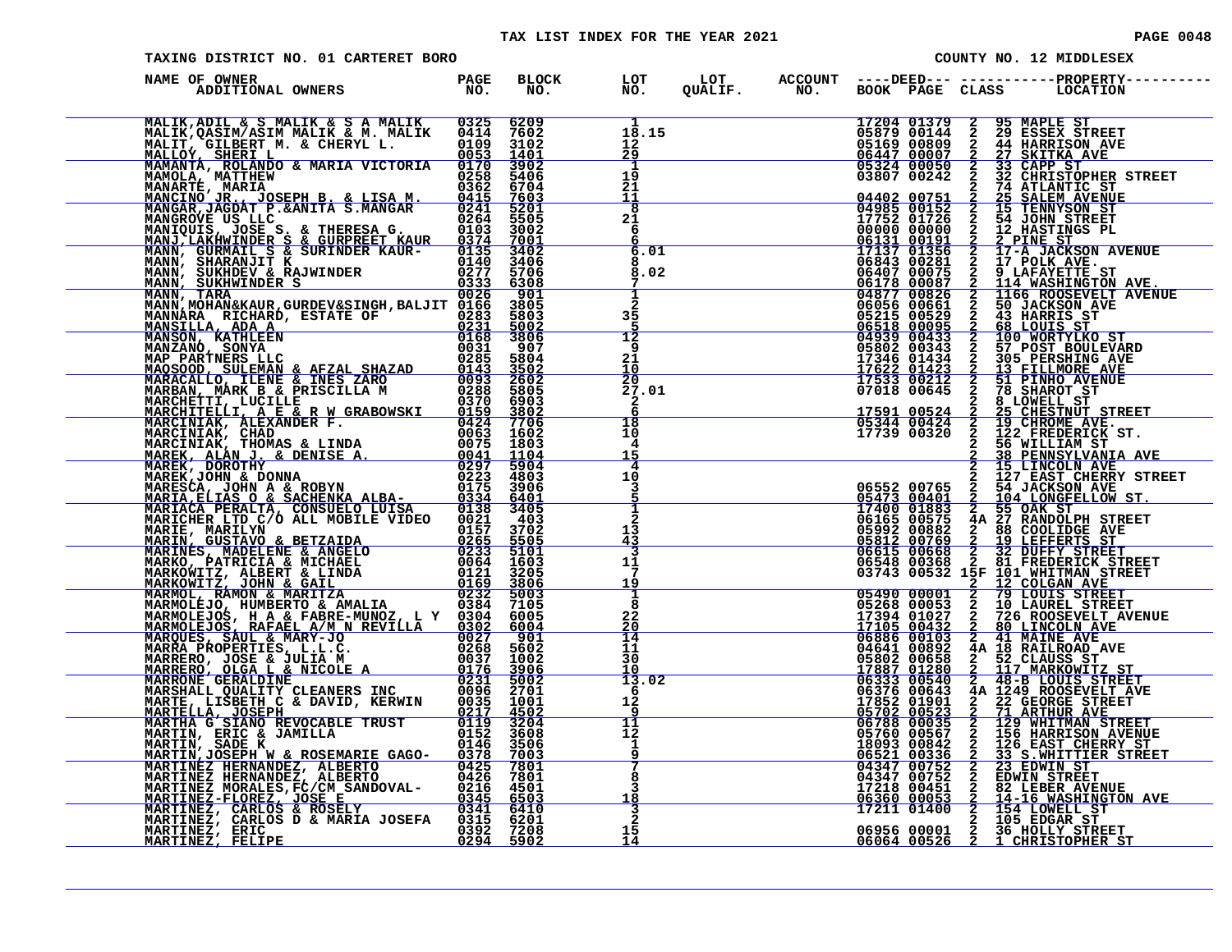#### TAX LIST INDEX FOR THE YEAR 2021 **PAGE 0048** PAGE 0048

| TAXING DISTRICT NO. 01 CARTERET BORO                                                                                                                                                                                                       |                   |                     |                                             |  |                                                                                 |                          | COUNTY NO. 12 MIDDLESEX                                                                                                                                                                                                                                                                                                                                                   |
|--------------------------------------------------------------------------------------------------------------------------------------------------------------------------------------------------------------------------------------------|-------------------|---------------------|---------------------------------------------|--|---------------------------------------------------------------------------------|--------------------------|---------------------------------------------------------------------------------------------------------------------------------------------------------------------------------------------------------------------------------------------------------------------------------------------------------------------------------------------------------------------------|
| NAME OF OWNER<br>ADDITIONAL OWNERS PAGE                                                                                                                                                                                                    |                   | <b>BLOCK</b><br>NO. | LOT<br>NO.                                  |  |                                                                                 |                          |                                                                                                                                                                                                                                                                                                                                                                           |
| ADDITIONAL OWNERS<br>MALIK, ADILI 6 SMALIK & A MALIK<br>MALIK, ADILI 6 SMALIK & A MALIK<br>MALIK, ARSIM/ASIM MALIK & M. MALIK<br>MAMANTA, ROLANDO & MARIA VICTORIA 00233<br>MAMANTA, MATINEW BRANDO & MARIA VICTORIA 00238<br>MAMANTA, MAT |                   |                     | 18.15<br>$12^{\circ}$<br>29                 |  |                                                                                 |                          | COLE 11379 2 35 MAPLE STREET<br>2013 2 35 MAPLE STREET<br>201379 2 35 MAPLE STREET<br>201314 2 25 MAPLE STREET<br>20100012 2 44 HARRISON AVE<br>447 000007 2 33 CAPP STREET<br>3360 000012 2 225 AMARINDOR STREET<br>3360 00000 2 2 225 AMA                                                                                                                               |
|                                                                                                                                                                                                                                            |                   |                     | 1<br>19<br>2ī<br>11                         |  |                                                                                 |                          |                                                                                                                                                                                                                                                                                                                                                                           |
|                                                                                                                                                                                                                                            |                   |                     | $\overline{\mathbf{8}}$<br>21<br>6          |  |                                                                                 |                          |                                                                                                                                                                                                                                                                                                                                                                           |
|                                                                                                                                                                                                                                            |                   |                     | 6.01<br>8<br>8.02                           |  |                                                                                 |                          |                                                                                                                                                                                                                                                                                                                                                                           |
|                                                                                                                                                                                                                                            |                   |                     | $\frac{1}{2}$<br>$\frac{3\overline{5}}{12}$ |  |                                                                                 |                          |                                                                                                                                                                                                                                                                                                                                                                           |
|                                                                                                                                                                                                                                            |                   |                     | 9<br>21<br>10<br>20                         |  |                                                                                 |                          |                                                                                                                                                                                                                                                                                                                                                                           |
|                                                                                                                                                                                                                                            |                   |                     | 27.01<br>$\frac{2}{6}$<br>18                |  |                                                                                 |                          |                                                                                                                                                                                                                                                                                                                                                                           |
|                                                                                                                                                                                                                                            |                   |                     | 10<br>4<br>15<br>4                          |  |                                                                                 |                          |                                                                                                                                                                                                                                                                                                                                                                           |
|                                                                                                                                                                                                                                            |                   |                     | 10<br>3<br>1                                |  |                                                                                 |                          |                                                                                                                                                                                                                                                                                                                                                                           |
|                                                                                                                                                                                                                                            |                   |                     | $\mathbf{2}$<br>13<br><u>43</u><br>3        |  |                                                                                 |                          | $\begin{array}{cccc} 2 & 127 & \texttt{EAST CHERX} & \texttt{STRE} \\ 05473 & 00401 & 2 & 54 & \texttt{JACKSON} & \texttt{AVE} \\ 05473 & 00401 & 2 & 104 & \texttt{LONGFELOW} & \texttt{ST} \\ 17400 & 01883 & 2 & 55 & \texttt{OAK} & \texttt{ST} \\ 05992 & 00575 & 4A & 27 & \texttt{RANDOLPH} & \texttt{STREF} \\ 05992 & 00882 & 2 & 88 & \texttt{COLIDGE} & \text$ |
|                                                                                                                                                                                                                                            |                   |                     | 11<br>7<br>19<br>1                          |  |                                                                                 |                          |                                                                                                                                                                                                                                                                                                                                                                           |
|                                                                                                                                                                                                                                            |                   |                     | 8<br>22<br>20<br>14                         |  | 05490 00001<br>05268 00053<br>17394 01027<br><u>17105 00432<br/>06886 00103</u> |                          | 2 79 LOUIS STREET<br>2 79 LOUIS STREET<br>2 10 LAUREL STREET<br>2 80 LINCOLN AVE<br>2 80 LINCOLN AVE<br>2 41 MAINE AVE<br>4A 18 RAILROAD AVE<br>2 512 CLAUSS ST<br>726 ROOSEVELT AVENUE                                                                                                                                                                                   |
|                                                                                                                                                                                                                                            |                   |                     | 11<br>$\overline{30}$<br>10<br>13.02        |  | 04641 00892<br>05802 00658<br>17887 01280<br>06333 00540                        | $\frac{2}{2}$            | $\begin{tabular}{ c c c c} 2 & 117 & \texttt{MARKOWITZ} & \texttt{ST} \\ 2 & 48-B & \texttt{LOUIS} & \texttt{STREET} \\ 4 \texttt{A} & 1249 & \texttt{ROOSEVELT} & \texttt{AVE} \\ \end{tabular}$                                                                                                                                                                         |
|                                                                                                                                                                                                                                            |                   |                     | -6<br>12<br>9<br>11                         |  | 06376 00643                                                                     | $\overline{\frac{2}{2}}$ | 1249 KOOBE STREET<br>21 ARTHUR AVE<br>129 WHITMAN STREET<br>156 HARRISON AVENUE<br>126 EAST CHERRY<br>126 EAST CHERRY<br>126 EAST CHERRY                                                                                                                                                                                                                                  |
| MARIACA PERAILIN<br>MARICHER LTD C/O MIL MOBILE VIDEO 0021 403<br>MARICHER MARILIN CONSULE VIDEO 0021 37005<br>MARINES, MADELENE & ANGELO 0223 51001<br>MARINES, MADELENE & ANGELO 0223 51001<br>MARKOWITZ, ALBERT & LINDA 00164 15205<br> |                   |                     | īž<br>1<br>9<br>Ť                           |  | 18093 00842                                                                     | $\frac{2}{2}$            | 33 S.WHITTIER STREET<br>23 EDWIN ST<br>23 EDWIN ST                                                                                                                                                                                                                                                                                                                        |
|                                                                                                                                                                                                                                            |                   |                     | 8<br>3<br>18                                |  | <u> 06360 00053 </u><br>17211 01400                                             |                          | 2 33 EDWIN STREET<br>2 EDWIN STREET<br>2 EDWIN STREET<br>2 44-16 MASHINGT<br>2 154 LOWELL ST<br>2 105 EDGAR STREET<br>2 105 EDGAR STRE<br>82 LEBER AVENUE<br>14-16 <u>WASHINGTON AVE</u>                                                                                                                                                                                  |
| MARTINEZ, ERIC<br>MARTINEZ, FELIPE                                                                                                                                                                                                         | 0392 7208<br>0294 | 5902                | $\frac{3}{2}$<br>15<br>14                   |  |                                                                                 |                          | 06956 00001 2 36 HOLLY STREET<br>06064 00526 2 1 CHRISTOPHER ST                                                                                                                                                                                                                                                                                                           |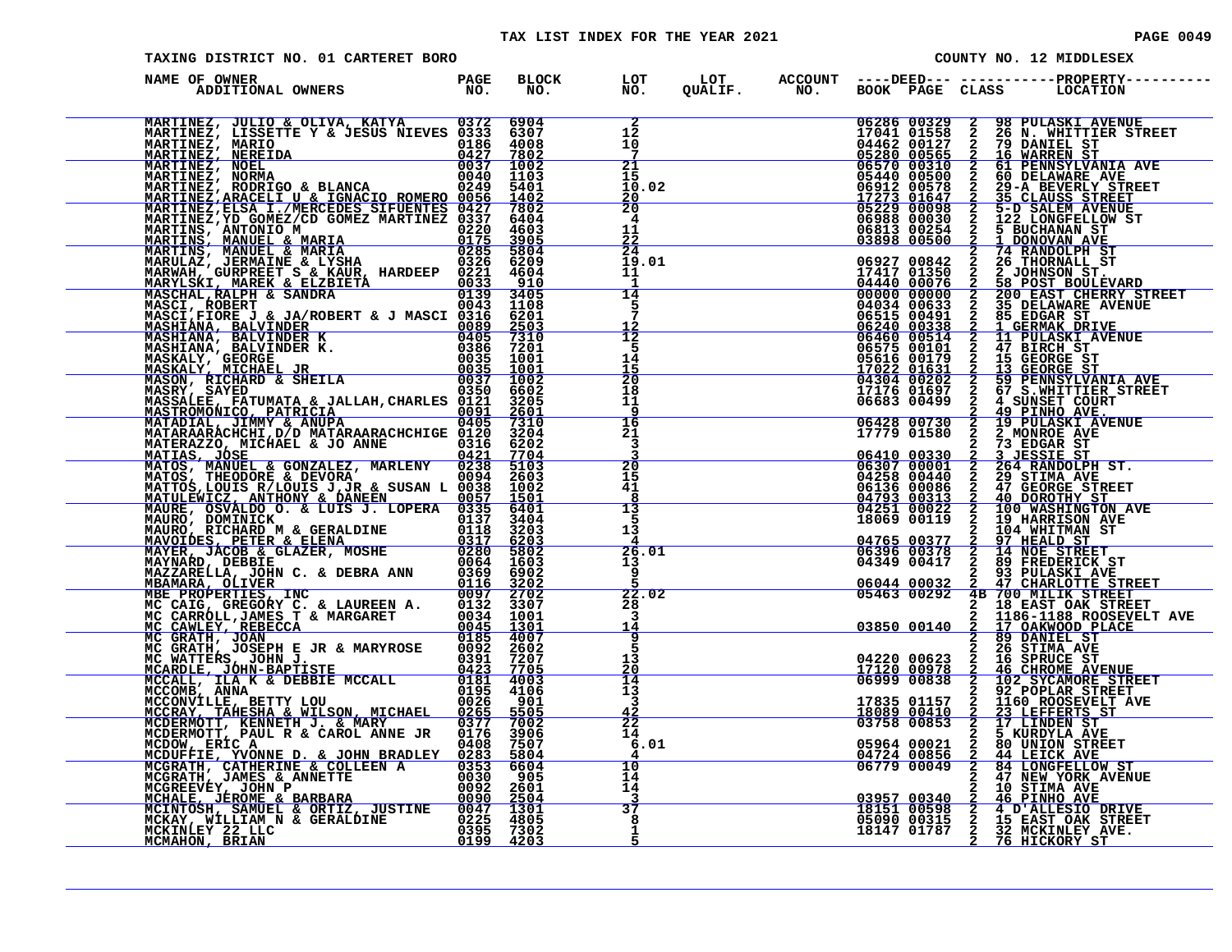#### TAX LIST INDEX FOR THE YEAR 2021 **PAGE 0049** PAGE 0049

| TAXING DISTRICT NO. 01 CARTERET BORO                                                                                                                                                                                                         |                        |                      |                                             |  |                                                                          |                            |                                              | COUNTY NO. 12 MIDDLESEX                                                                                                                                                                                                                                                                                                                                                                                           |  |
|----------------------------------------------------------------------------------------------------------------------------------------------------------------------------------------------------------------------------------------------|------------------------|----------------------|---------------------------------------------|--|--------------------------------------------------------------------------|----------------------------|----------------------------------------------|-------------------------------------------------------------------------------------------------------------------------------------------------------------------------------------------------------------------------------------------------------------------------------------------------------------------------------------------------------------------------------------------------------------------|--|
| NAME OF OWNER                                                                                                                                                                                                                                |                        | BLOCK LOT<br>NO. NO. |                                             |  |                                                                          |                            |                                              |                                                                                                                                                                                                                                                                                                                                                                                                                   |  |
| MARTINEZ, JULIO & OLIVA, KATYA $10372$ 6904<br>MARTINEZ, LISSETTE Y & JESUS NIEVES 0333 6307<br>MARTINEZ, MARIO 0186 4008<br>MARTINEZ, NEREIDA 0427 7802<br>MARTINEZ, NORMA 0037 1002<br>MARTINEZ, NORMA 00340 11002<br>MARTINEZ, RODRIGO    |                        |                      | $\overline{1\overline{2}}$<br>10<br>7       |  | 17041 01558<br>04462 00127<br>05280 00565<br>06570 00310                 | 06286 00329                |                                              | 2 98 PULASKI AVENUE<br>2 26 N. WHITTLER STREET<br>2 79 DANIEL ST<br>2 16 WARREN ST                                                                                                                                                                                                                                                                                                                                |  |
|                                                                                                                                                                                                                                              |                        |                      | 21<br>15<br>10.02<br>$\frac{20}{20}$        |  | 06912 00578<br><u>17273 01647</u><br>05229 00098                         | 05440 00500                | $\frac{1}{2}$<br>$\frac{2}{2}$               | 61 PENNSYLVANIA AVE<br>60 DELAWARE AVE<br>29-A BEVERLY STREET<br>35 CLAUSS STREET<br>5-D SALEM AVENUE                                                                                                                                                                                                                                                                                                             |  |
| MARTINEZ, ERAGGELT UT FITORICO ROMERO (1958)<br>MARTINEZ, ELEA ILIVERO DE SERVIENTES (1972) 64603<br>MARTINEZ, ELEA ILIVERO DE MARIA (1972) 64603<br>MARTINEZ, MANUEL & MARIA (1972) 64603<br>MARTINE, MANUEL & MARIA FRAUD, 19722 666       |                        |                      | 4<br>11<br>$\frac{2\overline{2}}{24}$       |  | 06813 00254<br>03898 00500                                               | 06988 00030                |                                              | 2 122 LONGFELLOW ST<br>2 5 BUCHANAN ST                                                                                                                                                                                                                                                                                                                                                                            |  |
|                                                                                                                                                                                                                                              |                        |                      | 19.01<br>11<br>$\mathbf{1}$<br>14           |  | 17417 01350<br>04440 00076<br>00000 00000                                | 06927 00842                |                                              | 2 5 BUCHANAN ST<br>2 74 RANDOLPH ST<br>2 26 THORNALL ST<br>2 25 JOHNSON ST.<br>2 25 DELANACH EVILLEV<br>2 35 DELAWARE AVE<br>2 JOHNSON ST.<br>58 POST BOULEVARD<br>200 EAST CHERRY STREET<br>35 DELAWARE AVENUE                                                                                                                                                                                                   |  |
|                                                                                                                                                                                                                                              |                        |                      | 5<br>$\bar{7}$<br>$\frac{12}{12}$           |  | 04034 00633<br>06515 00491<br>06240 00338                                |                            |                                              |                                                                                                                                                                                                                                                                                                                                                                                                                   |  |
|                                                                                                                                                                                                                                              |                        |                      | 5<br>14<br>īš<br>20                         |  | 064575 00514<br>05616 00101<br>17022 01631<br>04304 00202<br>17176 01692 |                            |                                              | 2 85 EDGAR ST<br>2 1 GERMAK DRIVE<br>2 11 PULASKI AVENUE<br>2 15 GEORGE ST<br>2 15 GEORGE ST<br>2 59 FENNSYLVANIA AV<br>2 67 S.WHITTER STRE<br>2 49 PINHO AVE.<br>2 19 PULASKI AVENUE<br>2 2 MONROE AVE.<br>2 2 MONROE AVE.<br>2 3 EDGAR ST<br><b>85 EDGAR ST<br/>1 GERMAK DRIVE<br/>47 BIRCH ST<br/>47 BIRCH ST<br/>15 GEORGE ST<br/>59 PENNSYLVANIA AVE<br/>67 S. WHITTLER STREET<br/>67 S. WHITTLER STREET</b> |  |
|                                                                                                                                                                                                                                              |                        |                      | 18<br>11<br>9<br>$\frac{16}{21}$            |  | 06428 00730                                                              | 06683 00499                |                                              |                                                                                                                                                                                                                                                                                                                                                                                                                   |  |
|                                                                                                                                                                                                                                              |                        |                      | 3<br>20                                     |  | 17779 01580<br>06410 00330<br>06307 00001                                |                            |                                              |                                                                                                                                                                                                                                                                                                                                                                                                                   |  |
|                                                                                                                                                                                                                                              |                        |                      | 15<br>41<br>8<br>13                         |  | 06136 00086<br>04793 00313                                               | 04258 00440<br>04251 00022 |                                              | 2 3 JESSIE ST<br>2 264 RANDOLPH ST.<br>2 264 RANDOLPH ST.<br>2 29 STIMA AVE<br>2 47 GEORGE STREET<br>2 100 WASHINGTON AVE<br>2 100 WASHINGTON AVE<br>2 104 WHITMAN ST<br>100 WASHINGTON AVE<br>19 HARRISON AVE                                                                                                                                                                                                    |  |
|                                                                                                                                                                                                                                              |                        |                      | 5<br>13<br>26.01                            |  | 18069 00119<br>04765 00377<br>06396 00378                                |                            | $\frac{2}{2}$                                | 97 HEALD ST<br>14 NOE STREET                                                                                                                                                                                                                                                                                                                                                                                      |  |
|                                                                                                                                                                                                                                              |                        |                      | 13<br>٩<br>22.02                            |  | 06044 00032<br>05463 00292                                               | 04349 00417                |                                              | 89 FREDERICK ST<br>2 93 PULASKI AVE<br>2 47 CHARLOTTE STREET<br>4B 700 MILIK STREET                                                                                                                                                                                                                                                                                                                               |  |
|                                                                                                                                                                                                                                              |                        |                      | 28<br>3<br>14<br>$\overline{9}$             |  |                                                                          |                            |                                              | 2 18 EAST OAK STREET<br>2 1186-1188 ROOSEVELT AVE<br>03850 00140 2 1186-1188 ROOSEVELT AVE<br>2 89 DANIEL ST                                                                                                                                                                                                                                                                                                      |  |
|                                                                                                                                                                                                                                              |                        |                      | 5<br>13<br>20<br>14                         |  | <u>17120 00978</u><br>06999 00838                                        |                            | $\frac{\overline{2}}{2}$                     | 2 26 STIMA AVE<br>04220 00623 2 16 SPRUCE ST<br>46 CHROME AVENUE<br>102 SYCAMORE STREET<br>92 POPLAR STREET                                                                                                                                                                                                                                                                                                       |  |
|                                                                                                                                                                                                                                              |                        |                      | $\overline{1}\overline{3}$<br>3<br>42<br>22 |  | 17835 01157                                                              | 18089 00410<br>03758 00853 | $\overline{a}$<br>$\bar{2}$<br>$\frac{2}{2}$ | 1160 ROOSEVELT AVE<br>23 LEFFERTS ST<br>17 LINDEN ST                                                                                                                                                                                                                                                                                                                                                              |  |
|                                                                                                                                                                                                                                              |                        |                      | 14<br>6.01<br>$\overline{10}$<br>14         |  | 04724 00856<br>06779 00049                                               | 05964 00021                | $\bar{2}$<br>$\frac{2}{2}$<br>$\mathbf{2}$   | 5 KURDYLA AVE<br><b>80 UNION STREET</b><br>44 LEICK AVE<br>84 LONGFELLOW ST                                                                                                                                                                                                                                                                                                                                       |  |
| MCDOW, ERIC A COLLEEN A<br>MCOUFFIE, YVONNE D. & JOHN BRADLEY 0283 5804<br>MCGRATH, CATHERINE & COLLEEN A 0353 6604<br>MCGREWY, JOHN P<br>MCGREWY, JOHN P<br>MCGREWY, JOHN PERIARA 0090 2500<br>MCHALE, JEROME & BARBARA 0090 2504<br>MCKAY, |                        |                      | 14<br>37<br>8                               |  | 03957 00340<br>18151 00598                                               | 05090 00315                |                                              | 47 NEW YORK AVENUE<br>2 10 STIMA AVE<br>2 46 PINHO AVE<br>2 4 D'ALLESIO DRIVE<br>2 15 EAST OAK STREET                                                                                                                                                                                                                                                                                                             |  |
| MCKINLEY 22 LLC<br>MCMAHON, BRIAN                                                                                                                                                                                                            | 0395 7302<br>0199 4203 |                      | 1<br>5                                      |  |                                                                          | 18147 01787                |                                              | 2 32 MCKINLEY AVE.<br>2 76 HICKORY ST                                                                                                                                                                                                                                                                                                                                                                             |  |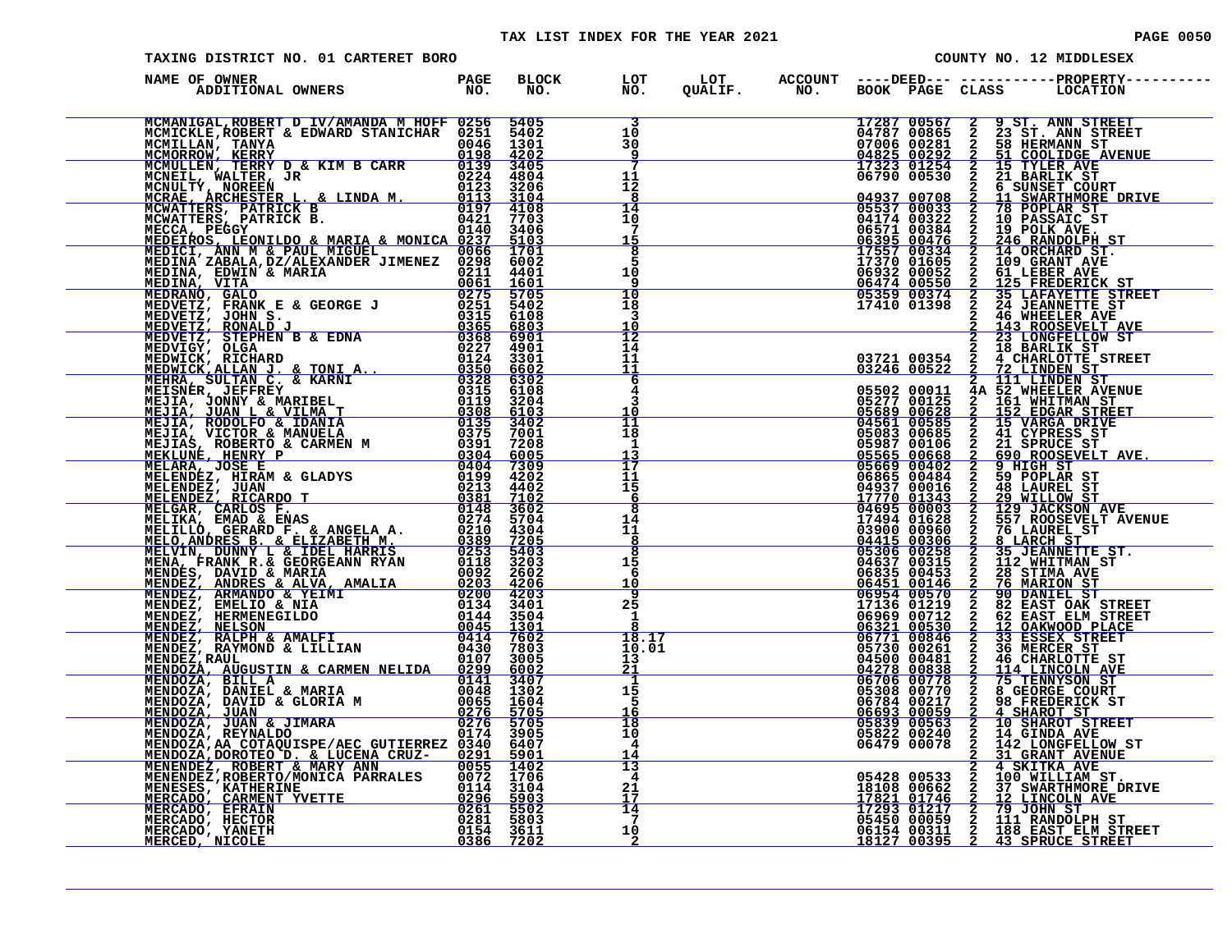# TAX LIST INDEX FOR THE YEAR 2021 **PAGE 0050** PAGE 0050

| 00.<br>PAGE |
|-------------|
|             |

| TAXING DISTRICT NO. 01 CARTERET BORO                                                                                                                                                                                                       |  |                                                                   |                                                        |  |  | COUNTY NO. 12 MIDDLESEX                                                                                                                                                                                                                                                                                                                                  |
|--------------------------------------------------------------------------------------------------------------------------------------------------------------------------------------------------------------------------------------------|--|-------------------------------------------------------------------|--------------------------------------------------------|--|--|----------------------------------------------------------------------------------------------------------------------------------------------------------------------------------------------------------------------------------------------------------------------------------------------------------------------------------------------------------|
| NAME OF OWNER                                                                                                                                                                                                                              |  |                                                                   |                                                        |  |  | BLOCK LOT LOT ACCOUNT ----DEED--- -----------PROPERTY----<br>NO. NO. QUALIF. NO. BOOK PAGE CLASS LOCATION                                                                                                                                                                                                                                                |
| MCMANIGAL, ROBERT D IV/AMANDA M HOFF 0256 5405<br>MCMICKLE, ROBERT & EDWARD STANICHAR 0251 5402                                                                                                                                            |  | $\overline{\mathbf{3}}$<br>10 <sup>°</sup><br>30<br>$\frac{9}{7}$ |                                                        |  |  | 17287 00567 2 9 ST. ANN STREET<br>04787 00865 2 23 ST. ANN STREET<br>07006 00281 2 58 HERMANN ST<br>04825 00292 2 51 COOLIDGE AVENUE<br>17323 01254 2 15 TYLER AVE<br>06790 00530 2 21 BARLIK ST.                                                                                                                                                        |
| MCMICKLE, ROBERT & EDWARD STANICHAR 0246 1301<br>MCMILLAN, TANYA 0251 0246 1301<br>MCMORROW, KERRY 02<br>MCMORROW, KERRY 02<br>MCNORIL, WALTER, J& KIM B CARR 0224 4804<br>MCNEIL, WALTER, J& LINDA M. 0123 3206<br>MCRAE ARCHESTER L. & L |  | 11<br>12<br>8                                                     |                                                        |  |  | 51 COOLIDGE AVENUE<br>15 TYLER AVE<br>21 BARLIK ST                                                                                                                                                                                                                                                                                                       |
|                                                                                                                                                                                                                                            |  | 14<br>$^{10}$<br><u> 15</u>                                       | <u> Alexandria (h. 1878).</u><br>Alexandria (h. 1872). |  |  |                                                                                                                                                                                                                                                                                                                                                          |
| MEDEIROS, LEONILDO & MARIA & MONICA 0237 5103<br>MEDICI, ANN M & PAUL MIGUEL 0066 1701<br>MEDINA ZABALA, DZ/ALEXANDER JIMENEZ 0298 6002                                                                                                    |  | $rac{8}{5}$<br>10<br>-9                                           |                                                        |  |  | $\begin{tabular}{cccc} 06790 & 00530 & 2 & 21 & \text{BARLILK ST} \\ \hline 04937 & 00708 & 2 & 11 & \text{SNARITHMORE DRLVE} \\ \hline 05537 & 00033 & 2 & 78 & \text{POPLAR ST} \\ 04174 & 00322 & 2 & 10 & \text{POLAR ST} \\ 06571 & 00384 & 2 & 19 & \text{POLK AVE.} \\ \hline 06395 & 00476 & 2 & 246 & \text{RANDOLPH ST} \\ \hline 17370 & 013$ |
|                                                                                                                                                                                                                                            |  | 10<br>18<br>3<br>10                                               |                                                        |  |  | 05359 00374 2 35 LAFAYETTE STREET<br>17410 01398 2 24 JEANNETTE STREET<br>2 46 WHEELER AVE<br>143 ROOSEVELT AVE<br>23 LONGFELLOW ST                                                                                                                                                                                                                      |
|                                                                                                                                                                                                                                            |  | $\overline{1}\overline{2}$<br>14<br>11<br>11                      |                                                        |  |  |                                                                                                                                                                                                                                                                                                                                                          |
|                                                                                                                                                                                                                                            |  | 6<br>4<br>3<br>10                                                 |                                                        |  |  |                                                                                                                                                                                                                                                                                                                                                          |
|                                                                                                                                                                                                                                            |  | $\overline{11}$<br>18<br>1<br>13                                  |                                                        |  |  |                                                                                                                                                                                                                                                                                                                                                          |
|                                                                                                                                                                                                                                            |  | 17<br>11<br>15<br>-6                                              |                                                        |  |  |                                                                                                                                                                                                                                                                                                                                                          |
|                                                                                                                                                                                                                                            |  | 8<br>14<br>11<br>$rac{8}{8}$                                      |                                                        |  |  |                                                                                                                                                                                                                                                                                                                                                          |
|                                                                                                                                                                                                                                            |  | 15<br>6<br><u> 10</u>                                             |                                                        |  |  |                                                                                                                                                                                                                                                                                                                                                          |
|                                                                                                                                                                                                                                            |  | $\frac{9}{25}$<br>1<br>18.17                                      |                                                        |  |  |                                                                                                                                                                                                                                                                                                                                                          |
|                                                                                                                                                                                                                                            |  | 10.01<br>13<br>21                                                 |                                                        |  |  |                                                                                                                                                                                                                                                                                                                                                          |
|                                                                                                                                                                                                                                            |  | 1<br>15<br>5                                                      |                                                        |  |  |                                                                                                                                                                                                                                                                                                                                                          |
|                                                                                                                                                                                                                                            |  | 18<br>10<br>4<br>$\frac{14}{13}$                                  |                                                        |  |  |                                                                                                                                                                                                                                                                                                                                                          |
| WEDETROS TREATA ARRESTA EN MENERA MENDEZ ANGELARI EN MENERA EN EN MENERA EN EN MENERA EN EN MENERA EN EN CONTRA<br>MEDIAN EN MARIA DE ANGER (1974), 1974), 1974 (1975), 1974), 1974 (1975), 1974), 1974 (1975), 1974), 1974 (197           |  | 4<br>17                                                           |                                                        |  |  | 05428 00533 2 4 SKITKA AVE<br>18108 00662 2 37 SWARTHMORE DRIVE<br>17293 01217 2 79 JOHN ST<br>06450 000559 2 12 LINCOLN AVE<br>17293 01217 2 79 JOHN ST<br>06154 0035 2 138 EAST ELM STREET<br>18127 00395 2 43 SPRUCE STREET                                                                                                                           |
|                                                                                                                                                                                                                                            |  | 14<br>-7<br>10<br>- 2                                             |                                                        |  |  |                                                                                                                                                                                                                                                                                                                                                          |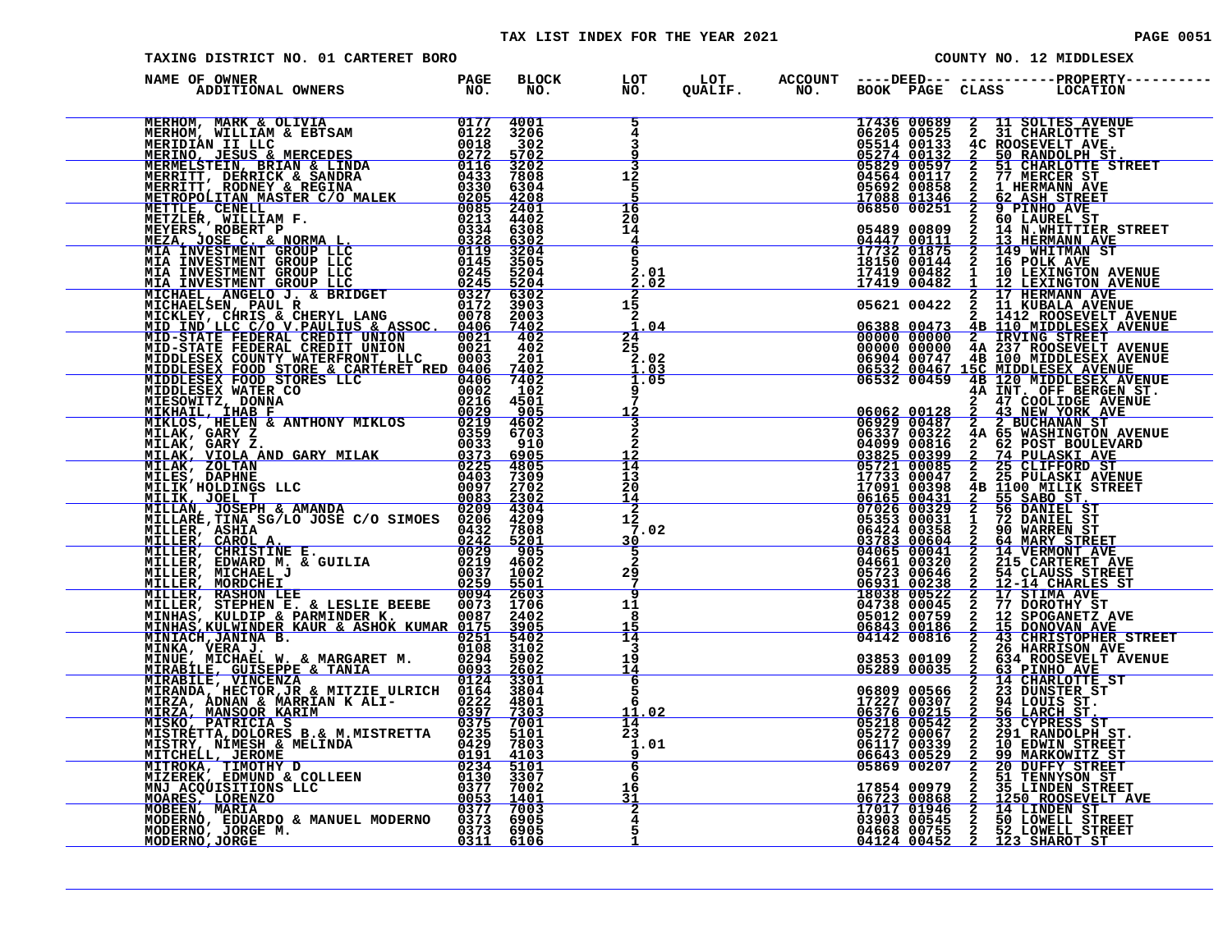| PAGE | 0051 |  |
|------|------|--|
|      |      |  |

| TAXING DISTRICT NO. 01 CARTERET BORO                                                                                                                                                                                          |  |                                                       |                                                      |  | COUNTY NO. 12 MIDDLESEX |
|-------------------------------------------------------------------------------------------------------------------------------------------------------------------------------------------------------------------------------|--|-------------------------------------------------------|------------------------------------------------------|--|-------------------------|
| NAME OF OWNER                                                                                                                                                                                                                 |  |                                                       |                                                      |  |                         |
|                                                                                                                                                                                                                               |  | $\overline{5}$<br>4<br>3<br>۰q                        |                                                      |  |                         |
|                                                                                                                                                                                                                               |  | 3<br>$1\bar{2}$<br>Έ.<br>16                           |                                                      |  |                         |
|                                                                                                                                                                                                                               |  | 2ŏ<br>$\bar{1}\bar{4}$<br>$\overline{4}$<br>6         |                                                      |  |                         |
|                                                                                                                                                                                                                               |  | 2.01<br>2.02<br>$1\overline{5}$                       |                                                      |  |                         |
|                                                                                                                                                                                                                               |  | 2<br><u>1.04</u><br>24                                |                                                      |  |                         |
|                                                                                                                                                                                                                               |  | 25<br>$\frac{2.02}{1.03}$<br>$\frac{1.03}{1.05}$<br>9 |                                                      |  |                         |
|                                                                                                                                                                                                                               |  | 7<br>$\frac{1\dot{2}}{2}$                             |                                                      |  |                         |
|                                                                                                                                                                                                                               |  | $\frac{1\overline{2}}{1\overline{4}}$<br>13<br>20     |                                                      |  |                         |
| NAME OF OWNER AND INTERNATIONAL CREDIT IN A BIODULES IN THE RANGE CONSULT AND MANUSING A STRONG AND MANUSING A STRONG AND COLLEGED CREDIT IN A STRONG COLLEGED CREDIT IN A COLLEGED CREDIT CREDIT INTO CREDIT IN A COLLEGED C |  | 14<br>2<br>$12 \overline{ }$<br>7.02<br>30            |                                                      |  |                         |
|                                                                                                                                                                                                                               |  | 5<br>$\overline{2}$<br>29<br>7                        |                                                      |  |                         |
|                                                                                                                                                                                                                               |  | $\overline{g}$<br>11<br>8<br>14                       |                                                      |  |                         |
|                                                                                                                                                                                                                               |  | 3<br>19<br>$\overline{14}$<br>6                       |                                                      |  |                         |
|                                                                                                                                                                                                                               |  | 5<br>11.02<br>14                                      |                                                      |  |                         |
|                                                                                                                                                                                                                               |  | $\overline{2}\overline{3}$<br>$\frac{1}{9}$ .01<br>6  | $\begin{array}{c} 1.01 \\ 9 \\ \hline 6 \end{array}$ |  |                         |
|                                                                                                                                                                                                                               |  | 16<br>$\frac{31}{2}$                                  |                                                      |  |                         |
|                                                                                                                                                                                                                               |  |                                                       |                                                      |  |                         |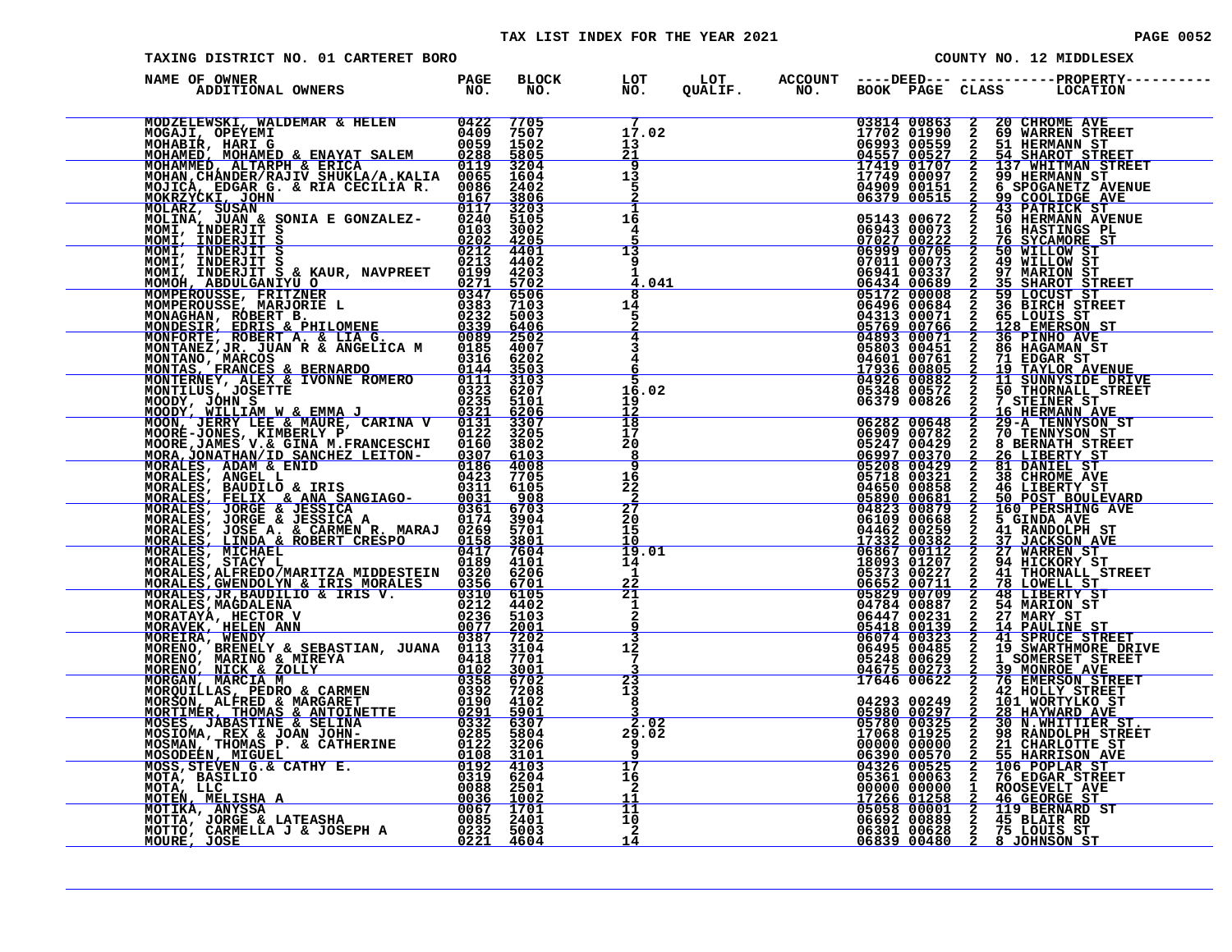#### TAX LIST INDEX FOR THE YEAR 2021 **PAGE 10052** PAGE 0052

| TAXING DISTRICT NO. 01 CARTERET BORO                                                                                                                                                                                           |  |                                             |  |                                           |                                | COUNTY NO. 12 MIDDLESEX                                                                                  |
|--------------------------------------------------------------------------------------------------------------------------------------------------------------------------------------------------------------------------------|--|---------------------------------------------|--|-------------------------------------------|--------------------------------|----------------------------------------------------------------------------------------------------------|
| NAME OF OWNER                                                                                                                                                                                                                  |  |                                             |  |                                           |                                | BLOCK LOT LOT ACCOUNT ----DEED--- -----------PROPERTY---<br>NO. NO. QUALIF. NO. BOOK PAGE CLASS LOCATION |
| NAME OF ONE ELOCAL SE E PERIODE PROPIETO NO CONSUMER PROPIETO NO CONSUMER PROPIETO NO CONSUMER PROPIETO NO CONSUMER PROPIETO NO CONSUMER PROPIETO NO CONSUMER PROPIETO NO CONSUMER PROPIETO NO CONSUMER PROPIETO NO CONSUMER P |  | 17.02<br>13<br><u>21</u>                    |  |                                           |                                |                                                                                                          |
|                                                                                                                                                                                                                                |  | $\overline{9}$<br>$1\overline{3}$<br>5      |  |                                           |                                |                                                                                                          |
|                                                                                                                                                                                                                                |  | $\frac{1}{16}$<br>4<br>13                   |  |                                           |                                |                                                                                                          |
|                                                                                                                                                                                                                                |  | 9<br>п.<br>4.041                            |  |                                           |                                |                                                                                                          |
|                                                                                                                                                                                                                                |  | 14<br>5<br>$\overline{4}$<br>$\overline{3}$ |  |                                           |                                |                                                                                                          |
|                                                                                                                                                                                                                                |  | 4<br>6<br>16.02                             |  |                                           |                                |                                                                                                          |
|                                                                                                                                                                                                                                |  | $\frac{19}{12}$<br>$\overline{18}$<br>īž    |  |                                           |                                |                                                                                                          |
|                                                                                                                                                                                                                                |  | Σó<br>8<br>$\overline{9}$<br>16             |  |                                           |                                |                                                                                                          |
|                                                                                                                                                                                                                                |  | $\frac{22}{2}$<br>$\frac{27}{20}$<br>15     |  |                                           |                                |                                                                                                          |
|                                                                                                                                                                                                                                |  | 19.01<br>14<br>1<br><u>22</u>               |  |                                           |                                |                                                                                                          |
|                                                                                                                                                                                                                                |  | 21<br>1<br>$\overline{a}$<br>$\frac{9}{3}$  |  |                                           |                                |                                                                                                          |
|                                                                                                                                                                                                                                |  | 12<br>$7\phantom{.0}$                       |  | 05248 00629<br>04675 00273<br>17646 00622 | $\frac{2}{3}$<br>$\frac{2}{2}$ | 1 SOMERSET STREET<br>39 MONROE AVE<br>76 EMERSON STREET                                                  |
|                                                                                                                                                                                                                                |  | $\frac{3}{23}$<br>13<br>8<br>2.02           |  |                                           |                                | 42 HOLLY STREET                                                                                          |
|                                                                                                                                                                                                                                |  | 29.02<br>9<br>17                            |  |                                           |                                |                                                                                                          |
|                                                                                                                                                                                                                                |  | 16<br>$\mathbf{2}$<br>11<br>11              |  |                                           |                                |                                                                                                          |
|                                                                                                                                                                                                                                |  | 10<br>$\mathbf{2}$<br>14                    |  |                                           |                                |                                                                                                          |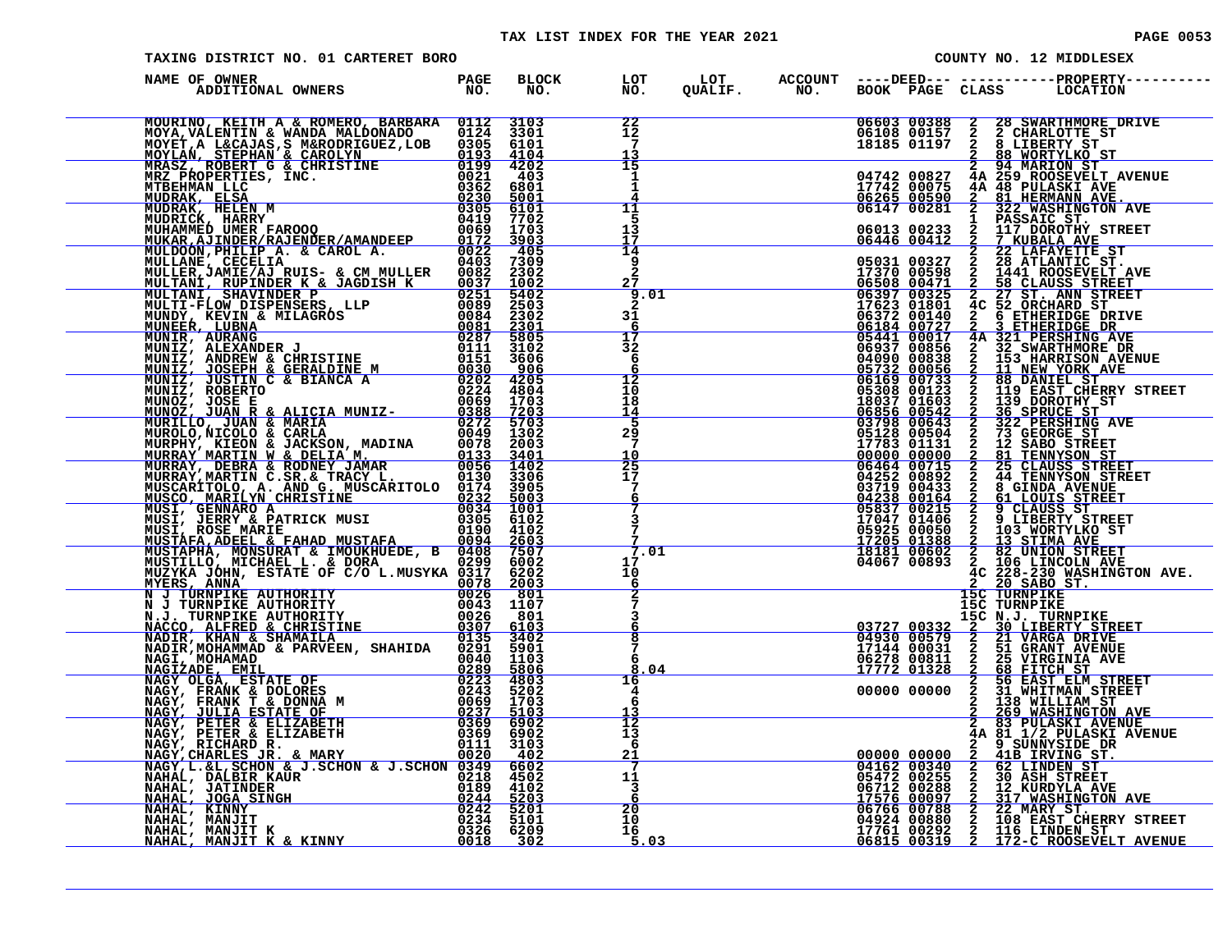| TAXING DISTRICT NO. 01 CARTERET BORO                                                                                                                                                                                          |  |                                             |  |                            |                                     | COUNTY NO. 12 MIDDLESEX                                                                                                                                                                                                                            |
|-------------------------------------------------------------------------------------------------------------------------------------------------------------------------------------------------------------------------------|--|---------------------------------------------|--|----------------------------|-------------------------------------|----------------------------------------------------------------------------------------------------------------------------------------------------------------------------------------------------------------------------------------------------|
| NAME OF OWNER                                                                                                                                                                                                                 |  |                                             |  |                            |                                     |                                                                                                                                                                                                                                                    |
| NAME OF OWNER A ENERGY MODEL (MERICA MINITED 110 111 2000 111 2000 111 2000 111 2000 111 2000 111 2000 111 2000 111 2000 111 2000 111 2000 111 2000 111 2000 111 2000 111 2000 111 2000 111 2000 111 2000 111 2000 111 2000 1 |  | 22<br>12<br>7<br>13                         |  |                            |                                     | 06603 00388 2 28 SWARTHMORE DRIVE<br>06108 00157 2 2 CHARLOTTE ST<br>18185 01197 2 8 LIBERTY ST<br>2 88 MORTYLKO ST                                                                                                                                |
|                                                                                                                                                                                                                               |  | 15<br>1<br>1<br>11                          |  | 04742 00827<br>17742 00075 |                                     | 2 94 MARION ST<br>4A 259 ROOSEVELT AVENUE<br>4A 48 PULASKI AVE<br>2 81 HERMANN AVE.<br>2 322 WASHINGTON AVE                                                                                                                                        |
|                                                                                                                                                                                                                               |  | 5<br>13<br>17<br>14                         |  |                            |                                     |                                                                                                                                                                                                                                                    |
|                                                                                                                                                                                                                               |  | 9<br>$\overline{2}$<br>27<br>9.01           |  |                            |                                     |                                                                                                                                                                                                                                                    |
|                                                                                                                                                                                                                               |  | $\overline{2}$<br>31<br>$\frac{6}{17}$      |  |                            |                                     |                                                                                                                                                                                                                                                    |
|                                                                                                                                                                                                                               |  | 6<br>$\frac{12}{10}$                        |  |                            |                                     |                                                                                                                                                                                                                                                    |
|                                                                                                                                                                                                                               |  | 18<br>$\frac{14}{5}$                        |  |                            |                                     |                                                                                                                                                                                                                                                    |
|                                                                                                                                                                                                                               |  | $2\frac{5}{7}$<br>$\frac{10}{25}$<br>17     |  |                            |                                     |                                                                                                                                                                                                                                                    |
|                                                                                                                                                                                                                               |  | $\frac{7}{6}$<br>$\frac{7}{3}$              |  |                            |                                     |                                                                                                                                                                                                                                                    |
|                                                                                                                                                                                                                               |  | 7<br>7.01<br>17                             |  |                            |                                     |                                                                                                                                                                                                                                                    |
|                                                                                                                                                                                                                               |  | 10<br>6<br>$\frac{2}{7}$                    |  |                            | <b>15C TURNPIKE</b><br>15C TURNPIKE |                                                                                                                                                                                                                                                    |
|                                                                                                                                                                                                                               |  | 3<br>6<br>$\overline{8}$<br>$7\phantom{.0}$ |  |                            |                                     | 1987 10832 2 30 LIBERTY STREET<br>03727 00332 2 30 LIBERTY STREET<br>04930 00579 2 21 VARGA DRIVE<br>17144 00031 2 51 GRANT AVENUE<br>17772 01328 2 68 FITCH ST<br>17772 01328 2 68 FITCH ST<br>00000 00000 2 31 WHTTAM STREET<br>00000 0000       |
|                                                                                                                                                                                                                               |  | 6<br>8.04<br>16<br>4                        |  |                            |                                     |                                                                                                                                                                                                                                                    |
|                                                                                                                                                                                                                               |  | 6<br>13<br>$\overline{12}$<br>13            |  |                            | $\overline{a}$                      | 138 WILLIAM ST<br>2 269 WASHINGTON AVE<br>2 83 PULASKI AVENUE<br>4A 81 1/2 PULASKI AVENUE<br>2 9 SUNNYSIDE DR                                                                                                                                      |
|                                                                                                                                                                                                                               |  | 6<br>$\frac{21}{7}$                         |  |                            | $\frac{\overline{2}}{2}$            | 41B IRVING ST.<br>62 LINDEN ST                                                                                                                                                                                                                     |
|                                                                                                                                                                                                                               |  | 1Ō                                          |  |                            |                                     | 05472 00255 2 30 ASH STREET<br>05472 00255 2 30 ASH STREET<br>06712 00288 2 12 KURDYLA AVE<br>06756 00097 2 317 WASHINGTON AVE<br>20<br>06766 00788 2 22 MARY ST.<br>06766 00788 2 22 MARY ST.<br>16<br>17761 00292 2 116 EINDEN ST<br>5.03<br>068 |
|                                                                                                                                                                                                                               |  | $-5.03$                                     |  |                            |                                     |                                                                                                                                                                                                                                                    |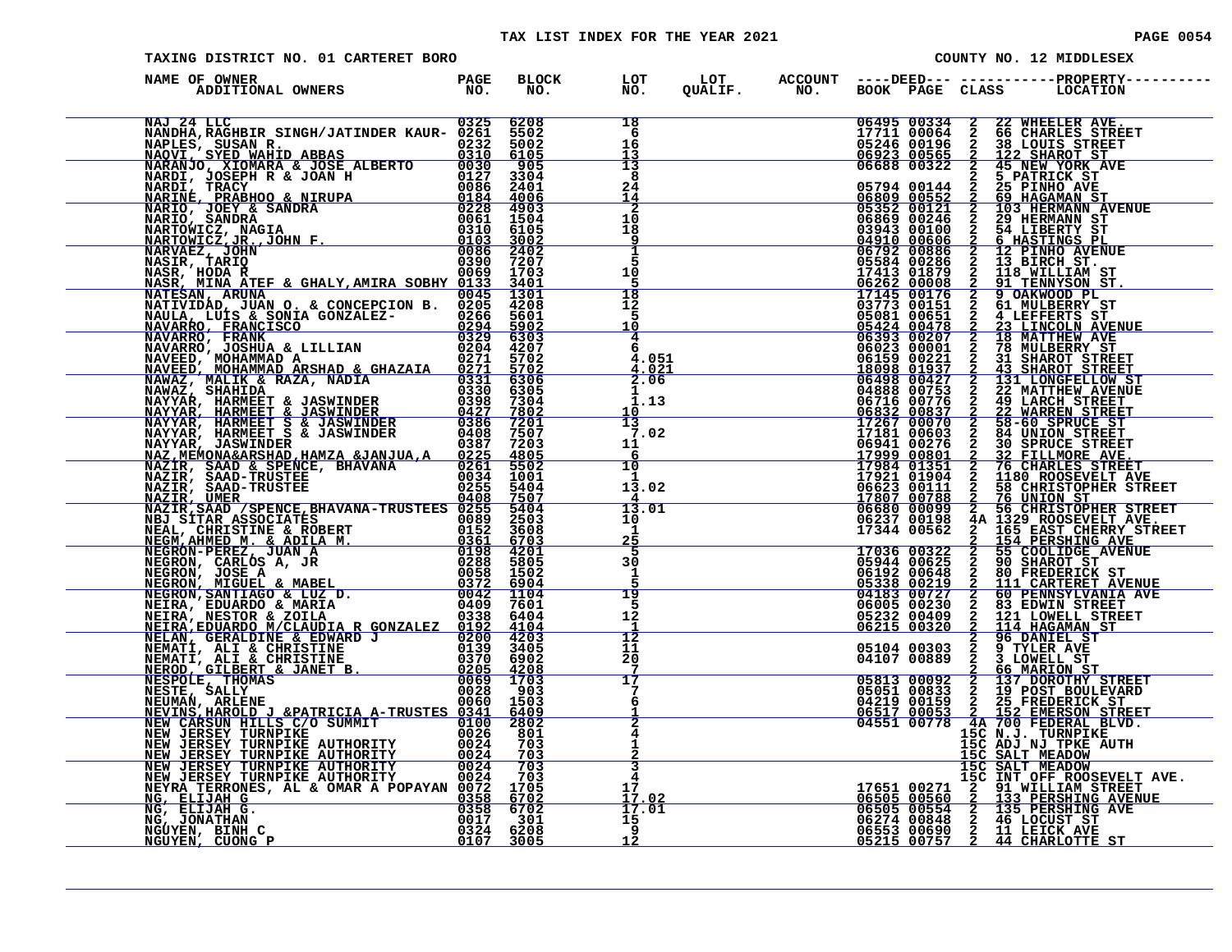| TAXING DISTRICT NO. 01 CARTERET BORO                                                                                                                                                                                          |              |                                                    |  |                                                                                                                                 | COUNTY NO. 12 MIDDLESEX                                                                                                                                                                                                                                    |
|-------------------------------------------------------------------------------------------------------------------------------------------------------------------------------------------------------------------------------|--------------|----------------------------------------------------|--|---------------------------------------------------------------------------------------------------------------------------------|------------------------------------------------------------------------------------------------------------------------------------------------------------------------------------------------------------------------------------------------------------|
| NAME OF OWNER                                                                                                                                                                                                                 | BLOCK<br>NO. | LOT<br>NO<br>NO.                                   |  |                                                                                                                                 |                                                                                                                                                                                                                                                            |
| NAME OF OWNER SINGLE SERVICE PROPERT ANNEHING CONSUMER AND CONSUMER AND CONSUMER AND CONSUMER AND CONSUMER AND CONSUMER CONSUMER AND CONSUMER CONSUMER CONSUMER CONSUMER CONSUMER CONSUMER CONSUMER CONSUMER CONSUMER CONSUME |              | 18<br>6<br>16<br>13                                |  |                                                                                                                                 | VOLLIP. MO. BOOK FASE CLASS 22 MIELER AVERICANS IN A 22 MIELER AVERICANS CORRESPONDED TO a 22 MIELER AVERICANS IN A 22 STRAIN STREET CORRESPONDED TO a 24 MIN. THE CORRESPONDED TO a 24 MIN. THE CORRESPONDED TO a 24 MIN. TH                              |
|                                                                                                                                                                                                                               |              | 13<br>8<br>24<br>14<br>$\overline{2}$              |  |                                                                                                                                 |                                                                                                                                                                                                                                                            |
|                                                                                                                                                                                                                               |              | 10<br>18<br>9<br>$\frac{1}{5}$                     |  |                                                                                                                                 |                                                                                                                                                                                                                                                            |
|                                                                                                                                                                                                                               |              | 10<br>5                                            |  |                                                                                                                                 |                                                                                                                                                                                                                                                            |
|                                                                                                                                                                                                                               |              | $\frac{18}{12}$<br><u>10</u><br>$\frac{1}{4}$<br>6 |  |                                                                                                                                 |                                                                                                                                                                                                                                                            |
|                                                                                                                                                                                                                               |              | 4.051<br>4.021<br>2.06<br>$\mathbf{1}$             |  |                                                                                                                                 |                                                                                                                                                                                                                                                            |
|                                                                                                                                                                                                                               |              | 1.13<br>$\frac{10}{13}$<br>7.02<br>11              |  |                                                                                                                                 |                                                                                                                                                                                                                                                            |
|                                                                                                                                                                                                                               |              | 6<br>10<br>-1<br>13.02<br>4                        |  |                                                                                                                                 |                                                                                                                                                                                                                                                            |
|                                                                                                                                                                                                                               |              | 13.01<br>10<br>-1<br>25                            |  |                                                                                                                                 | 2 1150 ROOSEVELT AVE<br>2 76 CHRISTOPHER STREET<br>2 76 CHRISTOPHER STREET<br>4A 1329 ROOSEVELT AVE.<br>2 154 DEBCHTMC AVE.<br>2 154 DEBCUTMC AVE                                                                                                          |
|                                                                                                                                                                                                                               |              | $\overline{5}$<br>30<br>1<br>19                    |  | $\begin{array}{r} 17036 \ 00322 \\ \hline 05944 \ 00625 \\ 06192 \ 00648 \\ \hline 05338 \ 00219 \\ \end{array}$<br>04183 00727 | 2 154 PERSHING AVE<br>2 154 PERSHING AVENUE<br>2 55 COOLIDGE AVENUE<br>2 90 SHAROT ST<br>2 111 CARTEERICK ST<br>2 60 PENNSYLVANIA AVI<br>2 60 PENNSYLVANIA AVI<br>2 33 EDWIN STREET<br>3 33 EDWIN STREET<br><b>80 FREDERICK ST<br/>111 CARTERET AVENUE</b> |
|                                                                                                                                                                                                                               |              | 5<br>12 <sup>2</sup><br>$\overline{12}$            |  | 06005 00230<br>05232 00409<br>06215 00320                                                                                       | 60 PENNSYLVANIA AVE<br>83 EDWIN STREET<br>2 121 LOWELL STREET<br>2 114 HAGAMAN ST<br>2 96 DANIEL ST                                                                                                                                                        |
|                                                                                                                                                                                                                               |              | 11<br>20<br>17                                     |  |                                                                                                                                 |                                                                                                                                                                                                                                                            |
|                                                                                                                                                                                                                               |              | 7<br>6<br>$\overline{\overline{2}}$                |  |                                                                                                                                 | 06215 00320 2 14 BAGATAR 31<br>05104 00303 2 9 TXLER AVE<br>04107 00889 2 3 LOWELL ST<br>05813 00092 2 137 DOROTHY STREET<br>05813 00092 2 137 DOROTHY STREET<br>05051 00833 2 19 POST BOULEVARD<br>04219 00159 2 25 FREDERICK STREET<br>065               |
|                                                                                                                                                                                                                               |              | 3<br>4                                             |  |                                                                                                                                 | 15C SALT MEADOW                                                                                                                                                                                                                                            |
|                                                                                                                                                                                                                               |              | 17.02<br>17.01<br>15                               |  |                                                                                                                                 | 15C SALT MEADOW<br>15C INT OFF ROOSEVELT AVE.<br>17651 00271 2 91 WILLIAM STREET<br>06505 00560 2 133 PERSHING AVENUE<br>06505 00554 2 135 PERSHING AVE<br>06573 00648 2 46 LOCUST ST<br>06553 00690 2 11 LEICK AVE<br>05215 00757 2 44 CHARLOTTE S        |
|                                                                                                                                                                                                                               |              | 9<br>12                                            |  |                                                                                                                                 |                                                                                                                                                                                                                                                            |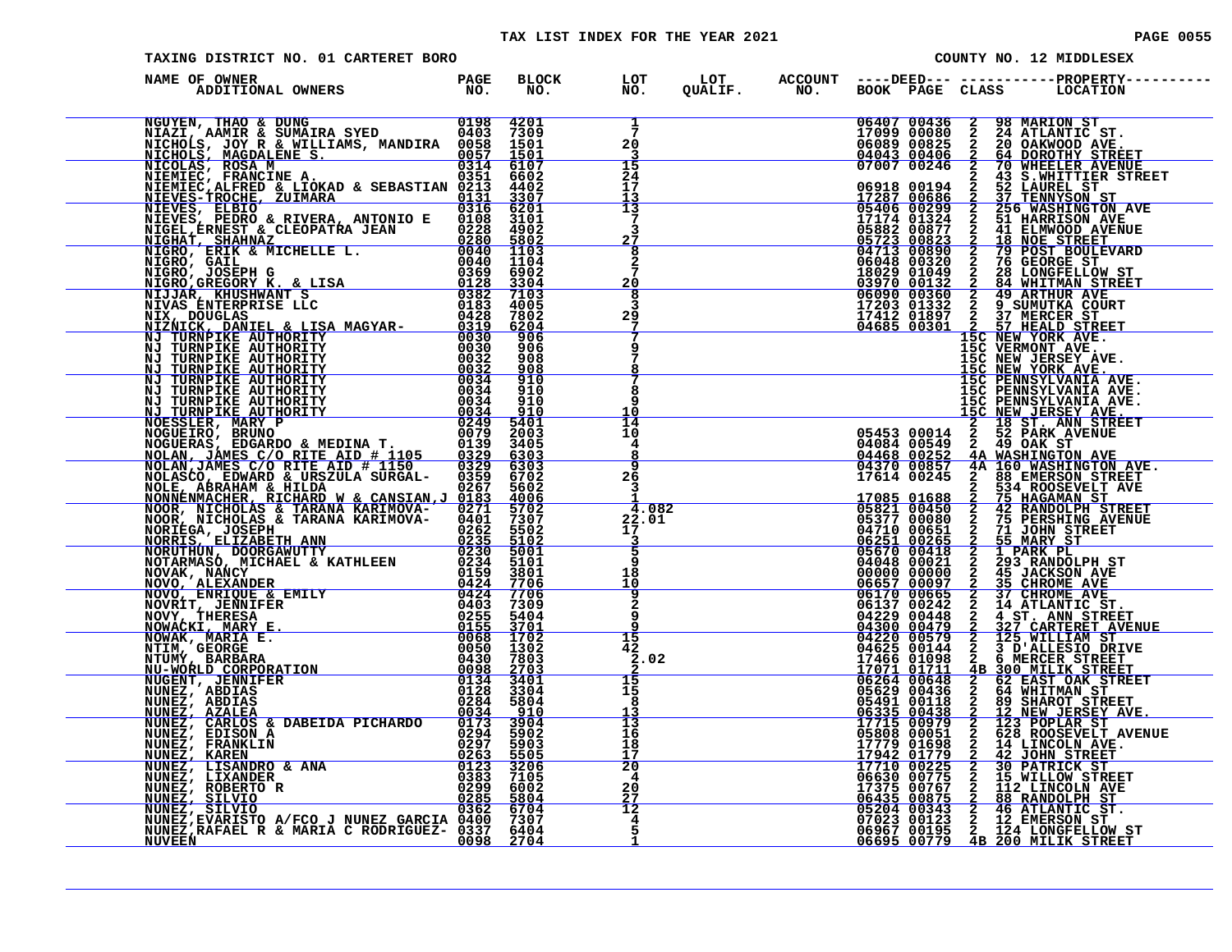# TAX LIST INDEX FOR THE YEAR 2021 CONTROL CONTROL CONTROL PAGE 0055

| PAGE |  | 0055 |  |  |
|------|--|------|--|--|
|------|--|------|--|--|

| BLOCK LOT LOT ACCOUNT ----DEED--- ------------PROPERTY----<br>NO. NO. QUALIF. NO. BOOK PAGE CLASS LOCATION<br>NAME OF OWNER<br>$\begin{tabular}{c c c} 06407&00436&2&98~\text{MARTON ST}\\ 17099&00080&2&24~\text{ATLANTIC ST.}\\ 06089&00825&2&20~\text{OAKWOD AVE.}\\ 04043&00406&2&64~\text{DOROTHY STREECT} \\ 07047&00246&2&70~\text{WIRELER AVENUIE}\\ 07047&00246&2&70~\text{WIRELER AVENUIE}\\ 07047&00299&2&43~\text{S.WHITITIER STERET} \\ 1728$<br>$\bar{7}$<br>20<br>3<br>15<br>24<br>NICHOLS JUST TRANSPORTER ANTERIANS, MANDIRA 00231 1201<br>NICOLAS, NORMAN & WILLIAMS, MANDIRA 00231 1200<br>NIEMERO, FRANCISCO & DARRA ANTONIO E 2003<br>NIEMERO, REGNIER A. CONSTRUER 1993<br>NIEMERO, ALGENIA (2003) 10030 10030 10030<br><br>17<br>13<br>$\overline{13}$<br>7<br>3<br>27<br>8<br>2<br>20<br>8<br>3<br>29<br>9<br>8<br>8<br>15C PENNSYLVANIA AVE.<br>15C NEW JERSEY AVE.<br>15C NEW JERSEY AVE.<br>2 18 ST. ANN STREET<br>05453 00014 2 52 PARK AVENUE<br>04084 00549 2 52 PARK AVENUE<br>04468 00252 4A WASHINGTON AVE<br>04370 00857 4A 160 WASHINGTON AVE.<br>17614 002<br>q<br>10<br>$\bar{14}$<br>10<br>4<br><u>8</u><br>$\overline{9}$<br>26 | TAXING DISTRICT NO. 01 CARTERET BORO |  |  |  |  | COUNTY NO. 12 MIDDLESEX |
|------------------------------------------------------------------------------------------------------------------------------------------------------------------------------------------------------------------------------------------------------------------------------------------------------------------------------------------------------------------------------------------------------------------------------------------------------------------------------------------------------------------------------------------------------------------------------------------------------------------------------------------------------------------------------------------------------------------------------------------------------------------------------------------------------------------------------------------------------------------------------------------------------------------------------------------------------------------------------------------------------------------------------------------------------------------------------------------------------------------------------------------------------------------------|--------------------------------------|--|--|--|--|-------------------------|
|                                                                                                                                                                                                                                                                                                                                                                                                                                                                                                                                                                                                                                                                                                                                                                                                                                                                                                                                                                                                                                                                                                                                                                        |                                      |  |  |  |  |                         |
|                                                                                                                                                                                                                                                                                                                                                                                                                                                                                                                                                                                                                                                                                                                                                                                                                                                                                                                                                                                                                                                                                                                                                                        |                                      |  |  |  |  |                         |
|                                                                                                                                                                                                                                                                                                                                                                                                                                                                                                                                                                                                                                                                                                                                                                                                                                                                                                                                                                                                                                                                                                                                                                        |                                      |  |  |  |  |                         |
|                                                                                                                                                                                                                                                                                                                                                                                                                                                                                                                                                                                                                                                                                                                                                                                                                                                                                                                                                                                                                                                                                                                                                                        |                                      |  |  |  |  |                         |
|                                                                                                                                                                                                                                                                                                                                                                                                                                                                                                                                                                                                                                                                                                                                                                                                                                                                                                                                                                                                                                                                                                                                                                        |                                      |  |  |  |  |                         |
|                                                                                                                                                                                                                                                                                                                                                                                                                                                                                                                                                                                                                                                                                                                                                                                                                                                                                                                                                                                                                                                                                                                                                                        |                                      |  |  |  |  |                         |
|                                                                                                                                                                                                                                                                                                                                                                                                                                                                                                                                                                                                                                                                                                                                                                                                                                                                                                                                                                                                                                                                                                                                                                        |                                      |  |  |  |  |                         |
|                                                                                                                                                                                                                                                                                                                                                                                                                                                                                                                                                                                                                                                                                                                                                                                                                                                                                                                                                                                                                                                                                                                                                                        |                                      |  |  |  |  |                         |
|                                                                                                                                                                                                                                                                                                                                                                                                                                                                                                                                                                                                                                                                                                                                                                                                                                                                                                                                                                                                                                                                                                                                                                        |                                      |  |  |  |  |                         |
|                                                                                                                                                                                                                                                                                                                                                                                                                                                                                                                                                                                                                                                                                                                                                                                                                                                                                                                                                                                                                                                                                                                                                                        |                                      |  |  |  |  |                         |
|                                                                                                                                                                                                                                                                                                                                                                                                                                                                                                                                                                                                                                                                                                                                                                                                                                                                                                                                                                                                                                                                                                                                                                        |                                      |  |  |  |  |                         |
|                                                                                                                                                                                                                                                                                                                                                                                                                                                                                                                                                                                                                                                                                                                                                                                                                                                                                                                                                                                                                                                                                                                                                                        |                                      |  |  |  |  |                         |
|                                                                                                                                                                                                                                                                                                                                                                                                                                                                                                                                                                                                                                                                                                                                                                                                                                                                                                                                                                                                                                                                                                                                                                        |                                      |  |  |  |  |                         |
|                                                                                                                                                                                                                                                                                                                                                                                                                                                                                                                                                                                                                                                                                                                                                                                                                                                                                                                                                                                                                                                                                                                                                                        |                                      |  |  |  |  |                         |
|                                                                                                                                                                                                                                                                                                                                                                                                                                                                                                                                                                                                                                                                                                                                                                                                                                                                                                                                                                                                                                                                                                                                                                        |                                      |  |  |  |  |                         |
| 0098 2704<br><b>NUVEEN</b>                                                                                                                                                                                                                                                                                                                                                                                                                                                                                                                                                                                                                                                                                                                                                                                                                                                                                                                                                                                                                                                                                                                                             |                                      |  |  |  |  |                         |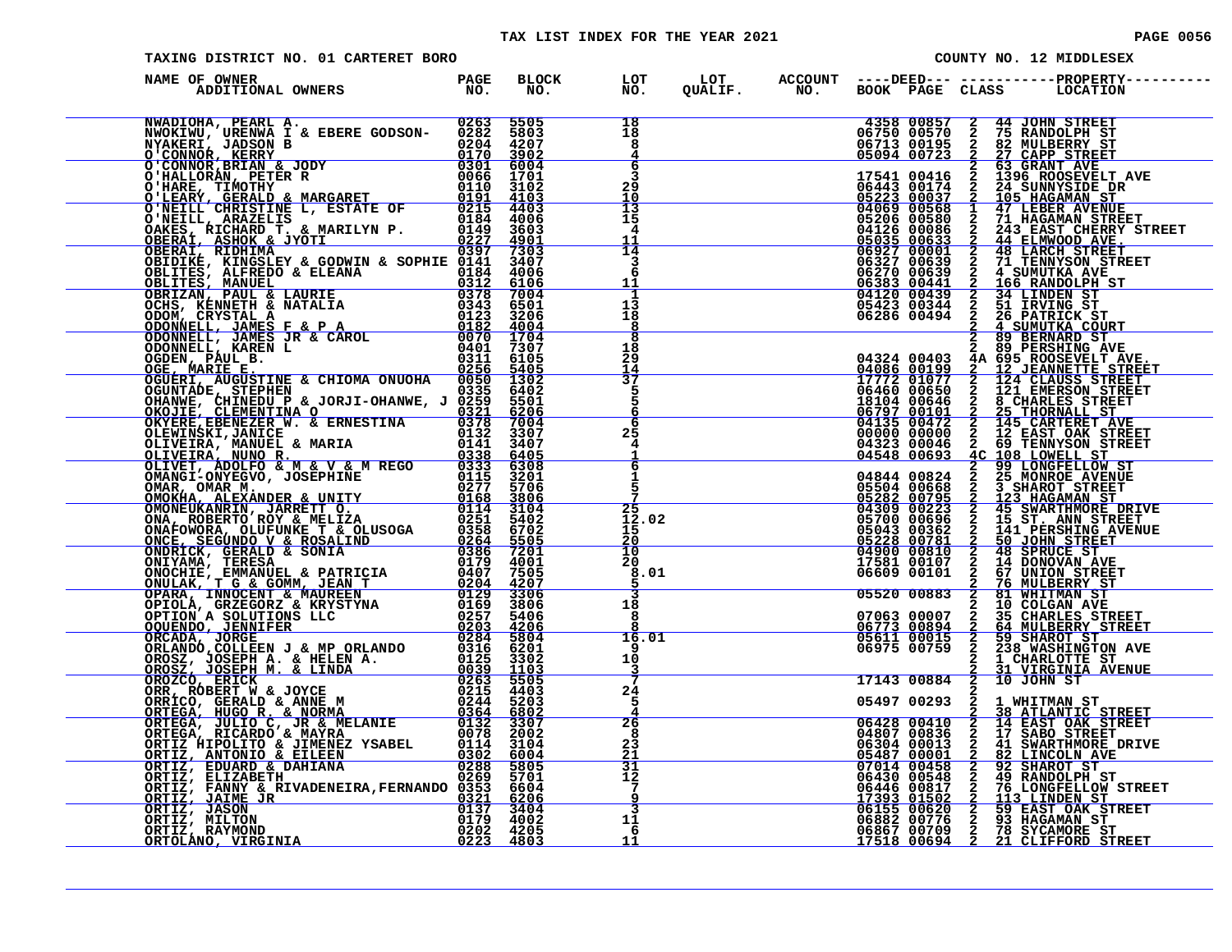#### TAX LIST INDEX FOR THE YEAR 2021 **PAGE 10056** PAGE 0056

| TAXING DISTRICT NO. 01 CARTERET BORO                                                                                                                                                                                                |  |                                       |                                                                                  | COUNTY NO. 12 MIDDLESEX |  |  |                                                                                                                                                                                                                                                                                                                                                                        |  |
|-------------------------------------------------------------------------------------------------------------------------------------------------------------------------------------------------------------------------------------|--|---------------------------------------|----------------------------------------------------------------------------------|-------------------------|--|--|------------------------------------------------------------------------------------------------------------------------------------------------------------------------------------------------------------------------------------------------------------------------------------------------------------------------------------------------------------------------|--|
| NAME OF OWNER                                                                                                                                                                                                                       |  |                                       |                                                                                  |                         |  |  |                                                                                                                                                                                                                                                                                                                                                                        |  |
| NAME OF OWNER A MARINE CHRISTINE & ENERGY 1980 1993<br>NAME OF OWNER A 4 FREE GODSON-0225 35005<br>NAME OF ANITONAL OWNERS PARE GODSON-0225 35005<br>NO. NORTHAL A RABBURG PARE CONSON CONSUMING THE CONSUMING THE CONSUMING THE CO |  | 18<br>18<br>8                         |                                                                                  |                         |  |  | $\begin{tabular}{c cccc} \textbf{4358 00857 & 2 & 44 JOHN STREET \\ 06750 00570 & 2 & 75 RANDOLPH ST \\ 06713 00195 & 2 & 27 LIDEERY ST \\ 05094 00723 & 2 & 27 LADEERY ST \\ 17541 00416 & 2 & 39 RANT AVE \\ 17541 00416 & 2 & 1396 ROOSEVELT AVE \\ 06443 00174 & 2 & 24 SUNNYSIDE DR \\ 05223 00037 & 2 & 105 HAGAMAN ST \\ 0$                                     |  |
|                                                                                                                                                                                                                                     |  | 6<br>3<br>29<br>10<br>13              |                                                                                  |                         |  |  |                                                                                                                                                                                                                                                                                                                                                                        |  |
|                                                                                                                                                                                                                                     |  | 15<br>4<br>11<br>14                   |                                                                                  |                         |  |  |                                                                                                                                                                                                                                                                                                                                                                        |  |
|                                                                                                                                                                                                                                     |  | $\overline{3}$<br>6<br>11<br>1        |                                                                                  |                         |  |  |                                                                                                                                                                                                                                                                                                                                                                        |  |
|                                                                                                                                                                                                                                     |  | 13<br>18<br>8                         |                                                                                  |                         |  |  | 04120 00439 2 34 LINDEN ST<br>05423 00344 2 51 IRVING ST<br>06286 00494 2 51 IRVING ST<br>2 4 SUMUTKA COURT<br>2 89 BERNARD ST                                                                                                                                                                                                                                         |  |
|                                                                                                                                                                                                                                     |  | 18<br>29<br>14<br>37<br>5             |                                                                                  |                         |  |  | 2 89 PERSHING AVE<br>${\footnotesize \begin{tabular}{c} 2 & 89 BERNARD ST \\ 2 & 89 BERNARD ST \\ 14086 & 00199 & 2 & 12 & 358 NOSENTER\n \hline \texttt{17772} 01077 & 2 & 12 & 358 NESTET RNEET \\ 17772 & 01077 & 2 & 124 & 558 NOSTETET STEET \\ 16440 & 00646 & 2 & 124 & 558 SNREFET \\ 06450 & 00646 & 2 & 145 & 588 SNREFET \\ 06797 & 00101 & 2 & 25 & TIORN$ |  |
|                                                                                                                                                                                                                                     |  | 5<br>6<br>6<br>25                     |                                                                                  |                         |  |  |                                                                                                                                                                                                                                                                                                                                                                        |  |
|                                                                                                                                                                                                                                     |  | 4<br>$\overline{6}$<br>1              |                                                                                  |                         |  |  |                                                                                                                                                                                                                                                                                                                                                                        |  |
|                                                                                                                                                                                                                                     |  | 5<br>25<br>12.02<br>15                |                                                                                  |                         |  |  |                                                                                                                                                                                                                                                                                                                                                                        |  |
|                                                                                                                                                                                                                                     |  | $\frac{20}{10}$<br>20<br>8.01         |                                                                                  |                         |  |  |                                                                                                                                                                                                                                                                                                                                                                        |  |
|                                                                                                                                                                                                                                     |  | 18<br>-8                              |                                                                                  |                         |  |  |                                                                                                                                                                                                                                                                                                                                                                        |  |
|                                                                                                                                                                                                                                     |  | 16.01<br>9.<br>10<br>3                | $\underbrace{07063\;\;00007}_{06773\;\;00894}_{06773\;\;00894}_{05611\;\;00015}$ | 06975 00759             |  |  | 2 35 CHARLES STREET<br>2 64 MULBERRY STREET<br>2 59 SHAROT ST<br>2 238 WASHINGTON AVE<br>2 1 CHARLOTTE ST                                                                                                                                                                                                                                                              |  |
|                                                                                                                                                                                                                                     |  | 24<br>5                               |                                                                                  | $\frac{2}{1714300884}$  |  |  | 31 VIRGINIA AVENUE<br>10 JOHN ST<br>05497 00293 2 1 WHITMAN ST                                                                                                                                                                                                                                                                                                         |  |
|                                                                                                                                                                                                                                     |  | $\frac{26}{8}$<br>23<br>21            |                                                                                  |                         |  |  | $\begin{tabular}{c cccc} 05497 & 00293 & 2 & 1 & \texttt{WHITMAN} & \texttt{ST} \\ \hline 06428 & 00410 & 2 & 38 & \texttt{ATLANTIC STREF} \\ \hline 06428 & 00410 & 2 & 14 & \texttt{EAST OAK STREF} \\ 04807 & 00836 & 2 & 17 & \texttt{SABO STRSET} \\ 06304 & 00013 & 2 & 41 & \texttt{SWARTHMORE DRIVE} \\ \hline 07014 & 00458 & 2 & 92 & \texttt{SHRCOM}$       |  |
|                                                                                                                                                                                                                                     |  | 31<br>$\overline{1}\overline{2}$<br>9 |                                                                                  |                         |  |  |                                                                                                                                                                                                                                                                                                                                                                        |  |
|                                                                                                                                                                                                                                     |  | $\overline{3}$<br>11<br>6<br>11       |                                                                                  |                         |  |  |                                                                                                                                                                                                                                                                                                                                                                        |  |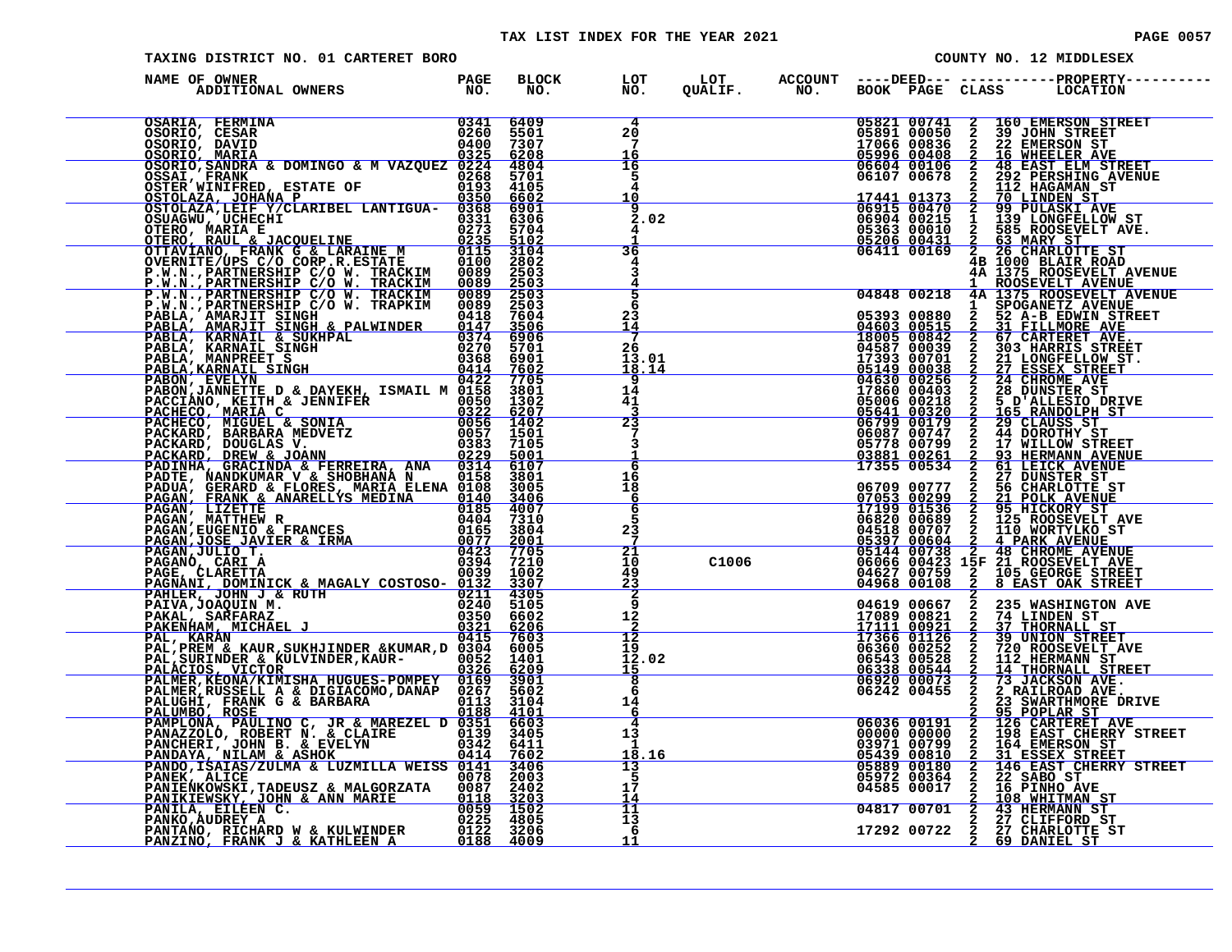#### TAX LIST INDEX FOR THE YEAR 2021

| <b>PAGE 0057</b> |  |  |
|------------------|--|--|
|                  |  |  |

| TAXING DISTRICT NO. 01 CARTERET BORO                                                                                                                                                                                                                                                                                                                                                  |  |                               |       | COUNTY NO. 12 MIDDLESEX |                                                                                                       |                     |                                                                                                                                                                                                                                                                                                                                                                                                                                   |  |
|---------------------------------------------------------------------------------------------------------------------------------------------------------------------------------------------------------------------------------------------------------------------------------------------------------------------------------------------------------------------------------------|--|-------------------------------|-------|-------------------------|-------------------------------------------------------------------------------------------------------|---------------------|-----------------------------------------------------------------------------------------------------------------------------------------------------------------------------------------------------------------------------------------------------------------------------------------------------------------------------------------------------------------------------------------------------------------------------------|--|
| DF OWNER<br>ADDITIONAL OWNERS TO NO.<br>NAME OF OWNER                                                                                                                                                                                                                                                                                                                                 |  |                               |       |                         |                                                                                                       |                     | BLOCK LOT LOT ACCOUNT ----DEED--- -----------PROPERTY----<br>NO. NO. QUALIF. NO. BOOK PAGE CLASS LOCATION                                                                                                                                                                                                                                                                                                                         |  |
| $\begin{tabular}{l c c c} \multicolumn{1}{l}{OSARIA, FERMINA} & 0341 & 6409 \\ \multicolumn{1}{l}{OSORIO, CESAR} & 0260 & 5501 \\ \multicolumn{1}{l}{OSORIO, DAVID} & 0400 & 7307 \\ \multicolumn{1}{l}{OSORIO, MARRA} & 0000 & 7307 \\ \multicolumn{1}{l}{OSORIO, MARRA} & 0000100 & 0325 & 6208 \\ \multicolumn{1}{l}{OSARI, FRANK} & 0000100 & 0325 & 4208 \\ \multicolumn{1}{l}{$ |  | $\overline{4}$<br>$^{20}_{7}$ |       |                         |                                                                                                       |                     | $\begin{array}{cccc} 05821 & 00741 & 2 & 160 \text{ EMEESON STREET} \\ 05891 & 00050 & 2 & 39 \text{ JOHN STREET} \\ 17066 & 00836 & 2 & 22 \text{ EMEESON ST} \\ 05996 & 00408 & 2 & 16 \text{ WHEREER ANVE} \\ 06604 & 00106 & 2 & 48 \text{ EAST ELM STREET} \\ 06107 & 00678 & 2 & 292 \text{ PERSHING AVENUE} \\ 17441 & 01373 & 2 & 710 \text{ LINDEN$                                                                      |  |
|                                                                                                                                                                                                                                                                                                                                                                                       |  | 16                            |       |                         |                                                                                                       |                     |                                                                                                                                                                                                                                                                                                                                                                                                                                   |  |
|                                                                                                                                                                                                                                                                                                                                                                                       |  | $\frac{16}{5}$                |       |                         |                                                                                                       |                     |                                                                                                                                                                                                                                                                                                                                                                                                                                   |  |
|                                                                                                                                                                                                                                                                                                                                                                                       |  | 4<br>10                       |       |                         |                                                                                                       |                     |                                                                                                                                                                                                                                                                                                                                                                                                                                   |  |
|                                                                                                                                                                                                                                                                                                                                                                                       |  | $\overline{9}$<br>2.02        |       |                         |                                                                                                       |                     |                                                                                                                                                                                                                                                                                                                                                                                                                                   |  |
|                                                                                                                                                                                                                                                                                                                                                                                       |  |                               |       |                         |                                                                                                       |                     |                                                                                                                                                                                                                                                                                                                                                                                                                                   |  |
|                                                                                                                                                                                                                                                                                                                                                                                       |  | 36                            |       |                         | 05206 00431<br>06411 00169                                                                            |                     | 2 63 MARY ST<br>2 26 CHARLOTTE ST<br>4B 1000 BLAIR ROAD                                                                                                                                                                                                                                                                                                                                                                           |  |
| OTTAVIANO, FRANK ČE LARAINE MARINE MEDIA 3104<br>P.W.N., PARTNERSHIP C/O W. TRACKIM 0089 2503<br>P.W.N., PARTNERSHIP C/O W. TRACKIM 0089 2503<br>P.W.N., PARTNERSHIP C/O W. TRACKIM 0089 2503<br>P.W.N., PARTNERSHIP C/O W. TRACKIM 00                                                                                                                                                |  | 4<br>3                        |       |                         |                                                                                                       |                     | 4A 1375 ROOSEVELT AVENUE                                                                                                                                                                                                                                                                                                                                                                                                          |  |
|                                                                                                                                                                                                                                                                                                                                                                                       |  | $\frac{4}{5}$                 |       |                         |                                                                                                       |                     | 1 ROOSEVELT AVENUE<br>04848 00218 4A 1375 ROOSEVELT AVENUE<br>05393 00880 1 SPOGANETZ AVENUE<br>05393 00880 2 52 A-B EDWIN STREET<br>04603 00515 2 31 FILLMORE AVE<br>18005 00842 2 67 CARTERET AVE.                                                                                                                                                                                                                              |  |
|                                                                                                                                                                                                                                                                                                                                                                                       |  | 6<br>23                       |       |                         |                                                                                                       |                     |                                                                                                                                                                                                                                                                                                                                                                                                                                   |  |
|                                                                                                                                                                                                                                                                                                                                                                                       |  | <u>14</u>                     |       |                         |                                                                                                       |                     |                                                                                                                                                                                                                                                                                                                                                                                                                                   |  |
|                                                                                                                                                                                                                                                                                                                                                                                       |  | 26<br>13.01                   |       |                         | 04587 00039<br>17393 00701<br>05149 00038                                                             |                     | 303 HARRIS STREET<br>21 LONGFELLOW ST.<br>27 ESSEX STREET                                                                                                                                                                                                                                                                                                                                                                         |  |
|                                                                                                                                                                                                                                                                                                                                                                                       |  | 18.14<br>9                    |       |                         |                                                                                                       |                     |                                                                                                                                                                                                                                                                                                                                                                                                                                   |  |
|                                                                                                                                                                                                                                                                                                                                                                                       |  | 14                            |       |                         |                                                                                                       |                     | <b>24 CHROME AVE</b><br>28 DUNSTER ST                                                                                                                                                                                                                                                                                                                                                                                             |  |
|                                                                                                                                                                                                                                                                                                                                                                                       |  | 41<br>$\frac{-3}{23}$         |       |                         |                                                                                                       |                     |                                                                                                                                                                                                                                                                                                                                                                                                                                   |  |
|                                                                                                                                                                                                                                                                                                                                                                                       |  | 7                             |       |                         | 04630 00236<br>04630 00256<br>17860 00403<br>05006 00218<br>05641 00320<br>06087 00747<br>06087 00747 |                     |                                                                                                                                                                                                                                                                                                                                                                                                                                   |  |
|                                                                                                                                                                                                                                                                                                                                                                                       |  | 3                             |       |                         |                                                                                                       |                     |                                                                                                                                                                                                                                                                                                                                                                                                                                   |  |
|                                                                                                                                                                                                                                                                                                                                                                                       |  | す<br>16                       |       |                         |                                                                                                       | <b>SURVANDAND</b>   | 17860 00403 2 23 DUNSTER ST<br>05006 00218 2 5 D'ALLESIO DRIVE<br>05006 00218 2 5 D'ALLESIO DRIVE<br>06799 00179 2 29 CLAUSS ST<br>06799 00179 2 29 CLAUSS ST<br>06087 00747 2 44 DOROTHY ST<br>06087 00747 2 44 DOROTHY ST<br>06087 00747                                                                                                                                                                                        |  |
|                                                                                                                                                                                                                                                                                                                                                                                       |  | 18<br>-6                      |       |                         |                                                                                                       |                     |                                                                                                                                                                                                                                                                                                                                                                                                                                   |  |
|                                                                                                                                                                                                                                                                                                                                                                                       |  | 6<br>5                        |       |                         |                                                                                                       |                     |                                                                                                                                                                                                                                                                                                                                                                                                                                   |  |
|                                                                                                                                                                                                                                                                                                                                                                                       |  | $2\bar{3}$                    |       |                         |                                                                                                       |                     |                                                                                                                                                                                                                                                                                                                                                                                                                                   |  |
|                                                                                                                                                                                                                                                                                                                                                                                       |  | $\bar{z}$<br>$\overline{21}$  |       |                         |                                                                                                       |                     |                                                                                                                                                                                                                                                                                                                                                                                                                                   |  |
|                                                                                                                                                                                                                                                                                                                                                                                       |  | 10<br>49                      | C1006 |                         |                                                                                                       |                     |                                                                                                                                                                                                                                                                                                                                                                                                                                   |  |
| PAGANO, CARI A<br>PAGANO, CARETTA 0039 1002<br>PAGE, CLARETTA 0039 1002<br>PAGE, CLARETTA 0039 1002<br>PAHLER, JOHN J & RUTH 0211 4305<br>PAHLER, JOHN J & RUTH 0211 4305<br>PATLA, JOAQUIN M.<br>0240 5105<br>PAKENHAM, MICHAEL J 0350 66026<br>                                                                                                                                     |  | $\frac{23}{2}$                |       |                         |                                                                                                       |                     |                                                                                                                                                                                                                                                                                                                                                                                                                                   |  |
|                                                                                                                                                                                                                                                                                                                                                                                       |  | 9<br>12                       |       |                         |                                                                                                       |                     | 235 WASHINGTON AVE                                                                                                                                                                                                                                                                                                                                                                                                                |  |
|                                                                                                                                                                                                                                                                                                                                                                                       |  | $\frac{-\overline{2}}{12}$    |       |                         | 04619 00667<br>17089 00821<br>17111 00921<br>17366 01126                                              |                     | <b>74 LINDEN ST<br/>37 THORNALL ST<br/>39 UNION STREET<br/>720 ROOSEVELT_AVE</b>                                                                                                                                                                                                                                                                                                                                                  |  |
|                                                                                                                                                                                                                                                                                                                                                                                       |  | 19<br>12.02                   |       |                         | 06360 00252<br>06543 00528                                                                            |                     | 112 HERMANN ST                                                                                                                                                                                                                                                                                                                                                                                                                    |  |
|                                                                                                                                                                                                                                                                                                                                                                                       |  | $\frac{15}{8}$                |       |                         | 06338 00544<br>06920 00073<br>06242 00455                                                             | <b>MANDANDANDAN</b> | 14 THORNALL STREET<br>73 JACKSON AVE.<br>2 RAILROAD AVE.                                                                                                                                                                                                                                                                                                                                                                          |  |
|                                                                                                                                                                                                                                                                                                                                                                                       |  | 6                             |       |                         |                                                                                                       |                     |                                                                                                                                                                                                                                                                                                                                                                                                                                   |  |
|                                                                                                                                                                                                                                                                                                                                                                                       |  | 14<br>6                       |       |                         |                                                                                                       | $\mathbf{2}$        | 23 SWARTHMORE DRIVE                                                                                                                                                                                                                                                                                                                                                                                                               |  |
| PALMER, RUSSELL A & DIGIACOMO, DANAP 0267 5602<br>PALUGHI, FRANK G & BARBARA 0188 4101<br>PALUMBO, ROSE 0188 4101<br>PAMPLONA, PAULINO C, JR & MAREZEL D 0351 6603<br>PANAZZOLÓ, ROBERT N. & CLAIRE 03342 6411<br>PANCHERI, JOHN B. & EV                                                                                                                                              |  | 4<br>13                       |       |                         | 06036 00191<br>00000 00000<br>03971 00799                                                             |                     |                                                                                                                                                                                                                                                                                                                                                                                                                                   |  |
|                                                                                                                                                                                                                                                                                                                                                                                       |  | 1<br>18,16                    |       |                         |                                                                                                       |                     |                                                                                                                                                                                                                                                                                                                                                                                                                                   |  |
|                                                                                                                                                                                                                                                                                                                                                                                       |  | $\overline{13}$<br>5          |       |                         |                                                                                                       |                     | $\begin{tabular}{ c c c c} 2 & 33 & \texttt{SWARTHMORE} & \texttt{PRIVE} \\ \hline 2 & 95 & \texttt{POLAR SET} & \texttt{AVE} \\ 2 & 126 & \texttt{CARTERERT} & \texttt{AVE} \\ 2 & 198 & \texttt{EAST CHERRY} & \texttt{STREF} \\ 2 & 164 & \texttt{EMERSON} & \texttt{ST} \\ 2 & 146 & \texttt{EAST CHERRY} & \texttt{STREF} \\ 2 & 146 & \texttt{EAST CHERRY} & \texttt{STREF} \\ 2 & 168 & \texttt{MHITMAN} & \texttt{ST} \\$ |  |
|                                                                                                                                                                                                                                                                                                                                                                                       |  | $1\bar{7}$<br>14              |       |                         |                                                                                                       |                     |                                                                                                                                                                                                                                                                                                                                                                                                                                   |  |
| PANEX, ALICE<br>PANEX, ALICE<br>PANEX, ALICE<br>PANEXNOWSKI, TADEUSZ & MALGORZATA<br>PANEXNOWSKI, TADEUSZ & MALGORZATA<br>0087 2402<br>PANIKIEWSKY, JOHN & ANN MARIE<br>0118 3203<br>PANIKIA, EILEEN C.<br>0059 1502<br>PANIXIA, EILEEN C.<br>0222 4                                                                                                                                  |  | 11<br>13                      |       |                         |                                                                                                       |                     | 04817 00701 2 43 HERMANN ST<br>17292 00722 2 27 CLIFFORD ST<br>17292 00722 2 27 CHARLOTTE ST<br>2 69 DANIEL ST                                                                                                                                                                                                                                                                                                                    |  |
|                                                                                                                                                                                                                                                                                                                                                                                       |  | 6                             |       |                         |                                                                                                       |                     |                                                                                                                                                                                                                                                                                                                                                                                                                                   |  |
|                                                                                                                                                                                                                                                                                                                                                                                       |  | 11                            |       |                         |                                                                                                       |                     |                                                                                                                                                                                                                                                                                                                                                                                                                                   |  |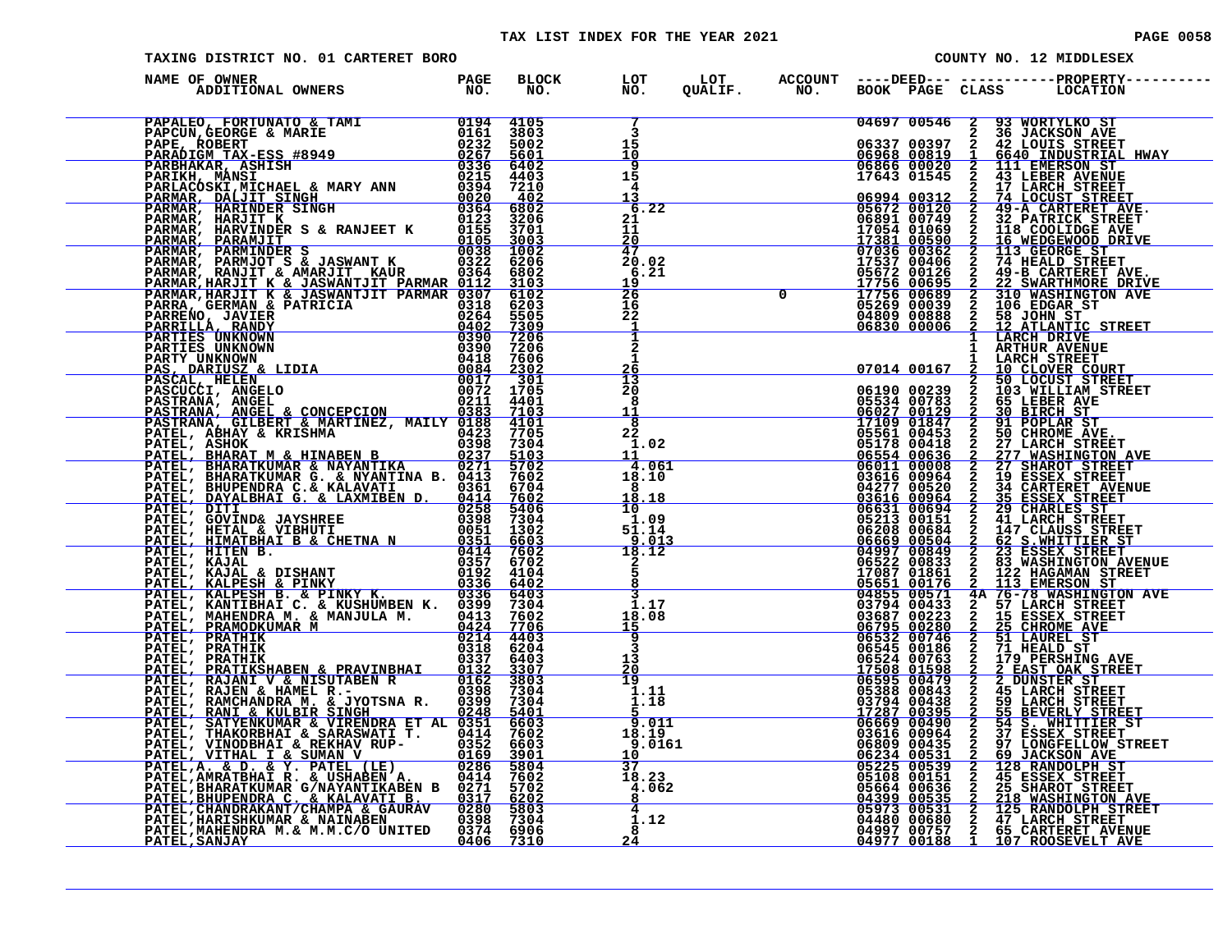| <b>PAGE 0058</b> |  |  |
|------------------|--|--|
|                  |  |  |

| TAXING DISTRICT NO. 01 CARTERET BORO                                                               |  |                                                     |  | COUNTY NO. 12 MIDDLESEX |  |                                                                                                                                                                                                                                          |  |  |
|----------------------------------------------------------------------------------------------------|--|-----------------------------------------------------|--|-------------------------|--|------------------------------------------------------------------------------------------------------------------------------------------------------------------------------------------------------------------------------------------|--|--|
| NAME OF OWNER                                                                                      |  |                                                     |  |                         |  |                                                                                                                                                                                                                                          |  |  |
|                                                                                                    |  | 3                                                   |  | 04697 00546 2           |  | 93 WORTYLKO ST                                                                                                                                                                                                                           |  |  |
|                                                                                                    |  | 15<br>10                                            |  |                         |  |                                                                                                                                                                                                                                          |  |  |
|                                                                                                    |  | 9<br>15                                             |  |                         |  | 336 JACKSON AVE<br>06337 00397 2 42 LOUIS STREET<br>06968 00819 1 6640 INDUSTRIAL HWAY<br>06866 00020 2 111 EMERSON ST<br>17643 01545 2 43 LEBER AVENUE                                                                                  |  |  |
|                                                                                                    |  | 4<br>13                                             |  |                         |  |                                                                                                                                                                                                                                          |  |  |
|                                                                                                    |  | 6.22<br>21                                          |  |                         |  |                                                                                                                                                                                                                                          |  |  |
|                                                                                                    |  | 11                                                  |  |                         |  |                                                                                                                                                                                                                                          |  |  |
|                                                                                                    |  | 20<br>47                                            |  |                         |  |                                                                                                                                                                                                                                          |  |  |
|                                                                                                    |  | 20.02<br>6.21                                       |  |                         |  |                                                                                                                                                                                                                                          |  |  |
|                                                                                                    |  | 19<br>26                                            |  |                         |  |                                                                                                                                                                                                                                          |  |  |
|                                                                                                    |  | 16<br>22                                            |  |                         |  |                                                                                                                                                                                                                                          |  |  |
|                                                                                                    |  | $\mathbf{1}$<br>Ť                                   |  |                         |  | 17643 01545 2 43 LEBER AVENUE<br>06994 00312 2 17 LACUST STREET<br>06994 00312 2 49-A CARTERET<br>05672 00120 2 49-A CARTERET AVE.<br>06891 00749 2 32 PATRICK STREET<br>17381 00590 2 16 WEDGEWOOD DRIVE<br>07036 00362 2 113 GEOGEWOOD |  |  |
|                                                                                                    |  |                                                     |  |                         |  | 1 ARTHUR AVENUE                                                                                                                                                                                                                          |  |  |
|                                                                                                    |  |                                                     |  |                         |  |                                                                                                                                                                                                                                          |  |  |
|                                                                                                    |  |                                                     |  |                         |  |                                                                                                                                                                                                                                          |  |  |
|                                                                                                    |  |                                                     |  |                         |  |                                                                                                                                                                                                                                          |  |  |
|                                                                                                    |  |                                                     |  |                         |  |                                                                                                                                                                                                                                          |  |  |
|                                                                                                    |  |                                                     |  |                         |  |                                                                                                                                                                                                                                          |  |  |
|                                                                                                    |  |                                                     |  |                         |  |                                                                                                                                                                                                                                          |  |  |
|                                                                                                    |  |                                                     |  |                         |  |                                                                                                                                                                                                                                          |  |  |
|                                                                                                    |  |                                                     |  |                         |  |                                                                                                                                                                                                                                          |  |  |
|                                                                                                    |  |                                                     |  |                         |  |                                                                                                                                                                                                                                          |  |  |
|                                                                                                    |  |                                                     |  |                         |  |                                                                                                                                                                                                                                          |  |  |
|                                                                                                    |  |                                                     |  |                         |  |                                                                                                                                                                                                                                          |  |  |
|                                                                                                    |  |                                                     |  |                         |  |                                                                                                                                                                                                                                          |  |  |
|                                                                                                    |  |                                                     |  |                         |  |                                                                                                                                                                                                                                          |  |  |
|                                                                                                    |  |                                                     |  |                         |  |                                                                                                                                                                                                                                          |  |  |
|                                                                                                    |  |                                                     |  |                         |  |                                                                                                                                                                                                                                          |  |  |
|                                                                                                    |  |                                                     |  |                         |  |                                                                                                                                                                                                                                          |  |  |
|                                                                                                    |  |                                                     |  |                         |  |                                                                                                                                                                                                                                          |  |  |
|                                                                                                    |  | $\frac{9.011}{18.19}$<br>18.19<br>9.0161            |  |                         |  |                                                                                                                                                                                                                                          |  |  |
|                                                                                                    |  |                                                     |  |                         |  |                                                                                                                                                                                                                                          |  |  |
|                                                                                                    |  | $\frac{37}{18.23}$<br>$\frac{4.062}{8}$             |  |                         |  |                                                                                                                                                                                                                                          |  |  |
|                                                                                                    |  |                                                     |  |                         |  |                                                                                                                                                                                                                                          |  |  |
|                                                                                                    |  | $\begin{array}{r} 4 \\ 1.12 \\ 8 \\ 24 \end{array}$ |  |                         |  |                                                                                                                                                                                                                                          |  |  |
| PATEL, MAHENDRA M. & M. H. (7)<br>PATEL, MAHENDRA M. & M. M. C/O UNITED 0374 6906<br>PATEL. SANJAY |  |                                                     |  |                         |  |                                                                                                                                                                                                                                          |  |  |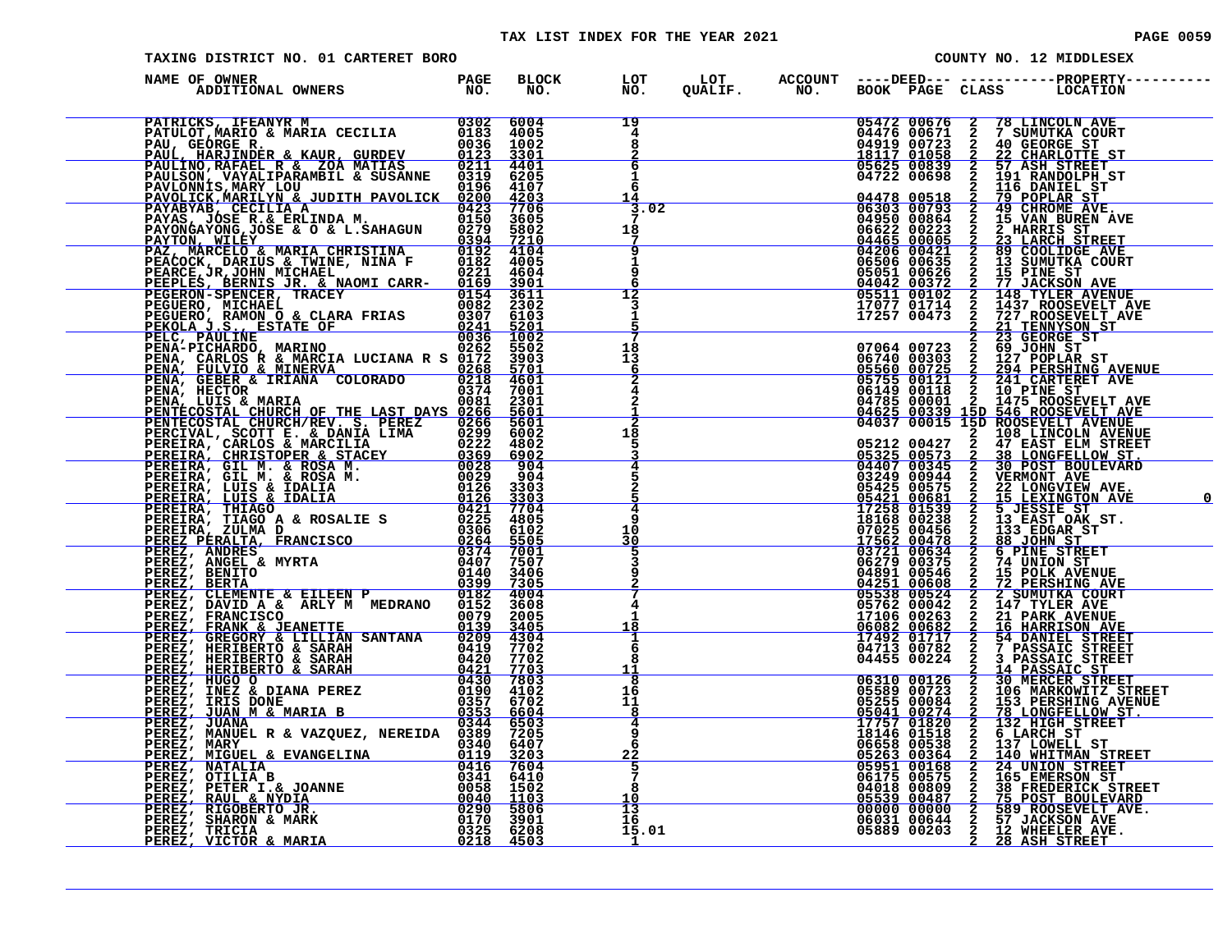#### TAX LIST INDEX FOR THE YEAR 2021 **PAGE 10059** PAGE 0059

|  |  | PAGE 00                 |  |
|--|--|-------------------------|--|
|  |  | COUNTY NO. 12 MIDDLESEX |  |

| TAXING DISTRICT NO. 01 CARTERET BORO                                                                                                                                                                                                       |                     |              |                                                  |  |  | COUNTY NO. 12 MIDDLESEX                                                                                                                                                                                                                                                                                                         |
|--------------------------------------------------------------------------------------------------------------------------------------------------------------------------------------------------------------------------------------------|---------------------|--------------|--------------------------------------------------|--|--|---------------------------------------------------------------------------------------------------------------------------------------------------------------------------------------------------------------------------------------------------------------------------------------------------------------------------------|
| NAME OF OWNER<br>ADDITIONAL OWNERS                                                                                                                                                                                                         | <b>PAGE<br/>NO.</b> | BLOCK<br>NO. | LOT<br>NO.                                       |  |  |                                                                                                                                                                                                                                                                                                                                 |
| PATRICKS, IFEANYR M<br>PATULOT, MARIO & MARIA CECILIA 0183 4005<br>PAUL, HARJINDER & KAUR, GURDEV 0036 1002<br>PAUL, HARJINDER & KAUR, GURDEV 0123 3301<br>PAULINO, RAFAEL R & ZOA MATIAS 0211 4401<br>PAULSON, VAYALIPARAMBIL & SUSANNE   |                     |              | 19<br>4<br>8                                     |  |  | 05472 00676 2 78 LINCOLN AVE<br>04476 00671 2 7 SUMUTKA COURT<br>04919 00723 2 40 GEORGE ST<br>05625 00839 2 22 CHARLOTTE ST<br>05625 00839 2 57 ASH STREET<br>04722 00698 2 191 RANDOLPH_ST                                                                                                                                    |
|                                                                                                                                                                                                                                            |                     |              | 6<br>$\ddot{1}$<br>6<br>14                       |  |  |                                                                                                                                                                                                                                                                                                                                 |
|                                                                                                                                                                                                                                            |                     |              | 3.02<br>18<br>7<br>9                             |  |  |                                                                                                                                                                                                                                                                                                                                 |
|                                                                                                                                                                                                                                            |                     |              | 1<br>9<br>12                                     |  |  |                                                                                                                                                                                                                                                                                                                                 |
|                                                                                                                                                                                                                                            |                     |              | 3<br>1                                           |  |  | $\begin{tabular}{l c c c c} \hline & 64722&00839&2&57&7838&87REET\\ \hline & 04478&00518&2&196&8070LBH ST\\ \hline & 04373&005793&2&49&8070LBF\\ \hline & 06303&00793&2&49&8070LMS&8YE\\ \hline & 04950&00864&2&15&VANN BUREN AVE\\ \hline & 04465&000405&2&23&LMRKIS &ST\\ \hline & 044206&000421$                             |
|                                                                                                                                                                                                                                            |                     |              | 18<br>13<br>6<br>$\overline{2}$                  |  |  |                                                                                                                                                                                                                                                                                                                                 |
|                                                                                                                                                                                                                                            |                     |              | 4                                                |  |  |                                                                                                                                                                                                                                                                                                                                 |
|                                                                                                                                                                                                                                            |                     |              | 18<br>5<br>4<br>5                                |  |  |                                                                                                                                                                                                                                                                                                                                 |
|                                                                                                                                                                                                                                            |                     |              | 4<br>q                                           |  |  |                                                                                                                                                                                                                                                                                                                                 |
|                                                                                                                                                                                                                                            |                     |              | 10<br>30<br>5                                    |  |  |                                                                                                                                                                                                                                                                                                                                 |
|                                                                                                                                                                                                                                            |                     |              | 9<br>4<br>1                                      |  |  |                                                                                                                                                                                                                                                                                                                                 |
| FRIULE HANTINDER & KAIR, GUER ANNER 1978.<br>FRIUESON, INNER AND MARINE MANDEN (1978) 1979.<br>FRIUESON, INNER AND LOU DE SON MANDEN (1978) 1979.<br>FRIVAR MARINE VARIOR TRANSFORMETINA (1978) 1979.<br>FRIVAR MANDEN MANDEN MANDEN (1978 |                     |              | <u>18</u><br>ı<br>6<br>8                         |  |  |                                                                                                                                                                                                                                                                                                                                 |
|                                                                                                                                                                                                                                            |                     |              | 11<br>$\overline{\mathbf{8}}$<br>16<br>11<br>- 8 |  |  |                                                                                                                                                                                                                                                                                                                                 |
|                                                                                                                                                                                                                                            |                     |              | 4<br>9<br>6<br>$\frac{22}{5}$                    |  |  | $\begin{tabular}{c c c c} \hline & 04713 & 00782 & 2 & 7 & 7485811C & 5177EET \\ \hline 04455 & 00224 & 2 & 3 & 9A8S8ALC & STEET \\ \hline 06310 & 00126 & 2 & 30 & MERCER STREET \\ 05589 & 00723 & 2 & 106 & MARKOWITZ STREET \\ 05589 & 000234 & 2 & 153 & 1687ESHING AVENUE \\ 05041 & 00274 & 2 & 78 & LONGFELLOW STT \\ $ |
|                                                                                                                                                                                                                                            |                     |              | 8<br>10                                          |  |  |                                                                                                                                                                                                                                                                                                                                 |
|                                                                                                                                                                                                                                            |                     |              | 13<br>16<br>15.01<br>$\perp$                     |  |  |                                                                                                                                                                                                                                                                                                                                 |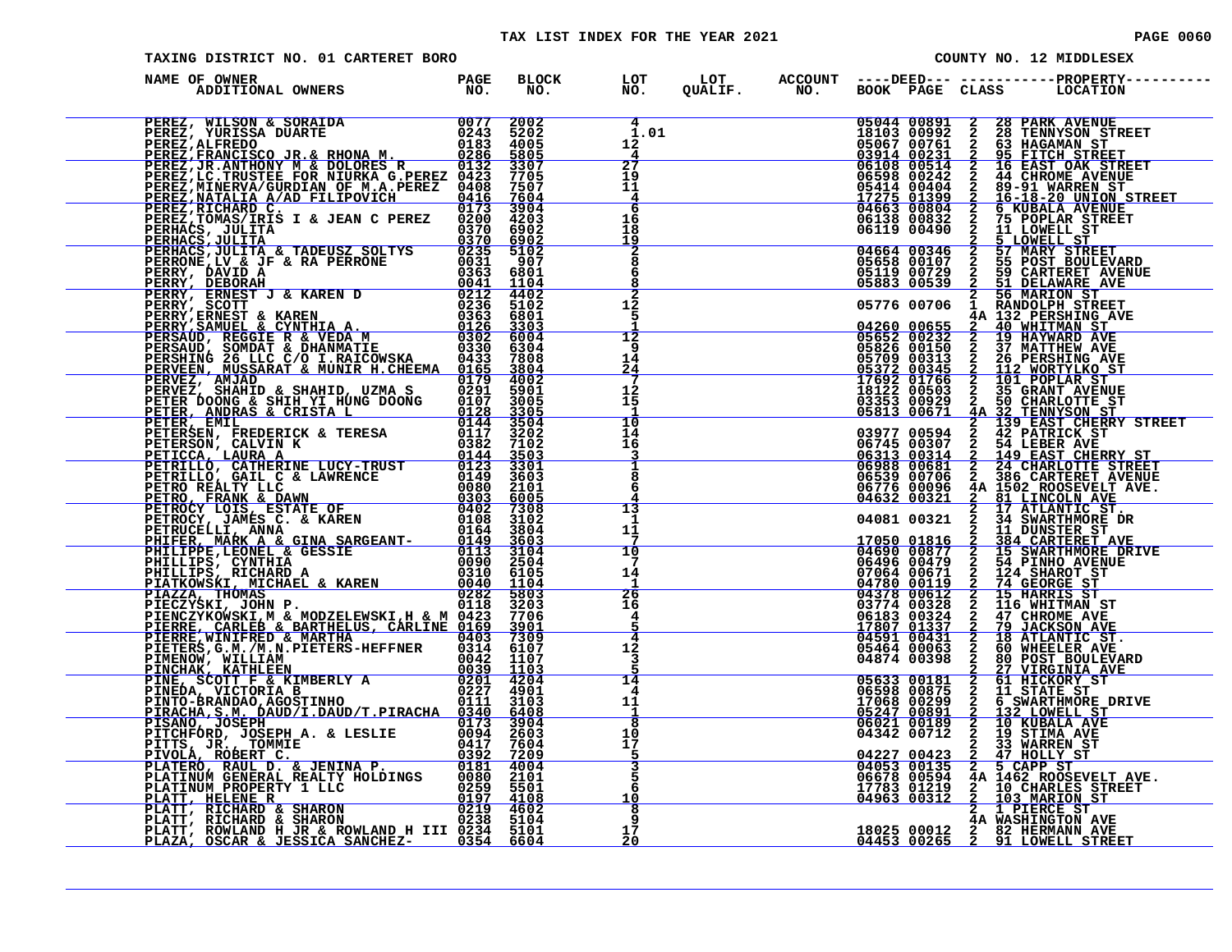#### TAX LIST INDEX FOR THE YEAR 2021 **PAGE 0060** PAGE 0060

| PAGE | 006 |  |  |
|------|-----|--|--|
|------|-----|--|--|

| TAXING DISTRICT NO. 01 CARTERET BORO               |  |                                              |  |                                                  | COUNTY NO. 12 MIDDLESEX                                                                                                                                                                                                                                                                                                                                                                  |
|----------------------------------------------------|--|----------------------------------------------|--|--------------------------------------------------|------------------------------------------------------------------------------------------------------------------------------------------------------------------------------------------------------------------------------------------------------------------------------------------------------------------------------------------------------------------------------------------|
| NAME OF OWNER<br>DF OWNER<br>ADDITIONAL OWNERS NO. |  |                                              |  |                                                  | BLOCK LOT LOT ACCOUNT ----DEED--- -----------PROPERTY----<br>NO. NO. QUALIF. NO. BOOK PAGE CLASS LOCATION                                                                                                                                                                                                                                                                                |
|                                                    |  | $\overline{4}$<br>ī.oi<br>12<br>4            |  |                                                  | $\begin{array}{cccc} 05044&00891&2&28 \text{ PARK AVENUE} \\ 18103&00992&2&28 \text{ TENNYSON STREET} \\ 05067&00761&2&63 \text{ HAGAMAN ST} \\ 03914&00231&2&95 \text{ FITICH STREET} \\ 06108&00514&2&16 \text{ EAST OAK STREET} \\ 06598&00242&2&44 \text{ CHROME AVENUE} \\ 05414&00404&2&89-91 \text{ WARENT ST} \\ 17275&01399&2&16-1$                                             |
|                                                    |  | $\overline{27}$<br>19<br>11<br>$\frac{4}{6}$ |  |                                                  |                                                                                                                                                                                                                                                                                                                                                                                          |
|                                                    |  | 16<br>18<br><u> 19</u>                       |  |                                                  |                                                                                                                                                                                                                                                                                                                                                                                          |
|                                                    |  | $\frac{2}{8}$<br>6<br>8                      |  |                                                  | 00119 00490 2 5 LOWELL ST<br>04664 00346 2 57 MARY STREET<br>05658 00107 2 55 POST BOULEVARD<br>05119 00729 2 59 CARTERET AVENUE<br>05883 00539 2 51 DELAWARE AVE                                                                                                                                                                                                                        |
|                                                    |  | $\overline{1\sqrt{2}}$<br>5<br>12            |  | 05776 00706<br>04260 00655<br>05652 00232        | 2 56 MARION ST<br>1 RANDOLPH STREET<br>4A 132 PERSHING AVE<br><b>2</b> 40 WHITMAN ST<br><b>2</b> 19 HAYWARD AVE                                                                                                                                                                                                                                                                          |
|                                                    |  | 9<br>14<br>24<br>7                           |  | 05826 00150<br>05709 00313<br><u>05372 00345</u> | 2 37 MATTHEW AVE<br>2 26 PERSHING AVE<br><u>2 112 WORTYLKO S</u> '<br><b>26 PERSHING AVE</b><br>112 WORTYLKO ST                                                                                                                                                                                                                                                                          |
|                                                    |  | 12<br>15<br>$\overline{10}$                  |  |                                                  |                                                                                                                                                                                                                                                                                                                                                                                          |
|                                                    |  | 14<br>īб<br>3                                |  |                                                  |                                                                                                                                                                                                                                                                                                                                                                                          |
|                                                    |  | ī<br>8<br>6                                  |  |                                                  |                                                                                                                                                                                                                                                                                                                                                                                          |
|                                                    |  | 13<br>1<br>11                                |  |                                                  |                                                                                                                                                                                                                                                                                                                                                                                          |
|                                                    |  | 10<br>7<br>14                                |  |                                                  | 05370 00313 2 26 FESTIVAL ST<br>053709 00313 2 26 FESTIVAL ST<br>17692 00345 2 101 POPLAR ST<br>17692 003663 2 35 GRANT AVENUE<br>03853 00829 2 30 CHARLOTTE ST<br>03977 00594 2 42 PATRICK ST<br>06313 00329 2 42 PATRICK ST<br>06313 0030                                                                                                                                              |
|                                                    |  | 26<br>16<br>4                                |  |                                                  |                                                                                                                                                                                                                                                                                                                                                                                          |
|                                                    |  | 4<br>12<br>3                                 |  |                                                  |                                                                                                                                                                                                                                                                                                                                                                                          |
|                                                    |  | 14<br>4<br>11<br>-1                          |  |                                                  | $\begin{array}{cccc} 04874 & 00398 & 2 & 80 & \text{POST} & \text{BOLUKVAR} \\ \hline 05633 & 00181 & 2 & 61 & \text{HICKORT} & \text{AVE} \\ 06598 & 00875 & 2 & 11 & \text{STATE ST} \\ 17068 & 00299 & 2 & 6 & \text{SWARTHMORE} & \text{DRT} \\ \hline 06721 & 00189 & 2 & 13 & \text{LOWELI} & \text{STE} \\ 04342 & 00712 & 2 & 19 & \text{STIMA AVE} \\ \h$<br>6 SWARTHMORE DRIVE |
|                                                    |  | 8<br>10<br>īž<br>5                           |  |                                                  | $\begin{array}{cccccc}\n04227 & 00423 & 2 & 47 & \text{HOLLY ST} \\ 04053 & 00135 & 2 & 5 & \text{CAPP ST}\n\end{array}$                                                                                                                                                                                                                                                                 |
|                                                    |  | 5<br>Ğ<br>10                                 |  |                                                  | 04678 00594 4A 1462 ROOSEVELT AVE.<br>17783 01219 2 10 CHARLES STREET<br>04963 00312 2 103 MARION ST                                                                                                                                                                                                                                                                                     |
|                                                    |  | 8<br>9<br>17<br>20                           |  |                                                  | 2 I PIERCE ST<br>4A WASHINGTON AVE<br>18025 00012 2 82 HERMANN AVE<br>04453 00265 2 91 LOWELL STREET                                                                                                                                                                                                                                                                                     |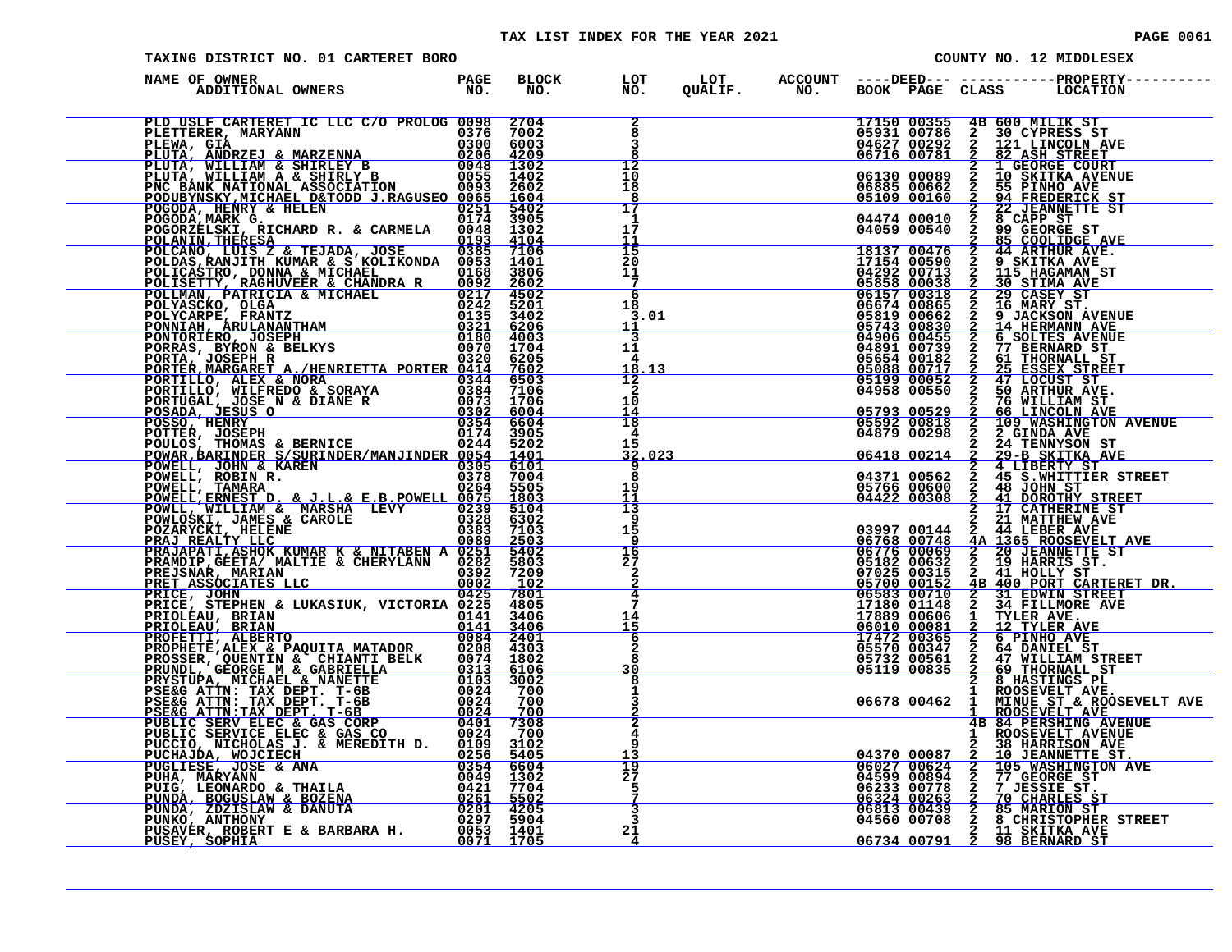#### TAX LIST INDEX FOR THE YEAR 2021 **PAGE 10061** PAGE 0061

| TAXING DISTRICT NO. 01 CARTERET BORO                                                                                                                                          |  |                                               |  |                                                                                                                           |                 | COUNTY NO. 12 MIDDLESEX                                                                                                                                                                                                                                                                                                        |  |
|-------------------------------------------------------------------------------------------------------------------------------------------------------------------------------|--|-----------------------------------------------|--|---------------------------------------------------------------------------------------------------------------------------|-----------------|--------------------------------------------------------------------------------------------------------------------------------------------------------------------------------------------------------------------------------------------------------------------------------------------------------------------------------|--|
| )<br>De OWNER (DESPACE DROM THE PAGE DROM TO ACCOUNT ---DEED--- ----------PROPERTY---<br>ADDITIONAL OWNERS (NO. NO. NO. QUALIF. NO. BOOK PAGE CLASS LOCATION<br>NAME OF OWNER |  |                                               |  |                                                                                                                           |                 |                                                                                                                                                                                                                                                                                                                                |  |
|                                                                                                                                                                               |  | $\frac{2}{8}$                                 |  | 17150 00355<br>05931 00786<br>04627 00292<br><u>06716 00781</u>                                                           | 4B 600 MILIK ST | 2 30 CYPRESS ST<br>2 121 LINCOLN AVE<br><u>2 82 ASH STREET</u>                                                                                                                                                                                                                                                                 |  |
|                                                                                                                                                                               |  | 12<br>10<br>18<br><u>8</u><br>$\overline{17}$ |  | 06130 00089<br>06885 00662<br>05109 00160                                                                                 |                 | 2 82 ASH STREET<br>2 1 GEORGE COURT<br>2 10 SKITKA AVENUE                                                                                                                                                                                                                                                                      |  |
|                                                                                                                                                                               |  | 1<br>17<br>11<br>15                           |  | 04474 00010<br>04059 00540                                                                                                |                 | 2 55 PINHO AVENUELLE 2 94 FREDERICK ST<br>2 22 JEANNETTE ST<br>2 8 CAPP ST<br>2 8 GEORGE ST<br>2 99 GEORGE ST                                                                                                                                                                                                                  |  |
|                                                                                                                                                                               |  | 20<br>11<br>-7<br>6                           |  |                                                                                                                           |                 | $\begin{array}{cccc} 04059&00540&2&99\text{ GEORGE SET} \\ 18137&00476&2&44\text{ ARTHUR AVE.} \\ 17154&00590&2&9\text{ SKITKA AVE.} \\ 04292&00713&2&115\text{ HAGAMAN ST} \\ 05858&000318&2&29\text{ CKIMA AVE.} \\ 06157&00318&2&29\text{ CASEY ST} \\ 06674&00865&2&16\text{ MARY ST.} \\ 05819&00662&2&9\text{ JACKSON A$ |  |
|                                                                                                                                                                               |  | 18<br>3.01<br>11<br>3                         |  | 05743 00830<br>04906 00455                                                                                                |                 |                                                                                                                                                                                                                                                                                                                                |  |
|                                                                                                                                                                               |  | 11<br>4<br>18<br>.13<br>12                    |  | $\begin{array}{r} 04891&00739\ 04891&00739\ 05654&00182\ 05654&00182\ 05088&00717\ 05199&00052\ 04958&00550\ \end{array}$ |                 | 2 14 HERMANN AVENUE<br>2 6 SOLTES AVENUE<br>2 77 BERNARD ST<br>2 61 THORNALL ST<br>2 47 LOCUST ST<br>2 47 LOCUST ST<br>2 50 ARTHUR AVE.                                                                                                                                                                                        |  |
|                                                                                                                                                                               |  | $\mathbf{2}$<br>10<br>$\frac{14}{18}$         |  | $\n 05793 00529\n 05592 00818$                                                                                            | $\frac{2}{2}$   | 76 WILLIAM ST<br><b>66 LINCOLN AVE<br/>109 WASHINGTON AVENUE<br/>2 GINDA AVE</b>                                                                                                                                                                                                                                               |  |
|                                                                                                                                                                               |  | 4<br>15<br>32.023<br>8                        |  | 04879 00298                                                                                                               |                 | 04879 00298 2 2 GINDA AVE<br>06418 00214 2 29-B SKITKA AVE<br>04371 00562 2 45 S.MHTTIER STREET<br>0576 00600 2 45 S.MHTTIER STREET<br>04422 00308 2 41 DOROTHY STREET<br>2 17 CATHERINE ST<br>03997 00144 2 44 LEBER AVE<br>06768 00748 4A                                                                                    |  |
|                                                                                                                                                                               |  | $\frac{19}{11}$<br>13<br>9                    |  |                                                                                                                           |                 |                                                                                                                                                                                                                                                                                                                                |  |
|                                                                                                                                                                               |  | 15<br>9<br>16<br>$\overline{27}$              |  |                                                                                                                           |                 | <b>4A 1365 ROOSEVELT AVE<br/> 2 20 JEANNETTE ST<br/> 2 41 HOLLY ST.<br/> 2 41 HOLLY ST.<br/> 4B 400 PORT CARTERET DR.</b>                                                                                                                                                                                                      |  |
|                                                                                                                                                                               |  | $\frac{2}{2}$<br>4<br>7                       |  | 05182 00632<br>07025 00315<br>05700 00152                                                                                 |                 |                                                                                                                                                                                                                                                                                                                                |  |
|                                                                                                                                                                               |  | $\frac{14}{15}$<br>6<br>$\frac{2}{8}$         |  |                                                                                                                           |                 |                                                                                                                                                                                                                                                                                                                                |  |
|                                                                                                                                                                               |  | 30<br>$\mathbf{1}$                            |  |                                                                                                                           |                 | 8 HASTINGS PL<br>1 ROOSEVELT AVE.                                                                                                                                                                                                                                                                                              |  |
|                                                                                                                                                                               |  | $\overline{\mathbf{2}}$<br>4                  |  |                                                                                                                           |                 | 06678 00462 I MINUE ST & ROOSEVELT AVE<br><b>4B 84 PERSHING AVENUE</b><br>1 ROOSEVELT AVENUE                                                                                                                                                                                                                                   |  |
|                                                                                                                                                                               |  | 9<br>$\frac{13}{19}$<br>$\overline{2}7$       |  |                                                                                                                           |                 | 1 ROOSEVELT AVENUES<br>12 38 HARRISON AVE<br>06027 00624 2 105 WASHINGTON AVE<br>04370 00624 2 105 WASHINGTON AVE<br>04599 00894 2 77 GEORGE ST<br>06324 00263 2 70 CHARLES ST<br>06324 00263 2 70 CHARLES ST<br>06813 00439 2 85 MARION ST<br>                                                                                |  |
|                                                                                                                                                                               |  | 5<br>3<br>3                                   |  |                                                                                                                           |                 |                                                                                                                                                                                                                                                                                                                                |  |
|                                                                                                                                                                               |  | 21<br>4                                       |  | 06734 00791                                                                                                               |                 | 2 11 SKITKA AVE                                                                                                                                                                                                                                                                                                                |  |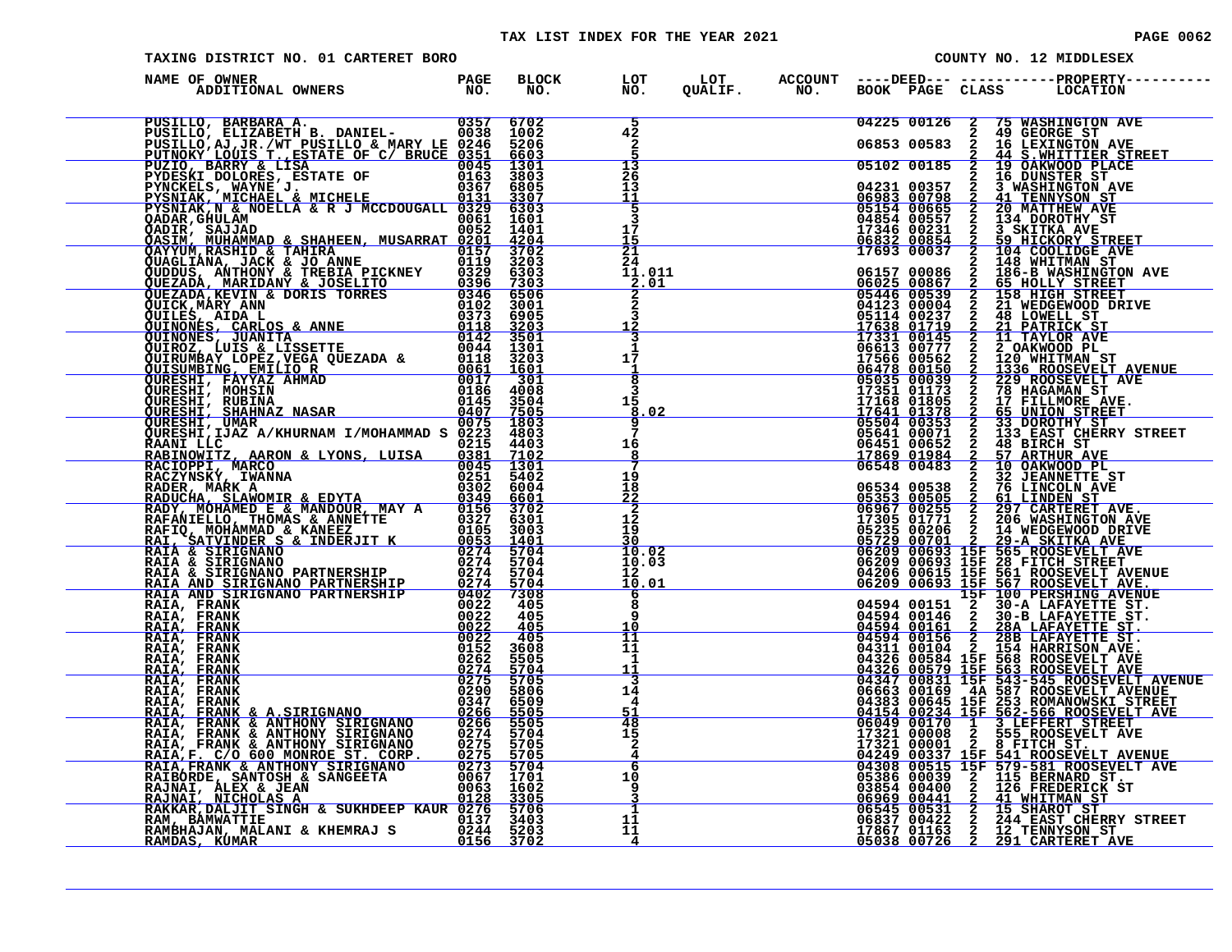### TAX LIST INDEX FOR THE YEAR 2021 **PAGE 0062** PAGE 0062

| PAGE |  | 006 |  |
|------|--|-----|--|
|------|--|-----|--|

| TAXING DISTRICT NO. 01 CARTERET BORO                     |                                                                                                                                                                                                                                              |                                                    |                            |  | COUNTY NO. 12 MIDDLESEX                                                                                                                                                                                                                                                                                                                                                               |
|----------------------------------------------------------|----------------------------------------------------------------------------------------------------------------------------------------------------------------------------------------------------------------------------------------------|----------------------------------------------------|----------------------------|--|---------------------------------------------------------------------------------------------------------------------------------------------------------------------------------------------------------------------------------------------------------------------------------------------------------------------------------------------------------------------------------------|
| NAME OF OWNER                                            |                                                                                                                                                                                                                                              |                                                    |                            |  |                                                                                                                                                                                                                                                                                                                                                                                       |
|                                                          | PUSILLO, BARBARA A. 0357 6702<br>PUSILLO, ELIZABETH B. DANIEL-0038 1002<br>PUSILLO, AJ, JR./WT PUSILLO & MARY LE 0246 5206<br>PUTNOKY LOUIS T., ESTATE OF C/ BRUCE 0351 6603<br>PUZIO, BARRY & LISA<br>PYDESKI DOLORES, ESTATE OF 0045 3     |                                                    | $\overline{42}$<br>2<br>13 |  | $\begin{tabular}{ c  c  c c c c} \hline 04225 & 00126 & 2 & 75 & \text{MASHINGTON AVE} \\ \hline 2 & 49 & \text{GEORGE ST} \\ \hline 06853 & 00583 & 2 & 16 & \text{LEXINGTON AVE} \\ \hline 05102 & 00185 & 2 & 44 & \text{S.WHOTINE STTREET} \\ \hline 05102 & 00185 & 2 & 19 & \text{MANGTON AVE} \\ 2 & 16 & \text{DUNSTER ST} \\ \hline 2 & 16 & \text{DUNSTER ST} \\ \hline 06$ |
|                                                          |                                                                                                                                                                                                                                              |                                                    | 26<br>13<br>푝              |  |                                                                                                                                                                                                                                                                                                                                                                                       |
|                                                          |                                                                                                                                                                                                                                              |                                                    | 3<br>17<br>15              |  |                                                                                                                                                                                                                                                                                                                                                                                       |
|                                                          |                                                                                                                                                                                                                                              |                                                    |                            |  |                                                                                                                                                                                                                                                                                                                                                                                       |
|                                                          |                                                                                                                                                                                                                                              |                                                    |                            |  |                                                                                                                                                                                                                                                                                                                                                                                       |
|                                                          | FISNIAR, WARN ANNE 1932<br>CADIR, SAJJAD 0061 1601<br>CADIR, SAJJAD 0061 1601<br>CANIM MUHAMMAD & SHAHEEN, MUSARRAT 0052 1401<br>CAYYUM,RASHID & TAHIRA 0157 3702<br>CUDIDIS, ANTHONY & JOSELITO 0396 7303<br>CUDIDIS, ANTHONY & JOSELITO    |                                                    |                            |  |                                                                                                                                                                                                                                                                                                                                                                                       |
|                                                          |                                                                                                                                                                                                                                              |                                                    |                            |  |                                                                                                                                                                                                                                                                                                                                                                                       |
|                                                          |                                                                                                                                                                                                                                              |                                                    |                            |  |                                                                                                                                                                                                                                                                                                                                                                                       |
|                                                          |                                                                                                                                                                                                                                              |                                                    |                            |  |                                                                                                                                                                                                                                                                                                                                                                                       |
|                                                          |                                                                                                                                                                                                                                              |                                                    |                            |  |                                                                                                                                                                                                                                                                                                                                                                                       |
|                                                          | VURESHI, IJAZ A/KHURNAM I/MOHAMMAD S 0223 4803<br>RAANI LLC 0223 4803<br>RAEINOWITZ, AARON & LYONS, LUISA 0381 7102<br>RAEINOWITZ, AARON & LYONS, LUISA 0381 7102<br>RACIOPFI, MARK A<br>C251 5402<br>RADECHA, MARK A<br>RADUCHA, KLAWOMIR & |                                                    |                            |  |                                                                                                                                                                                                                                                                                                                                                                                       |
|                                                          |                                                                                                                                                                                                                                              |                                                    |                            |  |                                                                                                                                                                                                                                                                                                                                                                                       |
| RAIA, FRANK<br>RAIA, FRANK<br>RAIA, FRANK                |                                                                                                                                                                                                                                              | 405<br>$\frac{\bar{4}\,\bar{0}\,\bar{5}}{4\,0\,5}$ |                            |  |                                                                                                                                                                                                                                                                                                                                                                                       |
| RAIA, FRANK<br>RAIA, FRANK<br>RAIA, FRANK<br>RAIA, FRANK | $\begin{array}{r l} \hline \text{OMAND} & \text{FAKINERSHIP} & \text{O402} \\ \hline 0022 \\ 0022 \\ 0022 \\ 0022 \\ 0122 \\ 0152 \\ 0274 \\ 0275 \\ 0290 \\ \hline \end{array}$                                                             | 3608<br>5505<br>$\frac{5704}{5705}$                |                            |  |                                                                                                                                                                                                                                                                                                                                                                                       |
| RAIA, FRANK                                              |                                                                                                                                                                                                                                              | 5806                                               |                            |  |                                                                                                                                                                                                                                                                                                                                                                                       |
|                                                          | RAIA, FRANK & A.SIRIGNANO 0290 5806<br>RAIA, FRANK & A.SIRIGNANO 0246 5509<br>RAIA, FRANK & ANTHONY SIRIGNANO 0266 5505<br>RAIA, FRANK & ANTHONY SIRIGNANO 0274 5704<br>RAIA, FRANK & ANTHONY SIRIGNANO 0274 5704<br>RAIA, FRANK & ANTHO     |                                                    |                            |  |                                                                                                                                                                                                                                                                                                                                                                                       |
|                                                          |                                                                                                                                                                                                                                              |                                                    | 10<br>9                    |  | $\begin{array}{cccc} 17321 & 00001 & 2 & 8 & \text{FTCH ST.} \\ \hline 04249 & 00337 & 15 \text{F} & 541 & \text{ROOSEVELT} & \text{AVENUE} \\ 04308 & 00515 & 15 \text{F} & 579 - 581 & \text{ROOSEVELT} & \text{AVE} \\ 05386 & 00039 & 2 & 115 & \text{BERNARD ST.} \\ 03854 & 00400 & 2 & 126 & \text{FREDERICK ST} \\ 06969 & 00441 & 2 & 41$                                    |
|                                                          |                                                                                                                                                                                                                                              |                                                    | 1<br>11<br>11              |  |                                                                                                                                                                                                                                                                                                                                                                                       |
|                                                          |                                                                                                                                                                                                                                              |                                                    |                            |  |                                                                                                                                                                                                                                                                                                                                                                                       |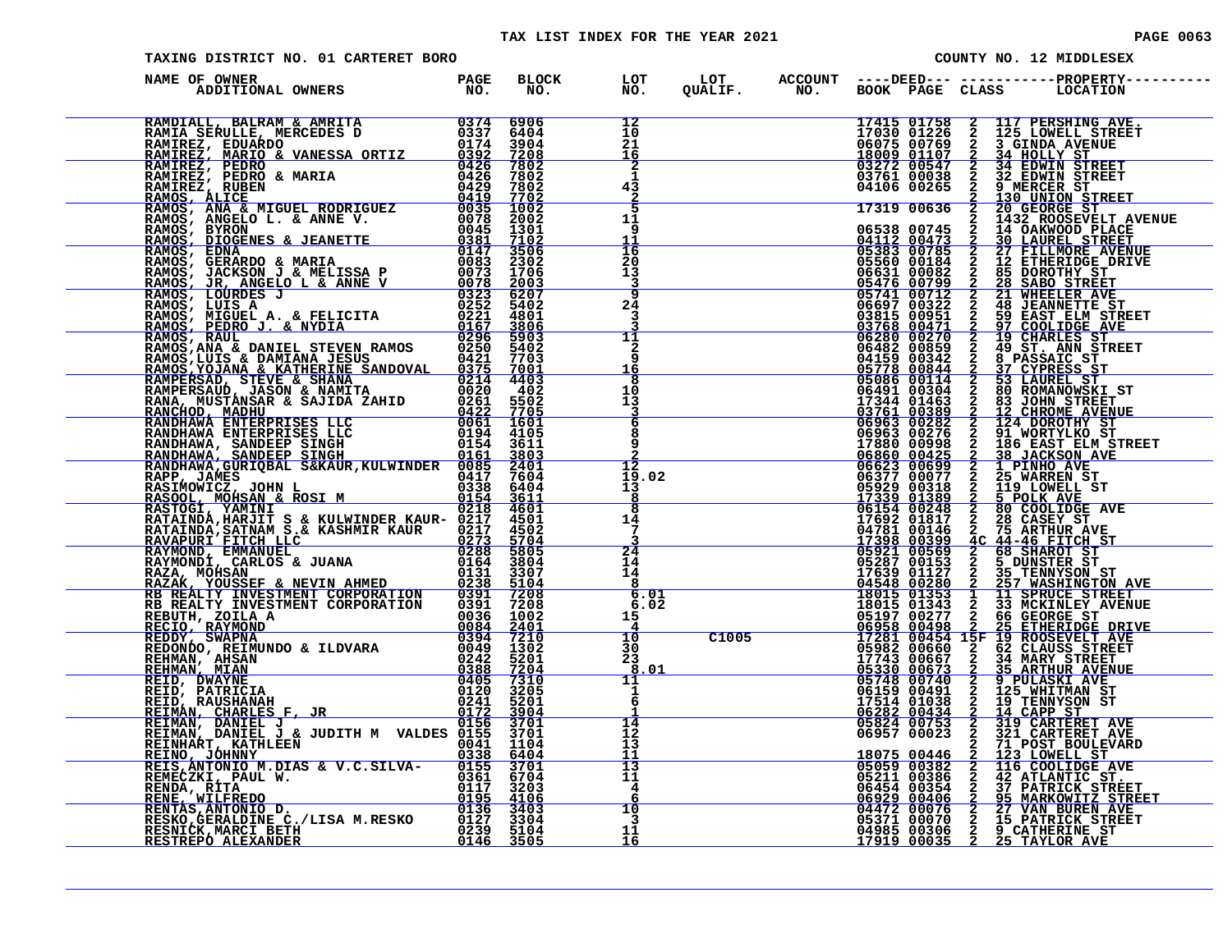| TAXING DISTRICT NO. 01 CARTERET BORO                                                                                                                                                                                                           |  |                                                            |  | COUNTY NO. 12 MIDDLESEX |  |  |                                                                                                                                                                                                                                    |  |  |
|------------------------------------------------------------------------------------------------------------------------------------------------------------------------------------------------------------------------------------------------|--|------------------------------------------------------------|--|-------------------------|--|--|------------------------------------------------------------------------------------------------------------------------------------------------------------------------------------------------------------------------------------|--|--|
| NAME OF OWNER                                                                                                                                                                                                                                  |  |                                                            |  |                         |  |  | BLOCK LOT LOT ACCOUNT ----DEED----------------PROPERTY---<br>NO. NO. QUALIF. NO. BOOK PAGE CLASS LOCATION                                                                                                                          |  |  |
| NAME OF OWNER AND MANUS PROPERTY AND MANUS PROPERTY AND MANUS PROPERTY OF A 1990 MANUS PROPERTY AND MANUS PROPERTY AND MANUS PROPERTY AND MANUS PROPERTY AND MANUS PROPERTY AND MANUS PROPERTY AND MANUS PROPERTY AND MANUS PR                 |  | 12<br>10<br>21<br>16                                       |  |                         |  |  | 17415 01758 2 117 PERSHING AVE.<br>17030 01226 2 125 LOWELL STREET<br>06075 00769 2 3 GINDA AVENUE<br>18009 01107 2 34 HOLLY STREET<br>03761 00038 2 32 EDWIN STREET<br>03761 00038 2 32 EDWIN STREET<br>04106 00265 2 9 MERCER ST |  |  |
|                                                                                                                                                                                                                                                |  | $\mathbf{2}$<br>1<br>43<br>$\frac{2}{5}$                   |  |                         |  |  |                                                                                                                                                                                                                                    |  |  |
|                                                                                                                                                                                                                                                |  | 11<br>9<br>11<br>16                                        |  |                         |  |  |                                                                                                                                                                                                                                    |  |  |
|                                                                                                                                                                                                                                                |  | 20<br>13<br>3<br>$\overline{\mathbf{a}}$                   |  |                         |  |  |                                                                                                                                                                                                                                    |  |  |
|                                                                                                                                                                                                                                                |  | 24<br>3<br>11                                              |  |                         |  |  |                                                                                                                                                                                                                                    |  |  |
|                                                                                                                                                                                                                                                |  | $\overline{a}$<br>ā<br>16<br>$\overline{\mathbf{8}}$<br>10 |  |                         |  |  |                                                                                                                                                                                                                                    |  |  |
|                                                                                                                                                                                                                                                |  | 13<br>$6\overline{6}$<br>8                                 |  |                         |  |  |                                                                                                                                                                                                                                    |  |  |
|                                                                                                                                                                                                                                                |  | 9<br>$\overline{12}$<br>$\bar{1}\bar{9}$ .02               |  |                         |  |  |                                                                                                                                                                                                                                    |  |  |
|                                                                                                                                                                                                                                                |  | $\frac{13}{8}$<br>$\overline{\mathbf{8}}$<br>$^{14}_{7}$   |  |                         |  |  |                                                                                                                                                                                                                                    |  |  |
|                                                                                                                                                                                                                                                |  | $\overline{24}$<br>14<br>14                                |  |                         |  |  |                                                                                                                                                                                                                                    |  |  |
|                                                                                                                                                                                                                                                |  | 8<br>6.01<br>6.02<br>15                                    |  |                         |  |  |                                                                                                                                                                                                                                    |  |  |
|                                                                                                                                                                                                                                                |  | $\frac{4}{10}$<br>30<br>23<br>8.01                         |  |                         |  |  |                                                                                                                                                                                                                                    |  |  |
|                                                                                                                                                                                                                                                |  | 11<br>$\mathbf{1}$<br>6                                    |  |                         |  |  |                                                                                                                                                                                                                                    |  |  |
|                                                                                                                                                                                                                                                |  | 14<br>īž<br>ī3<br>11                                       |  |                         |  |  |                                                                                                                                                                                                                                    |  |  |
| EEIS, ANTONIU M.DIAS & V.C.SILVA-<br>REMECZKI, PAUL W.<br>REMDA, RITA 0117 3203<br>RENDA, RITA 0117 3203<br>RENE, WILFREDO 0135 4106<br>RENTAS, ANTONIO D.<br>0136 3403<br>RESKO, GERRALDINE C./LISA M.RESKO 0127 3104<br>RESKO, GERRALDINE 02 |  | $\overline{13}$<br>11<br>4<br>10                           |  |                         |  |  |                                                                                                                                                                                                                                    |  |  |
|                                                                                                                                                                                                                                                |  | $\overline{\mathbf{3}}$<br>11<br>16                        |  |                         |  |  |                                                                                                                                                                                                                                    |  |  |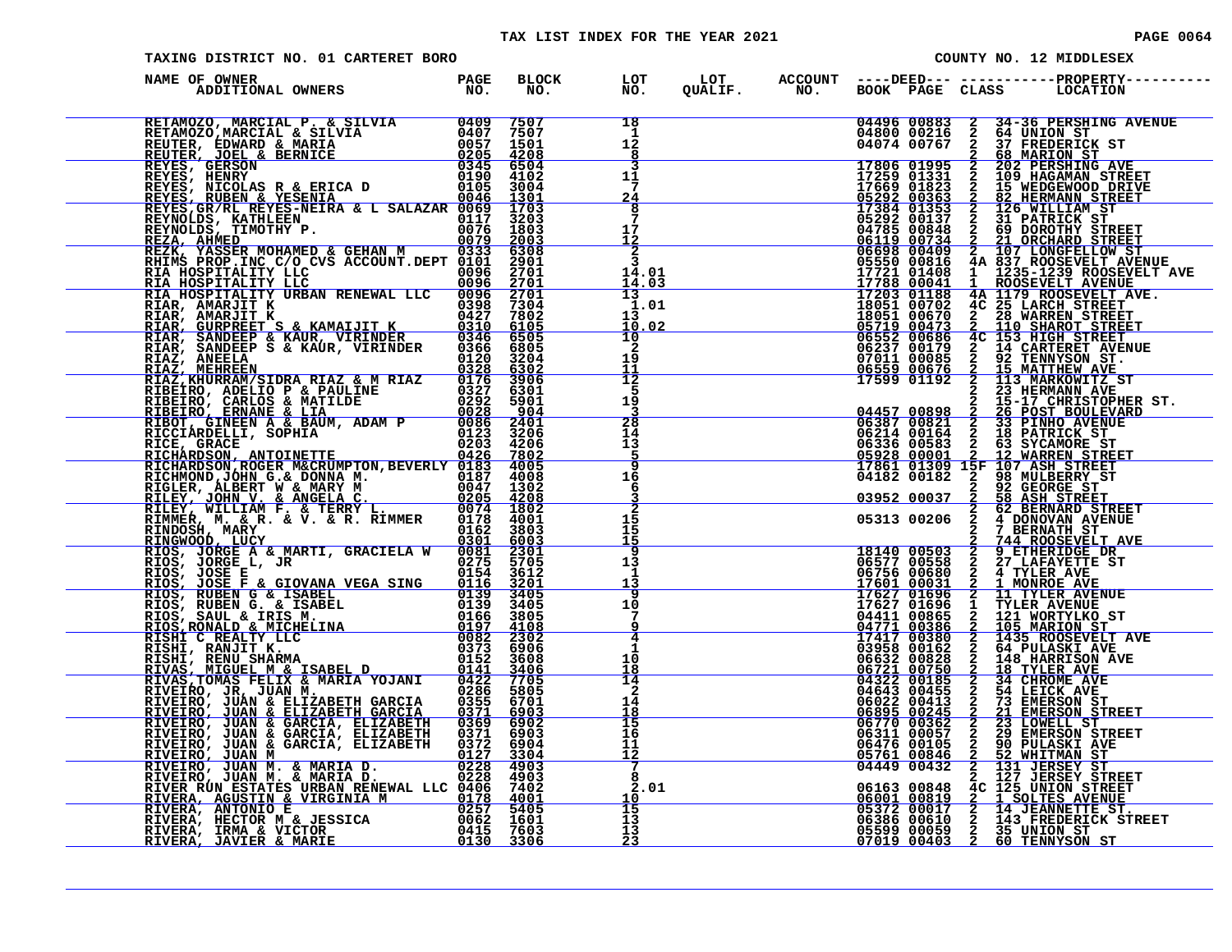#### TAX LIST INDEX FOR THE YEAR 2021 **PAGE 0064** PAGE 0064

| TAXING DISTRICT NO. 01 CARTERET BORO                                                                                                                                                                                                       |                     |              |                                               |  | COUNTY NO. 12 MIDDLESEX                   |                                           |  |                                                                                                                                                                                                                                                                                                                                                                        |  |  |
|--------------------------------------------------------------------------------------------------------------------------------------------------------------------------------------------------------------------------------------------|---------------------|--------------|-----------------------------------------------|--|-------------------------------------------|-------------------------------------------|--|------------------------------------------------------------------------------------------------------------------------------------------------------------------------------------------------------------------------------------------------------------------------------------------------------------------------------------------------------------------------|--|--|
| NAME OF OWNER<br>ADDITIONAL OWNERS                                                                                                                                                                                                         | <b>PAGE<br/>NO.</b> | BLOCK<br>NO. | LOT<br>NO.                                    |  |                                           |                                           |  |                                                                                                                                                                                                                                                                                                                                                                        |  |  |
| RETAMOZO, MARCIAL P. & SILVIA 0409 7507<br>RETAMOZO, MARCIAL & SILVIA 0407 7507<br>REUTER, EDWARD & MARIA 0057 1501<br>REUTER, JOEL & BERNICE 0205 4208<br>REYES, GERSON 0345 6504<br>REYES, HENRY 0190 4102<br>REYES, RUBEN & YESENIA 006 |                     |              | 18<br>$1\frac{1}{2}$<br>8                     |  |                                           | 04496 00883<br>04800 00216<br>04074 00767 |  | 34-36 PERSHING AVENUE<br>2 34-36 PERSHING 2<br>2 64 UNION ST<br>2 37 FREDERICK ST<br>2 68 MARION ST                                                                                                                                                                                                                                                                    |  |  |
|                                                                                                                                                                                                                                            |                     |              | २<br>11<br>7<br>24<br>$\overline{\mathbf{8}}$ |  |                                           |                                           |  | 17806 01995 2 202 PERSHING AVE<br>17259 01331 2 109 HAGAMAN STREET                                                                                                                                                                                                                                                                                                     |  |  |
| REFERENCE ANNERE REICH MEIRE ANNERE REICHNOR REGISSION (1970)<br>REFERENCE ANNERE ANNERE REICHNER (1970)<br>REFERENCE ANNERE ANNERE ANNERE ANNERE ANNERE ANNERE ANNERE ANNERE ANNERE ANNERE ANNERE ANNERE ANNERE ANNERE ANNERE ANNER       |                     |              | $7\phantom{.0}$<br>17<br>12<br>$\frac{2}{3}$  |  |                                           |                                           |  | 17806 01995 2 202 PERSING AVE ET ALGEMENT AVE 17659 01331 2 109 HAGAMAN STREET 17354 01353 2 15 WEDGEWOOD DRIVE<br>17259 01331 2 109 HAGAMAN STREET 17364 01353 2 202 WERMANN STREET 17364 000448 2 60 DOROTHY STREET 06412 000                                                                                                                                        |  |  |
|                                                                                                                                                                                                                                            |                     |              | 14.01<br>14.03<br>13                          |  |                                           |                                           |  |                                                                                                                                                                                                                                                                                                                                                                        |  |  |
|                                                                                                                                                                                                                                            |                     |              | 1.01<br>13<br>10.02<br>$\overline{10}$        |  |                                           |                                           |  |                                                                                                                                                                                                                                                                                                                                                                        |  |  |
|                                                                                                                                                                                                                                            |                     |              | $\overline{2}$<br>19<br>11                    |  |                                           |                                           |  |                                                                                                                                                                                                                                                                                                                                                                        |  |  |
|                                                                                                                                                                                                                                            |                     |              | $\overline{12}$<br>-5<br>19                   |  |                                           |                                           |  |                                                                                                                                                                                                                                                                                                                                                                        |  |  |
|                                                                                                                                                                                                                                            |                     |              | $\overline{28}$<br>14<br>13<br>-5             |  |                                           |                                           |  |                                                                                                                                                                                                                                                                                                                                                                        |  |  |
|                                                                                                                                                                                                                                            |                     |              | ğ<br>16<br>6                                  |  |                                           | 03952 00037                               |  | 2 92 GEORGE ST<br>2 58 ASH STREET                                                                                                                                                                                                                                                                                                                                      |  |  |
|                                                                                                                                                                                                                                            |                     |              | $\overline{2}$<br>15<br>15<br>15              |  |                                           |                                           |  |                                                                                                                                                                                                                                                                                                                                                                        |  |  |
|                                                                                                                                                                                                                                            |                     |              | 9<br>13<br>1<br>13                            |  |                                           |                                           |  | $\begin{array}{cccc} 0.3952 & 0.0037 & 2 & 58 & \text{ASH} & \text{STREET} \\ 0.5313 & 0.0206 & 2 & 4 & \text{DONONAND} & \text{STREET} \\ 2 & 4 & \text{DONONAND} & \text{STREET} \\ 2 & 7 & \text{BERNATH} & \text{ST} \\ \hline 18140 & 0.0503 & 2 & 9 & \text{ETIRENAGE} & \text{T} \\ 0.6577 & 0.0558 & 2 & 27 & \text{LAFAYETTE} & \text{ST} \\ 0.6577 & 0.0558$ |  |  |
|                                                                                                                                                                                                                                            |                     |              | $\overline{9}$<br>10<br>7<br>q                |  | 04411 00865<br>04771 00386<br>17417 00380 |                                           |  |                                                                                                                                                                                                                                                                                                                                                                        |  |  |
|                                                                                                                                                                                                                                            |                     |              | $\overline{4}$<br>1<br>10<br>18               |  |                                           | 03958 00162<br>06632 00828                |  | 1 11 MORTILKO ST<br>2 105 MARION ST<br>2 1435 ROOSEVELT AVE<br>2 143 HARRISON AVE<br>2 148 HARRISON AVE                                                                                                                                                                                                                                                                |  |  |
|                                                                                                                                                                                                                                            |                     |              | 14<br>$\mathbf{2}$<br>14<br>18                |  |                                           |                                           |  |                                                                                                                                                                                                                                                                                                                                                                        |  |  |
|                                                                                                                                                                                                                                            |                     |              | 15<br>16<br>11<br>12                          |  |                                           |                                           |  |                                                                                                                                                                                                                                                                                                                                                                        |  |  |
|                                                                                                                                                                                                                                            |                     |              | 7<br>8<br>2.01<br>10                          |  |                                           |                                           |  |                                                                                                                                                                                                                                                                                                                                                                        |  |  |
|                                                                                                                                                                                                                                            |                     |              | $\frac{15}{13}$<br>13<br><u>23</u>            |  |                                           |                                           |  | 0663200828 2 148 HARRISON AVE<br>06721 00750 2 18 TYLER AVE<br>04322 00185 2 34 CHROME AVE<br>04643 00485 2 54 LEICK AVE<br>066022 00413 2 73 EMERSON STREET<br>06682 00413 2 73 EMERSON STREET<br>06695 002445 2 21 LOWELL STREET<br>06770                                                                                                                            |  |  |
|                                                                                                                                                                                                                                            |                     |              |                                               |  |                                           |                                           |  |                                                                                                                                                                                                                                                                                                                                                                        |  |  |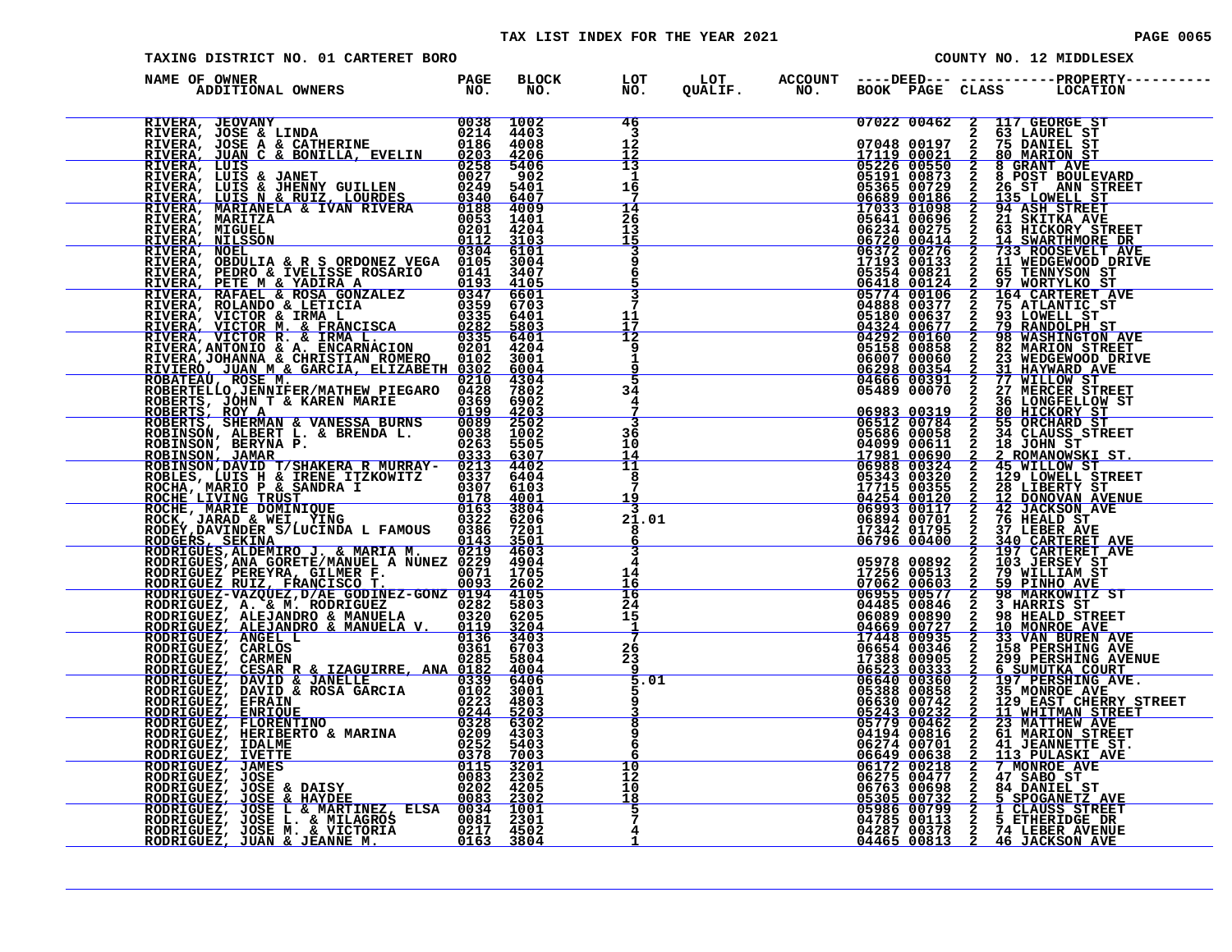#### TAX LIST INDEX FOR THE YEAR 2021 **PAGE 0065** PAGE 0065

| TAXING DISTRICT NO. 01 CARTERET BORO<br>COUNTY NO. 12 MIDDLESEX                                                                                                                                                                               |  |  |                                                       |  |                                                                       |                                                                         |  |  |                                                                                                                                                                                                                                                                                                                  |
|-----------------------------------------------------------------------------------------------------------------------------------------------------------------------------------------------------------------------------------------------|--|--|-------------------------------------------------------|--|-----------------------------------------------------------------------|-------------------------------------------------------------------------|--|--|------------------------------------------------------------------------------------------------------------------------------------------------------------------------------------------------------------------------------------------------------------------------------------------------------------------|
| NAME OF OWNER                                                                                                                                                                                                                                 |  |  |                                                       |  |                                                                       |                                                                         |  |  | BLOCK LOT LOT ACCOUNT ----DEED----------------PROPERTY-----<br>NO. NO. QUALIF. NO. BOOK PAGE CLASS LOCATION                                                                                                                                                                                                      |
| RIVERA, JEOVANY 0038 1002<br>RIVERA, JOSE & LINDA 0214 4403<br>RIVERA, JOSE A & CATHERINE 0186 4008<br>RIVERA, LUIS & JANET 0203 4206<br>RIVERA, LUIS & JANET 0027 902<br>RIVERA, LUIS & JANET 0027 902<br>RIVERA, LUIS & JHENNY GUILLEN 0    |  |  | 46<br>3<br>$12^{\circ}$<br>12                         |  |                                                                       |                                                                         |  |  | 07022 00462 2 117 GEORGE ST<br>07048 00197 2 75 DANIEL ST<br>17119 00021 2 80 MARION ST<br>05191 00873 2 8 GRANT AVE<br>05191 00873 2 8 GRANT AVE<br>05365 00729 2 26 GRANT AVE<br>06889 00186 2 14 ASH STREET<br>17033 01098 2 34 ASH STRE                                                                      |
|                                                                                                                                                                                                                                               |  |  | 13<br>-1<br>16                                        |  |                                                                       |                                                                         |  |  |                                                                                                                                                                                                                                                                                                                  |
|                                                                                                                                                                                                                                               |  |  | 14<br>26<br>13<br><u>15</u>                           |  |                                                                       |                                                                         |  |  |                                                                                                                                                                                                                                                                                                                  |
|                                                                                                                                                                                                                                               |  |  | $\frac{3}{9}$<br>$\overline{6}$<br>5<br>$\frac{3}{7}$ |  |                                                                       |                                                                         |  |  |                                                                                                                                                                                                                                                                                                                  |
|                                                                                                                                                                                                                                               |  |  | 11<br>17<br>$\overline{12}$                           |  |                                                                       |                                                                         |  |  |                                                                                                                                                                                                                                                                                                                  |
| RIVERA, PEDRO & IVELISSE ROSARIO 0105 3004<br>RIVERA, PEDRO & IVELISSE ROSARIO 0141 3407<br>RIVERA, PETE M & YADIRA A 0141 34105<br>RIVERA, RAFAEL & ROSA GONZALEZ 0347 6601<br>RIVERA, ROLANDO & LETICIA 0359 6703<br>RIVERA, VICTOR &       |  |  | 9<br>1<br>q<br>5<br>34                                |  |                                                                       | 05158 00858<br>06007 00060<br>06298 00354<br>04666 00391<br>05489 00070 |  |  | 2 82 MARION STREET<br>2 23 WEDGEWOOD DRIVE<br>2 31 MEDGEWOOD DRIVE<br>2 77 WILLOW ST<br>2 27 MERCER STREET                                                                                                                                                                                                       |
|                                                                                                                                                                                                                                               |  |  | 4<br>3<br>36                                          |  |                                                                       |                                                                         |  |  |                                                                                                                                                                                                                                                                                                                  |
|                                                                                                                                                                                                                                               |  |  | 10<br>14<br>$\overline{11}$<br>8                      |  |                                                                       |                                                                         |  |  |                                                                                                                                                                                                                                                                                                                  |
|                                                                                                                                                                                                                                               |  |  | 7<br>19<br>3<br>21.01                                 |  |                                                                       |                                                                         |  |  |                                                                                                                                                                                                                                                                                                                  |
|                                                                                                                                                                                                                                               |  |  | 8<br>6<br>3<br>$\overline{4}$                         |  |                                                                       |                                                                         |  |  |                                                                                                                                                                                                                                                                                                                  |
|                                                                                                                                                                                                                                               |  |  | 14<br>16<br>16<br>24<br>15                            |  |                                                                       |                                                                         |  |  |                                                                                                                                                                                                                                                                                                                  |
| RIVIERO, JUAN & GARCIA, ELIZABETH (1972)<br>ROBATERLI, ROSE M, WARTHER, MARIE 1970<br>ROBERTSI, GERNINIER MATHEM (1976)<br>ROBERTS, SERRAM & KARN MARIE (1978)<br>ROBERTS, SERRAM & VANESSA BURNS (1989)<br>ROBERTS, SERRAM & VANESSA BURNS ( |  |  | $\frac{1}{7}$<br>26<br>23<br><b>q</b>                 |  |                                                                       |                                                                         |  |  | $\begin{smallmatrix} 0&284\\ 4&6286&003591&2&37&\text{MLLOW STE}\\ 0&64668&00391&2&27&\text{MLLOW STE}\\ 0&68489&000070&2&280&\text{LONGREILOW STE}\\ 0&6281&2&00784&2&55&\text{ORGERE INREET}\\ 0&6281&2&00784&2&55&\text{ORGEARD STE}\\ 0&65112&000591&2&36&\text{LCANS S T TSET}\\ 0&63989&000501&2&16&\text$ |
|                                                                                                                                                                                                                                               |  |  | 5.01<br>5<br>9                                        |  | <u>66523 00333</u><br>06640 00360<br>06640 00360 06640<br>05388 00858 |                                                                         |  |  |                                                                                                                                                                                                                                                                                                                  |
|                                                                                                                                                                                                                                               |  |  | $\overline{8}$<br>9<br>$\overline{6}$                 |  |                                                                       |                                                                         |  |  |                                                                                                                                                                                                                                                                                                                  |
|                                                                                                                                                                                                                                               |  |  | 10<br>12<br>10<br>18                                  |  |                                                                       |                                                                         |  |  |                                                                                                                                                                                                                                                                                                                  |
|                                                                                                                                                                                                                                               |  |  | $\frac{5}{7}$                                         |  |                                                                       |                                                                         |  |  |                                                                                                                                                                                                                                                                                                                  |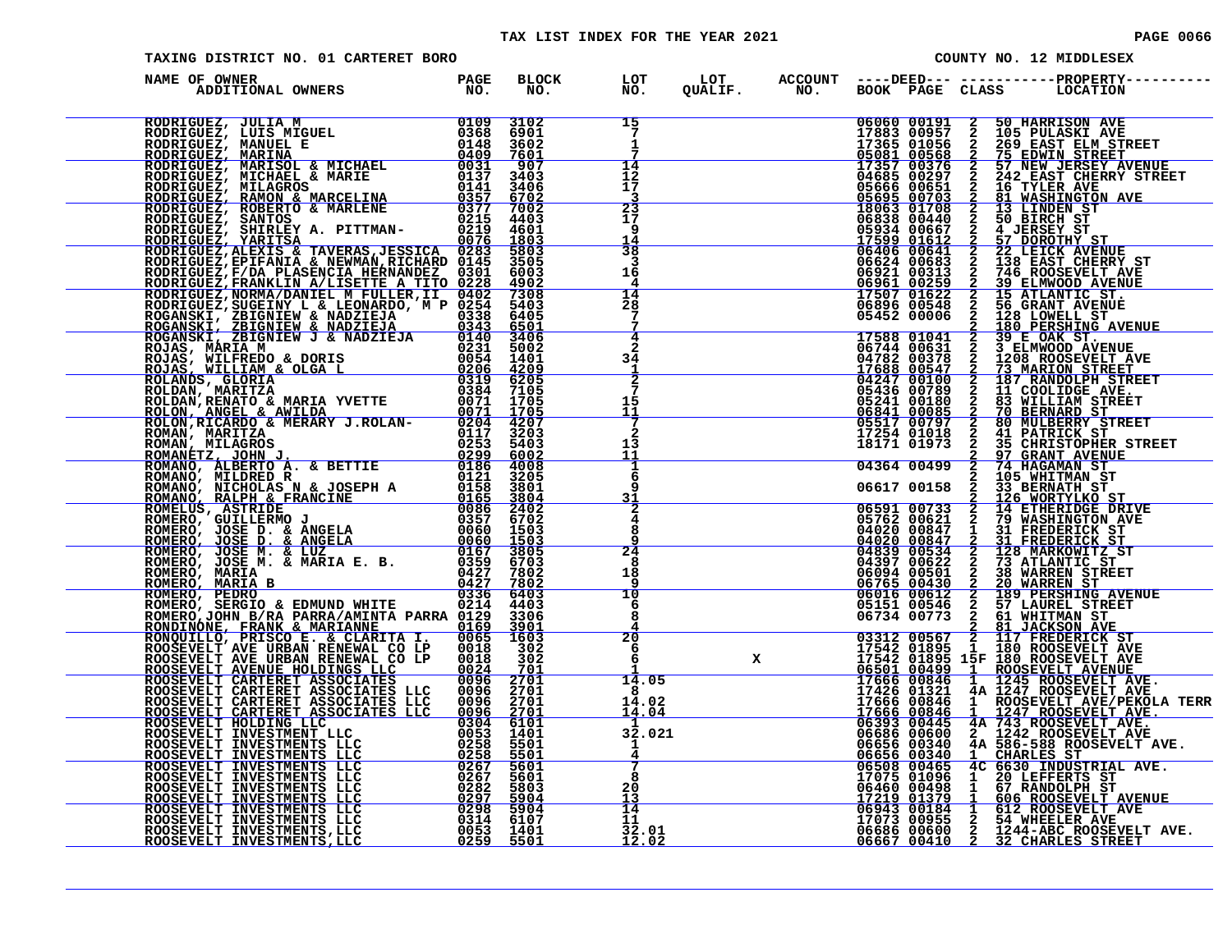#### TAX LIST INDEX FOR THE YEAR 2021 **PAGE 10066** PAGE 0066

| PAGE |  |  |  | 0066 |  |
|------|--|--|--|------|--|
|      |  |  |  |      |  |
|      |  |  |  |      |  |

|                                                                                                                                                                                                                               | TAXING DISTRICT NO. 01 CARTERET BORO<br>COUNTY NO. 12 MIDDLESEX |  |                                                                         |  |  |  |  |                                                                                                                                                                                                                                                                                                                                                                                                                   |
|-------------------------------------------------------------------------------------------------------------------------------------------------------------------------------------------------------------------------------|-----------------------------------------------------------------|--|-------------------------------------------------------------------------|--|--|--|--|-------------------------------------------------------------------------------------------------------------------------------------------------------------------------------------------------------------------------------------------------------------------------------------------------------------------------------------------------------------------------------------------------------------------|
| NAME OF OWNER                                                                                                                                                                                                                 |                                                                 |  |                                                                         |  |  |  |  | BLOCK LOT LOT ACCOUNT ----DEED-----------------PROPERTY-----<br>NO. NO. QUALIF. NO. BOOK PAGE CLASS LOCATION                                                                                                                                                                                                                                                                                                      |
| NAME OF OWNER HARD IN THE RESERVE TO A REPORT OF A REPORT IN THE RESERVE TO A REPORT IN THE RESERVE TO A REPORT OF A REPORT OF A REPORT OF A REPORT OF A REPORT OF A REPORT OF A REPORT OF A REPORT OF A REPORT OF A REPORT O |                                                                 |  | 15<br>$\overline{7}$<br>1                                               |  |  |  |  | $\begin{tabular}{@{}c@{}}\textbf{cyl} & \textbf{ACSOON} & \textbf{BCOER} & \textbf{COSO} & \textbf{COSO} & \textbf{COSO} & \textbf{COSO} & \textbf{COSO} & \textbf{COSO} & \textbf{COSO} & \textbf{COSO} & \textbf{COSO} & \textbf{COSO} & \textbf{COSO} & \textbf{COSO} & \textbf{COSO} & \textbf{COSO} & \textbf{COSO} & \textbf{COSO} & \textbf{COSO} & \textbf{COSO} & \textbf{COSO} & \textbf{COSO} & \text$ |
|                                                                                                                                                                                                                               |                                                                 |  | $\frac{14}{12}$<br>17                                                   |  |  |  |  |                                                                                                                                                                                                                                                                                                                                                                                                                   |
|                                                                                                                                                                                                                               |                                                                 |  | $\frac{23}{17}$<br>-9<br>14                                             |  |  |  |  |                                                                                                                                                                                                                                                                                                                                                                                                                   |
|                                                                                                                                                                                                                               |                                                                 |  | 38<br>3<br>16<br>4                                                      |  |  |  |  |                                                                                                                                                                                                                                                                                                                                                                                                                   |
|                                                                                                                                                                                                                               |                                                                 |  | $\frac{14}{28}$<br>7                                                    |  |  |  |  |                                                                                                                                                                                                                                                                                                                                                                                                                   |
|                                                                                                                                                                                                                               |                                                                 |  | 4<br>$\mathbf{2}$<br>34<br>1                                            |  |  |  |  |                                                                                                                                                                                                                                                                                                                                                                                                                   |
|                                                                                                                                                                                                                               |                                                                 |  | $rac{2}{7}$<br>15<br><u> 11</u>                                         |  |  |  |  |                                                                                                                                                                                                                                                                                                                                                                                                                   |
|                                                                                                                                                                                                                               |                                                                 |  | $\overline{2}$<br>13<br>11                                              |  |  |  |  |                                                                                                                                                                                                                                                                                                                                                                                                                   |
|                                                                                                                                                                                                                               |                                                                 |  | 6<br>q<br>31                                                            |  |  |  |  |                                                                                                                                                                                                                                                                                                                                                                                                                   |
|                                                                                                                                                                                                                               |                                                                 |  | $\frac{2}{4}$<br>8<br>Q<br>24                                           |  |  |  |  |                                                                                                                                                                                                                                                                                                                                                                                                                   |
|                                                                                                                                                                                                                               |                                                                 |  | 8<br>18<br>-9<br>10                                                     |  |  |  |  |                                                                                                                                                                                                                                                                                                                                                                                                                   |
|                                                                                                                                                                                                                               |                                                                 |  | 6<br>8<br>20                                                            |  |  |  |  |                                                                                                                                                                                                                                                                                                                                                                                                                   |
|                                                                                                                                                                                                                               |                                                                 |  | $\frac{6}{6}$<br>14.05                                                  |  |  |  |  |                                                                                                                                                                                                                                                                                                                                                                                                                   |
|                                                                                                                                                                                                                               |                                                                 |  | 8<br>$\begin{array}{r} 0 \\ 14.02 \\ 14.04 \end{array}$<br>$\mathbf{1}$ |  |  |  |  |                                                                                                                                                                                                                                                                                                                                                                                                                   |
|                                                                                                                                                                                                                               |                                                                 |  | 32.021<br>$\mathbf{I}$<br>7                                             |  |  |  |  |                                                                                                                                                                                                                                                                                                                                                                                                                   |
|                                                                                                                                                                                                                               |                                                                 |  | 8<br>20<br>13.<br>14                                                    |  |  |  |  |                                                                                                                                                                                                                                                                                                                                                                                                                   |
|                                                                                                                                                                                                                               |                                                                 |  | 11<br>$\begin{array}{r} 11 \ 32.01 \ 12.02 \end{array}$                 |  |  |  |  |                                                                                                                                                                                                                                                                                                                                                                                                                   |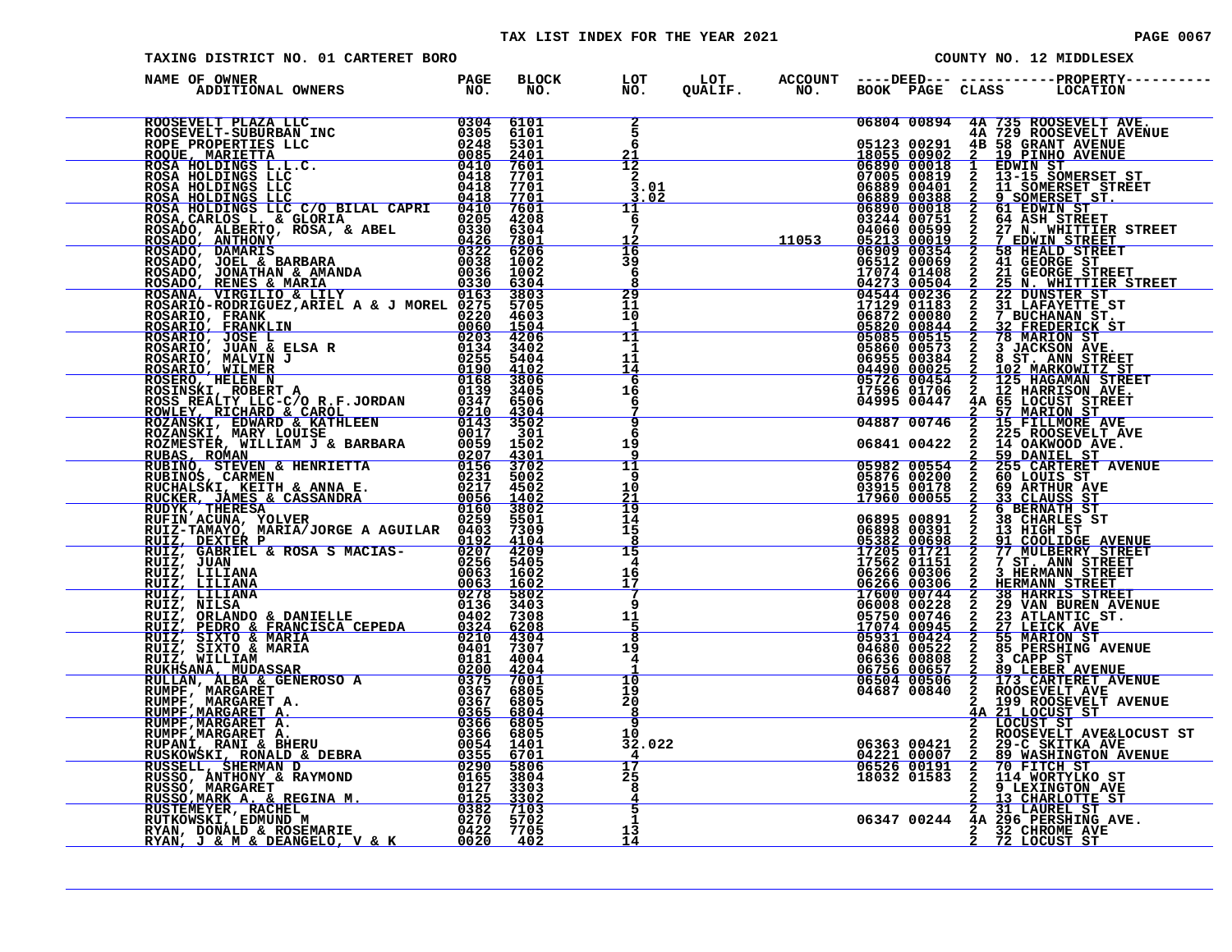#### TAX LIST INDEX FOR THE YEAR 2021 **PAGE 10067** PAGE 0067

| TAXING DISTRICT NO. 01 CARTERET BORO                                                                                                                                                                                                        |  | COUNTY NO. 12 MIDDLESEX |                                       |  |  |  |  |                                                                                                                                                                                                                                                                                                                             |
|---------------------------------------------------------------------------------------------------------------------------------------------------------------------------------------------------------------------------------------------|--|-------------------------|---------------------------------------|--|--|--|--|-----------------------------------------------------------------------------------------------------------------------------------------------------------------------------------------------------------------------------------------------------------------------------------------------------------------------------|
| NAME OF OWNER                                                                                                                                                                                                                               |  |                         |                                       |  |  |  |  |                                                                                                                                                                                                                                                                                                                             |
|                                                                                                                                                                                                                                             |  |                         | 5<br>6                                |  |  |  |  | 06804 00894 4A 735 ROOSEVELT AVE.                                                                                                                                                                                                                                                                                           |
|                                                                                                                                                                                                                                             |  |                         | 21<br>$\overline{12}$<br>$\mathbf{2}$ |  |  |  |  |                                                                                                                                                                                                                                                                                                                             |
|                                                                                                                                                                                                                                             |  |                         | 3.01<br>3.02<br>11<br>6               |  |  |  |  |                                                                                                                                                                                                                                                                                                                             |
|                                                                                                                                                                                                                                             |  |                         | $\overline{16}$                       |  |  |  |  |                                                                                                                                                                                                                                                                                                                             |
|                                                                                                                                                                                                                                             |  |                         | 39<br>6                               |  |  |  |  |                                                                                                                                                                                                                                                                                                                             |
|                                                                                                                                                                                                                                             |  |                         | $\frac{29}{11}$<br>10                 |  |  |  |  |                                                                                                                                                                                                                                                                                                                             |
|                                                                                                                                                                                                                                             |  |                         | 11<br>1<br>11                         |  |  |  |  |                                                                                                                                                                                                                                                                                                                             |
|                                                                                                                                                                                                                                             |  |                         | 14<br>6<br>16<br>6                    |  |  |  |  |                                                                                                                                                                                                                                                                                                                             |
|                                                                                                                                                                                                                                             |  |                         | ۊ<br>6                                |  |  |  |  |                                                                                                                                                                                                                                                                                                                             |
|                                                                                                                                                                                                                                             |  |                         | 19<br>9<br>11<br>-9                   |  |  |  |  |                                                                                                                                                                                                                                                                                                                             |
|                                                                                                                                                                                                                                             |  |                         | 10<br>21<br>19                        |  |  |  |  |                                                                                                                                                                                                                                                                                                                             |
|                                                                                                                                                                                                                                             |  |                         | 14<br>15<br>8<br>15                   |  |  |  |  |                                                                                                                                                                                                                                                                                                                             |
|                                                                                                                                                                                                                                             |  |                         | $\overline{4}$<br>16<br>17            |  |  |  |  |                                                                                                                                                                                                                                                                                                                             |
|                                                                                                                                                                                                                                             |  |                         | -7<br>$\mathbf{q}$<br>11              |  |  |  |  |                                                                                                                                                                                                                                                                                                                             |
|                                                                                                                                                                                                                                             |  |                         | $\frac{5}{8}$<br>19<br>$\overline{4}$ |  |  |  |  |                                                                                                                                                                                                                                                                                                                             |
|                                                                                                                                                                                                                                             |  |                         | $\overline{10}$<br>19                 |  |  |  |  |                                                                                                                                                                                                                                                                                                                             |
|                                                                                                                                                                                                                                             |  |                         |                                       |  |  |  |  |                                                                                                                                                                                                                                                                                                                             |
| RUIZ, GABRIEL & ROSA SMACIAS-<br>RUIZ, JUAN<br>RUIZ, LILIANA 00063 16002<br>RUIZ, LILIANA 00063 16002<br>RUIZ, LILIANA 00063 16002<br>RUIZ, DILIANA 00278 58002<br>RUIZ, PEDRO & PANIELLE 0136 34008<br>RUIZ, PEDRO & FANICISCA CEPEDA 0324 |  |                         |                                       |  |  |  |  | $\begin{array}{c cccc} 19 & 04687 & 00840 & 2 & \text{ROOSEVELT AVE} \\ 20 & 2 & 199 & \text{ROOSEVELT AVENUE} \\ 8 & 4 & 21 & \text{LOCUST ST} \\ 9 & 2 & \text{LOCUST ST} \\ 10 & 2 & \text{LOCUST ST} \\ 12 & 2 & \text{ROOSEVELT AVEELOCUST ST} \\ 4 & 06363 & 00421 & 2 & 29-\text{C SLTKA AVE} \\ \hline \end{array}$ |
|                                                                                                                                                                                                                                             |  |                         | $5\overline{}$                        |  |  |  |  |                                                                                                                                                                                                                                                                                                                             |
|                                                                                                                                                                                                                                             |  |                         | $\mathbf{1}$<br>13<br>14              |  |  |  |  | 2 31 LAUREL ST<br>06347 00244 4A 296 PERSHING AVE.<br>2 32 CHROME AVE<br>2 72 LOCUST ST                                                                                                                                                                                                                                     |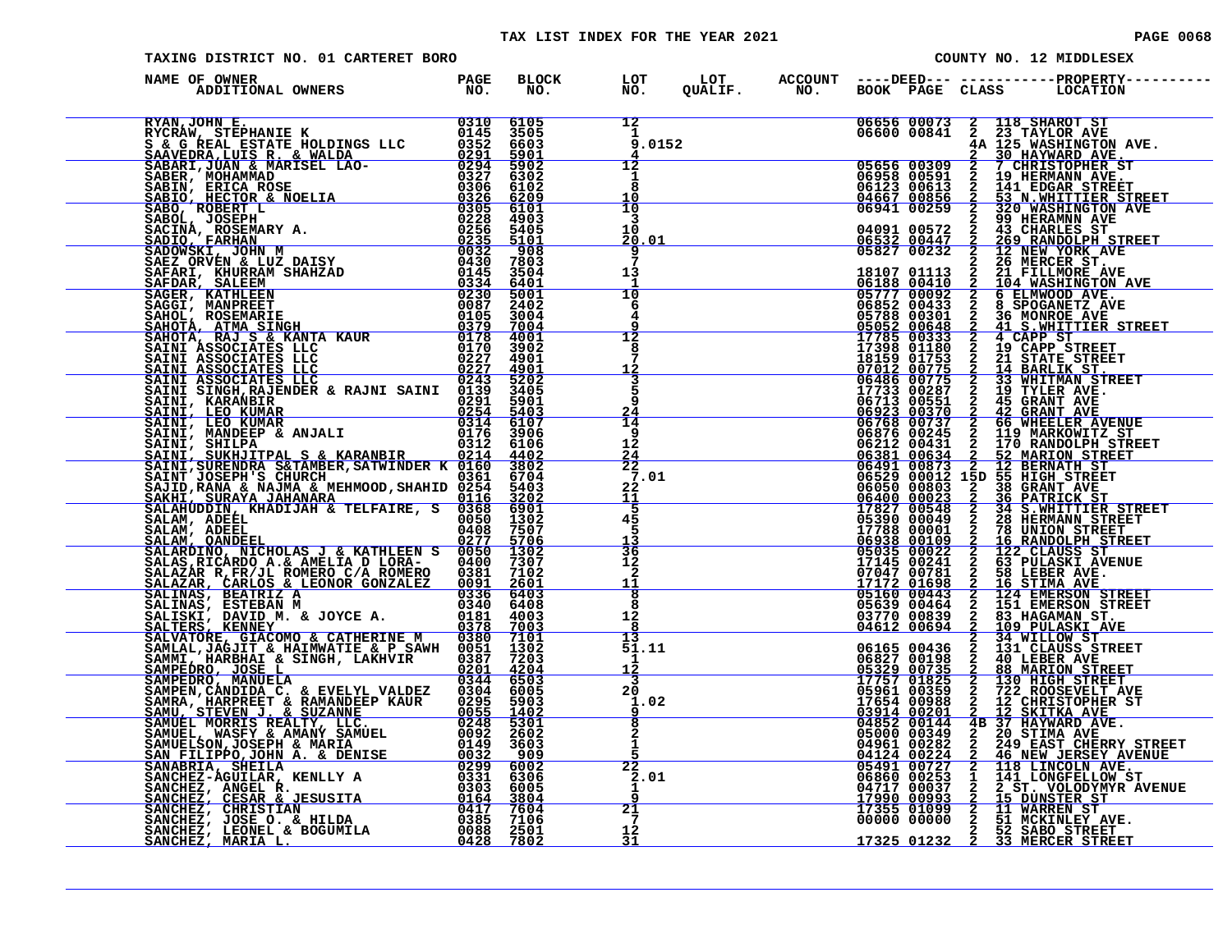| PAGE 00 |  |
|---------|--|
|         |  |

|                                                                                                                                                                                                                                                 | TAXING DISTRICT NO. 01 CARTERET BORO |                     |                                                       |  |  |                                                                                                                                                                                                                                                                                                                                                                                                                              |  |
|-------------------------------------------------------------------------------------------------------------------------------------------------------------------------------------------------------------------------------------------------|--------------------------------------|---------------------|-------------------------------------------------------|--|--|------------------------------------------------------------------------------------------------------------------------------------------------------------------------------------------------------------------------------------------------------------------------------------------------------------------------------------------------------------------------------------------------------------------------------|--|
| NAME OF OWNER<br>DF OWNER<br>ADDITIONAL OWNERS TO NO.                                                                                                                                                                                           |                                      | <b>BLOCK</b><br>NO. | LOT<br>LOT<br>QUALIF.<br>$\overline{NO}$ .            |  |  | ACCOUNT ----DEED--- -----------PROPERTY----<br>NO. BOOK PAGE CLASS LOCATION                                                                                                                                                                                                                                                                                                                                                  |  |
|                                                                                                                                                                                                                                                 |                                      |                     | $\frac{12}{1}$<br>9.0152                              |  |  |                                                                                                                                                                                                                                                                                                                                                                                                                              |  |
|                                                                                                                                                                                                                                                 |                                      |                     | 12<br>1<br>8<br>10<br>$\overline{10}$                 |  |  |                                                                                                                                                                                                                                                                                                                                                                                                                              |  |
|                                                                                                                                                                                                                                                 |                                      |                     | 3<br>10<br><u> 20.01</u><br>9                         |  |  |                                                                                                                                                                                                                                                                                                                                                                                                                              |  |
|                                                                                                                                                                                                                                                 |                                      |                     | 13<br>-1<br>10<br>-6                                  |  |  |                                                                                                                                                                                                                                                                                                                                                                                                                              |  |
| EXAM, JOHN E. WARNER BOLDINGS LLC<br>SE GREAL ESTATE HOLDINGS LLC<br>SAGREERIANIE K WALDA 0291 5901<br>SABARIT, JUMN & MARISEL LAO-0291 5901<br>SABARIT, MOHAMMAD 02321 5901<br>SABARIT, MOHAMMAD 0322 5901<br>SABARIT, MOHAMMAD 0322 6100      |                                      |                     | 4<br>٩<br>$\overline{12}$<br>8                        |  |  | $\begin{tabular}{@{}c@{}}\textbf{G}^{\text{LCT},\text{F}} & \textbf{ACGOM1} & \textbf{B} & \textbf{G} & \textbf{G} & \textbf{G} & \textbf{G} & \textbf{G} & \textbf{G} & \textbf{G} & \textbf{G} & \textbf{G} & \textbf{G} & \textbf{G} & \textbf{G} & \textbf{G} & \textbf{G} & \textbf{G} & \textbf{G} & \textbf{G} & \textbf{G} & \textbf{G} & \textbf{G} & \textbf{G} & \textbf{G} & \textbf{G} & \textbf{G} & \textbf{$ |  |
|                                                                                                                                                                                                                                                 |                                      |                     | <u> 12</u><br>$\frac{3}{5}$<br>q                      |  |  |                                                                                                                                                                                                                                                                                                                                                                                                                              |  |
| SAINI SINGH, RAJENDER & RAJNI SAINI 0139 3405<br>SAINI, KRANBIR<br>02254 5901<br>SAINI, LEO KUMAR<br>0314 6107<br>SAINI, MANDEEP & ANJALI 0176 3906<br>SAINI, SUKHJITPAL S & KARANBIR 0214 4402<br>SAINI, SUKHJITPAL S & KARANBIR 0214 4402<br> |                                      |                     | $\frac{24}{14}$<br>9<br>12                            |  |  |                                                                                                                                                                                                                                                                                                                                                                                                                              |  |
|                                                                                                                                                                                                                                                 |                                      |                     | $\frac{24}{22}$<br>7.01<br>$^{22}_{11}$               |  |  |                                                                                                                                                                                                                                                                                                                                                                                                                              |  |
|                                                                                                                                                                                                                                                 |                                      |                     | 5<br>45<br>5<br>$\frac{1}{36}$                        |  |  |                                                                                                                                                                                                                                                                                                                                                                                                                              |  |
|                                                                                                                                                                                                                                                 |                                      |                     | $\frac{12}{2}$<br>11<br>$\overline{\mathbf{8}}$       |  |  |                                                                                                                                                                                                                                                                                                                                                                                                                              |  |
|                                                                                                                                                                                                                                                 |                                      |                     | 8<br>12<br>8<br>13                                    |  |  |                                                                                                                                                                                                                                                                                                                                                                                                                              |  |
|                                                                                                                                                                                                                                                 |                                      |                     | 51.11<br>$\mathbf{1}$<br><u> 12</u><br>3<br><b>20</b> |  |  |                                                                                                                                                                                                                                                                                                                                                                                                                              |  |
| SALMA, ADEEL (055)<br>SALMA, ADEEL (0408 1507<br>SALMA, ADEEL (0408 7507<br>SALMA, OANDEEL<br>SALMAS, RICARDO A. & AMELIA D LORA- 06400 13007<br>SALMAS, BEATRIZ ANELIA D LORA- 06400 13007<br>SALMAS, BEATRIZ ANELIA D LORA- 06381 71002<br>   |                                      |                     | 1.02<br>$\overline{8}$<br>$\frac{2}{1}$               |  |  |                                                                                                                                                                                                                                                                                                                                                                                                                              |  |
|                                                                                                                                                                                                                                                 |                                      |                     | 22<br>2.01<br>1                                       |  |  |                                                                                                                                                                                                                                                                                                                                                                                                                              |  |
|                                                                                                                                                                                                                                                 |                                      |                     | $\overline{9}$<br>21<br>$7\phantom{.0}$<br>12         |  |  | <b>17325 01232 2 33 MERCER STREET</b>                                                                                                                                                                                                                                                                                                                                                                                        |  |
|                                                                                                                                                                                                                                                 |                                      |                     | 31                                                    |  |  |                                                                                                                                                                                                                                                                                                                                                                                                                              |  |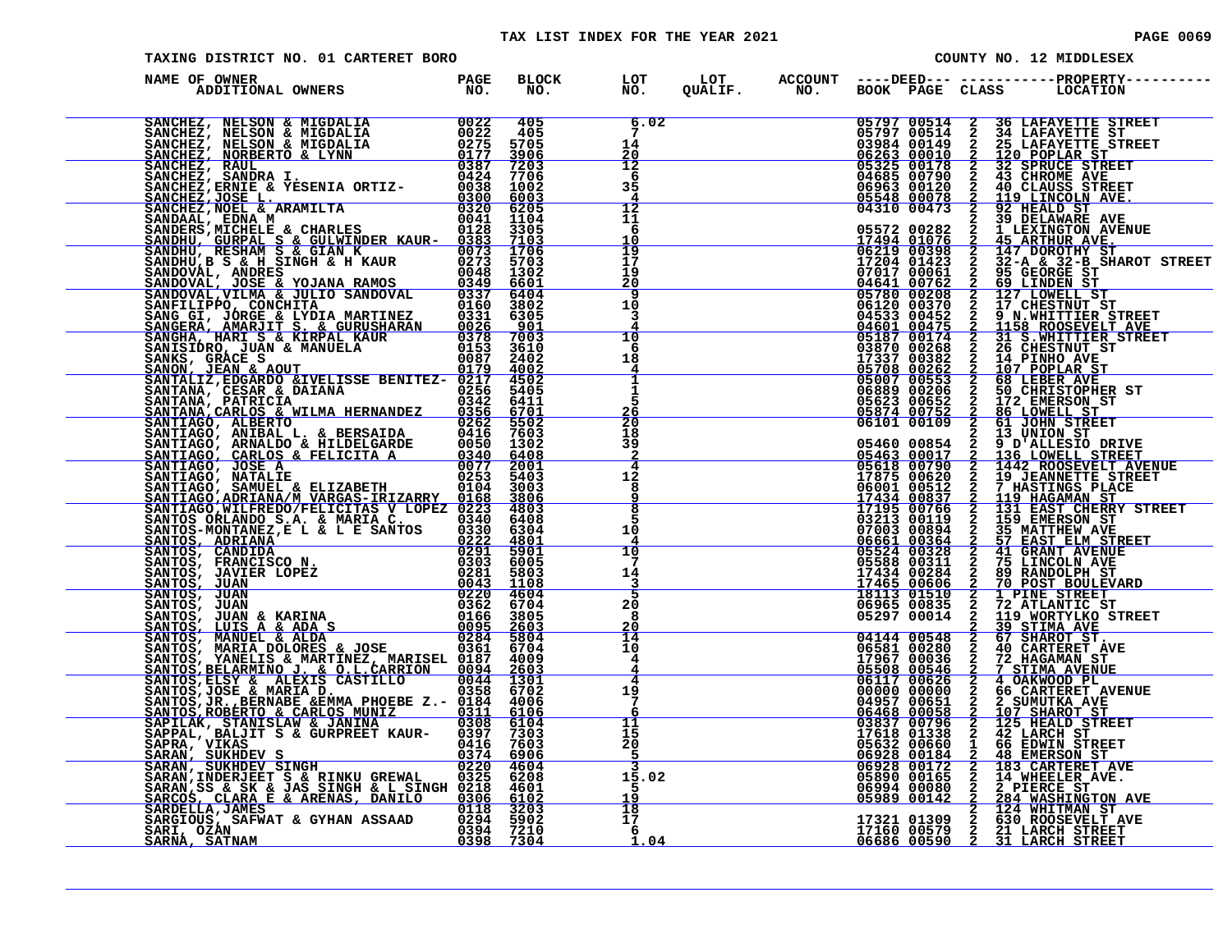#### TAX LIST INDEX FOR THE YEAR 2021 **PAGE 0069** PAGE 0069

|                                    | TAXING DISTRICT NO. 01 CARTERET BORO |                      |                                         |  |  |                                           |  | COUNTY NO. 12 MIDDLESEX |                                                                                                                                                                                                         |  |  |  |
|------------------------------------|--------------------------------------|----------------------|-----------------------------------------|--|--|-------------------------------------------|--|-------------------------|---------------------------------------------------------------------------------------------------------------------------------------------------------------------------------------------------------|--|--|--|
| NAME OF OWNER<br>ADDITIONAL OWNERS | PAGE<br>NO.                          | BLOCK LOT<br>NO. NO. |                                         |  |  |                                           |  |                         |                                                                                                                                                                                                         |  |  |  |
|                                    |                                      |                      | 6.02<br>14<br>20                        |  |  |                                           |  |                         | 05797 00514 2 36 LAFAYETTE STREET<br>05797 00514 2 34 LAFAYETTE ST<br>03984 00149 2 25 LAFAYETTE STREET<br>06263 00010 2 120 POPLAR ST<br>05325 00178 2 32 SPRUCE STREET<br>04685 00790 2 43 CHROME AVE |  |  |  |
|                                    |                                      |                      | 12<br>6<br>35<br>$\frac{4}{12}$         |  |  | 06963 00120<br>05548 00078<br>04310 00473 |  | $\frac{2}{2}$           | 40 CLAUSS STREET<br>119 LINCOLN AVE.<br>92 HEALD ST                                                                                                                                                     |  |  |  |
|                                    |                                      |                      | 11<br>6<br>10                           |  |  |                                           |  |                         | 92 HEALD ST<br>2 39 DELAWARE AVE<br>2 39 DELAWARE AVE<br>17494 01076 2 45 ARTHUR AVE<br>06219 00398 2 147 DARINUR AVE<br>17204 01422 2 147 DARINUR AVE                                                  |  |  |  |
|                                    |                                      |                      | $\frac{19}{17}$<br>19<br>2ō<br>9        |  |  |                                           |  |                         |                                                                                                                                                                                                         |  |  |  |
|                                    |                                      |                      | 10<br>3<br>10                           |  |  |                                           |  |                         |                                                                                                                                                                                                         |  |  |  |
|                                    |                                      |                      | 6<br>18<br>4<br>$\overline{\mathbf{1}}$ |  |  |                                           |  |                         |                                                                                                                                                                                                         |  |  |  |
|                                    |                                      |                      | ī<br>5<br>$\frac{26}{20}$<br>18         |  |  |                                           |  |                         |                                                                                                                                                                                                         |  |  |  |
|                                    |                                      |                      | 39<br>$\frac{4}{12}$                    |  |  |                                           |  |                         |                                                                                                                                                                                                         |  |  |  |
|                                    |                                      |                      | 8<br>9<br>8<br>5                        |  |  |                                           |  |                         |                                                                                                                                                                                                         |  |  |  |
|                                    |                                      |                      | 1Ŏ<br>$\overline{4}$<br>10<br>7         |  |  |                                           |  |                         |                                                                                                                                                                                                         |  |  |  |
|                                    |                                      |                      | 14<br>5<br>20<br>8                      |  |  |                                           |  |                         |                                                                                                                                                                                                         |  |  |  |
|                                    |                                      |                      | 20<br>14<br>10<br>4                     |  |  |                                           |  |                         |                                                                                                                                                                                                         |  |  |  |
|                                    |                                      |                      | 4<br>4<br>19<br>$7\phantom{.0}$         |  |  |                                           |  |                         |                                                                                                                                                                                                         |  |  |  |
|                                    |                                      |                      | 6<br>11<br>15<br>20<br>-5               |  |  |                                           |  |                         |                                                                                                                                                                                                         |  |  |  |
|                                    |                                      |                      | 15.02<br>.5.<br>19                      |  |  |                                           |  |                         |                                                                                                                                                                                                         |  |  |  |
|                                    |                                      |                      | $\frac{18}{17}$<br>-6<br>1.04           |  |  |                                           |  |                         |                                                                                                                                                                                                         |  |  |  |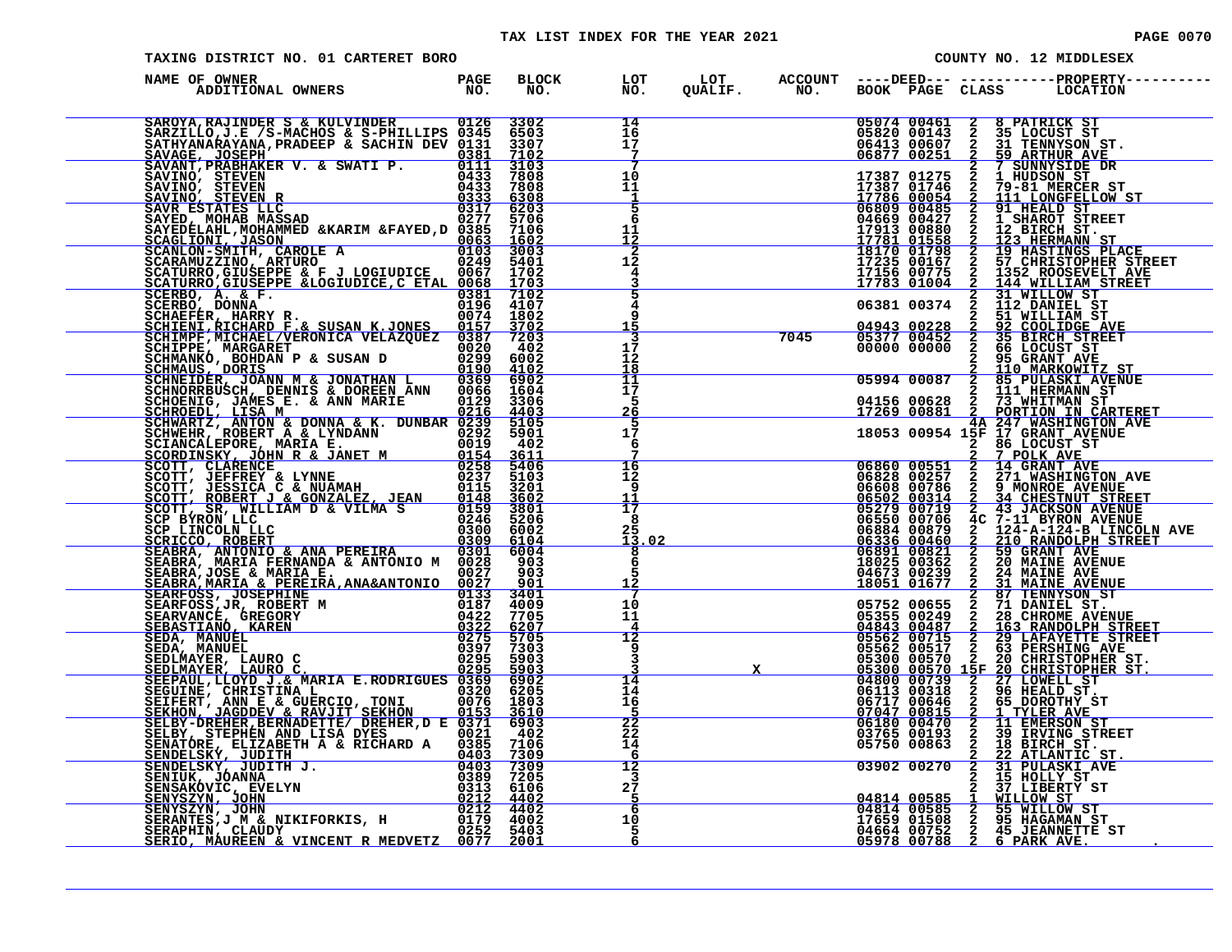### TAX LIST INDEX FOR THE YEAR 2021 **PAGE 0070** PAGE 0070

TAXING DISTRICT NO. 01 CARTERET BORO

|  |                         | PAGE UU/U |
|--|-------------------------|-----------|
|  | COUNTY NO. 12 MIDDLESEX |           |
|  |                         |           |

| NAME OF OWNER<br>ADDITIONAL OWNERS                                                                                                                                                                                                             | <b>PAGE</b><br>NO. | <b>BLOCK</b><br>NO. | LOT<br>NO.                                              | LOT<br>QUALIF. | <b>ACCOUNT</b><br>NO <sub>z</sub> |                                                                                                                                                                        | ----DEED--- -----------PROPERTY-----<br>BOOK PAGE CLASS LOCATION                                                                                                                                                                            |
|------------------------------------------------------------------------------------------------------------------------------------------------------------------------------------------------------------------------------------------------|--------------------|---------------------|---------------------------------------------------------|----------------|-----------------------------------|------------------------------------------------------------------------------------------------------------------------------------------------------------------------|---------------------------------------------------------------------------------------------------------------------------------------------------------------------------------------------------------------------------------------------|
|                                                                                                                                                                                                                                                |                    |                     | 14<br>$\frac{1}{1}$ <sup><math>\frac{1}{7}</math></sup> |                |                                   |                                                                                                                                                                        | 05074 00461 2 8 PATRICK ST<br>05820 00143 2 35 LOCUST ST<br>06473 000607 2 31 TENNISON ST.<br>06877 00251 2 59 ARTHUR AVE<br>17387 01275 2 1 HUDSON ST<br>17387 01746 2 79-81 MERCER ST<br>17786 00054 2 111 LONGFELLOW ST<br>06609 00427 2 |
|                                                                                                                                                                                                                                                |                    |                     | 7                                                       |                |                                   |                                                                                                                                                                        |                                                                                                                                                                                                                                             |
|                                                                                                                                                                                                                                                |                    |                     | 10                                                      |                |                                   |                                                                                                                                                                        |                                                                                                                                                                                                                                             |
|                                                                                                                                                                                                                                                |                    |                     | 11<br>$\frac{1}{5}$                                     |                |                                   |                                                                                                                                                                        |                                                                                                                                                                                                                                             |
|                                                                                                                                                                                                                                                |                    |                     | 6                                                       |                |                                   |                                                                                                                                                                        |                                                                                                                                                                                                                                             |
|                                                                                                                                                                                                                                                |                    |                     | 11                                                      |                |                                   |                                                                                                                                                                        |                                                                                                                                                                                                                                             |
|                                                                                                                                                                                                                                                |                    |                     | $\frac{12}{12}$                                         |                |                                   |                                                                                                                                                                        |                                                                                                                                                                                                                                             |
|                                                                                                                                                                                                                                                |                    |                     | $\frac{4}{3}$                                           |                |                                   |                                                                                                                                                                        |                                                                                                                                                                                                                                             |
|                                                                                                                                                                                                                                                |                    |                     | 4<br>9                                                  |                |                                   | 06381 00374                                                                                                                                                            | 2 31 WILLOW ST<br>2 112 DANIEL ST<br>2 51 WILLIAM ST                                                                                                                                                                                        |
|                                                                                                                                                                                                                                                |                    |                     | 15<br>3                                                 |                | 7045                              |                                                                                                                                                                        |                                                                                                                                                                                                                                             |
|                                                                                                                                                                                                                                                |                    |                     | 17<br>12                                                |                |                                   |                                                                                                                                                                        |                                                                                                                                                                                                                                             |
|                                                                                                                                                                                                                                                |                    |                     | 18                                                      |                |                                   |                                                                                                                                                                        |                                                                                                                                                                                                                                             |
|                                                                                                                                                                                                                                                |                    |                     | $\frac{11}{17}$<br>5                                    |                |                                   |                                                                                                                                                                        |                                                                                                                                                                                                                                             |
|                                                                                                                                                                                                                                                |                    |                     | <u> 26</u><br>5                                         |                |                                   |                                                                                                                                                                        |                                                                                                                                                                                                                                             |
|                                                                                                                                                                                                                                                |                    |                     | 17<br>6                                                 |                |                                   |                                                                                                                                                                        |                                                                                                                                                                                                                                             |
|                                                                                                                                                                                                                                                |                    |                     | $\frac{16}{12}$                                         |                |                                   |                                                                                                                                                                        |                                                                                                                                                                                                                                             |
|                                                                                                                                                                                                                                                |                    |                     | 9                                                       |                |                                   |                                                                                                                                                                        |                                                                                                                                                                                                                                             |
|                                                                                                                                                                                                                                                |                    |                     | 11<br>17                                                |                |                                   |                                                                                                                                                                        |                                                                                                                                                                                                                                             |
|                                                                                                                                                                                                                                                |                    |                     | 8<br>25                                                 |                |                                   |                                                                                                                                                                        |                                                                                                                                                                                                                                             |
|                                                                                                                                                                                                                                                |                    |                     | . 02<br>13<br>8                                         |                |                                   |                                                                                                                                                                        |                                                                                                                                                                                                                                             |
|                                                                                                                                                                                                                                                |                    |                     | 6<br>5<br><u> 12</u>                                    |                |                                   |                                                                                                                                                                        |                                                                                                                                                                                                                                             |
|                                                                                                                                                                                                                                                |                    |                     | 7<br>10                                                 |                |                                   |                                                                                                                                                                        |                                                                                                                                                                                                                                             |
|                                                                                                                                                                                                                                                |                    |                     | 11                                                      |                |                                   |                                                                                                                                                                        |                                                                                                                                                                                                                                             |
|                                                                                                                                                                                                                                                |                    |                     | $\frac{4}{12}$<br>ۊ                                     |                |                                   |                                                                                                                                                                        |                                                                                                                                                                                                                                             |
|                                                                                                                                                                                                                                                |                    |                     | $\bar{3}$                                               |                |                                   |                                                                                                                                                                        |                                                                                                                                                                                                                                             |
|                                                                                                                                                                                                                                                |                    |                     | 14<br>14                                                |                |                                   |                                                                                                                                                                        |                                                                                                                                                                                                                                             |
|                                                                                                                                                                                                                                                |                    |                     | 16                                                      |                |                                   |                                                                                                                                                                        |                                                                                                                                                                                                                                             |
|                                                                                                                                                                                                                                                |                    |                     | $\frac{25}{22}$<br>$22$<br>$14$                         |                |                                   |                                                                                                                                                                        |                                                                                                                                                                                                                                             |
| SEDLMAYER, LAURO C.<br>SEDLMAYER, LAURO C.<br>SEDLMAYER, LAURO C.<br>SEDLMAYER, LAURO C.<br>SEGRAUL, LOVD J. & MARIA E.RODRIGUES 0320 6902<br>SEGUINE, CHRISTINA L.<br>SEGUINE, CHRISTINA L.<br>SEGUINE, CHRISTINA L.<br>SELERT, ANN E & GUERC |                    |                     | $\frac{6}{12}$                                          |                |                                   |                                                                                                                                                                        | 18053 00954 157 GRANT AVENUE<br>06860 00551 2 17 GRANT AVENUE<br>06860 00551 2 14 GRANT AVENUE<br>06860 00551 2 17 WASHINGTON AVENUE<br>06680 00756 2 17 WASHINGTON AVENUE<br>06680 00756 2 34 GHESTNUT STREET<br>06502 00719 2 34 GHESTN   |
|                                                                                                                                                                                                                                                |                    |                     |                                                         |                |                                   |                                                                                                                                                                        |                                                                                                                                                                                                                                             |
|                                                                                                                                                                                                                                                |                    |                     | $2\frac{3}{5}$                                          |                |                                   | 2 37 LIBERTY ST<br>04814 00585 1 WILLOW ST<br>04814 00585 2 55 WILLOW ST<br>17659 01508 2 95 HAGAMARY ST<br>04664 00752 2 45 JEANNETTE ST<br>05978 00788 2 6 PARK AVE. |                                                                                                                                                                                                                                             |
|                                                                                                                                                                                                                                                |                    |                     | 6<br>10<br>5                                            |                |                                   |                                                                                                                                                                        |                                                                                                                                                                                                                                             |
|                                                                                                                                                                                                                                                |                    |                     | 6                                                       |                |                                   |                                                                                                                                                                        |                                                                                                                                                                                                                                             |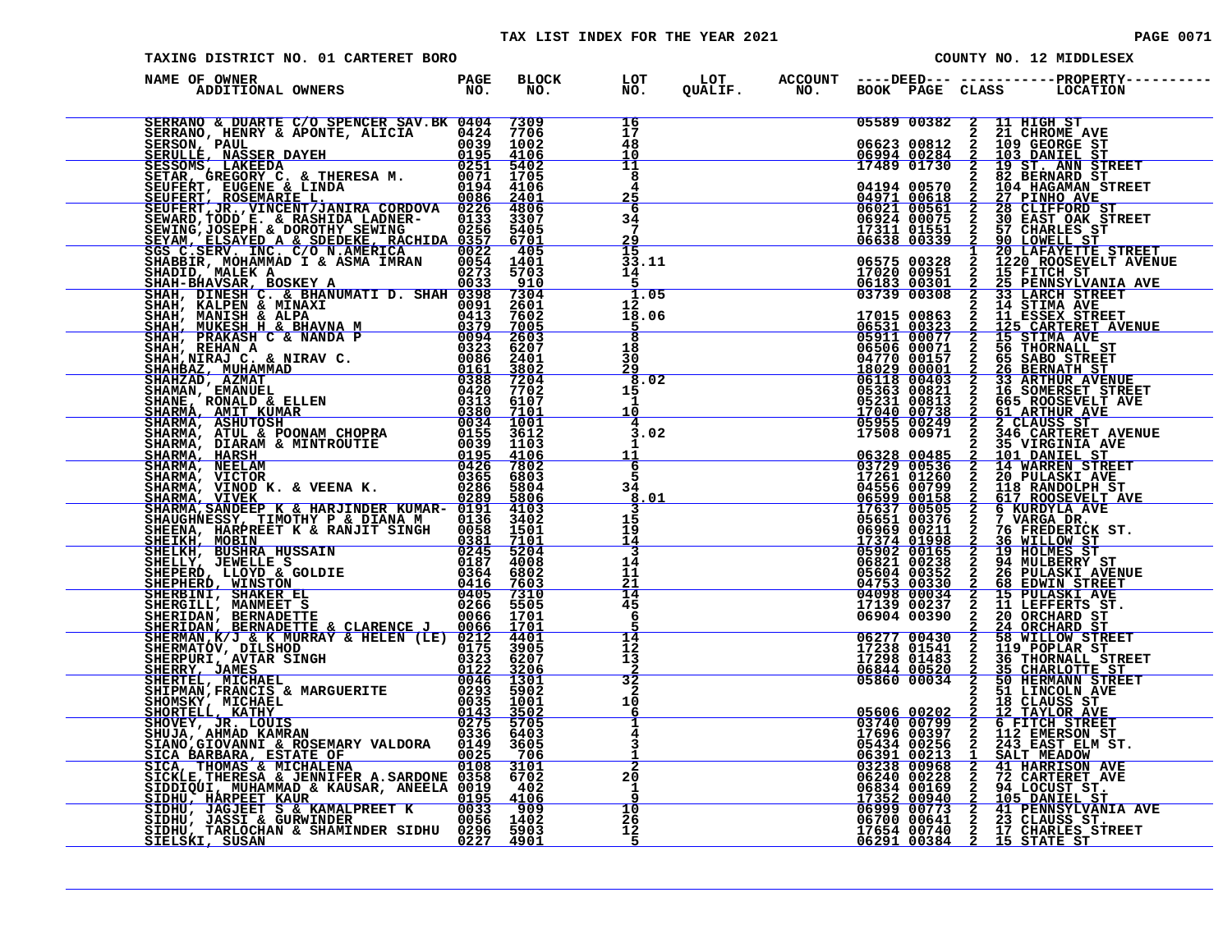# TAX LIST INDEX FOR THE YEAR 2021 CONTROL CONTROL CONTROL PAGE 0071

| <b>PAGE 0071</b> |  |  |  |  |
|------------------|--|--|--|--|
|------------------|--|--|--|--|

| TAXING DISTRICT NO. 01 CARTERET BORO                                                                                                                                                                                                                                 |                           |                      |                          |                                                                                                                                                                                                                                                                                                                       | COUNTY NO. 12 MIDDLESEX |                                           |                |                                                                                                                                                                                                                                                     |  |  |  |
|----------------------------------------------------------------------------------------------------------------------------------------------------------------------------------------------------------------------------------------------------------------------|---------------------------|----------------------|--------------------------|-----------------------------------------------------------------------------------------------------------------------------------------------------------------------------------------------------------------------------------------------------------------------------------------------------------------------|-------------------------|-------------------------------------------|----------------|-----------------------------------------------------------------------------------------------------------------------------------------------------------------------------------------------------------------------------------------------------|--|--|--|
| NAME OF OWNER<br>ADDITIONAL OWNERS<br>ADDITIONAL OWNERS NO. NO. NO. NORRE SERVANTE DE CARRIERE SERVADO E DE CARRIE CONSERVA EN EN 1970 de 1970 de 1970 de 1970 de 1970 de 1970 de 1970 de 1970 de 1970 de 1970 de 1970 de 1970 de 1970 de 1970 de 1970 de 1970 de 19 | PAGE<br>$\overline{NO}$ . | BLOCK LOT<br>NO. NO. |                          |                                                                                                                                                                                                                                                                                                                       |                         |                                           |                |                                                                                                                                                                                                                                                     |  |  |  |
| SERRANO & DUARTE C/O SPENCER SAV. BK 0404 7309                                                                                                                                                                                                                       |                           |                      | 16<br>17                 |                                                                                                                                                                                                                                                                                                                       |                         |                                           |                | 05589 00382 2 11 HIGH ST<br>06623 00812 2 21 CHROME AVE<br>06994 00284 2 103 DANIEL ST<br>17489 01730 2 19 ST. ANN STREET<br>0004 00570 2 32, BERNARD STREET                                                                                        |  |  |  |
|                                                                                                                                                                                                                                                                      |                           |                      | 48                       |                                                                                                                                                                                                                                                                                                                       |                         |                                           |                |                                                                                                                                                                                                                                                     |  |  |  |
|                                                                                                                                                                                                                                                                      |                           |                      | 10<br>11                 |                                                                                                                                                                                                                                                                                                                       |                         |                                           |                |                                                                                                                                                                                                                                                     |  |  |  |
|                                                                                                                                                                                                                                                                      |                           |                      | 8                        |                                                                                                                                                                                                                                                                                                                       |                         |                                           |                |                                                                                                                                                                                                                                                     |  |  |  |
|                                                                                                                                                                                                                                                                      |                           |                      | 4<br>25                  |                                                                                                                                                                                                                                                                                                                       |                         |                                           |                |                                                                                                                                                                                                                                                     |  |  |  |
|                                                                                                                                                                                                                                                                      |                           |                      | 6                        |                                                                                                                                                                                                                                                                                                                       |                         |                                           |                |                                                                                                                                                                                                                                                     |  |  |  |
|                                                                                                                                                                                                                                                                      |                           |                      | 34<br>7                  |                                                                                                                                                                                                                                                                                                                       |                         |                                           |                |                                                                                                                                                                                                                                                     |  |  |  |
|                                                                                                                                                                                                                                                                      |                           |                      | $\frac{29}{15}$          |                                                                                                                                                                                                                                                                                                                       |                         |                                           |                | 17489 01730 2 19 ST. ANN STREET<br>04194 00570 2 19 ST. ANN STREET<br>04294 00570 2 104 HAGAMAN STREET<br>066021 005661 2 28 CLIFFORD ST<br>066021 005661 2 28 CLIFFORD ST<br>066324 000751 2 30 EARLES ST.<br>17311 011551 2 37 CHARLES            |  |  |  |
|                                                                                                                                                                                                                                                                      |                           |                      | 33.11                    |                                                                                                                                                                                                                                                                                                                       |                         |                                           |                |                                                                                                                                                                                                                                                     |  |  |  |
|                                                                                                                                                                                                                                                                      |                           |                      | 14<br>-5                 |                                                                                                                                                                                                                                                                                                                       |                         |                                           |                |                                                                                                                                                                                                                                                     |  |  |  |
|                                                                                                                                                                                                                                                                      |                           |                      | 1.05                     |                                                                                                                                                                                                                                                                                                                       |                         |                                           |                |                                                                                                                                                                                                                                                     |  |  |  |
|                                                                                                                                                                                                                                                                      |                           |                      | 12 <sub>1</sub><br>18.06 |                                                                                                                                                                                                                                                                                                                       |                         |                                           |                |                                                                                                                                                                                                                                                     |  |  |  |
|                                                                                                                                                                                                                                                                      |                           |                      | <u>5</u>                 |                                                                                                                                                                                                                                                                                                                       |                         |                                           |                |                                                                                                                                                                                                                                                     |  |  |  |
|                                                                                                                                                                                                                                                                      |                           |                      | $\overline{8}$<br>18     |                                                                                                                                                                                                                                                                                                                       |                         |                                           |                |                                                                                                                                                                                                                                                     |  |  |  |
|                                                                                                                                                                                                                                                                      |                           |                      | 30                       |                                                                                                                                                                                                                                                                                                                       |                         |                                           |                |                                                                                                                                                                                                                                                     |  |  |  |
|                                                                                                                                                                                                                                                                      |                           |                      | 29<br>8.02               |                                                                                                                                                                                                                                                                                                                       |                         |                                           |                |                                                                                                                                                                                                                                                     |  |  |  |
|                                                                                                                                                                                                                                                                      |                           |                      | 15<br>$\mathbf{1}$       |                                                                                                                                                                                                                                                                                                                       |                         |                                           |                |                                                                                                                                                                                                                                                     |  |  |  |
|                                                                                                                                                                                                                                                                      |                           |                      | 10                       |                                                                                                                                                                                                                                                                                                                       |                         |                                           |                |                                                                                                                                                                                                                                                     |  |  |  |
|                                                                                                                                                                                                                                                                      |                           |                      | 4<br>3.02                |                                                                                                                                                                                                                                                                                                                       |                         |                                           |                |                                                                                                                                                                                                                                                     |  |  |  |
|                                                                                                                                                                                                                                                                      |                           |                      | 1                        |                                                                                                                                                                                                                                                                                                                       |                         |                                           |                |                                                                                                                                                                                                                                                     |  |  |  |
|                                                                                                                                                                                                                                                                      |                           |                      | 11                       |                                                                                                                                                                                                                                                                                                                       |                         | 06328 00485<br>03729 00536<br>17261 01260 | $\frac{2}{2}$  | 101 DANIEL ST<br>14 WARREN STREET<br>20 PULASKI AVE                                                                                                                                                                                                 |  |  |  |
|                                                                                                                                                                                                                                                                      |                           |                      | $rac{6}{5}$              |                                                                                                                                                                                                                                                                                                                       |                         |                                           |                |                                                                                                                                                                                                                                                     |  |  |  |
|                                                                                                                                                                                                                                                                      |                           |                      | 34<br>.01<br>8.          |                                                                                                                                                                                                                                                                                                                       |                         |                                           |                |                                                                                                                                                                                                                                                     |  |  |  |
|                                                                                                                                                                                                                                                                      |                           |                      | 3                        | $\frac{17261}{04556} \frac{01260}{019582} \ \frac{06599}{00599} \ \frac{00158}{00592} \ \frac{2}{17637} \ \frac{17637}{005955} \ \frac{00505}{069690} \ \frac{2}{24532} \ \frac{06962}{05902} \ \frac{0220165}{05621} \ \frac{02453}{02330} \ \frac{2}{2453} \ \frac{0330}{04098} \ \frac{2}{2453} \ \frac{0330}{003$ |                         |                                           |                | 118 RANDOLPH ST<br>617 ROOSEVELT AVE<br>6 KURDYLA AVE<br>7 VARGA DR.<br>76 FREDERICK ST.<br>76 FREDERICK ST.                                                                                                                                        |  |  |  |
|                                                                                                                                                                                                                                                                      |                           |                      | 15<br>ī9                 |                                                                                                                                                                                                                                                                                                                       |                         |                                           |                |                                                                                                                                                                                                                                                     |  |  |  |
|                                                                                                                                                                                                                                                                      |                           |                      | <u> 14</u><br>3          |                                                                                                                                                                                                                                                                                                                       |                         |                                           |                | 36 WILLOW ST<br>19 HOLMES ST                                                                                                                                                                                                                        |  |  |  |
|                                                                                                                                                                                                                                                                      |                           |                      | 14                       |                                                                                                                                                                                                                                                                                                                       |                         |                                           |                |                                                                                                                                                                                                                                                     |  |  |  |
|                                                                                                                                                                                                                                                                      |                           |                      | 11<br>21                 |                                                                                                                                                                                                                                                                                                                       |                         |                                           |                | <b>94 MULBERRY ST<br/>26 PULASKI AVENUE<br/><u>68 EDWIN STREET</u></b>                                                                                                                                                                              |  |  |  |
|                                                                                                                                                                                                                                                                      |                           |                      | 14                       |                                                                                                                                                                                                                                                                                                                       |                         | 04098 00034<br>17139 00237                |                | 15 PULASKI AVE<br>11 LEFFERTS ST.                                                                                                                                                                                                                   |  |  |  |
|                                                                                                                                                                                                                                                                      |                           |                      | 45<br>6                  |                                                                                                                                                                                                                                                                                                                       |                         | 06904 00390                               |                |                                                                                                                                                                                                                                                     |  |  |  |
|                                                                                                                                                                                                                                                                      |                           |                      |                          |                                                                                                                                                                                                                                                                                                                       |                         |                                           | <b>NANNO</b>   | 20 ORCHARD ST<br>24 ORCHARD ST<br>58 WILLOW STREET                                                                                                                                                                                                  |  |  |  |
|                                                                                                                                                                                                                                                                      |                           |                      | 14<br>12                 |                                                                                                                                                                                                                                                                                                                       |                         | 06277 00430<br>17238 01541                |                | 119 POPLAR ST                                                                                                                                                                                                                                       |  |  |  |
|                                                                                                                                                                                                                                                                      |                           |                      | 13                       |                                                                                                                                                                                                                                                                                                                       |                         | 17298 01483                               |                | <b>36 THORNALL STREET</b>                                                                                                                                                                                                                           |  |  |  |
|                                                                                                                                                                                                                                                                      |                           |                      | $\frac{2}{32}$           |                                                                                                                                                                                                                                                                                                                       |                         | 06844 00520<br>05860 00034                | $\frac{2}{2}$  | 35 CHARLOTTE ST<br>50 HERMANN STREET                                                                                                                                                                                                                |  |  |  |
|                                                                                                                                                                                                                                                                      |                           |                      | $\mathbf{2}$<br>10       |                                                                                                                                                                                                                                                                                                                       |                         |                                           | $\overline{a}$ | 51 LINCOLN AVE                                                                                                                                                                                                                                      |  |  |  |
|                                                                                                                                                                                                                                                                      |                           |                      | 6                        |                                                                                                                                                                                                                                                                                                                       |                         | 05606 00202<br>03740 00799                |                | 18 CLAUSS ST<br>12 TAYLOR AVE                                                                                                                                                                                                                       |  |  |  |
|                                                                                                                                                                                                                                                                      |                           |                      | 1                        |                                                                                                                                                                                                                                                                                                                       |                         | 17696 00397                               |                | 2 12 TAYLOR ST<br>2 6 FITCH STREET<br>2 112 EMERSON ST<br>2 143 EAST ELM ST<br>1 SALT MEADOW                                                                                                                                                        |  |  |  |
|                                                                                                                                                                                                                                                                      |                           |                      | 3                        |                                                                                                                                                                                                                                                                                                                       |                         | 05434 00256                               |                | 243 EAST ELM ST.                                                                                                                                                                                                                                    |  |  |  |
|                                                                                                                                                                                                                                                                      |                           |                      | $\overline{2}$           |                                                                                                                                                                                                                                                                                                                       |                         | <u>06391 00213</u><br>03238 00968         |                | SALT MEADOW 41 HARRISON AVE                                                                                                                                                                                                                         |  |  |  |
|                                                                                                                                                                                                                                                                      |                           |                      | 20                       |                                                                                                                                                                                                                                                                                                                       |                         |                                           |                |                                                                                                                                                                                                                                                     |  |  |  |
|                                                                                                                                                                                                                                                                      |                           |                      | $\mathbf{1}$             |                                                                                                                                                                                                                                                                                                                       |                         |                                           |                |                                                                                                                                                                                                                                                     |  |  |  |
|                                                                                                                                                                                                                                                                      |                           |                      | 10                       |                                                                                                                                                                                                                                                                                                                       |                         |                                           |                | 06391 00213 1 SALT MEADOW<br>06240 00228 2 72 CARTERET AVE<br>06834 00169 2 94 LOCUST ST.<br>17352 00940 2 105 DANIEL ST.<br>06999 00773 2 41 PENNSYLVANIA AVE<br>06700 00641 2 23 CLAUSS ST.<br>17654 00740 2 17 CHARLES STREET<br>06291 00384 2 1 |  |  |  |
|                                                                                                                                                                                                                                                                      |                           |                      | 26<br>12                 |                                                                                                                                                                                                                                                                                                                       |                         |                                           |                |                                                                                                                                                                                                                                                     |  |  |  |
| <u>SIELSKI, SUSAN</u><br><u> 1989 - Johann Barn, mars ann an t-Amhain an t-Amhain an t-Amhain an t-Amhain an t-Amhain an t-Amhain an t-Amh</u>                                                                                                                       | 0227                      | 4901                 | $\sqrt{5}$               |                                                                                                                                                                                                                                                                                                                       |                         |                                           |                |                                                                                                                                                                                                                                                     |  |  |  |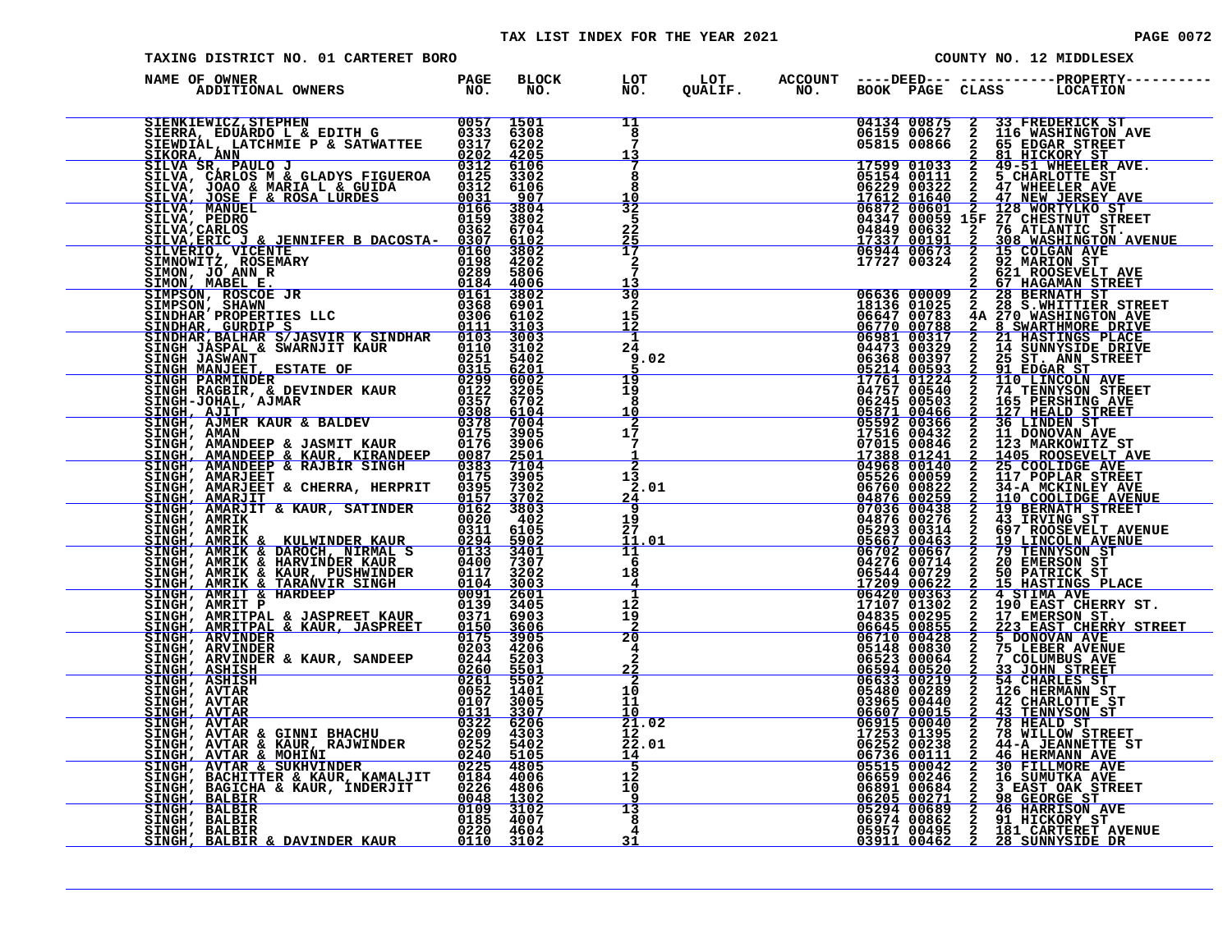| COUNTY NO. 12 MIDDLESEX<br>TAXING DISTRICT NO. 01 CARTERET BORO<br>22 $\frac{\sqrt{3}}{2}$<br>$\frac{1}{2}$<br>$\frac{1}{2}$<br>$\frac{1}{2}$<br>$\frac{1}{2}$<br>$\frac{1}{2}$<br>$\frac{1}{2}$<br>$\frac{1}{2}$<br>$\frac{1}{2}$<br>$\frac{1}{2}$<br>$\frac{1}{2}$<br>$\frac{1}{2}$<br>$\frac{1}{2}$<br>$\frac{1}{2}$<br>$\frac{1}{2}$<br>$\frac{1}{2}$<br>$\frac{1}{2}$<br>$\frac{1}{2}$<br>$\frac{1}{2}$<br>$\frac{1}{$ |  |  |  |  |  |  |  |  |
|-----------------------------------------------------------------------------------------------------------------------------------------------------------------------------------------------------------------------------------------------------------------------------------------------------------------------------------------------------------------------------------------------------------------------------|--|--|--|--|--|--|--|--|
| NAME OF OWNER                                                                                                                                                                                                                                                                                                                                                                                                               |  |  |  |  |  |  |  |  |
| NAME OF OWNER AND HAND FOR BILOGICAL CONSUMER PARTICULAR SINGLE SINGLE AND CONSUMER A CONSUMER CONSUMER CONSUMER CONSUMER CONSUMER CONSUMER AND CONSUMER CONSUMER CONSUMER CONSUMER CONSUMER CONSUMER CONSUMER AND CONSUMER C                                                                                                                                                                                               |  |  |  |  |  |  |  |  |
|                                                                                                                                                                                                                                                                                                                                                                                                                             |  |  |  |  |  |  |  |  |
|                                                                                                                                                                                                                                                                                                                                                                                                                             |  |  |  |  |  |  |  |  |
|                                                                                                                                                                                                                                                                                                                                                                                                                             |  |  |  |  |  |  |  |  |
|                                                                                                                                                                                                                                                                                                                                                                                                                             |  |  |  |  |  |  |  |  |
|                                                                                                                                                                                                                                                                                                                                                                                                                             |  |  |  |  |  |  |  |  |
|                                                                                                                                                                                                                                                                                                                                                                                                                             |  |  |  |  |  |  |  |  |
|                                                                                                                                                                                                                                                                                                                                                                                                                             |  |  |  |  |  |  |  |  |
|                                                                                                                                                                                                                                                                                                                                                                                                                             |  |  |  |  |  |  |  |  |
|                                                                                                                                                                                                                                                                                                                                                                                                                             |  |  |  |  |  |  |  |  |
|                                                                                                                                                                                                                                                                                                                                                                                                                             |  |  |  |  |  |  |  |  |
|                                                                                                                                                                                                                                                                                                                                                                                                                             |  |  |  |  |  |  |  |  |
|                                                                                                                                                                                                                                                                                                                                                                                                                             |  |  |  |  |  |  |  |  |
|                                                                                                                                                                                                                                                                                                                                                                                                                             |  |  |  |  |  |  |  |  |
|                                                                                                                                                                                                                                                                                                                                                                                                                             |  |  |  |  |  |  |  |  |
|                                                                                                                                                                                                                                                                                                                                                                                                                             |  |  |  |  |  |  |  |  |
|                                                                                                                                                                                                                                                                                                                                                                                                                             |  |  |  |  |  |  |  |  |
|                                                                                                                                                                                                                                                                                                                                                                                                                             |  |  |  |  |  |  |  |  |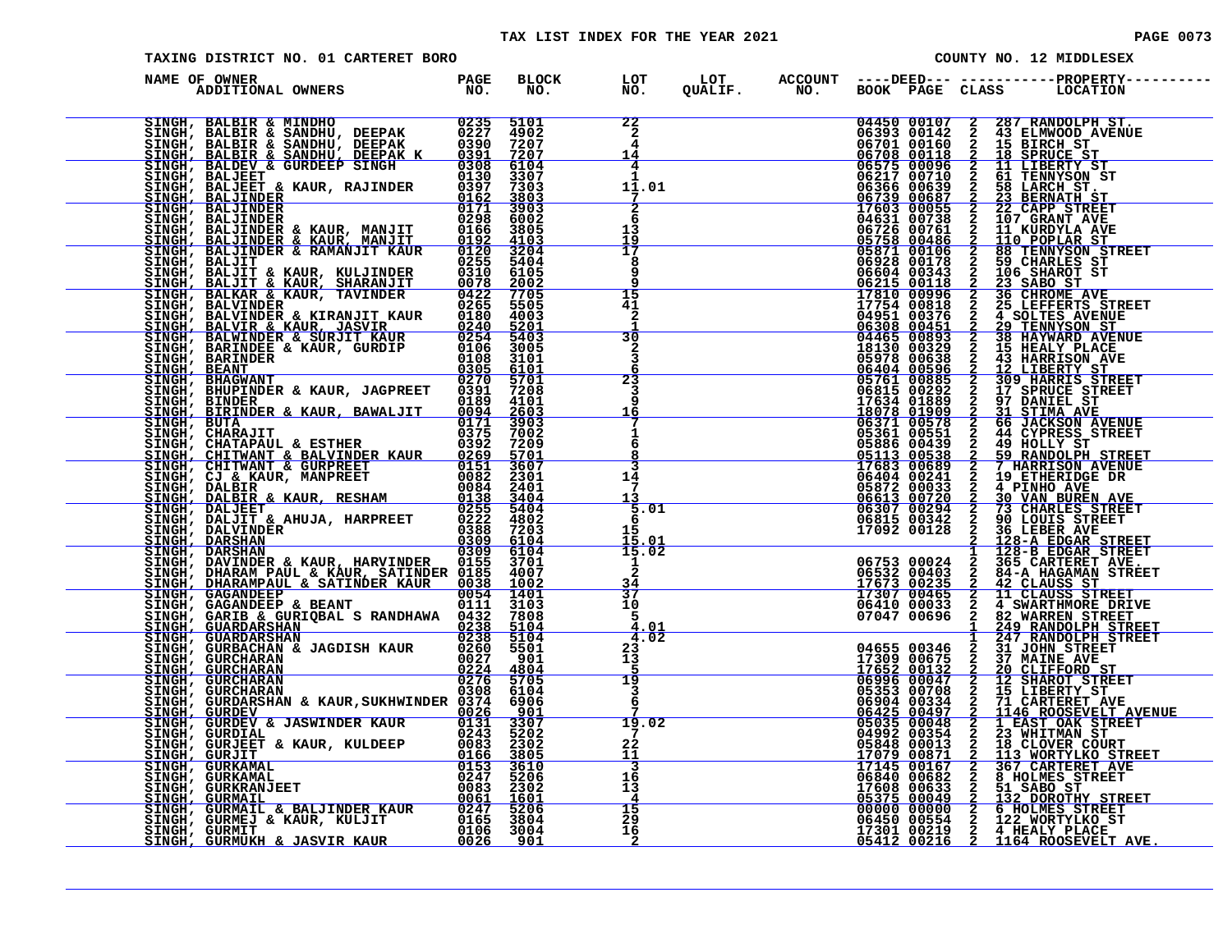| <b>PAGE 0073</b> |  |  |
|------------------|--|--|

| TAXING DISTRICT NO. 01 CARTERET BORO                                                                                                                                                                                                     |  |                      |                                                         |                |  |  |  | COUNTY NO. 12 MIDDLESEX                                                     |  |  |
|------------------------------------------------------------------------------------------------------------------------------------------------------------------------------------------------------------------------------------------|--|----------------------|---------------------------------------------------------|----------------|--|--|--|-----------------------------------------------------------------------------|--|--|
| DE OWNER<br>ADDITIONAL OWNERS TO NO.<br>NAME OF OWNER                                                                                                                                                                                    |  | BLOCK LOT<br>NO. NO. |                                                         | LOT<br>QUALIF. |  |  |  | ACCOUNT ----DEED--- -----------PROPERTY----<br>NO. BOOK PAGE CLASS LOCATION |  |  |
| SINGH, BALLINDER & RAWANIT KAUR 01215 1903<br>SINGH, BALBIR & SANDHU, DEEPAK 0237 4902<br>SINGH, BALBIR & SANDHU, DEEPAK 0237 4902<br>SINGH, BALBIR & SANDHU, DEEPAK 03391 7207<br>SINGH, BALDER & KAUR, RAJINDER 01397 73003<br>SINGH,  |  |                      | $\begin{array}{c}\n 22 \\  2 \\  4\n \end{array}$<br>14 |                |  |  |  |                                                                             |  |  |
|                                                                                                                                                                                                                                          |  |                      | 4<br>11.01                                              |                |  |  |  |                                                                             |  |  |
|                                                                                                                                                                                                                                          |  |                      | $\frac{1}{6}$<br>13<br>$\frac{19}{17}$                  |                |  |  |  |                                                                             |  |  |
|                                                                                                                                                                                                                                          |  |                      | 9<br>15                                                 |                |  |  |  |                                                                             |  |  |
|                                                                                                                                                                                                                                          |  |                      | 41<br>2<br>30                                           |                |  |  |  |                                                                             |  |  |
|                                                                                                                                                                                                                                          |  |                      | $\frac{2}{3}$<br>6<br>23                                |                |  |  |  |                                                                             |  |  |
|                                                                                                                                                                                                                                          |  |                      | 3<br><u> 16</u><br>1                                    |                |  |  |  |                                                                             |  |  |
|                                                                                                                                                                                                                                          |  |                      | 6<br>8<br>3<br>14                                       |                |  |  |  |                                                                             |  |  |
|                                                                                                                                                                                                                                          |  |                      | 7<br>13<br>5.01<br>6                                    |                |  |  |  |                                                                             |  |  |
|                                                                                                                                                                                                                                          |  |                      | 15<br>$\frac{15.01}{15.02}$<br>1                        |                |  |  |  |                                                                             |  |  |
|                                                                                                                                                                                                                                          |  |                      | $\frac{3\overline{4}}{37}$<br>10<br>-5                  |                |  |  |  |                                                                             |  |  |
|                                                                                                                                                                                                                                          |  |                      | 4.02<br>$\frac{23}{13}$                                 |                |  |  |  |                                                                             |  |  |
|                                                                                                                                                                                                                                          |  |                      | $\overline{19}$<br>3<br>6                               |                |  |  |  |                                                                             |  |  |
|                                                                                                                                                                                                                                          |  |                      | 19.02<br>7<br>22                                        |                |  |  |  |                                                                             |  |  |
|                                                                                                                                                                                                                                          |  |                      | $\frac{11}{3}$<br>16<br>13                              |                |  |  |  |                                                                             |  |  |
| ENGHI, BINDER & KAUR, BARNALIT (1971)<br>SINGH, BINDER & KAUR, BAWALJIT (1971)<br>SINGH, BINDER & KAUR, BAWALJIT (1971)<br>SINGH, CHARAJIT & ESTIER (1972)<br>SINGH, CHARAJIT & BALVINDER KAUR (1972)<br>SINGH, CHARAJIT & BALVINDER KAU |  |                      | $\frac{15}{29}$<br>16                                   |                |  |  |  |                                                                             |  |  |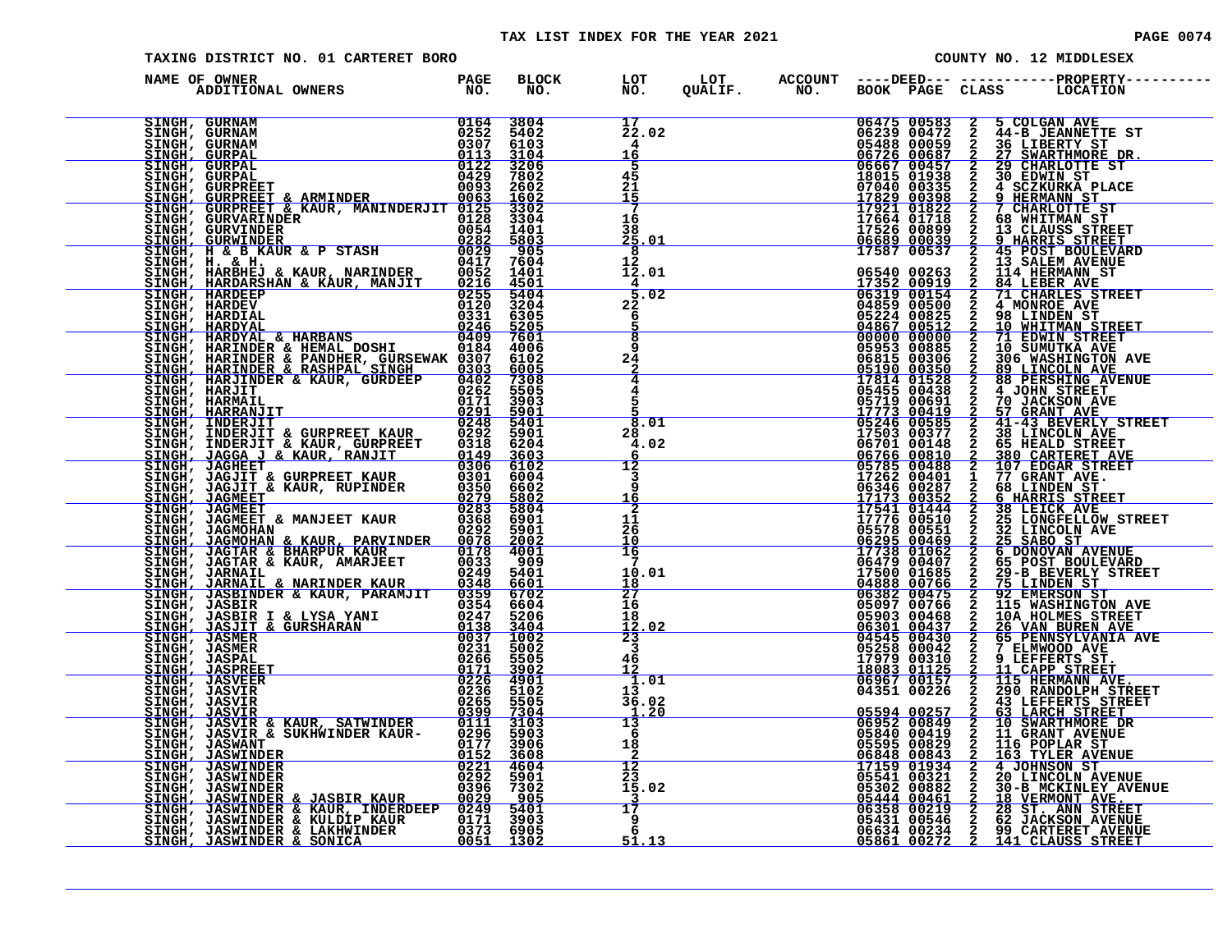#### TAX LIST INDEX FOR THE YEAR 2021 **PAGE 10074** PAGE 0074

| TAXING DISTRICT NO. 01 CARTERET BORO |                                                                                                                                                                                                                               |  |  |  |  |  | COUNTY NO. 12 MIDDLESEX |                                                                                                         |  |  |
|--------------------------------------|-------------------------------------------------------------------------------------------------------------------------------------------------------------------------------------------------------------------------------|--|--|--|--|--|-------------------------|---------------------------------------------------------------------------------------------------------|--|--|
|                                      | NAME OF OWNER                                                                                                                                                                                                                 |  |  |  |  |  |                         | BLOCK LOT LOT ACCOUNT ----DEED---------------PROPERTY--<br>NO. NO. QUALIF. NO. BOOK PAGE CLASS LOCATION |  |  |
|                                      |                                                                                                                                                                                                                               |  |  |  |  |  |                         |                                                                                                         |  |  |
|                                      |                                                                                                                                                                                                                               |  |  |  |  |  |                         |                                                                                                         |  |  |
|                                      |                                                                                                                                                                                                                               |  |  |  |  |  |                         |                                                                                                         |  |  |
|                                      |                                                                                                                                                                                                                               |  |  |  |  |  |                         |                                                                                                         |  |  |
|                                      |                                                                                                                                                                                                                               |  |  |  |  |  |                         |                                                                                                         |  |  |
|                                      |                                                                                                                                                                                                                               |  |  |  |  |  |                         |                                                                                                         |  |  |
|                                      |                                                                                                                                                                                                                               |  |  |  |  |  |                         |                                                                                                         |  |  |
|                                      |                                                                                                                                                                                                                               |  |  |  |  |  |                         |                                                                                                         |  |  |
|                                      |                                                                                                                                                                                                                               |  |  |  |  |  |                         |                                                                                                         |  |  |
|                                      |                                                                                                                                                                                                                               |  |  |  |  |  |                         |                                                                                                         |  |  |
|                                      |                                                                                                                                                                                                                               |  |  |  |  |  |                         |                                                                                                         |  |  |
|                                      |                                                                                                                                                                                                                               |  |  |  |  |  |                         |                                                                                                         |  |  |
|                                      | NAME OF OWNER PROPERTY AND MONETAIN CONSUMER PROPERTY AND INTERNATIONAL CONSUMER CONSUMER CONSUMER CONSUMER CONSUMER CONSUMER CONSUMER CONSUMER CONSUMER CONSUMER CONSUMER CONSUMER CONSUMER CONSUMER CONSUMER CONSUMER CONSU |  |  |  |  |  |                         |                                                                                                         |  |  |
|                                      |                                                                                                                                                                                                                               |  |  |  |  |  |                         |                                                                                                         |  |  |
|                                      |                                                                                                                                                                                                                               |  |  |  |  |  |                         |                                                                                                         |  |  |
|                                      |                                                                                                                                                                                                                               |  |  |  |  |  |                         |                                                                                                         |  |  |
|                                      |                                                                                                                                                                                                                               |  |  |  |  |  |                         |                                                                                                         |  |  |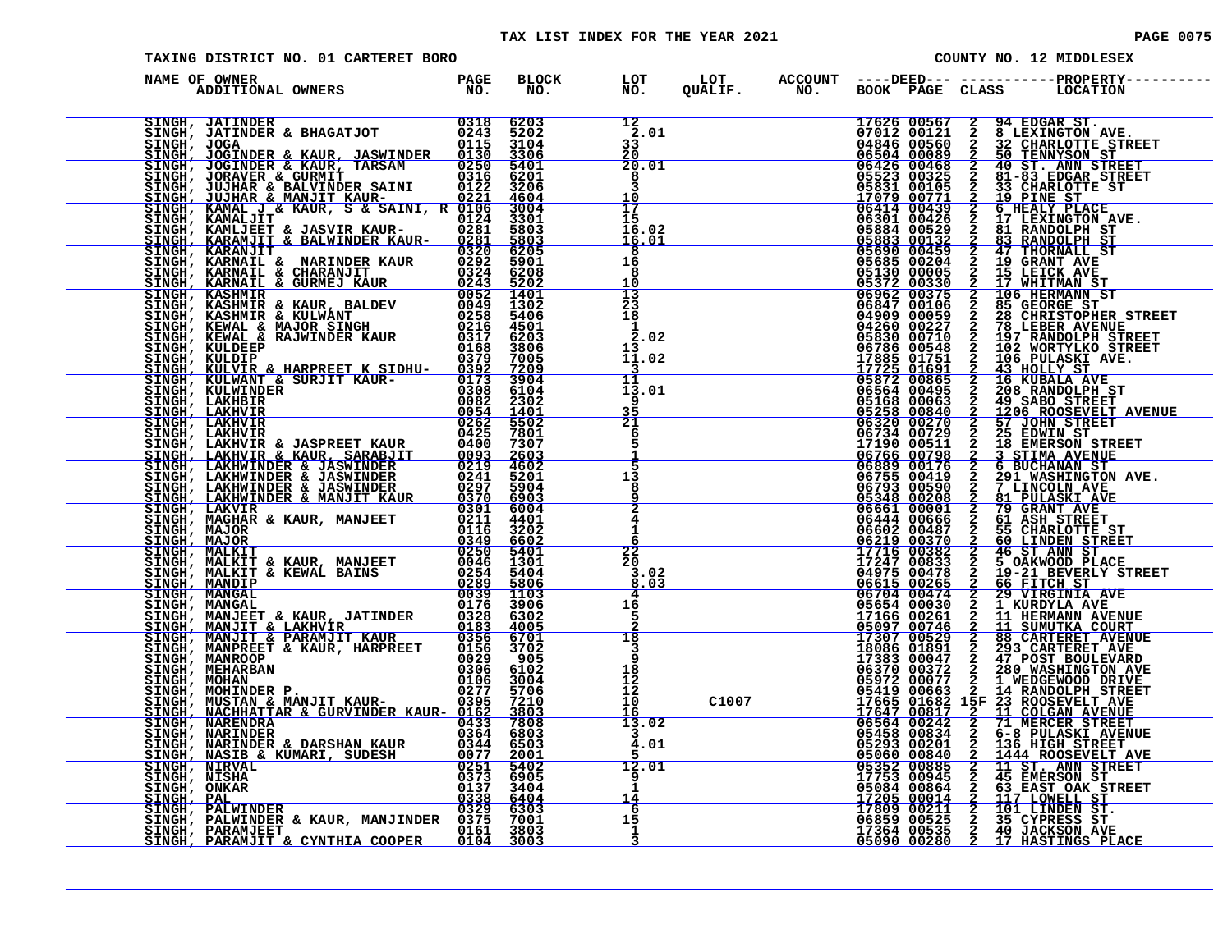#### TAX LIST INDEX FOR THE YEAR 2021 **PAGE 10075** PAGE 0075

| COUNTY NO. 12 MIDDLESEX<br>TAXING DISTRICT NO. 01 CARTERET BORO                                                                                                                                                                            |  |  |                                           |  |  |  |  |                                                                                                                                                                                                                                                                                                                                                            |
|--------------------------------------------------------------------------------------------------------------------------------------------------------------------------------------------------------------------------------------------|--|--|-------------------------------------------|--|--|--|--|------------------------------------------------------------------------------------------------------------------------------------------------------------------------------------------------------------------------------------------------------------------------------------------------------------------------------------------------------------|
| NAME OF OWNER<br>DF OWNER<br>ADDITIONAL OWNERS TO NO.                                                                                                                                                                                      |  |  |                                           |  |  |  |  | BLOCK LOT LOT ACCOUNT ----DEED----------------PROPERTY----<br>NO. NO. QUALIF. NO. BOOK PAGE CLASS LOCATION                                                                                                                                                                                                                                                 |
| NAME OF OWNER A MANUTINE PROFILE PROPERTY AND 1978 2000 SINGLE AND CONSULTED CONSULTED AND CONSULTED CONSULTED AND CONSULTED CONSULTED AND CONSULTED CONSULTED AND CONSULTED CONSULTED CONSULTED CONSULTED CONSULTED CONSULTE              |  |  | 12<br>2.01<br>33<br>20                    |  |  |  |  | $\begin{tabular}{cccc} QCDI & \mbox{ACOCDI} & \mbox{HOMC} & \mbox{HOMC} & \mbox{HOMC} & \mbox{HOMC} & \mbox{HOMC} & \mbox{HOMC} & \mbox{HOMC} & \mbox{HOMC} & \mbox{HOMC} & \mbox{HOMC} & \mbox{HOMC} & \mbox{HOMC} \\ QCDI & \mbox{A7014 00157} & \mbox{HOMC} & \mbox{HOMC} & \mbox{HOMC} & \mbox{HOMC} \\ QCDI & \mbox{A7015 001587} & \mbox{HOMC} & \m$ |
|                                                                                                                                                                                                                                            |  |  | 20.01<br>8<br>$\frac{10}{17}$             |  |  |  |  |                                                                                                                                                                                                                                                                                                                                                            |
|                                                                                                                                                                                                                                            |  |  | 15<br>16.02<br><u>16.01</u>               |  |  |  |  |                                                                                                                                                                                                                                                                                                                                                            |
|                                                                                                                                                                                                                                            |  |  | 8<br>16<br>8<br>10                        |  |  |  |  |                                                                                                                                                                                                                                                                                                                                                            |
|                                                                                                                                                                                                                                            |  |  | $\frac{13}{23}$<br>18<br>$\frac{1}{2.02}$ |  |  |  |  |                                                                                                                                                                                                                                                                                                                                                            |
|                                                                                                                                                                                                                                            |  |  | 13<br>11.02<br>3<br>11                    |  |  |  |  |                                                                                                                                                                                                                                                                                                                                                            |
|                                                                                                                                                                                                                                            |  |  | 13.01<br>9<br>$\frac{35}{21}$             |  |  |  |  |                                                                                                                                                                                                                                                                                                                                                            |
|                                                                                                                                                                                                                                            |  |  | 6<br>5<br>$\overline{5}$<br>13            |  |  |  |  |                                                                                                                                                                                                                                                                                                                                                            |
|                                                                                                                                                                                                                                            |  |  | 8<br>$\frac{2}{4}$                        |  |  |  |  |                                                                                                                                                                                                                                                                                                                                                            |
|                                                                                                                                                                                                                                            |  |  | 22<br>20                                  |  |  |  |  |                                                                                                                                                                                                                                                                                                                                                            |
|                                                                                                                                                                                                                                            |  |  | 3.02<br>8.03<br>4<br>16                   |  |  |  |  |                                                                                                                                                                                                                                                                                                                                                            |
|                                                                                                                                                                                                                                            |  |  | 5<br>$\overline{18}$<br>$\overline{3}$    |  |  |  |  |                                                                                                                                                                                                                                                                                                                                                            |
|                                                                                                                                                                                                                                            |  |  | 9<br>18<br>$\frac{12}{12}$<br>10          |  |  |  |  |                                                                                                                                                                                                                                                                                                                                                            |
|                                                                                                                                                                                                                                            |  |  | 16<br>13.02<br>4.01                       |  |  |  |  |                                                                                                                                                                                                                                                                                                                                                            |
|                                                                                                                                                                                                                                            |  |  | 12.01<br>9                                |  |  |  |  |                                                                                                                                                                                                                                                                                                                                                            |
| EINGH, NIRVAL ROMANT BOLLSKY (2511 5402<br>SINGH, NISHA (373 6905<br>SINGH, ONKAR (373 6905<br>SINGH, PAL (338 6404<br>SINGH, PALWINDER & KAUR, MANJINDER (3329 6303<br>SINGH, PARAMJEET (376 7001 6375 7001 7803<br>SINGH, PARAMJEET (376 |  |  | 14<br>-6<br>15<br>-1                      |  |  |  |  |                                                                                                                                                                                                                                                                                                                                                            |
|                                                                                                                                                                                                                                            |  |  |                                           |  |  |  |  |                                                                                                                                                                                                                                                                                                                                                            |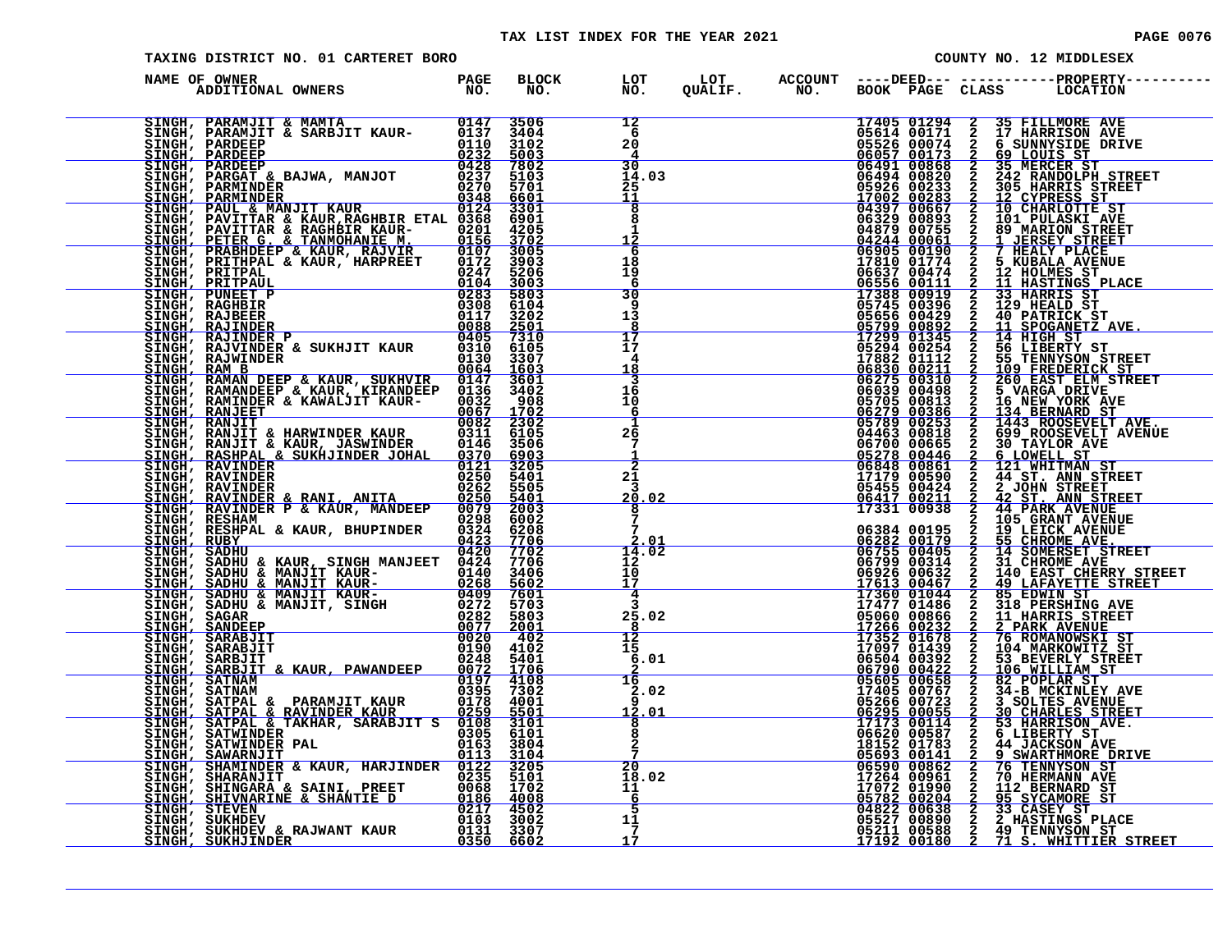#### TAX LIST INDEX FOR THE YEAR 2021 **PAGE 0076** PAGE 0076

| <b>PAGE 0076</b> |  |  |
|------------------|--|--|

| <b>TAXING DISTRICT NO. 01 CARTERET BORO</b>                                                                                                                                                                                                                                                                                                                                            |  | COUNTY NO. 12 MIDDLESEX |  |  |  |                                                                                                         |
|----------------------------------------------------------------------------------------------------------------------------------------------------------------------------------------------------------------------------------------------------------------------------------------------------------------------------------------------------------------------------------------|--|-------------------------|--|--|--|---------------------------------------------------------------------------------------------------------|
| NAME OF OWNER<br>DE OWNER<br>ADDITIONAL OWNERS TO NO.                                                                                                                                                                                                                                                                                                                                  |  |                         |  |  |  | BLOCK LOT LOT ACCOUNT ----DEED--- -----------PROPERTY--<br>NO. NO. QUALIF. NO. BOOK PAGE CLASS LOCATION |
| $\begin{tabular}{l c c c c} \hline \texttt{SINGH, PARAMJIT & MAMTA} & 0147 & 3506 \\ \hline \texttt{SINGH, PARAMJIT & KAMFA} & 0137 & 3404 \\ \texttt{SINGH, PARDEEP} & 0232 & 5003 \\ \hline \texttt{SINGH, PARDEEP} & 0232 & 5003 \\ \texttt{SINGH, PAROREF} & 0428 & 7803 \\ \texttt{SINGH, PARGAT & BAJWA, MANJOT} & 04237 & 5103 \\ \texttt{SINGH, PARMINDER} & 0237 & 5103 \\ \$ |  |                         |  |  |  |                                                                                                         |
|                                                                                                                                                                                                                                                                                                                                                                                        |  |                         |  |  |  |                                                                                                         |
|                                                                                                                                                                                                                                                                                                                                                                                        |  |                         |  |  |  |                                                                                                         |
|                                                                                                                                                                                                                                                                                                                                                                                        |  |                         |  |  |  |                                                                                                         |
|                                                                                                                                                                                                                                                                                                                                                                                        |  |                         |  |  |  |                                                                                                         |
|                                                                                                                                                                                                                                                                                                                                                                                        |  |                         |  |  |  |                                                                                                         |
|                                                                                                                                                                                                                                                                                                                                                                                        |  |                         |  |  |  |                                                                                                         |
|                                                                                                                                                                                                                                                                                                                                                                                        |  |                         |  |  |  |                                                                                                         |
|                                                                                                                                                                                                                                                                                                                                                                                        |  |                         |  |  |  |                                                                                                         |
|                                                                                                                                                                                                                                                                                                                                                                                        |  |                         |  |  |  |                                                                                                         |
|                                                                                                                                                                                                                                                                                                                                                                                        |  |                         |  |  |  |                                                                                                         |
|                                                                                                                                                                                                                                                                                                                                                                                        |  |                         |  |  |  |                                                                                                         |
|                                                                                                                                                                                                                                                                                                                                                                                        |  |                         |  |  |  |                                                                                                         |
|                                                                                                                                                                                                                                                                                                                                                                                        |  |                         |  |  |  |                                                                                                         |
|                                                                                                                                                                                                                                                                                                                                                                                        |  |                         |  |  |  |                                                                                                         |
|                                                                                                                                                                                                                                                                                                                                                                                        |  |                         |  |  |  |                                                                                                         |
| SINGE, PERIR C. C. TANNOBINY W. 6175 1702<br>SINGE, PERIR C. C. TANNOBINY W. 1915 1702<br>SINGE, PRAFIFIPAL & KAUR, HAPREET 0172 1903<br>SINGE, PERIR PRAFIFIPAL (1928) 1702<br>SINGE, PERIR PRAFIFIPAL (1938) 1702<br>SINGE, RAMPIER & SUKER                                                                                                                                          |  |                         |  |  |  |                                                                                                         |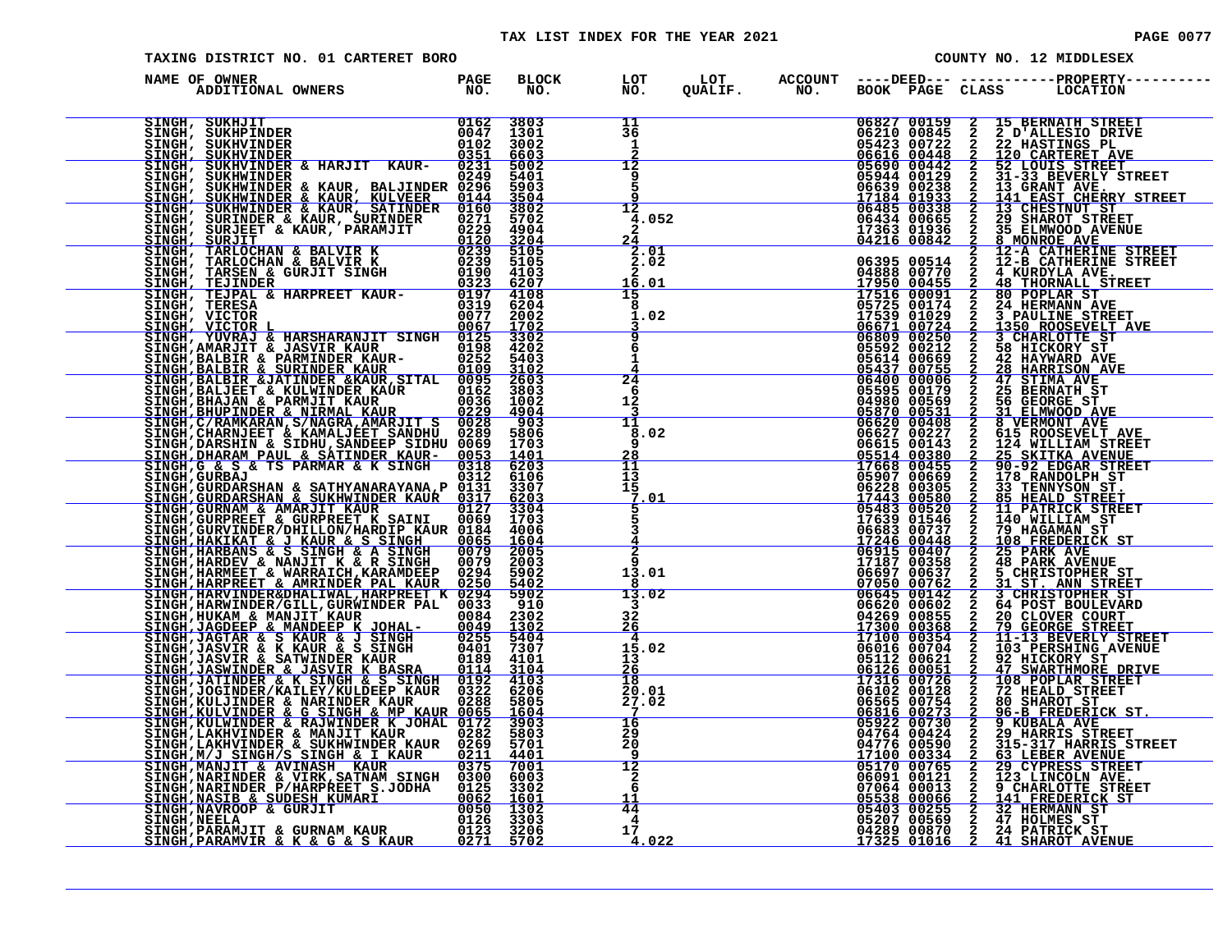#### TAX LIST INDEX FOR THE YEAR 2021 **PAGE 10077** PAGE 0077

| TAXING DISTRICT NO. 01 CARTERET BORO<br>COUNTY NO. 12 MIDDLESEX                                                                                                                                                                                                                                                                                                           |                                                                                    |                                             |                                                    |                |  |                                                                                                                                                                                                                                                                                                   |                            |                                                     |                                                                                                                                                                                                                                                                                                                                                                                                                                                            |
|---------------------------------------------------------------------------------------------------------------------------------------------------------------------------------------------------------------------------------------------------------------------------------------------------------------------------------------------------------------------------|------------------------------------------------------------------------------------|---------------------------------------------|----------------------------------------------------|----------------|--|---------------------------------------------------------------------------------------------------------------------------------------------------------------------------------------------------------------------------------------------------------------------------------------------------|----------------------------|-----------------------------------------------------|------------------------------------------------------------------------------------------------------------------------------------------------------------------------------------------------------------------------------------------------------------------------------------------------------------------------------------------------------------------------------------------------------------------------------------------------------------|
| NAME OF OWNER<br>ADDITIONAL OWNERS                                                                                                                                                                                                                                                                                                                                        | <b>PAGE</b><br>NO.                                                                 | <b>BLOCK</b><br>NO.                         | LOT<br>NO.                                         | LOT<br>QUALIF. |  |                                                                                                                                                                                                                                                                                                   |                            |                                                     | ${\tt ACCOUNT} \quad {\tt --- DEED---} \quad {\tt -----DRED---} \quad {\tt PROPERTY---} \\ {\tt NO.} \qquad {\tt BOOK} \quad {\tt PAGE} \quad {\tt CLASS} \qquad {\tt LOCATION}$                                                                                                                                                                                                                                                                           |
| SINGH, SUKHJIT<br>SINGH, SUKHPINDER<br>SINGH, SUKHVINDER                                                                                                                                                                                                                                                                                                                  | $\frac{0162}{ }$<br>ŎŌ47<br>O102                                                   | 3803<br>1301<br>3002<br>6603                | 11<br>$\overline{3}\overline{6}$<br>1<br>2         |                |  |                                                                                                                                                                                                                                                                                                   | 06827 00159<br>06210 00845 |                                                     | 2 15 BERNATH STREET<br>2 2 D'ALLESIO DRIVE<br>2 22 HASTINGS PL<br>2 120 CARTERET AVE<br>2 51-33 BEVERLY STRE<br>2 13-33 BEVERLY STRE<br>2 13 GRANT AVE.<br>2 14 EAST CHERRY ST<br>2 29 SHAROT STREET<br>2 35 ELMWOOD AVENUE<br>2 8 MONROE AVE<br>2 2                                                                                                                                                                                                       |
| SINGH, SUKHVINDER<br>SINGH, SUKHVINDER & HARJIT KAUR- 0231<br>SINGH, SUKHWINDER & HARJIT KAUR- 0249<br>SINGH, SUKHWINDER<br>SINGH, SUKHWINDER & KAUR, BALJINDER 0249<br>SINGH, SUKHWINDER & KAUR, KULVEER 0144<br>SINGH, SUKHWINDER & KAUR, SATINDER 0160<br>SINGH, SURINDER & KAUR, SURINDER 0271<br>SINGH, SURJEET & KAUR, PARAMJIT 02229<br>SINGH, SURJEET & KAUR, PAR |                                                                                    | 5002<br>5401<br>5903<br><u>3504</u><br>3802 | $\frac{12}{9}$<br>5<br>$12 \,$                     |                |  | $\begin{array}{c} 06210 & 00845 \\ 05423 & 00722 \\ 06616 & 00448 \\ \hline 05690 & 00442 \\ 05694 & 00129 \\ 05944 & 01238 \\ 17184 & 01933 \\ 06438 & 00338 \\ 06434 & 00665 \\ 17363 & 01936 \\ 04216 & 00842 \end{array}$                                                                     |                            |                                                     | 52 LOUIS STREET<br>31-33 BEVERLY STREET<br>13 GRANT AVE.<br>141 EAST CHERRY STREET<br>13 CHESTNUT ST__                                                                                                                                                                                                                                                                                                                                                     |
|                                                                                                                                                                                                                                                                                                                                                                           |                                                                                    | 5702<br>4904<br>3204<br>5105                | 4.052<br>2<br><u>24</u><br>2.01                    |                |  |                                                                                                                                                                                                                                                                                                   |                            |                                                     |                                                                                                                                                                                                                                                                                                                                                                                                                                                            |
| EINGH, SURJIT (ARAMELI 1912)<br>SINGH, TARLOCHAN & BALVIR K 0239<br>SINGH, TARLOCHAN & BALVIR K 0239<br>SINGH, TARSEN & GURJIT SINGH 0190<br>SINGH, TEJINDER HADDUT FINGH 0130<br>SINGH, TEJPAL & HARPREET KAUR-                                                                                                                                                          | 0323<br>$\overline{0197}$ $\overline{4108}$<br>$\overline{0319}$ $\overline{6204}$ | 5105<br>4103<br>6207                        | 2.02<br>16.01<br>15                                |                |  |                                                                                                                                                                                                                                                                                                   |                            |                                                     |                                                                                                                                                                                                                                                                                                                                                                                                                                                            |
| <b>TERESA</b><br>SINGH,<br>SINGH, VICTOR<br>SINGH, VICTOR L<br>SINGH, YUVRAJ & HARSHARANJIT SINGH 0125                                                                                                                                                                                                                                                                    | 0077                                                                               | 2002<br>1702<br>3302                        | 8<br>1.02                                          |                |  |                                                                                                                                                                                                                                                                                                   |                            |                                                     | $\begin{tabular}{l cccc} \hline & \texttt{0.0542} & 35 & \texttt{HAROT} & \texttt{STREET} \\ \hline \texttt{0.0542} & 2 & 35 & \texttt{ELMWOOD} & \texttt{NERUE} \\ \hline \texttt{06395} & 00514 & 2 & 12 - \texttt{A} & \texttt{CATHERINE} & \texttt{STREF} \\ \hline \texttt{04888} & 00770 & 2 & 4 & \texttt{KURDTLA} & \texttt{AVE} \\ \hline \texttt{17950} & 00455 & 2 & 48 & \texttt{T$                                                            |
|                                                                                                                                                                                                                                                                                                                                                                           |                                                                                    | 4202<br>5403<br>3102<br>2603<br>3803        | 6<br>24<br>6                                       |                |  | 05592 00212<br>05614 00669<br>05437 00755<br>06400 00006<br>05595 00179                                                                                                                                                                                                                           |                            |                                                     | 42 HAYWARD AVE<br><b>28 HARRISON AVE</b><br>47 STIMA AVE<br>25 BERNATH ST                                                                                                                                                                                                                                                                                                                                                                                  |
| SINGH, YUVRAJ & HARSHARANJIT SINGH 0125<br>SINGH, AMARJIT & JASVIR KAUR-0129<br>SINGH, ABALBIR & PARMINDER KAUR-0129<br>SINGH, BALBIR & SURINDER KAUR-0095<br>SINGH, BALBIR & SURINDER KAUR, SITAL 0095<br>SINGH, BALJEET & KULWINDER KA                                                                                                                                  |                                                                                    | 1002<br>4904<br>903<br>5806                 | 12<br>11<br>8.02                                   |                |  | 04980 00569<br>05870 00531<br>06620 00408<br>06627 00227<br>06615 00143                                                                                                                                                                                                                           |                            | <b>Superior Superior Superior Superior Superior</b> | 56 GEORGE ST<br>31 ELMWOOD AVE<br>8 VERMONT AVE<br>615 ROOSEVELT AVE<br>124 MILLIAM STREET                                                                                                                                                                                                                                                                                                                                                                 |
| SINGH, DHARAM PAUL & SATINDER KAUR- 0053<br>SINGH, G & S & TS PARMAR & K SINGH 0318<br>SINGH, GURBAJ 0312<br>SINGH, GURDARSHAN & SATHYANARAYANA, P 0131<br>SINGH, GURDARSHAN & SUKHWINDER KAUR 0317<br>SINGH, GURNAM & AMAP-TTT WANDER KAUR 0                                                                                                                             |                                                                                    | 1703<br><u> 1401</u><br>6203<br>6106        | 9<br>$\frac{28}{11}$<br>13<br>15                   |                |  | 05514 00380<br>17668 00455<br>05907 00669                                                                                                                                                                                                                                                         |                            |                                                     | 15 SKITKA AVENUE<br>190-92 EDGAR STREET<br>178 RANDOLPH ST                                                                                                                                                                                                                                                                                                                                                                                                 |
| SINGH, GURNAM & AMARJIT KAUR<br>SINGH, GURPREET & GURPREET K SAINI<br>SINGH, GURVINDER / DHILLON/HARDIP KAUR 0184                                                                                                                                                                                                                                                         | 0127<br>0069                                                                       | 3307<br>6203<br>3304<br>1703<br>4006        | .01<br>5<br>3                                      |                |  | $\begin{array}{r} 05907 & 00669 \\ 06228 & 003580 \\ \hline 17443 & 00580 \\ \hline 05483 & 00520 \\ 17639 & 01546 \\ 06683 & 00748 \\ \hline 17246 & 00448 \\ \hline 06915 & 00407 \\ 17187 & 00358 \\ 06697 & 00637 \\ 07050 & 00762 \\ 06645 & 00142 \\ 06642 & 00635 \\ 06642 & 0082 \\ 0426$ |                            |                                                     | 178 RANDOLPH ST<br>33 TENNYSON ST,<br>35 HEALD STREET<br>11 PATRICK STREET<br>140 WILLIAM ST<br>108 FREDERICK ST<br>25 PARK AVENUE<br>5 CHRISTOPHER ST<br>31 ST, ANN STREET<br>31 ST, ANN STREET<br>34 POST BOULEVARD                                                                                                                                                                                                                                      |
| SINGH, HAKIKAT & J KAUR & S SINGH<br>SINGH, HARBANS & S SINGH & A SINGH<br>SINGH, HARDEV & NANJIT K & R SINGH<br>SINGH, HARMEET & WARRAICH, KARAMDEEP<br>SINGH, HARPREET & AMRINDER PAL KAUR                                                                                                                                                                              | $\frac{0065}{0079}$<br>0079<br><u>0294</u><br>0250                                 | <u> 1604</u><br>2005<br>2003<br>5902        | $\frac{4}{2}$<br>13.01                             |                |  |                                                                                                                                                                                                                                                                                                   |                            |                                                     |                                                                                                                                                                                                                                                                                                                                                                                                                                                            |
| SINGH, HARVINDER&DHALIWAL, HARPREET K 0294<br>SINGH, HARWINDER/GILL, GURWINDER PAL 0033                                                                                                                                                                                                                                                                                   | 0084                                                                               | 5402<br>5902<br>910<br>2302                 | 13.02<br>3<br>32                                   |                |  | 04269 00855<br>17300 00368<br>17100 00354                                                                                                                                                                                                                                                         |                            |                                                     | 64 POST BOULEVARD<br>20 CLOVER COURT<br>79 GEORGE STREET<br>11-13 BEVERLY STREET                                                                                                                                                                                                                                                                                                                                                                           |
| SINGH, HUKAM & MANJIT KAUR<br>SINGH, JAGDEEP & MANDEEP K JOHAL-<br>SINGH, JAGDEEP & MANDEEP K JOHAL-<br>SINGH, JAGTAR & S KAUR & S SINGH<br>SINGH, JASVIR & S ATWINDER KAUR<br>SINGH, JASVIR & SATWINDER KAUR                                                                                                                                                             | $\frac{0049}{0255}$<br>0401<br>0189                                                | 1302<br>5404<br>7307<br>4101<br>3104        | 26<br>15.02<br>13<br>26                            |                |  | $\frac{0.6016}{0.016} \ \frac{0.00704}{0.01200621} \ \frac{0.0126}{1.01600051} \ \frac{0.0126}{0.01280000000}$                                                                                                                                                                                    |                            | <b>NANDR</b>                                        | 103 PERSHING AVENUE                                                                                                                                                                                                                                                                                                                                                                                                                                        |
| SINGH, JASWINDER & JASVIR K BASRA 0114<br>SINGH, JATINDER & K SINGH & S SINGH 0192<br>SINGH, JOGINDER/KAILEY/KULDEEP KAUR 0322                                                                                                                                                                                                                                            |                                                                                    | 4103<br>6206<br>5805<br>1604                | 18<br>20.01<br>27.02<br>7                          |                |  |                                                                                                                                                                                                                                                                                                   | 06565 00754                | <b>NANNA</b>                                        | 92 HICKORY ST<br>47 SWARTHMORE DRIVE<br>108 POPLAR STREET<br>72 HEALD STREET<br>80 SHAROT ST<br><u>96-B FREDERICK ST.</u><br>9 KUBALA AVE                                                                                                                                                                                                                                                                                                                  |
| SINGH, JOGINDER & NARLIEY/RULDEEP RAUR 0228<br>SINGH, KULJINDER & NARINDER KAUR 0288<br>SINGH, KULVINDER & G SINGH & MP KAUR 0065<br>SINGH, LAKHVINDER & RAJWINDER K JOHAL 0172<br>SINGH, LAKHVINDER & SUKHWINDER RAUR 0269<br>SINGH, MA                                                                                                                                  |                                                                                    | 3903<br>5803<br>5701<br><u>4401</u>         | 16<br>$\frac{29}{20}$<br>q                         |                |  | $\begin{array}{r} 06816 & 00273 \\ 05922 & 00730 \\ 04764 & 00424 \\ 04776 & 00590 \end{array}$                                                                                                                                                                                                   |                            |                                                     | $\begin{array}{cccc} 06816 & 00273 & 2 & 96\text{--} \text{B} \text{ FREDERICK} \text{ S} \text{T} \\ 05922 & 00730 & 2 & 9 \text{ WBALA AVE} \\ 04764 & 00424 & 2 & 29 \text{ HARIAS} \text{ S} \text{TREE} \text{T} \\ 04776 & 00590 & 2 & 315\text{--}317 \text{ HARRIS} \text{ S} \text{T} \\ 17100 & 00334 & 2 & 63 \text{ LEBER NENUE} \\ 05170 & 00765 & 2 & $<br>29 HARRIS STREET<br>315-317 HARRIS STREET<br>63 LEBER AVENUE<br>29 CYPRESS STREET |
| SINGH, MARINDER & VIRK, SATNAM SINGH 0300 6003<br>SINGH, NARINDER P/HARPREET S.JODHA 0125 3302<br>SINGH, NARINDER P/HARPREET S.JODHA 0125 3302<br>SINGH, NAVROOP & GURJIT 0050 1302<br>SINGH, NEELA 0126 3303                                                                                                                                                             |                                                                                    | 7001                                        | $\overline{12}$<br>$\overline{2}$<br>6<br>11<br>44 |                |  |                                                                                                                                                                                                                                                                                                   |                            |                                                     | 123 LINCOLN AVE.<br>9 CHARLOTTE STREET<br>141 FREDERICK ST                                                                                                                                                                                                                                                                                                                                                                                                 |
| <b>SINGH, NEELA</b><br>SINGH, NEELA<br>SINGH, PARAMJIT & GURNAM KAUR 0123 3206<br>SINGH, PARAMVIR & K & G & S KAUR 0271 5702                                                                                                                                                                                                                                              | 0126 3303                                                                          |                                             | 4<br>17<br>4.022                                   |                |  |                                                                                                                                                                                                                                                                                                   |                            |                                                     |                                                                                                                                                                                                                                                                                                                                                                                                                                                            |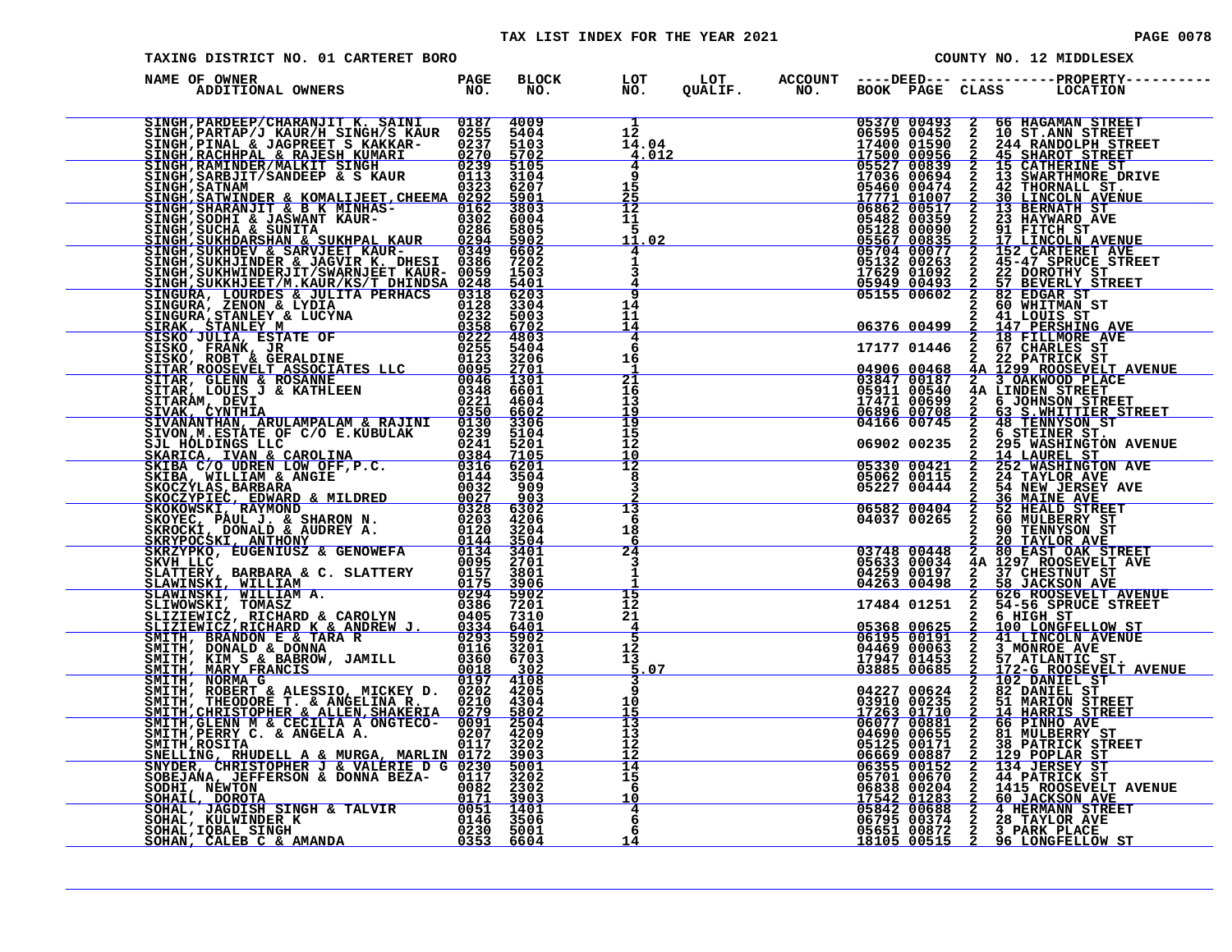#### TAX LIST INDEX FOR THE YEAR 2021 **PAGE 10078** PAGE 0078

| PAGE 00 |  |
|---------|--|
|---------|--|

| TAXING DISTRICT NO. 01 CARTERET BORO                                                                                                                                                                                                          | COUNTY NO. 12 MIDDLESEX |                              |                                                                   |                                                                                        |                                                                                                                                                                                                                                                                                                                                                           |
|-----------------------------------------------------------------------------------------------------------------------------------------------------------------------------------------------------------------------------------------------|-------------------------|------------------------------|-------------------------------------------------------------------|----------------------------------------------------------------------------------------|-----------------------------------------------------------------------------------------------------------------------------------------------------------------------------------------------------------------------------------------------------------------------------------------------------------------------------------------------------------|
| NAME OF OWNER<br>ADDITIONAL OWNERS                                                                                                                                                                                                            | PAGE<br>NO.             | <b>BLOCK</b><br>NO.          | LOT<br>NO<br>NO.                                                  |                                                                                        | LOT ACCOUNT ----DEED--- -----------PROPERTY---<br>QUALIF.         NO.        BOOK    PAGE   CLASS         LOCATION                                                                                                                                                                                                                                        |
|                                                                                                                                                                                                                                               |                         |                              | 12<br>$\frac{2}{4.04}$<br>$\frac{4.04}{4.012}$<br>14.04<br>4<br>9 | 05370 00493<br>06595 00452<br>17400 01590<br>17500 00956<br>05527 00839<br>17036 00694 | 66 HAGAMAN STREET<br><b>NAMANO NAMANO NAMANO</b><br>10 ST. ANN STREET<br>244 RANDOLPH STREET<br><b>45 SHAROT STREET</b><br>15 CATHERINE ST<br>13 SWARTHMORE DRIVE                                                                                                                                                                                         |
|                                                                                                                                                                                                                                               |                         |                              | 15<br>$\frac{25}{12}$                                             |                                                                                        |                                                                                                                                                                                                                                                                                                                                                           |
|                                                                                                                                                                                                                                               |                         |                              | 11<br>5<br>11.02                                                  |                                                                                        |                                                                                                                                                                                                                                                                                                                                                           |
|                                                                                                                                                                                                                                               |                         |                              | 9                                                                 |                                                                                        |                                                                                                                                                                                                                                                                                                                                                           |
|                                                                                                                                                                                                                                               |                         |                              | 14<br>11<br>14<br>4                                               |                                                                                        | $\begin{tabular}{ c  c c c c} 17036 & 00694 & 2 & 13 & \texttt{SWARTIME} & 1\\ 17036 & 00694 & 2 & 13 & \texttt{SWARTIME} & 1\\ 17771 & 011007 & 2 & 30 & \texttt{LINKOLIN} & \texttt{ATE}\\ 06862 & 00517 & 2 & 13 & \texttt{BERNATH} & \texttt{ST}\\ 06862 & 00517 & 2 & 13 & \texttt{BERNATH} & \texttt{ST}\\ 05482 & 00359 & 2 & 23 & \texttt{HAYMRD$ |
|                                                                                                                                                                                                                                               |                         |                              | 6<br>16                                                           |                                                                                        |                                                                                                                                                                                                                                                                                                                                                           |
|                                                                                                                                                                                                                                               |                         |                              | $\frac{21}{16}$<br>13<br>$\frac{19}{19}$                          | 05911 00540<br>17471 00699<br>06896 00708                                              | <b>4A LINDEN STREET</b><br>$\frac{2}{2}$<br><b>6 JOHNSON STREET</b><br>63 S.WHITTIER STREET<br>48 TENNYSON ST                                                                                                                                                                                                                                             |
|                                                                                                                                                                                                                                               |                         |                              | $\overline{\frac{15}{12}}$<br><u> 10</u>                          | 04166 00745<br>06902 00235                                                             | 6 STEINER ST.<br>$\frac{2}{2}$<br>295 WASHINGTON AVENUE                                                                                                                                                                                                                                                                                                   |
|                                                                                                                                                                                                                                               |                         |                              | $\overline{12}$<br>8<br>3                                         | 05330 00421<br>05062 00115<br>05227 00444                                              | $\frac{2}{2}$<br>14 LAUREL ST. AVE.<br>252 WASHINGTON AVE<br>24 TAYLOR AVE.<br>54 NEW JERSEY AVE<br>36 MAINE AVE                                                                                                                                                                                                                                          |
|                                                                                                                                                                                                                                               |                         |                              | 13<br>6<br>18<br>6                                                | 06582 00404<br>04037 00265                                                             | $\frac{2}{2}$<br>52 HEALD STREET<br>60 MULBERRY ST<br>90 TENNYSON ST<br><b>20 TAYLOR AVE 80 EAST OAK STREET</b>                                                                                                                                                                                                                                           |
|                                                                                                                                                                                                                                               |                         |                              | 24<br>3<br>1                                                      | 03748 00448<br>05633 00034<br>04259 00197<br>04263 00498                               | $\overline{2}$<br>4A 1297 ROOSEVELT AVE<br>2 37 CHESTNUT ST<br>2 58 JACKSON AVE                                                                                                                                                                                                                                                                           |
|                                                                                                                                                                                                                                               |                         |                              | 15<br>12<br>21<br>$\overline{4}$                                  | 17484 01251<br>$05368 0062506195 00191$                                                | 626 ROOSEVELT AVENUE<br>54-56 SPRUCE STREET<br>$\mathbf{2}$<br>$\mathbf{2}$<br>6 HIGH ST<br>100 LONGFELLOW ST<br>41 LINCOLN AVENUE                                                                                                                                                                                                                        |
|                                                                                                                                                                                                                                               |                         |                              | 5<br>$\frac{12}{13}$<br>.07                                       | 04469 00063<br>17947 01453<br>03885 00685                                              | $\frac{2}{2}$<br>2<br>2<br>2<br>2<br>2<br>2<br>3 MONROE AVE<br>57 ATLANTIC ST.<br>172-G ROOSEVELT AVENUE<br>102_DANIEL_ST                                                                                                                                                                                                                                 |
| SMITH, ROBERT & ALESSIO, MICKEY D. 01292<br>SMITH, THEODORE T. & ANGELINA R. 0210<br>SMITH, THEODORE T. & ANGELINA R. 0210<br>SMITH, GLENN M & CECILIA A ONGTECO-0091<br>SMITH, RERRY C. & ANGELA A. 02017<br>SMITH, RERRY C. & ANGELA A. 021 |                         | 4205<br>4304<br>5802         | 9<br>10<br>15                                                     | 04227 00624<br>03910 00235<br>17263 01710                                              | 82 DANIEL ST                                                                                                                                                                                                                                                                                                                                              |
|                                                                                                                                                                                                                                               |                         | 2504<br>4209<br>3202<br>3903 | 13<br>ī3<br>īž<br><u>ī2</u>                                       |                                                                                        | <b>82 DANIEL ST<br/> 51 MARION STREET<br/> 14 HARRIS STREET<br/> 66 PINHO AVE<br/> 81 MULBERRY ST<br/> 38 PATRICK STREET<br/> 39 PATRICK STREET</b>                                                                                                                                                                                                       |
| SNELLING, RHUDELL A & MURGA, MARLIN 0172<br>SNYDER, CHRISTOPHER J & VALERIE D G 0230<br>SOBEJANA, JEFFERSON & DONNA BEZA- 0117<br>SODHI, NEWTON                                                                                               |                         | 5001<br>3202                 | $\frac{1}{14}$<br>$\frac{1}{6}$<br>10                             |                                                                                        |                                                                                                                                                                                                                                                                                                                                                           |
| SODHI, NEWTON WEST CONNIN 2221. 0082 2302<br>SOHAIL, DOROTA 0171 3903<br>SOHAL, JAGDISH SINGH & TALVIR 0051 1401<br>SOHAL, KULWINDER K 0146 3506<br>SOHAL, IQBAL SINGH 0230 5001<br>SOHAN, CALEB C & AMANDA 0353 6604                         |                         |                              | $\frac{4}{6}$<br>6<br>14                                          |                                                                                        | 17263 01710 2 14 HARRIS STREET<br>04690 00881 2 66 PINHO AVE<br>04690 00655 2 81 MULBERRY ST<br>05125 00171 2 38 PATRICK STREET<br>06669 00887 2 129 POPLAR ST<br>06669 00872 2 134 JERSEY ST<br>06701 00670 2 44 PATRICK ST<br>05701 00670                                                                                                               |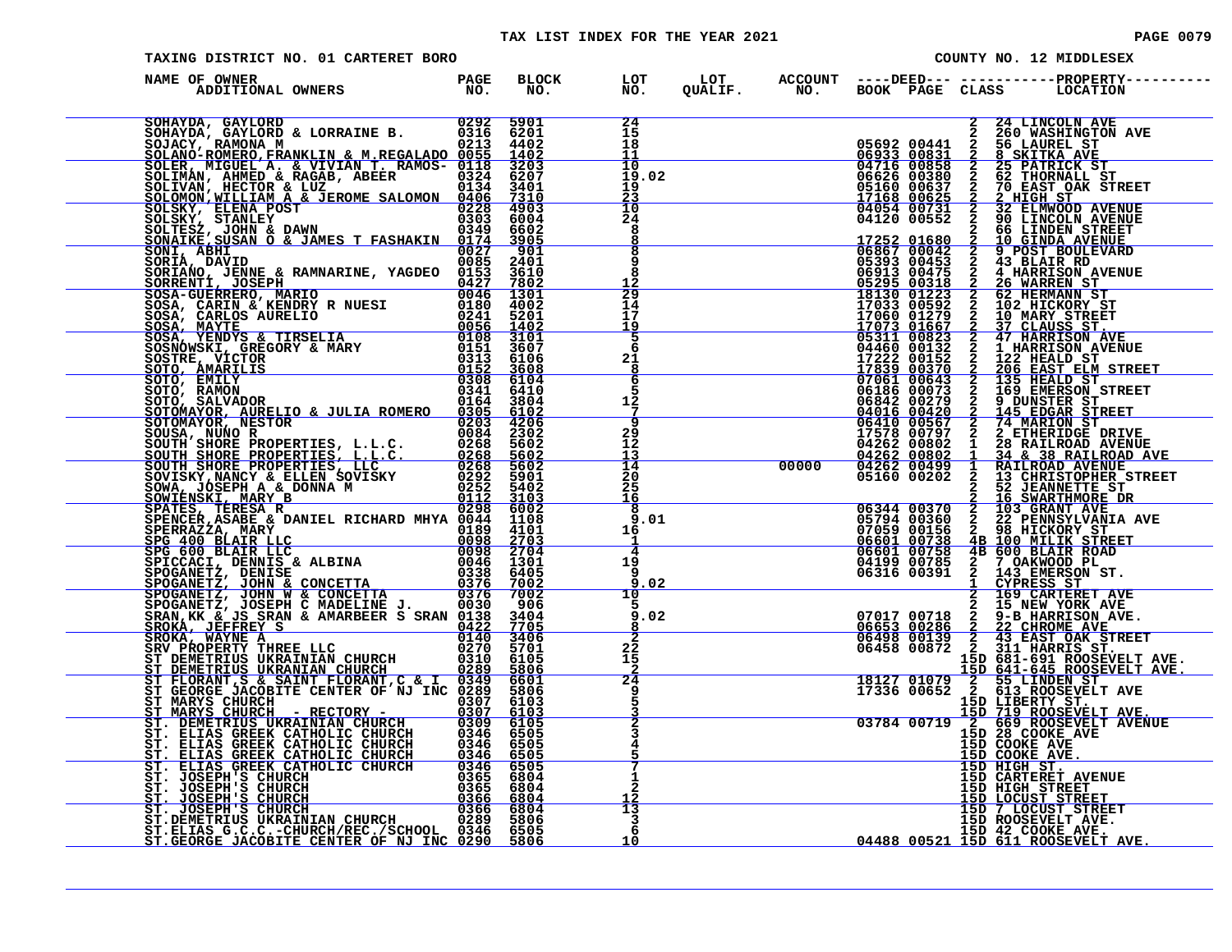| TAXING DISTRICT NO. 01 CARTERET BORO                                                                                                                                                                                           |  |                                                                                  |  |                                                                                              | COUNTY NO. 12 MIDDLESEX                                                                                                                                                                                                                                                                                                                                          |
|--------------------------------------------------------------------------------------------------------------------------------------------------------------------------------------------------------------------------------|--|----------------------------------------------------------------------------------|--|----------------------------------------------------------------------------------------------|------------------------------------------------------------------------------------------------------------------------------------------------------------------------------------------------------------------------------------------------------------------------------------------------------------------------------------------------------------------|
| )<br>De OWNER (DESPACE BLOCK LOT LOT ACCOUNT ----DEED--- -----------PROPERTY---<br>ADDITIONAL OWNERS (NO. NO. NO. QUALIF. NO. BOOK PAGE CLASS LOCATION<br>NAME OF OWNER                                                        |  |                                                                                  |  |                                                                                              |                                                                                                                                                                                                                                                                                                                                                                  |
| NAME OF OWNER ANNUAL SERIES PROFESSION CONSUMER CONSUMER CONSUMER AND CONSUMER AND CONSUMER AND CONSUMER AND CONSUMER CONSUMER AND CONSUMER CONSUMER CONSUMER AND CONSUMER CONSUMER CONSUMER CONSUMER AND CONSUMER CONSUMER CO |  | 24<br>15<br>18<br>11                                                             |  |                                                                                              | 2 24 LINCOLN AVE<br>3 24 LINCOLN AVE<br>05692 00441 2 56 LAUREL ST<br>06933 00831 2 8 SKITKA AVE<br>06716 00858 2 25 PATRICK ST<br>06626 00380 2 62 THORNALL ST<br>05160 00637 2 20 HIGH ST<br>17168 00625 2 2 HIGH ST<br>04054 00731 2 32 ELMWOD AVENUE<br>04120                                                                                                |
|                                                                                                                                                                                                                                |  | 10<br>19.02<br>19<br><u>23</u>                                                   |  |                                                                                              |                                                                                                                                                                                                                                                                                                                                                                  |
|                                                                                                                                                                                                                                |  | $\overline{10}$<br>24<br>8<br>8                                                  |  |                                                                                              |                                                                                                                                                                                                                                                                                                                                                                  |
|                                                                                                                                                                                                                                |  | 8<br>9<br>8<br>12                                                                |  | 17252 01680 2 10 GINDA AVENUE<br>06867 00042 2 9 POST BOULEVARD<br>05393 00453 2 43 BLAIR RD |                                                                                                                                                                                                                                                                                                                                                                  |
|                                                                                                                                                                                                                                |  | $\frac{25}{14}$<br>17<br>19                                                      |  |                                                                                              |                                                                                                                                                                                                                                                                                                                                                                  |
|                                                                                                                                                                                                                                |  | 5<br>6<br>21                                                                     |  |                                                                                              |                                                                                                                                                                                                                                                                                                                                                                  |
|                                                                                                                                                                                                                                |  | 8<br>6<br>5<br>12                                                                |  |                                                                                              |                                                                                                                                                                                                                                                                                                                                                                  |
|                                                                                                                                                                                                                                |  | $\overline{g}$<br>29<br>$12^{\circ}$                                             |  |                                                                                              |                                                                                                                                                                                                                                                                                                                                                                  |
|                                                                                                                                                                                                                                |  | 13<br>$\overline{14}$<br>2ō<br>25<br>16                                          |  |                                                                                              |                                                                                                                                                                                                                                                                                                                                                                  |
|                                                                                                                                                                                                                                |  | 8<br>9.01<br>16<br>-1                                                            |  |                                                                                              |                                                                                                                                                                                                                                                                                                                                                                  |
|                                                                                                                                                                                                                                |  | $-4$<br>19<br>-9<br>9.02                                                         |  |                                                                                              |                                                                                                                                                                                                                                                                                                                                                                  |
|                                                                                                                                                                                                                                |  | 10<br>$\frac{9.02}{8}$<br>$\begin{array}{c c} 8 & 7 \\ \hline 2 & 7 \end{array}$ |  |                                                                                              | $\begin{tabular}{c c c c} \hline 17578&0.0797&2&2 \hline 2 \hline 14262&00802&1&28 \hline 2 \hline 2 \hline 2 \hline 2 \hline 2 \hline 3 \hline 4262&00802&1&28 \hline 2 \hline 3 \hline 1 \hline 2 \hline 4 \hline 2 \hline 0 \hline 4262&00802&1&34 \hline 3 \hline 3 \hline 2 \hline 2 \hline 3 \hline 3 \hline 1 \hline 2 \hline 3 \hline 3 \hline 1 \hline$ |
|                                                                                                                                                                                                                                |  | $^{22}_{15}$<br>$\frac{2}{24}$                                                   |  |                                                                                              |                                                                                                                                                                                                                                                                                                                                                                  |
|                                                                                                                                                                                                                                |  | 5                                                                                |  |                                                                                              |                                                                                                                                                                                                                                                                                                                                                                  |
|                                                                                                                                                                                                                                |  |                                                                                  |  |                                                                                              |                                                                                                                                                                                                                                                                                                                                                                  |
|                                                                                                                                                                                                                                |  |                                                                                  |  |                                                                                              | <b>15D CARTERET AVENUE<br/>15D HIGH STREET<br/>15D HOCUST STREET<br/>15D 7 LOCUST STREET<br/>15D ROOSEVELT AVE.</b>                                                                                                                                                                                                                                              |
|                                                                                                                                                                                                                                |  | 13<br>3<br>6<br>10                                                               |  |                                                                                              | 15D 42 COOKE AVE.<br>04488 00521 15D 611 ROOSEVELT AVE.                                                                                                                                                                                                                                                                                                          |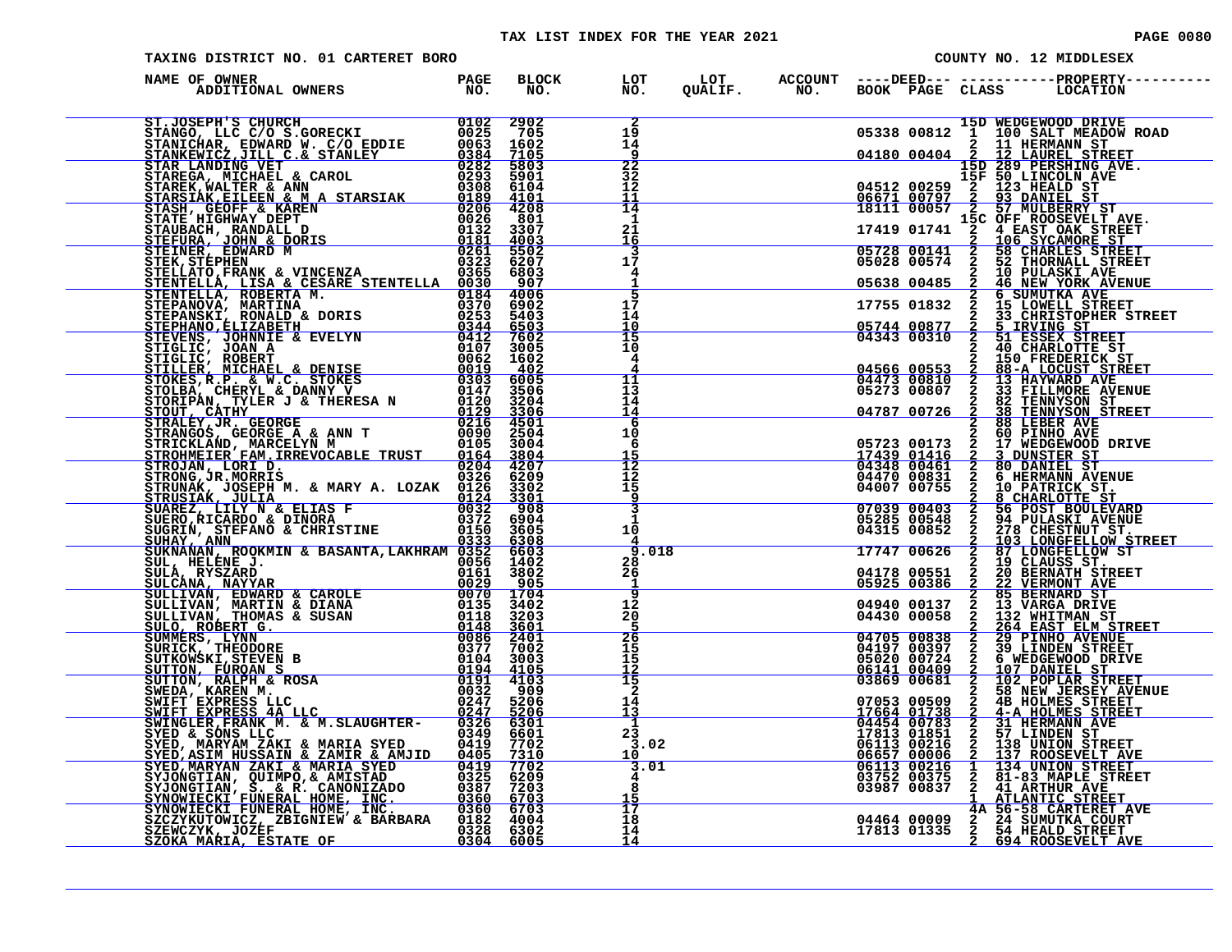#### TAX LIST INDEX FOR THE YEAR 2021

| <b>PAGE 0080</b> |  |
|------------------|--|
|                  |  |

| TAXING DISTRICT NO. 01 CARTERET BORO                                                                                                                                                                                                       |  |                                                            |                    |  | COUNTY NO. 12 MIDDLESEX                                                                                                                                                                                                                      |
|--------------------------------------------------------------------------------------------------------------------------------------------------------------------------------------------------------------------------------------------|--|------------------------------------------------------------|--------------------|--|----------------------------------------------------------------------------------------------------------------------------------------------------------------------------------------------------------------------------------------------|
| NAME OF OWNER                                                                                                                                                                                                                              |  | LOT<br>NO.                                                 |                    |  |                                                                                                                                                                                                                                              |
|                                                                                                                                                                                                                                            |  | $\overline{2}$<br>19<br>$\bar{1}\bar{4}$                   |                    |  |                                                                                                                                                                                                                                              |
|                                                                                                                                                                                                                                            |  | $\frac{1}{22}$<br>32<br>$\overline{12}$<br>$\frac{11}{14}$ |                    |  |                                                                                                                                                                                                                                              |
|                                                                                                                                                                                                                                            |  | 1<br>21<br><u> 16</u>                                      |                    |  |                                                                                                                                                                                                                                              |
|                                                                                                                                                                                                                                            |  | $1\bar{7}$<br>4<br>$\overline{5}$                          |                    |  |                                                                                                                                                                                                                                              |
|                                                                                                                                                                                                                                            |  | $1\bar{7}$<br>14<br>$\frac{10}{15}$                        |                    |  |                                                                                                                                                                                                                                              |
|                                                                                                                                                                                                                                            |  | 10<br>4<br>4<br>$\frac{11}{13}$                            |                    |  |                                                                                                                                                                                                                                              |
|                                                                                                                                                                                                                                            |  | 14<br>$\frac{\overline{14}}{6}$<br>10                      |                    |  |                                                                                                                                                                                                                                              |
|                                                                                                                                                                                                                                            |  | 6<br>$\frac{15}{12}$                                       |                    |  |                                                                                                                                                                                                                                              |
| ETRONG TRELEVING THE MARY A. MARY A. LOZAK 1926<br>STRONG TR. MORRIS<br>STRUNGK, JOSEPH M. & MARY A. LOZAK 01224<br>STRUNGK, JOSEPH M. & MARY A. LOZAK 01224<br>STRUSTAK, JULITA NA ELIAS P<br>STRUSTAK, JULITA & ELIAS P<br>STRUSTAK, ANN |  | 15<br>$\frac{9}{3}$<br>1<br>10                             |                    |  |                                                                                                                                                                                                                                              |
|                                                                                                                                                                                                                                            |  | 28<br>26<br>-1                                             | $\frac{1}{2}$ .018 |  |                                                                                                                                                                                                                                              |
|                                                                                                                                                                                                                                            |  | $\overline{9}$<br>12<br>20<br>$\frac{5}{26}$               |                    |  |                                                                                                                                                                                                                                              |
|                                                                                                                                                                                                                                            |  | 15<br>īš<br>$\frac{12}{15}$                                |                    |  |                                                                                                                                                                                                                                              |
|                                                                                                                                                                                                                                            |  | $\bar{2}$<br>14<br>13<br>$\mathbf{1}$                      |                    |  |                                                                                                                                                                                                                                              |
|                                                                                                                                                                                                                                            |  | 23<br>3.02<br>10<br>$\frac{1}{3.01}$                       |                    |  | 3 58 NEW JERSEY AVENU<br>07053 00509 2 4B HOLMES STREET<br>17664 00783 2 41-A HOLMES STREET<br>17813 01851 2 57 LINDEN STREET<br>06454 00783 2 31 HERMANN AVE<br>17813 01851 2 57 LINDEN ST<br>06657 00006 2 137 ROOSEVELT AVE<br>06113 0021 |
|                                                                                                                                                                                                                                            |  | 4<br>15<br>$\overline{17}$                                 |                    |  |                                                                                                                                                                                                                                              |
|                                                                                                                                                                                                                                            |  | 18<br>14<br>14                                             |                    |  |                                                                                                                                                                                                                                              |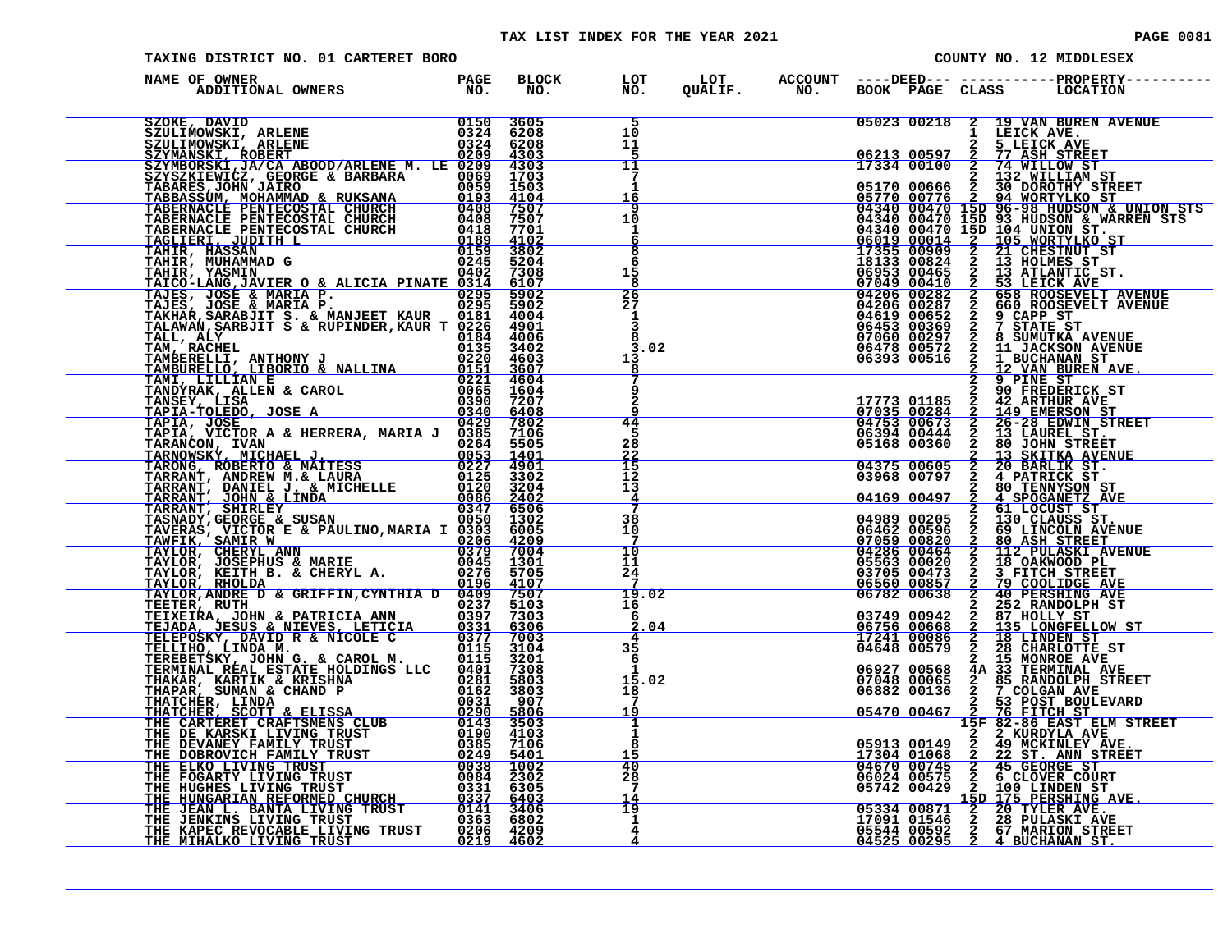#### TAX LIST INDEX FOR THE YEAR 2021

| <b>PAGE 0081</b> |  |  |
|------------------|--|--|
|                  |  |  |

|                                                                                                                                                                                                                                          | TAXING DISTRICT NO. 01 CARTERET BORO<br>COUNTY NO. 12 MIDDLESEX |  |                                          |  |  |                                                                                                                                                          |  |                                                                                                                                                                                                                                                                                                                                                                      |
|------------------------------------------------------------------------------------------------------------------------------------------------------------------------------------------------------------------------------------------|-----------------------------------------------------------------|--|------------------------------------------|--|--|----------------------------------------------------------------------------------------------------------------------------------------------------------|--|----------------------------------------------------------------------------------------------------------------------------------------------------------------------------------------------------------------------------------------------------------------------------------------------------------------------------------------------------------------------|
| )<br>De OWNER (DAGE BLOCK LOT LOT ACCOUNT ---DEED-------------PROPERTY------<br>ADDITIONAL OWNERS          NO、 NO、 NO、 QUALIF、 NO、 BOOK PAGE CLASS   LOCATION<br>NAME OF OWNER                                                           |                                                                 |  |                                          |  |  |                                                                                                                                                          |  |                                                                                                                                                                                                                                                                                                                                                                      |
|                                                                                                                                                                                                                                          |                                                                 |  | 5<br>1Ō<br>11<br>5                       |  |  | 1 LEICK AVE.<br>06213 00597 2 5 LEICK AVE.<br>17334 00100 2 74 WILLOW ST.                                                                                |  | 05023 00218 2 19 VAN BUREN AVENUE                                                                                                                                                                                                                                                                                                                                    |
|                                                                                                                                                                                                                                          |                                                                 |  | 11<br>$7\phantom{.0}$<br>1<br><u> 16</u> |  |  |                                                                                                                                                          |  |                                                                                                                                                                                                                                                                                                                                                                      |
|                                                                                                                                                                                                                                          |                                                                 |  | 9<br>10<br>1<br>6                        |  |  |                                                                                                                                                          |  |                                                                                                                                                                                                                                                                                                                                                                      |
|                                                                                                                                                                                                                                          |                                                                 |  | $\overline{\mathbf{8}}$<br>6<br>15<br>8  |  |  |                                                                                                                                                          |  |                                                                                                                                                                                                                                                                                                                                                                      |
|                                                                                                                                                                                                                                          |                                                                 |  | $\frac{26}{27}$<br>1                     |  |  |                                                                                                                                                          |  |                                                                                                                                                                                                                                                                                                                                                                      |
|                                                                                                                                                                                                                                          |                                                                 |  | 8<br>3.02<br>13<br>8                     |  |  |                                                                                                                                                          |  |                                                                                                                                                                                                                                                                                                                                                                      |
|                                                                                                                                                                                                                                          |                                                                 |  |                                          |  |  |                                                                                                                                                          |  |                                                                                                                                                                                                                                                                                                                                                                      |
|                                                                                                                                                                                                                                          |                                                                 |  | $\overline{44}$<br>5<br>28               |  |  |                                                                                                                                                          |  |                                                                                                                                                                                                                                                                                                                                                                      |
|                                                                                                                                                                                                                                          |                                                                 |  | $\frac{22}{15}$<br>13<br>4               |  |  |                                                                                                                                                          |  |                                                                                                                                                                                                                                                                                                                                                                      |
|                                                                                                                                                                                                                                          |                                                                 |  | 7<br>38<br>10<br>$\frac{7}{10}$          |  |  |                                                                                                                                                          |  |                                                                                                                                                                                                                                                                                                                                                                      |
|                                                                                                                                                                                                                                          |                                                                 |  | 11<br>24                                 |  |  |                                                                                                                                                          |  |                                                                                                                                                                                                                                                                                                                                                                      |
|                                                                                                                                                                                                                                          |                                                                 |  | 19.02<br>16<br>6<br>.04                  |  |  | 03749 00942 2 234 KANUVUFB 31<br>06756 00668 2 135 LONGFELLOW ST<br>17241 00086 2 18 LINDEN ST<br>04648 00579 2 28 CHARLOTTE ST<br>20060 2 15 MONROE AVE |  |                                                                                                                                                                                                                                                                                                                                                                      |
|                                                                                                                                                                                                                                          |                                                                 |  | 4<br>35<br>6<br>15.02                    |  |  |                                                                                                                                                          |  |                                                                                                                                                                                                                                                                                                                                                                      |
|                                                                                                                                                                                                                                          |                                                                 |  | 18<br>7<br>19<br>1                       |  |  | $\overbrace{0.5470}^{0.5470}$ 00467                                                                                                                      |  |                                                                                                                                                                                                                                                                                                                                                                      |
| TRETERRING FOR FAIRING TRUST 1988 1997<br>TELTERR, AUTH & BATRICIA 0337 75103<br>TELLEPOSKY, DAVID R & NICOLE C 0377 7003<br>TELLEPOSKY, DAVID R & NICOLE C 0377 7003<br>TELLEPOSKY, DAVID R & NICOLE C 0377 7003<br>TELLEPOSKY, DAVID R |                                                                 |  | 1<br>8<br>15<br>$\overline{40}$          |  |  |                                                                                                                                                          |  | $\begin{array}{cccccc} 0.4043 & 0.0379 & 2 & 15 & \texttt{MONROE AVE} \\ \hline 06927 & 00568 & 4 \texttt{A} & 33 & \texttt{TERMINAL AVE} \\ 07048 & 00565 & 2 & 35 & \texttt{RANDOLPH STREF} \\ 06882 & 00136 & 2 & 7 & \texttt{COLGAN AVE} \\ 05470 & 00467 & 2 & 53 & \texttt{POST BULEVARD} \\ 05470 & 00467 & 2 & 76 & \texttt{ETCEY AVE} \\ \hline & 15 \text$ |
|                                                                                                                                                                                                                                          |                                                                 |  | $^{28}_{7}$<br>19                        |  |  |                                                                                                                                                          |  |                                                                                                                                                                                                                                                                                                                                                                      |
|                                                                                                                                                                                                                                          |                                                                 |  | 1<br>4<br>4                              |  |  |                                                                                                                                                          |  |                                                                                                                                                                                                                                                                                                                                                                      |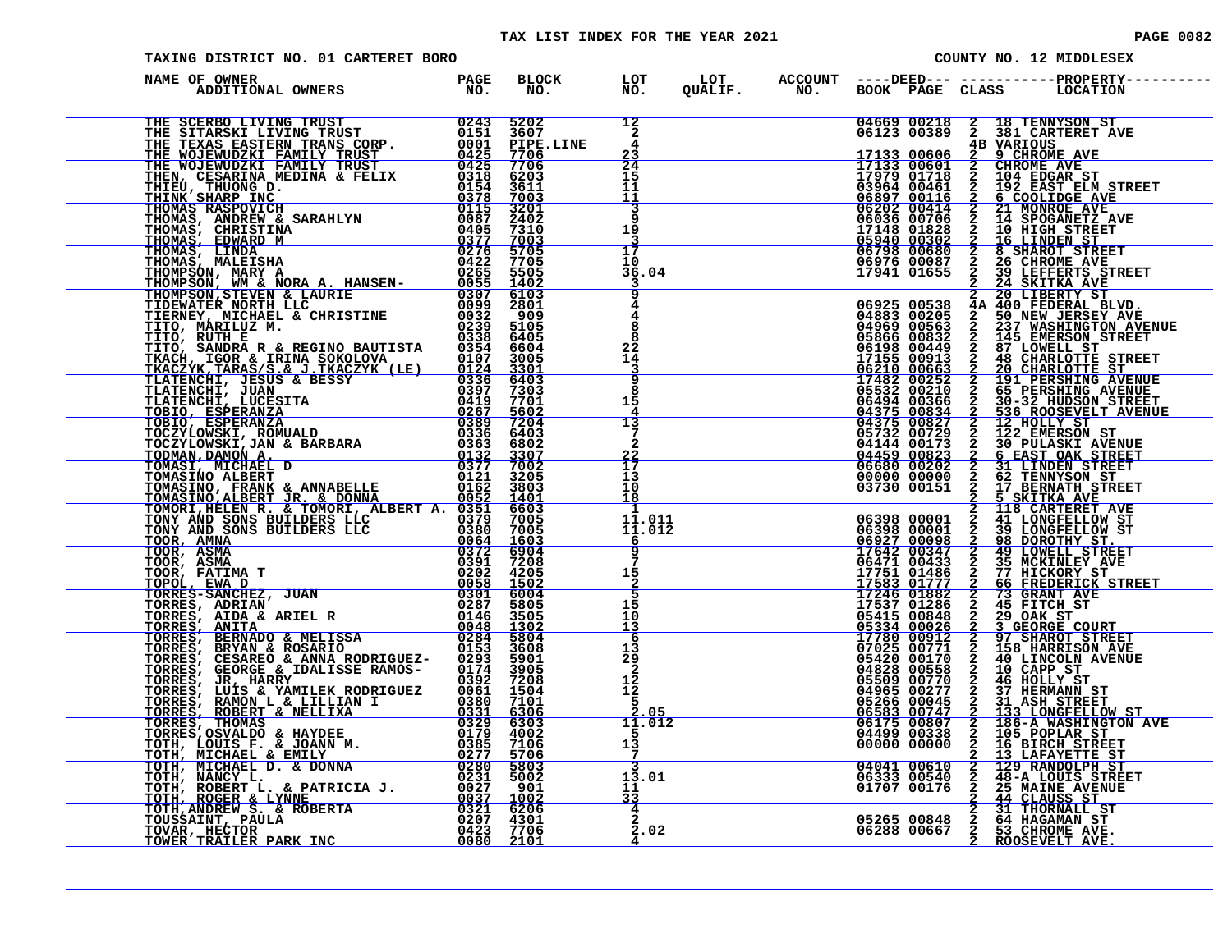#### TAX LIST INDEX FOR THE YEAR 2021 **PAGE 10082** PAGE 0082

| TAXING DISTRICT NO. 01 CARTERET BORO                                                                                                                                           |                                           |  |  | COUNTY NO. 12 MIDDLESEX |
|--------------------------------------------------------------------------------------------------------------------------------------------------------------------------------|-------------------------------------------|--|--|-------------------------|
| )<br>De OWNER (DESPERTING PAGE BLOCK LOT LOT ACCOUNT ----DEED---------------PROPERTY-----<br>ADDITIONAL(OWNERS NO NO NO NO QUALIF NO BOOK PAGE CLASS LOCATION<br>NAME OF OWNER |                                           |  |  |                         |
|                                                                                                                                                                                |                                           |  |  |                         |
|                                                                                                                                                                                |                                           |  |  |                         |
|                                                                                                                                                                                |                                           |  |  |                         |
|                                                                                                                                                                                |                                           |  |  |                         |
|                                                                                                                                                                                |                                           |  |  |                         |
|                                                                                                                                                                                |                                           |  |  |                         |
|                                                                                                                                                                                |                                           |  |  |                         |
|                                                                                                                                                                                |                                           |  |  |                         |
|                                                                                                                                                                                |                                           |  |  |                         |
|                                                                                                                                                                                |                                           |  |  |                         |
|                                                                                                                                                                                |                                           |  |  |                         |
|                                                                                                                                                                                |                                           |  |  |                         |
|                                                                                                                                                                                |                                           |  |  |                         |
|                                                                                                                                                                                |                                           |  |  |                         |
|                                                                                                                                                                                |                                           |  |  |                         |
|                                                                                                                                                                                | $\frac{3}{4}$ $\frac{2}{2}$ $\frac{1}{2}$ |  |  |                         |
|                                                                                                                                                                                |                                           |  |  |                         |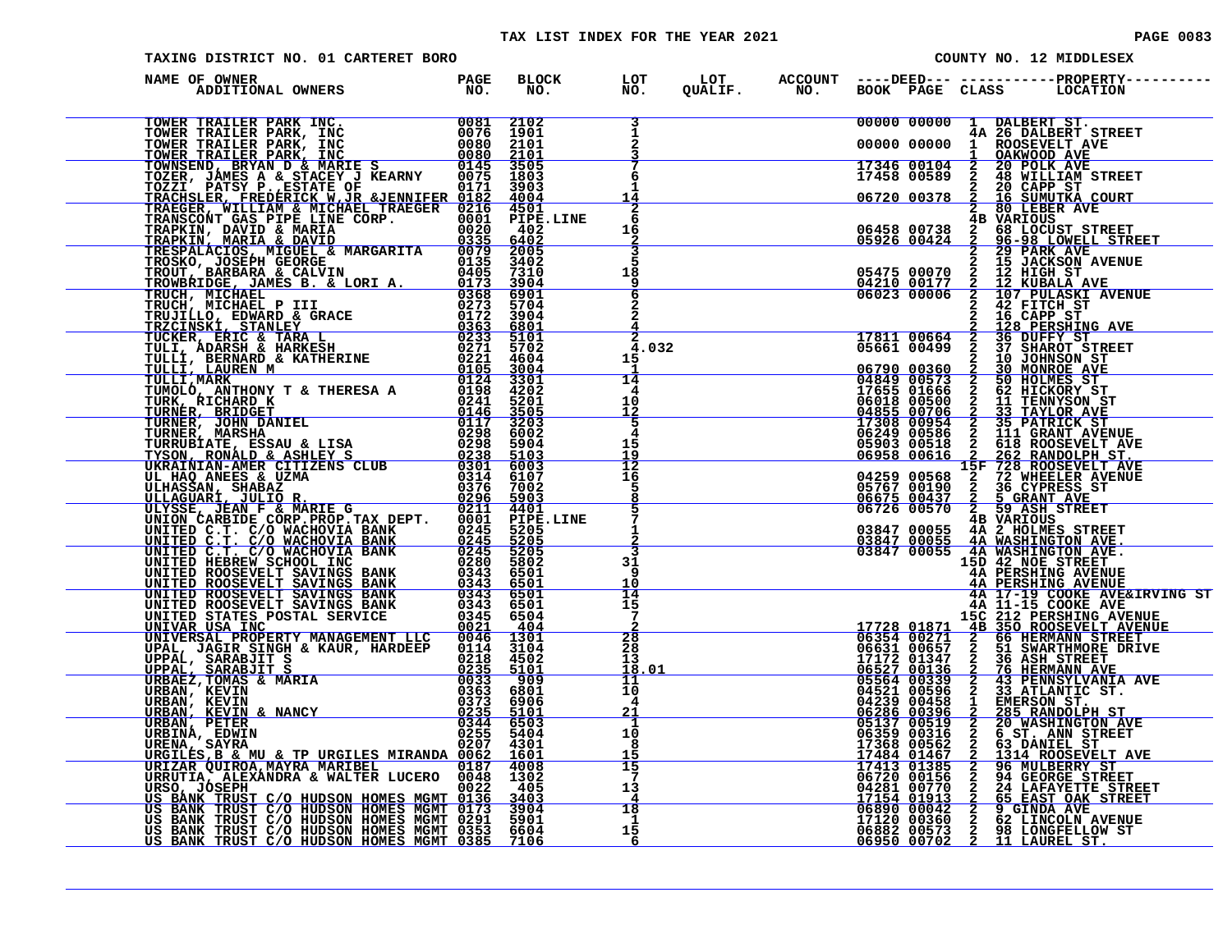#### TAX LIST INDEX FOR THE YEAR 2021

| PAGE | 0083 |  |  |
|------|------|--|--|
|      |      |  |  |

| TAXING DISTRICT NO. 01 CARTERET BORO                                                                                                                                                                                                                                          |                                                        |                                      |  |  | COUNTY NO. 12 MIDDLESEX                                                                                                                                                                                                                                                                                               |
|-------------------------------------------------------------------------------------------------------------------------------------------------------------------------------------------------------------------------------------------------------------------------------|--------------------------------------------------------|--------------------------------------|--|--|-----------------------------------------------------------------------------------------------------------------------------------------------------------------------------------------------------------------------------------------------------------------------------------------------------------------------|
| NAME OF OWNER<br>ADDITIONAL OWNERS PAGE NO.<br>NAME OF OWNER TRACK INC. BOOKS IN THE BACK INC. THE CONFERENCE CONSULTER CONFERENCE IN THE CONFERENCE IN THE CONFERENCE IN THE CONFERENCE IN THE CONFERENCE IN THE CONFERENCE IN THE CONFERENCE IN THE CONFERENCE IN THE CONFE | BLOCK<br>NO<br>NO.                                     | LOT<br>NO.                           |  |  | LOT ACCOUNT ----DEED--- -----------PROPERTY----<br>QUALIF.        NO.      BOOK   PAGE   CLASS        LOCATION                                                                                                                                                                                                        |
|                                                                                                                                                                                                                                                                               |                                                        |                                      |  |  | 00000 00000 1 DALBERT ST.<br>00000 00000 1 ROSEVELT AVE<br>17346 00104 2 20 POLK AVE<br>17346 00104 2 20 POLK AVE<br>17458 00589 2 48 WILLIAM STREET<br>06720 00378 2 16 SUMUTKA COURT<br>2 80 LEBER<br>2 20 CAPP ST<br>2 80 LEBER<br>2 20 DAP S                                                                      |
|                                                                                                                                                                                                                                                                               |                                                        | 6                                    |  |  |                                                                                                                                                                                                                                                                                                                       |
|                                                                                                                                                                                                                                                                               |                                                        | 1<br>14<br>$\overline{2}$            |  |  |                                                                                                                                                                                                                                                                                                                       |
|                                                                                                                                                                                                                                                                               |                                                        | 6<br>16<br>2<br>3                    |  |  |                                                                                                                                                                                                                                                                                                                       |
|                                                                                                                                                                                                                                                                               |                                                        | 5<br>18<br>9                         |  |  |                                                                                                                                                                                                                                                                                                                       |
|                                                                                                                                                                                                                                                                               |                                                        | 6                                    |  |  | $\begin{tabular}{l c c c c} \hline & 66720 & 00378 & $\frac{2}{2}$ & $80$ & $169$ & $1760$ & $1760$ \\ \hline 96458 & 00738 & 29 & $1600187 & $1761$ & $1761$ \\ \hline 96458 & 00738 & 29 & $100191 & $17611 & $17711 & $17811 & $17811 \\ \hline 95475 & 00070 & 2 & 15 & $17611 & $17 & $1711 & $17811 \\ \hline $ |
|                                                                                                                                                                                                                                                                               |                                                        | 4.032<br>15                          |  |  |                                                                                                                                                                                                                                                                                                                       |
|                                                                                                                                                                                                                                                                               |                                                        | 14<br>4                              |  |  |                                                                                                                                                                                                                                                                                                                       |
|                                                                                                                                                                                                                                                                               |                                                        | 10<br>$\frac{\overline{12}}{5}$<br>4 |  |  |                                                                                                                                                                                                                                                                                                                       |
|                                                                                                                                                                                                                                                                               |                                                        | 15<br>$\frac{15}{12}$                |  |  |                                                                                                                                                                                                                                                                                                                       |
|                                                                                                                                                                                                                                                                               |                                                        | 5<br>8                               |  |  |                                                                                                                                                                                                                                                                                                                       |
|                                                                                                                                                                                                                                                                               |                                                        | 5<br>1                               |  |  |                                                                                                                                                                                                                                                                                                                       |
|                                                                                                                                                                                                                                                                               |                                                        | 31<br>9                              |  |  | 15D 42 NOE STREET<br>4A PERSHING AVENUE                                                                                                                                                                                                                                                                               |
|                                                                                                                                                                                                                                                                               |                                                        | 10<br>14<br>15                       |  |  | <b>AN PERSHING AVENUE<br/>4A 17-19 COOKE AVE&amp;IRVING ST<br/>4A 11-15 COOKE AVE</b>                                                                                                                                                                                                                                 |
|                                                                                                                                                                                                                                                                               |                                                        | 7<br>$\frac{2}{8}$                   |  |  |                                                                                                                                                                                                                                                                                                                       |
|                                                                                                                                                                                                                                                                               |                                                        | 28<br>13<br>18.01<br>11              |  |  |                                                                                                                                                                                                                                                                                                                       |
|                                                                                                                                                                                                                                                                               |                                                        | 10<br>4<br><u>21</u>                 |  |  |                                                                                                                                                                                                                                                                                                                       |
|                                                                                                                                                                                                                                                                               |                                                        | $\mathbf{1}$<br>10<br>-8             |  |  |                                                                                                                                                                                                                                                                                                                       |
|                                                                                                                                                                                                                                                                               |                                                        | 15<br>15<br>7<br>13                  |  |  | 44 17-19 COOKE AVEELING 17-19 COOKE AVEELING AVENUE<br>17728 01871 4B 350 ROOSEVELT AVENUE<br>06631 00657 2 66 HENMANN STREET<br>06631 00657 2 51 SWARTHMORE DREET<br>17172 01347 2 36 ASH STREET<br>06631 00657 2 51 SWARTHMORE DRIVE<br>                                                                            |
|                                                                                                                                                                                                                                                                               | $\begin{array}{r} 18 \\ 1 \\ 1 \\ 15 \\ 6 \end{array}$ | 4                                    |  |  |                                                                                                                                                                                                                                                                                                                       |
|                                                                                                                                                                                                                                                                               |                                                        | - 6                                  |  |  |                                                                                                                                                                                                                                                                                                                       |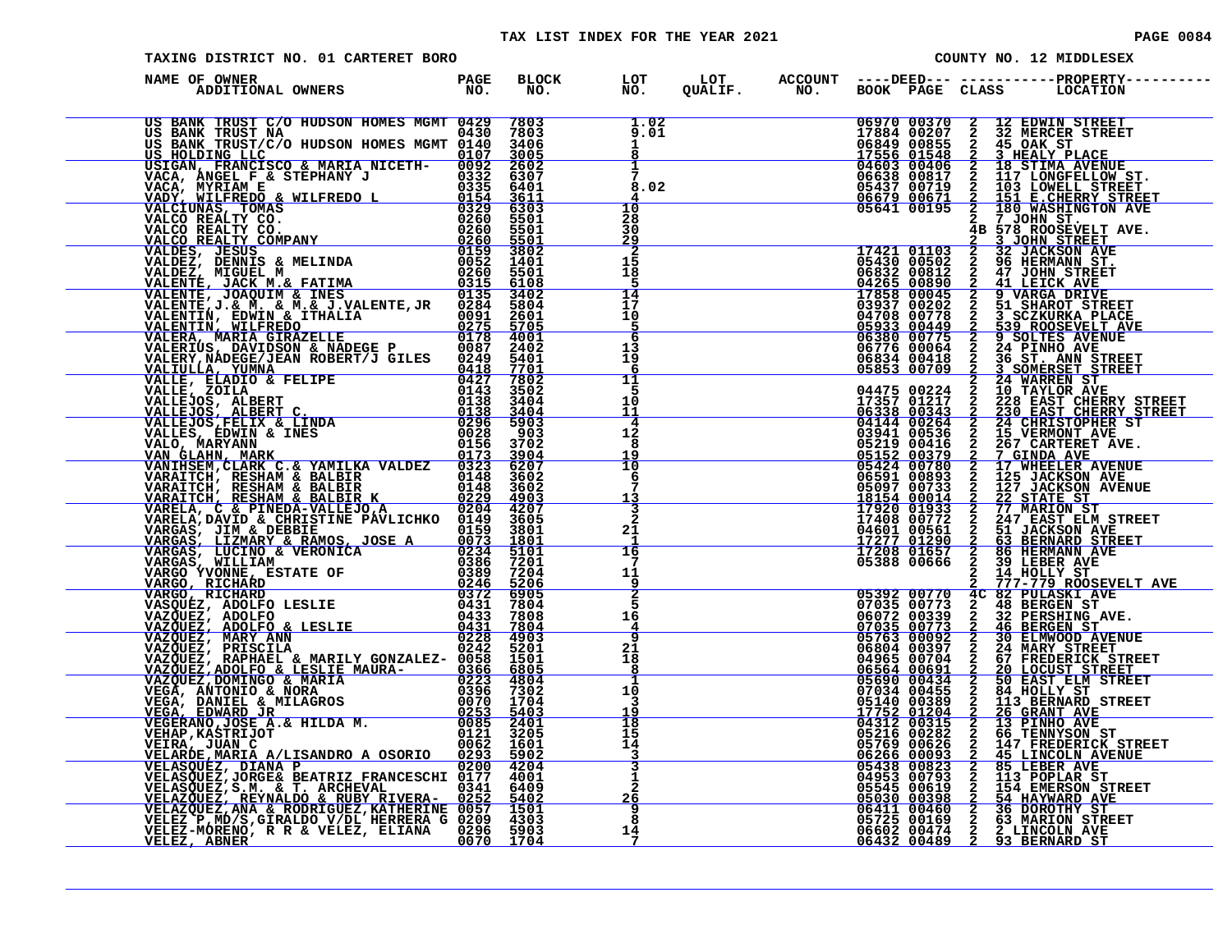| TAXING DISTRICT NO. 01 CARTERET BORO          |  |                                                                     |  |  | COUNTY NO. 12 MIDDLESEX                                                                                                                                                                                                                                                  |
|-----------------------------------------------|--|---------------------------------------------------------------------|--|--|--------------------------------------------------------------------------------------------------------------------------------------------------------------------------------------------------------------------------------------------------------------------------|
| NAME OF OWNER                                 |  |                                                                     |  |  |                                                                                                                                                                                                                                                                          |
| US BANK TRUST C/O HUDSON HOMES MGMT 0429 7803 |  | $\frac{1.02}{a^{0.01}}$                                             |  |  | 1.02 06970 00370 2 12 EDWIN STREET<br>9.01 17884 00207 2 32 MERCER STREET<br>17884 00207 2 32 MERCER STREET<br>6849 00855 2 45 OAK ST<br>17556 01548 2 3 HEALY PLACE<br>7 06633 00417 2 117 LONGFELLOW ST.<br>8.02 06633 00417 2 117 LONGF                               |
|                                               |  |                                                                     |  |  |                                                                                                                                                                                                                                                                          |
|                                               |  | 28<br>30<br>$\frac{\frac{29}{2}}{15}$                               |  |  |                                                                                                                                                                                                                                                                          |
|                                               |  | 18<br>5<br>14                                                       |  |  |                                                                                                                                                                                                                                                                          |
|                                               |  | 17<br>10<br>$\overline{5}$<br>6                                     |  |  |                                                                                                                                                                                                                                                                          |
|                                               |  | 13<br>19<br>6<br>11<br>5                                            |  |  |                                                                                                                                                                                                                                                                          |
|                                               |  | 10<br>11<br>$\overline{4}$<br>12                                    |  |  |                                                                                                                                                                                                                                                                          |
|                                               |  | 8<br>19<br>$\overline{10}$<br>6                                     |  |  |                                                                                                                                                                                                                                                                          |
|                                               |  | 13<br>$\overline{\mathbf{3}}$<br>$\mathbf{2}$<br>21                 |  |  |                                                                                                                                                                                                                                                                          |
|                                               |  | $\overline{16}$<br>7<br>11                                          |  |  |                                                                                                                                                                                                                                                                          |
|                                               |  | $\frac{9}{2}$<br>16                                                 |  |  |                                                                                                                                                                                                                                                                          |
|                                               |  | $\frac{4}{9}$<br>21<br>18<br>8                                      |  |  |                                                                                                                                                                                                                                                                          |
|                                               |  | 1<br>10<br>3<br>19                                                  |  |  |                                                                                                                                                                                                                                                                          |
|                                               |  | 18<br>15<br>14<br>$\frac{3}{3}$                                     |  |  | $\begin{tabular}{ c c c c c c c c c c } \hline & 2 & 151 & 52.14 & 50.14 & 50.14 & 50.14 & 50.14 & 50.14 & 50.14 & 50.14 & 50.14 & 50.14 & 50.14 & 50.14 & 50.14 & 50.14 & 50.14 & 50.14 & 50.14 & 50.14 & 50.14 & 50.14 & 50.14 & 50.14 & 50.14 & 50.14 & 50.14 & 50.1$ |
|                                               |  | <u>26</u>                                                           |  |  |                                                                                                                                                                                                                                                                          |
|                                               |  | $\begin{array}{r} 20 \overline{9} \\ 8 \\ 14 \\ \end{array}$<br>- 7 |  |  |                                                                                                                                                                                                                                                                          |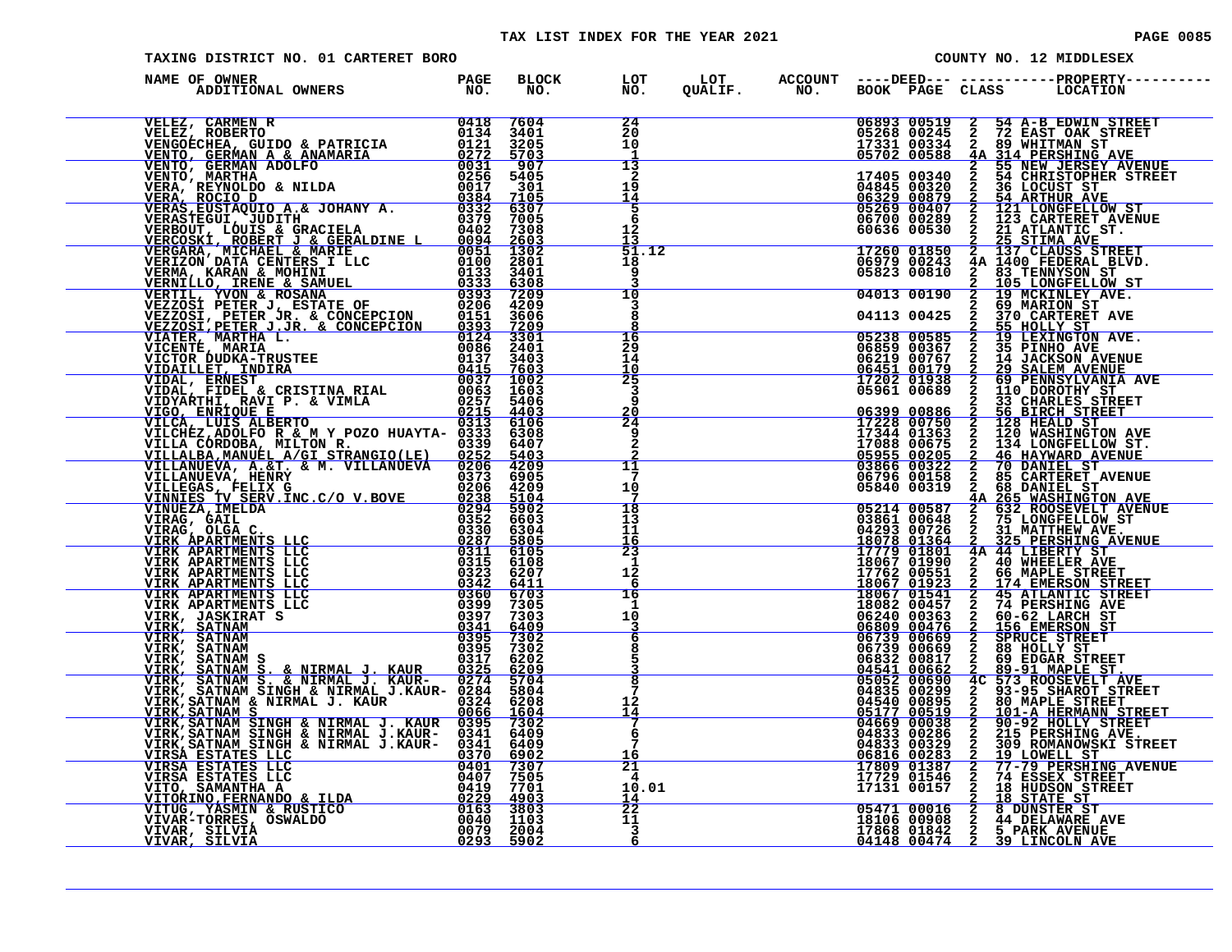#### TAX LIST INDEX FOR THE YEAR 2021 **PAGE 10085** PAGE 0085

| <b>PAGE 0085</b> |  |  |
|------------------|--|--|
|                  |  |  |
|                  |  |  |

| TAXING DISTRICT NO. 01 CARTERET BORO                                                                                                                                                                                                  |  |                                     |  |  | COUNTY NO. 12 MIDDLESEX                                                                                                                                                                                                                                                                                           |
|---------------------------------------------------------------------------------------------------------------------------------------------------------------------------------------------------------------------------------------|--|-------------------------------------|--|--|-------------------------------------------------------------------------------------------------------------------------------------------------------------------------------------------------------------------------------------------------------------------------------------------------------------------|
| NAME OF OWNER                                                                                                                                                                                                                         |  |                                     |  |  | BLOCK LOT LOT ACCOUNT ----DEED----------------PROPERTY------<br>NO. NO. QUALIF. NO. BOOK PAGE CLASS LOCATION                                                                                                                                                                                                      |
| NAME CONCERNE CARRIER IN THE 2000 SERVE AND 1998 1999<br>VERE CARRIER RESERVE AND A CONCERNE CONCERNE CONCERNE CONCERNE CONCERNE CONCERNE CONCERNE CONCERNE CONCERNE CONCERNE CONCERNE CONCERNE CONCERNE CONCERNE CONCERNE CONCE      |  | 24<br>$\overline{20}$<br>10         |  |  | 06893 00519 2 54 A-B EDWIN STREET<br>05268 00245 2 72 EAST OAK STREET<br>17331 00334 2 89 WHITMAN STREET<br>17331 00334 2 89 WHITMAN STREET<br>17405 00340 2 55 NEW JERSEY AVENUE<br>14845 00340 2 54 CHRISTOPHER STREET<br>06329 00879 2                                                                         |
|                                                                                                                                                                                                                                       |  | -1                                  |  |  |                                                                                                                                                                                                                                                                                                                   |
|                                                                                                                                                                                                                                       |  | $\frac{13}{2}$<br>19                |  |  |                                                                                                                                                                                                                                                                                                                   |
|                                                                                                                                                                                                                                       |  | <u> 14</u><br>$\frac{5}{6}$         |  |  |                                                                                                                                                                                                                                                                                                                   |
|                                                                                                                                                                                                                                       |  | 12 <sub>1</sub>                     |  |  |                                                                                                                                                                                                                                                                                                                   |
|                                                                                                                                                                                                                                       |  | <u> 13</u><br>51.12                 |  |  |                                                                                                                                                                                                                                                                                                                   |
|                                                                                                                                                                                                                                       |  | 18<br>9                             |  |  |                                                                                                                                                                                                                                                                                                                   |
|                                                                                                                                                                                                                                       |  | 10                                  |  |  |                                                                                                                                                                                                                                                                                                                   |
|                                                                                                                                                                                                                                       |  | 3<br>8                              |  |  | 05823 00810 2 83 TENNYSON ST<br>04013 00190 2 105 LONGFELLOW ST<br>04013 00190 2 69 MARION ST<br>04113 00425 2 370 CARTERET AVE                                                                                                                                                                                   |
|                                                                                                                                                                                                                                       |  | 8<br>16                             |  |  |                                                                                                                                                                                                                                                                                                                   |
|                                                                                                                                                                                                                                       |  | 29<br>14<br>10                      |  |  |                                                                                                                                                                                                                                                                                                                   |
|                                                                                                                                                                                                                                       |  | 25<br>3                             |  |  |                                                                                                                                                                                                                                                                                                                   |
|                                                                                                                                                                                                                                       |  | 9                                   |  |  |                                                                                                                                                                                                                                                                                                                   |
|                                                                                                                                                                                                                                       |  | $\frac{20}{24}$<br>9                |  |  |                                                                                                                                                                                                                                                                                                                   |
|                                                                                                                                                                                                                                       |  | 2                                   |  |  |                                                                                                                                                                                                                                                                                                                   |
|                                                                                                                                                                                                                                       |  | 11<br>7                             |  |  |                                                                                                                                                                                                                                                                                                                   |
|                                                                                                                                                                                                                                       |  | 10<br>7                             |  |  |                                                                                                                                                                                                                                                                                                                   |
|                                                                                                                                                                                                                                       |  | 18<br>13                            |  |  |                                                                                                                                                                                                                                                                                                                   |
|                                                                                                                                                                                                                                       |  | 11<br>$\frac{16}{23}$               |  |  |                                                                                                                                                                                                                                                                                                                   |
|                                                                                                                                                                                                                                       |  | $\mathbf{1}$                        |  |  |                                                                                                                                                                                                                                                                                                                   |
|                                                                                                                                                                                                                                       |  | $1\overline{2}$<br>6                |  |  |                                                                                                                                                                                                                                                                                                                   |
|                                                                                                                                                                                                                                       |  | 16<br>1<br>10                       |  |  |                                                                                                                                                                                                                                                                                                                   |
|                                                                                                                                                                                                                                       |  | $\frac{3}{6}$                       |  |  |                                                                                                                                                                                                                                                                                                                   |
|                                                                                                                                                                                                                                       |  | 8<br>5                              |  |  |                                                                                                                                                                                                                                                                                                                   |
|                                                                                                                                                                                                                                       |  | $\overline{8}$                      |  |  |                                                                                                                                                                                                                                                                                                                   |
|                                                                                                                                                                                                                                       |  | 7<br>12                             |  |  |                                                                                                                                                                                                                                                                                                                   |
|                                                                                                                                                                                                                                       |  | 14<br>7                             |  |  |                                                                                                                                                                                                                                                                                                                   |
|                                                                                                                                                                                                                                       |  | 6<br>7                              |  |  |                                                                                                                                                                                                                                                                                                                   |
|                                                                                                                                                                                                                                       |  | $\frac{16}{21}$                     |  |  |                                                                                                                                                                                                                                                                                                                   |
|                                                                                                                                                                                                                                       |  | 10.01                               |  |  |                                                                                                                                                                                                                                                                                                                   |
| VIRK, SATNAM S. & NIRMAL J. KAUR 0395 7302<br>VIRK, SATNAM S. & NIRMAL J. KAUR 0325 62029<br>VIRK, SATNAM S. & NIRMAL J. KAUR- 0274 5704<br>VIRK, SATNAM SINGH & NIRMAL J.KAUR- 0284 5804<br>VIRK, SATNAM SINGH & NIRMAL J.KAUR- 0284 |  | <u> 14</u><br>$\overline{22}$<br>11 |  |  | 04013 00190 $\frac{1}{2}$ $\frac{1}{2}$ $\frac{1}{2}$ $\frac{1}{2}$ $\frac{1}{2}$ $\frac{1}{2}$ $\frac{1}{2}$ $\frac{1}{2}$ $\frac{1}{2}$ $\frac{1}{2}$ $\frac{1}{2}$ $\frac{1}{2}$ $\frac{1}{2}$ $\frac{1}{2}$ $\frac{1}{2}$ $\frac{1}{2}$ $\frac{1}{2}$ $\frac{1}{2}$ $\frac{1}{2}$ $\frac{1}{2}$ $\frac{1}{2}$ |
|                                                                                                                                                                                                                                       |  | $\mathbf{3}$<br>6                   |  |  |                                                                                                                                                                                                                                                                                                                   |
|                                                                                                                                                                                                                                       |  |                                     |  |  |                                                                                                                                                                                                                                                                                                                   |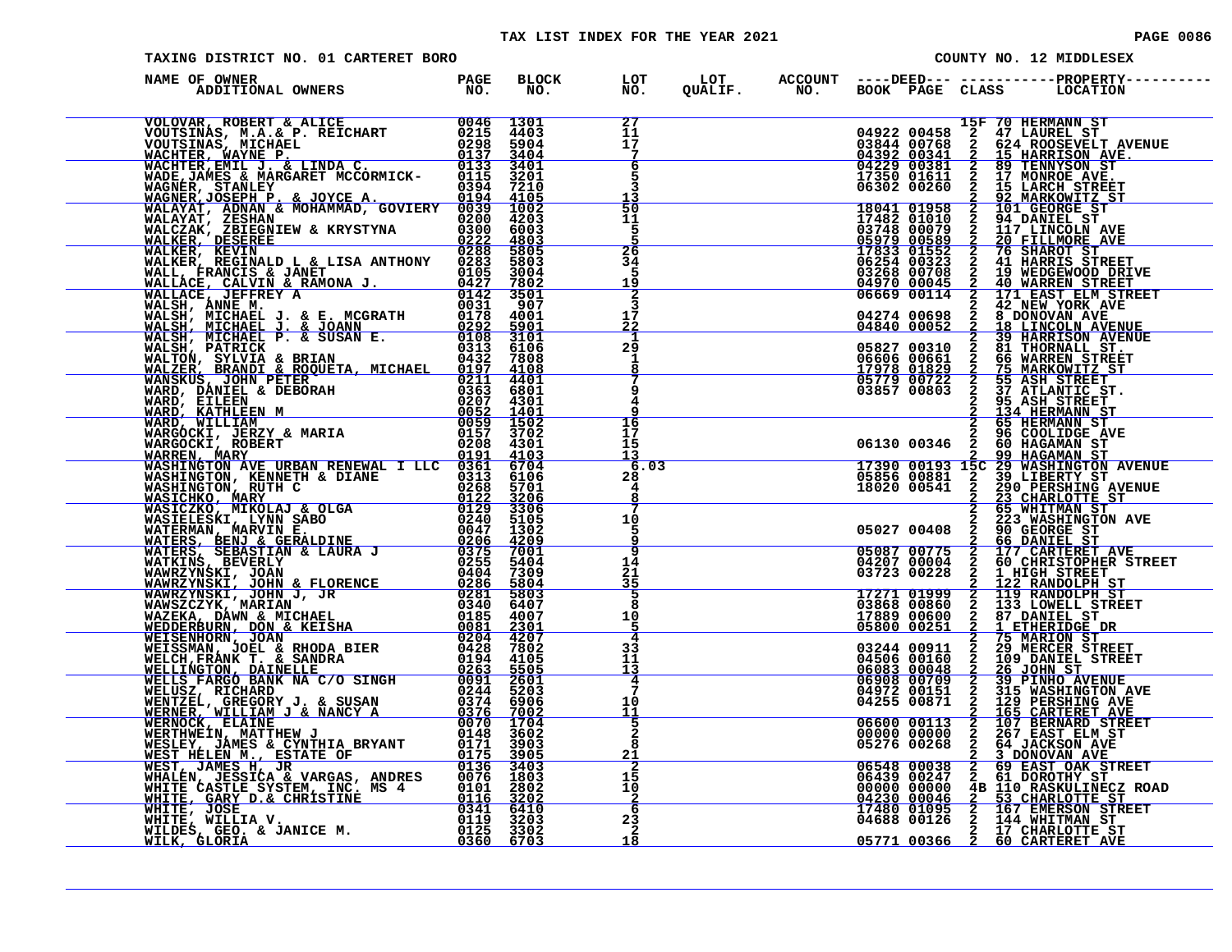#### TAX LIST INDEX FOR THE YEAR 2021 **PAGE 0086** PAGE 0086

| TAXING DISTRICT NO. 01 CARTERET BORO                                                                                                                                                                                          |  |                                         |  |                                   |  | COUNTY NO. 12 MIDDLESEX                                                                                                                                                                                                                                                                                                          |
|-------------------------------------------------------------------------------------------------------------------------------------------------------------------------------------------------------------------------------|--|-----------------------------------------|--|-----------------------------------|--|----------------------------------------------------------------------------------------------------------------------------------------------------------------------------------------------------------------------------------------------------------------------------------------------------------------------------------|
| )<br>De OWNER (DRIGHT OWNERS ) DAGE BLOCK (DRIGHT LOT ) ACCOUNT ----DEED--- ------------PROPERTY-----<br>ADDITIONAL(OWNERS ) NO , NO , NO , QUALIF , NO , BOOK PAGE CLASS (DCATION<br>NAME OF OWNER                           |  |                                         |  |                                   |  |                                                                                                                                                                                                                                                                                                                                  |
| NAME OF OWNER A MARIA CONTRACT A MARIA PROPERT AND CONTRACT CONTRACT CONTRACT CONTRACT CONTRACT CONTRACT CONTRACT CONTRACT CONTRACT CONTRACT CONTRACT CONTRACT CONTRACT CONTRACT CONTRACT CONTRACT CONTRACT CONTRACT CONTRACT |  | 27<br>11<br>ī7                          |  |                                   |  |                                                                                                                                                                                                                                                                                                                                  |
|                                                                                                                                                                                                                               |  | $\frac{17}{6}$<br>3<br>$\frac{13}{50}$  |  |                                   |  |                                                                                                                                                                                                                                                                                                                                  |
|                                                                                                                                                                                                                               |  | 11<br>$\frac{5}{5}$                     |  |                                   |  |                                                                                                                                                                                                                                                                                                                                  |
|                                                                                                                                                                                                                               |  | 26<br>34<br>5<br>19                     |  |                                   |  |                                                                                                                                                                                                                                                                                                                                  |
|                                                                                                                                                                                                                               |  | $\frac{2}{3}$<br>17<br>22<br>1          |  |                                   |  |                                                                                                                                                                                                                                                                                                                                  |
|                                                                                                                                                                                                                               |  | 29<br>$\frac{1}{8}$                     |  |                                   |  |                                                                                                                                                                                                                                                                                                                                  |
|                                                                                                                                                                                                                               |  | 9<br>4<br>16                            |  |                                   |  |                                                                                                                                                                                                                                                                                                                                  |
|                                                                                                                                                                                                                               |  | 17<br>īs<br>13<br>6.03                  |  |                                   |  |                                                                                                                                                                                                                                                                                                                                  |
|                                                                                                                                                                                                                               |  | 28<br>4                                 |  |                                   |  |                                                                                                                                                                                                                                                                                                                                  |
|                                                                                                                                                                                                                               |  | 10<br>-5<br>9<br>$\overline{9}$<br>14   |  |                                   |  |                                                                                                                                                                                                                                                                                                                                  |
|                                                                                                                                                                                                                               |  | $\frac{21}{35}$<br>$5\overline{}$<br>8  |  |                                   |  |                                                                                                                                                                                                                                                                                                                                  |
|                                                                                                                                                                                                                               |  | 10<br>5<br>$\overline{4}$<br>33         |  |                                   |  |                                                                                                                                                                                                                                                                                                                                  |
|                                                                                                                                                                                                                               |  | 11<br>13<br>4<br>7                      |  |                                   |  | $\begin{tabular}{c c c} $2$ & $24$ & $44$ & $44$ & $44$ & $44$ & $51$ \\ \hline 2 & $65$ & $45$ & $45$ & $45$ & $45$ & $45$ & $45$ & $45$ \\ \hline 17390 & 00193 & 2& $99$ & $436$ & $43$ & $51$ \\ \hline 17390 & 00193 & 152& 29& $436$ & $43$ & $51$ \\ \hline 5856 & 0081 & 2& 29& $15 \text{ERTY ST} & $51$ \\ \hline 180$ |
|                                                                                                                                                                                                                               |  | 10<br>11<br>$5\overline{}$<br>$\bar{2}$ |  | 06600 00113<br><u>ŎŎŎŎŎ ŎŎŌŌŎ</u> |  | 2 107 BERNARD STREET<br>2 267 EAST ELM ST<br>2 64 JACKSON AVE                                                                                                                                                                                                                                                                    |
|                                                                                                                                                                                                                               |  | $\bar{8}$<br>$\frac{21}{2}$<br>15<br>10 |  | 05276 00268                       |  | 052/6 00268 2 64 JACKSON AVE<br>06548 00038 2 69 EAST OAK STREET<br>06439 00247 2 61 DOROTHY ST<br>00000 00000 4B 110 RASKULINECZ ROAD<br>00000 00000 4B 110 RASKULINECZ ROAD<br>04230 00000 4B 15 CHARLOTTE ST<br>17480 01095 2 167 EMERS                                                                                       |
|                                                                                                                                                                                                                               |  | 2<br>-6<br>23                           |  |                                   |  |                                                                                                                                                                                                                                                                                                                                  |
|                                                                                                                                                                                                                               |  | $1\overline{8}$                         |  |                                   |  | 05771 00366 2 60 CARTERET AVE                                                                                                                                                                                                                                                                                                    |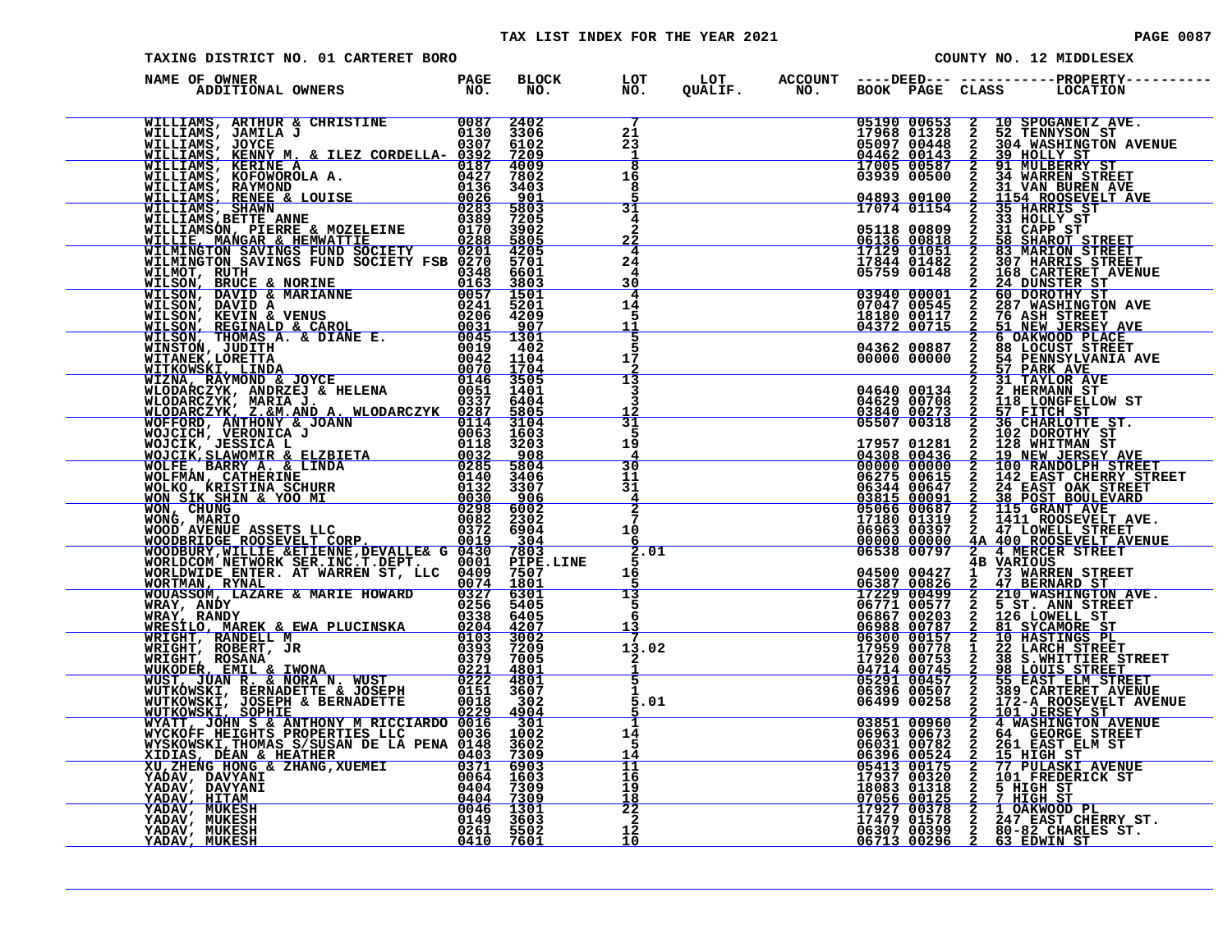#### TAX LIST INDEX FOR THE YEAR 2021 **PAGE 10087** PAGE 0087

| TAXING DISTRICT NO. 01 CARTERET BORO                                                                                                                                                                                                               |  |                                                 |  |             | COUNTY NO. 12 MIDDLESEX                                                                                                                                                                                                                     |
|----------------------------------------------------------------------------------------------------------------------------------------------------------------------------------------------------------------------------------------------------|--|-------------------------------------------------|--|-------------|---------------------------------------------------------------------------------------------------------------------------------------------------------------------------------------------------------------------------------------------|
| NAME OF OWNER                                                                                                                                                                                                                                      |  |                                                 |  |             |                                                                                                                                                                                                                                             |
| WILLIAMS, ARTHUR & CHRISTINE 0087 2402<br>WILLIAMS, JAMILA J<br>WILLIAMS, JOYCE 0307 6102<br>WILLIAMS, KENNY M. & ILEZ CORDELLA-0392 7209<br>WILLIAMS, KERINE A. 0427 7802<br>WILLIAMS, KOFOWOROLA A. 0427 7802<br>WILLIAMS, RAYMOND 0136          |  | $\frac{21}{23}$<br>1<br>$\overline{\mathbf{8}}$ |  |             | CUALIF. NO. BOOK PAGE CLASS LOCATION<br>19968 01523 2 10 SPOGMENT AVE.<br>19968 01523 2 2 10 SPOGMENT AVE.<br>19968 01523 2 2 12 TENNYSON ST.<br>19968 01523 2 32 TENNYSON ST.<br>19968 00152 2 31 NOLEERS ST.<br>19999 00150 2 2 31 NORE   |
|                                                                                                                                                                                                                                                    |  | 16<br>8<br>$\overline{31}$                      |  |             |                                                                                                                                                                                                                                             |
|                                                                                                                                                                                                                                                    |  | 4<br>$\mathbf{2}$<br><u>22</u>                  |  |             |                                                                                                                                                                                                                                             |
|                                                                                                                                                                                                                                                    |  | 4<br>24<br>4<br>30                              |  |             |                                                                                                                                                                                                                                             |
| WILMINGTON SAVINGS FUND SOCIETY FSB 42021<br>MILMINGTON SAVINGS FUND SOCIETY FSB 0270 5701<br>MILMINGTON SAVINGS FUND SOCIETY FSB 0270 5701<br>MILSON, BRUCE & NORINE 00157 158 66601<br>MILSON, REVIN & VENUS (0221 15201<br>MILSON, RE           |  | 4<br>14<br>5<br>11                              |  |             |                                                                                                                                                                                                                                             |
|                                                                                                                                                                                                                                                    |  | 5<br>$1\overline{5}$                            |  |             |                                                                                                                                                                                                                                             |
|                                                                                                                                                                                                                                                    |  | $\overline{13}$<br>3<br>3<br>$\frac{12}{31}$    |  |             |                                                                                                                                                                                                                                             |
|                                                                                                                                                                                                                                                    |  | 5<br>19<br>4                                    |  |             |                                                                                                                                                                                                                                             |
|                                                                                                                                                                                                                                                    |  | 30<br>11<br>31<br>$\overline{4}$                |  |             |                                                                                                                                                                                                                                             |
|                                                                                                                                                                                                                                                    |  | 10<br>- 6                                       |  |             |                                                                                                                                                                                                                                             |
|                                                                                                                                                                                                                                                    |  | 2.01<br>16<br>5                                 |  |             |                                                                                                                                                                                                                                             |
|                                                                                                                                                                                                                                                    |  | $\overline{13}$<br>5<br>6<br><u> 13</u>         |  |             |                                                                                                                                                                                                                                             |
|                                                                                                                                                                                                                                                    |  | 13.02<br>$\frac{2}{1}$                          |  |             | 04500 00427 1 73 WARTOUS<br>06387 00826 2 47 BERNARD STREET<br>17229 00499 2 210 WASHINGTON AVE.<br>06771 00577 2 5 ST. ANN STREET<br>06886 00787 2 11 SYCAMORE ST<br>06888 00787 2 11 SYCAMORE ST<br>06330 00157 2 10 HASTINGS PL<br>17920 |
|                                                                                                                                                                                                                                                    |  | 5.01                                            |  | 06396 00507 | $\begin{array}{c}\n\text{1} \\ \text{2} \\ \text{3} \\ \text{4}\n\end{array}$<br><b>98 LOUIS STREET<br/>55 EAST ELM STREET<br/>389 CARTERET AVENUE</b>                                                                                      |
| WRAY, ANDY<br>WRAY, ANDY<br>WRAY, ANDY<br>WRESILO, MAREK & EWA PLUCINSKA<br>WRESILO, MAREK & EWA PLUCINSKA<br>O103 3002<br>WRIGHT, ROBERT, JR<br>WRIGHT, ROBERT, JR<br>WRIGHT, ROBERT, JR<br>WIKODER, EMIL & IWONA<br>WUST, JUAN R. & NORA N. WUST |  | 1<br>14<br>5<br>14                              |  |             |                                                                                                                                                                                                                                             |
|                                                                                                                                                                                                                                                    |  | 11<br>16<br>19<br><u>18</u>                     |  |             |                                                                                                                                                                                                                                             |
| XU,ZHENG HUNG & ZHANG,AUERET 1603<br>YADAV, DAVYANI 19404 7309<br>YADAV, DAVYANI 19404 7309<br>YADAV, HITAM 19404 7309<br>YADAV, MUKESH 19404 7309<br>YADAV, MUKESH 1949 3603<br>YADAV, MUKESH 1949 3603<br>YADAV, MUKESH 1940 7601                |  | $\frac{22}{2}$<br>12<br>10                      |  |             | 06396 005507 2 389 CARTERET AVENUE<br>06499 00258 2 172-A ROOSEVELT AVENUE<br>06499 00258 2 172-A ROOSEVELT AVENUE<br>03851 00960 2 4 WASHINGTON AVENUE<br>06963 00673 2 64 GEORGE STREET<br>06396 00522 2 15 HIGH ST<br>06396 00524 2 15   |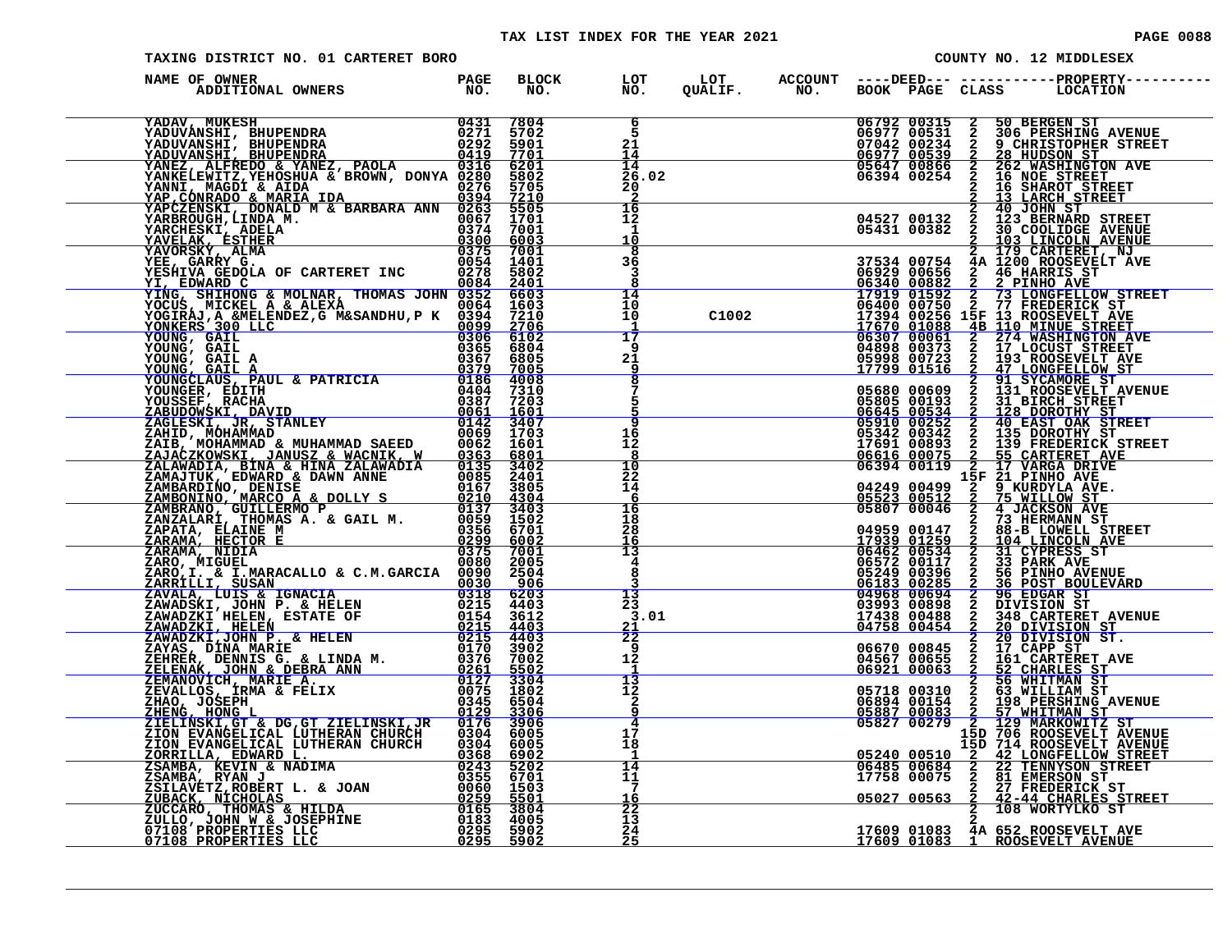| PAGE | 0088 |  |  |
|------|------|--|--|
|      |      |  |  |

| TAXING DISTRICT NO. 01 CARTERET BORO |  |                                               |       |  | COUNTY NO. 12 MIDDLESEX                                                                                                                                                                                                                                                             |
|--------------------------------------|--|-----------------------------------------------|-------|--|-------------------------------------------------------------------------------------------------------------------------------------------------------------------------------------------------------------------------------------------------------------------------------------|
| NAME OF OWNER                        |  |                                               |       |  |                                                                                                                                                                                                                                                                                     |
|                                      |  | 6<br>5<br>21<br>14<br>14<br>26.02<br>20       |       |  | NO. 2008 142 100 BEGER STREET 1799 01514 2 16 DENGE STREET 06342 00234 2 2 PIRE TREET 05341 00382 2 2 PIRE TREET 05341 00382 2 2 PIRE TREET 05340 00382 2 2 PIRE TREET 06340 00382 2 2 PIRE TREET 06400 00752 2 77 FREEDERING                                                       |
|                                      |  | 16<br>12<br>1<br>10<br>8                      |       |  |                                                                                                                                                                                                                                                                                     |
|                                      |  | 36<br>3<br>8<br>14                            |       |  |                                                                                                                                                                                                                                                                                     |
|                                      |  | 10<br>10<br>-1<br>$\overline{17}$<br>9        | C1002 |  |                                                                                                                                                                                                                                                                                     |
|                                      |  | 21<br>9<br>$\overline{\mathbf{8}}$            |       |  |                                                                                                                                                                                                                                                                                     |
|                                      |  | 16<br>12<br>8                                 |       |  |                                                                                                                                                                                                                                                                                     |
|                                      |  | 10<br>22<br>14<br>6                           |       |  |                                                                                                                                                                                                                                                                                     |
|                                      |  | 16<br>18<br>28<br>16<br>$\overline{13}$       |       |  |                                                                                                                                                                                                                                                                                     |
|                                      |  | $\overline{\mathbf{4}}$<br>8<br>13<br>23      |       |  |                                                                                                                                                                                                                                                                                     |
|                                      |  | 3.01<br>$\frac{21}{22}$<br>9                  |       |  |                                                                                                                                                                                                                                                                                     |
|                                      |  | 12<br>-1<br>$\frac{13}{12}$<br>$\overline{a}$ |       |  |                                                                                                                                                                                                                                                                                     |
|                                      |  | 4<br>$1\bar{7}$<br>18                         |       |  | $\begin{tabular}{c c c} 06394&00119&15&217&00000\\ 06394&00119&15&21&191NHO,NUE\\ 05823&00512&2&75&WILLOM ST\\ 05807&00046&2&4&JACKSON ANE\\ 05807&00046&2&4&JACKSON ANE\\ 05807&00046&2&4&JACKSON ANE\\ 04959&001259&2&104&LINCCIM ANE\\ 17939&01259&2&104&LINCCIM ANE\\ 06572&00$ |
|                                      |  | 1<br>14<br>11<br>7<br>16                      |       |  |                                                                                                                                                                                                                                                                                     |
|                                      |  | 22<br>13<br>$rac{24}{25}$                     |       |  | 17609 01083 4A 652 ROOSEVELT AVE<br>17609 01083 1 ROOSEVELT AVENUE                                                                                                                                                                                                                  |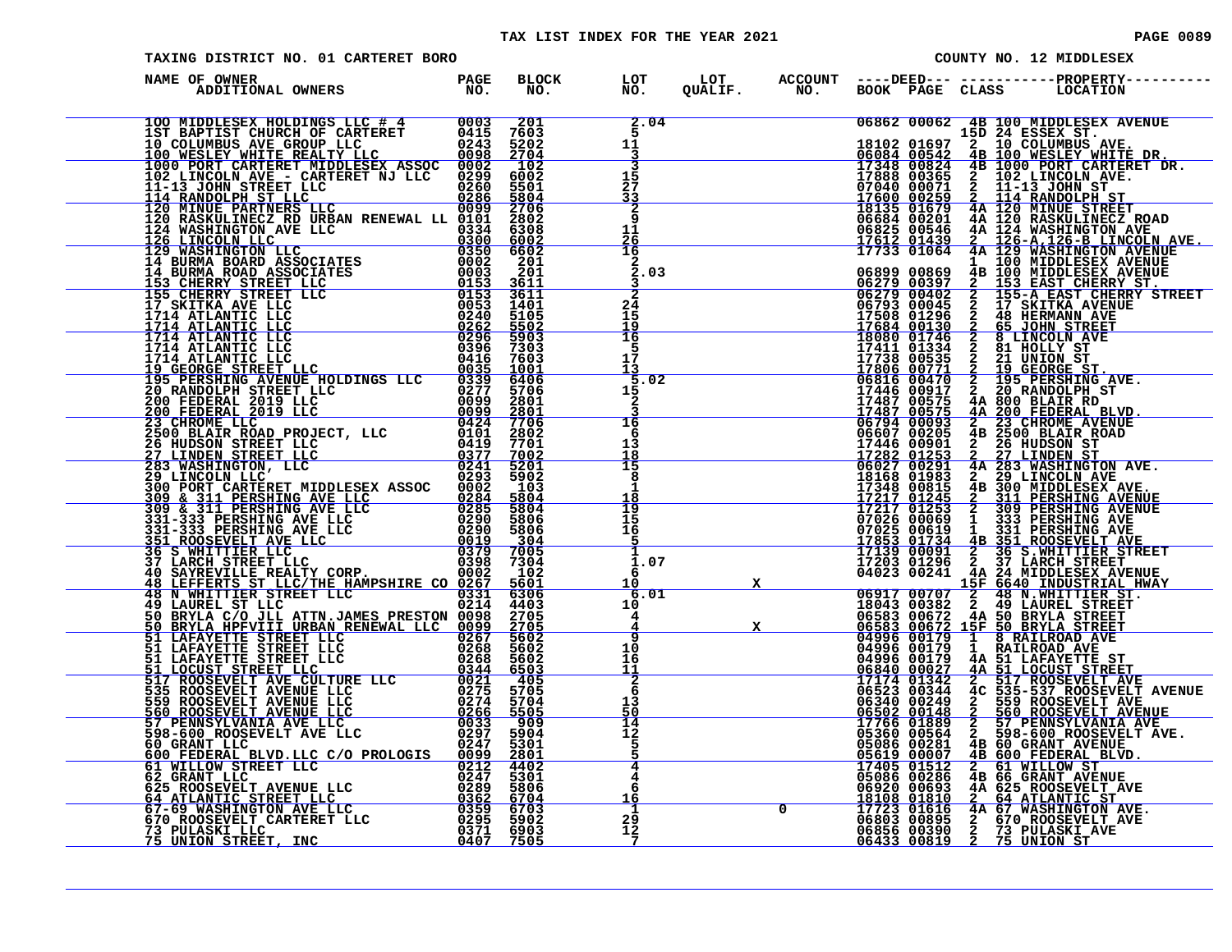| PAGE 008 |  |  |
|----------|--|--|
|----------|--|--|

| TAXING DISTRICT NO. 01 CARTERET BORO                                                                                                                                                                                                                                                 |  |  |  |  | COUNTY NO. 12 MIDDLESEX                                                                                                                                                                                                                    |
|--------------------------------------------------------------------------------------------------------------------------------------------------------------------------------------------------------------------------------------------------------------------------------------|--|--|--|--|--------------------------------------------------------------------------------------------------------------------------------------------------------------------------------------------------------------------------------------------|
| F OWNER<br>ADDITIONAL OWNERS TO NO.<br>NAME OF OWNER<br>ильне от соотневы использование с 1948 - 1942 - 1942 - 1942 - 1942 - 1942 - 1942 - 1942 - 1942 - 1942 - 1942 - 1942 - 1942 - 1942 - 1942 - 1942 - 1942 - 1942 - 1942 - 1942 - 1942 - 1942 - 1942 - 1942 - 1942 - 1942 - 1942 |  |  |  |  | BLOCK LOT LOT ACCOUNT ----DEED--- -----------PROPERTY-----<br>NO. NO. QUALIF. NO. BOOK PAGE CLASS LOCATION                                                                                                                                 |
|                                                                                                                                                                                                                                                                                      |  |  |  |  | CONTRELET AND MONETAIRE CLASS CONTROL CONTROL CONTROL CONTROL CONTROL CONTROL CONTROL CONTROL CONTROL CONTROL CONTROL CONTROL CONTROL CONTROL CONTROL CONTROL CONTROL CONTROL CONTROL CONTROL CONTROL CONTROL CONTROL CONTROL              |
|                                                                                                                                                                                                                                                                                      |  |  |  |  |                                                                                                                                                                                                                                            |
|                                                                                                                                                                                                                                                                                      |  |  |  |  |                                                                                                                                                                                                                                            |
|                                                                                                                                                                                                                                                                                      |  |  |  |  |                                                                                                                                                                                                                                            |
|                                                                                                                                                                                                                                                                                      |  |  |  |  |                                                                                                                                                                                                                                            |
|                                                                                                                                                                                                                                                                                      |  |  |  |  |                                                                                                                                                                                                                                            |
|                                                                                                                                                                                                                                                                                      |  |  |  |  |                                                                                                                                                                                                                                            |
|                                                                                                                                                                                                                                                                                      |  |  |  |  |                                                                                                                                                                                                                                            |
|                                                                                                                                                                                                                                                                                      |  |  |  |  |                                                                                                                                                                                                                                            |
|                                                                                                                                                                                                                                                                                      |  |  |  |  |                                                                                                                                                                                                                                            |
|                                                                                                                                                                                                                                                                                      |  |  |  |  |                                                                                                                                                                                                                                            |
|                                                                                                                                                                                                                                                                                      |  |  |  |  |                                                                                                                                                                                                                                            |
|                                                                                                                                                                                                                                                                                      |  |  |  |  |                                                                                                                                                                                                                                            |
|                                                                                                                                                                                                                                                                                      |  |  |  |  |                                                                                                                                                                                                                                            |
|                                                                                                                                                                                                                                                                                      |  |  |  |  |                                                                                                                                                                                                                                            |
|                                                                                                                                                                                                                                                                                      |  |  |  |  |                                                                                                                                                                                                                                            |
|                                                                                                                                                                                                                                                                                      |  |  |  |  | 06340 00344 4C 5359 ROGEVELT AVENUE<br>06502 00148 2 559 ROGEVELT AVENUE<br>17766 01889 2 57 PENNSYLVANIA AVE<br>0502 00148 2 560 ROGEVELT AVENUE<br>17766 01889 2 57 PENNSYLVANIA AVE<br>05086 00264 4B 60 GRANT AVENUE<br>05619 00007 4B |
|                                                                                                                                                                                                                                                                                      |  |  |  |  | 17495 01512 2 61 WILLOW STRAIN AVENUE<br>06920 00693 4A 625 ROOSEVELT AVE<br>18108 01810 2 64 ATLANTIC ST<br>17723 01616 4A 67 WASHINGTON AVE.<br>06856 00390 2 673 PULASKI AVE<br>06856 00390 2 73 PULASKI AVE<br>06433 00819 2 75 UNION  |
| 73 PULASKI LLC<br>75 UNION STREET, INC                                                                                                                                                                                                                                               |  |  |  |  |                                                                                                                                                                                                                                            |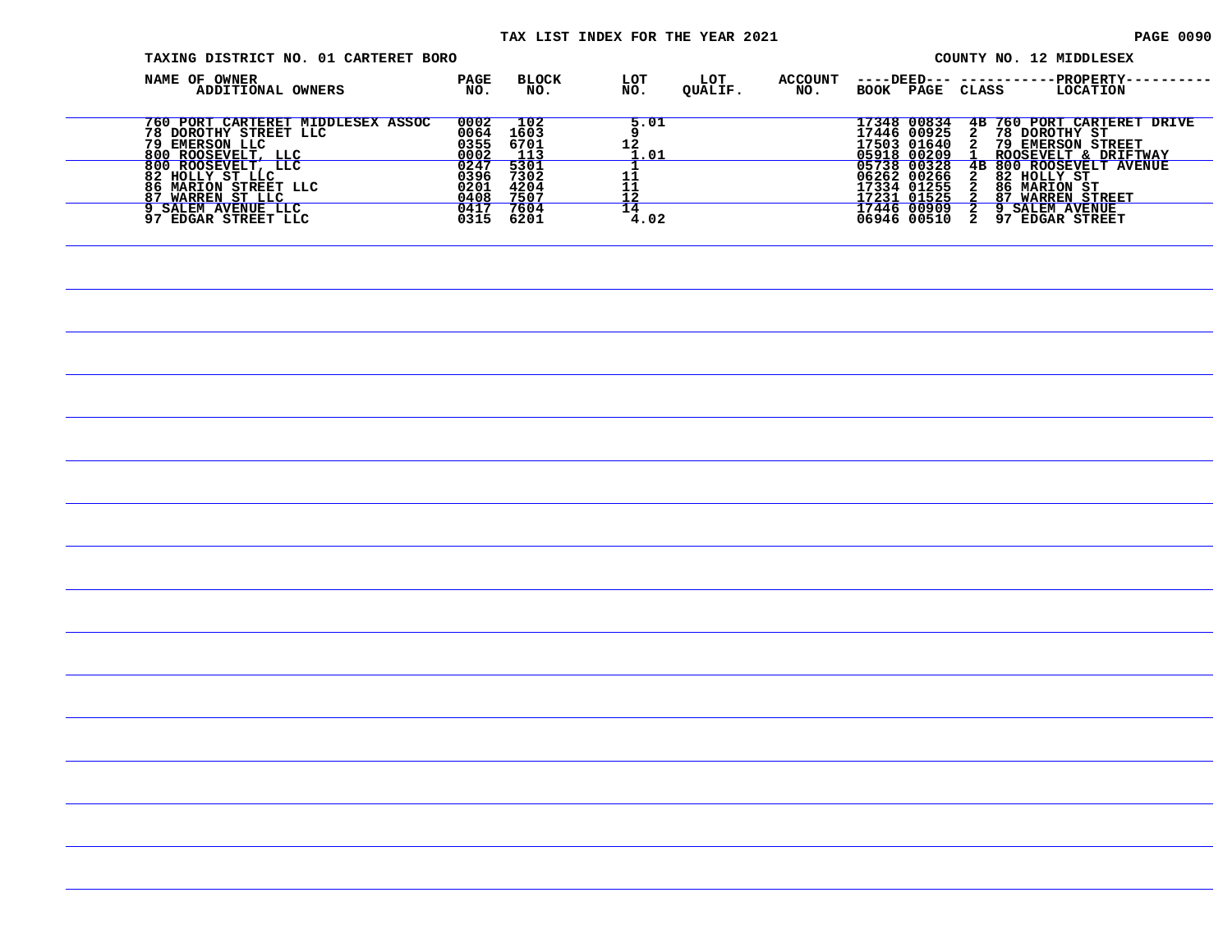| TAXING DISTRICT NO. 01 CARTERET BORO                                                               |                              |                              |                       |                |                       |                                                          |                      | COUNTY NO. 12 MIDDLESEX                                                                    |
|----------------------------------------------------------------------------------------------------|------------------------------|------------------------------|-----------------------|----------------|-----------------------|----------------------------------------------------------|----------------------|--------------------------------------------------------------------------------------------|
| NAME OF OWNER<br>ADDITIONAL OWNERS                                                                 | PAGE<br>NO.                  | BLOCK<br>NO.                 | LOT<br>NO.            | LOT<br>QUALIF. | <b>ACCOUNT</b><br>NO. | BOOK PAGE CLASS                                          | ----DEED--- -------- | -PROPERTY-<br>LOCATION                                                                     |
| 760 PORT CARTERET MIDDLESEX ASSOC<br>78 DOROTHY STREET LLC<br>79 EMERSON LLC<br>800 ROOSEVELT, LLC | 0002<br>0064<br>0355<br>0002 | 102<br>1603<br>6701<br>113   | 5.01<br>12<br>1.01    |                |                       | 17348 00834<br>17446 00925<br>17503 01640<br>05918 00209 | 2                    | 4B 760 PORT CARTERET DRIVE<br>78 DOROTHY ST<br>2 79 EMERSON STREET<br>ROOSEVELT & DRIFTWAY |
| 800 ROOSEVELT, LLC<br>82 HOLLY ST LLC<br>86 MARION STREET LLC<br>87 WARREN ST LLC                  | 0247<br>0396<br>0201<br>0408 | 5301<br>7302<br>4204<br>7507 | 11<br>$\frac{11}{12}$ |                |                       | 05738 00328<br>06262 00266<br>17334 01255<br>17231 01525 | 4B<br>2<br>2         | 800 ROOSEVELT AVENUE<br>82 HOLLY ST<br><b>86 MARION ST</b><br><b>87 WARREN STREET</b>      |
| 9 SALEM AVENUE LLC<br>97 EDGAR STREET LLC                                                          | 0417<br>0315                 | 7604<br>6201                 | 14<br>4.02            |                |                       | 17446 00909<br>06946 00510                               | 2                    | 2 9 SALEM AVENUE<br>97 EDGAR STREET                                                        |
|                                                                                                    |                              |                              |                       |                |                       |                                                          |                      |                                                                                            |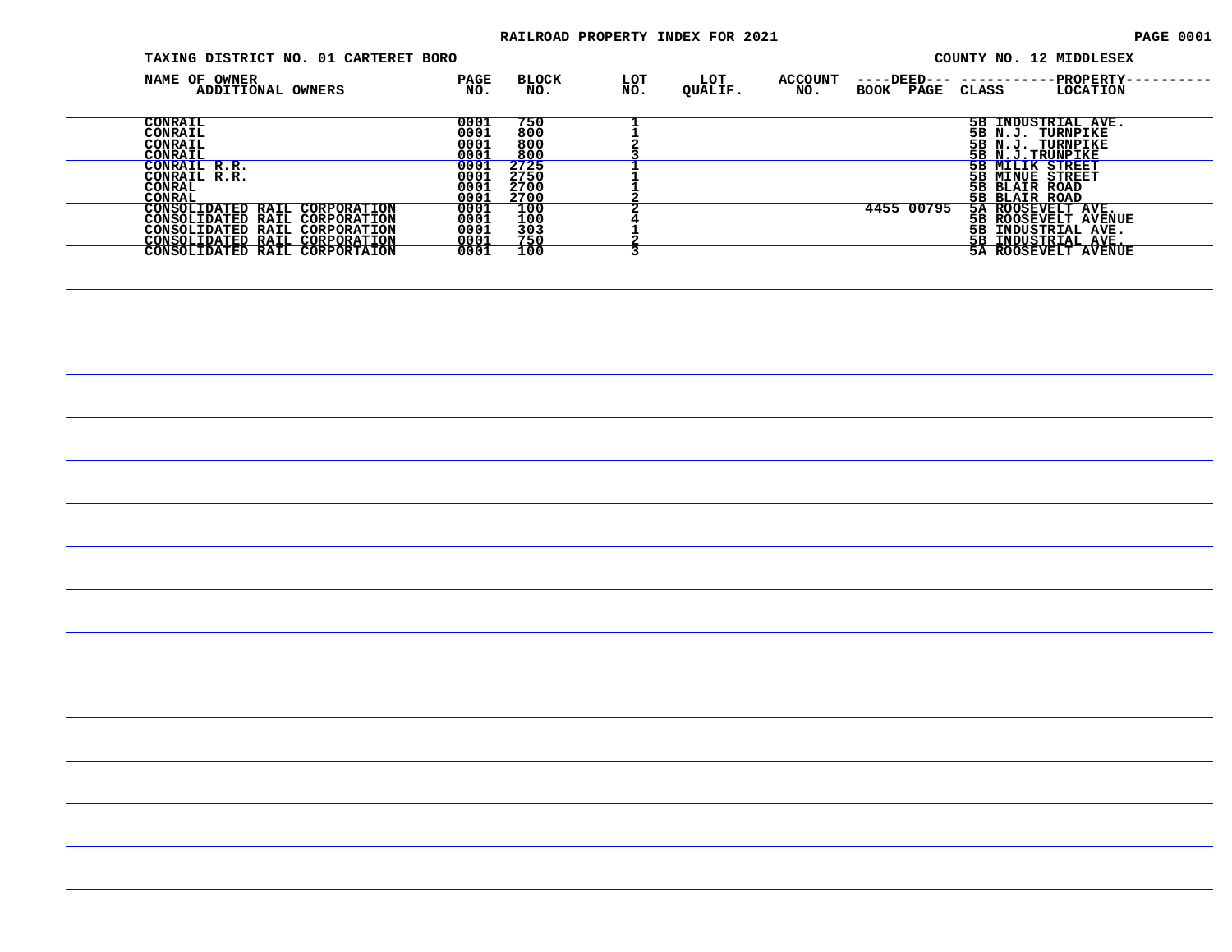#### RAILROAD PROPERTY INDEX FOR 2021 **PAGE 0001** PAGE 0001

| TAXING DISTRICT NO. 01 CARTERET BORO                                                                                             |                              |                              |            |                |                       | COUNTY NO. 12 MIDDLESEX                                                                            |
|----------------------------------------------------------------------------------------------------------------------------------|------------------------------|------------------------------|------------|----------------|-----------------------|----------------------------------------------------------------------------------------------------|
| NAME OF OWNER<br>ADDITIONAL OWNERS                                                                                               | PAGE<br>NO.                  | <b>BLOCK</b><br>NO.          | LOT<br>NO. | LOT<br>QUALIF. | <b>ACCOUNT</b><br>NO. | <b>PROPERTY-</b><br>$---$ DEED $---$<br>BOOK PAGE CLASS<br>LOCATION                                |
| <b>CONRAIL</b><br>CONRAIL<br>CONRAIL<br>CONRAIL                                                                                  | 0001<br>0001<br>0001<br>0001 | 750<br>800<br>800<br>800     |            |                |                       | 5B INDUSTRIAL AVE.<br>5B N.J. TURNPIKE<br>5B N.J. TURNPIKE<br>5B N.J.TRUNPIKE                      |
| CONRAIL R.R.<br>CONRAIL R.R.<br>CONRAL<br>CONRAL                                                                                 | 0001<br>0001<br>0001<br>0001 | 2725<br>2750<br>2700<br>2700 |            |                |                       | 5B MILIK STREET<br>5B MINUE STREET<br>5B BLAIR ROAD<br>5B BLAIR ROAD                               |
| CONSOLIDATED RAIL CORPORATION<br>CONSOLIDATED RAIL CORPORATION<br>CONSOLIDATED RAIL CORPORATION<br>CONSOLIDATED RAIL CORPORATION | 0001<br>0001<br>0001<br>0001 | 100<br>100<br>303<br>750     |            |                |                       | 4455 00795<br>5A ROOSEVELT AVE.<br>5B ROOSEVELT AVENUE<br>5B INDUSTRIAL AVE.<br>5B INDUSTRIAL AVE. |
| CONSOLIDATED RAIL CORPORTAION                                                                                                    | 0001                         | 100                          |            |                |                       | 5A ROOSEVELT AVENUE                                                                                |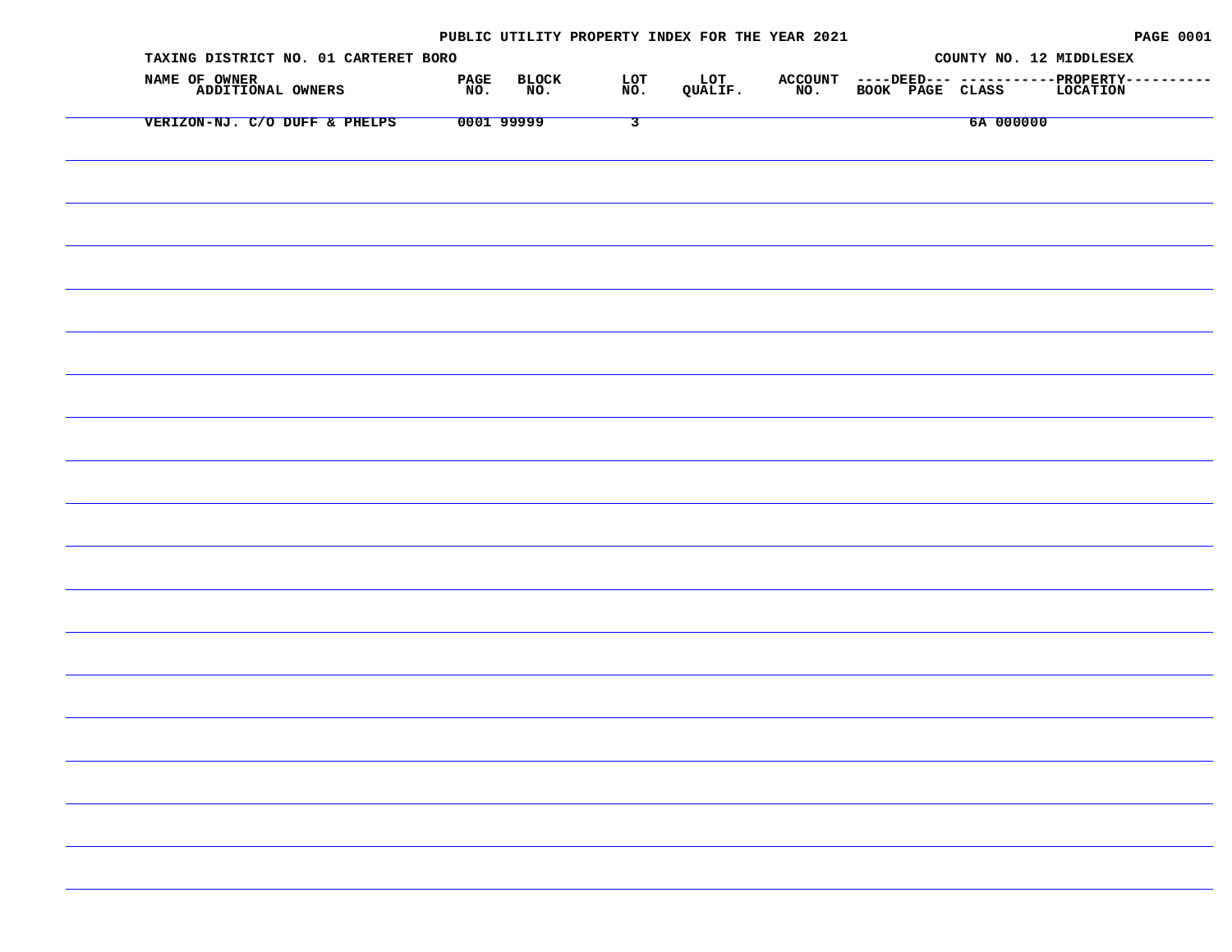| TAXING DISTRICT NO. 01 CARTERET BORO |                             |                              | COUNTY NO. 12 MIDDLESEX                                                                                                                                                       |
|--------------------------------------|-----------------------------|------------------------------|-------------------------------------------------------------------------------------------------------------------------------------------------------------------------------|
| NAME OF OWNER<br>ADDITIONAL OWNERS   | BLOCK<br>NO.<br>PAGE<br>NO. | LOT<br>NO.<br>LOT<br>QUALIF. | ${\tt ACCOUNT} \quad {\tt --- DEED---} \quad {\tt ---}-{\tt ---}-{\tt PROPERTIESTY------}-{\tt NO.} \quad {\tt BOOK} \quad {\tt PAGE} \quad {\tt CLASS} \quad {\tt LOCATION}$ |
| VERIZON-NJ. C/O DUFF & PHELPS        | 0001 99999                  | $\overline{\mathbf{3}}$      | 6A 000000                                                                                                                                                                     |
|                                      |                             |                              |                                                                                                                                                                               |
|                                      |                             |                              |                                                                                                                                                                               |
|                                      |                             |                              |                                                                                                                                                                               |
|                                      |                             |                              |                                                                                                                                                                               |
|                                      |                             |                              |                                                                                                                                                                               |
|                                      |                             |                              |                                                                                                                                                                               |
|                                      |                             |                              |                                                                                                                                                                               |
|                                      |                             |                              |                                                                                                                                                                               |
|                                      |                             |                              |                                                                                                                                                                               |
|                                      |                             |                              |                                                                                                                                                                               |
|                                      |                             |                              |                                                                                                                                                                               |
|                                      |                             |                              |                                                                                                                                                                               |
|                                      |                             |                              |                                                                                                                                                                               |
|                                      |                             |                              |                                                                                                                                                                               |
|                                      |                             |                              |                                                                                                                                                                               |
|                                      |                             |                              |                                                                                                                                                                               |
|                                      |                             |                              |                                                                                                                                                                               |
|                                      |                             |                              |                                                                                                                                                                               |
|                                      |                             |                              |                                                                                                                                                                               |
|                                      |                             |                              |                                                                                                                                                                               |
|                                      |                             |                              |                                                                                                                                                                               |
|                                      |                             |                              |                                                                                                                                                                               |
|                                      |                             |                              |                                                                                                                                                                               |
|                                      |                             |                              |                                                                                                                                                                               |
|                                      |                             |                              |                                                                                                                                                                               |
|                                      |                             |                              |                                                                                                                                                                               |
|                                      |                             |                              |                                                                                                                                                                               |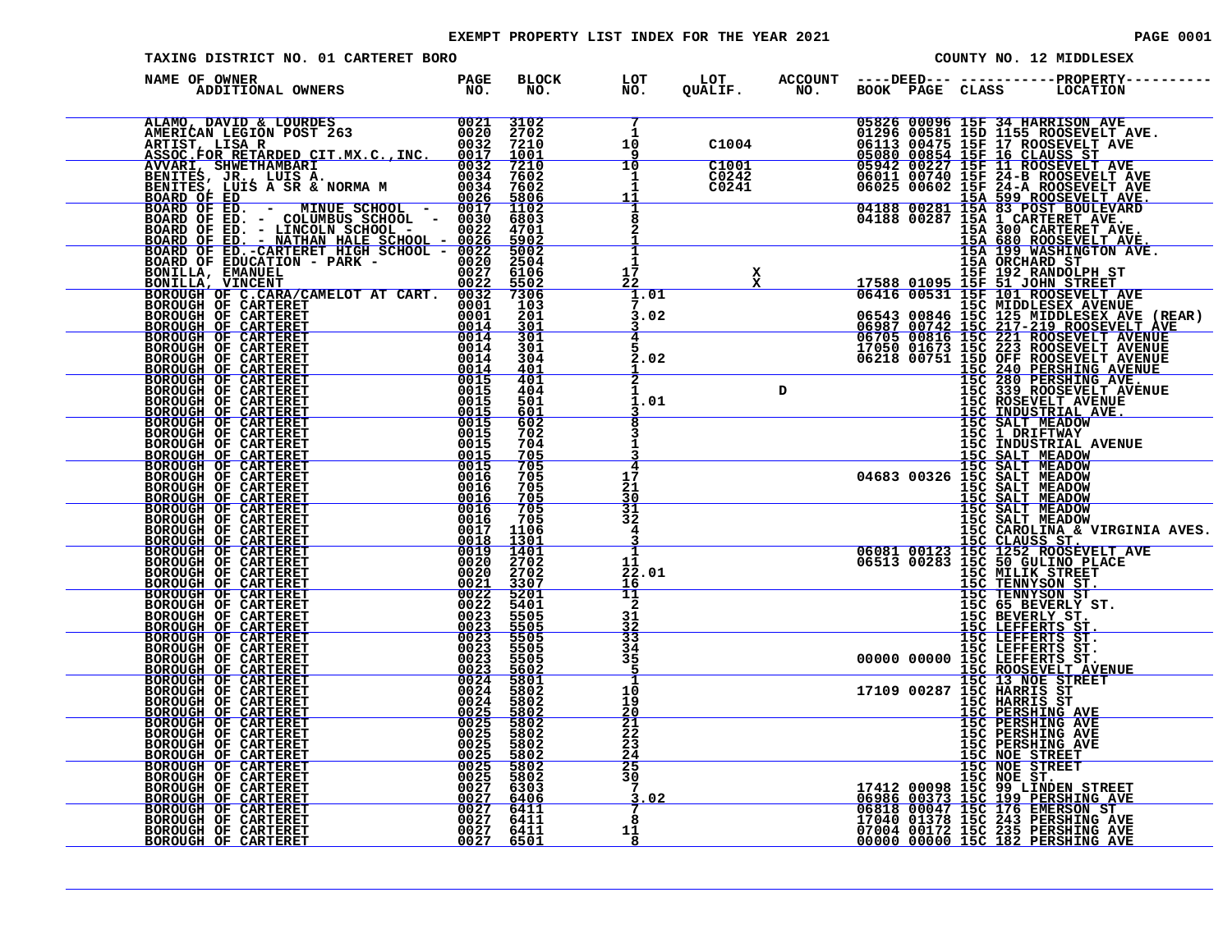#### EXEMPT PROPERTY LIST INDEX FOR THE YEAR 2021 **PAGE 10001** PAGE 0001

| TAXING DISTRICT NO. 01 CARTERET BORO                                                                                                                                                                                                                                                                                                                                                                        |              |                                        |                                          |  |                                                                                                                                                                                                                                               |                                                                                                                                                                  | COUNTY NO. 12 MIDDLESEX                                                                                                                                                                                                                    |
|-------------------------------------------------------------------------------------------------------------------------------------------------------------------------------------------------------------------------------------------------------------------------------------------------------------------------------------------------------------------------------------------------------------|--------------|----------------------------------------|------------------------------------------|--|-----------------------------------------------------------------------------------------------------------------------------------------------------------------------------------------------------------------------------------------------|------------------------------------------------------------------------------------------------------------------------------------------------------------------|--------------------------------------------------------------------------------------------------------------------------------------------------------------------------------------------------------------------------------------------|
| NAME OF OWNER                                                                                                                                                                                                                                                                                                                                                                                               |              |                                        |                                          |  |                                                                                                                                                                                                                                               |                                                                                                                                                                  |                                                                                                                                                                                                                                            |
| ALAMO, DAVID & LOURDES<br>AMERICAN LEGION POST 263<br>ARTIST, LISA R<br>ASSOC.FOR RETARDED CIT.MX.C.,INC. 0032 7210<br>ASSOC.FOR RETARDED CIT.MX.C.,INC. 0017 1001<br>AVVARI, SHWETHAMBARI<br>BENITES, JULIS A. NORMA M<br>00334 76022<br>BENI                                                                                                                                                              |              |                                        |                                          |  | 05826 00096 15F 34 HARRISON AVE                                                                                                                                                                                                               |                                                                                                                                                                  |                                                                                                                                                                                                                                            |
|                                                                                                                                                                                                                                                                                                                                                                                                             |              |                                        |                                          |  |                                                                                                                                                                                                                                               |                                                                                                                                                                  |                                                                                                                                                                                                                                            |
|                                                                                                                                                                                                                                                                                                                                                                                                             |              |                                        |                                          |  |                                                                                                                                                                                                                                               |                                                                                                                                                                  |                                                                                                                                                                                                                                            |
|                                                                                                                                                                                                                                                                                                                                                                                                             |              |                                        | 17<br>22                                 |  |                                                                                                                                                                                                                                               |                                                                                                                                                                  |                                                                                                                                                                                                                                            |
|                                                                                                                                                                                                                                                                                                                                                                                                             |              |                                        | 1.01<br>3.02                             |  |                                                                                                                                                                                                                                               |                                                                                                                                                                  |                                                                                                                                                                                                                                            |
| $\frac{0.0014}{0.014}$<br>BOROUGH OF CARTERET<br>BOROUGH OF CARTERET<br>BOROUGH OF CARTERET<br>BOROUGH OF CARTERET<br>BOROUGH OF CARTERET<br>BOROUGH OF CARTERET<br>BOROUGH OF CARTERET                                                                                                                                                                                                                     | 0014<br>0014 | $\frac{301}{301}$<br>301<br>304<br>401 | 2.02                                     |  |                                                                                                                                                                                                                                               |                                                                                                                                                                  | 152 06218 01095 15F 192 RANDOLPH ST<br>157 15F 192 RANDOLPH ST<br>06416 00531 15F 101 ROOSEVELT AVE<br>06543 00846 15C 125 MIDDLESEX AVENDE<br>06587 00742 15C 217-219 ROOSEVELT AVE<br>06987 00742 15C 221 ROOSEVELT AVENUE<br>06970 0074 |
| $\begin{array}{r} 0\,0\,1\,4 \ 0\,0\,1\,4 \ 0\,0\,1\,4 \ 0\,0\,1\,4 \ 0\,0\,1\,1\,4 \ 0\,0\,0\,1\,4 \ 0\,0\,0\,1\,5 \ 0\,0\,0\,1\,5 \ 0\,0\,0\,1\,5 \ 0\,0\,0\,1\,5 \end{array}$<br>BOROUGH OF CARTERET<br>BOROUGH OF CARTERET<br>BOROUGH OF CARTERET                                                                                                                                                       |              | 401<br>404<br>501<br>601               | $\overline{2}$<br>1<br>1.01              |  |                                                                                                                                                                                                                                               |                                                                                                                                                                  |                                                                                                                                                                                                                                            |
| BOROUGH OF CARTERET<br>BOROUGH OF CARTERET<br>$\begin{array}{r} 0015 \ -0015 \ -0015 \ -0015 \ -0015 \ -0015 \end{array}$                                                                                                                                                                                                                                                                                   | 0015         | 602<br>702<br>704<br>705               |                                          |  |                                                                                                                                                                                                                                               |                                                                                                                                                                  | 15C 1 DRIFTWAY<br>15C INDUSTRIAL AVENUE                                                                                                                                                                                                    |
| BOROUGH OF CARTERET<br>BOROUGH OF CARTERET<br>BOROUGH OF CARTERET<br>BOROUGH OF CARTERET<br>BOROUGH OF CARTERET                                                                                                                                                                                                                                                                                             | 0016         | 705<br>705                             | 17<br>21<br>30                           |  | 15C SALT MEADOW<br>15C SALT MEADOW<br>15C SALT MEADOW<br>04683 00326 15C SALT MEADOW<br>15C SALT MEADOW<br>15C SALT MEADOW                                                                                                                    |                                                                                                                                                                  |                                                                                                                                                                                                                                            |
| $\begin{array}{r rrrr} & & & 0016 & & 705 \\ \hline & & 0016 & & 705 \\ \hline & & 0016 & & 705 \\ & & 0016 & & 705 \\ & & 0017 & & 1106 \\ & & & 1300 \\ \end{array}$<br>BOROUGH OF CARTERET<br>BOROUGH OF CARTERET<br>BOROUGH OF CARTERET                                                                                                                                                                 |              |                                        | 31<br>32<br>4                            |  |                                                                                                                                                                                                                                               |                                                                                                                                                                  | <b>15C SALT MEADOW<br/>15C SALT MEADOW<br/>15C CAROLINA &amp; VIRGINIA AVES.</b>                                                                                                                                                           |
| BOROUGH OF CARTERET BOROUGH OF CARTERET<br>BOROUGH OF CARTERET<br>BOROUGH OF CARTERET<br>BOROUGH OF CARTERET                                                                                                                                                                                                                                                                                                |              |                                        | п.<br>11<br>22.01<br>16                  |  |                                                                                                                                                                                                                                               |                                                                                                                                                                  | 15C CAROLINA & VIRGINIA<br>06081 00123 15C CLAUSS ST.<br>06081 00123 15C 1252 ROOSEVELT AVE<br>06513 00283 15C 50 GULINO PLACE<br>15C TENNYSON ST.<br>15C TENNYSON ST.<br>15C TENNYSON ST.<br>15C 5BEVERLY ST.                             |
| BOROUGH OF CARTERET BOROUGH OF CARTERET                                                                                                                                                                                                                                                                                                                                                                     |              |                                        | 11<br>2<br>31                            |  |                                                                                                                                                                                                                                               | 15C BEVERLY ST.<br>15C LEFFERTS ST.<br>15C LEFFERTS ST.                                                                                                          |                                                                                                                                                                                                                                            |
| BOROUGH OF CARTERET<br>BOROUGH OF CARTERET<br>BOROUGH OF CARTERET<br>BOROUGH OF CARTERET<br>BOROUGH OF CARTERET                                                                                                                                                                                                                                                                                             |              |                                        | $\frac{32}{33}$<br>34<br>35              |  | 15C LEFFERTS ST.<br>.00000 00000 15C LEFFERTS ST.<br>.00000 00000 15C LEFFERTS ST.                                                                                                                                                            |                                                                                                                                                                  |                                                                                                                                                                                                                                            |
| BOROUGH OF CARTERET<br>BOROUGH OF CARTERET<br>BOROUGH OF CARTERET<br>BOROUGH OF CARTERET BOROUGH OF CARTERET                                                                                                                                                                                                                                                                                                |              |                                        | 1<br>10<br>19<br>20                      |  | 17109 00287 15C ROOSEVELT AVENUE<br>15C 13 NOE STREET<br>17109 00287 15C HARRIS ST                                                                                                                                                            |                                                                                                                                                                  |                                                                                                                                                                                                                                            |
| $\begin{array}{r} 0016 & 705 \\ 0016 & 705 \\ 0017 & 1106 \\ 0017 & 1401 \\ 0018 & 1301 \\ 0019 & 1401 \\ 0020 & 2702 \\ 00220 & 2702 \\ 00221 & 3307 \\ 00222 & 5401 \\ 00222 & 5401 \\ 00223 & 55005 \\ 00233 & 55005 \\ 00233 & 55005 \\ 00233 & 55005 \\ 0024 & 58002 \\ 0024 & 580$<br>BOROUGH OF CARTERET<br>BOROUGH OF CARTERET<br>BOROUGH OF CARTERET<br>BOROUGH OF CARTERET<br>BOROUGH OF CARTERET |              |                                        | $\frac{21}{22}$<br>23<br>$\frac{24}{25}$ |  |                                                                                                                                                                                                                                               | <b>15C HARRIS ST<br/>15C PERSHING AVE<br/>15C PERSHING AVE<br/>15C PERSHING AVE<br/>15C PERSHING AVE</b><br>15C PERSHING AVE<br>15C NOE STREET<br>15C NOE STREET |                                                                                                                                                                                                                                            |
| $\begin{array}{r} 0025 \\ 0025 \\ 0025 \\ 0025 \\ 0025 \\ 0025 \\ 0025 \\ 0025 \\ 0027 \\ 6302 \\ 0027 \\ 6406 \\ 0027 \\ 6411 \\ 0027 \\ 6411 \\ 0027 \\ 6411 \\ 0027 \\ 6411 \\ 0027 \\ 6501 \end{array}$<br>BOROUGH OF CARTERET BOROUGH OF CARTERET                                                                                                                                                      |              |                                        | 30<br>3.02                               |  |                                                                                                                                                                                                                                               |                                                                                                                                                                  |                                                                                                                                                                                                                                            |
| BOROUGH OF CARTERET BOROUGH OF CARTERET<br>BOROUGH OF CARTERET BOROUGH OF CARTERET                                                                                                                                                                                                                                                                                                                          |              |                                        | 8<br>11                                  |  | 17412 00098 15C NOE ST.<br>17412 00098 15C 99 LINDEN STREET<br>06986 00373 15C 199 PERSHING AVE<br>06818 00047 15C 176 EMERSON ST<br>17040 01372 15C 235 PERSHING AVE<br>00000 00000 15C 182 PERSHING AVE<br>00000 00000 15C 182 PERSHING AVE |                                                                                                                                                                  |                                                                                                                                                                                                                                            |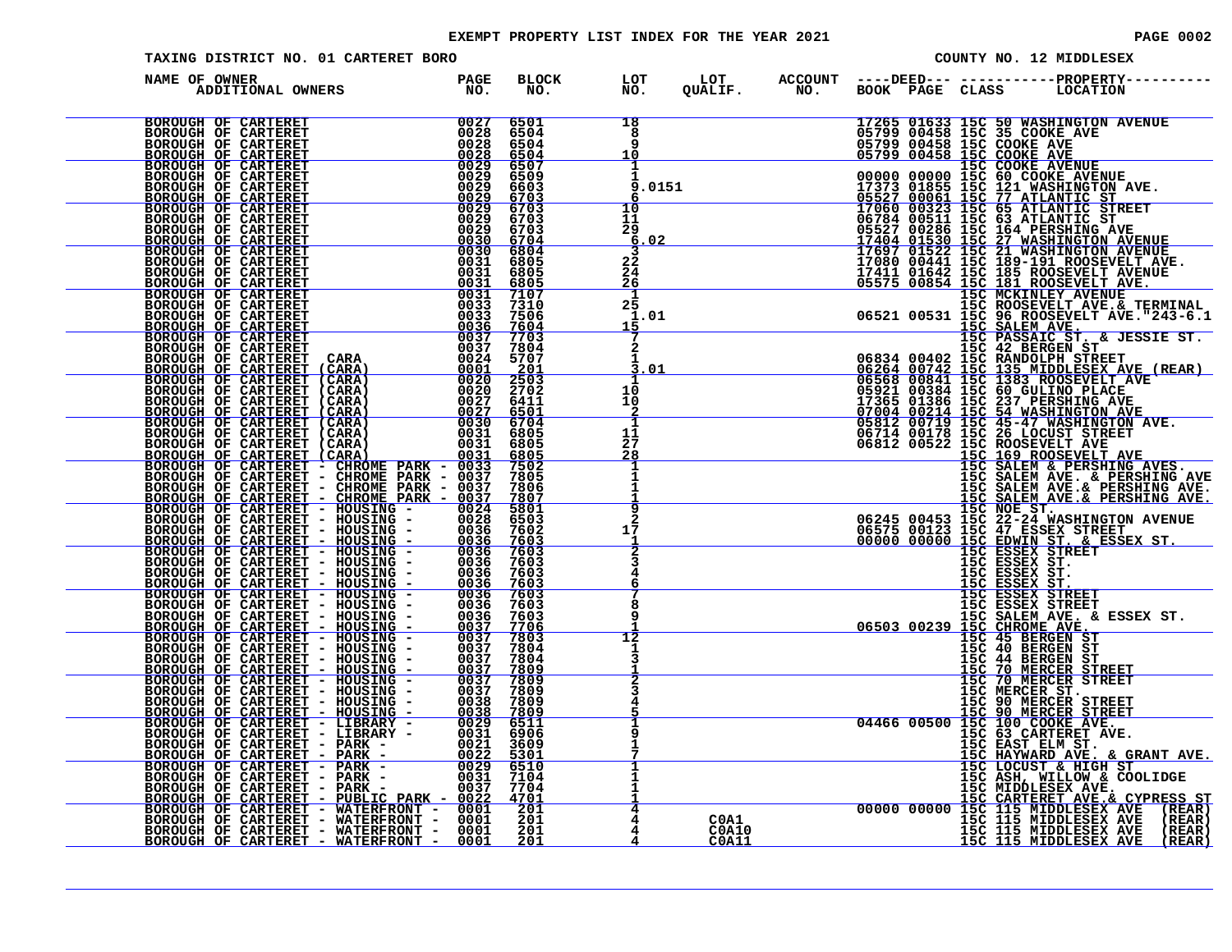#### EXEMPT PROPERTY LIST INDEX FOR THE YEAR 2021 **PAGE 10002** PAGE 0002

| TAXING DISTRICT NO. 01 CARTERET BORO                                                                                                                                                                                                    |  |                                                                                                          |  | COUNTY NO. 12 MIDDLESEX                                                                                                                                                                                                                       |
|-----------------------------------------------------------------------------------------------------------------------------------------------------------------------------------------------------------------------------------------|--|----------------------------------------------------------------------------------------------------------|--|-----------------------------------------------------------------------------------------------------------------------------------------------------------------------------------------------------------------------------------------------|
| NAME OF OWNER<br>PAGE<br>NO .<br>ADDITIONAL OWNERS                                                                                                                                                                                      |  | BLOCK LOT LOT ACCOUNT ----DEED--- -----------PROPERTY---<br>NO. NO. QUALIF. NO. BOOK PAGE CLASS LOCATION |  |                                                                                                                                                                                                                                               |
| NAME OF OWNER AND FROM PROPERTY CAR PROPIES (2013)<br>BOROUGH OF CARTERET (2013) 2014 2013)<br>BOROUGH OF CARTERET (2013) 2014 2013)<br>BOROUGH OF CARTERET (2013) 2014 2013)<br>BOROUGH OF CARTERET (2013) 2014 2013)<br>BOROUGH OF CA |  | 18<br>8<br>9<br>10                                                                                       |  | 17265 01633 15C 50 WASHINGTON AVENUE<br>05799 00458 15C 50 WASHINGTON AVENUE<br>05799 00458 15C 35 COOKE AVE<br>05799 00458 15C 35 COOKE AVE<br>05799 00458 15C COOKE AVENUE<br>0799 00458 15C COOKE AVENUE<br>0799 00458 15C COOKE AVENUE    |
|                                                                                                                                                                                                                                         |  | ı<br>9.0151                                                                                              |  |                                                                                                                                                                                                                                               |
|                                                                                                                                                                                                                                         |  | 10<br>11<br>29<br>6.02                                                                                   |  |                                                                                                                                                                                                                                               |
|                                                                                                                                                                                                                                         |  | 3<br>$2\overline{2}$<br>24<br>26                                                                         |  |                                                                                                                                                                                                                                               |
|                                                                                                                                                                                                                                         |  | 1<br>25<br>1.01<br>15                                                                                    |  |                                                                                                                                                                                                                                               |
|                                                                                                                                                                                                                                         |  | $\mathbf{2}$<br>3.01                                                                                     |  |                                                                                                                                                                                                                                               |
|                                                                                                                                                                                                                                         |  | 1<br>10<br>10                                                                                            |  |                                                                                                                                                                                                                                               |
|                                                                                                                                                                                                                                         |  | 1<br>11<br>27<br>28                                                                                      |  |                                                                                                                                                                                                                                               |
|                                                                                                                                                                                                                                         |  |                                                                                                          |  |                                                                                                                                                                                                                                               |
|                                                                                                                                                                                                                                         |  | 9<br>17                                                                                                  |  |                                                                                                                                                                                                                                               |
|                                                                                                                                                                                                                                         |  |                                                                                                          |  |                                                                                                                                                                                                                                               |
|                                                                                                                                                                                                                                         |  | 8                                                                                                        |  |                                                                                                                                                                                                                                               |
|                                                                                                                                                                                                                                         |  | $\overline{12}$                                                                                          |  |                                                                                                                                                                                                                                               |
|                                                                                                                                                                                                                                         |  |                                                                                                          |  |                                                                                                                                                                                                                                               |
|                                                                                                                                                                                                                                         |  |                                                                                                          |  | $\begin{tabular}{ c c c c c } \hline & 166&0.0531&160&0.058&0.058&0.058&0.058&0.058&0.058&0.058&0.058&0.058&0.058&0.058&0.058&0.058&0.058&0.058&0.058&0.058&0.058&0.058&0.058&0.058&0.058&0.058&0.058&0.058&0.058&0.058&0.058&0.058&0.058&0.$ |
|                                                                                                                                                                                                                                         |  |                                                                                                          |  |                                                                                                                                                                                                                                               |
|                                                                                                                                                                                                                                         |  |                                                                                                          |  |                                                                                                                                                                                                                                               |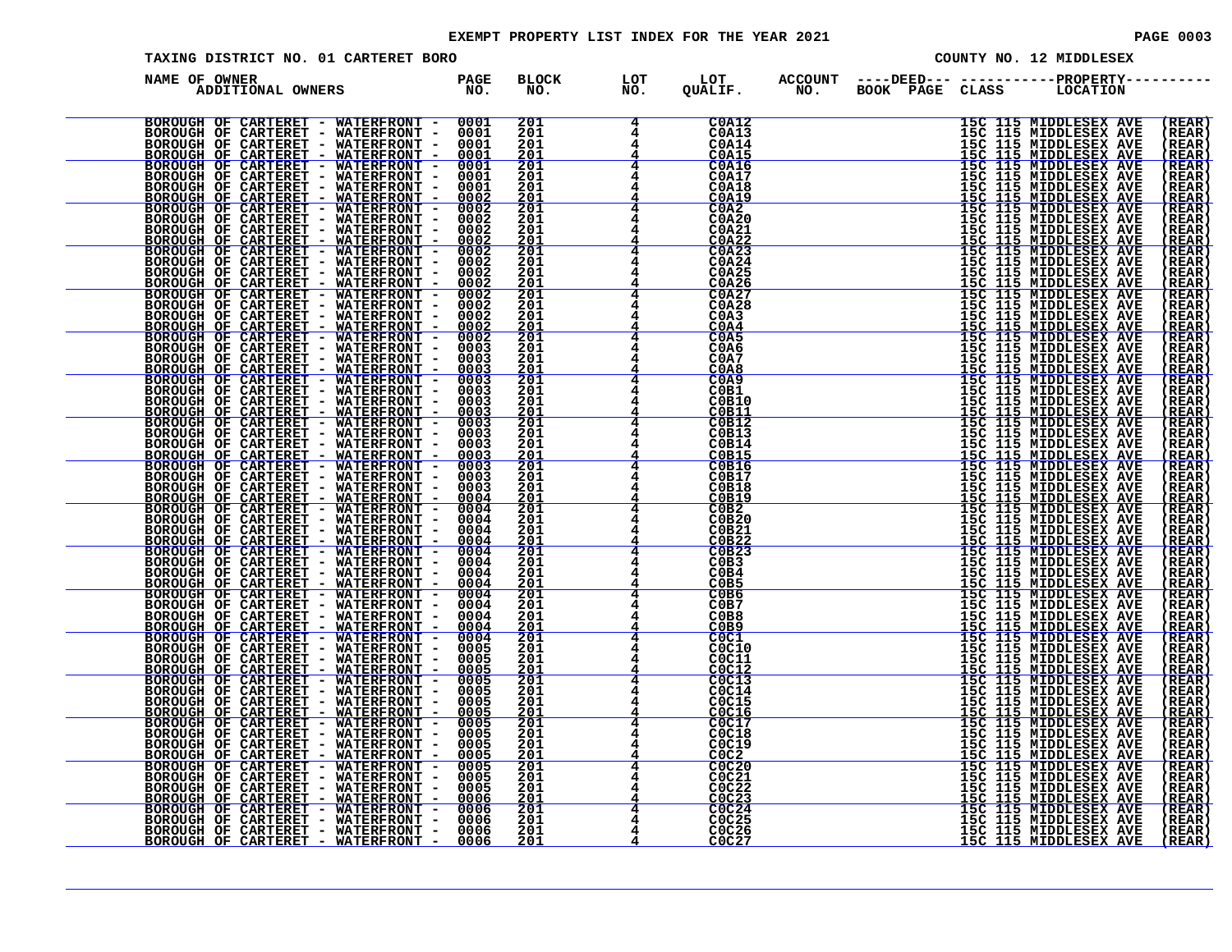#### EXEMPT PROPERTY LIST INDEX FOR THE YEAR 2021 **PAGE 10003** PAGE 0003

| TAXING DISTRICT NO. 01 CARTERET BORO                                                                                                                                                                                                     |                    |                          |            |                                                                                 |  | COUNTY NO. 12 MIDDLESEX                                                                                                                                                                                                                                      |                        |
|------------------------------------------------------------------------------------------------------------------------------------------------------------------------------------------------------------------------------------------|--------------------|--------------------------|------------|---------------------------------------------------------------------------------|--|--------------------------------------------------------------------------------------------------------------------------------------------------------------------------------------------------------------------------------------------------------------|------------------------|
| NAME OF OWNER<br>E OWNER<br>ADDITIONAL OWNERS                                                                                                                                                                                            | <b>PAGE</b><br>NO. | <b>BLOCK</b><br>NO.      | LOT<br>NO. | LOT<br>QUALIF.                                                                  |  | ACCOUNT ----DEED--- -----------PROPERTY--<br>NO. BOOK PAGE CLASS LOCATION                                                                                                                                                                                    |                        |
| NAME OF CARTERET WATERFRONT - 000011<br>HOLOGOGIE OF CARTERET - WATERFRONT - 000011<br>HOLOGOGIE OF CARTERET - WATERFRONT - 000011<br>HOROGOGIE OF CARTERET - WATERFRONT - 000011<br>HOROGOGIE OF CARTERET - WATERFRONT - 000012<br>HORO |                    |                          |            |                                                                                 |  |                                                                                                                                                                                                                                                              |                        |
|                                                                                                                                                                                                                                          |                    | 201<br>201               |            | C0A12<br>C0A13                                                                  |  | 15C 115 MIDDLESEX AVE                                                                                                                                                                                                                                        | (REAR)<br>(REAR)       |
|                                                                                                                                                                                                                                          |                    | 201<br>201               |            | <b>C0A14</b><br>C0A15                                                           |  | 15C 115 MIDDLESEX AVE<br>15C 115 MIDDLESEX AVE<br>15C 115 MIDDLESEX AVE<br>15C 115 MIDDLESEX AVE<br>15C 115 MIDDLESEX AVE<br>15C 115 MIDDLESEX AVE                                                                                                           | REAR<br>(REAR          |
|                                                                                                                                                                                                                                          |                    | 201<br>$\bar{201}$       |            | <b>C0A16</b><br><b>C0A17</b>                                                    |  |                                                                                                                                                                                                                                                              | (REAR<br>( REAR        |
|                                                                                                                                                                                                                                          |                    | 201                      |            | C0A18<br>C0A19                                                                  |  | 15C 115 MIDDLESEX AVE<br>15C 115 MIDDLESEX AVE<br>15C 115 MIDDLESEX AVE<br>15C 115 MIDDLESEX AVE<br>15C 115 MIDDLESEX AVE<br>15C 115 MIDDLESEX AVE<br>15C 115 MIDDLESEX AVE<br>15C 115 MIDDLESEX AVE<br>15C 115 MIDDLESEX AVE<br>15C 115 MIDDLESEX AVE       | (REAR                  |
|                                                                                                                                                                                                                                          |                    | $\frac{201}{201}$        |            | CO <sub>2</sub>                                                                 |  |                                                                                                                                                                                                                                                              | ( REAR<br>(REAR)       |
|                                                                                                                                                                                                                                          |                    | 201<br>201               |            | <b>C0A20</b><br><b>C0A21</b>                                                    |  |                                                                                                                                                                                                                                                              | (REAR<br>(REAR         |
|                                                                                                                                                                                                                                          |                    | 201<br>201               |            | $\frac{\text{COA22}}{\text{COA23}}$                                             |  |                                                                                                                                                                                                                                                              | (REAR<br>( REAR        |
|                                                                                                                                                                                                                                          |                    | 201<br>201               |            | COA24                                                                           |  |                                                                                                                                                                                                                                                              | (REAR<br>(REAR         |
|                                                                                                                                                                                                                                          |                    | 201<br>201               |            | C0A25<br>C0A27                                                                  |  |                                                                                                                                                                                                                                                              | (REAR<br>(REAR         |
|                                                                                                                                                                                                                                          |                    | 201                      |            | <b>C0A28</b>                                                                    |  | 15C 115 MIDDLESEX AVE<br>15C 115 MIDDLESEX AVE<br>15C 115 MIDDLESEX AVE<br>15C 115 MIDDLESEX AVE<br>15C 115 MIDDLESEX AVE<br>15C 115 MIDDLESEX AVE<br>15C 115 MIDDLESEX AVE<br>15C 115 MIDDLESEX AVE<br>15C 115 MIDDLESEX AVE<br>15C 115 MIDDLESEX AVE<br>15 | ( REAR                 |
|                                                                                                                                                                                                                                          |                    | 201<br>$\frac{201}{201}$ |            | C <sub>0</sub> A <sub>3</sub><br>COA4                                           |  |                                                                                                                                                                                                                                                              | (REAR<br>(REAR         |
|                                                                                                                                                                                                                                          |                    | 201                      |            | C <sub>0</sub> A <sub>5</sub><br>C0A6                                           |  |                                                                                                                                                                                                                                                              | (REAR<br>(REAR         |
|                                                                                                                                                                                                                                          |                    | 201<br>201               |            | C0A7<br>C0A8                                                                    |  |                                                                                                                                                                                                                                                              | (REAR<br>(REAR         |
|                                                                                                                                                                                                                                          |                    | 201<br>201               |            | C <sub>0</sub> A <sub>9</sub><br>C0B1                                           |  |                                                                                                                                                                                                                                                              | ( REAR<br>( REAR       |
|                                                                                                                                                                                                                                          |                    | 201                      |            | COB10                                                                           |  |                                                                                                                                                                                                                                                              | (REAR                  |
|                                                                                                                                                                                                                                          |                    | $\frac{201}{201}$        |            | COB11<br>$\overline{C}$ <sub>0B12</sub>                                         |  |                                                                                                                                                                                                                                                              | <u>( REAR</u><br>(REAR |
|                                                                                                                                                                                                                                          |                    | 201<br>201               |            | C0B13<br>CDB14                                                                  |  |                                                                                                                                                                                                                                                              | (REAR<br>( REAR        |
|                                                                                                                                                                                                                                          |                    | $\frac{201}{201}$        |            | COB15<br>C0B16                                                                  |  | 15C 115 MIDDLESEX AVER<br>15C 115 MIDDLESEX AVER<br>15C 115 MIDDLESEX AVER<br>15C 115 MIDDLESEX AVER<br>15C 115 MIDDLESEX AVER<br>15C 115 MIDDLESEX AVER<br>15C 115 MIDDLESEX AVER<br>15C 115 MIDDLESEX AVER<br>15C 115 MIDDLESEX AVER<br>15C 115 MIDDLES    | <u>(REAR</u><br>(REAR  |
|                                                                                                                                                                                                                                          |                    | 201                      |            | $COB\bar{1}\bar{7}$<br>C0B18                                                    |  |                                                                                                                                                                                                                                                              | (REAR                  |
|                                                                                                                                                                                                                                          |                    | 201<br>201               |            | COB19                                                                           |  |                                                                                                                                                                                                                                                              | ( REAR<br>( REAR       |
|                                                                                                                                                                                                                                          |                    | 201<br>201               |            | $\overline{COB2}$<br>COB20                                                      |  |                                                                                                                                                                                                                                                              | (REAR<br>( REAR        |
|                                                                                                                                                                                                                                          |                    | 201                      |            | CDB21                                                                           |  |                                                                                                                                                                                                                                                              | ( REAR<br><u>(REAR</u> |
|                                                                                                                                                                                                                                          |                    | $\frac{201}{201}$<br>201 |            | $\frac{4}{4}$ $\frac{ \angle \overline{OB22}}{ \angle \overline{OB23}}$<br>COB3 |  |                                                                                                                                                                                                                                                              | (REAR)<br>(REAR        |
|                                                                                                                                                                                                                                          |                    | 201                      |            | COB4<br>COB5                                                                    |  |                                                                                                                                                                                                                                                              | (REAR                  |
|                                                                                                                                                                                                                                          |                    | 201<br>201               |            | C0B6                                                                            |  |                                                                                                                                                                                                                                                              | ( REAR<br>(REAR        |
|                                                                                                                                                                                                                                          |                    | 201<br>201               |            | C0B7<br>C <sub>0</sub> B <sub>8</sub>                                           |  |                                                                                                                                                                                                                                                              | ( REAR<br>(REAR        |
|                                                                                                                                                                                                                                          |                    | $\frac{201}{201}$        |            | <u>СО̀в9</u><br>СОС1                                                            |  |                                                                                                                                                                                                                                                              | <u>(REAR</u><br>(REAR  |
|                                                                                                                                                                                                                                          |                    | 201<br>201               |            | C0C10<br>C0C11                                                                  |  | 15C 115 MIDDLESEX AVE<br>15C 115 MIDDLESEX AVE<br>15C 115 MIDDLESEX AVE<br>15C 115 MIDDLESEX AVE<br>15C 115 MIDDLESEX AVE<br>15C 115 MIDDLESEX AVE                                                                                                           | (REAR<br>(REAR         |
|                                                                                                                                                                                                                                          |                    | $\frac{201}{201}$        |            | COC12<br>COC13                                                                  |  |                                                                                                                                                                                                                                                              | <u>(REAR</u>           |
|                                                                                                                                                                                                                                          |                    | 201                      |            | C0C14                                                                           |  |                                                                                                                                                                                                                                                              | (REAR<br>(REAR         |
|                                                                                                                                                                                                                                          |                    | 201<br>201               |            | C0C15<br>C0C16                                                                  |  |                                                                                                                                                                                                                                                              | (REAR<br><u>(REAR</u>  |
|                                                                                                                                                                                                                                          |                    | 201<br>201               |            | C0C17<br>C0C18                                                                  |  | 15C 115 MIDDLESEX AVE<br>15C 115 MIDDLESEX AVE<br>15C 115 MIDDLESEX AVE<br>15C 115 MIDDLESEX AVE<br>15C 115 MIDDLESEX AVE<br>15C 115 MIDDLESEX AVE                                                                                                           | (REAR<br>(REAR         |
|                                                                                                                                                                                                                                          |                    | 201                      |            | C0C19                                                                           |  |                                                                                                                                                                                                                                                              | (REAR                  |
|                                                                                                                                                                                                                                          |                    | $\frac{201}{201}$        |            | $\frac{\text{c}0\text{c}2}{\text{c}0\text{c}20}$                                |  | 15C 115 MIDDLESEX AVE<br>15C 115 MIDDLESEX AVE                                                                                                                                                                                                               | <u>(REAR</u><br>(REAR  |
|                                                                                                                                                                                                                                          |                    | 201<br>201               |            | C0C21<br>C0C22                                                                  |  |                                                                                                                                                                                                                                                              | (REAR<br>(REAR         |
|                                                                                                                                                                                                                                          |                    | 201                      |            | C0C23<br>COC24                                                                  |  | <b>15C 115 MIDDLESEX AVE<br/>15C 115 MIDDLESEX AVE<br/>15C 115 MIDDLESEX AVE<br/>15C 115 MIDDLESEX AVE<br/>15C 115 MIDDLESEX AVE<br/>15C 115 MIDDLESEX AVE</b>                                                                                               | (REAR<br>( REAR        |
|                                                                                                                                                                                                                                          |                    | $\frac{201}{201}$<br>201 |            | C0C25<br>C0C26                                                                  |  |                                                                                                                                                                                                                                                              | (REAR<br>(REAR         |
|                                                                                                                                                                                                                                          |                    | 201                      |            | C <sub>0</sub> C <sub>27</sub>                                                  |  | 15C 115 MIDDLESEX AVE<br>15C 115 MIDDLESEX AVE                                                                                                                                                                                                               | <u>(REAR)</u>          |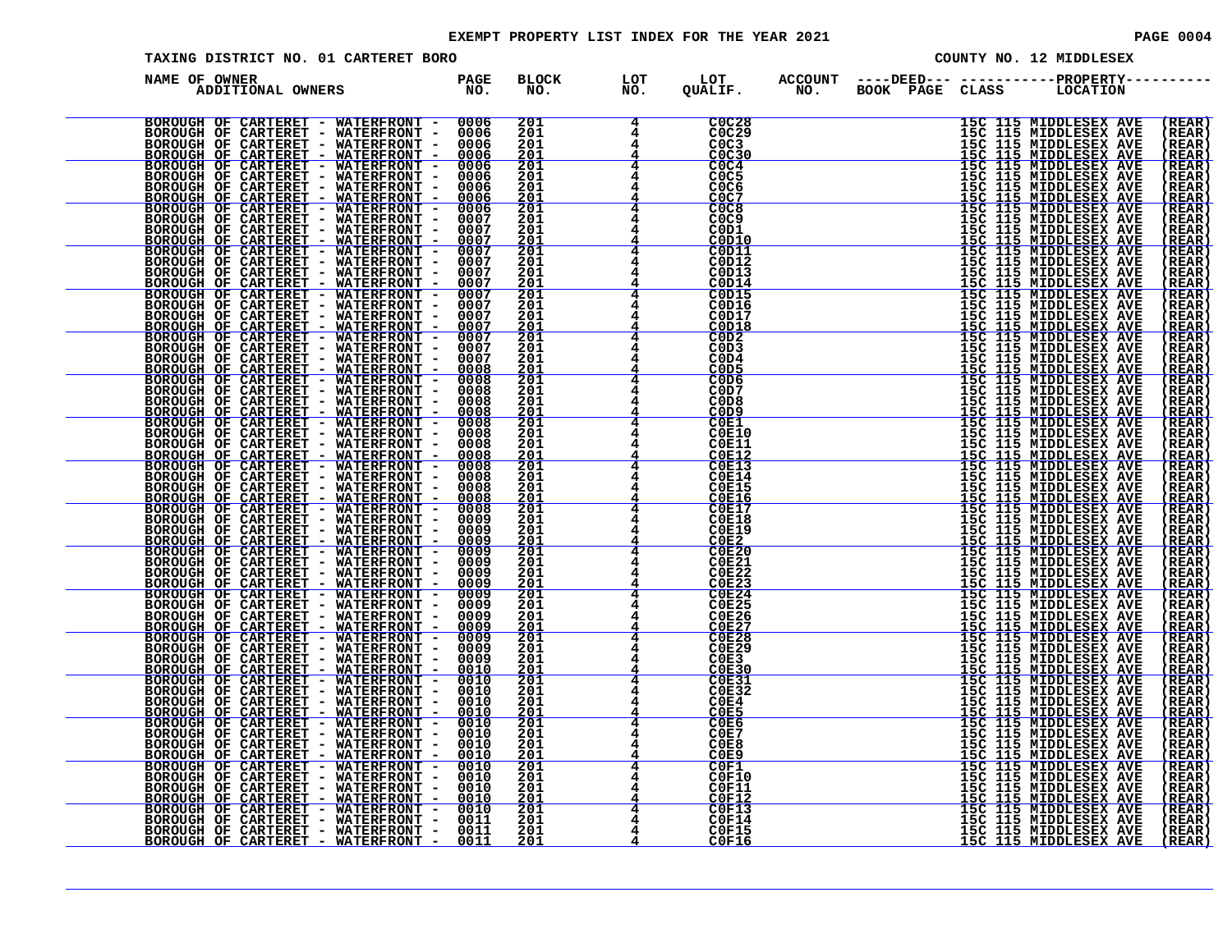#### EXEMPT PROPERTY LIST INDEX FOR THE YEAR 2021 **PAGE 10004** PAGE 0004

| TAXING DISTRICT NO. 01 CARTERET BORO       |                                                                 |               |                                                                                             |  | COUNTY NO. 12 MIDDLESEX                                                                                                                                                                                                                                                               |                                               |
|--------------------------------------------|-----------------------------------------------------------------|---------------|---------------------------------------------------------------------------------------------|--|---------------------------------------------------------------------------------------------------------------------------------------------------------------------------------------------------------------------------------------------------------------------------------------|-----------------------------------------------|
| NAME OF OWNER<br>ADDITIONAL OWNERS PAGE NO | <b>BLOCK</b><br>NO.                                             | LOT<br>NO.    | LOT<br>QUALIF.                                                                              |  | ACCOUNT ----DEED--- -----------PROPERTY----<br>NO. BOOK PAGE CLASS LOCATION                                                                                                                                                                                                           |                                               |
|                                            | 201<br>201<br>201<br>201                                        |               | <b>C0C28</b><br>C0C29<br>CO <sub>C3</sub><br>COC30                                          |  | 15C 115 MIDDLESEX AVE<br>15C 115 MIDDLESEX AVE<br>16C 115 MIDDLESEX AVE<br>15C 115 MIDDLESEX AVE<br>15C 115 MIDDLESEX AVE<br>15C 115 MIDDLESEX AVE<br>15C 115 MIDDLESEX AVE<br>15C 115 MIDDLESEX AVE<br>15C 115 MIDDLESEX AVE<br>15C 115 MIDDLESEX AVE<br>15C 115 MIDDLESEX AVE<br>15 | (REAR)<br>(REAR)<br>(REAR<br><u>(REAR</u>     |
|                                            | 201<br>201<br>201<br>$\frac{\bar{2}\dot{0}\bar{1}}{201}$        |               | COC4<br>C <sub>0</sub> C <sub>5</sub><br>COC6<br>COC7                                       |  |                                                                                                                                                                                                                                                                                       | (REAR)<br>(REAR<br>(REAR<br>(REAR             |
|                                            | 201<br>201<br>$\frac{201}{201}$                                 |               | COC8<br>C <sub>0</sub> C <sub>9</sub><br>C <sub>0</sub> D <sub>1</sub><br>C0D10             |  |                                                                                                                                                                                                                                                                                       | (REAR)<br>(REAR<br>(REAR<br>(REAR             |
|                                            | 201<br>201<br>201                                               |               | C0D11<br>C0D12<br>C0D13<br>C0D14                                                            |  |                                                                                                                                                                                                                                                                                       | (REAR<br>(REAR<br>(REAR<br>(REAR              |
|                                            | $\frac{201}{201}$<br>201<br>$\frac{201}{201}$                   |               | COD15<br><b>C0D16</b><br>C0D17<br>C0D18                                                     |  |                                                                                                                                                                                                                                                                                       | (REAR<br>(REAR<br>(REAR<br><u>( REAR</u>      |
|                                            | 201<br>$\bar{201}$<br><u> 201</u>                               |               | COD2<br>C <sub>0</sub> D <sub>3</sub><br>COD4<br>C <sub>0</sub> D <sub>5</sub><br>COD6      |  |                                                                                                                                                                                                                                                                                       | (REAR<br>(REAR<br>(REAR<br>REAR<br>(REAR)     |
|                                            | $\frac{201}{201}$<br>201<br>$\frac{\bar{2}\v01}{201}$           |               | COD7<br>C <sub>0</sub> D <sub>8</sub><br>C <sub>0</sub> D <sub>9</sub><br>$\overline{COE1}$ |  |                                                                                                                                                                                                                                                                                       | (REAR<br>(REAR<br>(REAR)<br>(REAR)            |
|                                            | 201<br>$\bar{201}$<br>$\frac{\frac{201}{201}}{\frac{201}{201}}$ |               | <b>C0E10</b><br><b>COE11</b><br>$\frac{\overline{COE12}}{\overline{COE13}}$                 |  |                                                                                                                                                                                                                                                                                       | $(REAR)$<br>$(REAR)$<br>$(REAR)$<br>$(REAR)$  |
|                                            | 201<br>$\frac{\frac{201}{201}}{\frac{201}{201}}$                |               | COE14<br><b>C0E15</b><br>COE16<br><b>C0E17</b>                                              |  |                                                                                                                                                                                                                                                                                       | (REAR<br>(REAR)<br>(REAR)<br>(REAR)<br>(REAR) |
|                                            | 201<br>$\frac{201}{201}$                                        |               | C0E18<br><b>COE19</b>                                                                       |  |                                                                                                                                                                                                                                                                                       | $\overline{\overline{\texttt{(REAR)}}}$       |
|                                            | 201<br>$\bar{201}$<br>201<br>$\frac{201}{201}$                  |               | COENCIDENTS                                                                                 |  |                                                                                                                                                                                                                                                                                       | (REAR)<br>(REAR)<br>(REAR)<br>(REAR)          |
|                                            | 201<br>$\frac{\bar{2}\dot{0}\bar{1}}{201}$                      |               | $\frac{\text{COE27}}{\text{COE28}}$                                                         |  |                                                                                                                                                                                                                                                                                       | (REAR<br>(REAR)<br>(REAR)<br>(REAR)           |
|                                            | 201<br>201<br>$\frac{201}{201}$                                 |               | COE29<br>$\overline{COE3}$<br>$\overline{COE30}$<br>$\overline{COE31}$<br>COE32             |  |                                                                                                                                                                                                                                                                                       | (REAR<br>(REAR<br><u>(REAR</u><br>(REAR)      |
|                                            | 201<br>201<br>201<br>201                                        | $\frac{4}{4}$ | COE4<br>COE5<br>COEG<br>COE7                                                                |  |                                                                                                                                                                                                                                                                                       | ( REAR<br><u>(REAR</u><br>(REAR<br>(REAR      |
|                                            | 201<br>$\frac{201}{201}$<br>201                                 |               | COE8<br>$\frac{C0E9}{C0F1}$<br><b>C0F10</b>                                                 |  | HEG IIIS MIDDLESSEX AVERICANTE (115 MIDDLESSEX AVERICANTESSEX AVERICANTESSEX AVERICANTESSEX AVERICANTESSEX AVERICANTESSEX AVERICANTESSEX AVERICANTESSEX AVERICANTESSEX AVERICANTESSEX AVERICANTESSEX AVERICANTESSEX AVERICANTE                                                        | (REAR<br><u>(REAR</u><br>(REAR<br>( REAR      |
|                                            | 201<br>201<br>$^{201}_{201}$                                    |               | <b>COF11</b><br><b>C0F12</b><br><b>C0F13</b><br><b>COF14</b>                                |  |                                                                                                                                                                                                                                                                                       | (REAR<br><u>(REAR</u><br>( REAR<br>(REAR      |
|                                            | 201<br>201                                                      |               | <b>C0F15</b><br>COF16                                                                       |  | 15C 115 MIDDLESEX AVE                                                                                                                                                                                                                                                                 | (REAR)<br><u>(REAR)</u>                       |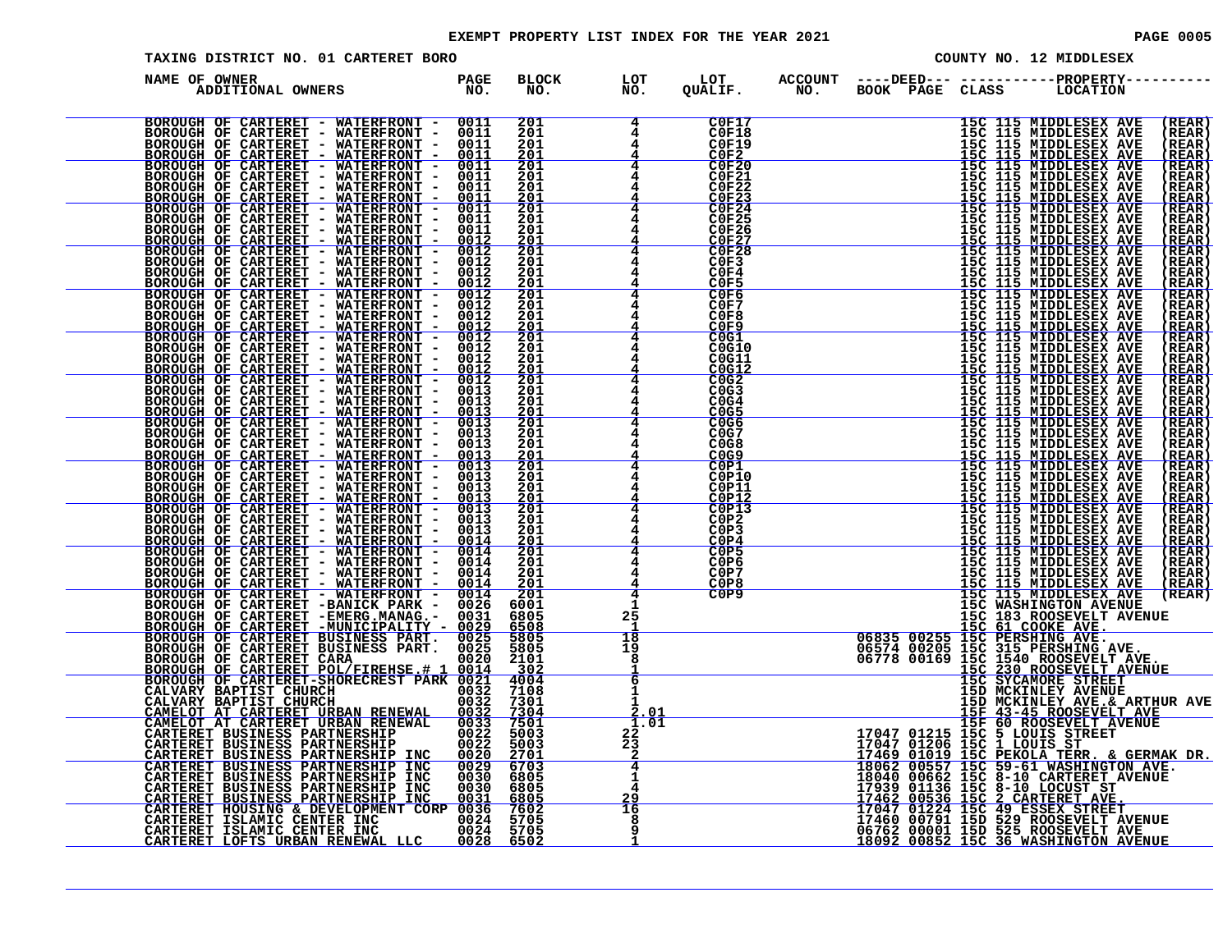#### EXEMPT PROPERTY LIST INDEX FOR THE YEAR 2021 **PAGE 10005** PAGE 0005

| TAXING DISTRICT NO. 01 CARTERET BORO                                                                                                                                                                                                      |                     |                    |                                                                                  |  | COUNTY NO. 12 MIDDLESEX                                                                                                                                                                                                                                      |                                                                      |
|-------------------------------------------------------------------------------------------------------------------------------------------------------------------------------------------------------------------------------------------|---------------------|--------------------|----------------------------------------------------------------------------------|--|--------------------------------------------------------------------------------------------------------------------------------------------------------------------------------------------------------------------------------------------------------------|----------------------------------------------------------------------|
| NAME OF OWNER<br>DE OWNER<br>ADDITIONAL OWNERS TO NO.                                                                                                                                                                                     | <b>BLOCK</b><br>NO. | LOT<br>NO.         | LOT<br>QUALIF.                                                                   |  | ACCOUNT ----DEED--- -----------PROPERTY----<br>NO. BOOK PAGE CLASS LOCATION                                                                                                                                                                                  |                                                                      |
|                                                                                                                                                                                                                                           |                     | $4^{\circ}$        | C0F17<br>$\frac{\text{COF18}}{\text{COF19}}$                                     |  | 15C 115 MIDDLESEX AVE<br>15C 115 MIDDLESEX AVE<br>15C 115 MIDDLESEX AVE<br>15C 115 MIDDLESEX AVE<br>15C 115 MIDDLESEX AVE<br>15C 115 MIDDLESEX AVE<br>15C 115 MIDDLESEX AVE<br>15C 115 MIDDLESEX AVE<br>15C 115 MIDDLESEX AVE<br>15C 115 MIDDLESEX AVE<br>15 | (REAR)<br>(REAR)<br>$(\tt REAR)$                                     |
|                                                                                                                                                                                                                                           |                     | 4<br>4             | $C0F20$<br>$C0F21$<br>$C$ <sub>0F22</sub><br>$C$ <sub>25</sub> $C$ <sub>23</sub> |  |                                                                                                                                                                                                                                                              | (REAR)<br>(REAR)<br>( REAR )<br>(REAR)                               |
|                                                                                                                                                                                                                                           |                     | 4                  | C0F24<br><b>C0F25</b><br><b>C0F26</b>                                            |  |                                                                                                                                                                                                                                                              | <u>(REAR</u><br>( <b>REAR</b> )<br>(REAR)<br>(REAR)<br><u>(REAR)</u> |
|                                                                                                                                                                                                                                           |                     | 4<br>4<br>4        | $\frac{\text{C0F27}}{\text{C0F28}}$<br>C0F3<br>C0F4<br>COF5                      |  |                                                                                                                                                                                                                                                              | (REAR)<br>(REAR)<br>(REAR)<br><u>(REAR)</u>                          |
|                                                                                                                                                                                                                                           |                     | 4<br>4<br>4        | C0F6<br>C0F7<br>C0F8<br>COF9                                                     |  |                                                                                                                                                                                                                                                              | (REAR)<br>(REAR)<br>(REAR)<br>(REAR)                                 |
|                                                                                                                                                                                                                                           |                     |                    | C0G1<br>C0G10<br>C0G11<br>C0G12                                                  |  |                                                                                                                                                                                                                                                              | (REAR)<br>(REAR)<br>(REAR)<br>(REAR)                                 |
|                                                                                                                                                                                                                                           |                     |                    | COG2<br>C <sub>0</sub> G <sub>3</sub><br>COG4<br>COG5                            |  |                                                                                                                                                                                                                                                              | (REAR)<br>(REAR)<br>(REAR)<br>(REAR)                                 |
|                                                                                                                                                                                                                                           |                     |                    | COG6<br>C <sub>0</sub> G7<br>CO <sub>GB</sub>                                    |  | <b>15C 115 MIDDLESEX AVE<br/>15C 115 MIDDLESEX AVE<br/>15C 115 MIDDLESEX AVE<br/>15C 115 MIDDLESEX AVE<br/>15C 115 MIDDLESEX AVE</b>                                                                                                                         | (REAR)<br>(REAR)<br>(REAR)<br><u>(REAR</u>                           |
|                                                                                                                                                                                                                                           |                     |                    | COP1<br>COP10<br>C0P11<br>COP12                                                  |  |                                                                                                                                                                                                                                                              | ( <b>REAR</b> )<br>(REAR)<br>(REAR)<br>(REAR                         |
|                                                                                                                                                                                                                                           |                     | $\overline{4}$     | COP13<br>C0P2<br>C0P3<br>COP4                                                    |  |                                                                                                                                                                                                                                                              | (REAR)<br>(REAR)<br>(REAR)<br>(REAR)                                 |
|                                                                                                                                                                                                                                           |                     |                    | C0P5<br>C <sub>0</sub> P <sub>6</sub><br>COP7<br>C0P8                            |  | 15C 115 MIDDLESEX AVE<br>15C 115 MIDDLESEX AVE<br>15C 115 MIDDLESEX AVE<br>15C 115 MIDDLESEX AVE<br>15C 115 MIDDLESEX AVE<br>15C 115 MIDDLESEX AVE<br>15C 115 MIDDLESEX AVE<br>15C 115 MIDDLESEX AVE<br>15C 115 MIDDLESEX AVE<br>15C 115 MIDDLESEX AVE<br>15 | (REAR)<br>(REAR)<br>(REAR)<br>(REAR)                                 |
|                                                                                                                                                                                                                                           |                     | 25                 | COP9                                                                             |  |                                                                                                                                                                                                                                                              | (REAR)                                                               |
|                                                                                                                                                                                                                                           |                     | 18<br>19<br>8<br>ㅎ |                                                                                  |  |                                                                                                                                                                                                                                                              |                                                                      |
|                                                                                                                                                                                                                                           |                     | 2.01               |                                                                                  |  |                                                                                                                                                                                                                                                              |                                                                      |
| NAME OF CONTERET - WATERFRONT - 0011<br>ROGOTOF OF CARTERFRONT - 0011 2011<br>ROGOTOF OF CARTERFRONT - 0011 2011<br>ROGOTOF OF CARTERFRONT - 0011 2011<br>ROGOTOF OF CARTERFRONT - 0011 2011<br>ROGOTOF OF CARTERFRONT - 0012 2011<br>ROG |                     | 1.01<br>22<br>23   |                                                                                  |  | COP9<br>15C WASHINGTON AVENUE<br>15C MASHINGTON AVENUE<br>15C 61 COOKEVELT AVENUE<br>15C 61 COOKEVELT AVENUE<br>06835 00255 15C 315 PERSHING AVE.<br>06778 00169 15C 1540 ROOSEVELT AVE.<br>15C 37CANORE VELT AVE.<br>15C 37CANORE VELT AVE.<br>             |                                                                      |
|                                                                                                                                                                                                                                           |                     | 4<br>1<br>29       |                                                                                  |  |                                                                                                                                                                                                                                                              |                                                                      |
|                                                                                                                                                                                                                                           |                     | 16<br>8            |                                                                                  |  |                                                                                                                                                                                                                                                              |                                                                      |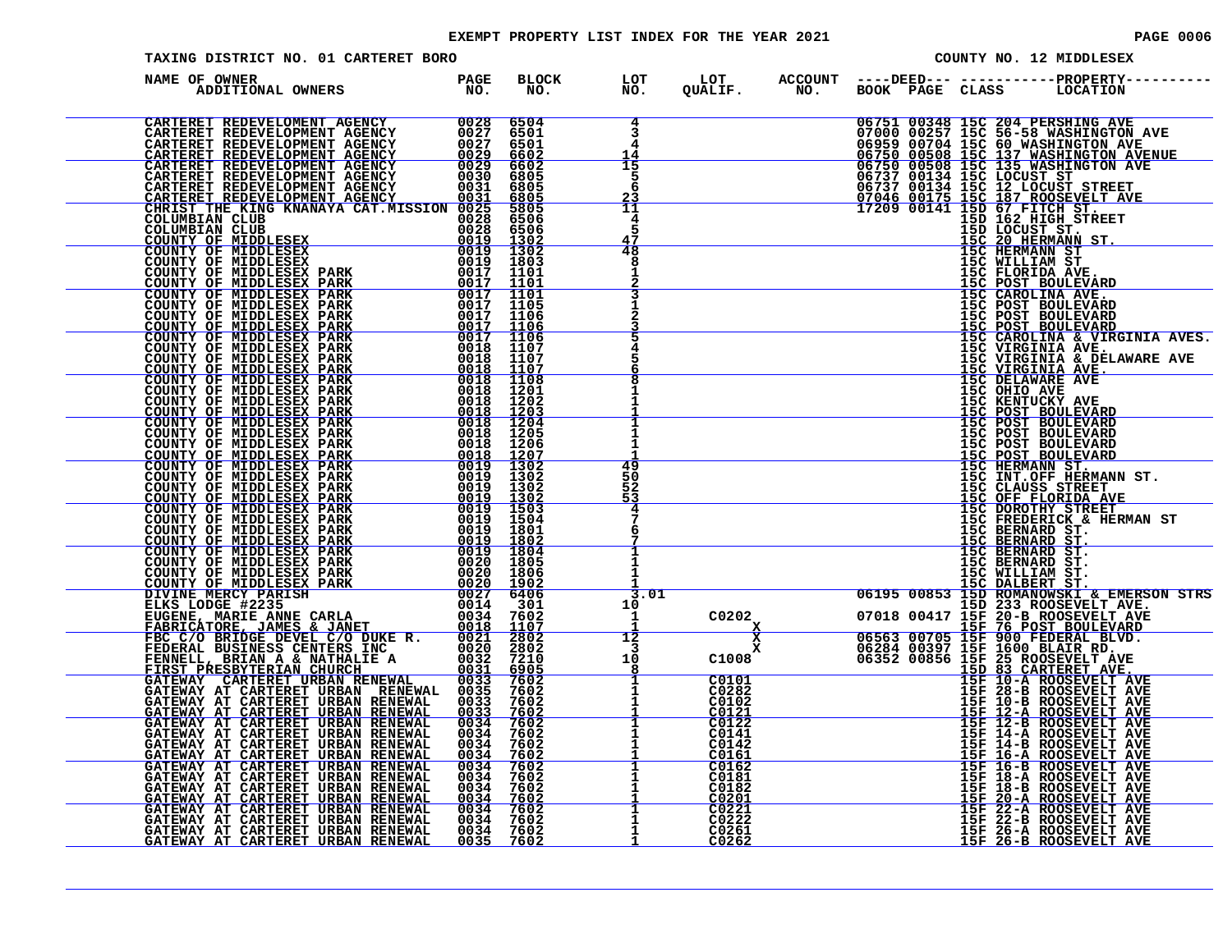#### EXEMPT PROPERTY LIST INDEX FOR THE YEAR 2021 **PAGE 10006** PAGE 0006

| TAXING DISTRICT NO. 01 CARTERET BORO                                                                                                                                                                                          |  |                                  |  |  | COUNTY NO. 12 MIDDLESEX                                                                                                                                                                                                                                                                                                                       |
|-------------------------------------------------------------------------------------------------------------------------------------------------------------------------------------------------------------------------------|--|----------------------------------|--|--|-----------------------------------------------------------------------------------------------------------------------------------------------------------------------------------------------------------------------------------------------------------------------------------------------------------------------------------------------|
| NAME OF OWNER                                                                                                                                                                                                                 |  | LOT<br>NO.                       |  |  | LOT ACCOUNT ----DEED--- -----------PROPERTY------<br>QUALIF.        NO.      BOOK   PAGE   CLASS        LOCATION                                                                                                                                                                                                                              |
| NAME OF OWNER PARK COOMIC CONTRACT CONTRACT CONTRACT CONTRACT CONTRACT CONTRACT CONTRACT CONTRACT CONTRACT CONTRACT CONTRACT CONTRACT CONTRACT CONTRACT CONTRACT CONTRACT CONTRACT CONTRACT CONTRACT CONTRACT CONTRACT CONTRA |  | 4<br>3<br>4<br>14                |  |  | 06751 00348 15C 204 PERSHING AVE<br>07000 00257 15C 56-58 WASHINGTON AVE<br>06759 00700 15C 60 WASHINGTON AVE<br>06750 00508 15C 137 WASHINGTON AVENUE<br>06750 00508 15C 135 WASHINGTON AVENUE<br>06737 00134 15C 127 LOCUST STREET<br>07                                                                                                    |
|                                                                                                                                                                                                                               |  | 15<br>-5<br>6<br>$\frac{23}{11}$ |  |  |                                                                                                                                                                                                                                                                                                                                               |
|                                                                                                                                                                                                                               |  | 4<br>5<br>47                     |  |  |                                                                                                                                                                                                                                                                                                                                               |
|                                                                                                                                                                                                                               |  | 48<br>8<br>Π.                    |  |  |                                                                                                                                                                                                                                                                                                                                               |
|                                                                                                                                                                                                                               |  |                                  |  |  |                                                                                                                                                                                                                                                                                                                                               |
|                                                                                                                                                                                                                               |  |                                  |  |  |                                                                                                                                                                                                                                                                                                                                               |
|                                                                                                                                                                                                                               |  |                                  |  |  |                                                                                                                                                                                                                                                                                                                                               |
|                                                                                                                                                                                                                               |  | 49                               |  |  |                                                                                                                                                                                                                                                                                                                                               |
|                                                                                                                                                                                                                               |  | 50<br>52<br>53                   |  |  | THE CAROLINA & VIRGINIA AVES<br>15C CAROLINA & VIRGINIA AVES<br>15C VIRGINIA AVES<br>15C VIRGINIA AVES<br>15C VIRGINIA AVES<br>15C ORIO AVES<br>15C ORIO AVES<br>15C CRINUCKY AVES<br>15C ERIUCKY AVES<br>15C POST BOULEVARD<br>15C POST BOULEVARD                                                                                            |
|                                                                                                                                                                                                                               |  |                                  |  |  |                                                                                                                                                                                                                                                                                                                                               |
|                                                                                                                                                                                                                               |  |                                  |  |  |                                                                                                                                                                                                                                                                                                                                               |
|                                                                                                                                                                                                                               |  |                                  |  |  |                                                                                                                                                                                                                                                                                                                                               |
|                                                                                                                                                                                                                               |  |                                  |  |  |                                                                                                                                                                                                                                                                                                                                               |
|                                                                                                                                                                                                                               |  |                                  |  |  |                                                                                                                                                                                                                                                                                                                                               |
|                                                                                                                                                                                                                               |  |                                  |  |  |                                                                                                                                                                                                                                                                                                                                               |
|                                                                                                                                                                                                                               |  |                                  |  |  | $\begin{tabular}{c c c c} \hline 7 & 15C PREDRITC & 15C PEDRITC & 15C PEDRITC & 15C PEDRITC & 15C PEDRINRID & 15C PSENNRID & 15C PSENNRID & 15C PSENNRID & 15C PSENNRID & 15C PSENNRID & 15C PSENNRID & 15C PSENNRID & 15C PSENNRID & 15C PSENNRID & 15C PSENNRID & 15C PSENNRID & 15C PSENNRID & 15C PSENNRID & 15C PSENNRID & 15C PSENNRID$ |
|                                                                                                                                                                                                                               |  |                                  |  |  |                                                                                                                                                                                                                                                                                                                                               |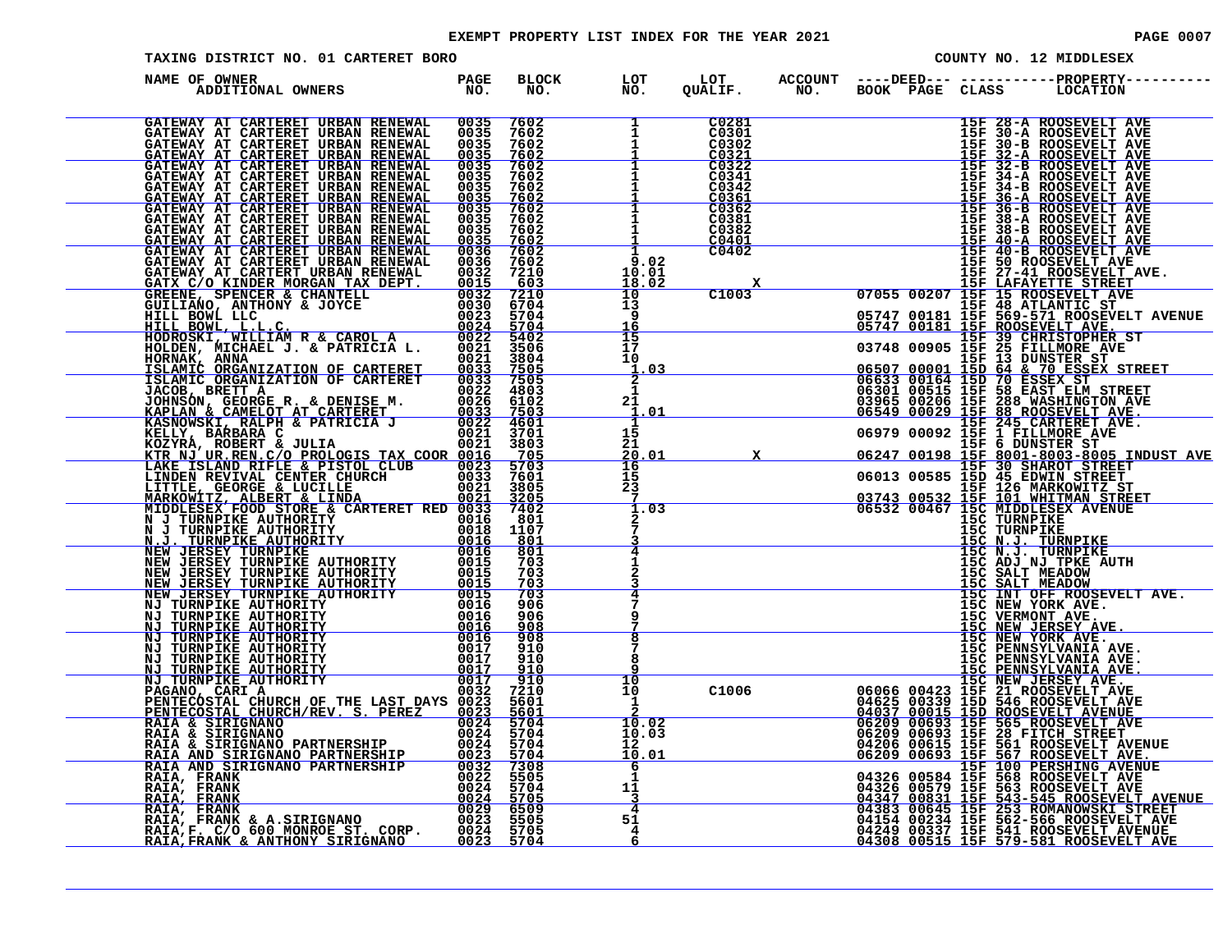#### EXEMPT PROPERTY LIST INDEX FOR THE YEAR 2021 **PAGE 10007** PAGE 0007

| TAXING DISTRICT NO. 01 CARTERET BORO                                                                                                                                                                                                        |                      |                                     |                                                   |                                                            |  |                   | COUNTY NO. 12 MIDDLESEX                                                                                                                                                                                                                                   |
|---------------------------------------------------------------------------------------------------------------------------------------------------------------------------------------------------------------------------------------------|----------------------|-------------------------------------|---------------------------------------------------|------------------------------------------------------------|--|-------------------|-----------------------------------------------------------------------------------------------------------------------------------------------------------------------------------------------------------------------------------------------------------|
| NAME OF OWNER<br>ADDITIONAL OWNERS                                                                                                                                                                                                          | PAGE<br>NO.          | <b>BLOCK</b><br>NO.                 | LOT<br>NO.                                        | LOT<br>QUALIF.                                             |  |                   | ACCOUNT ----DEED--- -----------PROPERTY----<br>NO. BOOK PAGE CLASS LOCATION                                                                                                                                                                               |
| GATEWAY AT CARTERET URBAN RENEWAL 0035<br>GATEWAY AT CARTERET URBAN RENEWAL<br>GATEWAY AT CARTERET URBAN RENEWAL<br>GATEWAY AT CARTERET URBAN RENEWAL                                                                                       | 0035<br>0035<br>0035 | 7602<br>7602<br>7602<br>7602        | $\overline{\frac{1}{1}}$                          | C0281<br>C0301<br>C0302<br>C0321                           |  |                   | 15F 28-A ROOSEVELT AVE<br>15F 30-A ROOSEVELT AVE                                                                                                                                                                                                          |
| GATEWAY AT CARTERET URBAN RENEWAL GATEWAY AT CARTERET URBAN RENEWAL                                                                                                                                                                         | 0035<br>0035         | 7602<br>7602                        | $\mathbf{1}$                                      | C0322<br>C0341<br>C0342<br>$\frac{\bar{C}0\,361}{C}$       |  |                   | 15F 30-A ROOSEVELT AVE<br>15F 30-A ROOSEVELT AVE<br>15F 32-A ROOSEVELT AVE<br>15F 32-A ROOSEVELT AVE<br>15F 32-B ROOSEVELT AVE<br>15F 34-A ROOSEVELT AVE<br>15F 36-A ROOSEVELT AVE<br>15F 36-A ROOSEVELT AVE<br>15F 36-A ROOSEVELT AVE<br>15F 38-A ROOSEV |
|                                                                                                                                                                                                                                             |                      |                                     | $\mathbf{1}$<br>$\overline{1}$                    | C0381<br>C0382<br>C0401<br>C <sub>0</sub> 4 <sub>0</sub> 2 |  |                   | 15F 38-A ROOSEVELT AVE<br>15F 38-B ROOSEVELT AVE<br>15F 40-A ROOSEVELT AVE<br>15F 40-A ROOSEVELT AVE<br>15F 40-B ROOSEVELT AVE<br>15F 50 ROOSEVELT AVE                                                                                                    |
|                                                                                                                                                                                                                                             |                      |                                     | 9.02<br>10.01<br>$\overline{18.02}$<br>10         | <u>x</u><br>C1003                                          |  |                   |                                                                                                                                                                                                                                                           |
|                                                                                                                                                                                                                                             |                      |                                     | īš.<br>9<br>16<br>$\overline{15}$<br>īž           |                                                            |  |                   |                                                                                                                                                                                                                                                           |
|                                                                                                                                                                                                                                             |                      |                                     | 10<br>.03<br>Π.<br>$\overline{2}$<br>$\mathbf{1}$ |                                                            |  |                   |                                                                                                                                                                                                                                                           |
|                                                                                                                                                                                                                                             |                      |                                     | 21<br>. 01<br>1<br>15<br>21                       |                                                            |  |                   |                                                                                                                                                                                                                                                           |
| GATEWAY AT CARTERET URBAN RENEWAL 00335 7602<br>GATEWAY AT CARTERET URBAN RENEWAL 00335 7602<br>GATEWAY AT CARTERET URBAN RENEWAL 00335 7602<br>GATEWAY AT CARTERET URBAN RENEWAL 00335 7602<br>GATEWAY AT CARTERET URBAN RENEWAL 00335 76  |                      |                                     | 20.01<br>16<br>15<br>23                           |                                                            |  |                   | 15F 40 AOSEVELT AVE<br>15F 50 ROOSEVELT AVE<br>15F 20 ROOSEVELT AVE<br>15F 20 ROOSEVELT AVE<br>15F LAFAYETTE STREET<br>07055 00207 15F 48 ATLANTIC STREET<br>05747 00181 15F 569-571 ROOSEVELT AVE<br>05747 00181 15F 569-571 ROOSEVELT AVEN              |
|                                                                                                                                                                                                                                             |                      |                                     | 7<br>1.03                                         |                                                            |  |                   |                                                                                                                                                                                                                                                           |
|                                                                                                                                                                                                                                             |                      |                                     |                                                   |                                                            |  |                   | 15C ADJ NJ TPKE AUTH<br>15C SALT MEADOW<br>15C SALT MEADOW<br>15C INT OFF ROOSEVELT AVE.                                                                                                                                                                  |
|                                                                                                                                                                                                                                             |                      |                                     |                                                   |                                                            |  | 15C NEW YORK AVE. | 15C VERMONT AVE.<br>15C NEW JERSEY AVE.<br>15C NEW YORK AVE.                                                                                                                                                                                              |
|                                                                                                                                                                                                                                             |                      |                                     | 10                                                |                                                            |  |                   | 15C PENNSYLVANIA AVE.<br>15C PENNSYLVANIA AVE.                                                                                                                                                                                                            |
|                                                                                                                                                                                                                                             |                      | 5601<br>5601<br>5704                | 10<br>1<br>10.02                                  |                                                            |  |                   |                                                                                                                                                                                                                                                           |
| PAGANO, CARI A<br>PENTECOSTAL CHURCH OF THE LAST DAYS 0023<br>PENTECOSTAL CHURCH/REV. S. PEREZ 0023<br>RAIA & SIRIGNANO<br>RAIA & SIRIGNANO<br>RAIA & SIRIGNANO PARTNERSHIP 0024<br>RAIA & SIRIGNANO PARTNERSHIP 0023<br>RAIA AND SIRIGNANO |                      | 5704<br>5704<br>$\frac{5704}{7308}$ | 10.03<br>12<br><u>10.01</u><br>6<br>1             |                                                            |  |                   | 13C PENNSYLVANIA AVE.<br>C1006 06666 00423 15E PENNSYLVANIA AVE.<br>15C NEW JERSEY AVE.<br>25 NEW JERSEY AVE.<br>26 NEW JERSEY AVE.<br>26 15C NEW JERSEY AVE.<br>26 4625 00333 15F 24 ROOSEVELT AVE<br>06209 00693 15F 28 FUTCH STREET<br>0620            |
| RAIA, FRANK 6 ARTINERSALP 6022 5505<br>RAIA, FRANK 6024 5705<br>RAIA, FRANK 6024 5705<br>RAIA, FRANK 6 A.SIRIGNANO 6029 6509<br>RAIA, FRANK & A.SIRIGNANO 6029 5509<br>RAIA, FRANK & A.SIRIGNANO 6023 5705<br>RAIA, FRANK & ANTHONY SIRIGN  |                      |                                     | 11<br>$\overline{3}$<br>4<br>51                   |                                                            |  |                   |                                                                                                                                                                                                                                                           |
|                                                                                                                                                                                                                                             |                      |                                     | $\frac{4}{6}$                                     |                                                            |  |                   |                                                                                                                                                                                                                                                           |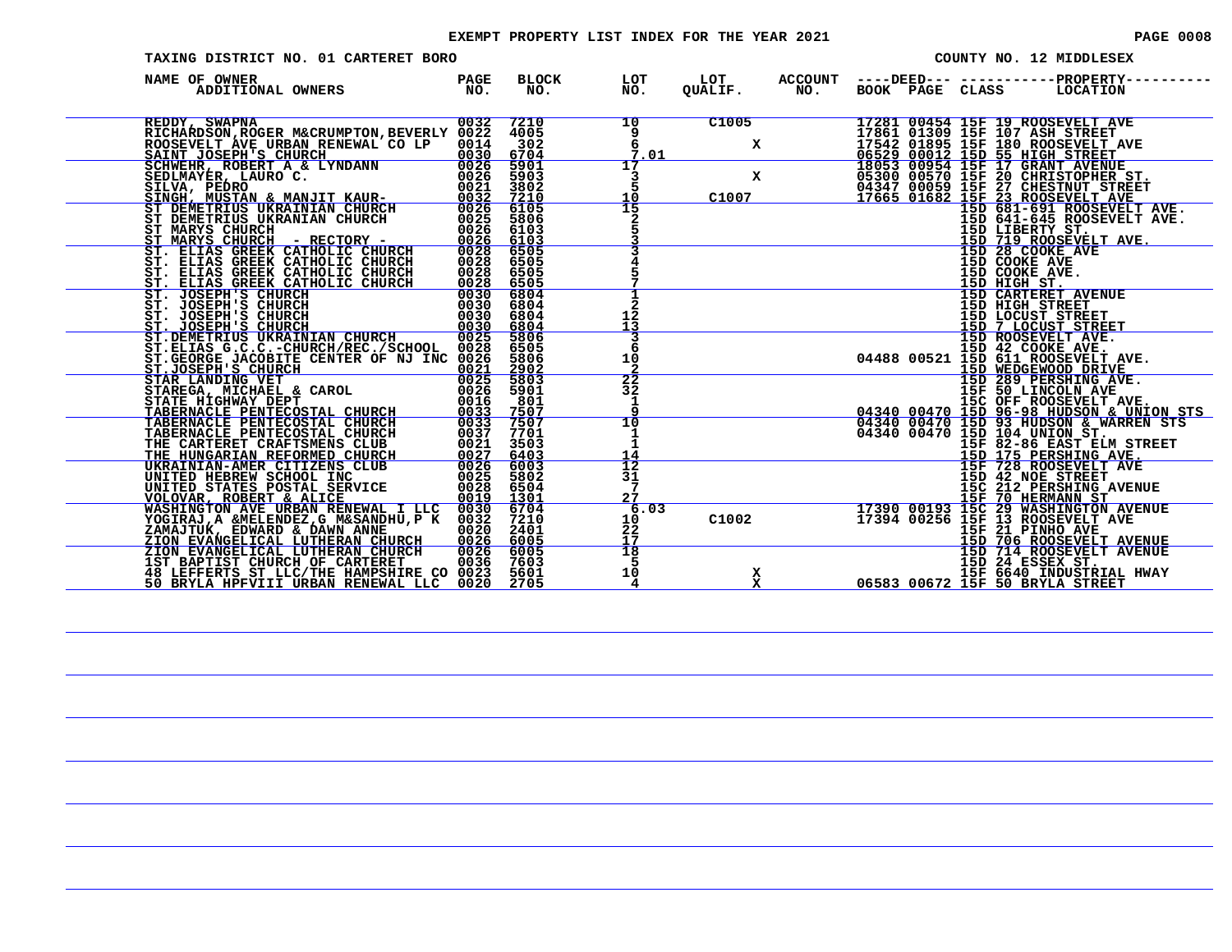#### EXEMPT PROPERTY LIST INDEX FOR THE YEAR 2021 **PAGE 10008** PAGE 0008

| TAXING DISTRICT NO. 01 CARTERET BORO                                                                                                                                                                                                                   |                                     |                                |                               |                         |                       |                                         |  | COUNTY NO. 12 MIDDLESEX                                                                                                                                                      |
|--------------------------------------------------------------------------------------------------------------------------------------------------------------------------------------------------------------------------------------------------------|-------------------------------------|--------------------------------|-------------------------------|-------------------------|-----------------------|-----------------------------------------|--|------------------------------------------------------------------------------------------------------------------------------------------------------------------------------|
| NAME OF OWNER<br>ADDITIONAL OWNERS                                                                                                                                                                                                                     | PAGE<br>NO.                         | <b>BLOCK</b><br>NO.            | LOT<br>NO.                    | LOT<br>QUALIF.          | <b>ACCOUNT</b><br>NO. | ----DEED--- --------<br>BOOK PAGE CLASS |  | -PROPERTY-<br>LOCATION                                                                                                                                                       |
| REDDY, SWAPNA<br>RICHARDSON, ROGER M&CRUMPTON, BEVERLY 0022<br>ROOSEVELT AVE URBAN RENEWAL CO LP 0014<br>SAINT JOSEPH'S CHURCH                                                                                                                         | 0032<br>0030                        | 7210<br>4005<br>$-302$<br>6704 | 10<br>9<br>Ğ.<br>7<br>.01     | C1005<br>x              |                       |                                         |  | 17281 00454 15F 19 ROOSEVELT AVE<br>17861 01309 15F 107 ASH STREET<br>17542 01895 15F 180 ROOSEVELT AVE<br>06529 00012 15D 55 HIGH STREET<br>18053 00954 15F 17 GRANT AVENUE |
| SCHWEHR, ROBERT A & LYNDANN<br>SEDLMAYER, LAURO C.<br>SILVA, PEDRO<br>SILVA, PEDRO<br>SINGH, MUSTAN & MANJIT KAUR-<br>SINGH, MUSTAN & MANJIT KAUR-                                                                                                     | 0026<br>0026<br>0021 3802<br>0032   | 5901<br>5903<br>7210           | 17<br>3<br>10                 | X<br>C1007              |                       |                                         |  | 163300 00570 15F 20 CHRISTOPHER ST.<br>04347 00059 15F 27 CHESTNUT STREET<br>17665 01682 15F 23 ROOSEVELT AVE<br>15D 681-691 ROOSEVELT AVE.                                  |
| ST DEMETRIUS UKRAINIAN CHURCH<br>ST DEMETRIUS UKRANIAN CHURCH<br>ST MARYS CHURCH<br><u>ST MARYS CHURCH - RECTORY -</u>                                                                                                                                 | 0026<br>0025<br>0026<br>0026        | 6105<br>5806<br>6103<br>6103   |                               |                         |                       |                                         |  | 15D 641-645 ROOSEVELT AVE.<br>15D LIBERTY ST.<br>15D 719 ROOSEVELT AVE.                                                                                                      |
| ST. ELIAS GREEK CATHOLIC CHURCH<br>ST. ELIAS GREEK CATHOLIC CHURCH<br>ST. ELIAS GREEK CATHOLIC CHURCH<br>ST. ELIAS GREEK CATHOLIC CHURCH                                                                                                               | 0028<br>0028<br>0028<br>0028        | 6505<br>6505<br>6505<br>6505   |                               |                         |                       |                                         |  | 15D 28 COOKE AVE<br>15D COOKE AVE<br>15D COOKE AVE.<br>15D HIGH ST.                                                                                                          |
| ST. JOSEPH'S CHURCH<br>ST. JOSEPH'S CHURCH<br>ST. JOSEPH'S CHURCH<br>ST. JOSEPH'S CHURCH<br>ST.DEMETRIUS UKRAINIAN CHURCH                                                                                                                              | 0030<br>0030<br>0030<br>0030        | 6804<br>6804<br>6804<br>6804   | 12<br>13                      |                         |                       |                                         |  | <b>15D CARTERET AVENUE</b><br>15D HIGH STREET<br>15D LOCUST STREET<br>15D 7 LOCUST STREET                                                                                    |
| ST.ELIAS G.C.C.-CHURCH/REC./SCHOOL 0028<br>ST.GEORGE JACOBITE CENTER OF NJ INC 0026<br>ST. JOSEPH'S CHURCH                                                                                                                                             | 0025<br>0021                        | 5806<br>6505<br>5806<br>2902   | 6<br>10                       |                         |                       |                                         |  | 15D ROOSEVELT AVE.<br>15D 42 COOKE AVE.<br>04488 00521 15D 611 ROOSEVELT AVE.<br>15D WEDGEWOOD DRIVE                                                                         |
| STAR LANDING VET                                                                                                                                                                                                                                       | 0025<br>0026<br>0016<br><u>0033</u> | 5803<br>5901<br>- 801<br>7507  | 22<br>32<br>$\frac{1}{9}$     |                         |                       |                                         |  | 15D 289 PERSHING AVE.<br>15F 50 LINCOLN AVE<br>15C OFF ROOSEVELT AVE.<br>04340 00470 15D 96-98 HUDSON & UNION STS                                                            |
| STAREGA, MICHAEL & CAROL<br>STAREGA, MICHAEL & CAROL<br>STATE HIGHWAY DEPT<br>TABERNACLE PENTECOSTAL CHURCH<br>TABERNACLE PENTECOSTAL CHURCH<br>TABERNACLE PENTECOSTAL CHURCH<br>THE CARTERET CRAFTSMENS CLUB<br>THE HUNGARIAN REFORMED CHURCH<br>UKRA | 0033<br>0037<br>0021<br>0027        | 7507<br>7701<br>3503<br>6403   | 14                            |                         |                       |                                         |  | 04340 00470 15D 93 HUDSON & WARREN STS<br>04340 00470 15D 104 UNION ST.<br>15D 175 PERSHING AVE.                                                                             |
| UNITED HEBREW SCHOOL INC<br>UNITED STATES POSTAL SERVICE<br>VOLOVAR, ROBERT & ALICE                                                                                                                                                                    | 0026<br>0025<br>0028<br>0019        | 6003<br>5802<br>6504<br>1301   | ĪŻ<br>31<br>7<br>27           |                         |                       |                                         |  | 15F 728 ROOSEVELT AVE<br>15D 42 NOE STREET<br>15C 212 PERSHING AVENUE<br>15F 70 HERMANN ST                                                                                   |
| WASHINGTON AVE URBAN RENEWAL I LLC<br>YOGIRAJ, A & MELENDEZ, G M& SANDHU, P K<br>ZAMAJTUK, EDWARD & DAWN ANNE                                                                                                                                          | 0030<br>0032<br>0020<br>0026        | 6704<br>7210<br>2401<br>6005   | 6.03<br>$\frac{10}{22}$<br>17 | C1002                   |                       |                                         |  | 17390 00193 15C 29 WASHINGTON AVENUE<br>17394 00256 15F 13 ROOSEVELT AVE<br>15F 21 PINHO AVE<br>15D 706 ROOSEVELT AVENUE                                                     |
| ZION EVANGELICAL LUTHERAN CHURCH<br>ZION EVANGELICAL LUTHERAN CHURCH<br>1ST BAPTIST CHURCH OF CARTERET 0036<br>48 LEFFERTS ST LLC/THE HAMPSHIRE CO 0023<br>50 BRYLA HPFVIII URBAN RENEWAL LLC 0020                                                     | 0026                                | 6005<br>7603<br>5601<br>2705   | $\overline{18}$<br>5<br>10    | x<br>$\bar{\mathbf{x}}$ |                       |                                         |  | 15D 714 ROOSEVELT AVENUE<br>15D 24 ESSEX ST.<br>15F 6640 INDUSTRIAL HWAY<br>06583 00672 15F 50 BRYLA STREET                                                                  |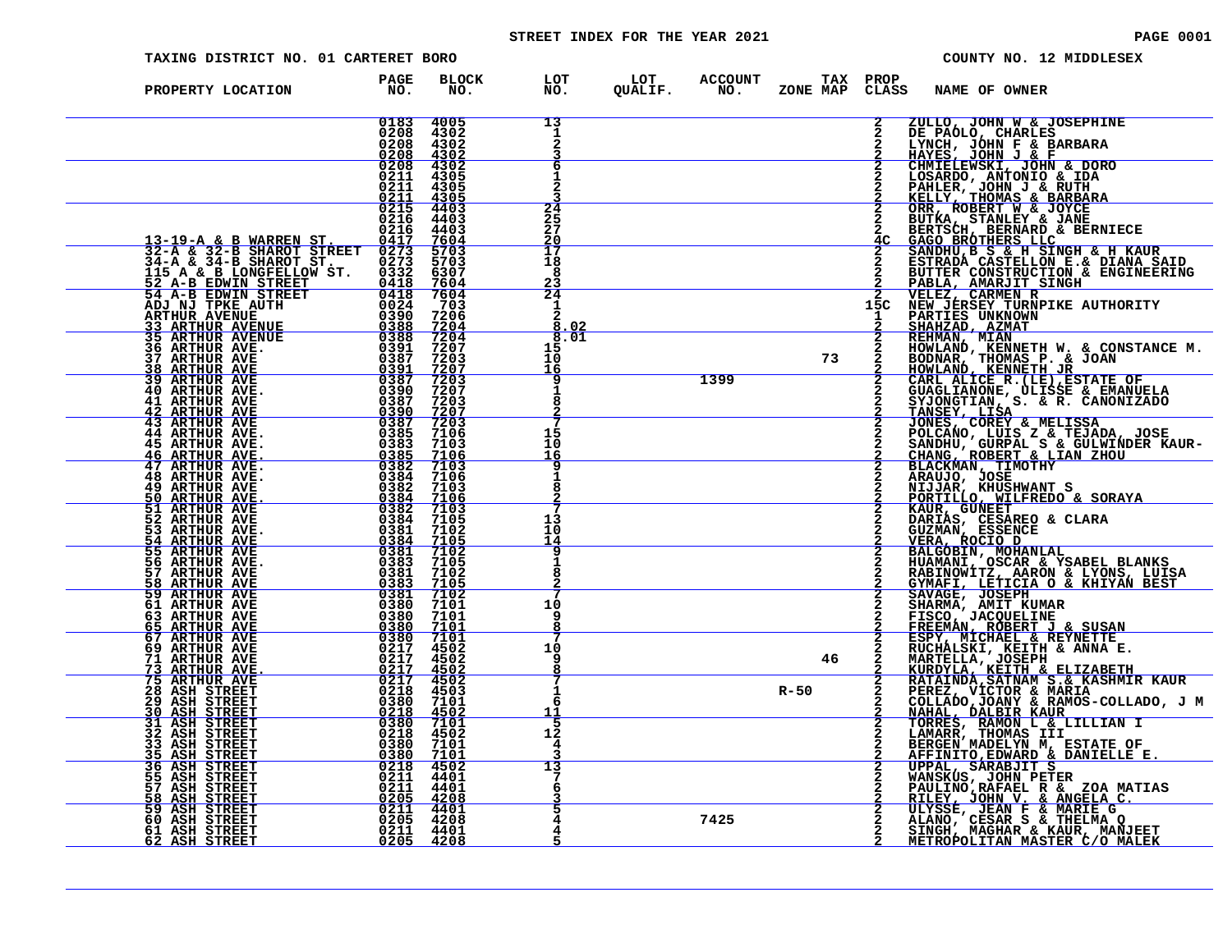#### STREET INDEX FOR THE YEAR 2021 **PAGE 10001** PAGE 0001

| TAXING DISTRICT NO. 01 CARTERET BORO                                                                                                                                                                                          |                                                         |                                                                                                                                                                                                                                                                                                                                                                                         |                                                            |      |          |              | COUNTY NO. 12 MIDDLESEX                                                                                                                                                                                                                                |
|-------------------------------------------------------------------------------------------------------------------------------------------------------------------------------------------------------------------------------|---------------------------------------------------------|-----------------------------------------------------------------------------------------------------------------------------------------------------------------------------------------------------------------------------------------------------------------------------------------------------------------------------------------------------------------------------------------|------------------------------------------------------------|------|----------|--------------|--------------------------------------------------------------------------------------------------------------------------------------------------------------------------------------------------------------------------------------------------------|
| PROPERTY LOCATION                                                                                                                                                                                                             | <b>PAGE</b><br>NO <sub>z</sub>                          | <b>BLOCK</b><br>NO.                                                                                                                                                                                                                                                                                                                                                                     | LOT LOT ACCOUNT TAX PROP<br>NO. QUALIF. NO. ZONE_MAP CLAS: |      |          |              | ZONE MAP CLASS NAME OF OWNER                                                                                                                                                                                                                           |
|                                                                                                                                                                                                                               | 0183<br>0208<br>0208                                    | 4005<br>4302<br>4302                                                                                                                                                                                                                                                                                                                                                                    | 13<br>1<br>2                                               |      |          | $\mathbf{2}$ | ZULLO, JOHN W & JOSEPHINE<br>DE PAÓLO, CHARLES<br>LYNCH, JÓHN F & BARBARA<br><u>HAYES, JÓHN J &amp; F</u>                                                                                                                                              |
|                                                                                                                                                                                                                               | 0211                                                    | $\frac{0208}{9298}$ $\frac{4302}{9298}$<br>0211 4305<br>4305                                                                                                                                                                                                                                                                                                                            | 6<br>1                                                     |      |          |              |                                                                                                                                                                                                                                                        |
|                                                                                                                                                                                                                               | 0216                                                    | $\frac{0.211}{0.215}$ $\frac{4.305}{4.403}$<br>0216 4403<br>4403                                                                                                                                                                                                                                                                                                                        | 24<br>25<br>27                                             |      |          |              | 2 HAYES, JOHN J & P<br>2 CHMIELEWSKI, JOHN & DORO<br>2 LOSARDO, ANTONIO & IDA<br>2 FAHLER, JOHN J & RUTH<br>2 KELLY, THOMAS & BARBARA<br>2 GRR, ROBERT MY & JONE<br>2 BUTKA, STANLEY & JANE<br>2 BERTSCH, BERNARD & BERNIECE<br>4 GAMOHIL RES,         |
| 13-19-A & B WARREN ST. 0417 7604<br>32-A & 32-B SHAROT STREET 0273 5703<br>34-A & 34-B SHAROT ST. 0273 5703                                                                                                                   |                                                         |                                                                                                                                                                                                                                                                                                                                                                                         | <u> 20</u><br>17<br>18                                     |      |          |              | SANDHU, B S & H SINGH & H KAUR<br>ESTRADA CASTELLON E.& DIANA SAID                                                                                                                                                                                     |
|                                                                                                                                                                                                                               |                                                         |                                                                                                                                                                                                                                                                                                                                                                                         | -8<br>23<br>24<br>1                                        |      |          |              | BUTTER CONSTRUCTION & ENGINEERING<br>PABLA, AMARJIT SINGH<br><b>2 VELEZ, CARWEN R<br/>15C NEW JERSEY TURNPIKE AUTHORITY<br/>1 PARTIES UNKNOWN</b>                                                                                                      |
|                                                                                                                                                                                                                               |                                                         |                                                                                                                                                                                                                                                                                                                                                                                         | $\overline{2}$<br>. 0 2<br>8.01<br>15                      |      |          |              | SHAHZAD, AZMAT REHMAN, MIAN                                                                                                                                                                                                                            |
|                                                                                                                                                                                                                               |                                                         |                                                                                                                                                                                                                                                                                                                                                                                         | 10<br>16<br>9                                              | 1399 | 73       |              | KEMMAN, MIAN<br>HOMLAND, KENNETH W. & CONSTANCE M.<br>HOMLAND, KENNETH JR<br>CARL ALICE R. (LE), ESTATE OF<br>CARL ALICE R. (LE), ESTATE OF<br>GUAGLIANCE, LUISSE & EMANUELA<br>SYJONGTIAN, S. & R. CANONIZADO<br>TANSEY, LISA<br>JONES, COREY & MELIS |
| <b>40 ARTHUR AVE.</b><br><b>41 ARTHUR AVE</b><br>$\begin{array}{r} 0.387 \ 0.390 \ 0.397 \ 0.387 \ 0.387 \end{array}$<br><b>42 ARTHUR AVE 43 ARTHUR AVE</b>                                                                   | 0387 7203                                               | $\frac{7207}{7203}$                                                                                                                                                                                                                                                                                                                                                                     | 1<br>8                                                     |      |          |              |                                                                                                                                                                                                                                                        |
| <b>44 ARTHUR AVE.</b><br>$\frac{0383}{0385}$ $\frac{7106}{7100}$<br>0385 7106<br>0382 7103<br>0384 7106<br>0384 7105<br>0384 7105<br>0384 7105<br><b>45 ARTHUR AVE.</b><br>46 ARTHUR AVE.<br>47 ARTHUR AVE.<br>48 ARTHUR AVE. |                                                         |                                                                                                                                                                                                                                                                                                                                                                                         | 15<br>10<br><u> 16</u>                                     |      |          |              | POLCANO, LUIS Z & TEJADA, JOSE<br>SANDHU, GURPAL S & GULWINDER KAUR-CHANG, ROBERT & LIAN ZHOU<br>CHANG, ROBERT & LIAN ZHOU<br>BLACKMAN, TIMOTHY<br>ARAUJO, JOSE                                                                                        |
| <b>49 ARTHUR AVE</b><br>50 ARTHUR AVE.                                                                                                                                                                                        |                                                         |                                                                                                                                                                                                                                                                                                                                                                                         | 1<br>я                                                     |      |          |              | NIJJAR, KHUSHWANT S<br>PORTILLO, WILFREDO & SORAYA                                                                                                                                                                                                     |
| 51 ARTHUR AVE<br>52 ARTHUR AVE<br>53 ARTHUR AVE.<br>$\begin{array}{r}0\bar{3}\bar{8}\bar{1}\0\bar{3}\bar{8}\bar{4}\0\bar{3}\bar{8}\bar{1}\0\bar{3}\bar{8}\bar{1}\end{array}$<br><u>54 ARTHUR AVE</u>                          | 0384 7105<br>0381                                       | 7102<br>7105                                                                                                                                                                                                                                                                                                                                                                            | 13<br>10<br>14                                             |      |          |              | KAUR, GUNEET<br>DARIAS, CESAREO & CLARA<br>GUZMAN, ESSENCE                                                                                                                                                                                             |
| <b>55 ARTHUR AVE</b><br>56 ARTHUR AVE.<br>57 ARTHUR AVE<br>58 ARTHUR AVE                                                                                                                                                      | 0383<br>0381<br>0383                                    | 7102<br>7105<br>7102<br>7105                                                                                                                                                                                                                                                                                                                                                            | 8                                                          |      |          |              | <b>VERA, ESSENCE<br/>REAL ROCIO D<br/>BALGOBIN, MOHANLAL<br/>HUAMANI, OSCAR &amp; YSABEL BLANKS<br/>RABINOWITZ, AARON &amp; LYONS, LUISA<br/>GYMACH, LETICIA O &amp; KHIYAN BEST</b>                                                                   |
| <b>59 ARTHUR AVE</b><br>61 ARTHUR AVE<br>63 ARTHUR AVE                                                                                                                                                                        | 0381 7102<br>0380<br>0380                               | 7101<br>7101                                                                                                                                                                                                                                                                                                                                                                            | 10<br>q<br>8                                               |      |          |              | SAVAGE, JOSEPH SHARMA, AMIT KUMAR                                                                                                                                                                                                                      |
| <b>65 ARTHUR AVE</b><br><b>67 ARTHUR AVE</b><br>69 ARTHUR AVE<br>71 ARTHUR AVE                                                                                                                                                | <u>0380 7101</u><br>0380 7101<br>0217 4502<br>0217 4502 |                                                                                                                                                                                                                                                                                                                                                                                         | 10<br>9                                                    |      | 46       |              | SHARMA, AMIT KUMAR<br>FREEMAN, ROBERIT J & SUSAN<br>ESPY, MICHAEL & REYNETTE<br>RUCHALSKI, KEITH & ANNA E.<br>MARTELLA, JOSEPH & ANNA E.<br>MARTELLA, JOSEPH & ANNA E.<br>KURDYLA, KEITH & ELIZABETH<br>RATAINDA, SATNAM S.& KASHMIR KAUR<br>PEREZ, VI |
| $\frac{0217}{0217} \frac{\overline{4502}}{4502}$<br>73 ARTHUR AVE.<br><b>75 ARTHUR AVE</b><br>28 ASH STREET<br>29 ASH STREET                                                                                                  | 0218 4503<br>0380 7101                                  |                                                                                                                                                                                                                                                                                                                                                                                         | 1<br>6                                                     |      | $R - 50$ | $\bar{2}$    |                                                                                                                                                                                                                                                        |
| <b>30 ASH STREET</b><br><b>31 ASH STREET</b><br>32 ASH STREET<br>33 ASH STREET                                                                                                                                                | 0380 7101<br>0218 4502<br>0380 7101                     |                                                                                                                                                                                                                                                                                                                                                                                         | 11<br>5<br>12<br>4                                         |      |          |              | TORRES, RAMON L & LILLIAN I<br>LAMARR, THOMAS III<br>BERGEN MADELYN M, ESTATE OF                                                                                                                                                                       |
| <u>35 ASH STREET</u><br><b>36 ASH STREET</b><br>55 ASH STREET                                                                                                                                                                 | $\frac{0380}{0218}$ 7101<br>0211 4401<br>0211           |                                                                                                                                                                                                                                                                                                                                                                                         | 13<br>6                                                    |      |          |              | BERGEN MADELYN M, ESTATE OF<br>AFFINITO, EDWARD & DANIELLE E.<br>UPPAL, SARABJIT S<br>WANSKUS, JOHN PETER<br>PAULINO, RAFAEL R & ZOA MATIAS<br>RILEY, JOHN V. & ANGELA C.<br>ULYSSE, JEAN F & MARIE G<br>ALANO, CESAR S & THELMA Q<br>SINGH, M         |
| 57 ASH STREET<br>58 ASH STREET<br>59 ASH STREET<br>60 ASH STREET                                                                                                                                                              | $0\bar{2}\bar{0}\bar{5}$ 4208                           | 4401<br>$\begin{array}{@{}c@{\hspace{0.2em}}c@{\hspace{0.2em}}c@{\hspace{0.2em}}c@{\hspace{0.2em}}c@{\hspace{0.2em}}c@{\hspace{0.2em}}c@{\hspace{0.2em}}c@{\hspace{0.2em}}c@{\hspace{0.2em}}c@{\hspace{0.2em}}c@{\hspace{0.2em}}c@{\hspace{0.2em}}c@{\hspace{0.2em}}c@{\hspace{0.2em}}c@{\hspace{0.2em}}c@{\hspace{0.2em}}c@{\hspace{0.2em}}c@{\hspace{0.2em}}c@{\hspace{0.2em}}c@{\hs$ | 4                                                          | 7425 |          |              |                                                                                                                                                                                                                                                        |
| 61 ASH STREET<br>62 ASH STREET                                                                                                                                                                                                |                                                         | 0211 4401<br>0205 4208                                                                                                                                                                                                                                                                                                                                                                  |                                                            |      |          |              |                                                                                                                                                                                                                                                        |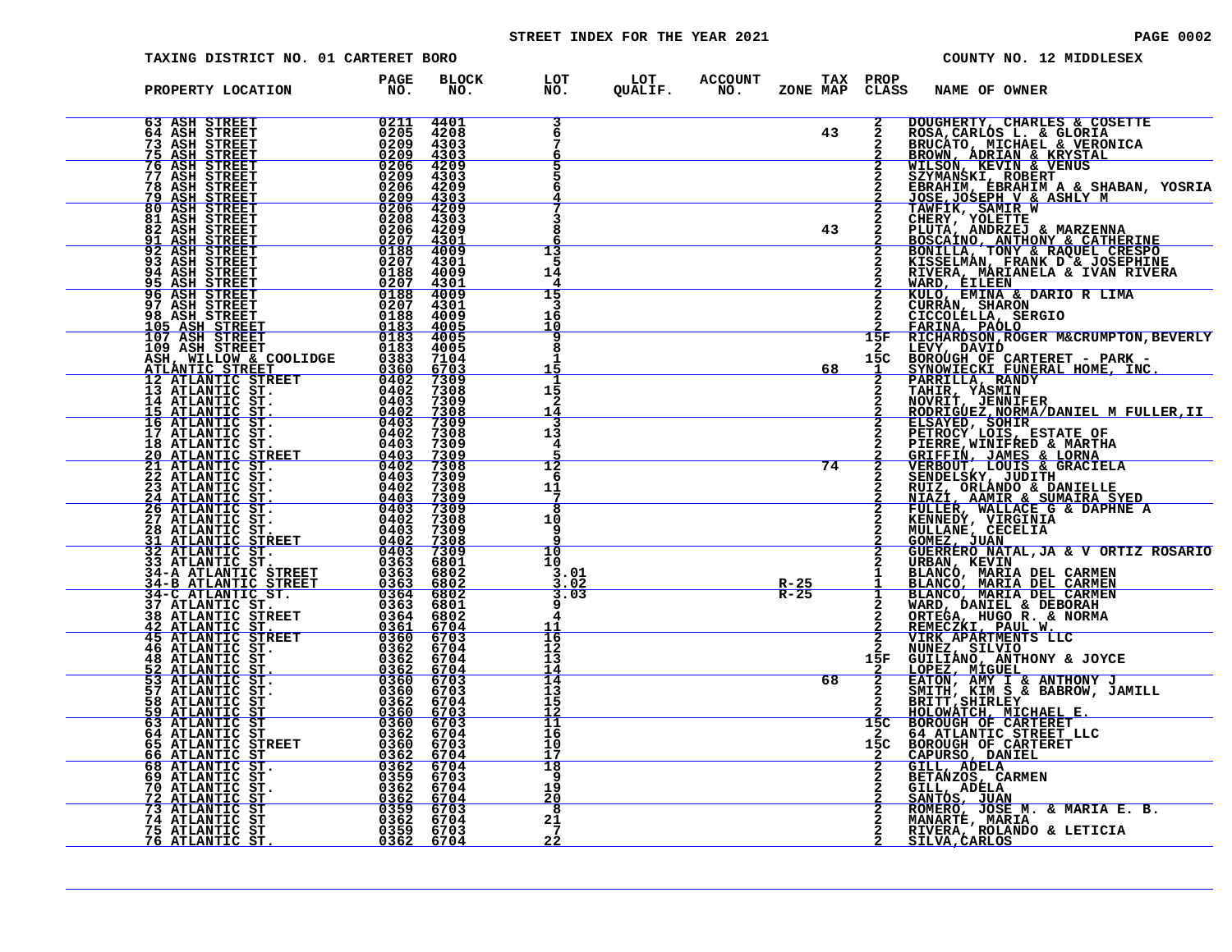#### STREET INDEX FOR THE YEAR 2021 **PAGE 10002** PAGE 0002

| TAXING DISTRICT NO. 01 CARTERET BORO                                                                                                                                                                                                                                                                                                                                                                                                                                                                                                                                                                                |                                                                                                                                                                             |                                             |                                                                      |  |                |                                                 | COUNTY NO. 12 MIDDLESEX                                                                                                                                                                                                                                  |
|---------------------------------------------------------------------------------------------------------------------------------------------------------------------------------------------------------------------------------------------------------------------------------------------------------------------------------------------------------------------------------------------------------------------------------------------------------------------------------------------------------------------------------------------------------------------------------------------------------------------|-----------------------------------------------------------------------------------------------------------------------------------------------------------------------------|---------------------------------------------|----------------------------------------------------------------------|--|----------------|-------------------------------------------------|----------------------------------------------------------------------------------------------------------------------------------------------------------------------------------------------------------------------------------------------------------|
| PROPERTY LOCATION PAGE<br>NO.                                                                                                                                                                                                                                                                                                                                                                                                                                                                                                                                                                                       |                                                                                                                                                                             |                                             | BLOCK LOT LOT ACCOUNT TAX PROP<br>NO. NO. QUALIF. NO. ZONE MAP CLASS |  |                | <b>NAME OF OWNER</b>                            |                                                                                                                                                                                                                                                          |
| 63 ASH STREET<br>64 ASH STREET<br><b>73 ASH STREET<br/>75 ASH STREET</b>                                                                                                                                                                                                                                                                                                                                                                                                                                                                                                                                            | 0211<br>0205<br><u>ŏ2ŏ9</u><br><u>0209</u>                                                                                                                                  | 4401<br>4208<br>4303<br>4303                |                                                                      |  | 43             |                                                 | 2 DOUGHERTY, CHARLES & COSETTE<br>2 ROSA, CARLOS L. & GLORIA<br>2 BRUCATO, MICHAEL & VERONICA<br>2 BROWN, ADRIAN & KRYSTAL                                                                                                                               |
| <b>76 ASH STREET</b><br>77 ASH STREET<br><b>78 ASH STREET<br/><u>79 ASH STREET</u></b>                                                                                                                                                                                                                                                                                                                                                                                                                                                                                                                              | $0206$<br>0209<br>0206<br><u> 0209</u><br>0206                                                                                                                              | 4209<br>4303<br>4209<br>$\frac{4303}{4209}$ |                                                                      |  |                |                                                 |                                                                                                                                                                                                                                                          |
| 80 ASH STREET<br>81 ASH STREET<br>82 ASH STREET<br>91 ASH STREET                                                                                                                                                                                                                                                                                                                                                                                                                                                                                                                                                    | 0208<br>0206                                                                                                                                                                | 4303<br>4209<br>$\frac{4301}{4009}$         |                                                                      |  | 43             |                                                 | <b>EXECUTE AN INSTANT AND SERVE AN INSTANT AND INSTANT AND INSURANT AND INSTANT AND INSTANT ON THE STANDARY CONSULTING A SHABAN, YOSRIA<br/> 2 SEXMANSKI, ROBERT A SHILY M<br/> 2 JOSE, JOSEPH V &amp; ASHLY M<br/> 2 CHERY, YOLETTE<br/> 2 CHERY, Y</b> |
| 92 ASH STREET<br>93 ASH STREET<br><b>94 ASH STREET<br/>95 ASH STREET</b>                                                                                                                                                                                                                                                                                                                                                                                                                                                                                                                                            | $\frac{0\bar{207}}{0188}$<br>0207<br>$\begin{array}{r} 0188 \\ 0207 \\ \hline 0188 \\ 0207 \end{array}$                                                                     | 4301<br>4009<br>4301<br>4009                | 13<br>5<br>14<br>4<br>15                                             |  |                |                                                 |                                                                                                                                                                                                                                                          |
| 96 ASH STREET<br>97 ASH STREET<br>98 ASH STREET<br>105 ASH STREET<br>107 ASH STREET                                                                                                                                                                                                                                                                                                                                                                                                                                                                                                                                 | 0188<br>0183 4005<br>0183 4005                                                                                                                                              | 4301<br>4009                                | 16<br>10<br>٩                                                        |  |                |                                                 | <b>2 FARINA, PAÓLO<br/>15F RICHARDSON, ROGER M&amp;CRUMPTON, BEVERLY</b>                                                                                                                                                                                 |
| 107 ASH STREET 6183<br>109 ASH STREET 6183<br>ASH, WILLOW & COOLIDGE 0363<br>ATLANTIC STREET 0402<br>2 ATLANTIC STREET 0402<br>13 ATLANTIC ST. 0402<br>14 ATLANTIC ST. 0402<br>16 ATLANTIC ST. 0403<br>17 ATLANTIC ST. 0403<br>17 ATLANTIC ST. 0                                                                                                                                                                                                                                                                                                                                                                    |                                                                                                                                                                             | 4005<br>7104<br>$\frac{6703}{7309}$         | 8<br>15                                                              |  | 68             |                                                 | 15F RICHARDSON, ROGER M&CRUMPTON, BEVERLI<br>15C BOROUGH OF CARTERET - PARK -<br>15C BOROUGH OF CARTERET - PARK -<br>2 PARRILLA, RANDY<br>2 TAHIR, YASMIN<br>2 ROBRICEZ, NORMA/DANIEL M FULLER, II<br>2 ROBRICEZ, NORMA/DANIEL M FULLER, II<br>2 RO      |
|                                                                                                                                                                                                                                                                                                                                                                                                                                                                                                                                                                                                                     |                                                                                                                                                                             | 7308                                        | 15<br>$\mathbf{2}$<br><u>14</u><br>13                                |  |                |                                                 | 2 ELSAYED, SOHIR<br>2 PETROCY LOIS, ESTATE OF<br>2 PIERRE, WINIFRED & MARTHA                                                                                                                                                                             |
|                                                                                                                                                                                                                                                                                                                                                                                                                                                                                                                                                                                                                     | $\begin{array}{r} 0403 & 7309 \\ \hline 0403 & 7309 \\ \hline 0402 & 7308 \\ 0403 & 7309 \\ 0403 & 7309 \\ 0403 & 7309 \\ 0403 & 7309 \\ \hline 0403 & 7309 \\ \end{array}$ |                                             | 4<br>$\overline{12}$<br>-6                                           |  | 74             |                                                 | 2 GRIFFIN, JAMES & LORNA<br>2 VERBOUT, LOUIS & GRACIELA<br>2 SENDELSKY, JUDITH                                                                                                                                                                           |
|                                                                                                                                                                                                                                                                                                                                                                                                                                                                                                                                                                                                                     |                                                                                                                                                                             |                                             | 11<br>7<br>8<br>10<br>-9                                             |  |                |                                                 | RUIZ, ORLANDO & DANIELLE<br>NIAZI, AAMIR & SUMAIRA SYED<br><b>FULLER, WALLACE G &amp; DAPHNE A<br/>KENNEDY, VIRGINIA<br/>MULLANE, CECELIA<br/>MULLANE, CECELIA<br/>GOMEZ, JUAN<br/>GUERRERO NATAL, JA &amp; V ORTIZ ROSARIO</b>                          |
|                                                                                                                                                                                                                                                                                                                                                                                                                                                                                                                                                                                                                     |                                                                                                                                                                             |                                             | Q<br>10<br>10                                                        |  |                |                                                 |                                                                                                                                                                                                                                                          |
|                                                                                                                                                                                                                                                                                                                                                                                                                                                                                                                                                                                                                     |                                                                                                                                                                             |                                             | $3.01$<br>$3.02$<br>3.03<br>Q                                        |  | $R-25$<br>R-25 |                                                 | 2 GUERERE NATAL, JA & V ORT<br>2 URBAN, KEVIN<br>1 BLANCO, MARIA DEL CARMEN<br>1 BLANCO, MARIA DEL CARMEN<br>1 BLANCO, MARIA DEL CARMEN<br>2 DRTEGA, HUGO R. & NORMA<br>2 VIRECZKI, PAUL W.<br>2 VIREZ, STIVIO R. & NORMA<br>2 VIREZ, STIVIO L           |
|                                                                                                                                                                                                                                                                                                                                                                                                                                                                                                                                                                                                                     |                                                                                                                                                                             |                                             | 16<br>12<br>13<br>14                                                 |  |                |                                                 | 2 NUNEZ, SILVIO<br>15F GUILIANO, ANTHONY & JOYCE                                                                                                                                                                                                         |
| <b>TRITAINTIC STREET 50362 5208</b><br>14 ATLANTIC ST. 60402 730898<br>14 ATLANTIC ST. 60402 730898<br>16 ATLANTIC ST. 60402 73089898<br>16 ATLANTIC ST. 60403 73089898<br>16 ATLANTIC ST. 60403 73089<br>18 ATLANTIC ST. 60403 73089<br>20 ATLAN<br>$\begin{array}{r} 0.362 \overline{\smash{\big)}\,6704} \\ -0.362 \overline{\smash{\big)}\,6704} \\ \overline{\smash{\big)}\,360} \phantom{00} \\ 0.360 \phantom{00} \\ 0.360 \phantom{00} \\ 0.362 \phantom{0} \\ 0.362 \phantom{0} \\ 0.362 \phantom{0} \\ 0.362 \phantom{0} \\ 0.362 \phantom{0} \\ \overline{\enspace} \\ 0.362 \phantom{0} \\ \end{array}$ |                                                                                                                                                                             |                                             | 14<br>13<br>15<br>12                                                 |  | 68             |                                                 | 2 LOPEZ, MIGUEL<br>2 EATON, AMY I & ANTHONY J<br>2 SMITH, KIM S & BABROW, JAMILL                                                                                                                                                                         |
|                                                                                                                                                                                                                                                                                                                                                                                                                                                                                                                                                                                                                     |                                                                                                                                                                             |                                             | $\frac{11}{16}$<br>10<br>17                                          |  |                |                                                 | 2 SRIIT, SHIRLEY<br>2 HOLOWATCH, MICHAEL E.<br>15C BOROUGH OF CARTERET<br>12 64 ATLANTIC STREET LLC<br>2 GAROUGH OF CARTERET<br>2 CAPURSO, DANIEL<br>2 GILL, ADELA<br>2 GILL, ADELA<br>2 GILL, ADELA                                                     |
| 69 ATLANTIC ST.<br>70 ATLANTIC ST.<br>70 ATLANTIC ST.<br>72 ATLANTIC ST.<br>73 ATLANTIC ST.<br>73 ATLANTIC ST.<br>75 ATLANTIC ST.<br>75 ATLANTIC ST.<br>76 ATLANTIC ST.<br>76 ATLANTIC ST.<br>76 ATLANTIC ST.<br>76 ATLANTIC ST.<br>80362 6703                                                                                                                                                                                                                                                                                                                                                                      |                                                                                                                                                                             |                                             | 18<br>-9<br>19<br><u>20</u><br>-8                                    |  |                | BETANZOS, CARMEN<br>GILL, ADELA<br>SANTOS, JUAN |                                                                                                                                                                                                                                                          |
| <b>75 ATLANTIC ST<br/>76 ATLANTIC ST.</b>                                                                                                                                                                                                                                                                                                                                                                                                                                                                                                                                                                           | 0359 6703<br>0362 6704                                                                                                                                                      |                                             | 21<br>-7<br>22                                                       |  |                |                                                 | ROMERO, JOSE M. & MARIA E. B.<br>MANARTE, MARIA<br>RIVERA, ROLANDO & LETICIA<br>SILVA, CARLOS                                                                                                                                                            |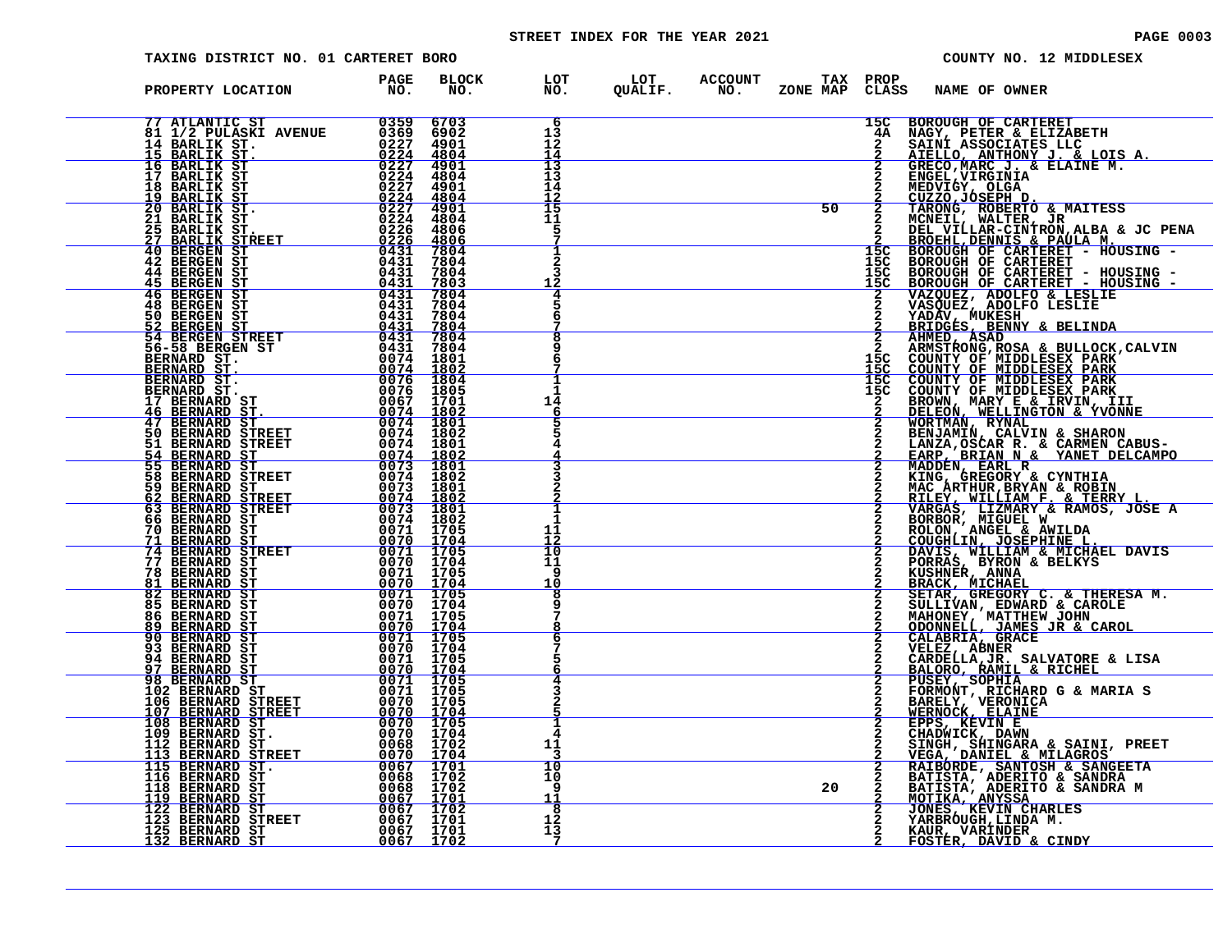#### STREET INDEX FOR THE YEAR 2021 **PAGE 10003** PAGE 0003

| TAXING DISTRICT NO. 01 CARTERET BORO                                                                                                                                                                                                                                         |                                                                                                                                                                             |                                     |                                                                  |                                                            |    |              | COUNTY NO. 12 MIDDLESEX                                                                                                                                                                                                                                                                         |
|------------------------------------------------------------------------------------------------------------------------------------------------------------------------------------------------------------------------------------------------------------------------------|-----------------------------------------------------------------------------------------------------------------------------------------------------------------------------|-------------------------------------|------------------------------------------------------------------|------------------------------------------------------------|----|--------------|-------------------------------------------------------------------------------------------------------------------------------------------------------------------------------------------------------------------------------------------------------------------------------------------------|
| PROPERTY LOCATION                                                                                                                                                                                                                                                            | PAGE<br>NO <sub>z</sub>                                                                                                                                                     | <b>BLOCK</b><br>NO.                 |                                                                  | LOT LOT ACCOUNT TAX PROP<br>NO. QUALIF. NO. ZONE MAP CLASS |    |              | <b>NAME OF OWNER</b>                                                                                                                                                                                                                                                                            |
| 11 ATLANTIC ST 1988<br>11 ATLANTIC ST 1988<br>14 BARLIK ST. 1988<br>15 BARLIK ST. 1988<br>15 BARLIK ST. 1988                                                                                                                                                                 |                                                                                                                                                                             | 6703<br>6902<br>4901                | 6<br>13<br>12<br>14                                              |                                                            |    | 15C<br>4A    | <b>BOROUGH OF CARTERET</b><br>NAGY, PETER & ELIZABETH<br>SAINI ASSOCIATES LLC                                                                                                                                                                                                                   |
| <u>15 BARLIK ST.<br/>16 BARLIK ST.</u><br>17 BARLIK ST<br>18 BARLIK ST<br><u>19 BARLIK ST.</u><br>20 BARLIK ST.                                                                                                                                                              | $\frac{0\bar{2}\bar{2}\bar{4}}{0\bar{2}\bar{2}\bar{7}} \begin{array}{r} 480\bar{4} \\ 4901 \\ 0224 \\ 4804 \end{array}$<br>0227<br>$\frac{\frac{0}{0}2\overline{24}}{0227}$ | 4901<br>4804<br>4901                | $\begin{array}{c} 13 \\ 13 \end{array}$<br>14<br>$\frac{12}{15}$ |                                                            |    |              | AIELLO, ANTHONY J. & LOIS A.<br>GRECO, MARC J. & ELAINE M.                                                                                                                                                                                                                                      |
| 21 BARLIK ST<br>25 BARLIK ST.<br><u> 27 BARLIK STREET</u>                                                                                                                                                                                                                    | $\frac{0\bar{2}\bar{2}4}{0\bar{2}\bar{2}6}$<br>$\frac{0\bar{2}\bar{2}\bar{6}}{0431}$                                                                                        | 4804<br>4806<br>$\frac{4806}{7804}$ | 11<br>5                                                          |                                                            | 50 |              | 2 GRECO, MARC J. & ELAINE M.<br>2 ENGEL, VIRGINIA<br>2 CUZZO, JOGA<br>2 CUZZO, JOGA<br>2 TARONG, ROBERTO & MAITESS<br>2 DEL VILLAR-CINTRON, ALBA & JC PENA<br>2 DEL VILLAR-CINTRON, ALBA & JC PENA<br>2 DEL VILLAR-CINTRON, ALBA & JC PENA<br>                                                  |
| <b>40 BERGEN ST</b><br><b>42 BERGEN ST</b><br>44 BERGEN ST<br>45 BERGEN ST<br>46 BERGEN ST                                                                                                                                                                                   | 0431<br>0431<br>0431                                                                                                                                                        | 7804<br>7804<br>7803<br>7804        | $\overline{a}$<br>12                                             |                                                            |    |              |                                                                                                                                                                                                                                                                                                 |
| $\begin{array}{r} 0431 \\ 0431 \end{array}$<br><b>48 BERGEN ST</b><br>50 BERGEN ST                                                                                                                                                                                           | 0431                                                                                                                                                                        | 7804<br>7804                        |                                                                  |                                                            |    |              | 15C BOROUGH OF CARTERET - HOUSING -<br>15C BOROUGH OF CARTERET - HOUSING -<br>2 VAZQUEZ, ADOLFO & LESLIE<br>2 VAZQUEZ, ADOLFO & LESLIE<br>2 YADÁV, MUKESH<br>2 REIDGES, BENNY & BELINDA<br>2 REIDGES, BENNY & BELINDA<br>2 REIDGES, BENNY & BELINDA                                             |
| <b>50 BERGEN ST<br/> 52 BERGEN ST<br/> 54 BERGEN STREET 0431 7804<br/> 56-58 BERGEN ST<br/> BERNARD ST. 0074 1802<br/> BERNARD ST. 0074 1802<br/> BERNARD ST. 0076 1804<br/> BERNARD ST. 0076 1804<br/> BERNARD ST. 0076 1804<br/> BERNARD ST. 0076 1805<br/> BERNARD ST</b> |                                                                                                                                                                             |                                     |                                                                  |                                                            |    |              |                                                                                                                                                                                                                                                                                                 |
| BERNARD ST.<br>17 BERNARD ST.<br>46 BERNARD ST.<br>47 BERNARD ST.<br>47 BERNARD ST.<br>51 BERNARD STREET 0074 1801<br>51 BERNARD STREET 0074 1802<br>54 BERNARD STREET 0074 1802<br>555 BERNARD STREET 0073 1801<br>59 BERNARD STREET 0073 1801<br>                          |                                                                                                                                                                             |                                     | 14<br>6                                                          |                                                            |    |              |                                                                                                                                                                                                                                                                                                 |
|                                                                                                                                                                                                                                                                              |                                                                                                                                                                             |                                     |                                                                  |                                                            |    |              |                                                                                                                                                                                                                                                                                                 |
| 59 BERNARD ST<br>62 BERNARD STREET                                                                                                                                                                                                                                           | $\begin{array}{r} 0073 & 1801\ -0073 & 1801\ -0074 & 1802\ 0074 & 1802\ 0074 & 1802\ 0071 & 1705\ \end{array}$                                                              |                                     | п.                                                               |                                                            |    |              |                                                                                                                                                                                                                                                                                                 |
| <b>63 BERNARD STREET<br/>66 BERNARD STREET<br/>70 BERNARD ST<br/>74 BERNARD STREET<br/>74 BERNARD STREET<br/>74 BERNARD STREET</b><br>77 BERNARD ST                                                                                                                          | <u>0070 1704</u><br>0071 1705                                                                                                                                               |                                     | 11<br>12<br>10<br>11<br>9                                        |                                                            |    |              |                                                                                                                                                                                                                                                                                                 |
| <b>78 BERNARD ST</b><br><b>81 BERNARD ST</b><br>82 BERNARD ST<br>85 BERNARD ST                                                                                                                                                                                               | $\begin{array}{cccc} 0070 & 1704 \\ 0071 & 1704 \\ 0070 & 1704 \\ 0071 & 1705 \\ 0071 & 1705 \\ 0070 & 1704 \\ \end{array}$                                                 |                                     | 10<br>8                                                          |                                                            |    |              |                                                                                                                                                                                                                                                                                                 |
| <b>86 BERNARD ST<br/>89 BERNARD ST<br/>90 BERNARD ST</b><br>93 BERNARD ST<br>94 BERNARD ST                                                                                                                                                                                   | 0071 1705<br><u>0070 1704</u><br>0071 1705<br>0070 1704<br>0071 1705                                                                                                        |                                     |                                                                  |                                                            |    |              | 2 AHMEY AN APAR BELINDA<br>2 ARMSTRONG, ROSA & BULLOCK, CALVIN<br>15C COUNTY OF MIDDLESEX PARK<br>15C COUNTY OF MIDDLESEX PARK<br>15C COUNTY OF MIDDLESEX PARK<br>15C COUNTY OF MIDDLESEX PARK<br>15C COUNTY OF MIDDLESEX PARK<br>2 BENJAMIN<br>VELEZ, ABNER<br>CARDELLA, JR., SALVATORE & LISA |
| <u>97 BERNARD ST</u><br>98 BERNARD ST<br>102 BERNARD ST<br>106 BERNARD STREET<br>107 BERNARD STREET                                                                                                                                                                          | <u>0070 1704</u><br>0071 1705<br>0071 1705                                                                                                                                  |                                     |                                                                  |                                                            |    |              | BALORO, RAMIL & RICHEL<br>PUSEY, SOPHIA<br>PUSEY, SOPHIA<br>BARELY, VERONICA<br>BARELY, VERONICA<br>MERNOCK, ELAINE                                                                                                                                                                             |
| 108 BERNARD ST<br>109 BERNARD ST.<br>112 BERNARD ST.<br><u>113 BERNARD STREET</u>                                                                                                                                                                                            | $\begin{array}{rr} 0070 & 1705 \ 0070 & 1704 \ 0070 & 1705 \ 0070 & 1704 \ 0068 & 1704 \end{array}$                                                                         |                                     | 11                                                               |                                                            |    | $\mathbf{2}$ | <b>EPPS, KEVIN E<br/>CHADWICK, DAWN<br/>SINGH, SHINGARA &amp; SAINI, PREET</b>                                                                                                                                                                                                                  |
| 115 BERNARD ST.<br>116 BERNARD ST<br>118 BERNARD ST<br>119 BERNARD ST                                                                                                                                                                                                        | 0070 1704<br>0067 1701                                                                                                                                                      |                                     | 10<br>10<br>9<br>11                                              |                                                            | 20 |              | VEGA, DANIEL & MILAGROS<br>RAIBORDE, SANTOSH & SANGEETA<br>BATISTA, ADERITO & SANDRA<br>BATISTA, ADERITO & SANDRA M<br>MOTIKA, ANYSSA                                                                                                                                                           |
| 122 BERNARD ST<br>123 BERNARD STREET<br>125 BERNARD ST<br>132 BERNARD ST                                                                                                                                                                                                     | $\begin{array}{r} 0068 & 1702\ 0068 & 1702\ 0068 & 1702\ 0067 & 1702\ 0067 & 1701\ 0067 & 1701\ 0067 & 1701\ \end{array}$                                                   |                                     | 8<br>12<br>13<br>- 7                                             |                                                            |    |              | JONES, KEVIN CHARLES<br>YARBROUGH, LINDA M.<br>KAUR, VARÍNDER<br>FOSTER, DAVID & CINDY                                                                                                                                                                                                          |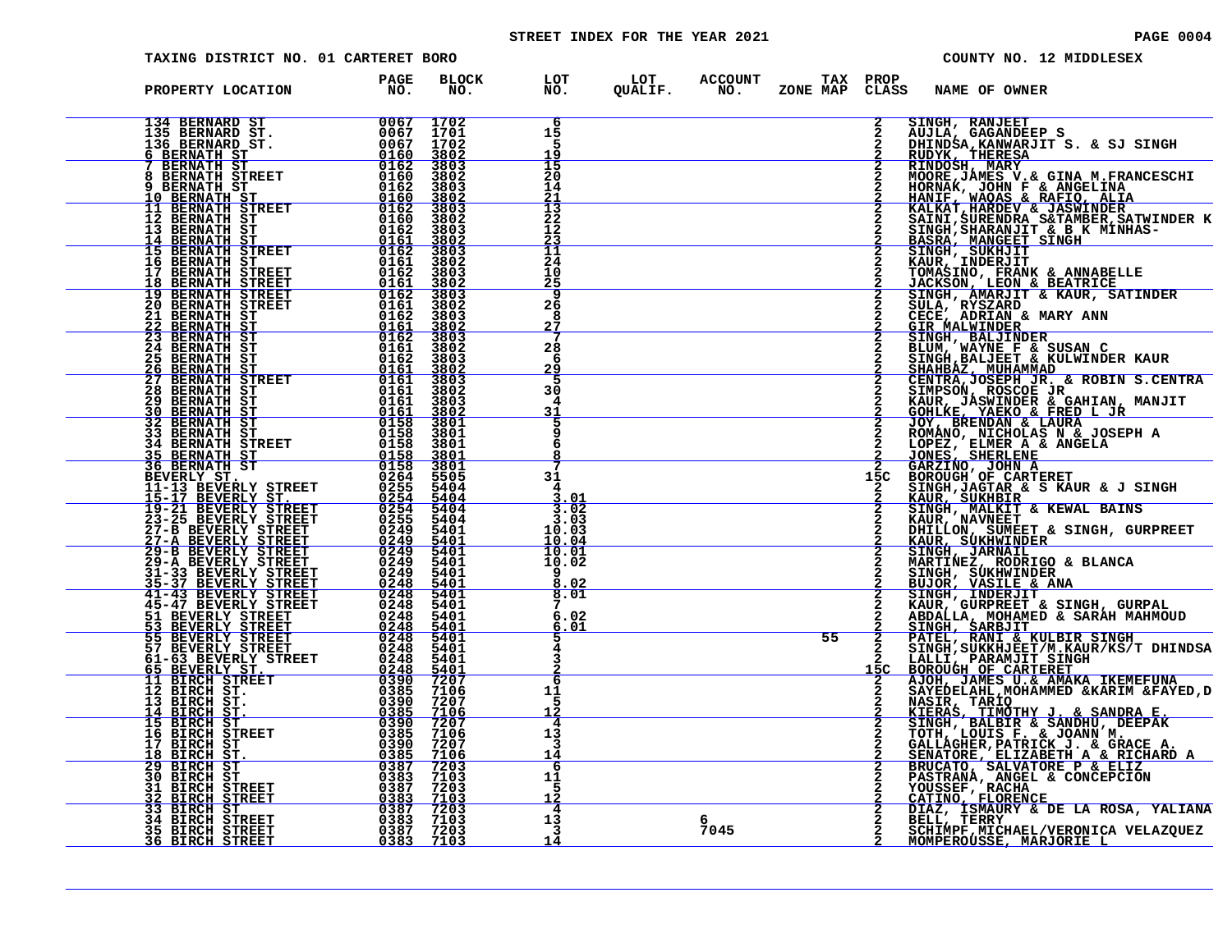# STREET INDEX FOR THE YEAR 2021 **PAGE 10004** PAGE 0004

| TAXING DISTRICT NO. 01 CARTERET BORO                                                                                                                                                                                                                                                                                                                                                                               |                                              |                     |                                         |           |                                   | COUNTY NO. 12 MIDDLESEX                                                                                                                                                                                                                                |
|--------------------------------------------------------------------------------------------------------------------------------------------------------------------------------------------------------------------------------------------------------------------------------------------------------------------------------------------------------------------------------------------------------------------|----------------------------------------------|---------------------|-----------------------------------------|-----------|-----------------------------------|--------------------------------------------------------------------------------------------------------------------------------------------------------------------------------------------------------------------------------------------------------|
| PROPERTY LOCATION                                                                                                                                                                                                                                                                                                                                                                                                  | <b>PAGE</b><br>$\overline{N}$ $\overline{N}$ | <b>BLOCK</b><br>NO. |                                         |           |                                   |                                                                                                                                                                                                                                                        |
| $\begin{tabular}{l c c c c c} \textbf{FROPERTY LOCATION} & \textbf{PAGE} & \textbf{BLOC11} & \textbf{PAGE} & \textbf{BLOC1} & \textbf{DOS} & \textbf{DLOC1} & \textbf{DOS} & \textbf{DLOC1} & \textbf{DOS} & \textbf{DLOC1} & \textbf{DOS} & \textbf{DLOC1} & \textbf{DOS} & \textbf{DOS} & \textbf{DOS} & \textbf{DOS} & \textbf{DOS} & \textbf{DOS} & \textbf{DOS} & \textbf{DOS} & \textbf{DOS} & \textbf{DOS}$ |                                              |                     | -6<br>15<br>.5<br>19                    |           | $\mathbf{2}$<br>$\mathbf{2}$      | SINGH, RANJEET<br>AUJLA, GAGANDEEP S<br>DHINDSA, KANWARJIT S. & SJ SINGH<br>RUDYK, THERESA                                                                                                                                                             |
|                                                                                                                                                                                                                                                                                                                                                                                                                    |                                              |                     | 15<br>20<br>14<br><u> 21</u>            |           |                                   | RUDYK, THERESA<br>RINDOSH, MARY<br>ROORE, JAMEY<br>HORNAK, JOHN F & ANGELINA<br>HANIF, WAQAS & RAFIO, ALIA<br>HANIF, WAQAS & RAFIO, ALIA<br>KALKAT,HARDEV & JASWINDER<br>SAINI, SURENDRA S&TAMBER,SATWINDER K<br>SINGH,SHARANJIT & B K MINHAS-BASRA, M |
|                                                                                                                                                                                                                                                                                                                                                                                                                    |                                              |                     | 13<br>22<br>12<br><u>23</u>             |           |                                   |                                                                                                                                                                                                                                                        |
|                                                                                                                                                                                                                                                                                                                                                                                                                    |                                              |                     | $11\,$<br>24<br>10<br><u> 25</u><br>9   |           |                                   |                                                                                                                                                                                                                                                        |
|                                                                                                                                                                                                                                                                                                                                                                                                                    |                                              |                     | 26<br>8<br><u>27</u>                    |           |                                   | 2 JACKSON, LEON & BEATRICE<br>2 JACKSON, LEON & BEATRICE<br>2 SINGH, AMARJIT & KAUR, SATINDER<br>2 GIECE, ADRIAN & MARY ANN<br>2 GIECE, ADRIAN & MARY ANN<br>2 GIECE, ADRIAN & MARY ANN<br>2 SINGH, BALJEET & KULWINDER<br>2 SINGH, BALJEET            |
|                                                                                                                                                                                                                                                                                                                                                                                                                    |                                              |                     | 28<br>-6<br>29<br>-5                    |           |                                   |                                                                                                                                                                                                                                                        |
|                                                                                                                                                                                                                                                                                                                                                                                                                    |                                              |                     | 30<br>4<br>31<br>5                      |           |                                   |                                                                                                                                                                                                                                                        |
|                                                                                                                                                                                                                                                                                                                                                                                                                    |                                              |                     | 6                                       |           |                                   |                                                                                                                                                                                                                                                        |
|                                                                                                                                                                                                                                                                                                                                                                                                                    |                                              |                     | 31<br>3.01<br>3.02                      |           |                                   | SINGH, JAGTAR & S KAUR & J SINGH                                                                                                                                                                                                                       |
|                                                                                                                                                                                                                                                                                                                                                                                                                    |                                              |                     | 3.03<br>10.03<br><u> 10.04</u><br>10.01 |           |                                   |                                                                                                                                                                                                                                                        |
|                                                                                                                                                                                                                                                                                                                                                                                                                    |                                              |                     | 10.02<br>۰q<br>8.02<br>8.01             |           | $\frac{\frac{2}{2}}{\frac{2}{2}}$ |                                                                                                                                                                                                                                                        |
|                                                                                                                                                                                                                                                                                                                                                                                                                    |                                              |                     | 6.02<br><u>6.Ol</u>                     |           |                                   |                                                                                                                                                                                                                                                        |
|                                                                                                                                                                                                                                                                                                                                                                                                                    |                                              |                     | 6<br>11                                 |           |                                   | 2 EAUR, SUKHEIR<br>2 SINGH, MALKIT & KEWAL BAINS<br>2 SINGH, MALKIT & KEWAL BAINS<br>2 KAUR, SUKHEIR<br>2 BHILLON, SUMBET & SINGH, GURPREET<br>2 SINGH, JUKHWINDER<br>2 SINGH, SUKHWINDER<br>2 BUJOR, VASILLE & ANA<br>2 BUJOR, VASILLE & SING         |
|                                                                                                                                                                                                                                                                                                                                                                                                                    |                                              |                     | -5<br>12<br>4<br>13                     |           | $\overline{2}$                    | SAIEDELAIR, NORAMMED & AARIM & FAIED, I<br>NASIR, TARIQ<br>KIERAS, TIMOTHY J. & SANDRA E.<br>SINGH, BALBIR & SANDHU, DEEPAK<br>TOTH, LOUIS F. & JOANN M.<br>CALLAGHER, PATICK J. & GRACE A.<br>SENATORE, ELIZABETH A & RICHARD A<br>BRUCATO, SALVAT    |
|                                                                                                                                                                                                                                                                                                                                                                                                                    |                                              |                     | 3<br><u> 14</u><br>-6<br>11<br>.5       |           |                                   |                                                                                                                                                                                                                                                        |
|                                                                                                                                                                                                                                                                                                                                                                                                                    |                                              |                     | <u> 12</u><br>4<br>13<br>-3             | 6<br>7045 | $\mathbf{2}$                      | PASTRANA, ANGEL & CONCEPCION<br>YOUSSEF, RACHA<br>CATINO, FLORENCE<br>CATINO, FLORENCE<br>DIAZ, ISMAURY & DE LA ROSA, YALIANA<br>BELL, TERRY<br>SCHIMPF, MICHAEL/VERONICA VELAZQUEZ                                                                    |
|                                                                                                                                                                                                                                                                                                                                                                                                                    |                                              |                     | 14                                      |           |                                   | MOMPEROUSSE, MARJORIE L                                                                                                                                                                                                                                |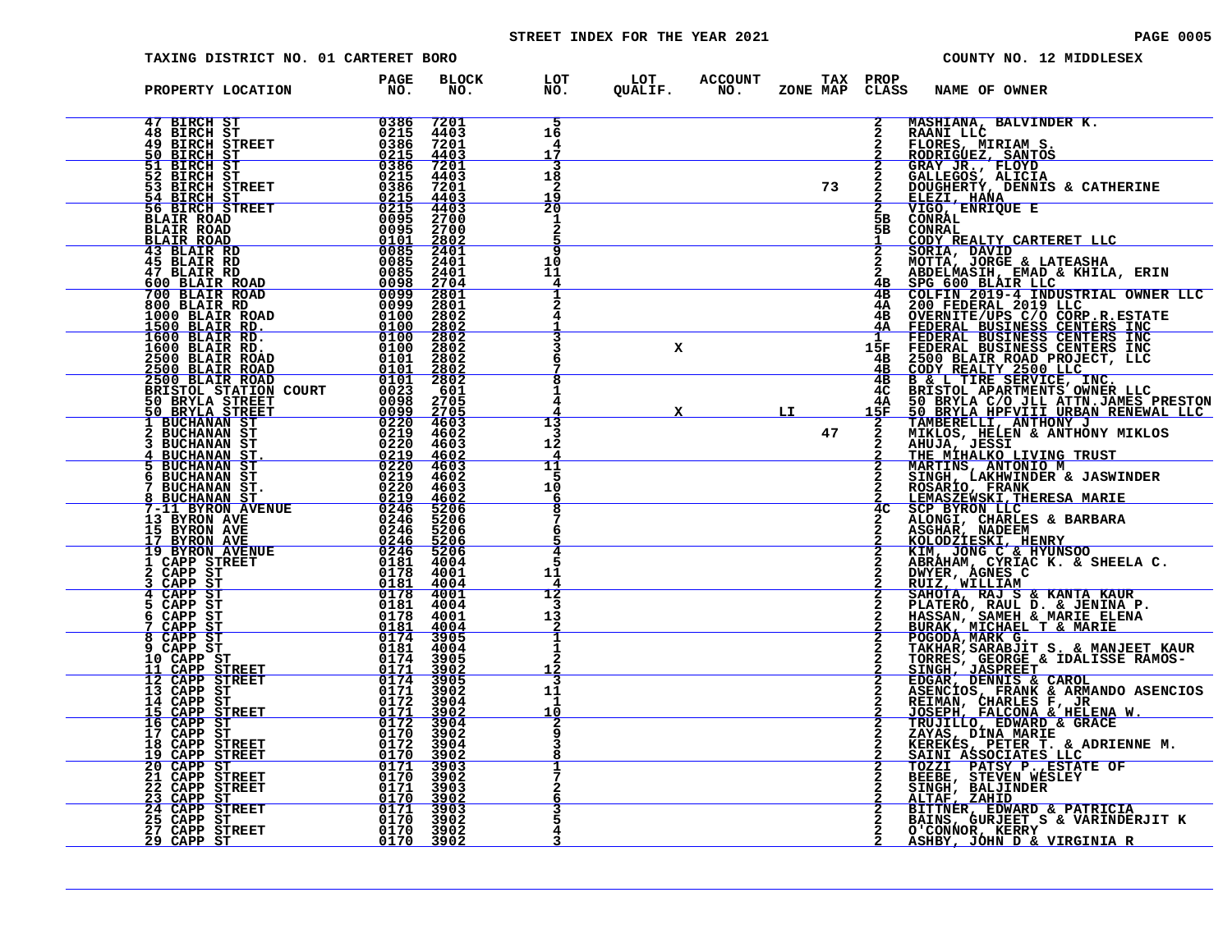# STREET INDEX FOR THE YEAR 2021 **PAGE 10005** PAGE 0005

| TAXING DISTRICT NO. 01 CARTERET BORO                                                                                                                                                                                                                                                     |                                                                                                                                                                                                                                                                                                                                                                                                                                |                                                    |                                            |                                                    |    |                       | COUNTY NO. 12 MIDDLESEX                                                                                                                                                                                                                      |
|------------------------------------------------------------------------------------------------------------------------------------------------------------------------------------------------------------------------------------------------------------------------------------------|--------------------------------------------------------------------------------------------------------------------------------------------------------------------------------------------------------------------------------------------------------------------------------------------------------------------------------------------------------------------------------------------------------------------------------|----------------------------------------------------|--------------------------------------------|----------------------------------------------------|----|-----------------------|----------------------------------------------------------------------------------------------------------------------------------------------------------------------------------------------------------------------------------------------|
| PROPERTY LOCATION                                                                                                                                                                                                                                                                        | <b>PAGE</b><br>NO <sub>z</sub>                                                                                                                                                                                                                                                                                                                                                                                                 | <b>BLOCK</b><br>NO.                                | LOT<br>NO.                                 | LOT ACCOUNT TAX PROP<br>QUALIF. NO. ZONE_MAP CLAS! |    | CLASS                 | <b>NAME OF OWNER</b>                                                                                                                                                                                                                         |
| 47 BIRCH ST<br><b>48 BIRCH ST</b><br>49 BIRCH STREET<br>50 BIRCH ST                                                                                                                                                                                                                      | $\overline{0386}$<br>0215                                                                                                                                                                                                                                                                                                                                                                                                      | 7201<br>4403<br>7201                               | 16<br>4<br>17                              |                                                    |    |                       | MASHIANA, BALVINDER K.<br>RAANI LLC                                                                                                                                                                                                          |
| 51 BIRCH ST<br>52 BIRCH ST                                                                                                                                                                                                                                                               | $\frac{0386}{0215}$ $0.215$ $0.215$ $0.215$ $0.386$ $0.215$ $0.386$                                                                                                                                                                                                                                                                                                                                                            | $\frac{4403}{7201}$<br>4403<br>7201<br><u>4403</u> | 3<br>18<br>2<br>$\frac{1\overline{9}}{20}$ |                                                    | 73 |                       | <b>FAANILLE<br/>FLORES, MIRIAM S.<br/>RODRIGUEZ, SANTOS<br/>GRAY JR., FLOYD<br/>GALLEGOS, ALICIA<br/>DOUGHERTY, DENNIS &amp; CATHERINE<br/>ELEZI, HANA<br/>ELEZI, HANA<br/>VIGO, ENRIQUE E</b>                                               |
| <b>51 BIRCH 51<br/> 52 BIRCH 51<br/> 52 BIRCH ST<br/> 53 BIRCH STREET 0215<br/> 54 BIRCH STREET 0215<br/> 56 BIRCH STREET 0215<br/> 56 BIRCH STREET 0215<br/> BLAIR ROAD 00955<br/> BLAIR ROAD 000955<br/> BLAIR ROAD 00085<br/> 43 BLAIR RD<br/> 43 BLAIR RD<br/> 45 BLAIR RD<br/> </b> |                                                                                                                                                                                                                                                                                                                                                                                                                                | 4403<br>2700<br>2700<br>$\frac{2802}{2401}$        | 2                                          |                                                    |    | 5в<br>5B              | CONRAL<br>CONRAL                                                                                                                                                                                                                             |
| 47 BLAIR RD<br>600 BLAIR ROAD<br>700 BLAIR ROAD                                                                                                                                                                                                                                          | 0085<br>0098                                                                                                                                                                                                                                                                                                                                                                                                                   | 2401<br>2401<br>2704                               | c<br>10<br>11<br>4                         |                                                    |    |                       | CODY REALTY CARTERET LLC<br>SORIA, DAVID<br>MOTTA, JORGE & LATEASHA                                                                                                                                                                          |
| 800 BLAIR RD<br>1000 BLAIR ROAD<br>1500 BLAIR RD.<br>1600 BLAIR RD.                                                                                                                                                                                                                      | 0099<br>0099<br>0100<br>0100<br>0100                                                                                                                                                                                                                                                                                                                                                                                           | $\frac{2801}{2801}$<br>2802<br>$\frac{2802}{2802}$ |                                            |                                                    |    | 4B<br>4A<br>4 B<br>4A | MOTTA, JORGE & LATEASHA<br>ABDELMASIH, EMAD & KHILA, ERIN<br>SPG 600 BLAIR LLC<br>COLFIN 2019-4 INDUSTRIAL OWNER LLC<br>200 FEDERAL 2019 LLC<br>200 FEDERAL BUSINESS CENTERS INC<br>FEDERAL BUSINESS CENTERS INC<br>FEDERAL BUSINESS CENTERS |
| 1600 BLAIR RD.<br>2500 BLAIR ROAD<br>2500 BLAIR ROAD<br>2500 BLAIR ROAD                                                                                                                                                                                                                  | 0100<br>0101<br>0101<br>0101                                                                                                                                                                                                                                                                                                                                                                                                   | 2802<br>2802<br>2802<br>2802                       | 8                                          | x                                                  |    | 15F<br>4B<br>4B<br>4в |                                                                                                                                                                                                                                              |
| BRISTOL STATION COURT<br>50 BRYLA STREET<br>50 BRYLA STREET<br><b>1 BUCHANAN ST</b>                                                                                                                                                                                                      | 0023<br>0098<br><u>0099</u><br>0220                                                                                                                                                                                                                                                                                                                                                                                            | 601<br>2705<br>2705<br>4603                        | 13                                         |                                                    | LI | 4C<br>4A<br>15F       | B & L TIRE SERVICE, INC.<br>BRISTOL APARTMENTS OWNER LLC<br>50 BRYLA C/O JLL ATTN.JAMES PRESTON<br>50 BRYLA HPFVIII URBAN RENEWAL LLC<br>TAMBERELLI, ANTHONY J                                                                               |
| 2 BUCHANAN ST<br><b>3 BUCHANAN ST</b><br>4 BUCHANAN ST.<br>5 BUCHANAN ST<br>6 BUCHANAN ST                                                                                                                                                                                                | 0219<br>0220<br>$\frac{0219}{0220}$                                                                                                                                                                                                                                                                                                                                                                                            | 4602<br>4603<br>4602<br>4603                       | 3<br>12<br>4<br>11                         |                                                    | 47 | $\frac{2}{2}$         | MIKLOS, HELEN & ANTHONY MIKLOS<br>AHUJA, JESSI<br>THE MIHALKO LIVING TRUST<br>MARTINS, ANTONIO M<br>SINGH, LAKHWINDER & JASWINDER                                                                                                            |
| BUCHANAN ST.<br>BUCHANAN ST<br>7-11 BYRON AVENUE                                                                                                                                                                                                                                         | 0219<br>0220<br>0219<br>0246                                                                                                                                                                                                                                                                                                                                                                                                   | 4602<br>4603<br>4602<br>5206                       | 5<br>10<br>6<br>8                          |                                                    |    | 4 <sup>C</sup>        | ROSARIO, FRANK<br>LEMASZEWSKI, THERESA MARIE<br><b>SCP BYRON LLC</b>                                                                                                                                                                         |
| 13 BYRON AVE<br>15 BYRON AVE<br><u>17 BYRON AVE</u><br><b>19 BYRON AVENUE</b>                                                                                                                                                                                                            | 0246<br>0246<br>$0246$<br>0246                                                                                                                                                                                                                                                                                                                                                                                                 | 5206<br>5206<br>$\frac{5206}{5206}$                | 6<br>4                                     |                                                    |    |                       | ALONGI, CHARLES & BARBARA<br>ASGHAR, NADEEM<br><b>KOLODZIESKI, HENRY<br/>KIM, JONG C &amp; HYUNSOO</b>                                                                                                                                       |
| 1 CAPP STREET<br>2 CAPP ST<br>CAPP ST<br>CAPP ST                                                                                                                                                                                                                                         | 0181<br>0178<br>0181<br>0178 4001                                                                                                                                                                                                                                                                                                                                                                                              | 4004<br>4001<br>4004                               | 11<br>4<br>12                              |                                                    |    |                       | ABRAHAM, CYRIAC K. & SHEELA C.<br>DWYER, AGNES C<br>RUIZ, WILLIAM                                                                                                                                                                            |
| 5 CAPP ST<br>CAPP ST<br>CAPP ST<br>CAPP ST<br>8                                                                                                                                                                                                                                          | 0181<br>0178<br>$\frac{\overline{0181}}{0174}$                                                                                                                                                                                                                                                                                                                                                                                 | 4004<br>4001<br>$\frac{4004}{3905}$                | 3<br>13                                    |                                                    |    |                       | SAHOTA, RAJ S & KANTA KAUR<br>PLATERO, RAUL D. & JENINA P.<br>HASSAN, SAMEH & MARIE ELENA<br>BURAK, MICHAEL T & MARIE<br>POGODA, MARK G.                                                                                                     |
| 9 CAPP ST<br>10 CAPP ST<br>11 CAPP STREET<br>12 CAPP STREET                                                                                                                                                                                                                              | 0181<br>0174<br>0171<br>0174                                                                                                                                                                                                                                                                                                                                                                                                   | 4004<br>3905<br>3902<br>3905<br>3902               | <u> 12</u><br>З<br>11                      |                                                    |    |                       | TAKHAR, SARABJIT S. & MANJEET KAUR<br>TORRES, GEORGE & IDALISSE RAMOS-<br>SINGH, JASPREET<br>EDGAR, DENNIS & CAROL<br>ASENCIOS, FRANK & ARMANDO ASENCIOS                                                                                     |
| 13 CAPP ST<br>14 CAPP ST<br>15 CAPP STREET<br>16 CAPP ST<br>17 CAPP ST                                                                                                                                                                                                                   | 0171<br>0172<br>0171<br>0172<br>0170                                                                                                                                                                                                                                                                                                                                                                                           | 3904<br>3902<br>3904<br>3902                       | 1<br>10<br>q                               |                                                    |    |                       | REIMAN, CHARLES F, JR<br>JOSEPH, FALCONA & HELENA W.<br>TRUJILLO, EDWARD & GRACE<br>ZAYAS, DINA MARIE                                                                                                                                        |
| 18 CAPP STREET<br><u>19 CAPP STREET</u><br>20 CAPP ST                                                                                                                                                                                                                                    | 0172<br>$\begin{array}{@{}c@{\hspace{1em}}c@{\hspace{1em}}c@{\hspace{1em}}c@{\hspace{1em}}c@{\hspace{1em}}c@{\hspace{1em}}c@{\hspace{1em}}c@{\hspace{1em}}c@{\hspace{1em}}c@{\hspace{1em}}c@{\hspace{1em}}c@{\hspace{1em}}c@{\hspace{1em}}c@{\hspace{1em}}c@{\hspace{1em}}c@{\hspace{1em}}c@{\hspace{1em}}c@{\hspace{1em}}c@{\hspace{1em}}c@{\hspace{1em}}c@{\hspace{1em}}c@{\hspace{1em}}c@{\hspace{1em}}c@{\hspace{$<br>0170 | 3904<br>3902                                       |                                            |                                                    |    |                       | KEREKES, PETER T. & ADRIENNE M.                                                                                                                                                                                                              |
| 21 CAPP STREET<br>22 CAPP STREET<br>23 CAPP ST<br>24 CAPP STREET<br>25 CAPP ST                                                                                                                                                                                                           | 0171<br>0170<br>$\begin{array}{c} \overline{\textcolor{red}{0}171} \\ \textcolor{red}{0}170 \end{array}$                                                                                                                                                                                                                                                                                                                       | 3903<br>3902<br>3903<br>3902                       |                                            |                                                    |    |                       | BITTNER, EDWARD & PATRICIA<br>BAINS, GURJEET S & VARINDERJIT K                                                                                                                                                                               |
| 27 CAPP STREET<br><u> 29 CAPP ST</u>                                                                                                                                                                                                                                                     | 0170<br>0170                                                                                                                                                                                                                                                                                                                                                                                                                   | 3902<br>3902                                       |                                            |                                                    |    |                       | O'CONNOR, KERRY<br><u>ASHBY, JÓHN D &amp; VIRGINIA R</u>                                                                                                                                                                                     |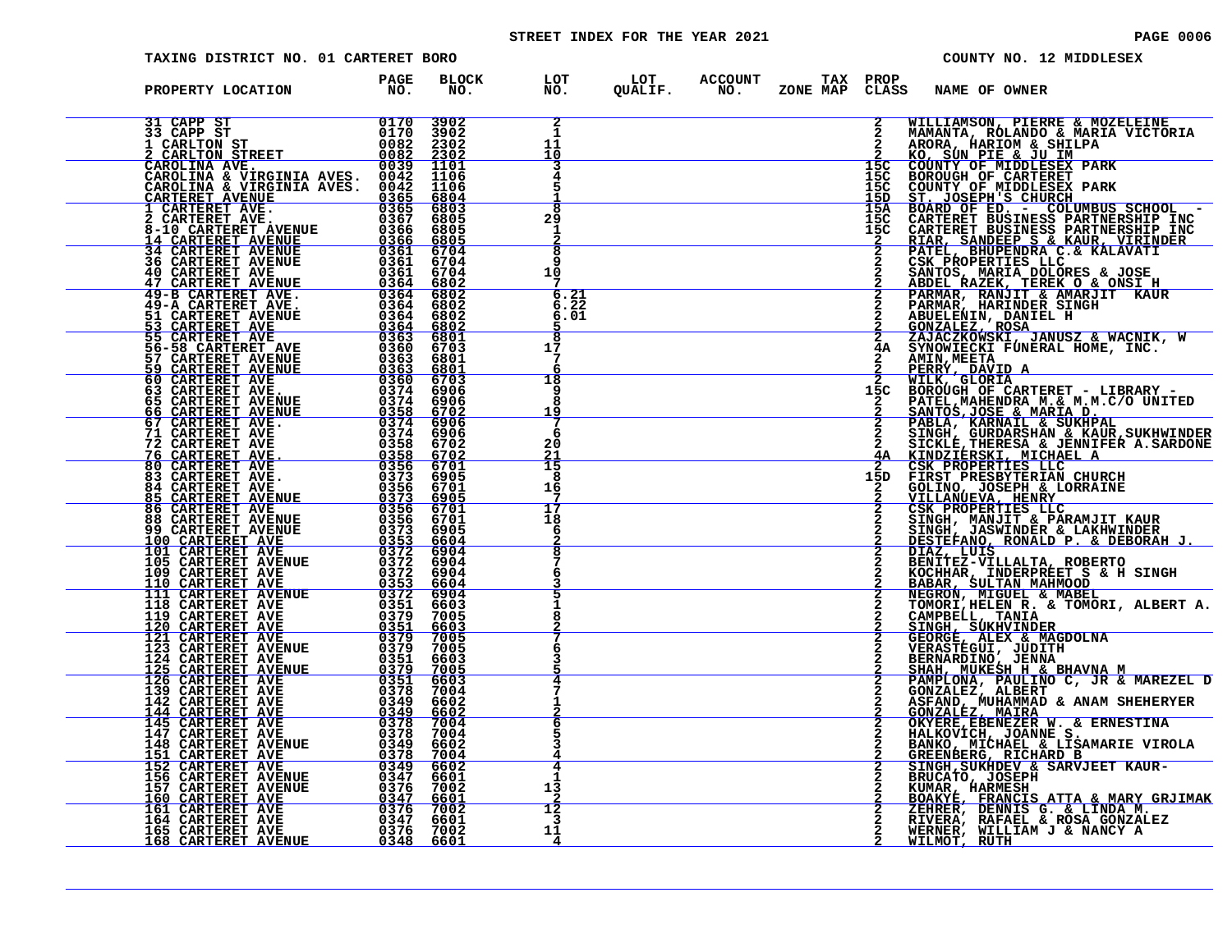# STREET INDEX FOR THE YEAR 2021 **PAGE 10006** PAGE 0006

| TAXING DISTRICT NO. 01 CARTERET BORO |              |                                                           |  |                                   | COUNTY NO. 12 MIDDLESEX                                                                                                                                                                                                                        |
|--------------------------------------|--------------|-----------------------------------------------------------|--|-----------------------------------|------------------------------------------------------------------------------------------------------------------------------------------------------------------------------------------------------------------------------------------------|
| PROPERTY LOCATION FAGE               | BLOCK<br>NO. | LOT LOT ACCOUNT TAX PROP<br>NO. QUALIF. NO. ZONE_MAPCLASS |  |                                   | <b>NAME OF OWNER</b>                                                                                                                                                                                                                           |
|                                      |              | 1<br>11<br>10                                             |  | $\overline{2}$                    | WILLIAMSON, PIERRE & MOZELEINE<br>MAMANTA, RÓLANDO & MARIA VICTORIA<br>ARORA, HARIOM & SHILPA                                                                                                                                                  |
|                                      |              | 3<br>4                                                    |  | 15C<br>15C<br>15C<br><u> 15D </u> | <b>KO, SUN PIE &amp; JU IM<br/>COUNTY OF MIDDLESEX PARK<br/>BOROUGH OF CARTERET</b>                                                                                                                                                            |
|                                      |              | $\overline{\mathbf{a}}$<br>29<br>-1                       |  | 15A<br>15C<br>15C                 | COUNTY OF MIDDLESEX PARK<br>ST. JOSEPH'S CHURCH<br>BOARD OF ED. - COLUMBUS SCHOOL -<br>CARTERET BUSINESS PARTNERSHIP INC<br>CARTERET BUSINESS PARTNERSHIP INC<br>CARTERET BUSINESS PARTNERSHIP INC                                             |
|                                      |              | $\overline{\mathbf{8}}$<br>۰q<br>10<br>7                  |  |                                   | RIAR, SANDEEP S & KAUR, VIRINDER<br>PATEL, BHUPENDRA C.& KALAVATI<br>CSK PROPERTIES LLC                                                                                                                                                        |
|                                      |              | 6.21<br>6.22<br>6.01                                      |  |                                   | 2 CSA PROPERTIES LLC<br>2 SANTOS, MARIA DOLORES & JOSE<br>2 ABDEL RAZEK, TEREK O & ONSI H<br>2 PARMAR, RANJIT & AMARJIT KAUR<br>2 RAMAR, HARINDER SINGH<br>2 GONZALEZ, ROSA<br>2 GONZALEZ, ROSA<br>2 ZAJACZKOWSKI, JANUSZ & WACNIK, W<br>4A SY |
|                                      |              | $\overline{\mathbf{g}}$<br>17<br>7<br>h                   |  |                                   | <b>AMIN, MEETA</b><br><u>PERRÝ, DAVID A</u>                                                                                                                                                                                                    |
|                                      |              | 18<br>q<br>8<br><u> 19</u>                                |  | 15C                               | WILK, GLORIA<br>BOROUGH OF CARTERET - LIBRARY -<br>PATEL, MAHENDRA M. & M. M. C/O UNITED                                                                                                                                                       |
|                                      |              | -6<br>20                                                  |  | <u>4A</u>                         | PATEL, MAHENDRA M. & M.C/O UNITED<br>SANTOS, JOSE & MARIA D.<br>PABLA, KARNAIL & SUKHPAL<br>SINGH, GURDARSHAN & KAUR, SUKHWINDER<br>SICKLE, THERES A & JENNIFER A. SARDONE<br>KINDZIERSKI, MICHAEL A<br>CSK PROPERTIES LLC<br>FIRST PRESBYTE   |
|                                      |              | $\frac{21}{15}$<br>8<br>16                                |  | 15D                               | GOLINO, JOSEPH & LORRAINE<br>VILLANUEVA, HENRY                                                                                                                                                                                                 |
|                                      |              | 17<br>18<br>6                                             |  | $\overline{2}$                    | <b>CSK PROPERTIES LLC<br/>SINGH, MANJIT &amp; PARAMJIT KAUR<br/>SINGH, JASWINDER &amp; LAKHWINDER</b>                                                                                                                                          |
|                                      |              | $\frac{2}{8}$                                             |  |                                   | BENITEZ-VILLALTA, ROBERTO<br>KOCHHAR, INDERPREET S & H SINGH<br>BABAR, SULTAN MAHMOOD                                                                                                                                                          |
|                                      |              |                                                           |  |                                   | NEGRON, MIGUEL & MABEL<br>TOMORI, HELEN R. & TOMORI, ALBERT A.<br>CAMPBELL, TANIA<br>SINGH, SUKHVINDER<br>GEORGE, ALEX & MAGDOLNA<br>VERASTEGUI, JUDITH<br>VERASTEGUI, JUDITH                                                                  |
|                                      |              |                                                           |  |                                   | BERNARDINO, JENNA                                                                                                                                                                                                                              |
|                                      |              |                                                           |  |                                   | SHAH, MUKESH H & BHAVNA M<br>PAMPLONA, PAULINO C, JR & MAREZEL D<br>GONZALEZ, ALBERT<br>ASFAND, MUHAMMAD & ANAM SHEHERYER<br><u>GONZALEZ, MAIRA</u>                                                                                            |
|                                      |              | 6                                                         |  |                                   | OKYERE, EBENEZER W. & ERNESTINA<br>HALKOVICH, JOANNE S.<br>BANKO, MICHAEL & LISAMARIE VIROLA                                                                                                                                                   |
|                                      |              | 13                                                        |  |                                   | GREENBERG, RICHARD B<br>SINGH, SUKHDEV & SARVJEET KAUR-<br>BRUCATO, JOSEPH<br>KUMAR, HARMESH<br>BOAKYE, FRANCIS ATTA & MARY GRJIMAK                                                                                                            |
|                                      |              | 12<br>3<br>11<br>4                                        |  |                                   | ZEHRER, DENNIS G. & LINDA M.<br>RIVERA, RAFAEL & ROSA GONZALEZ<br>WERNER, WILLIAM J & NANCY A<br>WILMOT, RUTH                                                                                                                                  |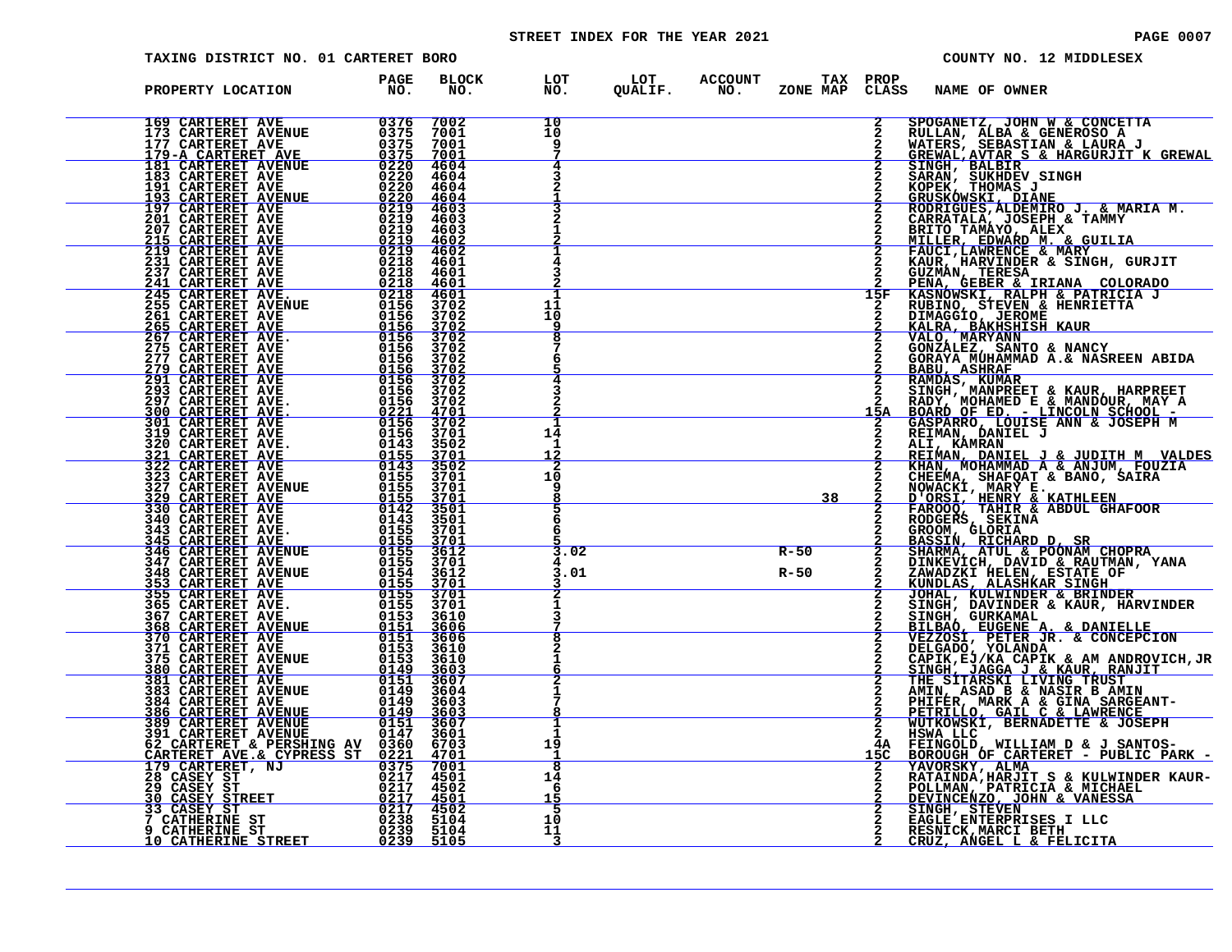# STREET INDEX FOR THE YEAR 2021 **PAGE 10007** PAGE 0007

| TAXING DISTRICT NO. 01 CARTERET BORO                                                                                                                                                                                                         |                                |              |                                                           |                  |           |                | COUNTY NO. 12 MIDDLESEX                                                                                                                                                                                                                                   |
|----------------------------------------------------------------------------------------------------------------------------------------------------------------------------------------------------------------------------------------------|--------------------------------|--------------|-----------------------------------------------------------|------------------|-----------|----------------|-----------------------------------------------------------------------------------------------------------------------------------------------------------------------------------------------------------------------------------------------------------|
| PROPERTY LOCATION                                                                                                                                                                                                                            | <b>PAGE</b><br>NO <sub>z</sub> | BLOCK<br>NO. | LOT LOT ACCOUNT TAX PROP<br>NO. QUALIF. NO. ZONE_MAPCLASS |                  |           |                | <b>NAME OF OWNER</b>                                                                                                                                                                                                                                      |
|                                                                                                                                                                                                                                              |                                |              | 10<br>10                                                  |                  |           | $\overline{2}$ | SPOGANETZ, JOHN W & CONCETTA<br>RULLAN, ALBA & GENEROSO A<br>WATERS, SEBASTIAN & LAURA J<br>GREWAL, AVTAR S & HARGURJIT K GREWAL                                                                                                                          |
|                                                                                                                                                                                                                                              |                                |              | 4                                                         |                  |           |                | SINGH, BALBIR<br>SARAN, SUKHDEV SINGH<br>KOPEK, THOMAS J<br><u>GRUSKOWSKI, DIANE<br/>RODRIGUES,ALDEMIRO J. &amp; MARIA M.</u>                                                                                                                             |
|                                                                                                                                                                                                                                              |                                |              |                                                           |                  |           |                | CARRATALA, JOSEPH & TAMMY<br>BRITO TAMÁYO, ALEX                                                                                                                                                                                                           |
|                                                                                                                                                                                                                                              |                                |              |                                                           |                  |           |                |                                                                                                                                                                                                                                                           |
|                                                                                                                                                                                                                                              |                                |              | 11<br>10                                                  |                  |           | 15F            | BRITO TAMATO, ALEX<br>MILLER, EDWARD M. & GUILIA<br>FAUCI, LAWRENCE & MARY<br>KAUR, HARVINDER & SINGH, GURJIT<br>GUZMAN, TERESA<br>PENA GEBER & IRIANA COLORADO<br>KASNOWSKI, RALPH & PATRICIA J<br>RUBINO, STEVEN & HENRIETTA<br>DIMAGGIO, JEROME<br>ALB |
|                                                                                                                                                                                                                                              |                                |              | g<br>6                                                    |                  |           |                | KALRA, BÁKHSHISH KAUR<br>VALO, MARYANN<br>GONZÁLEZ, SANTO & NANCY<br>GORAYA MUHAMMAD A.& NASREEN ABIDA<br><b>BABU, ASHRAF</b>                                                                                                                             |
|                                                                                                                                                                                                                                              |                                |              |                                                           |                  |           |                | BAMDAS, KUMAR<br>SINGH, MANPREET & KAUR, HARPREET<br>RADY, MOHAMED E & MANDOUR, MAY<br>ROARD OF ED. - LINCOLN SCHOOL -<br>GASPARRO, LOUISE ANN & JOSEPH M<br>REIMAN, DANIEL J                                                                             |
|                                                                                                                                                                                                                                              |                                |              | 14<br>-1<br><u> 12</u>                                    |                  |           |                | ALI, KAMRAN                                                                                                                                                                                                                                               |
|                                                                                                                                                                                                                                              |                                |              | 2<br>10<br>q<br>8                                         |                  | <u>38</u> |                | REIMAN, DANIEL J & JUDITH M VALDES<br>KHAN, MOHAMMAD A & ANJUM, FOUZIA<br>CHEEMA, SHAFQAT & BANO, SAIRA                                                                                                                                                   |
|                                                                                                                                                                                                                                              |                                |              | 5<br>6<br>6                                               |                  |           |                | NOWACKI, MARY E.<br>D'ORSI, HENRY & KATHLEEN<br>FAROOQ, TAHIR & ABDUL GHAFOOR<br>FAROOQ, GLORIA<br>GROOM, GLORIA                                                                                                                                          |
|                                                                                                                                                                                                                                              |                                |              | 3.02<br>3.01                                              | $R-50$<br>$R-50$ |           |                | BASSIN, RICHARD D, SR<br>SHARMA, ATUL & POONAM CHOPRA<br>DINKEVICH, DAVID & RAUTMAN, YANA<br>ZAWADZKI HELEN, ESTATE OF<br>KUNDLAS, ALASHKAR SINGH<br>JOHAL, KULWINDER & BRINDER<br>SINGH, DAVINDER & KAUR, HARVINDER<br>SINGH, DAVINDER & KAUR, HARVINDER |
|                                                                                                                                                                                                                                              |                                |              |                                                           |                  |           |                |                                                                                                                                                                                                                                                           |
|                                                                                                                                                                                                                                              |                                |              |                                                           |                  |           |                | SINGH, GURKAMAL<br>BILBAO, EUGENE A. & DANIELLE<br>VEZZOSI, PETER JR. & CONCEPCION<br>DELGADO, YOLANDA<br>CAPIK, EJ/KA CAPIK & AM ANDROVICH, JR                                                                                                           |
|                                                                                                                                                                                                                                              |                                |              |                                                           |                  |           |                | SINGH, JAGGA J & KAUR, RANJIT<br>THE SITARSKI LIVING TRUST<br>AMIN, ASAD B & NASIR B AMIN<br>PHIFER, MARK A & GINA SARGEANT-<br>PETRILLO, GAIL C & LAWRENCE                                                                                               |
|                                                                                                                                                                                                                                              |                                |              | п.<br>-1<br>19                                            |                  |           | 4Α             | WUTKOWSKI, BERNADETTE & JOSEPH<br>HSWA LLC<br>FEINGOLD, WILLIAM D & J SANTOS-<br>BOROUGH OF CARTERET - PUBLIC PARK -                                                                                                                                      |
|                                                                                                                                                                                                                                              |                                |              | ह<br>14<br>6<br><u> 15</u>                                |                  |           |                | YAVORSKY, ALMA<br>RATAINDA, HARJIT S & KULWINDER KAUR-<br>POLLMAN, PATRICIA & MICHAEL<br><u>DEVINCENZO, JOHN &amp; VANESSA</u>                                                                                                                            |
| PROPERTY LOCATERET AVE 1997 (1997)<br>169 CARTERET AVE 1997 (1997)<br>179 CARTERET AVE 1997 (1997)<br>179 CARTERET AVE 1997 (1997)<br>179 CARTERET AVE 1997 (1997)<br>189 CARTERET AVE 1997 (1997)<br>189 CARTERET AVE 1997 (1997)<br>189 CA |                                |              | 5<br>10<br>11<br>3                                        |                  |           |                | SINGH, STEVEN<br>EAGLE ENTERPRISES I LLC<br>RESNICK, MARCI BETH<br>CRUZ, ANGEL L & FELICITA                                                                                                                                                               |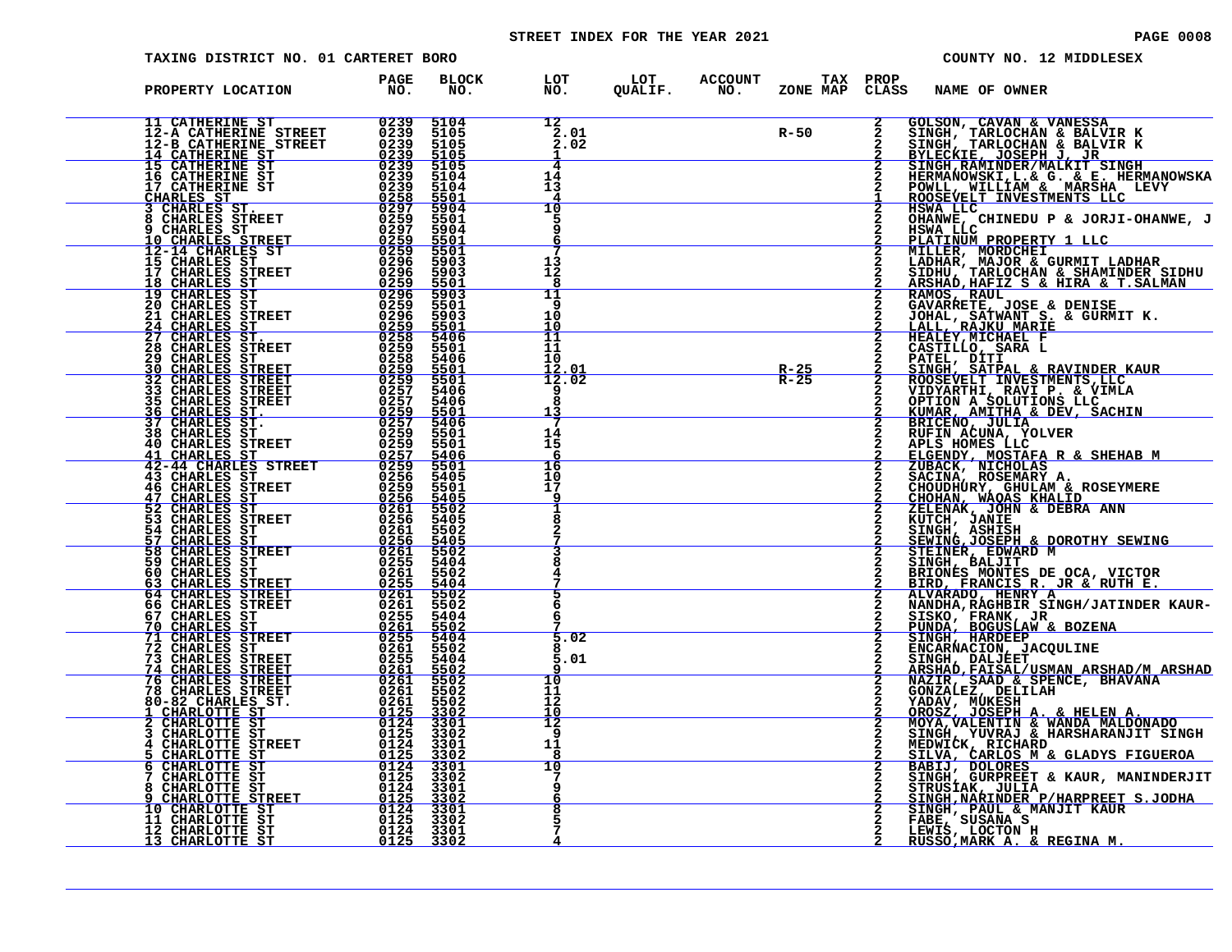# STREET INDEX FOR THE YEAR 2021 **PAGE 10008** PAGE 0008

| TAXING DISTRICT NO. 01 CARTERET BORO |                         |                                               |                                                                                           | COUNTY NO. 12 MIDDLESEX                                                                                                                                                                                                               |
|--------------------------------------|-------------------------|-----------------------------------------------|-------------------------------------------------------------------------------------------|---------------------------------------------------------------------------------------------------------------------------------------------------------------------------------------------------------------------------------------|
| PROPERTY LOCATION                    | PAGE<br>NO <sub>z</sub> |                                               | BLOCK LOT LOT ACCOUNT TAX PROP NAME OF OWNER NO. QUALIF. NO. ZONE MAP CLASS NAME OF OWNER |                                                                                                                                                                                                                                       |
|                                      |                         | 12<br>2.01<br>2.02<br>1                       | $R-50$                                                                                    | $\frac{2}{2}$<br>GOLSON, CAVAN & VANESSA<br>SINGH, TARLOCHAN & BALVIR K<br>SINGH, TARLOCHAN & BALVIR K<br>BYLECKIE, JOSEPH J, JR<br>SINGH, RAMINDER/MALKIT_SINGH                                                                      |
|                                      |                         | 14<br>13                                      |                                                                                           | HERMANOWSKI, L. & G. & E. HERMANOWSKA<br>POWLL, WILLIAM & MARSHA LEVY<br>ROOSEVELT INVESTMENTS LLC                                                                                                                                    |
|                                      |                         | $\overline{10}$<br>q<br>6                     |                                                                                           | HSWA LLC<br>OHANWE, CHINEDU P & JORJI-OHANWE, J<br>HSWA LLC<br>PLATINUM PROPERTY 1 LLC                                                                                                                                                |
|                                      |                         | 13<br>12<br>8<br>11                           |                                                                                           | MILLER, MORDCHEI<br>LADHAR, MAJOR & GURMIT LADHAR<br>SIDHU, TARLOCHAN & SHAMINDER SIDHU<br>ARSHAD,HAFIZ S & HIRA & T.SALMAN                                                                                                           |
|                                      |                         | ۹<br>10<br>10<br>11                           |                                                                                           | RAMOS, RAUL<br>GAVARRETE, JOSE & DENISE<br>JOHAL, SATWANT S. & GURMIT K.<br>$\mathbf{2}$<br><b>LALL, RAJKU MARIE<br/>HEALEY, MICHAEL F</b>                                                                                            |
|                                      |                         | 11<br>10<br>12.01<br>12.02                    | $R-25$<br>$R-25$                                                                          | CASTILLO, SARA L<br>PATEL, DITI<br>SINGH, SATPAL & RAVINDER KAUR<br>$\frac{2}{2}$                                                                                                                                                     |
|                                      |                         | я<br>13                                       |                                                                                           | SINGH, SAIPAL & KAVINDER<br>ROGEVELT INVESTMENTS, LLC<br>VIDYARTHI, RAVI P. & VIMLA<br>OPTION A SOLUTIONS LLC<br>KUMAR, AMITHA & DEV, SACHIN<br>RICENO, JULIA<br>RUFIN ACUNA, YOLVER<br>APLS HOMES LLCC<br>PLCENDY MOSTARA B & SUFUAR |
|                                      |                         | 14<br>15<br><u>6</u><br>$\overline{16}$<br>10 |                                                                                           | <b>ELGENDY, MOSTAFA R &amp; SHEHAB M<br/>ZUBACK, NICHOLAS<br/>SACINA, ROSEMARY A.<br/>CHOUDHURY, GHULAM &amp; ROSEYMERE<br/>CHOHAN, WAQAS KHALID, ,,,,,</b>                                                                           |
|                                      |                         | 17<br>-9<br>1                                 |                                                                                           | ZELENAK, JOHN & DEBRA ANN                                                                                                                                                                                                             |
|                                      |                         |                                               |                                                                                           | KUTCH, JANIE<br>SINGH, ASHISH<br>SEWING, JOSEPH & DOROTHY SEWING<br>STEINER, EDWARD M                                                                                                                                                 |
|                                      |                         | 6                                             |                                                                                           | SINGH, BALJIT<br>BRIONES MONTES DE OCA, VICTOR<br>BIRD, FRANCIS R. JR & RUTH E.<br>ALVARADO, HENRY A<br>NANDHA, RAGHBIR SINGH/JATINDER KAUR-<br>$\mathbf{2}$                                                                          |
|                                      |                         | 5.02<br>5.01                                  |                                                                                           | SISKO, FRANK, JR<br>PUNDA, BOGUSLAW & BOZENA<br>SINGH, HARDEEP<br>ENCARNACION, JACQULINE<br>SINGH, DALJEET                                                                                                                            |
|                                      |                         | 10<br>11<br>12                                |                                                                                           | <u>ARSHAD, FAISAL/USMAN ARSHAD/M ARSHAD</u><br>NAZIR, SAAD & SPENCE, BHAVANA<br>GONZALEZ, DELILAH<br>YADAV, MUKESH                                                                                                                    |
|                                      |                         | 10<br>12<br>9<br>11                           |                                                                                           | OROSZ, JOSEPH A. & HELEN A.<br>MOYA, VALENTIN & WANDA MALDONADO<br>SINGH, YUVRAJ & HARSHARANJIT SINGH<br>MEDWICK, RICHARD<br>SILVA, CARLOS M & GLADYS FIGUEROA<br>BABIJ, DOLORES<br>BABIJ, DOLORES                                    |
|                                      |                         | 8<br>10                                       |                                                                                           | SINGH, GURPREET & KAUR, MANINDERJIT<br>STRUSÍAK, JULTA<br><u>SINGH,NARINDER P/HARPREET</u> S.JODHA                                                                                                                                    |
|                                      |                         | 8                                             |                                                                                           | SINGH, PAUL & MANJIT KAUR<br>FABE, SUSANA S<br>LEWIS, LOCTON H<br>RUSSO, MARK A. & REGINA M.                                                                                                                                          |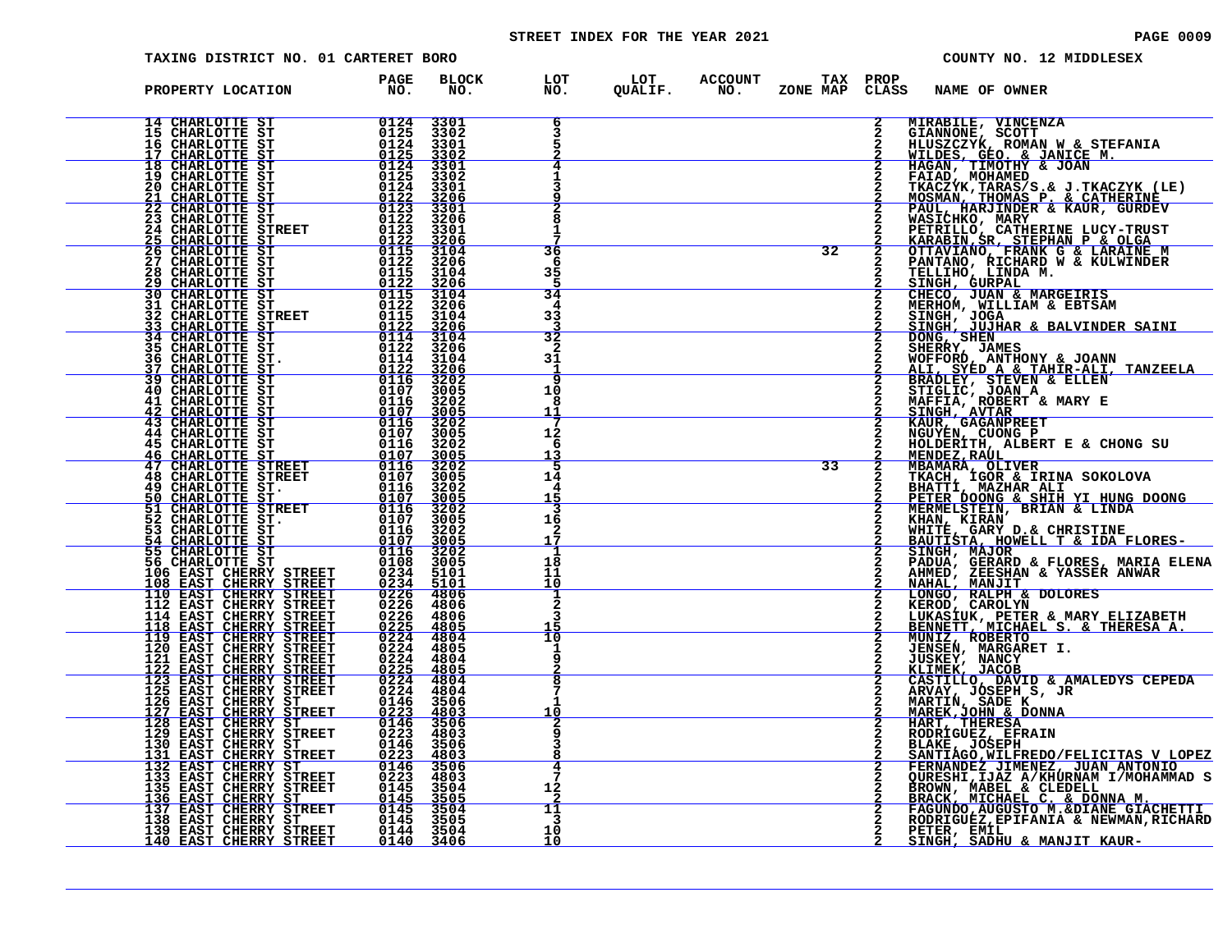# STREET INDEX FOR THE YEAR 2021 **PAGE 10009** PAGE 0009

|                                                                                                                                | TAXING DISTRICT NO. 01 CARTERET BORO                                                                                                           |                                                                                                                                                                                                                                                                    |                                         |                                                 |                 |                |                                                                                                              | COUNTY NO. 12 MIDDLESEX                                                                                                                                                                                          |
|--------------------------------------------------------------------------------------------------------------------------------|------------------------------------------------------------------------------------------------------------------------------------------------|--------------------------------------------------------------------------------------------------------------------------------------------------------------------------------------------------------------------------------------------------------------------|-----------------------------------------|-------------------------------------------------|-----------------|----------------|--------------------------------------------------------------------------------------------------------------|------------------------------------------------------------------------------------------------------------------------------------------------------------------------------------------------------------------|
| PROPERTY LOCATION                                                                                                              | <b>PAGE</b><br>NO <sub>z</sub>                                                                                                                 | <b>BLOCK</b><br>NO.                                                                                                                                                                                                                                                |                                         | LOT LOT ACCOUNT TAX<br>NO. QUALIF. NO. ZONE_MAP | <b>TAX PROP</b> | CLASS          | <b>NAME OF OWNER</b>                                                                                         |                                                                                                                                                                                                                  |
| 14 CHARLOTTE ST<br>15 CHARLOTTE ST<br>16 CHARLOTTE ST<br><u>17 CHARLOTTE ST</u>                                                | $\frac{0124}{0125}$<br>0124<br>0125                                                                                                            | 3301<br>3302<br>3301<br>3302                                                                                                                                                                                                                                       |                                         |                                                 |                 |                | MIRABILE, VINCENZA                                                                                           | GIANNONE, SCOTT<br>HLUSZCZYK, ROMAN W & STEFANIA<br>WILDES, GEO. & JANICE M.                                                                                                                                     |
| 18 CHARLOTTE ST<br>19 CHARLOTTE ST<br><b>20 CHARLOTTE ST</b><br><b>CHARLOTTE ST</b><br>21                                      | 0124<br>0125<br>0124                                                                                                                           | 3301<br>3302<br>3301<br>3206                                                                                                                                                                                                                                       |                                         |                                                 |                 |                |                                                                                                              | HAGAN, TIMOTHY & JOAN<br>FAIAD, MOHAMED<br>TKACZYK, TARAS/S.& J.TKACZYK (LE)<br>MOSMAN, THOMAS P. & CATHERINE<br>PAUL, HARJINDER & KAUR, GURDEV                                                                  |
| 22 CHARLOTTE ST<br><b>23 CHARLOTTE ST</b><br><b>24 CHARLOTTE STREET</b><br>25<br><b>CHARLOTTE ST</b>                           | $\frac{0\overline{1}\overline{2}\overline{2}}{01\overline{2}3}$<br>0122<br>0123<br>$\frac{0122}{0115}$                                         | 3301<br>3206<br>3301<br>3206                                                                                                                                                                                                                                       |                                         |                                                 |                 |                |                                                                                                              | WASIĆHKO, MARY<br>PETRILLO, CATHERINE LUCY-TRUST                                                                                                                                                                 |
| 26<br><b>CHARLOTTE ST</b><br>27 CHARLOTTE ST<br>CHARLOTTE ST<br>28<br><b>CHARLOTTE ST</b><br>29                                | 0122<br>0115<br>0122                                                                                                                           | 3104<br>3206<br>3104<br>3206                                                                                                                                                                                                                                       | 36<br>6<br>35                           |                                                 | 32              |                |                                                                                                              | FEIRILLY, CALIBRATING BUCK-1 RAND RAND RESERVED OF TANTANO, RICHARD W & KULWINDER<br>TELLIHO, EICHARD W & KULWINDER<br>TELLIHO, LINDA M.<br>SINGH, GURPAL<br>CHECO, JUAN & MARGEIRIS<br>MEBUO, JUAN & MARGEIRISM |
| <b>30 CHARLOTTE ST</b><br><b>31 CHARLOTTE ST</b><br>32 CHARLOTTE STREET<br><b>CHARLOTTE ST</b><br>33.                          | $\frac{0.115}{0.115}$<br>ŎĪ22<br>0115<br>$\frac{0122}{0114}$                                                                                   | 3104<br>3206<br>3104<br>$3206$<br>3104                                                                                                                                                                                                                             | 34<br>4<br>33                           |                                                 |                 | 2              | SINGH, JOGA                                                                                                  | MERHOM, WILLIAM & EBTSAM<br>SINGH, JUJHAR & BALVINDER SAINI                                                                                                                                                      |
| <b>34 CHARLOTTE ST</b><br><b>35 CHARLOTTE ST</b><br>36 CHARLOTTE ST.<br>37 CHARLOTTE ST                                        | 0122<br>0114<br>0122                                                                                                                           | 3206<br>3104<br>3206                                                                                                                                                                                                                                               | 32<br>31                                |                                                 |                 |                |                                                                                                              | DONG, SHEN<br>SHERRY, JAMES<br>WOFFORD, ANTHONY & JOANN<br><u>ALI, SYÈD A &amp; TAHIR-ALI, TANZEELA</u>                                                                                                          |
| 39 CHARLOTTE ST<br>40 CHARLOTTE ST<br>41 CHARLOTTE ST<br>42 CHARLOTTE ST<br>43 CHARLOTTE ST                                    | $\begin{array}{c c}\n\hline\n0116\n\end{array}$<br>0107<br>0116<br>$\frac{\tilde{0}\bar{1}\bar{0}\tilde{7}}{0116}$                             | 3202<br>3005<br>3202<br>$\frac{3005}{3202}$                                                                                                                                                                                                                        | $\overline{q}$<br>10<br>8<br><u> 11</u> |                                                 |                 |                |                                                                                                              | BRADLEY, STEVEN & ELLEN<br>STIGLIC, JOAN A<br>MAFFIA, ROBERT & MARY E<br>SINGH, AVIAN<br>SENGH, AVIAN                                                                                                            |
| <b>44 CHARLOTTE ST<br/>45 CHARLOTTE ST</b>                                                                                     | 0107<br>0116                                                                                                                                   | 3005<br>3202<br>3005<br>3202                                                                                                                                                                                                                                       | 12<br>6<br>13<br>5                      |                                                 | 33              | $\overline{2}$ | KAUR, GAGANPREET<br>MENDEZ, RAUL                                                                             | NGUYEN, CUONG P<br>HOLDERITH, ALBERT E & CHONG SU                                                                                                                                                                |
| <b>49 CHARLOTTE ST.<br/>50 CHARLOTTE ST</b>                                                                                    | 46 CHARLOTTE ST 61107<br>47 CHARLOTTE STREET 0116<br>48 CHARLOTTE STREET 01107<br>49 CHARLOTTE STREET 0116<br>49 CHARLOTTE ST. 01167           | 3005<br>3202<br>3005<br>3202                                                                                                                                                                                                                                       | 14<br>4<br><u> 15</u><br>3              |                                                 |                 |                | MBAMARA, OLIVER                                                                                              | TKACH, IGOR & TRINA SOKOLOVA<br>BHATTI, MAZHAR ALI<br>PETER DOONG & SHIH YI HUNG DOONG<br>MERMELSTEIN, BRIAN & LINDA                                                                                             |
| <b>51 CHARLOTTE STREET<br/>52 CHARLOTTE ST.<br/>53 CHARLOTTE ST</b><br>54 CHARLOTTE ST<br>55 CHARLOTTE ST                      | $\begin{array}{r} 01\overset{7}{16} \\ 0107 \\ 0116 \\ 0107 \\ 0107 \\ 0\end{array};$<br>$\frac{\tilde{0}\bar{1}\bar{0}\bar{7}}{\tilde{0}116}$ | 3005<br>0116 3202<br>$\frac{3005}{3202}$                                                                                                                                                                                                                           | 16<br>2<br>17<br>-1                     |                                                 |                 |                | SINGH, MAJOR                                                                                                 | KHAN, KIRAN, THERE WE THERE<br><u>BAUTISTA, HOWELL T &amp; IDA FLORES-</u>                                                                                                                                       |
| 56 CHARLOTTE ST<br>106 EAST CHERRY STREET<br>108 EAST CHERRY STREET                                                            |                                                                                                                                                | $\begin{array}{rrrr} 0108 & 3005 \\ 0234 & 5101 \\ 0234 & 5101 \\ 0226 & 4806 \\ 0226 & 4806 \\ 0226 & 4806 \end{array}$                                                                                                                                           | 18<br>11<br>10<br>1                     |                                                 |                 |                | NAHAL, MANJIT                                                                                                | PADUA, GERARD & FLORES, MARIA ELENA<br>AHMED, ZEESHAN & YASSER ANWAR<br>LONGO, RALPH & DOLORES                                                                                                                   |
| 110 EAST CHERRY STREET<br>112 EAST CHERRY STREET<br>114 EAST CHERRY STREET<br>118 EAST CHERRY STREET<br>119 EAST CHERRY STREET |                                                                                                                                                | 0226 4806<br>0225 4805<br>0224 4804                                                                                                                                                                                                                                | 15<br>10                                |                                                 |                 |                | KEROD, CAROLYN                                                                                               | LUKASIUK, PETER & MARY ELIZABETH<br>BENNETT, MICHAEL S. & THERESA A.<br>MUNIZ, ROBERTO___                                                                                                                        |
| 120 EAST CHERRY STREET<br>121 EAST CHERRY STREET<br>122 EAST CHERRY STREET<br>123 EAST CHERRY STREET<br>125 EAST CHERRY STREET |                                                                                                                                                | 0224 4805<br>0224 4804<br>$\begin{array}{r} 0225 & 4805 \\ 0224 & 4804 \\ 0224 & 4804 \end{array}$                                                                                                                                                                 | я                                       |                                                 |                 |                | JENSEN, MARGARET I.<br>JUSKEY, NANCY                                                                         | KLIMEK, JACOB<br>CASTILLO, DAVID & AMALEDYS CEPEDA                                                                                                                                                               |
| 126 EAST CHERRY ST<br>127 EAST CHERRY STREET<br>128 EAST CHERRY ST____                                                         |                                                                                                                                                | $\begin{array}{rrrr} 0146 & 3506 \\ 0223 & 4803 \\ 0146 & 3506 \\ 0223 & 4803 \\ 0243 & 4803 \end{array}$                                                                                                                                                          | 10                                      |                                                 |                 |                | ARVAY, JÓSEPH S, JR<br>MARTIN, SADE K<br><u>MAREK,JOHN &amp; DONNA</u><br>HART, THERESA<br>RODRIGUEZ, EFRAIN |                                                                                                                                                                                                                  |
| 129 EAST CHERRY STREET<br><b>130 EAST CHERRY ST</b><br><u>131 EAST CHERRY STREET</u><br>132 EAST CHERRY ST                     |                                                                                                                                                | 0146 3506<br>$\frac{0223}{0146}$ $\frac{4803}{3506}$                                                                                                                                                                                                               |                                         |                                                 |                 |                | BLAKE, JOSEPH                                                                                                | SANTIÁGO, WILFREDO/FELICITAS V LOPEZ<br>FERNANDEZ JIMENEZ, JUAN ANTONIO                                                                                                                                          |
| 133 EAST CHERRY STREET<br>135 EAST CHERRY STREET<br><u>136 EAST CHERRY ST</u><br>137 EAST CHERRY STREET<br>138 EAST CHERRY ST  |                                                                                                                                                | $0.223 \n0.4803 \n0.45 \n0.45 \n0.45 \n0.45 \n0.47 \n0.4803 \n0.49 \n0.49 \n0.49 \n0.49 \n0.49 \n0.49 \n0.49 \n0.49 \n0.49 \n0.40 \n0.40 \n0.40 \n0.40 \n0.40 \n0.40 \n0.40 \n0.40 \n0.40 \n0.40 \n0.40 \n0.40 \n0.40 \n0.40 \n0.40 \n0.40 \n0.40 \n0.40 \n0.40 \$ | 12<br>11<br>-3                          |                                                 |                 |                |                                                                                                              | QURESHI, IJAZ A/KHURNAM I/MOHAMMAD S<br>BROWN, MABEL & CLEDELL<br>BRACK, MICHAEL C. & DONNA M.<br>FAGUNDO, AUGUSTO M. & DIANE GIACHETTI                                                                          |
| 139 EAST CHERRY STREET<br><u>140 EAST CHERRY STREET</u>                                                                        |                                                                                                                                                | 0144 3504<br>0140 3406                                                                                                                                                                                                                                             | 10<br><u>10</u>                         |                                                 |                 |                | PETER, EMIL                                                                                                  | RODRIGUEZ, EPIFANIA & NEWMAN, RICHARD<br><u>SINGH, SADHU &amp; MANJIT KAUR-</u>                                                                                                                                  |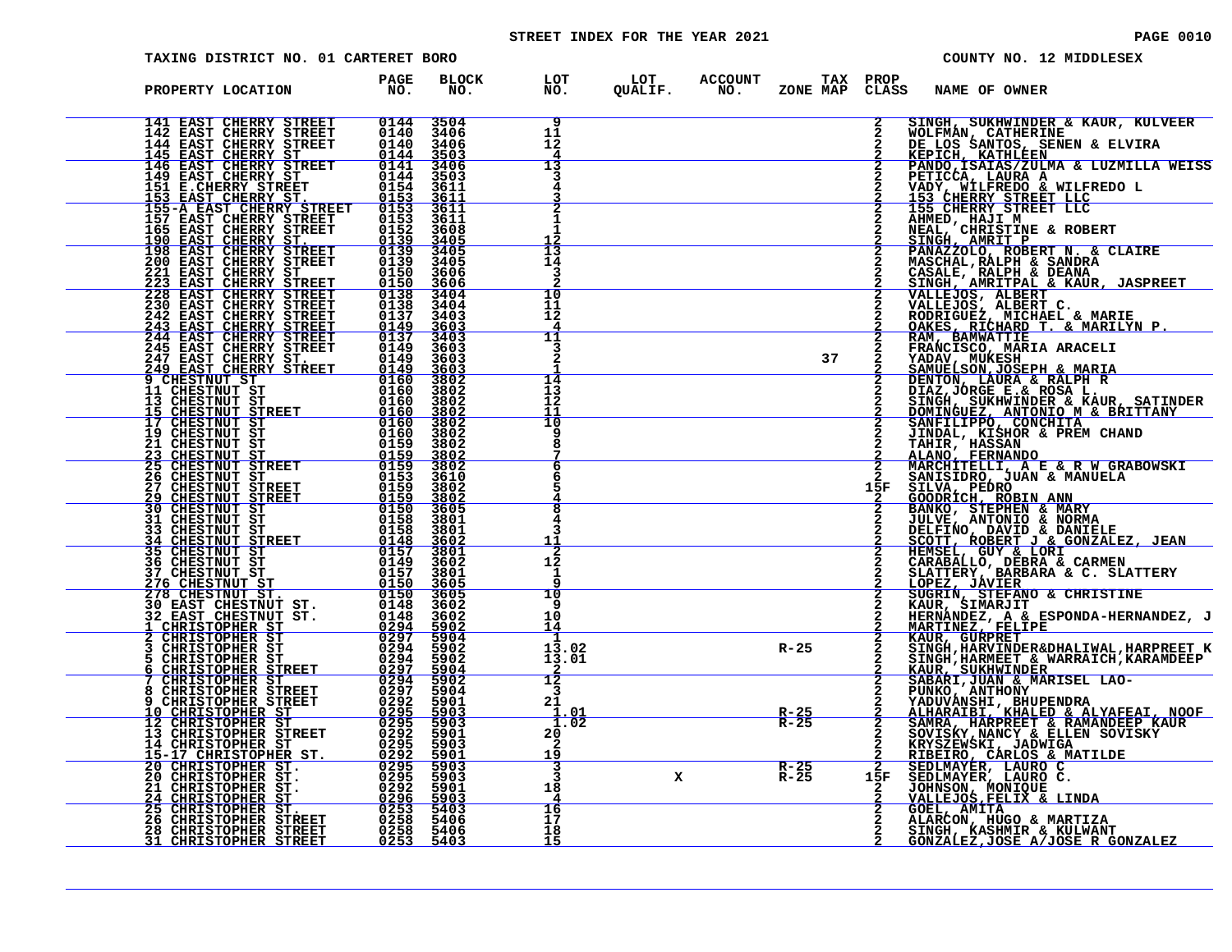# STREET INDEX FOR THE YEAR 2021 **PAGE 10010** PAGE 0010

| TAXING DISTRICT NO. 01 CARTERET BORO                                                                                                                                                                                                                                          |                    |                                                |                                                                                                                |              |                  |                   |              | COUNTY NO. 12 MIDDLESEX                                                                                                                                                                                                                                   |
|-------------------------------------------------------------------------------------------------------------------------------------------------------------------------------------------------------------------------------------------------------------------------------|--------------------|------------------------------------------------|----------------------------------------------------------------------------------------------------------------|--------------|------------------|-------------------|--------------|-----------------------------------------------------------------------------------------------------------------------------------------------------------------------------------------------------------------------------------------------------------|
| PROPERTY LOCATION                                                                                                                                                                                                                                                             | <b>PAGE</b><br>NO. | <b>BLOCK</b><br>NO.                            | LOT          LOT        ACCOUNT         TAX    PROP<br>NO.         QUALIF.        NO.       ZONE  MAP    CLASS |              |                  |                   |              | <b>NAME OF OWNER</b>                                                                                                                                                                                                                                      |
| 141 EAST CHERRY STREET<br>141 EAST CHERRY STREET 0144<br>142 EAST CHERRY STREET 0140<br>144 EAST CHERRY STREET 0140<br>145 EAST CHERRY STREET 0144<br>146 EAST CHERRY STREET 0144<br>146 EAST CHERRY STREET 0144<br>151 E.CHERRY STREET 01553<br>155-A EAST CHERRY STREET 015 |                    | 0144 3504<br>0140 3406<br>3406<br>3503         | 9<br>11<br>12                                                                                                  |              |                  |                   | $\mathbf{2}$ | SINGH, SUKHWINDER & KAUR, KULVEER                                                                                                                                                                                                                         |
|                                                                                                                                                                                                                                                                               |                    | 3406<br>3503<br>3611                           | 13                                                                                                             |              |                  |                   |              | SINGH, SUKHMINDER & KAUR, KULVEER<br>DE LOS SANTOS, SENEN & ELVIRA<br>DE LOS SANTOS, SENEN & ELVIRA<br>KEPICH, KATHLEEN<br>PANDO, ISAIAS/ZULMA & LUZMILLA WEISS<br>PETICCA, LAURA A<br>VADY, WILFREDO & WILFREDO L<br>153 CHERRY STREET LLC<br>ABURD H    |
|                                                                                                                                                                                                                                                                               |                    | $\frac{\overline{3611}}{3611}$<br>3611<br>3608 |                                                                                                                |              |                  |                   |              | 1990 CHEART BIREEI LLC<br>NEAL, CHRISTINE & ROBERT<br>SINGH, AMRIT P<br>PANAZZOLO, ROBERT N. & CLAIRE<br>MASCHAL, RALPH & SANDRA<br>MASCHAL, RALPH & SANDRA                                                                                               |
|                                                                                                                                                                                                                                                                               |                    | $3405$<br>3405<br>3405                         | $\frac{12}{13}$<br>14<br>в                                                                                     |              |                  |                   |              |                                                                                                                                                                                                                                                           |
|                                                                                                                                                                                                                                                                               |                    |                                                | 10<br>11<br>12                                                                                                 |              |                  |                   |              | FANAZZOLO, KOESKT N. & CLAIRE<br>MASCHAL, RALPH & SANDRA<br>CASALE, RALPH & DEANA<br>SINGH, AMRITPAL & KAUR, JASPREET<br>VALLEJOS, ALBERT C.<br>RODRIGUEZ, MICHAEL & MARIE<br>NALESJOS, ALBERT C.<br>RODRIGUEZ, MICHAEL & MARILYN P.<br>DAKES, RICHAEL    |
|                                                                                                                                                                                                                                                                               |                    |                                                | 11                                                                                                             |              |                  | 37                |              |                                                                                                                                                                                                                                                           |
|                                                                                                                                                                                                                                                                               |                    |                                                | 14<br>13<br>12                                                                                                 |              |                  |                   |              |                                                                                                                                                                                                                                                           |
|                                                                                                                                                                                                                                                                               |                    |                                                | 11<br>ΊŌ<br>8                                                                                                  |              |                  |                   |              |                                                                                                                                                                                                                                                           |
|                                                                                                                                                                                                                                                                               |                    |                                                | 6                                                                                                              |              |                  |                   | 15F          |                                                                                                                                                                                                                                                           |
|                                                                                                                                                                                                                                                                               |                    |                                                | 8                                                                                                              |              |                  |                   |              |                                                                                                                                                                                                                                                           |
|                                                                                                                                                                                                                                                                               |                    |                                                | <u> 11</u><br>2<br>12<br>1                                                                                     |              |                  |                   |              | SANISIDRO, JUAN & MANUELA<br>SILVA, PEDRO<br>GOODRICH, ROBIN ANN<br>BANKO, STEPHEN & MARY<br>JULVE, ANTONIO & NORMA<br>JELFINO, DAVID & DANIELE<br>SCOTT, ROBERT J & GONZALEZ, JEAN<br>HEMSEL, GUY & LORI<br>CARABALLO, DEBRA & CARMEN<br>SLATTERY, BARBA |
|                                                                                                                                                                                                                                                                               |                    |                                                | 10<br>q<br>10                                                                                                  |              |                  |                   |              | SUGRIN, STEFANO & CHRISTINE<br>KAUR, SIMARJIT __________________                                                                                                                                                                                          |
|                                                                                                                                                                                                                                                                               |                    |                                                | 14<br>1<br>13.02<br>13.01                                                                                      |              | $R-25$           |                   |              | HERNANDEZ, A & ESPONDA-HERNANDEZ, J<br>MARTINEZ, FELIPE<br>KAUR, GURPRET                                                                                                                                                                                  |
|                                                                                                                                                                                                                                                                               |                    |                                                | $1\overline{2}$<br>3<br>21                                                                                     |              |                  |                   |              |                                                                                                                                                                                                                                                           |
|                                                                                                                                                                                                                                                                               |                    |                                                | <u>1.01</u><br>1.02<br>20<br>2                                                                                 |              |                  | $rac{R-25}{R-25}$ |              |                                                                                                                                                                                                                                                           |
|                                                                                                                                                                                                                                                                               |                    |                                                | <u> 19</u><br>$\overline{\mathbf{3}}$<br>3<br>18                                                               | $\mathbf{x}$ | $R-25$<br>$R-25$ |                   |              | 2 KAUR, GURPRET<br>2 SINGH, HARNINDER&DHALIWAL, HARPREET K<br>2 SINGH, HARNINDER & WARRAICH, KARAMDEEP<br>2 SABARI, JUAN & MARISEL LAO-<br>2 SABARI, JUAN & MARISEL LAO-<br>2 YADUVANSHI, BHUPENDRA<br>2 ALHARAIBI, KHALED & ALYAFEAI, NOO                |
|                                                                                                                                                                                                                                                                               |                    |                                                | $\frac{16}{17}$<br>18                                                                                          |              |                  |                   |              | GOEL, AMITA<br>ALARCON, HUGO & MARTIZA<br>SINGH, KASHMIR & KULWANT                                                                                                                                                                                        |
|                                                                                                                                                                                                                                                                               |                    |                                                | 15                                                                                                             |              |                  |                   |              | GONZALEZ, JOSE A/JOSE R GONZALEZ                                                                                                                                                                                                                          |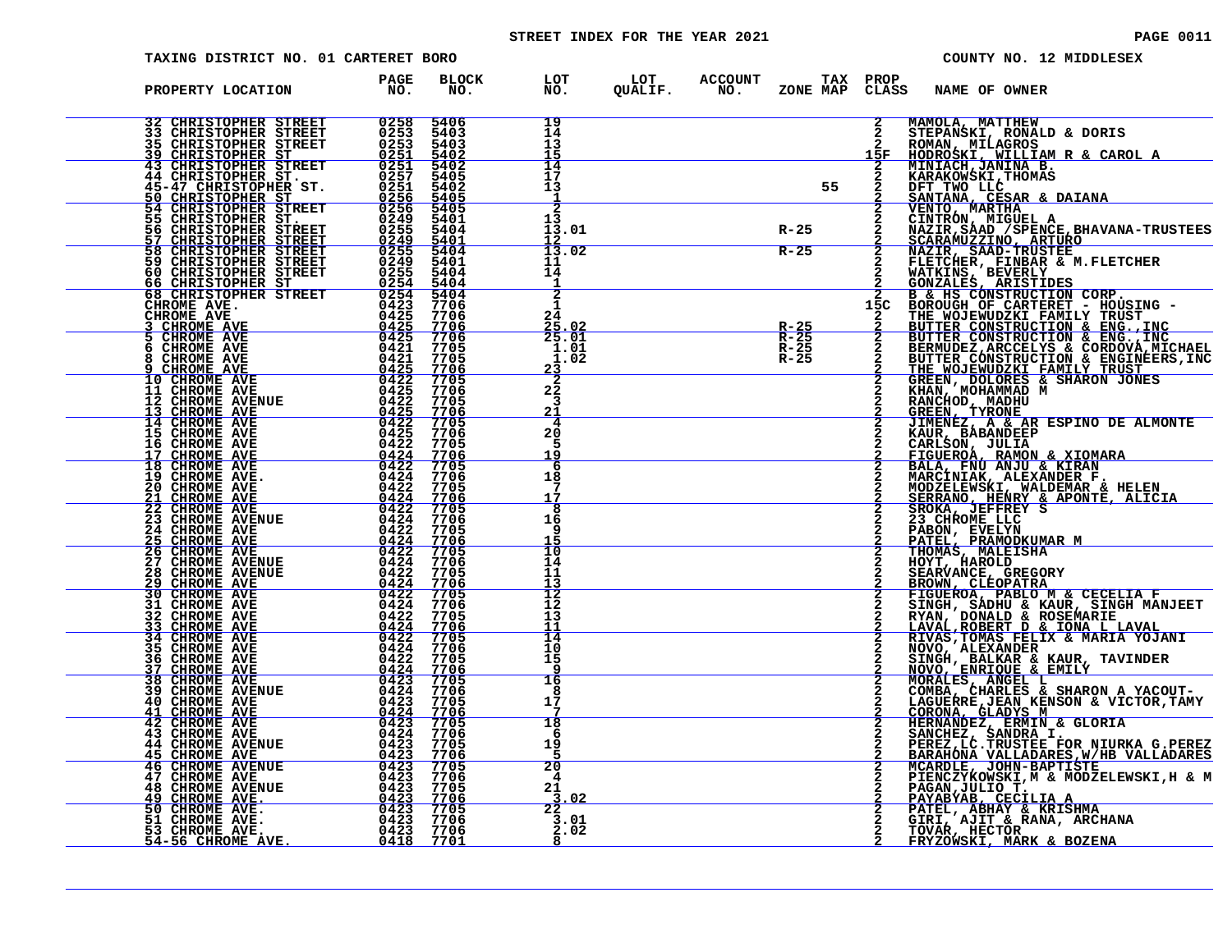# STREET INDEX FOR THE YEAR 2021 **PAGE 10011** PAGE 0011

| <b>TAXING DISTRICT NO. 01 CARTERET BORO</b>                                                                                          |                                                                                                |                                     |                |                                               |                       | COUNTY NO. 12 MIDDLESEX                                                                                                                                                                                                                          |
|--------------------------------------------------------------------------------------------------------------------------------------|------------------------------------------------------------------------------------------------|-------------------------------------|----------------|-----------------------------------------------|-----------------------|--------------------------------------------------------------------------------------------------------------------------------------------------------------------------------------------------------------------------------------------------|
| PROPERTY LOCATION                                                                                                                    | <b>PAGE</b><br>NO.                                                                             | <b>BLOCK</b><br>LOT<br>NO.<br>NO.   | LOT<br>QUALIF. | <b>ACCOUNT</b><br>ZONE MAP<br>NO <sub>z</sub> | TAX PROP<br>CLASS     | <b>NAME OF OWNER</b>                                                                                                                                                                                                                             |
| 32 CHRISTOPHER STREET<br>33.<br>35                                                                                                   | 0258<br>0253<br>0253<br>0251<br>0257<br>0257<br>5406<br>5403<br>5403                           | 19<br>14<br>13                      |                |                                               | $\overline{2}$        | MAMOLA, MATTHEW<br>STEPANSKI, RONALD & DORIS<br>ROMAN, MILAGROS<br>HODROSKI, WILLIAM R & CAROL A                                                                                                                                                 |
| <b>CHRISTOPHER STREET<br/>CHRISTOPHER STREET<br/>CHRISTOPHER STREET<br/>CHRISTOPHER STREET<br/>CHRISTOPHER ST.</b><br>39<br>43<br>44 | 5402<br>5402<br>5405<br>5402                                                                   | 14<br>17<br>13                      |                | 55                                            | 15F                   | MINIACH, JANINA B.<br>KARAKOWSKI, THOMAS                                                                                                                                                                                                         |
| <b>45-47 CHRISTOPHER ST.<br/>50 CHRISTOPHER ST.<br/>54 CHRISTOPHER STREET<br/>55 CHRISTOPHER ST.<br/>56 CHRISTOPHER STREET</b>       | $0251$ $0256$ $0256$<br>$\frac{5405}{5405}$<br>$0249$<br>$0255$<br>5401<br>5404                | -1<br>$\overline{2}$<br>13<br>13.01 |                | $R - 25$                                      |                       | DFT TWO LLC<br>SANTANA, CESAR & DAIANA<br>VENTO, MARTHA                                                                                                                                                                                          |
| <b>CHRISTOPHER STREET<br/>CHRISTOPHER STREET<br/>CHRISTOPHER STREET</b><br>57<br>$\overline{58}$<br>59<br>60                         | $\frac{0249}{0255}$<br>$\frac{5401}{5404}$<br>5401<br>5404                                     | 12<br>13.02<br>11<br>14             |                | $R - 25$                                      |                       |                                                                                                                                                                                                                                                  |
| CHRISTOPHER STREET<br>CHRISTOPHER ST<br>66<br>68 CHRISTOPHER STREET<br>CHROME AVE.<br>CHROME AVE                                     | $0\overline{2}5\overline{5}$<br>0254<br>5404<br>$0254$<br>0423<br>5404<br>7706<br>0425         | $\overline{2}$                      |                |                                               | $\overline{2}$<br>15C |                                                                                                                                                                                                                                                  |
| CHROME AVE<br>CHROME AVE<br>5<br>CHROME AVE<br>6                                                                                     | 7706<br>$\frac{0425}{0425}$<br>$\frac{7706}{7706}$<br>0421<br>7705                             | 24<br>$\frac{25.02}{25.01}$<br>1.01 |                | $rac{R-25}{R-25}$<br>$R - 25$                 |                       | SANTAMA, CESAR & DAIANA<br>ENTRO, MARTHA<br>CINTRON, MIGUEL A<br>NENTO, MARTHA<br>CINTRON, MIGUEL A<br>NAZIR, SAAD (SPENCE, BHAVANA-TRUSTEES<br>ECARAMUZZINO, ARTURO<br>NAZIR, SAAD-TRUSTEE<br>FLETCHER, FRISTIDES<br>B & HS CONSTRUCTION & ENG. |
| CHROME AVE<br>CHROME AVE<br>8<br>10 CHROME AVE 11 CHROME AVE                                                                         | 0421<br>7705<br>$\frac{0425}{0422}$<br>7706<br>7705<br>0425<br>7706                            | 1.02<br>23<br>2<br>22               |                | $R - 25$                                      |                       |                                                                                                                                                                                                                                                  |
| 12<br>CHROME AVENUE<br>CHROME AVE<br>CHROME AVE<br>1 २<br>$\overline{14}$<br>15<br>CHROME AVE                                        | 0422<br>7705<br>$\frac{0425}{0422}$<br>$\frac{7706}{7705}$<br>0425<br>7706                     | 3<br>21<br>20                       |                |                                               |                       |                                                                                                                                                                                                                                                  |
| CHROME AVE<br>16<br><b>CHROME AVE<br/>CHROME AVE<br/>CHROME AVE.</b><br>17<br>18<br>19                                               | 0422<br>7705<br>$\frac{0424}{0422}$<br>7706<br>0424<br>7706                                    | 5<br>19<br>6<br>18                  |                |                                               |                       |                                                                                                                                                                                                                                                  |
| 20<br>CHROME AVE<br>21<br><b>CHROME AVE</b><br>$\frac{2}{2}$<br>23<br>CHROME AVE<br>CHROME AVENUE                                    | 0422<br>7705<br>0424<br>7706<br>0422<br>7705<br>0424<br>7706                                   | 17<br>8<br>16                       |                |                                               |                       | <u>SERRANO, HENRY &amp; APONTE, ALICIA</u><br>SROKA, JEFFREY S<br>23 CHROME LLC                                                                                                                                                                  |
| 24<br>CHROME AVE<br>$\frac{25}{26}$<br>CHROME AVE<br>CHROME AVE<br>27                                                                | 0422<br>7705<br>$0424$<br>0422<br>$\frac{7706}{7705}$<br>0424<br>7706                          | q<br>īō<br>14                       |                |                                               |                       | PABON, EVELYN<br>PATEL, PRAMODKUMAR M<br>THOMAS, MALEISHA                                                                                                                                                                                        |
| CHROME AVENUE<br>CHROME AVENUE<br>28<br>29<br><b>CHROME AVE</b><br>30<br>CHROME AVE CHROME AVE<br>31                                 | 0422<br>7705<br>0424<br>7706<br>7705<br>0422<br>0424<br>7706                                   | 11<br>13<br>12<br>12                |                |                                               |                       | HOYT, HAROLD<br>SEARVANCE, GREGORY<br>BROWN, CLEOPATRA<br>FIGUEROA, PABLO M & CECELIA F<br>SINGH, SADHU & KAUR, SINGH MANJEET                                                                                                                    |
| 32<br>CHROME AVE<br>CHROME AVE CHROME AVE<br>33<br>34                                                                                | 0422<br>7705<br>$\frac{0\bar{4}\bar{2}\bar{4}}{0\bar{4}\bar{2}\bar{2}}$<br>$\frac{7706}{7705}$ | 13<br>11<br>14                      |                |                                               |                       | RYAN, DONALD & ROSEMARIE<br>LAVAL, ROBERT D & IONA L LAVAL<br>RIVAS, TOMAS FELIX & MARIA YOJANI                                                                                                                                                  |
| 35<br>CHROME AVE<br>36<br>CHROME AVE<br>37<br><b>CHROME AVE</b><br>38<br><b>CHROME AVE</b>                                           | $0424$<br>0422<br>7706<br>7705<br>$0424$<br>0423<br>7706<br>7705                               | 10<br>15<br>q<br>16                 |                |                                               |                       | NOVO, ALEXANDER<br>SINGH, BALKAR & KAUR, TAVINDER<br>NOVO, ENRIQUE & EMILY<br>MORALES, ANGEL L<br>COMBA, CHARLES & SHARON A YACOUT-                                                                                                              |
| <b>CHROME AVENUE</b><br>39<br>40<br>CHROME AVE<br>41<br><b>CHROME AVE</b><br>42<br>CHROME AVE                                        | 0424<br>7706<br>0423<br>7705<br>0424<br>7706<br>0423<br>7705                                   | 8<br>17<br>7<br>18                  |                |                                               |                       | LAGUERRE, JEAN KENSON & VICTOR, TAMY<br>CORONA, GLADYS M                                                                                                                                                                                         |
| 43<br>CHROME AVE<br>44<br><b>CHROME AVENUE</b><br>45<br><b>CHROME AVE</b><br>46<br><b>CHROME AVENUE</b>                              | 0424<br>7706<br>0423<br>7705<br>$\frac{0423}{0423}$<br><u>7706</u><br>7705                     | 6<br>19<br>20                       |                |                                               |                       | HERNANDEZ, ERMIN & GLORIA<br>SANCHEZ, SANDRA I.<br>PEREZ,LC.TRUSTEE FOR NIURKA G.PEREZ<br>BARAHONA VALLADARES, W/HB VALLADARES<br>MCARDLE, JOHN-BAPTISTE                                                                                         |
| 47<br>CHROME AVE<br>48<br><b>CHROME AVENUE</b><br>49<br>CHROME AVE.<br>CHROME AVE.<br>50                                             | 0423<br>0423<br>7706<br>7705<br>0423<br>7706<br>7705                                           | 4<br>21<br>3.02<br>$\overline{22}$  |                |                                               |                       | PIENCZYKOWSKI, M & MODZELEWSKI, H & M<br>PAGAN, JULIO T.<br><u>PAYABÝAB, CECILIA A</u><br>PATEL, ABHAY & KRISHMA                                                                                                                                 |
| 51<br>CHROME AVE.<br>53<br>CHROME AVE.<br><u>56 CHROME AVE.</u>                                                                      | $0423$<br>0423<br>7706<br>0423<br>7706<br>0418<br>7701                                         | 3.01<br>2.02<br>8                   |                |                                               |                       | GIRI, AJIT & RANA, ARCHANA<br>TOVAR, HECTOR<br>FRYZOWSKI, MARK & BOZENA                                                                                                                                                                          |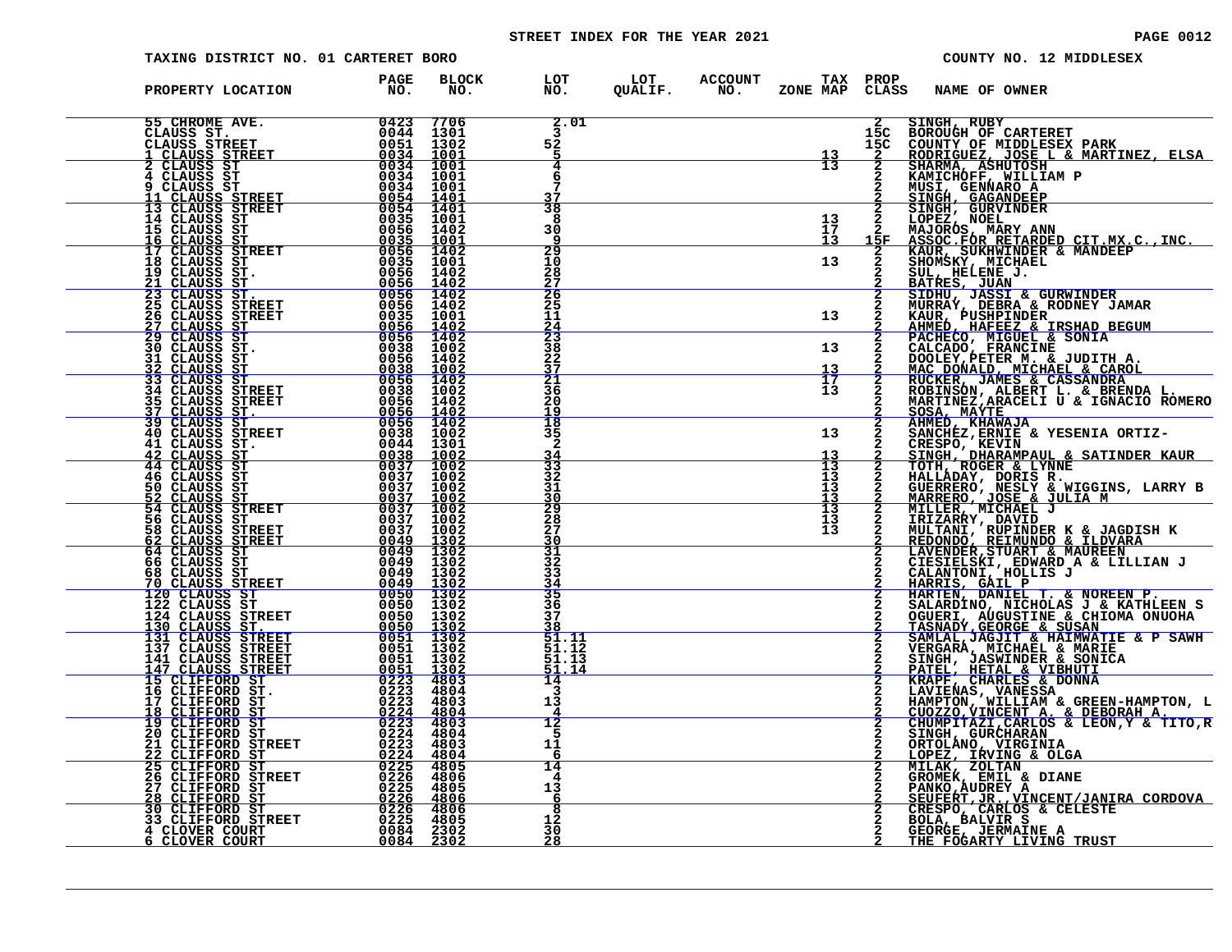# STREET INDEX FOR THE YEAR 2021 **PAGE 10012** PAGE 0012

| TAXING DISTRICT NO. 01 CARTERET BORO                                                                                                                                                                                                                                                                                                                                                                                         |                                                                                                                 |                                    |  |                                                                              | COUNTY NO. 12 MIDDLESEX                                                                                                                                                                                                                                                                                              |
|------------------------------------------------------------------------------------------------------------------------------------------------------------------------------------------------------------------------------------------------------------------------------------------------------------------------------------------------------------------------------------------------------------------------------|-----------------------------------------------------------------------------------------------------------------|------------------------------------|--|------------------------------------------------------------------------------|----------------------------------------------------------------------------------------------------------------------------------------------------------------------------------------------------------------------------------------------------------------------------------------------------------------------|
| PAGE PROPERTY LOCATION FAGE<br>$\begin{tabular}{@{}c c c c} \textbf{PRODEF} & \textbf{DGCATION} & \textbf{FQGC} & \textbf{FQGC} \\ \textbf{S5-CHROMES} & \textbf{OGC1} & \textbf{FQGC} & \textbf{BIO}, \\ \textbf{C1-ANGSS STREET} & 00423 & 7706 \\ \textbf{C1-ANGSS STREET} & 00423 & 7706 \\ \textbf{C1-ANGSUS RREET} & 00344 & 10001 \\ \textbf{A} & \textbf{C1-ANGSUS RREET} & 00344 & 10001 \\ \textbf{C1-ANGSUS STRE$ |                                                                                                                 |                                    |  |                                                                              | BLOCK LOT LOT ACCOUNT TAX PROP<br>NO. NO. QUALIF. NO. ZONE MAP CLASS NAME OF OWNER<br>FRODER MANE CONDUCT CONSERVED AND MARINEAL SCREEP AND MANUSCRIPT AND MANUSCRIPT AND MANUSCRIPT AND MANUSCRIPT AND MANUSCRIPT AND MANUSCRIPT AND MANUSCRIPT AND MANUSCRIPT AND MANUSCRIPT AND MANUSCRIPT AND MANUSCRIPT AND MAN |
|                                                                                                                                                                                                                                                                                                                                                                                                                              |                                                                                                                 | 2.01                               |  |                                                                              |                                                                                                                                                                                                                                                                                                                      |
|                                                                                                                                                                                                                                                                                                                                                                                                                              |                                                                                                                 | 52                                 |  | $\begin{array}{c c}\n\hline\n&13 \\ \hline\n&13 \\ \hline\n&13\n\end{array}$ |                                                                                                                                                                                                                                                                                                                      |
|                                                                                                                                                                                                                                                                                                                                                                                                                              |                                                                                                                 | 4<br>6                             |  |                                                                              |                                                                                                                                                                                                                                                                                                                      |
|                                                                                                                                                                                                                                                                                                                                                                                                                              |                                                                                                                 | $\frac{37}{38}$                    |  |                                                                              |                                                                                                                                                                                                                                                                                                                      |
|                                                                                                                                                                                                                                                                                                                                                                                                                              |                                                                                                                 | 8                                  |  |                                                                              |                                                                                                                                                                                                                                                                                                                      |
|                                                                                                                                                                                                                                                                                                                                                                                                                              |                                                                                                                 | 30<br>٩                            |  | $\begin{array}{c} 13 \\ 17 \\ 13 \end{array}$                                |                                                                                                                                                                                                                                                                                                                      |
|                                                                                                                                                                                                                                                                                                                                                                                                                              |                                                                                                                 | $\frac{29}{10}$                    |  | 13                                                                           |                                                                                                                                                                                                                                                                                                                      |
|                                                                                                                                                                                                                                                                                                                                                                                                                              |                                                                                                                 |                                    |  |                                                                              |                                                                                                                                                                                                                                                                                                                      |
|                                                                                                                                                                                                                                                                                                                                                                                                                              |                                                                                                                 | 287<br>2265<br>11                  |  |                                                                              |                                                                                                                                                                                                                                                                                                                      |
|                                                                                                                                                                                                                                                                                                                                                                                                                              |                                                                                                                 |                                    |  | 13                                                                           |                                                                                                                                                                                                                                                                                                                      |
|                                                                                                                                                                                                                                                                                                                                                                                                                              |                                                                                                                 | $\frac{24}{23}$<br>$\frac{38}{27}$ |  | 13                                                                           |                                                                                                                                                                                                                                                                                                                      |
|                                                                                                                                                                                                                                                                                                                                                                                                                              |                                                                                                                 |                                    |  | $\begin{array}{c} 13 \\ 17 \\ 13 \end{array}$                                |                                                                                                                                                                                                                                                                                                                      |
|                                                                                                                                                                                                                                                                                                                                                                                                                              |                                                                                                                 | $\frac{21}{36}$                    |  |                                                                              |                                                                                                                                                                                                                                                                                                                      |
|                                                                                                                                                                                                                                                                                                                                                                                                                              |                                                                                                                 | 20<br>19<br>$\overline{18}$        |  |                                                                              |                                                                                                                                                                                                                                                                                                                      |
|                                                                                                                                                                                                                                                                                                                                                                                                                              |                                                                                                                 | 35<br>$\overline{2}$               |  | 13                                                                           |                                                                                                                                                                                                                                                                                                                      |
|                                                                                                                                                                                                                                                                                                                                                                                                                              |                                                                                                                 | $\frac{34}{33}$                    |  | $\frac{13}{13}$                                                              |                                                                                                                                                                                                                                                                                                                      |
|                                                                                                                                                                                                                                                                                                                                                                                                                              |                                                                                                                 | 32<br>31                           |  | 13                                                                           |                                                                                                                                                                                                                                                                                                                      |
|                                                                                                                                                                                                                                                                                                                                                                                                                              |                                                                                                                 | 30                                 |  | $\frac{13}{13}$                                                              |                                                                                                                                                                                                                                                                                                                      |
|                                                                                                                                                                                                                                                                                                                                                                                                                              |                                                                                                                 | $\frac{29}{28}$                    |  | $\frac{13}{13}$<br>$13$                                                      |                                                                                                                                                                                                                                                                                                                      |
|                                                                                                                                                                                                                                                                                                                                                                                                                              |                                                                                                                 | 30<br>$\overline{31}$              |  |                                                                              |                                                                                                                                                                                                                                                                                                                      |
|                                                                                                                                                                                                                                                                                                                                                                                                                              |                                                                                                                 | 32<br>33                           |  |                                                                              |                                                                                                                                                                                                                                                                                                                      |
|                                                                                                                                                                                                                                                                                                                                                                                                                              |                                                                                                                 | <u>34</u><br>35                    |  |                                                                              |                                                                                                                                                                                                                                                                                                                      |
|                                                                                                                                                                                                                                                                                                                                                                                                                              |                                                                                                                 | 36<br>37                           |  |                                                                              |                                                                                                                                                                                                                                                                                                                      |
|                                                                                                                                                                                                                                                                                                                                                                                                                              |                                                                                                                 | 38<br>51.11                        |  |                                                                              |                                                                                                                                                                                                                                                                                                                      |
|                                                                                                                                                                                                                                                                                                                                                                                                                              |                                                                                                                 | 51.12<br>51.13                     |  |                                                                              |                                                                                                                                                                                                                                                                                                                      |
|                                                                                                                                                                                                                                                                                                                                                                                                                              |                                                                                                                 | 51.14<br>14                        |  |                                                                              |                                                                                                                                                                                                                                                                                                                      |
|                                                                                                                                                                                                                                                                                                                                                                                                                              |                                                                                                                 | 3<br>13                            |  |                                                                              |                                                                                                                                                                                                                                                                                                                      |
| 17 CLIFFORD ST<br>18 CLIFFORD ST<br>19 CLIFFORD ST<br>20 CLIFFORD ST                                                                                                                                                                                                                                                                                                                                                         | $\frac{0223}{0224}$<br>$\frac{4803}{4804}$<br>$\frac{0224}{0223}$<br>$\frac{4804}{4803}$<br>$\frac{0224}{4803}$ | 12                                 |  |                                                                              |                                                                                                                                                                                                                                                                                                                      |
| 21 CLIFFORD STREET                                                                                                                                                                                                                                                                                                                                                                                                           |                                                                                                                 | 11                                 |  |                                                                              |                                                                                                                                                                                                                                                                                                                      |
| 21 CLIFFORD STREET<br>22 CLIFFORD ST<br>25 CLIFFORD ST<br>26 CLIFFORD STREET<br>26 CLIFFORD STREET<br>26 CLIFFORD STREET<br>28 CLIFFORD ST<br>30 CLIFFORD STREET<br>30 CLIFFORD STREET<br>31 CLOVER COURT<br>34 CLOVER COURT<br>6 CLOVER COURT<br>236                                                                                                                                                                        |                                                                                                                 | 6<br>14                            |  |                                                                              |                                                                                                                                                                                                                                                                                                                      |
|                                                                                                                                                                                                                                                                                                                                                                                                                              |                                                                                                                 | 4<br>13                            |  |                                                                              |                                                                                                                                                                                                                                                                                                                      |
|                                                                                                                                                                                                                                                                                                                                                                                                                              |                                                                                                                 | <u>6</u><br>8                      |  |                                                                              |                                                                                                                                                                                                                                                                                                                      |
|                                                                                                                                                                                                                                                                                                                                                                                                                              |                                                                                                                 | 12<br>30                           |  |                                                                              |                                                                                                                                                                                                                                                                                                                      |
|                                                                                                                                                                                                                                                                                                                                                                                                                              |                                                                                                                 | 28                                 |  |                                                                              |                                                                                                                                                                                                                                                                                                                      |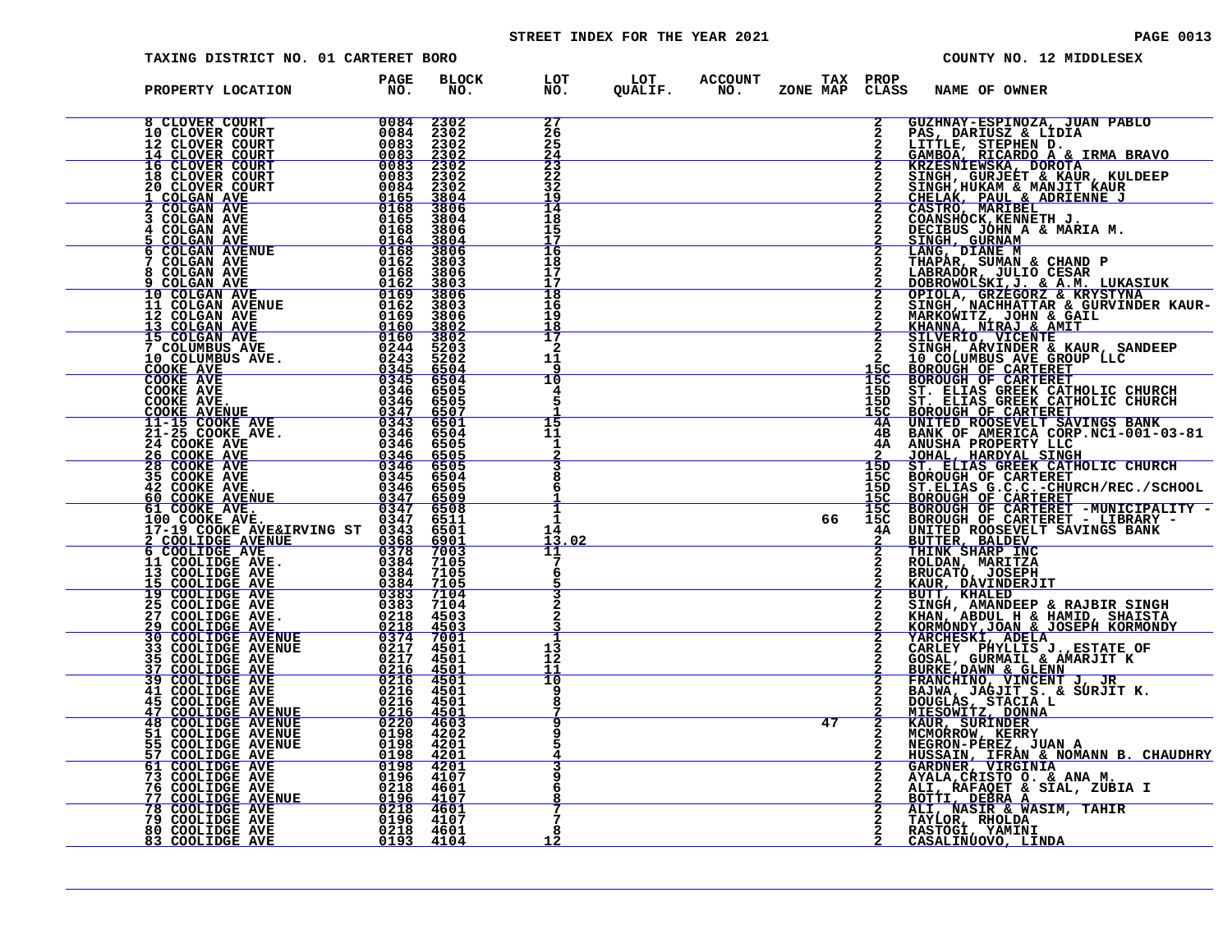# STREET INDEX FOR THE YEAR 2021 **PAGE 10013** PAGE 0013

| TAXING DISTRICT NO. 01 CARTERET BORO |                         |              |                                                            |  |    |                | COUNTY NO. 12 MIDDLESEX                                                                                                                                                                                                                                   |
|--------------------------------------|-------------------------|--------------|------------------------------------------------------------|--|----|----------------|-----------------------------------------------------------------------------------------------------------------------------------------------------------------------------------------------------------------------------------------------------------|
| PROPERTY LOCATION                    | PAGE<br>NO <sub>z</sub> | BLOCK<br>NO. | LOT LOT ACCOUNT TAX PROP<br>NO. QUALIF. NO. ZONE_MAP CLASS |  |    |                | ZONE MAP CLASS NAME OF OWNER                                                                                                                                                                                                                              |
|                                      |                         |              | 27<br>26<br>25<br>24                                       |  |    | $\overline{2}$ | GUZHNAY-ESPINOZA, JUAN PABLO                                                                                                                                                                                                                              |
|                                      |                         |              | $\frac{2}{3}$<br>32<br>19                                  |  |    |                |                                                                                                                                                                                                                                                           |
|                                      |                         |              | 14<br>18<br>15<br>17                                       |  |    |                | 3 GUZENNY-ESPINOZA, JUAN PAELO 1<br>2 GUZENNY-ESPINOZA, JUAN PAELO 1<br>2 GIABION, EICARDO A & IRMA BRAVO<br>2 GRABONI ENGRE DE CARDO A & IRMA BRAVIT KAUBER<br>2 GRABONI ENGRE DE CARDI RAULE EN ENGRE DE CARDINAL AND CESAR DE CARDI                    |
|                                      |                         |              | 16<br>18<br>17<br>17                                       |  |    |                |                                                                                                                                                                                                                                                           |
|                                      |                         |              | 18<br>16<br>19<br>18                                       |  |    |                |                                                                                                                                                                                                                                                           |
|                                      |                         |              | 17<br>2<br>11<br>۹                                         |  |    |                |                                                                                                                                                                                                                                                           |
|                                      |                         |              | 10                                                         |  |    |                |                                                                                                                                                                                                                                                           |
|                                      |                         |              | 15<br>11<br>1                                              |  |    |                |                                                                                                                                                                                                                                                           |
|                                      |                         |              |                                                            |  |    |                |                                                                                                                                                                                                                                                           |
|                                      |                         |              | 1<br>1.<br>13.02<br>11                                     |  |    |                |                                                                                                                                                                                                                                                           |
|                                      |                         |              |                                                            |  |    |                | <b>ROLDAN, MARITZA<br/>BRUCATÓ, JOSEPH<br/><u>KAUR, DAVINDERJIT</u></b>                                                                                                                                                                                   |
|                                      |                         |              |                                                            |  |    |                |                                                                                                                                                                                                                                                           |
|                                      |                         |              | 13<br>12<br>11<br>10                                       |  |    |                |                                                                                                                                                                                                                                                           |
|                                      |                         |              | я                                                          |  | 47 |                | KAUR, DÁVINDERJIT<br>BUTT, KHALED<br>SINGH, AMANDEEP & RAJBIR SINGH<br>KHAN, ABDUL H & HAMID, SHAISTA<br>KORMONDY, JOAN & JOSEPH KORMONDY<br>YARCHESKI, ADELA<br>CARLEY PHYLLIS J., ESTATE OF<br>GOSAL, GURMAIL & AMARJIT K<br>BURKE, DAWN & GLENN<br>FRA |
|                                      |                         |              |                                                            |  |    | $\frac{2}{2}$  |                                                                                                                                                                                                                                                           |
|                                      |                         |              |                                                            |  |    |                | HUSSAIN, IFRAN & NOMANN B. CHAUDHRY<br>GARDNER, VIRGINIA<br>AYALA, CRISTO O. & ANA M.<br>ALI, RAFAQET & SIAL, ZUBIA I<br>BOTTI, DEBRA ARACTIC TRITTE                                                                                                      |
|                                      |                         |              |                                                            |  |    |                | ALI, NASIR & WASIM, TAHIR<br>TAYLOR, RHOLDA<br>RASTOGI, YAMINI<br>CASALINUOVO, LINDA                                                                                                                                                                      |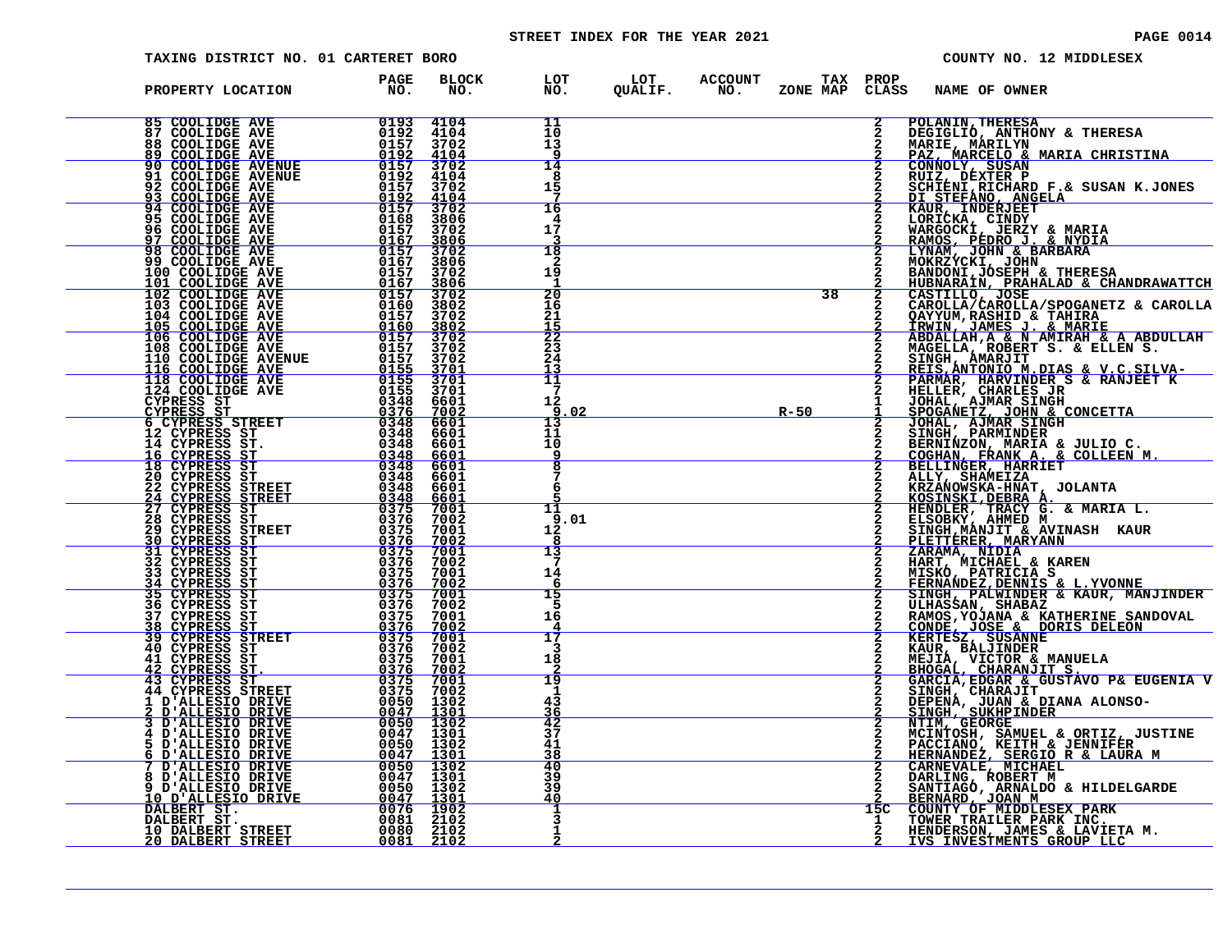# STREET INDEX FOR THE YEAR 2021 **PAGE 10014** PAGE 0014

| TAXING DISTRICT NO. 01 CARTERET BORO                                                                                                                                                                                                                                                                                                                                                                                                                                                                       |                                                                   |                                     |                      |  |          |                | COUNTY NO. 12 MIDDLESEX                                                                                                                                                                                                                                      |
|------------------------------------------------------------------------------------------------------------------------------------------------------------------------------------------------------------------------------------------------------------------------------------------------------------------------------------------------------------------------------------------------------------------------------------------------------------------------------------------------------------|-------------------------------------------------------------------|-------------------------------------|----------------------|--|----------|----------------|--------------------------------------------------------------------------------------------------------------------------------------------------------------------------------------------------------------------------------------------------------------|
| PROPERTY LOCATION                                                                                                                                                                                                                                                                                                                                                                                                                                                                                          | PAGE<br>NO <sub>z</sub>                                           | <b>BLOCK</b><br>NO.                 |                      |  |          |                | LOT LOT ACCOUNT TAX PROP<br>NO. QUALIF. NO. ZONE_MAPCLASS NAME_OF_OWNER                                                                                                                                                                                      |
| $\begin{array}{r} N \setminus \\ \hline 0193 & 4104 \\ 0192 & 4104 \\ 0157 & 4104 \end{array}$                                                                                                                                                                                                                                                                                                                                                                                                             |                                                                   |                                     | 11<br>10<br>13<br>۹  |  |          | $\overline{2}$ | <b>POLANIN, THERESA</b><br>DEGIGLIO, ANTHONY & THERESA<br>MARIE, MARILYN                                                                                                                                                                                     |
|                                                                                                                                                                                                                                                                                                                                                                                                                                                                                                            |                                                                   |                                     | 14<br>8<br>15        |  |          |                | PAZ, MARCELO & MARIA CHRISTINA<br>CONNOLY, SUSAN<br>RUIZ, DEXTER P                                                                                                                                                                                           |
| 91 COOLIDGE AVE<br>92 COOLIDGE AVE<br>93 COOLIDGE AVE<br>95 COOLIDGE AVE<br>95 COOLIDGE AVE<br>97 COOLIDGE AVE<br>98 COOLIDGE AVE<br>99 COOLIDGE AVE<br>99 COOLIDGE AVE<br>99 COOLIDGE AVE                                                                                                                                                                                                                                                                                                                 |                                                                   | $\frac{4104}{3702}$<br>3806<br>3702 | 16<br>4<br>17        |  |          |                |                                                                                                                                                                                                                                                              |
| $\begin{array}{r} 0157 \ 0192 \ -0157 \ 01687 \ -0167 \ 0157 \ 0167 \ 0167 \end{array}$                                                                                                                                                                                                                                                                                                                                                                                                                    |                                                                   | $\frac{3806}{3702}$<br>3806<br>3702 | 18<br>2<br>19        |  |          |                | RUIZ, DEXTER P. & SUSAN K.JONES<br>DI STEFANO, ANGELA<br>DI STEFANO, ANGELA<br>KAUR, INDERJEET<br>WARGOCKI, JERZY & MARIA<br>RAMOS, PEDRO J. & NYDIA<br>RAMOS, PEDRO J. & NYDIA<br>MOKRZYCKI, JOHN<br>BANAM, JOHN & BARBARA<br>BANDONI,JOSEPH & THERESA<br>B |
| 100 COOLIDGE AVE 101 COOLIDGE AVE<br>102 COOLIDGE AVE<br>103 COOLIDGE AVE<br>104 COOLIDGE AVE                                                                                                                                                                                                                                                                                                                                                                                                              | $\frac{\tilde{0}\bar{1}\tilde{6}\tilde{7}}{0157}$<br>0160<br>0157 | 3806<br>3702<br>3802<br>3702        | 20<br>16<br>21       |  | 38       |                | <u>HUBNARAÍN, PRAHALAD &amp; CHANDRAWATTCH</u>                                                                                                                                                                                                               |
|                                                                                                                                                                                                                                                                                                                                                                                                                                                                                                            |                                                                   |                                     |                      |  |          |                |                                                                                                                                                                                                                                                              |
| $\begin{tabular}{c c c} & \multicolumn{1}{c}{\begin{tabular}{c} \multicolumn{1}{c}{\begin{tabular}{c} \multicolumn{1}{c}{\begin{tabular}{c} \multicolumn{1}{c}{\begin{tabular}{c} \multicolumn{1}{c}{\begin{tabular}{c} \multicolumn{1}{c}{\begin{tabular}{c} \multicolumn{1}{c}{\begin{tabular}{c} \multicolumn{1}{c}{\begin{tabular}{c} \multicolumn{1}{c}{\begin{tabular}{c} \multicolumn{1}{c}{\begin{tabular}{c} \multicolumn{1}{c}{\begin{tabular}{c} \multicolumn{1}{c}{\begin{tabular}{c} \multic$ |                                                                   |                                     |                      |  |          |                | ENDONIN, PRAHALAD & CHANDRAWATTCH<br>HUBNARAIN, PRAHALAD & CHANDRAWATTCH<br>CAROLLA/CAROLLA/SPOGANETZ & CAROLLA<br>QAYYUM, RASHID & TAHIRA<br>IRNIN, JAMES J. & MARIE<br>ABDALLAH, A & N AMIRAH & A ABDULLAH<br>MAGELLAH, A & N AMIRAH & A ABDUL             |
|                                                                                                                                                                                                                                                                                                                                                                                                                                                                                                            |                                                                   |                                     |                      |  | $R - 50$ |                |                                                                                                                                                                                                                                                              |
|                                                                                                                                                                                                                                                                                                                                                                                                                                                                                                            |                                                                   |                                     |                      |  |          |                |                                                                                                                                                                                                                                                              |
|                                                                                                                                                                                                                                                                                                                                                                                                                                                                                                            |                                                                   |                                     |                      |  |          |                | HENDLER, TRACY G. & MARIA L.<br>ELSOBKY, AHMED M<br>SINGH, MANJIT & AVINASH KAUR                                                                                                                                                                             |
|                                                                                                                                                                                                                                                                                                                                                                                                                                                                                                            |                                                                   |                                     |                      |  |          |                | PLETTÉRER, MARYANN<br>ZARAMA, NÍDIA                                                                                                                                                                                                                          |
|                                                                                                                                                                                                                                                                                                                                                                                                                                                                                                            |                                                                   |                                     |                      |  |          |                |                                                                                                                                                                                                                                                              |
|                                                                                                                                                                                                                                                                                                                                                                                                                                                                                                            |                                                                   |                                     |                      |  |          |                | ZARAMA, NIDIA<br>HART, MICHAEL & KAREN<br>HART, MICHAEL & KAREN<br>FERNANDEZ, DENNIS & L.YVONNE<br>SINGH, PALWINDER & KAUR, MANJINDER<br>CONDE, JOSE & DORIS DELEON<br>CAMOS, YOJANA & KATHERINE SANDOVAL<br>CONDE, JOSE & DORIS DELEON<br>KAUR, BALJI       |
|                                                                                                                                                                                                                                                                                                                                                                                                                                                                                                            |                                                                   |                                     | 19<br>1              |  |          |                |                                                                                                                                                                                                                                                              |
|                                                                                                                                                                                                                                                                                                                                                                                                                                                                                                            |                                                                   |                                     | 43<br>36<br>42<br>37 |  |          |                | DEPENA, JUAN & DIANA ALONSO-SINGH, SUKHPINDER                                                                                                                                                                                                                |
| 36 CYPRESS ST<br>37 CYPRESS ST<br>37 CYPRESS ST<br>37 CYPRESS STREET<br>40 CYPRESS STREET<br>40 CYPRESS STREET<br>40 CYPRESS STREET<br>42 CYPRESS STREET<br>42 CYPRESS STREET<br>42 CYPRESS STREET<br>43 CYPRESS STREET<br>43 CYPRESS STREET<br>43 CYP                                                                                                                                                                                                                                                     |                                                                   |                                     | 41<br>38<br>40<br>39 |  |          |                | <b>NINA, GEORGE<br/>MCINTOSH, SAMUEL &amp; ORTIZ, JUSTINE<br/>PACCIANO, KEITH &amp; JENNIFER<br/>HERNANDEZ, SERGIO R &amp; LAURA M<br/>CARNEVALE, MICHAEL<br/>CARNEVALE, MICHAEL</b>                                                                         |
|                                                                                                                                                                                                                                                                                                                                                                                                                                                                                                            |                                                                   |                                     | 39<br>40             |  |          | 15C            | DARLING, ROBERT M<br>SANTIAGO, ARNALDO & HILDELGARDE<br>BERNARD, JOAN M<br>COUNTY OF MIDDLESEX PARK<br>TOWER TRAILER PARK INC.                                                                                                                               |
|                                                                                                                                                                                                                                                                                                                                                                                                                                                                                                            |                                                                   |                                     |                      |  |          |                | HENDERSON, JAMES & LAVIETA M.<br>IVS INVESTMENTS GROUP LLC                                                                                                                                                                                                   |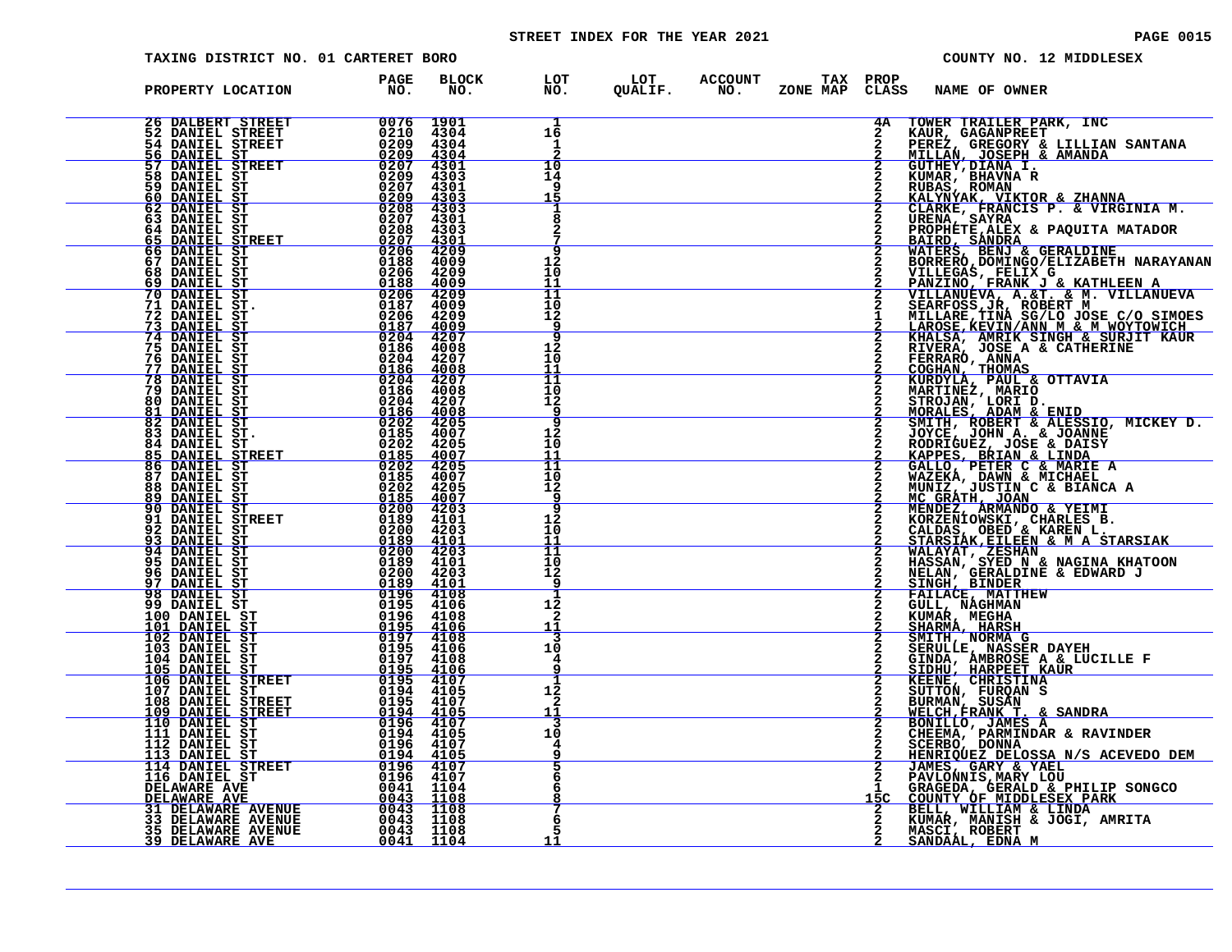# STREET INDEX FOR THE YEAR 2021 **PAGE 10015** PAGE 0015

| TAXING DISTRICT NO. 01 CARTERET BORO                                                                                                                                                                                                                                                                                                                                                                                                                                                                          |                                                 |                                             |                                           |                                                                  |  |                | COUNTY NO. 12 MIDDLESEX                                                                                                                                                                                                                                                                   |
|---------------------------------------------------------------------------------------------------------------------------------------------------------------------------------------------------------------------------------------------------------------------------------------------------------------------------------------------------------------------------------------------------------------------------------------------------------------------------------------------------------------|-------------------------------------------------|---------------------------------------------|-------------------------------------------|------------------------------------------------------------------|--|----------------|-------------------------------------------------------------------------------------------------------------------------------------------------------------------------------------------------------------------------------------------------------------------------------------------|
| PROPERTY LOCATION                                                                                                                                                                                                                                                                                                                                                                                                                                                                                             | <b>PAGE</b><br>NO.                              | <b>BLOCK</b><br>NO.                         |                                           | LOT LOT ACCOUNT TAX PROP<br>NO.   QUALIF.   NO.   ZONE MAP CLASS |  |                | <b>NAME OF OWNER</b>                                                                                                                                                                                                                                                                      |
| $\begin{array}{r} \texttt{T} \qquad \qquad 0076 \quad 1 \ 0210 \quad 4 \ 02209 \quad 4 \ 02209 \quad 4 \ 02207 \quad 4 \ 02207 \quad 4 \ 02207 \quad 4 \ 02208 \quad 4 \ 02208 \quad 4 \ 02208 \quad 4 \ 02208 \quad 4 \ 02207 \quad 4 \ 02207 \quad 4 \ 02207 \quad 4 \ 02208 \quad 02208 \quad 4 \ 02208 \quad 02208 \quad 02208 \quad 02208 \$<br><b>26 DALBERT STREET</b><br><b><i>EXAMPLE STREET</i></b><br>54 DANIEL STREET<br>56 DANIEL STREET<br>57 DANIEL STREET<br>58 DANIEL STREET<br>80 DANIEL ST |                                                 | 1901<br>4304<br>4304<br><u>4304</u>         | 1<br>16<br>1                              |                                                                  |  |                | 4A TOWER TRAILER PARK, INC<br><b>FAUR, GAGANPREET<br/>PEREZ, GREGORY &amp; LILLIAN SANTANA<br/>MILLAN, JOSEPH &amp; AMANDA<br/>GUTHEY, DIARA I.<br/>KUMAR, BHAVNA R<br/>KUMAR, BHAVNA R</b>                                                                                               |
| 59 DANIEL ST<br>60 DANIEL ST<br>62 DANIEL ST                                                                                                                                                                                                                                                                                                                                                                                                                                                                  |                                                 | 4301<br>4303<br>4301<br>$\frac{4303}{4303}$ | $\frac{10}{14}$<br>q                      |                                                                  |  |                | RUBAS, ROMAN<br>KALYNYAK, VIKTOR & ZHANNA<br>CLARKE, FRANCIS P. & VIRGINIA M.                                                                                                                                                                                                             |
| 63 DANIEL ST<br>64 DANIEL ST<br>65 DANIEL STREET<br>66 DANIEL ST                                                                                                                                                                                                                                                                                                                                                                                                                                              |                                                 | 4301<br>4303<br>$4301$<br>$4209$            | 8<br>2<br>q                               |                                                                  |  |                | URENA, SAYRA<br>PROPHETE, ALEX & PAQUITA MATADOR<br>BAIRD, SANDRA<br>WATERS, BENJ & GERALDINE<br>BORRERO, DOMINGO/ELIZABETH NARAYANAN                                                                                                                                                     |
| 67 DANIEL ST<br><b>68 DANIEL ST<br/>69 DANIEL ST</b><br>70 DANIEL ST                                                                                                                                                                                                                                                                                                                                                                                                                                          |                                                 | 4009<br>4209<br><u>4009</u><br>4209         | 12<br>10<br>11<br>11                      |                                                                  |  |                | DUKLEGAS, FELIX G<br>PANZINO, FRANK J & KATHLEEN A<br>VILLANUEVA, A. &T. & M. VILLANUEVA<br>SEARFOSS, JR, ROBERT M<br>MILLARE, TINA SG/LO JOSE C/O SIMOES<br>MILLARE, TINA SG/LO JOSE C/O SIMOES                                                                                          |
| <b>71 DANIEL ST.</b><br><b>72 DANIEL ST</b><br>73 DANIEL ST<br><b>74 DANIEL ST</b><br>75 DANIEL ST                                                                                                                                                                                                                                                                                                                                                                                                            |                                                 | 4009<br>4209<br>4008                        | 10<br>12<br>q<br>9<br>12                  |                                                                  |  |                |                                                                                                                                                                                                                                                                                           |
| 76 DANIEL ST<br>77 DANIEL ST<br>78 DANIEL ST<br><b>79 DANIEL ST</b>                                                                                                                                                                                                                                                                                                                                                                                                                                           | 0186<br>0204<br><u>0186</u><br>$0204$<br>$0186$ | 4207<br>4008<br>4207<br>4008                | 10<br>11<br>$\frac{11}{10}$               |                                                                  |  |                | MILLARE, TINA SG/LO JOSE C/O SIMOES<br>LAROSE, KEVIN/ANN M & MOYTOVICH<br>KHALSA, AMRIK SINGH & SURJIT KAUR<br>RIVERA, JOSE A & CATHERINE<br>FERRARO, ANNA<br>COGHAN, THOMAS<br>KURDYLA, PAUL & OTTAVIA<br>MARTINEZ, MARIO<br>STROJAN, LORI D.<br>MORALES                                 |
| 80 DANIEL ST<br><u>81 DANIEL ST</u><br>82 DANIEL ST<br>$\frac{0186}{0202}$<br>83 DANIEL ST.<br>84 DANIEL ST                                                                                                                                                                                                                                                                                                                                                                                                   | 0204<br>0185                                    | 4207<br><u>4008</u><br>4205<br>4007<br>4205 | 12<br>$\overline{\mathbf{q}}$<br>12<br>10 |                                                                  |  |                | JOYCE, JOHN A. & JOANNE                                                                                                                                                                                                                                                                   |
| $\frac{0202}{0185}$<br>85 DANIEL STREET<br>86 DANIEL ST<br>87 DANIEL ST<br>88 DANIEL ST                                                                                                                                                                                                                                                                                                                                                                                                                       |                                                 | 4007<br>4205<br>4007                        | 11<br>11<br>10<br>12                      |                                                                  |  |                | RODRIGUEZ, JOSE & DAISY<br>KAPPES, BRIAN & LINDA<br>GALLO, PETER C & MARIE A<br>WAZEKA, DAWN & MICHAEL<br>MUNIZ, JUSTIN C & BIANCA A<br>MCGRATH, JOAN<br>MENDEZ, ARMANDO & YEIMI<br>KORZENIOWSKI, CHARLES B.<br>CALDAS, OBED & KAREN L.<br>CALDA                                          |
| $\begin{array}{r rr} & & 0185 & 4007 \ \hline 0 & 0202 & 4205 \ \hline \end{array}$ .<br>ET $\begin{array}{r rr} & 0185 & 4007 \ \hline 0 & 200 & 4203 \ \hline 0 & 200 & 4203 \ \hline 0 & 0189 & 4101 \ \hline 0 & 0189 & 4101 \ \hline 0 & 200 & 4203 \ \hline 0 & 200 & 4203 \ \hline 0 & 0195 & 4106 \ \hline 0 & 0196 & 4108 \ \$<br>89 DANIEL ST<br>90 DANIEL ST<br>91 DANIEL STREET<br>92 DANIEL ST<br>93 DANIEL ST                                                                                   |                                                 |                                             | <b>q</b><br>9<br>12<br>10<br>11           |                                                                  |  | $\overline{2}$ |                                                                                                                                                                                                                                                                                           |
| 94 DANIEL ST<br>95 DANIEL ST<br>96 DANIEL ST<br>97 DANIEL ST<br>98 DANIEL ST                                                                                                                                                                                                                                                                                                                                                                                                                                  |                                                 |                                             | 11<br>10<br>12<br><b>g</b>                |                                                                  |  |                | CALDAS, OBED & KAREN L.<br>STARSIAK, EILEEN & M A STARSIAK<br>WALAYAT, ZESHAN<br>HASSAN, SYED N & NAGINA KHATOON<br>NELAN, GERALDINE & EDWARD J<br>SINGH, BINDER<br>FAILACE, MATTHEW<br>CULL, NAGHAN<br>CULL, NAGHAN<br>CULL, NAGHAN                                                      |
| 99 DANIEL ST                                                                                                                                                                                                                                                                                                                                                                                                                                                                                                  |                                                 |                                             | 12<br>2<br><u> 11</u>                     |                                                                  |  | $\frac{2}{2}$  | KUMAR, MEGHA<br>SHARMA, HARSH<br>SMITH, NORMA G                                                                                                                                                                                                                                           |
|                                                                                                                                                                                                                                                                                                                                                                                                                                                                                                               |                                                 |                                             | 10<br>4<br>q                              |                                                                  |  |                |                                                                                                                                                                                                                                                                                           |
|                                                                                                                                                                                                                                                                                                                                                                                                                                                                                                               |                                                 |                                             | 12<br>2<br>11<br>3                        |                                                                  |  | $\overline{2}$ | SMITH, NORMA G<br>SERULLE, NASSER DAYEH<br>GINDA, AMBROSE A & LUCILLE F<br>SIDHU, HARPEET KAUR<br>KEENE, CHRISTINA<br>SURMAN, FURQAN S<br>BURMAN, SUSAN<br><u>WELCH, FRANK T. &amp; SANDRA<br/>CHEEMA, PARMINDAR &amp; RAVINDER</u><br>CHEEMA, PARMINDAR & RAVINDER                       |
| 98 DANIEL ST<br>100 DANIEL ST<br>100 DANIEL ST<br>101 DANIEL ST<br>102 DANIEL ST<br>103 DANIEL ST<br>103 DANIEL ST<br>103 DANIEL ST<br>103 DANIEL ST<br>103 DANIEL ST<br>105 DANIEL ST<br>105 DANIEL ST<br>105 DANIEL ST<br>105 DANIEL STREET<br>106 DANIE                                                                                                                                                                                                                                                    |                                                 |                                             | 10<br>4<br>5<br>6                         |                                                                  |  |                | CHEEMA, PARMINDAR & RAVINDER<br>CHEEMA, PARMINDAR & RAVINDER<br>SCERBO, DONNA<br>HENRIQUEZ DELOSSA N/S ACEVEDO DEM<br>JAMES, GARY & YAEL<br>PAVLONNIS, MARY LOU<br>COUNTY OF MIDDLESEX PARK<br>COUNTY OF MIDDLESEX PARK<br>BELL, WILLIAM & LINDA<br>KUMAR, MANISH & JOGI, AMRITA<br>WASCI |
|                                                                                                                                                                                                                                                                                                                                                                                                                                                                                                               |                                                 |                                             | 6<br>7<br>6                               |                                                                  |  |                |                                                                                                                                                                                                                                                                                           |
|                                                                                                                                                                                                                                                                                                                                                                                                                                                                                                               |                                                 |                                             | 11                                        |                                                                  |  |                | MASCI, ROBERT<br>SANDAAL, EDNA M                                                                                                                                                                                                                                                          |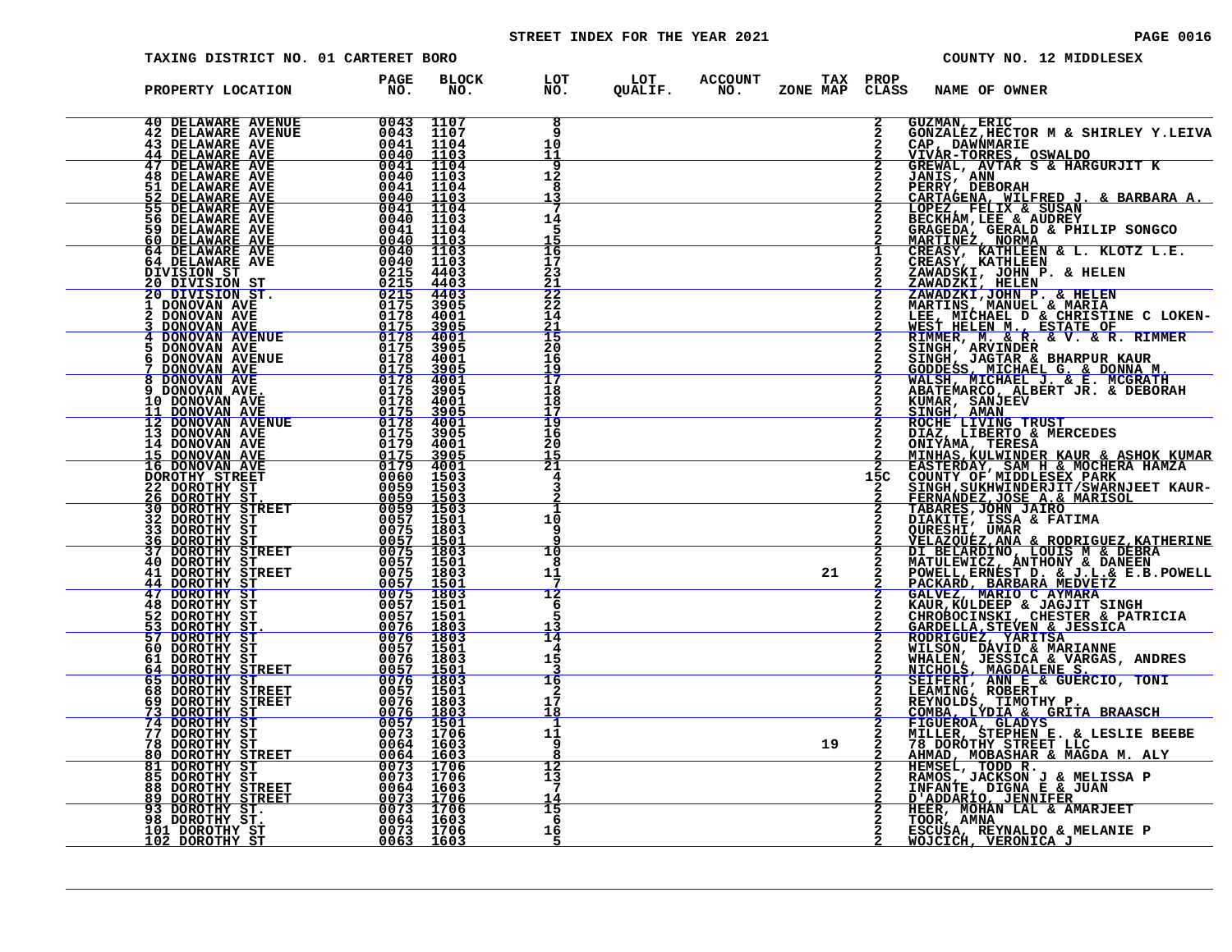# STREET INDEX FOR THE YEAR 2021 PAGE 0016

| TAXING DISTRICT NO. 01 CARTERET BORO                                                                                                                                                                                                                                                                                                                                                                                                                                   |                                                                                                                                                                                                                                                                                   |                                     |                     |                                         |    |          | COUNTY NO. 12 MIDDLESEX                                                                                                                                                                                                                                      |
|------------------------------------------------------------------------------------------------------------------------------------------------------------------------------------------------------------------------------------------------------------------------------------------------------------------------------------------------------------------------------------------------------------------------------------------------------------------------|-----------------------------------------------------------------------------------------------------------------------------------------------------------------------------------------------------------------------------------------------------------------------------------|-------------------------------------|---------------------|-----------------------------------------|----|----------|--------------------------------------------------------------------------------------------------------------------------------------------------------------------------------------------------------------------------------------------------------------|
| PROPERTY LOCATION                                                                                                                                                                                                                                                                                                                                                                                                                                                      | PAGE<br>NO.                                                                                                                                                                                                                                                                       | <b>BLOCK</b><br>NO.                 |                     | LOT LOT ACCOUNT<br>NO. QUALIF. NO. ZONE |    | TAX PROP | ZONE MAP CLASS NAME OF OWNER                                                                                                                                                                                                                                 |
| $\begin{tabular}{c c c} 40 DELANARE AVENUE \\ 42 DELANARE AVENUE \\ 43 DELANARE AVE \\ 44 DELANARE AVE \\ 44 DELINKARE AVE \\ 46 DELANARE AVE \\ 47 DELINKARE AVE \\ 51 DELANARE AVE \\ 52 DELINKARE AVE \\ 60 40 1103 \\ 55 DELINKARE AVE \\ 60 640 1104 \\ 56 DELINKARE AVE \\ 60 DELINKARE AVE \\ 60 DELINKARE AVE \\ 60 DELINKARE AVE \\ 60 DELINKARE AVE \\ 61 DELINKARE AVE \\ 64 DELINKARE AVE \\ 64 DELINKARE AVE \\ 64 DELINKARE AVE \\ 64 DELINKARE AVE \\ $ |                                                                                                                                                                                                                                                                                   |                                     | 8<br>9              |                                         |    |          | <b>GUZMAN, ERIC</b><br>GONZALEZ, HECTOR M & SHIRLEY Y. LEIVA                                                                                                                                                                                                 |
|                                                                                                                                                                                                                                                                                                                                                                                                                                                                        |                                                                                                                                                                                                                                                                                   |                                     | 10<br>11            |                                         |    |          | CAP, DAWNMARIE<br>VIVAR-TORRES, OSWALDO<br>GREWAL, AVTAR S & HARGURJIT K                                                                                                                                                                                     |
|                                                                                                                                                                                                                                                                                                                                                                                                                                                                        |                                                                                                                                                                                                                                                                                   |                                     | 9<br>12             |                                         |    |          | JANIS, ANN<br>PERRY, DEBORAH                                                                                                                                                                                                                                 |
|                                                                                                                                                                                                                                                                                                                                                                                                                                                                        |                                                                                                                                                                                                                                                                                   |                                     | 8<br><u> 13</u>     |                                         |    |          |                                                                                                                                                                                                                                                              |
|                                                                                                                                                                                                                                                                                                                                                                                                                                                                        |                                                                                                                                                                                                                                                                                   |                                     | 14                  |                                         |    |          |                                                                                                                                                                                                                                                              |
|                                                                                                                                                                                                                                                                                                                                                                                                                                                                        |                                                                                                                                                                                                                                                                                   |                                     | 5                   |                                         |    |          |                                                                                                                                                                                                                                                              |
|                                                                                                                                                                                                                                                                                                                                                                                                                                                                        | $\begin{array}{r} 0040 \ 0040 \ 0040 \ 0040 \ 0215 \ 0215 \ 0178 \ 0178 \ 0175 \end{array}$                                                                                                                                                                                       |                                     | 16<br>17            |                                         |    |          | PERRY, DEBORAH<br>CARTAGENA, WILFRED J. & BARBARA A.<br>LOPEZ, FELIX & SUSAN<br>BECKHAM,LEE & AUDREY<br>GRAGEDA, GERALD & PHILIP SONGCO<br>MARTINEZ, MORMA<br>CREASY, KATHLEEN & L. KLOTZ L.E.<br>CREASY, KATHLEEN & L. KLOTZ L.E.<br>CREASY, KATHLEEN       |
| DIVISION ST<br><u>20 DIVISION ST</u><br>20 DIVISION ST.                                                                                                                                                                                                                                                                                                                                                                                                                |                                                                                                                                                                                                                                                                                   | 4403<br>4403<br>4403                | 23<br><u> 21</u>    |                                         |    |          |                                                                                                                                                                                                                                                              |
| 1 DONOVAN AVE<br>2 DONOVAN AVE                                                                                                                                                                                                                                                                                                                                                                                                                                         |                                                                                                                                                                                                                                                                                   | 3905<br>4001                        | $\frac{2}{2}$<br>14 |                                         |    |          | CREASY, KATHLEEN<br>ZAWADSKI, JOHN P. & HELEN<br>ZAWADSKI, JELEN<br>ZAWADZKI,JOHN P. & HELEN<br>MARTINS, MANUEL & MARIA<br>MEST MICHAEL D & CHRISTINE C LOKEN-<br>WEST HELEN M., ESTATE OF<br>RIMGH, ARVINDER<br>SINGH, ARVINDER<br>SINGH, ARVINDER<br>SINGH |
|                                                                                                                                                                                                                                                                                                                                                                                                                                                                        |                                                                                                                                                                                                                                                                                   | 3905<br>4001                        | $\frac{21}{15}$     |                                         |    |          |                                                                                                                                                                                                                                                              |
| 5.<br>6                                                                                                                                                                                                                                                                                                                                                                                                                                                                |                                                                                                                                                                                                                                                                                   | 3905<br>4001                        | $\frac{20}{16}$     |                                         |    |          |                                                                                                                                                                                                                                                              |
| DONOVAN AVE 0178<br>DONOVAN AVENUE 0175<br>DONOVAN AVENUE 0175<br>DONOVAN AVENUE 0178<br>DONOVAN AVENUE 0175<br>DONOVAN AVE 0175<br>DONOVAN AVE 0175<br>1 DONOVAN AVE 0175<br>1 DONOVAN AVE 0175<br>1 DONOVAN AVE 0175                                                                                                                                                                                                                                                 |                                                                                                                                                                                                                                                                                   | 3905<br>4001                        | 19<br>17            |                                         |    |          |                                                                                                                                                                                                                                                              |
| 8 DONOVAN AVE.<br>9 DONOVAN AVE.<br>10 DONOVAN AVE                                                                                                                                                                                                                                                                                                                                                                                                                     |                                                                                                                                                                                                                                                                                   | 3905<br>4001                        | 18<br>18            |                                         |    |          |                                                                                                                                                                                                                                                              |
| 11 DONOVAN AVE<br>12 DONOVAN AVENUE                                                                                                                                                                                                                                                                                                                                                                                                                                    | $\begin{array}{r} 0178 \\ 0175 \\ \hline 0178 \\ \hline 2178 \end{array}$                                                                                                                                                                                                         | 3905<br>4001                        | Ī9                  |                                         |    |          |                                                                                                                                                                                                                                                              |
|                                                                                                                                                                                                                                                                                                                                                                                                                                                                        |                                                                                                                                                                                                                                                                                   | 3905<br>4001                        | 16<br>20            |                                         |    |          |                                                                                                                                                                                                                                                              |
| 12 DONOVAN AVENUE<br>13 DONOVAN AVENUE<br>14 DONOVAN AVE<br>15 DONOVAN AVE<br>15 DONOVAN AVE<br>16 DONOVAN AVE<br>22 DOROTHY STREET<br>26 DOROTHY STREET<br>30 DOROTHY STREET<br>33 DOROTHY STREET<br>36 DOROTHY STREET<br>40 DOROTHY STREET<br>40 DOROTHY STREET<br>                                                                                                                                                                                                  |                                                                                                                                                                                                                                                                                   | 3905<br>4001                        | 15<br>21            |                                         |    |          |                                                                                                                                                                                                                                                              |
|                                                                                                                                                                                                                                                                                                                                                                                                                                                                        |                                                                                                                                                                                                                                                                                   | 1503<br>1503<br>1503                | 4                   |                                         |    | 15C      |                                                                                                                                                                                                                                                              |
|                                                                                                                                                                                                                                                                                                                                                                                                                                                                        |                                                                                                                                                                                                                                                                                   | $\frac{1503}{1501}$                 | 10                  |                                         |    |          |                                                                                                                                                                                                                                                              |
|                                                                                                                                                                                                                                                                                                                                                                                                                                                                        |                                                                                                                                                                                                                                                                                   |                                     | 9                   |                                         |    |          |                                                                                                                                                                                                                                                              |
|                                                                                                                                                                                                                                                                                                                                                                                                                                                                        |                                                                                                                                                                                                                                                                                   | $\frac{1501}{1803}$<br>1501         | 10<br>8             |                                         |    |          |                                                                                                                                                                                                                                                              |
|                                                                                                                                                                                                                                                                                                                                                                                                                                                                        |                                                                                                                                                                                                                                                                                   | 1803<br><u>1501</u>                 | 11                  |                                         | 21 |          |                                                                                                                                                                                                                                                              |
| 47 DOROTHY ST<br>48 DOROTHY ST                                                                                                                                                                                                                                                                                                                                                                                                                                         |                                                                                                                                                                                                                                                                                   | 1803<br>1501                        | 12<br>6             |                                         |    |          |                                                                                                                                                                                                                                                              |
| 52 DOROTHY ST<br>53 DOROTHY ST<br>57 DOROTHY ST                                                                                                                                                                                                                                                                                                                                                                                                                        | $0057$<br>0076<br>0076                                                                                                                                                                                                                                                            | 1501                                | 5                   |                                         |    |          |                                                                                                                                                                                                                                                              |
| 60 DOROTHY ST                                                                                                                                                                                                                                                                                                                                                                                                                                                          | 0057                                                                                                                                                                                                                                                                              | $\frac{1803}{1803}$<br>1903<br>1501 | 14<br>4             |                                         |    |          |                                                                                                                                                                                                                                                              |
| 61 DOROTHY ST                                                                                                                                                                                                                                                                                                                                                                                                                                                          | 0076                                                                                                                                                                                                                                                                              | 1803                                | 15                  |                                         |    |          |                                                                                                                                                                                                                                                              |
| <b>64 DOROTHY STREET<br/>65 DOROTHY ST<br/>68 DOROTHY STREET</b>                                                                                                                                                                                                                                                                                                                                                                                                       | $\frac{0.057}{0.076}$                                                                                                                                                                                                                                                             | $\frac{1501}{1803}$<br>1501         | 16                  |                                         |    |          |                                                                                                                                                                                                                                                              |
| 69 DOROTHY STREET<br>73 DOROTHY ST                                                                                                                                                                                                                                                                                                                                                                                                                                     | 0076<br>0076                                                                                                                                                                                                                                                                      | 1803<br><u>1803</u>                 | 17<br>18            |                                         |    |          |                                                                                                                                                                                                                                                              |
| <b>74 DOROTHY ST<br/>77 DOROTHY ST</b>                                                                                                                                                                                                                                                                                                                                                                                                                                 | 0057<br>0073                                                                                                                                                                                                                                                                      | $\frac{1501}{1706}$                 | 11<br>9             |                                         |    |          |                                                                                                                                                                                                                                                              |
| 78 DOROTHY ST<br><b>80 DOROTHY STREET</b><br><b>81 DOROTHY ST</b>                                                                                                                                                                                                                                                                                                                                                                                                      | 0064<br>$\frac{0064}{0073}$                                                                                                                                                                                                                                                       | 1603<br>$\frac{1603}{1706}$         | $\overline{12}$     |                                         | 19 |          | SINGE, JACTAR I HARRUN KAUR MARINI KAUR MALISI (GONNA MALISI SA DONNA MALISI AL DONNA MALISH<br>KUMAR SANJEEN G. & B. MCGRATH<br>ABATEMARCO, ALBERT JR. & B. MCGRATH<br>SINGH AMAN<br>SINGE LIVING TRUST<br>DIAZ, LIBERTO & MERCEDES<br>DIAZ, LI             |
| <b>85 DOROTHY ST<br/>88 DOROTHY STREET<br/><u>89 DOROTHY STREET</u></b>                                                                                                                                                                                                                                                                                                                                                                                                | 0073<br>0064                                                                                                                                                                                                                                                                      | 1706<br>1603                        | 13<br>7             |                                         |    |          |                                                                                                                                                                                                                                                              |
|                                                                                                                                                                                                                                                                                                                                                                                                                                                                        | 0073                                                                                                                                                                                                                                                                              | 1706                                | 14<br>15            |                                         |    |          | HEER, MOHAN LAL & AMARJEET                                                                                                                                                                                                                                   |
| 93 DOROTHY ST.<br>98 DOROTHY ST.<br>101 DOROTHY ST                                                                                                                                                                                                                                                                                                                                                                                                                     | $\begin{array}{r} \begin{array}{r} \text{0073} \\ \text{0073} \\ \text{0064} \\ \text{0064} \\ \text{0073} \\ \text{0073} \end{array} \end{array} \begin{array}{r} \begin{array}{r} \text{1706} \\ \text{1706} \\ \text{003} \\ \text{0073} \end{array} \end{array}$<br>0073 1706 |                                     | 6<br>16             |                                         |    |          | TOOR, AMNA<br>ESCUSA, REYNALDO & MELANIE P                                                                                                                                                                                                                   |
| <u>102 DOROTHY ST</u>                                                                                                                                                                                                                                                                                                                                                                                                                                                  | 0063 1603                                                                                                                                                                                                                                                                         |                                     |                     |                                         |    |          | <u>WOJCICH, VERONICA J</u>                                                                                                                                                                                                                                   |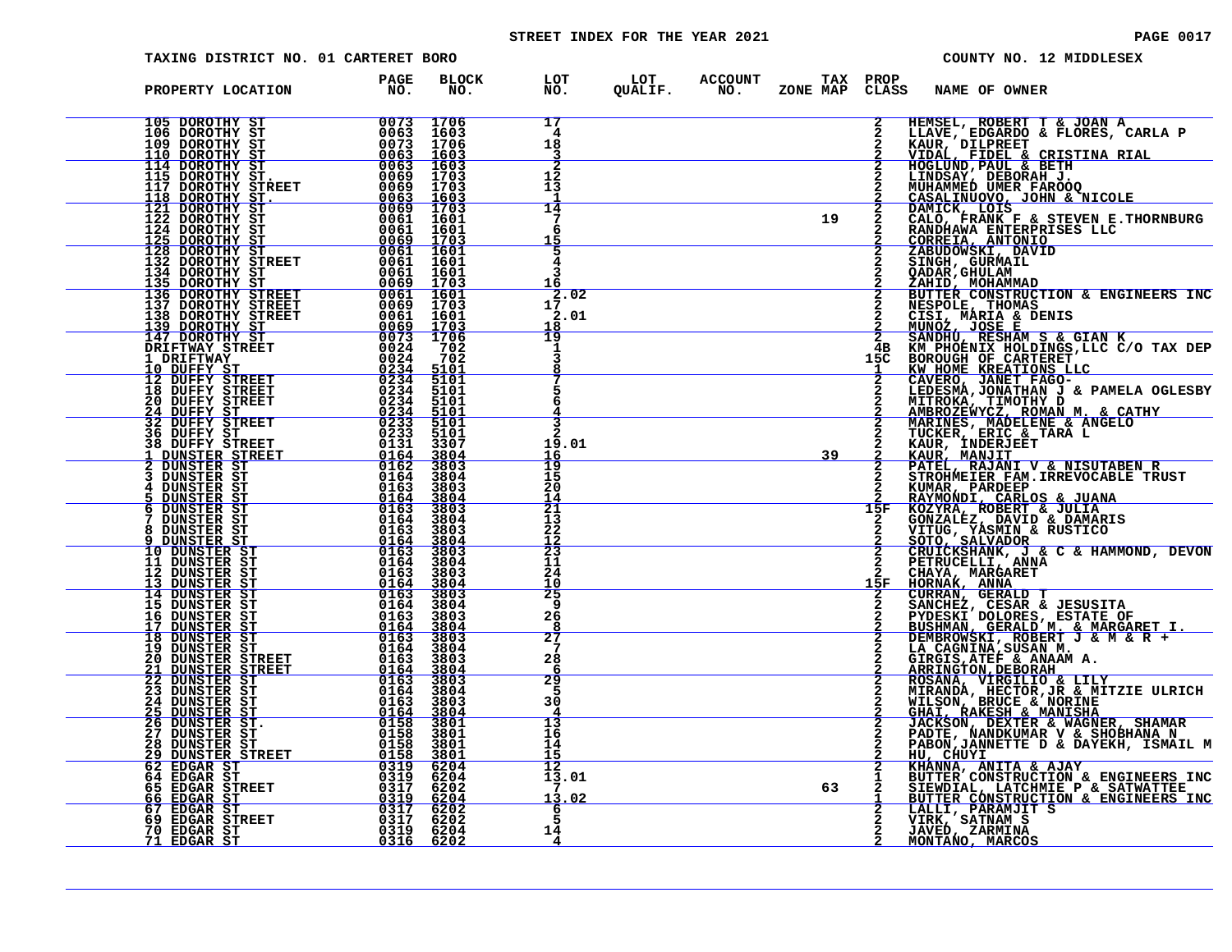# STREET INDEX FOR THE YEAR 2021 **PAGE 10017** PAGE 0017

| TAXING DISTRICT NO. 01 CARTERET BORO                                                                                                                                                                                                                                                                                                                                                                                                                                               |                                                                                          |                                             |                                   |  |    |     | COUNTY NO. 12 MIDDLESEX                                                                                                                                                                                                                                      |
|------------------------------------------------------------------------------------------------------------------------------------------------------------------------------------------------------------------------------------------------------------------------------------------------------------------------------------------------------------------------------------------------------------------------------------------------------------------------------------|------------------------------------------------------------------------------------------|---------------------------------------------|-----------------------------------|--|----|-----|--------------------------------------------------------------------------------------------------------------------------------------------------------------------------------------------------------------------------------------------------------------|
| PROPERTY LOCATION                                                                                                                                                                                                                                                                                                                                                                                                                                                                  | <b>PAGE</b><br>NO <sub>z</sub>                                                           | <b>BLOCK</b><br>NO.                         |                                   |  |    |     | LOT LOT ACCOUNT TAX PROP<br>NO. QUALIF. NO. ZONE_MAPCLASS NAME_OF_OWNER                                                                                                                                                                                      |
| 105 DOROTHY ST<br>106 DOROTHY ST<br>109 DOROTHY ST<br>109 DOROTHY ST<br>110 DOROTHY ST<br>114 DOROTHY ST<br>114 DOROTHY ST<br>115 DOROTHY ST.<br>115 DOROTHY ST.<br>118 DOROTHY ST.<br>118 DOROTHY ST.<br>10063 1603                                                                                                                                                                                                                                                               |                                                                                          |                                             | 17<br>4<br>18                     |  |    |     | HEMSEL, ROBERT T & JOAN A<br>LLAVE, EDGARDO & FLORES, CARLA P<br>KAUR, DILPREET                                                                                                                                                                              |
|                                                                                                                                                                                                                                                                                                                                                                                                                                                                                    |                                                                                          |                                             | <u>3</u><br>12<br>13              |  |    |     | <u>VIDAL, FIDEL &amp; CRISTINA RIAL</u><br>HOGLUND, PAUL & BETH<br>LINDSAY, DEBORAH J.<br>MUHAMMED UMER FAROOQ<br>CASALINUOVO, JOHN & NICOLE<br>DAMICK, LOIS                                                                                                 |
| 115 DOROTHY ST. 0069 1703<br>117 DOROTHY STREET 0069 1703<br>121 DOROTHY ST. 0063 1603<br>122 DOROTHY ST 0063 1603<br>122 DOROTHY ST 0061 1601<br>125 DOROTHY ST 0064 1601<br>125 DOROTHY ST 0064 1601<br>132 DOROTHY STREET 0061 1601<br>134                                                                                                                                                                                                                                      |                                                                                          |                                             | $\overline{14}$<br>7<br>6         |  | 19 |     | CALO, FRANK F & STEVEN E.THORNBURG<br>RANDHAWA ENTERPRISES LLC                                                                                                                                                                                               |
|                                                                                                                                                                                                                                                                                                                                                                                                                                                                                    |                                                                                          |                                             | 15<br>5<br>4<br>3                 |  |    |     | CORRETA ANTONIO<br>ZABUDOWSKI, DAVID<br>SINGH, GURMAIL<br>OADAR, GURMAIL<br><u>ZAHID, MOHAMMAD</u>                                                                                                                                                           |
| 134 DOROTHY STREET<br>134 DOROTHY ST<br>135 DOROTHY STREET<br>136 DOROTHY STREET<br>138 DOROTHY STREET<br>139 DOROTHY STREET<br>139 DOROTHY STREET<br>147 DOROTHY STREET<br>147 DOROTHY STREET<br>$\begin{array}{r}0061&1601\0061&1601\0069&1703\0061&1601\0069&1703\0061&1601\0069&1703\end{array}$                                                                                                                                                                               |                                                                                          |                                             | 17.02<br>2.01                     |  |    |     |                                                                                                                                                                                                                                                              |
| $\begin{array}{r rrrr} & & & & & & & 170\, \mathrm{m} \cr & & & & & & 006\, \mathrm{I} & 160\, \mathrm{I} \cr & & & & & & 0069 & 1703 \cr \mathrm{EFT} & & & & & 0073 & 1706 \cr & & & & & & 0024 & 702 \cr & & & & & & 0024 & 702 \end{array}$<br>DRIFTWAY STREET<br>1 DRIFTWAY                                                                                                                                                                                                   |                                                                                          |                                             | 18<br>19                          |  |    | 15C | ZAHID, MOHAMMAD<br>BUTTER CONSTRUCTION & ENGINEERS INC<br>NESPOLE, THOMAS<br>CISI, MARIA & DENIS<br>MUNOZ, JOSE E<br>SANDHU, RESHAM S & GIAN K<br>KM HOENIX HOLDINGS,LLC C/O TAX DEP<br>BOROUGH OF CARTERET<br>KW HOME KREATIONS LLC<br>CAVERO .TANET FAC    |
| 10 DUFFY ST<br>12 DUFFY STREET<br>18 DUFFY STREET                                                                                                                                                                                                                                                                                                                                                                                                                                  | $\begin{array}{r} 0024 \\ 0234 \\ \hline 0234 \\ \hline 0234 \\ \hline 0334 \end{array}$ | 5101<br>5101                                |                                   |  |    |     | CAVERO, JANET FAGO-<br>LEDESMA, JONATHAN J & PAMELA OGLESBY                                                                                                                                                                                                  |
| <b>20 DUFFY STREET<br/> 24 DUFFY ST<br/> 32 DUFFY STREET</b><br><b>36 DUFFY ST<br/>38 DUFFY STREET</b>                                                                                                                                                                                                                                                                                                                                                                             |                                                                                          | $\frac{5101}{5101}$<br>5101<br>3307         | 19.01                             |  |    |     | LEDESMA, JUMITHAN J & PAMELA OGLES<br>MIRROZEWICZ, ROMAN M. & CATHY<br>MARINES, MADELENE & ANGELO<br>TUCKER, ERIC & TARA L<br>KAUR, INDERIENE & ANGELO<br>KAUR, MANJIT<br>PATEL, RAJANI V & NISUTABEN R<br>STROHMEIER FAM. IRREVOCABLE TRUST<br>STROHM       |
| 1 DUNSTER STREET<br>2 DUNSTER ST<br>3 DUNSTER ST                                                                                                                                                                                                                                                                                                                                                                                                                                   |                                                                                          | 3804<br>3803<br>3804                        | 16<br>19<br>15                    |  | 39 |     |                                                                                                                                                                                                                                                              |
| $\begin{array}{r} 0.7334 \ \begin{array}{@{}c@{\hspace{1em}}c@{\hspace{1em}}c@{\hspace{1em}}c@{\hspace{1em}}c@{\hspace{1em}}c@{\hspace{1em}}c@{\hspace{1em}}c@{\hspace{1em}}c@{\hspace{1em}}c@{\hspace{1em}}c@{\hspace{1em}}c@{\hspace{1em}}c@{\hspace{1em}}c@{\hspace{1em}}c@{\hspace{1em}}c@{\hspace{1em}}c@{\hspace{1em}}c@{\hspace{1em}}c@{\hspace{1em}}c@{\hspace{1em}}c@{\hspace{1em}}c@{\hspace{1em}}$<br>4 DUNSTER ST<br>5 DUNSTER ST<br><b>6 DUNSTER ST</b><br>DUNSTER ST |                                                                                          | 3803<br>3804<br>3803<br>3804                | 20<br>14<br>$\overline{21}$<br>13 |  |    | 15F | STROHMEIER FAM.IRREVOCABLE TRUST<br>KUMAR, PARDEEP<br>RAYMONDI, CARLOS & JUANA<br>KOZYRA, ROBERT & JULIA<br>GONZALEZ, DAVID & DAMARIS<br>VITUG, YASMIN & RUSTICO<br>SOTO, SALVADOR<br>CRUTCELLI, ANNA<br>RETRUCELLI, ANNA<br>CHAYA, MARGARET<br>HORNA, MARGA |
| 8<br>DUNSTER ST<br>DUNSTER ST<br>10 DUNSTER ST<br>11 DUNSTER ST                                                                                                                                                                                                                                                                                                                                                                                                                    |                                                                                          | 3803<br>3804<br>3803<br>3804                | 22<br>12<br>$\frac{1}{2}$<br>11   |  |    |     |                                                                                                                                                                                                                                                              |
| 12 DUNSTER ST<br>13 DUNSTER ST<br>14 DUNSTER ST<br>15 DUNSTER ST                                                                                                                                                                                                                                                                                                                                                                                                                   |                                                                                          | 3803<br>3804<br>3803<br>3804                | 24<br>10<br>25<br>9               |  |    | 15F |                                                                                                                                                                                                                                                              |
| 16 DUNSTER ST<br>17 DUNSTER ST<br>18 DUNSTER ST<br>19 DUNSTER ST<br>20 DUNSTER STREET                                                                                                                                                                                                                                                                                                                                                                                              |                                                                                          | 3803<br>$\frac{3804}{3803}$<br>3804<br>3803 | 26<br>я<br>$\overline{27}$<br>7   |  |    |     | HOKNAN, GERALD T<br>CURRAN, GERALD T<br>SANCHEZ, CESAR & JESUSITA<br>PYDESKI DOLORES, ESTATE OF<br>BUSHMAN, GERALD M. & MARGARET I.<br>LEMBROWSKI, ROBERT J & M & R +<br>LA CAGNINA,SUSAN M.<br>GIRGIS,ATEF & ANAAM A.<br>SPINGTON DEPOPAH A.                |
| $\begin{array}{r} 0164 \ 0163 \ 0163 \ 0163 \ 0164 \ 0163 \ 0164 \ 0164 \ 0163 \ 0164 \ 0163 \ 0164 \ 0163 \ 0164 \ 0164 \ 0164 \ 0163 \ 0164 \ 0163 \end{array}$                                                                                                                                                                                                                                                                                                                  |                                                                                          |                                             | 28<br>6<br>29<br>5                |  |    |     |                                                                                                                                                                                                                                                              |
|                                                                                                                                                                                                                                                                                                                                                                                                                                                                                    |                                                                                          |                                             | 30<br>13<br>16                    |  |    |     | GIRGIS , ATEF & ANAAM A.<br>REINGTON, DEBORAH<br>ROSANA, VIRGILIO & LILY<br>MIRANDA, HECTOR, JR & MITZIE ULRICH<br>WILSON, BRUCE & NORING<br>JACKSON, DEXTER & WAGNER, SHAMAR<br>PADTE, NANDKUMAR V & SHOBHANA N<br>PABON, JANDKUMAR V & SHOBHANA N          |
| $\begin{tabular}{@{}c@{\hspace{6ex}}c@{\hspace{6ex}}c@{\hspace{6ex}}c@{\hspace{6ex}}c@{\hspace{6ex}}c@{\hspace{6ex}}c@{\hspace{6ex}}c@{\hspace{6ex}}c@{\hspace{6ex}}c@{\hspace{6ex}}c@{\hspace{6ex}}c@{\hspace{6ex}}c@{\hspace{6ex}}c@{\hspace{6ex}}c@{\hspace{6ex}}c@{\hspace{6ex}}c@{\hspace{6ex}}c@{\hspace{6ex}}c@{\hspace{6ex}}c@{\hspace{6ex}}c@{\hspace{6ex}}c@{\hspace{6ex}}c@{\hspace{6ex}}c@{\hspace$                                                                    |                                                                                          |                                             | 14<br><u> 15</u><br>12<br>13.01   |  |    |     | HO. CHUYI<br>KHANNA, ANITA & AJAY<br>KHANNA, ANITA & AJAY<br>SIEWDIAL, LATCHMIE P & SATWATTEE<br>SIEWDIAL, LATCHMIE P & SATWATTEE<br>BUTTER CONSTRUCTION & ENGINEERS INC                                                                                     |
|                                                                                                                                                                                                                                                                                                                                                                                                                                                                                    |                                                                                          |                                             | 13.02<br>$\frac{6}{5}$            |  | 63 |     | LALLI, PARAMJIT S<br>VIRK, SATNAM S                                                                                                                                                                                                                          |
|                                                                                                                                                                                                                                                                                                                                                                                                                                                                                    |                                                                                          |                                             | 14<br>$\overline{4}$              |  |    |     | JAVED, ZARMINA<br><u>MONTANO, MARCOS</u>                                                                                                                                                                                                                     |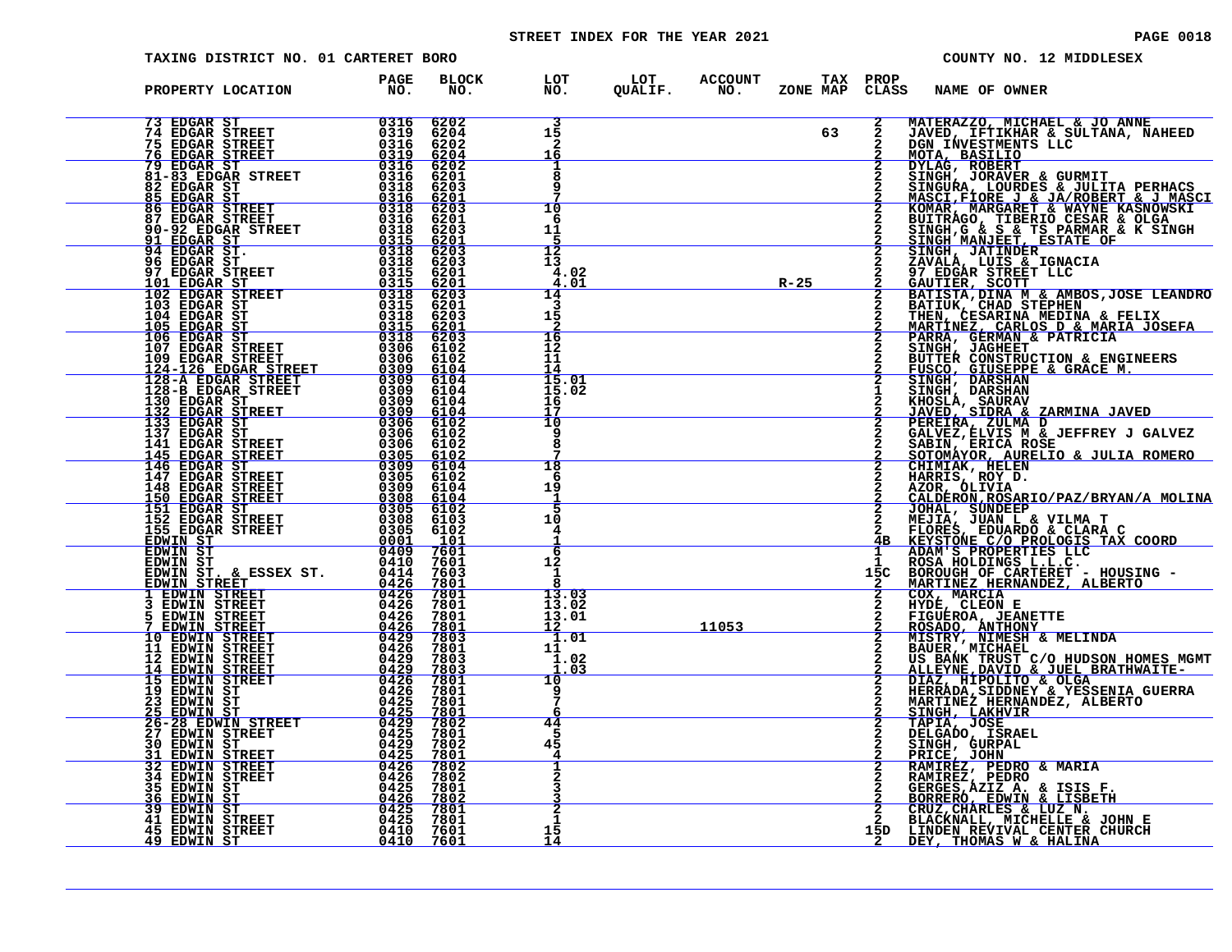# STREET INDEX FOR THE YEAR 2021 **PAGE 10018** PAGE 0018

| TAXING DISTRICT NO. 01 CARTERET BORO                                                                                                                                                                                                                                                                                                                                      |                                                         |                                                            |                                           |                                                           |          |    |                                  |                                                                   | COUNTY NO. 12 MIDDLESEX                                                                                                                                                                                                                          |
|---------------------------------------------------------------------------------------------------------------------------------------------------------------------------------------------------------------------------------------------------------------------------------------------------------------------------------------------------------------------------|---------------------------------------------------------|------------------------------------------------------------|-------------------------------------------|-----------------------------------------------------------|----------|----|----------------------------------|-------------------------------------------------------------------|--------------------------------------------------------------------------------------------------------------------------------------------------------------------------------------------------------------------------------------------------|
| $\overline{N}$<br>PROPERTY LOCATION                                                                                                                                                                                                                                                                                                                                       | PAGE                                                    | <b>BLOCK</b><br>NO.                                        |                                           | LOT LOT ACCOUNT TAX PROP<br>NO. QUALIF. NO. ZONE_MAPCLAS: |          |    | CLASS                            | NAME OF OWNER                                                     |                                                                                                                                                                                                                                                  |
| <b>73 EDGAR ST</b>                                                                                                                                                                                                                                                                                                                                                        | $0316$<br>$0319$                                        | $6202$<br>$6204$<br>$6\bar{2}0\bar{2}$                     | 15<br>$\bar{2}$<br>16                     |                                                           |          | 63 |                                  |                                                                   |                                                                                                                                                                                                                                                  |
| 73 EDGAR ST<br>74 EDGAR STREET 0316<br>75 EDGAR STREET 0316<br>76 EDGAR STREET 0316<br>79 EDGAR STREET 0316<br>81-83 EDGAR STREET 0316<br>82 EDGAR ST<br>75 EDGAR ST<br>75 EDGAR ST                                                                                                                                                                                       |                                                         | $rac{6204}{6202}$<br>6201<br>6203                          | 1<br>8<br>q                               |                                                           |          |    | $\frac{2}{2}$                    |                                                                   |                                                                                                                                                                                                                                                  |
| 82 EDGAR ST<br>86 EDGAR STREET 0316<br>87 EDGAR STREET 0318<br>87 EDGAR STREET 0318<br>90-92 EDGAR STREET 0318<br>91 EDGAR ST. 0315<br>94 EDGAR ST. 0315<br>94 EDGAR ST. 0318                                                                                                                                                                                             |                                                         | $\frac{6201}{6203}$<br>6201<br>6203<br>$\frac{6201}{6203}$ | 10<br>6<br>11<br>5                        |                                                           |          |    |                                  |                                                                   |                                                                                                                                                                                                                                                  |
| 96 EDGAR ST<br>97 EDGAR STREET<br>101 EDGAR ST                                                                                                                                                                                                                                                                                                                            | 0318<br>$0315$ $0315$ $0318$ $0315$                     | 6203<br>6201<br>$\frac{6201}{6203}$                        | $\overline{12}$<br>13<br>4.02<br>.01<br>4 |                                                           | $R - 25$ |    |                                  |                                                                   |                                                                                                                                                                                                                                                  |
| 102 EDGAR STREET<br>103 EDGAR ST<br>104 EDGAR ST<br>105 EDGAR ST<br>106 EDGAR ST<br>106 EDGAR ST                                                                                                                                                                                                                                                                          | 0318<br>$\frac{0315}{0318}$                             | 6201<br>6203<br>$\frac{6201}{6203}$                        | 14<br>3<br>15<br>$\overline{16}$          |                                                           |          |    | $\overline{2}$<br>$\overline{2}$ |                                                                   |                                                                                                                                                                                                                                                  |
|                                                                                                                                                                                                                                                                                                                                                                           |                                                         | 6102<br>6102<br>6104<br>6104                               | 12<br>11<br>14<br>15.01                   |                                                           |          |    | $\overline{a}$<br>$\frac{2}{1}$  |                                                                   |                                                                                                                                                                                                                                                  |
| $\begin{tabular}{c c c} 106\ \hline EDOAR STREET & 0318 \\ 109\ \hline EDOAR STREET & 03069 \\ 124-126\ \hline EOGAR STREET & 0309 \\ 128-A\ \hline EOGAR STREET & 03099 \\ 128-B\ \hline EOGAR STREET & 03099 \\ 130\ \hline EDOAR STREET & 03099 \\ 131\ \hline EDOAR STREET & 03066 \\ 133\ \hline EDOAR STREET & 03066 \\ 145\ \hline EDOAR STREET & 03066 \\ 145\ \$ |                                                         | 6104<br>6104<br>$\frac{6\bar{1}\dot{0}\bar{4}}{6102}$      | 15.02<br>16<br>17<br>10                   |                                                           |          |    | $\overline{2}$                   |                                                                   | MATERAZZO, MICHAEL & JO ANNE<br>JON INVESTMENTS LLC<br>DGN INVESTMENTS LLC<br>MOTA, BASILIO<br>MOTA, BASILIO<br>SUNAG, FORET<br>SINGH, JORNER & GURMIT<br>SINGH, JORNER & GURMIT<br>SINGH, JORNER & JOLITA PERHACS<br>MASCI, FIORE J & JA/ROBERT |
| EDGAR<br>1 EDGAR STREET<br>147 EDGAR STREET<br>147 EDGAR STREET<br>150 EDGAR STREET<br>150 EDGAR STREET<br>151 EDGAR STREET<br>151 EDGAR STREET<br>151 EDGAR STREET<br>151 EDGAR STREET<br>151 EDGAR STREET<br>151 EDGAR STREET<br>151 EDGAR STREET<br>1                                                                                                                  |                                                         | 6102<br>6102<br>$6102$<br>$6104$                           | 9<br>8<br>18                              |                                                           |          |    | $\frac{2}{2}$                    |                                                                   | GALVEZ, ELVIS M & JEFFREY J GALVEZ<br>SABIN, ERICA ROSE<br><u>SOTOMAYOR, AURELIO &amp; JULIA ROMERO</u>                                                                                                                                          |
|                                                                                                                                                                                                                                                                                                                                                                           |                                                         | 6102<br>6104<br>6104<br>6102<br>6103                       | 6<br>19<br>-1<br>5<br>10                  |                                                           |          |    |                                  |                                                                   | CHIMIAK, HELEN<br>HARRIS, ROY D.<br>AZOR, OLIVIA<br>CALDERON,ROSARIO/PAZ/BRYAN/A MOLINA<br>JOHAL, SUNDEEP<br>MEJIA, JUAN L & VILMA T<br>FLORES, EDUARDO & CLARA C                                                                                |
|                                                                                                                                                                                                                                                                                                                                                                           |                                                         | 6102<br>$\frac{101}{7601}$<br>7601                         | 4<br>-1<br>6<br>12                        |                                                           |          |    |                                  |                                                                   | 4B KEYSTONE C/O PROLOGIS TAX COORD<br>1 ADAM'S PROPERTIES LLC                                                                                                                                                                                    |
|                                                                                                                                                                                                                                                                                                                                                                           |                                                         | 7603<br>7801<br>7801<br>7801                               | $\frac{1}{2}$<br>13.03<br>13.02           |                                                           |          |    | $\frac{2}{2}$                    | COX, MARCIA<br>HYDE, CLEON E                                      | 1 ROSA HOLDINGS L.L.C.<br>15C BOROUGH OF CARTERET - HOUSING -<br><u>2 MARTINEZ HERNANDEZ, ALBERTO</u>                                                                                                                                            |
| <b>EDWIN STREET</b><br><b>10 EDWIN STREET</b><br>11 EDWIN STREET                                                                                                                                                                                                                                                                                                          | $\frac{0426}{0429}$<br>0426                             | 7801<br><u>7801</u><br>7803<br>7801                        | 13.01<br>12<br>1.01<br>11                 | 11053 2001                                                |          |    |                                  | FIGUEROA, JEANETTE                                                | ROSADO, ANTHONY<br>MISTRY, NIMESH & MELINDA                                                                                                                                                                                                      |
| 12 EDWIN STREET<br><u>14 EDWIN STREET</u><br><b>15 EDWIN STREET</b><br>19 EDWIN ST<br>23 EDWIN ST                                                                                                                                                                                                                                                                         | 0429<br>$\frac{0429}{0426}$                             | 7803<br>7803<br>7801<br>7801<br>7801                       | 1.02<br><u>1.03</u><br>10<br>9<br>7       |                                                           |          |    | $\mathbf{2}$<br>$\frac{2}{2}$    |                                                                   | BAUER, MICHAEL<br>US BANK TRUST C/O HUDSON HOMES MGMT<br>DLAZ, HIPOLITO & OLGA<br>HERRADA, SIDDNEY & YESSENIA GUERRA<br>HERRADA, SIDDNEY & YESSENIA GUERRA<br>MARTINEZ HERNANDEZ, ALBERTO                                                        |
| 25 EDWIN ST<br>26-28 EDWIN STREET<br>27 EDWIN STREET<br>30 EDWIN ST                                                                                                                                                                                                                                                                                                       | $0425$ $0425$ $0425$ $0429$ $0429$                      | <u>7801</u><br>7802<br>7801<br>7802                        | 6<br>44<br>5<br>45                        |                                                           |          |    | $\frac{2}{2}$                    | SINGH, LAKHVIR<br>TAPIA, JOSE<br>DELGADO, ISRAEL<br>SINGH, GURPAL |                                                                                                                                                                                                                                                  |
| <b>EDWIN STREET</b><br>31<br>32 EDWIN STREET<br>34 EDWIN STREET<br>35 EDWIN ST<br>36 EDWIN ST<br>39 EDWIN ST                                                                                                                                                                                                                                                              | $\frac{0\bar{4}\bar{2}\bar{5}}{0\bar{4}\bar{2}\bar{6}}$ | 7801<br>7802<br>7802<br>7801                               | 4                                         |                                                           |          |    |                                  | RAMIREZ, PEDRO                                                    | PRICE, JOHN<br>RAMIREZ, PEDRO & MARIA<br>GERGES, AZIZ A. & ISIS F.<br>BORRERO, EDWIN & LISBETH                                                                                                                                                   |
| 36 EDWIN ST<br>39 EDWIN STREET<br>41 EDWIN STREET<br>45 EDWIN STREET<br>49 EDWIN ST                                                                                                                                                                                                                                                                                       | $0426\n0425\n0425\n0425\n0425\n0425$<br>$0410$<br>0410  | 7802<br>7801<br>7801<br>7601<br>7601                       | 1<br>15<br>14                             |                                                           |          |    | 15D<br>2                         |                                                                   | CRUZ, CHARLES & LUZ N.<br>BLACKNALL, MICHELLE & JOHN E<br>LINDEN REVIVAL CENTER CHURCH<br>DEY, THOMAS W & HALINA                                                                                                                                 |
|                                                                                                                                                                                                                                                                                                                                                                           |                                                         |                                                            |                                           |                                                           |          |    |                                  |                                                                   |                                                                                                                                                                                                                                                  |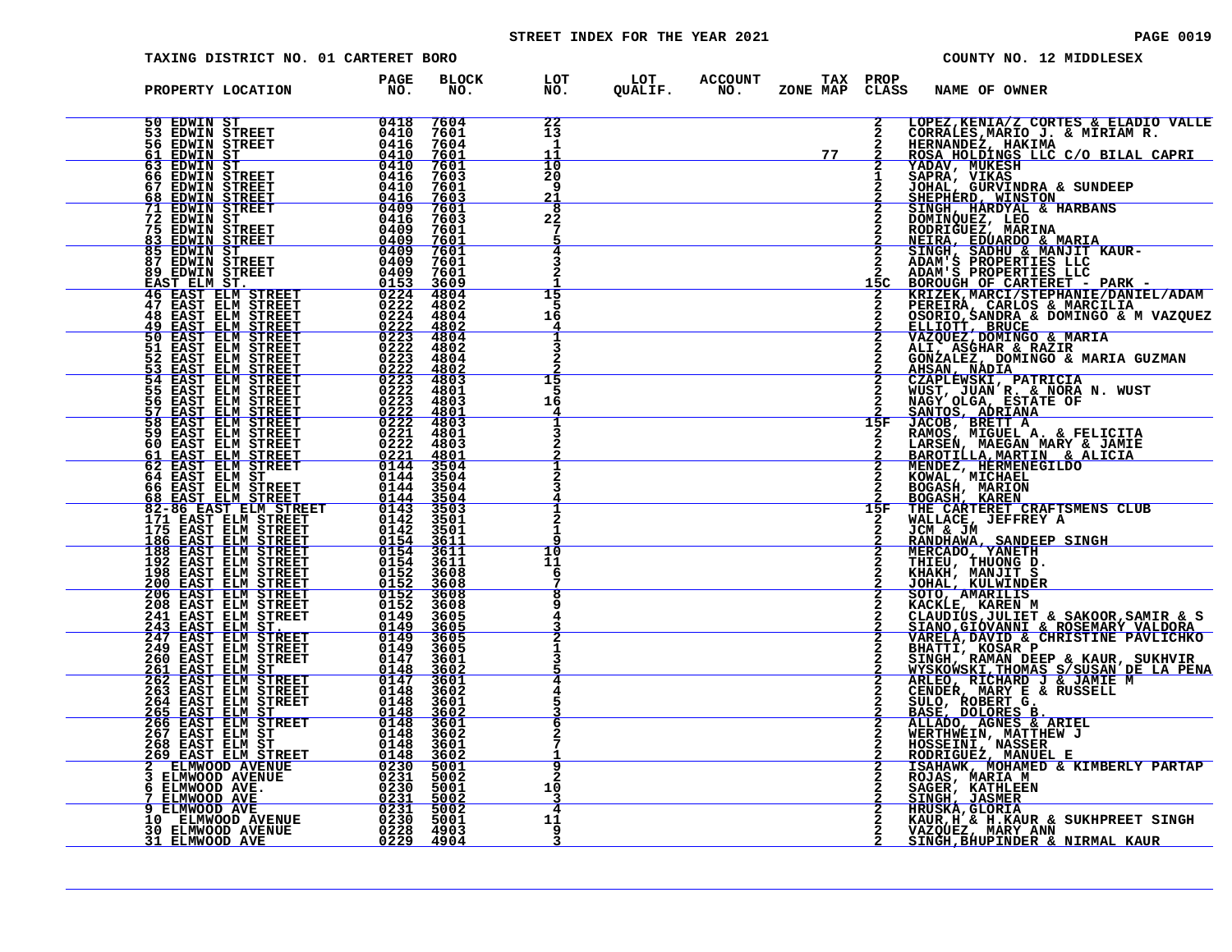# STREET INDEX FOR THE YEAR 2021 **PAGE 10019** PAGE 0019

| TAXING DISTRICT NO. 01 CARTERET BORO                                                                                                                                                                                                                                                                                                                                                                         |                     |              |                                                            |                                                           |    |     |                                                                                                                                                                                                                                              | COUNTY NO. 12 MIDDLESEX |                                                                                                                                                                                                                                                    |
|--------------------------------------------------------------------------------------------------------------------------------------------------------------------------------------------------------------------------------------------------------------------------------------------------------------------------------------------------------------------------------------------------------------|---------------------|--------------|------------------------------------------------------------|-----------------------------------------------------------|----|-----|----------------------------------------------------------------------------------------------------------------------------------------------------------------------------------------------------------------------------------------------|-------------------------|----------------------------------------------------------------------------------------------------------------------------------------------------------------------------------------------------------------------------------------------------|
| PROPERTY LOCATION                                                                                                                                                                                                                                                                                                                                                                                            | <b>PAGE<br/>NO.</b> | BLOCK<br>NO. | LOT LOT ACCOUNT TAX PROP<br>NO. QUALIF. NO. ZONE_MAP CLASS |                                                           |    |     | <b>NAME OF OWNER</b>                                                                                                                                                                                                                         |                         |                                                                                                                                                                                                                                                    |
| $\begin{tabular}{@{}c c c c} 50 & EDWIN & ST & 0418 & 7604 \\ 53 & EDWIN & STREETT & 0416 & 7604 \\ 64 & EDWIN & STREETT & 0416 & 7604 \\ 63 & EDWIN & ST & 0410 & 7601 \\ 66 & EDWIN & STREETT & 0410 & 7603 \\ 67 & EDWIN & STREETT & 0410 & 7603 \\ 68 & EDWIN & STREETT & 0416 & 7603 \\ 69 & EDWIN & STREETT & 0416 & 7603 \\ 61 & EDWIN & STREETT & 040$                                               |                     |              | 22<br>13<br>1                                              |                                                           |    |     |                                                                                                                                                                                                                                              |                         | LOPEZ,KENIA/Z CORTES & ELADIO VALLE<br>CORRALES,MARIO J. & MIRIAM R.<br>HERNANDEZ, HAKIMA<br>ROSA HOLDINGS LLC C/O BILAL CAPRI                                                                                                                     |
|                                                                                                                                                                                                                                                                                                                                                                                                              |                     |              | 11<br>10<br>20<br>q                                        | <u> 1989 - Johann Barn, mars eta bainar eta idazlea (</u> | 77 |     | EOSA HULLENT YADAV, MUKESH                                                                                                                                                                                                                   |                         |                                                                                                                                                                                                                                                    |
|                                                                                                                                                                                                                                                                                                                                                                                                              |                     |              | 21<br>$\overline{\mathbf{8}}$<br>22<br>7                   |                                                           |    |     | TADAN, NUKAS<br>JOHAL, GURVINDRA & SUNDEEP<br>SINEPHERD, NINSTON<br>SINGH, HARDYAL & HARBANS<br>DOMINQUEZ, LEO<br>RODRIGUEZ, MARINA                                                                                                          |                         |                                                                                                                                                                                                                                                    |
|                                                                                                                                                                                                                                                                                                                                                                                                              |                     |              | 4                                                          |                                                           |    |     |                                                                                                                                                                                                                                              |                         |                                                                                                                                                                                                                                                    |
|                                                                                                                                                                                                                                                                                                                                                                                                              |                     |              | 15                                                         |                                                           |    |     |                                                                                                                                                                                                                                              |                         |                                                                                                                                                                                                                                                    |
|                                                                                                                                                                                                                                                                                                                                                                                                              |                     |              | 16                                                         |                                                           |    |     |                                                                                                                                                                                                                                              |                         | 2 DOMINQUEZ, LEO<br>2 RODRIGUEZ, MARINA<br>2 SINGH, SDUARDO & MANJIT KAUR-<br>2 SINGH, SDUARDO & MANJIT KAUR-<br>2 ADAM'S PROPERTIES LLC<br>2 ADAM'S PROPERTIES LLC<br>15C BOROUGH OF CARTERET - PARK -<br>2 KRIZEK, MARCI/STEPHANIE/DANIEL/       |
| <b>50 EAST ELM STREET<br/>52 EAST ELM STREET<br/>53 EAST ELM STREET<br/>54 EAST ELM STREET<br/>55 EAST ELM STREET<br/>55 EAST ELM STREET<br/>57 EAST ELM STREET</b>                                                                                                                                                                                                                                          |                     |              | 15                                                         |                                                           |    |     |                                                                                                                                                                                                                                              |                         |                                                                                                                                                                                                                                                    |
| 55 EAST ELM STREET 0222 4801<br>56 EAST ELM STREET 0222 4803<br>57 EAST ELM STREET 0222 4803<br>58 EAST ELM STREET 0222 4803<br>59 EAST ELM STREET 0222 4803<br>60 EAST ELM STREET 0221 4801<br>61 EAST ELM STREET 0144 3504<br>64 EAST ELM                                                                                                                                                                  |                     |              | 16                                                         |                                                           |    |     |                                                                                                                                                                                                                                              |                         |                                                                                                                                                                                                                                                    |
|                                                                                                                                                                                                                                                                                                                                                                                                              |                     |              |                                                            |                                                           |    |     |                                                                                                                                                                                                                                              |                         |                                                                                                                                                                                                                                                    |
|                                                                                                                                                                                                                                                                                                                                                                                                              |                     |              |                                                            |                                                           |    | 15F | <b>EOGASH, MARION<br/>BOGASH, KAREN<br/>THE CARTERET CRAFTSMENS CLUB</b>                                                                                                                                                                     |                         |                                                                                                                                                                                                                                                    |
|                                                                                                                                                                                                                                                                                                                                                                                                              |                     |              | 1<br>10                                                    |                                                           |    |     | WALLACE, JEFFREY A JCM & JM                                                                                                                                                                                                                  |                         |                                                                                                                                                                                                                                                    |
|                                                                                                                                                                                                                                                                                                                                                                                                              |                     |              | 11<br>6                                                    |                                                           |    |     | <b>UCAN WAR THE SANDEEP SINGH<br/> MERCADO, YANETH<br/> THIEU, THUONG D.<br/> KHAKH, MANJIT S<br/> JOHAL, KULWINDER<br/> SOTO, AMARILIS<br/> KACKLE, KAREN M<br/> KACKLE, KAREN M<br/> KACKLE, KAREN M<br/> CIAUDIUS TULLET &amp; SAKOOP</b> |                         |                                                                                                                                                                                                                                                    |
|                                                                                                                                                                                                                                                                                                                                                                                                              |                     |              |                                                            |                                                           |    |     |                                                                                                                                                                                                                                              |                         |                                                                                                                                                                                                                                                    |
|                                                                                                                                                                                                                                                                                                                                                                                                              |                     |              |                                                            |                                                           |    |     |                                                                                                                                                                                                                                              |                         |                                                                                                                                                                                                                                                    |
|                                                                                                                                                                                                                                                                                                                                                                                                              |                     |              | 6                                                          |                                                           |    |     |                                                                                                                                                                                                                                              |                         |                                                                                                                                                                                                                                                    |
| $\begin{tabular}{@{}c c c c} \hline \texttt{62} & \texttt{EXIST} & \texttt{STREFT} & \texttt{0144} & \texttt{3564} \\ \hline \texttt{66} & \texttt{EAST} & \texttt{EIM} & \texttt{STREET} & 0144 & 3504 \\ \hline \texttt{66} & \texttt{EAST} & \texttt{EIM} & \texttt{STREET} & 0144 & 3504 \\ \hline \texttt{82} & \texttt{BAST} & \texttt{ELM} & \texttt{STREET} & 0144 & 3504 \\ \hline \texttt{83} & \$ |                     |              |                                                            |                                                           |    |     |                                                                                                                                                                                                                                              |                         | KACKÍE, KAREN M<br>CLAUDUS, JULIET & SAKOOR, SAMIR & S<br>SIANO, GIOVANNI & ROSEMARY VALDORA<br>VARELA, DAVID & CHRISTINE PAVLICHKO<br>BHATTI, KOSAR P<br>MYSKOWSKI, HAMAN DEEP & KAUR, SUKHVIR<br>MYSKOWSKI, MARY E & RUSSELL<br>ARLEO, RICHARD J |
|                                                                                                                                                                                                                                                                                                                                                                                                              |                     |              | 2<br>10<br>з<br>4                                          |                                                           |    |     | ROJAS, MARIA M<br>SAGER, KATHLEEN<br>SINGH, JASMER<br><b>HRUSKA, GLORIA</b>                                                                                                                                                                  |                         |                                                                                                                                                                                                                                                    |
|                                                                                                                                                                                                                                                                                                                                                                                                              |                     |              | 11                                                         |                                                           |    |     | VAZQUEZ, MARY ANN<br>SINGH,BHUPINDER & NIRMAL KAUR                                                                                                                                                                                           |                         | KAUR, H & H. KAUR & SUKHPREET SINGH                                                                                                                                                                                                                |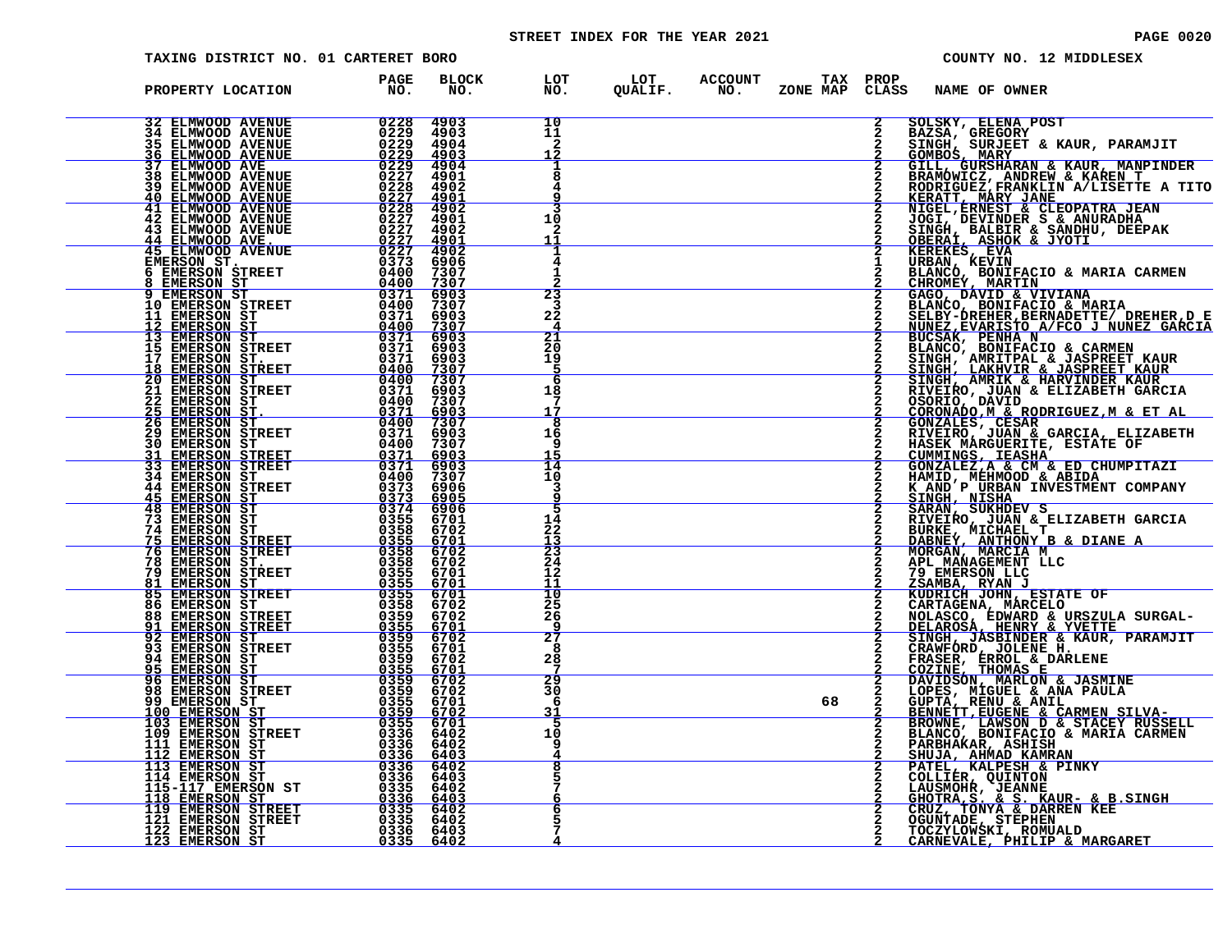# STREET INDEX FOR THE YEAR 2021 **PAGE 10020** PAGE 0020

| <b>TAXING DISTRICT NO. 01 CARTERET BORO</b>                 |                                                            |                       |                |                       |          |                          | COUNTY NO. 12 MIDDLESEX                                                                                                                                                                                                                             |
|-------------------------------------------------------------|------------------------------------------------------------|-----------------------|----------------|-----------------------|----------|--------------------------|-----------------------------------------------------------------------------------------------------------------------------------------------------------------------------------------------------------------------------------------------------|
| PROPERTY LOCATION                                           | <b>BLOCK</b><br><b>PAGE</b><br>NO.<br>NO.                  | LOT<br>NO.            | LOT<br>QUALIF. | <b>ACCOUNT</b><br>NO. | ZONE MAP | TAX PROP<br><b>CLASS</b> | NAME OF OWNER                                                                                                                                                                                                                                       |
| <b>32 ELMWOOD AVENUE</b><br><b>34 ELMWOOD AVENUE</b>        | 0228<br>4903<br>4903                                       | 10                    |                |                       |          |                          | SOLSKY, ELENA POST<br>BAZSA, GREGORY                                                                                                                                                                                                                |
| <b>35 ELMWOOD AVENUE</b><br><u>36 ELMWOOD AVENUE</u>        | $022902290229$<br>4904<br>4903                             | $\frac{11}{2}$<br>12  |                |                       |          |                          | SINGH, SURJEET & KAUR, PARAMJIT<br>GOMBOS, MARY                                                                                                                                                                                                     |
| <b>37 ELMWOOD AVE</b><br>38 ELMWOOD AVENUE                  | $\frac{0229}{0227}$<br>4904<br>4901                        | 8                     |                |                       |          |                          | GILL, GURSHARAN & KAUR, MANPINDER<br>BRAMOWICZ, ANDREW & KAREN T                                                                                                                                                                                    |
|                                                             | 0228<br>4902                                               | q                     |                |                       |          |                          | RODRIGUEZ, FRANKLIN A/LISETTE A TITO                                                                                                                                                                                                                |
| 39 ELMWOOD AVENUE<br>40 ELMWOOD AVENUE<br>41 ELMWOOD AVENUE | $\frac{0227}{0228}$<br>$\frac{4901}{4902}$                 | 3                     |                |                       |          |                          | <b>KERATT, MARY JANE 1988-1988</b><br>NIGEL, ERNEST & CLEOPATRA JEAN                                                                                                                                                                                |
| 42 ELMWOOD AVENUE<br><b>43 ELMWOOD AVENUE</b>               | 0227<br>4901<br>0227<br>4902                               | 10<br>2               |                |                       |          |                          | JOGI, DEVINDER S & ANURADHA<br>SINGH, BALBIR & SANDHU, DEEPAK                                                                                                                                                                                       |
| 44 ELMWOOD AVE.<br>45 ELMWOOD AVENUE                        | $\frac{0227}{0227}$<br><u>4901</u><br>4902                 | 11<br>л               |                |                       |          |                          | <u>OBERAÍ, ASHOK &amp; JYOTI<br/>KEREKES, EVA</u>                                                                                                                                                                                                   |
| EMERSON ST.<br>6 EMERSON STREET                             | 0373<br>6906<br>0400<br>7307                               | 4<br>1                |                |                       |          |                          | URBAN, KEVIN<br>BLANCO, BONIFACIO & MARIA CARMEN<br>CHROMEY, MARTIN                                                                                                                                                                                 |
| EMERSON ST<br>8<br><b>EMERSON ST</b>                        | 0400<br>7307<br>0371<br>6903                               | 23                    |                |                       |          |                          |                                                                                                                                                                                                                                                     |
| 10 EMERSON STREET                                           | 0400<br>7307                                               |                       |                |                       |          |                          | GAGO, DAVID & VIVIANA<br>BLANCO, BONIFACIO & MARIA                                                                                                                                                                                                  |
| 11 EMERSON ST<br>12 EMERSON ST                              | 0371<br>6903<br>0400<br>7307                               | 22<br>4               |                |                       |          |                          | SELBY-DREHER, BERNADETTE/ DREHER, D E                                                                                                                                                                                                               |
| 13 EMERSON ST<br><b>15 EMERSON STREET</b>                   | 0371<br>6903<br>0371<br>6903                               | $\overline{21}$<br>20 |                |                       |          |                          |                                                                                                                                                                                                                                                     |
| 17 EMERSON ST.<br>18 EMERSON STREET                         | 0371<br>6903<br>0400<br>7307                               | 19<br>5               |                |                       |          |                          |                                                                                                                                                                                                                                                     |
| <b>20 EMERSON ST<br/>21 EMERSON STREET</b>                  | 0400<br>7307<br>0371<br>6903                               | 6<br>18               |                |                       |          |                          |                                                                                                                                                                                                                                                     |
| 22 EMERSON ST.<br>25 EMERSON ST.<br>26 EMERSON ST.          | 0400<br>7307                                               | 17                    |                |                       |          |                          |                                                                                                                                                                                                                                                     |
|                                                             | <u>ŎĪŽI</u><br>0400<br><u>6903</u><br>7307<br>0371<br>6903 | 8<br>16               |                |                       |          |                          | SELBY-DREHER, BERNADETTE/ DREHER, D E<br>NUNEZ, EVARISTO A/FCO J NUNEZ GARCIA<br>BUCSAK, PENHA N<br>BUCSAK, PENHA N<br>SINGH, AMRITPAL & JASPREET KAUR<br>SINGH, LAKHVIR & HARVINDER KAUR<br>SINGH, LAKHVIR & HARVINDER KAUR<br>RIVEIRO, JUAN & ELI |
| 29 EMERSON STREET<br><b>30 EMERSON ST</b>                   | 0400<br>7307                                               | 9                     |                |                       |          |                          |                                                                                                                                                                                                                                                     |
| 31 EMERSON STREET<br>33 EMERSON STREET                      | $\frac{0371}{0371}$<br>0371<br><u>6903</u><br>6903<br>7307 | 15<br>ī4              |                |                       |          |                          | CUMMINGS, IEASHA<br>GONZALEZ, A & CM & ED CHUMPITAZI<br>HAMID, MEHMOOD & ABIDA                                                                                                                                                                      |
| <b>34 EMERSON ST</b><br><b>44 EMERSON STREET</b>            | 0373<br>0373<br>6906                                       | 10<br>3               |                |                       |          |                          |                                                                                                                                                                                                                                                     |
| <u>45 EMERSON ST</u>                                        | <u>6905</u><br>6906                                        | 9<br>5                |                |                       |          |                          | K AND P URBAN INVESTMENT COMPANY<br>SINGH, NISHA<br>SARAN, SUKHDEV S<br>RIVEIRO, JUAN & ELIZABETH GARCIA                                                                                                                                            |
| <b>48 EMERSON ST<br/>73 EMERSON ST</b><br>74 EMERSON ST     | 0374<br>0355<br>6701<br>0358<br>6702                       | 14<br>22              |                |                       |          |                          |                                                                                                                                                                                                                                                     |
| <b>EMERSON STREET</b><br>75.<br><b>76 EMERSON STREET</b>    | 0355<br><u>6701</u><br>0358<br>6702                        | $\frac{13}{23}$       |                |                       |          |                          | BURKE, MICHAEL T<br>DABNEY, ANTHONY B & DIANE A<br>MORGAN, MARCIA M<br>APL MANAGEMENT LLC                                                                                                                                                           |
| 78 EMERSON ST.                                              | 0358<br>6702                                               | 24                    |                |                       |          |                          |                                                                                                                                                                                                                                                     |
| 79<br><b>EMERSON STREET</b><br><u>81 EMERSON ST</u>         | 0355<br>6701<br>0355<br>6701                               | 12<br>11              |                |                       |          |                          | 79 EMERSON LLC<br>ZSAMBA, RYAN J                                                                                                                                                                                                                    |
| 85 EMERSON STREET<br>86 EMERSON ST                          | 0355<br>6701<br>0358<br>6702                               | $\frac{10}{25}$       |                |                       |          |                          | KUDRICH JOHN, ESTATE OF<br>CARTAGENA, MÁRCELO                                                                                                                                                                                                       |
| <b>88 EMERSON STREET</b><br><b>EMERSON STREET</b><br>91     | 0359<br>6702<br>0355<br><u>6701</u>                        | 26<br>٩               |                |                       |          |                          | NOLASCO, EDWARD & URSZULA SURGAL-<br>DELAROSA, HENRY & YVETTE                                                                                                                                                                                       |
| 92 EMERSON ST<br>93 EMERSON STREET                          | 0359<br>6702<br>0355<br>6701                               | $\overline{27}$<br>8  |                |                       |          |                          | SINGH, JASBINDER & KAUR, PARAMJIT                                                                                                                                                                                                                   |
| 94 EMERSON ST<br><b>95 EMERSON ST</b>                       | 0359<br>6702<br>0355<br><u>6701</u>                        | 28                    |                |                       |          |                          | CRAWFORD, JOLENE H.<br>FRASER, ERROL & DARLENE                                                                                                                                                                                                      |
| <b>96 EMERSON ST</b><br>98 EMERSON STREET                   | 0359<br>6702<br>0359<br>6702                               | 29<br>30              |                |                       |          |                          | COZINE, THOMAS E<br>DAVIDSÓN, MARLON & JASMINE<br>LOPES, MIGUEL & ANA PAULA                                                                                                                                                                         |
| 99 EMERSON ST                                               | 0355<br>6701                                               | 6                     |                |                       | 68       |                          | GUPTA, RENU & ANIL<br>BENNETT, EUGENE & CARMEN SILVA-                                                                                                                                                                                               |
| 100 EMERSON ST<br>103 EMERSON ST                            | 0359<br>6702<br>0355<br>6701                               | 31<br>5               |                |                       |          |                          | BROWNE, LAWSON D & STACEY RUSSELL                                                                                                                                                                                                                   |
| 109 EMERSON STREET<br>111 EMERSON ST                        | 0336<br>6402<br>0336<br>6402                               | 10<br>9               |                |                       |          |                          | BLANCO, BONIFACIO & MARIA CARMEN<br>PARBHAKAR, ASHISH                                                                                                                                                                                               |
| 112 EMERSON ST<br>113 EMERSON ST                            | $0336$<br>0336<br>$\frac{6403}{6402}$                      |                       |                |                       |          |                          | SHUJA, AHMAD KAMRAN<br>PATEL, KALPESH & PINKY                                                                                                                                                                                                       |
| 114 EMERSON ST<br>115-117 EMERSON ST                        | 0336<br>6403<br>0335<br>6402                               |                       |                |                       |          |                          | COLLIER, QUINTON<br>LAUSMOHR, JEANNE                                                                                                                                                                                                                |
| <u>118 EMERSON ST</u><br><b>119 EMERSON STREET</b>          | 0336<br>6403<br>0335<br>6402                               |                       |                |                       |          |                          | GHOTRA, S. & S. KAUR- & B. SINGH<br>CRUZ, TONYA & DARREN KEE                                                                                                                                                                                        |
| 121 EMERSON STREET                                          | 0335<br>6402                                               |                       |                |                       |          |                          | OGUNTADE, STEPHEN                                                                                                                                                                                                                                   |
| 122 EMERSON ST<br>123 EMERSON ST                            | 0336<br>6403<br>0335<br><u>6402</u>                        |                       |                |                       |          |                          | TOCZYLOWSKI, ROMUALD<br>CARNEVALE, PHILIP & MARGARET                                                                                                                                                                                                |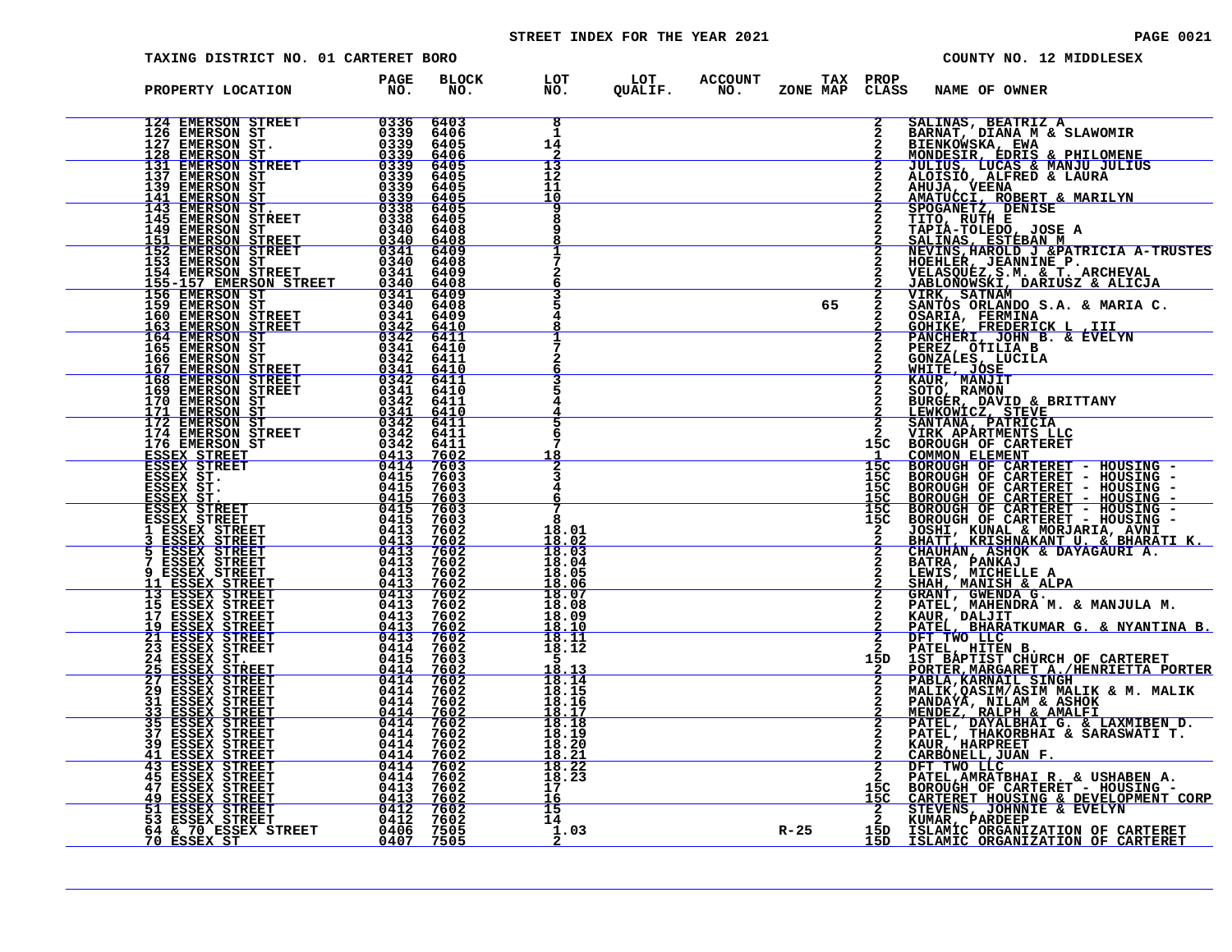# STREET INDEX FOR THE YEAR 2021 **PAGE 10021** PAGE 0021

| TAXING DISTRICT NO. 01 CARTERET BORO |                     |  |    |               | COUNTY NO. 12 MIDDLESEX                                                                                                                                                                                                                                   |
|--------------------------------------|---------------------|--|----|---------------|-----------------------------------------------------------------------------------------------------------------------------------------------------------------------------------------------------------------------------------------------------------|
| PROPERTY LOCATION PAGE NO.           | <b>BLOCK</b><br>NO. |  |    |               | LOT LOT ACCOUNT TAX PROP<br>NO. QUALIF. NO. ZONE_MAP CLASS NAME_OF_OWNER                                                                                                                                                                                  |
|                                      |                     |  |    |               | 2 SALINAS, BEATRIZ A<br>2 BARNAT, DIANA M & SLAWOMIR<br>2 BIENKOWSKA, EWA<br>2 MONDESIR, EDRIS & PHILOMENE<br>2 JULIUS, LUCAS & MANJU JULIUS<br>2 ALCISIO, ALFRED & LAURA                                                                                 |
|                                      |                     |  |    |               |                                                                                                                                                                                                                                                           |
|                                      |                     |  |    |               | ALOISIO, ALFRED & LAURA<br>AMUJA, VEENA<br>AMATUCCI, ROBERT & MARILYN<br>SPOGANETZ, DENISE<br>TITO, RUTH E<br>TAPIA-TOLEDO, JOSE A<br>SALINAS, ESTÉBAN M<br>NEVINS, HAROLD J & PATRICIA A-TRUSTES<br>HOEHLER, JEANNINE P.<br>VELASQUEZ,S.M. & T. ARCHEVAL |
|                                      |                     |  |    |               |                                                                                                                                                                                                                                                           |
|                                      |                     |  | 65 | $\frac{2}{2}$ | JABLONOUSKI, DARIUSZ & ALICJA<br>VIRK, SATNAM<br>SANTOS ORLANDO S.A. & MARIA C.<br>OSARIA, FERMINA<br>GOHIKE, FREDERICK L., III<br>PANCHERI, JOHN B. & EVELYN<br>PEREZ, OTILIA B<br>GONZALES, LUCILA<br>WHITE, JOSE<br>WHITE, MONTT                       |
|                                      |                     |  |    | 2             |                                                                                                                                                                                                                                                           |
|                                      |                     |  |    |               | KAUR, MANJIT<br>SOTO, RAMON                                                                                                                                                                                                                               |
|                                      |                     |  |    |               |                                                                                                                                                                                                                                                           |
|                                      |                     |  |    |               |                                                                                                                                                                                                                                                           |
|                                      |                     |  |    |               | 2 BURGER, DANION<br>2 BURGER, DAVID & BRITTANY<br>2 BURGER, DAVID & BRITTANY<br>2 GANTANA, PATRICIA<br>2 GANTANA, PATRICIA<br>15C BOROUGH OF CARTERET<br>15C BOROUGH OF CARTERET - HOUSING -<br>15C BOROUGH OF CARTERET - HOUSING -<br>15C BOR            |
|                                      |                     |  |    |               |                                                                                                                                                                                                                                                           |
|                                      |                     |  |    |               |                                                                                                                                                                                                                                                           |
|                                      |                     |  |    |               |                                                                                                                                                                                                                                                           |
|                                      |                     |  |    |               |                                                                                                                                                                                                                                                           |
|                                      |                     |  |    |               | A DENITI, MICHELLE A DENITION & ALPA<br>2 SHANT, GWENDRA G. & MANJULA M.<br>2 GRANT, MAHENDRA M. & MANJULA M.<br>2 PATEL, MAHENDRA M. & MANJULA M.<br>2 EATEL, DHATATIONAR G. & NYANTINA B.<br>2 DET TWO LLCC.<br>2 DET TWO LLCC HITER B.<br>             |
|                                      |                     |  |    |               | 2 DATEL, AMRATBHAIR, & USHABENR.<br>15C BOROUGH OF CARTERET - HOUSING -<br>15C CARTERET HOUSING & DEVELOPMENT CORP<br>2 STEVENS, JOHNNIE & EVELYN<br>2 KENNER PARDERP<br>R-25 15D ISLAMIC ORGANIZATION OF CARTERET<br>15D ISLAMIC ORGANIZATION O          |
|                                      |                     |  |    |               |                                                                                                                                                                                                                                                           |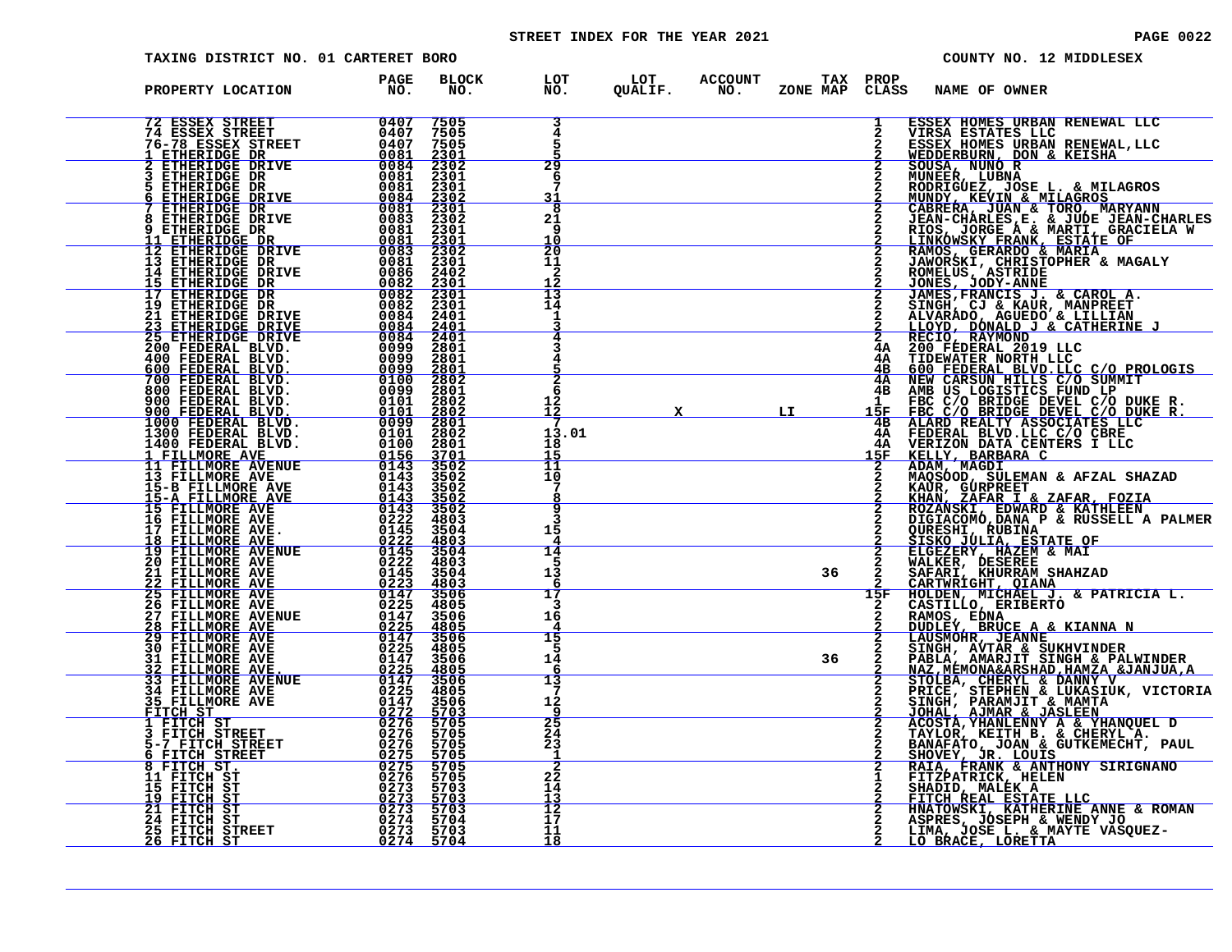# STREET INDEX FOR THE YEAR 2021 **PAGE 10022** PAGE 0022

| TAXING DISTRICT NO. 01 CARTERET BORO                                                                                                                                                                                                             |                                                                                        |                                           |                                                         |    |                          | COUNTY NO. 12 MIDDLESEX                                                                                                                                                                                                                                             |  |
|--------------------------------------------------------------------------------------------------------------------------------------------------------------------------------------------------------------------------------------------------|----------------------------------------------------------------------------------------|-------------------------------------------|---------------------------------------------------------|----|--------------------------|---------------------------------------------------------------------------------------------------------------------------------------------------------------------------------------------------------------------------------------------------------------------|--|
| PROPERTY LOCATION                                                                                                                                                                                                                                | PAGE<br><b>BLOCK</b><br>NO.<br>NO.                                                     |                                           | LOT LOT ACCOUNT TAXPROP<br>NO. QUALIF. NO. ZONENAPCLASS |    |                          | NAME OF OWNER                                                                                                                                                                                                                                                       |  |
|                                                                                                                                                                                                                                                  |                                                                                        | 3<br>4<br>5                               |                                                         |    |                          | 1 ESSEX HOMES URBAN RENEWAL LLC<br>2 VIRSA ESTATES LLC<br>2 SEBER HOMES URBAN RENEWAL ,LLC<br>2 SEBER HOMES URBAN RENEWAL ,LLC<br>2 SEDDERBURN, DON & KEISHA<br>2 SOUSA, NUNCE , LUBAN<br>2 RODER (LUBAN & TORO, MARYIN BANYININ<br>2 CABRER                        |  |
|                                                                                                                                                                                                                                                  |                                                                                        | 29<br>6<br>31                             |                                                         |    |                          |                                                                                                                                                                                                                                                                     |  |
|                                                                                                                                                                                                                                                  |                                                                                        | ह<br>21<br><b>q</b><br>$rac{10}{20}$      |                                                         |    |                          |                                                                                                                                                                                                                                                                     |  |
|                                                                                                                                                                                                                                                  |                                                                                        | 11<br>$\frac{2}{12}$                      |                                                         |    |                          |                                                                                                                                                                                                                                                                     |  |
|                                                                                                                                                                                                                                                  |                                                                                        | $\frac{15}{14}$                           |                                                         |    |                          |                                                                                                                                                                                                                                                                     |  |
|                                                                                                                                                                                                                                                  |                                                                                        | $\overline{\mathbf{2}}$                   |                                                         |    |                          |                                                                                                                                                                                                                                                                     |  |
|                                                                                                                                                                                                                                                  |                                                                                        | -6<br>12<br><u>ī2</u><br>-7<br>13.01      |                                                         | LI |                          |                                                                                                                                                                                                                                                                     |  |
|                                                                                                                                                                                                                                                  |                                                                                        | 18<br>15<br>11<br>10                      |                                                         |    |                          |                                                                                                                                                                                                                                                                     |  |
|                                                                                                                                                                                                                                                  |                                                                                        | 7<br>q<br>З                               |                                                         |    |                          | KAUR, GURPREET<br>KHAN, ZAFAR I & ZAFAR, FOZIA<br>ROZANSKI, EDWARD & KATHLEEN<br>DIGIACOMO, DANA P & RUSSELL A PALMER                                                                                                                                               |  |
|                                                                                                                                                                                                                                                  |                                                                                        | 15<br>14<br>13                            |                                                         | 36 |                          | QURESHI, RUBINA<br>2 QURESHI, RUBINA<br>2 ELGEZERY, HAZEM & MAI<br>2 ELGEZERY, HAZEM & MAI<br>2 NALKER, DESEREE<br>2 SAFARI, KHURRAM SHAHZAD<br>2 CARTWRIGHT, QIANA<br>15F HOLDEN, MICHAEL J. & PATRICIA L.<br>2 CASTILLO, ERIBERTO<br>2 CASTILLO, ERIBERTO<br>2 CA |  |
|                                                                                                                                                                                                                                                  | 3506                                                                                   | 17<br>3<br>16                             |                                                         |    |                          |                                                                                                                                                                                                                                                                     |  |
| <b>27 FILLMORE AVENUE<br/>28 FILLMORE AVE<br/>29 FILLMORE AVE<br/>30 FILLMORE AVE<br/>31 FILLMORE AVE<br/>31 FILLMORE AVE</b>                                                                                                                    | JE 0147<br>0147<br>0225<br>0147<br>$\frac{4805}{3506}$<br>ŎŹŹŚ<br>0147<br>4805<br>3506 | 15<br>14                                  |                                                         | 36 | $\frac{\overline{2}}{2}$ | HOLDEN, MICHAEL J. & PATRICIA L.<br>CASTILLO, ERIBERTO<br>RAMOS, EDNA<br>DUDLEY, BRUCE A & KIANNA N<br>LAUSMOHR, JEANNE<br>SINGH, AVTAR & SUKHVINDER<br>PABLA, AWARJIT SINGH & PALWINDER<br>PABLA, MEARAIT SINGH & DANNY<br>STOLBA, CHERYL & DANNY V<br>P           |  |
|                                                                                                                                                                                                                                                  | $\frac{\frac{4805}{3506}}{4805}$<br>3506<br>5703                                       | 13<br>12<br>q                             |                                                         |    |                          |                                                                                                                                                                                                                                                                     |  |
|                                                                                                                                                                                                                                                  | 5705<br>5705<br>5705<br>$\frac{5705}{5705}$                                            | $\frac{25}{5}$<br>$\frac{24}{23}$<br>1    |                                                         |    |                          |                                                                                                                                                                                                                                                                     |  |
| 31 FILLMORE AVE 0147<br>32 FILLMORE AVE 0225<br>33 FILLMORE AVENUE 0225<br>34 FILLMORE AVENUE 0225<br>34 FILLMORE AVENUE 0227<br>34 FILLMORE AVENUE 0227<br>35 FILLMORE AVE 02276<br>35 FILLMORE AVE 02276<br>1 FITCH STREET 02776<br>5 FITCH ST | 5705<br>5703<br>5703<br>5703                                                           | $\overline{\mathbf{2}}$<br>22<br>14<br>13 |                                                         |    |                          |                                                                                                                                                                                                                                                                     |  |
| 25 FITCH STREET<br><u> 26 FITCH ST</u>                                                                                                                                                                                                           | 5704<br>0273<br>5703<br>0274<br>5704                                                   | $\frac{12}{17}$<br>11<br>18               |                                                         |    |                          |                                                                                                                                                                                                                                                                     |  |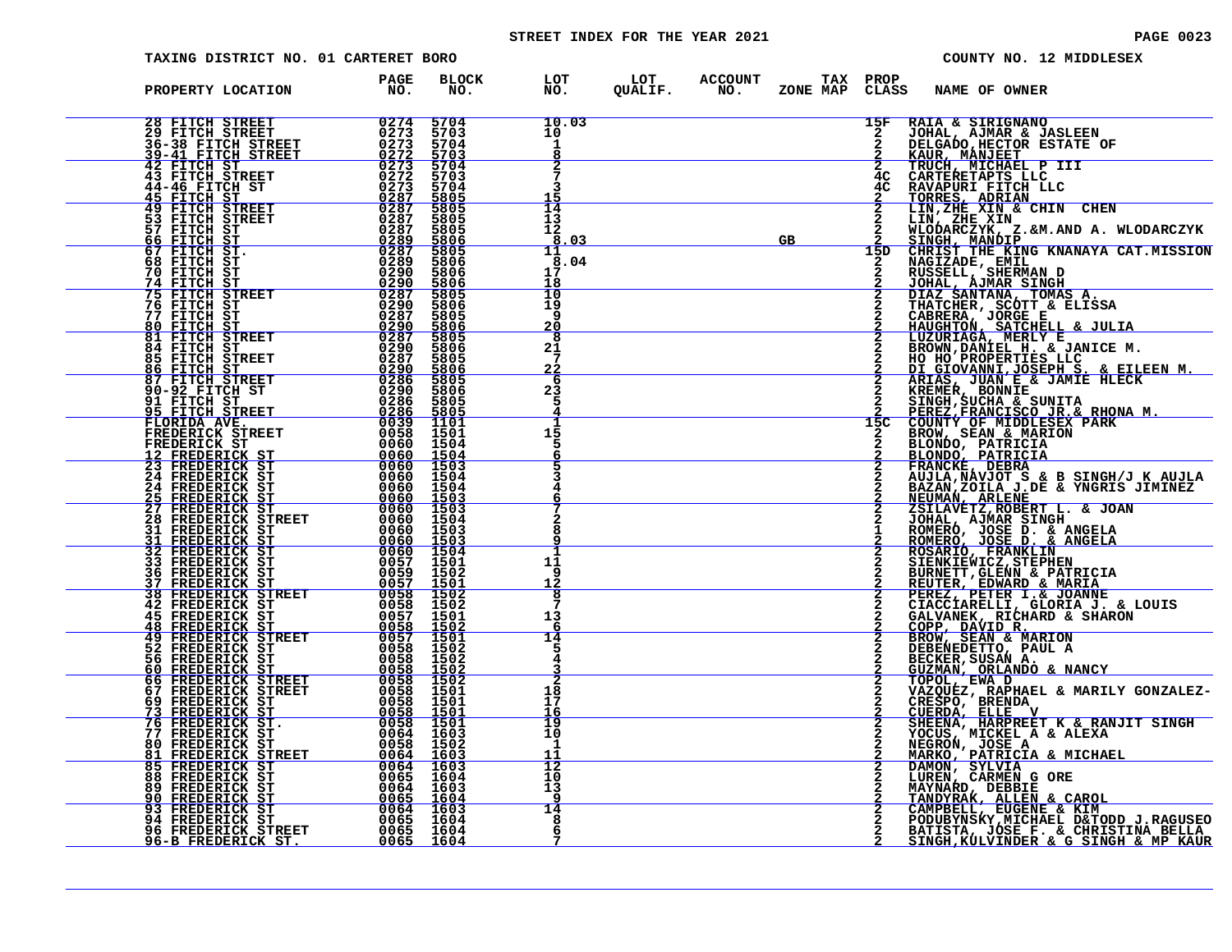# STREET INDEX FOR THE YEAR 2021 **PAGE 10023** PAGE 0023

| TAXING DISTRICT NO. 01 CARTERET BORO                                                                                                                 |                                                                                                                                                                                                                                                                                                                                                                                                                            |                                     |                                                                  | COUNTY NO. 12 MIDDLESEX                                                                                                                                                                                                                      |
|------------------------------------------------------------------------------------------------------------------------------------------------------|----------------------------------------------------------------------------------------------------------------------------------------------------------------------------------------------------------------------------------------------------------------------------------------------------------------------------------------------------------------------------------------------------------------------------|-------------------------------------|------------------------------------------------------------------|----------------------------------------------------------------------------------------------------------------------------------------------------------------------------------------------------------------------------------------------|
| PROPERTY LOCATION                                                                                                                                    | <b>BLOCK</b><br>PAGE<br>NO.<br>NO.                                                                                                                                                                                                                                                                                                                                                                                         | LOT<br>NO.                          | LOT ACCOUNT<br>QUALIF. NO.<br><b>TAX PROP</b><br><b>ZONE MAP</b> | CLASS<br><b>NAME OF OWNER</b>                                                                                                                                                                                                                |
| 28 FITCH STREET<br>29 FITCH STREET<br>36-38 FITCH STREET<br><u>39-41 FITCH STREET</u>                                                                | $\frac{0.274}{0.273}$<br>5704<br>$0273$<br>$0273$<br>5703<br>5704<br>0272<br>5703                                                                                                                                                                                                                                                                                                                                          | 10.03<br>10<br>1                    |                                                                  | 15F<br>RAIA & SIRIGNANO<br>$\overline{2}$<br>JOHAL, AJMAR & JASLEEN<br>DELGADO, HECTOR ESTATE OF<br><u>KAUR, MANJEET</u>                                                                                                                     |
| 42 FITCH ST<br><b>43 FITCH STREET</b><br>44-46 FITCH ST<br><u>45 FITCH ST</u>                                                                        | $\begin{array}{r} 0273 \\ 0272 \end{array}$<br>$\frac{5704}{5703}$<br>0273<br>5704<br>$\frac{\textcolor{blue}{\sqrt{0}}\textcolor{blue}{\bar{2}}\textcolor{blue}{8}\textcolor{blue}{\bar{7}}}{\textcolor{red}{0}}\frac{\textcolor{red}{\sqrt{0}}\textcolor{blue}{\bar{2}}\textcolor{blue}{8}\textcolor{red}{\bar{7}}}{{\textcolor{red}{0}}\textcolor{red}{2}}\textcolor{red}{8}\textcolor{red}{7}}$<br>$\frac{5805}{5805}$ | ર                                   |                                                                  | TRUCH, MICHAEL P III<br>CARTERETAPTS LLC<br>$\mathbf{2}$<br>4C<br>4C<br>RAVAPURI FITCH LLC<br>TORRES, ADRIAN<br>LIN, ZHE XIN & CHIN CHEN                                                                                                     |
| 49 FITCH STREET<br>53 FITCH STREET<br>57 FITCH ST<br>66 FITCH ST                                                                                     | 0287<br>5805<br>0287<br>5805<br>$\frac{5806}{5805}$                                                                                                                                                                                                                                                                                                                                                                        | $\overline{14}$<br>13<br>12<br>8.03 | GB                                                               | LIN, ZHE XIN<br>WLODARCZYK, Z.&M.AND A. WLODARCZYK<br><u>SINGH, MANDIP</u>                                                                                                                                                                   |
| 67 FITCH ST.<br>68 FITCH ST<br>70 FITCH ST<br>74 FITCH ST<br>75 FITCH STREET                                                                         | $\frac{0.289}{0.287}$<br>5806<br>0290<br>5806<br>$\frac{\frac{0290}{0287}}{\frac{0287}{0290}}$<br>5806<br>5805                                                                                                                                                                                                                                                                                                             | 11<br>8.04<br>17<br>18<br>10        |                                                                  | 15D<br>CHRIST THE KING KNANAYA CAT.MISSION<br>NAGIZADE, EMIL<br>RUSSELL, SHERMAN D<br>JOHAL, AJMAR SINGH                                                                                                                                     |
| 76 FITCH ST<br>77 FITCH ST<br>80 FITCH ST<br>81 FITCH STREET                                                                                         | 5806<br>$0\overline{2}87$<br>5805<br>$\frac{0.290}{0.287}$<br>$\frac{5806}{5805}$                                                                                                                                                                                                                                                                                                                                          | 19<br>-9<br><u> 20</u><br>8         |                                                                  | DIAZ SANTANA, TOMAS A.<br>THATCHER, SCOTT & ELISSA<br>CABRERA, JORGE E<br>HAUGHTON, SATCHELL & JULIA<br>LUZURIAGA, MERLY E                                                                                                                   |
| 84 FITCH ST<br>85 FITCH STREET<br>86 FITCH ST<br>87 FITCH STREET                                                                                     | 0290<br>0287<br>5806<br>5805<br>$\frac{0290}{0286}$<br>5806<br>5805                                                                                                                                                                                                                                                                                                                                                        | 21<br>22<br>-6                      |                                                                  | BROWN, DANIEL H. & JANICE M.<br>HO HO PROPERTIES LLC ___<br>DI GIOVANNI, JOSEPH S. & EILEEN M.<br>ARIAS, JUAN E & JAMIE HLECK<br>KREMER, BONNIE<br>2                                                                                         |
| 90-92 FITCH ST<br>91 FITCH ST<br><u>95 FITCH STREET I</u><br>FLORIDA AVE.                                                                            | 5806<br>$\begin{array}{r} 0.290 \\ 0.286 \\ 0.286 \\ 0.286 \\ 0.039 \\ 0.052 \\ \end{array}$<br>5805<br>5805<br>1101                                                                                                                                                                                                                                                                                                       | 23<br>5                             |                                                                  | $\mathbf{2}$<br>SINGH, SUCHA & SUNITA<br>PEREZ, FRANCISCO JR.& RHONA M.<br>COUNTY OF MIDDLESEX PARK<br>15C                                                                                                                                   |
| FREDERICK STREET<br>FREDERICK ST<br>12 FREDERICK ST<br>23 FREDERICK ST<br><b>24 FREDERICK ST</b>                                                     | 0058 1501<br>1504<br>0060 1503<br>0060 1503<br>0060<br>1504                                                                                                                                                                                                                                                                                                                                                                | 15<br>5                             |                                                                  | BROW, SEAN & MARION<br>BLONDO, PATRICIA<br>BLONDO, PATRICIA<br>FRANCKÉ, DEBRA<br>AUJLA, NAVJOT S & B SINGH/J K AUJLA                                                                                                                         |
| 24 FREDERICK ST<br>25 FREDERICK ST<br>27 FREDERICK ST<br>28 FREDERICK STREET<br>28 FREDERICK STREET                                                  | $\frac{0060}{0060}$<br>1504<br>1503<br>$0060$ 1503<br><u>0060 ī504</u>                                                                                                                                                                                                                                                                                                                                                     |                                     |                                                                  | BAZAN, ZOILA J.DE & YNGRIS JIMINEZ<br><u>NEUMAÑ, ARLENE</u><br>ZSILAVETZ, ROBERT L. & JOAN<br>JOHAL, AJMAR SINGH ROMERO, JOSE D. & ANGELA                                                                                                    |
| <b>31 FREDERICK ST</b><br>31 FREDERICK ST<br>32 FREDERICK ST<br><b>33 FREDERICK ST</b>                                                               | 0060 1503<br>0060 1503<br>0060 1504<br>0057<br>1501                                                                                                                                                                                                                                                                                                                                                                        | я<br>11<br>-9                       |                                                                  | ROMERO, JOSE D. & ANGELA<br>ROSARIO, FRANKLIN<br>SIENKIEWICZ, STEPHEN                                                                                                                                                                        |
| <b>36 FREDERICK ST</b><br><u>37 FREDERICK ST</u><br>38 FREDERICK STREET<br>42 FREDERICK ST<br>45 FREDERICK ST                                        | $\begin{array}{@{}ll@{}} 0059 & 1502 \\ 0057 & 1501 \\ \hline 0058 & 1502 \\ 0058 & 1502 \\ 0058 & 1502 \\ \end{array}$<br>0057<br>1501                                                                                                                                                                                                                                                                                    | 12<br>8<br>13                       |                                                                  | BURNETT, GLENN & PATRICIA<br>REUTER, EDWARD & MARIA                                                                                                                                                                                          |
| <b>48 FREDERICK ST<br/>49 FREDERICK STREET</b><br>52 FREDERICK ST<br><b>56 FREDERICK ST</b>                                                          | <u>0058 1502</u><br>0057 1501<br>0058 1502<br>0058 1502                                                                                                                                                                                                                                                                                                                                                                    | 6<br>14<br>5                        |                                                                  | <b>FEREZ, PETER I.&amp; JOANNE<br/>CIACCIARELLI, GLORIA J. &amp; LOUIS<br/>GALVANEK, RICHARD &amp; SHARON<br/>COPP, DAVID R.<br/>COPP, DAVID R.<br/>BEOKEDETTO, PAUL A<br/>DEBENEDETTO, PAUL A<br/>CECKER, SUSAN A.<br/>CECKER, SUSAN A.</b> |
| 56 FREDERICK ST<br>60 FREDERICK STREET<br>66 FREDERICK STREET<br>67 FREDERICK STREET<br>22 FREDERICK ST<br>69 FREDERICK ST<br><u>73 FREDERICK ST</u> | 0058 1502<br>0058 1502<br>0058 1501<br>0058 1501<br>0058 1501<br>0058 1501                                                                                                                                                                                                                                                                                                                                                 | 18<br>17<br>16                      |                                                                  | GUZMAN, ORLANDO & NANCY<br>TOPOL, EWA D<br>VAZQUEZ, RAPHAEL & MARILY GONZALEZ-<br>CRESPO, BRENDA<br>CUERDA, ELLE V                                                                                                                           |
| 76 FREDERICK ST.<br>77 FREDERICK ST<br>80 FREDERICK ST<br>81 FREDERICK STREET<br>85 FREDERICK ST                                                     | 0064 1603<br>0058 1502<br>$0064 16030064 1603$                                                                                                                                                                                                                                                                                                                                                                             | 19<br>10<br>1                       |                                                                  | SHEENA, HARPREET K & RANJIT SINGH<br>YOCUS, MICKEL A & ALEXA<br>NEGRON, JOSE A<br><u> MARKO, PATRICIA &amp; MICHAEL</u>                                                                                                                      |
| 88 FREDERICK ST<br>89 FREDERICK ST<br><u>90 FREDERICK ST</u>                                                                                         | 0065 1604<br>0064 1603<br>0065 1604                                                                                                                                                                                                                                                                                                                                                                                        | 12<br>10<br>13<br>9                 |                                                                  | DAMON, SYLVIA<br>LUREN, CARMEN G ORE<br>MAYNARD, DEBBIE<br><u>TANDYRAK, ALLEN &amp; CAROL</u>                                                                                                                                                |
| 93 FREDERICK ST<br>94 FREDERICK ST<br>96 FREDERICK STREET<br><u>96-B FREDERICK ST.</u>                                                               | $\begin{array}{ c} \hline 0064 & 1603 \\ 0065 & 1604 \end{array}$<br>0065 1604<br>0065 1604                                                                                                                                                                                                                                                                                                                                | 14<br>8<br>6                        |                                                                  | CAMPBELL, EUGENE & KIM<br>PODUBYNSKY, MICHAEL D&TODD J.RAGUSEO<br>BATISTA, JOSE F. & CHRISTINA BELLA<br><u>SINGH, KÜLVINDER &amp; G SINGH &amp; MP KAUR</u>                                                                                  |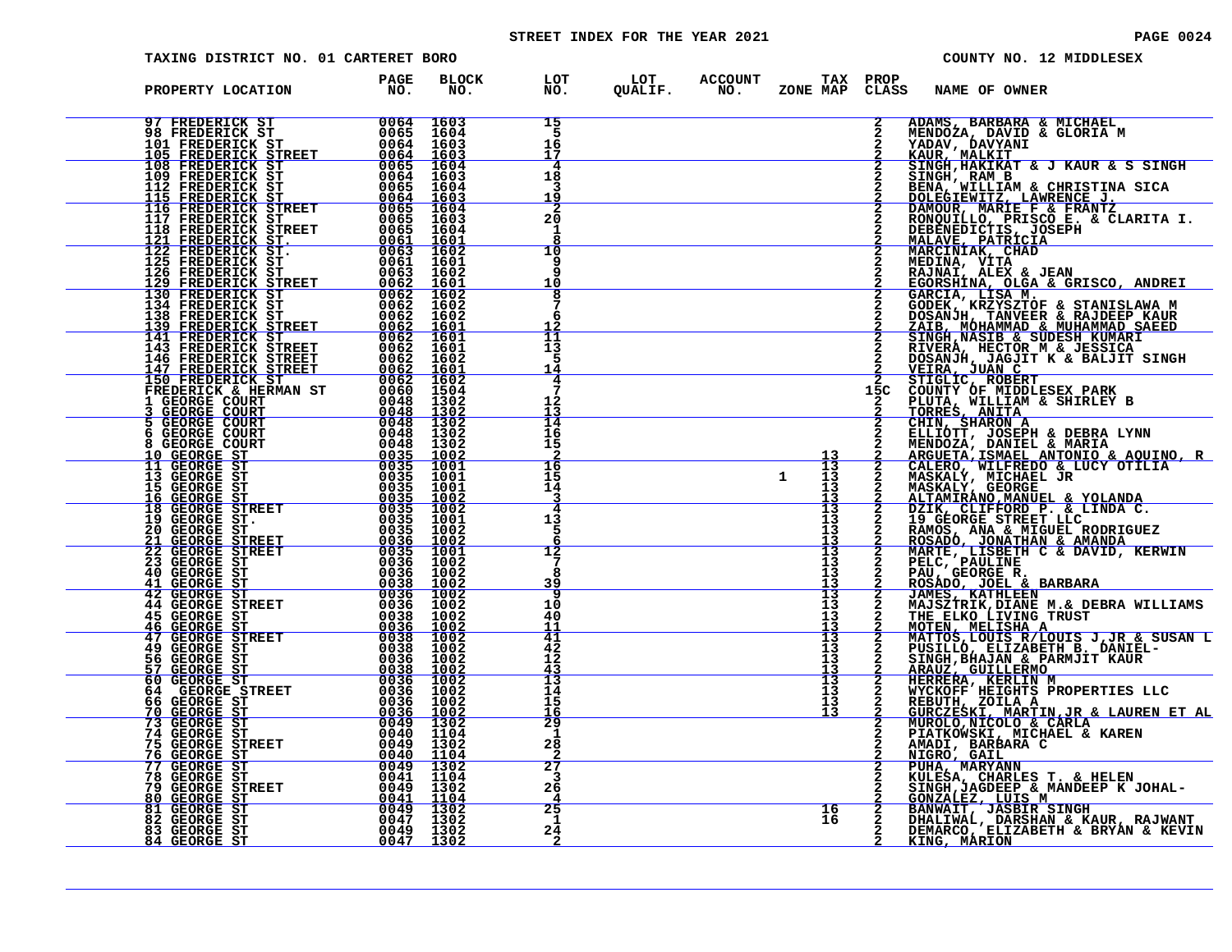# STREET INDEX FOR THE YEAR 2021 **PAGE 10024** PAGE 0024

| TAXING DISTRICT NO. 01 CARTERET BORO                                                                                                                                                                                                                                                                                                                                                                                                  |                                |                                                                   |                                  |                                                                 |                                             |                                                        | COUNTY NO. 12 MIDDLESEX                                                                                                                                                                                                                                      |
|---------------------------------------------------------------------------------------------------------------------------------------------------------------------------------------------------------------------------------------------------------------------------------------------------------------------------------------------------------------------------------------------------------------------------------------|--------------------------------|-------------------------------------------------------------------|----------------------------------|-----------------------------------------------------------------|---------------------------------------------|--------------------------------------------------------|--------------------------------------------------------------------------------------------------------------------------------------------------------------------------------------------------------------------------------------------------------------|
| PROPERTY LOCATION                                                                                                                                                                                                                                                                                                                                                                                                                     | <b>PAGE</b><br>NO <sub>z</sub> | BLOCK<br>NO.                                                      |                                  | LOT LOT ACCOUNT TAX PROP<br>NO.   QUALIF.   NO.  ZONE MAP CLASS |                                             |                                                        | <b>NAME OF OWNER</b>                                                                                                                                                                                                                                         |
|                                                                                                                                                                                                                                                                                                                                                                                                                                       |                                |                                                                   | 15<br>16<br>17                   |                                                                 |                                             | $\overline{2}$                                         | ADAMS, BARBARA & MICHAEL<br>MENDOZA, DAVID & GLORIA M<br>YADAV, DAVYANI<br>KAUR, MALKIT                                                                                                                                                                      |
|                                                                                                                                                                                                                                                                                                                                                                                                                                       |                                |                                                                   | 4<br>18<br>3                     |                                                                 |                                             |                                                        | SINGH, HAKIKAT & J KAUR & S SINGH<br>SINGH, RAM B                                                                                                                                                                                                            |
|                                                                                                                                                                                                                                                                                                                                                                                                                                       |                                |                                                                   | $\frac{1\bar{9}}{2}$<br>20<br>-1 |                                                                 |                                             |                                                        |                                                                                                                                                                                                                                                              |
| 105 FREDERICK STREET 0064 1603<br>109 FREDERICK ST<br>109 FREDERICK ST 0065 1604<br>112 FREDERICK ST 0065 1604<br>115 FREDERICK ST 0064 1603<br>115 FREDERICK STREET 0065 1603<br>117 FREDERICK STREET 0065 1603<br>118 FREDERICK STREET 0065 1604<br>                                                                                                                                                                                |                                |                                                                   | 10<br>q<br>10                    |                                                                 |                                             |                                                        | SINGH, RAM B<br>BENA, WILLIAM & CHRISTINA SICA<br>DOLEGIEWITZ, LAWRENCE J.<br>DAMOUR, MARIE F & FRANTZ<br>RONQUILLO, PRISCO E. & CLARITA I.<br>MEBENEDICTIS, JOSEPH<br>MALAVE, PATRICIA<br>MARCINIAK, CHAD<br>MEDINA, VITA<br>RAJNAI, ALEX & JEAN<br>EGORSHI |
| 125 FREDERICK ST<br>126 FREDERICK ST<br>129 FREDERICK STREET<br>130 FREDERICK ST<br>134 FREDERICK ST<br>134 FREDERICK ST<br>138 FREDERICK ST<br>138 FREDERICK ST<br>138 FREDERICK ST<br>139 FREDERICK ST<br>139 FREDERICK ST<br>15062 1602<br>1602<br>16                                                                                                                                                                              |                                |                                                                   | 8<br>6                           |                                                                 |                                             |                                                        | GARCIA, LISA M.<br>GODEK, KRZYSZTOF & STANISLAWA M<br>DOSANJH, TANVEER & RAJDEEP KAUR                                                                                                                                                                        |
| $\begin{tabular}{c c c} 1.34 FREDERICK ST & 0062 & 1602\\ 1.39 FREDERICK ST & 0062 & 1601\\ 1.43 FREDERICK STREET & 0062 & 1601\\ 144 FREDERICK STREET & 0062 & 1601\\ 143 FREDERICK STREET & 0062 & 1601\\ 144 FREDERICK STREET & 0062 & 16001\\ 150 FREDERICK STREET & 0062 & 16001\\ 150 FREDERICK STREET & 0062 & 16001\\ 150 F$                                                                                                  |                                |                                                                   | īī<br>13<br>5<br>14              |                                                                 |                                             |                                                        | DOSANDH, TANVEER & KADDEEP KAUR<br>ZAIB, MOHAMMAD & MUHAMMAD SAEED<br>SINGH, NASIB & SUDESH KUMARI<br>RIVERA, HECTOR M & JESSICA<br>DOSANDH, JAGJIT K & BALJIT SINGH<br>MEIRA, JUAN C<br>STIGLIC, ROBERT<br>COUNTY OF MIDDLESEX PARK<br>COUNTY OF MIDD       |
|                                                                                                                                                                                                                                                                                                                                                                                                                                       |                                |                                                                   | 4<br>7<br>12                     |                                                                 |                                             | 15C                                                    |                                                                                                                                                                                                                                                              |
|                                                                                                                                                                                                                                                                                                                                                                                                                                       |                                |                                                                   | $\frac{13}{14}$<br>16<br>15      |                                                                 |                                             |                                                        | PLUTA, WILLIAM & SHIRLEY B<br>TORRES, ANITA<br>CHIN, SHARON A<br>ELLIOTT, JOSEPH & DEBRA LYNN<br>MENDOZA, DANIEL & MARIA                                                                                                                                     |
|                                                                                                                                                                                                                                                                                                                                                                                                                                       |                                |                                                                   | 16<br>15<br>14                   |                                                                 | $\frac{13}{13}$<br>$\mathbf{1}$<br>13<br>13 |                                                        |                                                                                                                                                                                                                                                              |
|                                                                                                                                                                                                                                                                                                                                                                                                                                       |                                |                                                                   | 3<br>4<br>13<br>5                |                                                                 | 13<br>13<br>13<br>13                        |                                                        | 2 ARGUETA, DANIEL & MARIA<br>2 ARGUETA, ISMAEL ANTONIO & AQUINO, R<br>2 CALERO, WILFREDO & LUCY OTILIA<br>2 MASKALY, MICHAEL JR<br>2 MASKALY, GEORGE<br>2 ALTAMIRANO, MANUEL & YOLANDA<br>2 DZIK, CLIFFORD P. & LINDA C.<br>2 BAMOS, ANA & M                 |
|                                                                                                                                                                                                                                                                                                                                                                                                                                       |                                |                                                                   | 6<br>12<br>я                     |                                                                 | 13<br>13<br>13<br>13                        | $\begin{array}{c}\n 2 \\  2 \\  2 \\  3\n \end{array}$ | ROSADO, JONATHAN & AMANDA<br>MARTE, LISBETH C & DAVID, KERWIN<br>PELC, PAULINE<br>PAU, GEORGE R.<br>ROSADO, JOEL & BARBARA                                                                                                                                   |
| 45 GEORGE ST                                                                                                                                                                                                                                                                                                                                                                                                                          |                                |                                                                   | <u>39</u><br>9<br>10<br>40       |                                                                 | 13<br>13<br>13<br>13                        |                                                        | JAMES, KATHLEEN<br>MAJSZTRIK, DIANE M.& DEBRA WILLIAMS                                                                                                                                                                                                       |
| 46 GEORGE ST<br>47 GEORGE STREET<br><b>49 GEORGE ST</b><br>56 GEORGE ST                                                                                                                                                                                                                                                                                                                                                               |                                |                                                                   | $\overline{41}$<br>42<br>12      |                                                                 | $\frac{13}{13}$<br>13<br>13                 | $\frac{2}{2}$                                          | THE ELKO LIVING TRUST<br>MOTEN, MELISHA A<br>MATTOS, LOUIS R/LOUIS J, JR & SUSAN L<br>Z PUSILLÓ, ELIZABETH B. DANIEL-<br>2 SINGH, BHAJAN & PARMJIT KAUR                                                                                                      |
| $\begin{array}{r} \begin{array}{r} \tt u036 \ \tt 0038 \ \tt 10 \ \tt 0038 \ \tt 10 \ \tt 0038 \ \tt 10 \ \tt 0038 \ \tt 10 \ \tt 0038 \ \tt 100 \ \tt 0038 \ \tt 1002 \ \tt 0038 \ \tt 1002 \ \tt 0036 \ \tt 1002 \ \tt 0036 \ \tt 1002 \ \tt 0036 \ \tt 1002 \ \tt 0036 \ \tt 1002 \ \tt 0036 \ \tt 0036 \ \tt 0036 \ \tt 0036 \$<br><u>57 GEORGE ST</u><br><b>60 GEORGE ST</b><br>64 GEORGE STREET<br>66 GEORGE ST<br>70 GEORGE ST |                                |                                                                   | 43<br>13<br>14<br>15             |                                                                 | 13<br>13<br>13<br>$\frac{13}{13}$           |                                                        | <b>ARAUZ, GUILLERMO<br/>HERRERA, KERLIN M<br/>WYCKOFF HEIGHTS PROPERTIES LLC</b>                                                                                                                                                                             |
| 73 GEORGE ST<br>74 GEORGE ST<br>75 GEORGE STREET                                                                                                                                                                                                                                                                                                                                                                                      |                                | $\frac{0036}{0036}$ $\frac{1002}{1002}$<br>0036 1002<br>0040 1104 | 16<br>29<br>-1<br>28             |                                                                 |                                             |                                                        | REBUTH, ZOILA A<br>GURCZESKI, MARTIN, JR & LAUREN ET AL<br>MUROLO, NICOLO & CARLA<br>PIATKOWSKI, MICHAEL & KAREN<br>AMADI, BARBARA C                                                                                                                         |
| <u>76 GEORGE ST</u><br>77 GEORGE ST<br>78 GEORGE ST<br>79 GEORGE STREET                                                                                                                                                                                                                                                                                                                                                               |                                | $\frac{0049}{0049}$ $\frac{1302}{1302}$<br>0040 1104<br>0041 1104 | 27<br>3<br>26                    |                                                                 |                                             |                                                        | NIGRO, GAIL<br>PUHA, MARYANN                                                                                                                                                                                                                                 |
| $\begin{array}{r} 0045 \\ -0041 \\ -0041 \\ -0049 \\ -0049 \\ -0047 \\ -1302 \\ -0.47 \\ -1302 \\ \end{array}$<br>80 GEORGE ST<br><b>81 GEORGE ST<br/>82 GEORGE ST</b><br>83 GEORGE ST                                                                                                                                                                                                                                                |                                | 0049 1302                                                         | 25<br>-1<br>24                   |                                                                 | $\frac{16}{16}$                             |                                                        | BANWAIT, JASBIR SINGH<br>DHALIWAL, DARSHAN & KAUR, RAJWANT<br>DEMARCO, ELIZABETH & BRYAN & KEVIN                                                                                                                                                             |
| <u>84 GEORGE ST</u>                                                                                                                                                                                                                                                                                                                                                                                                                   |                                | $0047$ 1302                                                       | 2                                |                                                                 |                                             |                                                        | <u>KING, MARION</u>                                                                                                                                                                                                                                          |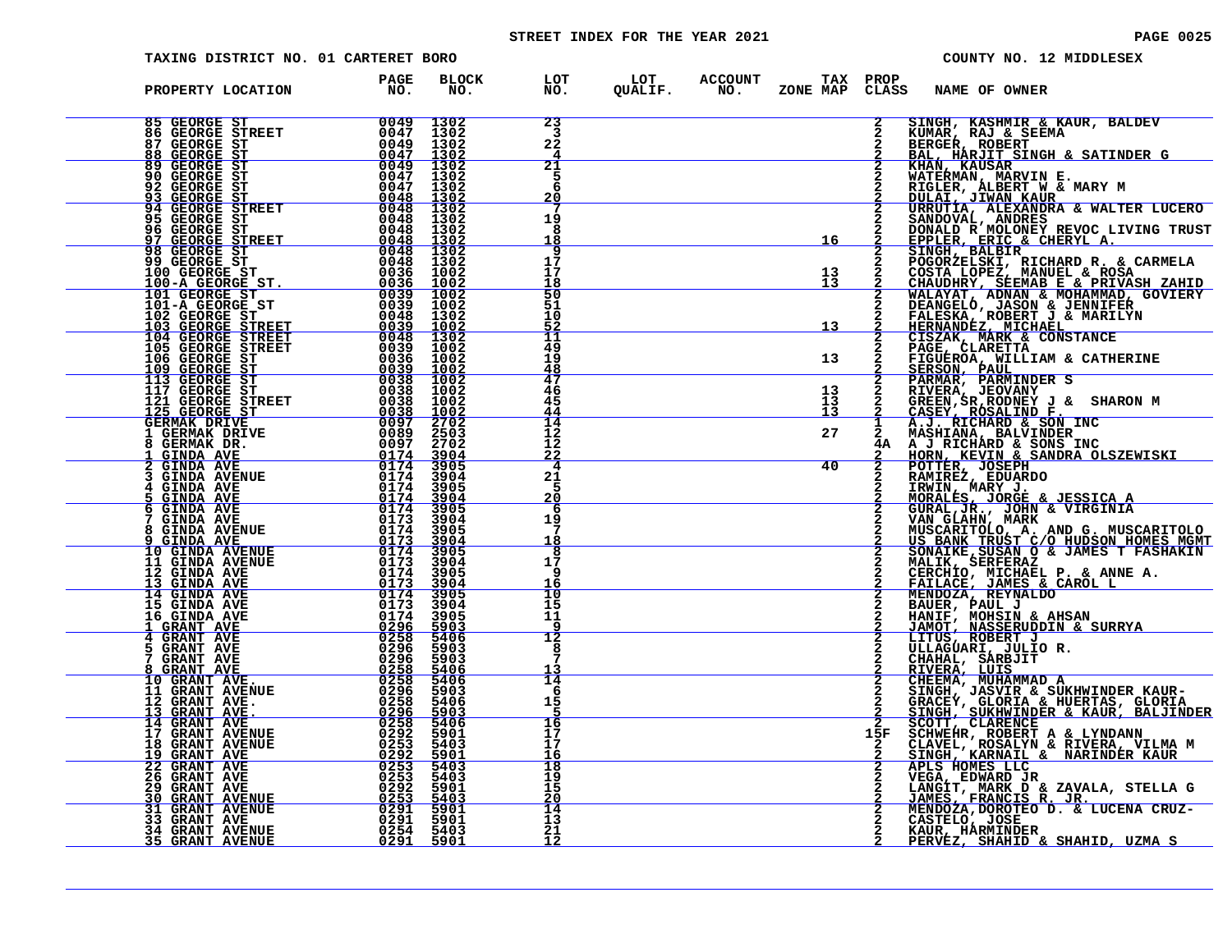# STREET INDEX FOR THE YEAR 2021 **PAGE 10025** PAGE 0025

| TAXING DISTRICT NO. 01 CARTERET BORO                                                                                                                                                                                                                                                                                                                                                                        |             |                                                       |                                   |                                                    |                       |              |                                                               | COUNTY NO. 12 MIDDLESEX                                                                                                                                                                                                                                   |
|-------------------------------------------------------------------------------------------------------------------------------------------------------------------------------------------------------------------------------------------------------------------------------------------------------------------------------------------------------------------------------------------------------------|-------------|-------------------------------------------------------|-----------------------------------|----------------------------------------------------|-----------------------|--------------|---------------------------------------------------------------|-----------------------------------------------------------------------------------------------------------------------------------------------------------------------------------------------------------------------------------------------------------|
| PROPERTY LOCATION                                                                                                                                                                                                                                                                                                                                                                                           | PAGE<br>NO. | <b>BLOCK</b><br>NO.                                   | LOT<br>NO.                        | LOT ACCOUNT TAX PROP<br>QUALIF. NO. ZONE_MAP CLAS: | ZONE MAP CLASS        |              | NAME OF OWNER                                                 |                                                                                                                                                                                                                                                           |
| 85 GEORGE ST<br>86 GEORGE STREET 0047<br>87 GEORGE ST 0049<br>88 GEORGE ST 0049<br>99 GEORGE ST 0049<br>90 GEORGE ST 0049<br>90 GEORGE ST 0049                                                                                                                                                                                                                                                              |             | 1302<br>1302<br>1302                                  | 23<br>3<br>22                     |                                                    |                       | $\mathbf{2}$ | KUMAR, RAJ & SEEMA<br>BERGER, ROBERT                          | SINGH, KASHMIR & KAUR, BALDEV                                                                                                                                                                                                                             |
| 92 GEORGE ST                                                                                                                                                                                                                                                                                                                                                                                                |             | 1302<br>$\frac{1302}{1302}$<br>1302                   | 21<br>5                           |                                                    |                       |              |                                                               | BAL, HÁRJÍT SINGH & SATINDER G<br>KHAN, KAUSAR<br>WATERMAN, MARVIN E.<br>RIGLER, ALBERT W & MARY M                                                                                                                                                        |
| $\frac{5047}{0048}$<br>93 GEORGE ST<br>94 GEORGE STREET<br>95 GEORGE ST                                                                                                                                                                                                                                                                                                                                     |             | 1302<br>1302<br>1302                                  | 20<br>19<br>8                     |                                                    |                       |              |                                                               | <b>NIGHER, JIWAN KAUR<br/>URRUTIA, ALEXANDRA &amp; WALTER LUCERO<br/>SANDOVAL, ANDRES<br/>DONALD R MOLONEY REVOC LIVING TRUST</b>                                                                                                                         |
| 95 GEORGE STREET<br>96 GEORGE STREET<br>97 GEORGE STREET<br>98 GEORGE STREET<br>99 GEORGE STREET<br>99 GEORGE STREET<br>100-A GEORGE STREET<br>101-A GEORGE STREET<br>101-A GEORGE STREET<br>0039 10022<br>102 GEORGE STREET<br>103 GEORGE STREET<br>1                                                                                                                                                      |             |                                                       | 9<br>17<br>17                     |                                                    | 16                    |              |                                                               | EPPLER, ERIC & CHERYL A.<br>SINGH, BALBIR<br>POGORZELSKI, RICHARD R. & CARMELA                                                                                                                                                                            |
|                                                                                                                                                                                                                                                                                                                                                                                                             |             |                                                       | 50<br>ši                          |                                                    | $\frac{13}{13}$       |              |                                                               | POGORZELSKI, RICHARD R. & CARMELA<br>COSTA LOPEZ, MANUEL & ROSA<br>CHAUDHRY, SEEMAB E & PRIVASH ZAHID<br>WALAYAT, ADNAN & MOHAMMAD, GOVIERY<br>DEANGELO, JASON & JENNIFER<br>HERNADEZ, MICHAEL<br>HERNADEZ, MICHAEL<br>CISZAK, MARK & CONSTANCE<br>PAG    |
|                                                                                                                                                                                                                                                                                                                                                                                                             |             |                                                       | 10<br>11<br>49                    |                                                    | 13 <sub>1</sub>       |              |                                                               |                                                                                                                                                                                                                                                           |
| 117 GEORGE ST                                                                                                                                                                                                                                                                                                                                                                                               | 0038        | 1002                                                  | 19<br>48<br>47<br>46              |                                                    | 13 <sub>1</sub><br>13 | $\mathbf{2}$ | <b>SERSON, PAUL</b><br>PARMAR, PARMINDER S<br>RIVERA, JEOVANY | FIGUEROA, WILLIAM & CATHERINE                                                                                                                                                                                                                             |
| 11/ GEORGE STREET 0038<br>121 GEORGE STREET 0038<br>GERMAK DRIVE 0097<br>1 GERMAK DRIVE 0089<br>1 GERMAK DR. 00897<br>3 GERMAK DR. 00897<br>2 GERMAK DR. 0097                                                                                                                                                                                                                                               |             | 1002<br>1002<br>$\frac{0097}{0089}$ 2702<br>0089 2503 | 45<br>44<br>$\overline{14}$<br>12 |                                                    | 13<br>īз<br>27        |              |                                                               | 2 KIVEKA, JEDNEY J & SHARON M<br>2 GREEN, ROSALIND F.<br>1 A.J. RICHARD & SON INC<br>2 MASHIANA, BALVINDER<br>4A A J. RICHARD & SONS INC<br>4A A J. RICHARD & SONS INC<br>2 MASHIANA, BALVINDER<br>5 HOBN FEVIN & SANDRA OLSZEWISI                        |
| $\begin{array}{c c} & & & 0174 \cr \hline 0174 & & 0174 \cr \hline \end{array}$ TUE 0174<br><u>GINDA AVE</u><br><b>GINDA AVE</b>                                                                                                                                                                                                                                                                            |             | 2702<br>$\frac{3904}{3905}$<br>3904                   | 12<br><u>22</u><br>4<br>21        |                                                    | 40                    |              |                                                               | HORN, KEVIN & SANDRA OLSZEWISKI<br>POTTER, JOSEPH<br>RAMIREZ, EDUARDO                                                                                                                                                                                     |
| <b>GINDA AVENUE</b><br>$\begin{array}{r}0174 \ 0174 \ 0174 \ 0174 \ 0173 \end{array}$<br><b>GINDA AVE</b><br><u>GINDA AVE</u><br><b>GINDA AVE</b><br>6.                                                                                                                                                                                                                                                     |             | 3905<br>3904<br>3905                                  | 20<br>6                           |                                                    |                       |              |                                                               | NAMINA MARY J.<br>MORALES, JORGE & JESSICA A<br>GURAL, JR., JOHN & VIRGINIA<br>VAN GLAHN, MARK<br>MISCARIN, MARK                                                                                                                                          |
| <b>GINDA AVE</b><br>$\begin{array}{r} 0173 \ 0174 \ 0173 \ 0174 \ 0173 \ 0173 \ 0174 \ 0173 \ 0174 \ 0174 \end{array}$<br>8<br><b>GINDA AVENUE</b><br><u>GINDA AVE</u><br>10 GINDA AVENUE                                                                                                                                                                                                                   |             | 3904<br>3905<br>$\frac{3904}{3905}$                   | 19<br><u> 18</u><br>8             |                                                    |                       |              |                                                               |                                                                                                                                                                                                                                                           |
| 11 GINDA AVENUE<br>12 GINDA AVE<br>13 GINDA AVE<br>14 GINDA AVE                                                                                                                                                                                                                                                                                                                                             |             | 3904<br>3905<br>3904<br>3905                          | 17<br>9<br>16<br>10               |                                                    |                       |              |                                                               | VAN GLAAHN, MARKA<br>US BANK TRUST C/O HUDSON HOMES MGMT<br>SONAIKE, SUSAN O & JAMES T FASHAKIN<br>MALIK, SERFERAZ<br>MALIK, SERFERAZ<br>CERICI, MICHAZEL P. & ANNE A.<br>FAILACE, JAMES & CAROL L<br>MENDOZA, REYNALDO<br>BAUER, PAUL J<br>HANTF. MOHSIN |
| 15 GINDA AVE<br>16 GINDA AVE<br>1 GRANT AVE                                                                                                                                                                                                                                                                                                                                                                 |             | 3904<br>3905<br>$\frac{5903}{5406}$                   | 15<br>11<br>12                    |                                                    |                       |              |                                                               |                                                                                                                                                                                                                                                           |
| 5.<br><b>GRANT AVE<br/>GRANT AVE</b>                                                                                                                                                                                                                                                                                                                                                                        |             | 5903<br>5903<br><u>5406</u>                           | 8                                 |                                                    |                       |              |                                                               |                                                                                                                                                                                                                                                           |
| ${\footnotesize \begin{array}{c} 0173 \\ 0174 \\ 0296 \\ 0296 \\ 02258 \\ 0258 \\ 0258 \\ 0258 \\ 0258 \\ 0258 \\ 0258 \\ 0258 \\ 0258 \\ 0258 \\ 0258 \\ 0258 \\ 0258 \\ 0258 \\ 0258 \\ 0258 \\ 0258 \\ 0258 \\ 0258 \\ 0258 \\ 0258 \\ 0258 \\ 0258 \\ 0258 \\ 0258 \\ 0258 \\ 0258 \\ 0258 \\ 0258 \\ 0258 \\ 025$<br>8 GRANT AVE<br>10 GRANT AVE.<br>11 GRANT AVENUE<br>12 GRANT AVE.<br>13 GRANT AVE. |             | 5406<br>5903<br>5406<br>5903                          | 14<br>-6<br>15                    |                                                    |                       |              |                                                               |                                                                                                                                                                                                                                                           |
| 14 GRANT AVE<br>17 GRANT AVENUE<br>18 GRANT AVENUE<br>19 GRANT AVE<br>22 GRANT AVE                                                                                                                                                                                                                                                                                                                          |             | 5406<br>5901<br>5403<br><u>5901</u>                   | 16<br>17<br>17<br><u> 16</u>      |                                                    |                       | 15F          |                                                               |                                                                                                                                                                                                                                                           |
| <b>26 GRANT AVE</b><br><b>29 GRANT AVE 30 GRANT AVENUE</b>                                                                                                                                                                                                                                                                                                                                                  |             | 5403<br>5403<br>5901<br>5403                          | 18<br>19<br>15<br>20              |                                                    |                       |              |                                                               | MENDUAL PAINTING A HEIRING SHARINGAN A NAMIN' NASSERT ULLAGUARI, JULIO R.<br>CHAMIF, MASSERUDDIN & SURRYA<br>LITUS, ROBERT J<br>ULLAGUARI, JULIO R.<br>CHAHAL, SARBJIT<br>ENGEMA, MUHAMMAD A<br>SINGH, JASVIR & SUKHWINDER KAUR-<br>SINGH, JASVIR &       |
| 31 GRANT AVENUE<br>33 GRANT AVE<br><b>33 GRANT AVE</b><br><b>34 GRANT AVENUE</b>                                                                                                                                                                                                                                                                                                                            |             | 5901<br>5901<br>5403                                  | 14<br>13<br>21                    |                                                    |                       |              | KAUR, HARMINDER                                               |                                                                                                                                                                                                                                                           |
| <u>35 GRANT AVENUE</u>                                                                                                                                                                                                                                                                                                                                                                                      |             | 5901                                                  | <u> 12</u>                        |                                                    |                       |              |                                                               | PERVEZ, SHAHID & SHAHID, UZMA S                                                                                                                                                                                                                           |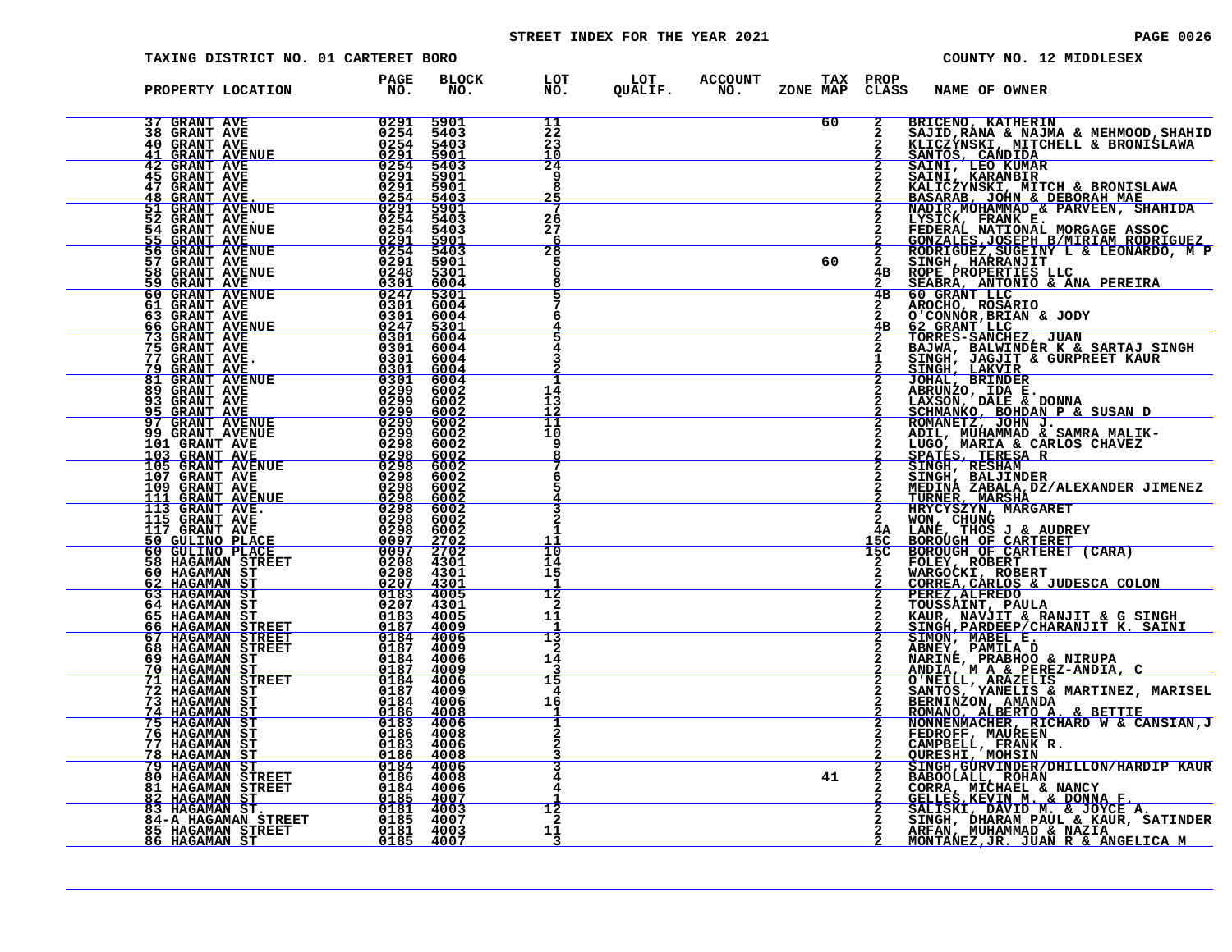# STREET INDEX FOR THE YEAR 2021 **PAGE 10026** PAGE 0026

| TAXING DISTRICT NO. 01 CARTERET BORO                                                                                                                                                                                                            |                                                                                                                                                                                                                                                                                                               |                                     |                             |                                                            |    |     | COUNTY NO. 12 MIDDLESEX                                                                                                                                                                                                                             |  |
|-------------------------------------------------------------------------------------------------------------------------------------------------------------------------------------------------------------------------------------------------|---------------------------------------------------------------------------------------------------------------------------------------------------------------------------------------------------------------------------------------------------------------------------------------------------------------|-------------------------------------|-----------------------------|------------------------------------------------------------|----|-----|-----------------------------------------------------------------------------------------------------------------------------------------------------------------------------------------------------------------------------------------------------|--|
| PROPERTY LOCATION                                                                                                                                                                                                                               | PAGE<br>NO.                                                                                                                                                                                                                                                                                                   | <b>BLOCK</b><br>NO.                 |                             | LOT LOT ACCOUNT TAX PROP<br>NO. QUALIF. NO. ZONE MAP CLASS |    |     | <b>NAME OF OWNER</b>                                                                                                                                                                                                                                |  |
| 37 GRANT AVE<br><b>38 GRANT AVE</b><br><b>40 GRANT AVE</b>                                                                                                                                                                                      | $\begin{array}{r} 0291 \\ 0254 \\ 0254 \\ 0254 \\ 0291 \\ 0291 \\ 0254 \\ 0291 \\ 0291 \\ 0291 \\ 0291 \\ 0292 \\ 0293 \\ 0294 \\ 0293 \\ 0294 \\ 0293 \\ 0294 \\ 0293 \\ 0294 \\ 0294 \\ 0295 \\ 0295 \\ 0296 \\ 0296 \\ 0295 \\ 0296 \\ 0296 \\ 0297 \\ 0298 \\ 0299 \\ 0299 \\ 0299 \\ 0299 \\ 0299 \\ 02$ | 5901<br>5403<br>5403                | 11<br>22<br>23              |                                                            | 60 |     | BRICENO, KATHERIN<br>CLASS NARL OF OWNER SERIES SERIES SERIES SERIES NARL SERIES NATURE SERIES NATURE SERIES SANTIFICATION CONTROLL AS SANTA CONTROLL AND CONTROLL AND CONTROLL AND CONTROLL AND CONTROLL AND CONTROLL AND CONTROLL AND CONTROLL AN |  |
| 41 GRANT AVENUE<br>42 GRANT AVE<br><b>45 GRANT AVE</b>                                                                                                                                                                                          |                                                                                                                                                                                                                                                                                                               | 5901<br>5403<br>5901<br>5901        | 10<br>24<br>9               |                                                            |    |     |                                                                                                                                                                                                                                                     |  |
| 47 GRANT AVE<br>48 GRANT AVE.<br>51 GRANT AVENUE<br>52 GRANT AVE                                                                                                                                                                                | $\begin{array}{r} 0291 \ 0254 \ 0291 \ 0254 \ 0254 \ \end{array}$                                                                                                                                                                                                                                             | $\frac{5403}{5901}$<br>5403         | 26                          |                                                            |    |     |                                                                                                                                                                                                                                                     |  |
| 54 GRANT AVENUE<br>55 GRANT AVE<br>56 GRANT AVE<br>57 GRANT AVENUE                                                                                                                                                                              | $0\bar{2}\bar{5}\bar{4}$<br>$\frac{0291}{0254}$<br>0254<br>0291                                                                                                                                                                                                                                               | 5403<br>$\frac{5901}{5403}$<br>5901 | 27<br>6<br>28               |                                                            | 60 |     |                                                                                                                                                                                                                                                     |  |
| 58 GRANT AVENUE                                                                                                                                                                                                                                 | 0248<br>$\frac{0301}{0247}$<br>0247                                                                                                                                                                                                                                                                           | 5301<br>6004<br>5301<br>6004        | 6                           |                                                            |    |     |                                                                                                                                                                                                                                                     |  |
| <b>59 GRANT AVENUE<br/>60 GRANT AVENUE<br/>61 GRANT AVENUE<br/>63 GRANT AVE<br/>66 GRANT AVE<br/>73 GRANT AVENUE</b>                                                                                                                            | ŏ3ŏī<br>$\begin{array}{r} 0.247 & 5301 \ -2.301 & 6004 \ 0.301 & 6004 \ 0.301 & 6004 \ 0.301 & 6004 \end{array}$                                                                                                                                                                                              | 6004                                |                             |                                                            |    |     |                                                                                                                                                                                                                                                     |  |
|                                                                                                                                                                                                                                                 |                                                                                                                                                                                                                                                                                                               |                                     |                             |                                                            |    |     |                                                                                                                                                                                                                                                     |  |
|                                                                                                                                                                                                                                                 |                                                                                                                                                                                                                                                                                                               |                                     | 14<br>13<br>11              |                                                            |    |     |                                                                                                                                                                                                                                                     |  |
|                                                                                                                                                                                                                                                 |                                                                                                                                                                                                                                                                                                               |                                     | 10<br>9                     |                                                            |    |     |                                                                                                                                                                                                                                                     |  |
|                                                                                                                                                                                                                                                 |                                                                                                                                                                                                                                                                                                               |                                     |                             |                                                            |    |     |                                                                                                                                                                                                                                                     |  |
|                                                                                                                                                                                                                                                 |                                                                                                                                                                                                                                                                                                               |                                     |                             |                                                            |    |     |                                                                                                                                                                                                                                                     |  |
|                                                                                                                                                                                                                                                 |                                                                                                                                                                                                                                                                                                               |                                     | $\overline{10}$<br>14<br>15 |                                                            |    | 15C |                                                                                                                                                                                                                                                     |  |
|                                                                                                                                                                                                                                                 |                                                                                                                                                                                                                                                                                                               |                                     | 12<br>2<br>11               |                                                            |    |     |                                                                                                                                                                                                                                                     |  |
|                                                                                                                                                                                                                                                 |                                                                                                                                                                                                                                                                                                               |                                     | 13<br>2<br>14               |                                                            |    |     |                                                                                                                                                                                                                                                     |  |
|                                                                                                                                                                                                                                                 |                                                                                                                                                                                                                                                                                                               |                                     | 15<br>4<br>16               |                                                            |    |     |                                                                                                                                                                                                                                                     |  |
|                                                                                                                                                                                                                                                 |                                                                                                                                                                                                                                                                                                               |                                     |                             |                                                            |    |     |                                                                                                                                                                                                                                                     |  |
|                                                                                                                                                                                                                                                 |                                                                                                                                                                                                                                                                                                               |                                     |                             |                                                            | 41 |     |                                                                                                                                                                                                                                                     |  |
| 63 GRANT AVE ME 10004 6004 10004 4301<br>173 GRANT AVENUE 10004 600004<br>173 GRANT AVENUE 100004 60004<br>173 GRANT AVE 100004 60004<br>176 GRANT AVENUE 100004 600004<br>189 GRANT AVENUE 100004 600002<br>189 GRANT AVENUE 10000000000000000 |                                                                                                                                                                                                                                                                                                               |                                     | 12<br>-2                    |                                                            |    |     | SINGLILL, ROHAN<br>RABOOLALL, ROHAN<br>CORRA, MICHAEL & NANCY<br>GELLES, KEVIN M. & DONNA F.<br>SALISKI, DAVID M. & JOYCE A.<br>SINGH, DHARAM PAUL & KAUR, SATINDER<br>ARFAN, MUHAMMAD & NAZIA<br>MONTANEZ, JR. JUAN R & ANGELICA M                 |  |
|                                                                                                                                                                                                                                                 |                                                                                                                                                                                                                                                                                                               |                                     | 11                          |                                                            |    |     |                                                                                                                                                                                                                                                     |  |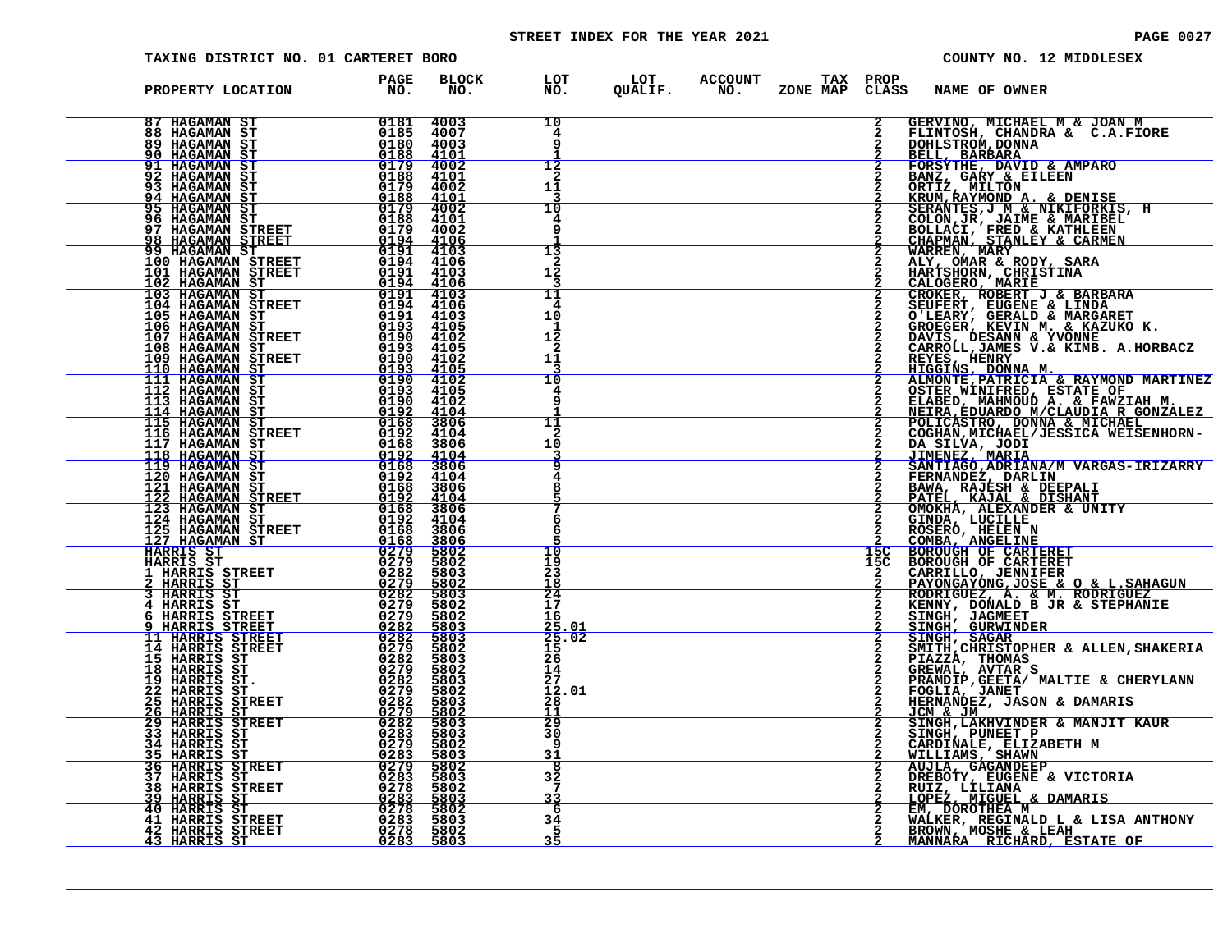# STREET INDEX FOR THE YEAR 2021 **PAGE 10027** PAGE 0027

| TAXING DISTRICT NO. 01 CARTERET BORO                                                                                                                                                                                                                                         |                                             |                                         |                                                                                    |                 | COUNTY NO. 12 MIDDLESEX                                                                                                                                                                                                                                |
|------------------------------------------------------------------------------------------------------------------------------------------------------------------------------------------------------------------------------------------------------------------------------|---------------------------------------------|-----------------------------------------|------------------------------------------------------------------------------------|-----------------|--------------------------------------------------------------------------------------------------------------------------------------------------------------------------------------------------------------------------------------------------------|
| PROPERTY LOCATION PAGE<br>NO.                                                                                                                                                                                                                                                |                                             |                                         | BLOCK LOT LOT ACCOUNT TAX PROP<br>NO. NO. QUALIF. NO. ZONE_MAP_CLASS_NAME_OF_OWNER |                 |                                                                                                                                                                                                                                                        |
|                                                                                                                                                                                                                                                                              |                                             | 10<br>4                                 |                                                                                    |                 | 2 GERVINO, MICHAEL M & JOAN M<br>2 FLINTOSH, CHANDRA & C.A.FIORE<br>2 DOHLSTROM, DONNA                                                                                                                                                                 |
|                                                                                                                                                                                                                                                                              |                                             | 12<br>2<br>11                           |                                                                                    |                 | <b>BELL, BARBARA<br/>FORSYTHE, DAVID &amp; AMPARO<br/>BANZ, GARY &amp; EILEEN<br/>ORTIZ, MILTON<br/>ORTIZ, MILTON</b><br>KRUM, KAYMOND A. & DENISE<br>SERANTES, J M & NIKIFORKIS, H                                                                    |
|                                                                                                                                                                                                                                                                              |                                             | 10<br>4                                 |                                                                                    |                 |                                                                                                                                                                                                                                                        |
|                                                                                                                                                                                                                                                                              |                                             | 13<br>2<br>12                           |                                                                                    |                 | SERANTES, J M & NIKIFORKIS,<br>COLON, JR, JAIME & MARIBEL<br>BOLLACI, FRED & KATHLEEN<br>CHAPMAN, STANLEY & CARMEN<br>WARREN, MARY<br>ALY, OMAR & RODY, SARA<br>HARTSHORN, CHRISTINA<br>CALOGERO, MARIE<br>CALOGERO, MARIE                             |
|                                                                                                                                                                                                                                                                              |                                             | 11<br>10<br>12                          |                                                                                    |                 | CROKER, ROBERT J & BARBARA<br>SEUFERT, EUGENE & LINDA<br>O'LEARY, GERALD & MARGARET<br>GROEGER, KEVIN M. & KAZUKO K.<br>DAVIS, DESANN & YVONNE                                                                                                         |
|                                                                                                                                                                                                                                                                              |                                             | 2<br>11<br>10                           |                                                                                    |                 | CARROLL, JAMES V.& KIMB. A.HORBACZ                                                                                                                                                                                                                     |
|                                                                                                                                                                                                                                                                              |                                             | 11                                      |                                                                                    |                 | CARROLL, JAMES V.& KIMB. A.HORBACZ<br>REYES, HENRY<br>HIGGINS, DONNA M.<br>ALMONTE, PATRICIA & RAYMOND MARTINEZ<br>OSTER WINIFRED, ESTATE OF<br>MEIRED, MARMOUD A.<br>NEIRA, EDUARDO M/CLAUDIA R GONZALEZ<br>POLICASTRO, DONNA & MICHAEL<br>COGHAN, MI |
|                                                                                                                                                                                                                                                                              |                                             | 2<br>10                                 |                                                                                    |                 | DA SILVA, JODI<br>JIMENEZ, MARIA<br>SANTIAGO, ADRIANA/M VARGAS-IRIZARRY<br>FERNANDEZ, DARLIN                                                                                                                                                           |
|                                                                                                                                                                                                                                                                              |                                             | 8<br>6                                  |                                                                                    |                 | FERNANDEZ, DARLIN<br>BAWA, RAJESH & DEEPALI<br>PATEL, KAJAL & DISHANT<br>OMOKHA, ALEXANDER & UNITY<br>GINDA, LUCILLE<br>COMBA, ANGELINE<br>COMBA, ANGELINE<br>BOROUGH OF CARTERET<br>BOROUGH OF CARTERET                                               |
|                                                                                                                                                                                                                                                                              |                                             | 6<br>10<br>19                           |                                                                                    | 15 <sup>C</sup> |                                                                                                                                                                                                                                                        |
|                                                                                                                                                                                                                                                                              |                                             | 23<br>18<br>24<br>17                    |                                                                                    |                 | 15C BOROUGH OF CARTERET<br>2 CARRILLO, JENNIFER<br>2 PAYONGAYONG, JENNIFER<br>2 RODRIGUEZ, A. & M. RODRIGUEZ<br>2 RENNY, DONALD B JR & STEPHANIE                                                                                                       |
|                                                                                                                                                                                                                                                                              |                                             | 16<br>$\frac{25.01}{25.02}$<br>15<br>26 |                                                                                    |                 | SINGH, JAGMEET<br>SINGH, GURWINDER<br>SINGH, GURWINDER<br>SINGH, SAGAR<br>MITH, CHRISTOPHER & ALLEN, SHAKERIA<br>PIAZZA, THOMAS                                                                                                                        |
| FROM MANAMAN STREET 100 MANAMAN STREET 111 MANAMAN STREET 100 MANAMAN STREET 100 MANAMAN STREET 100 MANAMAN STREET 100 MANAMAN STREET 100 MANAMAN STREET 100 MANAMAN STREET 100 MANAMAN STREET 100 MANAMAN STREET 100 MANAMAN                                                |                                             | 14<br>$\overline{27}$<br>12.01<br>28    |                                                                                    |                 | GREWAL, AVTAR S<br>PRAMDIP, GEETA/ MALTIE & CHERYLANN<br>FOGLIA, JANET<br>HERNANDEZ, JASON & DAMARIS                                                                                                                                                   |
|                                                                                                                                                                                                                                                                              | 5803<br>5803<br>5802                        | 11<br>29<br>30<br><b>g</b>              |                                                                                    |                 | JCM & JM<br>SINGH, LAKHVINDER & MANJIT KAUR<br>SINGH, PUNEET P<br>CARDINALE, ELIZABETH M                                                                                                                                                               |
|                                                                                                                                                                                                                                                                              | $\frac{5803}{5802}$<br>5803<br>5802<br>5803 | 31<br>8<br>32<br>7<br>33                |                                                                                    |                 | WILLIAMS, SHAWN<br>AUJLA, GAGANDEEP<br>DREBOTY, EUGENE & VICTORIA<br>RUIZ, LILIANA<br><u>LOPEZ, MIGUEL &amp; DAMARIS</u>                                                                                                                               |
| <b>26 HARRIS ST<br/> 29 HARRIS STREET 60283<br/> 33 HARRIS ST<br/> 33 HARRIS ST<br/> 34 HARRIS ST<br/> 36 HARRIS STREET 60283<br/> 36 HARRIS STREET 60283<br/> 37 HARRIS STREET 60283<br/> 39 HARRIS STREET 60278<br/> 41 HARRIS STREET 60278<br/> 42 HARRIS STREET 6028</b> | 5802<br>5803<br>5802<br>5803                | 6<br>34<br>5<br>35                      |                                                                                    |                 | EM, DOROTHEA M<br>WALKER, REGINALD L & LISA ANTHONY<br>BROWN, MOSHE & LEAH<br>MANNARA RICHARD, ESTATE OF                                                                                                                                               |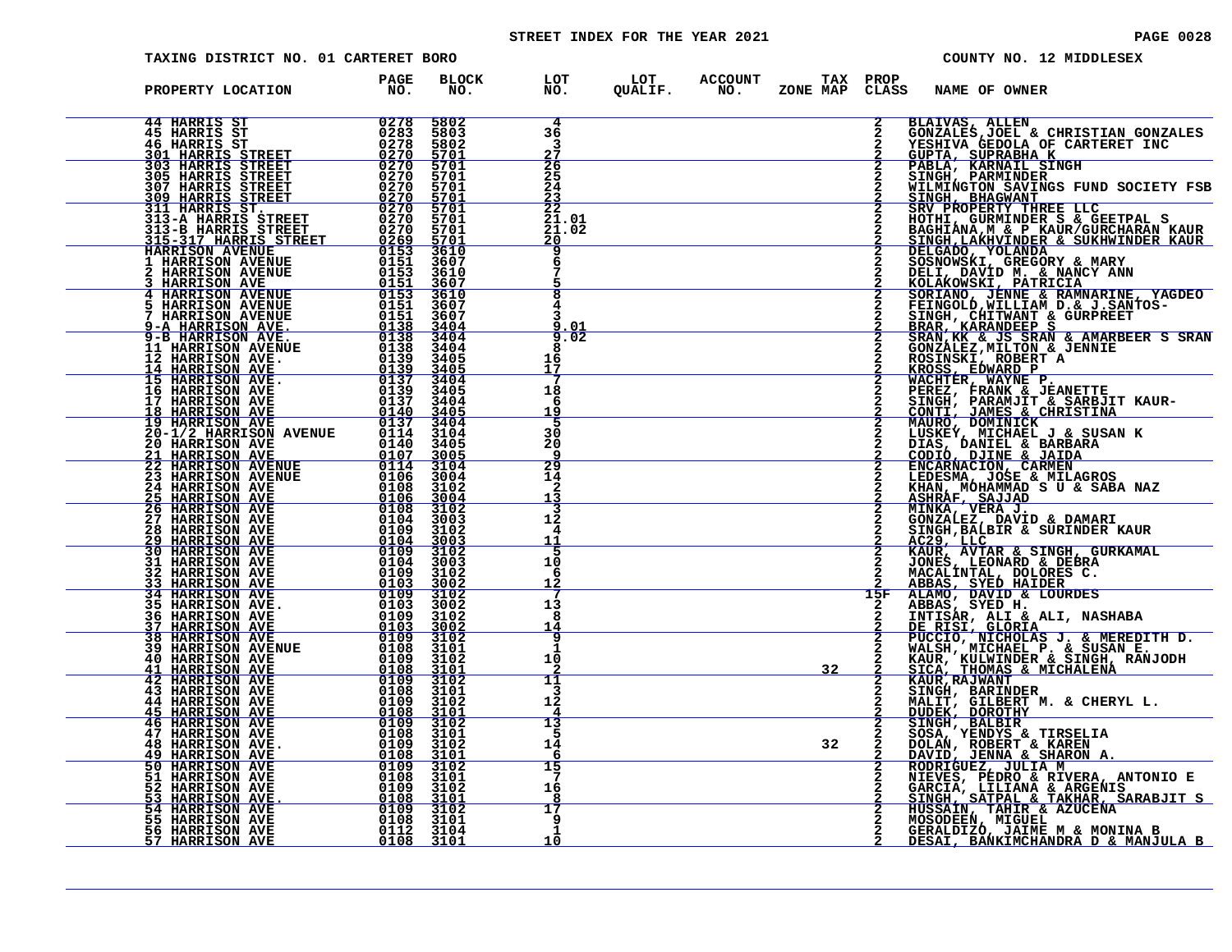# STREET INDEX FOR THE YEAR 2021 **PAGE 10028** PAGE 0028

| TAXING DISTRICT NO. 01 CARTERET BORO                                                                                                                                                                                                                                                                                                                                                                                                                                                                                                                                          |                                                               |                                                                                                       |                                                    |                                                            |    |                |                                                                                                              | COUNTY NO. 12 MIDDLESEX                                                                                                                                                                                                                                |
|-------------------------------------------------------------------------------------------------------------------------------------------------------------------------------------------------------------------------------------------------------------------------------------------------------------------------------------------------------------------------------------------------------------------------------------------------------------------------------------------------------------------------------------------------------------------------------|---------------------------------------------------------------|-------------------------------------------------------------------------------------------------------|----------------------------------------------------|------------------------------------------------------------|----|----------------|--------------------------------------------------------------------------------------------------------------|--------------------------------------------------------------------------------------------------------------------------------------------------------------------------------------------------------------------------------------------------------|
| PROPERTY LOCATION                                                                                                                                                                                                                                                                                                                                                                                                                                                                                                                                                             | <b>PAGE</b><br>NO.                                            | <b>BLOCK</b><br>NO.                                                                                   |                                                    | LOT LOT ACCOUNT TAX PROP<br>NO. QUALIF. NO. ZONE_MAP CLASS |    |                | <b>NAME OF OWNER</b>                                                                                         |                                                                                                                                                                                                                                                        |
|                                                                                                                                                                                                                                                                                                                                                                                                                                                                                                                                                                               |                                                               |                                                                                                       | 4<br>36<br>3<br>27                                 |                                                            |    | $\frac{2}{2}$  | <b>BLAIVAS, ALLEN</b><br><u>GUPTA, SUPRABHA K</u>                                                            | GONZALES, JOEL & CHRISTIAN GONZALES<br>YESHIVA GEDOLA OF CARTERET INC                                                                                                                                                                                  |
|                                                                                                                                                                                                                                                                                                                                                                                                                                                                                                                                                                               |                                                               |                                                                                                       | $\frac{26}{25}$<br>24                              |                                                            |    |                | PABLA, KARNAIL SINGH<br>SINGH, PARMINDER                                                                     | WILMINGTON SAVINGS FUND SOCIETY FSB<br>SINGH, BHAGWANT<br>SRV PROPERTY THREE LLC                                                                                                                                                                       |
|                                                                                                                                                                                                                                                                                                                                                                                                                                                                                                                                                                               |                                                               |                                                                                                       | $\frac{23}{22}$<br>$21.01$<br>$21.02$<br><u>20</u> |                                                            |    |                |                                                                                                              |                                                                                                                                                                                                                                                        |
|                                                                                                                                                                                                                                                                                                                                                                                                                                                                                                                                                                               |                                                               |                                                                                                       |                                                    |                                                            |    |                |                                                                                                              |                                                                                                                                                                                                                                                        |
|                                                                                                                                                                                                                                                                                                                                                                                                                                                                                                                                                                               |                                                               |                                                                                                       |                                                    |                                                            |    | $\mathbf{2}$   |                                                                                                              | SRV PROPERTY THREE LLC<br>HOTHI, GURMINDER S & GEETPAL S<br>DAGHIANA,M & P KAUR/GURCHARAN KAUR<br>SINGH,LAKHVINDER & SUKHWINDER KAUR<br>DELGADO, YOLANDA<br>COSNOWSKI, GREGORY & MARY<br>NOLAKOWSKI, PATRICIA<br>NOLAKOWSKI, PATRICIA<br>SORIANO, JENN |
|                                                                                                                                                                                                                                                                                                                                                                                                                                                                                                                                                                               |                                                               |                                                                                                       | 9.02<br>16<br>17                                   |                                                            |    |                |                                                                                                              |                                                                                                                                                                                                                                                        |
|                                                                                                                                                                                                                                                                                                                                                                                                                                                                                                                                                                               |                                                               |                                                                                                       | 18<br>6<br>19                                      |                                                            |    | $\overline{2}$ | ROSINSKI, ROBERT A<br>KROSS, EDWARD P<br>WACHTER, WAYNE P.<br>PEREZ, FRANK & JEANETTE.                       | SINGH, PARAMJIT & SARBJIT KAUR-<br>CONTI, JAMES & CHRISTINA<br>MAURO, DOMINICK                                                                                                                                                                         |
| 1/ HAKRISON AVE 0137 3405<br>18 HARRISON AVE 0137 3404<br>19 HARRISON AVE 0137 3404<br>20-1/2 HARRISON AVENUE 0114 3104<br>20 HARRISON AVE 0140 3405<br>21 HARRISON AVE 0140 3405<br>22 HARRISON AVE 0107 3005                                                                                                                                                                                                                                                                                                                                                                |                                                               |                                                                                                       | 5<br>30<br>20                                      |                                                            |    |                |                                                                                                              |                                                                                                                                                                                                                                                        |
| $\begin{array}{r} 014\bar0&3404\overline0\\0107&3005\overline0\\0114&3104\overline0\\0116&3004\overline0\\0106&3004\overline0\\0108&3104\overline0\\0128&3102\end{array}$<br><b>21 HARRISON AVE 22 HARRISON AVENUE</b><br><b>23 HARRISON AVENUE</b><br><b>23 HARRISON AVENUE</b>                                                                                                                                                                                                                                                                                              |                                                               | 0108 3102<br><u>0106 3004</u><br>0108 3102                                                            | 29<br>14<br>2<br>13                                |                                                            |    |                |                                                                                                              | LUSKEY, MICHAEL J & SUSAN K<br>DIAS, DANIEL & BARBARA<br>CODIO, DJINE & JAIDA<br>ENCARNACION, CARMEN<br>LEDESMA, JOSE & MILAGROS<br>KHAN, MOHAMMAD S U & SABA NAZ<br>KHAN, MOHAMMAD S U & SABA NAZ                                                     |
| <b>23 HARRISON AVEM</b><br>25 HARRISON AVE<br>26 HARRISON AVE<br>26 HARRISON AVE<br>27 HARRISON AVE<br>29 HARRISON AVE<br>29 HARRISON AVE<br>31 HARRISON AVE<br>32 HARRISON AVE<br>32 HARRISON AVE<br>34 HARRISON AVE<br>34 HARRISON AVE<br>34 HARRISON AVE                                                                                                                                                                                                                                                                                                                   | $\frac{\tilde{0}\bar{1}\tilde{0}\tilde{4}}{0109}$             | 3003<br>3102<br><u>3003</u>                                                                           | 3<br>12<br>4<br>11                                 |                                                            |    | 2              | ASHRAF, SAJJAD<br>MINKA, VERA J.<br>GONZALEZ, DAVID & DAMARI<br>GONZALEZ, DAVID & DAMARI<br><u>AC29, LLC</u> | SINGH, BALBIR & SURINDER KAUR                                                                                                                                                                                                                          |
|                                                                                                                                                                                                                                                                                                                                                                                                                                                                                                                                                                               | $\frac{0104}{0109}$<br>0104<br>0109<br><u> 6103 - </u>        | 3102<br>3003<br>3102<br>3002                                                                          | 5<br>10<br>6<br>12                                 |                                                            |    |                | JONES, LEONARD & DEBRA<br>MACALINTAL, DOLORES C.<br>ABBAS, SYED HAIDER                                       | KAUR, AVTAR & SINGH, GURKAMAL                                                                                                                                                                                                                          |
| 36 HARRISON AVE<br>37 HARRISON AVE<br>38 HARRISON AVE                                                                                                                                                                                                                                                                                                                                                                                                                                                                                                                         | 0109<br>0103<br>0109                                          | 3102<br>3002<br>3102                                                                                  | 13<br>я<br>14                                      |                                                            |    | 15F            | ALAMO, DAVID & LOURDES<br>ABBAS, SYED H.                                                                     |                                                                                                                                                                                                                                                        |
| $\frac{0109}{0103}$<br><b>39 HARRISON AVENUE<br/>40 HARRISON AVE</b>                                                                                                                                                                                                                                                                                                                                                                                                                                                                                                          |                                                               | $\frac{3002}{3102}$<br>$\frac{0108}{0109}$ $\frac{3101}{3102}$<br>0109 3102<br>0108 3101<br>0109 3102 | g<br>1<br>10                                       |                                                            | 32 |                |                                                                                                              | THITISAR, ALI & ALI, NASHABA<br>DE RISI, GLORIA<br>PUCCIO, NICHOLAS J. & MEREDITH D.<br>WALSH, MICHAEL P. & SUSAN E.<br>KAUR, KULWINDER & SINGH, RANJODH<br>KAUR, KULWINDER & SINGH, RANJODH                                                           |
| 41 HARRISON AVE<br>42 HARRISON AVE<br>43 HARRISON AVE<br><b>44 HARRISON AVE<br/>45 HARRISON AVE</b>                                                                                                                                                                                                                                                                                                                                                                                                                                                                           | 0108<br>0109<br><u>0108 -</u>                                 | 3101<br>3102<br>3101                                                                                  | 11<br>3<br>12                                      |                                                            |    |                | SICA, THOMAS & MICHALENA<br>SINGH, BARINDER                                                                  | MALIT, GILBERT M. & CHERYL L.<br>DUDEK, DOROTHY                                                                                                                                                                                                        |
| <b>46 HARRISON AVE</b><br><b>47 HARRISON AVE</b><br>48 HARRISON AVE.                                                                                                                                                                                                                                                                                                                                                                                                                                                                                                          | 0109<br>0108<br>0109                                          | 3102<br>3101<br>3102<br><u>3101</u>                                                                   | 13<br>5<br>14<br>6                                 |                                                            | 32 | 2              | SINGH, BALBIR<br>SOSA, YENDYS & TIRSELIA<br>DOLLAN, ROBERT & KAREN                                           |                                                                                                                                                                                                                                                        |
| <b>49 HARRISON AVE<br/>50 HARRISON AVE</b>                                                                                                                                                                                                                                                                                                                                                                                                                                                                                                                                    | $\begin{array}{c}\n0108 \\ 0109\n\end{array}$<br>0108<br>0109 | 3102<br>3101<br>3102<br>3101                                                                          | 15<br>-7<br>16                                     |                                                            |    |                |                                                                                                              | DANI, JENNA & SHARON A.<br>RODRIGUEZ, JULIA M<br>NIEVES, PEDRO & RIVERA, ANTONIO E<br>MIEVES, PEDRO & RIVERA, ANTONIO E<br>SINGH, SATPAL & TAKHAR, SARABJIT S                                                                                          |
| 51 HARRISON AVE<br>52 HARRISON AVE<br>53 HARRISON AVE<br>54 HARRISON AVE<br>55 HARRISON AVE<br>56 HARRISON AVE<br>57 HARRISON AVE<br>$\begin{array}{r@{\hspace{1em}}c@{\hspace{1em}}c@{\hspace{1em}}c@{\hspace{1em}}c@{\hspace{1em}}c@{\hspace{1em}}c@{\hspace{1em}}c@{\hspace{1em}}c@{\hspace{1em}}c@{\hspace{1em}}c@{\hspace{1em}}c@{\hspace{1em}}c@{\hspace{1em}}c@{\hspace{1em}}c@{\hspace{1em}}c@{\hspace{1em}}c@{\hspace{1em}}c@{\hspace{1em}}c@{\hspace{1em}}c@{\hspace{1em}}c@{\hspace{1em}}c@{\hspace{1em}}c@{\hspace{1em}}c@{\hspace{1em$<br><u>57 HARRISON AVE</u> |                                                               | 0108 3101                                                                                             | 17<br>9<br>1<br>10                                 |                                                            |    |                | HUSSAIN, TAHIR & AZUCENA                                                                                     | GERALDIZO, JAIME M & MONINA B<br>DESAI, BANKIMCHANDRA D & MANJULA B                                                                                                                                                                                    |
|                                                                                                                                                                                                                                                                                                                                                                                                                                                                                                                                                                               |                                                               |                                                                                                       |                                                    |                                                            |    |                |                                                                                                              |                                                                                                                                                                                                                                                        |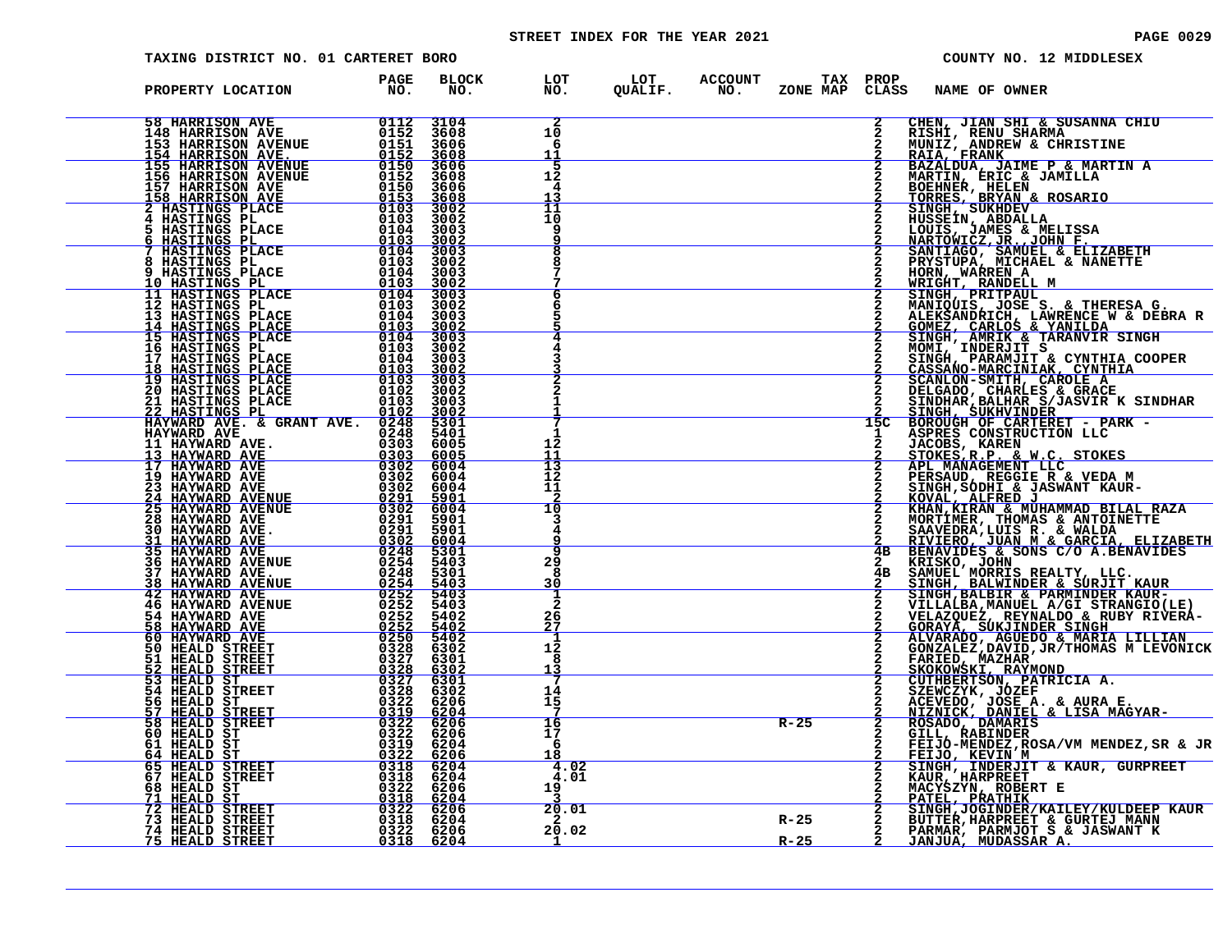# STREET INDEX FOR THE YEAR 2021 **PAGE 10029** PAGE 0029

| TAXING DISTRICT NO. 01 CARTERET BORO                                                                                                                                                                                                                                                                                                                                                       |  |  |            |                          | COUNTY NO. 12 MIDDLESEX                                                                                                                                                                                                                                     |
|--------------------------------------------------------------------------------------------------------------------------------------------------------------------------------------------------------------------------------------------------------------------------------------------------------------------------------------------------------------------------------------------|--|--|------------|--------------------------|-------------------------------------------------------------------------------------------------------------------------------------------------------------------------------------------------------------------------------------------------------------|
| PROPERTY LOCATION PAGE<br>NO.                                                                                                                                                                                                                                                                                                                                                              |  |  |            |                          | BLOCK LOT LOT ACCOUNT TAX PROP<br>NO. NO. QUALIF. NO. ZONE_MAP CLASS NAME_OF_OWNER                                                                                                                                                                          |
| ${\small \begin{tabular}{@{}c@{}}\textbf{PROOFARY LOCATION} & \textbf{PACF} & \textbf{EOCX} & \textbf{EOCY} \\ \textbf{FROPERT I OCATION} & \textbf{NOC} & \textbf{NOC} \\ \textbf{148 RREACON NVE} & 0.112 & 1046 & 1007 \\ \textbf{149 RREACON NVEUUB} & 0.112 & 31608 & 1007 \\ \textbf{149 RREACON NVEUUB} & 0.112 & 31608 \\ \textbf{140 RREACON NVEUUB} & 0.112 & 31608 \\ \textbf{$ |  |  |            |                          | 2 CHEN, JIAN SHI & SUSANNA CHIU<br>2 RISHI, RENU SHARMA<br>2 MUNIZ, ANDREW & CHRISTINE<br>2 RAIA, FRANK<br>2 BAZALDUA<br>2 BAZALDUA<br>2 MARTIN, ERIC & JAMILLA<br>2 DOEINER, HELEN<br>2 TORRES, BRYAN & ROSARIO<br>2 TORRES, BRYAN & ROSARIO<br>2 HUSSEIN, |
|                                                                                                                                                                                                                                                                                                                                                                                            |  |  |            |                          |                                                                                                                                                                                                                                                             |
|                                                                                                                                                                                                                                                                                                                                                                                            |  |  |            |                          |                                                                                                                                                                                                                                                             |
|                                                                                                                                                                                                                                                                                                                                                                                            |  |  |            |                          |                                                                                                                                                                                                                                                             |
|                                                                                                                                                                                                                                                                                                                                                                                            |  |  |            |                          |                                                                                                                                                                                                                                                             |
|                                                                                                                                                                                                                                                                                                                                                                                            |  |  |            |                          | 2 BANCOMICZ, JR. 1998<br>2 SANTIAGO, SAMUEL & ELIZABETH<br>22 SANTIAGO, SAMUEL & ENANCHAEL<br>22 SANTIAGO, SAMUEL & NANETTE<br>22 SANTIQUE ANDERICAL INNERNE & NANETTE<br>22 SANDHI PREVIDRICI INNERNE SA CHERESA G.<br>23 SANDA AMERICA I                  |
|                                                                                                                                                                                                                                                                                                                                                                                            |  |  |            |                          |                                                                                                                                                                                                                                                             |
|                                                                                                                                                                                                                                                                                                                                                                                            |  |  |            |                          |                                                                                                                                                                                                                                                             |
|                                                                                                                                                                                                                                                                                                                                                                                            |  |  |            |                          |                                                                                                                                                                                                                                                             |
|                                                                                                                                                                                                                                                                                                                                                                                            |  |  |            |                          |                                                                                                                                                                                                                                                             |
|                                                                                                                                                                                                                                                                                                                                                                                            |  |  |            |                          |                                                                                                                                                                                                                                                             |
|                                                                                                                                                                                                                                                                                                                                                                                            |  |  |            |                          |                                                                                                                                                                                                                                                             |
|                                                                                                                                                                                                                                                                                                                                                                                            |  |  |            |                          |                                                                                                                                                                                                                                                             |
|                                                                                                                                                                                                                                                                                                                                                                                            |  |  | $R-25$     | $\frac{\overline{2}}{2}$ | ROSADO, DAMARIS<br>GILL, RABINDER<br>FEIJO-MENDEZ,ROSA/VM MENDEZ,SR & JR                                                                                                                                                                                    |
|                                                                                                                                                                                                                                                                                                                                                                                            |  |  |            |                          |                                                                                                                                                                                                                                                             |
|                                                                                                                                                                                                                                                                                                                                                                                            |  |  |            |                          | 2 FELIO-MENDEZ, ROSA/VM MENDEZ, SR & JR<br>2 SINGH, INDERJIT & KAUR, GURPREET<br>2 KAUR, HARPREET<br>2 MACYSZYN, ROBERT E<br>2 MACYSZYN, ROBERT E<br>2 PATEL, PRATHIK<br>R-25 2 BUTTER, HARPREET & GURTEJ MANN<br>R-25 2 PARMAR, PARMARC S &                |
|                                                                                                                                                                                                                                                                                                                                                                                            |  |  | $R-25$ $2$ |                          | <u>JANJUA, MUDASSAR A.</u>                                                                                                                                                                                                                                  |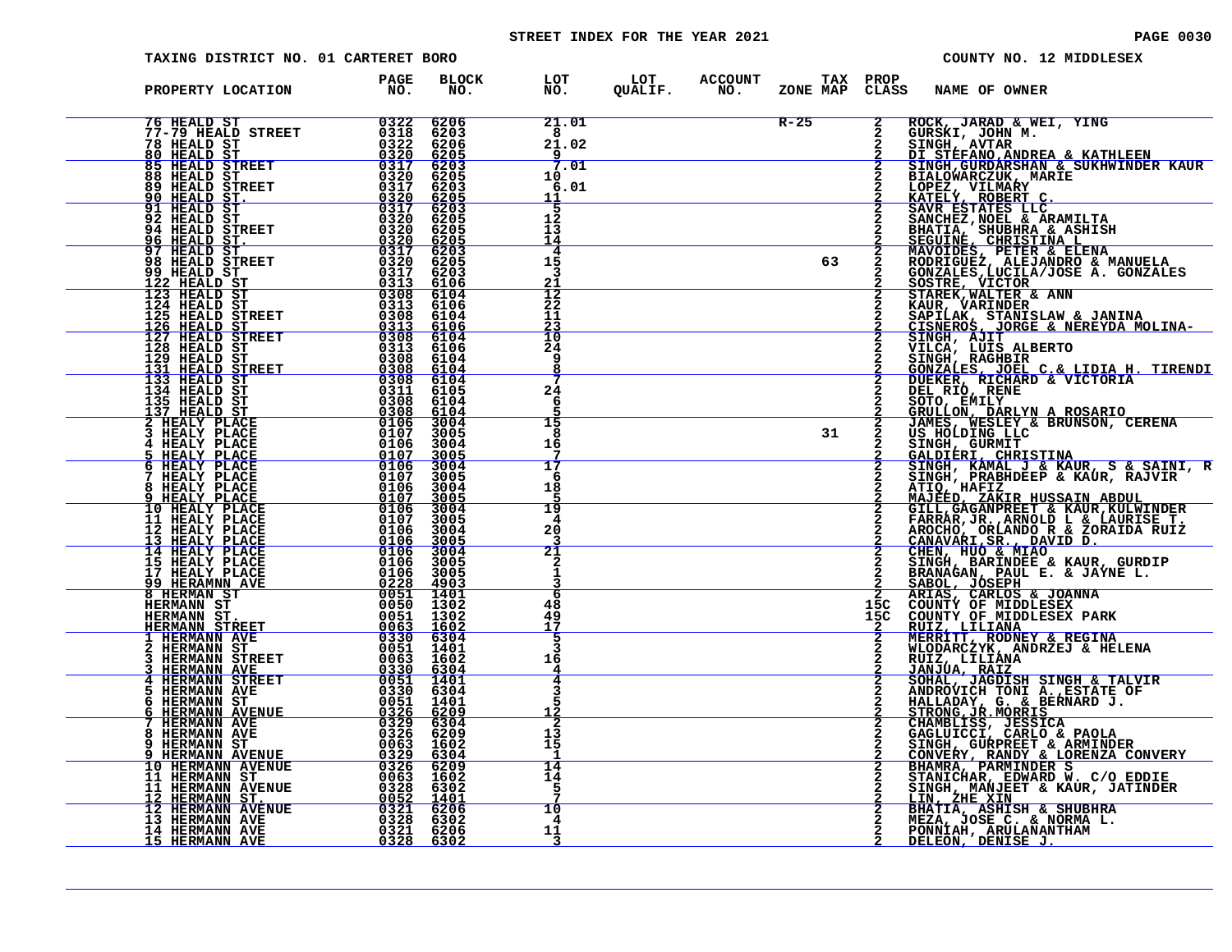# STREET INDEX FOR THE YEAR 2021 **PAGE 10030** PAGE 0030

| TAXING DISTRICT NO. 01 CARTERET BORO                                                                                                                                                                                                                                 |                                                                                  |                                                            |                                          |  | COUNTY NO. 12 MIDDLESEX      |                            |                              |                                                                                                                                                                                                                                                          |
|----------------------------------------------------------------------------------------------------------------------------------------------------------------------------------------------------------------------------------------------------------------------|----------------------------------------------------------------------------------|------------------------------------------------------------|------------------------------------------|--|------------------------------|----------------------------|------------------------------|----------------------------------------------------------------------------------------------------------------------------------------------------------------------------------------------------------------------------------------------------------|
| PROPERTY LOCATION                                                                                                                                                                                                                                                    | PAGE<br>NO.                                                                      | <b>BLOCK</b><br>NO.                                        | LOT<br>NO.                               |  | LOT ACCOUNT<br>QUALIF. NO. : | TAX PROP<br>ZONE MAP CLASS |                              | NAME OF OWNER                                                                                                                                                                                                                                            |
|                                                                                                                                                                                                                                                                      |                                                                                  | 6206<br>6203<br>6206<br>6205                               | 21.01<br>$\overline{8}$<br>21.02<br>9    |  |                              | $R-25$                     | $\mathbf{2}$<br>$\mathbf{2}$ | ROCK, JARAD & WEI, YING                                                                                                                                                                                                                                  |
| <b>85 HEALD STREET 6317<br/>88 HEALD ST____ 6320</b><br><b>89 HEALD STREET</b><br>90 HEALD ST.                                                                                                                                                                       | 0317                                                                             | 6203<br>6205<br>6203                                       | 7.01<br>10<br>6.01<br>11                 |  |                              |                            | 2                            | SINGH, GURDARSHAN & SUKHWINDER KAUR<br>BIALOWARCZUK, MARIE                                                                                                                                                                                               |
| 91 HEALD ST<br>92 HEALD ST<br>94 HEALD STREET                                                                                                                                                                                                                        | $\frac{0320}{0317}$<br>0320<br>0320                                              | $\frac{6205}{6203}$<br>6205<br>6205<br>$\frac{6205}{6203}$ | 5<br>12<br>13<br>14                      |  |                              |                            |                              | SINGH, GURDARISHAN & SUKHWINDER KAUR<br>BIALOWARCZUK, MARIE<br>LOPEZ, VILMARY<br>KATELY, ROBERT C.<br>SANCHEZ, NOBERT C.<br>SANCHEZ, NOEL & ARMILITA<br>BHATIA, SHUBHRA & ARMILITA<br>BEGUINES, CHRISTINA LENA<br>MOODICIES, PETER & ELENA<br>MOODICIES, |
| 96 HEALD ST.<br>97 HEALD ST<br>98 HEALD STREET<br>99 HEALD ST<br>122 HEALD ST                                                                                                                                                                                        | $\begin{array}{r} 0320 \\ 0317 \\ 0320 \end{array}$<br>0317<br>$03\overline{1}3$ | 6205<br>6203<br><u>6106</u>                                | 4<br>15<br>21                            |  |                              | 63                         | $\frac{2}{2}$                |                                                                                                                                                                                                                                                          |
| 122 HEALD ST<br>123 HEALD ST<br>124 HEALD ST<br>125 HEALD STREET<br>125 HEALD STREET<br>127 HEALD STREET<br>128 HEALD ST<br>131 HEALD STREET<br>133 HEALD STREET<br>133 HEALD STREET<br>133 HEALD STREET<br>134 HEALD ST                                             | $0308$<br>$0313$<br>0308                                                         | 6104<br>6106<br>6104<br><u>6106</u>                        | $\frac{12}{22}$<br>11<br>$\frac{23}{10}$ |  |                              |                            | $\overline{2}$               |                                                                                                                                                                                                                                                          |
|                                                                                                                                                                                                                                                                      | $\frac{0313}{0308}$<br>0313<br>03108<br>03208<br>03208<br>03208                  | 6104<br>6106<br>6104<br>6104<br>6104                       | 24<br>9<br>8                             |  |                              |                            |                              |                                                                                                                                                                                                                                                          |
|                                                                                                                                                                                                                                                                      | 0308<br>0308<br>0106                                                             | 6105<br>6104<br>$\frac{6104}{3004}$                        | 24<br>6<br>15                            |  |                              |                            | $\frac{\overline{2}}{2}$     |                                                                                                                                                                                                                                                          |
| 135 HEALD ST<br>137 HEALD ST<br>2 HEALY PLACE<br>3 HEALY PLACE<br>3 HEALY PLACE<br>5 HEALY PLACE<br>6 HEALY PLACE<br>6 HEALY PLACE<br>8 HEALY PLACE<br>8 HEALY PLACE                                                                                                 | 0107<br>$0106$<br>0107<br>0106<br>0107                                           | 3005<br>3004<br><u>3005</u><br>$\frac{3004}{3005}$         | 8<br>16<br>17                            |  |                              | 31                         |                              |                                                                                                                                                                                                                                                          |
| 8 HEALY PLACE<br>9 HEALY PLACE                                                                                                                                                                                                                                       | $0106$<br>$0107$<br>$0106$<br>$0107$                                             | 3004<br>3005<br>3004                                       | 6<br>18<br>19                            |  |                              |                            |                              |                                                                                                                                                                                                                                                          |
| 10 HEALY PLACE<br>11 HEALY PLACE<br>12 HEALY PLACE<br>13 HEALY PLACE<br>14 HEALY PLACE                                                                                                                                                                               | 0106<br>0106<br>$0\overline{106}$<br>0106                                        | 3005<br>3004<br>3005<br>3004<br>3005                       | 4<br>20<br><u> 21</u>                    |  |                              |                            |                              |                                                                                                                                                                                                                                                          |
| 15 HEALY PLACE<br>17 HEALY PLACE<br><u>99 HERAMNN AVE</u><br>8 HERMAN ST<br><b>HERMANN ST</b>                                                                                                                                                                        | 0106 3005<br><u>0228 4903</u><br>0051 1401<br>0050 1302                          |                                                            | 6<br>48                                  |  |                              |                            | 15C                          |                                                                                                                                                                                                                                                          |
| HERMANN ST.<br>HERMANN STREET<br><b>T HERMANN AVE<br/>2 HERMANN ST<br/>3 HERMANN STREET</b>                                                                                                                                                                          | 0051<br>$\frac{0063}{0330}$<br>0051 1401                                         | 1302<br>1602<br>6304                                       | 49<br>17                                 |  |                              |                            | 15C                          |                                                                                                                                                                                                                                                          |
| <b>HERMANN AVE</b><br><b>4 HERMANN STREET</b><br>HERMANN AVE<br>5                                                                                                                                                                                                    | 0063<br>0330<br>0051                                                             | 1602<br>6304<br>1401<br>6304                               | 16<br>4                                  |  |                              |                            |                              |                                                                                                                                                                                                                                                          |
| 6 HERMANN ST<br>6 HERMANN AVENUE<br>7 HERMANN AVE<br>8 HERMANN AVE                                                                                                                                                                                                   |                                                                                  | 1401<br>6209<br>6304<br>6209                               | 12<br>13<br>15                           |  |                              |                            |                              | ATIO, HAFIZ EMBRID ADULTED IN AN ENGINEE THARRAR, JR. ARNOLD L & LAURISE T.<br>FARRAR, JR. ARNOLD L & LAURISE T.<br>CANAVARI, SR. ARNOLD L & LAURISE T.<br>CANAVARI, SR. , DAVID D.<br>CHANGAR, BARINDC R & ZORAIDA RUIZ<br>CANAVARI, SR                 |
| <b>3 HERMANN AVE 00326 6209<br/> 9 HERMANN ST 0063 1602<br/> 10 HERMANN AVENUE 0326 6304<br/> 10 HERMANN AVENUE 0326 6309<br/> 11 HERMANN AVENUE 0063 1602<br/> 11 HERMANN AVENUE 0328 6302<br/> 12 HERMANN AVENUE 0321 6206<br/> 13 HERMANN AVE 0321 6206<br/> </b> |                                                                                  |                                                            | 14<br>14<br>5                            |  |                              |                            |                              |                                                                                                                                                                                                                                                          |
|                                                                                                                                                                                                                                                                      |                                                                                  |                                                            | 10<br>4<br>11                            |  |                              |                            |                              |                                                                                                                                                                                                                                                          |
|                                                                                                                                                                                                                                                                      |                                                                                  |                                                            | 3                                        |  |                              |                            |                              |                                                                                                                                                                                                                                                          |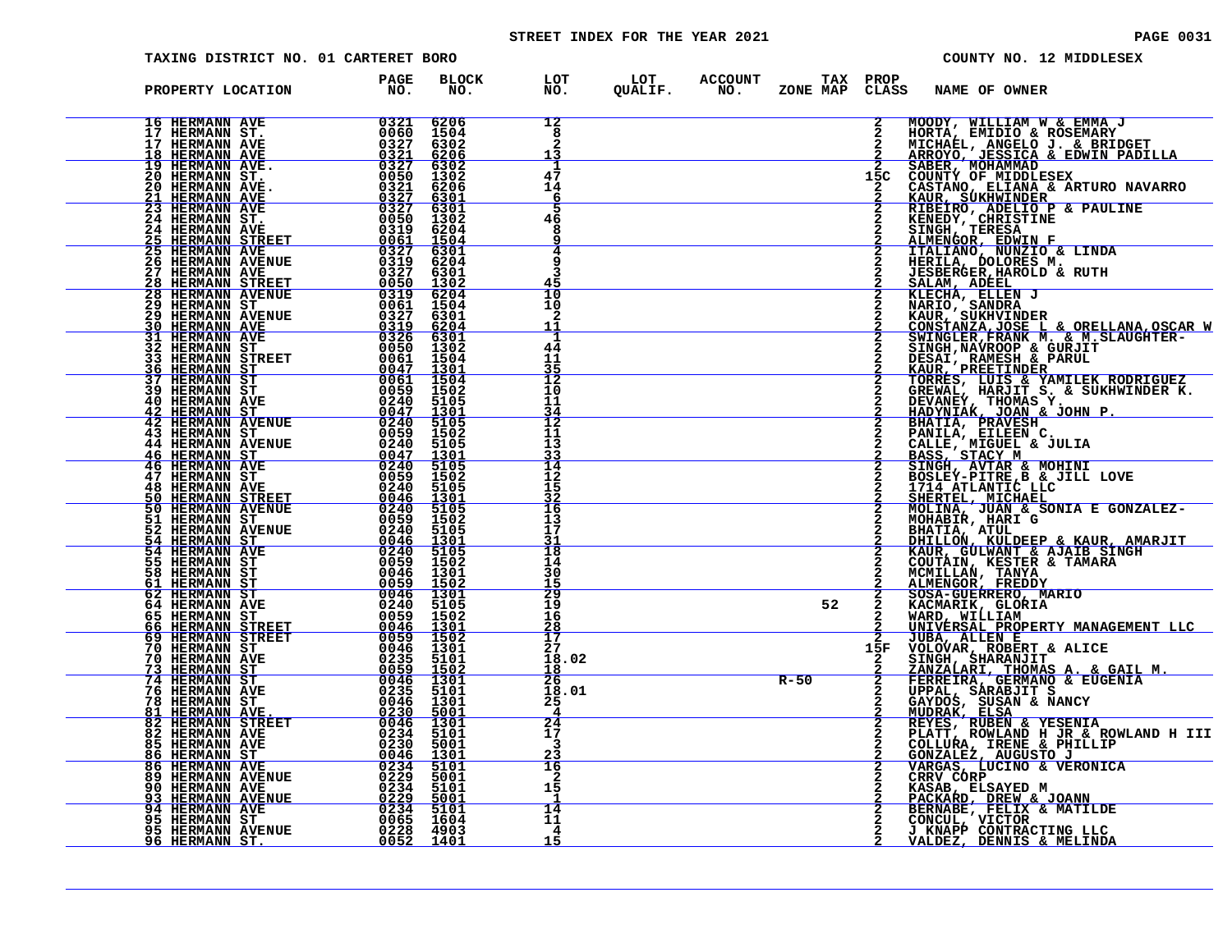# STREET INDEX FOR THE YEAR 2021 **PAGE 10031** PAGE 0031

| TAXING DISTRICT NO. 01 CARTERET BORO                                                                                                                                                                                                                                                    |                                            |                                                  |                                                           | COUNTY NO. 12 MIDDLESEX                                                                                                                                             |
|-----------------------------------------------------------------------------------------------------------------------------------------------------------------------------------------------------------------------------------------------------------------------------------------|--------------------------------------------|--------------------------------------------------|-----------------------------------------------------------|---------------------------------------------------------------------------------------------------------------------------------------------------------------------|
| PROPERTY LOCATION                                                                                                                                                                                                                                                                       | BLOCK<br><b>PAGE</b><br>PAGE<br>NO.<br>NO. |                                                  | LOT LOT ACCOUNT TAX PROP<br>NO. QUALIF. NO. ZONE_MAPCLAS: | CLASS<br>NAME OF OWNER                                                                                                                                              |
|                                                                                                                                                                                                                                                                                         | 6206<br>1504<br>6302<br>6206               | 12<br>8<br>13                                    |                                                           | MOODY, WILLIAM W & EMMA J<br>$\mathbf{2}$<br>$\mathbf{2}$<br>HORTA, EMIDIO & ROSEMARY<br>MICHAEL, ANGELO J. & BRIDGET<br>ARROYO, JESSICA & EDWIN PADILLA            |
|                                                                                                                                                                                                                                                                                         | 6302<br>1302<br>6206<br><u>6301</u>        | -1<br>47<br>14<br><u>6</u>                       |                                                           | 2 SABER, MOHAMMAD<br>15C COUNTY OF MIDDLESEX<br>CASTANO, ELIANA & ARTURO NAVARRO KAUR, SUKHWINDER                                                                   |
| 17 HERMANN AVE<br>18 HERMANN AVE<br>19 HERMANN AVE<br>20 HERMANN ST. 00550<br>20 HERMANN AVE<br>21 HERMANN AVE 0327<br>23 HERMANN AVE 0327<br>24 HERMANN STE 00559<br>24 HERMANN STE<br>24 HERMANN STEET 00559<br>25 HERMANN STREET 00559<br><b>25 HERMANN STREET</b><br>25 HERMANN AVE | 6301<br>1302<br>6204<br>1504               | 5<br>46<br>8<br>q                                |                                                           | RIBEIRO, ADELIO P & PAULINE<br>KENEDY, CHRISTINE<br>SINGH, TERESA<br>ALMENGOR, EDNIN F<br>ITALIANO, NUNZIO & LINDA<br>HERILA, DOLORES M.<br>HERILA, DOLORES M.<br>2 |
|                                                                                                                                                                                                                                                                                         |                                            | q<br>Р<br>45<br>10                               |                                                           | $\mathbf{2}$<br><b>JESBERGER, HAROLD &amp; RUTH</b><br>2                                                                                                            |
|                                                                                                                                                                                                                                                                                         |                                            | 10<br>2<br>11<br>1                               |                                                           | SALAM, ADEEL<br>KLECHA, ELLEN J<br>NARIO, SANDRA<br>KAUR, SUKHVINDER<br>$\mathbf{2}$<br>CONSTANZA, JOSE L & ORELLANA, OSCAR W<br>SWINGLER, FRANK M. & M. SLAUGHTER- |
|                                                                                                                                                                                                                                                                                         |                                            | 44<br>11<br>35<br>12                             |                                                           | SINGH, NAVROOP & GURJIT<br>DESAI, RAMESH & PARUL<br>KAUR, PREETINDER<br>TORRES, LUIS & YAMILEK RODRIGUEZ<br>GREWAL, HARJIT S. & SUKHWINDER K.                       |
|                                                                                                                                                                                                                                                                                         |                                            | 10<br>11<br>$\frac{34}{12}$<br>11                |                                                           | $\mathbf{2}$<br>DEVANEY, THOMAS Y. FORMALLED<br><b>BHATIA, PRAVESH</b>                                                                                              |
|                                                                                                                                                                                                                                                                                         |                                            | 13<br>33<br>14<br>12                             |                                                           | <b>PANILA, ETLEEN C.<br/>CALLE, MIGUEL &amp; JULIA<br/>BASS, STACY M<br/>SINGH, AVTAR &amp; MOHINI<br/>BOSLEY-PITRE, B. &amp; JILL LOVE</b><br>$\mathbf{2}$         |
|                                                                                                                                                                                                                                                                                         |                                            | 15<br>32<br>16<br>13                             |                                                           | 1714 ATLANTIC LLC<br>SHERTEL, MICHAEL<br>MOLINA, JUAN & SONIA E GONZALEZ-<br>MOHABIR, HARI G                                                                        |
|                                                                                                                                                                                                                                                                                         |                                            | 17<br>31<br>18<br>14<br>30                       |                                                           | $\overline{a}$<br>BHATIA, ATUL<br><u>DHILLON, KULDEEP &amp; KAUR, AMARJIT<br/>KAUR, GULWANT &amp; AJAIB SINGH</u><br>COUTAIN, KESTER & TAMARA<br>$\mathbf{2}$       |
|                                                                                                                                                                                                                                                                                         |                                            | 15<br>29<br>19<br>16                             | 52                                                        | MCMILLAN, TANYA<br>ALMENGOR, FREDDY<br>SOSA-GUERRERO, MARIO<br>$\frac{2}{2}$<br>KACMARIK, GLORIA<br>$\mathbf{2}$<br>WARD, WILLIAM                                   |
|                                                                                                                                                                                                                                                                                         |                                            | $\frac{28}{17}$<br>27<br>18.02                   |                                                           | <u>UNIVERSAL PROPERTY MANAGEMENT LLC</u><br><b>JUBA, ALLEN E</b><br>15F<br>VOLOVAR, ROBERT & ALICE<br>SINGH, SHARANJIT<br>$\mathbf{2}$                              |
| <u>81 HERMANN AVE.</u>                                                                                                                                                                                                                                                                  | 0230<br>5001                               | <u>18</u><br>$\overline{26}$<br>18.01<br>25<br>4 | $R - 50$                                                  | SANZALARI, THOMAS A. & GAIL M.<br>FERREIRA, GERMANO & EUGENIA<br>UPPAL, SARABJIT S<br>GAYDOS, SUSAN & NANCY<br><u>MUDRAK, ELSA</u><br>MUDRAK, ELSA<br>$\frac{2}{2}$ |
|                                                                                                                                                                                                                                                                                         |                                            | 24<br>17<br>3<br><u>23</u>                       |                                                           | $\mathbf{2}$<br>REYES, RUBEN & YESENIA<br>PLATT, ROWLAND H JR & ROWLAND H III<br>COLLURA, IRENE & PHILLIP<br><u>GONZALEZ, AUGUSTO J</u>                             |
|                                                                                                                                                                                                                                                                                         |                                            | 16<br>2<br>15<br>-1                              |                                                           | VARGAS, LUCINO & VERONICA<br>2<br>CRRV CORP<br><b>KASAB, ELSAYED M<br/>PACKARD, DREW &amp; JOANN</b>                                                                |
|                                                                                                                                                                                                                                                                                         |                                            | 14<br>11<br>4<br>15                              |                                                           | BERNABE, FELIX & MATILDE<br>CONCUL, VICTOR<br>J KNAPP CONTRACTING LLC<br>VALDEZ, DENNIS & MELINDA                                                                   |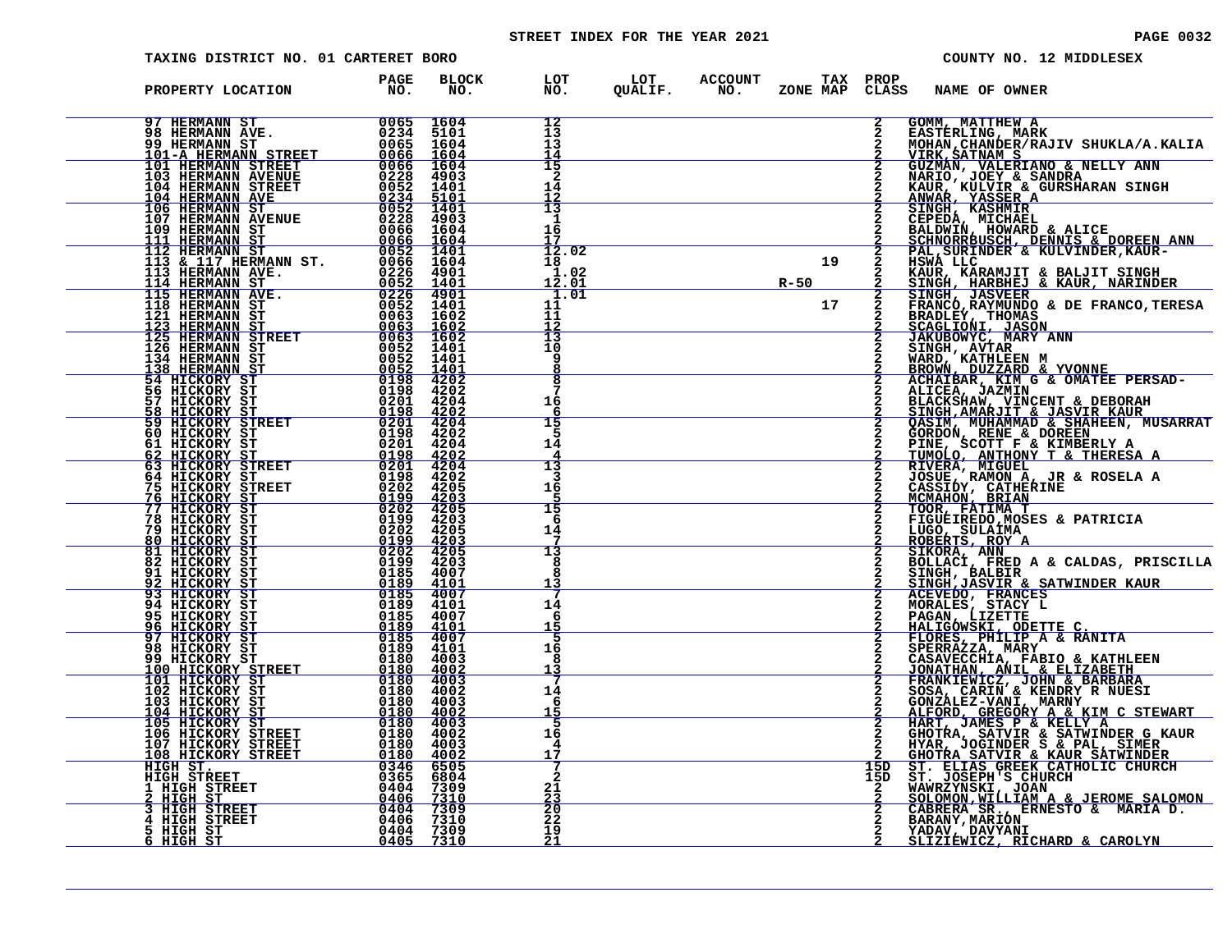# STREET INDEX FOR THE YEAR 2021 **PAGE 10032** PAGE 0032

| TAXING DISTRICT NO. 01 CARTERET BORO                                                                                                                                                                                                                                                                       |                        |                     |                                      |                                                           |                                                      |                                    |                                                       | COUNTY NO. 12 MIDDLESEX                                                                                                                                                                                                            |                                                                                                                                                                                                                                                           |
|------------------------------------------------------------------------------------------------------------------------------------------------------------------------------------------------------------------------------------------------------------------------------------------------------------|------------------------|---------------------|--------------------------------------|-----------------------------------------------------------|------------------------------------------------------|------------------------------------|-------------------------------------------------------|------------------------------------------------------------------------------------------------------------------------------------------------------------------------------------------------------------------------------------|-----------------------------------------------------------------------------------------------------------------------------------------------------------------------------------------------------------------------------------------------------------|
| PROPERTY LOCATION                                                                                                                                                                                                                                                                                          | <b>PAGE</b><br>NO.     | <b>BLOCK</b><br>NO. |                                      | LOT LOT ACCOUNT TAX PROP<br>NO. QUALIF. NO. ZONE_MAPCLAS; | ZONE MAP CLASS                                       |                                    | <b>NAME OF OWNER</b>                                  |                                                                                                                                                                                                                                    |                                                                                                                                                                                                                                                           |
|                                                                                                                                                                                                                                                                                                            |                        |                     | 12<br>13<br>13<br>14                 |                                                           |                                                      | $\mathbf{2}$                       | GOMM, MATTHEW A<br>EASTERLING, MARK<br>VIRK, SATNAM S |                                                                                                                                                                                                                                    | MOHAN, CHANDER/RAJIV SHUKLA/A.KALIA                                                                                                                                                                                                                       |
|                                                                                                                                                                                                                                                                                                            |                        |                     | 15<br>2<br>14                        |                                                           |                                                      |                                    |                                                       | GUZMAN, VALERIANO & NELLY ANN<br>NARIO, JOEY & SANDRA<br>KAUR, KULVIR & GURSHARAN SINGH<br>ANWAR, YASSER A<br>SINGH, KASHMIR                                                                                                       |                                                                                                                                                                                                                                                           |
|                                                                                                                                                                                                                                                                                                            |                        |                     | $\frac{12}{13}$<br>1<br>16           |                                                           |                                                      |                                    |                                                       | CEPEDA, MICHAEL<br>BALDWIN, HOWARD & ALICE                                                                                                                                                                                         | SCHNORRBUSCH, DENNIS & DOREEN ANN<br>PAL, SURINDER & KULVINDER, KAUR-                                                                                                                                                                                     |
|                                                                                                                                                                                                                                                                                                            |                        |                     | 12.02<br>18<br>1.02<br><u> 12.01</u> | $R-50$                                                    | $\begin{array}{c c}\n\hline\n\text{19}\n\end{array}$ | $\frac{2}{2}$                      | HSWA LLC                                              | KAUR, KARAMJIT & BALJIT SINGH<br><u>SINGH, HARBHEJ &amp; KAUR, NARINDER</u>                                                                                                                                                        |                                                                                                                                                                                                                                                           |
|                                                                                                                                                                                                                                                                                                            |                        |                     | 1.01<br>11<br>11<br>$\frac{12}{13}$  |                                                           | 17                                                   | $\frac{\overline{2}}{2}$<br>2<br>2 |                                                       |                                                                                                                                                                                                                                    | SINGH, HAKBHEU & AAUK, NAKINGA<br>SINGH, JASVEER<br>FRANCO, RAYMUNDO & DE FRANCO, TERESA<br>BRADLEY, THOMAS<br>SCAGLIONI, JASON<br>JAKUBOWIC, MARY ANN<br>SINGH, AVTAR<br>MARD, KATHLEEN M<br>BROWN, DUZZARD & YVONNE<br>RCHATBAR, KIM G & OMATEE PERSAD- |
|                                                                                                                                                                                                                                                                                                            |                        |                     | 10<br>9<br>8                         |                                                           |                                                      |                                    |                                                       |                                                                                                                                                                                                                                    |                                                                                                                                                                                                                                                           |
|                                                                                                                                                                                                                                                                                                            |                        |                     | 7<br>16<br>6<br>15                   |                                                           |                                                      |                                    |                                                       | ACHAIBAR, KIM G & OMATEE PERSAD-<br>ALICEA, JAZMIN                                                                                                                                                                                 | <b>BLACKSHAW, VINCENT &amp; DEBORAH<br/>SINGH, AMARJIT &amp; JASVIR KAUR<br/>QASIM, MUHAMMAD &amp; SHAHEEN, MUSARRAT</b>                                                                                                                                  |
|                                                                                                                                                                                                                                                                                                            |                        |                     | 5<br>14<br>13                        |                                                           |                                                      |                                    |                                                       | VASIM, NUHAMMAD & SAAHEEN, MUS<br>GORDON, RENE & DOREEN<br>PINE, SCOTT F & KIMBERLY A<br>TUMOLO, ANTHONY T & THERESA A<br>RIVERA, MIGUEL<br>JOSUE, RAMON A, JR & ROSELA A<br>CASSIDY, CATHERINE<br>MOMBION, BRIAN<br>MOMBION, THAN |                                                                                                                                                                                                                                                           |
| 54 HICKORY ST<br>56 HICKORY ST<br>57 HICKORY STREET 0198 4202<br>57 HICKORY STREET 0201 4204<br>60 HICKORY STREET 0201 4202<br>60 HICKORY STREET 0201 4202<br>62 HICKORY STREET 0198 4202<br>62 HICKORY STREET 0201 4202<br>62 HICKORY STREET                                                              |                        |                     | 3<br>16<br>15                        |                                                           |                                                      |                                    |                                                       |                                                                                                                                                                                                                                    |                                                                                                                                                                                                                                                           |
|                                                                                                                                                                                                                                                                                                            |                        |                     | -6<br>14<br>13                       |                                                           |                                                      |                                    | LUGO, SULAIMA<br>ROBERTS, ROY A<br>SIKORA, ANN        | TOOR, FATIMA T<br>FIGUEIREDO, MOSES & PATRICIA                                                                                                                                                                                     |                                                                                                                                                                                                                                                           |
|                                                                                                                                                                                                                                                                                                            |                        |                     | я<br>я<br>13                         |                                                           |                                                      | $\frac{2}{2}$                      | ACEVEDO, FRANCES<br>MORALES, STACY L                  | SINGH, BALBIR " CHEPHP, INC.                                                                                                                                                                                                       | BOLLACI, FRED A & CALDAS, PRISCILLA                                                                                                                                                                                                                       |
|                                                                                                                                                                                                                                                                                                            |                        |                     | 14<br>6<br><u> 15</u>                |                                                           |                                                      |                                    |                                                       | <b>PAGAN, LIZETTE<br/>HALIGOWSKI, ODETTE C.<br/>FLORES, PHILIP A &amp; RANITA</b>                                                                                                                                                  |                                                                                                                                                                                                                                                           |
| 98 HICKORY ST<br>99 HICKORY ST<br><u>100 HICKORY STREET</u><br>101 HICKORY ST<br>102 HICKORY ST                                                                                                                                                                                                            | 0189 4101<br>0180 4003 |                     | 16<br>8<br><u> 13</u>                |                                                           |                                                      |                                    |                                                       | FRANKLER, MARY<br>CASAVECCHIA, FABIO & KATHLEEN<br>JONATHAN, ANIL & ELIZABETH<br>FRANKLEWICZ, JOHN & BARBARA<br>SOSA, CARIN & KENDRY R NUESI<br>SOSA, CARIN & KENDRY R NUESI                                                       |                                                                                                                                                                                                                                                           |
| 103 HICKORY ST<br>104 HICKORY ST                                                                                                                                                                                                                                                                           |                        |                     | 14<br>6<br>15<br>5<br>16             |                                                           |                                                      |                                    |                                                       |                                                                                                                                                                                                                                    | SOSA, CARIN & KENDRY<br>CONZALEZ-VANI, MARNY<br>ALFORD, GREGORY A & KIM C STEWART<br>HART, JAMES P & KELLY A<br>GHOTRA, SATVIR & SATWINDER G KAUR<br>HYAR, JOGINDER S & PAL, SIMER<br>GHOTRA SATVIR & KAUR SATWINDER<br>ST. LELAS GREEK CATH              |
| REET 0180 4003<br>0180 4002<br>0180 4002<br>0180 4002<br>0180 4003<br>0180 4003<br>REET 0180 4002<br>REET 0180 4002<br>REET 0180 4002<br>REET 0180 4002<br>0346 6505<br>0380 4002<br>0346 6505<br>105 HICKORY ST<br>106 HICKORY STREET<br>106 HICKORY STREET<br>108 HICKORY STREET<br>HIGH ST.<br>HIGH ST. |                        |                     | 4<br>17<br>$\overline{2}$            |                                                           |                                                      | 15D<br>15D                         |                                                       |                                                                                                                                                                                                                                    |                                                                                                                                                                                                                                                           |
| $\begin{tabular}{c c c} \hline $\angle$ HIGH S1KEET$ & 0346 & 6505 \cr \hline $\angle$ HIGH S1T3 HIGH STREET & 0404 & 7309 \cr \hline 4 HIGH STREET & 0404 & 7309 \cr 5 HIGH S1REET & 0406 & 7310 \cr 5 HIGH S1 & 0404 & 7309 \cr 11GH S1 & 0404 & 7309 \cr \hline \end{tabular}$                          |                        |                     | 21<br><u>23</u><br>$\frac{20}{22}$   |                                                           |                                                      |                                    |                                                       | CABRERA SR., ERNESTO & MARIA D.<br>BARANY, MARION                                                                                                                                                                                  | ST. JOSEPH'S CHURCH<br>WAWRZYNSKI, JOAN<br><u>SOLOMON,WILLIAM A &amp; JEROME SALOMON</u>                                                                                                                                                                  |
|                                                                                                                                                                                                                                                                                                            |                        |                     | 19<br>21                             |                                                           |                                                      |                                    | YADAV, DAVYANI                                        | <u>SLIZIEWICZ, RICHARD &amp; CAROLYN</u>                                                                                                                                                                                           |                                                                                                                                                                                                                                                           |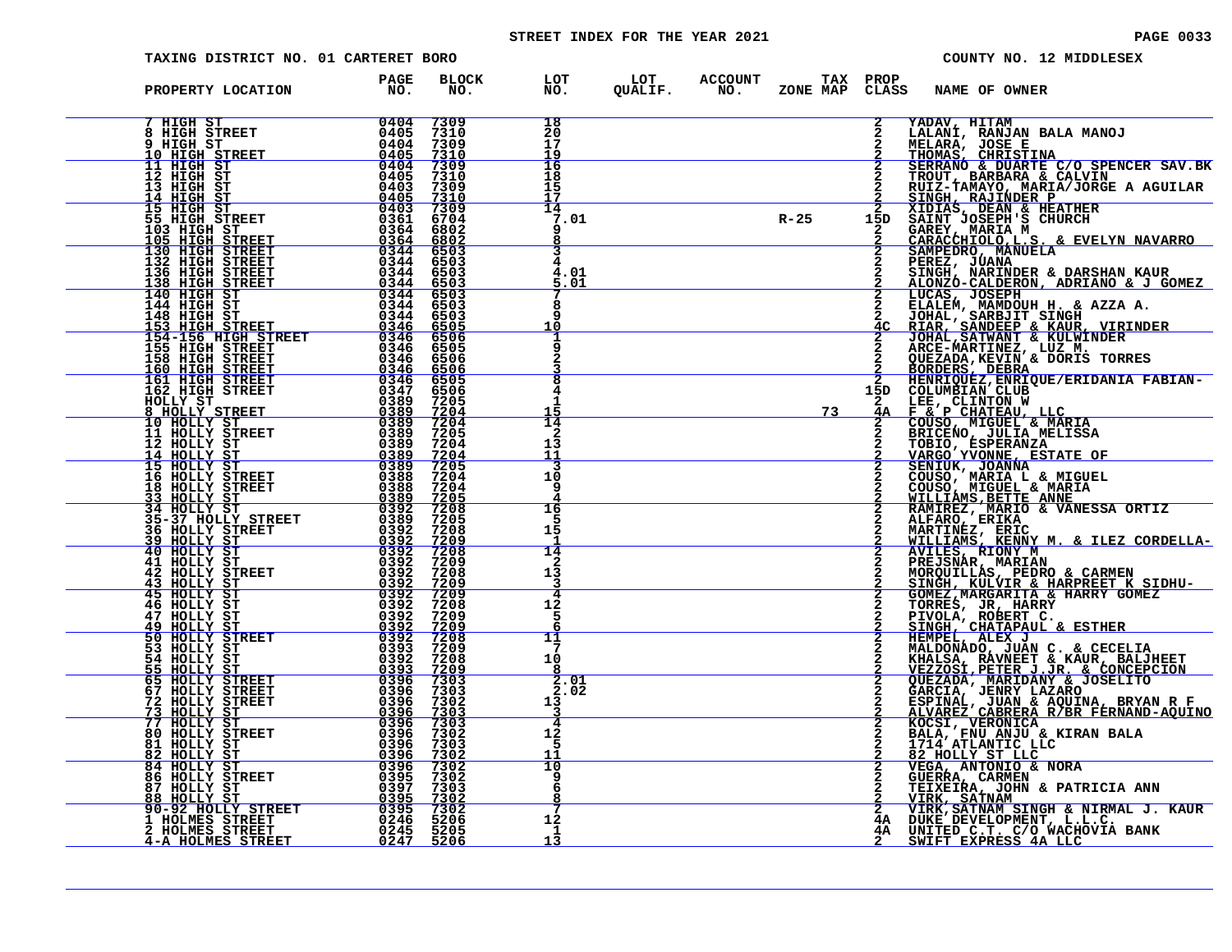# STREET INDEX FOR THE YEAR 2021 **PAGE 10033**

| TAXING DISTRICT NO. 01 CARTERET BORO                                                                                                                                                                                                                                                                                                                                            |                                                                                                                           |                                                   |                                                           |  |        |                                | COUNTY NO. 12 MIDDLESEX                                                                                                                                                                                                                        |
|---------------------------------------------------------------------------------------------------------------------------------------------------------------------------------------------------------------------------------------------------------------------------------------------------------------------------------------------------------------------------------|---------------------------------------------------------------------------------------------------------------------------|---------------------------------------------------|-----------------------------------------------------------|--|--------|--------------------------------|------------------------------------------------------------------------------------------------------------------------------------------------------------------------------------------------------------------------------------------------|
| PROPERTY LOCATION FAGE                                                                                                                                                                                                                                                                                                                                                          |                                                                                                                           | BLOCK<br>NO.                                      | LOT LOT ACCOUNT TAX PROP<br>NO. QUALIF. NO. ZONE_MAP CLAS |  |        | CLASS                          | <b>NAME OF OWNER</b>                                                                                                                                                                                                                           |
| 7 HIGH ST<br>8 HIGH STREET<br>9 HIGH ST<br>10 HIGH STREET<br>10 HIGH STREET<br>12 HIGH ST<br>12 HIGH ST<br>13 HIGH ST<br>15 HIGH STREET<br>55 HIGH STREET<br>105 HIGH STREET<br>130 HIGH STREET<br>130 HIGH STREET<br>136 HIGH STREET<br>138 HIGH STREET<br>                                                                                                                    |                                                                                                                           | 7309<br>7310                                      | 18<br>20                                                  |  |        | $\mathbf{2}$<br>$\mathbf{2}$   | YADAV, HITAM<br>LALANI, RANJAN BALA MANOJ<br>MELARA, JOSE E<br>THOMAS, CHRISTINA<br>SERRANO & DUARTE C/O SPENCER SAV.BK<br>TROUT, BARBARA & CALVIN<br>TROUT, BARBARA & CALVIN                                                                  |
|                                                                                                                                                                                                                                                                                                                                                                                 |                                                                                                                           | 7309                                              | 17<br>19                                                  |  |        |                                |                                                                                                                                                                                                                                                |
|                                                                                                                                                                                                                                                                                                                                                                                 |                                                                                                                           | $\frac{7310}{7309}$<br>$7310$                     | 16<br>18                                                  |  |        |                                |                                                                                                                                                                                                                                                |
|                                                                                                                                                                                                                                                                                                                                                                                 |                                                                                                                           | 7309                                              | 15                                                        |  |        |                                |                                                                                                                                                                                                                                                |
|                                                                                                                                                                                                                                                                                                                                                                                 |                                                                                                                           | <u>7310</u><br>7309<br>6704                       | 14<br>7.01                                                |  | $R-25$ |                                |                                                                                                                                                                                                                                                |
|                                                                                                                                                                                                                                                                                                                                                                                 |                                                                                                                           | 6802                                              |                                                           |  |        |                                |                                                                                                                                                                                                                                                |
|                                                                                                                                                                                                                                                                                                                                                                                 |                                                                                                                           | 6802<br>6503                                      |                                                           |  |        |                                | 2 TROUT, BARBARA & CALVIN<br>2 EUZ-TAMAYO, MARIA/JORGE A AGUILAR<br>2 SINGH, RAJINDER P<br>2 XIDIAS, DEAN & HEATHER<br>15D SAINT JOSEPH'S CHURCH<br>2 GAREY, MARIA M<br>2 GARACCHIOLO, L.S. & EVELYN NAVARRO<br>2 SAMPEDRO, MANUELA<br>2 SINGH |
| 136 HIGH STREET<br>138 HIGH STREET                                                                                                                                                                                                                                                                                                                                              |                                                                                                                           | 6503                                              | 01                                                        |  |        |                                |                                                                                                                                                                                                                                                |
| 140 HIGH ST                                                                                                                                                                                                                                                                                                                                                                     | 0344<br>0344                                                                                                              | 6503<br>6503                                      | .01                                                       |  |        | $\overline{2}$                 |                                                                                                                                                                                                                                                |
| 144 HIGH ST<br>148 HIGH ST                                                                                                                                                                                                                                                                                                                                                      | 0344<br>0344                                                                                                              | 6503<br>6503                                      |                                                           |  |        | $\mathbf{2}$                   | HUCAS, JOSEPH<br>ELALEM, MAMDOUH H. & AZZA A.<br>JOHAL, SARBJIT SINGH<br>RIAR, SANDEEP & KAUR, VIRINDER<br>JOHAL, SANWANT & KULWINDER<br>JOHAL, SANWANT & KULWINDER                                                                            |
| <u>153 HIGH STREET<br/>154-156 HIGH STREET</u>                                                                                                                                                                                                                                                                                                                                  | $\frac{0.346}{0.346}$                                                                                                     | $6505$<br>6506                                    | 10                                                        |  |        |                                |                                                                                                                                                                                                                                                |
| 155 HIGH STREET<br>158 HIGH STREET<br><u>160 HIGH STREET</u>                                                                                                                                                                                                                                                                                                                    | 0346<br>0346                                                                                                              | 6505<br>6506                                      |                                                           |  |        |                                | ARCE-MARTINEZ, LUZ M.<br>QUEZADA, KEVIN & DORIS TORRES<br>BORDERS, DEBRA                                                                                                                                                                       |
|                                                                                                                                                                                                                                                                                                                                                                                 | 0346                                                                                                                      | 6506<br>6505                                      |                                                           |  |        |                                | 2 HENRIQUEZ, ENRIQUE/ERIDANIA FABIAN-<br>15D COLUMBIAN CLUB                                                                                                                                                                                    |
|                                                                                                                                                                                                                                                                                                                                                                                 |                                                                                                                           | 6506<br>7205                                      | 4                                                         |  |        |                                |                                                                                                                                                                                                                                                |
|                                                                                                                                                                                                                                                                                                                                                                                 |                                                                                                                           | $\frac{7\bar{204}}{7204}$                         | 14                                                        |  | 73     |                                | 2 LEE, CLINTON W<br>4A F & P CHATEAU, LLC<br>2 COUSO, MIGUEL & MRIAG,                                                                                                                                                                          |
| $\begin{tabular}{c c c} 1-58 & H1GHz STREETT & 03466 \\ \hline 160 HIGH STREETT & 03466 \\ \hline 161 HIGH STREETT & 03467 \\ \hline 162 HIGH STREETT & 033499 \\ \hline HOLLY STREET & 033899 \\ \hline 8 & HOLLY STREET & 0338899 \\ \hline 10 HOLLY STREET & 0338899 \\ \hline 11 HOLLY STREET & 0338899 \\ \hline 12 HOLLY STREET & 0338899 \\ \hline 14 HOLLY ST & 033889$ |                                                                                                                           | 7205<br>7204                                      | 2<br>13                                                   |  |        |                                | COUSO, MIGUEL & MARIA<br>BRICENO, JULIA MELISSA<br>TOBIO, ESPERANZA<br>VARGO YVONNE, ESTATE OF<br>SENIUK, JOANNA<br>COUSO, MARIA L & MIGUEL<br>COUSO, MIGUEL & MARIA<br>MILLIAMS, BETTE ANNE<br>BAMIBEZ, MARIA CHANESSA                        |
|                                                                                                                                                                                                                                                                                                                                                                                 |                                                                                                                           | $\frac{7204}{7205}$                               | 11                                                        |  |        |                                |                                                                                                                                                                                                                                                |
|                                                                                                                                                                                                                                                                                                                                                                                 |                                                                                                                           | 7204<br>7204                                      | 10<br>9                                                   |  |        |                                |                                                                                                                                                                                                                                                |
|                                                                                                                                                                                                                                                                                                                                                                                 |                                                                                                                           | <u>7205</u>                                       |                                                           |  |        |                                |                                                                                                                                                                                                                                                |
|                                                                                                                                                                                                                                                                                                                                                                                 |                                                                                                                           | $7208$<br>$7205$                                  | 16                                                        |  |        | 2<br>$\mathbf{2}$              | <b>WIMITAN'S BEITS ANNESSA ORTIZ<br/>RAMIREZ, ERIKA<br/>MARTINEZ, ERIKA<br/>WILLIAMS, ERINY M. &amp; ILEZ CORDELLA-<br/>AVILES, RIONY M. &amp; ILEZ CORDELLA-<br/>AVILES, RIONY M.</b>                                                         |
|                                                                                                                                                                                                                                                                                                                                                                                 |                                                                                                                           | 7208<br>$\frac{7209}{7208}$                       | 15                                                        |  |        |                                |                                                                                                                                                                                                                                                |
|                                                                                                                                                                                                                                                                                                                                                                                 |                                                                                                                           | 7209<br>7208                                      | 14<br>2                                                   |  |        | $\overline{2}$                 |                                                                                                                                                                                                                                                |
|                                                                                                                                                                                                                                                                                                                                                                                 |                                                                                                                           | <u>7209</u>                                       | 13<br>3                                                   |  |        |                                | <b>PREJSNAR, MARIAN<br/>MORQUILLAS, PEDRO &amp; CARMEN<br/>SINGH, KULVIR &amp; HARPREET K SIDHU-</b>                                                                                                                                           |
|                                                                                                                                                                                                                                                                                                                                                                                 |                                                                                                                           | 7209<br>7208                                      | 4<br>12                                                   |  |        | $\overline{2}$<br>$\mathbf{2}$ | GOMEZ, MARGARITA & HARRY GOMEZ<br>TORRES, JR, HARRY                                                                                                                                                                                            |
| HOLLY ST<br>49                                                                                                                                                                                                                                                                                                                                                                  |                                                                                                                           | 7209                                              | 5                                                         |  |        |                                | PIVOLA, ROBERT C.<br>SINGH, CHATAPAUL & ESTHER<br>HEMPEL, ALEX J                                                                                                                                                                               |
| <b>0392<br/>REET 0392<br/>0392 0393<br/>EET 0392</b><br>RET<br>50 HOLLY STREET<br>53 HOLLY ST                                                                                                                                                                                                                                                                                   |                                                                                                                           | $\frac{7\bar{2}\tilde{0}\tilde{9}}{7208}$<br>7209 | 11                                                        |  |        |                                |                                                                                                                                                                                                                                                |
| 54 HOLLY ST<br>55 HOLLY ST                                                                                                                                                                                                                                                                                                                                                      |                                                                                                                           | 7208                                              | 10<br>8                                                   |  |        |                                | MALDONADO, JUAN C. & CECELIA<br>KHALSA, RAVNEET & KAUR, BALJHEET<br>VEZZOSL, PETER J.JR. & CONCEPCION<br>QUEZADA, MARIDANY & JOSEITO<br>GARCIA, JENRY LAZARO<br>GARCIA, JENRY LAZARO                                                           |
| $\begin{array}{r} 0393 \ \hline 0396 \ \hline 0396 \ \hline 0396 \ \hline \end{array}$<br>65 HOLLY STREET<br>67 HOLLY STREET<br>72 HOLLY STREET                                                                                                                                                                                                                                 |                                                                                                                           | $\frac{7\overline{209}}{7303}$<br>7303            | 2.01<br>2.02                                              |  |        |                                |                                                                                                                                                                                                                                                |
| 73 HOLLY ST                                                                                                                                                                                                                                                                                                                                                                     |                                                                                                                           | 7302<br>7303                                      | 13<br>3                                                   |  |        |                                | ESPINAL, JUAN & AQUINA, BRYAN R F<br>ALVAREZ CABRERA R/BR FERNAND-AQUINO                                                                                                                                                                       |
| $\overline{\begin{array}{r} 0396 \\ 0396 \\ 0396 \\ 0396 \\ \end{array}}$<br>77 HOLLY ST<br>80 HOLLY STREET                                                                                                                                                                                                                                                                     |                                                                                                                           | 7303<br>7302                                      | 4<br>12                                                   |  |        | $\overline{2}$                 |                                                                                                                                                                                                                                                |
| 81 HOLLY ST                                                                                                                                                                                                                                                                                                                                                                     | ŎŜ9Ğ<br>O396                                                                                                              | 7303                                              | .5                                                        |  |        | $\mathbf{2}$                   |                                                                                                                                                                                                                                                |
| 82 HOLLY ST<br>84 HOLLY ST                                                                                                                                                                                                                                                                                                                                                      | $\begin{array}{r} 0.396 \\ \hline 0.396 \end{array}$                                                                      | $\frac{7302}{7302}$                               | 10                                                        |  |        | $\frac{2}{2}$                  | ROCSI, VERONICA<br>BALA, FNU ANJU & KIRAN BALA<br>1714 ATLANTIC LLC<br>32 HOLLY ST LLC<br>82 HOLLY ST LLC<br>VEGA, ANTONIO & NORA                                                                                                              |
| 86 HOLLY STREET<br><b>87 HOLLY ST</b><br>88 HOLLY ST                                                                                                                                                                                                                                                                                                                            | 0395                                                                                                                      | 7302<br>7303                                      | 9<br>6                                                    |  |        |                                | GUERRA, CARMEN<br>TEIXEIRA, JOHN & PATRICIA ANN<br><u>VIRK, SATNAM ___________________</u>                                                                                                                                                     |
| 90-92 HOLLY STREET<br>1 HOLMES STREET                                                                                                                                                                                                                                                                                                                                           | $\begin{array}{r} 039 \\ 0397 \\ \hline 0395 \\ \hline 0395 \\ 0246 \\ \hline 0246 \\ \hline 0395 \\ \hline \end{array}.$ | 7302<br>7302                                      |                                                           |  |        | 2                              | VIRK, SATNAM SINGH & NIRMAL J. KAUR<br>DUKE DEVELOPMENT, L.L.C.                                                                                                                                                                                |
| HOLMES STREET<br>2                                                                                                                                                                                                                                                                                                                                                              | 0245                                                                                                                      | 5206<br>5205                                      | 12<br>1                                                   |  |        | 4Α<br>4A                       | UNITED C.T. C/O WACHOVIA BANK<br>SWIFT EXPRESS 4A LLC                                                                                                                                                                                          |
| <u>4-A HOLMES STREET</u>                                                                                                                                                                                                                                                                                                                                                        | 0247                                                                                                                      | <u>5206</u>                                       | 13                                                        |  |        |                                |                                                                                                                                                                                                                                                |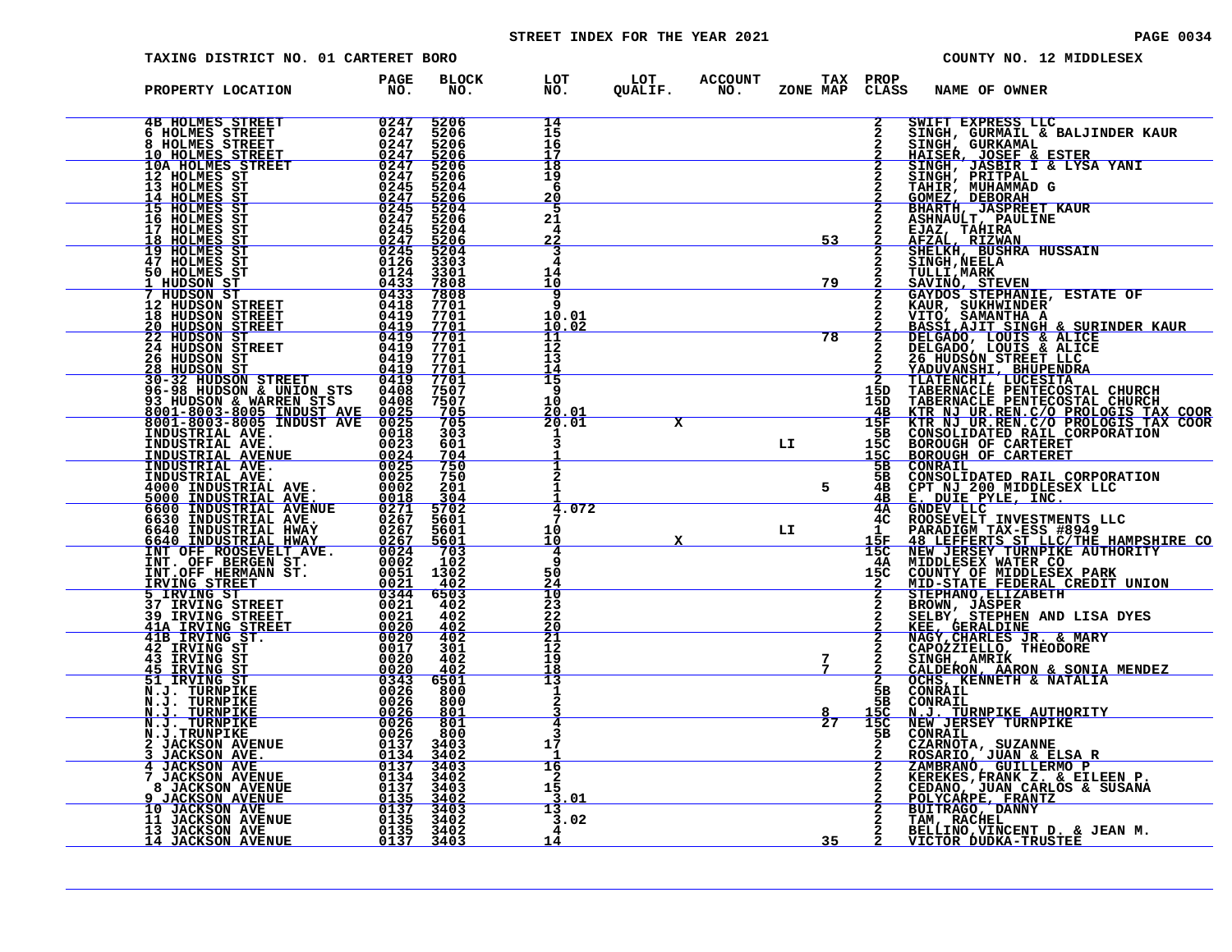# STREET INDEX FOR THE YEAR 2021 **PAGE 10034** PAGE 0034

| TAXING DISTRICT NO. 01 CARTERET BORO                                                                                                                        |                                                                         |                                               |                                        |                         |                       |                             |                                | COUNTY NO. 12 MIDDLESEX                                                                                                                                                                            |
|-------------------------------------------------------------------------------------------------------------------------------------------------------------|-------------------------------------------------------------------------|-----------------------------------------------|----------------------------------------|-------------------------|-----------------------|-----------------------------|--------------------------------|----------------------------------------------------------------------------------------------------------------------------------------------------------------------------------------------------|
| PROPERTY LOCATION                                                                                                                                           | <b>PAGE</b><br>NO.                                                      | <b>BLOCK</b><br>NO.                           | LOT<br>NO.                             | LOT<br>QUALIF.          | <b>ACCOUNT</b><br>NO. | <b>TAX PROP</b><br>ZONE MAP | CLASS                          | NAME OF OWNER                                                                                                                                                                                      |
| <b>4B HOLMES STREET</b><br>6 HOLMES STREET<br>8 HOLMES STREET<br><u>10 HOLMES STREET</u>                                                                    | 0247<br>0247<br>0247<br>0247                                            | 5206<br>5206<br>5206<br>5206                  | 14<br>15<br>16<br>17                   |                         |                       |                             | 2<br>2<br>2                    | SWIFT EXPRESS LLC<br>SINGH, GURMAIL & BALJINDER KAUR<br>SINGH, GURKAMAL                                                                                                                            |
| 10A HOLMES STREET<br>12 HOLMES ST<br>13 HOLMES ST<br>14 HOLMES ST                                                                                           | 0247<br>0247<br>0245                                                    | 5206<br>5206<br>5204                          | 18<br>19<br>6                          |                         |                       |                             |                                | HAISER, JOSEF & ESTER<br>SINGH, JASBIR I & LYSA YANI<br>SINGH, PRITPAL<br>TAHIR, MUHAMMAD G<br>GOMEZ, DEBORAH<br>BHARTH, JASPREET KAUR                                                             |
| 15 HOLMES ST<br>16 HOLMES ST<br>17 HOLMES ST                                                                                                                | $\frac{0\bar{2}\bar{4}\bar{7}}{0\bar{2}\bar{4}\bar{5}}$<br>0247<br>0245 | $\frac{5206}{5204}$<br>5206<br>5204           | <u> 20</u><br>5<br>21<br>4             |                         |                       |                             |                                | ASHNAULT, PAULINE<br>EJAZ, TAHIRA                                                                                                                                                                  |
| <u>18 HOLMES ST</u><br>19 HOLMES ST<br>47 HOLMES ST<br>50 HOLMES ST                                                                                         | $\frac{0247}{0245}$<br>0124                                             | $\frac{5206}{5204}$<br>3303<br>3301           | <u>22</u><br>3<br>$\overline{4}$<br>14 |                         |                       | 53                          |                                | AFZAL, RIZWAN<br>SHELKH, BUSHRA HUSSAIN<br><b>SINGH, NEELA</b><br>TULLI, MARK                                                                                                                      |
| <u>1 HUDSON ST </u><br>7 HUDSON ST<br>12 HUDSON STREET<br><b>18 HUDSON STREET</b>                                                                           | 0433<br>0433<br>0418<br>0419                                            | 7808<br>7808<br>7701<br>7701                  | 10<br>9<br>10.01                       |                         |                       | 79                          |                                | <u>SAVINÓ, STEVEN</u><br>GAYDOS STEPHANIE, ESTATE OF<br>KAUR, SUKHWINDER'<br>VITO, SAMANTHA A                                                                                                      |
| <u>20 HUDSON STREET</u><br>22 HUDSON ST<br><b>24 HUDSON STREET</b><br>26 HUDSON ST                                                                          | $\frac{0419}{0419}$<br>0419<br>0419                                     | 7701<br>7701<br>7701<br>7701                  | 10.02<br>11<br>12<br>13                |                         |                       | 78                          |                                | <b>FASSI AJIT SINGH &amp; SURINDER KAUR<br/>DELGADO, LOUIS &amp; ALICE<br/>DELGADO, LOUIS &amp; ALICE<br/>DELGADO, LOUIS &amp; ALICE<br/>26 HUDSON STREET LLC<br/><u>YADUVANSHI, BHUPENDRA</u></b> |
| <u> 28 HUDSON ST</u><br>30-32 HUDSON STREET<br>96-98 HUDSON & UNION STS<br>93 HUDSON & WARREN STS<br>8001-8003-8005 INDUST AVE<br>8001-8003-8005 INDUST AVE | 0419<br>0419<br>0408<br>0408                                            | 7701<br>7701<br>7507<br>7507<br>705           | 14<br>15<br>9<br>10                    |                         |                       |                             | 15D<br>15D<br><u>4B</u>        | TLATENCHI, LUCESITA<br>TABERNACLE PENTECOSTAL CHURCH<br>TABERNACLE PENTECOSTAL CHURCH                                                                                                              |
| INDUSTRIAL AVE.<br>INDUSTRIAL AVE.<br>INDUSTRIAL AVENUE                                                                                                     | $\frac{0025}{0025}$<br>0018<br>0023                                     | 705<br>303<br>601<br>704                      | $\frac{20.01}{20.01}$                  | $\overline{\mathbf{x}}$ |                       | LI                          | 15F<br>5B<br>15C<br><u>15C</u> | KTR NJ UR. REN.C/O PROLOGIS TAX COOR KTR NJ UR. REN.C/O PROLOGIS TAX COOR<br>CONSOLIDATED RAIL CORPORATION<br>BOROUGH OF CARTERET<br><b>BOROUGH OF CARTERET</b>                                    |
| INDUSTRIAL AVE.<br>INDUSTRIAL AVE.<br>4000 INDUSTRIAL AVE.<br>5000 INDUSTRIAL AVE.                                                                          | $\frac{0024}{0025}$<br>0002<br>0018                                     | 750<br>750<br>201<br>304                      |                                        |                         |                       | 5                           | 5в<br>5в<br>4B<br>4B           | CONRAIL<br>CONSOLIDATED RAIL CORPORATION<br>CPT NJ 200 MIDDLESEX LLC<br>E. DUIE PYLE, INC.                                                                                                         |
| <b>5600 INDUSTRIAL AVENUE</b><br>6600 INDUSTRIAL AVE.<br>6640 INDUSTRIAL HWAY<br>6640 INDUSTRIAL HWAY<br>INT OFF ROOSEVELT AVE.                             | 0271<br>$026\overline{2}$<br>0267                                       | 5702<br>5601<br>5601<br><u>5601</u>           | 4.<br>.072<br>10<br>10                 |                         |                       | LI                          | 4A<br>4C.<br>1<br>15F          | GNDEV LLC<br>ROOSEVELT INVESTMENTS LLC<br>PARADIGM TAX-ESS #8949                                                                                                                                   |
| INT. OFF BERGEN ST.<br>INT.OFF HERMANN ST.<br><u>IRVING STREET</u>                                                                                          | 0267<br>0002<br>0051<br>0021                                            | 703<br>102<br>1302<br><u>402</u>              | 4<br>q<br>50<br>24                     |                         |                       |                             | 15C<br>4A<br>15C               | 48 LEFFERTS ST LLC/THE HAMPSHIRE CONEW JERSEY TURNPIKE AUTHORITY<br>MIDDLESEX WATER CO<br>COUNTY OF MIDDLESEX PARK<br>MID-STATE FEDERAL CREDIT UNION                                               |
| 5 IRVING ST<br><b>37 IRVING STREET</b><br><b>39 IRVING STREET</b>                                                                                           | $0344$<br>$0021$<br>0021                                                | 6503<br>402<br>402                            | $\frac{10}{23}$<br>22                  |                         |                       |                             |                                | STEPHANO, ELIZABETH<br>BROWN, JASPER<br>SELBY, STEPHEN AND LISA DYES<br>KEE, GERALDINE<br>NAGY, CHARLES JR. & MARY                                                                                 |
| 41A IRVING STREET<br>41B IRVING ST.<br>42 IRVING ST<br>43 IRVING ST                                                                                         | 0020<br>0017<br>0020                                                    | $\frac{402}{402}$<br>301<br>402<br><u>402</u> | $\frac{20}{21}$<br>12<br>19<br>18      |                         |                       | 7<br>$7\phantom{.0}$        |                                | CAPOZZIELLO, THEODORE<br>SINGH, AMRIK                                                                                                                                                              |
| <u>45 IRVING ST</u><br>51 IRVING ST<br>N.J. TURNPIKE<br>N.J. TURNPIKE<br>N.J. TURNPIKE                                                                      | 0020<br>0026<br>0026<br>0026                                            | 6501<br>800<br>800<br>801                     | 13<br>1<br>2                           |                         |                       |                             | 2<br>5в<br>5В<br>15C           | CALDERON, AARON & SONIA MENDEZ<br>OCHS, KENNETH & NATALIA<br>CONRAIL<br>CONRAIL<br><b>N.J. TURNPIKE AUTHORITY</b>                                                                                  |
| N.J. TURNPIKE<br>N.J.TRUNPIKE<br><b>2 JACKSON AVENUE</b><br>JACKSON AVE.                                                                                    | 0026<br>0026<br>0137                                                    | 801<br>800<br>3403<br><u>3402</u>             | 4<br>3<br>17                           |                         |                       | $\overline{27}$             | 15C<br>5в<br>$\mathbf{2}$      | NEW JERSEY TURNPIKE<br>CONRAIL<br>CZARNOTA, SUZANNE<br><u>ROSARIO, JUAN &amp; ELSA R</u>                                                                                                           |
| <b>JACKSON AVE</b><br>7 JACKSON AVENUE<br>8 JACKSON AVENUE<br>9.                                                                                            | $\frac{0134}{0137}$<br>0134<br>$0137$<br>$0135$                         | 3403<br>3402<br>3403<br>3402                  | 16<br>2<br>15<br>3.01                  |                         |                       |                             |                                | ZAMBRANÓ, GUILLERMO P<br><b>KEREKES, FRANK Z. &amp; EILEEN P.<br/>CEDANO, JUAN CARLOS &amp; SUSANA<br/>POLYCARPE, FRANTZ</b>                                                                       |
| <b>JACKSON AVENUE</b><br><b>10 JACKSON AVE</b><br>11 JACKSON AVENUE<br>13 JACKSON AVE                                                                       | $0137$<br>$0135$<br>0135                                                | 3403<br>3402<br>3402                          | 13<br>3.02                             |                         |                       |                             |                                | BUITRAGO, DANNY<br>TAM, RACHEL<br>BELLINO, VINCENT D. & JEAN M.                                                                                                                                    |
| <u>14 JACKSON AVENUE</u>                                                                                                                                    | 0137                                                                    | 3403                                          | 14                                     |                         |                       | 35                          |                                | <u>VICTOR DUDKA-TRUSTEE</u>                                                                                                                                                                        |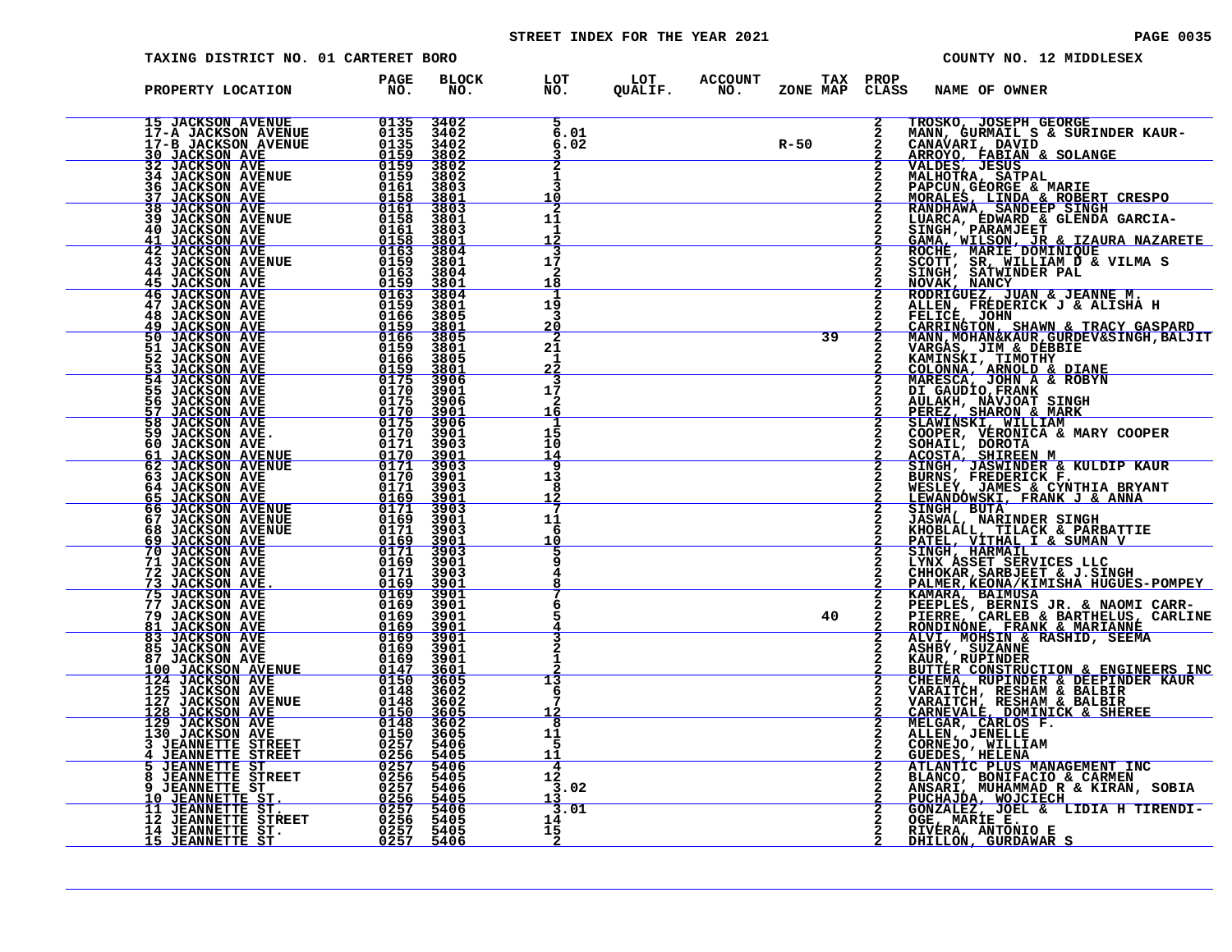# STREET INDEX FOR THE YEAR 2021 **PAGE 10035** PAGE 0035

| TAXING DISTRICT NO. 01 CARTERET BORO                                                                                                                                                                                                                                     |                                                                                                                                       |                                             |                                                 |        |                 |              |                                                                                 | COUNTY NO. 12 MIDDLESEX                                                                                                                                                                                                                                                              |
|--------------------------------------------------------------------------------------------------------------------------------------------------------------------------------------------------------------------------------------------------------------------------|---------------------------------------------------------------------------------------------------------------------------------------|---------------------------------------------|-------------------------------------------------|--------|-----------------|--------------|---------------------------------------------------------------------------------|--------------------------------------------------------------------------------------------------------------------------------------------------------------------------------------------------------------------------------------------------------------------------------------|
| PROPERTY LOCATION                                                                                                                                                                                                                                                        | <b>PAGE</b><br>NO.                                                                                                                    | <b>BLOCK</b><br>NO.                         | LOT LOT ACCOUNT TAX<br>NO. QUALIF. NO. ZONE_MAP |        | <b>TAX PROP</b> | CLASS        | NAME OF OWNER                                                                   |                                                                                                                                                                                                                                                                                      |
| 15 JACKSON AVENUE 0135<br>17-A JACKSON AVENUE 0135<br>17-B JACKSON AVENUE 0135<br>30 JACKSON AVE<br>32 JACKSON AVENUE 0159<br>34 JACKSON AVENUE 0159<br>36 JACKSON AVE 0161<br>37 JACKSON AVE 0161<br>39 JACKSON AVE 0158<br>41 JACKSON AVE 0158                         |                                                                                                                                       | 3402<br>3402<br>3402<br>3802                | 6.01<br>6.02                                    | $R-50$ |                 | $\mathbf{2}$ | TROSKO, JOSEPH GEORGE                                                           |                                                                                                                                                                                                                                                                                      |
|                                                                                                                                                                                                                                                                          |                                                                                                                                       | $3802$<br>3802<br>3803<br>3801<br>3803      | 2<br>1<br>٦<br>10                               |        |                 |              |                                                                                 | <b>PAPCUN, GEORGE &amp; MARIE<br/>MORALES, LINDA &amp; ROBERT CRESPO<br/>RANDHAWA, SANDEEP SINGH</b>                                                                                                                                                                                 |
|                                                                                                                                                                                                                                                                          |                                                                                                                                       | 3801<br>3803                                | 2<br>11<br>-1<br>12                             |        |                 |              |                                                                                 |                                                                                                                                                                                                                                                                                      |
| 41 JACKSON AVE<br>42 JACKSON AVE<br>43 JACKSON AVENUE<br><b>44 JACKSON AVE</b><br><b>45 JACKSON AVE</b>                                                                                                                                                                  | $\begin{array}{r} 0161 \\ -0158 \\ 0158 \\ 0163 \\ 0159 \\ 0159 \\ 0163 \\ 0162 \\ \end{array}$<br><u>0159</u><br>0163                | 3801<br>3804<br>3801<br>3804<br>3801        | 17<br>2<br>18                                   |        |                 |              |                                                                                 | KANDHAWA, SANDEEP SINGH<br>LUARCA, EDWARD & GLENDA GARCIA-<br>SINGH, PARAMJEET<br>GAMA, WILSON, JR & IZAURA NAZARETE<br>ROCHE, MARIE DOMINIQUE<br>SCOTT, SR, WILLIAM D & VILMA S<br>SINGH, SATWINDER PAL<br>NOVAK, NANCY<br>NOVAK, NANCY                                             |
| 46 JACKSON AVE<br>47 JACKSON AVE<br>48 JACKSON AVE<br>49 JACKSON AVE<br>50 JACKSON AVE                                                                                                                                                                                   | 0159<br>0166<br>$\frac{0159}{0166}$                                                                                                   | 3804<br>3801<br>3805<br>$\frac{3801}{3805}$ | 19<br>з<br><u> 20</u>                           |        |                 |              |                                                                                 | RODRIGUEZ, JUAN & JEANNE M.<br>ALLEN, FREDERICK J & ALISHA H<br>FELICE, JOHN<br>CARRINGTON, SHAWN & TRACY GASPARD<br>MANN, MOHAN&KAUR, GURDEV&SINGH, BALJIT                                                                                                                          |
| 51 JACKSON AVE<br>52 JACKSON AVE<br>53 JACKSON AVE                                                                                                                                                                                                                       | 0159<br>$0166$<br>$0159$<br>$0175$<br>$0170$                                                                                          | 3801<br>3805<br>3801<br>3906                | 2<br>21<br>1<br>22<br>в                         |        | 39              |              | VARGAS, JIM & DEBBIE<br>KAMINSKI, TIMOTHY<br><u>COLONNA, ARNOLD &amp; DIANE</u> |                                                                                                                                                                                                                                                                                      |
| 54 JACKSON AVE<br>55 JACKSON AVE<br>56 JACKSON AVE<br>57 JACKSON AVE<br>58 JACKSON AVE                                                                                                                                                                                   | $\frac{\begin{array}{c}0175\\0170\\0175\end{array}}$                                                                                  | 3901<br>3906<br>$\frac{3901}{3906}$         | 17<br>2<br><u> 16</u>                           |        |                 |              | MARESCA, JOHN A & ROBYN<br>DI GAUDIO, FRANK                                     | <b>DI GROUP OF AN AND STREET SHARRY STARK PEREZ, SHARON &amp; MARK<br/>COOPER, WELLIAM &amp; MARK<br/>COOPER, VERONICA &amp; MARY COOPER<br/>SOHAIL, DOROTA.</b>                                                                                                                     |
| 59 JACKSON AVE.<br>60 JACKSON AVE<br>61 JACKSON AVENUE<br>62 JACKSON AVENUE                                                                                                                                                                                              | 0170<br>0171<br>$\frac{\textcolor{red}{0170}}{\textcolor{red}{0171}} \nonumber\\ \frac{\textcolor{red}{0170}}{\textcolor{red}{0170}}$ | 3901<br>3903<br>$\frac{3901}{3903}$         | 15<br>10<br>14<br>q                             |        |                 |              |                                                                                 | ACOSTA, SHIREEN M<br>SINGH, JASWINDER & KULDIP KAUR<br>BURNS, FREDERICK F.                                                                                                                                                                                                           |
| 63 JACKSON AVE<br>64 JACKSON AVE<br>65 JACKSON AVE<br>66 JACKSON AVENUE<br>67 JACKSON AVENUE<br>68 JACKSON AVENUE                                                                                                                                                        | 0171<br>0169                                                                                                                          | 3901<br>3903<br>3901<br>$3903$<br>3901      | 13<br>8<br>12                                   |        |                 |              | SINGH, BUTA                                                                     | WESLEY, JAMES & CYNTHIA BRYANT<br>LEWANDOWSKI, FRANK J & ANNA                                                                                                                                                                                                                        |
| 69 JACKSON AVE<br>70 JACKSON AVE                                                                                                                                                                                                                                         | UE 0169<br>UE 01719<br>UE 0169<br>0169<br>0169<br>01719<br>0169<br>0169<br>0169                                                       | 3903<br><u>3901</u><br>3903                 | 11<br>6<br><u> 10</u>                           |        |                 |              |                                                                                 | JASWAL, NARINDER SINGH<br>KHOBLALL, TILACK & PARBATTIE<br>PATEL, VITHAL I & SUMAN V<br>SINGH, HARMAIL                                                                                                                                                                                |
| <b>71 JACKSON AVE</b><br>72 JACKSON AVE<br>73 JACKSON AVE.                                                                                                                                                                                                               |                                                                                                                                       | 3901<br>3903<br>3901<br>3901<br>3901        | 4<br>6                                          |        |                 |              |                                                                                 | LYNX ASSET SERVICES LLC<br>CHHOKAR, SARBJEET & J.SINGH<br>PALMER, KEONA/KIMISHA HUGUES-POMPEY                                                                                                                                                                                        |
| 75 JACKSON AVE 6169<br>77 JACKSON AVE 6169<br>79 JACKSON AVE 6169<br>81 JACKSON AVE 6169<br>79 JACKSON AVE<br>81 JACKSON AVE<br>83 JACKSON AVE<br>85 JACKSON AVE                                                                                                         | $\frac{\delta \tilde{1}\breve{\delta}\tilde{9}}{\delta \tilde{1}\breve{\delta} \tilde{9}}$<br>0169                                    | 3901<br><u>3901</u><br>3901<br>3901         |                                                 |        | 40              |              |                                                                                 |                                                                                                                                                                                                                                                                                      |
| 87 JACKSON AVE                                                                                                                                                                                                                                                           | 0169                                                                                                                                  | 3901<br>3601<br>3602                        | 1<br>13<br>6                                    |        |                 |              |                                                                                 | <b>PALMER, KEONA/KIMISHA HUGUES-POMPEY<br/>KAMARA, BAIMUSA<br/>EEEPLES, BERNIS JR. &amp; NAOMI CARR-<br/>PIERRE, CARLEB &amp; BARTHELUS, CARLINE<br/>RONDINONE, FRANK &amp; MARIANNE<br/>ALVI, MOHSIN &amp; RASHID, SEEMA<br/>ASHPY, SUZANNE<br/>KAUR, RUPINDER<br/>EUITER CONST</b> |
| <b>87 JACKSON AVE 6169<br/> 100 JACKSON AVENUE 6169<br/> 125 JACKSON AVENUE 6147<br/> 125 JACKSON AVE 6148<br/> 127 JACKSON AVENUE 6148<br/> 127 JACKSON AVENUE 6148<br/> 129 JACKSON AVE 6148<br/> 129 JACKSON AVE 6148<br/> 129 JACKSON AVE 61507<br/> 3 JEANNETTE</b> |                                                                                                                                       | 3602<br>3605<br>3602<br>3605                | 12<br>8<br>11                                   |        |                 |              |                                                                                 |                                                                                                                                                                                                                                                                                      |
|                                                                                                                                                                                                                                                                          |                                                                                                                                       | 5406<br><u>5405</u><br>5406<br>5405<br>5406 | 5<br><u> 11</u><br>4<br>12<br>3.02              |        |                 |              |                                                                                 | MELGAR, CARLOS F.<br>ALLEN, JENELLE<br>CORNEJO, WILLIAM<br>GUEDES, HELENA<br>ATLANTIC PLUS MANAGEMENT INC<br>ATLANTIC PLUS MANAGEMENT INC                                                                                                                                            |
|                                                                                                                                                                                                                                                                          |                                                                                                                                       | 5405<br>5406<br>5405<br>5405                | 13<br>3.01<br>14<br>15                          |        |                 |              | RIVERA, ANTONIO E                                                               | BLANCO, BONIFACIO & CARMEN<br>ANSARI, MUHAMMAD R & KIRAN, SOBIA<br>PUCHAJDA, MOJCIECH<br>GONZALEZ, JOEL & LIDIA H TIRENDI-<br>OGE, MARIE E.                                                                                                                                          |
|                                                                                                                                                                                                                                                                          |                                                                                                                                       | 5406                                        | 2                                               |        |                 |              | DHILLON, GURDAWAR S                                                             |                                                                                                                                                                                                                                                                                      |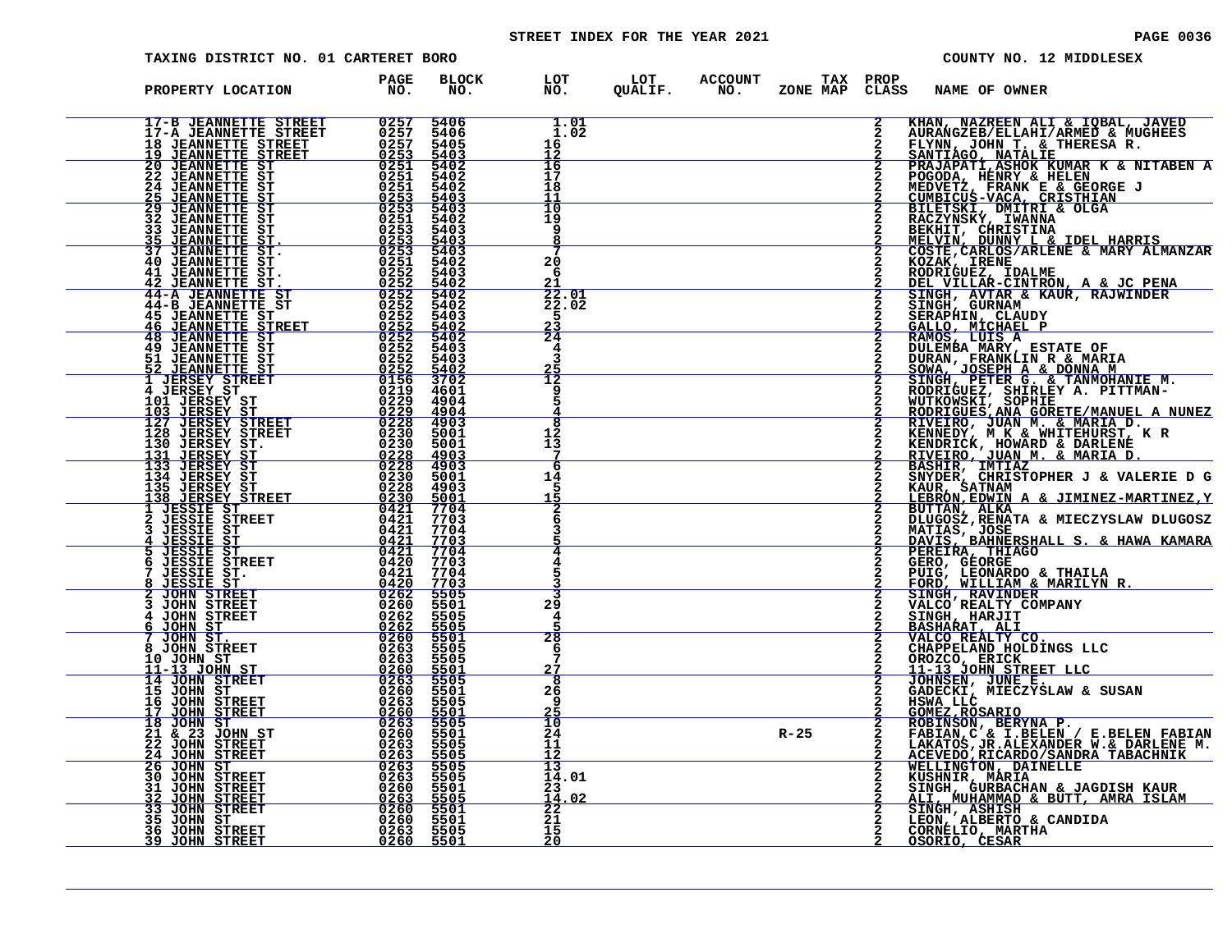# STREET INDEX FOR THE YEAR 2021 **PAGE 10036** PAGE 0036

| TAXING DISTRICT NO. 01 CARTERET BORO                                                                                                                                                             |                                                                             |                                     |                                 |                            |                             |               |                                                                                                         | COUNTY NO. 12 MIDDLESEX                                                                                                                              |
|--------------------------------------------------------------------------------------------------------------------------------------------------------------------------------------------------|-----------------------------------------------------------------------------|-------------------------------------|---------------------------------|----------------------------|-----------------------------|---------------|---------------------------------------------------------------------------------------------------------|------------------------------------------------------------------------------------------------------------------------------------------------------|
| PROPERTY LOCATION                                                                                                                                                                                | <b>PAGE</b><br>NO.                                                          | <b>BLOCK</b><br>NO.                 | LOT<br>NO.                      | LOT ACCOUNT<br>QUALIF. NO. | <b>TAX PROP</b><br>ZONE MAP | CLASS         | <b>NAME OF OWNER</b>                                                                                    |                                                                                                                                                      |
| 17-B JEANNETTE STREET<br>17-A JEANNETTE STREET<br><b>18 JEANNETTE STREET</b><br><u> 19 JEANNETTE STREET</u>                                                                                      | $\frac{0.257}{0.257}$                                                       | 5406<br>5406<br>5405<br>5403        | 1.01<br>1.02<br>16<br>12        |                            |                             |               | FLYNN, JOHN T. & THERESA R. SANTIAGO, NATALIE                                                           | KHAN, NAZREEN ALI & IQBAL, JAVED<br>AURANGZEB/ELLAHI/ARMED & MUGHEES                                                                                 |
| <b>20 JEANNETTE ST<br/>22 JEANNETTE ST</b><br><b>24 JEANNETTE ST</b>                                                                                                                             | $\frac{\substack{0.253\\0.251\\0.251}}{\substack{0.251}}$<br>0251           | 5402<br>5402<br>5402                | 16<br>17<br>18                  |                            |                             |               | POGODA, HENRY & HELEN                                                                                   | PRAJAPATI, ASHOK KUMAR K & NITABEN A                                                                                                                 |
| <b>25 JEANNETTE ST<br/>29 JEANNETTE ST</b><br>32 JEANNETTE ST<br>33 JEANNETTE ST                                                                                                                 | $\frac{0\bar{2}5\bar{3}}{0\bar{2}5\bar{3}}$<br>0251<br>0253                 | $\frac{5403}{5403}$<br>5402<br>5403 | 11<br>10<br>19<br>9             |                            |                             |               | MEDVETZ, FRANK E & GEORGE J<br>CUMBICUS-VACA, CRISTHIAN<br>BILETSKI, DMITRI & OLGA<br>RACZYNSKY, IWANNA |                                                                                                                                                      |
| 35 JEANNETTE ST.<br>37 JEANNETTE ST.<br>40 JEANNETTE ST                                                                                                                                          | $\frac{0253}{0253}$<br>0251                                                 | $\frac{5403}{5403}$<br>5402         | 8<br>20                         |                            |                             |               |                                                                                                         | BEKHIT, CHRISTINA<br>MELVIN, DUNNY L & IDEL HARRIS<br>COSTE, CARLOS/ARLENE & MARY ALMANZAR                                                           |
| 41 JEANNETTE ST.<br>42 JEANNETTE ST.<br>44-A JEANNETTE ST<br>44-B JEANNETTE ST                                                                                                                   | $0252\n0252\n0252\n0252\n0252\n0252$                                        | 5403<br>5402<br>5402<br>5402        | 6<br>21<br>22.01<br>22.02       |                            |                             | $\frac{2}{2}$ |                                                                                                         | ECON CORRECT IN THE CONTROL OF THE REPORT OF THE RODRIGUEZ, IDALME<br>SINGH, AVTAR & KAUR, RAJWINDER                                                 |
| <b>45 JEANNETTE ST</b><br><b>46 JEANNETTE STREET</b><br><b>48 JEANNETTE ST</b>                                                                                                                   | 0252<br>0252                                                                | 5403<br>$\frac{5402}{5402}$<br>5403 | 5<br>$\frac{23}{24}$<br>4       |                            |                             |               | SINGH, GURNAM<br>SERAPHIN, CLAUDY<br>GALLO, MICHAEL P<br>RAMOS, LUIS A                                  |                                                                                                                                                      |
| <b>49 JEANNETTE ST<br/>51 JEANNETTE ST<br/><u>52 JEANNETTE ST</u></b><br>1 JERSEY STREET<br>4 JERSEY ST                                                                                          | 0252<br>0252                                                                | 5403<br>5402                        | 25<br>12<br>q                   |                            |                             |               | DULEMBA MARY, ESTATE OF<br>DURAN, FRANKLIN R & MARIA<br>SOWA, JOSEPH A & DONNA M                        | SINGH, PETER G. & TANMOHANIE M.<br>RODRIGUEZ, SHIRLEY A. PITTMAN-                                                                                    |
| $\begin{array}{r} 0.428 - 3402 \\ 0.156 - 3702 \\ 0.219 - 4601 \\ 0.229 - 4904 \\ \hline 0.229 - 4904 \\ \hline 0.228 - 4903 \end{array}$<br>101 JERSEY ST<br>103 JERSEY ST<br>127 JERSEY STREET |                                                                             |                                     | я                               |                            |                             |               |                                                                                                         | WUTKOWSKI, SOPHIE<br>RODRIGUES, ANA GORETE/MANUEL A NUNEZ<br>RIVEIRO, JUAN M. & MARIA D.                                                             |
| 128 JERSEY STREET<br>130 JERSEY ST.<br>131 JERSEY ST<br>133 JERSEY ST<br>134 JERSEY ST                                                                                                           | $0\overline{2}\overline{30}$<br>0230<br>0228 4903<br>0228 4903<br>0230 5001 | 5001<br>5001                        | 12<br>13<br>7<br>6              |                            |                             |               |                                                                                                         | KENNEDY, MK & WHITEHURST, KR<br>KENDRICK, HOWARD & DARLENE<br>RIVEIRO, JUAN M. & MARIA D.<br>BASHIR, IMTIAZ<br>SNYDER, CHRISTOPHER J & VALERIE D G   |
| 135 JERSEY ST<br>138 JERSEY STREET<br>1 JESSIE ST                                                                                                                                                | 0228<br>$\frac{0230}{0421}$                                                 | 4903<br><u>5001</u><br>7704         | 14<br>5<br>15                   |                            |                             |               |                                                                                                         | KAUR, SATNAM<br><u>LEBRON,EDWIN A &amp; JIMINEZ-MARTINEZ,Y</u>                                                                                       |
| 2 JESSIE STREET<br><b>JESSIE ST</b><br>3<br>JESSIE ST<br>JESSIE ST                                                                                                                               | 0421<br>0421<br>0421                                                        | 7703<br>7704<br>$\frac{7703}{7704}$ | 6                               |                            |                             |               |                                                                                                         | BUTTAN, ALKA<br>DLUGOSZ, RENATA & MIECZYSLAW DLUGOSZ<br>MATIAS, JOSE - ----------- -------<br>DAVIS, BAHNERSHALL S. & HAWA KAMARA<br>PEREIRA, THIAGO |
| 5.<br><b>JESSIE STREET</b><br><b>JESSIE ST.<br/>JESSIE ST.</b>                                                                                                                                   | 0420<br>0421<br>0420                                                        | 7703<br>7704<br>7703                |                                 |                            |                             |               | GERO, GEORGE<br>PUIG, LEONARDO & THAILA<br>FORD, WILLIAM & MARILYN R.                                   |                                                                                                                                                      |
| <b>JOHN STREET</b><br><b>JOHN STREET</b><br><b>JOHN STREET</b><br><u>JOHN ST</u>                                                                                                                 | $\begin{array}{r} 0262 \\ 0260 \end{array}$<br>$0\frac{262}{0262}$          | 5505<br>5501<br>5505                | 29<br>4                         |                            |                             |               | SINGH, RAVINDER<br>VALCO REALTY COMPANY<br>SINGH, HARJIT<br>BASHARAT, ALI                               |                                                                                                                                                      |
| JOHN ST.<br>8 JOHN STREET<br>10 JOHN ST                                                                                                                                                          | 0263<br>0263                                                                | $\frac{5505}{5501}$<br>5505<br>5505 | 28<br>6<br>27                   |                            |                             |               | VALCO REALTY CO.<br>CHAPPELAND HOLDINGS LLC<br>OROZCO, ERICK<br><u>11-13 JOHN STREET LLC</u>            |                                                                                                                                                      |
| <u>11-13 JOHN ST</u><br><b>14 JOHN STREET</b><br>15 JOHN ST<br>16 JOHN STREET                                                                                                                    | $\frac{0260}{0263}$<br>0260                                                 | 5501<br>5505<br>5501<br>5505        | 8<br>26<br>9                    |                            |                             |               | JOHNSEN, JUNE E.<br>GADECKI, MIECZYSLAW & SUSAN<br>HSWA LLC                                             |                                                                                                                                                      |
| <u>17 JOHN STREET</u><br>18 JOHN ST<br>21 & 23 JOHN ST<br><b>22 JOHN STREET</b>                                                                                                                  | $0263$<br>$0260$<br>$0263$<br>0260<br>0263                                  | 5501<br>5505<br>5501<br>5505        | 10<br>24<br>11                  |                            | $R - 25$                    |               | <b>GOMEZ, ROSARIO</b>                                                                                   | ROBINSON, BERYNA P.<br>FABIAN, C & I.BELEN / E.BELEN FABIAN<br>LAKATOS, JR.ALEXANDER W.& DARLENE M.                                                  |
| <u> 24 JOHN STREET</u><br>26 JOHN ST<br>30 JOHN STREET<br>31 JOHN STREET<br>32 JOHN STREET                                                                                                       | 0263                                                                        | $\frac{5505}{5505}$<br>5505<br>5501 | <u> 12</u><br>13<br>14.01<br>23 |                            |                             |               |                                                                                                         | ACEVEDO, RICARDO/SANDRA TABACHNIK<br>WELLINGTON, DAINELLE<br>KUSHNIR, MARIA<br>SINGH, GURBACHAN & JAGDISH KAUR<br>ALI, MUHAMMAD & BUTT, AMRA ISLAM   |
| <b>33 JOHN STREET</b><br>35 JOHN ST                                                                                                                                                              | 0263<br>0260<br>0260<br>0260<br>0360                                        | 5505<br>5501<br>5501                | .02<br>14<br>22<br>21           |                            |                             |               | SINGH, ASHISH<br>LEON, ALBERTO & CANDIDA                                                                |                                                                                                                                                      |
| <b>36 JOHN STREET</b><br><b>JOHN STREET</b><br>39.                                                                                                                                               | 0263<br>0260                                                                | 5505<br>5501                        | 15<br>20                        |                            |                             |               | CORNELIO, MARTHA<br><u>OSORIO, ČESAR</u>                                                                |                                                                                                                                                      |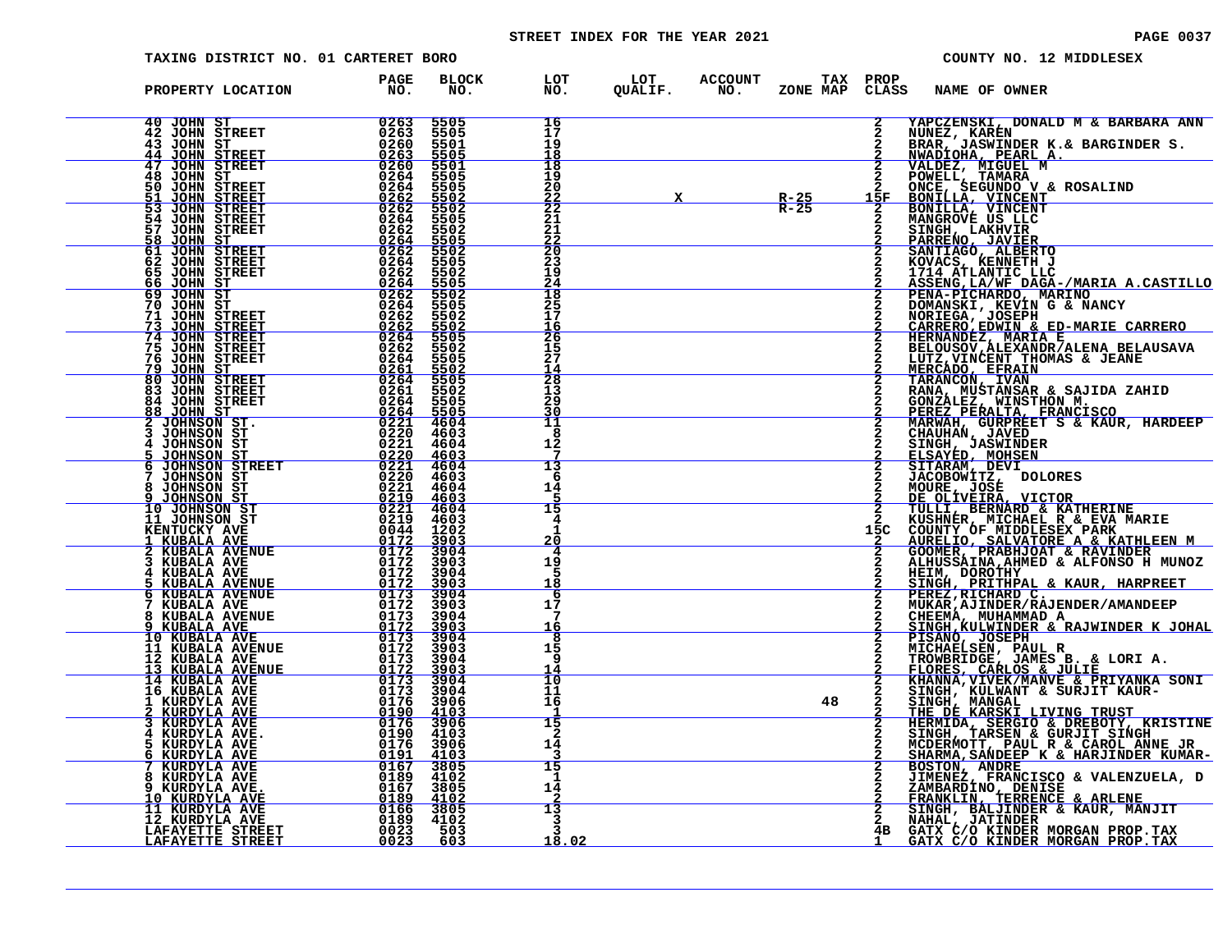# STREET INDEX FOR THE YEAR 2021 **PAGE 10037** PAGE 0037

| TAXING DISTRICT NO. 01 CARTERET BORO                                                              |                                                                                                                                                                                                                                                                                                                                                                                                                                |                                             |                                                                  |                                                    |                                                |    |                | COUNTY NO. 12 MIDDLESEX                                                                                                                                                                                                                            |
|---------------------------------------------------------------------------------------------------|--------------------------------------------------------------------------------------------------------------------------------------------------------------------------------------------------------------------------------------------------------------------------------------------------------------------------------------------------------------------------------------------------------------------------------|---------------------------------------------|------------------------------------------------------------------|----------------------------------------------------|------------------------------------------------|----|----------------|----------------------------------------------------------------------------------------------------------------------------------------------------------------------------------------------------------------------------------------------------|
| PROPERTY LOCATION                                                                                 | PAGE<br>NO <sub>z</sub>                                                                                                                                                                                                                                                                                                                                                                                                        | <b>BLOCK</b><br>NO.                         | LOT<br>NO.                                                       | LOT ACCOUNT TAX PROP<br>QUALIF. NO. ZONE_MAP CLAS: |                                                |    | CLASS          | <b>NAME OF OWNER</b>                                                                                                                                                                                                                               |
| 40 JOHN ST<br><b>42 JOHN STREET</b><br>43 JOHN ST<br><b>JOHN STREET</b><br>44                     | 0263<br>0263<br>0260<br>0263                                                                                                                                                                                                                                                                                                                                                                                                   | 5505<br>5505<br>5501<br>5505                | 16<br>17<br>19<br>18                                             |                                                    |                                                |    | $\overline{2}$ | YAPCZENSKI, DONALD M & BARBARA ANN<br>NUNEZ, KARÉN<br>BRAR, JASWINDER K.& BARGINDER S.<br>NWADIOHA, PEARL A.                                                                                                                                       |
| <b>47 JOHN STREET</b><br>48 JOHN ST<br>50 JOHN STREET<br>51<br><b>JOHN STREET</b>                 | 0260<br>0264<br>$\frac{\substack{0264\\0262}}{\substack{0262}}$                                                                                                                                                                                                                                                                                                                                                                | 5501<br>5505<br>5505                        | 18<br>19<br>20                                                   |                                                    | $\mathbf{X}$ and $\mathbf{X}$ and $\mathbf{X}$ |    |                |                                                                                                                                                                                                                                                    |
| $\overline{53}$<br><b>JOHN STREET</b><br><b>54 JOHN STREET</b><br>57 JOHN STREET<br>JOHN ST<br>58 | 0264<br>0262                                                                                                                                                                                                                                                                                                                                                                                                                   | $\frac{5502}{5502}$<br>5505<br>5502         | $\frac{\bar{2}\bar{2}}{2\bar{2}}$<br>21<br>21<br>$\frac{22}{20}$ |                                                    |                                                |    |                |                                                                                                                                                                                                                                                    |
| <b>61 JOHN STREET</b><br>62 JOHN STREET<br><b>65 JOHN STREET</b><br><u>JOHN ST</u><br>66          | $\frac{\frac{0}{264}}{0262}$                                                                                                                                                                                                                                                                                                                                                                                                   | $\frac{5505}{5502}$<br>5505<br>5502<br>5505 | 23<br>19<br>24                                                   |                                                    |                                                |    |                |                                                                                                                                                                                                                                                    |
| 69 JOHN ST<br>70 JOHN ST<br>71 JOHN STREET<br>73<br><b>JOHN STREET</b><br>74 JOHN STREET          | $0262\n0264\n0262\n0264\n0262$<br>$\frac{0\bar{2}6\bar{2}}{0\bar{2}64}$                                                                                                                                                                                                                                                                                                                                                        | 5502<br>5505<br>5502<br>5502<br>5505        | 18<br>25<br>17<br><u> 16</u><br>26                               |                                                    |                                                |    |                | 3 NWADIOHA, PEARL A. SAKGINDER S.<br>2 VALDEZ, MIGUEL M<br>2 DOWELL, TAMARA<br>2 DOWELL, TAMARA<br>2 DOWELL, TAMARA<br>15F BONILLA, VINCENT<br>2 BONILLA, VINCENT<br>2 BONILLA, VINCENT<br>2 SANTIAGO, ALBERTO<br>2 PARRENO, JAVIER<br>2 SANTIAGO, |
| 75 JOHN STREET<br>76 JOHN STREET<br>79<br>JOHN ST<br>80 JOHN STREET                               | 0262<br>0264<br><u>0261</u><br>0264                                                                                                                                                                                                                                                                                                                                                                                            | 5502<br>5505<br>5502<br>5505                | $\frac{15}{27}$<br>14<br>28                                      |                                                    |                                                |    |                | BELOUSOV, ALEXANDR/ALENA BELAUSAVA<br>LUTZ, VINCENT THOMAS & JEANE<br>MERCADO, EFRAIN<br>TARANCON, IVAN<br>TARANCON, IVAN<br>RANA, MUSTANSAR & SAJIDA ZAHID<br>RANA, MUSTANSAR & SAJIDA ZAHID                                                      |
| 83 JOHN STREET<br>84 JOHN STREET<br><u>88 JOHN ST</u><br>JOHNSON ST.                              | 0261<br>$0264$<br>$0264$<br>$0221$                                                                                                                                                                                                                                                                                                                                                                                             | 5502<br>5505<br>$\frac{5505}{4604}$         | 13<br>29<br>30<br>11                                             |                                                    |                                                |    |                |                                                                                                                                                                                                                                                    |
| 3<br>JOHNSON ST<br>JOHNSON ST<br>JOHNSON ST<br>JOHNSON STREET<br>JOHNSON ST<br>6                  | 0220<br>0221<br>$\frac{\substack{0.220\\0.221\\0.220}}{\substack{0.221\\0.220}}$                                                                                                                                                                                                                                                                                                                                               | 4603<br>4604<br>4603<br>4604<br>4603        | 8<br>12<br>7<br>13<br>-6                                         |                                                    |                                                |    |                | KANA, MUSTANSAK & SAJIDA ZAHID<br>GONZALEZ, NINSTHON M.<br>PEREZ PERALTA, FRANCISCO<br>MARWAH, GURPREET S & KAUR, HARDEEP<br>CHAUHAN, JAVED<br>ELSAYED, MOHSEN<br>SITARAM, DEVI<br>SITARAM, DEVI<br>JACCBOWITZ, DOLORES<br>MOIPE .TOSF             |
| 8<br>JOHNSON ST<br>JOHNSON ST<br>10 JOHNSON ST<br>11 JOHNSON ST                                   | 0221<br>0219<br>$\begin{array}{c}\n 0221 \\  0219 \\  0044\n\end{array}$                                                                                                                                                                                                                                                                                                                                                       | 4604<br>4603<br>4604<br>4603                | 14<br>5<br>15<br>4                                               |                                                    |                                                |    |                | MOURE, JOSÉ<br><u>DE OLIVEIRA, VICTOR</u><br>TULLI, BERNARD & KATHERINE                                                                                                                                                                            |
| KENTUCKY AVE<br><u>1 KUBALA AVE<br/>2 KUBALA AVENUE</u><br>KUBALA AVE                             | 0172                                                                                                                                                                                                                                                                                                                                                                                                                           | 1202<br>$\frac{3903}{3904}$<br>3903         | $\mathbf{1}$<br>20<br>4<br>19                                    |                                                    |                                                |    |                | 2 KUSHNER, MICHAEL R & EVA MARIE<br>15C COUNTY OF MIDDLESEX PARK<br>2 AURELIO, SALVATORE A & KATHLEEN M<br>2 GOOMER, PRABHJOAT & RAVINDER<br>ALHUSSAINA, AHMED & ALFONSO H MUNOZ                                                                   |
| KUBALA AVE<br>KUBALA AVENUE<br>KUBALA AVENUE<br>KUBALA AVE<br>8                                   | $0172$<br>$0172$<br>$0172$<br>$\begin{array}{r} 0173 & 3904 \\ 0172 & 3903 \end{array}$                                                                                                                                                                                                                                                                                                                                        | 3904<br>3903<br>3904                        | 5<br>18<br>6<br>17<br>7                                          |                                                    |                                                |    |                | HEIM, DOROTHY<br>SINGH, PRITHPAL & KAUR, HARPREET<br>PEREZ, RICHARD C.<br>MUKAR, AJINDER/RAJENDER/AMANDEEP                                                                                                                                         |
| KUBALA AVENUE<br>9 KUBALA AVE 10 KUBALA AVE<br>11 KUBALA AVENUE<br>12 KUBALA AVE                  | $0173$<br>0172<br>0173<br>0172<br>0173                                                                                                                                                                                                                                                                                                                                                                                         | $\frac{3903}{3904}$<br>3903<br>3904         | <u> 16</u><br>8<br>15<br>-9                                      |                                                    |                                                |    |                | CHEEMA, MUHAMMAD A<br>SINGH, KULWINDER & RAJWINDER K JOHAL<br>PISANO, JOSEPH<br>MICHAELSEN, PAUL R<br>TROWBRIDGE, JAMES B. & LORI A.                                                                                                               |
| 13 KUBALA AVENUE<br>14 KUBALA AVE<br>16 KUBALA AVE<br>1 KURDYLA AVE                               | $\frac{0172}{0173}$<br>0173                                                                                                                                                                                                                                                                                                                                                                                                    | 3903<br>$\frac{3904}{3904}$                 | 14<br>īδ<br>11<br>16                                             |                                                    |                                                | 48 |                | FLORES, CARLOS & JULIE ----- ---<br>KHANNA, VIVEK/MANVE & PRIYANKA SONI<br>SINGH, KULWANT & SURJIT KAUR-                                                                                                                                           |
| KURDYLA AVE<br>KURDYLA AVE<br>KURDYLA AVE<br>KURDYLA AVE<br>KURDYLA AVE<br>5                      | $\begin{array}{@{}c@{\hspace{1em}}c@{\hspace{1em}}c@{\hspace{1em}}c@{\hspace{1em}}c@{\hspace{1em}}c@{\hspace{1em}}c@{\hspace{1em}}c@{\hspace{1em}}c@{\hspace{1em}}c@{\hspace{1em}}c@{\hspace{1em}}c@{\hspace{1em}}c@{\hspace{1em}}c@{\hspace{1em}}c@{\hspace{1em}}c@{\hspace{1em}}c@{\hspace{1em}}c@{\hspace{1em}}c@{\hspace{1em}}c@{\hspace{1em}}c@{\hspace{1em}}c@{\hspace{1em}}c@{\hspace{1em}}c@{\hspace{$<br>ŎĪ9Ŏ<br>0176 | 4103<br>3906                                | 15<br>$\mathbf{z}$<br>14                                         |                                                    |                                                |    |                | SINGH, MADWANI & SOROII KAOR-<br>THE DE KARSKI LIVING TRUST<br>HERMIDA, SERGIO & DREBOTY, KRISTINE<br>SINGH, TARSEN & GURJIT SINGH MCDERMOTT, PAUL R & CAROL ANNE JR<br>SHARMA, SANDEEP K & HARJINDER KUMAR-BOSTON, ANDRE<br>SHARMA, SANDEEP       |
| KURDYLA AVE KURDYLA AVE<br>8 KURDYLA AVE<br>9 KURDYLA AVE.<br><u>10 KURDYLA AVE</u>               | $\frac{0191}{0167}$<br>$\begin{array}{cccc} 0189 & 4102 \\ 0167 & 3805 \\ 0189 & 4102 \\ 0166 & 3805 \\ 0189 & 4102 \\ 0166 & 3805 \\ 0189 & 4102 \\ \end{array}$                                                                                                                                                                                                                                                              | 4103<br>3805                                | 15<br>1<br>14                                                    |                                                    |                                                |    |                | <b>SUSION, THEADLISCO &amp; VALENZUELA, D<br/>ZAMBARDINO, DENISE<br/>FRANKLIN, TERRENCE &amp; ARLENE<br/>SINGH, BALJINDER &amp; KAUR, MANJIT<br/>NAHAL, JATINDER WORGAN, DENIS</b>                                                                 |
| 11 KURDYLA AVE<br>12 KURDYLA AVE<br>LAFAYETTE STREET<br><u>LAFAYETTE STREET</u>                   | 0023<br>0023                                                                                                                                                                                                                                                                                                                                                                                                                   | 503<br>603                                  | 13<br>3<br>18.02                                                 |                                                    |                                                |    |                | GATX C/O KINDER MORGAN PROP. TAX<br>GATX C/O KINDER MORGAN PROP. TAX                                                                                                                                                                               |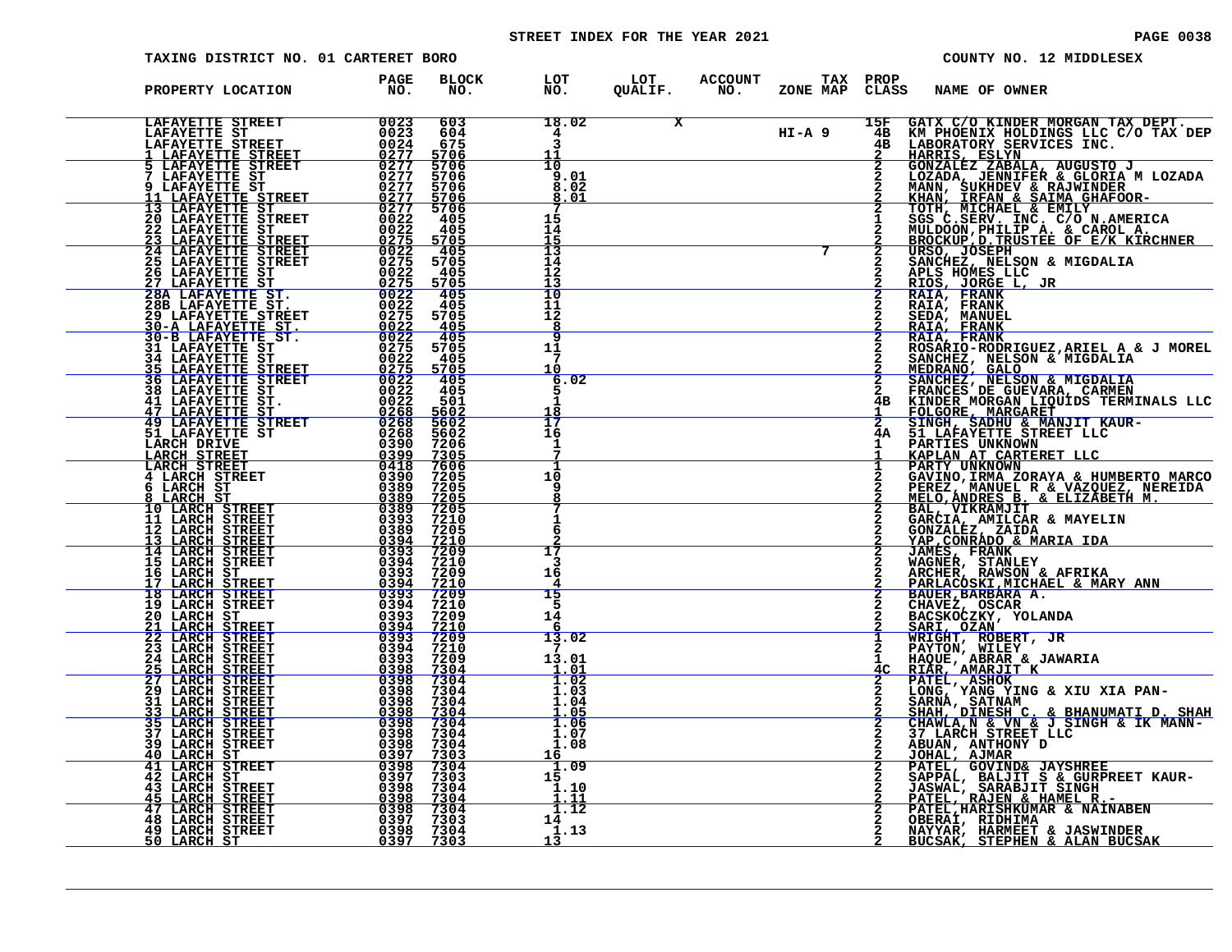# STREET INDEX FOR THE YEAR 2021 **PAGE 10038** PAGE 0038

| <b>PAGE 0038</b> |  |  |  |
|------------------|--|--|--|
|------------------|--|--|--|

| TAXING DISTRICT NO. 01 CARTERET BORO                                                                                                                                                                                                                                                                                                                                                                                 |                                                                   |  |                          |                |                                                                          | COUNTY NO. 12 MIDDLESEX                                                                                                                                                                                                                                                                                                                                                                                                                         |  |
|----------------------------------------------------------------------------------------------------------------------------------------------------------------------------------------------------------------------------------------------------------------------------------------------------------------------------------------------------------------------------------------------------------------------|-------------------------------------------------------------------|--|--------------------------|----------------|--------------------------------------------------------------------------|-------------------------------------------------------------------------------------------------------------------------------------------------------------------------------------------------------------------------------------------------------------------------------------------------------------------------------------------------------------------------------------------------------------------------------------------------|--|
| PROPERTY LOCATION PAGE<br>NO.                                                                                                                                                                                                                                                                                                                                                                                        | BLOCK LOT LOT ACCOUNT TAX PROP NO. NO. QUALIF. NO. ZONE MAP CLASS |  |                          |                | <b>NAME OF OWNER</b>                                                     |                                                                                                                                                                                                                                                                                                                                                                                                                                                 |  |
|                                                                                                                                                                                                                                                                                                                                                                                                                      |                                                                   |  |                          |                |                                                                          | $\begin{array}{c c} \textbf{18.02} & \textbf{X} & \textbf{15F} & \textbf{GATX C/O KINDER MORGAN TAX DEPT.} \\ \textbf{3} & \textbf{H I - A 9} & \textbf{4B} & \textbf{KM PHOENIX HOLDINGS LLC C/O TAX DEP} \\ \textbf{11} & \textbf{4B} & \textbf{LABORATORS SEIVICES INC.} \\ \textbf{10} & \textbf{2} & \textbf{GONZALEZ ZABALA, AUGUSTO J} \\ \textbf{3.01} & \textbf{2} & \textbf{LOZADA, JENNIFER & \textbf{GLORIA M LOZADA} \\ \textbf{8$ |  |
|                                                                                                                                                                                                                                                                                                                                                                                                                      |                                                                   |  |                          |                |                                                                          |                                                                                                                                                                                                                                                                                                                                                                                                                                                 |  |
|                                                                                                                                                                                                                                                                                                                                                                                                                      |                                                                   |  | $\overline{\phantom{a}}$ |                |                                                                          | SGS C.SERV. INC. C/O N.AMERICA<br>MULDOON, PHILIP A. & CAROL A.                                                                                                                                                                                                                                                                                                                                                                                 |  |
|                                                                                                                                                                                                                                                                                                                                                                                                                      |                                                                   |  |                          | $\frac{2}{2}$  | APLS HOMES LLC<br>RIOS, JORGE L, JR                                      | BROCKUP, D. TRUSTEE OF E/K KIRCHNER<br>URSO, JOSEPH<br>SANCHEZ, NELSON & MIGDALIA                                                                                                                                                                                                                                                                                                                                                               |  |
|                                                                                                                                                                                                                                                                                                                                                                                                                      |                                                                   |  |                          | $\overline{a}$ | RAIA, FRANK<br>RAIA, FRANK<br>SEDA, MANUEL<br>RAIA, FRANK<br>RAIA, FRANK |                                                                                                                                                                                                                                                                                                                                                                                                                                                 |  |
|                                                                                                                                                                                                                                                                                                                                                                                                                      |                                                                   |  |                          |                | 2 MEDRANO, GALO                                                          | ROSARIO-RODRIGUEZ, ARIEL A & J MOREL<br>SANCHEZ, NELSON & MIGDALIA                                                                                                                                                                                                                                                                                                                                                                              |  |
|                                                                                                                                                                                                                                                                                                                                                                                                                      |                                                                   |  |                          |                |                                                                          | 2 SANCHEZ, NELSON & MIGDALIA<br>2 FRANCES DE GUEVARA, CARMEN<br>4B KINDER MORGAN LIQUIDS TERMINALS LLC<br>1 FOLGORE, MARGARET<br>2 SINGH, SADHU & MANJIT KAUR-<br>4A 51 LAFEA HNEWOWN<br>4A 51 LAFEA HNEWOWN                                                                                                                                                                                                                                    |  |
|                                                                                                                                                                                                                                                                                                                                                                                                                      |                                                                   |  |                          |                | PARTIES UNKNOWN                                                          | <b>KAPLAN AT CARTERET LLC<br/>PARTY UNKNOWN<br/>GAVINO, IRMA ZORAYA &amp; HUMBERTO MARCO</b>                                                                                                                                                                                                                                                                                                                                                    |  |
|                                                                                                                                                                                                                                                                                                                                                                                                                      |                                                                   |  |                          |                |                                                                          | PEREZ, MANUEL R & VAZQUEZ, NEREIDA<br>MELO, ANDRES B. & ELIZABETH M.                                                                                                                                                                                                                                                                                                                                                                            |  |
|                                                                                                                                                                                                                                                                                                                                                                                                                      |                                                                   |  |                          |                | <b>JAMES, FRANK</b>                                                      | BAL, VIKRAMJIT<br>GARCIA, AMILCAR & MAYELIN<br>GONZALEZ, ZAIDA<br>YAP, CONRADO & MARIA IDA                                                                                                                                                                                                                                                                                                                                                      |  |
|                                                                                                                                                                                                                                                                                                                                                                                                                      |                                                                   |  |                          |                | BAUER, BARBARA A.                                                        | WAGNER, STANLEY<br>ARCHER, RAWSON & AFRIKA<br><u>PARLACOSKI,MICHAEL &amp; MARY ANN</u>                                                                                                                                                                                                                                                                                                                                                          |  |
|                                                                                                                                                                                                                                                                                                                                                                                                                      |                                                                   |  |                          | $\mathbf{1}$   | CHAVEZ, OSCAR<br>BACSKOCZKY, YOLANDA<br>SARI, OZAN<br>WRIGHT, ROBERT, JR |                                                                                                                                                                                                                                                                                                                                                                                                                                                 |  |
|                                                                                                                                                                                                                                                                                                                                                                                                                      |                                                                   |  |                          | $\mathbf{1}$   |                                                                          | PAYTON, WILEY<br>HAQUE, ABRAR & JAWARIA<br><u>4C RIÃR, AMARJIT K</u><br>PATEL, ASHOK THE XIU XIA PAN-                                                                                                                                                                                                                                                                                                                                           |  |
|                                                                                                                                                                                                                                                                                                                                                                                                                      |                                                                   |  |                          | $\frac{2}{2}$  |                                                                          | SARNA, SATNAM<br><u>SHAH, DINESH C. &amp; BHANUMATI D. SHAH</u><br>CHAWLA, N & VN & J SINGH & IK MANN-<br>37 LARCH STREET LLC<br>ABUAN, ANTHONY D                                                                                                                                                                                                                                                                                               |  |
| $\begin{tabular}{l c c c c c} \textbf{PROOFARY LOCATION} & \textbf{PAC} & \textbf{EDC\_C} & \textbf{EDC\_C} & \textbf{EDC\_C} & \textbf{EDC\_C} & \textbf{EDC\_C} & \textbf{EDC\_C} & \textbf{EDC\_C} & \textbf{EDC\_C} & \textbf{EDC\_C} & \textbf{EDC\_C} & \textbf{EDC\_C} & \textbf{EDC\_C} & \textbf{EDC\_C} & \textbf{EDC\_C} & \textbf{EDC\_C} & \textbf{EDC\_C} & \textbf{EDC\_C} & \textbf{EDC\_C} & \text$ |                                                                   |  |                          | $rac{2}{2}$    | JOHAL, AJMAR                                                             | PATEL, GOVIND& JAYSHREE                                                                                                                                                                                                                                                                                                                                                                                                                         |  |
|                                                                                                                                                                                                                                                                                                                                                                                                                      |                                                                   |  |                          |                | OBERAÌ, RIDHIMA                                                          | SAPPAL, BALJIT S & GURPREET KAUR-<br>JASWAL, SARABJIT SINGH<br>PATEL, RAJEN & HAMEL R.-<br>PATEL, HARISHKUMAR & NAINABEN                                                                                                                                                                                                                                                                                                                        |  |
|                                                                                                                                                                                                                                                                                                                                                                                                                      |                                                                   |  |                          |                |                                                                          | NAYYAR, HARMEET & JASWINDER<br>BUCSAK, STEPHEN & ALAN BUCSAK                                                                                                                                                                                                                                                                                                                                                                                    |  |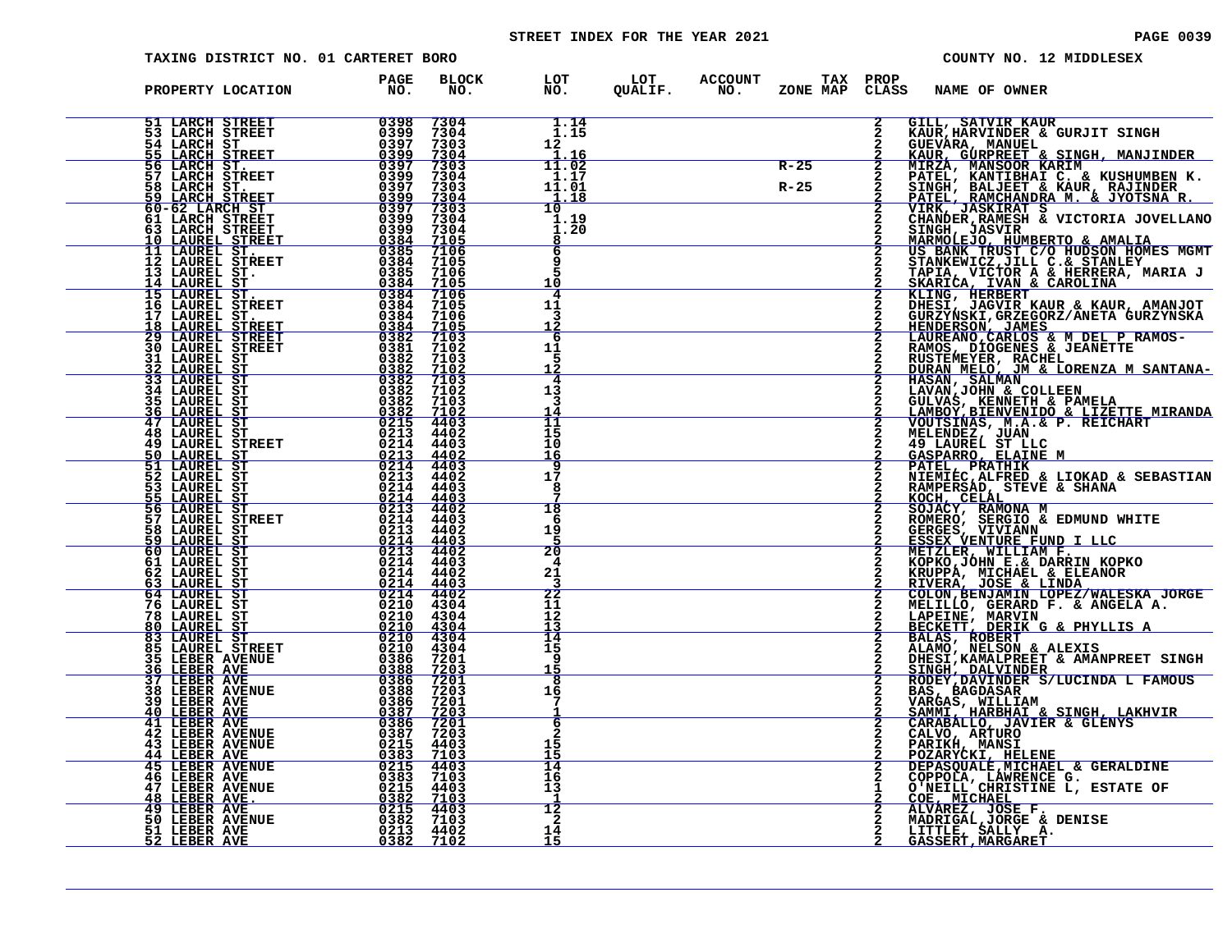# STREET INDEX FOR THE YEAR 2021 **PAGE 10039** PAGE 0039

| TAXING DISTRICT NO. 01 CARTERET BORO                                                                                                                                                                                                                                                                                                                                                                                                            |                    |                                                                                                                                                                                                                                                                                                                                                                                |                       |                                                                                    |        |                | COUNTY NO. 12 MIDDLESEX                      |                                                                                                                                                                                                                                                              |
|-------------------------------------------------------------------------------------------------------------------------------------------------------------------------------------------------------------------------------------------------------------------------------------------------------------------------------------------------------------------------------------------------------------------------------------------------|--------------------|--------------------------------------------------------------------------------------------------------------------------------------------------------------------------------------------------------------------------------------------------------------------------------------------------------------------------------------------------------------------------------|-----------------------|------------------------------------------------------------------------------------|--------|----------------|----------------------------------------------|--------------------------------------------------------------------------------------------------------------------------------------------------------------------------------------------------------------------------------------------------------------|
| PROPERTY LOCATION<br>${\small \begin{tabular}{@{}c c c c c} \textbf{PRODEF} & \textbf{DCATION} & \textbf{FNO} & \textbf{FNO} & \textbf{FNO} & \textbf{DLO} \\ \hline \textbf{51} & \textbf{LARCH} & \textbf{STRSET} & \textbf{0398} & 7304 \\ \textbf{52} & \textbf{LARCH} & \textbf{STRSET} & \textbf{0398} & 7304 \\ \textbf{53} & \textbf{LARCH} & \textbf{STRSET} & \textbf{0399} & 7304 \\ \textbf{54} & \textbf{LARCH} & \textbf{STRSET}$ | <b>PAGE</b><br>NO. |                                                                                                                                                                                                                                                                                                                                                                                |                       | BLOCK LOT LOT ACCOUNT TAX PROP<br>NO. NO. QUALIF. NO. ZONE_MAP_CLASS_NAME_OF_OWNER |        |                |                                              |                                                                                                                                                                                                                                                              |
|                                                                                                                                                                                                                                                                                                                                                                                                                                                 |                    | $\begin{array}{c} 7304 \overline{)7304} \overline{)7304} \overline{)1.14} \ \hline 7304 \overline{)1.15} \ \hline 7303 \overline{)2.11} \ \hline 7304 \overline{)1.16} \ \hline 7304 \overline{)304} \overline{)1.01} \ \hline 7303 \overline{)304} \overline{)1.18} \ \hline 7303 \overline{)1.18} \ \hline 7304 \overline{)1.19} \ \hline 7304 \overline{)1.20} \end{array}$ |                       |                                                                                    |        | $\overline{2}$ |                                              | GILL, SATVIR KAUR<br>KAUR, HARVINDER & GURJIT SINGH<br>KAUR, HARVINDER & GURJIT SINGH<br>KAUR, GURPREET & SINGH, MANJINDER<br>KAUR, MANSOOR KARIN<br>PATEL, KANTIBHAIT C. & KUSHUMBEN K.<br>SINGH, BALJEET & KAUR, RAJINDER<br>PATEL, RAMCHANDRA M.          |
|                                                                                                                                                                                                                                                                                                                                                                                                                                                 |                    |                                                                                                                                                                                                                                                                                                                                                                                |                       |                                                                                    |        |                |                                              |                                                                                                                                                                                                                                                              |
|                                                                                                                                                                                                                                                                                                                                                                                                                                                 |                    |                                                                                                                                                                                                                                                                                                                                                                                |                       |                                                                                    | $R-25$ |                |                                              |                                                                                                                                                                                                                                                              |
|                                                                                                                                                                                                                                                                                                                                                                                                                                                 |                    |                                                                                                                                                                                                                                                                                                                                                                                |                       |                                                                                    | $R-25$ |                |                                              |                                                                                                                                                                                                                                                              |
|                                                                                                                                                                                                                                                                                                                                                                                                                                                 |                    |                                                                                                                                                                                                                                                                                                                                                                                |                       |                                                                                    |        |                |                                              |                                                                                                                                                                                                                                                              |
|                                                                                                                                                                                                                                                                                                                                                                                                                                                 |                    |                                                                                                                                                                                                                                                                                                                                                                                |                       |                                                                                    |        |                |                                              |                                                                                                                                                                                                                                                              |
|                                                                                                                                                                                                                                                                                                                                                                                                                                                 |                    |                                                                                                                                                                                                                                                                                                                                                                                | 8<br>6                |                                                                                    |        |                |                                              |                                                                                                                                                                                                                                                              |
|                                                                                                                                                                                                                                                                                                                                                                                                                                                 |                    |                                                                                                                                                                                                                                                                                                                                                                                |                       |                                                                                    |        |                |                                              |                                                                                                                                                                                                                                                              |
|                                                                                                                                                                                                                                                                                                                                                                                                                                                 |                    |                                                                                                                                                                                                                                                                                                                                                                                | 10<br>4               |                                                                                    |        |                |                                              |                                                                                                                                                                                                                                                              |
|                                                                                                                                                                                                                                                                                                                                                                                                                                                 |                    |                                                                                                                                                                                                                                                                                                                                                                                | 11<br>3               |                                                                                    |        |                |                                              |                                                                                                                                                                                                                                                              |
|                                                                                                                                                                                                                                                                                                                                                                                                                                                 |                    |                                                                                                                                                                                                                                                                                                                                                                                | 6                     |                                                                                    |        |                |                                              |                                                                                                                                                                                                                                                              |
|                                                                                                                                                                                                                                                                                                                                                                                                                                                 |                    |                                                                                                                                                                                                                                                                                                                                                                                | 11<br>5               |                                                                                    |        |                |                                              |                                                                                                                                                                                                                                                              |
|                                                                                                                                                                                                                                                                                                                                                                                                                                                 |                    |                                                                                                                                                                                                                                                                                                                                                                                | 12<br>4               |                                                                                    |        | $\overline{2}$ |                                              |                                                                                                                                                                                                                                                              |
|                                                                                                                                                                                                                                                                                                                                                                                                                                                 |                    |                                                                                                                                                                                                                                                                                                                                                                                | 13                    |                                                                                    |        |                |                                              |                                                                                                                                                                                                                                                              |
|                                                                                                                                                                                                                                                                                                                                                                                                                                                 |                    |                                                                                                                                                                                                                                                                                                                                                                                | ĪĪ                    |                                                                                    |        |                |                                              |                                                                                                                                                                                                                                                              |
|                                                                                                                                                                                                                                                                                                                                                                                                                                                 |                    |                                                                                                                                                                                                                                                                                                                                                                                | 15<br>10              |                                                                                    |        |                |                                              |                                                                                                                                                                                                                                                              |
|                                                                                                                                                                                                                                                                                                                                                                                                                                                 |                    |                                                                                                                                                                                                                                                                                                                                                                                | 16                    |                                                                                    |        |                |                                              | <b>TI LAUKEL ST LLC<br/> CASPARRO, ELAINE M<br/> PATEL, PRATHIK<br/> NIEMIEC, ALFRED &amp; LIOKAD &amp; SEBASTIAN<br/> RAMPERSAD, STEVE &amp; SHANA<br/> KOCH, CELAL<br/> SOTACY BALOWA W</b>                                                                |
|                                                                                                                                                                                                                                                                                                                                                                                                                                                 |                    |                                                                                                                                                                                                                                                                                                                                                                                | 17<br>8               |                                                                                    |        |                |                                              |                                                                                                                                                                                                                                                              |
|                                                                                                                                                                                                                                                                                                                                                                                                                                                 |                    |                                                                                                                                                                                                                                                                                                                                                                                |                       |                                                                                    |        |                |                                              |                                                                                                                                                                                                                                                              |
|                                                                                                                                                                                                                                                                                                                                                                                                                                                 |                    |                                                                                                                                                                                                                                                                                                                                                                                | 18<br>6               |                                                                                    |        |                |                                              | NOJACY, RAMONA M<br>ROMERO, SERGIO & EDMUND WHITE<br>GERGES, VIVIANN                                                                                                                                                                                         |
|                                                                                                                                                                                                                                                                                                                                                                                                                                                 |                    |                                                                                                                                                                                                                                                                                                                                                                                | 19                    |                                                                                    |        |                |                                              |                                                                                                                                                                                                                                                              |
|                                                                                                                                                                                                                                                                                                                                                                                                                                                 |                    |                                                                                                                                                                                                                                                                                                                                                                                | 20<br>4               |                                                                                    |        |                |                                              |                                                                                                                                                                                                                                                              |
|                                                                                                                                                                                                                                                                                                                                                                                                                                                 |                    |                                                                                                                                                                                                                                                                                                                                                                                | 21                    |                                                                                    |        |                |                                              |                                                                                                                                                                                                                                                              |
|                                                                                                                                                                                                                                                                                                                                                                                                                                                 |                    |                                                                                                                                                                                                                                                                                                                                                                                | $\overline{22}$<br>11 |                                                                                    |        |                |                                              | GERGES, VIVIANN<br>ESSEX VENTURE FUND I LLC<br>METZLER, WILLIAM F.<br>KOPKO, JOHN E.& DARRIN KOPKO<br>KRUPPA, MICHAEL & ELEANOR<br>KIVERA, JOSE & LINDA<br>COLON, BENJAMIN LOPEZ/WALESKA JORGE<br>MELILLO, GERARD F. & ANGELA A.<br>LAPEINE, MARVIN<br>BE    |
|                                                                                                                                                                                                                                                                                                                                                                                                                                                 |                    |                                                                                                                                                                                                                                                                                                                                                                                | 12<br>13              |                                                                                    |        |                |                                              |                                                                                                                                                                                                                                                              |
|                                                                                                                                                                                                                                                                                                                                                                                                                                                 |                    |                                                                                                                                                                                                                                                                                                                                                                                | 14<br>15              |                                                                                    |        |                |                                              |                                                                                                                                                                                                                                                              |
|                                                                                                                                                                                                                                                                                                                                                                                                                                                 |                    |                                                                                                                                                                                                                                                                                                                                                                                | q<br>15               |                                                                                    |        |                |                                              | ALAMO, NELSON & ALEXIS<br>DHESI, KAMALPREET & AMANPREET SINGH                                                                                                                                                                                                |
|                                                                                                                                                                                                                                                                                                                                                                                                                                                 |                    |                                                                                                                                                                                                                                                                                                                                                                                | 8<br>16               |                                                                                    |        | 2<br>2         | BAS, BAGDASAR                                | SINGH, DALVINDER<br>RODEY, DAVINDER S/LUCINDA L FAMOUS                                                                                                                                                                                                       |
|                                                                                                                                                                                                                                                                                                                                                                                                                                                 |                    |                                                                                                                                                                                                                                                                                                                                                                                |                       |                                                                                    |        |                |                                              | VARGAS, WILLIAM<br><u>SAMMI, HARBHAI &amp; SINGH, LAKHVIR</u>                                                                                                                                                                                                |
|                                                                                                                                                                                                                                                                                                                                                                                                                                                 |                    |                                                                                                                                                                                                                                                                                                                                                                                | 6                     |                                                                                    |        | 2              |                                              |                                                                                                                                                                                                                                                              |
|                                                                                                                                                                                                                                                                                                                                                                                                                                                 |                    |                                                                                                                                                                                                                                                                                                                                                                                | 15<br>15              |                                                                                    |        | 2              |                                              |                                                                                                                                                                                                                                                              |
| $\begin{tabular}{c c c} 40 \text{ LEBER AVE} & 0387 & 7203 \\ 41 \text{ LEBBR AVE} & 0386 & 7201 \\ 42 \text{ LEBBR AVENUE} & 0386 & 7203 \\ 43 \text{ LEBER AVENUE} & 0215 & 4403 \\ 44 \text{ LEBBR AVE} & 0215 & 4403 \\ 45 \text{ LEBBR AVE} & 0383 & 7103 \\ 46 \text{ LEBBR AVENUE} & 0383 & 7103 \\ 46 \text{ LEBBR AVENUE} & 0383 & 7103 \\$                                                                                            |                    |                                                                                                                                                                                                                                                                                                                                                                                | 14                    |                                                                                    |        |                |                                              | SAMMI, HAKBHAL & SINGH, LAKHVIK<br>CARABALLO, JAVIER & GLENYS<br>CALVO, ARTURO<br>PARIKH, MANSI<br>POZARYCKI, HELENE<br>DEPASQUALE, MICHAEL & GERALDINE<br>COPPOLA, LAWRENCE G.<br>COE, MICHAEL<br>COPPOLA, LAWRENCE G.<br>COE, MICHAEL<br>ANGHILL CHRISTINE |
|                                                                                                                                                                                                                                                                                                                                                                                                                                                 |                    |                                                                                                                                                                                                                                                                                                                                                                                | 16<br>13              |                                                                                    |        |                |                                              |                                                                                                                                                                                                                                                              |
|                                                                                                                                                                                                                                                                                                                                                                                                                                                 |                    |                                                                                                                                                                                                                                                                                                                                                                                | $\overline{12}$       |                                                                                    |        |                | ALVAREZ, JOSE F.<br>MADRIGAL, JORGE & DENISE |                                                                                                                                                                                                                                                              |
|                                                                                                                                                                                                                                                                                                                                                                                                                                                 |                    |                                                                                                                                                                                                                                                                                                                                                                                | 2<br>14               |                                                                                    |        |                | LITTLE, SALLY A.<br>GASSERT, MARGARET        |                                                                                                                                                                                                                                                              |
|                                                                                                                                                                                                                                                                                                                                                                                                                                                 |                    |                                                                                                                                                                                                                                                                                                                                                                                | 15                    |                                                                                    |        |                |                                              |                                                                                                                                                                                                                                                              |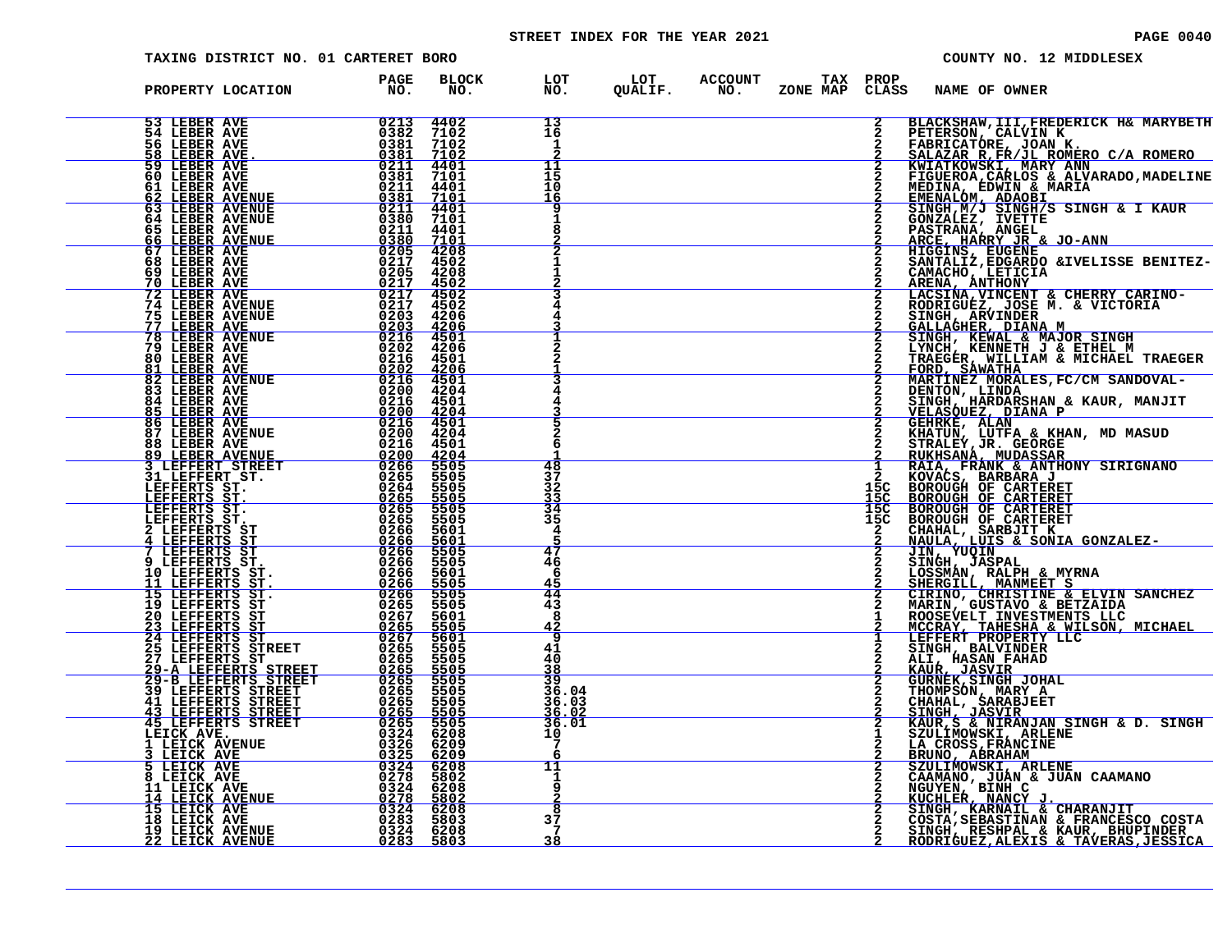# STREET INDEX FOR THE YEAR 2021 **PAGE 10040** PAGE 0040

|  | TAXING DISTRICT NO. 01 CARTERET BORO                                                                                                                                                                                                                                                                                                                                                           |                        |                     |                                     |                                   |                                                            |                          |               | COUNTY NO. 12 MIDDLESEX                                                                                                                                                                                                                                      |
|--|------------------------------------------------------------------------------------------------------------------------------------------------------------------------------------------------------------------------------------------------------------------------------------------------------------------------------------------------------------------------------------------------|------------------------|---------------------|-------------------------------------|-----------------------------------|------------------------------------------------------------|--------------------------|---------------|--------------------------------------------------------------------------------------------------------------------------------------------------------------------------------------------------------------------------------------------------------------|
|  | PROPERTY LOCATION                                                                                                                                                                                                                                                                                                                                                                              | PAGE<br>$\overline{N}$ | <b>BLOCK</b><br>NO. |                                     |                                   | LOT LOT ACCOUNT TAX PROP<br>NO. QUALIF. NO. ZONE MAP CLASS |                          | NAME OF OWNER |                                                                                                                                                                                                                                                              |
|  | $\begin{tabular}{l c c c c c} \multicolumn{1}{c}{\textbf{FROPERTY LOCATION}} & \textbf{PAGE} & \textbf{BLOC} & \textbf{PAGE} & \textbf{BLOC} \\ \hline 51 & \textbf{LEBER AVRE} & 0213 & 4402 \\ 53 & \textbf{LEBER AVRE} & 0213 & 4002 \\ 54 & \textbf{LEBER AVRE} & 0231 & 4002 \\ 55 & \textbf{LEBER AVRE} & 0231 & 71008 \\ 56 & \textbf{LEBER AVRE} & 0231 & 71008 \\ 57 & \textbf{LEBER$ |                        |                     | 13<br>16<br>1                       |                                   |                                                            | $\overline{2}$           |               | BLACKSHAW, III, FREDERICK H& MARYBETH                                                                                                                                                                                                                        |
|  |                                                                                                                                                                                                                                                                                                                                                                                                |                        |                     | 11<br>15<br>10                      |                                   |                                                            |                          |               | BLACKSHAW, III, FREDERICK H& MARYBETH<br>PETERSON, CALVIN K<br>FABRICATORE, JOAN K.<br>SA <u>LAZAR R, FR/JL ROMERO C/A ROMERO</u><br>KWIATKOWSKI, MARY ANN<br>FIGUEROA, CARLOS & ALVARADO, MADELINE<br>MEDINA, EDWIN & MARIA<br>EMENALOM, ADAOBI<br>SINGH, M |
|  |                                                                                                                                                                                                                                                                                                                                                                                                |                        |                     |                                     |                                   |                                                            |                          |               |                                                                                                                                                                                                                                                              |
|  |                                                                                                                                                                                                                                                                                                                                                                                                |                        |                     |                                     |                                   |                                                            |                          |               |                                                                                                                                                                                                                                                              |
|  |                                                                                                                                                                                                                                                                                                                                                                                                |                        |                     |                                     |                                   |                                                            |                          |               |                                                                                                                                                                                                                                                              |
|  |                                                                                                                                                                                                                                                                                                                                                                                                |                        |                     |                                     |                                   |                                                            | $\mathbf{2}$             |               |                                                                                                                                                                                                                                                              |
|  |                                                                                                                                                                                                                                                                                                                                                                                                |                        |                     |                                     |                                   |                                                            |                          |               |                                                                                                                                                                                                                                                              |
|  |                                                                                                                                                                                                                                                                                                                                                                                                |                        |                     | 48<br>37                            |                                   |                                                            |                          |               |                                                                                                                                                                                                                                                              |
|  |                                                                                                                                                                                                                                                                                                                                                                                                |                        |                     | 32<br>$\frac{33}{34}$<br>35         |                                   |                                                            | 15C<br>15C<br>15C<br>īšč |               |                                                                                                                                                                                                                                                              |
|  |                                                                                                                                                                                                                                                                                                                                                                                                |                        |                     | 4<br>47<br>46                       |                                   |                                                            | $\frac{2}{2}$            |               |                                                                                                                                                                                                                                                              |
|  |                                                                                                                                                                                                                                                                                                                                                                                                |                        |                     | 6<br>45<br>44<br>43                 |                                   |                                                            |                          |               |                                                                                                                                                                                                                                                              |
|  |                                                                                                                                                                                                                                                                                                                                                                                                |                        |                     | 8<br>$\frac{42}{9}$<br>$^{41}_{40}$ |                                   |                                                            |                          |               |                                                                                                                                                                                                                                                              |
|  |                                                                                                                                                                                                                                                                                                                                                                                                |                        |                     |                                     | $\frac{38}{39}$<br>39.04<br>36.03 |                                                            |                          |               |                                                                                                                                                                                                                                                              |
|  |                                                                                                                                                                                                                                                                                                                                                                                                |                        |                     | 10<br>7                             | <u>36.02</u><br>36.01             |                                                            |                          |               |                                                                                                                                                                                                                                                              |
|  |                                                                                                                                                                                                                                                                                                                                                                                                |                        |                     | 11<br>1<br>q                        |                                   |                                                            |                          |               |                                                                                                                                                                                                                                                              |
|  |                                                                                                                                                                                                                                                                                                                                                                                                |                        |                     | 8<br>37<br>7<br>38                  |                                   |                                                            |                          |               | STRAIR PACINAL STRAIR STATES SINGH & KAUR<br>STRAIR PART ANGEL IN THE PARAMA ANGEL ANGER PARTRAMA ANGEL ANGER BENITES<br>ARCE, HARRY JRET & JO-ANN<br>SANTALIZ, EDGRED & IVELISSE BENITES-<br>CANADIOS ANGER ENGRE CHERRY CARINO-<br>ROBINIAG                |
|  |                                                                                                                                                                                                                                                                                                                                                                                                |                        |                     |                                     |                                   |                                                            |                          |               |                                                                                                                                                                                                                                                              |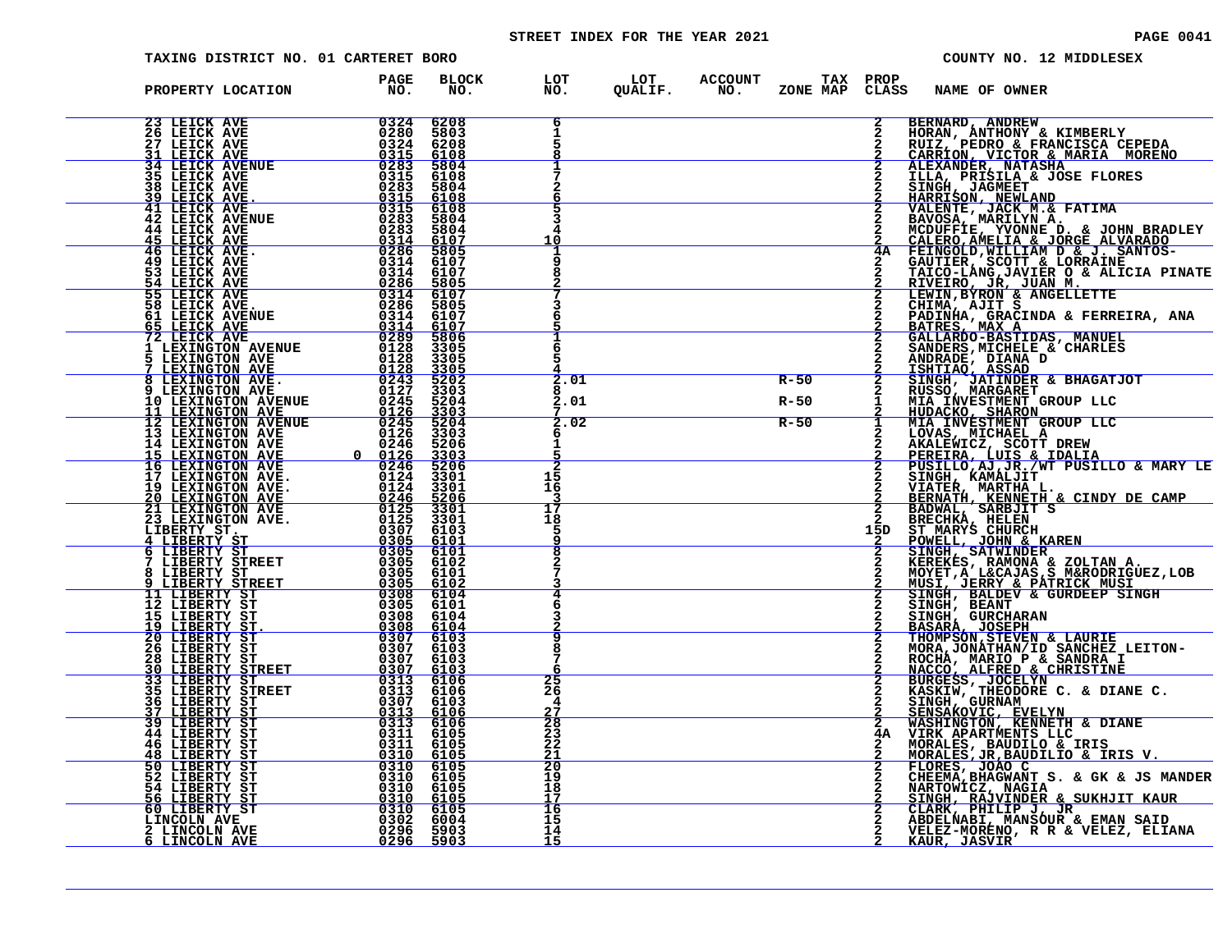# STREET INDEX FOR THE YEAR 2021 **PAGE 10041** PAGE 0041

| TAXING DISTRICT NO. 01 CARTERET BORO                                                                                                                                                                                                                                                                                   |                                                                                                                                                                                                 |                                                |                                                                                           | COUNTY NO. 12 MIDDLESEX                                                                                                                                                                                                                                |
|------------------------------------------------------------------------------------------------------------------------------------------------------------------------------------------------------------------------------------------------------------------------------------------------------------------------|-------------------------------------------------------------------------------------------------------------------------------------------------------------------------------------------------|------------------------------------------------|-------------------------------------------------------------------------------------------|--------------------------------------------------------------------------------------------------------------------------------------------------------------------------------------------------------------------------------------------------------|
| PROPERTY LOCATION                                                                                                                                                                                                                                                                                                      | <b>PAGE</b><br>NO.                                                                                                                                                                              |                                                | BLOCK LOT LOT ACCOUNT TAX PROP NAME OF OWNER NO. QUALIF. NO. ZONE MAP CLASS NAME OF OWNER |                                                                                                                                                                                                                                                        |
| $\begin{array}{r l} & & 0324 \cr & & 0280 \cr & & 0324 \cr & & 0315 \cr & & 0315 \cr & & 0315 \cr & & 0283 \cr & & 0283 \cr & & 0315 \cr & & 0315 \cr & & 03283 \cr & & 03283 \cr & & 0314 \cr & & & 0314 \cr \end{array}$<br><b>23 LEICK AVE</b><br><b>26 LEICK AVE</b><br><b>27 LEICK AVE</b><br><b>31 LEICK AVE</b> | 6208<br>5803<br>6208<br>6108                                                                                                                                                                    | 6                                              |                                                                                           | BERNARD, ANDREW<br>HORAN, ANTHONY & KIMBERLY<br>RUIZ, PEDRO & FRANCISCA CEPEDA<br>CARRION, VICTOR & MARIA MORENO                                                                                                                                       |
| <b>34 LEICK AVENUE<br/>35 LEICK AVE</b><br>38 LEICK AVE<br>39 LEICK AVE.<br>41 LEICK AVE                                                                                                                                                                                                                               | 5804<br>6108<br>5804                                                                                                                                                                            |                                                |                                                                                           |                                                                                                                                                                                                                                                        |
| <b>42 LEICK AVENUE</b><br><b>44 LEICK AVE</b>                                                                                                                                                                                                                                                                          | $\frac{6108}{6108}$<br>5804<br>5804<br>6107                                                                                                                                                     | 10                                             |                                                                                           | 2 CARRION, VICTOR & MARIA MORENO<br>2 LLEXANDER, NATASHA<br>2 LLEA, PRISILA & JOSE FLORES<br>2 HARRISON, NEWLAND<br>2 HARRISON, NEWLAND<br>2 VALENTE, JACK M.& FATIMA<br>2 MALENTE, YVONNE D. & JOHN BRADLEY<br>2 CALERO, AMELIA & JORGE ALVARADO<br>4 |
| 45 LEICK AVE.<br>46 LEICK AVE.<br>49 LEICK AVE.<br>53 LEICK AVE<br>54 LEICK AVE                                                                                                                                                                                                                                        | $\begin{array}{r} 0.283 \\ -0.314 \\ -0.286 \\ -0.314 \\ 0.314 \\ 0.314 \end{array}$<br>5805<br>6107<br>$\begin{array}{r} 03\overline{14}\\ 0286 \end{array}$<br>6107<br>5805                   |                                                |                                                                                           | TAICO-LANG, JAVIER O & ALICIA PINATE                                                                                                                                                                                                                   |
| 55 LEICK AVE<br>58 LEICK AVE.<br>61 LEICK AVENUE                                                                                                                                                                                                                                                                       | $\begin{array}{r} 0314 \\ 0314 \\ 0286 \\ 0314 \end{array}$<br>6107<br>5805<br>6107                                                                                                             |                                                |                                                                                           | RIVEIRO, JR, JUAN M.<br>LEWIN, BYRON & ANGELLETTE<br>CHIMA, AJIT S<br>PADINHA, GRACINDA & FERREIRA, ANA<br>BATRES, MAX A GALLARDO-BASTIDAS, MANUEL                                                                                                     |
| 65 LEICK AVE<br>72 LEICK AVE<br>1 LEXINGTON AVENUE<br>5 LEXINGTON AVE<br>7 LEXINGTON AVE<br>8 LEXINGTON AVE.<br>9 LEXINGTON AVE.                                                                                                                                                                                       | $\begin{array}{r} 0.4888 \\ 0.314 \\ 0.314 \\ 0.289 \\ 0.128 \\ 0.128 \\ 0.243 \\ \hline \end{array}$<br>$\frac{6107}{5806}$<br>3305<br>3305<br>3305                                            | 6                                              |                                                                                           | SANDERS, MICHELE & CHARLES<br>ANDRADE, DIANA D<br>ISHTIAO, ASSAD                                                                                                                                                                                       |
|                                                                                                                                                                                                                                                                                                                        | $\frac{5202}{3303}$                                                                                                                                                                             | 2.01<br>2.01                                   | $R-50$<br>R-50                                                                            | SINGH, JATINDER & BHAGATJOT<br>RUSSO, MARGARET<br>$\mathbf{1}$<br>NIA INVESTMENT GROUP LLC<br>HUDACKO, SHARON<br>MIA INVESTMENT GROUP LLC<br>$\frac{\overline{2}}{1}$                                                                                  |
|                                                                                                                                                                                                                                                                                                                        |                                                                                                                                                                                                 | 2.02                                           | $R-50$                                                                                    | LOVAS, MICHAEL A<br>AKALEWICZ, SCOTT DREW<br>PEREIRA, LUIS & IDALIA<br>PUSILLO, AJ, JR., WT PUSILLO & MARY LE                                                                                                                                          |
|                                                                                                                                                                                                                                                                                                                        |                                                                                                                                                                                                 | 15<br>16                                       |                                                                                           | SINGH, KAMALJIT                                                                                                                                                                                                                                        |
|                                                                                                                                                                                                                                                                                                                        |                                                                                                                                                                                                 | 17<br>18<br>5                                  |                                                                                           | 2 STAWER, MARIBI L.<br>2 BERNATH, KENNETH & CINDY DE CAMP<br>2 BADWAL, SARBJIT S<br>2 BRECHKA, HELEN<br>15D ST MARYS CHURCH<br>POWELL, JOHN & KAREN                                                                                                    |
|                                                                                                                                                                                                                                                                                                                        |                                                                                                                                                                                                 |                                                |                                                                                           | SINGH, SATWINDER<br>KEREKES, RAMONA & ZOLTAN A.<br>MOYET, A L&CAJAS, S M&RODRIGUEZ, LOB<br>MUSI, JERRY & PATRICK MUSI                                                                                                                                  |
|                                                                                                                                                                                                                                                                                                                        |                                                                                                                                                                                                 |                                                |                                                                                           | SINGH, BALDEV & GURDEEP SINGH<br>SINGH, BEANT<br>SINGH, GURCHARAN<br>BASARA, JOSEPH<br>THOMPSON, STEVEN & LAURIE                                                                                                                                       |
|                                                                                                                                                                                                                                                                                                                        |                                                                                                                                                                                                 | 8                                              |                                                                                           | MORA, JONATHAN/ID SANCHEZ LEITON-ROCHA, MARIO P & SANDRA I                                                                                                                                                                                             |
|                                                                                                                                                                                                                                                                                                                        |                                                                                                                                                                                                 | 25<br>26<br>4<br><u>27</u>                     |                                                                                           | NACCO, ALFRED & CHRISTINE<br>BURGESS, JOCELYN<br>ENRGESS, JOCELYN<br>KASKIW, THEODORE C. & DIANE C.<br>SINGH, GURNAM<br>SENSAKOVIC, EVELYN<br>WASHINGTON, KENNETH & DIANE<br>WASHINGTON, KENNETH & DIANE<br>$\overline{2}$                             |
| <b>48 LIBERTY ST<br/>50 LIBERTY ST</b>                                                                                                                                                                                                                                                                                 |                                                                                                                                                                                                 | $\overline{28}$<br>23<br>22<br>$\frac{21}{20}$ |                                                                                           | 4A VIRK APARTMENTS LLC                                                                                                                                                                                                                                 |
| <b>52 LIBERTY ST<br/>54 LIBERTY ST<br/>56 LIBERTY ST<br/>60 LIBERTY ST<br/>LINCOLN AVE</b>                                                                                                                                                                                                                             | $\begin{array}{r} 0311\ 61055\ 0311\ 61055\ 0311\ 61055\ 0310\ 6105\ 0310\ 6105\ 0310\ 6105\ 0310\ 6105\ 0310\ 6105\ 0310\ 6105\ 0310\ 6105\ 0310\ 6105\ 03296\ 5903\ 02296\ 5903\ \end{array}$ | 19<br>18<br>17                                 |                                                                                           | VIRA AFARIMENTI D'EU<br>MORALES, BAUDILO & IRIS V.<br>FLORES, JR, BAUDILIO & IRIS V.<br>CHEEMA, BHAGWANT S. & GK & JS MANDER<br>NARTOWICZ, NAGIA<br>SINGH, RAJVINDER & SUKHJIT KAUR<br>SINGH, RAJVINDER & SUKHJIT KAUR                                 |
| 2 LINCOLN AVE<br>LINCOLN AVE<br>6                                                                                                                                                                                                                                                                                      |                                                                                                                                                                                                 | $\frac{16}{15}$<br>14<br>15                    |                                                                                           | CLARK, PHILIP J, JR<br>ABDELNABI, MANSOUR & EMAN SAID<br>VELEZ-MORENO, R R & VELEZ, ELIANA<br><b>KAUR, JASVIR</b>                                                                                                                                      |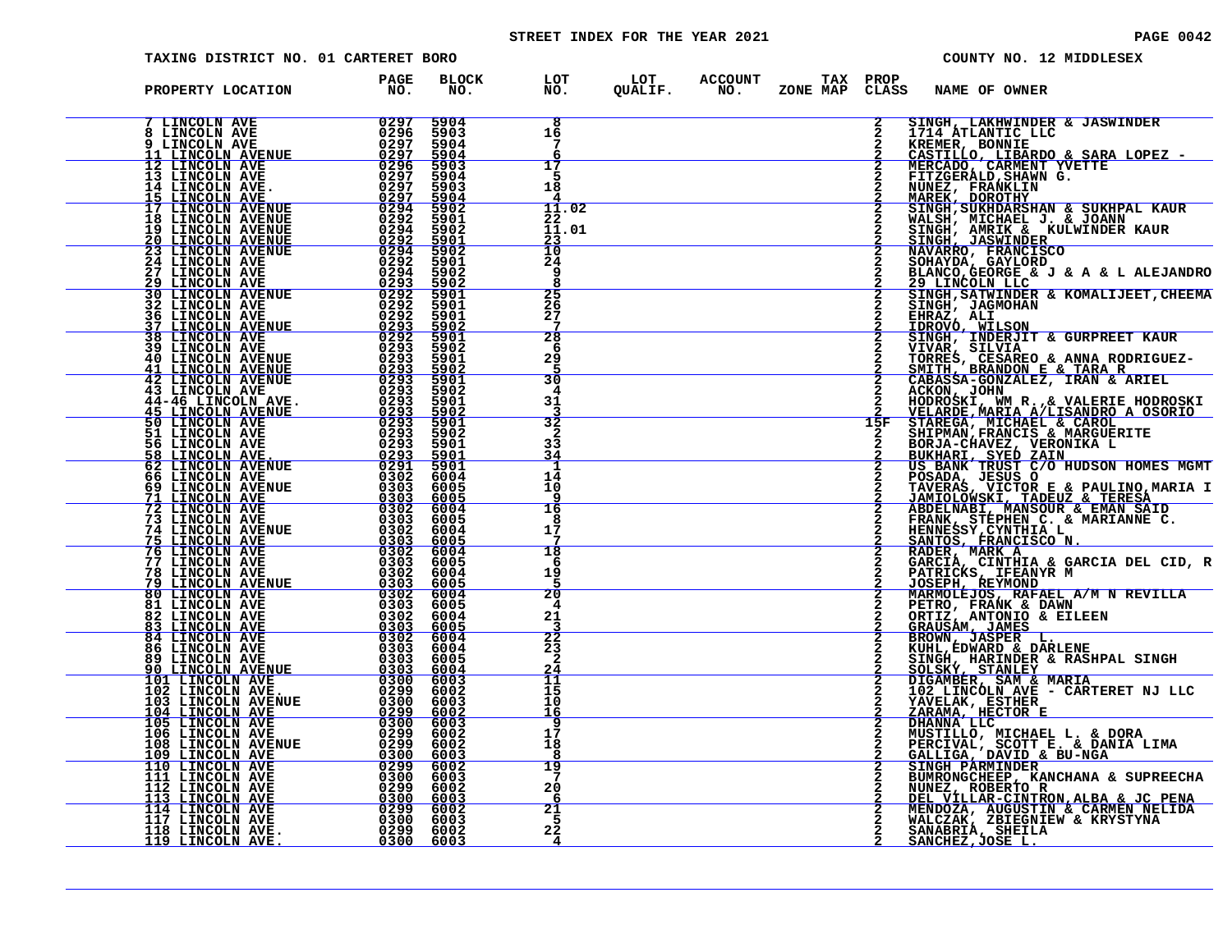# STREET INDEX FOR THE YEAR 2021 **PAGE 10042** PAGE 0042

| TAXING DISTRICT NO. 01 CARTERET BORO                                                                                                                                                                                                                                                                                                                                                                                         |                                    |                                                                                           | COUNTY NO. 12 MIDDLESEX                                                                                                                                                                                                                                      |
|------------------------------------------------------------------------------------------------------------------------------------------------------------------------------------------------------------------------------------------------------------------------------------------------------------------------------------------------------------------------------------------------------------------------------|------------------------------------|-------------------------------------------------------------------------------------------|--------------------------------------------------------------------------------------------------------------------------------------------------------------------------------------------------------------------------------------------------------------|
| PROPERTY LOCATION PAGE PROPERTY LOCATION                                                                                                                                                                                                                                                                                                                                                                                     |                                    | BLOCK LOT LOT ACCOUNT TAX PROP NAME OF OWNER NO. QUALIF. NO. ZONE MAP CLASS NAME OF OWNER |                                                                                                                                                                                                                                                              |
|                                                                                                                                                                                                                                                                                                                                                                                                                              | $\overline{\mathbf{8}}$<br>16<br>7 | $\mathbf{2}$                                                                              | SINGH, LAKHWINDER & JASWINDER<br>1714 ATLANTIC LLC                                                                                                                                                                                                           |
|                                                                                                                                                                                                                                                                                                                                                                                                                              | 17<br>5<br>18                      | $\mathbf{2}$                                                                              | <b>TREMER, BONNIE<br/>CASTILLO, LIBARDO &amp; SARA LOPEZ -<br/>MERCADO, CARMENT YVETTE<br/>FITZGERALD, SHAMN G.</b>                                                                                                                                          |
|                                                                                                                                                                                                                                                                                                                                                                                                                              | 11.02<br>22<br>11.01               |                                                                                           | NUNEZ, FRANKLIN<br>MUNEZ, FRANKLIN<br>MAREK, DOROTHY<br>SINGH, SUKHDARSHAN & SUKHPAL KAUR                                                                                                                                                                    |
|                                                                                                                                                                                                                                                                                                                                                                                                                              | $\frac{23}{10}$<br>24<br><b>g</b>  |                                                                                           | MALSH, MICHAEL J. & JOANN<br>SINGH, AMRIK & KULWINDER KAUR<br>SINGH, JASWINDER & KULWINDER KAUR<br>NAVARRO, FRANCISCO<br>SOHAYDA, GAYLORD                                                                                                                    |
|                                                                                                                                                                                                                                                                                                                                                                                                                              | $\frac{25}{26}$<br>27              |                                                                                           | BLANCO, GEORGE & J & A & L ALEJANDRO 29 LINCOLN LLC<br>SINGH, SATWINDER & KOMALIJEET, CHEEMA<br>SINGH, JAGMOHAN<br>EHRAZ, ALI                                                                                                                                |
|                                                                                                                                                                                                                                                                                                                                                                                                                              | 28<br>6<br>29                      |                                                                                           | IDROVÓ, WILSON<br>SINGH, INDERJIT & GURPREET KAUR                                                                                                                                                                                                            |
|                                                                                                                                                                                                                                                                                                                                                                                                                              | 5<br>30<br>4<br>31                 |                                                                                           | VIVAR, SILVIA<br>TORRES, CESAREO & ANNA RODRIGUEZ-<br>SMITH, BRANDON E & TARA R<br>CABASSA-GONZALEZ, IRAN & ARIEL<br>ACKON, JOHN                                                                                                                             |
|                                                                                                                                                                                                                                                                                                                                                                                                                              | $\overline{32}$<br>2<br>33         | 15F                                                                                       | HODROSKI, WM R., & VALERIE HODROSKI<br>VELARDE, MARIA A/LISANDRO A OSORIO                                                                                                                                                                                    |
|                                                                                                                                                                                                                                                                                                                                                                                                                              | 34<br>-1<br>14<br>10               |                                                                                           | <b>STAREGA, MICHAEL &amp; CAROL<br/>SHIPMAN, FRANCIS &amp; MARGUERITE<br/>BORJA-CHAVEZ, VERONIKA L<br/>BUKHARI, SYED ZAIN<br/>US BANK TRUST C/O HUDSON HOMES MGMT<br/>POSADA, JESUS O F &amp; DAW TWO MADIA T</b>                                            |
|                                                                                                                                                                                                                                                                                                                                                                                                                              | 16<br>8<br>17                      |                                                                                           | TAVERAS, VICTOR E & PAULINO, MARIA I<br>JAMIOLOWSKI, TADEUZ & TERESA<br>ABDELNABI, MANBUR & EMAN SAID<br>FRANK, STEPHEN C. & MARIANNE C.<br>HENNESSY, CYNTHIA L<br>SANTOS, FRANCISCO N.<br>RADER, MARK A.                                                    |
|                                                                                                                                                                                                                                                                                                                                                                                                                              | 18<br>-6                           |                                                                                           |                                                                                                                                                                                                                                                              |
|                                                                                                                                                                                                                                                                                                                                                                                                                              | 19<br>20<br>4                      |                                                                                           | GARCIA, CINTHIA & GARCIA DEL CID, R<br>PATRICKS, IFEANYR M<br>JOSEPH, REYMOND<br>MARMOLEJOS, RAFAEL A/M N REVILLA<br>PETRO, FRANK & DAWN                                                                                                                     |
|                                                                                                                                                                                                                                                                                                                                                                                                                              | 21<br>22<br>23                     |                                                                                           | PETRO, FRANK & DAWN<br>GRAUSAM, JAMES<br>BROWN, JASPER L.<br>KUHL, EDWARD & DARLENE<br>BINGH, HONARD & DARLENE<br>SINGH, HARD & DARLENE<br>SOLSKY, STANLEY<br>DIGAMBER, SAM & MARIA<br>DIGAMBER, SAM & MARIA<br>102 LINCOLN AVE - CARTERET NJ LLC<br>VAUELAK |
|                                                                                                                                                                                                                                                                                                                                                                                                                              | 2<br>$^{24}_{11}$<br>15            |                                                                                           |                                                                                                                                                                                                                                                              |
|                                                                                                                                                                                                                                                                                                                                                                                                                              | 10<br><u> 16</u><br>q<br>17        | $\overline{2}$                                                                            | YAVELAK, ESTHER<br>ZARAMA, HECTOR E<br>DHANNA LLC                                                                                                                                                                                                            |
| ${\small \begin{tabular}{@{0.8cm}c@{}}\hline \textbf{FROPERTY: LOCATION NVE} & \textbf{FAGC} & \textbf{BLOC} \\ \hline \textbf{7 LINCOLIN AVE} & \textbf{80.5} & \textbf{BLOC} \\ \hline \textbf{81 LINCOLIN AVE} & \textbf{9237} & \textbf{5904} \\ \hline \textbf{91 LINCOLIN AVE} & \textbf{9239} & \textbf{5904} \\ \hline \textbf{11 LINCOLIN AVE} & \textbf{9239} & \textbf{5904} \\ \hline \textbf{121 LINCOLIN AVE}$ | 18<br>8<br>19                      |                                                                                           | MUSTILLO, MICHAEL L. & DORA<br>PERCIVAL, SCOTT E. & DANIA LIMA<br>GALLIGA, DAVID & BU-NGA<br>SINGH PARMINDER<br>SINGH PARMINDER                                                                                                                              |
|                                                                                                                                                                                                                                                                                                                                                                                                                              | 20<br>-6<br>21<br>.5               |                                                                                           | <b>BIMRONGCHEEP, KANCHANA &amp; SUPREECHA<br/>NUNEZ, ROBERTO R<br/>DEL VILLAR-CINTRON, ALBA &amp; JC PENA<br/>MENDOZA, AUGUSTIN &amp; CARMEN NELIDA<br/>WALCZAK, ZBIEGNIEW &amp; KRYSTYNA</b>                                                                |
|                                                                                                                                                                                                                                                                                                                                                                                                                              | 22<br>4                            |                                                                                           | SANABRIA, SHEILA<br><u>SANCHEZ, JOSE L.</u>                                                                                                                                                                                                                  |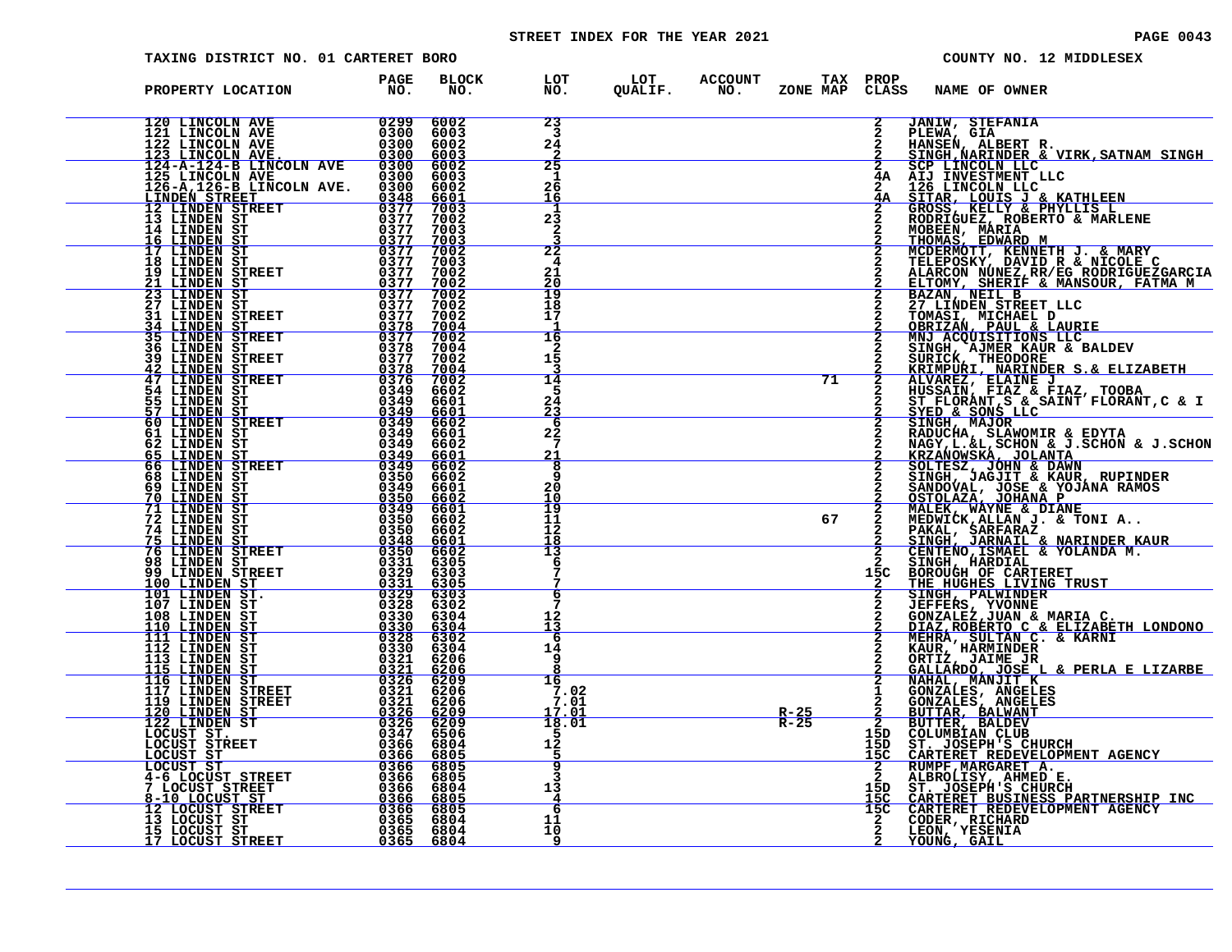# STREET INDEX FOR THE YEAR 2021 **PAGE 10043** PAGE 0043

| TAXING DISTRICT NO. 01 CARTERET BORO                                                                                                                                                                                                                                                                                                                                                   |                     |              |                                                           |                  |    |                                    |                                                                  | COUNTY NO. 12 MIDDLESEX                                                                                                                                                                                                                                         |
|----------------------------------------------------------------------------------------------------------------------------------------------------------------------------------------------------------------------------------------------------------------------------------------------------------------------------------------------------------------------------------------|---------------------|--------------|-----------------------------------------------------------|------------------|----|------------------------------------|------------------------------------------------------------------|-----------------------------------------------------------------------------------------------------------------------------------------------------------------------------------------------------------------------------------------------------------------|
| PROPERTY LOCATION                                                                                                                                                                                                                                                                                                                                                                      | PAGE<br>FAGE<br>NO. | BLOCK<br>NO. | LOT LOT ACCOUNT TAX PROP<br>NO. QUALIF. NO. ZONE_MAPCLAS: |                  |    |                                    | CLASS NAME OF OWNER                                              |                                                                                                                                                                                                                                                                 |
| $\begin{tabular}{ c  c  c c c c} \hline 120 LINCOLN AVE & 0299 & 6002 \\ 121 LINCOLN AVE & 0300 & 6003 \\ 122 LINCOLN AVE & 0300 & 6002 \\ 123 LINCOLN AVE & 0300 & 6003 \\ 123 LINCOLN AVE & 0300 & 6003 \\ 124-R-124-B LINCOLN AVE & 0300 & 6002 \\ 125 LINCOLN AVE & 0300 & 6002 \\ 126-A, 126-B LINCOLN AVE & 0300 & 6002 \\ 1$                                                    |                     |              | 23<br>$\overline{\mathbf{3}}$<br>24                       |                  |    | $\mathbf{2}$                       | <b>JANIW, STEFANIA</b>                                           |                                                                                                                                                                                                                                                                 |
|                                                                                                                                                                                                                                                                                                                                                                                        |                     |              | 25<br>$\mathbf 1$<br>26<br>16                             |                  |    |                                    |                                                                  | 2 DEEWN, SIR<br>2 HANSEN, ALBERT R.<br>2 SINGH, NARINDER & VIRK, SATNAM SINGH<br>2 SCP LINCOLN LLC<br>4A AIJ INVESTMENT LLC<br>2, 124 DENNIVOLIN LLC<br>2, 124 DENNIVOLIN LLC<br>2, 124 DENNIVOLIN LLC<br>SITAR, LOUIS J & KATHLEEN<br>GROSS, KELLY & PHYLLIS L |
|                                                                                                                                                                                                                                                                                                                                                                                        |                     |              | 23<br>2                                                   |                  |    |                                    |                                                                  | RODRIGUEZ, ROBERTO & MARLENE<br>MOBEEN, MARIA<br>MOBEEN, MARIA<br>MCDERMOTT, KENNETH J. & MARY<br>TELEPOSKY, DAVID R & NICOLETC<br>TELEPOSKY, DAVID R & NICOLETC                                                                                                |
|                                                                                                                                                                                                                                                                                                                                                                                        |                     |              | $\overline{22}$<br>4<br>21<br><u> 20</u><br>19            |                  |    |                                    |                                                                  |                                                                                                                                                                                                                                                                 |
|                                                                                                                                                                                                                                                                                                                                                                                        |                     |              | 18<br>17<br>16                                            |                  |    |                                    |                                                                  | TELEFOSKY, DAVID K & NICOLE C<br>ELTOMY, SHERIF & MANSOUR, FATMA M<br>BAZAN, NEIL B<br>27 LINDEN STREET LLC<br>27 LINDEN STREET LLC<br>COMASI, MICHAEL D<br>OBRIZAN, PAUL & LAURIE<br>MNJ ACQUISITIONS LLC<br>MNJ ACQUISITIONS LLC                              |
|                                                                                                                                                                                                                                                                                                                                                                                        |                     |              | 2<br>15<br>14<br>5                                        |                  | 71 |                                    |                                                                  | <b>SINGH, AJMER KAUR &amp; BALDEV<br/>SURICK, THEODORE<br/><u>KRIMPURI, NARINDER S.&amp; ELIZABETH</u></b>                                                                                                                                                      |
|                                                                                                                                                                                                                                                                                                                                                                                        |                     |              | 24<br>23<br>6<br>22                                       |                  |    |                                    |                                                                  |                                                                                                                                                                                                                                                                 |
|                                                                                                                                                                                                                                                                                                                                                                                        |                     |              | 7<br>21<br>8<br>q                                         |                  |    |                                    |                                                                  |                                                                                                                                                                                                                                                                 |
|                                                                                                                                                                                                                                                                                                                                                                                        |                     |              | 20<br>10<br>19<br>11<br>12                                |                  | 67 |                                    |                                                                  | KRIMPURI, NARINDER S.& ELIZABETH<br>ALVAREZ, ELAINE J<br>HUSSAIN, FIAZ & FIAZ, TOOBA<br>ST FLORANT, S & SAINT FLORANT, C & I<br>STED & SONS LLC<br>SINGH, MAJOR<br>ANDUCHA, SLANOMIR & EDYTA<br>NAGY, L.&L, SCHON & J.SCHON & J.SCHON<br>KRZANOMSKA, J          |
|                                                                                                                                                                                                                                                                                                                                                                                        |                     |              | 18<br>Ī3<br>6                                             |                  |    | 15C                                | SINGH, HARDIAL<br>BOROUGH OF CARTERET<br>THE HUGHES LIVING TRUST | SINGH, JARNAIL & NARINDER KAUR<br>CENTENO,ISMAEL & YOLANDA M.                                                                                                                                                                                                   |
|                                                                                                                                                                                                                                                                                                                                                                                        |                     |              | 6<br>12                                                   |                  |    |                                    |                                                                  | THE HUGHES LIVING TRUST<br>SINGH, PALWINDER<br>JEFFERS, YVONNE<br>GONZALEZ, JUAN & MARIA C.<br>DIAZ, ROBERTO C & ELIZABETH LONDONO<br>MEHRA, SULTAN C. & KARNI<br>KAUR, HARMINDER<br>CRILZ, JAIME JR<br>CRILZ, DALME JR. & PEPIA F LIZABBE<br>CR                |
|                                                                                                                                                                                                                                                                                                                                                                                        |                     |              | <u> 13</u><br>6<br>14<br>9                                |                  |    |                                    |                                                                  |                                                                                                                                                                                                                                                                 |
|                                                                                                                                                                                                                                                                                                                                                                                        |                     |              | 16<br>7.02<br>7.01<br>17.01                               | $R-25$<br>$R-25$ |    | $\frac{\bar{2}}{2}$                |                                                                  | 2 ORILLARDO, JOSE L & PERLA E LIZARBE<br>2 GALLARDO, JOSE L & PERLA E LIZARBE<br>2 GONZALES, ANGELES<br>2 GONZALES, ANGELES<br>2 BUTTER, BALDEV<br>2 BUTTER, BALDEV<br>15D COLUMBIAN CLUB<br>15D COLUMBIAN CLUB<br>15D COLUMBIAN CLUB<br>15D ST.                |
| $\begin{tabular}{@{}c c c c} \multicolumn{1}{c}{\textbf{3.49} & \textbf{5.1.1} & \textbf{5.1} & \textbf{6.1} & \textbf{7.1} & \textbf{9.1} & \textbf{1.1} & \textbf{1.1} & \textbf{1.1} & \textbf{1.1} & \textbf{1.1} & \textbf{1.1} & \textbf{1.1} & \textbf{1.1} & \textbf{1.1} & \textbf{1.1} & \textbf{1.1} & \textbf{1.1} & \textbf{1.1} & \textbf{1.1} & \textbf{1.1} & \textbf$ |                     |              | 18.01<br>12                                               |                  |    | 15C                                |                                                                  |                                                                                                                                                                                                                                                                 |
|                                                                                                                                                                                                                                                                                                                                                                                        |                     |              | в<br>13<br>$\overline{4}$<br>$\overline{6}$               |                  |    | $\frac{2}{2}$<br>15D<br>15C<br>15C |                                                                  | <b>ST. JOSEPH'S CHURCH AGENCY<br/>CARTERET REDEVELOPMENT AGENCY<br/>RUMPF, MARGARET A.<br/>ALBROLISY, AHMED E.<br/>CARTERET BUSINESS PARTNERSHIP INC<br/>CARTERET BUSINESS PARTNERSHIP INC<br/>CODER, RICHARD<br/>LEON, YESENIA</b><br>YOUNG, GAIL              |
|                                                                                                                                                                                                                                                                                                                                                                                        |                     |              | 11<br>10<br>9                                             |                  |    |                                    |                                                                  |                                                                                                                                                                                                                                                                 |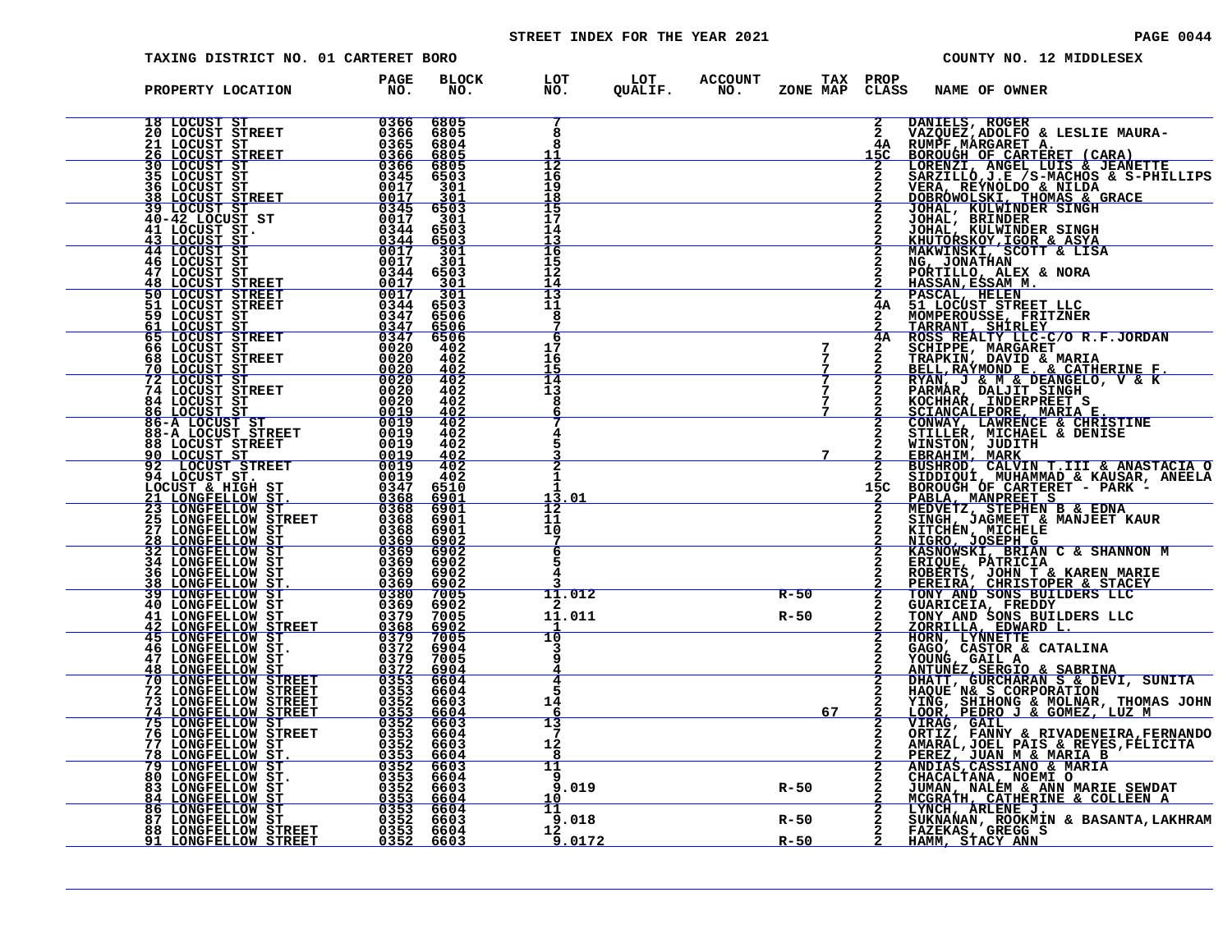# STREET INDEX FOR THE YEAR 2021 **PAGE 10044** PAGE 0044

| TAXING DISTRICT NO. 01 CARTERET BORO                                                                                                                                                                                                                                                                                                                                     |                                                |                                                 |                                                           |        |                    |                                     | COUNTY NO. 12 MIDDLESEX                                                                                                                                                                                                                                |
|--------------------------------------------------------------------------------------------------------------------------------------------------------------------------------------------------------------------------------------------------------------------------------------------------------------------------------------------------------------------------|------------------------------------------------|-------------------------------------------------|-----------------------------------------------------------|--------|--------------------|-------------------------------------|--------------------------------------------------------------------------------------------------------------------------------------------------------------------------------------------------------------------------------------------------------|
| PROPERTY LOCATION                                                                                                                                                                                                                                                                                                                                                        | PAGE<br>NO <sub>z</sub>                        | BLOCK<br>NO.                                    | LOT LOT ACCOUNT TAX PROP<br>NO. QUALIF. NO. ZONE_MAPCLAS: |        |                    |                                     | ZONE MAP CLASS NAME OF OWNER                                                                                                                                                                                                                           |
|                                                                                                                                                                                                                                                                                                                                                                          |                                                | 6805<br>6805<br>6804<br>6805                    | 8                                                         |        |                    | $\mathbf{2}$<br>$\mathbf{2}$<br>15C | DANIELS, ROGER<br>VAZQUEZ, ADOLFO & LESLIE MAURA-                                                                                                                                                                                                      |
|                                                                                                                                                                                                                                                                                                                                                                          |                                                | $6805$<br>6503<br>301                           | 12<br>16<br>19<br>18                                      |        |                    |                                     | 2 VAZQUEZ, ADOLFO & LESLIE MAURA-<br>15C BOROUGH OF CARTERET (CARA)<br>2 LORENZI, ANGEL LUIS & JEANETTE<br>2 SARZILLÓ, J.E / S-MACHOS & S-PHILLIPS<br>2 VERA, REYNOLDO & NILDA<br>2 DOBRÓWOLSKI, THOMAS & GRACE<br>2 JOHAL, RULWINDER SINGH<br>2 JO    |
|                                                                                                                                                                                                                                                                                                                                                                          |                                                | $\frac{301}{6503}$<br>301<br>6503               | $\overline{15}$<br>17<br>14<br>13                         |        |                    |                                     | JOHAL, BRINDER<br>JOHAL, KULWINDER SINGH<br>KHUTORSKOY, IGOR & ASYA                                                                                                                                                                                    |
| 39 LOCUST ST<br>40-42 LOCUST ST<br>41 LOCUST ST<br>43 LOCUST ST<br>44 LOCUST ST<br>44 LOCUST ST<br>46 LOCUST STREET<br>50 LOCUST STREET<br>55 LOCUST STREET<br>65 LOCUST STREET<br>65 LOCUST STREET<br>65 LOCUST STREET<br>65 LOCUST STREET                                                                                                                              |                                                | $\frac{6503}{301}$<br>301<br>6503<br>301        | 16<br>15<br>12<br>14                                      |        |                    |                                     | MAKWINSKI, SCOTT & LISA<br>NG, JONATHAN<br>PORTILLO, ALEX & NORA<br>HASSAN, ESSAM M.                                                                                                                                                                   |
|                                                                                                                                                                                                                                                                                                                                                                          | $\overline{0012}$<br>$\frac{03\bar{4}4}{0347}$ | 301<br>6503<br>6506                             | 13<br>11<br>8                                             |        |                    |                                     | 2 FRANCIS, ALEX & NORA<br>2 FIASSAM, ESSAM M.<br>2 FASSAM, ESSAM M.<br>2 FASCAL, HELEN<br>4A ROSS REALTY LLC-C/O R.F.JORDAN<br>2 TRARANT, SHIRLEY<br>2 CHIPPE, MARGARET<br>2 SCHIPPE, MARGARET<br>2 FRAPKIN, DAVID E. & CATHERINE F.<br>2 FARMAR       |
| $\frac{0.347}{0.347}$<br><b>66 LOCUST ST<br/>68 LOCUST STREET<br/>70 LOCUST ST<br/>72 LOCUST ST<br/>74 LOCUST STREET</b>                                                                                                                                                                                                                                                 | $\frac{0020}{0020}$                            | 6506<br>6506<br>402<br>402<br>402               | 6<br>17<br>16<br>15                                       |        | $\frac{7}{7}$      |                                     |                                                                                                                                                                                                                                                        |
|                                                                                                                                                                                                                                                                                                                                                                          | 0020                                           | 402<br>402<br>402                               | 14<br>13<br>8                                             |        |                    |                                     |                                                                                                                                                                                                                                                        |
|                                                                                                                                                                                                                                                                                                                                                                          |                                                | $\frac{402}{402}$<br>402<br>402                 |                                                           |        | 7                  |                                     |                                                                                                                                                                                                                                                        |
|                                                                                                                                                                                                                                                                                                                                                                          |                                                | $\frac{402}{402}$<br>402<br>6510<br><u>6901</u> | 13.01                                                     |        |                    |                                     |                                                                                                                                                                                                                                                        |
| 74 LOCUST STREET<br>$\begin{array}{cccc} 74 & 10 \text{CUST STREE} & 00220 \\ 84 & 10 \text{CUST ST} & 00220 \\ 84 & 10 \text{CUST ST} & 00129 \\ 86 - \text{A LOCUST ST} & 00119 \\ 86 - \text{A LOCUST ST} & 00119 \\ 86 - \text{A LOCUST STREE} & 00019 \\ 86 - \text{A LOCUST STREE} & 00019 \\ 90 & \text{LOCUST ST} & 00119 \\ 90 & \text{LOCUST ST} & 00119 \\ 9$ |                                                | 6901<br>6901<br>6901                            | 12<br>11<br>10<br>7                                       |        |                    |                                     |                                                                                                                                                                                                                                                        |
|                                                                                                                                                                                                                                                                                                                                                                          |                                                | 6902<br>6902<br>6902<br><u>6902</u><br>7005     | 6                                                         |        |                    |                                     |                                                                                                                                                                                                                                                        |
|                                                                                                                                                                                                                                                                                                                                                                          |                                                | 6902<br>7005<br>$\frac{6902}{7005}$             | 11.012<br>11.011                                          |        | $R-50$<br>R-50     | $\frac{2}{2}$                       | KASNOWSKI, BRIAN C & SHANNON MERIQUE, PATRICIA<br>ROBERTS, JOHN T & KAREN MARIE<br>PEREIRA, CHRISTOPER & STACEY<br>TONY AND SONS BUILDERS LLC<br>GUARICEIA, FREDDY<br>TONY AND SONS BUILDERS LLC<br>ZORRILLA, EDWARD L.<br>HORN, LYNNETTE<br>HORN, LYN |
|                                                                                                                                                                                                                                                                                                                                                                          |                                                | 6904<br>7005                                    | 10                                                        |        |                    |                                     |                                                                                                                                                                                                                                                        |
|                                                                                                                                                                                                                                                                                                                                                                          |                                                |                                                 | 4<br>5<br>14<br>-6                                        |        | 67                 |                                     | HOKN, LINNETHE<br>CAGO, CASTOR & CATALINA<br>YOUNG, GAIL A<br>ANTUNEZ, SERGIO & SABRINA<br>DHATT, GURCHARAN S & CORPORATION<br>HAQUE N& S CORPORATION<br>YING, SHIHONG & MOLNAR, THOMAS JOHN<br>LOOR, PEDRO J & GOMEZ, LUZ M<br>LOOR, PEDRO J & GOMEZ, |
|                                                                                                                                                                                                                                                                                                                                                                          |                                                |                                                 | 13<br>12<br>8                                             |        |                    |                                     | VIRAG, GAIL                                                                                                                                                                                                                                            |
| $\begin{tabular}{c c c} $47$~LONGFELLOW $51$ & $0374$ & $7045$ \\ \hline $48$~LONGFELLOW $ST$ & $0372$ & $6904$ \\ \hline $70$~LONGFELLOW $TREETT$ & $0353$ & $6604$ \\ $72$~LONGFELLOW $TREETT$ & $0353$ & $6604$ \\ $73$~LONGFELLOW $TREET$ & $0352$ & $6603$ \\ $74$~LONGFELLOW $STREET$ & $0352$ & $6604$ \\ $75$~LONGFELLOW $$                                      |                                                |                                                 | 11<br>9<br>9.019<br>10                                    | $R-50$ |                    |                                     | VIRAG, GAIL<br>CRITZ, FANNY & RIVADENEIRA, FERNANDO<br>AMARAL, JOEL PAIS & REYES, FELICITA<br><u>PEREZ, JUAN M &amp; MARIA B</u><br>ANDIAS, CASSIANO & MARIA<br>CHACALTANA, NOEMI O<br>JUMAN, NALEM & ANN MARIE SEWDAT<br>MCGRAIH, CATHERINE & COLLEE  |
|                                                                                                                                                                                                                                                                                                                                                                          |                                                |                                                 | 11<br>9.018<br>12<br>9.0172                               |        | $R-50$<br>$R - 50$ | $\frac{2}{2}$                       | LYNCH, ARLENE J.<br>SUKNANA, ROOKNIN & BASANTA, LAKHRAM<br>FAZEKAS, GREGG S<br>HAMM, STACY ANN                                                                                                                                                         |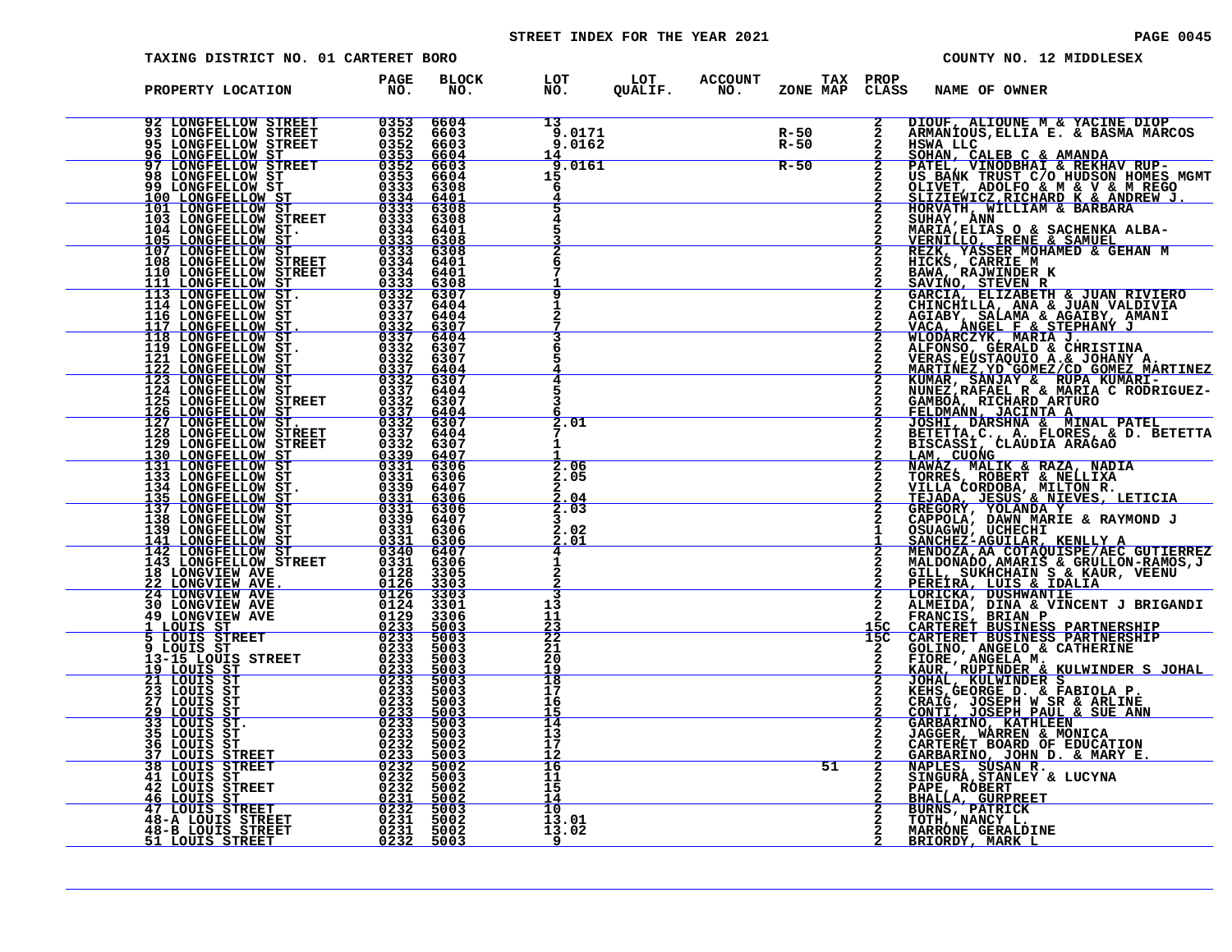# STREET INDEX FOR THE YEAR 2021 **PAGE 10045** PAGE 0045

| <b>TAXING DISTRICT NO. 01 CARTERET BORO</b>                                                                                                                                                                                                        |                                                                                             |                                     |                               |                                                                   | COUNTY NO. 12 MIDDLESEX                                                                                                                                                                                                                                          |
|----------------------------------------------------------------------------------------------------------------------------------------------------------------------------------------------------------------------------------------------------|---------------------------------------------------------------------------------------------|-------------------------------------|-------------------------------|-------------------------------------------------------------------|------------------------------------------------------------------------------------------------------------------------------------------------------------------------------------------------------------------------------------------------------------------|
| PROPERTY LOCATION                                                                                                                                                                                                                                  | <b>PAGE</b><br>NO <sub>z</sub>                                                              | BLOCK<br>NO.                        |                               | LOT LOT ACCOUNT<br>NO. QUALIF. NO.<br><b>TAX PROP</b><br>ZONE MAP | CLASS<br><b>NAME OF OWNER</b>                                                                                                                                                                                                                                    |
|                                                                                                                                                                                                                                                    |                                                                                             | 6604<br>6603<br>6603                | 13<br>9.0171<br>9.0162        | R-50<br>R-50                                                      | DIOUF, ALIOUNE M & YACINE DIOP<br>ARMANIOUS, ELLIA E. & BASMA MARCOS<br>HSWA LLC                                                                                                                                                                                 |
|                                                                                                                                                                                                                                                    |                                                                                             | 6604<br>6603<br>6604<br>6308        | 14<br>9.0161<br>15            | $R-50$                                                            | $\frac{2}{2}$<br>SOHAN, CALEB C & AMANDA<br>PATEL, VINODBHAI & REKHAV RUP-<br>US BANK TRUST C/O HUDSON HOMES MGMT                                                                                                                                                |
|                                                                                                                                                                                                                                                    |                                                                                             | $\frac{6401}{6308}$<br>6308<br>6401 |                               |                                                                   | OLIVET, ADOLFO & M & V & M REGO<br>SLIZIEWICZ, RICHARD K & ANDREW J.<br>HORVATH, MILLIAM & BARBARA<br>SUHAY, ANN ------ - ----------<br>MARIA, ELIAS O & SACHENKA ALBA-                                                                                          |
|                                                                                                                                                                                                                                                    |                                                                                             | 6308<br>6308<br>6401<br>6401        |                               |                                                                   |                                                                                                                                                                                                                                                                  |
| 92 LONGFELLOW STREET<br>93 LONGFELLOW STREET<br>95 LONGFELLOW STREET<br>95 LONGFELLOW STREET<br>95 LONGFELLOW STREET<br>96 LONGFELLOW STREET<br>98 LONGFELLOW STREET<br>98 LONGFELLOW STREET<br>93 LONGFELLOW STREET<br>101 LONGFELLOW STREET<br>1 |                                                                                             | 6308<br>6307<br>6404                |                               |                                                                   | SOMATI, ANN AN EIRINE AN AIR MARIA, ELIAS O & SACHENKA ALBA-VERNILLO, IRENE & SAMUEL<br>REZK, YASSER MOHAMED & GEHAN M<br>HICKS, CARRIE M<br>BAWA, RAJWINDER K<br>SAVINO, STEVEN R<br>GARCIA, ELIZABETH & JUAN NALDIVIA<br>CHINCHILLA, ANA & JUA                 |
|                                                                                                                                                                                                                                                    |                                                                                             | 6404<br>$\frac{6307}{6404}$<br>6307 |                               |                                                                   |                                                                                                                                                                                                                                                                  |
|                                                                                                                                                                                                                                                    |                                                                                             | 6307<br><u>6404</u><br>6307<br>6404 |                               |                                                                   | 2                                                                                                                                                                                                                                                                |
| 125 LONGFELLOW STREET<br>126 LONGFELLOW ST<br>127 LONGFELLOW ST.<br>128 LONGFELLOW STREET<br>129 LONGFELLOW STREET                                                                                                                                 | $0332\n0337\n0332$<br>$0337$<br>$0332$                                                      | 6307<br>$\frac{6404}{6307}$<br>6404 | 2.01                          |                                                                   | $\overline{2}$                                                                                                                                                                                                                                                   |
| 130 LONGFELLOW ST<br>131 LONGFELLOW ST<br>131 LONGFELLOW ST<br>133 LONGFELLOW ST                                                                                                                                                                   | $0339$<br>0331<br>0331                                                                      | 6307<br>$\frac{6407}{6306}$<br>6306 | 2.06<br>2.05                  |                                                                   | LAM, CUONG<br>$\overline{2}$<br>$\mathbf{2}$                                                                                                                                                                                                                     |
| 133 LONGFELLOW ST.<br>133 LONGFELLOW ST.<br>135 LONGFELLOW ST.<br>137 LONGFELLOW ST.<br>137 LONGFELLOW ST.<br>139 LONGFELLOW ST.<br>139 LONGFELLOW ST.<br>142 LONGFELLOW ST.<br>142 LONGFELLOW ST.<br>143 LONGFELLOW STREET 0331<br>143 LONGFELLOW |                                                                                             | 6407<br><u>6306</u><br>6306<br>6407 | 04<br>2.03                    |                                                                   | LAM, CUOMG<br>NAMAZ, MALIK & RAZA, NADIA<br>TORRES, ROBERT & NELLIXA<br>VILLA CORDOBA, MILTON R.<br>TEJADA, JESUS & NIEVES, LETICIA<br>GREGORY, VOLANDA Y<br>CAPPOLA, DAWN MARIE & RAYMOND J<br>OSUAGNU, JOCHECHI<br>CAPPOLA, DAWN MARIE & RAY<br>$\overline{2}$ |
|                                                                                                                                                                                                                                                    |                                                                                             | 6306<br>$\frac{6306}{6407}$<br>6306 | . 02<br>2.<br>2<br>.01        |                                                                   | $\mathbf{1}$<br>SANCHEZ-AGUILAR, KENLLY A MENDOZA, AA COTAQUISPE/AEC GUTIERREZ<br>$\overline{2}$                                                                                                                                                                 |
| 18 LONGVIEW AVE 22 LONGVIEW AVE<br><b>24 LONGVIEW AVE</b><br><b>30 LONGVIEW AVE</b>                                                                                                                                                                | 0126<br>0126<br>0124                                                                        | 3305<br>3303<br>3303<br>3301        | 13                            |                                                                   | MALDONADO, AMARIS & GRULLON-RAMOS, J<br>GILL, SUKHCHAIN S & KAUR, VEENU<br>PEREIRA, LUIS & IDALIA<br>LORICKA, DUSHWANTIE<br>ALMEIDA, DINA & VINCENT J BRIGANDI<br>$\overline{2}$                                                                                 |
| <b>49 LONGVIEW AVE</b><br>1 LOUIS ST<br>5 LOUIS STREET                                                                                                                                                                                             | 0129<br>$\frac{0\bar{2}\bar{3}\bar{3}}{0\bar{2}\bar{3}\bar{3}}$                             | 3306<br>5003<br>5003                | 11<br>$\frac{23}{22}$         |                                                                   | FRANCIS, BRIAN P<br>CARTERET BUSINESS PARTNERSHIP<br>CARTERET BUSINESS PARTNERSHIP<br>15C                                                                                                                                                                        |
| 9 LOUIS ST<br>13-15 LOUIS STREET<br><u>19 LOUIS ST</u><br>21 LOUIS ST                                                                                                                                                                              | $\begin{array}{r} 0233 \\ 0233 \\ 0233 \\ \hline\n0233\n\end{array}$<br>$\frac{0233}{0233}$ | 5003<br>5003<br>5003<br>5003        | $\frac{21}{20}$<br>19<br>18   |                                                                   | CANTERET BUSINESS PARINERSHIP<br>GOLINO, ANGELO & CATHERINE<br>FIORE, ANGELA M.<br>KAUR, RUPINDER & KULWINDER S JOHAL<br>JOHAL, KULWINDER S<br>KEHS, GEORGE D. & FABIOLA P.<br>CRAIG, JOSEPH W SR & ARLINE<br>CONTI, JOSEPH W SR & ARLINE<br>C<br>$\overline{a}$ |
| 23 LOUIS ST<br>27 LOUIS ST<br><u>29 LOUIS ST</u><br>33 LOUIS ST.                                                                                                                                                                                   | 0233<br>0233<br>$\begin{array}{r} 0233 \\ 0233 \\ 0233 \\ 0233 \\ 0232 \end{array}$         | 5003<br>5003<br>5003<br>5003        | 17<br>16<br>15<br>14          |                                                                   |                                                                                                                                                                                                                                                                  |
| 35 LOUIS ST<br>36 LOUIS ST<br><u>37 LOUIS STREET</u><br>38 LOUIS STREET                                                                                                                                                                            | 0233                                                                                        | 5003<br>5002<br>5003<br>5002        | 13<br>17<br>12<br>16          | 51                                                                | GARBARINO, KATHLEEN<br>JAGGER, WARREN & MONICA<br>CARTERET BOARD OF EDUCATION<br><u>GARBARINO, JOHN D. &amp; MARY E.</u><br>2                                                                                                                                    |
| 47 LOUIS STREET                                                                                                                                                                                                                                    | $0232\n0232\n0231\n0232\n02331\n02331$                                                      | 5003<br>5002<br>5002<br>5003        | 11<br>15<br>14<br>10          |                                                                   | NAPLES, SUSAN R.<br>SINGURA, STANLEY & LUCYNA<br>PAPE, RÓBERT<br>BHALLA, GURPREET                                                                                                                                                                                |
| 48-A LOUIS STREET<br>48-B LOUIS STREET<br><u>51 LOUIS STREET</u>                                                                                                                                                                                   | 0231<br><u>0232 _</u>                                                                       | 5002<br>5002<br>5003                | 13.01<br>13.02<br><u>__9_</u> |                                                                   | BURNS, PATRICK<br>TOTH, NANCY L.<br>MARRONE GERALDINE<br><b>BRIORDY, MARK L</b>                                                                                                                                                                                  |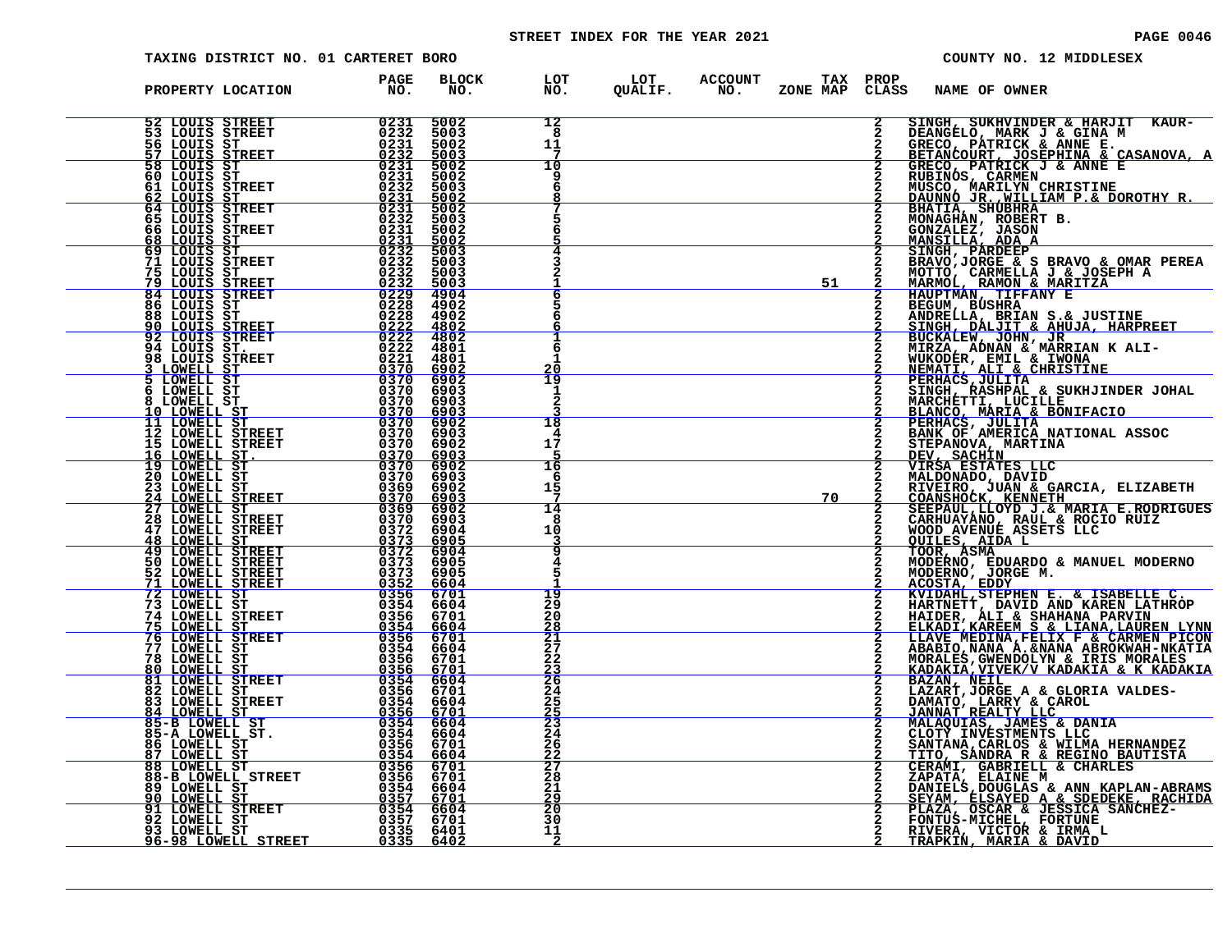# STREET INDEX FOR THE YEAR 2021 **PAGE 10046** PAGE 0046

| TAXING DISTRICT NO. 01 CARTERET BORO                                                                                                                                          |                                                                                                                                                                                                                                                                                      |                                       |                                                                             | COUNTY NO. 12 MIDDLESEX                                                                                                                                                                                                                                                      |
|-------------------------------------------------------------------------------------------------------------------------------------------------------------------------------|--------------------------------------------------------------------------------------------------------------------------------------------------------------------------------------------------------------------------------------------------------------------------------------|---------------------------------------|-----------------------------------------------------------------------------|------------------------------------------------------------------------------------------------------------------------------------------------------------------------------------------------------------------------------------------------------------------------------|
| PROPERTY LOCATION                                                                                                                                                             | <b>BLOCK</b><br>PAGE<br>NO.<br>NO.                                                                                                                                                                                                                                                   |                                       | LOT LOT ACCOUNT TAX PROP<br>NO. QUALIF. NO. ZONE_MAPCLAS:<br>ZONE MAP CLASS | NAME OF OWNER                                                                                                                                                                                                                                                                |
| 52 LOUIS STREET<br>53 LOUIS STREET<br>56 LOUIS ST                                                                                                                             | $\begin{array}{r} 0231 \ 0232 \ 0231 \ 0232 \ 0231 \ 0231 \ 02331 \end{array}$<br>5002<br>5003<br>5002                                                                                                                                                                               | 12<br>8<br>11                         |                                                                             | $\mathbf{2}$<br>SINGH, SUKHVINDER & HARJIT KAUR-<br>DEANGELO, MARK J & GINA M<br>GRECO, PÁTRICK & ANNE E.                                                                                                                                                                    |
| <u>57 LOUIS STREET</u><br>58 LOUIS ST<br>60 LOUIS ST<br>61 LOUIS STREET                                                                                                       | 5003<br>5002<br>5002<br>0232<br>5003                                                                                                                                                                                                                                                 | 10<br>q                               |                                                                             | BETANCOURT, JOSEPHINA & CASANOVA, A<br>GRECO, PATRICK J & ANNE E<br>RUBINOS, CARMEN                                                                                                                                                                                          |
| <u>62 LOUIS ST<br/>64 LOUIS STREET</u><br>65 LOUIS ST                                                                                                                         | $\begin{array}{r} 0231 \\ 0231 \\ 0232 \\ 0232 \end{array}$<br>5002<br>5002<br>5003                                                                                                                                                                                                  |                                       |                                                                             | NUSCO, MARILYN CHRISTINE<br>DAUNNO JR., WILLIAM P.& DOROTHY R.<br>BHATIA, SHUBHRA___<br>MONAGHÁN, ROBERT B.                                                                                                                                                                  |
| 66 LOUIS STREET<br>68 LOUIS ST<br>69 LOUIS ST<br>71 LOUIS STREET                                                                                                              | 0231<br>5002<br>$\begin{array}{r} 0231 \\ 0232 \\ 0232 \\ 0232 \end{array}$<br>5002<br>5003<br>5003                                                                                                                                                                                  |                                       |                                                                             | GONZALEZ, JASON<br>GONZALEZ, JASON<br>MANSILLA, ADA A<br>SINGH, PARDEEP<br>BRAVO, JORGE & S BRAVO & OMAR PEREA<br>MOTTO, CARMELLA J & JOSEPH A<br>MARMOL, RAMON & MARITZA<br>HAUPTMAN, TIFFANY E<br>BEGUM, BUSHRA<br>ANDRELLA, BRIAN S.& JUSTINE<br>ANDRELLA, BRIAN S.& JUST |
| 75 LOUIS ST<br><b>79 LOUIS STREET<br/>84 LOUIS STREET<br/>86 LOUIS ST</b>                                                                                                     | 0232<br>5003<br>$\frac{0232}{0229}$<br>5003<br>4904<br>4902                                                                                                                                                                                                                          |                                       | 51                                                                          |                                                                                                                                                                                                                                                                              |
| 88 LOUIS ST<br>90 LOUIS STREET<br>92 LOUIS STREET<br>94 LOUIS STREET<br>94 LOUIS STREET                                                                                       | $\begin{array}{r} 02288 \ 02222 \ 02222 \end{array}$<br>$\begin{array}{r} 02288 \ 02222 \ 02222 \ 02222 \ 02221 \ 03370 \ 0370 \ 0370 \ 0370 \ 0370 \ 0370 \ 0370 \ 0370 \ 0370 \ 0370 \ 0370 \ 0370 \ 0370 \end{array}$<br>4902<br>4802<br>4802                                     |                                       |                                                                             |                                                                                                                                                                                                                                                                              |
| <u>3 LOWELL ST</u><br>5 LOWELL ST                                                                                                                                             | 4801<br>4801<br>6902<br>6902                                                                                                                                                                                                                                                         | 20<br>19                              |                                                                             | SINGH, DALJIT & ANUJA, HARPREET<br>BUCKALEW, JOHN, JR<br>MIREA, ADNAN & MARRIAN K ALI-<br>MIREA, ADNAN & MARRIAN K ALI-<br>NEMATI, ALI & CHRISTINE<br>PERHACS, JULITA<br>SINGH BASHDAL & SIKHJINDER JOHZ<br>SINGH BASHDAL & SIKHJINDER JOHZ                                  |
| 6 LOWELL ST<br><b>8 LOWELL ST<br/><u>10 LOWELL ST</u><br/>11 LOWELL ST</b>                                                                                                    | 6903<br>6903<br>6903<br>6902                                                                                                                                                                                                                                                         | 1<br>2<br>18                          |                                                                             | PERHACS, JULITA<br>SINGH, RASHPAL & SUKHJINDER JOHAL<br>MARCHETTI, LUCILLE<br>BLANCO, MARIA & BONIFACIO<br>PERHACS, JULITA<br>BRINCO, MERICA NATIONAL ASSOC<br>STEPANOVA, MARTINA<br>VIRSA ESTATES LLC<br>MALDONADO, DAVID<br>MIRSA ESTATES LLC<br>                          |
| 12 LOWELL STREET<br>15 LOWELL STREET                                                                                                                                          | 6903<br>$\begin{array}{r} 6370 \\ +2100 \\ -2100 \\ -1000 \\ -6370 \\ -6370 \\ -6370 \\ -6369 \end{array}$<br>6902<br>6903                                                                                                                                                           | 17                                    |                                                                             |                                                                                                                                                                                                                                                                              |
| 16 LOWELL ST.<br>19 LOWELL ST.<br>20 LOWELL ST<br>23 LOWELL ST<br>24 LOWELL STREET                                                                                            | 6902<br>6903<br>6902<br>6903                                                                                                                                                                                                                                                         | 16<br>6<br>15                         | 70                                                                          |                                                                                                                                                                                                                                                                              |
| EI<br>ET 0369:<br>ET 0372:<br>ET 0372:<br>27 LOWELL ST<br><b>28 LOWELL STREET</b>                                                                                             | 6902<br>6903<br>6904                                                                                                                                                                                                                                                                 | 14<br>8<br>10                         |                                                                             |                                                                                                                                                                                                                                                                              |
| <b>28 LOWELL STREET<br/> 47 LOWELL STREET<br/> 48 LOWELL STREET<br/> 49 LOWELL STREET<br/> 50 LOWELL STREET<br/> 52 LOWELL STREET<br/> 71 LOWELL STREET<br/> 72 LOWELL ST</b> | 0373<br>$rac{6905}{6904}$<br>6905<br>6905<br>6604                                                                                                                                                                                                                                    |                                       |                                                                             | MALDONADO, DAVID<br>RIVEIRO, JUAN & GARCIA, ELIZABETH<br>COANSHOCK, KENNETH<br>SEEPAUL, LLOYD J. & MARIA E.RODRIGUES<br>CARHUAYANO, RAUL & ROCIO RUIZ<br>WODD AVENUE ASETS LLC<br>QUILES, AIDA L<br>TOOR, ASMA<br>MODERNO, EDUARDO & MANUEL MODERNO<br>MO                    |
| 73 LOWELL ST<br>74 LOWELL STREET                                                                                                                                              | $0373$ $0373$ $0352$ $0356$ $0354$<br>6701<br>6604<br>6701                                                                                                                                                                                                                           | 19<br>29<br>20                        |                                                                             |                                                                                                                                                                                                                                                                              |
| 75 LOWELL ST<br>76 LOWELL STREET<br>77 LOWELL ST<br>78 LOWELL ST                                                                                                              | $0356$<br>$0356$<br>$0356$<br>$0356$<br>$0356$<br>$0356$<br>$\frac{6604}{6701}$                                                                                                                                                                                                      | $\frac{28}{21}$<br>$27$<br>$22$       |                                                                             | HAIDER, ALI & SHAHANA PARVIN<br>ELKADI, KAREEM S & LIANA, LAUREN LYNN<br>LLAVE MEDINA, FELIX F & CARMEN PICON                                                                                                                                                                |
| 80 LOWELL ST<br>81 LOWELL STREET<br>82 LOWELL ST____                                                                                                                          | $\begin{array}{r} 33.5 \\ 0354 \\ 0356 \\ 0356 \\ 0356 \\ 0356 \\ 0354 \\ 0356 \\ 0356 \\ 0356 \\ 0356 \\ 0356 \\ 0354 \\ 0354 \\ 0356 \\ 0355 \\ 0356 \\ 0356 \\ 0357 \\ 0358 \\ 037 \\ \end{array}$                                                                                | $\frac{23}{264}$                      |                                                                             | LIAVE MEDINA, FELIX F<br>ABABIO, NANA A. & NANA ABROKWAH-NKATIA<br>MORALES, GWENDOLYN & IRIS MORALES<br>KADAKIA, VIVEK/V KADAKIA & K KADAKIA<br>BAZARI, JORGE A & GLORIA VALDES-DAMATO, LARRY & CAROL<br>JANNAT REALITY LLC<br>JANNATO, LARRY &                              |
| 83 LOWELL STREET<br>84 LOWELL ST<br>85-B LOWELL ST<br>85-A LOWELL ST.                                                                                                         |                                                                                                                                                                                                                                                                                      | 23<br>24                              |                                                                             | MALAQUIAS, JAMES & DANIA<br>CLOTY INVESTMENTS LLC<br>$\mathbf{2}$                                                                                                                                                                                                            |
| 86 LOWELL ST<br><u>87 LOWELL ST</u><br>88 LOWELL ST<br>88-B LOWELL STREET                                                                                                     | $\begin{array}{c c} \hline 0.354 \\ \hline 0.356 \end{array}$                                                                                                                                                                                                                        | 26<br>$\frac{22}{27}$<br>$^{28}_{21}$ |                                                                             | SANTANA, CARLOS & WILMA HERNANDEZ<br>TITO, SANDRA R & REGINO BAUTISTA<br>CERAMI, GABRIELL & CHARLES                                                                                                                                                                          |
| <b>89 LOWELL ST<br/><u>90 LOWELL ST</u></b><br>91 LOWELL STREET<br>92 LOWELL ST                                                                                               | $\begin{array}{r} \texttt{3156} \texttt{ 6701} \ \texttt{3356} \texttt{ 6701} \ \texttt{0354} \texttt{ 6604} \ \texttt{0357} \texttt{ 6701} \ \texttt{0357} \texttt{ 6604} \ \texttt{0357} \texttt{ 6604} \ \texttt{0335} \texttt{ 6401} \ \texttt{0335} \texttt{ 6402} \end{array}$ | 29<br>$\frac{20}{30}$                 |                                                                             | CENARI, GLAINE M<br>DANIELS, DOUGLAS & ANN KAPLAN-ABRAMS<br>SEYAM, ELSAYED A & SDEDEKE, RACHIDA<br>FLAZA, OSCAR & JESSICA SANCHEZ-<br>FONTUS-MICHEL, FORTUNE,                                                                                                                |
| 93 LOWELL ST<br>96-98 LOWELL STREET                                                                                                                                           |                                                                                                                                                                                                                                                                                      | 11<br>2                               |                                                                             | RIVERA, VICTOR & IRMA L<br>TRAPKIN, MARIA & DAVID                                                                                                                                                                                                                            |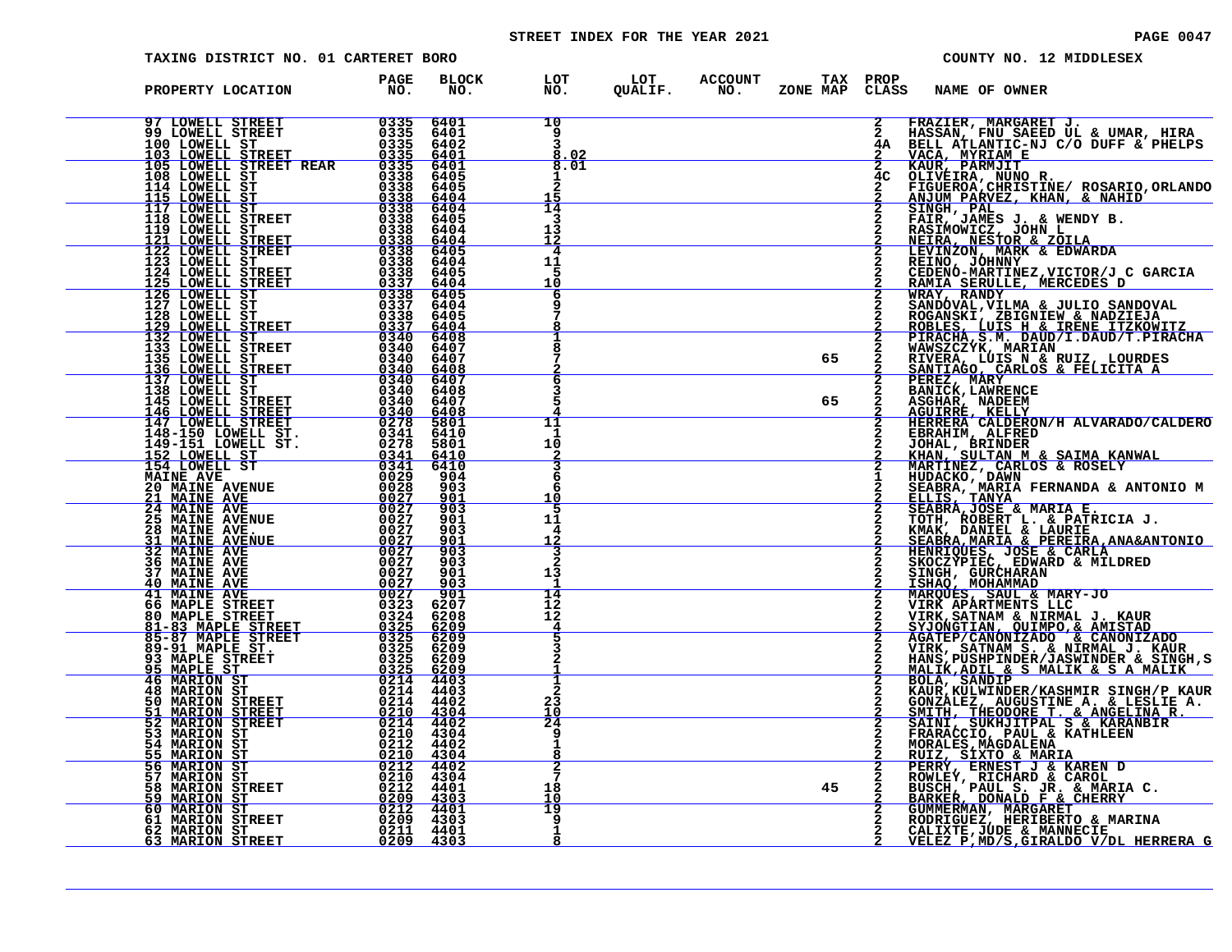# STREET INDEX FOR THE YEAR 2021 **PAGE 10047** PAGE 0047

| TAXING DISTRICT NO. 01 CARTERET BORO                                                                                                                                                                                                                                                         |                                                                                                                                                                                                                                                                                                                                                                                                                |                             |                                |                                              |    |                                | COUNTY NO. 12 MIDDLESEX                                                                                                                                                                                                                                                                          |
|----------------------------------------------------------------------------------------------------------------------------------------------------------------------------------------------------------------------------------------------------------------------------------------------|----------------------------------------------------------------------------------------------------------------------------------------------------------------------------------------------------------------------------------------------------------------------------------------------------------------------------------------------------------------------------------------------------------------|-----------------------------|--------------------------------|----------------------------------------------|----|--------------------------------|--------------------------------------------------------------------------------------------------------------------------------------------------------------------------------------------------------------------------------------------------------------------------------------------------|
| PROPERTY LOCATION                                                                                                                                                                                                                                                                            | PAGE<br>NO.                                                                                                                                                                                                                                                                                                                                                                                                    | <b>BLOCK</b><br>NO.         | LOT<br>NO.<br>NO.              | LOT ACCOUNT<br>QUALIF. NO.<br><b>ACCOUNT</b> |    | TAX PROP                       | ZONE MAP CLASS NAME OF OWNER                                                                                                                                                                                                                                                                     |
| FROM BUNDELL STREET<br>100 LOWELL STREET<br>100 LOWELL STREET<br>100 LOWELL STREET<br>100 LOWELL STREET<br>105 LOWELL STREET<br>105 LOWELL STREET<br>105 LOWELL STREET<br>106 LOWELL STREET<br>115 LOWELL STREET<br>115 LOWELL STREET<br>115 LOWELL                                          |                                                                                                                                                                                                                                                                                                                                                                                                                | 6401<br>6401<br>6402        | 10<br>9                        |                                              |    |                                | FRAZIER, MARGARET J.<br>HASSAN, FNU SAEED UL & UMAR, HIRA<br>BELL ATLANTIC-NJ C/O DUFF & PHELPS<br>VACA, MYRIAM E<br>KAUR, PARMJIT<br>CLIVEIRA, NUNO R.<br>FIGUEROA,CHRISTINE/ ROSARIO,ORLANDO<br>ANJUM PARVEZ, KHAN, & NAHID<br>SINGH, PAL<br>FAIR, JAME                                        |
|                                                                                                                                                                                                                                                                                              |                                                                                                                                                                                                                                                                                                                                                                                                                | 6401<br>6401                | $\overline{3}$<br>8.02<br>8.01 |                                              |    |                                |                                                                                                                                                                                                                                                                                                  |
|                                                                                                                                                                                                                                                                                              |                                                                                                                                                                                                                                                                                                                                                                                                                | 6405<br>6405                |                                |                                              |    | 4 <sup>C</sup><br>$\mathbf{2}$ |                                                                                                                                                                                                                                                                                                  |
|                                                                                                                                                                                                                                                                                              |                                                                                                                                                                                                                                                                                                                                                                                                                | 6404<br>6404                | 14                             |                                              |    |                                |                                                                                                                                                                                                                                                                                                  |
|                                                                                                                                                                                                                                                                                              |                                                                                                                                                                                                                                                                                                                                                                                                                | 6405<br>6404                | 3<br>13<br>12                  |                                              |    |                                |                                                                                                                                                                                                                                                                                                  |
|                                                                                                                                                                                                                                                                                              |                                                                                                                                                                                                                                                                                                                                                                                                                | $\frac{6404}{6405}$<br>6404 | 4<br>11                        |                                              |    |                                | <b>RASIMONICA, UGAN LI<br/>LEVINZON, MARK &amp; EDWARDA<br/>REINO, JOHNNY<br/>CEDENO-MARTINEZ,VICTOR/J C GARCIA<br/>RAMIA SERULLE, MERCEDES D<br/>RAMIA SERULLE, MERCEDES D</b>                                                                                                                  |
|                                                                                                                                                                                                                                                                                              |                                                                                                                                                                                                                                                                                                                                                                                                                | 6405<br>6404<br>6405        | 5<br>10<br>6                   |                                              |    |                                |                                                                                                                                                                                                                                                                                                  |
|                                                                                                                                                                                                                                                                                              |                                                                                                                                                                                                                                                                                                                                                                                                                | 6404<br>6405                |                                |                                              |    |                                | <b>KATALA BEROMBER AND SANDOVAL</b><br>SANDOVAL, VILMA & JULIO SANDOVAL<br>ROGANSKI, ZBIGNIEW & NADZIEJA<br>ROBLES, LUIS H & IRENE ITZKOWITZ<br>PIRACHA, S. M. DAUD/I.DAUD/T.PIRACHA<br>PIRACHA, M. DAUD/I.DAUD/T.PIRACHA                                                                        |
|                                                                                                                                                                                                                                                                                              |                                                                                                                                                                                                                                                                                                                                                                                                                | 6404<br>6408<br>6407        |                                |                                              |    |                                |                                                                                                                                                                                                                                                                                                  |
|                                                                                                                                                                                                                                                                                              |                                                                                                                                                                                                                                                                                                                                                                                                                | 6407<br>6408                |                                |                                              | 65 |                                | FIRACHAST  ARDEN  ARD  ARD  FIRALLAN<br>RIVERA, LUIS N & RUIZ, LOURDES<br>SANTIAGO, CARLOS & FELICITA A<br>PEREZ, MARY<br>BANICK, LAWRENCE                                                                                                                                                       |
|                                                                                                                                                                                                                                                                                              |                                                                                                                                                                                                                                                                                                                                                                                                                | 6407<br>6408<br>6407        | 6<br>5                         |                                              | 65 |                                |                                                                                                                                                                                                                                                                                                  |
|                                                                                                                                                                                                                                                                                              |                                                                                                                                                                                                                                                                                                                                                                                                                | $\frac{6408}{5801}$         | 11                             |                                              |    |                                | ASGHAR, NADEEM<br>AGUIRRE, KELLY<br>HERRERA CALDERON/H ALVARADO/CALDERO                                                                                                                                                                                                                          |
|                                                                                                                                                                                                                                                                                              |                                                                                                                                                                                                                                                                                                                                                                                                                | 6410<br>5801                | -1<br>10                       |                                              |    |                                |                                                                                                                                                                                                                                                                                                  |
|                                                                                                                                                                                                                                                                                              |                                                                                                                                                                                                                                                                                                                                                                                                                | <u>6410</u><br>6410<br>904  | 6                              |                                              |    |                                | HERRERA CALDERON/H ALVARADO/CALDERO<br>EBRAHIM, ALFRED<br>JOHAL, BLFRED<br>KHAN, SULTAN M & SAIMA KANWAL<br>MARTINEZ, CARLOS & ROSELY<br>MARTINEZ, CARLOS & ROSELY<br>HUDACKO, MARIA FERNANDA & ANTONIO M<br>ELLIS, TANYA<br>SEABRA, MARIA FERNANDA &                                            |
|                                                                                                                                                                                                                                                                                              |                                                                                                                                                                                                                                                                                                                                                                                                                | 903<br>901                  | 6<br>10                        |                                              |    |                                |                                                                                                                                                                                                                                                                                                  |
|                                                                                                                                                                                                                                                                                              |                                                                                                                                                                                                                                                                                                                                                                                                                | 903<br>901<br>903           | 5<br>11<br>4                   |                                              |    |                                |                                                                                                                                                                                                                                                                                                  |
| <b>21 MAINE AVE<br/>25 MAINE AVENUE<br/>25 MAINE AVENUE<br/>28 MAINE AVENUE<br/>32 MAINE AVENUE<br/>32 MAINE AVE<br/>36 MAINE AVE<br/>40 MAINE AVE<br/>40 MAINE AVE<br/>40 MAINE AVE<br/>66 MAPLE STREET<br/>81-83 MAPLE STREET<br/>81-83 MAPLE STREET<br/>81-83 MAPLE STREET<br/>85-97 </b> | $\frac{0.27}{0.027}$<br>$\frac{0.27}{0.027}$<br>$\frac{0.27}{0.027}$<br>$\frac{0.27}{0.027}$                                                                                                                                                                                                                                                                                                                   | $\frac{901}{903}$           | 12                             |                                              |    |                                |                                                                                                                                                                                                                                                                                                  |
|                                                                                                                                                                                                                                                                                              |                                                                                                                                                                                                                                                                                                                                                                                                                | 903<br>901<br>903           | 13                             |                                              |    |                                |                                                                                                                                                                                                                                                                                                  |
|                                                                                                                                                                                                                                                                                              | 0027                                                                                                                                                                                                                                                                                                                                                                                                           | 901<br>6207                 | 14<br>īź                       |                                              |    |                                |                                                                                                                                                                                                                                                                                                  |
|                                                                                                                                                                                                                                                                                              | $0324\n0325\n0325$                                                                                                                                                                                                                                                                                                                                                                                             | 6208<br>$\frac{6209}{6209}$ | 12                             |                                              |    |                                |                                                                                                                                                                                                                                                                                                  |
| 89-91 MAPLE ST.<br>93 MAPLE STREET                                                                                                                                                                                                                                                           | 0325                                                                                                                                                                                                                                                                                                                                                                                                           | 6209<br>6209                |                                |                                              |    |                                |                                                                                                                                                                                                                                                                                                  |
| 95 MAPLE ST<br>46 MARION ST<br>48 MARION ST                                                                                                                                                                                                                                                  | $\frac{0325}{0214}$<br>0214                                                                                                                                                                                                                                                                                                                                                                                    | $\frac{6209}{4403}$<br>4403 | 2                              |                                              |    |                                | VIRK APARTMENTS LLC<br>SYJONGTIAN & NIRMAL J. KAUR<br>SYJONGTIAN, QUIMPO,& AMISTAD<br>AGATEP/CANONIZADO & CANONIZADO<br>VIRK, SATNAM S. & NIRMAL J. KAUR<br>HANS, PUSHPINDSR /JASWINDER & SINGH,S<br>MALIK,ADIL & S MALIK & S A MALIK<br>BOL                                                     |
| 50 MARION STREET<br>51 MARION STREET                                                                                                                                                                                                                                                         | $0\overline{214}$<br>0210                                                                                                                                                                                                                                                                                                                                                                                      | 4402<br>4304                | 23<br>10                       |                                              |    |                                |                                                                                                                                                                                                                                                                                                  |
| 52 MARION STREET<br>53 MARION ST<br><b>54 MARION ST</b>                                                                                                                                                                                                                                      | $\begin{array}{c} 0214 \\ 0210 \\ 0212 \end{array}$                                                                                                                                                                                                                                                                                                                                                            | 4402<br>4304<br>4402        | 24<br>q                        |                                              |    |                                | KAOKALEZ, AUGUSTINE A. & LESLIE A.<br>SMITH, THEODORE T. & ANGELINA R.<br>SMITH, THEODORE T. & ANGELINA R.<br>FRARACCIO, PAUL & KATHLEEN<br>MORALES, MAGDALENA                                                                                                                                   |
| <u>55 MARION ST</u><br><b>56 MARION ST</b>                                                                                                                                                                                                                                                   | $\begin{array}{@{}c@{\hspace{1em}}c@{\hspace{1em}}c@{\hspace{1em}}c@{\hspace{1em}}c@{\hspace{1em}}c@{\hspace{1em}}c@{\hspace{1em}}c@{\hspace{1em}}c@{\hspace{1em}}c@{\hspace{1em}}c@{\hspace{1em}}c@{\hspace{1em}}c@{\hspace{1em}}c@{\hspace{1em}}c@{\hspace{1em}}c@{\hspace{1em}}c@{\hspace{1em}}c@{\hspace{1em}}c@{\hspace{1em}}c@{\hspace{1em}}c@{\hspace{1em}}c@{\hspace{1em}}c@{\hspace{1em}}c@{\hspace{$ |                             |                                |                                              |    |                                |                                                                                                                                                                                                                                                                                                  |
| <b>57 MARION ST</b><br><b>58 MARION STREET</b><br><b>59 MARION ST</b>                                                                                                                                                                                                                        |                                                                                                                                                                                                                                                                                                                                                                                                                |                             | 18<br>10                       |                                              | 45 |                                |                                                                                                                                                                                                                                                                                                  |
| 60 MARION ST<br>61 MARION STREET                                                                                                                                                                                                                                                             | $\begin{array}{r} 0210 & 4304 \ 0212 & 4401 \ 0209 & 4303 \ 0212 & 4401 \ 0209 & 4303 \ \end{array}$                                                                                                                                                                                                                                                                                                           |                             | 19<br>9                        |                                              |    |                                | <b>EUIZ, SIMGUALENA<br/> RUIZ, SIXTO &amp; MARIA<br/> PERRY, ERNEST J &amp; KAREN D<br/> ROWLEY, RICHARD &amp; CAROL<br/> BUSCH, PAUL S. JR. &amp; MARIA C.<br/> BARKER, DONALD F &amp; CHERRY<br/> GUMMERMAN, MARGARET<br/> RORIGUEZ, HERIBERTO &amp; MARINA<br/> RORIGUEZ, HERIBERTO &amp;</b> |
| 62 MARION ST<br>63 MARION STREET                                                                                                                                                                                                                                                             | 0211 4401<br>0209 4303                                                                                                                                                                                                                                                                                                                                                                                         |                             | 1<br>8                         |                                              |    |                                | CALIXTE, JÚDE & MANNECIE<br>VELEZ P, MD/S, GIRALDO V/DL HERRERA G                                                                                                                                                                                                                                |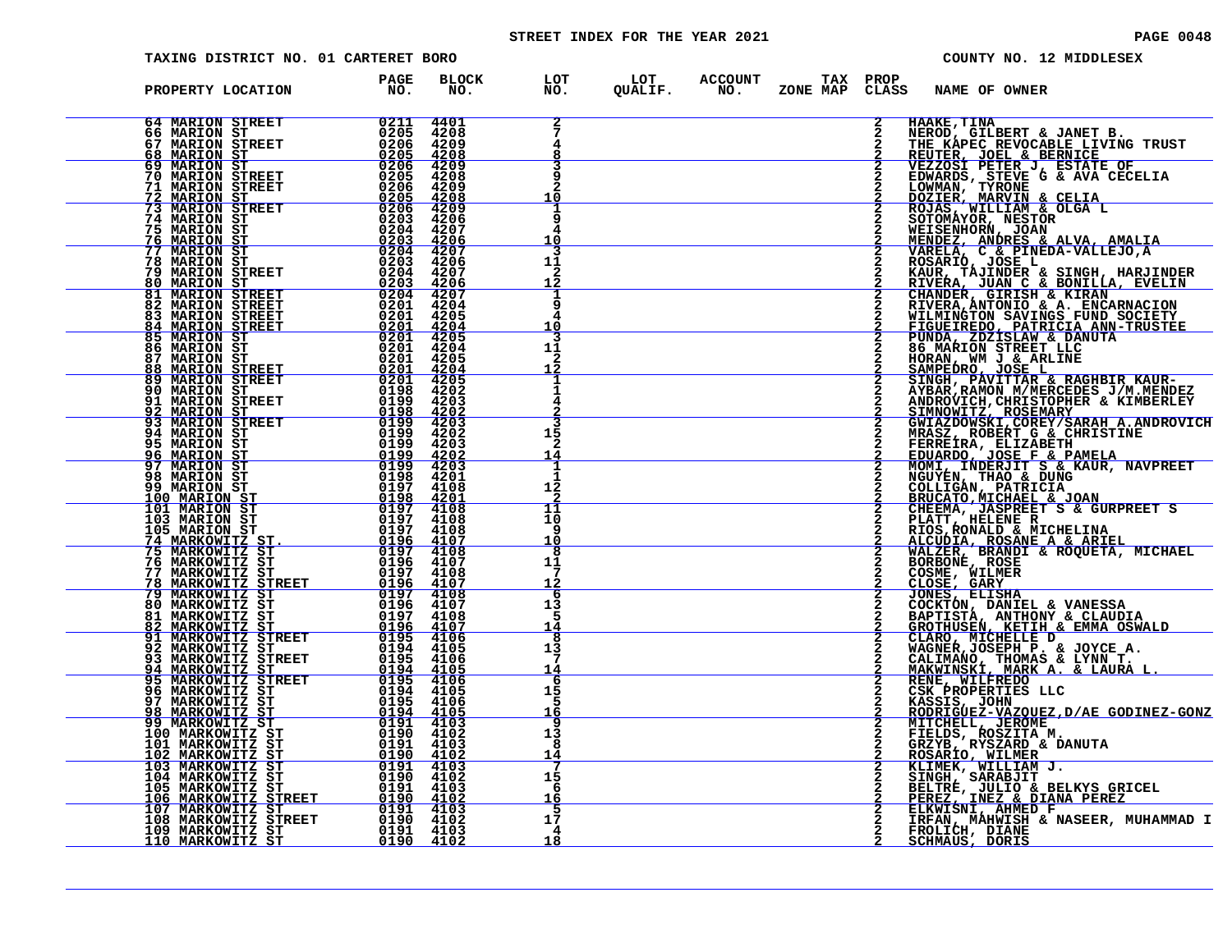# STREET INDEX FOR THE YEAR 2021 **PAGE 10048** PAGE 0048

| TAXING DISTRICT NO. 01 CARTERET BORO                                                                                                                                                                                                                                                                                                                                                        |                                                                                                                                                                                                                                                                                                                                                                                                                                          |                                                             |                                  |  |                                                                          |   |                                                                                        | COUNTY NO. 12 MIDDLESEX                                                                                                                                                                                                                          |
|---------------------------------------------------------------------------------------------------------------------------------------------------------------------------------------------------------------------------------------------------------------------------------------------------------------------------------------------------------------------------------------------|------------------------------------------------------------------------------------------------------------------------------------------------------------------------------------------------------------------------------------------------------------------------------------------------------------------------------------------------------------------------------------------------------------------------------------------|-------------------------------------------------------------|----------------------------------|--|--------------------------------------------------------------------------|---|----------------------------------------------------------------------------------------|--------------------------------------------------------------------------------------------------------------------------------------------------------------------------------------------------------------------------------------------------|
| PROPERTY LOCATION                                                                                                                                                                                                                                                                                                                                                                           | <b>PAGE</b><br>NO <sub>z</sub>                                                                                                                                                                                                                                                                                                                                                                                                           | BLOCK<br>NO.                                                |                                  |  | LOT LOT ACCOUNT TAX PROP<br>NO. QUALIF. NO. ZONE_MAP CLASS NAME_OF_OWNER |   |                                                                                        |                                                                                                                                                                                                                                                  |
| 64 MARION STREET<br>66 MARION ST<br>67 MARION STREET<br>67 MARION ST<br>68 MARION ST<br>69 MARION STREET<br>70 MARION STREET<br>71 MARION STREET<br>72 MARION STREET<br>73 MARION STREET<br>73 MARION STREET<br>74 MARION STREET<br>74 MARION STREET<br>                                                                                                                                    |                                                                                                                                                                                                                                                                                                                                                                                                                                          | 4401<br>4208<br>4209<br>4208                                | 4                                |  |                                                                          |   | <b>HAAKE, TINA</b>                                                                     | HAAKE, TINA<br>HEROD, GILBERT & JANET B.<br>THE KAPEC REVICABLE LIVING TRUST<br>THE KAPEC REVICABLE LIVING TRUST<br>VEZZOSI PETER J, ESTATE OF<br>EDWARDS, STEVE G & AVA CECELIA<br>LOWMAN, TYRONE<br>DOZIER, MARVIN & CELIA<br>ROJAS, WILLIAM   |
|                                                                                                                                                                                                                                                                                                                                                                                             |                                                                                                                                                                                                                                                                                                                                                                                                                                          | $\frac{4209}{4208}$<br>$\frac{4209}{4208}$                  | . 0                              |  |                                                                          |   |                                                                                        |                                                                                                                                                                                                                                                  |
| 75 MARION ST                                                                                                                                                                                                                                                                                                                                                                                | $0\bar{2}0\bar{4}$                                                                                                                                                                                                                                                                                                                                                                                                                       | 4206<br>4207<br>$\frac{4206}{4207}$                         | q<br>4<br>10                     |  |                                                                          |   |                                                                                        |                                                                                                                                                                                                                                                  |
| 76 MARION ST<br>77 MARION ST<br>78 MARION ST                                                                                                                                                                                                                                                                                                                                                | $\begin{array}{r} 0203 \\ 0204 \\ 0204 \\ 0203 \end{array}$<br>0204<br>0203                                                                                                                                                                                                                                                                                                                                                              | 4206<br>4207<br>4206                                        | 11<br>2                          |  |                                                                          |   |                                                                                        |                                                                                                                                                                                                                                                  |
| <b>79 MARION STREET<br/>80 MARION STREET<br/>81 MARION STREET<br/>82 MARION STREET<br/>83 MARION STREET</b><br>84 MARION STREET<br>85 MARION ST                                                                                                                                                                                                                                             | 0204<br>0201<br>$\frac{0\bar{201}}{0\bar{201}}$                                                                                                                                                                                                                                                                                                                                                                                          | 4207<br>4204<br>4205<br>$\frac{4204}{4205}$                 | q<br>4<br>10                     |  |                                                                          |   |                                                                                        |                                                                                                                                                                                                                                                  |
| 86 MARION ST<br>87 MARION ST<br>88 MARION STREET<br>89 MARION STREET<br>90 MARION ST                                                                                                                                                                                                                                                                                                        | 0201<br>$0\overline{201}$<br>0201<br>0201                                                                                                                                                                                                                                                                                                                                                                                                | 4204<br>4205<br>4204<br>4205                                | 11<br>2<br>12                    |  |                                                                          |   |                                                                                        |                                                                                                                                                                                                                                                  |
| 91 MARION STREET<br>92 MARION ST<br>93 MARION STREET                                                                                                                                                                                                                                                                                                                                        | 0198<br>0199<br>$\frac{0198}{0199}$                                                                                                                                                                                                                                                                                                                                                                                                      | 4202<br>4203<br>$\frac{\bar{4}\bar{2}\bar{0}\bar{2}}{4203}$ | 4                                |  |                                                                          |   |                                                                                        |                                                                                                                                                                                                                                                  |
| <b>94 MARION ST</b><br>95 MARION ST<br><b>96 MARION ST</b><br>97 MARION ST                                                                                                                                                                                                                                                                                                                  | 0199<br>0199<br>$\frac{0199}{0199}$                                                                                                                                                                                                                                                                                                                                                                                                      | 4202<br>4203<br>$\frac{4202}{4203}$                         | 15<br>2<br>14                    |  |                                                                          |   |                                                                                        | AYBAR, RAMON M/MERCEDES J/M.MENDEZ<br>ANDROVICH, CHRISTOPHER & KIMBERLEY<br>SIMNOWICH, CHRISTOPHER & KIMBERLEY<br>GWIAZDOWSKI, COREY/SARAH A.ANDROVICH<br>MRASZ, ROBERT G & CHRISTINE<br>EDUARDO, JOSE F & FAMELA<br>MONI, INDERJIT S & KAUR, NA |
| 98 MARION ST<br><b>99 MARION ST</b><br>100 MARION ST<br>101 MARION ST                                                                                                                                                                                                                                                                                                                       | 0198<br>0197<br>0198<br>0197                                                                                                                                                                                                                                                                                                                                                                                                             | 4201<br>4108<br>4201<br>4108                                | 1<br>12<br>11                    |  |                                                                          |   |                                                                                        |                                                                                                                                                                                                                                                  |
| 103 MARION ST<br>105 MARION ST<br><b>74 MARKOWITZ ST.</b><br>75 MARKOWITZ ST                                                                                                                                                                                                                                                                                                                | 0197<br>0197<br>$\frac{0196}{0197}$                                                                                                                                                                                                                                                                                                                                                                                                      | 4108<br>4108<br>$\frac{4107}{4108}$                         | 10<br>q<br>10<br>8               |  |                                                                          |   |                                                                                        | CHEEMA, JASPREET S & GURPREET S<br>PLATT, HELENE R<br>RIOS, RONALD & MICHELINA                                                                                                                                                                   |
| <b>76 MARKOWITZ ST<br/>77 MARKOWITZ ST<br/><u>78 MARKOWITZ STREET</u></b>                                                                                                                                                                                                                                                                                                                   | 0196<br>0197<br>0196<br>0197                                                                                                                                                                                                                                                                                                                                                                                                             | 4107<br>4108<br>4107                                        | 11<br>12<br>6                    |  |                                                                          |   |                                                                                        | ALCUDIA, ROSANE A & ARIEL<br>MALZER, BRANDI & ROQUETA, MICHAEL<br>BORBONE, ROSE<br>COSME, WILMER<br>CLOSE, GARY                                                                                                                                  |
| <b>79 MARKOWITZ ST<br/>80 MARKOWITZ ST</b>                                                                                                                                                                                                                                                                                                                                                  |                                                                                                                                                                                                                                                                                                                                                                                                                                          |                                                             | 13<br>5<br>14<br>8               |  |                                                                          |   |                                                                                        | <b>CHOSE, ELISHA<br/>COCKTON, DANIEL &amp; VANESSA<br/>BAPTISTA, ANTHONY &amp; CLAUDIA<br/>GROTHUSEN, KETIH &amp; EMMA OSWALD<br/>CLARG, MICHELLE D<br/>CLARG, MICHELLE D<br/>CLARG, MICHELLE D</b>                                              |
| 110, 0196 4107<br>0196 4107<br>0196 4107<br>0196 4107<br>0196 4107<br>0196 4107<br>0196 4107<br>0196 4107<br>0196 4106<br>93 MARKOWITZ STREET<br>95 MARKOWITZ STREET<br>96 MARKOWITZ STREET<br>96 MARKOWITZ ST<br>97 MARKOWITZ ST<br>97 MARYCT                                                                                                                                              |                                                                                                                                                                                                                                                                                                                                                                                                                                          |                                                             | 13<br>14<br>6                    |  |                                                                          |   | RENE, WILFREDO<br>CSK PROPERTIES LLC                                                   | WAGNER, JOSEPH P. & JOYCE A.<br>CALIMANO, THOMAS & LYNN T.<br>MAKWINSKI, MARK A. & LAURA L.                                                                                                                                                      |
|                                                                                                                                                                                                                                                                                                                                                                                             | 0191 4103                                                                                                                                                                                                                                                                                                                                                                                                                                |                                                             | 15<br>5<br>16<br>q               |  |                                                                          | 2 | MITCHELL, JEROME                                                                       | KASSIS, JOHN<br>RODRIGUEZ-VAZQUEZ, D/AE GODINEZ-GONZ                                                                                                                                                                                             |
| 97 MARKOWITZ ST<br>98 MARKOWITZ ST<br>98 MARKOWITZ ST<br>99 MARKOWITZ ST<br>101 MARKOWITZ ST<br>102 MARKOWITZ ST<br>103 MARKOWITZ ST<br>103 MARKOWITZ ST                                                                                                                                                                                                                                    | 0190 4102<br>0191 4103<br>$\begin{array}{@{}c@{\hspace{1em}}c@{\hspace{1em}}c@{\hspace{1em}}c@{\hspace{1em}}c@{\hspace{1em}}c@{\hspace{1em}}c@{\hspace{1em}}c@{\hspace{1em}}c@{\hspace{1em}}c@{\hspace{1em}}c@{\hspace{1em}}c@{\hspace{1em}}c@{\hspace{1em}}c@{\hspace{1em}}c@{\hspace{1em}}c@{\hspace{1em}}c@{\hspace{1em}}c@{\hspace{1em}}c@{\hspace{1em}}c@{\hspace{1em}}c@{\hspace{1em}}c@{\hspace{1em}}c@{\hspace{1em}}c@{\hspace{$ |                                                             | 13<br>я<br>14                    |  |                                                                          |   | FIELDS, ROSZITA M.<br>GRZYB, RYSZARD & DANUTA<br>ROSARIO, WILMER<br>KLIMEK, WILLIAM J. |                                                                                                                                                                                                                                                  |
| $\begin{tabular}{l l l l} 103 & \texttt{MARKOWITZ} & \texttt{S:} & & & & 0190 & 4102 \\ 104 & \texttt{MARKOWITZ} & \texttt{ST} & & & 0191 & 4103 \\ 105 & \texttt{MARKOWITZ} & \texttt{STREET} & & 0190 & 4102 \\ 106 & \texttt{MARKOWITZ} & \texttt{STREET} & & 0190 & 4102 \\ 107 & \texttt{MARKOWITZ} & \texttt{STREET} & & 0191 & 4103 \\ 108 & \texttt{MARKOWITZ} & \texttt{STREET} &$ |                                                                                                                                                                                                                                                                                                                                                                                                                                          |                                                             | 15<br>6<br><u> 16</u><br>5<br>17 |  |                                                                          |   |                                                                                        | SINGH, SARABJIT<br>BELTRE, JULIO & BELKYS GRICEL<br><u>PEREZ, INEZ &amp; DIANA PEREZ</u><br>ELKWISNI, AHMED F<br>IRFAN, MAHWISH & NASEER, MUHAMMAD I                                                                                             |
|                                                                                                                                                                                                                                                                                                                                                                                             |                                                                                                                                                                                                                                                                                                                                                                                                                                          |                                                             | 4<br>18                          |  |                                                                          |   | FROLICH, DIANE<br><b>SCHMAUS, DORIS</b>                                                |                                                                                                                                                                                                                                                  |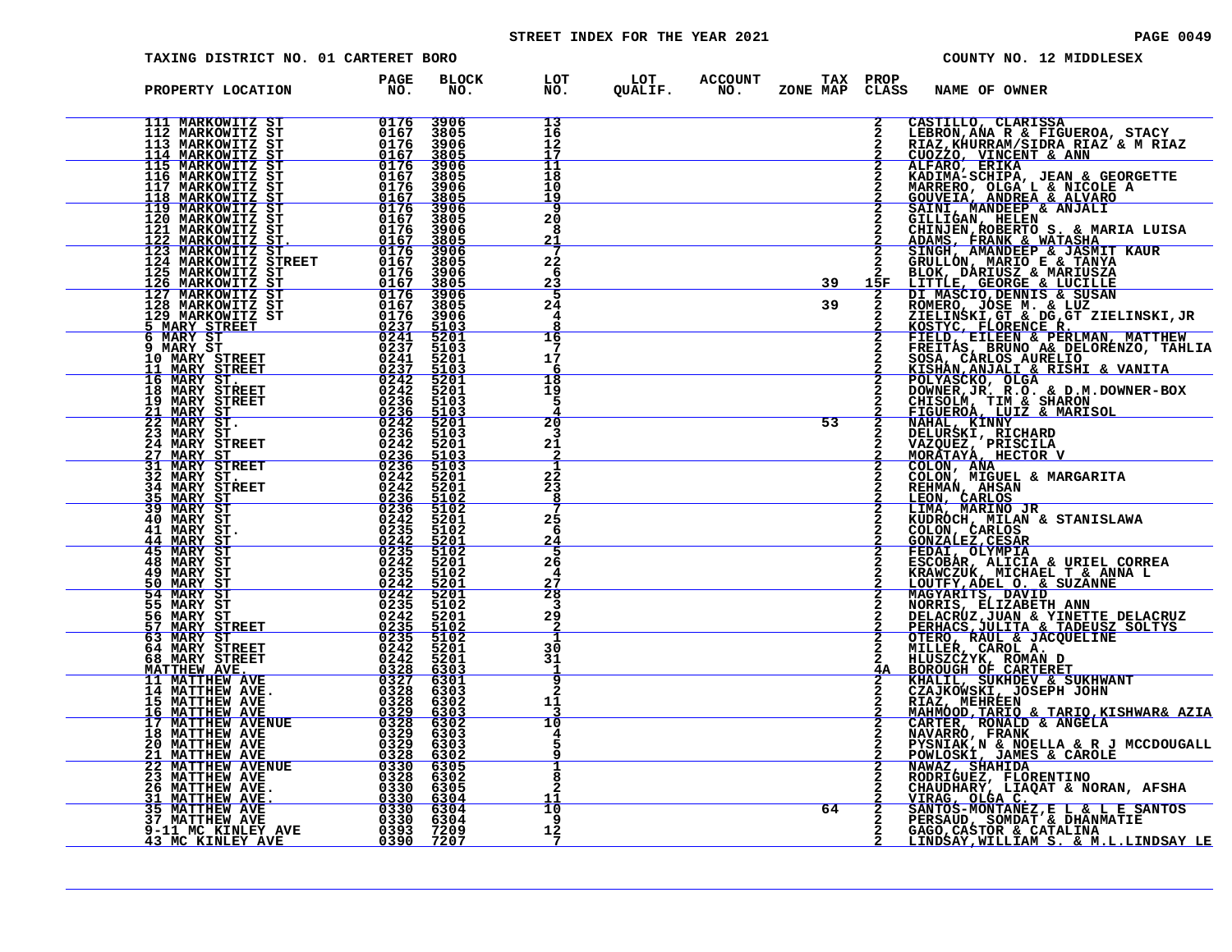# STREET INDEX FOR THE YEAR 2021 **PAGE 10049** PAGE 0049

| TAXING DISTRICT NO. 01 CARTERET BORO                                                                                                                                                                                                                                                                                                                                        |                                                                                             |                                             |                                  |                                                         |    |               | COUNTY NO. 12 MIDDLESEX                                                                                                                                                                                                                                |  |
|-----------------------------------------------------------------------------------------------------------------------------------------------------------------------------------------------------------------------------------------------------------------------------------------------------------------------------------------------------------------------------|---------------------------------------------------------------------------------------------|---------------------------------------------|----------------------------------|---------------------------------------------------------|----|---------------|--------------------------------------------------------------------------------------------------------------------------------------------------------------------------------------------------------------------------------------------------------|--|
| PROPERTY LOCATION                                                                                                                                                                                                                                                                                                                                                           | PAGE<br>NO.                                                                                 | <b>BLOCK</b><br>NO.                         |                                  | LOT LOT ACCOUNT TAXPROP<br>NO. QUALIF. NO. ZONENAPCLASS |    |               | NAME OF OWNER                                                                                                                                                                                                                                          |  |
| 111 MARKOWITZ ST                                                                                                                                                                                                                                                                                                                                                            | 0176<br>0167<br>0176<br>0167                                                                | 3906<br>3805<br>3906<br>3805                | 13<br>$\frac{16}{12}$<br>īī      |                                                         |    | 2             | CASTILLO, CLARISSA                                                                                                                                                                                                                                     |  |
|                                                                                                                                                                                                                                                                                                                                                                             | 0176<br>0167<br>0176<br>$\frac{\overline{0}\overline{1}\,\overline{6}\,\overline{7}}{0176}$ | 3906<br>3805<br>3906<br>3805                | 11<br>18<br>10<br><u>و1</u>      |                                                         |    |               | CASTILLO, CLARISSA<br>LEBRON, ANA R & FIGUEROA, STACY<br>RIAZ, KHURRAM/SIDRA RIAZ & M RIAZ<br>CUOZZO, VINCENT & ANN<br>KADIMA-SCHIPA, JEAN & GEORGETTE<br>KADIMA-SCHIPA, JEAN & GEORGETTE<br>MARRERO, OLGA L & NICOLE A<br>GOUVEIA, ANDEEP & ALVARO    |  |
| <b>111 MARKOWITZ ST<br/>112 MARKOWITZ ST<br/>113 MARKOWITZ ST<br/>113 MARKOWITZ ST<br/>115 MARKOWITZ ST<br/>116 MARKOWITZ ST<br/>116 MARKOWITZ ST<br/>117 MARKOWITZ ST<br/>120 MARKOWITZ ST<br/>122 MARKOWITZ ST<br/>122 MARKOWITZ ST<br/>122 MARKOWITZ ST<br/>122 MARKOWITZ ST<br/></b>                                                                                    | 0167<br>0176<br>$\frac{0167}{0176}$                                                         | 3906<br>3805<br>3906<br>$\frac{3805}{3906}$ | ٩<br>20<br>8<br><u>21</u>        |                                                         |    |               |                                                                                                                                                                                                                                                        |  |
|                                                                                                                                                                                                                                                                                                                                                                             | 0167<br>$\begin{array}{r} 0176 \\ 0167 \\ \hline 0176 \\ 0176 \\ 0167 \\ \end{array}$       | 3805<br>3906<br>3805                        | 22<br>-6<br>23                   |                                                         | 39 | 15F           |                                                                                                                                                                                                                                                        |  |
| <b>125 MARKOWITZ ST<br/>125 MARKOWITZ ST<br/>126 MARKOWITZ ST<br/>128 MARKOWITZ ST<br/>129 MARKOWITZ ST</b><br>5 MARY STREET 5                                                                                                                                                                                                                                              | 0176                                                                                        | 3906<br>3805<br>3906<br>5103<br>5201        | 5<br>24<br>4<br>16               |                                                         | 39 | $\frac{2}{2}$ | GILITIGAN, HELEN<br>CHINJEN, ROBERTO S. & MARIA LUISA<br>ADAMS, FRANK & WATASHA<br>SINGH, AMANDEEP & JASMIT KAUR<br>GRULLON, MARIO E & TANYA<br>BLOK, DARIUSZ & MARIUSZA<br>LITTLE, GEORGE & LUCILLE<br>DI MASCIO, DENNIS & SUSAN<br>NOMERO, JOSE M. & |  |
| 129 MARKOWITZ ST<br>5 MARY STREET<br>9 MARY ST<br>9 MARY ST<br>10 MARY STREET<br>10 MARY STREET<br>16 MARY STREET<br>16 MARY STREET<br>16 MARY STREET<br>19 MARY STREET<br>21 MARY STREET<br>22 MARY STREET<br>22 MARY STREET<br>22 MARY ST<br>22 MARY ST<br>                                                                                                               |                                                                                             | 5103<br>5201<br>5103<br>5201                | 17<br>6<br>18                    |                                                         |    |               |                                                                                                                                                                                                                                                        |  |
|                                                                                                                                                                                                                                                                                                                                                                             |                                                                                             | 5201<br>5103<br>$\frac{5103}{5201}$         | 19<br>5<br>20                    |                                                         | 53 |               |                                                                                                                                                                                                                                                        |  |
| <u>27 MARY ST</u><br>31 MARY STREET                                                                                                                                                                                                                                                                                                                                         |                                                                                             | 5103<br>5201<br>$\frac{5103}{5103}$         | 3<br>21<br>1                     |                                                         |    |               |                                                                                                                                                                                                                                                        |  |
| 32 MARY ST.<br>34 MARY STREET<br>35 MARY ST<br><u>35 MARY ST</u><br>39 MARY ST                                                                                                                                                                                                                                                                                              |                                                                                             | 5201<br>5201<br>5102<br>5102                | 22<br>23<br>8                    |                                                         |    |               | REHMAN, AHSAN<br>LEON, CARLOS                                                                                                                                                                                                                          |  |
| 40 MARY ST<br>41 MARY ST.<br>$\begin{array}{cc}\n 44 \text{ MARK} & \text{ST} \\  45 \text{ MARK} & \text{ST}\n \end{array}$<br>48 MARY ST                                                                                                                                                                                                                                  |                                                                                             | 5201<br>5102<br>$\frac{5201}{5102}$<br>5201 | 25<br>-6<br><u>24</u><br>5<br>26 |                                                         |    |               | <b>LIMA, MARINO JR<br/>KUDROCH, MILAN &amp; STANISLAWA<br/>COLON, CARLOS<br/>GONZALEZ, CESAR<br/>FEDAI, OLYMPIA<br/>FEDAI, OLYMPIA</b>                                                                                                                 |  |
| $\begin{array}{r} \texttt{ET} & \begin{array}{c} 0.242 \\ 0.242 \\ 0.233 \\ 0.233 \\ 0.244 \\ 0.244 \\ 0.243 \\ 0.243 \\ 0.243 \\ 0.243 \\ 0.2442 \\ 0.2435 \\ 0.2442 \\ 0.2442 \\ 0.2442 \\ 0.2442 \\ 0.2442 \\ 0.2442 \\ 0.2442 \\ 0.2442 \\ 0.2442 \\ 0.2442 \\ 0.2442 \\ 0.2442 \\ 0.2442 \\ 0.2442 \\ $<br>49 MARY ST<br><u>50 MARY ST</u><br>54 MARY ST<br>55 MARY ST |                                                                                             | 5102<br><u>5201</u><br>5201<br>5102         | 4<br>27<br>28<br>-3              |                                                         |    |               |                                                                                                                                                                                                                                                        |  |
| $\begin{array}{r} 0242 \\ 0235 \\ 0235 \\ 0242 \\ 0242 \\ 0242 \end{array}$<br>56 MARY ST<br>57 MARY STREET<br>63 MARY ST                                                                                                                                                                                                                                                   |                                                                                             | 5201<br>$\frac{5102}{5102}$<br>5201         | $29 \over 2$<br>$\frac{30}{31}$  |                                                         |    |               |                                                                                                                                                                                                                                                        |  |
| 64 MARY STREET<br>68 MARY STREET<br>$\begin{array}{r rrrr} & 0242 & 7553 \ \hline & 0328 & 6303 \ \hline & 0327 & 6301 \ \hline & 0328 & 6303 \ \hline & 0328 & 6303 \ \hline & 0328 & 6302 \ \hline \end{array}$<br><u>MATTHEW AVE.</u><br><b>11 MATTHEW AVE</b><br>14 MATTHEW AVE.                                                                                        |                                                                                             |                                             | 9<br>$\overline{2}$              |                                                         |    | $\mathbf{2}$  | FEDAI, OLYMPIA<br>ESCOBAR, ALICIA & URIEL CORREA<br>EXCOBAR, ALICIA & URIEL CORREA<br>LOUTFY, ADEL O. & SUZANNE<br>MAGYARITS, DAVID<br>MAGYARITS, DAVID<br>DELACRUZ, JUAN & YINETTE DELACRUZ<br>PERHACS, RAUL & JACQUELINE<br>OTERO, RAUL & JACQUELINE |  |
| $\begin{array}{r} 032886302 \ 03296303 \ 03296303 \ 032886303 \ 03296303 \ \end{array}$<br>15 MATTHEW AVE 16 MATTHEW AVE<br><b>17 MATTHEW AVENUE</b><br><b>18 MATTHEW AVE</b>                                                                                                                                                                                               |                                                                                             |                                             | 11<br>10                         |                                                         |    | 2             |                                                                                                                                                                                                                                                        |  |
| 20 MATTHEW AVE<br><u>0328 6302</u><br>2330 6305<br><b>21 MATTHEW AVE<br/>22 MATTHEW AVENUE</b>                                                                                                                                                                                                                                                                              |                                                                                             |                                             | ı<br>8<br>2                      |                                                         |    |               | <b>CARTER, RONALD &amp; ANGELA<br/>NAVARRO, FRANK<br/>PYSNIAK,N &amp; NOELLA &amp; R J MCCDOUGALL<br/>POWLOSKI, JAMES &amp; CAROLE<br/>NAWAZ,SHAHIDA<br/>NAWAZ, SHAHIDA</b>                                                                            |  |
| 0330 630<br>11 MATTHEW AVE.<br>35 MATTHEW AVE.<br>35 MATTHEW AVE 0330 6304<br>35 MATTHEW AVE 0330 6304<br>37 MATTHEW AVE 0330 6304<br>9-11 MC KINLEY AVE 0330 6304<br>3 MC KINLEY AVE 0393 7209                                                                                                                                                                             |                                                                                             |                                             | 10<br>9<br>12                    |                                                         | 64 |               | NAWAZ, BAARLIM<br>CHAUDHARY, LIAQAT & NORAN, AFSHA<br>VIRAG, OLGA C.<br>VIRAG, OLGA C.<br>SANTOS-MONTANEZ, E L & L E SANTOS<br>PERSAUD, SOMDAT & DHANMATIE<br>GAGO, CASTOR & CATALINA<br>GAGO, CASTATILIM S.                                           |  |
|                                                                                                                                                                                                                                                                                                                                                                             |                                                                                             |                                             | 7                                |                                                         |    |               | LINDSAY, WILLIAM S. & M.L.LINDSAY LE                                                                                                                                                                                                                   |  |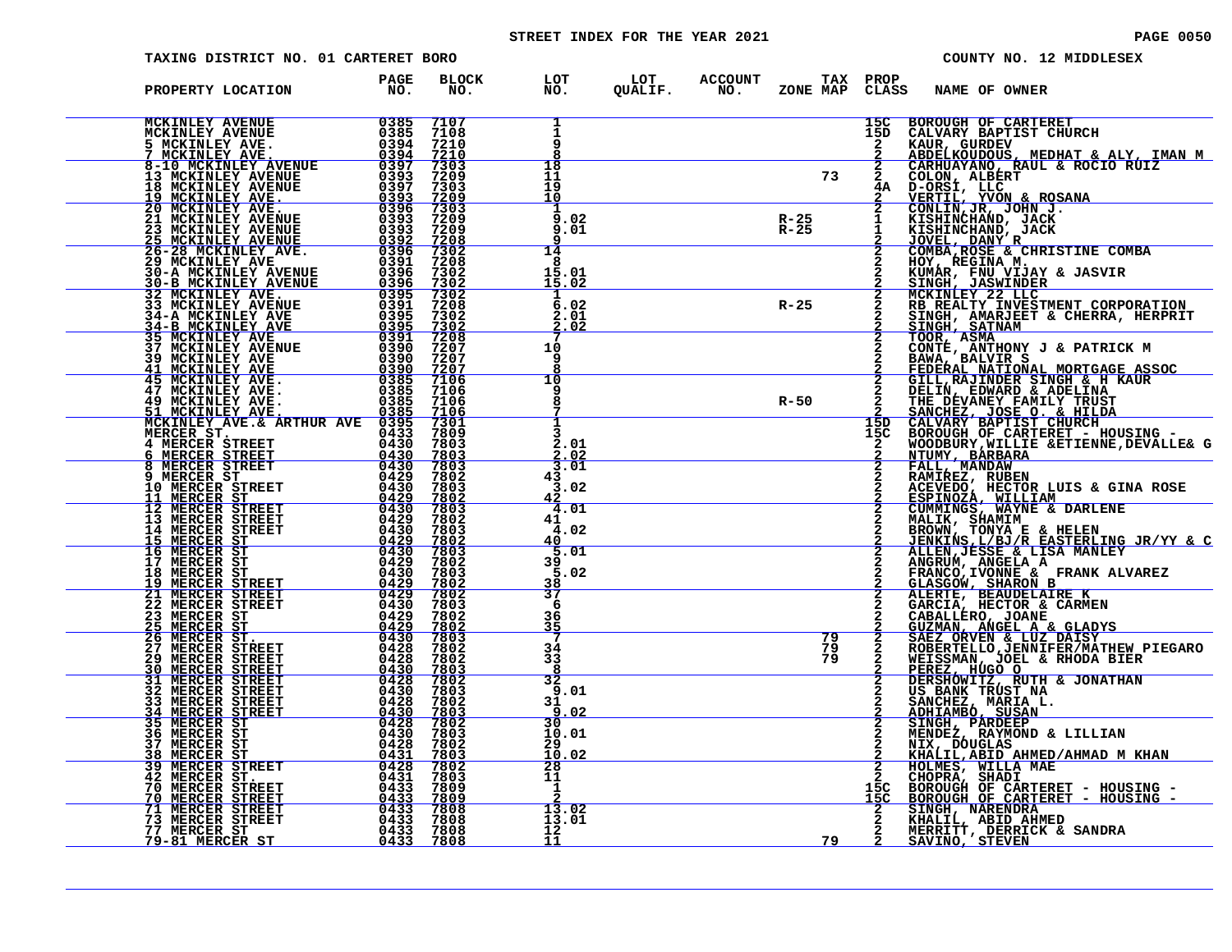# STREET INDEX FOR THE YEAR 2021 **PAGE 10050** PAGE 0050

| <b>TAXING DISTRICT NO. 01 CARTERET BORO</b>                                                                                                                                                                                                          |                                             |                                                    |                                       |                |                                   |              |                 |                   |                                       | COUNTY NO. 12 MIDDLESEX                                                                                                                                                                                                                                      |
|------------------------------------------------------------------------------------------------------------------------------------------------------------------------------------------------------------------------------------------------------|---------------------------------------------|----------------------------------------------------|---------------------------------------|----------------|-----------------------------------|--------------|-----------------|-------------------|---------------------------------------|--------------------------------------------------------------------------------------------------------------------------------------------------------------------------------------------------------------------------------------------------------------|
| PROPERTY LOCATION                                                                                                                                                                                                                                    | PAGE<br>NO.                                 | <b>BLOCK</b><br>NO.                                | LOT<br>NO.                            | LOT<br>QUALIF. | <b>ACCOUNT</b><br>NO <sub>z</sub> | ZONE MAP     |                 | TAX PROP<br>CLASS | NAME OF OWNER                         |                                                                                                                                                                                                                                                              |
| <b>MCKINLEY AVENUE</b><br>MCKINLEY AVENUE                                                                                                                                                                                                            | 0385<br>0385<br>0394                        | 7107<br>7108<br>7210<br>7210                       | 1<br>1<br>ā                           |                |                                   |              |                 | 15C<br>15D        | <b>BOROUGH OF CARTERET</b>            |                                                                                                                                                                                                                                                              |
|                                                                                                                                                                                                                                                      |                                             | $7303$<br>$7209$<br>$\frac{7303}{7209}$            | $\frac{18}{11}$<br>19<br>10           |                |                                   |              | 73              | $\bar{2}$         |                                       |                                                                                                                                                                                                                                                              |
| MCKINLEY AVENUE<br>1978 MCKINLEY AVENUE<br>7 MCKINLEY AVENUE<br>7 MCKINLEY AVENUE<br>7 MCKINLEY AVENUE<br>13 MCKINLEY AVENUE<br>13 MCKINLEY AVENUE<br>19 MCKINLEY AVENUE<br>19 MCKINLEY AVENUE<br>19 MCKINLEY AVENUE<br>20 MCKINLEY AVENUE<br>20 MCK |                                             | 7209<br>7209                                       | 9<br>.02<br>9.01                      |                |                                   | R-25<br>R-25 |                 |                   |                                       | BOROUGH OF CARTERET<br>CALVARY BAPTIST CHURCH<br>KAUR, GURDEV<br>ABDELKOUDOUS, MEDHAT & ALY, IMAN M<br>CARHUAYANO, RAUL & ROCIO RUIZ<br>COLON, ALBERT<br>D-ORSI, LLC<br>VERTIL, YVON & ROSANA<br>CONLIN, JR, JOHN R, JACK<br>KISHINCHAND, JACK<br>KISHINCHAN |
|                                                                                                                                                                                                                                                      |                                             | $\frac{7208}{7302}$<br>7208<br>7302<br>7302        | 14<br>8<br>15.01<br>15.02             |                |                                   |              |                 |                   |                                       |                                                                                                                                                                                                                                                              |
|                                                                                                                                                                                                                                                      |                                             | 7302<br>7208<br>7302                               | $\overline{6}$ .02<br>2.01<br>.02     |                |                                   | $R - 25$     |                 |                   |                                       |                                                                                                                                                                                                                                                              |
|                                                                                                                                                                                                                                                      |                                             | $\frac{7302}{7208}$<br>7207<br>7207<br><u>7207</u> | 10<br>9                               |                |                                   |              |                 |                   |                                       | SINGH, SATNAM<br>TOOR, ASMA<br>TOOR, ASMA<br>CONTE, ANTHONY J & PATRICK M<br>BANA, BALVIR S<br>BANA, BALVIR SINGH & H KAUR<br>GILL, RAJINDER SINGH & H KAUR<br>DELIN, EDWARD & ADELINA<br>PEDERAL MATIONAL MORTGAGE ASSOC<br>CILL, RAJINDER SING             |
|                                                                                                                                                                                                                                                      |                                             | 7106<br>7106<br>7106                               | 10<br>8                               |                |                                   | $R - 50$     |                 |                   |                                       | THE DEVANEY FAMILY TRUST<br>SANCHEZ, JOSE O. & HILDA<br>CALVARY BAPTIST CHURCH                                                                                                                                                                               |
| MERCER ST.<br>4 MERCER STREET                                                                                                                                                                                                                        | 0433<br>0430                                | 7106<br>7301<br>7809<br>7803                       | 2.01<br>.02                           |                |                                   |              |                 | 15D<br>15C<br>2   |                                       | BOROUGH OF CARTERET - HOUSING -<br>WOODBURY, WILLIE & ETIENNE, DEVALLE& G                                                                                                                                                                                    |
| <u>6 MERCER STREET<br/>8 MERCER STREET</u><br>9 MERCER ST<br><b>10 MERCER STREET<br/>11 MERCER ST</b>                                                                                                                                                | $\frac{0430}{0430}$<br>0429<br>0430<br>0429 | 7803<br>7803<br>7802<br>7803<br>7802               | 3.01<br>43<br>3<br>.02                |                |                                   |              |                 | $\frac{2}{2}$     |                                       | WOODBURY, WILLIE &ETIENNE, DEVALLE& G<br>NTUMY, BARBARA<br>FALL, MANDAW<br>RAMIREZ, RUBEN<br>RESPINOZA, WILLIAM<br>CUMMINGS, WAYNE & DARLENE<br>MALLIK, SHAMIM<br>CUMMINGS, WAYNE & DARLENE<br>MALLIK, SHAMIM<br>BROWN, TONYA E & HELEN<br>JENKINS           |
| 12 MERCER STREET<br>13 MERCER STREET<br>14 MERCER STREET                                                                                                                                                                                             | 0430<br>0429<br>0430                        | 7803<br>7802<br>7803                               | 4.01<br>41<br>4.02<br>40              |                |                                   |              |                 | $\overline{2}$    |                                       |                                                                                                                                                                                                                                                              |
| 15 MERCER ST<br>16 MERCER ST<br>17 MERCER ST<br>18 MERCER ST<br><u>19 MERCER STREET</u>                                                                                                                                                              | $\frac{0429}{0430}$<br>0429<br>0430<br>0429 | $\frac{7802}{7803}$<br>7802<br>7803<br>7802        | 5<br>.01<br>39<br>5<br>.02            |                |                                   |              |                 |                   |                                       |                                                                                                                                                                                                                                                              |
| 21 MERCER STREET<br>22 MERCER STREET                                                                                                                                                                                                                 | 0429<br>0430<br>0429                        | 7802<br>7803<br>7802                               | <u>38</u><br>37<br>6<br>36            |                |                                   |              |                 |                   |                                       | ALERTE, BEAUDELAIRE K<br>GARCIA, HECTOR & CARMEN                                                                                                                                                                                                             |
| 23 MERCER ST<br>25 MERCER ST<br>26 MERCER ST.<br>27 MERCER STREET<br><b>29 MERCER STREET</b>                                                                                                                                                         | $\frac{0429}{0430}$<br>0428<br>0428         | <u>7802</u><br>7803<br>7802<br>7802                | 35<br>34<br>33                        |                |                                   |              | $\frac{79}{79}$ | $\frac{2}{2}$     |                                       | CABALLERO, JOANE<br>GUZMAN, ANGEL A & GLADYS<br>SAEZ_ORVEN & LUZ_DAISY<br><b>SABERTELLO, JENNIFER/MATHEW PIEGARO<br/>ROBERTELLO, JENNIFER/MATHEW PIEGARO<br/>PEREZ, HUGO O<br/>DERSHOWITZ, RUTH &amp; JONATHAN<br/>US BANK TRUST NA</b>                      |
| 30 MERCER STREET<br>31 MERCER STREET<br>32 MERCER STREET<br>33 MERCER STREET                                                                                                                                                                         | 0430<br>0430<br>0428                        | 7803<br>7802<br>7803<br>7802                       | 8<br>32<br>9<br>.01<br>31<br>q        |                |                                   |              |                 |                   | SANCHEZ, MARIA L.<br>ADHIAMBO, SUSAN  |                                                                                                                                                                                                                                                              |
| 34 MERCER STREET<br>35 MERCER ST<br>36 MERCER ST<br>37 MERCER ST                                                                                                                                                                                     | 0430<br>0428<br>$0430$<br>0428              | <u>7803</u><br>7802<br>7803<br>7802                | <u>.02</u><br>30<br>10.01<br>29<br>10 |                |                                   |              |                 |                   |                                       | SINGH, PARDEEP<br>MENDEZ, RAYMOND & LILLIAN<br>NIX, DOUGLAS                                                                                                                                                                                                  |
| MERCER ST<br>38<br><b>39 MERCER STREET</b><br>42 MERCER ST.<br><b>70 MERCER STREET<br/><u>70 MERCER STREET</u></b>                                                                                                                                   | $0431$<br>0428<br>$0431$<br>$0433$          | <u>7803</u><br>7802<br>7803<br>7809                | . 02<br>28<br>11<br>$\frac{1}{2}$     |                |                                   |              |                 | $^{15C}_{15C}$    | HOLMES, WILLA MAE                     | <u>KHALIL, ABID AHMED/AHMAD M KHAN</u><br>CHOPRA, SHADI<br>BOROUGH OF CARTERET - HOUSING -<br>BOROUGH OF CARTERET - HOUSING -                                                                                                                                |
| <b>71 MERCER STREET<br/>73 MERCER STREET</b><br>77 MERCER ST                                                                                                                                                                                         | 0433<br>$0433$<br>0433<br>0433              | 7809<br>7808<br>7808<br>7808                       | 13.02<br>13.01<br>12                  |                |                                   |              |                 |                   | SINGH, NARENDRA<br>KHALIL, ABID AHMED | MERRITT, DERRICK & SANDRA                                                                                                                                                                                                                                    |
| <u>79-81 MERCER ST</u>                                                                                                                                                                                                                               | 0433                                        | 7808                                               | 11                                    |                |                                   |              | 79              |                   | <u>SAVINO, STEVEN</u>                 |                                                                                                                                                                                                                                                              |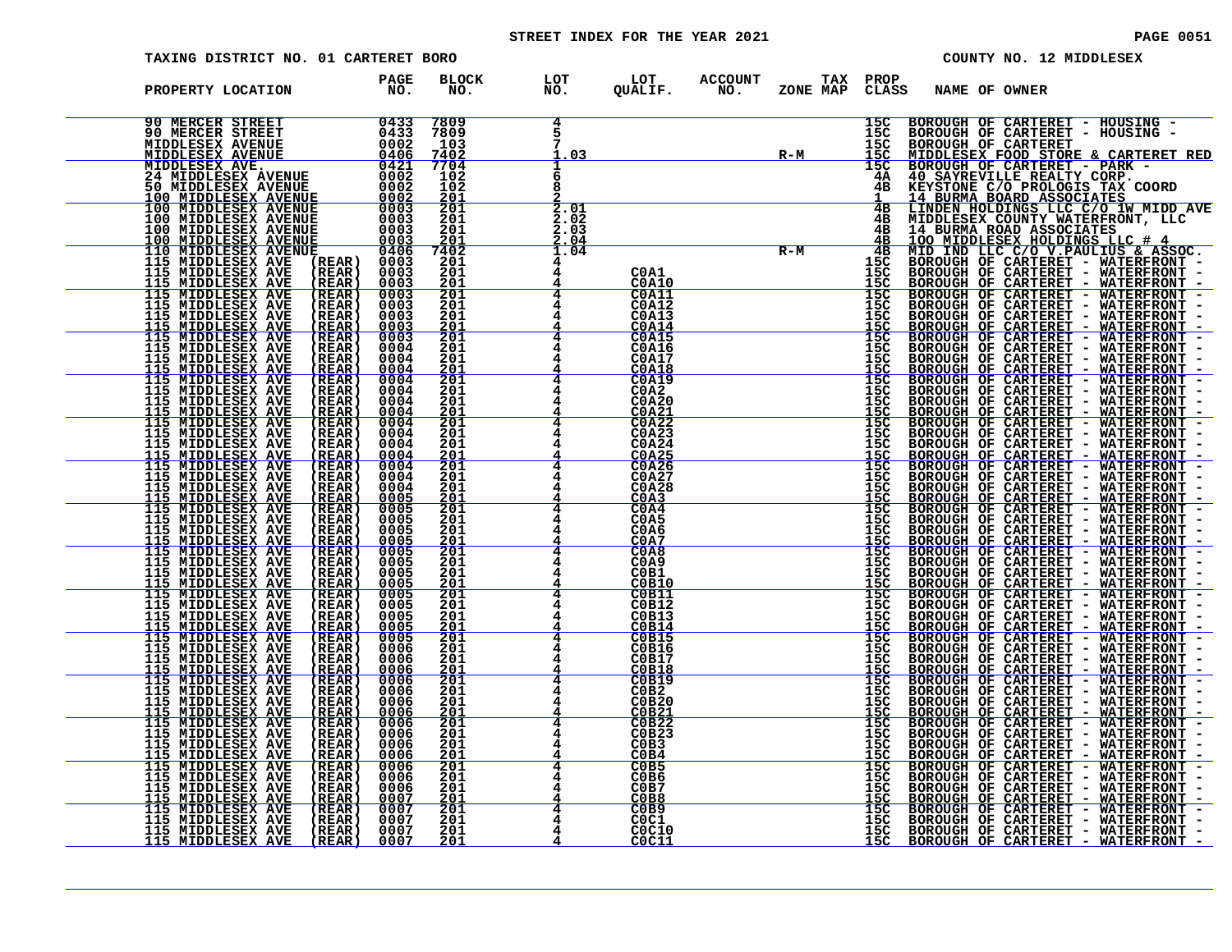# STREET INDEX FOR THE YEAR 2021 **PAGE 10051** PAGE 0051

| TAXING DISTRICT NO. 01 CARTERET BORO |                     |                                                                |                                  |                                                                                             |                                     | COUNTY NO. 12 MIDDLESEX                                                                                                                                                                                                        |
|--------------------------------------|---------------------|----------------------------------------------------------------|----------------------------------|---------------------------------------------------------------------------------------------|-------------------------------------|--------------------------------------------------------------------------------------------------------------------------------------------------------------------------------------------------------------------------------|
| PROPERTY LOCATION                    | <b>PAGE<br/>NO.</b> | BLOCK<br>NO.                                                   | LOT<br>NO.                       | LOT<br>QUALIF.                                                                              | ACCOUNT TAX PROP NO. ZONE MAP CLASS | <b>CLASS</b><br>NAME OF OWNER                                                                                                                                                                                                  |
|                                      |                     | 7809                                                           | 4<br>7<br>1.03                   |                                                                                             | $R-M$                               |                                                                                                                                                                                                                                |
|                                      |                     |                                                                | 8                                |                                                                                             |                                     |                                                                                                                                                                                                                                |
|                                      |                     |                                                                | $\frac{2}{2.01}$<br>2.02<br>2.03 |                                                                                             |                                     |                                                                                                                                                                                                                                |
|                                      |                     |                                                                | $\frac{2.04}{1.04}$              |                                                                                             | $R-M$ $4B$<br>$15C$                 |                                                                                                                                                                                                                                |
|                                      |                     |                                                                |                                  | COA1<br>COA10<br>COA11<br>C0A12<br><b>C0A13</b>                                             | $\frac{155}{155}$                   | $\frac{155}{155}$                                                                                                                                                                                                              |
|                                      |                     | $\frac{201}{201}$<br>$201$<br>$201$<br>$201$                   |                                  | $\frac{\overline{COA14}}{\overline{COA15}}$<br>C0A16<br><b>C0A17</b>                        |                                     | $\frac{155}{155}$<br>$\frac{15}{15}$<br>$\frac{15}{15}$                                                                                                                                                                        |
|                                      |                     | <u> 201</u><br>$\frac{201}{201}$                               |                                  | <b>C0A18</b><br><b>C0A19</b><br>C0A2                                                        |                                     | $\frac{155}{155}$                                                                                                                                                                                                              |
|                                      |                     | $\frac{201}{201}$<br>$\frac{201}{201}$                         |                                  | $\frac{\overline{COA21}}{\overline{COA22}}$                                                 |                                     |                                                                                                                                                                                                                                |
|                                      |                     | $\frac{\frac{201}{201}}{\frac{201}{201}}$                      |                                  | COA23<br>COA24<br>COA25<br>COA26<br>COA27<br>$C$ <sub>0</sub> A <sub>28</sub>               |                                     |                                                                                                                                                                                                                                |
|                                      |                     |                                                                |                                  | $\frac{\overline{COA4}}{\overline{COA5}}$                                                   |                                     |                                                                                                                                                                                                                                |
|                                      |                     |                                                                |                                  | $\frac{\text{COA7}}{\text{COA8}}$<br>C <sub>0</sub> A <sub>9</sub><br>COB1                  |                                     |                                                                                                                                                                                                                                |
|                                      |                     | $\frac{201}{201}$                                              | $\frac{4}{ }$                    | COB10<br><b>C0B11</b><br>C0B12<br>C0B13                                                     |                                     |                                                                                                                                                                                                                                |
|                                      |                     | $\frac{201}{201}$<br>$\frac{201}{201}$<br>$\frac{201}{201}$    |                                  | COB14<br><b>C0B15</b><br>C0B16<br>C0B17                                                     |                                     | 15C<br>15C<br>15C<br>15C<br>15C<br>15C<br>15C<br>15C<br>15C                                                                                                                                                                    |
|                                      |                     | $\frac{201}{201}$<br>201<br>201                                |                                  | $\frac{\overline{COB18}}{\overline{COB19}}$<br>COB2<br>C0B20                                |                                     | PROPERTY MANE OF ONE TREET - HOUSING THE RELEASE TO A MANE OF ONE TRAFFIC DESCRIPTION OF CARTEREST - NOT THE RELEASE TO A MANE THE RELEASE TO A MANE THE RELEASE TO A MANE THE RELEASE TO A MANE THE RELEASE TO A MANE THE REL |
|                                      |                     | $\frac{201}{201}$<br>$201$<br>$201$                            |                                  | $C$ $0B21$<br>COB22<br>COB23<br>ČÕB <sub>3</sub>                                            |                                     | $\frac{155}{150}$<br>$\frac{150}{150}$                                                                                                                                                                                         |
|                                      |                     | $\frac{201}{201}$<br>$201$<br>$201$                            |                                  | $rac{\text{C}^{\text{O}}}{\text{C}^{\text{O}} \text{B}^{\text{O}}}$<br>COB6<br>COB7<br>COB8 |                                     |                                                                                                                                                                                                                                |
|                                      |                     | $\frac{\frac{201}{201}}{\frac{201}{201}}$<br>$\frac{201}{201}$ |                                  | C <sub>0C1</sub>                                                                            |                                     | 15C<br>15C<br>15C<br>15C<br>15C                                                                                                                                                                                                |
|                                      |                     |                                                                |                                  | C <sub>0</sub> C <sub>10</sub><br>C0C11                                                     |                                     | $\frac{\bar{1}\bar{5}\bar{c}}{15C}$                                                                                                                                                                                            |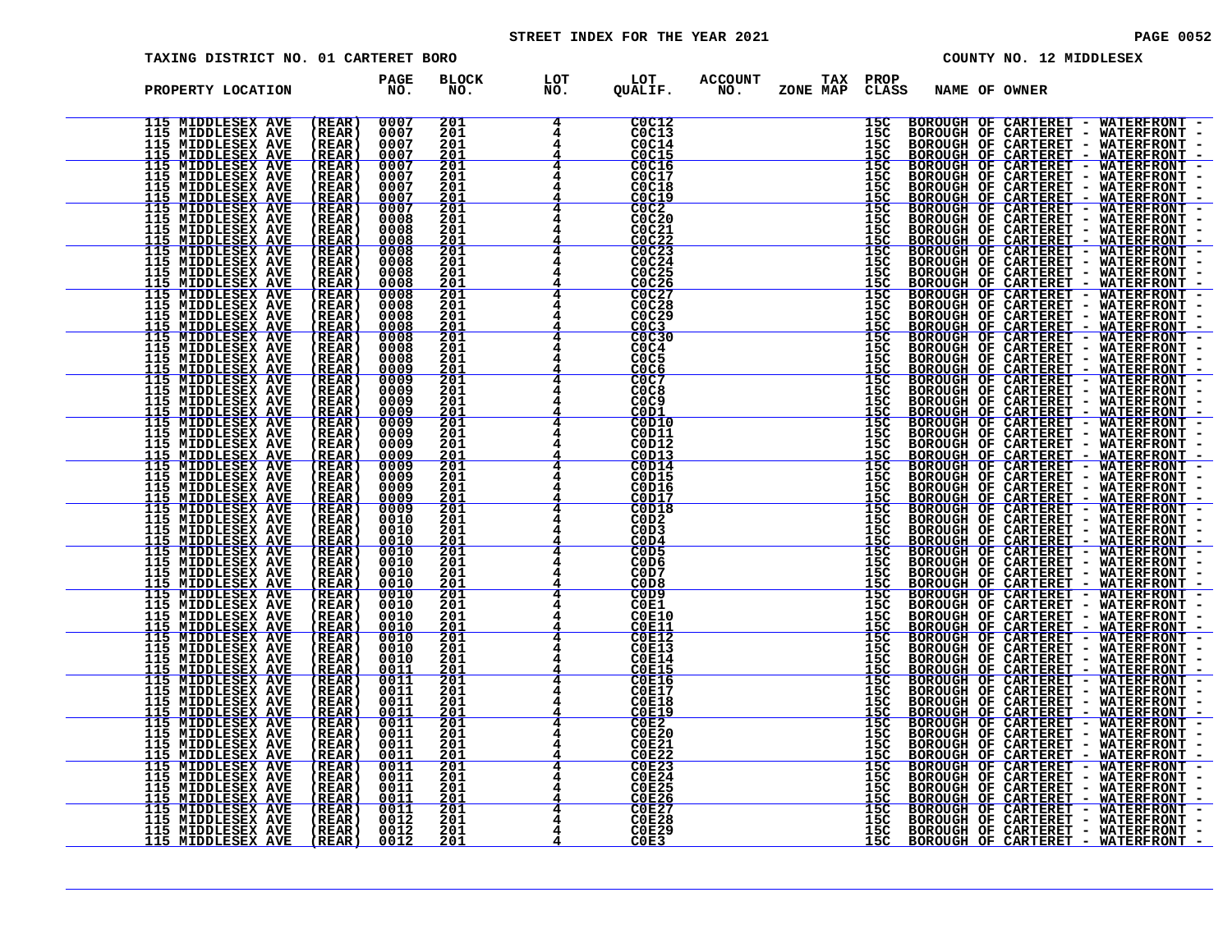# STREET INDEX FOR THE YEAR 2021 **PAGE 10052** PAGE 0052

| הדר זדו | $10.1$ MTDDIRCEV |  |
|---------|------------------|--|

| TAXING DISTRICT NO. 01 CARTERET BORO                                                                                                                                                                                                                                                                                                                                     |                                                                                                            |                                                                                                                                                                 |                                                                | COUNTY NO. 12 MIDDLESEX                                                                                                                                                                                                        |
|--------------------------------------------------------------------------------------------------------------------------------------------------------------------------------------------------------------------------------------------------------------------------------------------------------------------------------------------------------------------------|------------------------------------------------------------------------------------------------------------|-----------------------------------------------------------------------------------------------------------------------------------------------------------------|----------------------------------------------------------------|--------------------------------------------------------------------------------------------------------------------------------------------------------------------------------------------------------------------------------|
| PROPERTY LOCATION                                                                                                                                                                                                                                                                                                                                                        | <b>BLOCK</b><br>PAGE<br>NO.<br>NO.                                                                         | LOT<br>NO.<br>LOT<br>QUALIF.                                                                                                                                    | <b>ACCOUNT</b><br>TAX PROP<br>NO.<br>ZONE MAP<br>CLASS         | NAME OF OWNER                                                                                                                                                                                                                  |
| (REAR)<br>115 MIDDLESEX AVE<br><b>THE MIDDLESEX AVE<br/>115 MIDDLESEX AVE<br/>115 MIDDLESEX AVE</b><br>(REAR)<br>(REAR)<br>(REAR)                                                                                                                                                                                                                                        | 0007<br>201<br>0007<br>$\frac{201}{201}$<br>0007<br>201<br>0007                                            | C0C12<br>C0C13<br>C0C14<br>C0C15                                                                                                                                | 15C<br>15C<br>15C<br>15C                                       | BOROUGH OF CARTERET - WATERFRONT -                                                                                                                                                                                             |
| (REAR)<br>(REAR)<br>(REAR)<br>(REAR)                                                                                                                                                                                                                                                                                                                                     | 0007<br>$\frac{201}{201}$<br>0007<br>201<br>0007<br>0007<br>$\frac{201}{201}$                              | CC16<br>CC0C17<br>C0C18                                                                                                                                         | 15C<br>15C<br>15C<br>$\frac{\bar{1}\bar{5}\bar{c}}{15\bar{c}}$ |                                                                                                                                                                                                                                |
| (REAR)<br>(REAR)<br>(REAR)<br>(REAR)<br>(REAR)                                                                                                                                                                                                                                                                                                                           | 0007<br>$\frac{201}{201}$<br>0008<br>0008<br>$\frac{201}{201}$<br>0008<br>0008                             | $\frac{\begin{array}{r}\n0 & 0 \\ 0 & 0 \\ 0 & 0 \\ 0 & 0\n\end{array}}$<br>C0C21<br>$\frac{\text{COC22}}{\text{COC23}}$<br>$\frac{\text{COC22}}{\text{COC24}}$ | 15C<br>15C<br>$\frac{\bar{1}\bar{5}\bar{c}}{15\bar{c}}$        |                                                                                                                                                                                                                                |
| (REAR)<br>(REAR)<br>(REAR)                                                                                                                                                                                                                                                                                                                                               | 201<br>0008<br>0008<br>$\frac{201}{201}$<br>$\frac{201}{201}$<br>0008<br>0008<br>0008                      | C0C25<br>COC <sub>26</sub><br>C0C27<br>C0C28                                                                                                                    | 15C<br>$\frac{155}{150}$<br>$\frac{150}{150}$                  |                                                                                                                                                                                                                                |
| <b>115 MIDDLESEX AVESTAS AVESTAS AVESTAS AVESTAS AVESTAS AVESTAS AVESTAS AVESTAS AVESTAS AVESTAS AVESTAS AVESTAS AVESTAS AVESTAS AVESTAS AVESTAS AVESTAS AVESTAS AVESTAS AVESTAS AVESTAS AVESTAS AVESTAS AVESTAS AVESTAS AVESTAS</b><br>$\begin{array}{c} \text{(REAR)}\\ \text{(REAR)}\\ \text{(REAR)}\\ \end{array}$<br>(REAR)<br>(REAR)<br>(REAR)<br>(REAR)<br>(REAR) | 0008<br>$\frac{0000}{0000}$<br>0008                                                                        | $\overline{c}$ <sub>0</sub> $\overline{c}$ <sub>29</sub><br>$\frac{\text{COC3}}{\text{COC30}}$<br>COC4                                                          | 15č<br>$\frac{155}{155}$                                       |                                                                                                                                                                                                                                |
| $(REAR)$<br>$(REAR)$                                                                                                                                                                                                                                                                                                                                                     | 2011<br>2011<br>2011<br>2012<br>2012<br>2011<br>2011<br>0008<br><u>0009</u><br>$\frac{1}{6000}$            | COC5<br>C <sub>0</sub> C <sub>6</sub><br>4<br>COC <sub>8</sub><br>C <sub>0</sub> C <sub>9</sub><br>4                                                            | 15C<br>15C<br>15C<br>15C<br>15C                                |                                                                                                                                                                                                                                |
| (REAR)<br>(REAR)<br>(REAR)<br>$(REAR)$<br>$(REAR)$                                                                                                                                                                                                                                                                                                                       | 0000<br><u>0000</u><br>0000<br>0009<br>6000<br>$\frac{201}{201}$                                           | <u>COD1</u><br>$\frac{4}{4}$<br>COD10<br>C0D11<br>4<br>C0D12                                                                                                    | 115C<br>115C<br>115C<br>115C<br>115C<br>115C                   |                                                                                                                                                                                                                                |
| (REAR)<br>(REAR)<br>(REAR)<br>(REAR)<br>(REAR)                                                                                                                                                                                                                                                                                                                           | <u>eooo</u><br>eooo<br>eooo<br>$\frac{201}{201}$<br>$\frac{201}{201}$<br><u>eōōŏ</u><br><u>eooo</u><br>201 | COD13<br>$\frac{4}{4}$<br>C0D14<br>4<br>C0D15<br>C0D16<br>4<br><b>C0D17</b>                                                                                     |                                                                |                                                                                                                                                                                                                                |
| (REAR)<br>(REAR)<br>(REAR)<br>(REAR)                                                                                                                                                                                                                                                                                                                                     | $\frac{\frac{201}{201}}{\frac{201}{201}}$<br>0009<br>0010<br>0010<br>201<br>0010<br>$\frac{201}{201}$      | $-4$<br>C0D18<br>COD2<br>C <sub>0</sub> D <sub>3</sub><br>4<br>COD4                                                                                             | 15C<br>15C<br>15C<br>15C<br>15C<br>$\frac{155}{155}$           |                                                                                                                                                                                                                                |
| (REAR)<br>(REAR)<br>(REAR)<br>(REAR)<br>(REAR)                                                                                                                                                                                                                                                                                                                           | 0010<br>201<br><u>ŎŎĪŎ</u><br><u>OO1O</u><br>201<br>201<br>0010                                            | COD5<br>C <sub>0</sub> D <sub>6</sub><br>C0D7<br>C <sub>0</sub> D <sub>8</sub><br>C <sub>0</sub> D <sub>9</sub>                                                 | 15C<br>15C<br><u>15C</u><br>15C                                |                                                                                                                                                                                                                                |
| (REAR)<br>(REAR)<br>(REAR)<br>(REAR)                                                                                                                                                                                                                                                                                                                                     | $\frac{201}{201}$<br>0010<br>201<br>0010<br><u>0010</u><br>0010<br>$\frac{201}{201}$<br>$201$<br>$201$     | C0E1<br><b>C0E10</b><br><b>C0E11</b><br><b>C0E12</b>                                                                                                            | 15C<br>15C<br>$\frac{\bar{1}\bar{5}\bar{c}}{15\bar{c}}$        |                                                                                                                                                                                                                                |
| (REAR)<br>(REAR)<br>$(REAR)$<br>$(REAR)$<br>(REAR)                                                                                                                                                                                                                                                                                                                       | 0010<br>0010<br>$\frac{\bar{2}\bar{0}\bar{1}}{201}$<br><u>0011</u><br>0011<br>ŎŎĪĪ                         | <b>C0E13</b><br><b>C0E14</b><br>COE15<br>C0E16<br><b>C0E17</b>                                                                                                  | 15C<br>15C<br>15C<br>15C<br>15C                                |                                                                                                                                                                                                                                |
| (REAR)<br>(REAR)<br>(REAR)<br>(REAR)<br>(REAR)                                                                                                                                                                                                                                                                                                                           | 201<br>0011<br>$\frac{201}{201}$<br>$201$<br>$201$<br>0011<br>0011<br>0011<br>0011                         | <b>C0E18</b><br><b>C0E19</b><br>COE2<br>COE20<br><b>C0E21</b>                                                                                                   | 15C<br>15C<br>15C<br>15C<br>15C                                |                                                                                                                                                                                                                                |
|                                                                                                                                                                                                                                                                                                                                                                          | $\frac{201}{201}$<br>$\frac{201}{201}$<br>$\frac{0011}{0011}$<br>0011<br>0011<br><u>0011</u>               | <b>C0E25</b>                                                                                                                                                    | $\frac{15}{15}$<br>15C<br>15č<br><u>15č</u>                    |                                                                                                                                                                                                                                |
| 115 MIDDLESEX AVE<br>115 MIDDLESEX AVE<br>115 MIDDLESEX AVE<br>115 MIDDLESEX AVE<br>115 MIDDLESEX AVE<br>115 MIDDLESEX AVE<br>115 MIDDLESEX AVE<br>115 MIDDLESEX AVE<br>115 MIDDLESEX AVE<br>115 MIDDLESEX AVE<br>115 MIDDLESEX AVE<br>115 MIDDLESEX AVE<br>115 MI<br>(REAR)<br>(REAR)<br>(REAR)<br>(REAR)<br>(REAR)<br>(REAR)<br>(REAR)<br>(REAR)<br>(REAR)             | <u>2ŏi</u><br>$0011$<br>$0012$<br>$\frac{201}{201}$<br>$\frac{201}{201}$<br>0012<br>0012                   | COE26<br>COE27<br>COE28<br>COE29<br>COE3                                                                                                                        | 15C<br>15C<br>15C<br>15C                                       | S NAME OF CONTRERET - WATERFRONT - EXPRESSION CONTRESSION CONTRESSION CONTRESSION CONTRESSION CONTRESSION CONTRESSION CONTRESSION CONTRESSION CONTRESSION CONTRESSION CONTRESSION CONTRESSION CONTRESSION CONTRESSION CONTRESS |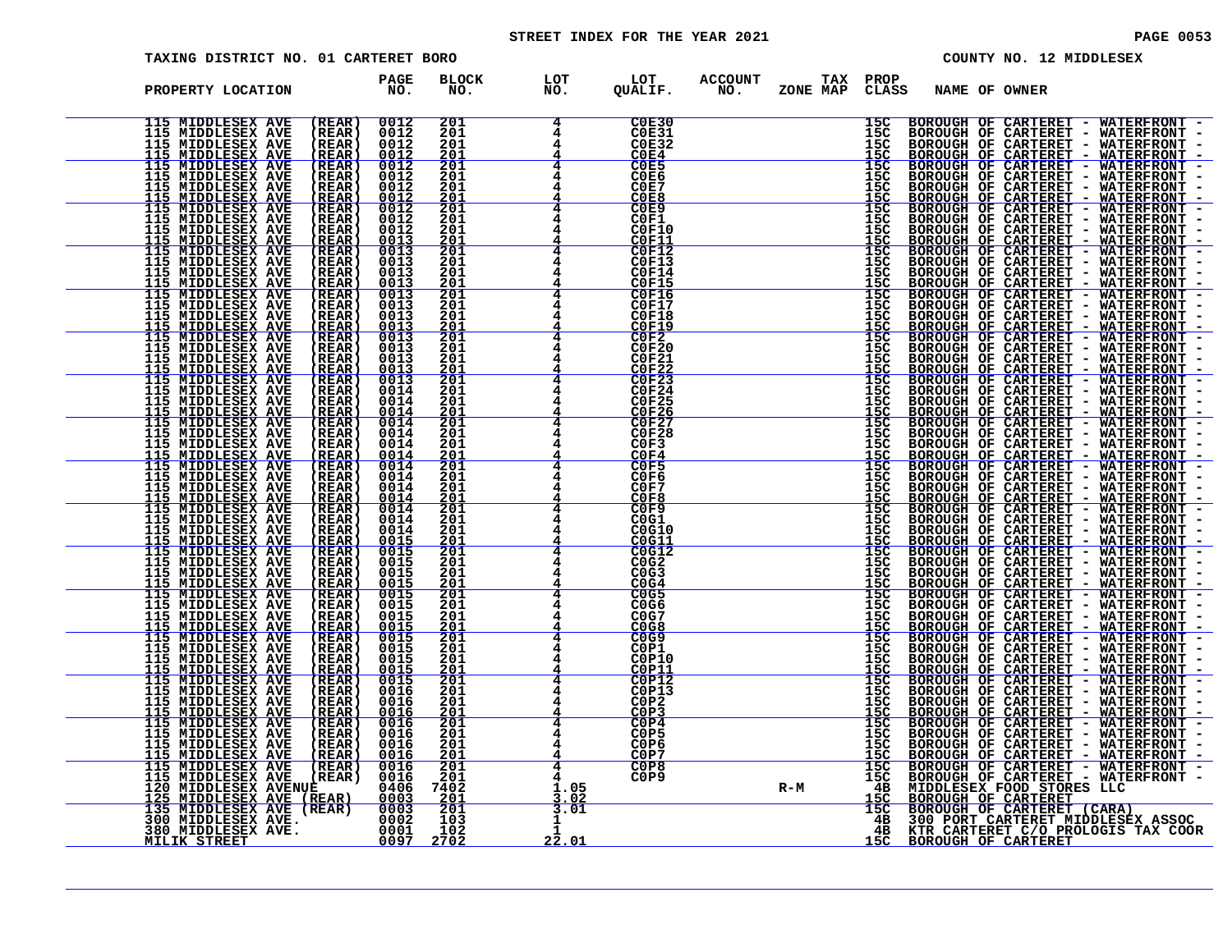# STREET INDEX FOR THE YEAR 2021 **PAGE 10053**

| ᅖᅏᅠᅒᄋ | 10 MIDDIRGRY |  |
|-------|--------------|--|

| TAXING DISTRICT NO. 01 CARTERET BORO                                                                                                                                                                                                             |                                                                                    |                                                                                   |                                                                                                                                                            |                                          |                                                    | COUNTY NO. 12 MIDDLESEX                                                                                                                                                                                                        |  |
|--------------------------------------------------------------------------------------------------------------------------------------------------------------------------------------------------------------------------------------------------|------------------------------------------------------------------------------------|-----------------------------------------------------------------------------------|------------------------------------------------------------------------------------------------------------------------------------------------------------|------------------------------------------|----------------------------------------------------|--------------------------------------------------------------------------------------------------------------------------------------------------------------------------------------------------------------------------------|--|
| PROPERTY LOCATION                                                                                                                                                                                                                                | <b>PAGE</b><br>NO.                                                                 | <b>BLOCK</b><br>NO.                                                               | LOT<br>NO.<br>LOT<br>QUALIF.                                                                                                                               | <b>ACCOUNT</b><br>TAX<br>NO.<br>ZONE MAP | PROP<br><b>CLASS</b>                               | NAME OF OWNER                                                                                                                                                                                                                  |  |
| 115 MIDDLESEX AVE<br><b>THE MIDDLESEX AVE<br/>115 MIDDLESEX AVE<br/>115 MIDDLESEX AVE</b>                                                                                                                                                        | 0012<br>(REAR)<br>0012<br>0012<br><u>0012</u><br>(REAR)<br>(REAR)<br><u>(REAR)</u> | 201<br>201<br>201<br>201                                                          | C0E30<br>$\overline{4}$<br>COE31<br>COE32<br>COE4                                                                                                          |                                          | 15C<br>$\frac{155}{150}$                           | BOROUGH OF CARTERET - WATERFRONT -                                                                                                                                                                                             |  |
|                                                                                                                                                                                                                                                  |                                                                                    | $\frac{201}{201}$<br>$\frac{201}{201}$                                            | COE5<br>COE6<br>COE7<br>COE8<br>COE9                                                                                                                       |                                          | $\frac{15C}{15C}$<br>$\frac{155}{150}$             |                                                                                                                                                                                                                                |  |
|                                                                                                                                                                                                                                                  |                                                                                    | 201<br>201<br>$\frac{201}{201}$<br>$201$                                          | C0F1<br>C0F10<br>$\frac{\overline{C} \overline{O} \overline{F} \overline{1}\overline{1}}{\overline{C} \overline{O} \overline{F} \overline{1}\overline{2}}$ |                                          | 15C<br>15C<br>$\frac{15C}{15C}$<br>$15C$           |                                                                                                                                                                                                                                |  |
|                                                                                                                                                                                                                                                  |                                                                                    | 201<br><u> 201</u><br>$\frac{201}{201}$<br>$201$                                  | C0F13<br>C0F14<br>COF15<br>COF16<br>COF17<br>COF18                                                                                                         |                                          |                                                    |                                                                                                                                                                                                                                |  |
|                                                                                                                                                                                                                                                  |                                                                                    |                                                                                   | <b>COF19<br/> COF20<br/> COF20<br/> COF22<br/> COF24<br/> COF24</b><br>COF24                                                                               |                                          |                                                    |                                                                                                                                                                                                                                |  |
|                                                                                                                                                                                                                                                  |                                                                                    | 2011<br>2011<br>2011<br>2012<br>2011<br>2011<br>2011                              | <b>C0F25</b>                                                                                                                                               |                                          |                                                    |                                                                                                                                                                                                                                |  |
|                                                                                                                                                                                                                                                  |                                                                                    | $\frac{201}{201}$                                                                 | COF26<br>$\frac{4}{4}$<br>C0F27<br>C0F28<br>C0F3<br>COF4                                                                                                   |                                          |                                                    |                                                                                                                                                                                                                                |  |
|                                                                                                                                                                                                                                                  |                                                                                    | 2011<br>2011<br>2011<br>2011<br>2011                                              | C0F5<br>C0F6<br>C0F7<br>C0F8                                                                                                                               |                                          |                                                    |                                                                                                                                                                                                                                |  |
|                                                                                                                                                                                                                                                  |                                                                                    | 201<br>$\frac{201}{201}$                                                          | C0F9<br>C0G1<br>C0G10<br>C0G11<br>COG12                                                                                                                    |                                          |                                                    |                                                                                                                                                                                                                                |  |
|                                                                                                                                                                                                                                                  |                                                                                    | 201<br>201<br><u>201</u><br>$\frac{201}{201}$                                     | C0G2<br>C0G3<br>COG4<br>COG5<br>C0G6                                                                                                                       |                                          | 15C<br>$15C$<br>$15C$<br>$15C$<br>$15C$            |                                                                                                                                                                                                                                |  |
|                                                                                                                                                                                                                                                  |                                                                                    | 201<br>$\frac{201}{201}$<br>201                                                   | COG7<br>CO <sub>3</sub><br>COG9<br>C0P1                                                                                                                    |                                          | $\frac{155}{155}$                                  |                                                                                                                                                                                                                                |  |
|                                                                                                                                                                                                                                                  |                                                                                    | 201<br>$\frac{201}{201}$<br>$201$                                                 | C0P10<br><b>C0P11</b><br>COP12<br>C0P13<br>COP2                                                                                                            |                                          | 15C<br>15C<br>15C<br>15C<br>15C                    |                                                                                                                                                                                                                                |  |
| 1115 MIDDLESSEX AVE (KRAR) 00112<br>1115 MIDDLESSEX AVE (KRAR) 00112<br>1115 MIDDLESSEX AVE (KRAR) 00012<br>1115 MIDDLESSEX AVE (KRAR) 00012<br>1115 MIDDLESSEX AVE (KRAR) 00012<br>1115 MIDDLESSEX AVE (KRAR) 00012<br>1115 MIDDLESSEX AVE (KRA |                                                                                    | $\frac{201}{201}$<br>$\frac{201}{201}$<br>$\frac{201}{201}$                       | COP3<br>COP4<br>C0P5<br>C <sub>0</sub> P <sub>6</sub><br>COP7                                                                                              |                                          | 15C<br>15C<br>15C<br>15C<br>15C<br>15C<br>15C<br>4 | SS NAME OF OWNER - WATERFRONT - BOROUGH OF CARTERET - WATERFRONT - BOROUGH OF CARTERET - WATERFRONT - BOROUGH OF CARTERET - WATERFRONT - BOROUGH OF CARTERET - WATERFRONT - BOROUGH OF CARTERET - WATERFRONT - BOROUGH OF CART |  |
|                                                                                                                                                                                                                                                  |                                                                                    | $\frac{201}{201}$<br>$\frac{201}{7402}$<br>$\frac{201}{201}$<br>$\frac{103}{103}$ | C0P8<br>C <sub>0</sub> P <sub>9</sub><br>1.05<br>3.02                                                                                                      | $R-M$                                    | $\frac{48}{15C}$<br>$\frac{15C}{15C}$              |                                                                                                                                                                                                                                |  |
|                                                                                                                                                                                                                                                  |                                                                                    | 102<br>2702                                                                       | 3.01<br>22.01                                                                                                                                              |                                          | 4 B<br>$\frac{4B}{15C}$                            |                                                                                                                                                                                                                                |  |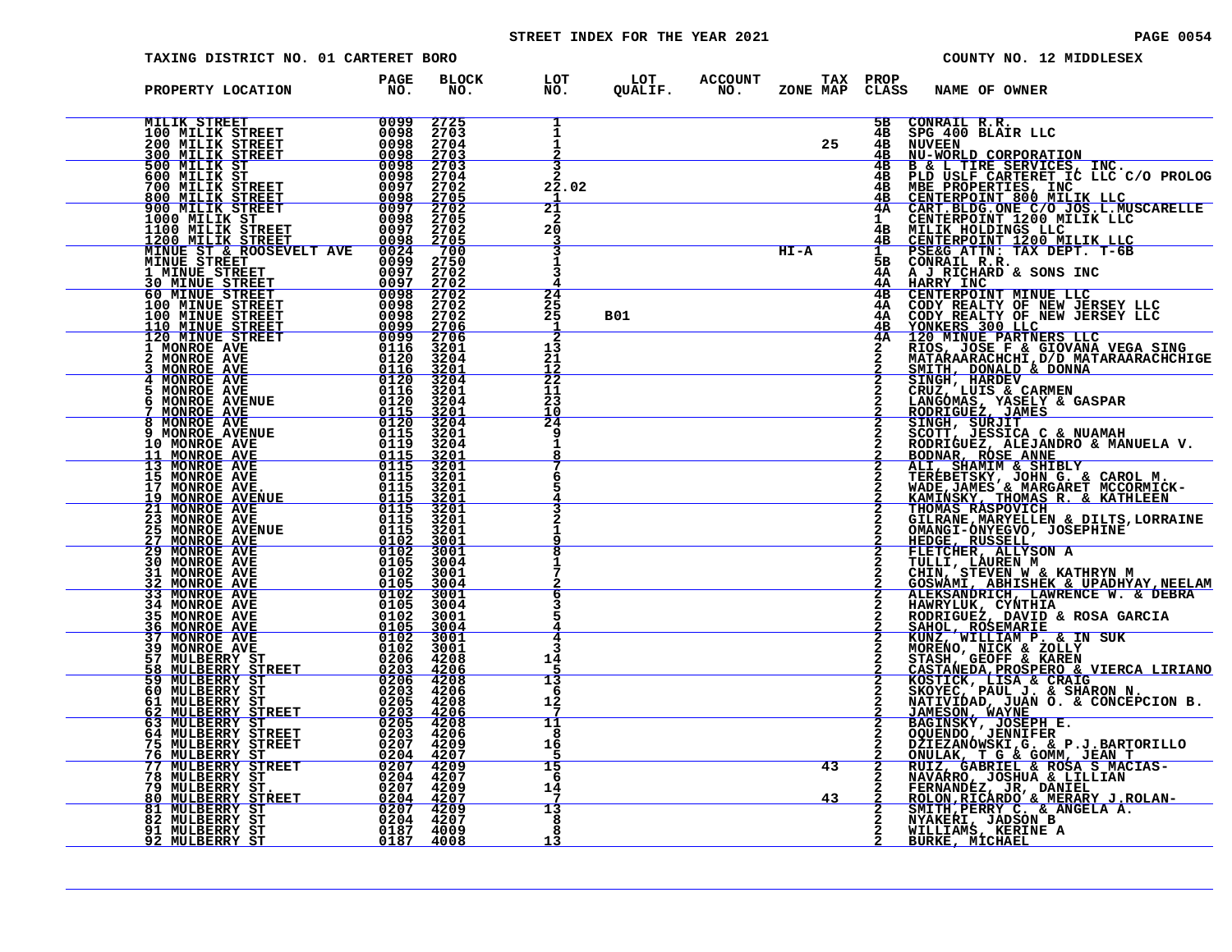# STREET INDEX FOR THE YEAR 2021 **PAGE 10054** PAGE 0054

| <b>TAXING DISTRICT NO. 01 CARTERET BORO</b>                                                                                              |                                              |                                                                     |                                                   |                |                       |           |                                       | COUNTY NO. 12 MIDDLESEX                                                                                                                                                                                                                    |
|------------------------------------------------------------------------------------------------------------------------------------------|----------------------------------------------|---------------------------------------------------------------------|---------------------------------------------------|----------------|-----------------------|-----------|---------------------------------------|--------------------------------------------------------------------------------------------------------------------------------------------------------------------------------------------------------------------------------------------|
| PROPERTY LOCATION                                                                                                                        | PAGE<br>NO.                                  | <b>BLOCK</b><br>NO.                                                 | LOT<br>NO.                                        | LOT<br>QUALIF. | <b>ACCOUNT</b><br>NO. | ZONE MAP  | TAX PROP<br>CLASS                     | NAME OF OWNER                                                                                                                                                                                                                              |
| MILIK STREET<br>100 MILIK STREET<br>200 MILIK STREET<br><b>300 MILIK STREET</b>                                                          | 0099<br>0098<br>0098<br>0098                 | 2725<br>2703<br>2704<br>2703                                        | 1                                                 |                |                       | 25        | 5в<br>4в<br>4B<br>4в                  | CONRAIL R.R.<br>SPG 400 BLAIR LLC<br>NUVEEN<br>NU-WORLD CORPORATION                                                                                                                                                                        |
| 500 MILIK ST<br>600 MILIK ST<br>700 MILIK STREET<br><b>800 MILIK STREET</b><br>900 MILIK STREET                                          | 0098<br>0098<br>0097<br><u>0098</u><br>0097  | 2703<br>2704<br>2702<br>$\frac{\bar{2}\dot{7}\dot{0}\bar{5}}{2702}$ | 22.02<br>21                                       |                |                       |           | 4в<br>4в<br>4в<br>4в<br>4Α            | B & L TIRE SERVICES, INC.<br>PLD USLF CARTERET IC LLC C/O PROLOG<br>MBE PROPERTIES, INC<br>CENTERPOINT 800 MILIK LLC<br>CART.BLDG.ONE C/O JOS.L.MUSCARELLE<br>CENTERPOINT 1200 MILIK LLC<br>CENTERPOINT 1200 MILIK LLC                     |
| 1000 MILIK ST<br>1100 MILIK STREET<br>1200 MILIK STREET<br>MINUE ST & ROOSEVELT AVE<br><b>MINUE STREET</b>                               | 0098<br>0097<br>0098<br>0024<br>0099<br>0097 | 2705<br>2702<br>2705<br>700<br>2750                                 | 20                                                |                |                       | $H I - A$ | $\mathbf{1}$<br>4в<br><u>4B</u><br>5в | MILIK HOLDINGS LLC<br>CENTERPOINT 1200 MILIK LLC<br>PSE&G ATTN: TAX DEPT. T-6B<br>CONRAIL R.R.                                                                                                                                             |
| 1 MINUE STREET<br><b>30 MINUE STREET</b><br><b>60 MINUE STREET</b><br>100 MINUE STREET<br>100 MINUE STREET                               | 0097<br>0098<br>0098<br>0098<br>0099         | 2702<br>2702<br>2702<br>2702<br>2702                                | 24<br>25<br>25<br>-1                              | <b>B01</b>     |                       |           | 4Α<br>4Α<br>4в<br>4Α<br>4Α<br>4в      | A J RICHARD & SONS INC<br>HARRY INC<br>CENTERPOINT MINUE LLC                                                                                                                                                                               |
| 110 MINUE STREET<br>120 MINUE STREET<br>120 MINUE STREET<br>2 MONROE AVE<br>2 MONROE AVE<br>4 MONROE AVE<br>5 MONROE AVE<br>5 MONROE AVE | 0099<br>0116<br>0120<br>0116<br>0120         | $\frac{2706}{2706}$<br>3201<br>3204<br>3201                         | 13<br>21<br>12<br>$\overline{22}$                 |                |                       |           | 4Α                                    | HARRIT INC. THE MANUSE IN THE MANUST THOMAS REALLY AND THE CONTRESS OF NEW JERSEY LLC<br>CONTERES 300 LLC<br>IONINE PARTNERS LLC<br>IONINE PARTNERS LLC<br>HOS , JOSE F & GIOVANA VEGA SING<br>MATARAARACHCHI, D/D MATARAARACHCHIGE<br>SMI |
| <b>6 MONROE AVENUE<br/> 7 MONROE AVE<br/> 8 MONROE AVE<br/> 9 MONROE AVENUE<br/> 9 MONROE AVENUE</b>                                     | ŎĪĪĞ<br>$0120$<br>$0115$<br>0120<br>0115     | 3204<br>3201<br>3204<br>$\frac{3201}{3204}$                         | 11<br>23<br>10<br>$\overline{2}\overline{4}$<br>q |                |                       |           |                                       |                                                                                                                                                                                                                                            |
| <b>10 MONROE AVE</b><br>11 MONROE AVE<br>13 MONROE AVE<br>15 MONROE AVE                                                                  | 0119<br>$\frac{0115}{0115}$<br>0115          | 3201<br>3204<br>$\frac{3201}{3201}$<br>3201<br>3201                 |                                                   |                |                       |           |                                       |                                                                                                                                                                                                                                            |
| 17 MONROE AVE.<br>19 MONROE AVENUE<br><b>21 MONROE AVE</b><br><b>23 MONROE AVE</b><br><b>25 MONROE AVENUE</b>                            | 0115<br>0115<br>0115<br>0115<br>0115         | <u>3201</u><br>3201<br>3201<br>3201<br>3001                         |                                                   |                |                       |           |                                       | THOMAS RASPOVICH<br>GILRANE, MARYELLEN & DILTS, LORRAINE<br>OMANGI-ONYEGVO, JOSEPHINE                                                                                                                                                      |
| <b>27 MONROE AVE</b><br><b>29 MONROE AVE</b><br>30 MONROE AVE<br>31 MONROE AVE<br>32 MONROE AVE                                          | $\frac{0102}{0102}$<br>0105<br>0102<br>0105  | 3001<br>3004<br>3001<br>3004                                        |                                                   |                |                       |           |                                       | HEDGE, RUSSELL<br>FLETCHER, ALLYSON A<br>TULLI, LAUREN M<br>CHIN, STEVEN W & KATHRYN M<br><u>GOSWAMI, ABHISHEK &amp; UPADHYAY, NEELAM</u>                                                                                                  |
| 33 MONROE AVE<br>34 MONROE AVE<br>35 MONROE AVE<br>MONROE AVE<br>36<br><b>37 MONROE AVE</b>                                              | 0102<br>0105<br>0102<br>$\frac{0105}{0102}$  | 3001<br>3004<br>3001<br><u>3004</u><br>3001                         |                                                   |                |                       |           |                                       | ALEKSANDRICH, LAWRENCE W. & DEBRA<br>HAWRYLUK, CYNTHIA<br>RODRIGUEZ, DAVID & ROSA GARCIA<br>SAHOL, ROSEMARIE<br>KUNZ, WILLIAM P. & IN SUK                                                                                                  |
| 39 MONROE AVE<br>57 MULBERRY ST<br>MULBERRY STREET<br>58<br>59 MULBERRY ST<br>60 MULBERRY ST                                             | 0102<br>0206<br>0203<br>0206<br>0203         | 3001<br>4208<br><u>4206</u><br>4208<br>4206                         | 14<br>13<br>6                                     |                |                       |           |                                       | MORENO, NICK & ZOLLY<br>STASH, GEOFF & KAREN<br>CASTANEDA, PROSPERO & VIERCA LIRIANO<br>KOSTICK, LISA & CRAIG<br>SKOYEC, PAUL J. & SHARON N.                                                                                               |
| 61 MULBERRY ST<br>62 MULBERRY STREET<br>63 MULBERRY ST<br>64 MULBERRY STREET<br>75 MULBERRY STREET                                       | 0205<br>0203<br>0205<br>0203<br>0207         | 4208<br>4206<br>4208<br>4206<br>4209                                | 12<br>11<br>8<br>16                               |                |                       |           | 2                                     | NATIVIDAD, JUAN O. & CONCEPCION B.<br>JAMESON, WAYNE<br>BAGINSKY, JOSEPH, E.<br>OQUENDO, JENNIFER                                                                                                                                          |
| <u>76 MULBERRY ST</u><br>77 NULBERRY STREET<br>78 MULBERRY ST<br><b>79 MULBERRY ST.</b><br>MULBERRY STREET<br>80                         | $\frac{0204}{0207}$<br>0204<br>0207<br>0204  | $\frac{4207}{4209}$<br>4207<br>4209<br>4207                         | 15<br>6<br>14                                     |                |                       | 43<br>43  |                                       | DZIEZANÓWSKI, G. & P.J.BARTORILLO<br>ONULAK, T G & GOMM, JEAN T<br>RUIZ, GABRIEL & ROSA S MACIAS-<br>NAVARRO, JOSHUA & LILLIAN<br>FERNANDÉZ, JR, DANIEL<br>ROLON, RICARDO & MERARY J.ROLAN-                                                |
| 81 MULBERRY ST<br>82 MULBERRY ST<br>91 MULBERRY ST<br>92 MULBERRY ST                                                                     | 0207<br>0204<br>0187<br>0187                 | 4209<br>4207<br>4009<br><u>4008</u>                                 | 13<br>8<br>я<br>13                                |                |                       |           |                                       | SMITH, PERRY C. & ANGELA A.<br>NYAKERI, JADSON B<br>WILLIAMS, KERINE A<br><u>BURKE, MİCHAEL</u>                                                                                                                                            |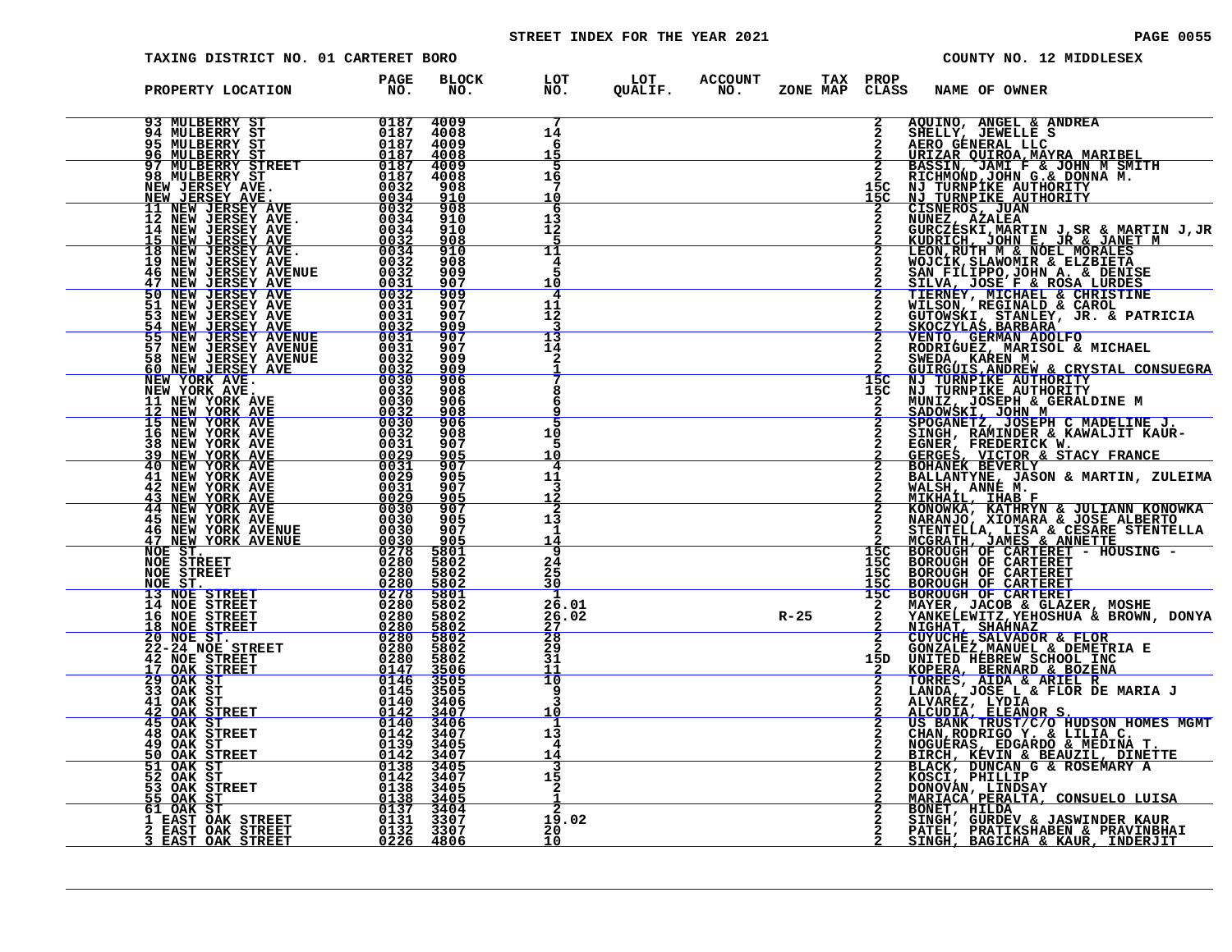# STREET INDEX FOR THE YEAR 2021 **PAGE 10055** PAGE 0055

| TAXING DISTRICT NO. 01 CARTERET BORO |                     |                     |                                   |                                                                                                                |        |               |                        | COUNTY NO. 12 MIDDLESEX                                                                                                                                                                                                                      |
|--------------------------------------|---------------------|---------------------|-----------------------------------|----------------------------------------------------------------------------------------------------------------|--------|---------------|------------------------|----------------------------------------------------------------------------------------------------------------------------------------------------------------------------------------------------------------------------------------------|
| PROPERTY LOCATION                    | <b>PAGE</b><br>NO.  | <b>BLOCK</b><br>NO. |                                   | LOT          LOT        ACCOUNT         TAX    PROP<br>NO.         QUALIF.        NO.       ZONE  MAP    CLASS |        |               | <b>NAME OF OWNER</b>   |                                                                                                                                                                                                                                              |
| 93 MULBERRY ST                       | $\frac{0187}{0197}$ | 4009                | 7<br>14<br>6<br>15                |                                                                                                                |        | $\frac{2}{2}$ | AQUINO, ANGEL & ANDREA |                                                                                                                                                                                                                                              |
|                                      |                     |                     | 5<br>16<br>10                     |                                                                                                                |        |               |                        |                                                                                                                                                                                                                                              |
|                                      |                     |                     | 6<br>13<br>īž                     |                                                                                                                |        |               |                        |                                                                                                                                                                                                                                              |
|                                      |                     |                     | 11<br>4<br>10                     |                                                                                                                |        |               |                        |                                                                                                                                                                                                                                              |
|                                      |                     |                     | 4<br>11<br>12                     |                                                                                                                |        |               |                        |                                                                                                                                                                                                                                              |
|                                      |                     |                     | 13<br>14                          |                                                                                                                |        |               |                        |                                                                                                                                                                                                                                              |
|                                      |                     |                     | 8                                 |                                                                                                                |        |               |                        |                                                                                                                                                                                                                                              |
|                                      |                     |                     | 10<br>5<br>10<br>4                |                                                                                                                |        |               |                        |                                                                                                                                                                                                                                              |
|                                      |                     |                     | 11<br>3<br>12<br>2                |                                                                                                                |        |               |                        |                                                                                                                                                                                                                                              |
|                                      |                     |                     | 13<br>1<br>14<br>9                |                                                                                                                |        |               |                        |                                                                                                                                                                                                                                              |
|                                      |                     |                     | $^{24}_{25}$<br>зŏ<br>-1          |                                                                                                                |        |               |                        |                                                                                                                                                                                                                                              |
|                                      |                     |                     | 26.01<br>26.02<br>$\frac{27}{28}$ |                                                                                                                | $R-25$ |               |                        |                                                                                                                                                                                                                                              |
|                                      |                     |                     | $\frac{29}{31}$<br>11<br>10       |                                                                                                                |        |               |                        |                                                                                                                                                                                                                                              |
|                                      |                     |                     | 9<br>٦<br>10<br>1                 |                                                                                                                |        |               |                        |                                                                                                                                                                                                                                              |
|                                      |                     |                     | 13<br>4<br>14<br>3                |                                                                                                                |        |               |                        | CLASS NAME OF OWNER & ANDERE<br>2 AQUINO, ANGEL & ANDREA<br>2 BEELLA (UNEWELLE SEE ANDREA)<br>2 BEELLA (UNEWELLE SEE ANDREA)<br>2 BEELLA (UNEWELLE SEE ANDERE)<br>2 BASIN, JAMI F & JOHN M SALTER<br>2 CLASS NAME F & JOHN M SALTIFY<br>2 CL |
|                                      |                     |                     | 15<br>2                           |                                                                                                                |        |               |                        |                                                                                                                                                                                                                                              |
|                                      |                     |                     | 19.02<br>20<br>10                 |                                                                                                                |        |               |                        | BONET, HILDA<br>SINGH, GURDEV & JASWINDER KAUR<br>PATEL, PRATIKSHABEN & PRAVINBHAI<br>SINGH, BAGICHA & KAUR, INDERJIT                                                                                                                        |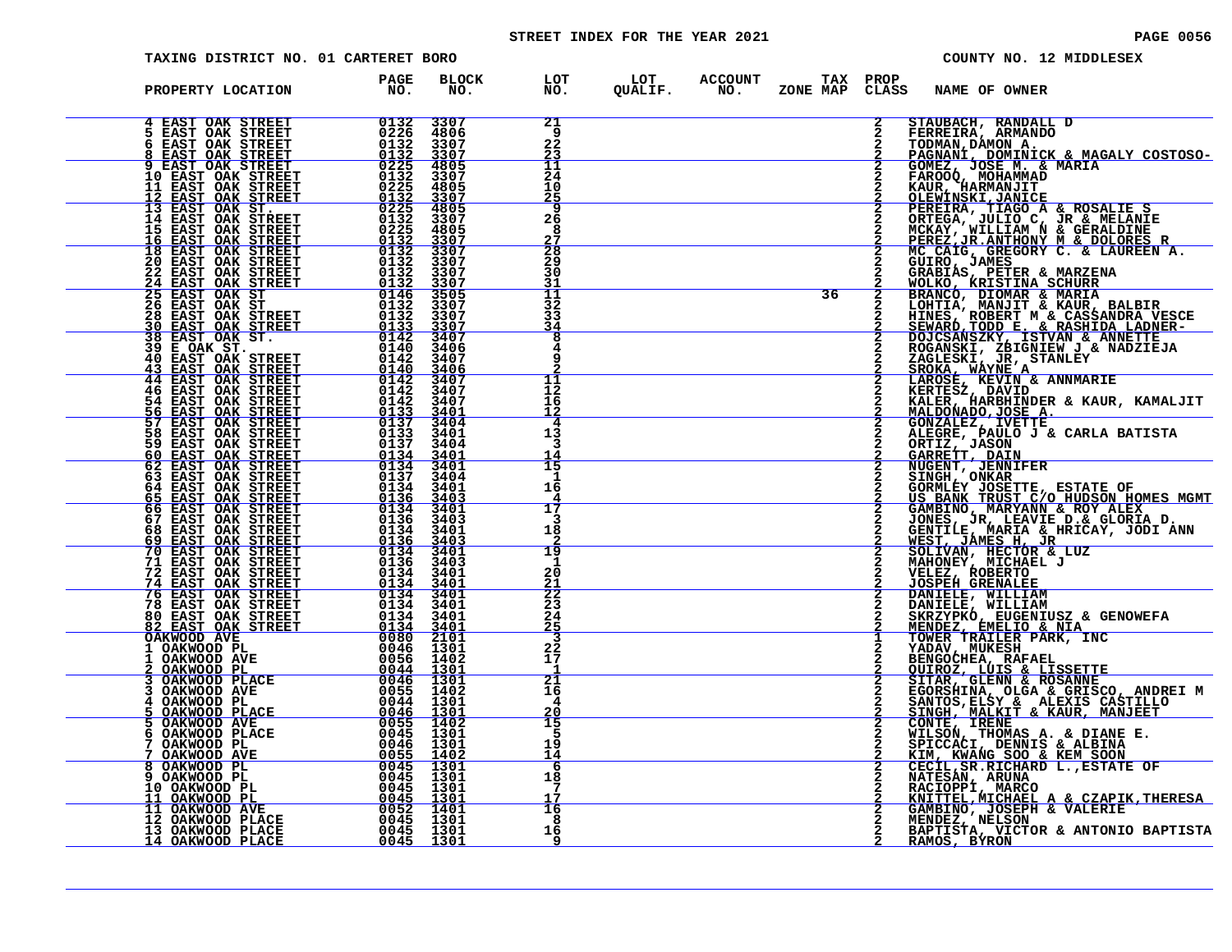# STREET INDEX FOR THE YEAR 2021 **PAGE 10056** PAGE 0056

| BLOCK<br><b>PAGE</b><br>$\overline{N}$ $\overline{O}$ .<br>PROPERTY LOCATION<br>NO.<br>4 EAST OAK STREET 0132<br>5 EAST OAK STREET 0226<br>8 EAST OAK STREET 0132<br>8 EAST OAK STREET 0132<br>2 EAST OAK STREET 0132<br>11 EAST OAK STREET 0222<br>11 EAST OAK STREET 0222<br>12 EAST OAK STREET 0222<br>112 EAST OAK STREET 0132<br>1<br>$\overline{2}$<br>21<br>3307<br>STAUBACH, RANDALL D<br>4806<br>-9<br>STAUBACH, RANDALL D<br>FERREIRA, ARMANDO<br>TOMAN, DAMON A.<br>PAGNAN, DOMINICK & MAGALY COSTOSO-<br>GOMEZ, JOSE M. & MARIA<br>KAUR, HARMANJIT<br>CLEWINSKI, JANC & ROSALIE S<br>DEREIRA, TIAGO A & ROSALIE S<br>DEREIRA, JULIO C, JR & MELANI<br>22<br>3307<br>3307<br>4805<br>23<br>11<br>24<br>3307<br>4805<br>10<br>$\frac{25}{9}$<br>$\frac{3307}{4805}$<br>26<br>3307<br>4805<br>8<br>$\frac{27}{28}$<br>$\frac{3307}{3307}$<br>3307<br>29<br>$3307$<br>$3307$<br>$3505$<br>$3307$<br>30<br>31<br>36<br>$\overline{2}$<br>11<br>32<br>3307<br>33<br>$\frac{3307}{3407}$<br>34<br>8<br>3406<br>3407<br>$\frac{3406}{3407}$<br>11<br>12<br>$\frac{3407}{3401}$<br>KEKTESZ, DAVID<br>KALER, HARBIINDER & KAUR, KAMALJIT<br>MALDONADO, JOSE A.<br>GONZALEZ, IVETTE<br>ALEGRE, PAULO J & CARLA BATISTA<br>ORTIZ, JASON<br>GARRETT, DAIN<br>NUGENT, JENNIFER<br>SINGENT, JENNIFER<br>SINGENT, JENNIFER<br>SINGENT, ONKAR<br>16<br>12<br>4<br>3401<br>3404<br>13<br>з<br><b>60 EAST OAK STREET<br/>62 EAST OAK STREET<br/>63 EAST OAK STREET</b><br>$0134$<br>0134<br>0137<br>$\frac{3401}{3401}$<br>$\overline{15}$<br>3404<br>-1<br>64 EAST OAK STREET<br>65 EAST OAK STREET<br>GORMLEY JOSETTE, ESTATE OF US BANK TRUST CONDUCTED HOMES MGMT<br>0134<br>3401<br>16<br>0136<br>3403<br><b>66 EAST OAK STREET<br/>67 EAST OAK STREET<br/>68 EAST OAK STREET</b><br>$0134$<br>$0136$<br>3401<br>US BANK TRUST C/O HUDSON HOMES MGM:<br>GAMBINO, MARYANN & ROY ALEX<br>JONES, JR, LEAVIE D.& GLORIA D.<br>GENTILE, MARIA & HRICAY, JODI ANN<br>WEST, JAMES H, JR<br>SOLIVAN, HECTOR & LUZ<br>MAHONEY, MICHAEL J<br>VELEZ, ROBERTO<br>JOSPEH GRENALEE<br>JO<br>17<br>3403<br>З<br>0134<br>3401<br>18<br>69 EAST OAK STREET<br>70 EAST OAK STREET<br>$\frac{0136}{0134}$<br>$\frac{3403}{3401}$<br>19<br>71 EAST OAK STREET<br>72 EAST OAK STREET<br>74 EAST OAK STREET<br>0136<br>3403<br>-1<br>0134<br>3401<br>20<br>0134<br>3401<br>21<br>$\begin{tabular}{@{}c@{}}\n72 \text{ EAST OAK STREET} & 0134 & 3401\\ \n76 \text{ EAST OAK STREET} & 0134 & 3401\\ \n76 \text{ EAST OAK STREET} & 0134 & 3401\\ \n76 \text{ EAST OAK STREET} & 0134 & 3401\\ \n82 \text{ EAST OAK STREET} & 0134 & 3401\\ \n82 \text{ EAST OAK STREET} & 0134 & 3401\\ \n82 \text{ EAST OAK STREET} & 0134 & 3401\\ \n82 \text{ EAST OAK ST$<br>$\frac{2}{2}$<br>23<br>DANIELE, WILLIAM<br>DANIELE, WILLIAM<br>SKRZYPKO, EUGENIUSZ & GENOWEFA<br>MENDEZ, EMELIO & NIA<br>TOWER TRAILER PARK, INC<br>24<br><u> 25</u><br>YADAV, MUKESH<br>BENGOCHEA, RAFAEL<br>22<br>17<br><b>DENSOCHER, INTERNATIONAL PROPERTION CONSTRUES STAR GLENN &amp; ROSANNE<br/>STTAR, GLENN &amp; ROSANNE<br/>SGORSHINA, OLGA &amp; GRISCO, ANDREI M<br/>SANTOS, ELSY &amp; ALEXIS CASTILLO<br/>SINGH, MALKIT &amp; KAUR, MANJEET</b><br>-1<br>$\overline{21}$<br>16<br>4<br>20<br>CONTE, IRENE<br>WILSON, THOMAS A. & DIANE E.<br>SPICCACI, DENNIS & ALBINA<br>15<br>5<br>19<br>KIM, KWANG SOO & KEM SOON<br>CECIL, SR.RICHARD L., ESTATE OF<br>14<br>6<br>NATESAN, ARUNA<br>RACIOPPI, MARCO<br>KNITTEL, MICHAEL A & CZAPIK, THERESA<br>18<br>7<br>17<br>GAMBINO, JOSEPH & VALERIE<br>MENDEZ, NELSON<br>16<br>-8<br>BAPTISTA, VICTOR & ANTONIO BAPTISTA<br>16<br><u>RAMOS, BÝRON</u> | TAXING DISTRICT NO. 01 CARTERET BORO |  |   |  |  |  | COUNTY NO. 12 MIDDLESEX |
|---------------------------------------------------------------------------------------------------------------------------------------------------------------------------------------------------------------------------------------------------------------------------------------------------------------------------------------------------------------------------------------------------------------------------------------------------------------------------------------------------------------------------------------------------------------------------------------------------------------------------------------------------------------------------------------------------------------------------------------------------------------------------------------------------------------------------------------------------------------------------------------------------------------------------------------------------------------------------------------------------------------------------------------------------------------------------------------------------------------------------------------------------------------------------------------------------------------------------------------------------------------------------------------------------------------------------------------------------------------------------------------------------------------------------------------------------------------------------------------------------------------------------------------------------------------------------------------------------------------------------------------------------------------------------------------------------------------------------------------------------------------------------------------------------------------------------------------------------------------------------------------------------------------------------------------------------------------------------------------------------------------------------------------------------------------------------------------------------------------------------------------------------------------------------------------------------------------------------------------------------------------------------------------------------------------------------------------------------------------------------------------------------------------------------------------------------------------------------------------------------------------------------------------------------------------------------------------------------------------------------------------------------------------------------------------------------------------------------------------------------------------------------------------------------------------------------------------------------------------------------------------------------------------------------------------------------------------------------------------------------------------------------------------------------------------------------------------------------------------------------------------------------------------------------------------------------------------------------------------------------------------------------------------------------------------------------------------------------------------------------------------------------------------------------------------------------------------------------------------------------------------------------------------------------------------------------------------------------------------------------------------------------------|--------------------------------------|--|---|--|--|--|-------------------------|
|                                                                                                                                                                                                                                                                                                                                                                                                                                                                                                                                                                                                                                                                                                                                                                                                                                                                                                                                                                                                                                                                                                                                                                                                                                                                                                                                                                                                                                                                                                                                                                                                                                                                                                                                                                                                                                                                                                                                                                                                                                                                                                                                                                                                                                                                                                                                                                                                                                                                                                                                                                                                                                                                                                                                                                                                                                                                                                                                                                                                                                                                                                                                                                                                                                                                                                                                                                                                                                                                                                                                                                                                                                                         |                                      |  |   |  |  |  |                         |
|                                                                                                                                                                                                                                                                                                                                                                                                                                                                                                                                                                                                                                                                                                                                                                                                                                                                                                                                                                                                                                                                                                                                                                                                                                                                                                                                                                                                                                                                                                                                                                                                                                                                                                                                                                                                                                                                                                                                                                                                                                                                                                                                                                                                                                                                                                                                                                                                                                                                                                                                                                                                                                                                                                                                                                                                                                                                                                                                                                                                                                                                                                                                                                                                                                                                                                                                                                                                                                                                                                                                                                                                                                                         |                                      |  |   |  |  |  |                         |
|                                                                                                                                                                                                                                                                                                                                                                                                                                                                                                                                                                                                                                                                                                                                                                                                                                                                                                                                                                                                                                                                                                                                                                                                                                                                                                                                                                                                                                                                                                                                                                                                                                                                                                                                                                                                                                                                                                                                                                                                                                                                                                                                                                                                                                                                                                                                                                                                                                                                                                                                                                                                                                                                                                                                                                                                                                                                                                                                                                                                                                                                                                                                                                                                                                                                                                                                                                                                                                                                                                                                                                                                                                                         |                                      |  |   |  |  |  |                         |
|                                                                                                                                                                                                                                                                                                                                                                                                                                                                                                                                                                                                                                                                                                                                                                                                                                                                                                                                                                                                                                                                                                                                                                                                                                                                                                                                                                                                                                                                                                                                                                                                                                                                                                                                                                                                                                                                                                                                                                                                                                                                                                                                                                                                                                                                                                                                                                                                                                                                                                                                                                                                                                                                                                                                                                                                                                                                                                                                                                                                                                                                                                                                                                                                                                                                                                                                                                                                                                                                                                                                                                                                                                                         |                                      |  |   |  |  |  |                         |
|                                                                                                                                                                                                                                                                                                                                                                                                                                                                                                                                                                                                                                                                                                                                                                                                                                                                                                                                                                                                                                                                                                                                                                                                                                                                                                                                                                                                                                                                                                                                                                                                                                                                                                                                                                                                                                                                                                                                                                                                                                                                                                                                                                                                                                                                                                                                                                                                                                                                                                                                                                                                                                                                                                                                                                                                                                                                                                                                                                                                                                                                                                                                                                                                                                                                                                                                                                                                                                                                                                                                                                                                                                                         |                                      |  |   |  |  |  |                         |
|                                                                                                                                                                                                                                                                                                                                                                                                                                                                                                                                                                                                                                                                                                                                                                                                                                                                                                                                                                                                                                                                                                                                                                                                                                                                                                                                                                                                                                                                                                                                                                                                                                                                                                                                                                                                                                                                                                                                                                                                                                                                                                                                                                                                                                                                                                                                                                                                                                                                                                                                                                                                                                                                                                                                                                                                                                                                                                                                                                                                                                                                                                                                                                                                                                                                                                                                                                                                                                                                                                                                                                                                                                                         |                                      |  |   |  |  |  |                         |
|                                                                                                                                                                                                                                                                                                                                                                                                                                                                                                                                                                                                                                                                                                                                                                                                                                                                                                                                                                                                                                                                                                                                                                                                                                                                                                                                                                                                                                                                                                                                                                                                                                                                                                                                                                                                                                                                                                                                                                                                                                                                                                                                                                                                                                                                                                                                                                                                                                                                                                                                                                                                                                                                                                                                                                                                                                                                                                                                                                                                                                                                                                                                                                                                                                                                                                                                                                                                                                                                                                                                                                                                                                                         |                                      |  |   |  |  |  |                         |
|                                                                                                                                                                                                                                                                                                                                                                                                                                                                                                                                                                                                                                                                                                                                                                                                                                                                                                                                                                                                                                                                                                                                                                                                                                                                                                                                                                                                                                                                                                                                                                                                                                                                                                                                                                                                                                                                                                                                                                                                                                                                                                                                                                                                                                                                                                                                                                                                                                                                                                                                                                                                                                                                                                                                                                                                                                                                                                                                                                                                                                                                                                                                                                                                                                                                                                                                                                                                                                                                                                                                                                                                                                                         |                                      |  |   |  |  |  |                         |
|                                                                                                                                                                                                                                                                                                                                                                                                                                                                                                                                                                                                                                                                                                                                                                                                                                                                                                                                                                                                                                                                                                                                                                                                                                                                                                                                                                                                                                                                                                                                                                                                                                                                                                                                                                                                                                                                                                                                                                                                                                                                                                                                                                                                                                                                                                                                                                                                                                                                                                                                                                                                                                                                                                                                                                                                                                                                                                                                                                                                                                                                                                                                                                                                                                                                                                                                                                                                                                                                                                                                                                                                                                                         |                                      |  |   |  |  |  |                         |
|                                                                                                                                                                                                                                                                                                                                                                                                                                                                                                                                                                                                                                                                                                                                                                                                                                                                                                                                                                                                                                                                                                                                                                                                                                                                                                                                                                                                                                                                                                                                                                                                                                                                                                                                                                                                                                                                                                                                                                                                                                                                                                                                                                                                                                                                                                                                                                                                                                                                                                                                                                                                                                                                                                                                                                                                                                                                                                                                                                                                                                                                                                                                                                                                                                                                                                                                                                                                                                                                                                                                                                                                                                                         |                                      |  |   |  |  |  |                         |
|                                                                                                                                                                                                                                                                                                                                                                                                                                                                                                                                                                                                                                                                                                                                                                                                                                                                                                                                                                                                                                                                                                                                                                                                                                                                                                                                                                                                                                                                                                                                                                                                                                                                                                                                                                                                                                                                                                                                                                                                                                                                                                                                                                                                                                                                                                                                                                                                                                                                                                                                                                                                                                                                                                                                                                                                                                                                                                                                                                                                                                                                                                                                                                                                                                                                                                                                                                                                                                                                                                                                                                                                                                                         |                                      |  |   |  |  |  |                         |
|                                                                                                                                                                                                                                                                                                                                                                                                                                                                                                                                                                                                                                                                                                                                                                                                                                                                                                                                                                                                                                                                                                                                                                                                                                                                                                                                                                                                                                                                                                                                                                                                                                                                                                                                                                                                                                                                                                                                                                                                                                                                                                                                                                                                                                                                                                                                                                                                                                                                                                                                                                                                                                                                                                                                                                                                                                                                                                                                                                                                                                                                                                                                                                                                                                                                                                                                                                                                                                                                                                                                                                                                                                                         |                                      |  |   |  |  |  |                         |
|                                                                                                                                                                                                                                                                                                                                                                                                                                                                                                                                                                                                                                                                                                                                                                                                                                                                                                                                                                                                                                                                                                                                                                                                                                                                                                                                                                                                                                                                                                                                                                                                                                                                                                                                                                                                                                                                                                                                                                                                                                                                                                                                                                                                                                                                                                                                                                                                                                                                                                                                                                                                                                                                                                                                                                                                                                                                                                                                                                                                                                                                                                                                                                                                                                                                                                                                                                                                                                                                                                                                                                                                                                                         |                                      |  |   |  |  |  |                         |
|                                                                                                                                                                                                                                                                                                                                                                                                                                                                                                                                                                                                                                                                                                                                                                                                                                                                                                                                                                                                                                                                                                                                                                                                                                                                                                                                                                                                                                                                                                                                                                                                                                                                                                                                                                                                                                                                                                                                                                                                                                                                                                                                                                                                                                                                                                                                                                                                                                                                                                                                                                                                                                                                                                                                                                                                                                                                                                                                                                                                                                                                                                                                                                                                                                                                                                                                                                                                                                                                                                                                                                                                                                                         |                                      |  |   |  |  |  |                         |
|                                                                                                                                                                                                                                                                                                                                                                                                                                                                                                                                                                                                                                                                                                                                                                                                                                                                                                                                                                                                                                                                                                                                                                                                                                                                                                                                                                                                                                                                                                                                                                                                                                                                                                                                                                                                                                                                                                                                                                                                                                                                                                                                                                                                                                                                                                                                                                                                                                                                                                                                                                                                                                                                                                                                                                                                                                                                                                                                                                                                                                                                                                                                                                                                                                                                                                                                                                                                                                                                                                                                                                                                                                                         |                                      |  |   |  |  |  |                         |
|                                                                                                                                                                                                                                                                                                                                                                                                                                                                                                                                                                                                                                                                                                                                                                                                                                                                                                                                                                                                                                                                                                                                                                                                                                                                                                                                                                                                                                                                                                                                                                                                                                                                                                                                                                                                                                                                                                                                                                                                                                                                                                                                                                                                                                                                                                                                                                                                                                                                                                                                                                                                                                                                                                                                                                                                                                                                                                                                                                                                                                                                                                                                                                                                                                                                                                                                                                                                                                                                                                                                                                                                                                                         |                                      |  |   |  |  |  |                         |
|                                                                                                                                                                                                                                                                                                                                                                                                                                                                                                                                                                                                                                                                                                                                                                                                                                                                                                                                                                                                                                                                                                                                                                                                                                                                                                                                                                                                                                                                                                                                                                                                                                                                                                                                                                                                                                                                                                                                                                                                                                                                                                                                                                                                                                                                                                                                                                                                                                                                                                                                                                                                                                                                                                                                                                                                                                                                                                                                                                                                                                                                                                                                                                                                                                                                                                                                                                                                                                                                                                                                                                                                                                                         |                                      |  |   |  |  |  |                         |
|                                                                                                                                                                                                                                                                                                                                                                                                                                                                                                                                                                                                                                                                                                                                                                                                                                                                                                                                                                                                                                                                                                                                                                                                                                                                                                                                                                                                                                                                                                                                                                                                                                                                                                                                                                                                                                                                                                                                                                                                                                                                                                                                                                                                                                                                                                                                                                                                                                                                                                                                                                                                                                                                                                                                                                                                                                                                                                                                                                                                                                                                                                                                                                                                                                                                                                                                                                                                                                                                                                                                                                                                                                                         |                                      |  | 9 |  |  |  |                         |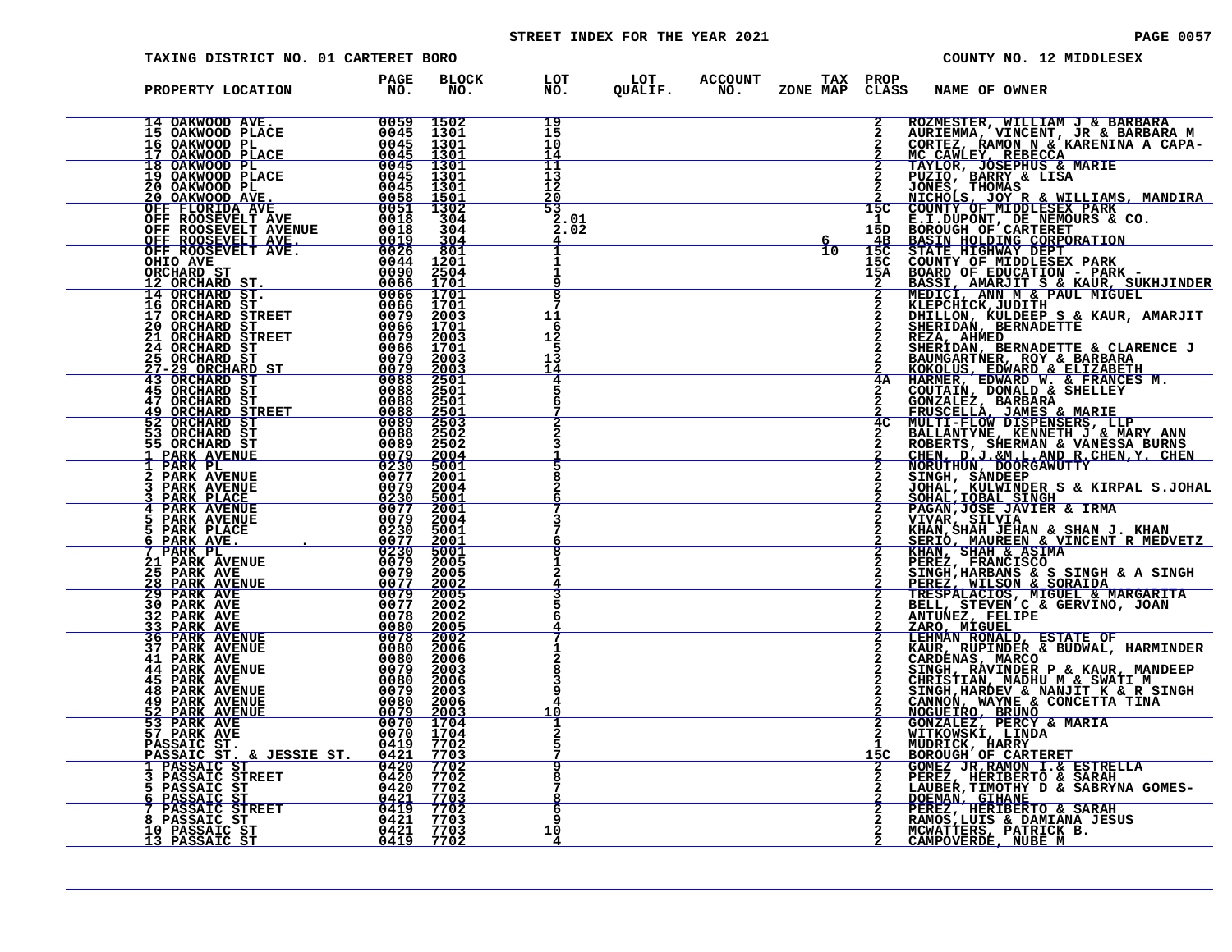# STREET INDEX FOR THE YEAR 2021 **PAGE 10057** PAGE 0057

|   | TAXING DISTRICT NO. 01 CARTERET BORO                                                                                                                                                                                                                                                                                                                                                    |                                               |                                             |                             |         |                              |                            |                | COUNTY NO. 12 MIDDLESEX                                                                                                                                                                                                                                     |
|---|-----------------------------------------------------------------------------------------------------------------------------------------------------------------------------------------------------------------------------------------------------------------------------------------------------------------------------------------------------------------------------------------|-----------------------------------------------|---------------------------------------------|-----------------------------|---------|------------------------------|----------------------------|----------------|-------------------------------------------------------------------------------------------------------------------------------------------------------------------------------------------------------------------------------------------------------------|
|   | PROPERTY LOCATION                                                                                                                                                                                                                                                                                                                                                                       | <b>PAGE</b><br>NO.                            | <b>BLOCK</b><br>NO.                         | LOT<br>NO.                  | QUALIF. | LOT ACCOUNT<br>QUALIF. NO. 2 | TAX PROP<br>ZONE MAP CLASS |                | NAME OF OWNER                                                                                                                                                                                                                                               |
|   | $\begin{tabular}{c c c} 14 OAKWOOD AVE. & 0059 1502 \\ 15 OAKWOOD PLACE & 0045 1301 \\ 16 OAKWOOD PL \\ 17 OAKWOOD PLACE & 0045 1301 \\ 18 OAKWOOD PLACE & 0045 1301 \\ 19 OAKWOOD PLACE & 0045 1301 \\ 20 OAKWOOD PLACE & 0045 1301 \\ 20 OAKWOOD PLACE & 0045 1301 \\ 20 OAKWOOD ALVE & 0058 1501 \\ 20 OAKWOOD ALVE & 0055 1501 \\ 20 OAKWOOD ALVE$                                  |                                               |                                             | 19<br>15<br>10<br>14        |         |                              |                            | $\overline{2}$ | ROZMESTER, WILLIAM J & BARBARA<br>AURIEMMA, VINCENT, JR & BARBARA M<br>CORTEZ, RAMON N & KARENINA A CAPA-                                                                                                                                                   |
|   |                                                                                                                                                                                                                                                                                                                                                                                         |                                               |                                             | $\frac{11}{13}$<br>12<br>20 |         |                              |                            |                | MC CAWLEY, REBECCA<br>TAYLOR, JOSEPHUS & MARIE<br>PUZIO, BARRY & LISA<br>PUZIO, BARRY & LISA<br>2 JONES, THOMAS<br>2 NICHOLS, JOY R & WILLIAMS, MANDIRA<br>15C COUNTY OF MIDDLESEX PARK                                                                     |
|   |                                                                                                                                                                                                                                                                                                                                                                                         |                                               |                                             | 53<br>2.01<br>2.02          |         |                              | 10                         | 15C            | 1 E.I.DUPONT, DE NEMOURS & CO.<br>15D BOROUGH OF CARTERET<br><b>BASIN HOLDING CORPORATION<br/>STATE HIGHWAY DEPT<br/>COUNTY OF MIDDLESEX PARK</b>                                                                                                           |
|   | ORCHARD ST<br>008CHARD ST.<br>12 ORCHARD ST. 00066 1701<br>14 ORCHARD ST. 0066 1701<br>16 ORCHARD ST. 00066 1701                                                                                                                                                                                                                                                                        | 0090                                          | 2504<br>1701                                | $\overline{\mathbf{8}}$     |         |                              |                            | 15C<br>15A     | <b>BOARD OF EDUCATION - PARK -<br/>BASSI, AMARJIT S &amp; KAUR, SUKHJINDER<br/>MEDICI, ANN M &amp; PAUL MIGUEL<br/>KLEPCHICK,JULDIEH G &amp; FAUR AMARJIT</b>                                                                                               |
|   | 10 ORCHARD STREET<br>20 OPCHARD ST                                                                                                                                                                                                                                                                                                                                                      | 0079                                          | 2003                                        | 11<br>12                    |         |                              |                            |                | DHILLON, KULDEEP S & KAUR, AMARJIT<br>SHERIDAN, BERNADETTE<br>REZA, AHMED                                                                                                                                                                                   |
|   | 17 ORCHARD STREET 0079 2003<br>20 ORCHARD ST<br>21 ORCHARD STREET 0066 1701<br>24 ORCHARD ST 0079 2003<br>25 ORCHARD ST 0079 2003<br>27-29 ORCHARD ST 0079 2003<br>43 ORCHARD ST 0088 2501<br>45 ORCHARD ST 0088 2501<br><b>45 ORCHARD ST</b>                                                                                                                                           | 0088                                          | 2501                                        | 5<br>13<br>14<br>4          |         |                              |                            |                | SHERIDAN, BERNADETTE & CLARENCE J<br>BAUMGARTNER, ROY & PARBARA<br>KOKOLUS, EDWARD & ELIZABETH                                                                                                                                                              |
|   | 47 ORCHARD ST<br>49 ORCHARD STREET<br>52 ORCHARD ST<br><b>53 ORCHARD ST</b>                                                                                                                                                                                                                                                                                                             |                                               | 2501<br>$\frac{2501}{2503}$<br>2503         |                             |         |                              |                            |                | 2 KOKOLUS, EDWARD & ELLZABETH<br>4A HARMER, EDWARD W. & FRANCES M.<br>2 COUTAIN, DONALD & SHELLEY<br>2 GONZALEZ, BARBARA<br>2 FRUSCELLA, JAMES & MARIE<br>4C MULTI-FLOW DISPENSERS, LLP<br>2 BALLANTYNE, KENNETH J & MARY ANN<br>2 GOBERTS,                 |
|   | $\begin{array}{cc} \texttt{1} & 0088 \\ \texttt{TREF} & 0088 \\ \texttt{T} & 0088 \\ \texttt{T} & 0089 \\ \texttt{T} & 0089 \\ \texttt{E} & 0089 \\ \texttt{IE} & 0089 \\ \texttt{IE} & 00779 \\ \end{array}$<br>55 ORCHARD ST<br><u>1 PARK AVENUE</u><br>1 PARK PL<br>2 PARK AVENUE                                                                                                    |                                               | 2502<br>$\frac{2004}{5001}$                 |                             |         |                              |                            |                |                                                                                                                                                                                                                                                             |
| 3 | <b>PARK AVENUE</b><br>$\begin{array}{c} \texttt{r} & 0079 \\ \hline \texttt{s} & 0230 \\ \texttt{0230} \\ \texttt{r} & 0077 \\ \texttt{0077} \\ \texttt{E} & 0079 \\ \texttt{E} & 0230 \\ \texttt{E} & 0079 \\ \texttt{E} & 0077 \\ \texttt{0077} \\ \texttt{0077} \\ 0077 \\ \texttt{0078} \\ \texttt{0080} \end{array}$<br>PARK PLACE<br><b>4 PARK AVENUE</b><br><b>5 PARK AVENUE</b> | 0079                                          | 2004<br>5001<br>2001<br>2004                |                             |         |                              |                            |                | JOHAL, KULWINDER S & KIRPAL S.JOHAL<br>SOHAL, IQBAL SINGH<br>PAGAN, JOSE JAVIER & IRMA<br>VIVAR, SILVIA<br>KHAN, SHAH JEHAN & SHAN J. KHAN                                                                                                                  |
|   | 5 PARK PLACE<br>PARK AVE.<br>7 PARK PL<br><b>21 PARK AVENUE</b><br><b>25 PARK AVE</b>                                                                                                                                                                                                                                                                                                   |                                               | 5001<br>$\frac{2001}{5001}$<br>2005<br>2005 |                             |         |                              |                            |                | <u>SERIÓ, MAUREEN &amp; VINCENT R MEDVETZ</u><br>KHAN, SHAH & ASIMA                                                                                                                                                                                         |
|   | <b>28 PARK AVENUE</b><br><b>29 PARK AVE</b><br>30 PARK AVE<br>32 PARK AVE                                                                                                                                                                                                                                                                                                               |                                               | 2002<br>2005<br>2002<br>2002                |                             |         |                              |                            |                | KHAN, SHAH & ASIMA<br>PEREZ, FRANCISCO<br>SINGH, HARBANS & S SINGH & A SINGH<br><u>PEREZ, WILSON &amp; SORAIDA</u><br>TRESPALACIOS, MIGUEL & MARGARITA<br>RELL, STEVEN C & GERVINO, JOAN<br>ANTUNEZ, FELIPE<br><u>ZARO, MIGUEL</u><br>KEIMAN RONALD, ESTATE |
|   | 32 PARK AVE 600/80<br>36 PARK AVENUE 60080<br>37 PARK AVENUE 60080<br>41 PARK AVE 60080<br>44 PARK AVE 60080<br>45 PARK AVE 60080<br>45 PARK AVE 60080<br>46 PARK AVE 60080<br>48 PARK AVENUE 60080<br>48 PARK AVENUE 60080                                                                                                                                                             |                                               | $\frac{2005}{2002}$<br>2006<br>2006         |                             |         |                              |                            |                | KAUR, RUPINDER & BUDWAL, HARMINDER<br>CARDENAS, MARCO                                                                                                                                                                                                       |
|   | <b>49 PARK AVENUE</b><br><u>52 PARK AVENUE</u>                                                                                                                                                                                                                                                                                                                                          | $\begin{array}{r} 0080 \\ 0079 \end{array}$   | $\frac{2003}{2006}$<br>2003<br>2006         | 10                          |         |                              |                            |                | SINGH, RAVINDER P & KAUR, MANDEEP<br>CHRISTIAN, MADHU M & SWATI M<br>SINGH, HARDEV & NANJIT K & R SINGH<br>CANNON, WAYNE & CONCETTA TINA                                                                                                                    |
|   | <b>53 PARK AVE</b><br>57 PARK AVE<br>PASSAIC ST.                                                                                                                                                                                                                                                                                                                                        | <u>0079 2003</u><br>0070 1704<br>0070<br>0419 | 1704<br>7702<br>$\frac{7703}{7702}$         |                             |         |                              |                            | 15C            | GONZALEZ, PERCY & MARIA<br>WITKOWSKI, LINDA<br>NUDRICK, HARRY<br>BOROUGH OF CARTERET<br>GOMEZ JR, RAMON I.& ESTRELLA                                                                                                                                        |
|   | <b>FASSAIC ST. &amp; JESSIE ST. 0421<br/>1 PASSAIC ST. 0420<br/>3 PASSAIC STREET 0420<br/>5 PASSAIC ST. 0421<br/>6 PASSAIC ST. 0421</b><br>3 PASSAIC STREET<br>5 PASSAIC ST<br>6 PASSAIC ST<br>7 PASSAIC STREET<br>8 PASSAIC ST                                                                                                                                                         |                                               | 7702<br>7702<br>7703                        |                             |         |                              |                            |                | PEREZ, HERIBERTO & SARAH<br>LAUBER, TIMOTHY D & SABRYNA GOMES-<br>DOEMAN, GIHANE                                                                                                                                                                            |
|   | $\begin{array}{r} \tilde{\rho}_{420}^{+20} \ \tilde{\rho}_{421}^{+20} \ \tilde{\eta}_{12}^{+1} \ \tilde{\tau}_{21}^{+1} \ \tilde{\rho}_{421}^{+1} \end{array}.$<br>10 PASSAIC ST<br>13 PASSAIC ST                                                                                                                                                                                       |                                               | 7702<br>7703<br>7703<br>7702                | 6<br>9<br>10                |         |                              |                            |                | PEREZ, HERIBERTO & SARAH<br>RAMOS, LUIS & DAMIANA JESUS<br>MCWATTERS, PATRICK B.<br>CAMPOVERDE, NUBE M                                                                                                                                                      |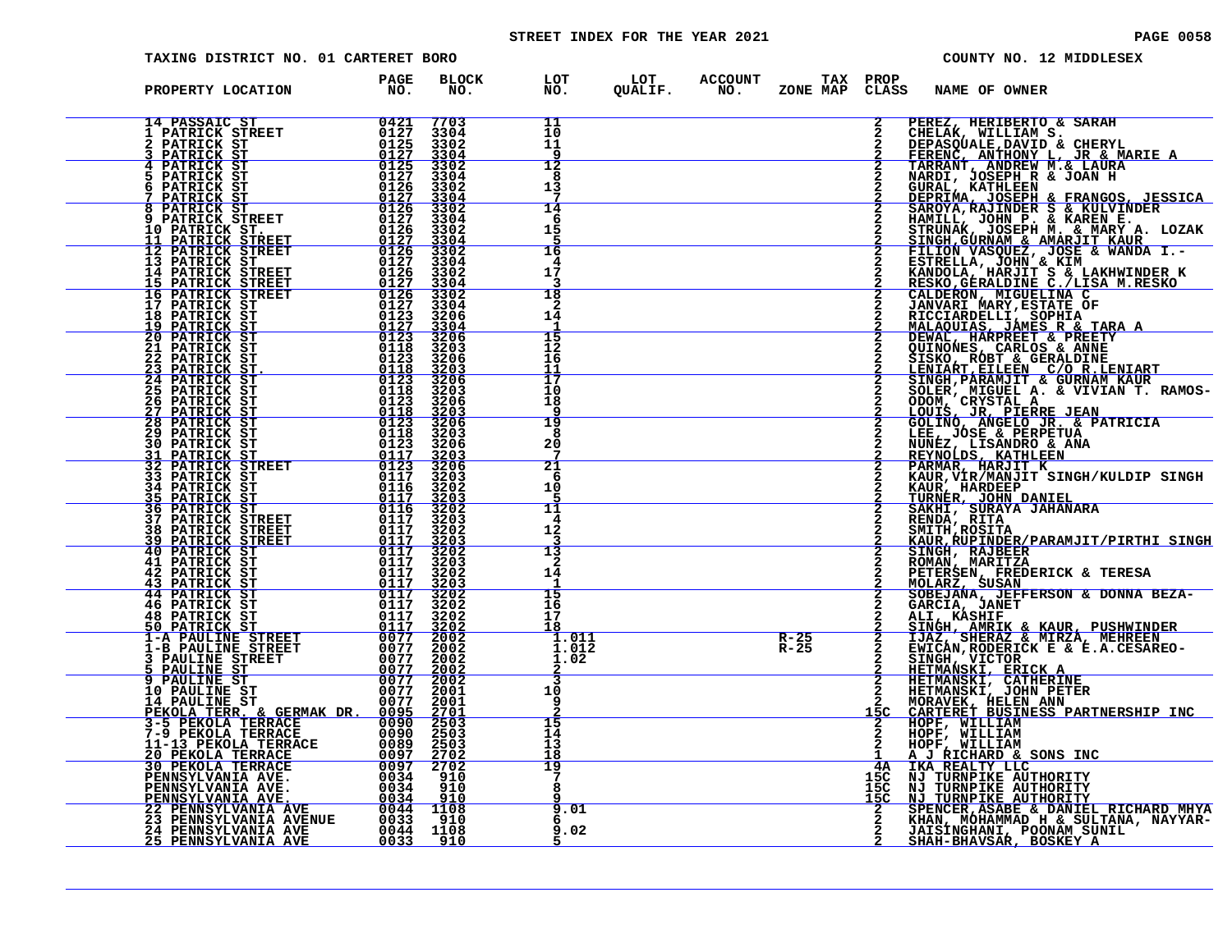# STREET INDEX FOR THE YEAR 2021 **PAGE 10058** PAGE 0058

| TAXING DISTRICT NO. 01 CARTERET BORO                                                                                    |                                                                                                             |                              |                                        | COUNTY NO. 12 MIDDLESEX                                                                                                                                         |
|-------------------------------------------------------------------------------------------------------------------------|-------------------------------------------------------------------------------------------------------------|------------------------------|----------------------------------------|-----------------------------------------------------------------------------------------------------------------------------------------------------------------|
| PROPERTY LOCATION                                                                                                       | PAGE<br><b>BLOCK</b><br>NO.<br>NO.                                                                          | LOT<br>NO.                   | LOT ACCOUNT<br>QUALIF. NO.<br>ZONE MAP | TAX PROP<br>CLASS<br>NAME OF OWNER                                                                                                                              |
| <b>14 PASSAIC ST</b><br>1 PATRICK STREET<br>PATRICK ST                                                                  | 0421<br>7703<br>0127<br>3304<br>0125<br>3302                                                                | 11<br>10<br>11<br>9          |                                        | 2<br>PEREZ, HERIBERTO & SARAH                                                                                                                                   |
| PATRICK ST<br><b>4 PATRICK ST</b><br>5 PATRICK ST<br>6 PATRICK ST                                                       | 0127<br>3304<br>0125<br>3302<br>0127<br>3304<br>0126<br>3302                                                | 12<br>8<br>13                |                                        | CHELAK, WILLIAM S.<br>DEPASQUALE, DAVID & CHERYL<br>FERENC, ANTHONY L, JR & MARIE A<br>TARRANT, ANDREW M.& LAURA<br>NARDI, JOSEPH R & JOAN H<br>GURAL, KATHLEEN |
| PATRICK ST<br>8 PATRICK ST<br><b>9 PATRICK STREET</b><br>10 PATRICK ST.                                                 | $\frac{\overline{0}1\overline{2}\overline{7}}{0126}$<br>$\frac{3304}{3302}$<br>0127<br>3304<br>0126<br>3302 | 14<br>-6<br>15               |                                        | DEPRIMA, JOSEPH & FRANGOS, JESSICA<br>SAROYA, RAJINDER S & KULVINDER<br>HAMILL, JOHN P. & KAREN E.<br>STRUNAK, JOSEPH M. & MARY A. LOZAK                        |
| 11 PATRICK STREET<br>12 PATRICK STREET<br>13 PATRICK ST                                                                 | $\frac{0127}{0126}$<br>3304<br>3302<br>0127<br>3304<br>0126<br>3302                                         | 16<br>4<br>17                |                                        | SINGH, GURNAM & AMARJIT KAUR<br>FILION VASQUEZ, JOSE & WANDA I.-<br>ESTRELLA, JOHN & KIM                                                                        |
| <b>14 PATRICK STREET<br/><u>15 PATRICK STREET</u></b><br>16 PATRICK STREET<br>17 PATRICK ST                             | 0127<br>3304<br>0126<br>3302<br>0127<br>3304                                                                | 18<br>2                      |                                        | ESIREMEN, JOHN TE LAKHWINDER K<br>RESKO, GERALDINE C./LISA M.RESKO<br>CALDERON, MIGUELINA C<br>JANVARI MARY, ESTATE OF<br>RICCIARDELLI, SOPHIA                  |
| 18 PATRICK ST<br><u>19 PATRICK ST</u><br>20 PATRICK ST<br><b>21 PATRICK ST</b>                                          | 0123<br>3206<br>$\frac{0127}{0123}$<br>$3304$<br>3206<br>0118<br>3203                                       | 14<br>15<br>12               |                                        | <u>MALAQUIAS, JÁMES R &amp; TARA A DEWAL, HARPRET &amp; PREETY</u>                                                                                              |
| 22 PATRICK ST<br><u> 23 PATRICK ST.</u><br><b>24 PATRICK ST</b><br>25 PATRICK ST                                        | 0123<br>3206<br>0118<br>3203<br>0123<br>3206<br>0118<br>3203                                                | 16<br>11<br>17<br>10         |                                        | OUINONES, CARLOS & ANNE<br>SISKO, ROBT & GERALDINE<br>LENIART, EILEEN C/O R.LENIART<br>SINGH, PARAMJIT & GURNAM KAUR<br>SOLER, MIGUEL A. & VIVIAN T. RAMOS-     |
| 26 PATRICK ST<br><u>27 PATRICK ST</u><br>28 PATRICK ST<br><b>29 PATRICK ST</b>                                          | 0123<br>3206<br>$\frac{0118}{0123}$<br>$\frac{3203}{3206}$<br>0118<br>3203                                  | 18<br>19<br>8                |                                        | ODOM, CRYSTAL A<br>LOUIS, JR, PIERRE JEAN<br>GOLINO, ANGELO JR. & PATRICIA<br>LEE, JÓSE & PERPETUA<br>NUNEZ, LISANDRO & ANA                                     |
| <b>30 PATRICK ST</b><br>31 PATRICK ST<br>32 PATRICK STREET<br><b>33 PATRICK ST</b>                                      | 0123<br>3206<br>$\frac{0117}{0123}$<br>$3203$<br>$3206$<br>0117<br>3203                                     | 20<br>21<br>6                |                                        | REYNOLDS, KATHLEEN<br>PARMAR, HARJIT K<br>KAUR, VIR/MANJIT SINGH/KULDIP SINGH                                                                                   |
| <b>34 PATRICK ST<br/>35 PATRICK ST</b><br>36 PATRICK ST<br>37 PATRICK STREET                                            | $0116 \over 0117$<br>3202<br>3203<br>$0116$<br>$0117$<br>3202<br>3203                                       | 10<br>11<br>4                |                                        | KAUR, HARDEEP<br>TURNER, JOHN DANIEL<br>SAKHI, SURAYA JAHANARA<br>2<br>RENDA, RITA                                                                              |
| <b>38 PATRICK STREET</b><br>39 PATRICK STREET<br>40 PATRICK ST<br>41 PATRICK ST                                         | 0117<br>3202<br>$\frac{0117}{0117}$<br>$\frac{3203}{3202}$<br>0117<br>3203                                  | 12<br>13<br>2                |                                        | SMITH, ROSITA<br><u>KAUR,RUPINDER/PARAMJIT/PIRTHI SINGH</u><br>SINGH, RAJBEER<br>ROMAN, MARITZA                                                                 |
| 42 PATRICK ST<br><u>43 PATRICK ST</u><br><b>44 PATRICK ST</b><br><b>46 PATRICK ST</b>                                   | 0117<br>3202<br>0117<br>3203<br>0117<br>3202<br>0117<br>3202                                                | 14<br>15<br>16               |                                        | PETERSEN, FREDERICK & TERESA<br>MOLARZ, SUSAN<br>SOBEJANA, JEFFERSON & DONNA BEZA-<br>GARCIA, JANET                                                             |
| <b>48 PATRICK ST</b><br><u>50 PATRICK ST</u><br><b>1-A PAULINE STREET</b>                                               | 0117<br>3202<br>$\frac{0117}{0077}$<br>$\frac{3\bar{2}0\bar{2}}{200\bar{2}}$                                | 17<br>18<br>1.011            | $R - 25$                               | ALI, KASHIF<br>SINGH, AMRIK & KAUR, PUSHWINDER<br>IJAZ, SHERAZ & MIRZA, MEHREEN                                                                                 |
| 1-B PAULINE STREET<br><b>3 PAULINE STREET</b><br>5 PAULINE ST<br>9 PAULINE ST                                           | 0077<br>2002<br>0077<br>2002<br>0077<br>$\frac{\overline{2002}}{\overline{2002}}$<br>2001                   | 1.012<br>1.02<br>٦           | $R - 25$                               | EWICAN, RODERICK E & E.A.CESAREO-<br>$\mathbf{2}$<br>SINGH, VICTOR<br>HETMANSKI, ERICK A<br>HETMANSKI, CATHERINE<br>HETMANSKI, JOHN PETER                       |
| 10 PAULINE ST<br>14 PAULINE ST<br>PEKOLA TERR. & GERMAK DR. 0095<br>3-5 PEKOLA TERRACE 0095<br>7-9 PEKOLA TERRACE 00090 | 0077<br>2001<br><u> 2701</u><br>2503                                                                        | 10<br>9<br>15                |                                        | MORAVEK, HELEN ANN<br>CARTERET BUSINESS PARTNERSHIP INC                                                                                                         |
| 11-13 PEKOLA TERRACE<br><u>20 PEKOLA TERRACE</u><br>30 PEKOLA TERRACE                                                   | 2503<br>0089<br>2503<br>$\frac{0097}{0097}$<br>$\frac{2702}{2702}$                                          | 14<br>13<br><u> 18</u><br>19 |                                        | HOPF, WILLIAM<br>HOPF, WILLIAM<br>HOPF, WILLIAM<br>A J RICHARD & SONS INC<br>IKA REALTY LLC<br>4A                                                               |
| PENNSYLVANIA AVE.<br>PENNSYLVANIA AVE.<br><u>PENNSYLVANIA AVE.</u><br><b>22 PENNSYLVANIA AVE</b>                        | 0034<br>910<br>0034<br>910<br>0034<br>910<br>1108                                                           | 7<br>8<br>9.01               |                                        | NJ TURNPIKE AUTHORITY<br>$^{15C}_{15C}$<br>NJ TURNPIKE AUTHORITY<br><u>NJ TURNPIKE AUTHORITY</u><br>īšč                                                         |
| <b>23 PENNSYLVANIA AVENUE</b><br>24 PENNSYLVANIA AVE<br><u> 25 PENNSYLVANIA AVE</u>                                     | $0044$<br>$0033$<br>910<br>0044 1108<br>0033<br><u>910</u>                                                  | 6<br>.02<br>q                |                                        | SPENCER, ASABE & DANIEL RICHARD MHYA<br>KHAN, MOHAMMAD H & SULTANA, NAYYAR-<br>JAISINGHANI, POONAM SUNIL<br><u>SHAH-BHAVSAR, BOSKEY A</u>                       |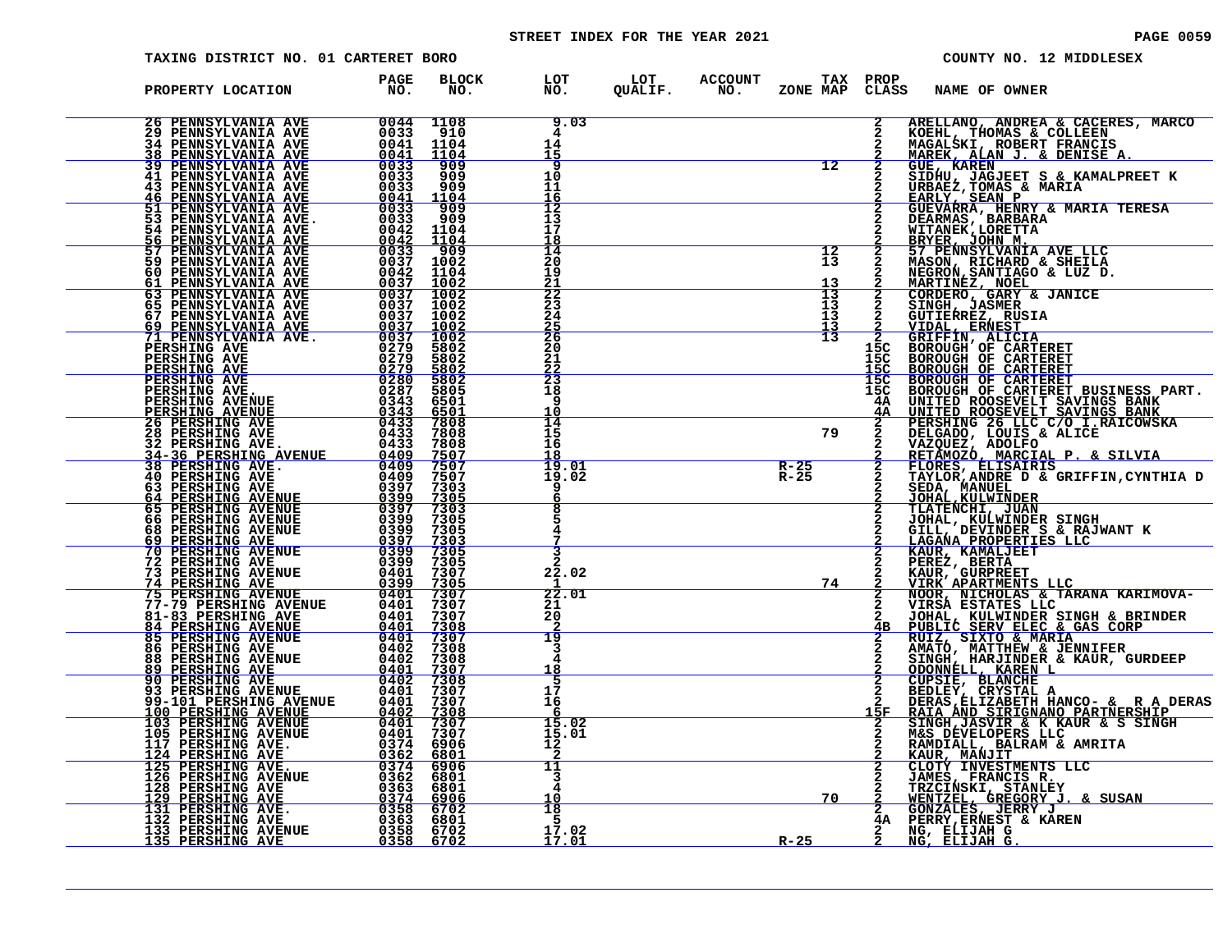# STREET INDEX FOR THE YEAR 2021 **PAGE 10059** PAGE 0059

| TAXING DISTRICT NO. 01 CARTERET BORO                                                                                                                                                                                                                      |                                |                     |                                                     |                                                           |                                    |                                 | COUNTY NO. 12 MIDDLESEX                                                                                                                                                                                                                             |
|-----------------------------------------------------------------------------------------------------------------------------------------------------------------------------------------------------------------------------------------------------------|--------------------------------|---------------------|-----------------------------------------------------|-----------------------------------------------------------|------------------------------------|---------------------------------|-----------------------------------------------------------------------------------------------------------------------------------------------------------------------------------------------------------------------------------------------------|
| PROPERTY LOCATION                                                                                                                                                                                                                                         | <b>PAGE</b><br>NO <sub>z</sub> | <b>BLOCK</b><br>NO. |                                                     | LOT LOT ACCOUNT TAX PROP<br>NO. QUALIF. NO. ZONE_MAPCLASS |                                    |                                 | NAME OF OWNER                                                                                                                                                                                                                                       |
|                                                                                                                                                                                                                                                           |                                |                     | 9.03<br>4<br>$\frac{14}{15}$                        |                                                           | $\frac{1}{12}$                     | $\overline{2}$                  | ARELLANO, ANDREA & CACERES, MARCO<br>KOEHL, THOMAS & COLLEEN<br>MAGALSKI, ROBERT FRANCIS<br><u>MAREK, ALAN J. &amp; DENISE A.</u>                                                                                                                   |
|                                                                                                                                                                                                                                                           |                                |                     | <b>g</b><br>10<br>11                                |                                                           |                                    |                                 | <b>GUE, KAREN</b><br>SIDHU, JAGJEET S & KAMALPREET K<br>URBAEZ, TOMAS & MARIA                                                                                                                                                                       |
|                                                                                                                                                                                                                                                           |                                |                     | $rac{16}{12}$<br>13<br>17<br>$\frac{18}{14}$        |                                                           |                                    |                                 | EARLY, SEAN P<br>GUEVARRA, HENRY & MARIA TERESA<br>DEARMAS, BARBARA<br>WITANEK,LORETTA                                                                                                                                                              |
|                                                                                                                                                                                                                                                           |                                |                     | 20<br>19<br><u>21</u>                               |                                                           | $\frac{12}{13}$<br>$\frac{13}{13}$ | $\frac{2}{2}$                   | <b>BRYER, JOHN M.<br/>57 PENNSYLVANIA AVE LLC<br/>MASON, RICHARD &amp; SHEILA</b><br>NEGRON, SANTIAGO & LUZ D.<br><u>MARTINĖZ, NOEL</u>                                                                                                             |
|                                                                                                                                                                                                                                                           |                                |                     | 22<br>23<br>24<br>$\frac{25}{26}$                   |                                                           | 13<br>13<br>$\frac{13}{13}$        | $\frac{2}{2}$<br>$rac{2}{2}$    | <b>CORDERO, GARY &amp; JANICE</b><br>SINGH, JASMER<br>GUTIERREZ, RUSIA<br>VIDAL, ERŃEST<br>GRIFFIN, ALICIA                                                                                                                                          |
|                                                                                                                                                                                                                                                           |                                |                     | 20<br>21<br><u>22</u>                               |                                                           |                                    | 15C<br>15C<br><u>15C</u>        | BOROUGH OF CARTERET<br>BOROUGH OF CARTERET BOROUGH OF CARTERET                                                                                                                                                                                      |
|                                                                                                                                                                                                                                                           |                                |                     | $\overline{23}$<br>18<br>q<br>10<br>$\frac{11}{14}$ |                                                           |                                    | $\frac{15C}{15C}$               | BOROUGH OF CARTERET BUSINESS PART.<br>BOROUGH OF CARTERET BUSINESS PART.                                                                                                                                                                            |
|                                                                                                                                                                                                                                                           |                                |                     | 15<br>16<br>$\frac{18}{19.01}$                      |                                                           | $\overline{\qquad \qquad }$ 79     |                                 | ISC BOROUGH OF CARTERET BUSINESS FART.<br>4A UNITED ROOSEVELT SAVINGS BANK<br>2 PERSHING 26 LLC C/O I.RAICOWSKA<br>2 DELGADO, LOUIS & ALICE<br>2 DELGADO, LOUIS & ALICE<br>2 RETAMOZO, MARCIAL P. & SILVIA<br>2 FLORES, ELISAIRIS<br>2 FLORES, ELIS |
|                                                                                                                                                                                                                                                           |                                |                     | 19.02<br>6<br>8                                     |                                                           | $\frac{R-25}{R-25}$                | $\overline{2}$                  | SEDA, MANUEL<br><u>JOHAL, KULWINDER</u>                                                                                                                                                                                                             |
| PERSHING AVE.<br>PERSHING AVENUE<br>28 PERSHING AVENUE<br>28 PERSHING AVENUE<br>28 PERSHING AVENUE<br>34-36 PERSHING AVENUE<br>34-36 PERSHING AVENUE<br>34-36 PERSHING AVENUE<br>34-36 PERSHING AVENUE<br>340 PERSHING AVENUE<br>6409 75007<br>36 PE      |                                |                     |                                                     |                                                           |                                    |                                 | <b>TLATENCHI, JUAN<br/>JOHAL, KULWINDER SINGH<br/>GILL, DEVINDER S &amp; RAJWANT K</b><br><u>LAGANA PROPERTIES LLC</u>                                                                                                                              |
|                                                                                                                                                                                                                                                           |                                |                     | 22.02<br>22.01                                      |                                                           | 74                                 |                                 | <b>EAUR, KAMALJEET<br/>PEREZ, BERTA<br/>KAUR, GURPREET<br/>VIRK APARTMENTS LLC</b>                                                                                                                                                                  |
|                                                                                                                                                                                                                                                           |                                |                     | 21<br>20<br>19                                      |                                                           |                                    | $\frac{2}{2}$<br>$\frac{2}{4B}$ | NOOR, NICHOLAS & TARANA KARIMOVA-VIRSA ESTATES LLC<br>JOHAL, KULWINDER SINGH & BRINDER<br>PUBLIC SERV ELEC & GAS CORP<br>RUIZ, SIXTO & MARIA<br>AMATO, MATTHEW & JENNIFER<br>SINGH, HARJINDER & KAUR, GURDEEP                                       |
|                                                                                                                                                                                                                                                           |                                |                     | 3<br>4<br><u> 18</u><br>5                           |                                                           |                                    |                                 | <b>ODONNELL, KAREN L'<br/>CUPSIE, BLANCHE<br/>BEDLEY, CRYSTAL A</b>                                                                                                                                                                                 |
|                                                                                                                                                                                                                                                           |                                |                     | 17<br>16<br>-6<br>15.02                             |                                                           |                                    | 15F                             | DERAS, ELIZABETH HANCO- & R A DERAS<br>RAIA AND SIRIGNANO PARTNERSHIP                                                                                                                                                                               |
| <b>100 PERSHING AVENUE</b><br>103 PERSHING AVENUE<br>105 PERSHING AVENUE<br>105 PERSHING AVENUE<br>117 PERSHING AVE.<br>125 PERSHING AVE.<br>125 PERSHING AVE.<br>126 PERSHING AVE.<br>126 PERSHING AVE.<br>129 PERSHING AVE.<br>129 PERSHING AVE.<br>131 |                                |                     | 15.01<br>12<br>11                                   |                                                           |                                    |                                 | SINGH, JASVIR & K KAUR & S SINGH<br>M&S DEVELOPERS LLC<br>RAMDIALL, BALRAM & AMRITA<br><b>KAUR, MANJIT<br/>CLOTY INVESTMENTS LLC</b>                                                                                                                |
|                                                                                                                                                                                                                                                           |                                |                     | 3<br>4<br>10<br>18                                  |                                                           | 70                                 |                                 | JAMES, FRANCIS R.<br>TRZCIŃSKI, STANLEY<br><u>WENTZEL, GREGORY J. &amp; SUSAN</u>                                                                                                                                                                   |
|                                                                                                                                                                                                                                                           |                                |                     | -5<br>$\frac{17.02}{17.01}$                         |                                                           | <u>R-25</u>                        |                                 | 2 GONZALES, JERRY J<br>4A PERRY, ERNEST & KAREN<br>NG, ELIJAH G<br>NG, ELIJAH G.                                                                                                                                                                    |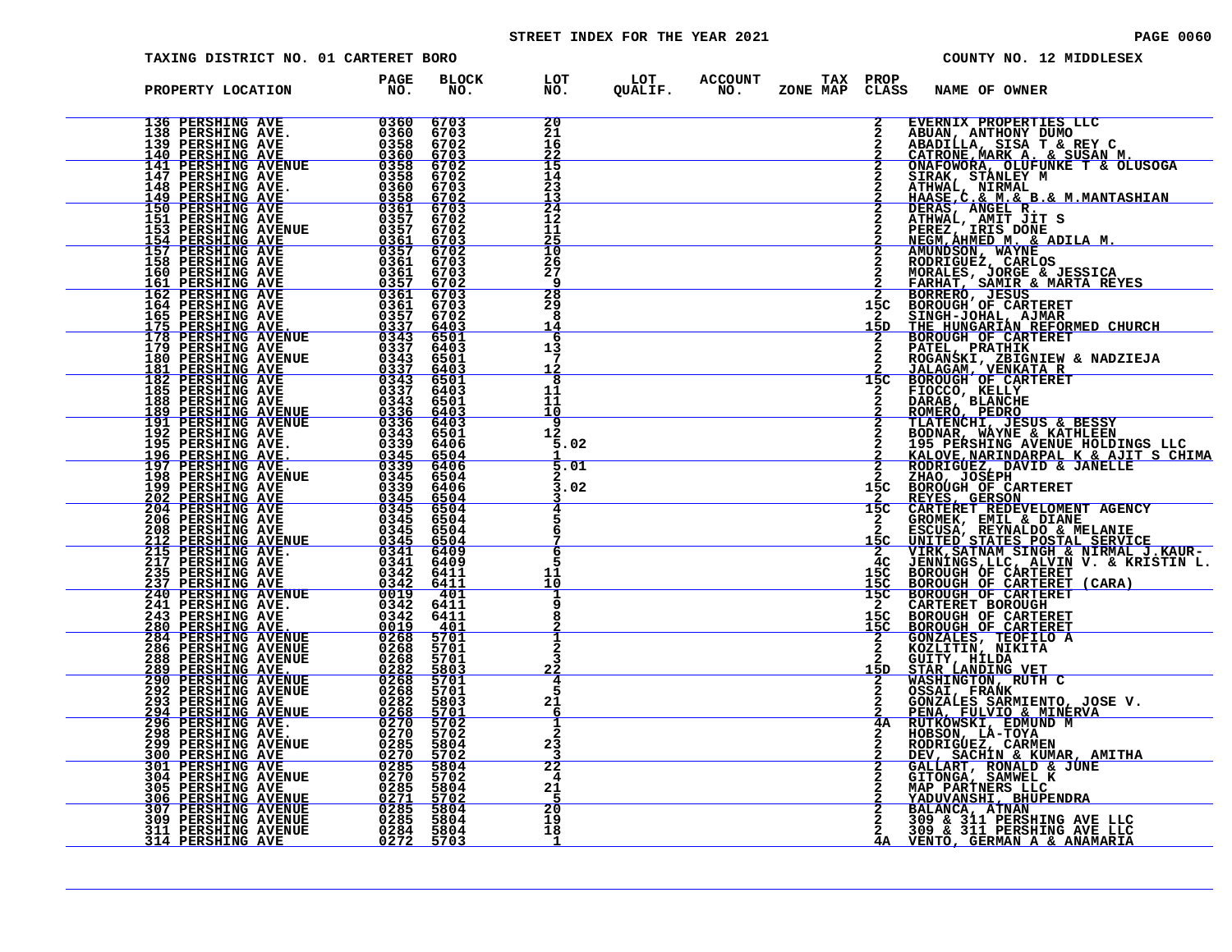# STREET INDEX FOR THE YEAR 2021 **PAGE 10060** PAGE 0060

| TAXING DISTRICT NO. 01 CARTERET BORO                                                                                                                                                                                                               |                                                          |                                               |                                                           | COUNTY NO. 12 MIDDLESEX                                                                                                                                                                                                                        |
|----------------------------------------------------------------------------------------------------------------------------------------------------------------------------------------------------------------------------------------------------|----------------------------------------------------------|-----------------------------------------------|-----------------------------------------------------------|------------------------------------------------------------------------------------------------------------------------------------------------------------------------------------------------------------------------------------------------|
| PROPERTY LOCATION                                                                                                                                                                                                                                  | <b>BLOCK</b><br><b>PAGE</b><br>$N$ <sup>O</sup> .<br>NO. |                                               | LOT LOT ACCOUNT TAX PROP<br>NO. QUALIF. NO. ZONE_MAPCLAS: | CLASS<br>NAME OF OWNER                                                                                                                                                                                                                         |
| 136 PERSHING AVE 0360<br>138 PERSHING AVE 0360<br>139 PERSHING AVE 0358<br>140 PERSHING AVE 0358<br>147 PERSHING AVE 0358<br>147 PERSHING AVE 03558<br>147 PERSHING AVE 03568<br>148 PERSHING AVE 0360<br>151 PERSHING AVE 03557<br>151 PERSHING   | 6703<br>6703<br>6702<br>6703                             | 20<br>21<br>16<br>$\frac{22}{15}$             |                                                           | EVERNIX PROPERTIES LLC                                                                                                                                                                                                                         |
|                                                                                                                                                                                                                                                    | 6702<br>6702<br>6703<br>$\frac{6702}{6703}$              | 14<br>23<br>13                                |                                                           |                                                                                                                                                                                                                                                |
|                                                                                                                                                                                                                                                    | 6702<br>6702<br>$\frac{6703}{6702}$                      | $\frac{1}{24}$<br>12<br>11<br>$\frac{25}{10}$ |                                                           |                                                                                                                                                                                                                                                |
|                                                                                                                                                                                                                                                    | 6703<br>6703<br>6702                                     | 26<br>27<br>q                                 |                                                           |                                                                                                                                                                                                                                                |
|                                                                                                                                                                                                                                                    | 6703<br>6703<br>6702<br>$6403$<br>6501                   | $\frac{28}{29}$<br>8<br>14<br>6               |                                                           | 15C<br>$\mathbf{2}$<br>15D                                                                                                                                                                                                                     |
|                                                                                                                                                                                                                                                    | 6403<br>6501<br>6403                                     | 13<br>12<br>8                                 |                                                           | 15 <sub>C</sub>                                                                                                                                                                                                                                |
|                                                                                                                                                                                                                                                    |                                                          | 11<br>11<br>10<br>$\overline{\mathsf{q}}$     |                                                           | EVERNIX PROPERTIES LLC<br>ABADILLA, SISA T & SUSAN M.<br>CMIROME, MARK A. & SUSAN M.<br>CMIROME, MARK A. & SUSAN M.<br>CMIROME, MARK A. & SUSAN M.<br>CMIROME, MARK A. & SUSAN M.<br>SIRAK, STANLEY M<br>ATHWAL, ANIT JUT S<br>AREHAN, ANIT JU |
|                                                                                                                                                                                                                                                    |                                                          | 12<br>5.02<br>5.01                            |                                                           | TENDER ANEWS AVENUE HOLDINGS LIKE<br>KALOVE, NARINDARPAL K & AJIT S CHIMA<br>ECHAO, JOSEPH<br>ZHAO, JOSEPH<br>BOROUGH OF CARTERET<br>REYES, GERSON                                                                                             |
|                                                                                                                                                                                                                                                    |                                                          | 3.02                                          |                                                           | 15C<br>$\overline{15}C$<br>CARTERET REDEVELOMENT AGENCY                                                                                                                                                                                        |
|                                                                                                                                                                                                                                                    |                                                          | 6<br>6                                        |                                                           | GROMEK, EMIL & DIANE<br>ESCUSA, REYNALDO & MELANIE<br>UNITED STATES POSTAL SERVICE<br>VIRK, SATNAM SINGH & NIRMAL J.KAUR-<br>4C                                                                                                                |
|                                                                                                                                                                                                                                                    |                                                          | 11<br>10                                      |                                                           | JENNINGS, LLC, ALVIN V. & KRISTIN L.<br>BOROUGH OF CARTERET (CARA)<br>BOROUGH OF CARTERET (CARA)<br>BOROUGH OF CARTERET (CARA)<br>CARTERET BOROUGH<br>15c<br><u>15c</u><br>15 <sup>C</sup><br>$\mathbf{2}$                                     |
|                                                                                                                                                                                                                                                    |                                                          | 8<br>2<br>3                                   |                                                           | 15C BOROUGH OF CARTERET<br>15C BOROUGH OF CARTERET<br>2 GONZALES, TEOFILO A<br>2 KOZLITIN, NIKITA                                                                                                                                              |
|                                                                                                                                                                                                                                                    |                                                          | <u>22</u><br>4<br>5<br>21                     |                                                           | <b>GUITY, HILDA<br/>STAR LANDING VET<br/>WASHINGTON, RUTH C<br/>OSSAI, FRANK<br/>OSSAI, FRANK</b><br>15D<br>GONZALES SARMIENTO, JOSE V.<br>PENA, FULVIO & MINERVA                                                                              |
|                                                                                                                                                                                                                                                    |                                                          | 6<br>1<br>$\overline{2}$<br>23                |                                                           | 4A<br>RUTKOWSKI, EDMUND M                                                                                                                                                                                                                      |
| 179 PERSINING AVE 1937 6403<br>180 PERSINING AVENUE 1837 6403<br>181 PERSINING AVENUE 1937 6403<br>182 PERSINING AVENUE 1937 6403<br>188 PERSINING AVENUE 1937 6403<br>191 PERSINING AVENUE 1937 6403<br>191 PERSINING AVENUE 1937 6403<br>191 PER |                                                          | 22<br>4<br>21<br>5                            |                                                           | RUIKOWSKI, EDMOND M<br>HOBSON, LA-TOYA<br>RODRIGUEZ, CARMEN<br>DEV, SACHIN & KUMAR, AMITHA<br>GALLART, RONALD & JUNE<br>GITONGA, SAMWEL K<br>MAP PARTNERS LLC<br>YADUVANSHI, BHUPENDRA<br>YADUVANSHI, BHUPENDRA                                |
|                                                                                                                                                                                                                                                    |                                                          | 20<br>19<br>18                                |                                                           | BALANCA, ATNAN<br>309 & 311 PERSHING AVE LLC<br>309 & 311 PERSHING AVE LLC<br>2<br>VENTO, GERMAN A & ANAMARIA<br>4Α                                                                                                                            |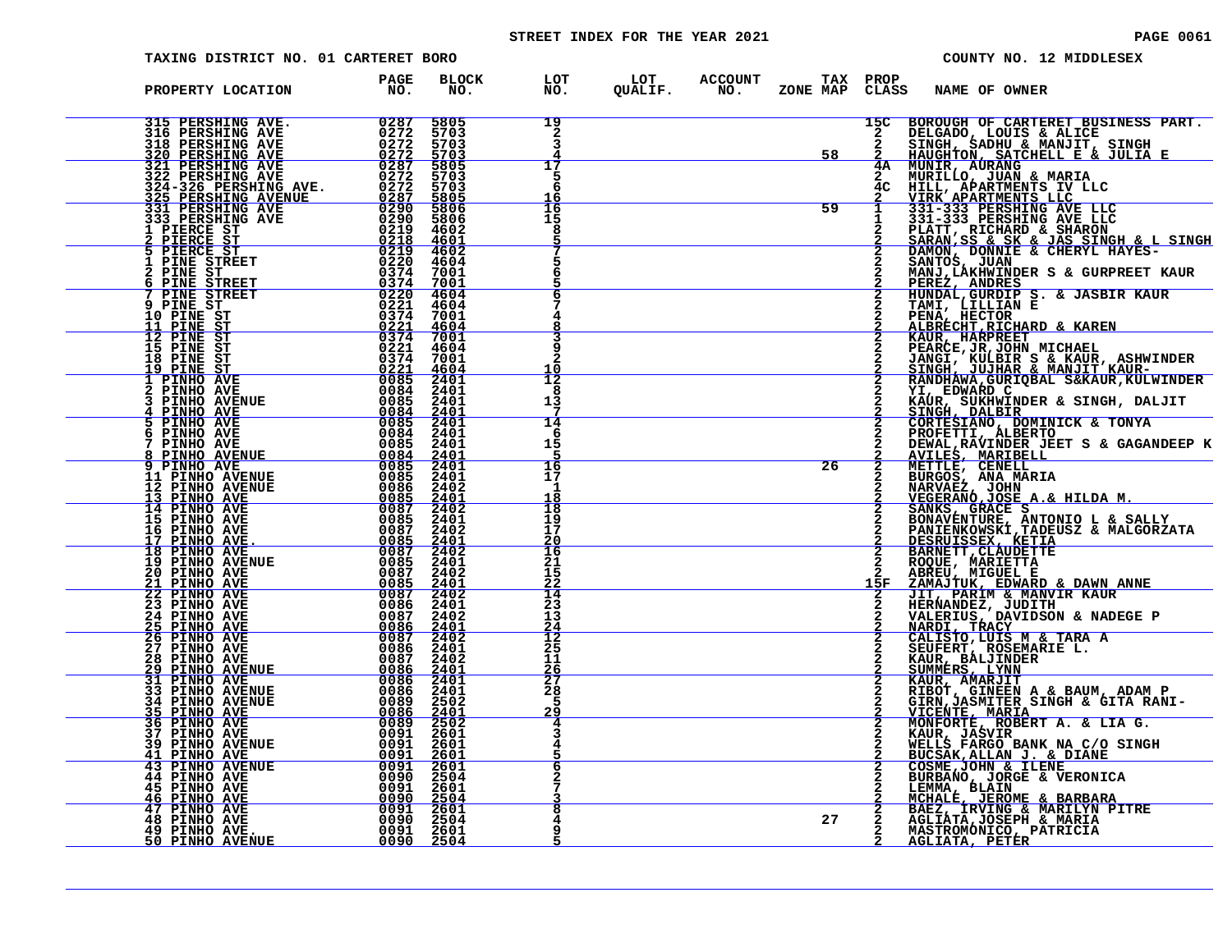# STREET INDEX FOR THE YEAR 2021 **PAGE 10061** PAGE 0061

| TAXING DISTRICT NO. 01 CARTERET BORO                                                                                                                                                                                                                                                                                                                                                                     |                                  |              |                              |  |                                |                                  | COUNTY NO. 12 MIDDLESEX                                                                                                                                                                                                                                                                      |
|----------------------------------------------------------------------------------------------------------------------------------------------------------------------------------------------------------------------------------------------------------------------------------------------------------------------------------------------------------------------------------------------------------|----------------------------------|--------------|------------------------------|--|--------------------------------|----------------------------------|----------------------------------------------------------------------------------------------------------------------------------------------------------------------------------------------------------------------------------------------------------------------------------------------|
| PROPERTY LOCATION                                                                                                                                                                                                                                                                                                                                                                                        | <b>PAGE</b><br>$N\overline{O}$ . | BLOCK<br>NO. |                              |  |                                |                                  | LOT LOT ACCOUNT TAX PROP<br>NO. QUALIF. NO. ZONE_MAPCLASS NAME_OF_OWNER                                                                                                                                                                                                                      |
|                                                                                                                                                                                                                                                                                                                                                                                                          |                                  |              | 19<br>$\overline{2}$<br>3    |  | 58                             |                                  | 15C BOROUGH OF CARTERET BUSINESS PART.<br>2 DELGADO, LOUIS & ALICE<br>2 SINGH, SADHU & MANJIT, SINGH<br>2 HAUGHTON, SATCHELL E & JULIA E<br>4A MUNILLO, JUAN & MARIA<br>2 MURILLO, JUAN & MARIA<br>4C HILL, APARTMENTS IV LLC<br>2 VIRK APAR                                                 |
|                                                                                                                                                                                                                                                                                                                                                                                                          |                                  |              | 17<br>5<br>6                 |  |                                |                                  |                                                                                                                                                                                                                                                                                              |
|                                                                                                                                                                                                                                                                                                                                                                                                          |                                  |              | Ī6<br>15<br>8                |  | $\overline{\qquad \qquad }$ 59 |                                  |                                                                                                                                                                                                                                                                                              |
|                                                                                                                                                                                                                                                                                                                                                                                                          |                                  |              |                              |  |                                |                                  |                                                                                                                                                                                                                                                                                              |
|                                                                                                                                                                                                                                                                                                                                                                                                          |                                  |              |                              |  |                                |                                  |                                                                                                                                                                                                                                                                                              |
|                                                                                                                                                                                                                                                                                                                                                                                                          |                                  |              | 10                           |  |                                |                                  | <b>PENA, HECTOR &amp; KAREN<br/>ALBRECHT, RICHARD &amp; KAREN<br/>KAUR, HARPREET<br/>PEARCE, JR, JOHN MICHAEL<br/>JANGI, KULBIR S &amp; KAUR, ASHWINDER<br/>SINGH, JUJHAR &amp; MANJIT KAUR-<br/>KANDHAWA, GURIQBAL S&amp;KAUR, KULWINDER<br/>YI, EDWARD C<br/>KAUR, SUKHWINDER &amp; SI</b> |
|                                                                                                                                                                                                                                                                                                                                                                                                          |                                  |              | 12<br>8<br>13                |  |                                |                                  |                                                                                                                                                                                                                                                                                              |
|                                                                                                                                                                                                                                                                                                                                                                                                          |                                  |              | 14<br>6<br>15                |  | $\overline{26}$                |                                  |                                                                                                                                                                                                                                                                                              |
|                                                                                                                                                                                                                                                                                                                                                                                                          |                                  |              | 16<br>17<br>-1<br>18<br>18   |  |                                | $\overline{2}$<br>$\overline{2}$ | AVILES, MARIBELL<br>METTLE, CENELL<br>METTLE, CENELL<br>METTLE, CENELL<br>NARVAEZ, JOHN<br>VEGERANO, JOSE A.& HILDA M.<br>VEGERANO, JOSE A.& HILDA M.                                                                                                                                        |
|                                                                                                                                                                                                                                                                                                                                                                                                          |                                  |              | 19<br>17<br><u> 20</u><br>16 |  |                                | $\overline{2}$                   | <b>SANKS, GRACE S<br/>BONAVENTURE, ANTONIO L &amp; SALLY<br/>PANIENKOWSKI, TADEUSZ &amp; MALGORZATA</b><br>DESRUISSEX, KETIA<br>BARNETT, CLAUDETTE                                                                                                                                           |
|                                                                                                                                                                                                                                                                                                                                                                                                          |                                  |              | 21<br>15<br>22<br>14         |  |                                | 15F                              |                                                                                                                                                                                                                                                                                              |
|                                                                                                                                                                                                                                                                                                                                                                                                          |                                  |              | 23<br>13<br>$\frac{24}{12}$  |  |                                | $\frac{2}{2}$<br>$\mathbf{2}$    | BARNETT, CLAUDETTE<br>ROQUE, MARIETTA<br>ABREU, MIGUEL E<br>ZAMAJTUK, EDWARD & DAWN ANNE<br>JIT, PARIM & MANVIR KAUR<br>HERNANDEZ, JUUITSON & NADEGE P<br>NALERIUS, DAVIDSON & NADEGE P<br>NARDI, TRACY<br>CALISTO,LUIS M & TARA A<br>CALISTO,LUIS M & TA                                    |
|                                                                                                                                                                                                                                                                                                                                                                                                          |                                  |              | 25<br>11<br>$\frac{26}{27}$  |  |                                | $\mathbf{2}$<br>2                | SEUFERT, ROSEMARIE L.<br>KAUR, BALJINDER<br>SUMMERS, LYNN<br>KAUR, AMARJIT<br>RIBOT, GINEEN A & BAUM, ADAM P.<br>RIBOT, GINEEN A & BAUM, ADAM P.                                                                                                                                             |
|                                                                                                                                                                                                                                                                                                                                                                                                          |                                  |              | 28<br>5<br>29<br>4           |  |                                | $\mathbf{2}$<br>2                | GIRN, JASMITER SINGH & GITA RANI-<br>VICENTE, MARIA                                                                                                                                                                                                                                          |
| $\begin{tabular}{@{0.85cm}} \hline \textbf{PROOFRITY LOCATION} \textbf{PROOF} \textbf{R10} \textbf{R10} \textbf{R10} \textbf{R21} \textbf{R3} \textbf{R10} \textbf{R3} \textbf{R2} \textbf{R3} \textbf{R4} \textbf{R4} \textbf{R5} \textbf{R5} \textbf{R6} \textbf{R6} \textbf{R6} \textbf{R6} \textbf{R6} \textbf{R8} \textbf{R6} \textbf{R8} \textbf{R8} \textbf{R8} \textbf{R9} \textbf{R8} \textbf{$ |                                  |              | З<br>6                       |  |                                | $\mathbf{2}$                     | MONFORTE, ROBERT A. & LIA G.<br>KAUR, JASVIR<br>WELLS FARGO BANK NA C/O SINGH<br>BUCSAK, ALLAN J. & DIANE<br>COSME, JOHN & ILENE                                                                                                                                                             |
|                                                                                                                                                                                                                                                                                                                                                                                                          |                                  |              |                              |  |                                | $\mathbf{2}$<br>2                | <b>EURBANO, JORGE &amp; VERONICA<br/>LEMMA, BLAIN<br/>MCHALE, JEROME &amp; BARBARA<br/>MCHALE, JEROME &amp; MARILYN PITRE<br/>AGLIATA, JOSEPH &amp; MARIA<br/>AGLIATA, JOSEPH &amp; MARIA<br/>CLIATA, JOSEPH &amp; MARIA</b>                                                                 |
|                                                                                                                                                                                                                                                                                                                                                                                                          |                                  |              |                              |  | 27                             |                                  | MASTROMONICO, PATRICIA<br><u>AGLIATA, PETER</u>                                                                                                                                                                                                                                              |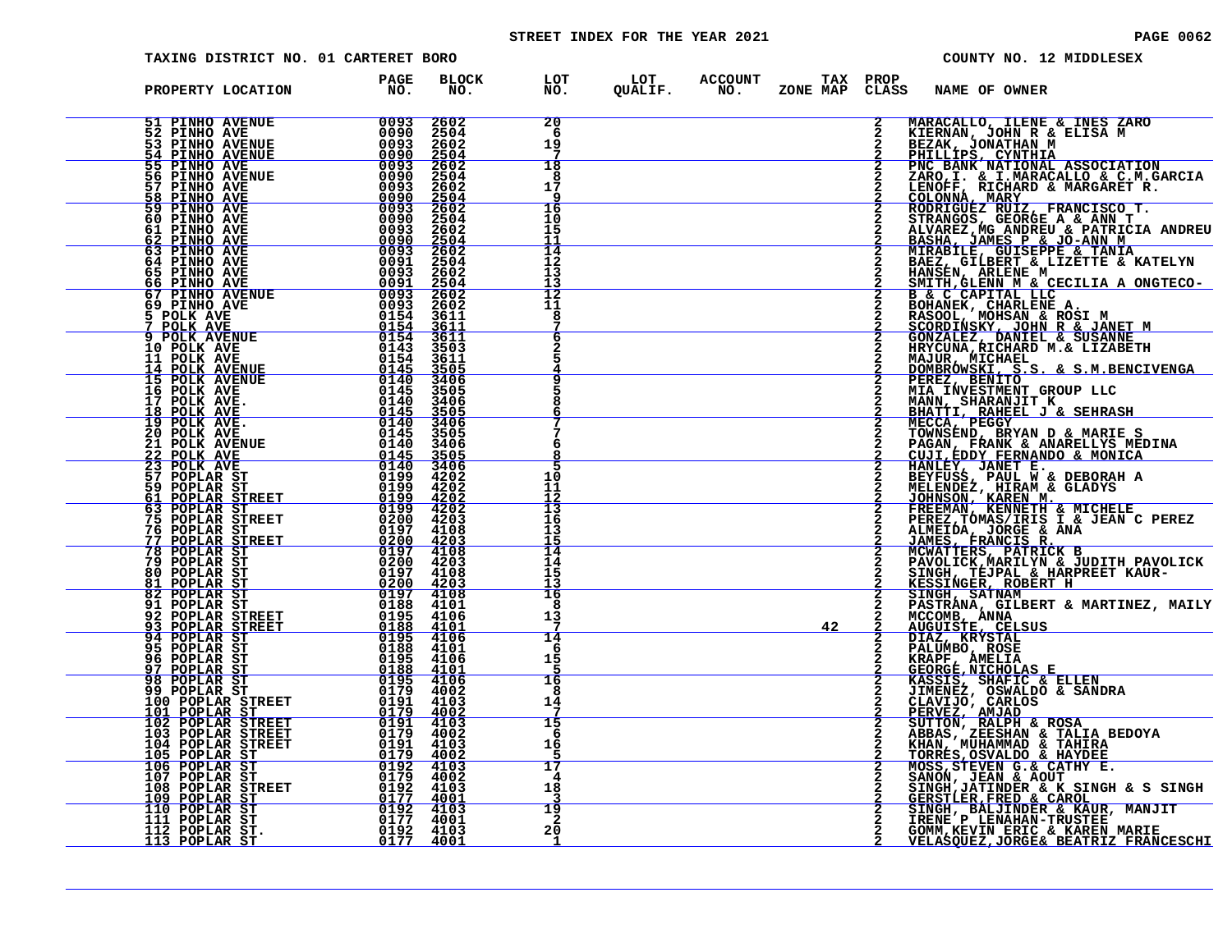# STREET INDEX FOR THE YEAR 2021 **PAGE 10062** PAGE 0062

| TAXING DISTRICT NO. 01 CARTERET BORO                                                                                                                                                                                                                                                                                                                 |                                                                                                                                                                                                                                                                                                                                                              |                                    |                                                                          | COUNTY NO. 12 MIDDLESEX                                                                                                                                                                                                                                                                          |
|------------------------------------------------------------------------------------------------------------------------------------------------------------------------------------------------------------------------------------------------------------------------------------------------------------------------------------------------------|--------------------------------------------------------------------------------------------------------------------------------------------------------------------------------------------------------------------------------------------------------------------------------------------------------------------------------------------------------------|------------------------------------|--------------------------------------------------------------------------|--------------------------------------------------------------------------------------------------------------------------------------------------------------------------------------------------------------------------------------------------------------------------------------------------|
| PROPERTY LOCATION                                                                                                                                                                                                                                                                                                                                    | BLOCK<br><b>PAGE<br/>NO.</b><br>NO.                                                                                                                                                                                                                                                                                                                          |                                    | LOT LOT ACCOUNT TAX PROP<br>NO. QUALIF. NO. ZONE_MAP CLASS NAME_OF_OWNER |                                                                                                                                                                                                                                                                                                  |
| <b>51 PINHO AVENUE</b><br><b>52 PINHO AVE<br/>53 PINHO AVENUE</b>                                                                                                                                                                                                                                                                                    | $\begin{array}{r} 0.093 \\ 0.0990 \\ 0.0930 \\ 0.0930 \\ 0.0930 \\ 0.0930 \\ 0.0930 \\ 0.0930 \\ 0.0930 \\ 0.0930 \\ 0.0930 \\ 0.0930 \\ \end{array}$<br>2602<br>2504<br>2602<br>2504<br>2602<br>2504                                                                                                                                                        | 20<br>6<br>19                      |                                                                          |                                                                                                                                                                                                                                                                                                  |
| <b>54 PINHO AVENUE</b><br>55 PINHO AVE<br>56 PINHO AVENUE<br>57 PINHO AVE<br>58 PINHO AVE<br>59 PINHO AVE                                                                                                                                                                                                                                            | $\frac{2602}{2504}$                                                                                                                                                                                                                                                                                                                                          | 18<br>8<br>17                      |                                                                          |                                                                                                                                                                                                                                                                                                  |
| 60 PINHO AVE<br>61 PINHO AVE<br>62 PINHO AVE<br>63 PINHO AVE                                                                                                                                                                                                                                                                                         | 0090<br>$\frac{2504}{2602}$                                                                                                                                                                                                                                                                                                                                  | 16<br>10<br>15<br>11               |                                                                          |                                                                                                                                                                                                                                                                                                  |
| 64 PINHO AVE<br>65 PINHO AVE<br>66 PINHO AVE                                                                                                                                                                                                                                                                                                         | $\frac{0.0000}{0.0000}$<br>$\frac{2504}{2602}$<br>2504<br>2602<br>2504<br>2602<br>2602                                                                                                                                                                                                                                                                       | $\overline{14}$<br>12<br>13<br>า ว |                                                                          |                                                                                                                                                                                                                                                                                                  |
| $\begin{array}{r} 0.0911 \\ 0.0933 \\ 0.0993 \\ 0.0993 \\ 0.0993 \\ 0.0993 \\ 0.1554 \\ 0.1544 \\ 0.1543 \\ 0.1543 \\ 0.1443 \\ 0.1445 \\ 0.1445 \\ 0.1445 \\ 0.1440 \\ 0.1440 \\ 0.1440 \\ 0.1445 \\ 0.1445 \\ 0.1445 \\ 0.1450 \\ \end{array}$<br><b>67 PINHO AVENUE</b><br>69 PINHO AVE<br>5 POLK AVE<br><u>7 POLK AVE<br/>9 POLK AVENUE</u>      | 3611                                                                                                                                                                                                                                                                                                                                                         | 12<br>11<br>8                      |                                                                          | MARACALLO, ILENE & INES ZARO<br>KIERNAN, JOHN R & ELISA M<br>BEZAK, JONATHAN M<br>PHILLIPS, CYNTHIA<br>PNC BANK NATIONAL ASSOCIATION<br>PAC BANK NATIONAL ASSOCIATION<br>ZARO, I. & I.MARACALLO & C.M.GARCIA<br>LENOFF, RICHARD & MARGARET R                                                     |
| 10 POLK AVE<br>11 POLK AVE<br><b>14 POLK AVENUE</b><br><b>15 POLK AVENUE</b>                                                                                                                                                                                                                                                                         | $\frac{3611}{3611}$<br>$\frac{3611}{3503}$<br>3611<br>3505<br>3406<br>3505                                                                                                                                                                                                                                                                                   | 6                                  |                                                                          | RABOULT MONARY, JOHN R & JANET M<br>GONZALEZ, DANIEL & SUSANNE<br>HRYCUNA, RICHARD M.& LIZABETH<br>MAJUR, MICHAEL<br><u>DOMBRÓWSKI, S.S. &amp; S.M.BENCIVENGA</u>                                                                                                                                |
| 16 POLK AVE<br>17 POLK AVE.<br>18 POLK AVE<br>19 POLK AVE.                                                                                                                                                                                                                                                                                           | $3406\n3505\n3406$                                                                                                                                                                                                                                                                                                                                           |                                    |                                                                          | PEREZ, BENITO<br>MIA INVESTMENT GROUP LLC<br>MANN, SHARANJIT K<br>BHATTI, RAHEEL J & SEHRASH<br>MECCA, PEGGY                                                                                                                                                                                     |
| 20 POLK AVE<br><b>21 POLK AVENUE</b><br>22 POLK AVE<br>23 POLK AVE                                                                                                                                                                                                                                                                                   | 0145<br>3505<br>$\begin{array}{r} 0145 \ -0140 \ -0140 \ -0140 \ -0199 \ -0199 \ -0199 \ -0199 \ -0199 \ -0199 \ -0199 \ -0199 \ -0199 \ -0199 \ -0199 \ -0199 \ -0199 \ -0199 \ -0199 \ -0199 \ -0199 \ -0199 \ -0199 \ -0199 \ -0199 \ -0199 \ -0199 \ -0199 \ -0199 \ -0199 \ -0199 \ -0199 \ -0199 \ -0199 \ -0199 \ -01$<br>3406<br>$\frac{3505}{3406}$ | 6                                  |                                                                          |                                                                                                                                                                                                                                                                                                  |
| 57 POPLAR ST<br>59 POPLAR ST<br>61 POPLAR STREET                                                                                                                                                                                                                                                                                                     | 4202<br>4202                                                                                                                                                                                                                                                                                                                                                 | 10<br>11<br>12<br>13               |                                                                          | <b>MECCA, PEGGY<br/>TOWNSEND, BRYAN D &amp; MARIE S<br/>PAGAN, FRANK &amp; ANARELLYS MEDINA<br/>CUJI,EDDY FERNANDO &amp; MONICA<br/>HANLEY, JANET E.<br/>BEYFUSS, PAUL W &amp; DEBORAH A<br/>MELENDEZ, HIRAM &amp; GLADYS<br/>JOHNSON, KAREN M.<br/>FREEMAN, KENNETH &amp; MICHELE<br/>PEREZ</b> |
|                                                                                                                                                                                                                                                                                                                                                      |                                                                                                                                                                                                                                                                                                                                                              | 16<br>13<br>$\frac{15}{14}$        |                                                                          | JAMES, FRANCIS R. MCWATTERS, PATRICK B                                                                                                                                                                                                                                                           |
|                                                                                                                                                                                                                                                                                                                                                      |                                                                                                                                                                                                                                                                                                                                                              | 14<br>15<br>13<br>16<br>8          |                                                                          | PAVOLICK, MARILYN & JUDITH PAVOLICK<br>SINGH, TEJPAL & HARPREET KAUR-<br>KESSINGER, ROBERT H<br>SINGH, SATNAM<br>PASTRANA, GILBERT & MARTINEZ, MAILY                                                                                                                                             |
|                                                                                                                                                                                                                                                                                                                                                      |                                                                                                                                                                                                                                                                                                                                                              | 13<br>14<br>-6                     | 42                                                                       | MCCOMB, ANNA<br>AUGUISTE, CELSUS<br>DIAZ, KRYSTAL<br>PALUMBO, ROSE                                                                                                                                                                                                                               |
|                                                                                                                                                                                                                                                                                                                                                      |                                                                                                                                                                                                                                                                                                                                                              | 15<br>16<br>8                      |                                                                          | KRAPF, AMELIA<br>GEORGE, NICHOLAS E<br>KASSIS, SHAFIC & ELLEN<br>JIMENEZ, OSWALDO & SANDRA                                                                                                                                                                                                       |
| $\begin{tabular}{@{}c c c c} \hline 59 & PODLAR STREET & 0159 & 4202 \\ \hline 63 & PODLAR STREET & 0199 & 4202 \\ 75 & PODLAR STREET & 0200 & 4203 \\ 76 & PODLAR STREET & 0200 & 4203 \\ 77 & PODLAR STREET & 0200 & 4203 \\ 78 & PODLAR STREET & 0200 & 4203 \\ 81 & PODLAR ST & 0197 & 4103 \\ 82 & PODLAR ST & 0197 & 4103 \\ 83 & PODLAR ST &$ |                                                                                                                                                                                                                                                                                                                                                              | 14<br>15<br>6<br>16                |                                                                          | JIMENEZ, USWALDO & SANDRA<br>CLAVIJO, CARLOS<br>PERVEZ, AMJAD<br>SUTTON, RALPH & ROSA<br>ABBAS, ZEESHAN & TALIA BEDOYA<br>KHAN, MUHAMMAD & TAHIRA<br>MOSS, STEVEN G.& CATHY E.<br>MOSS, STEVEN G.& CATHY E.<br>MOSS, STEVEN G.& CATHY E.<br>$\overline{2}$                                       |
|                                                                                                                                                                                                                                                                                                                                                      |                                                                                                                                                                                                                                                                                                                                                              | 17<br>4<br>18                      |                                                                          |                                                                                                                                                                                                                                                                                                  |
|                                                                                                                                                                                                                                                                                                                                                      |                                                                                                                                                                                                                                                                                                                                                              | 3<br>19<br>2<br>20                 |                                                                          | SANON, JEAN & AOUT<br>SINGH, JATINDER & K SINGH & S SINGH<br>GERSTLER, FRED & CAROL<br>SINGH, BALJINDER & KAUR, MANJIT<br>IRENE P LENAHAN-TRUSTEE<br>IRENE P LENAHAN-TRUSTEE<br>GOMM, KEVIN ERIC & KAREN MARIE                                                                                   |
|                                                                                                                                                                                                                                                                                                                                                      |                                                                                                                                                                                                                                                                                                                                                              |                                    |                                                                          | <u>VELASQUEZ, JORGE&amp; BEATRIZ FRANCESCHI</u>                                                                                                                                                                                                                                                  |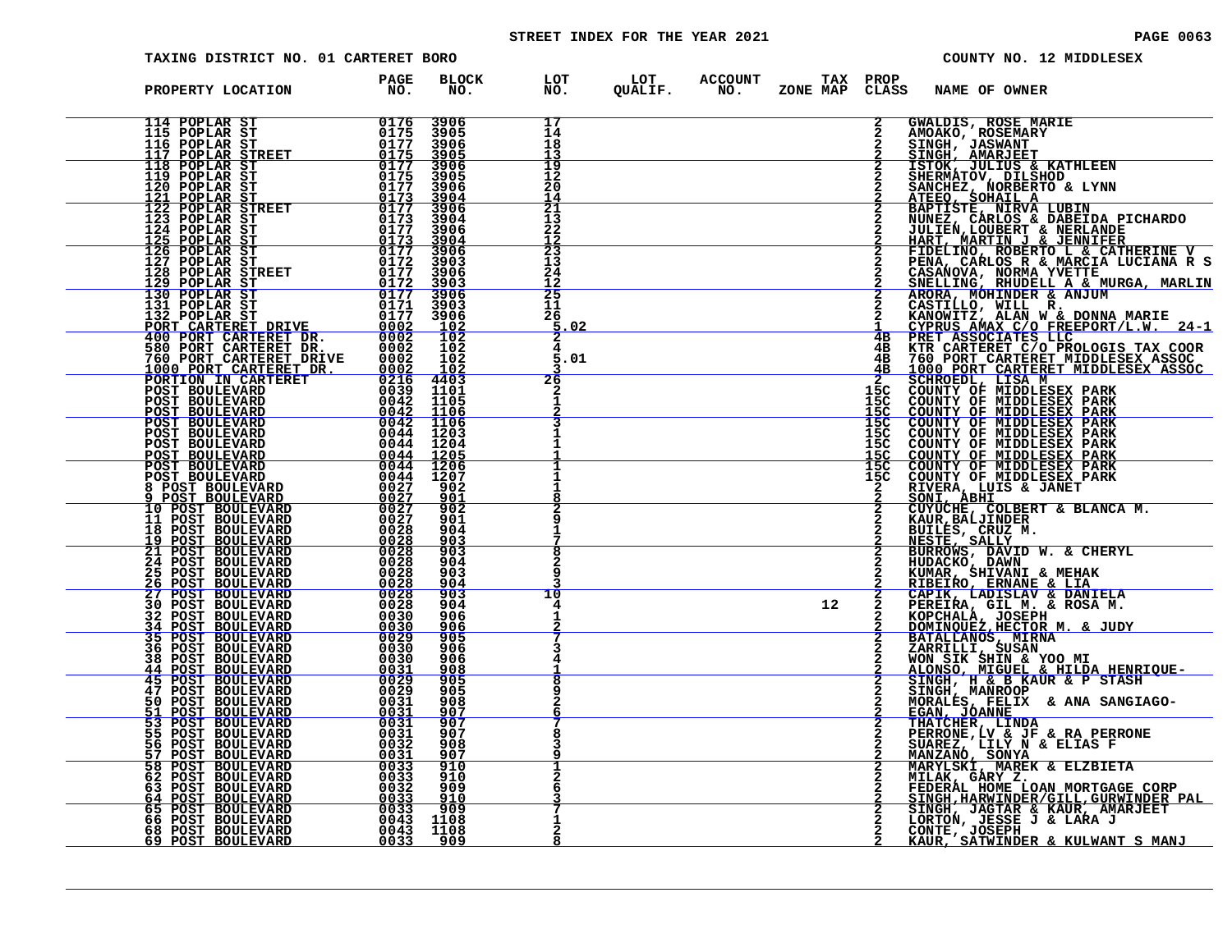# STREET INDEX FOR THE YEAR 2021 **PAGE 10063** PAGE 0063

| TAXING DISTRICT NO. 01 CARTERET BORO                                                                                                                                                                                                                                                                                                                                                                                                                                                                                        |                                                                                                    |                                             |                                           |  |                                                                                                                                                                                                                                                                                                                                    |                                 | COUNTY NO. 12 MIDDLESEX                                                                                                                                                                                          |
|-----------------------------------------------------------------------------------------------------------------------------------------------------------------------------------------------------------------------------------------------------------------------------------------------------------------------------------------------------------------------------------------------------------------------------------------------------------------------------------------------------------------------------|----------------------------------------------------------------------------------------------------|---------------------------------------------|-------------------------------------------|--|------------------------------------------------------------------------------------------------------------------------------------------------------------------------------------------------------------------------------------------------------------------------------------------------------------------------------------|---------------------------------|------------------------------------------------------------------------------------------------------------------------------------------------------------------------------------------------------------------|
| PROPERTY LOCATION                                                                                                                                                                                                                                                                                                                                                                                                                                                                                                           | <b>PAGE</b><br>NO <sub>z</sub>                                                                     | <b>BLOCK</b><br>NO.                         |                                           |  |                                                                                                                                                                                                                                                                                                                                    |                                 | LOT LOT ACCOUNT TAX PROP<br>NO. QUALIF. NO. ZONE_MAP_CLASS_NAME_OF_OWNER                                                                                                                                         |
| 114 POPLAR ST 0176<br>115 POPLAR ST 0175<br>116 POPLAR STREET 0175<br>117 POPLAR STREET 0175<br>118 POPLAR ST 0177<br>119 POPLAR ST 0175<br>121 POPLAR ST 0173                                                                                                                                                                                                                                                                                                                                                              |                                                                                                    | 3906<br>3905<br>3906<br>3905                | 17<br>14<br>18                            |  |                                                                                                                                                                                                                                                                                                                                    | $\mathbf{2}$                    | GWALDIS, ROSE MARIE<br>AMOAKO, ROSEMARY<br>SINGH, JASWANT<br><u>SINGH, AMARJEET</u>                                                                                                                              |
|                                                                                                                                                                                                                                                                                                                                                                                                                                                                                                                             |                                                                                                    | 3906<br>3905<br>3906                        | 19<br>12<br>20                            |  |                                                                                                                                                                                                                                                                                                                                    |                                 | <b>ISTOK, JULIUS &amp; KATHLEEN<br/>SHERMATOV, DILSHOD<br/>SANCHEZ, NORBERTO &amp; LYNN<br/>ATEEO, SOHAIL A<br/>BAPTISTE, NIRVA LUBIN<br/>BAPTISTE, NIRVA LUBIN</b>                                              |
| 119 POPLAR ST<br>121 POPLAR ST<br>121 POPLAR ST<br>122 POPLAR STREET<br>123 POPLAR STREET<br>123 POPLAR ST<br>125 POPLAR ST<br>126 POPLAR ST<br>126 POPLAR ST<br>126 POPLAR ST<br>126 POPLAR ST<br>127 POPLAR ST<br>127 POPLAR ST<br>127 POPLAR ST<br>127                                                                                                                                                                                                                                                                   |                                                                                                    | $\frac{3904}{3906}$<br>3904<br>3906<br>3904 | $\frac{14}{21}$<br>13<br>22               |  |                                                                                                                                                                                                                                                                                                                                    |                                 | BAPIISIA NA ANAVA DABEIDA PICHARDO<br>JULIEN, LOUBERT & NERLANDE<br>HART, MARTIN J & JENNIFER<br>FIDELINO, ROBERTO L & CATHERINE V<br>PENA, CARLOS R & MARCIA LUCIANA R S<br>PENA, CARLOS R & MARCIA LUCIANA R S |
| 128 POPLAR STREET 0177<br>129 POPLAR ST                                                                                                                                                                                                                                                                                                                                                                                                                                                                                     |                                                                                                    | 3906<br>3903<br>3906<br>3903                | $\frac{12}{23}$<br>13<br>24<br><u> 12</u> |  |                                                                                                                                                                                                                                                                                                                                    |                                 | CASANOVA, NORMA YVETTE<br>SNELLING, RHUDELL A & MURGA, MARLIN<br>ARORA, MOHINDER & ANJUM                                                                                                                         |
| 130 POPLAR ST<br>131 POPLAR ST<br>$\begin{array}{c} \begin{array}{c} \text{array} \\ \text{array} \end{array} \\ \begin{array}{c} \text{0177} \\ \text{0171} \end{array} \end{array}$<br>132 POPLAR ST                                                                                                                                                                                                                                                                                                                      | ŎĪ71<br>0177                                                                                       | 3906<br>3903<br>3906<br>$\frac{102}{102}$   | 25<br>11<br>26<br>.02                     |  |                                                                                                                                                                                                                                                                                                                                    | $\mathbf{2}$                    | 2 CASTILLO, WILL R. THE MARIE<br>2 KANOWITZ, ALAN W & DONNA MARIE<br>1 CYPRUS AMAX C/O FREEPORT/L.W. 24-1<br>4B PRET ASSOCIATES LLC                                                                              |
| 132 FUFLAR ST DRIVE 10177<br>100 PORT CARTERET DR. 0002<br>580 PORT CARTERET DR. 0002<br>760 PORT CARTERET DR. 0002<br>760 PORT CARTERET DRIVE 0002<br>10001 PORT CARTERET DR. 0002<br>1000 PORT TO ARTERET DR. 0002<br>PORTION IN CARTERET                                                                                                                                                                                                                                                                                 |                                                                                                    | $\frac{102}{102}$<br><u> 102</u>            | 5.01<br>26                                |  | $\overline{a}$ and $\overline{a}$ and $\overline{a}$ and $\overline{a}$ and $\overline{a}$ and $\overline{a}$ and $\overline{a}$ and $\overline{a}$ and $\overline{a}$ and $\overline{a}$ and $\overline{a}$ and $\overline{a}$ and $\overline{a}$ and $\overline{a}$ and $\overline{a}$ and $\overline{a}$ and $\overline{a}$ and | 2                               | <b>4B KTR CARTERET C/O PROLOGIS TAX COOR<br/>4B 760 PORT CARTERET MIDDLESEX ASSOC<br/>4B 1000 PORT CARTERET MIDDLESEX ASSOC</b>                                                                                  |
| POST BOULEVARD<br>POST BOULEVARD<br><b>POST BOULEVARD</b><br>POST BOULEVARD                                                                                                                                                                                                                                                                                                                                                                                                                                                 | $\begin{array}{rr} & 0216 & 4403 \ 0039 & 1101 \end{array}$<br>0042 1105<br>0042 1106<br>0042 1106 |                                             |                                           |  |                                                                                                                                                                                                                                                                                                                                    | 15C<br>15C<br>$\frac{15C}{15C}$ | SCHROEDL, LISA M<br>COUNTY OF MIDDLESEX PARK<br>COUNTY OF MIDDLESEX PARK<br>COUNTY OF MIDDLESEX PARK<br>COUNTY OF MIDDLESEX PARK                                                                                 |
| <b>POST BOULEVARD<br/>POST BOULEVARD<br/><u>POST BOULEVARD</u></b><br>$\begin{tabular}{l c c c c c c c c} \hline \multicolumn{1}{c }{\textbf{1205}} & \multicolumn{1}{c }{\textbf{1206}} \\ \hline \multicolumn{1}{c }{\textbf{POST}} & \textbf{BOULEXARD} & \textbf{0044} & \textbf{1205} \\ \multicolumn{1}{c }{\textbf{POST}} & \textbf{BOULEXARD} & \textbf{0044} & \textbf{1205} \\ \multicolumn{1}{c }{\textbf{POST}} & \textbf{BOULEXARD} & \textbf{0044} & \textbf{1205} \\ \multicolumn{1}{c }{\textbf{POST}} & \$ | 0044 1203<br>0044 1204                                                                             |                                             |                                           |  |                                                                                                                                                                                                                                                                                                                                    | 15C<br>15C<br>$\frac{15C}{15C}$ | COUNTY OF MIDDLESEX PARK<br>COUNTY OF MIDDLESEX PARK<br><b>COUNTY OF MIDDLESEX PARK</b><br>COUNTY OF MIDDLESEX PARK<br>COUNTY OF MIDDLESEX PARK                                                                  |
| 8 POST BOULEVARD<br><u>9 POST BOULEVARD</u>                                                                                                                                                                                                                                                                                                                                                                                                                                                                                 | 0027<br><u>0027</u><br>0027                                                                        | 902<br>901<br>902                           |                                           |  |                                                                                                                                                                                                                                                                                                                                    | 15C<br>2<br>2                   | RIVERA, LUIS & JANET<br>SONI, ABHI<br>CUYUCHE, COLBERT & BLANCA M.<br>KAUR, BALJINDER                                                                                                                            |
| 10 POST BOULEVARD<br>11 POST BOULEVARD<br>18 POST BOULEVARD<br>19 POST BOULEVARD<br>21 POST BOULEVARD                                                                                                                                                                                                                                                                                                                                                                                                                       | 0027<br>0028<br>0028                                                                               | 901<br>904<br>$\frac{903}{903}$             |                                           |  |                                                                                                                                                                                                                                                                                                                                    | 2                               | BUILES, CRUZ M.<br>NESTE, SALLY<br>BURROWS, DAVID W. & CHERYL                                                                                                                                                    |
| <b>24 POST BOULEVARD<br/> 25 POST BOULEVARD<br/> 26 POST BOULEVARD</b><br>27 POST BOULEVARD                                                                                                                                                                                                                                                                                                                                                                                                                                 | 0028<br>0028<br><u>0028</u><br>0028                                                                | 904<br>903<br>904<br>903                    | 10                                        |  |                                                                                                                                                                                                                                                                                                                                    | 2                               | HUDACKO, DAWN<br>KUMAR, SHIVANI & MEHAK<br>RIBEIRO, ERNANE & LIA<br>CAPIK, LADISLAV & DANIELA                                                                                                                    |
| <b>30 POST BOULEVARD</b><br>32 POST BOULEVARD<br>34 POST BOULEVARD<br>35 POST BOULEVARD                                                                                                                                                                                                                                                                                                                                                                                                                                     | 0028<br>0030<br>0030                                                                               | 904<br>906<br>$\frac{906}{905}$             |                                           |  | $12^{\circ}$                                                                                                                                                                                                                                                                                                                       |                                 | PEREIRA, GIL M. & ROSA M.<br>KOPCHALA, JOSEPH<br>DOMINOUEZ, HECTOR M. & JUDY<br>BATALLANOS, MIRNA                                                                                                                |
| 36 POST BOULEVARD<br>38 POST BOULEVARD<br>44 POST BOULEVARD<br>45 POST BOULEVARD                                                                                                                                                                                                                                                                                                                                                                                                                                            | 0030<br>0030<br>$\frac{0031}{0029}$<br>0029                                                        | 906<br>906<br><u>908</u><br>905<br>905      |                                           |  |                                                                                                                                                                                                                                                                                                                                    |                                 | ZARRILLI, SUSAN<br>WON SIK SHIN & YOO MI<br>ALONSO, MIGUEL & HILDA HENRIQUE-<br>SINGH, H & B KAUR & P STASH<br>SINGH, MANROOP                                                                                    |
| 47 POST BOULEVARD<br>50 POST BOULEVARD<br>51 POST BOULEVARD<br>53 POST BOULEVARD                                                                                                                                                                                                                                                                                                                                                                                                                                            | 0031<br>0031<br>0031<br>0031                                                                       | 908<br>907<br>907<br>907                    |                                           |  |                                                                                                                                                                                                                                                                                                                                    | 2                               | MORALES, FELIX & ANA SANGIAGO-<br>EGAN, JOANNE<br>THATCHER, LINDA<br>PERRONE, LV & JF & RA PERRONE<br>SUAREZ, LILY N & ELIAS F                                                                                   |
| 55 POST BOULEVARD<br>56 POST BOULEVARD<br>57 POST BOULEVARD<br>58 POST BOULEVARD                                                                                                                                                                                                                                                                                                                                                                                                                                            | 0032<br>0031<br>0033                                                                               | 908<br>$\frac{907}{910}$<br>910             |                                           |  |                                                                                                                                                                                                                                                                                                                                    |                                 | MANZANO, SONYA<br>MARYLSKI, MAREK & ELZBIETA                                                                                                                                                                     |
| 62 POST BOULEVARD<br>63 POST BOULEVARD<br><u>64 POST BOULEVARD</u><br>65 POST BOULEVARD<br>66 POST BOULEVARD                                                                                                                                                                                                                                                                                                                                                                                                                | 0032<br>0033<br>$\frac{0033}{0043}$                                                                | 909<br>910<br>- 909<br>1108                 |                                           |  |                                                                                                                                                                                                                                                                                                                                    |                                 | MILAK, GARY Z.<br>FEDERAL HOME LOAN MORTGAGE CORP<br>SINGH, HARWINDER/GILL, GURWINDER PAL<br>SINGH, JAGTAR & KAUR, AMARJEET<br>LORTON, JESSE J & LARA J                                                          |
| 68 POST BOULEVARD<br>69 POST BOULEVARD                                                                                                                                                                                                                                                                                                                                                                                                                                                                                      | 0033                                                                                               | 0043 1108<br><u>909</u>                     |                                           |  |                                                                                                                                                                                                                                                                                                                                    |                                 | CONTE, JOSEPH<br>KAUR, SATWINDER & KULWANT S MANJ                                                                                                                                                                |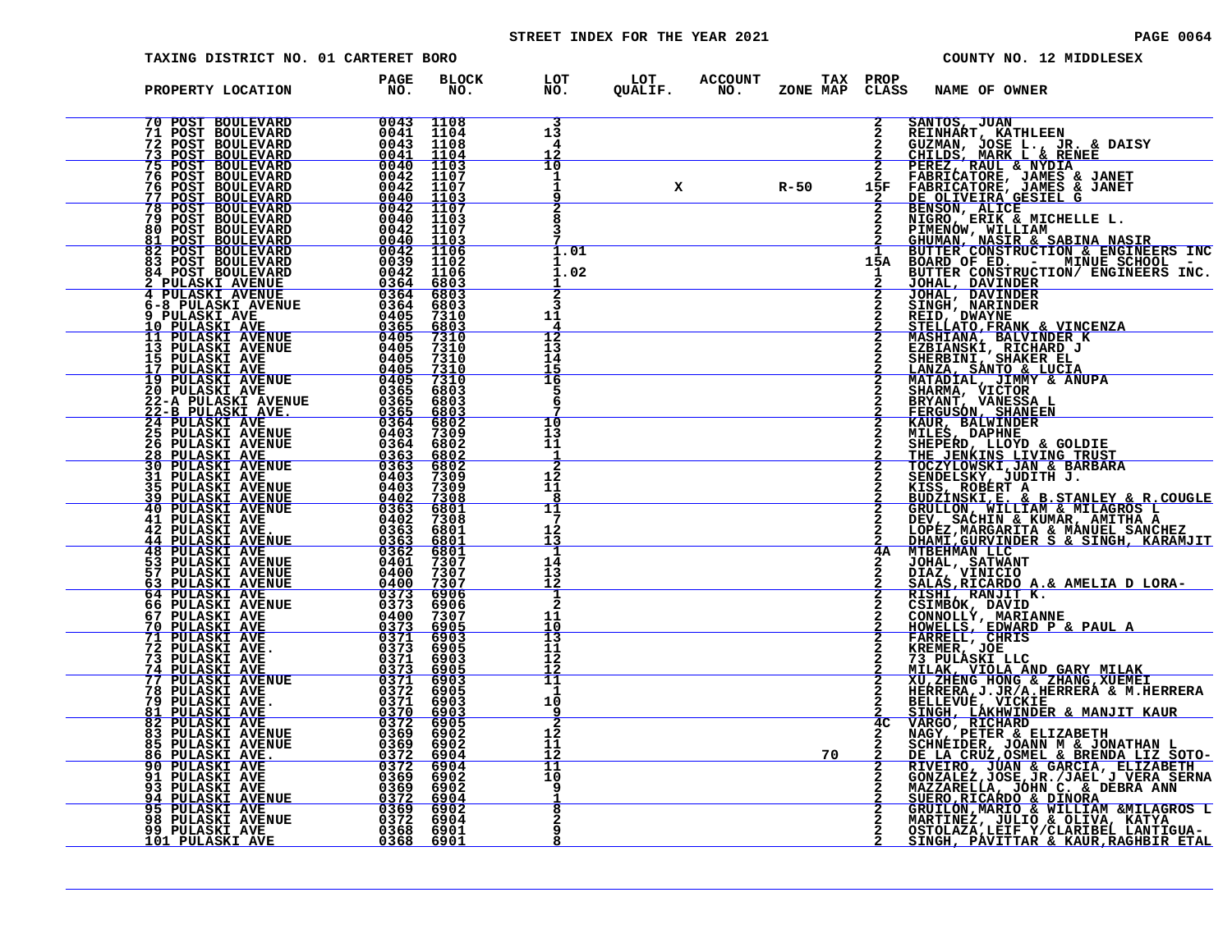# STREET INDEX FOR THE YEAR 2021 **PAGE 10064** PAGE 0064

| TAXING DISTRICT NO. 01 CARTERET BORO                                                                                                                                                                                                                                                                                                                                                                 |                        |                     |                                       |   |                            |                             |                    | COUNTY NO. 12 MIDDLESEX                                                                                                                                                                                                                                |
|------------------------------------------------------------------------------------------------------------------------------------------------------------------------------------------------------------------------------------------------------------------------------------------------------------------------------------------------------------------------------------------------------|------------------------|---------------------|---------------------------------------|---|----------------------------|-----------------------------|--------------------|--------------------------------------------------------------------------------------------------------------------------------------------------------------------------------------------------------------------------------------------------------|
| PROPERTY LOCATION                                                                                                                                                                                                                                                                                                                                                                                    | <b>PAGE</b><br>NO.     | <b>BLOCK</b><br>NO. | LOT<br>NO.                            |   | LOT ACCOUNT<br>QUALIF. NO. | <b>TAX PROP</b><br>ZONE MAP | CLASS              | <b>NAME OF OWNER</b>                                                                                                                                                                                                                                   |
|                                                                                                                                                                                                                                                                                                                                                                                                      |                        |                     | 13<br>4<br>12                         |   |                            |                             | $\mathbf{2}$       | SANTOS, JUAN<br>REINHART, KATHLEEN<br>GUZMAN, JOSE L., JR. & DAISY<br>CHILDS, MARK L & RENEE                                                                                                                                                           |
|                                                                                                                                                                                                                                                                                                                                                                                                      |                        |                     | 10<br>1<br>1<br>9                     | x |                            | R-50                        |                    |                                                                                                                                                                                                                                                        |
|                                                                                                                                                                                                                                                                                                                                                                                                      |                        |                     | 8<br>٦                                |   |                            |                             |                    | 2 CHILDS, MARK L & RENEE<br>2 FEREZ, RAUL & NYDIA<br>2 FABRICATORE, JAMES & JANET<br>15F FABRICATORE, JAMES & JANET<br>2 DE OLIVEIRA GESIEL G<br>2 BENSON, ALICE<br>2 HUGRO, ERIK & MICHELLE L.<br>2 HUGNOW, WILLIAM<br>2 GHUMAN, NASIR & SABI         |
| $\begin{tabular}{@{}c@{}}\n70 & POST & SOLUTION & 0043 & 1108\\ \n71 & POST & BOUTEVARD & 0041 & 1104\\ \n72 & POST & BOUTEVARD & 0043 & 1108\\ \n73 & POST & BOUTEVARD & 0043 & 1104\\ \n75 & POST & BOUTEVARD & 0042 & 1107\\ \n76 & POST & BOUTEVARD & 0042 & 1107\\ \n76 & POST & BOUTEVARD & 0042 & 1107\\ \n77 & POST & BOUTEVARD & 0042 & 1107\\ \n78 & POST & BOUTEVARD$                     |                        |                     | 1.01<br>1.02<br>$\overline{2}$        |   |                            |                             | 2                  | BUTTER CONSTRUCTION/ ENGINEERS INC.<br>JOHAL, DAVINDER                                                                                                                                                                                                 |
|                                                                                                                                                                                                                                                                                                                                                                                                      |                        |                     | 3<br>11<br>12                         |   |                            |                             | $\mathbf{2}$       | JOHAL, DAVINDER<br>SINGH, NARINDER<br>REID, DWAYNE                                                                                                                                                                                                     |
|                                                                                                                                                                                                                                                                                                                                                                                                      |                        |                     | 13<br>14<br>15<br>16                  |   |                            |                             |                    | STELLATO, FRANK & VINCENZA<br>MASHIANA, BALVINDER K<br>EZBIANSKI, RICHARD J<br>SHERBINI, SHAKER EL<br>LANZA, SANTO, & LUCIA                                                                                                                            |
| $\begin{tabular}{@{}c@{}}\textbf{6-8 PULASKT AVENUE} & \textbf{0.364} & \textbf{6803} \\ \textbf{6-8 PULASKT AVENUE} & \textbf{0.365} & \textbf{6803} \\ \textbf{10 PULASKT AVENUE} & \textbf{0.365} & \textbf{6803} \\ \textbf{11 PULASKT AVENUE} & \textbf{0.405} & \textbf{7310} \\ \textbf{13 PULASKT AVENUE} & \textbf{0.405} & \textbf{7310} \\ \textbf{15 PULASKT AVENUE} & \textbf{0.405} &$ |                        |                     | 5<br>6<br>10<br>13                    |   |                            |                             |                    | MATADIAL, JIMMY & ANUPA<br>SHARMA, VICTOR<br>BRYANT, VANESSA L<br>FERGUSON, SHANEEN<br>KAUR, BALWINDER                                                                                                                                                 |
|                                                                                                                                                                                                                                                                                                                                                                                                      |                        |                     | 11<br>-1<br>2<br>12                   |   |                            |                             | $\mathbf{2}$       | MILES, DAPHNE<br>SHEPERD, LLOYD & GOLDIE                                                                                                                                                                                                               |
|                                                                                                                                                                                                                                                                                                                                                                                                      |                        |                     | 11<br>8<br>11<br>7                    |   |                            |                             |                    | SHEPERD, LLOYD & GOLDIE<br>THE JENKINS LIVING TRUST<br>TOCZYLOWSKI,JAN & BARBARA<br>SENDELSKY, JUDITH J.<br>KISS, ROBERT A<br>EUDZINSKI,E. & B.STANLEY & R.COUGLE<br>GRULLON, WILLIAM & MILAGROS L<br>DEV, SACHIN & KUMAR, AMITHA A<br>LOPEZ,MARGARITA |
|                                                                                                                                                                                                                                                                                                                                                                                                      |                        |                     | 12<br>13<br>-1<br>14                  |   |                            |                             | 4A<br>$\mathbf{2}$ |                                                                                                                                                                                                                                                        |
|                                                                                                                                                                                                                                                                                                                                                                                                      |                        |                     | 13<br>12<br>$\frac{1}{2}$<br>11       |   |                            |                             | 2                  | JOHAL, SATWANT<br>DIAZ, VINICIO<br>SALAS,RICARDO A.& AMELIA D LORA-<br>RISHI, RANJIT K.<br>CSIMBOK, DAVID                                                                                                                                              |
| 72 PULASKI AVE.<br>73 PULASKI AVE                                                                                                                                                                                                                                                                                                                                                                    | 0373 6905<br>0371 6903 |                     | $\frac{10}{13}$<br>11<br>12           |   |                            |                             | 2                  | CONNOLLY, MARIANNE<br>HOWELLS, EDWARD P & PAUL A<br>FARRELL, CHRIS<br>KREMER, JOE<br>73 PULASKI LLC                                                                                                                                                    |
| <b>73 PULASKI AVE 81 6903<br/> 74 PULASKI AVE 81 6903<br/> 77 PULASKI AVENUE 81 6903<br/> 78 PULASKI AVE 81 6903<br/> 78 PULASKI AVE 8371 6903<br/> 81 PULASKI AVE 8370 6903<br/> 82 PULASKI AVE 8370 6903<br/> 83 PULASKI AVENUE 8369 6902<br/> 85 PULASKI AVEN</b>                                                                                                                                 |                        |                     | 12<br>11<br>1<br>10                   |   |                            |                             | 2                  | MILAK, VIOLA AND GARY MILAK<br>XU, ZHENG HONG & ZHANG, XUEMEI<br>HERRERA, J.JR/A.HERRERA & M.HERRERA<br>BELLEVUÉ, VICKIE<br>SINGH, LAKHWINDER & MANJIT KAUR                                                                                            |
|                                                                                                                                                                                                                                                                                                                                                                                                      |                        |                     | 9<br>$\overline{2}$<br>12<br>11<br>12 |   |                            | 70                          | 4 <sup>C</sup>     | SINGO, RICHARD<br>NARGO, RICHARD<br>NAGY, PETER & ELIZABETH<br>SCHNEIDER, JOANN M & JONATHAN L<br>DE LA CRUZ, OSMEL & BRENDA LIZ SOTO-<br>DE LA CRUZ, JOAN & GARCIA, FLIZABETH<br>GONZALEZ, JOSE, JR. /JAEL J VERA SERNA<br>MAZZARELLA, JOHN C. & D    |
|                                                                                                                                                                                                                                                                                                                                                                                                      |                        |                     | $\overline{1}1$<br>10<br>9            |   |                            |                             |                    |                                                                                                                                                                                                                                                        |
|                                                                                                                                                                                                                                                                                                                                                                                                      |                        |                     | 8<br>q<br>8                           |   |                            |                             |                    | GRUILON, MARIO & WILLIAM &MILAGROS L<br>MARTINEZ, JULIO & OLIVA, KATYA<br>OSTOLAZA, LEIF Y/CLARIBEL LANTIGUA-<br>SINGH, PAVITTAR & KAUR, RAGHBIR ETAL                                                                                                  |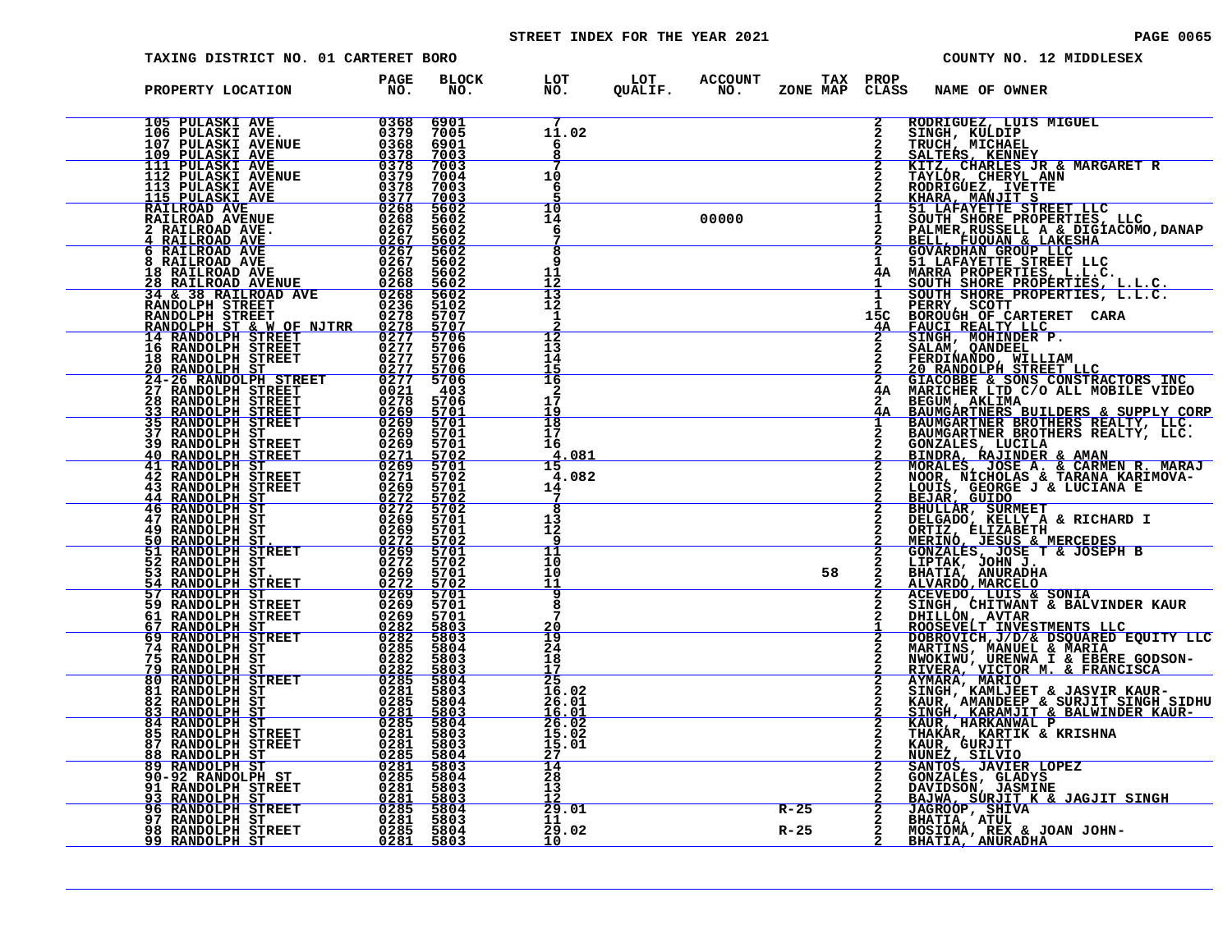# STREET INDEX FOR THE YEAR 2021 **PAGE 10065 PAGE 0065**

| PAGE OOG |  |  |
|----------|--|--|
|----------|--|--|

| TAXING DISTRICT NO. 01 CARTERET BORO                                                                                                                                                                                                                                                                                                                                        |                                                                     |                                                                               |                                                              |                                    |       |                            |               | COUNTY NO. 12 MIDDLESEX                                                                                                                                                                                                                        |
|-----------------------------------------------------------------------------------------------------------------------------------------------------------------------------------------------------------------------------------------------------------------------------------------------------------------------------------------------------------------------------|---------------------------------------------------------------------|-------------------------------------------------------------------------------|--------------------------------------------------------------|------------------------------------|-------|----------------------------|---------------|------------------------------------------------------------------------------------------------------------------------------------------------------------------------------------------------------------------------------------------------|
| PROPERTY LOCATION                                                                                                                                                                                                                                                                                                                                                           | PAGE<br>NO.                                                         | BLOCK<br>NO.                                                                  |                                                              | LOT LOT ACCOUNT<br>NO. QUALIF. NO. |       | TAX PROP<br>ZONE MAP CLASS |               | <b>NAME OF OWNER</b>                                                                                                                                                                                                                           |
|                                                                                                                                                                                                                                                                                                                                                                             |                                                                     | 69015<br>69003<br>70003<br>70003<br>70003<br>56002<br>56002<br>56002<br>56002 | 7<br>11.02<br>-6                                             |                                    |       |                            |               | CLASS NAME OF OWNER<br>2 RODRIGUEZ, LUIS MIGUEL<br>2 RODRIGUEZ, LUIS MIGUEL<br>2 RODRIGUEZ, MICHARLE NARGARET R<br>2 RALTERS KENNEY<br>2 TAYLÓR, CHEREL NAN<br>2 TAYLÓR, CHEREL NAN<br>2 TAYLÓR, CHERET EILC<br>1 SOUNG BRORE PROPERTIES TREET |
|                                                                                                                                                                                                                                                                                                                                                                             |                                                                     |                                                                               | 10<br>-6                                                     |                                    |       |                            |               |                                                                                                                                                                                                                                                |
|                                                                                                                                                                                                                                                                                                                                                                             |                                                                     | 5602<br>$\frac{5602}{5602}$                                                   | 10<br>14<br>-6<br>$\overline{\mathbf{8}}$                    |                                    | 00000 |                            |               |                                                                                                                                                                                                                                                |
|                                                                                                                                                                                                                                                                                                                                                                             |                                                                     | 5602<br>5602<br>5602<br>5702<br>5707                                          | 9<br>$\frac{11}{12}$<br>$\frac{12}{13}$                      |                                    |       |                            |               |                                                                                                                                                                                                                                                |
|                                                                                                                                                                                                                                                                                                                                                                             |                                                                     | $rac{5707}{5706}$                                                             | 1<br>$\frac{2}{12}$                                          |                                    |       |                            |               |                                                                                                                                                                                                                                                |
|                                                                                                                                                                                                                                                                                                                                                                             |                                                                     | 5706<br>5706<br>5706<br>$\frac{5706}{403}$                                    | 13<br>$\overline{1}\overline{4}$<br>15<br>16<br>$\mathbf{2}$ |                                    |       |                            |               |                                                                                                                                                                                                                                                |
|                                                                                                                                                                                                                                                                                                                                                                             |                                                                     | 5706<br>5701<br>5701<br>5701                                                  | 17<br>$\frac{\bar{1}\dot{9}}{18}$<br>17                      |                                    |       |                            |               |                                                                                                                                                                                                                                                |
|                                                                                                                                                                                                                                                                                                                                                                             |                                                                     | 5701<br>$\frac{5702}{5701}$<br>5702                                           | 16<br><u>4.081</u><br>15<br>4.082                            |                                    |       |                            |               |                                                                                                                                                                                                                                                |
|                                                                                                                                                                                                                                                                                                                                                                             |                                                                     | 5701<br>5702<br>5702<br>5701<br>5701                                          | 14<br>7<br>8<br>13<br>12                                     |                                    |       |                            |               |                                                                                                                                                                                                                                                |
|                                                                                                                                                                                                                                                                                                                                                                             | $\begin{array}{r} 0269 \\ 0272 \\ 0269 \\ 0269 \\ 0272 \end{array}$ |                                                                               | 9<br>11<br>10<br>10                                          |                                    |       | 58                         |               |                                                                                                                                                                                                                                                |
|                                                                                                                                                                                                                                                                                                                                                                             |                                                                     |                                                                               | 11<br>8                                                      |                                    |       |                            |               |                                                                                                                                                                                                                                                |
|                                                                                                                                                                                                                                                                                                                                                                             |                                                                     |                                                                               | $\frac{20}{19}$<br>24<br>18                                  |                                    |       |                            |               |                                                                                                                                                                                                                                                |
|                                                                                                                                                                                                                                                                                                                                                                             |                                                                     |                                                                               | $\frac{17}{25}$<br>16.02<br>$26.01$<br>$16.01$               |                                    |       |                            |               |                                                                                                                                                                                                                                                |
| $\begin{tabular}{@{}c@{}}\textbf{247 RANDOLPH ST} & 0269 & 57011\\ \textbf{50 RANDOLPH ST} & 0269 & 57012\\ \textbf{50 RANDOLPH STRSET} & 0272 & 57002\\ \textbf{51 RANDOLPH STRSET} & 0269 & 57012\\ \textbf{52 RANDOLPH STRSET} & 0269 & 57012\\ \textbf{53 RANDOLPH STRSET} & 0269 & 57002\\ \textbf{54 RANDOLPH STRSET} & 0269 & 57011\\ \textbf{57 RANDOLPH STRSET} &$ |                                                                     |                                                                               | 26.02<br>15.02<br>15.01<br>$\frac{27}{14}$                   |                                    |       |                            |               | ACEVEDO, LUIS & SONIA<br>SINGH, CHITMANT & BALVINDER KAUR<br>DHILLÓN, AVTAR<br>ROOSEVELT INVESTMENTS LLC<br>DOBROVICH, J/D/& DSQUARED EQUITY LLC<br>DOBROVICH, J/D/& DSQUARED EQUITY LLC<br>MARTINS, MANUEL & MARIA<br>NWORTMU, URENMA I & E   |
|                                                                                                                                                                                                                                                                                                                                                                             |                                                                     |                                                                               | 28<br>13<br>29.01                                            |                                    |       | $R - 25$                   |               |                                                                                                                                                                                                                                                |
|                                                                                                                                                                                                                                                                                                                                                                             |                                                                     |                                                                               | 11<br>29.02<br>10                                            |                                    |       | $R - 25$                   | $\frac{2}{2}$ | MOSIOMA, REX & JOAN JOHN-<br>BHATIA, ANURADHA                                                                                                                                                                                                  |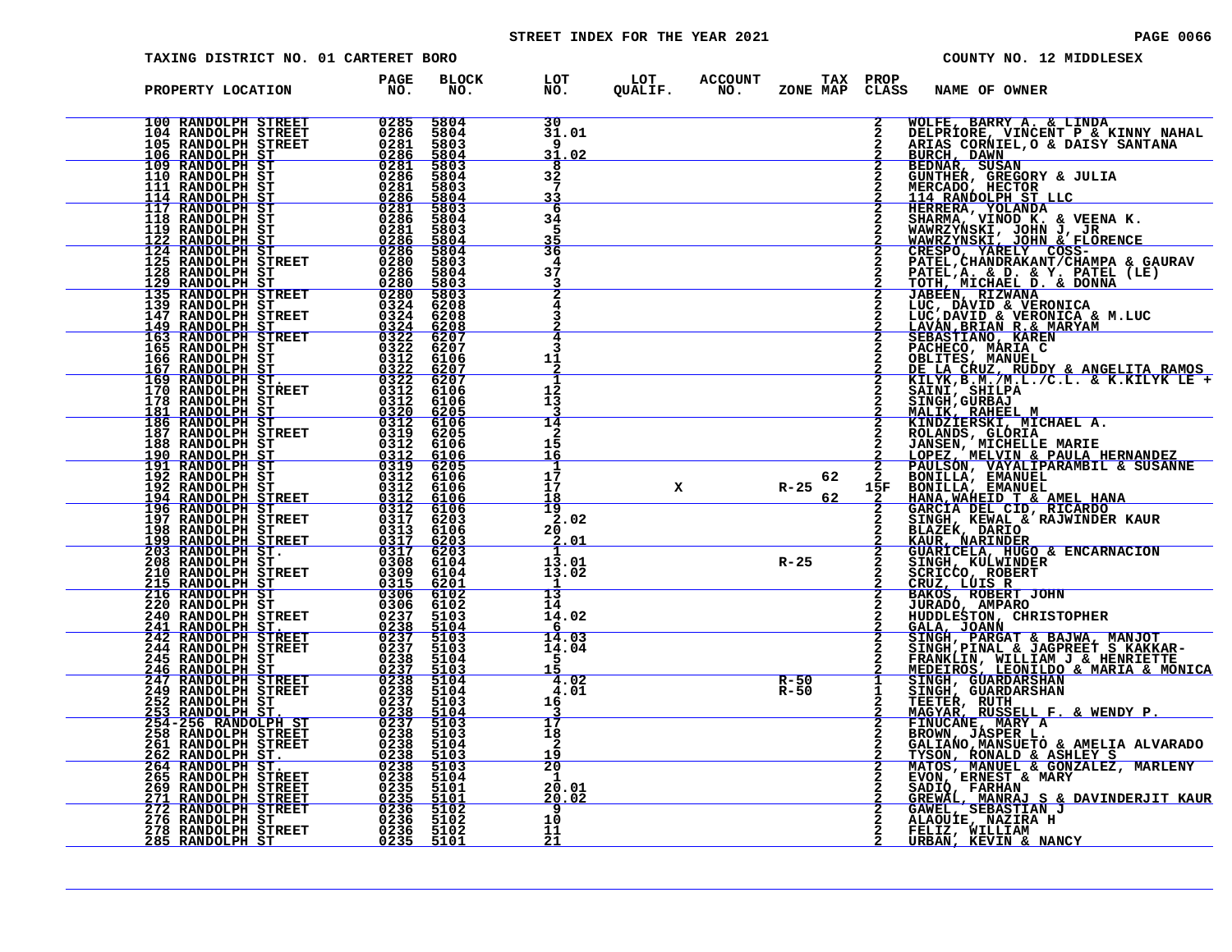# STREET INDEX FOR THE YEAR 2021 **PAGE 10066** PAGE 0066

| TAXING DISTRICT NO. 01 CARTERET BORO                                                                                                                                                                                                                                                                                                                                                                                              |                                                                                                                                                           |                                             |                                     |                  |                                                           |                                | COUNTY NO. 12 MIDDLESEX                                                                                                                                                                                                                                   |
|-----------------------------------------------------------------------------------------------------------------------------------------------------------------------------------------------------------------------------------------------------------------------------------------------------------------------------------------------------------------------------------------------------------------------------------|-----------------------------------------------------------------------------------------------------------------------------------------------------------|---------------------------------------------|-------------------------------------|------------------|-----------------------------------------------------------|--------------------------------|-----------------------------------------------------------------------------------------------------------------------------------------------------------------------------------------------------------------------------------------------------------|
| PROPERTY LOCATION                                                                                                                                                                                                                                                                                                                                                                                                                 | <b>PAGE</b><br>NO.                                                                                                                                        | <b>BLOCK</b><br>NO.                         |                                     |                  | LOT LOT ACCOUNT TAX PROP<br>NO. QUALIF. NO. ZONE_MAPCLAS: | CLASS                          | NAME OF OWNER                                                                                                                                                                                                                                             |
| 100 RANDOLPH STREET                                                                                                                                                                                                                                                                                                                                                                                                               | $\begin{array}{r} 0.285 \\ 0.286 \\ 0.281 \\ 0.286 \\ 0.286 \\ 0.286 \\ 0.286 \\ 0.286 \\ 0.286 \\ 0.286 \\ 0.286 \\ 0.288 \\ 0.284 \\ 0.284 \end{array}$ | 5804<br>5804<br>5803<br>5804                | 30<br>31.01<br>9<br>31<br>.02       |                  |                                                           | $\frac{2}{2}$<br>$\frac{2}{2}$ | WOLFE, BARRY A. & LINDA<br>DELPRIORE, VINCENT P & KINNY NAHAL<br>ARIAS CORNIEL, O & DAISY SANTANA<br>BURCH, DAWN                                                                                                                                          |
|                                                                                                                                                                                                                                                                                                                                                                                                                                   |                                                                                                                                                           | 5803<br>5804<br>5803<br>5804                | 8<br>32<br>7                        |                  |                                                           |                                | BEDNAR, SUSAN<br>GUNTHER, GREGORY & JULIA<br>MERCADO, HECTOR                                                                                                                                                                                              |
| $\begin{tabular}{c c c} 100 RANDOM & \texttt{SIREET} & 0285 \\ 104 RANDOM & \texttt{RANDOLPH} \texttt{ STERET} & 0286 \\ 105 RANDOM & \texttt{SRNDOLPH} \texttt{ STERET} & 02861 \\ \hline 106 RANDOM & \texttt{RANDOLPH} \texttt{ S}\texttt{T} & 02281 \\ 109 RANDOM & \texttt{RANDOLPH} \texttt{ S}\texttt{T} & 022861 \\ 110 RANDOM & \texttt{RANDOLPH} \texttt{ S}\texttt{T} & 022861 \\ 111 RANDOM & \texttt{STRT} & 022861$ |                                                                                                                                                           | 5803<br>5804<br>5803<br>$\frac{5804}{5804}$ | 6<br>34<br>5<br>$\frac{35}{36}$     |                  |                                                           | $\overline{a}$<br>$\bar{2}$    |                                                                                                                                                                                                                                                           |
|                                                                                                                                                                                                                                                                                                                                                                                                                                   |                                                                                                                                                           | 5803                                        | 37<br>2                             |                  |                                                           | 2                              |                                                                                                                                                                                                                                                           |
|                                                                                                                                                                                                                                                                                                                                                                                                                                   |                                                                                                                                                           |                                             | 4                                   |                  |                                                           |                                | MERCADO, HECTOR<br>HERRERA, VINOD K. & VEENA K.<br>HERRERA, YOLANDA<br>HERRERA, YOLANDA<br>HARRERA, YOLANDA & VEENA K.<br>WAWRZYNSKI, JOHN J, JR<br>WAWRZYNSKI, JOHN J, JR<br>WAWRZYNSKI, GD. & Y. PATEL (LE)<br>PATEL, CHANDRAKANT/CHAMPA & G            |
|                                                                                                                                                                                                                                                                                                                                                                                                                                   |                                                                                                                                                           |                                             | 11                                  |                  |                                                           | $\overline{a}$<br>$\mathbf{2}$ |                                                                                                                                                                                                                                                           |
|                                                                                                                                                                                                                                                                                                                                                                                                                                   |                                                                                                                                                           |                                             | 12<br>13<br>14                      |                  |                                                           |                                | KLLYK, B.M./M.L./C.L. & K.KILYK LE<br>SAINI, SHILPA<br>SINGH, GURBAJ<br>MALIK, RAHEEL M<br>KINDZIERSKI, MICHAEL A.<br>ROLANDS, GLÓRIA<br>JANSEN, MICHELLE MARIE<br>LOPEZ, MELVIN & PAULA HERNANDEZ<br>PAULSON, VAYALIPARAMBIL & SUSANNE<br>BONILLA, EMANU |
|                                                                                                                                                                                                                                                                                                                                                                                                                                   |                                                                                                                                                           |                                             | 2<br>15<br><u> 16</u><br>1<br>17    |                  | 62                                                        |                                |                                                                                                                                                                                                                                                           |
|                                                                                                                                                                                                                                                                                                                                                                                                                                   |                                                                                                                                                           |                                             | 17<br>18<br>$\frac{19}{2.02}$       | $X$ R-25         | 62                                                        | 15F                            |                                                                                                                                                                                                                                                           |
|                                                                                                                                                                                                                                                                                                                                                                                                                                   |                                                                                                                                                           |                                             | 20<br>2.01<br>$\mathbf{1}$<br>13.01 |                  | $R-25$                                                    | 2<br>$\bar{2}$                 | BONILLA, EMANUEL<br>HANA, MAHEID T & AMEL HANA<br>HANA, MAHEID T & AMEL HANA<br>GARCIA DEL CID, RICARDO<br>SINGH, KEWAL & RAJWINDER KAUR<br>BLAZEK, DARIO & ENCARNACION<br>SINGH, MARINDER<br>GUARICELA, HUGO & ENCARNACION<br>SINGH, MALINDER            |
|                                                                                                                                                                                                                                                                                                                                                                                                                                   |                                                                                                                                                           |                                             | 13.02<br>13<br>14                   |                  |                                                           | $\frac{2}{2}$                  |                                                                                                                                                                                                                                                           |
|                                                                                                                                                                                                                                                                                                                                                                                                                                   |                                                                                                                                                           |                                             | 14.02<br>$\frac{6}{14.03}$<br>14.04 |                  |                                                           | $\frac{2}{2}$                  |                                                                                                                                                                                                                                                           |
|                                                                                                                                                                                                                                                                                                                                                                                                                                   |                                                                                                                                                           |                                             | -5<br>15<br>4.02<br>4.01<br>16      | $R-50$<br>$R-50$ |                                                           | $\frac{1}{1}$                  | SINGH, PARGAT & BAJWA, MANJOT<br>SINGH, PINAL & JAGPREET S KAKKAR-<br>FRANKLIN, WILLIAM J & HENRIETTE<br>MEDEIROS, LEONILDO & MARIA & MONICA<br>SINGH, GUARDARSHAN<br>SINGH, GUARDARSHAN<br>TERTED QUIRDARSHAN                                            |
| $\begin{tabular}{@{}c c@{}}\hline 122 & RANDOLPH SET & 0226 & 5804 & 5804 & 5804 & 5804 & 5804 & 5804 & 5804 & 5804 & 5804 & 5804 & 5804 & 5804 & 5804 & 5804 & 5804 & 5804 & 5804 & 5804 & 5804 & 5804 & 5804 & 5804 & 5804 & 5804 & 5804 & 5804 & 5804 & 5804 & 5804 & 5804 & 5804 &$                                                                                                                                           |                                                                                                                                                           |                                             | 17<br>18<br>2                       |                  |                                                           | $\frac{2}{2}$                  | TEETER, RUTH<br>MAGYAR, RUSSELL F. & WENDY P.<br>FINUCANE, MARY A                                                                                                                                                                                         |
|                                                                                                                                                                                                                                                                                                                                                                                                                                   |                                                                                                                                                           |                                             | $rac{19}{20}$<br>-1<br>20.01        |                  |                                                           | $\frac{2}{2}$<br>$\frac{2}{2}$ | FINUCANE, MARY<br>HANDON, ROBER L.<br>GALIANO, MANSUETO & AMELIA ALVARADO<br>TYSON, RONALD & ASHLEY S<br>MATOS, MANUEL & GONZALEZ, MARLENY<br>EVON, ERNEST & MARY<br>SADIQ, FARHAN<br>GREWAL, MANRAJ S & DAVINDERJIT KAUR<br>GREWAL, MANRAJ S             |
|                                                                                                                                                                                                                                                                                                                                                                                                                                   |                                                                                                                                                           |                                             | <u>20.02</u><br>-9<br>10<br>11      |                  |                                                           |                                | FELIZ, WILLIAM                                                                                                                                                                                                                                            |
|                                                                                                                                                                                                                                                                                                                                                                                                                                   |                                                                                                                                                           |                                             | 21                                  |                  |                                                           |                                | URBAN, KEVIN & NANCY                                                                                                                                                                                                                                      |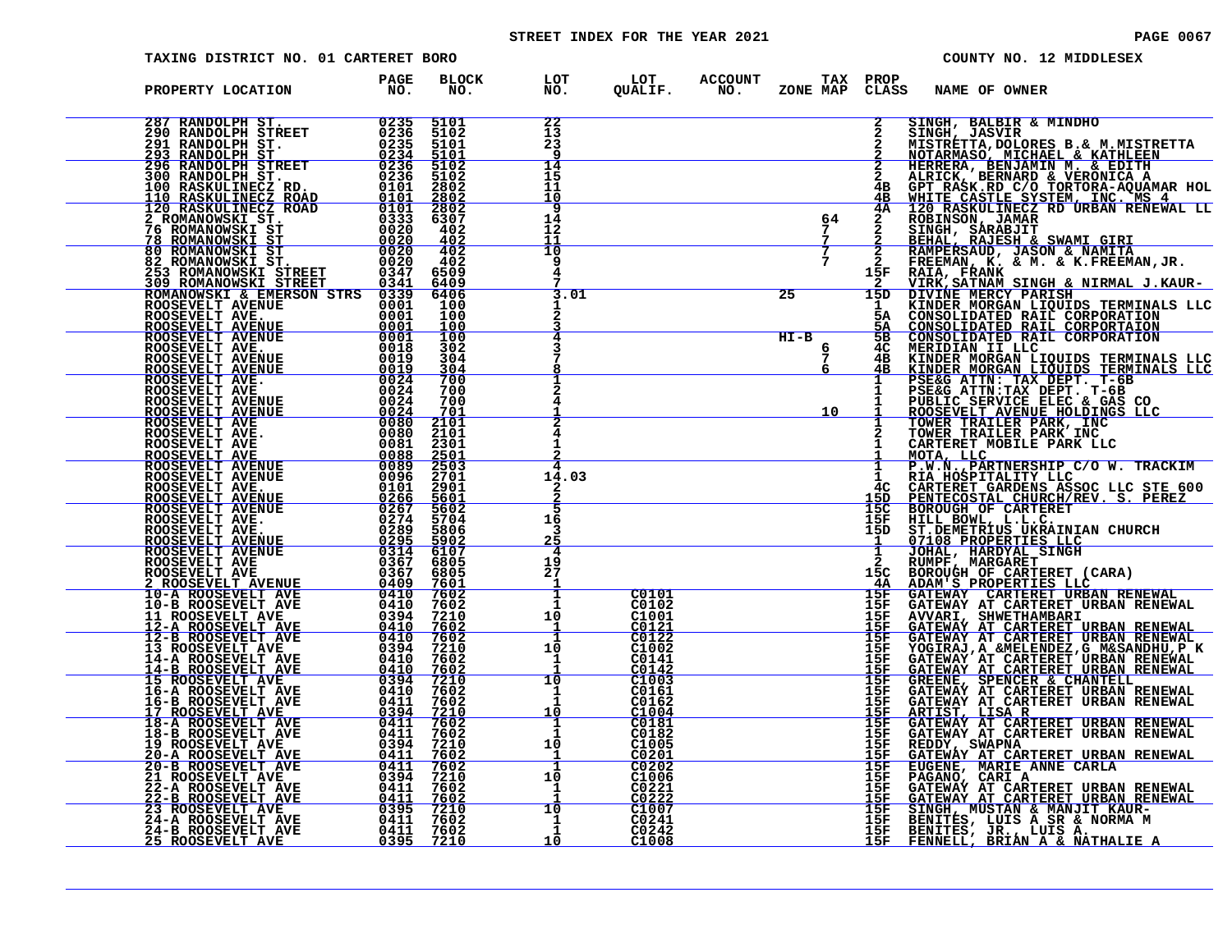# STREET INDEX FOR THE YEAR 2021 **PAGE 10067** PAGE 0067

| TAXING DISTRICT NO. 01 CARTERET BORO                                                                                                                                                                                                                                                                                                                                                                    |              |                                                                                                                                                                                                                                                                                                                                           |                                                                     |                |                                   | COUNTY NO. 12 MIDDLESEX                                                                                                                                                                                                                                              |
|---------------------------------------------------------------------------------------------------------------------------------------------------------------------------------------------------------------------------------------------------------------------------------------------------------------------------------------------------------------------------------------------------------|--------------|-------------------------------------------------------------------------------------------------------------------------------------------------------------------------------------------------------------------------------------------------------------------------------------------------------------------------------------------|---------------------------------------------------------------------|----------------|-----------------------------------|----------------------------------------------------------------------------------------------------------------------------------------------------------------------------------------------------------------------------------------------------------------------|
| PROPERTY LOCATION PAGE NO.                                                                                                                                                                                                                                                                                                                                                                              | BLOCK<br>NO. | LOT         LOT       ACCOUNT          TAX   PROP<br>NO.        QUALIF.       NO.      ZONE MAP   CLAS:                                                                                                                                                                                                                                   |                                                                     |                |                                   | CLASS NAME OF OWNER                                                                                                                                                                                                                                                  |
| $\begin{tabular}{@{}c c c c} \textbf{FROPERTY LOCATION} & \textbf{PAGC} & \textbf{BLO01} & \textbf{PAGC} & \textbf{BLO1} & \textbf{NAG} & \textbf{BLO1} \\ \hline 287 & \textbf{RANDOLPH} & \textbf{STREPT} & 0235 & \textbf{5101} \\ \hline 230 & \textbf{RANDOLPH} & \textbf{STREPT} & 0235 & \textbf{5101} \\ \hline 231 & \textbf{RANDOLPH} & \textbf{STREPT} & 0235 & \textbf{5101} \\ \hline 232$ |              | $\frac{22}{13}$<br>$23$                                                                                                                                                                                                                                                                                                                   |                                                                     |                |                                   | SINGH, BALBIR & MINDHO<br>2 SINGH, BALBIR & MINDHO<br>2 SINGH, JASVIR & MINDHO<br>2 SINGH, JASVIR B. & M.MISTRETTA<br>2 MISTRETRA, DOLORES B. & M.MISTRETTA<br>2 ALRICK, BERNARD & VERONICA<br>2 ALRICK, BERNARD & VERONICA<br>4 G GFT RASK.RD C/O TORTORA-AQUAMR HO |
|                                                                                                                                                                                                                                                                                                                                                                                                         |              | $\frac{14}{15}$<br>11<br>10                                                                                                                                                                                                                                                                                                               |                                                                     |                |                                   |                                                                                                                                                                                                                                                                      |
|                                                                                                                                                                                                                                                                                                                                                                                                         |              | 14<br>12<br>11                                                                                                                                                                                                                                                                                                                            |                                                                     | $\frac{64}{7}$ |                                   |                                                                                                                                                                                                                                                                      |
|                                                                                                                                                                                                                                                                                                                                                                                                         |              | $\overline{10}$<br>9<br>4                                                                                                                                                                                                                                                                                                                 |                                                                     | $\frac{1}{7}$  |                                   |                                                                                                                                                                                                                                                                      |
|                                                                                                                                                                                                                                                                                                                                                                                                         |              | 3.01                                                                                                                                                                                                                                                                                                                                      |                                                                     | 25             |                                   |                                                                                                                                                                                                                                                                      |
|                                                                                                                                                                                                                                                                                                                                                                                                         |              |                                                                                                                                                                                                                                                                                                                                           |                                                                     | $HT-B$<br>6    |                                   |                                                                                                                                                                                                                                                                      |
|                                                                                                                                                                                                                                                                                                                                                                                                         |              |                                                                                                                                                                                                                                                                                                                                           |                                                                     |                |                                   |                                                                                                                                                                                                                                                                      |
|                                                                                                                                                                                                                                                                                                                                                                                                         |              |                                                                                                                                                                                                                                                                                                                                           |                                                                     | 10             |                                   |                                                                                                                                                                                                                                                                      |
|                                                                                                                                                                                                                                                                                                                                                                                                         |              | 14.03                                                                                                                                                                                                                                                                                                                                     |                                                                     |                | $\mathbf{1}$<br>4C                | MOTA, LLC<br>P.W.N., PARTNERSHIP C/O W. TRACKIM<br>RIA HOSPITALITY LLC<br>CARTERET GARDENS ASSOC LLC STE 600<br>PENTECOSTAL CHURCH/REV. S. PEREZ                                                                                                                     |
|                                                                                                                                                                                                                                                                                                                                                                                                         |              | 16<br>3                                                                                                                                                                                                                                                                                                                                   |                                                                     |                | 15D<br>15C<br>15F<br>15D          | <b>BOROUGH OF CARTERET<br/>HILL BOWL, L.L.C.<br/>ST.DEMETRIUS UKRAINIAN CHURCH</b>                                                                                                                                                                                   |
|                                                                                                                                                                                                                                                                                                                                                                                                         |              | 4<br>$\frac{19}{27}$                                                                                                                                                                                                                                                                                                                      |                                                                     |                | $\mathbf{1}$<br>15C               | 37108 PROPERTIES LLC<br>JOHAL, HARDYAL SINGH<br>RUMPF, MARGARET<br>BOROUGH OF CARTERET (CARA)<br>ADAM'S PROPERTIES LLC                                                                                                                                               |
|                                                                                                                                                                                                                                                                                                                                                                                                         |              | 1<br>$\mathbf{I}$<br>$\mathbf{1}$<br>10                                                                                                                                                                                                                                                                                                   | $\frac{C0101}{C0102}$<br>C1001                                      |                | 4A<br>15F<br>15F<br>15F           | <b>GATEWAY CARTERET URBAN RENEWAL<br/>GATEWAY AT CARTERET URBAN RENEWAL<br/>AVVARI, SHWETHAMBARI<br/>GATEWAY AT CARTERET URBAN RENEWAL<br/>GATEWAY AT CARTERET URBAN RENEWAL</b>                                                                                     |
|                                                                                                                                                                                                                                                                                                                                                                                                         |              | -1<br>$\overline{1}$<br>10<br>1                                                                                                                                                                                                                                                                                                           | $\frac{\frac{80121}{60122}}{0.0122}$<br>C1002<br>$\overline{C0141}$ |                | $rac{15F}{15F}$<br>15F<br>15F     |                                                                                                                                                                                                                                                                      |
|                                                                                                                                                                                                                                                                                                                                                                                                         |              | 10<br>$\ddot{1}$<br>$\mathbf{1}$                                                                                                                                                                                                                                                                                                          | $C_{1003}$<br>C0161<br>C0162                                        |                | <u> 15F </u><br>15F<br>15F<br>15F | GATEWAY AT CARTERET URBAN RENEWALL TOGIRAJ, A &MELENDEZ, G M& SANDHU, P K<br>GATEWAY AT CARTERET URBAN RENEWALL<br>GATEWAY AT CARTERET URBAN RENEWALL<br>GREENEY, SPENCER & CHANTELL<br>GATEWAY AT CARTERET URBAN RENEWALL<br>GATEWAY AT CART                        |
|                                                                                                                                                                                                                                                                                                                                                                                                         |              | 10<br>1<br>$\mathbf{1}$<br>10                                                                                                                                                                                                                                                                                                             | C1004<br>C0181<br>C0182<br>C1005                                    |                | 15F<br>15F<br>15F<br>15F          | GATEWAY AT CARTERET URBAN RENEWAL<br>GATEWAY AT CARTERET URBAN RENEWAL<br>REDDY, SWAPNA                                                                                                                                                                              |
|                                                                                                                                                                                                                                                                                                                                                                                                         |              | $\mathbf{\overline{1}}$<br>1<br>10<br>$\mathbf{1}$                                                                                                                                                                                                                                                                                        | $\frac{0.0201}{0.0202}$<br>C1006                                    |                | <u> 15F</u><br>15F<br>15F<br>15F  | GATEWAY AT CARTERET URBAN RENEWAL EUGENE, MARIE ANNE CARLA<br>PAGANO, CARI A CARTERET URBAN RENEWAL<br>GATEWAY AT CARTERET URBAN RENEWAL<br><u>GATEWAY AT CARTERET URBAN RENEWAL</u>                                                                                 |
|                                                                                                                                                                                                                                                                                                                                                                                                         |              | $\begin{array}{c} \begin{matrix} \textcolor{red}{\textbf{10}} \ \textcolor{red}{\textbf{1}} \ \textcolor{red}{\textbf{1}} \ \textcolor{red}{\textbf{1}} \ \textcolor{red}{\textbf{1}} \ \textcolor{red}{\textbf{1}} \ \textcolor{red}{\textbf{1}} \ \textcolor{red}{\textbf{1}} \ \textcolor{red}{\textbf{1}} \ \end{matrix} \end{array}$ | C0221<br>C0222<br>$C1007$<br>$C0241$<br>C0242                       |                | <u> 15F </u><br>15F<br>15F<br>15F | SINGH, MUSTAN & MANJIT KAUR-<br>BENITES, LUIS A SR & NORMA M                                                                                                                                                                                                         |
|                                                                                                                                                                                                                                                                                                                                                                                                         |              |                                                                                                                                                                                                                                                                                                                                           | C <sub>1008</sub>                                                   |                | 15F                               | BENITES, JR., LUIS A.<br>FENNELL, BRIAN A & NATHALIE A                                                                                                                                                                                                               |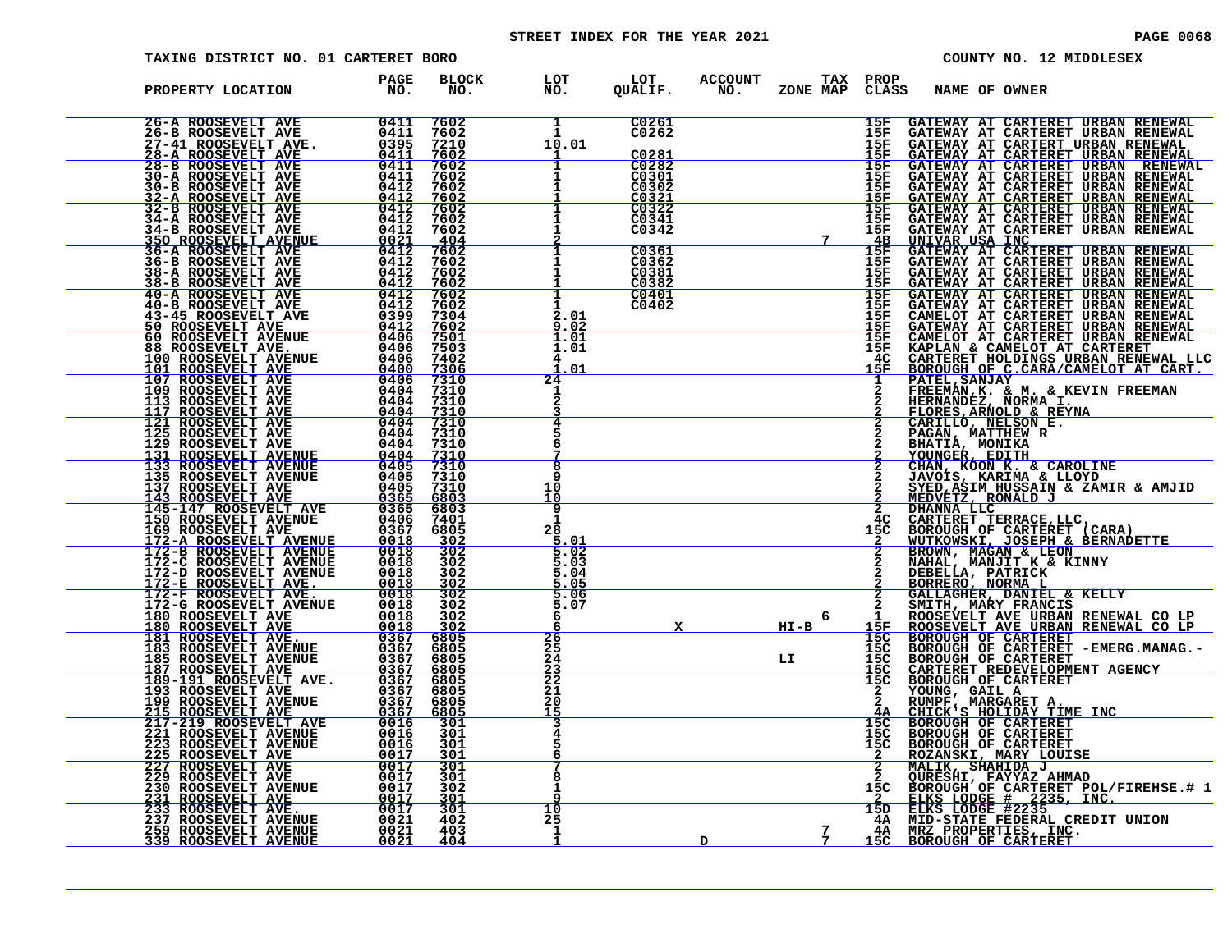# STREET INDEX FOR THE YEAR 2021 **PAGE 10068** PAGE 0068

|  |  | РA |
|--|--|----|
|  |  |    |

| TAXING DISTRICT NO. 01 CARTERET BORO |                    |                     |                                    |                                                             |                       |                            |                                    |               | COUNTY NO. 12 MIDDLESEX                                                                                                                                                                                                                        |
|--------------------------------------|--------------------|---------------------|------------------------------------|-------------------------------------------------------------|-----------------------|----------------------------|------------------------------------|---------------|------------------------------------------------------------------------------------------------------------------------------------------------------------------------------------------------------------------------------------------------|
| PROPERTY LOCATION                    | <b>PAGE</b><br>NO. | <b>BLOCK</b><br>NO. | LOT<br>NO.                         | LOT<br>QUALIF.                                              | <b>ACCOUNT</b><br>NO. | TAX PROP<br>ZONE MAP CLASS |                                    | NAME OF OWNER |                                                                                                                                                                                                                                                |
| 26-A ROOSEVELT AVE                   | 0411               | 7602                | $\mathbf{1}$<br>10.01              | C0261<br>C0262<br>C0281                                     |                       |                            | 15F                                |               | GATEWAY AT CARTERET URBAN RENEWAL                                                                                                                                                                                                              |
|                                      |                    |                     |                                    | C0282<br>C0301<br>C0302                                     |                       |                            |                                    |               |                                                                                                                                                                                                                                                |
|                                      |                    |                     |                                    | $rac{\overline{c}0321}{\overline{c}0322}$<br>C0341<br>C0342 |                       | 7 <sup>7</sup>             |                                    |               | 15F GATEWAY AT CARTERET URBAN RENEWAL<br>15F GATEWAY AT CARTERET URBAN RENEWAL<br>15F GATEWAY AT CARTERT URBAN RENEWAL<br>15F GATEWAY AT CARTERET URBAN RENEWAL<br>15F GATEWAY AT CARTERET URBAN RENEWAL<br>15F GATEWAY AT CARTERET URBAN REN  |
|                                      |                    |                     |                                    | $C0361$<br>$C0362$<br>C0381<br>C0382                        |                       |                            |                                    |               |                                                                                                                                                                                                                                                |
|                                      |                    |                     | $\overline{1}$<br>2.01<br>9.02     | C0401<br>C0402                                              |                       |                            |                                    |               | 15F GATEWAY AT CARTERET URBAN RENEWAL<br>15F GATEWAY AT CARTERET URBAN RENEWAL<br>15F GATEWAY AT CARTERET URBAN RENEWAL<br>15F GATEWAY AT CARTERET URBAN RENEWAL<br>15F GATEWAY AT CARTERET URBAN RENEWAL<br>15F GATEWAY AT CARTERET URBAN RE  |
|                                      |                    |                     | 1.01<br>1.01<br>01                 |                                                             |                       |                            |                                    |               |                                                                                                                                                                                                                                                |
|                                      |                    |                     | 24                                 |                                                             |                       |                            |                                    |               |                                                                                                                                                                                                                                                |
|                                      |                    |                     | $\overline{\mathbf{g}}$            |                                                             |                       |                            |                                    |               |                                                                                                                                                                                                                                                |
|                                      |                    |                     | Q<br>10<br>10                      |                                                             |                       |                            |                                    |               |                                                                                                                                                                                                                                                |
|                                      |                    |                     | 9<br>28<br>$\frac{5.01}{5.02}$     |                                                             |                       |                            | 15C                                |               |                                                                                                                                                                                                                                                |
|                                      |                    |                     | 5.03<br>5.04<br><u> 5.05</u>       |                                                             |                       |                            |                                    |               |                                                                                                                                                                                                                                                |
|                                      |                    |                     | $\frac{5.06}{5.07}$<br>6<br>26     |                                                             |                       | 6<br>$HT-B$                | 15F<br>15C                         |               |                                                                                                                                                                                                                                                |
|                                      |                    |                     | $\frac{25}{24}$<br>$\frac{23}{22}$ |                                                             |                       | LI                         | $\frac{15}{15}$<br>$\frac{15}{15}$ |               |                                                                                                                                                                                                                                                |
|                                      |                    |                     | 20<br>15                           |                                                             |                       |                            | 4A<br>15C                          |               |                                                                                                                                                                                                                                                |
|                                      |                    |                     |                                    |                                                             |                       |                            | 15Č<br>15C                         |               | CHANT KOON IS ARRIED (CHANGE AROLLINE<br>JAVOIS, KARIMA & LLOYD<br>MEDVETZ, RONALD J<br>MEDVETZ, RONALD J<br>MEDVETZ, RONALD J<br>CARTERET TERRACE, LLC.<br>CORCUGH OF CARTERET (CARA)<br>WUTKOWSKI, JOSEPH & BERNADETTE<br>BROWN, MAGAN & LEO |
|                                      |                    |                     | 8<br>10                            |                                                             |                       |                            | 15C<br>15D                         |               |                                                                                                                                                                                                                                                |
|                                      |                    |                     | 25<br>1                            |                                                             | D                     |                            | 4A<br>4Α<br><u> 15C </u>           |               |                                                                                                                                                                                                                                                |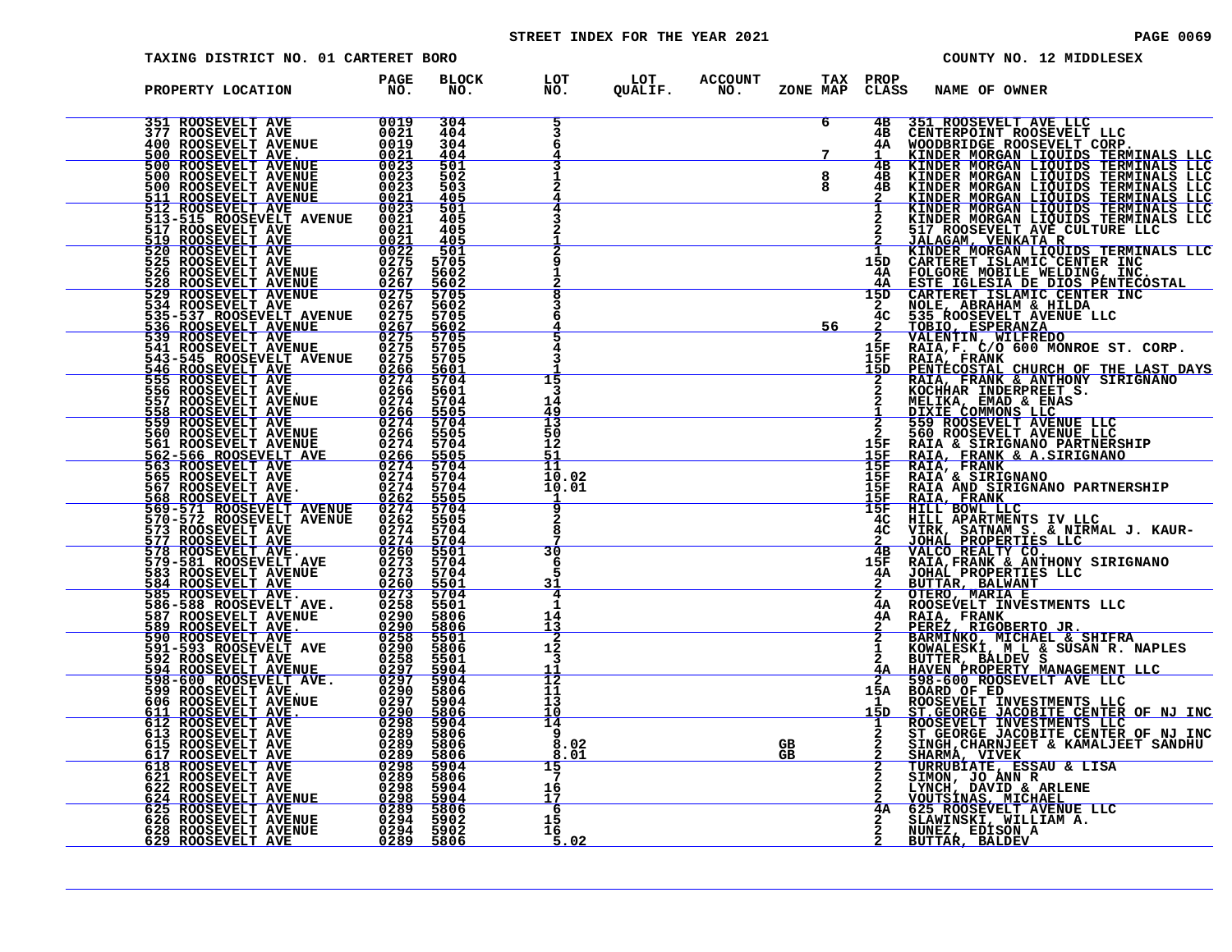# STREET INDEX FOR THE YEAR 2021 **PAGE 10069** PAGE 0069

| TAXING DISTRICT NO. 01 CARTERET BORO                                                                                                                                                                                                                            |                                                                                                                                                                                                                                                    |                                             |                                |                |                       |               |                                         | COUNTY NO. 12 MIDDLESEX                                                                                                                                                                                                                           |
|-----------------------------------------------------------------------------------------------------------------------------------------------------------------------------------------------------------------------------------------------------------------|----------------------------------------------------------------------------------------------------------------------------------------------------------------------------------------------------------------------------------------------------|---------------------------------------------|--------------------------------|----------------|-----------------------|---------------|-----------------------------------------|---------------------------------------------------------------------------------------------------------------------------------------------------------------------------------------------------------------------------------------------------|
| PROPERTY LOCATION                                                                                                                                                                                                                                               | PAGE<br>NO.                                                                                                                                                                                                                                        | <b>BLOCK</b><br>NO.                         | LOT<br>NO.                     | LOT<br>QUALIF. | <b>ACCOUNT</b><br>NO. | ZONE MAP      | TAX PROP<br>CLASS                       | NAME OF OWNER                                                                                                                                                                                                                                     |
| 351 ROOSEVELT AVE<br>377 ROOSEVELT AVE                                                                                                                                                                                                                          | 0019<br>0021<br>0019                                                                                                                                                                                                                               | 304<br>404<br>304<br>404                    | 5                              |                |                       | 6             | 4в<br>4B<br>4A                          | 351 ROOSEVELT AVE LLC<br>CENTERPOINT ROOSEVELT LLC                                                                                                                                                                                                |
| 377 ROOSEVELT AVE<br>400 ROOSEVELT AVENUE<br>500 ROOSEVELT AVENUE<br>500 ROOSEVELT AVENUE<br>500 ROOSEVELT AVENUE<br>500 ROOSEVELT AVENUE<br>511 ROOSEVELT AVENUE<br>512 ROOSEVELT AVE<br>513-515 ROOSEVELT AVENUE<br>517 ROOSEVELT AVE<br>519 ROO              | $\frac{0021}{0023}$<br>$\frac{0023}{0021}$                                                                                                                                                                                                         | 501<br>502<br>503<br>405<br>501             |                                |                |                       | $\frac{8}{8}$ | 4B<br>4B<br>4B                          | CENTERPOINT ROOSEVELT LLCC<br>KINDER MORGAN LIQUIDS TERMINALS LLC<br>KINDER MORGAN LIQUIDS TERMINALS LLC<br>KINDER MORGAN LIQUIDS TERMINALS LLC<br>KINDER MORGAN LIQUIDS TERMINALS LLC<br>KINDER MORGAN LIQUIDS TERMINALS LLC<br>KINDER MO        |
|                                                                                                                                                                                                                                                                 | 0021<br>0021<br>$\frac{\substack{0021\\0022}}{\substack{0275}}$                                                                                                                                                                                    | 405<br>405<br>405<br>501                    |                                |                |                       |               |                                         |                                                                                                                                                                                                                                                   |
| 519 ROOSEVELT AVE<br>520 ROOSEVELT AVE<br>525 ROOSEVELT AVE<br>525 ROOSEVELT AVE<br>526 ROOSEVELT AVENUE<br>526 ROOSEVELT AVENUE<br>534 ROOSEVELT AVENUE<br>534 ROOSEVELT AVE<br>535-537 ROOSEVELT AVENUE<br>535-530 ROOSEVELT AVENUE                           | $0267$<br>0267<br>$0275$<br>0267                                                                                                                                                                                                                   | 5705<br>5602<br>5602<br>5705                |                                |                |                       |               | 15D<br>4A –<br>4A<br>15D                | 517 ROOSEVELT AVE CULTURE LLC<br>JALAGAM VENKATA R<br>KINDER MORGAN LIQUIDS TERMINALS LLC<br>CARTERET ISLAMIC CENTER INC<br>FOLGORE MOBILE WELDING, INC.<br><u>ESTE IGLESIA DE DIOS PENTECOSTAL</u><br>CARTERET ISLAMIC CENTER INC<br>NOLE, ABRAH |
| 536 ROOSEVELT AVENUE<br>539 ROOSEVELT AVE                                                                                                                                                                                                                       | 0275<br>$\frac{0267}{0275}$                                                                                                                                                                                                                        | 5602<br>5705<br>5602<br>5705<br>5705        |                                |                |                       | 56            | 4C<br>15F                               | TOBIO, ESPERANZA<br>VALENTIN, WILFREDO<br>RAIA,F. C/O 600 MONROE ST. CORP.                                                                                                                                                                        |
| 541 ROOSEVELT AVENUE<br>543-545 ROOSEVELT AVENUE<br>546 ROOSEVELT AVE<br>555 ROOSEVELT AVE<br>556 ROOSEVELT AVE.                                                                                                                                                | 0275<br>0275<br>0266<br>$\frac{0274}{0266}$                                                                                                                                                                                                        | 5705<br>5601<br>5704<br>5601<br>5704        | 15<br>3<br>14                  |                |                       |               | 15F<br>15D                              | RAIA, FRANK<br>PENTECOSTAL CHURCH OF THE LAST DAYS<br>RAIA, FRANK & ANTHONY SIRIGNANO<br>KOCHHAR INDERPREET S.                                                                                                                                    |
| 357 ROOSEVELT AVE.<br>558 ROOSEVELT AVE<br>558 ROOSEVELT AVE<br>560 ROOSEVELT AVENUE<br>560 ROOSEVELT AVENUE<br>562-566 DOOSEVELT AVENUE                                                                                                                        | $0274$<br>0266<br>0274<br>0266<br>0274                                                                                                                                                                                                             | 5505<br>5704<br>5505<br>5704                | $\frac{49}{13}$<br>50<br>12    |                |                       |               | 15F                                     | NELIKA, EMAD & ENAS<br>DIXIE COMMONS LLC<br>559 ROOSEVELT AVENUE LLC<br>560 ROOSEVELT AVENUE LLC<br>RAIA & SIRIGNANO PARTNERSHIP                                                                                                                  |
| <b>562-566 ROOSEVELT AVE<br/>563 ROOSEVELT AVE<br/>565 ROOSEVELT AVE<br/>565 ROOSEVELT AVE</b>                                                                                                                                                                  | $\frac{0266}{0274}$<br>0274<br>$\begin{array}{c}\n 0274 \\  0262 \\  \hline\n 0274\n \end{array}$                                                                                                                                                  | 5505<br>5704<br>5704<br>5704<br>5505        | 51<br>11<br>10.02<br>10.01     |                |                       |               | <u> 15F</u><br>15F<br>15F<br>15F<br>15F | RAIA, FRANK & A. SIRIGNANO<br>RAIA, FRANK<br>RAIA, FRANK<br>RAIA & SIRIGNANO PAPTNEL<br>RAIA AND SIRIGNANO PARTNERSHIP                                                                                                                            |
| 567 ROOSEVELT AVE.<br>568 ROOSEVELT AVE.<br>569-571 ROOSEVELT AVENUE<br>570-572 ROOSEVELT AVENUE                                                                                                                                                                | 0262<br>0274<br>$\frac{0\bar{2}\dot{7}\bar{4}}{0\bar{2}\bar{6}\bar{0}}$                                                                                                                                                                            | 5704<br>5505<br>5704<br>5704                | 9<br>8                         |                |                       |               | 15F<br>4C<br>4Č                         | RAIA, FRANK<br>HILL APARTMENTS IV LLC<br>VIRK, SATNAM S. & NIRMAL J. KAUR-                                                                                                                                                                        |
| 570–572 ROOSEVELT AVENUE<br>577 ROOSEVELT AVE<br>577 ROOSEVELT AVE<br>577 ROOSEVELT AVE<br>578 ROOSEVELT AVE<br>583 ROOSEVELT AVE<br>583 ROOSEVELT AVE<br>585 ROOSEVELT AVE<br>586–588 ROOSEVELT AVE<br>586–588 ROOSEVELT AVE<br>587 ROOSEVELT AVE<br>590 ROOSE | $0273\n0273\n0260$<br>0273                                                                                                                                                                                                                         | 5501<br>5704<br>5704<br>5501<br>5704        | 30<br>$\frac{6}{5}$<br>31<br>4 |                |                       |               | 4B<br>15F<br>4A                         | VIRK, SATNAM S. & NIRMAL J. KAL<br>JOHAL PROPERTIES LLC<br>VALCO REALTY CO.<br>RAIA, FRANK & ANTHONY SIRIGNANO<br>JOHAL PROPERTIES LLC<br>BUTTAR, BALWANT<br>OTERO, MARIA E<br>ROSEVELT INVESTMENTS LLC<br>ROSEVELT INVESTMENTS LLC               |
|                                                                                                                                                                                                                                                                 | 0258<br>$\begin{array}{r} 0290 \\ 0290 \\ 0258 \end{array}$                                                                                                                                                                                        | 5501<br>5806<br>5806<br>5501                | 14<br>$\frac{13}{2}$           |                |                       |               | 4A<br>4A                                | RAIA, FRANK<br>PEREZ, RIGOBERTO JR.<br>BARMINKO, MICHAEL & SHIFRA                                                                                                                                                                                 |
|                                                                                                                                                                                                                                                                 | $0290$<br>$0258$<br>$\frac{0297}{0297}$<br>0297                                                                                                                                                                                                    | 5806<br>5501<br>$\frac{5904}{5904}$<br>5806 | 12<br>3<br>$rac{11}{12}$<br>11 |                |                       |               | 4A<br>15A                               | EOWALESKI, "MULA SUSAN R. NAPLES<br>BUTTER, BALDEV S<br>HAVEN PROPERTY MANAGEMENT LLC<br>598-600 ROOSEVELT AVE LLC<br>BOARD OF ED<br>BOARD TE INVESTMENTS LLC                                                                                     |
| 595 ROOSEVELT AVENUE<br>611 ROOSEVELT AVENUE<br>612 ROOSEVELT AVE<br>613 ROOSEVELT AVE<br>615 ROOSEVELT AVE<br>615 ROOSEVELT AVE<br>616 ROOSEVELT AVE<br>618 ROOSEVELT AVE<br>618 ROOSEVELT AVE                                                                 | $0297\n0290\n0298\n0289\n0289\n0289$                                                                                                                                                                                                               | 5904<br>5806<br>5904<br>5806                | 13<br>10<br>14<br>9            |                |                       |               | 15D                                     | ROOSEVELT INVESTMENTS LLC<br>ST.GEORGE JACOBITE CENTER OF NJ INC<br>ROOSEVELT INVESTMENTS LLC<br>ST GEORGE JACOBITE CENTER OF NJ INC<br>SINGH, CHARNJEET & KAMALJEET SANDHU                                                                       |
|                                                                                                                                                                                                                                                                 |                                                                                                                                                                                                                                                    | 5806                                        | 8.02<br>8<br>01<br>15<br>7     |                |                       | GB.<br>GB.    |                                         | <u>SHARMA, VIVEK</u><br>TURRUBIATE, ESSAU & LISA                                                                                                                                                                                                  |
| <b>621 ROOSEVELT AVE<br/>622 ROOSEVELT AVE<br/>624 ROOSEVELT AVE<br/>625 ROOSEVELT AVE<br/>626 ROOSEVELT AVENUE<br/>626 ROOSEVELT AVENUE</b><br>628 ROOSEVELT AVENUE                                                                                            | $\frac{0.289}{0.2989}$ $\frac{0.289}{0.2989}$ $\frac{0.298}{0.2989}$ $\frac{0.298}{0.2989}$ $\frac{0.298}{0.2989}$ $\frac{0.298}{0.2984}$ $\frac{0.298}{0.2984}$ $\frac{0.298}{0.2984}$ $\frac{0.298}{0.2984}$ $\frac{0.298}{0.2984}$<br>0294 5902 |                                             | 16<br>17<br>$\frac{6}{16}$     |                |                       |               | 4A                                      | SIMON, JO ANN R<br>LYNCH, DAVID & ARLENE<br>VOUTSINAS, MICHAEL<br>625 ROGEVELT AVENUE LLC<br>SLAWINSKI, WILLIAM A.                                                                                                                                |
| 629 ROOSEVELT AVE                                                                                                                                                                                                                                               | 0289 5806                                                                                                                                                                                                                                          |                                             | <u>5.02</u>                    |                |                       |               |                                         | NUNEZ, EDISON A                                                                                                                                                                                                                                   |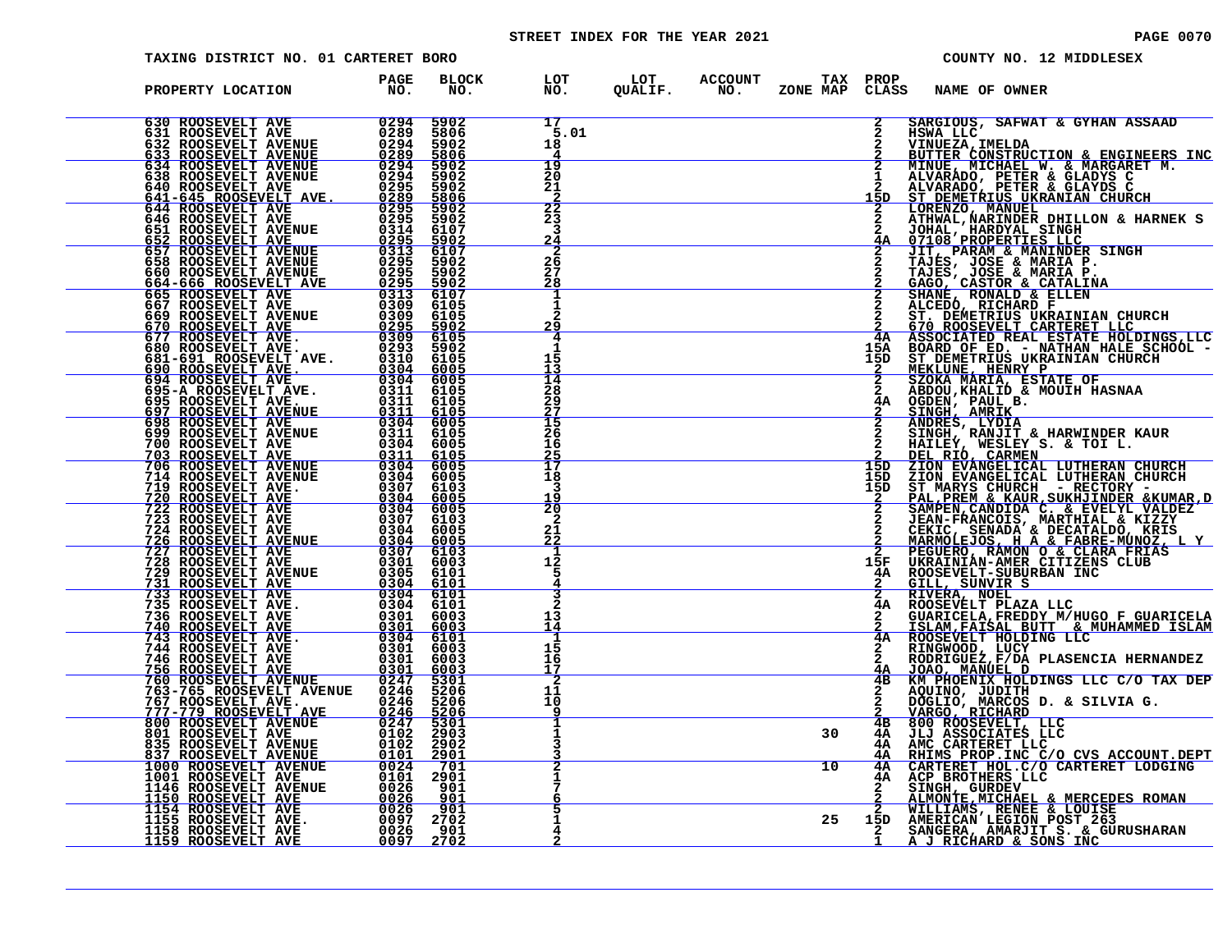# STREET INDEX FOR THE YEAR 2021 **PAGE 10070** PAGE 0070

| TAXING DISTRICT NO. 01 CARTERET BORO                                                                                                                                                                                                                                                                                                                                   |                     |                             |                                             |                |                       |          |                      | COUNTY NO. 12 MIDDLESEX                                                                                                                                                                                                                                   |
|------------------------------------------------------------------------------------------------------------------------------------------------------------------------------------------------------------------------------------------------------------------------------------------------------------------------------------------------------------------------|---------------------|-----------------------------|---------------------------------------------|----------------|-----------------------|----------|----------------------|-----------------------------------------------------------------------------------------------------------------------------------------------------------------------------------------------------------------------------------------------------------|
| PROPERTY LOCATION                                                                                                                                                                                                                                                                                                                                                      | <b>PAGE<br/>NO.</b> | <b>BLOCK</b><br>NO.         | LOT<br>NO.                                  | LOT<br>QUALIF. | <b>ACCOUNT</b><br>NO. | ZONE MAP | TAX PROP<br>CLASS    | NAME OF OWNER                                                                                                                                                                                                                                             |
| 630 ROOSEVELT AVE 0294<br>631 ROOSEVELT AVE 0289<br>633 ROOSEVELT AVENUE 0294<br>633 ROOSEVELT AVENUE 0299<br>634 ROOSEVELT AVENUE 0294<br>638 ROOSEVELT AVENUE 0294<br>640 ROOSEVELT AVE 0295<br>644 ROOSEVELT AVE 0295<br>644 ROOSEVELT AVE                                                                                                                          |                     | 5902<br>5806                | 17<br>5.01                                  |                |                       |          | 2                    | SARGIOUS, SAFWAT & GYHAN ASSAAD<br>HSWA LLC                                                                                                                                                                                                               |
|                                                                                                                                                                                                                                                                                                                                                                        |                     | 5902<br>5806                | 18<br>4                                     |                |                       |          | $\frac{2}{2}$        |                                                                                                                                                                                                                                                           |
|                                                                                                                                                                                                                                                                                                                                                                        |                     | 5902<br>5902                | 19<br>20                                    |                |                       |          |                      |                                                                                                                                                                                                                                                           |
|                                                                                                                                                                                                                                                                                                                                                                        |                     | 5902<br>$\frac{5806}{5902}$ | 21<br>$\frac{-\overline{2}}{2\overline{2}}$ |                |                       |          | 15D                  |                                                                                                                                                                                                                                                           |
|                                                                                                                                                                                                                                                                                                                                                                        |                     | 5902<br>6107                | 23<br>3                                     |                |                       |          |                      |                                                                                                                                                                                                                                                           |
|                                                                                                                                                                                                                                                                                                                                                                        |                     | $\frac{5902}{6107}$         | <u> 24</u><br>2                             |                |                       |          |                      |                                                                                                                                                                                                                                                           |
|                                                                                                                                                                                                                                                                                                                                                                        |                     | 5902<br>5902<br>5902        | 26<br>27<br>28                              |                |                       |          |                      |                                                                                                                                                                                                                                                           |
|                                                                                                                                                                                                                                                                                                                                                                        |                     | 6107<br>6105                | 1                                           |                |                       |          |                      |                                                                                                                                                                                                                                                           |
| $\begin{smallmatrix} 633 & \text{ROOSEVELIT AVENUE} & 0.289 \\ 6334 & \text{ROOSEVELIT AVENUE} & 0.294 \\ 634 & \text{ROOSEVELT AVENUE} & 0.2295 \\ 640 & \text{ROOSEVELT AVE} & 0.2295 \\ 644 & \text{ROOSEVELT AVE} & 0.2295 \\ 644 & \text{ROOSEVELT AVE} & 0.2295 \\ 644 & \text{ROOSEVELT AVE} & 0.2295 \\ 644 & \text{ROOSEVELT AVENUE} & 0.2315 \\ 651 & \text$ |                     | 6105<br>$\frac{5902}{6105}$ | $\overline{a}$<br>29<br>$\overline{4}$      |                |                       |          |                      | SARGIOUS, SAFWAT & GYHAN ASSAAD<br>MINUEZA, IMELDA<br>MINUEZA, IMELDA<br>MINUEZA, IMELDA<br>MINUEZA, IMELDA<br>MINUEZA, IMELDA<br>MINUEZA, IMELDA<br>MINUEZA, INCHAEL W. & MARGARET M.<br>ALVARADO, PETER & GLANYS C<br>MINUEZA, INCHAEL DELIVON & HARNEK |
|                                                                                                                                                                                                                                                                                                                                                                        |                     | 5902<br>6105                |                                             |                |                       |          | 4A<br>15A<br>15D     |                                                                                                                                                                                                                                                           |
|                                                                                                                                                                                                                                                                                                                                                                        |                     | 6005<br>6005                | $\frac{1}{13}$<br>$\overline{14}$           |                |                       |          |                      |                                                                                                                                                                                                                                                           |
|                                                                                                                                                                                                                                                                                                                                                                        |                     | 6105<br>6105                | 28<br>29                                    |                |                       |          | $\mathbf{2}$<br>4Α   |                                                                                                                                                                                                                                                           |
|                                                                                                                                                                                                                                                                                                                                                                        |                     | $\frac{6105}{6005}$         | $\frac{27}{15}$<br>26                       |                |                       |          |                      |                                                                                                                                                                                                                                                           |
|                                                                                                                                                                                                                                                                                                                                                                        |                     | 6105<br>6005                | 16<br>25<br>17                              |                |                       |          |                      |                                                                                                                                                                                                                                                           |
|                                                                                                                                                                                                                                                                                                                                                                        |                     | $\frac{6105}{6005}$         | 18                                          |                |                       |          | 15D<br>15D           |                                                                                                                                                                                                                                                           |
|                                                                                                                                                                                                                                                                                                                                                                        |                     | 6103<br><u>6005</u>         | 3<br>19<br>$\overline{20}$                  |                |                       |          | 15D                  |                                                                                                                                                                                                                                                           |
|                                                                                                                                                                                                                                                                                                                                                                        |                     | $6005$<br>6103<br>6005      | 2<br>21                                     |                |                       |          |                      |                                                                                                                                                                                                                                                           |
|                                                                                                                                                                                                                                                                                                                                                                        |                     | $6005$<br>6103              | 22                                          |                |                       |          |                      |                                                                                                                                                                                                                                                           |
|                                                                                                                                                                                                                                                                                                                                                                        |                     | 6003<br>6101<br>6101        | $\begin{array}{c} 12 \\ 5 \end{array}$      |                |                       |          | 15F<br>4Α            |                                                                                                                                                                                                                                                           |
|                                                                                                                                                                                                                                                                                                                                                                        |                     | 6101<br>6101                |                                             |                |                       |          | $\overline{2}$       |                                                                                                                                                                                                                                                           |
|                                                                                                                                                                                                                                                                                                                                                                        |                     | 6003<br>6003                | 13<br>14                                    |                |                       |          |                      | <b>CUARICELA, FREDDY M/HUGO F GUARICELA<br/>ISLAM, FAISAL BUTT &amp; MUHAMMED ISLAM<br/>ROOSEVELT HOLDING LLC</b>                                                                                                                                         |
|                                                                                                                                                                                                                                                                                                                                                                        |                     | 6101<br>6003<br>6003        | 15<br>16                                    |                |                       |          | 4A<br>$\overline{2}$ | RINGWOOD, LUCY<br>RODRIGUEZ, F/DA PLASENCIA HERNANDEZ                                                                                                                                                                                                     |
|                                                                                                                                                                                                                                                                                                                                                                        |                     | $\frac{6003}{5301}$         | 17                                          |                |                       |          | <u>4A</u><br>4B      | NOARGUREL D<br>XM PHOENIX HOLDINGS LLC C/O TAX DEP<br>AQUINO, JUDITH<br>DOGLIO, MARCOS D. & SILVIA G.<br>VARGO, RICHARD                                                                                                                                   |
| 767 ROOSEVELT AVE.<br>777-779 ROOSEVELT AVE.                                                                                                                                                                                                                                                                                                                           | $\frac{0246}{0246}$ | 5206<br>5206                | 11<br>10                                    |                |                       |          |                      |                                                                                                                                                                                                                                                           |
|                                                                                                                                                                                                                                                                                                                                                                        |                     | 5206<br>$\frac{5301}{2903}$ | 1                                           |                |                       | 30       | 4B<br>4Α             | 800 ROOSEVELT, LLC<br>JLJ ASSOCIATES LLC<br>AMC CARTERET LLC                                                                                                                                                                                              |
|                                                                                                                                                                                                                                                                                                                                                                        |                     | 2902                        |                                             |                |                       |          | 4A<br><u>4A</u>      |                                                                                                                                                                                                                                                           |
| $\begin{tabular}{ c  c  c c c} \hline 777-779&ROOSEVELT AVE & 0246\\ 800&ROSEVELT AVE & 0247\\ 801&ROSEVELT AVE & 0102\\ 835&ROOSEVELT AVEMUE & 0102\\ 1000&ROSEVELT AVEMUE & 0024\\ 1001&ROSEVELT AVE & 0101\\ 1011&ROOSEVELT AVE & 01026\\ 1150&ROSEVELT AVE & 00266\\ 1154&ROOSEVELT AVE & 00266\\ 1154&ROOSEVELT AVE & 00267\\ 11$                                 |                     | $\frac{2901}{701}$<br>2901  |                                             |                |                       | 10       | 4A<br>4A             | RHIMS PROP. INC C/O CVS ACCOUNT. DEPT CARTERET HOL. C/O CARTERET LODGING<br>ACP BROTHERS LLC                                                                                                                                                              |
|                                                                                                                                                                                                                                                                                                                                                                        |                     | 901<br>901<br>901           |                                             |                |                       |          |                      | SINGH, GURDEV<br>ALMONTE, MICHAEL & MERCEDES ROMAN<br>WILLIAMS, RENEE & LOUISE<br>AMERICAN LEGION_POST_263                                                                                                                                                |
| 1158 ROOSEVELT AVE<br>1159 ROOSEVELT AVE                                                                                                                                                                                                                                                                                                                               | 0026                | 2702<br>901                 |                                             |                |                       | 25       | 15D                  | SANGERA, AMARJIT S. & GURUSHARAN A J RICHARD & SONS INC                                                                                                                                                                                                   |
|                                                                                                                                                                                                                                                                                                                                                                        | <u>0097 - </u>      | 2702                        |                                             |                |                       |          |                      |                                                                                                                                                                                                                                                           |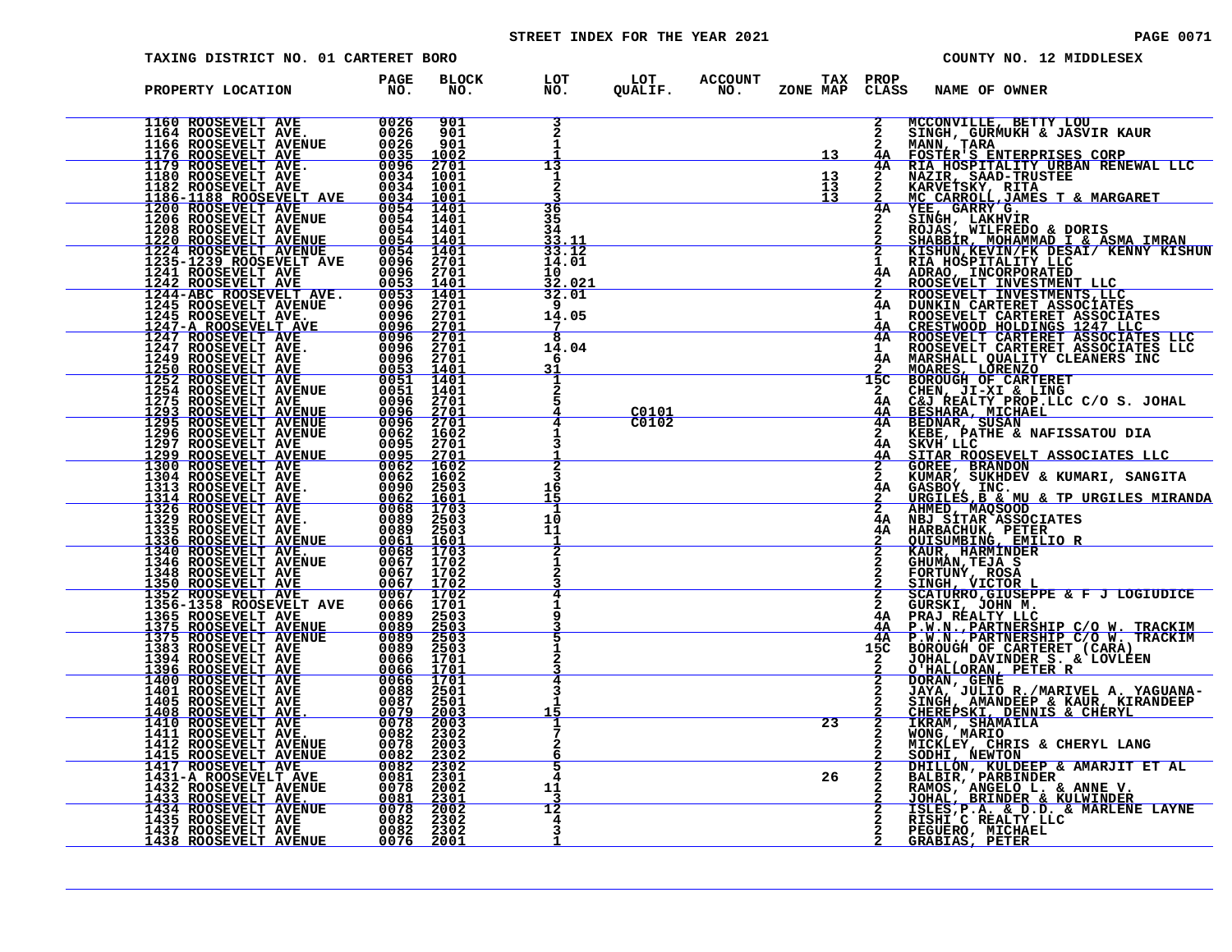# STREET INDEX FOR THE YEAR 2021 **PAGE 10071** PAGE 0071

|                                                                                                                                                                                                                      | TAXING DISTRICT NO. 01 CARTERET BORO                                                                                                                                                                                                             |                                                                   |                                                |                       |                                                                                     |    |                           | COUNTY NO. 12 MIDDLESEX                                                                                                                                                                                                                                      |
|----------------------------------------------------------------------------------------------------------------------------------------------------------------------------------------------------------------------|--------------------------------------------------------------------------------------------------------------------------------------------------------------------------------------------------------------------------------------------------|-------------------------------------------------------------------|------------------------------------------------|-----------------------|-------------------------------------------------------------------------------------|----|---------------------------|--------------------------------------------------------------------------------------------------------------------------------------------------------------------------------------------------------------------------------------------------------------|
| PROPERTY LOCATION                                                                                                                                                                                                    | <b>PAGE</b><br>$\overline{N}$ $\overline{O}$ .                                                                                                                                                                                                   | <b>BLOCK</b><br>NO.                                               |                                                |                       |                                                                                     |    |                           | LOT LOT ACCOUNT TAX PROP<br>NO. QUALIF. NO. ZONE_MAPCLASS NAME_OF_OWNER                                                                                                                                                                                      |
|                                                                                                                                                                                                                      | 1160 ROOSEVELT AVE<br>1164 ROOSEVELT AVE<br>1164 ROOSEVELT AVE. 0026 901<br>1176 ROOSEVELT AVE. 0026 901<br>1176 ROOSEVELT AVE. 0035 1002<br>1179 ROOSEVELT AVE. 0034 1001<br>1180 ROOSEVELT AVE. 0034 1001<br>1182 ROOSEVELT AVE. 0034 1001     |                                                                   | $\overline{a}$<br>1                            |                       | $\overline{\phantom{a}13}$                                                          |    | 4A                        | MCCONVILLE, BETTY LOU<br>SINGH, GURMUKH & JASVIR KAUR<br>MANN, TARA<br>FOSTER'S ENTERPRISES CORP<br>RIA HOSPITALITY URBAN RENEWAL LLC<br>RARVETSKY, RITA<br>MAZIR, SAAD-TRUSTEE<br>MCCARROLL, JAMES T & MARGARET<br>VEE, GARRY G.<br>SINGH, LAKHVIR<br>SHABB |
|                                                                                                                                                                                                                      |                                                                                                                                                                                                                                                  |                                                                   | 13<br>1                                        |                       | $\begin{array}{c c} & & 13 \\ \hline & & 13 \\ \hline & & 13 \\ \hline \end{array}$ |    | 4A<br>$\frac{2}{4}$ A     |                                                                                                                                                                                                                                                              |
|                                                                                                                                                                                                                      |                                                                                                                                                                                                                                                  |                                                                   | 36<br>$\overline{35}$<br>34                    |                       |                                                                                     |    |                           |                                                                                                                                                                                                                                                              |
|                                                                                                                                                                                                                      |                                                                                                                                                                                                                                                  |                                                                   | $\frac{33.11}{33.12}$<br>14.01<br>10<br>32.021 |                       |                                                                                     |    |                           |                                                                                                                                                                                                                                                              |
|                                                                                                                                                                                                                      |                                                                                                                                                                                                                                                  |                                                                   | 32.01<br>14.05<br>$\overline{1}$               |                       |                                                                                     |    |                           | I RIAMOSPITALITY LLESAL/ KENNY KISHU<br>4A ADRAO, INCORPORATED<br>2 ROOSEVELT INVESTMENT LLC<br>2 ROOSEVELT INVESTMENT LLC<br>2 ROOSEVELT INVESTMENT LLC<br>4A DUNKIN CARTERET ASSOCIATES<br>1 ROOSEVELT CARTERET ASSOCIATES<br>4A CRESTWOOD                 |
|                                                                                                                                                                                                                      | 1245 ROOSEVELT AVENUE<br>1245 ROOSEVELT AVE. 0096 2701<br>1247 ROOSEVELT AVE. 0096 2701<br>1247 ROOSEVELT AVE. 0096 2701<br>1247 ROOSEVELT AVE. 0096 2701<br>1249 ROOSEVELT AVE. 0096 2701<br>1259 ROOSEVELT AVE. 0053 1401<br>1252 ROOSEVEL     |                                                                   | ह<br>14.04<br>6<br>31                          |                       |                                                                                     |    |                           |                                                                                                                                                                                                                                                              |
|                                                                                                                                                                                                                      |                                                                                                                                                                                                                                                  |                                                                   |                                                |                       |                                                                                     |    | 15C                       |                                                                                                                                                                                                                                                              |
|                                                                                                                                                                                                                      |                                                                                                                                                                                                                                                  |                                                                   |                                                | $\frac{C0101}{C0102}$ |                                                                                     |    | 4A                        |                                                                                                                                                                                                                                                              |
|                                                                                                                                                                                                                      |                                                                                                                                                                                                                                                  |                                                                   | в<br>16<br>15                                  |                       |                                                                                     |    | $\overline{2}$<br>4Α      | STIAR ROOSEVELT ASSOCIATES LLC<br>GOREE, BRANDON<br>KUMAR, SUKHDEV & KUMARI, SANGITA<br>GASBOY, INC.<br>URGILES <u>,B &amp; MU &amp; TP URGILES MIRANDA</u>                                                                                                  |
|                                                                                                                                                                                                                      |                                                                                                                                                                                                                                                  |                                                                   | 10<br>11                                       |                       |                                                                                     |    |                           | 2 AHMED, MAQSOOD ----<br>4A NBJ SITAR ASSOCIATES<br>4A HARBACHUK, PETER                                                                                                                                                                                      |
| 1336 ROOSEVELT AVENUE<br>1336 ROOSEVELT AVENUE<br>1340 ROOSEVELT AVE.<br>1346 ROOSEVELT AVE.<br>1350 ROOSEVELT AVE<br>1350 ROOSEVELT AVE<br>1352 ROOSEVELT AVE<br>1356-1358 ROOSEVELT AVE<br>1356-1358 ROOSEVELT AVE | $\frac{0061}{0068}$                                                                                                                                                                                                                              | $\frac{1601}{1703}$<br>0067 1702<br>0067 1702<br><u>0067 1702</u> |                                                |                       |                                                                                     |    |                           | <b>OUISUMBING, EMILIO R<br/>KAUR, HARMINDER<br/>GHUMAN, TEJA<br/>FORTUNY, ROSA<br/>SINGH, VICTOR LARMING</b>                                                                                                                                                 |
|                                                                                                                                                                                                                      | $\begin{array}{c}\n0067 \\ 0066\n\end{array}$                                                                                                                                                                                                    | $\frac{1702}{1701}$                                               |                                                |                       |                                                                                     |    | $\mathbf{2}$<br>4Α<br>4A  | SCATURRO, GIUSEPPE & F J LOGIUDICE<br>GURSKI, JOHN M.<br>PRAJ REALTY LIC<br>P.W.N., PARTNERSHIP C/O W. TRACKIM<br>P.W.N., PARTNERSHIP C/O W. TRACKIM                                                                                                         |
|                                                                                                                                                                                                                      |                                                                                                                                                                                                                                                  |                                                                   |                                                |                       |                                                                                     |    | 4A<br>15C<br>$\mathbf{2}$ | BOROUGH OF CARTERET (CARA)<br>JOHAL, DAVINDER S. & LOVLEEN<br>O'HALLORAN, PETER R                                                                                                                                                                            |
|                                                                                                                                                                                                                      |                                                                                                                                                                                                                                                  |                                                                   | 15                                             |                       |                                                                                     |    |                           | DORAN, GENE<br>JAYA, JULIO R./MARIVEL A. YAGUANA-<br>SINGH, AMANDEEP & KAUR, KIRANDEEP<br><u>CHEREPSKI, DENNIS &amp; CHERYL</u>                                                                                                                              |
|                                                                                                                                                                                                                      | 1356-1358 ROOSEVELT AVE<br>1356-1358 ROOSEVELT AVE<br>1356-1358 ROOSEVELT AVENUE<br>1375 ROOSEVELT AVENUE<br>1375 ROOSEVELT AVENUE<br>1375 ROOSEVELT AVENUE<br>1383 ROOSEVELT AVENUE<br>1394 ROOSEVELT AVE<br>1396 ROOSEVELT AVE<br>1396 ROOSEVE |                                                                   | 2<br>6                                         |                       |                                                                                     | 23 | $\frac{2}{2}$             | IKRAM, SHAMAILA<br>WONG, MARIO<br>MICKLEY, CHRIS & CHERYL LANG<br><b>SODHI, NEWTON</b><br>DHILLON, KULDEEP & AMARJIT ET AL                                                                                                                                   |
|                                                                                                                                                                                                                      |                                                                                                                                                                                                                                                  |                                                                   | 5<br>4<br>11                                   |                       |                                                                                     | 26 |                           | BALBIR, PARBINDER<br>RAMOS, ANGELO L. & ANNE V.<br>JOHAL, BRINDER & KULWINDER                                                                                                                                                                                |
|                                                                                                                                                                                                                      |                                                                                                                                                                                                                                                  |                                                                   | 12                                             |                       |                                                                                     |    |                           | ISLES, P.A. & D.D. & MARLENE LAYNE<br>RISHI C REALTY LLC<br>PEGUERO, MICHAEL<br><b>GRABIAS, PETER</b>                                                                                                                                                        |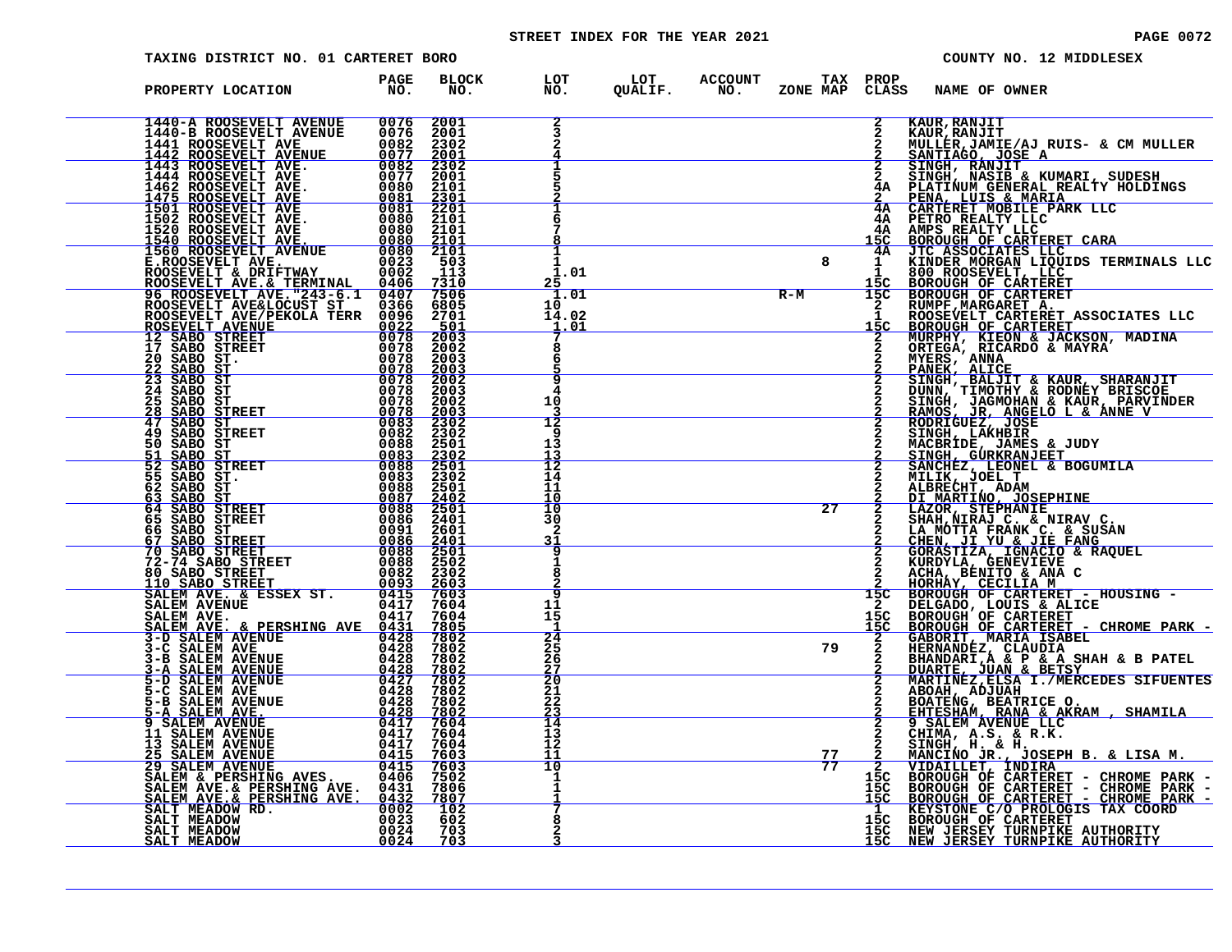# STREET INDEX FOR THE YEAR 2021 **PAGE 10072** PAGE 0072

| TAXING DISTRICT NO. 01 CARTERET BORO                                                                                                                                                                                                                                                                                                                                |                                                                                                        |                                                                                    |                                   |                                                    |                 |              | COUNTY NO. 12 MIDDLESEX                                                                                                                                                                                                                    |
|---------------------------------------------------------------------------------------------------------------------------------------------------------------------------------------------------------------------------------------------------------------------------------------------------------------------------------------------------------------------|--------------------------------------------------------------------------------------------------------|------------------------------------------------------------------------------------|-----------------------------------|----------------------------------------------------|-----------------|--------------|--------------------------------------------------------------------------------------------------------------------------------------------------------------------------------------------------------------------------------------------|
| PROPERTY LOCATION                                                                                                                                                                                                                                                                                                                                                   | <b>PAGE</b><br>NO.                                                                                     | <b>BLOCK</b><br>NO.                                                                | LOT<br>NO.                        | LOT ACCOUNT TAX PROP<br>QUALIF. NO. ZONE_MAP CLAS: |                 | <b>CLASS</b> | NAME OF OWNER                                                                                                                                                                                                                              |
| $\begin{tabular}{ c  c  c c c} \hline 1440-A\ \text{ROOSEVELT AVENUE} & 0076\ \text{1440-B ROOSEVELT AVENUE} & 0076\ \text{1441 ROOSEVELT AVENUE} & 0072\ \text{1441 ROOSEVELT AVENUE} & 0072\ \text{1442 ROOSEVELT AVE} & 00827\ \text{1444 ROOSEVELT AVE} & 00807\ \text{1445 ROOSEVELT AVE} & 0080\ \text{1501 ROOSEVELT AVE} & 0080\ \text{1501 ROOSEVELT AVE}$ |                                                                                                        | 2001<br>2001<br>2002<br>2001<br>2302<br>2001                                       |                                   |                                                    |                 |              | CLASS NAME OF OWNER ANOTHER AND MANUFACTURE IN THE MANUFACT CONTROLL AND MANUFACT CONTROLL AND MANUFACT CONTROLL AND MANUFACT CONTROLL AND DESCRIPTION OF CARRISET AND MANUFACT CONTROLL IN THE CONTROLL OF A PERIOD CONTROLL              |
|                                                                                                                                                                                                                                                                                                                                                                     |                                                                                                        |                                                                                    |                                   |                                                    |                 |              |                                                                                                                                                                                                                                            |
|                                                                                                                                                                                                                                                                                                                                                                     |                                                                                                        | 2001<br>2101<br>2201<br>2201<br>2101<br>2101<br>503<br>113<br>2103<br>2103<br>2103 |                                   |                                                    |                 |              |                                                                                                                                                                                                                                            |
|                                                                                                                                                                                                                                                                                                                                                                     |                                                                                                        | $\frac{113}{7310}$<br>$\frac{7310}{7506}$<br>$6805$<br>$2701$                      | 1.01<br><u> 25</u><br>1.01        |                                                    | 8<br>$R-M$      |              |                                                                                                                                                                                                                                            |
|                                                                                                                                                                                                                                                                                                                                                                     |                                                                                                        |                                                                                    | 10<br>14.02<br>$\frac{1.01}{7}$   |                                                    |                 |              |                                                                                                                                                                                                                                            |
|                                                                                                                                                                                                                                                                                                                                                                     |                                                                                                        | $\frac{501}{2003}$<br>$2003$<br>$2003$<br>$2003$<br>$2003$<br>$2003$               | 9                                 |                                                    |                 |              |                                                                                                                                                                                                                                            |
|                                                                                                                                                                                                                                                                                                                                                                     |                                                                                                        | 2002<br>2003<br>2302                                                               | 4<br>10<br>$\overline{12}$<br>q   |                                                    |                 |              |                                                                                                                                                                                                                                            |
| <b>49 SABO STREET</b><br>50 SABO ST<br>SABO ST<br>51<br>52<br><b>SABO STREET</b><br>55 SABO ST.                                                                                                                                                                                                                                                                     | $\begin{smallmatrix} 0 & 0 & 8 & 2 \ 0 & 0 & 8 & 8 \end{smallmatrix}$<br><u>1800<br/>1880</u><br>18800 | 2302<br>2501<br>$\frac{2302}{2501}$<br>2501                                        | 13<br>$\frac{13}{12}$<br>14       |                                                    |                 |              |                                                                                                                                                                                                                                            |
| 62 SABO ST<br>SABO ST<br>63<br>64 SABO STREET<br>65 SABO STREET                                                                                                                                                                                                                                                                                                     | $\begin{array}{r} 0088 \\ 0087 \\ 0088 \\ 0086 \\ 0086 \\ 0091 \\ 0091 \\ \end{array}$                 | $\begin{array}{r} 2501 \\ 2402 \\ 2501 \\ 2401 \end{array}$                        | 11<br>10<br>10<br>30              |                                                    | 27              |              |                                                                                                                                                                                                                                            |
| 66 SABO ST<br>67 SABO STREET<br>70 SABO STREET                                                                                                                                                                                                                                                                                                                      | $\frac{0.086}{0.088}$                                                                                  | 2601<br>$\frac{2401}{2501}$<br>2502                                                | 2<br>31                           |                                                    |                 |              |                                                                                                                                                                                                                                            |
|                                                                                                                                                                                                                                                                                                                                                                     |                                                                                                        | 2302<br>2603<br>7603<br>7604<br>7604                                               | q<br>11<br>15                     |                                                    |                 |              |                                                                                                                                                                                                                                            |
|                                                                                                                                                                                                                                                                                                                                                                     |                                                                                                        | $\frac{7805}{7802}$<br>7802<br>7802                                                | 24<br>25<br>26                    |                                                    | 79              |              |                                                                                                                                                                                                                                            |
| 67 SABO STREET<br>70 SABO STREET<br>70 SABO STREET<br>72 - 74 SABO STREET<br>72 - 84 SABO STREET<br>200882<br>200882<br>200882<br>200882<br>210 SABO STREET<br>200882<br>210 SABO STREET<br>20093<br>210 SABO STREET<br>20093<br>210 SALEM AVENUE<br>2117<br>23                                                                                                     |                                                                                                        | $\frac{7802}{7802}$<br>7802<br>7802                                                | $\frac{27}{20}$<br>21<br>22       |                                                    |                 |              |                                                                                                                                                                                                                                            |
| <b>5-C SALEM AVE<br/> 5-B SALEM AVE.<br/> 5-A SALEM AVE.<br/> 9 SALEM AVENUE<br/> 11 SALEM AVENUE<br/> 13 SALEM AVENUE<br/> 25 SALEM AVENUE<br/> 29 SALEM AVENUE<br/> 29 SALEM AVENUE<br/> 29 SALEM AVENUE<br/> 29 SALEM AVENUE<br/> 29 SALEM AVENUE</b>                                                                                                            |                                                                                                        | $\frac{7802}{7604}$<br>7604<br>7604                                                | 23<br>14<br>$\frac{13}{12}$<br>11 |                                                    |                 |              |                                                                                                                                                                                                                                            |
| V415<br>29 SALEM AVENUE<br>29 SALEM & PERSHING AVES. 0415<br>SALEM & PERSHING AVES. 0436<br>SALEM AVE. & PERSHING AVE. 0432<br>SALEM AVE. & PERSHING AVE. 0432<br>SALT MEADOW 00023<br>SALT MEADOW 00024<br>SALT MEADOW 00024<br>SALT MEADOW 000                                                                                                                    |                                                                                                        | $\frac{7603}{7603}$<br>7502<br>7806<br>7807                                        | īδ                                |                                                    | $\frac{77}{77}$ |              | 2 SINGLE THE MAIL TO SEPH B. & LISA M.<br>2 VIDAILLET, INDIRA<br>2 VIDAILLET, INDIRA<br>15C BOROUGH OF CARTERET - CHROME PARK -<br>15C BOROUGH OF CARTERET - CHROME PARK -<br>15C BOROUGH OF CARTERET - CHROME PARK -<br>1 CHRONGH OF CART |
| SALT MEADOW                                                                                                                                                                                                                                                                                                                                                         | 0024                                                                                                   | 102<br>602<br>703<br><u>703</u>                                                    |                                   |                                                    |                 |              |                                                                                                                                                                                                                                            |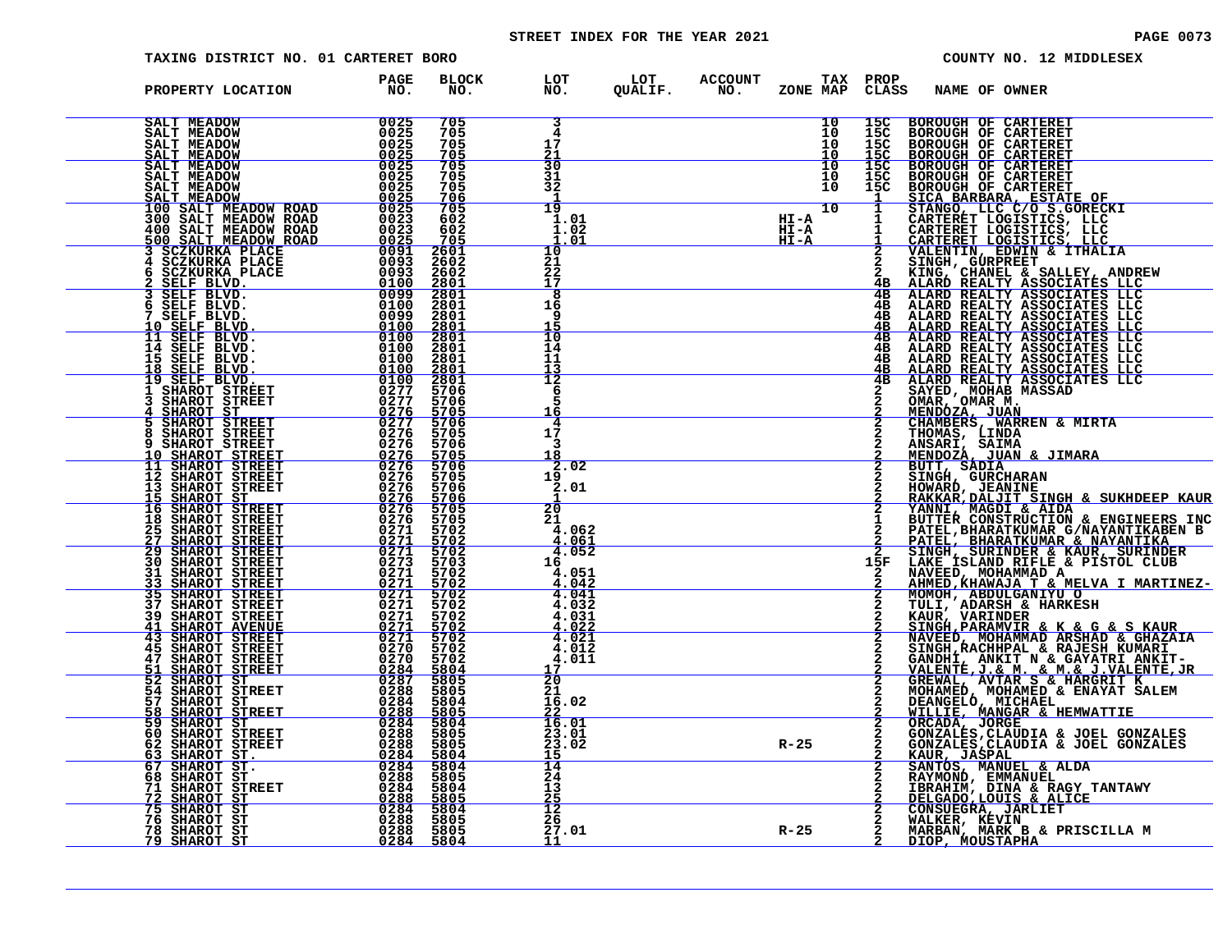# STREET INDEX FOR THE YEAR 2021 **PAGE 10073** PAGE 0073

| TAXING DISTRICT NO. 01 CARTERET BORO                                                                                                                                                                                                                                                                                                                                                                            |                            |                                                                  |                                                                      |  |                      |                                      | COUNTY NO. 12 MIDDLESEX                                                                                                                                                                                                                                      |
|-----------------------------------------------------------------------------------------------------------------------------------------------------------------------------------------------------------------------------------------------------------------------------------------------------------------------------------------------------------------------------------------------------------------|----------------------------|------------------------------------------------------------------|----------------------------------------------------------------------|--|----------------------|--------------------------------------|--------------------------------------------------------------------------------------------------------------------------------------------------------------------------------------------------------------------------------------------------------------|
| PROPERTY LOCATION                                                                                                                                                                                                                                                                                                                                                                                               | PAGE<br>NO.                |                                                                  | BLOCK LOT LOT ACCOUNT TAX PROP<br>NO. NO. QUALIF. NO. ZONE_MAP_CLASS |  |                      |                                      | NAME OF OWNER                                                                                                                                                                                                                                                |
|                                                                                                                                                                                                                                                                                                                                                                                                                 |                            | 705<br>705<br>705<br>705                                         | 3<br>4<br>17<br>21                                                   |  | 10<br>10<br>īŏ<br>īŏ | 15 <sub>C</sub><br>$\frac{155}{150}$ | <b>BOROUGH OF CARTERET</b>                                                                                                                                                                                                                                   |
| <b>BALT MEADOW<br/> SALT MEADOW<br/> SALT MEADOW<br/> SALT MEADOW<br/> SALT MEADOW<br/> SALT MEADOW</b><br>SALT MEADOW                                                                                                                                                                                                                                                                                          |                            | 705<br>705<br>705<br>$\frac{706}{705}$                           | $\frac{30}{31}$<br>32                                                |  | $\overline{10}$      | $\overline{15}\overline{c}$          |                                                                                                                                                                                                                                                              |
|                                                                                                                                                                                                                                                                                                                                                                                                                 |                            | 602<br>602                                                       | $\overline{19}$<br>1.01<br>1.02<br><u>1.01</u>                       |  |                      |                                      |                                                                                                                                                                                                                                                              |
|                                                                                                                                                                                                                                                                                                                                                                                                                 |                            | $\frac{705}{2601}$<br>$\frac{2602}{2801}$<br>$\frac{2801}{2801}$ | 10<br>21<br>$^{22}_{17}$                                             |  |                      | $\overline{a}$<br>4B                 |                                                                                                                                                                                                                                                              |
|                                                                                                                                                                                                                                                                                                                                                                                                                 |                            | 2801<br>2801<br>2801                                             | 8<br>16<br>q<br>$\frac{15}{10}$                                      |  |                      | 4B<br>4B<br>4B<br><u>4B</u><br>4B    |                                                                                                                                                                                                                                                              |
|                                                                                                                                                                                                                                                                                                                                                                                                                 |                            | 2801<br>2801<br>2801                                             | 14<br>11<br>13<br>12                                                 |  |                      | 4B<br>4B<br>4B<br>4B                 |                                                                                                                                                                                                                                                              |
|                                                                                                                                                                                                                                                                                                                                                                                                                 |                            | $\frac{2801}{5706}$<br>5706<br>$\frac{5705}{5706}$               | 6<br>5<br>16<br>4                                                    |  |                      |                                      |                                                                                                                                                                                                                                                              |
|                                                                                                                                                                                                                                                                                                                                                                                                                 |                            | 5705<br>5706<br>$\frac{5705}{5706}$                              | 17<br>3<br>18<br>.02<br>2                                            |  |                      | $\bar{2}$                            |                                                                                                                                                                                                                                                              |
|                                                                                                                                                                                                                                                                                                                                                                                                                 |                            | 5706<br><u>5706</u><br>5705<br>5705                              | 19<br>2.01<br>20                                                     |  |                      | $\frac{\overline{2}}{2}$             |                                                                                                                                                                                                                                                              |
|                                                                                                                                                                                                                                                                                                                                                                                                                 |                            | 5702<br>$\frac{\frac{5702}{5702}}{\frac{5703}{5703}}$            | 21<br>4.062<br><u>4.061</u><br>4.052<br>16                           |  |                      | 15F                                  |                                                                                                                                                                                                                                                              |
|                                                                                                                                                                                                                                                                                                                                                                                                                 |                            | 5702<br>5702<br>5702<br>5702                                     | 4.051<br>4.042<br>4.041<br>4.032                                     |  |                      | $\frac{2}{2}$                        |                                                                                                                                                                                                                                                              |
| $\begin{tabular}{l c c c} \textbf{PROB} & \textbf{FROPERT} & \textbf{LOCATION} & \textbf{100} \\ \textbf{SALT MEDDOM} & 0025 \\ \textbf{SALT MEDDOWN} & 0025 \\ \textbf{SALT MEDDOWN} & 0025 \\ \textbf{SALT MEDDOWN} & 0025 \\ \textbf{SALT MEDDOWN} & 0025 \\ \textbf{SALT MEDDOWN} & 0025 \\ \textbf{SALT MEDDOWN} & 0025 \\ \textbf{SALT MEDDOWN} & 0025 \\ \textbf{SALT MEDDOWN} & 0025 \\ \textbf{SALT M$ |                            | 5702<br>$\frac{5702}{5702}$<br>5702                              | 4.031<br><u>4.022</u><br>4.021<br>4.012                              |  |                      |                                      | S AMB OF CARTERET<br>BOROUGH OF CARTERET<br>BOROUGH OF CARTERET<br>BOROUGH OF CARTERET<br>BOROUGH OF CARTERET<br>BOROUGH OF CARTERET<br>BOROUGH OF CARTERET<br>STANGO, LCCC (20 S.GORECKI<br>STANGO, LCCC 20 S.GORECKI<br>CARTERET LOGISTICS, LCCC<br>CARTER |
| 57                                                                                                                                                                                                                                                                                                                                                                                                              | 0284                       | 5702<br>$\frac{5804}{5805}$<br>5805<br>5804                      | 4.011<br>17<br>$rac{1}{20}$<br>21<br>16.02                           |  |                      |                                      |                                                                                                                                                                                                                                                              |
| SHAROT ST<br>SHAROT STREET<br>58<br>59 SHAROT ST<br>60 SHAROT STREET<br>62 SHAROT STREET                                                                                                                                                                                                                                                                                                                        | 0288<br>$0284\n0288\n0288$ | 5805<br>5804<br>5805<br>5805                                     | 22<br>16.01<br>23.01<br>23.02                                        |  | $R - 25$             |                                      |                                                                                                                                                                                                                                                              |
|                                                                                                                                                                                                                                                                                                                                                                                                                 |                            | $\frac{5804}{5804}$<br>5805<br>5804                              | 15<br>$\overline{14}$<br>24<br>13                                    |  |                      |                                      |                                                                                                                                                                                                                                                              |
| $\begin{tabular}{@{}c@{\hspace{6ex}}c@{\hspace{6ex}}c@{\hspace{6ex}}c@{\hspace{6ex}}c@{\hspace{6ex}}c@{\hspace{6ex}}c@{\hspace{6ex}}c@{\hspace{6ex}}c@{\hspace{6ex}}c@{\hspace{6ex}}c@{\hspace{6ex}}c@{\hspace{6ex}}c@{\hspace{6ex}}c@{\hspace{6ex}}c@{\hspace{6ex}}c@{\hspace{6ex}}c@{\hspace{6ex}}c@{\hspace{6ex}}c@{\hspace{6ex}}c@{\hspace{6ex}}c@{\hspace{6ex}}c@{\hspace{6ex}}c@{\hspace{6ex}}c@{\hspace$ | $0288$<br>$0284$           | 5805<br>5804<br>5805<br>5805                                     | 25<br>$\frac{12}{26}$<br>27.01                                       |  | $R - 25$             |                                      | GONZALES, CLAUDIA & JOEL GONZAL<br>KAUR, JASPAL<br>SANTOS, MANUEL & ALDA<br>RAYMOND, EMMANUEL<br>IBRAHIM, DINA & RAGY TANTAWY<br>DELGAIN, DINA & RALICE<br>CONSUEGRA, JARLIET<br>MALKER, KEVIN<br>MARBAN, MARK B & PRISCILLA M<br>MARBAN, MARK B & PRISCI    |
|                                                                                                                                                                                                                                                                                                                                                                                                                 |                            | 5804                                                             | 11                                                                   |  |                      |                                      | DIOP, MOUSTAPHA                                                                                                                                                                                                                                              |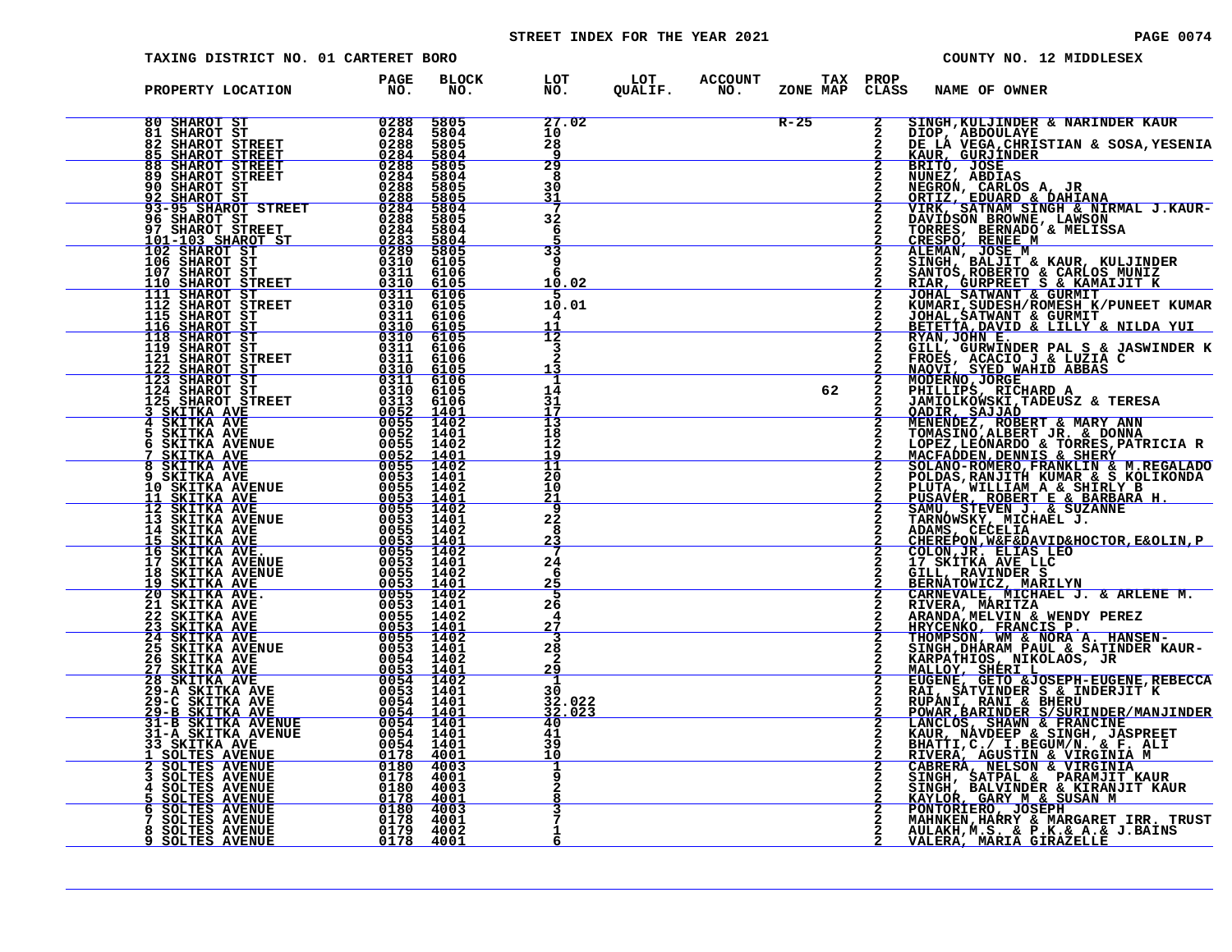# STREET INDEX FOR THE YEAR 2021 **PAGE 10074** PAGE 0074

| TAXING DISTRICT NO. 01 CARTERET BORO                                                                                                                                                                                                                                                                      |                                                                                                     |                                      |                                                      |                                    |        |                             |                                          | COUNTY NO. 12 MIDDLESEX                                                                                                                                                                                                                                   |
|-----------------------------------------------------------------------------------------------------------------------------------------------------------------------------------------------------------------------------------------------------------------------------------------------------------|-----------------------------------------------------------------------------------------------------|--------------------------------------|------------------------------------------------------|------------------------------------|--------|-----------------------------|------------------------------------------|-----------------------------------------------------------------------------------------------------------------------------------------------------------------------------------------------------------------------------------------------------------|
| PROPERTY LOCATION                                                                                                                                                                                                                                                                                         | PAGE<br>NO.                                                                                         | BLOCK<br>NO.                         |                                                      | LOT LOT ACCOUNT<br>NO. QUALIF. NO. |        |                             | TAX PROP<br>ZONE MAP CLASS NAME OF OWNER |                                                                                                                                                                                                                                                           |
| $\begin{array}{r l} & 0288 \ \hline 0284 \ \hline 0288 \ \hline 0288 \ \hline 0288 \ \hline 0288 \ \hline 0288 \ \hline 0288 \ \hline 0288 \ \hline 0288 \ \hline \end{array}$<br>80 SHAROT ST<br><b>81 SHAROT ST<br/>82 SHAROT STREET<br/>85 SHAROT STREET<br/>88 SHAROT STREET<br/>89 SHAROT STREET</b> |                                                                                                     | 5805<br>5804<br>5805<br>5804         | 27.02<br>10<br>28<br>9                               |                                    | $R-25$ | $\overline{\mathbf{2}}$     |                                          | SINGH, KULJINDER & NARINDER KAUR                                                                                                                                                                                                                          |
|                                                                                                                                                                                                                                                                                                           |                                                                                                     | 5805<br>5804<br>5805<br>5805<br>5804 | 29<br>8<br>30<br>$\frac{31}{7}$                      |                                    |        | $\frac{2}{2}$               |                                          |                                                                                                                                                                                                                                                           |
| 90 SHAROT ST<br>92 SHAROT ST<br>93-95 SHAROT STREET<br>93-95 SHAROT STREET<br>96 SHAROT STREET<br>97 SHAROT STREET<br>101-103 SHAROT ST<br>10283<br>102 SHAROT ST<br>103 SHAROT ST<br>103 SHAROT ST<br>10310<br>110 SHAROT ST<br>110 SHAROT ST                                                            |                                                                                                     | 5805<br>5804<br>5804                 | 32<br>6<br>33                                        |                                    |        |                             |                                          | SINGH, KULJINDER & NARINDER KAUR<br>DIOP, ABDOULAYE<br>DE LA VEGA, CHRISTIAN & SOSA, YESENIA<br>KAUR, GURJINDER<br>BRITO, JOSE<br>NUNEZ, ABDIAS<br>NEGRON, CARLOS A, JR<br>ORTIZ, EDUARD & DAHIANA<br>ORTIZ, EDUARD & DAHIANA<br>VIRK, SATNAM SINGH & NIR |
|                                                                                                                                                                                                                                                                                                           | $\begin{array}{r} 0.310 \\ -0.311 \\ -0.310 \\ \hline 0.311 \\ 0.310 \\ 0.310 \\ 0.311 \end{array}$ | 6105                                 | 9<br><u>10.02</u>                                    |                                    |        |                             |                                          |                                                                                                                                                                                                                                                           |
|                                                                                                                                                                                                                                                                                                           |                                                                                                     |                                      | 10.01<br>4<br>$\frac{1}{2}$                          |                                    |        |                             |                                          | BETETTA, DAVID & LILLY & NILDA YUI RYAN, JOHN E.                                                                                                                                                                                                          |
|                                                                                                                                                                                                                                                                                                           |                                                                                                     |                                      | 3<br>14                                              |                                    | 62     | $\frac{2}{2}$               |                                          | KIAN, JURWINDER PAL S & JASWINDER K<br>FROES, ACACIO J & LUZIA C<br>NAQVI, SYED WAHID ABBAS<br>MODERNO, JORGE<br>PHILLIPS, RICHARD A<br>PHILLIPS, RICHARD A                                                                                               |
|                                                                                                                                                                                                                                                                                                           |                                                                                                     |                                      | 31<br>İ3<br>18                                       |                                    |        |                             |                                          | <b>FALLILIS, KILCHAND SE ERESA<br/>OADIR, SAJJAD<br/>MENENDEZ, ROBERT &amp; MARY ANN<br/>TOMASINO, ALBERT JR. &amp; DONNA<br/>LOPEZ,LEÓNARDO, &amp; TORRES, PATRICIA R</b>                                                                                |
|                                                                                                                                                                                                                                                                                                           |                                                                                                     |                                      | 12<br>$\frac{19}{11}$<br>20<br>10                    |                                    |        |                             |                                          |                                                                                                                                                                                                                                                           |
|                                                                                                                                                                                                                                                                                                           |                                                                                                     |                                      | <u> 21</u><br>$\overline{9}$<br>$2\overline{2}$<br>8 |                                    |        |                             |                                          |                                                                                                                                                                                                                                                           |
|                                                                                                                                                                                                                                                                                                           |                                                                                                     |                                      | $\frac{23}{7}$<br>24<br>6<br>25                      |                                    |        |                             |                                          |                                                                                                                                                                                                                                                           |
|                                                                                                                                                                                                                                                                                                           |                                                                                                     |                                      | 5<br>26<br>4<br><u>27</u>                            |                                    |        | $\overline{2}$<br>$\bar{2}$ |                                          |                                                                                                                                                                                                                                                           |
|                                                                                                                                                                                                                                                                                                           |                                                                                                     |                                      | з<br>$\frac{28}{2}$<br><u>29</u>                     |                                    |        |                             |                                          |                                                                                                                                                                                                                                                           |
|                                                                                                                                                                                                                                                                                                           |                                                                                                     |                                      | 1<br>30<br>32.022<br>32.023<br>40                    |                                    |        |                             |                                          |                                                                                                                                                                                                                                                           |
|                                                                                                                                                                                                                                                                                                           |                                                                                                     |                                      | $\frac{41}{39}$<br>10<br>ı                           |                                    |        |                             |                                          | TOMASINO, ALBERT JR. "ALBERT HRYONASINO, ALBERT JR. "LONIX" MACTEURE SCRIBINING MACTEURES, PARICINA<br>SOLINO-ROMERO, FRANKLINING & SLEEP, REGALIADO<br>DOLINAS, RANJITH KUMAR & S. KOLIKONDA<br>PULITA, WILLIAM A & SHIRLY B<br>TENGA                    |
|                                                                                                                                                                                                                                                                                                           |                                                                                                     |                                      | ٦                                                    |                                    |        |                             |                                          |                                                                                                                                                                                                                                                           |
|                                                                                                                                                                                                                                                                                                           |                                                                                                     |                                      | 6                                                    |                                    |        |                             |                                          | AULAKH, M.S. & P.K. & A. & J. BAINS<br>VALERA, MARIA GIRAZELLE                                                                                                                                                                                            |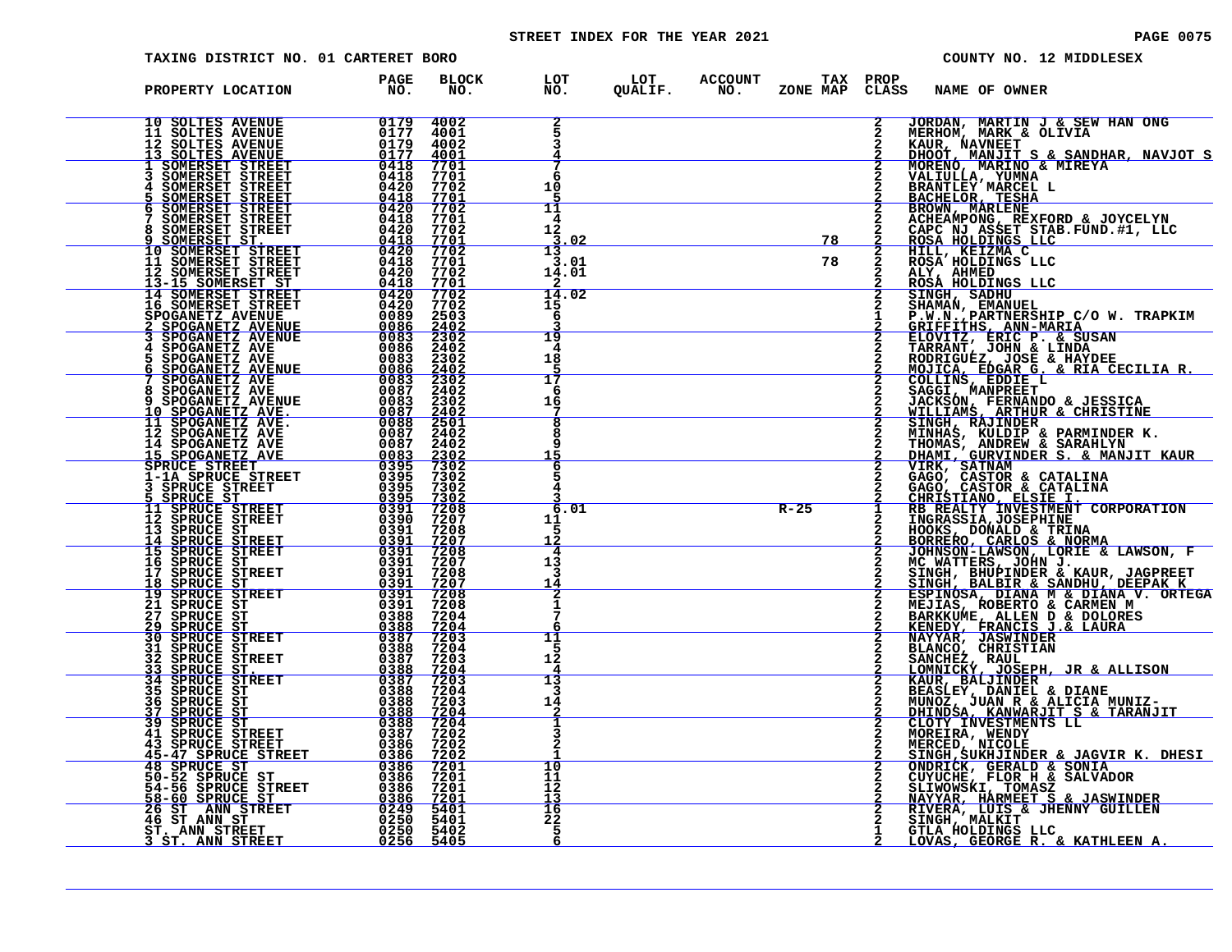# STREET INDEX FOR THE YEAR 2021 **PAGE 10075** PAGE 0075

| TAXING DISTRICT NO. 01 CARTERET BORO                                                                                                                                                                                                         |                        |                     |                       |                                                                       |          |               | COUNTY NO. 12 MIDDLESEX                                                                                                                                                                                                                                   |
|----------------------------------------------------------------------------------------------------------------------------------------------------------------------------------------------------------------------------------------------|------------------------|---------------------|-----------------------|-----------------------------------------------------------------------|----------|---------------|-----------------------------------------------------------------------------------------------------------------------------------------------------------------------------------------------------------------------------------------------------------|
| PROPERTY LOCATION                                                                                                                                                                                                                            | PAGE<br>NO.            | BLOCK<br>NO.        |                       |                                                                       |          |               | LOT LOT ACCOUNT TAX PROP<br>NO. QUALIF. NO. ZONE_MAP CLASS NAME_OF_OWNER                                                                                                                                                                                  |
|                                                                                                                                                                                                                                              |                        |                     | 2                     |                                                                       |          | $\mathbf{2}$  | JORDAN, MARTIN J & SEW HAN ONG<br>MERHOM, MARK & OLIVIA                                                                                                                                                                                                   |
|                                                                                                                                                                                                                                              |                        |                     | 7<br>6<br>10          |                                                                       |          |               |                                                                                                                                                                                                                                                           |
|                                                                                                                                                                                                                                              |                        |                     | 11<br>4<br>12<br>3.02 |                                                                       |          |               | MERHOM, MARK & OLIVIA<br>KAUR, NAVNEET<br>HOOT, MANJIT S & SANDHAR, NAVJOT S<br>MORENO, MARINO & MIREYA<br>VALIULLA, YUMNA<br>BRANTLEY MARCEL L<br>BACHELOR, TESHA<br>BROWN, MARLENE<br>ACHEAMPONG, REXFORD & JOYCELYN<br>CAPC NJ ASSET STAB.FUND.#1, LLC |
|                                                                                                                                                                                                                                              |                        |                     | 13<br>3.01<br>14.01   | $\begin{array}{c c} \hline & 78 \\ \hline & 78 \\ \hline \end{array}$ |          | $\frac{2}{2}$ | ALY, AHMED<br>ROSA HOLDINGS LLC                                                                                                                                                                                                                           |
|                                                                                                                                                                                                                                              |                        |                     | 14.02<br>15<br>-6     |                                                                       |          | $\frac{2}{2}$ | ROSÀ HOLDINGS LLC<br>SINGH, SADHU<br>P.W.N., EMANUEL<br>P.W.N., PARTNERSHIP C/O W. TRAPKIM<br>GRIFFITHS, ANN-MARIA<br>ELOVITZ, ERIC P. & SUSAN<br>TARRANT, JOHN & LINDA<br>NORIGUEZ, JOSE & HAYDEE<br>MOJICA, EDGAR G. & RIA CECILIA R.<br>COLLINS, EDDIE |
|                                                                                                                                                                                                                                              |                        |                     | 19<br>4<br>18         |                                                                       |          |               |                                                                                                                                                                                                                                                           |
|                                                                                                                                                                                                                                              |                        |                     | 17<br>-6<br>16        |                                                                       |          |               |                                                                                                                                                                                                                                                           |
|                                                                                                                                                                                                                                              |                        |                     | 15                    |                                                                       |          |               | MINHAS, KULDIP & PARMINDER K.<br>THOMAS, ANDREW & SARAHLYN<br>DHAMI, GURVINDER S. & MANJIT KAUR                                                                                                                                                           |
|                                                                                                                                                                                                                                              |                        |                     | 6                     |                                                                       |          |               |                                                                                                                                                                                                                                                           |
|                                                                                                                                                                                                                                              |                        |                     | 6.01<br>11            |                                                                       | $R - 25$ | $\frac{1}{2}$ |                                                                                                                                                                                                                                                           |
|                                                                                                                                                                                                                                              |                        |                     | 4<br>13<br>3<br>14    |                                                                       |          |               |                                                                                                                                                                                                                                                           |
|                                                                                                                                                                                                                                              | 0388                   | 7204                | 2<br>1                |                                                                       |          |               |                                                                                                                                                                                                                                                           |
| 27 SPRUCE ST<br>29 SPRUCE ST<br>30 SPRUCE STREET<br>$\begin{array}{c c} \hline 0.388 \\ \hline 0.387 \end{array}$<br>31 SPRUCE ST<br>32 SPRUCE STREET                                                                                        | 0388 7204<br>0387 7203 | $\frac{7204}{7203}$ | 11<br>.5<br>12        |                                                                       |          |               |                                                                                                                                                                                                                                                           |
| 33 SPRUCE ST.<br>34 SPRUCE STREET<br>35 SPRUCE ST<br><b>36 SPRUCE ST<br/>37 SPRUCE ST</b>                                                                                                                                                    | 0388                   | 7203<br>7204        | 13<br>3<br>14         |                                                                       |          | 2             |                                                                                                                                                                                                                                                           |
| 39 SPRUCE ST<br>41 SPRUCE STREET<br><b>43 SPRUCE STREET</b>                                                                                                                                                                                  | 0386 7202              | 0388 7204           | 3                     |                                                                       |          |               |                                                                                                                                                                                                                                                           |
| 43 SPRUCE STREET 0386 7202<br>45 SPRUCE STREET 0386 7202<br>48 SPRUCE STREET 0386 7201<br>50-52 SPRUCE STREET 0386 7201<br>54-56 SPRUCE STREET 0386 7201<br>54-56 SPRUCE STREET 0249 5401<br>46 STANN STREET 0249 5401<br>46 STANN STREET 02 |                        |                     | 10<br>11<br>12        |                                                                       |          |               | THOMAS, ANDREW & SARAHIYN<br>DHAMI, GURVINDER S. & MANJIT KAUR<br>VIRK, GATNAM<br>GAGO, CASTOR & CATALINA<br>CHRISTIANO, ELSIE I.<br>CHRISTIANO, ELSIE I.<br>EN REALTY INVESTMENT CORPORATION<br>INGRASSIA, JOSEPHINE<br>HOCKS, DOMALD & TRINA            |
|                                                                                                                                                                                                                                              |                        |                     | 13<br>16<br>22<br>5   |                                                                       |          |               | RIVERA, LUIS & JHENNY GUILLEN<br>SINGH, MALKIT ___<br>GTLA HOLDINGS LLC                                                                                                                                                                                   |
|                                                                                                                                                                                                                                              |                        |                     | 6                     |                                                                       |          |               | <u>LOVAS, GEORGE R. &amp; KATHLEEN A.</u>                                                                                                                                                                                                                 |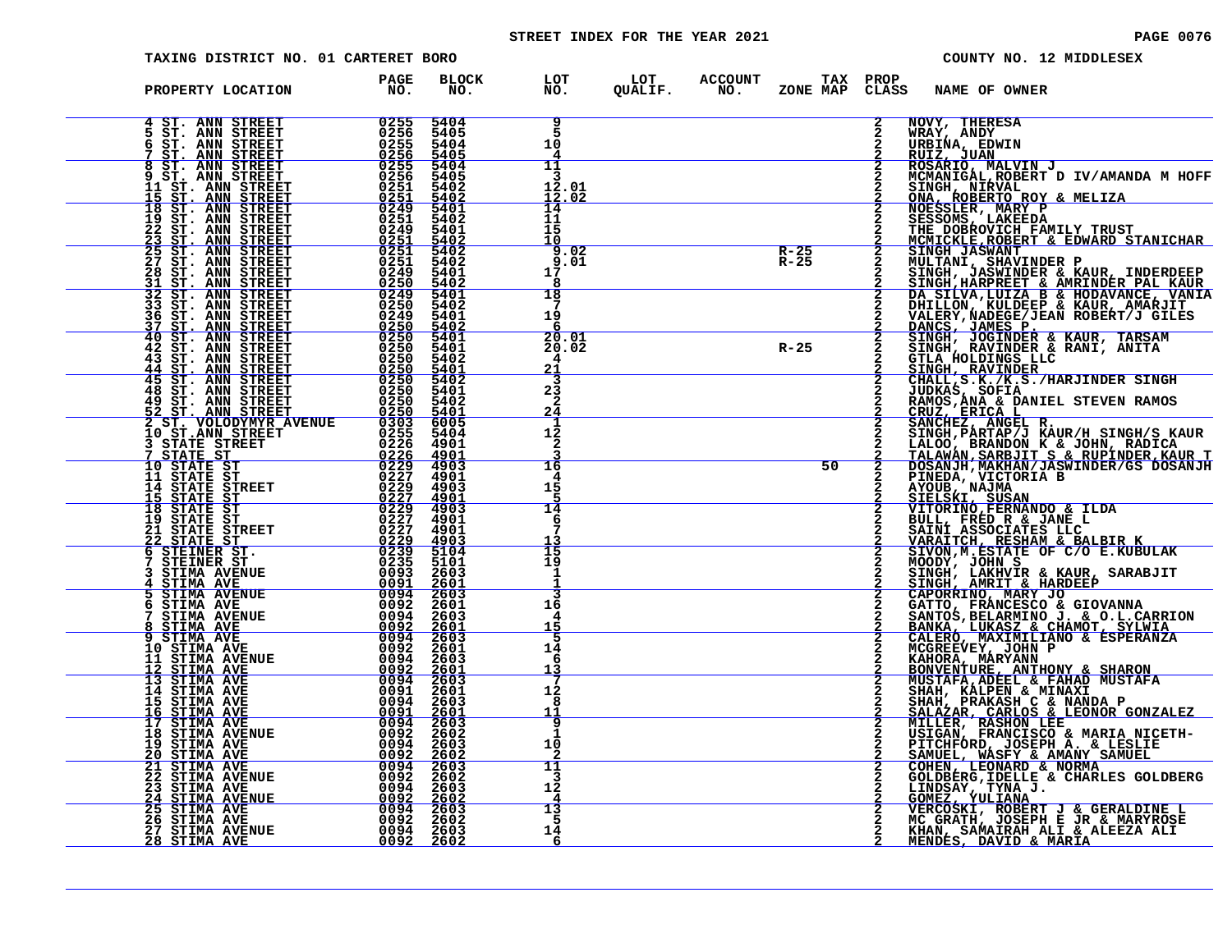# STREET INDEX FOR THE YEAR 2021 **PAGE 10076** PAGE 0076

| TAXING DISTRICT NO. 01 CARTERET BORO                                                                                                                                                    |                                                                     |                                      |                                  |                        |                       |                      | COUNTY NO. 12 MIDDLESEX |                                                            |                                                                                                                                                                    |  |
|-----------------------------------------------------------------------------------------------------------------------------------------------------------------------------------------|---------------------------------------------------------------------|--------------------------------------|----------------------------------|------------------------|-----------------------|----------------------|-------------------------|------------------------------------------------------------|--------------------------------------------------------------------------------------------------------------------------------------------------------------------|--|
| PROPERTY LOCATION                                                                                                                                                                       | PAGE<br>NO.                                                         | <b>BLOCK</b><br>NO.                  | LOT<br>NO.                       | $\sim 10$ T<br>QUALIF. | <b>ACCOUNT</b><br>NO. | ZONE MAP             | TAX PROP<br>CLASS       | NAME OF OWNER                                              |                                                                                                                                                                    |  |
| 4 ST. ANN STREET<br><b>5 ST. ANN STREET</b><br>6 ST. ANN STREET                                                                                                                         | 0255<br>0256<br>$0\overline{2}55$                                   | 5404<br>5405<br>5404                 | 5<br>10                          |                        |                       |                      | 2<br>$_{2}^{2}$         | NOVY, THERESA<br>WRAY, ANDY<br>URBINA, EDWIN<br>RUIZ, JUAN |                                                                                                                                                                    |  |
| ST. ANN STREET<br><b>8 ST. ANN STREET</b><br>9 ST. ANN STREET<br>11 ST. ANN STREET                                                                                                      | $\frac{0256}{0255}$<br>0251                                         | 5405<br>5404<br>5405<br>5402         | 4<br>11<br>3<br>12.01            |                        |                       |                      |                         | ROSARIO, MALVIN J<br>SINGH, NIRVAL                         | MCMANIGAL, ROBERT D IV/AMANDA M HOFF                                                                                                                               |  |
| <u>15 ST. ANN STREET</u><br>18 ST. ANN STREET<br>19 ST. ANN STREET<br>22 ST. ANN STREET                                                                                                 | 0251<br>$\frac{0251}{0249}$                                         | <u>5402</u><br>5401<br>5402<br>5401  | <u> 12.02</u><br>14<br>11<br>15  |                        |                       |                      |                         | NOESSLER, MARY P                                           | <u>ONA, ROBERTO ROY &amp; MELIZA</u><br>SESSOMS, LAKEEDA<br>THE DOBROVICH FAMILY TRUST                                                                             |  |
| 23 ST. ANN STREET<br>25 ST. ANN STREET<br>27 ST. ANN STREET<br>28 ST. ANN STREET                                                                                                        | $\frac{0251}{0251}$<br>0251<br>0249                                 | <u>5402</u><br>5402<br>5402<br>5401  | <u> 10</u><br>9.02<br>9.01<br>17 |                        |                       | $R - 25$<br>$R - 25$ | $\frac{2}{2}$           | SINGH JASWANT<br>MULTANI, SHAVINDER P                      | MCMICKLE, ROBERT & EDWARD STANICHAR<br>SINGH, JASWINDER & KAUR, INDERDEEP<br>SINGH, HARPREET & AMRINDER PAL KAUR                                                   |  |
| ST. ANN STREET<br>31<br>32 ST. ANN STREET<br>33 ST. ANN STREET<br><b>36 ST. ANN STREET</b>                                                                                              | $\begin{array}{r} 0250 \\ 0249 \\ 0250 \\ 0250 \\ 0249 \end{array}$ | 5402<br>5401<br>5402<br>5401         | 8<br>18<br>7<br>19               |                        |                       |                      | $\frac{2}{2}$           |                                                            | DA SILVA, LUIZA B & HODAVANCE, VANIA<br>DHILLON, KULDEEP & KAUR, AMARJIT<br>VALERY, NADEGE/JEAN ROBERT/J GILES                                                     |  |
| 37 ST. ANN STREET<br>40 ST. ANN STREET<br>42 ST. ANN STREET<br><b>43 ST. ANN STREET</b>                                                                                                 | $0250$<br>0250<br>0250<br>0250                                      | <u>5402</u><br>5401<br>5401<br>5402  | 20.01<br>20.02<br>4              |                        | $R-25$                |                      | 2<br>$\frac{2}{2}$      | DANCS, JAMES P.                                            | SINGH, JOGINDER & KAUR, TARSAM<br>SINGH, RAVINDER & RANI, ANITA<br>GTLA HOLDINGS LLC                                                                               |  |
| <b>44 ST. ANN STREET</b><br>45 ST. ANN STREET<br><b>48 ST. ANN STREET</b><br>49 ST. ANN STREET                                                                                          | $\frac{0250}{0250}$<br>0250                                         | 5401<br>5402<br>5401<br>5402         | 21<br>3<br>23<br>2               |                        |                       |                      | 2<br>$\mathbf{2}$       | SINGH, RAVINDER<br>JUDKAS, SOFIA                           | CHALL, S.K./K.S./HARJINDER SINGH<br>RAMOS, ANA & DANIEL STEVEN RAMOS                                                                                               |  |
| <u>52 ST. ANN STREET</u><br>2 ST. VOLODYMYR AVENUE<br>10 ST.ANN STREET<br><b>3 STATE STREET</b>                                                                                         | $\frac{0250}{0303}$<br>0255<br>0226                                 | <u>5401</u><br>6005<br>5404<br>4901  | <u>24</u><br>1<br>12<br>2        |                        |                       |                      |                         | CRUZ, ERICA L<br>SANCHEZ, ANGEL R.                         | SINGH, PARTAP/J KAUR/H SINGH/S KAUR<br>LALOO, BRANDON K & JOHN, RADICA                                                                                             |  |
| <u>7 STATE ST</u><br>10 STATE ST<br>11 STATE ST<br><b>14 STATE STREET</b>                                                                                                               | $\frac{0.226}{0.229}$<br>0227<br>0229                               | <u>4901</u><br>4903<br>4901<br>4903  | 16<br>4<br>15                    |                        |                       | 50                   |                         |                                                            | TALAWAN, SARBJIT S & RUPINDER, KAUR T<br>DOSANJH, MAKHAN/JASWINDER/GS DOSANJH<br>PINEDA, VICTORIA B<br>AYOUB, NAJMA<br>SIELSKI, SUSAN<br>VITORINO, FERNANDO & ILDA |  |
| <u>15 STATE STQUE</u><br>18 STATE ST<br>19 STATE ST<br>21 STATE STREET                                                                                                                  | $\frac{0.227}{0.232}$<br>0229<br>0227<br>0227                       | 4901<br>4903<br>4901<br>4901         | 14<br>6                          |                        |                       |                      | $\overline{\mathbf{2}}$ | SAINI ASSOCIATES LLC                                       | BULL, FRED R & JANE L                                                                                                                                              |  |
| $\frac{0.229}{0.239}$<br><u> 22 STATE ST</u><br>6 STEINER ST.<br>7 STEINER ST<br><b>STIMA AVENUE</b><br>3                                                                               | 0235                                                                | $\frac{4903}{5104}$<br>5101<br>2603  | İš<br>19<br>1                    |                        |                       |                      |                         | MOODY, JOHN S                                              | VARAITCH, RESHAM & BALBIR K<br>SIVON, M.ESTATE OF C/O E. KUBULAK<br>SINGH, LAKHVIR & KAUR, SARABJIT<br>SINGH, AMRIT & HARDEEP                                      |  |
| <u>STIMA AVELLE</u><br>$\begin{array}{r} 0094 \ 0092 \ 0092 \ 0094 \ 0092 \ 0092 \ 0092 \end{array}$<br><b>5 STIMA AVENUE</b><br><b>6 STIMA AVE</b><br>STIMA AVENUE<br><u>STIMA AVE</u> |                                                                     | 2601<br>2603<br>2601<br>2603         | 3<br>16<br>4                     |                        |                       |                      | 2                       |                                                            | CAPORRINO, MARY JO<br>GATTO, FRANCESCO & GIOVANNA                                                                                                                  |  |
| Զ<br><b>9 STIMA AVE</b><br>10 STIMA AVE<br>11 STIMA AVENUE                                                                                                                              | 0092<br>0094                                                        | <u> 2601</u><br>2603<br>2601<br>2603 | <u> 15</u><br>5<br>14<br>-6      |                        |                       |                      |                         | MCGREEVEY, JOHN P<br>KAHORA, MARYANN                       | SANTOS, BELARMINO J. & O.L.CARRION<br>BANKA, LUKASZ & CHAMOT, SYLWIA<br>CALERO, MAXIMILIANO & ESPERANZA                                                            |  |
| <u>12 STIMA AVE</u><br>13 STIMA AVE<br>14 STIMA AVE<br>15 STIMA AVE                                                                                                                     | $\frac{0.052}{0.094}$<br>0091<br>0094                               | <u>2601</u><br>2603<br>2601<br>2603  | <u> 13</u><br>12<br>8            |                        |                       |                      |                         |                                                            | BONVENTURE, ANTHONY & SHARON<br>MUSTAFA, ADÉEL & FAHAD MUSTAFA<br>SHAH, KALPEN & MINAXI<br>SHAH, PRAKASH C & NANDA P<br>SALAZAR, CARLOS & LEONOR GONZALEZ          |  |
| <u>16 STIMA AVE</u><br>17 STIMA AVE<br>18 STIMA AVENUE<br>19 STIMA AVE                                                                                                                  | 0091<br>0094<br>0092<br>0094                                        | <u> 2601</u><br>2603<br>2602<br>2603 | 11<br>-9<br>-1<br>10             |                        |                       |                      | 2                       |                                                            | MILLER, RASHON LEE<br>USIGAN, FRANCISCO & MARIA NICETH-<br>PITCHFORD, JOSEPH A. & LESLIE                                                                           |  |
| <u> 20 STIMA AVE</u><br><b>21 STIMA AVE</b><br>22 STIMA AVENUE<br>$\frac{0094}{0092}$<br><b>23 STIMA AVE</b>                                                                            | $\frac{0092}{0094}$                                                 | $\frac{2602}{2603}$<br>2602<br>2603  | 11<br>3<br>12                    |                        |                       |                      |                         | LINDSAY, TYNA J.<br>GOMEZ, YULIANA                         | SAMUEL, WASFY & AMANY SAMUEL<br>COHEN, LEONARD & NORMA<br>GOLDBERG, IDELLE & CHARLES GOLDBERG                                                                      |  |
| <b>24 STIMA AVENUE</b><br><b>25 STIMA AVE<br/>26 STIMA AVE</b><br>STIMA AVENUE<br>27                                                                                                    | 0094                                                                | <u>2602</u><br>2603<br>2602<br>2603  | 4<br>13<br>5<br>14               |                        |                       |                      |                         |                                                            | VERCOSKI, ROBERT J & GERALDINE L<br>MC GRATH, JOSEPH E JR & MARYROSE<br>KHAN, SAMAIRAH ALI & ALEEZA ALI                                                            |  |
| 28.<br><u>STIMA AVE</u>                                                                                                                                                                 | <u>0092 - </u>                                                      | 2602                                 | 6                                |                        |                       |                      |                         |                                                            | <u>MENDES, DAVID &amp; MARIA</u>                                                                                                                                   |  |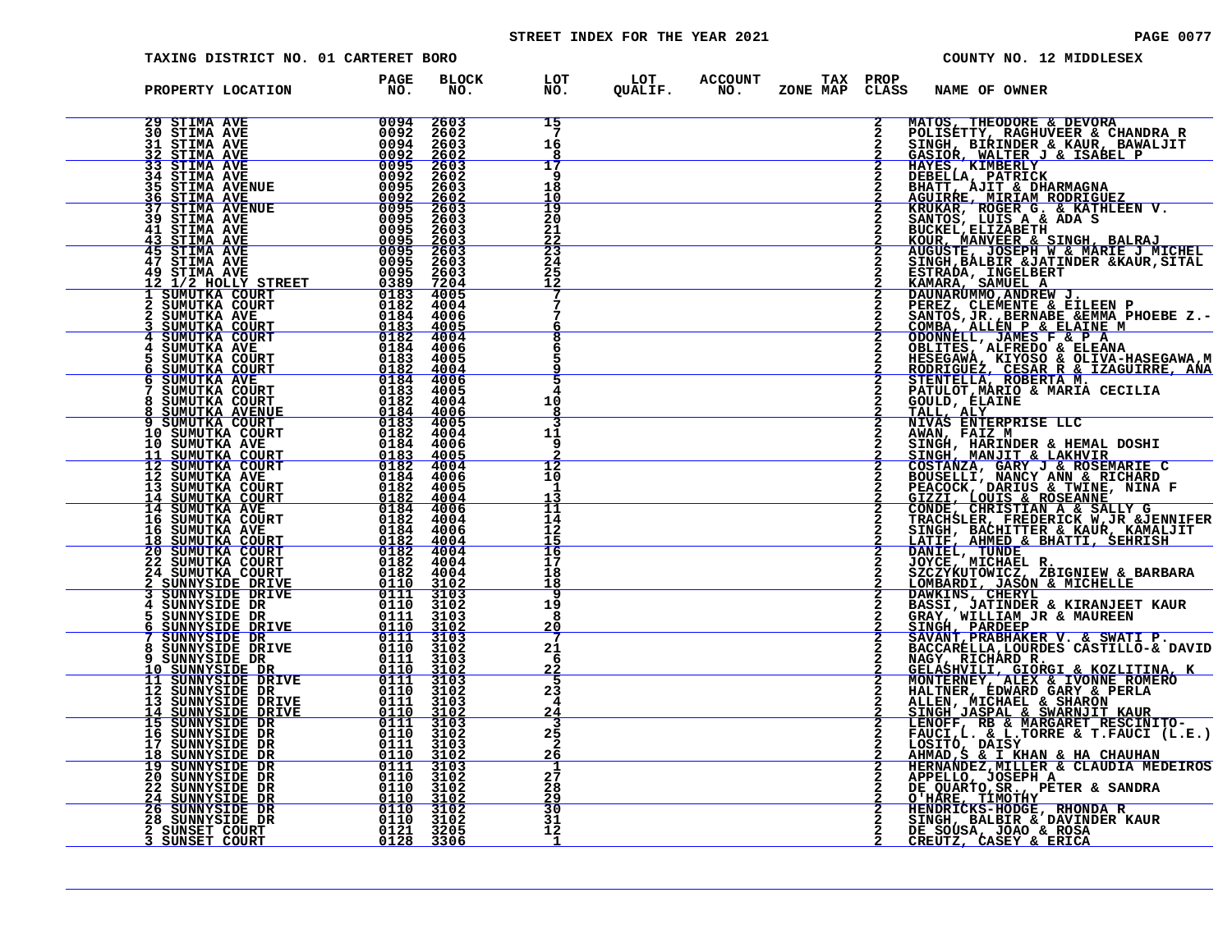# STREET INDEX FOR THE YEAR 2021 **PAGE 10077** PAGE 0077

| TAXING DISTRICT NO. 01 CARTERET BORO                                                                                                                                                                                                                                                                                                                                                                          |                                                                                                                                                                                                 |                                         |                                                    | COUNTY NO. 12 MIDDLESEX                                                                                                                                                                                                                                                         |
|---------------------------------------------------------------------------------------------------------------------------------------------------------------------------------------------------------------------------------------------------------------------------------------------------------------------------------------------------------------------------------------------------------------|-------------------------------------------------------------------------------------------------------------------------------------------------------------------------------------------------|-----------------------------------------|----------------------------------------------------|---------------------------------------------------------------------------------------------------------------------------------------------------------------------------------------------------------------------------------------------------------------------------------|
| PROPERTY LOCATION                                                                                                                                                                                                                                                                                                                                                                                             | <b>BLOCK</b><br>PAGE<br>NO.<br>NO.                                                                                                                                                              | LOT<br>NO.                              | LOT ACCOUNT TAX PROP<br>QUALIF. NO. ZONE MAP CLAS: | CLASS<br><b>NAME OF OWNER</b>                                                                                                                                                                                                                                                   |
| 29 STIMA AVE<br><b>30 STIMA AVE</b><br>31 STIMA AVE<br><u>32 STIMA AVE</u>                                                                                                                                                                                                                                                                                                                                    | $\begin{array}{c}\n\hline\n\hline\n0094\n\end{array}$<br>2603                                                                                                                                   | 15<br>-7<br>16<br>8                     |                                                    | 2<br>MATOS, THEODORE & DEVORA<br>POLISETTY, RAGHUVEER & CHANDRA R<br>SINGH, BIRINDER & KAUR, BAWALJIT<br>GASIOR, WALTER J & ISABEL P                                                                                                                                            |
| <b>33 STIMA AVE</b><br>34 STIMA AVE<br><b>35 STIMA AVENUE</b><br><u>36 STIMA AVE —</u>                                                                                                                                                                                                                                                                                                                        | 2603<br>$\frac{2602}{2603}$                                                                                                                                                                     | 17<br>-9<br>18<br>10                    |                                                    | HAYES, KIMBERLY<br>DEBELLA, PATRICK<br>BHATT, AJIT & DHARMAGNA<br><u>AGUIRRE, MIRIAM RODRIGUEZ</u>                                                                                                                                                                              |
| $\begin{array}{r} 00095 \ 00925 \ 00095 \ 00095 \ 00095 \ 00095 \ 00095 \ 00095 \ 00095 \ 00095 \ 00095 \end{array}$<br><b>37 STIMA AVENUE</b><br>39 STIMA AVE<br>41 STIMA AVE<br><u>43 STIMA AVE</u>                                                                                                                                                                                                         | 2603<br>2603<br>$\frac{2603}{2603}$                                                                                                                                                             | 19<br>20<br>21<br>$\frac{22}{23}$<br>24 |                                                    | KRUKAR, ROGER G. & KATHLEEN V.<br>SANTOS, LUIS A & ADA S<br>BUCKEL, ELIZABETH                                                                                                                                                                                                   |
| <b>45 STIMA AVE</b><br>47 STIMA AVE<br>49 STIMA AVE<br>12 1/2 HOLLY STREET<br>1 SUMUTKA COURT<br>1 SUMUTKA COURT                                                                                                                                                                                                                                                                                              | 2603<br>$\begin{array}{r} 0095 & 2003 \\ \hline 0389 & 7204 \\ \hline 0183 & 4005 \\ \end{array}$                                                                                               | 25<br>12                                |                                                    | <b>KOUR, MANVEER &amp; SINGH, BALRAJ<br/>AUGUSTE, JOSEPH W &amp; MARIE J MICHEL<br/>SINGH, BALBIR &amp;JATINDER &amp;KAUR, SITAL</b><br>ESTRADA, INGELEERT<br>KAMARA, SAMUEL A<br>DAUNARUMMO, ANDREW J.<br>PEREZ, CLEMENTE & EILEEN P<br>SANTOS, JR., BERNABE & EMMA PHOEBE Z.- |
| 2 SUMUTKA COURT<br>2 SUMUTKA AVE<br><u>SUMUTKA COURT</u><br>SUMUTKA COURT                                                                                                                                                                                                                                                                                                                                     | $\begin{array}{r rrrr} & & & & 0182 & 4004 \\ \hline & & & 0184 & 4006 \\ & & & 0183 & 4006 \\ & & & 0183 & 4005 \\ & & & 0182 & 4004 \\ & & & 0182 & 4004 \\ & & & 0184 & 4004 \\ \end{array}$ | 8                                       |                                                    | COMBA, ALLEN P & ELAINE M<br>ODONNELL, JAMES F & P A                                                                                                                                                                                                                            |
| SUMUTKA AVE                                                                                                                                                                                                                                                                                                                                                                                                   | 0184 4006                                                                                                                                                                                       | 5                                       |                                                    | OBLITES, ALFREDO & ELEANA<br>HESEGAWÁ, KIYOSÓ & ÖLIVA-HASEGAWA, M<br>RODRIGUEZ, CESAR R & IZAGUIRRE, ANA<br>STENTELLA, ROBERTA M.<br>PATULOT, MARIO & MARIA CECILIA                                                                                                             |
| $\begin{tabular}{c c c} $4$ \multicolumn{1}{c}{\textbf{3UMUTKA COUT}} \begin{tabular}{c}{\textbf{5.55}} \hline $\mathbf{4}$ & $\mathbf{20} \text{MUTKA COUT} $\\ $4$ \multicolumn{1}{c}{\textbf{3UMUTKA COUT}}$ & $0184$ & $4006$\\ $5$ \multicolumn{1}{c}{\textbf{3UMUTKA COUT}}$ & $0184$ & $4006$\\ $6$ \multicolumn{1}{c}{\textbf{5UMUTKA COUT}}$ & $0182$ & $4004$\\ $7$ \multicolumn{1}{c}{\textbf{5.5$ |                                                                                                                                                                                                 | 10<br>8<br>3<br>11                      |                                                    | GOULD, ELAINE<br>TALL, ALY<br>NIVAS ENTERPRISE LLC                                                                                                                                                                                                                              |
|                                                                                                                                                                                                                                                                                                                                                                                                               |                                                                                                                                                                                                 | 9<br>12<br>10                           |                                                    | AWAN, FAIZ M<br>SINGH, HARINDER & HEMAL DOSHI<br>SINGH, MANJIT & LAKHVIR<br>COSTANZA, GARY J & ROSEMARIE C<br>BOUSELLI, NANCY ANN & RICHARD                                                                                                                                     |
|                                                                                                                                                                                                                                                                                                                                                                                                               |                                                                                                                                                                                                 | -1<br>13<br>11<br>14<br>12              |                                                    | PEACOCK, DARIUS & TWINE, NINA F<br>GIZZI, LOUIS & ROSEANNE<br>CONDE, CHRISTIAN A & SALLY G<br>TRACHSLER, FREDERICK W, JR & JENNIFER<br>SINGH, BACHITTER & KAUR, KAMALJIT                                                                                                        |
|                                                                                                                                                                                                                                                                                                                                                                                                               |                                                                                                                                                                                                 | 15<br>16<br>17<br>18                    |                                                    | LATIF, AHMED & BHATTI, SEHRISH<br>DANIEL, TUNDE<br>DANIEL, TUNDE<br>SZCZYKUTOWICZ, ZBIGNIEW & BARBARA<br><u>LOMBARD</u> I, <u>JASON &amp; MICHELLE</u>                                                                                                                          |
|                                                                                                                                                                                                                                                                                                                                                                                                               |                                                                                                                                                                                                 | 18<br>9<br>19<br>8                      |                                                    | DAWKINS, CHERYL<br>BASSI, JATINDER & KIRANJEET KAUR                                                                                                                                                                                                                             |
|                                                                                                                                                                                                                                                                                                                                                                                                               |                                                                                                                                                                                                 | <u> 20</u><br>21<br>-6<br><u>22</u>     |                                                    | GRAY, WILLIAM JR & MAUREEN<br>SINGH, PARDEEP<br>SAVANT, PRABHAKER V. & SWATI P.<br>BACCARELLA, LOURDES CASTILLO-& DAVID<br>NAGY, RICHARD R.                                                                                                                                     |
|                                                                                                                                                                                                                                                                                                                                                                                                               |                                                                                                                                                                                                 | 5<br>23<br>4<br>24                      |                                                    | GELASHVILI, GIORGI & KOZLITINA, K<br>MONTERNEY, ALEX & IVONNE ROMERO<br>HALTNER, EDWARD GARY & PERLA<br>ALLEN, MICHAEL & SHARON SINGH JASPAL & SWARNJIT KAUR                                                                                                                    |
| 15 SUNNYSIDE DR<br>16 SUNNYSIDE DR<br>17 SUNNYSIDE DR<br>18 SUNNYSIDE DR<br>19 SUNNYSIDE DR                                                                                                                                                                                                                                                                                                                   | 0111 3103<br>$01\bar{10}$ $3\bar{10}2$<br>0111<br>3103<br>$\frac{0110}{0111}$ $\frac{3102}{3103}$                                                                                               | $\frac{25}{2}$<br><u> 26</u><br>1       |                                                    | LENOFF, RB & MARGARET RESCINITO-<br>FAUCI, $L$ . & $L$ . TORRE & T. FAUCI $(L.E.)$<br>LOSITÓ, DAISY<br>AHMAD, S & I KHAN & HA CHAUHAN<br>HERNANDEZ, MILLER & CLAUDIA MEDEIROS                                                                                                   |
| <b>20 SUNNYSIDE DR<br/>22 SUNNYSIDE DR<br/>24 SUNNYSIDE DR</b>                                                                                                                                                                                                                                                                                                                                                | 0110 3102<br>0110 3102<br><u>0110 3102</u>                                                                                                                                                      | 27<br>28<br>29<br>30                    |                                                    | APPELLO, JOSEPH A<br>DE QUARTO, SR., PETER & SANDRA<br><u>O'HARE, TIMOTHY</u>                                                                                                                                                                                                   |
| 26 SUNNYSIDE DR<br>28 SUNNYSIDE DR<br>2 SUNSET COURT<br>SUNSET COURT                                                                                                                                                                                                                                                                                                                                          | $\begin{array}{r} \begin{array}{r} 0110 & 3102\ 0110 & 3102\ 0121 & 3205\ \hline 0128 & 3306 \end{array} \end{array}$                                                                           | 31<br>12<br>1                           |                                                    | HENDRICKS-HODGE, RHONDA R<br>SINGH, BALBIR & DAVINDER KAUR<br>DE SOÚSA, JOAO & ROSA<br>CREUTZ, CASEY & ERICA                                                                                                                                                                    |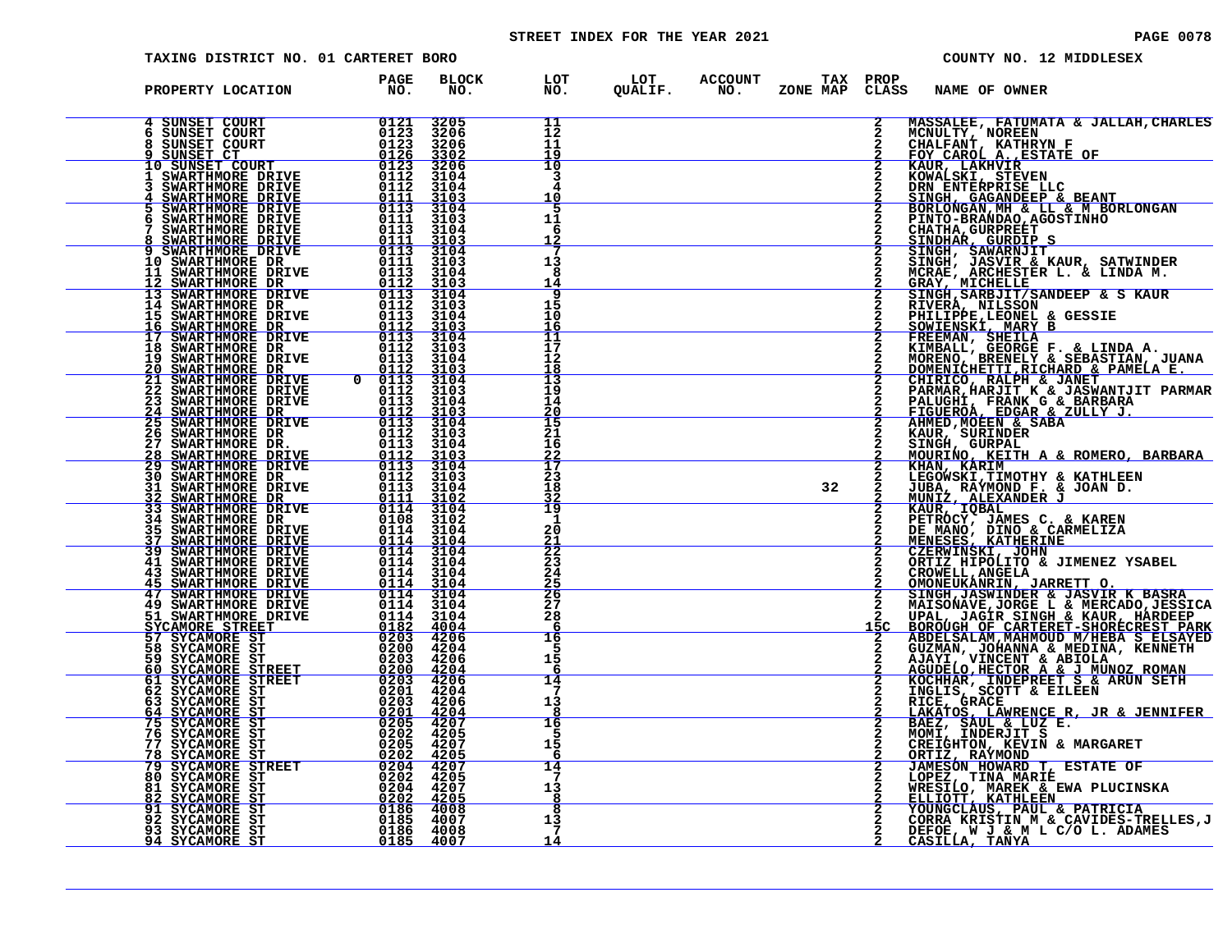# STREET INDEX FOR THE YEAR 2021 **PAGE 10078** PAGE 0078

| TAXING DISTRICT NO. 01 CARTERET BORO                                                                                                                                                                                     |                                                                                                                                                                                                                                                                                                                                                                                                                                                                                                                |                                                         |                                   |                                                    |    |                     |                                                                                 | COUNTY NO. 12 MIDDLESEX                                                                                                                                                                                                                                   |
|--------------------------------------------------------------------------------------------------------------------------------------------------------------------------------------------------------------------------|----------------------------------------------------------------------------------------------------------------------------------------------------------------------------------------------------------------------------------------------------------------------------------------------------------------------------------------------------------------------------------------------------------------------------------------------------------------------------------------------------------------|---------------------------------------------------------|-----------------------------------|----------------------------------------------------|----|---------------------|---------------------------------------------------------------------------------|-----------------------------------------------------------------------------------------------------------------------------------------------------------------------------------------------------------------------------------------------------------|
| PROPERTY LOCATION                                                                                                                                                                                                        | PAGE<br>NO <sub>z</sub>                                                                                                                                                                                                                                                                                                                                                                                                                                                                                        | <b>BLOCK</b><br>NO.                                     | LOT<br>NO.                        | LOT ACCOUNT TAX PROP<br>QUALIF. NO. ZONE_MAP CLAS: |    | CLASS               | NAME OF OWNER                                                                   |                                                                                                                                                                                                                                                           |
| 4 SUNSET COURT<br>SUNSET COURT<br>SUNSET COURT<br>SUNSET CT                                                                                                                                                              | 0121<br>$0123\n0123\n0126$                                                                                                                                                                                                                                                                                                                                                                                                                                                                                     | 3205<br>3206<br>3206<br>3302                            | 11<br>12<br>11<br>19              |                                                    |    | $\overline{2}$      |                                                                                 | <b>MASSALEE, FATUMATA &amp; JALLAH, CHARLES<br/>MCNULTY, NOREEN<br/>CHALFANT, KATHRYN F<br/>FOY CAROL A., ESTATE OF</b>                                                                                                                                   |
| 3 SUNSET COURT 10<br>10 SUNSET COURT 10123<br>1 SWARTHMORE DRIVE 112<br>3 SWARTHMORE DRIVE 1111<br>4 SWARTHMORE DRIVE 1111<br><b>SWARTHMORE DRIVE<br/>SWARTHMORE DRIVE<br/>SWARTHMORE DRIVE</b>                          | $\begin{array}{c} 0112 \\ 0111 \\ 0111 \\ \hline 0113 \end{array}$                                                                                                                                                                                                                                                                                                                                                                                                                                             | 3206<br>3104<br>3104                                    | 10<br>3<br>10                     |                                                    |    |                     | KAUR, LAKHVIR<br>KOWALSKI, STEVEN                                               | DRN ENTERPRISE LLC<br>SINGH, GAGANDEEP & BEANT<br>BORLONGAN, MH & LL & M BORLONGAN                                                                                                                                                                        |
| SWARTHMORE DRIVE<br>SWARTHMORE DRIVE                                                                                                                                                                                     | 0111<br>0113                                                                                                                                                                                                                                                                                                                                                                                                                                                                                                   | $\frac{3\bar{1}\breve{0}\bar{3}}{3104}$<br>3103<br>3104 | -5<br>11<br>6<br>12               |                                                    |    |                     | PINTO-BRANDAO, AGOSTINHO<br><b>CHATHA, GURPREET</b>                             |                                                                                                                                                                                                                                                           |
| <b>8 SWARTHMORE DRIVE</b><br>9 SWARTHMORE DRIVE<br><b>10 SWARTHMORE DR</b><br>11 SWARTHMORE DRIVE<br>12 SWARTHMORE DR                                                                                                    | $\frac{0111}{0113}$<br>0111<br>$\frac{0113}{0112}$                                                                                                                                                                                                                                                                                                                                                                                                                                                             | $\frac{3103}{3104}$<br>3103<br>3104<br>3103             | 13<br>8<br>14                     |                                                    |    |                     |                                                                                 |                                                                                                                                                                                                                                                           |
| <b>13 SWARTHMORE DRIVE<br/>14 SWARTHMORE DR<br/>15 SWARTHMORE DRIVE</b>                                                                                                                                                  | $\frac{0113}{0112}$<br>0112                                                                                                                                                                                                                                                                                                                                                                                                                                                                                    | $\frac{3104}{3103}$<br>3104                             | q<br>15<br>10<br><u> 16</u>       |                                                    |    |                     |                                                                                 | CHATHA, GURPREET<br>SINDHAR, GURDIP S<br>SINGH, SAWARNJIT<br>SINGH, JASVIR & KAUR, SATWINDER<br>MCRAE, ARCHESTER L. & LINDA M.<br>GRAY, MICHELLE<br>SINGH, SARBJIT/SANDEEP & S KAUR<br>RIUGH, SARBJIT/SANDEEP & S KAUR<br>PHILIPPE,LEONEL & GESSIE<br>SOW |
| 16 SWARTHMORE DR<br>17 SWARTHMORE DRIVE<br>18 SWARTHMORE DR<br>19 SWARTHMORE DRIVE<br><u>20 SWARTHMORE DR</u>                                                                                                            | $\frac{0112}{0113}$<br>$\begin{array}{c} 0112 \\ 0113 \\ 0112 \end{array}$                                                                                                                                                                                                                                                                                                                                                                                                                                     | $\frac{3103}{3104}$<br>3103<br>3104<br>3103             | īī<br>17<br>12<br>18              |                                                    |    |                     |                                                                                 | KIMBALL, GEORGE F. & LINDA A.<br>MORENO, BRENELY & SEBASTIAN, JUANA<br><u>DOMENICHETTI,RICHARD &amp; PAMELA E.</u>                                                                                                                                        |
| 21 SWARTHMORE DRIVE<br>22 SWARTHMORE DRIVE<br><b>23 SWARTHMORE DRIVE</b><br><b>24 SWARTHMORE DR<br/> 25 SWARTHMORE DRIVE</b>                                                                                             | $\begin{array}{r} 0 & 0113 \ 0 & 0112 \ 0113 \ 0113 \ 0113 \end{array}$<br>$\frac{0113}{0112}$                                                                                                                                                                                                                                                                                                                                                                                                                 | 3104<br>3103<br>3104                                    | 13<br>19<br>14<br>20              |                                                    |    |                     | PALUGHI, FRANK G & BARBARA<br>FIGUEROA, EDGAR & ZULLY J.<br>AHMED, MOEEN & SABA | <b>CHIRICO, RALPH &amp; JANET<br/>PARMAR, HARJIT K &amp; JASWANTJIT PARMAR</b>                                                                                                                                                                            |
| <b>26 SWARTHMORE DR</b><br>27 SWARTHMORE DR.                                                                                                                                                                             | 0112<br>0113                                                                                                                                                                                                                                                                                                                                                                                                                                                                                                   | $\frac{3\bar{1}\dot{0}\bar{3}}{3104}$<br>3103<br>3104   | $\overline{15}$<br>21<br>16       |                                                    |    | $\mathbf{2}$        | KAUR, SURINDER<br>SINGH, GURPAL                                                 |                                                                                                                                                                                                                                                           |
| 28 SWARTHMORE DRIVE<br>29 SWARTHMORE DRIVE<br>29 SWARTHMORE DRIVE<br>31 SWARTHMORE DRIVE<br>32 SWARTHMORE DRIVE<br>32 SWARTHMORE DR                                                                                      | 0113<br>0111                                                                                                                                                                                                                                                                                                                                                                                                                                                                                                   | $\frac{3103}{3104}$<br>3103<br>3104<br>3102             | $\frac{22}{17}$<br>23<br>18<br>32 |                                                    | 32 |                     | JUBA, RAÝMOND F. & JOAN D.<br>MUNIZ, ALEXANDER J                                | MOURINO, KEITH A & ROMERO, BARBARA<br>KHAN, KARIM<br>LEGOWSKI,TIMOTHY & KATHLEEN<br>LEGOWSKI,TIMOTHY & KATHLEEN                                                                                                                                           |
| 33 SWARTHMORE DRIVE<br>34 SWARTHMORE DR___<br>35 SWARTHMORE DRIVE                                                                                                                                                        | $\begin{array}{r} 0114 & 3104 \\ 0108 & 3102 \\ 0114 & 3104 \end{array}$                                                                                                                                                                                                                                                                                                                                                                                                                                       |                                                         | 19<br>1<br>20<br>$rac{21}{22}$    |                                                    |    |                     | KAUR, IQBAL<br>PETROCY, JAMES C. & KAREN<br>DE MANO, DINO & CARMELIZA           |                                                                                                                                                                                                                                                           |
| 37 SWARTHMORE DRIVE<br>39 SWARTHMORE DRIVE<br><b>39 SWARTHMORE DRIVE<br/>41 SWARTHMORE DRIVE<br/>43 SWARTHMORE DRIVE<br/>45 SWARTHMORE DRIVE<br/>47 SWARTHMORE DRIVE<br/>49 SWARTHMORE DRIVE<br/>51 SWARTHMORE DRIVE</b> | $0114$ $3104$<br>0114 3104<br>$0114$<br>$0114$<br>$0114$                                                                                                                                                                                                                                                                                                                                                                                                                                                       | 3104<br>3104<br>3104                                    | 23<br>24<br>25                    |                                                    |    |                     | CROWELL, ANGELA<br><u>OMONEUKANRIN, JARRETT O.</u>                              | MENESES, KATHERINE<br>CZERWINSKI, JOHN<br>ORTIZ HIPOLITO & JIMENEZ YSABEL                                                                                                                                                                                 |
| SYCAMORE STREET<br>57 SYCAMORE ST                                                                                                                                                                                        | $\begin{array}{ c} \hline 0114 & 3104 \\ 0114 & 3104 \end{array}$<br>$\begin{array}{rrrr} 0114 & 3104 \\ 0182 & 4004 \\ \hline 0203 & 4206 \end{array}$                                                                                                                                                                                                                                                                                                                                                        |                                                         | 26<br>27<br>28<br>6               |                                                    |    | $\mathbf{2}$<br>15C |                                                                                 | SINGH, JASWINDER & JASVIR K BASRA<br>MAISONAVE, JORGE L & MERCADO, JESSICA<br>UPAL, JAGIR SINGH & KAUR, HARDEEP<br>BOROUGH OF CARTERET-SHORECREST PARK<br>ABDELSALAM, MAHMOUD M/HEBA S ELSAYED                                                            |
| 58 SYCAMORE ST<br>59 SYCAMORE ST                                                                                                                                                                                         | 0200 4204<br>$0203$ 4206                                                                                                                                                                                                                                                                                                                                                                                                                                                                                       |                                                         | 16<br>5<br>15<br>6                |                                                    |    |                     |                                                                                 | GUZMAN, JOHANNA & MEDINA, KENNETH<br>AJAYI, VINCENT & ABIOLA<br>AGUDELO,HECTOR A & J MUNOZ ROMAN<br>KOCHHAR, INDEPREET S & ARUN SETH<br>INGLIS, SCOTT & EILEEN                                                                                            |
| 60 SYCAMORE STREET<br>61 SYCAMORE STREET<br>62 SYCAMORE ST<br>63 SYCAMORE ST<br>64 SYCAMORE ST                                                                                                                           | $\begin{array}{@{}ccc@{\hspace{1em}}c@{\hspace{1em}}c@{\hspace{1em}}c@{\hspace{1em}}c@{\hspace{1em}}c@{\hspace{1em}}c@{\hspace{1em}}c@{\hspace{1em}}c@{\hspace{1em}}c@{\hspace{1em}}c@{\hspace{1em}}c@{\hspace{1em}}c@{\hspace{1em}}c@{\hspace{1em}}c@{\hspace{1em}}c@{\hspace{1em}}c@{\hspace{1em}}c@{\hspace{1em}}c@{\hspace{1em}}c@{\hspace{1em}}c@{\hspace{1em}}c@{\hspace{1em}}c@{\hspace{1em}}c@{\hspace{$<br>$\begin{array}{rrrr} 0203 & 4206 \\ 0201 & 4204 \\ 0205 & 4207 \\ 0202 & 4205 \end{array}$ |                                                         | 14<br>7<br>13<br>8                |                                                    |    |                     |                                                                                 |                                                                                                                                                                                                                                                           |
| 75 SYCAMORE ST<br>76 SYCAMORE ST<br>77 SYCAMORE ST<br>SYCAMORE ST<br>78                                                                                                                                                  | 0205 4207<br>$\begin{array}{@{}c@{\hspace{1em}}c@{\hspace{1em}}c@{\hspace{1em}}c@{\hspace{1em}}c@{\hspace{1em}}c@{\hspace{1em}}c@{\hspace{1em}}c@{\hspace{1em}}c@{\hspace{1em}}c@{\hspace{1em}}c@{\hspace{1em}}c@{\hspace{1em}}c@{\hspace{1em}}c@{\hspace{1em}}c@{\hspace{1em}}c@{\hspace{1em}}c@{\hspace{1em}}c@{\hspace{1em}}c@{\hspace{1em}}c@{\hspace{1em}}c@{\hspace{1em}}c@{\hspace{1em}}c@{\hspace{1em}}c@{\hspace{$                                                                                    |                                                         | 16<br>5<br>15<br>6                |                                                    |    |                     | ORTIZ, RAÝMOND<br>JAMESÓN HOWARD T, ESTATE OF                                   | INGLIS, SUCHT & SILEMA<br>RICE, GRACE<br>LAKATOS, LAWRENCE R, JR & JENNIFER<br>BAEZ, SAUL & LUZ E.<br>MOMI, INDERJIT S<br>CREIGHTON, KEVIN & MARGARET<br>CREIGHTON, KEVIN & MARGARET                                                                      |
| 79 SYCAMORE STREET<br>80 SYCAMORE ST<br>81 SYCAMORE ST<br>82 SYCAMORE ST                                                                                                                                                 | $\begin{array}{r} 0202 & 4205\ 0204 & 4207\ 0202 & 4205\ 0186 & 4008\ 0185 & 4007\ \end{array}$                                                                                                                                                                                                                                                                                                                                                                                                                |                                                         | 14<br>7<br>13<br>8                |                                                    |    |                     |                                                                                 | LOPEZ, TINA MARIÉ<br>WRESILO, MAREK & EWA PLUCINSKA<br><u>ELLIOTT, KATHLEEN</u>                                                                                                                                                                           |
| 91 SYCAMORE ST<br>92 SYCAMORE ST<br>93 SYCAMORE ST<br><u>94 SYCAMORE ST</u>                                                                                                                                              | 0186 4008<br>0185 4007                                                                                                                                                                                                                                                                                                                                                                                                                                                                                         |                                                         | 8<br>13<br>7<br>14                |                                                    |    |                     |                                                                                 | YOUNGCLAUS, PAUL & PATRICIA<br>CORRA KRISTIN M & CAVIDES-TRELLES, J<br>DEFOE, W J & M L C/O L. ADAMES<br>CASILLA, TANYA                                                                                                                                   |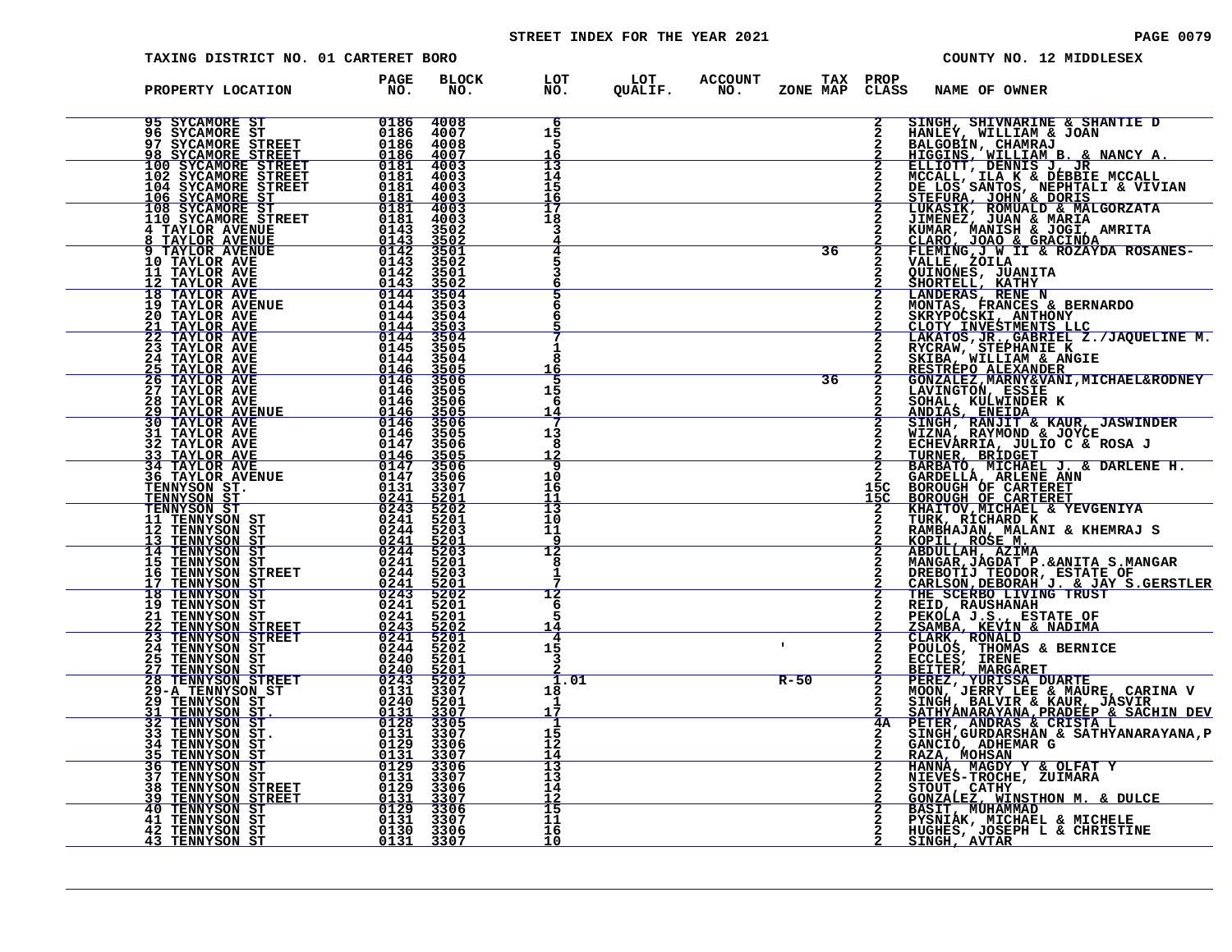# STREET INDEX FOR THE YEAR 2021 **PAGE 10079** PAGE 0079

| TAXING DISTRICT NO. 01 CARTERET BORO                                                                                                                                                                                                                                                                                         |                                                                                                                                               |                                                      |                                                                                           | COUNTY NO. 12 MIDDLESEX                                                                                                                                                                                                                                                    |
|------------------------------------------------------------------------------------------------------------------------------------------------------------------------------------------------------------------------------------------------------------------------------------------------------------------------------|-----------------------------------------------------------------------------------------------------------------------------------------------|------------------------------------------------------|-------------------------------------------------------------------------------------------|----------------------------------------------------------------------------------------------------------------------------------------------------------------------------------------------------------------------------------------------------------------------------|
| PROPERTY LOCATION PAGE NO.                                                                                                                                                                                                                                                                                                   |                                                                                                                                               |                                                      | BLOCK LOT LOT ACCOUNT TAX PROP NAME OF OWNER NO. QUALIF. NO. ZONE MAP CLASS NAME OF OWNER |                                                                                                                                                                                                                                                                            |
| 95 SYCAMORE ST 0186 4008<br>96 SYCAMORE ST 0186 4007<br>97 SYCAMORE STREET 0186 4008<br>98 SYCAMORE STREET 0186 4007<br>100 SYCAMORE STREET 0181 4003<br>102 SYCAMORE STREET 0181 4003<br>106 SYCAMORE STREET 0181 4003<br>106 SYCAMORE STRE                                                                                 |                                                                                                                                               | 6<br>15<br>5                                         |                                                                                           | $\overline{2}$<br>SINGH, SHIVNARINE & SHANTIE D<br>HANLEY, WILLIAM & JOAN<br>BALGOBIN, CHAMRAJ<br>HIGGINS, WILLIAM B. & NANCY A.<br>ELLIOTT, DENNIS J, JR<br>MCCALL, ILA K & DEBBIE MCCALL<br>DE LOS SANTOS, NEPHTALI & VIVIAN<br>STEFURA, JOHN & DORIS<br>LUKASIK, ROMU   |
|                                                                                                                                                                                                                                                                                                                              |                                                                                                                                               | 13<br>$\overline{1}\overline{4}$<br>15<br><u> 16</u> |                                                                                           |                                                                                                                                                                                                                                                                            |
| <b>108 STCAMORE ST<br/>110 SYCAMORE STREET<br/>4 TAYLOR AVENUE<br/>8 TAYLOR AVENUE</b>                                                                                                                                                                                                                                       | 0143<br>3502                                                                                                                                  | ī7<br>18<br>3                                        |                                                                                           | JIMENEZ, JUAN & MARIA<br>KUMAR, MANISH & JOGI, AMRITA                                                                                                                                                                                                                      |
| 8 TAYLOR AVENUE<br>9 TAYLOR AVENUE<br>10 TAYLOR AVE<br>11 TAYLOR AVE<br>12 TAYLOR AVE                                                                                                                                                                                                                                        | $\frac{0143}{0142}$<br>0143<br>$\frac{3502}{3501}$<br>$\begin{array}{r}0142\\0143\\0142\\0142\\0143\\0143\end{array}$<br>3502<br>3501<br>3502 |                                                      | 36                                                                                        |                                                                                                                                                                                                                                                                            |
| 18 TAYLOR AVE<br>19 TAYLOR AVENUE<br>20 TAYLOR AVE                                                                                                                                                                                                                                                                           | 0144<br>3504<br>0144<br>3503<br>0144<br>3504<br>$\frac{3503}{3504}$                                                                           |                                                      |                                                                                           | KUMAR, MANISH & JOGI, AMRITA<br>CLARO, JOAO & GRACINDA<br>FLEMING,J W II & ROZAYDA ROSANES-<br>VALLE, ZOILA<br>QUINONES, JUANITA<br>GHORTELL, KATHY<br>MONTAS, FRANCES & BERNARDO<br>MONTAS, FRANCES & BERNARDO<br>SKRYPOCSKI, ANTHONY<br>CLOTY INVESTMEN                  |
| $\begin{tabular}{c c c} $16$~H41UCK AVE & $0144$ \\[-0.2cm] \hline 21$~TAYLOR AVE & $0144$ \\[-0.2cm] 22$~TAYLOR AVE & $0144$ \\[-0.2cm] 23$~TAYLOR AVE & $0144$ \\[-0.2cm] 24$~TAYLOR AVE & $0144$ \\[-0.2cm] 25$~TAYLOR AVE & $0146$ \\[-0.2cm] 26$~TAYLOR AVE & $0146$ \\[-0.2cm] 27$~TAYLOR AVE & $0146$ \\[-0.2cm] 28$$ | 3505<br>3504<br>3505                                                                                                                          | 16                                                   |                                                                                           |                                                                                                                                                                                                                                                                            |
|                                                                                                                                                                                                                                                                                                                              | 3506<br>3505<br>3506<br>3505                                                                                                                  | 5<br>15<br>6<br>14                                   | 36                                                                                        | KESTREPO ALEXANDER<br>CONZALEZ, MARNY&VANI, MICHAEL&RODNEY<br>LAVINGTON, ESSIE<br>SOHAL, KULWINDER K<br>ANDIAS, ENEIDA<br>SINGH, RANJIT & KAUR, JASWINDER<br>WIZNA, RAYMOND & JOYCE<br>ECHEVARRIA, JULIO C & ROSA J<br>ETEVARRIA, JULIO C & ROSA J<br>TUB<br>$\frac{2}{2}$ |
|                                                                                                                                                                                                                                                                                                                              | 3506<br>3505<br>3506<br>$\frac{3505}{3506}$                                                                                                   | 13<br>8<br>12                                        |                                                                                           |                                                                                                                                                                                                                                                                            |
|                                                                                                                                                                                                                                                                                                                              | 3506<br>3307<br>5201                                                                                                                          | q<br>10<br>16<br>11                                  |                                                                                           | TURNER, BRIDGET<br>BARBATO, MICHAEL J. & DARLENE H.<br>GARDELLA, ARLENE ANN<br>15C BOROUGH OF CARTERET<br><u>15C BOROUGH OF CARTERET</u>                                                                                                                                   |
|                                                                                                                                                                                                                                                                                                                              | $\frac{5202}{5201}$<br>5203<br>$\frac{5201}{5203}$                                                                                            | 13<br>10<br>11<br>9<br>$\overline{12}$               |                                                                                           | ENAITOV, MICHAEL & YEVGENIYA<br>TURK, RICHARD K<br>RAMBHAJAN, MALANI & KHEMRAJ S<br>ROPIL, ROSE M.<br>ABDULLAH, AZIMA                                                                                                                                                      |
| 15 TENNYSON ST<br><b>16 TENNYSON STREET</b><br><u>17 TENNYSON ST</u>                                                                                                                                                                                                                                                         | $0241\n0244\n0243\n0243\n0241\n0241$<br>5201<br>5203<br>$\frac{\frac{5201}{5202}}{\frac{5202}{5201}}$                                         | 8<br>-1<br>12                                        |                                                                                           | MANGAR, AZILMA<br>DREBOTIJ TEODOR, ESTATE OF<br>CARLSON, DEBORAH J. & JAY S.GERSTLER<br>THE SCERBO LIVING TRUST<br>REID, RAUSHANAH<br>REID, RAUSHANAH                                                                                                                      |
| 18 TENNYSON ST<br>19 TENNYSON ST<br>21 TENNYSON ST<br><b>22 TENNYSON STREET</b><br><b>23 TENNYSON STREET</b>                                                                                                                                                                                                                 | 0241<br>5201<br>$\frac{0\bar{2}\bar{4}\bar{3}}{0\bar{2}\bar{4}\bar{1}}$                                                                       | 6<br>5<br>14<br>4                                    |                                                                                           | PEKOLA J.S., ESTATE OF<br>ZSAMBA, KEVIN & NADIMA<br>CLARK, RONALD                                                                                                                                                                                                          |
| <b>24 TENNYSON ST<br/>25 TENNYSON ST</b>                                                                                                                                                                                                                                                                                     | $\begin{array}{r} 5202 \\ 5201 \\ 5202 \\ 5202 \\ 5201 \end{array}$<br>0244<br>0240                                                           | 15<br>3<br>1.01                                      | $\mathbf{r}$<br>$R - 50$                                                                  | POULOS, THOMAS & BERNICE<br>ECCLES, IRENE                                                                                                                                                                                                                                  |
|                                                                                                                                                                                                                                                                                                                              |                                                                                                                                               | 18<br>ำ<br>17<br>-1                                  |                                                                                           |                                                                                                                                                                                                                                                                            |
| 25 TENNYSON ST<br>27 TENNYSON ST<br>27 TENNYSON ST<br>28 TENNYSON STREET<br>29 - A TENNYSON STREET<br>29 - A TENNYSON ST<br>29 TENNYSON ST<br>32 TENNYSON ST<br>32 TENNYSON ST<br>33 TENNYSON ST<br>34 TENNYSON ST<br>35 TENNYSON ST<br>36 TENNYSON ST                                                                       |                                                                                                                                               | 15<br>12<br><u> 14</u><br>13                         |                                                                                           | 2 ECCLES, IRENE<br>2 BEITER, MARGARET<br>2 BEITER, MARGARET<br>2 MOON, JERRY LEE & MAURE, CARINA V<br>2 MOON, JERRY LEE & MAURE, CARINA V<br>2 SATHYANARAYANA, PRADEEP & SACHIN DEV<br>4A PETER, ANDRAS & CRISTA L<br>2 GANCIO, ADHEMAR & SA                               |
|                                                                                                                                                                                                                                                                                                                              |                                                                                                                                               | 13<br>14<br>15                                       |                                                                                           | NIEVES-TROCHE, ZUIMARA                                                                                                                                                                                                                                                     |
|                                                                                                                                                                                                                                                                                                                              |                                                                                                                                               | 11<br>16<br>10                                       |                                                                                           | BASIT, MUHAMMAD<br>PYSNIAK, MICHAEL & MICHELE<br>HUGHES, JOSEPH L & CHRISTINE<br>SINGH, AVTAR                                                                                                                                                                              |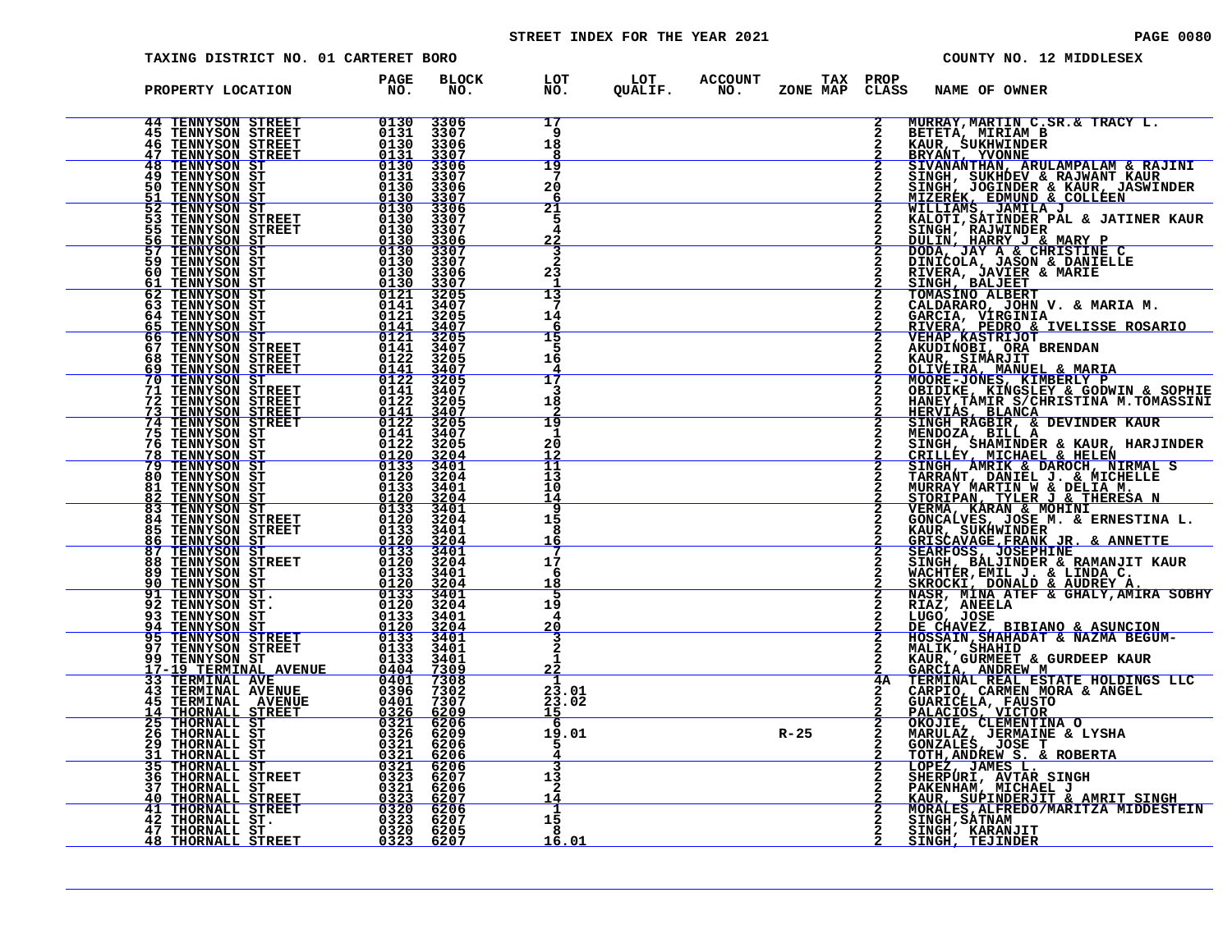# STREET INDEX FOR THE YEAR 2021 **PAGE 10080** PAGE 0080

| TAXING DISTRICT NO. 01 CARTERET BORO                                                                                                                                                                                                                                                                     |                                                                               |                                     |                             |                                         |                |                 | COUNTY NO. 12 MIDDLESEX                                                                                                                                                                                                                                                       |
|----------------------------------------------------------------------------------------------------------------------------------------------------------------------------------------------------------------------------------------------------------------------------------------------------------|-------------------------------------------------------------------------------|-------------------------------------|-----------------------------|-----------------------------------------|----------------|-----------------|-------------------------------------------------------------------------------------------------------------------------------------------------------------------------------------------------------------------------------------------------------------------------------|
| PROPERTY LOCATION                                                                                                                                                                                                                                                                                        | <b>PAGE<br/>NO.</b>                                                           | <b>BLOCK</b><br>NO.                 |                             | LOT LOT ACCOUNT<br>NO. QUALIF. NO. ZONE | ZONE MAP CLASS | TAX PROP        | <b>NAME OF OWNER</b>                                                                                                                                                                                                                                                          |
| <b>44 TENNYSON STREET</b><br><b>45 TENNYSON STREET</b>                                                                                                                                                                                                                                                   | 0130<br>0131                                                                  | 3306<br>3307                        | 17<br>-9                    |                                         |                |                 | MURRAY, MARTIN C.SR.& TRACY L.<br>MURRAY, MARTIN C. SR. & TRACY L.<br>BETETA (MIRIAM BRACY L. BETETA MIRIAM BRAZINI E BAJINI BRAZINIAN E BAJINI<br>SEVANA TEVONINE E DELENATION & ENINE NATION<br>SIYARANTIRAN'I COLLER<br>SIYARANTIRAN'I COLLER<br>SIYARANTIRAN'I COLLER<br> |
| TENNYSON STREET<br>46<br><b>47 TENNYSON STREET</b>                                                                                                                                                                                                                                                       | $\frac{\substack{0130\\0131}}{\substack{0130\\0130}}$                         | 3306<br>3307                        | 18<br>8                     |                                         |                |                 |                                                                                                                                                                                                                                                                               |
| <b>48 TENNYSON ST<br/>49 TENNYSON ST</b><br><b>50 TENNYSON ST</b>                                                                                                                                                                                                                                        | 0131<br>0130                                                                  | 3306<br>3307<br>3306                | 19<br>20                    |                                         |                |                 |                                                                                                                                                                                                                                                                               |
| TENNYSON ST<br>51<br>$\frac{1}{5}$<br>TENNYSON ST                                                                                                                                                                                                                                                        | $\frac{0130}{0130}$                                                           | $\frac{3307}{3306}$                 | 6<br>$\overline{21}$        |                                         |                |                 |                                                                                                                                                                                                                                                                               |
| 53 TENNYSON STREET<br>55 TENNYSON STREET                                                                                                                                                                                                                                                                 | 0130<br>0130                                                                  | 3307<br>3307<br>3306                | 5<br>4                      |                                         |                |                 |                                                                                                                                                                                                                                                                               |
| 56 TENNYSON ST<br>57 TENNYSON ST<br>59 TENNYSON ST                                                                                                                                                                                                                                                       | 0130<br>0130                                                                  | 3307<br>3307                        | $\frac{22}{3}$<br>$\bar{2}$ |                                         |                |                 |                                                                                                                                                                                                                                                                               |
| <b>TENNYSON ST<br/>TENNYSON ST</b><br>60.<br>61                                                                                                                                                                                                                                                          |                                                                               | 3306<br>3307                        | 23                          |                                         |                |                 |                                                                                                                                                                                                                                                                               |
| 62<br>TENNYSON ST<br>TENNYSON ST<br>TENNYSON ST<br>63<br>64                                                                                                                                                                                                                                              | 0130<br>0130<br>0121<br>0141<br>0121                                          | 3205<br>3407<br>3205                | 13<br>14                    |                                         |                |                 |                                                                                                                                                                                                                                                                               |
| $\frac{65}{66}$<br><b>TENNYSON ST<br/>TENNYSON ST</b>                                                                                                                                                                                                                                                    |                                                                               | $\frac{3407}{3205}$                 | 6<br>15                     |                                         |                |                 |                                                                                                                                                                                                                                                                               |
| <b>TENNYSON STREET<br/>TENNYSON STREET<br/>TENNYSON STREET<br/>TENNYSON ST</b><br>67<br>68                                                                                                                                                                                                               |                                                                               | 3407<br>3205                        | 5<br>16                     |                                         |                |                 |                                                                                                                                                                                                                                                                               |
| <u>69</u><br>70<br>TENNYSON ST<br>TENNYSON STREET<br>71                                                                                                                                                                                                                                                  |                                                                               | $\frac{3407}{3205}$<br>3407         | 17<br>3                     |                                         |                |                 |                                                                                                                                                                                                                                                                               |
| 72                                                                                                                                                                                                                                                                                                       |                                                                               | 3205                                | 18                          |                                         |                |                 |                                                                                                                                                                                                                                                                               |
| $\frac{73}{74}$<br>75                                                                                                                                                                                                                                                                                    | 01211<br>01211<br>01211<br>01221<br>01221<br>01221<br>01221<br>01220<br>01220 | $\frac{3407}{3205}$<br>3407<br>3205 | $\overline{19}$<br>וי       |                                         |                |                 |                                                                                                                                                                                                                                                                               |
| 76<br>78<br>79                                                                                                                                                                                                                                                                                           | $\begin{array}{r} 0120 \\ 0133 \\ 0133 \\ 0120 \end{array}$                   | $\frac{3204}{3401}$                 | 20<br>12<br>īī              |                                         |                |                 |                                                                                                                                                                                                                                                                               |
| <b>TENNYSON STREET<br/>TENNYSON STREET<br/>TENNYSON STREET<br/>TENNYSON STREET<br/>TENNYSON ST<br/>TENNYSON ST<br/>TENNYSON ST<br/>TENNYSON ST<br/>TENNYSON STREET<br/>TENNYSON STREET<br/>TENNYSON STREET<br/>TENNYSON STREET<br/>TENNYSON STREET<br/>TENNYSON STREET<br/>TENNYSON STRE</b><br>80<br>81 |                                                                               |                                     | ī3<br>10                    |                                         |                |                 |                                                                                                                                                                                                                                                                               |
| 82<br>83                                                                                                                                                                                                                                                                                                 | $\begin{array}{r} 0133 \\ 0120 \\ \hline 0133 \\ \hline 0120 \\ \end{array}$  | 3401<br>3204<br>$\frac{3401}{3204}$ | 14<br>9                     |                                         |                |                 |                                                                                                                                                                                                                                                                               |
| 84<br>85                                                                                                                                                                                                                                                                                                 | $0\overline{1}\overline{3}\overline{3}$                                       | 3401                                | 15<br>8<br><u> 16</u>       |                                         |                |                 |                                                                                                                                                                                                                                                                               |
| $rac{86}{87}$<br>88                                                                                                                                                                                                                                                                                      | $\frac{0120}{0133}$                                                           | $\frac{3204}{3401}$<br>3204         | 17                          |                                         |                |                 |                                                                                                                                                                                                                                                                               |
| <b>TENNYSON STREET<br/>TENNYSON ST<br/>TENNYSON ST<br/>TENNYSON ST</b><br>89<br>90                                                                                                                                                                                                                       | 0120<br>0133<br>0120                                                          | 3401<br>3204                        | 6<br>18                     |                                         |                |                 |                                                                                                                                                                                                                                                                               |
| 91 TENNYSON ST.<br>92 TENNYSON ST.                                                                                                                                                                                                                                                                       | $\frac{0133}{0120}$                                                           | 3401<br>3204                        | 19<br>4                     |                                         |                |                 |                                                                                                                                                                                                                                                                               |
|                                                                                                                                                                                                                                                                                                          | $0133$<br>$0120$<br>$0133$                                                    | $\frac{3401}{3204}$                 | 20                          |                                         |                |                 |                                                                                                                                                                                                                                                                               |
| 93 TENNYSON ST<br>94 TENNYSON ST<br>95 TENNYSON STREET<br>97 TENNYSON STREET<br>99 TENNYSON ST                                                                                                                                                                                                           | 0133                                                                          | 3401<br>3401                        | 2<br>-1                     |                                         |                |                 |                                                                                                                                                                                                                                                                               |
| 97 TENNYSON STREET 0133<br>99 TENNYSON STREET 0133<br>17-19 TENNYSON STREET 0133<br>33 TERMINAL AVENUE 0401<br>43 TERMINAL AVENUE 0396<br>45 TERMINAL AVENUE 0396<br>45 TERMINAL STREET 0401<br>44 THORNALL STREET 0326                                                                                  |                                                                               | 7309<br>7308<br>7302                | 22<br>23.01                 |                                         |                | $\overline{4A}$ | MALIK, SHAHID<br>KAUR, GURMEET & GURDEEP KAUR<br>GARCIA, ANDREW M<br>TERMINAL REAL ESTATE HOLDINGS LLC<br>CARPIO, CARMEN MORA & ANGEL<br>CARPIO, CARMEN MORA & ANGEL                                                                                                          |
| <b>45 TERMINAL AVENUE</b><br>14 THORNALL STREET                                                                                                                                                                                                                                                          |                                                                               | 7307<br>6209                        | 23.02<br>15                 |                                         |                |                 |                                                                                                                                                                                                                                                                               |
| <b>25 THORNALL ST<br/>26 THORNALL ST</b>                                                                                                                                                                                                                                                                 | $\begin{array}{r} 0326 \\ 0321 \\ 0324 \\ 0326 \\ 0321 \end{array}$           | 6206                                | 19.01                       |                                         | $R - 25$       |                 | CARPICAL FAUSTO<br>PALACIOS, VICTOR<br>MARULAZ, JEMENTINA O<br>MARULAZ, JERMAINE & LYSHA<br>GONZALES, JOSE T<br>CONZALES, JOSE T                                                                                                                                              |
| <b>29 THORNALL ST</b><br>31 THORNALL ST<br>35 THORNALL ST                                                                                                                                                                                                                                                | 0321                                                                          | 6206<br>6206                        |                             |                                         |                |                 |                                                                                                                                                                                                                                                                               |
| <b>36 THORNALL STREET</b>                                                                                                                                                                                                                                                                                | 0323<br>0323<br>0323<br>0320<br>0323                                          | 6207<br>6206                        | 13<br>2                     |                                         |                |                 | <b>GONZALES, JOSET<br/> TOTH, ANDREW S. &amp; ROBERTA<br/> LOPEZ, JAMES L.<br/> SHERPURI, AVTAR SINGH<br/>PAKENHAM, MICHAEL J<br/> KAUR, SUPINDERJIT &amp; AMRIT SINGH<br/> MORALES, ALFREDO/MARITZA MIDDESTEIN<br/>SINGH, SATNAHITT<br/>SINGH, SATNAHITT</b>                 |
| 37 THORNALL ST<br>40 THORNALL STREET<br>41 THORNALL STREET<br>42 THORNALL ST.                                                                                                                                                                                                                            |                                                                               | <u>6207</u><br>6206                 | 14<br>$\frac{1}{15}$        |                                         |                |                 |                                                                                                                                                                                                                                                                               |
| <b>47 THORNALL ST</b><br>THORNALL STREET<br>48                                                                                                                                                                                                                                                           | 0320<br>0323                                                                  | 6207<br>6205<br>6207                | 8<br><u> 16.01</u>          |                                         |                |                 | SINGH, KARANJIT<br>SINGH, TEJINDER                                                                                                                                                                                                                                            |
|                                                                                                                                                                                                                                                                                                          |                                                                               |                                     |                             |                                         |                |                 |                                                                                                                                                                                                                                                                               |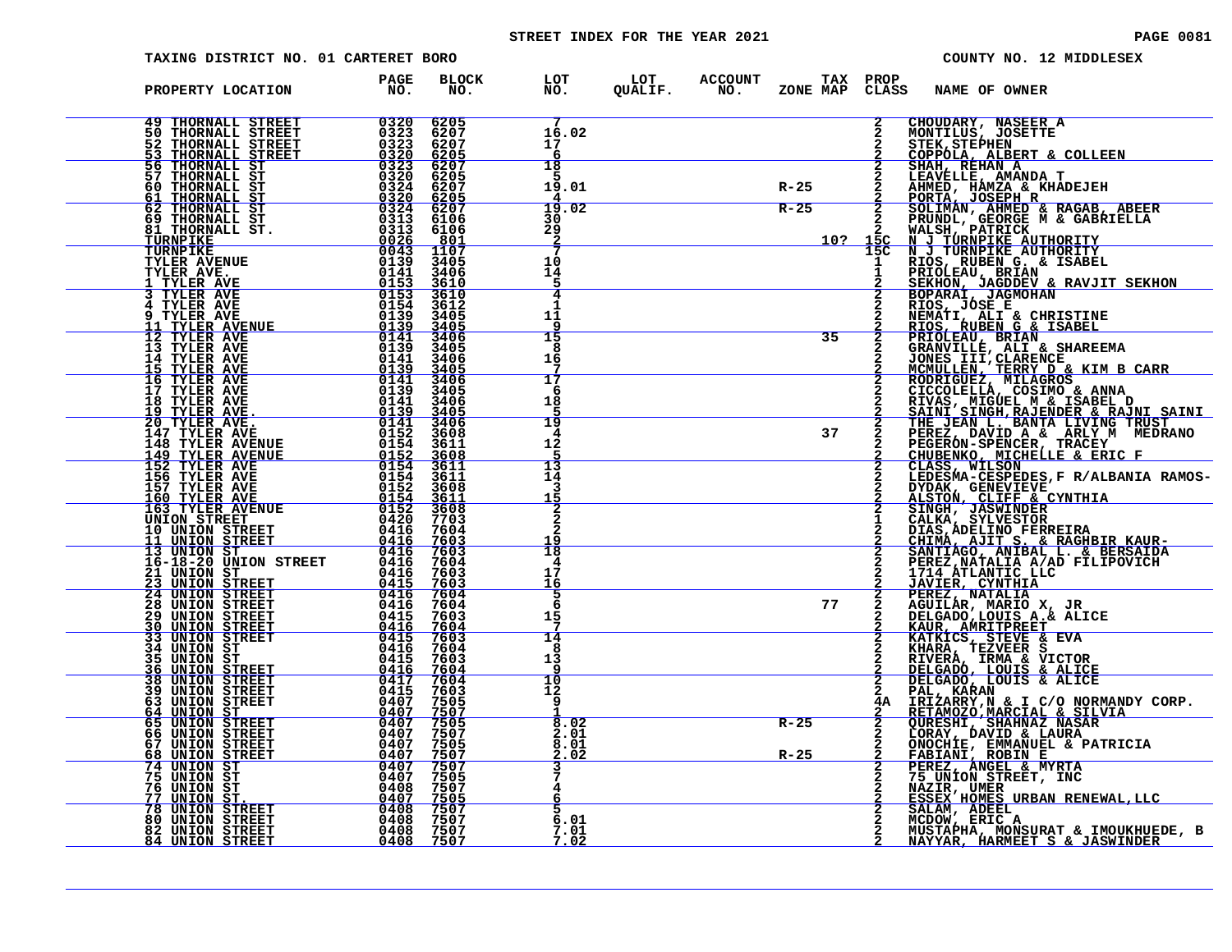# STREET INDEX FOR THE YEAR 2021 **PAGE 10081** PAGE 0081

| TAXING DISTRICT NO. 01 CARTERET BORO                                                                                                                             |                                             |                                             |                                                               |                                                    |          |                                           | COUNTY NO. 12 MIDDLESEX                                                                                                                                                                                                                        |
|------------------------------------------------------------------------------------------------------------------------------------------------------------------|---------------------------------------------|---------------------------------------------|---------------------------------------------------------------|----------------------------------------------------|----------|-------------------------------------------|------------------------------------------------------------------------------------------------------------------------------------------------------------------------------------------------------------------------------------------------|
| PROPERTY LOCATION                                                                                                                                                | PAGE<br>NO <sub>z</sub>                     | <b>BLOCK</b><br>NO.                         | LOT<br>NO.                                                    | LOT ACCOUNT TAX PROP<br>QUALIF. NO. ZONE_MAP CLAS: |          | CLASS                                     | NAME OF OWNER                                                                                                                                                                                                                                  |
| <b>49 THORNALL STREET</b><br>50 THORNALL STREET<br>52 THORNALL STREET<br>53 THORNALL STREET                                                                      | 0320<br>$0323$<br>$0323$<br>0320            | 6205<br>6207<br>6207<br>6205                | 16.02<br>17<br>6                                              |                                                    |          | $\overline{\mathbf{2}}$<br>$\overline{a}$ | CHOUDARY, NASEER A<br>MONTILUS, JOSETTE<br><b>STEK, STEPHEN</b><br>COPPOLA, ALBERT & COLLEEN                                                                                                                                                   |
| 56 THORNALL ST<br>57 THORNALL ST<br>60 THORNALL ST<br>61 THORNALL ST                                                                                             | 0323<br>0320<br>0324<br>$\frac{0320}{0324}$ | 6207<br>6205<br>6207                        | 18<br>5<br>19.01                                              |                                                    | $R-25$   |                                           | SHAH, REHAN A                                                                                                                                                                                                                                  |
| 62 THORNALL ST<br>69 THORNALL ST<br>81 THORNALL ST.<br>TURNPIKE                                                                                                  | 0313<br>0313                                | $\frac{6205}{6207}$<br>6106<br>6106<br>801  | 19.02<br>30<br>29<br>$\overline{2}$                           | $R-25$                                             | 10?      |                                           | 2 SHAH, REHAN A MANDA T<br>2 LEAVELLE, AMANDA T<br>2 PORTA, JOSEPH R<br>2 FORTA, JOSEPH R<br>2 SOLIMAN, AHMED & RAGAB, ABEER<br>2 SOLIMAN, AHMED & RAGAB, ABEER<br>2 WALSH, PATRICK<br>2 WALSH, PATRICK AUTHORITY<br>15C N J TURNPIKE AUTHORIT |
| $\begin{array}{r} 0026 \\ \hline 0043 \\ 0139 \\ 0141 \\ 0141 \\ \hline 0153 \end{array}$<br><b>TURNPIKE</b><br>TYLER AVENUE<br>TYLER AVE.<br><u>1 TYLER AVE</u> |                                             | 1107<br>3405<br>3406<br>3610                | 10<br>14<br>5                                                 |                                                    |          |                                           | <b>PRIOLEAU, BRIAN<br/>SEKHON, JAGDDEV &amp; RAVJIT SEKHON</b>                                                                                                                                                                                 |
| <b>3 TYLER AVE</b><br><b>4 TYLER AVE</b><br>9 TYLER AVE<br><u>11 TYLER AVENUE</u><br>12 TYLER AVE                                                                | 0153<br>0154<br>0139<br>0139<br>0141        | 3610<br>3612<br>3405<br><u>3405</u><br>3406 | 4<br>1<br>11<br>٩<br>15                                       |                                                    | 35       | $\overline{2}$                            | <b>BOPARAI, JAGMOHAN<br/>RIOS, JÓSE E<br/>NEMATI, ALI &amp; CHRISTINE</b><br>RIOS, RUBEN G & ISABEL<br>PRIOLEAU, BRIAN                                                                                                                         |
| 13 TYLER AVE<br>14 TYLER AVE<br><b>15 TYLER AVE</b><br><b>16 TYLER AVE</b>                                                                                       | 0139<br>0141<br>0139<br>0141                | 3405<br>3406<br>3405<br>3406                | 8<br>16<br>7<br>17                                            |                                                    |          |                                           | PRIJULEAU, PAIAN<br>JONES III, CLARENCE<br>JONES III, CLARENCE<br>MCMULLEN, TERRY D & KIM B CARR<br>RODRIGUEZ, MILAGROS<br>CICCOLELLA, COSIMO & ANNA<br>CICCOLELLA, COSIMO & ANNA                                                              |
| 17 TYLER AVE<br><b>18 TYLER AVE</b><br><u> 19 TYLER AVE. </u><br>20 TYLER AVE.                                                                                   | 0139<br>0141<br>0139<br>0141                | 3405<br>3406<br>3405<br>3406                | 6<br>18<br>5<br>$\overline{19}$                               |                                                    |          |                                           | <b>ETVAS, MIGUEL M &amp; ISABEL D<br/>SAINI SINGH, RAJENDER &amp; RAJNI SAINI<br/>THE JEAN L. BANTA LIVING TRUST</b>                                                                                                                           |
| 147 TYLER AVE<br>148 TYLER AVENUE<br><u>149 TYLER AVENUE</u><br><b>152 TYLER AVE</b>                                                                             | 0152<br>0154<br>$0152$<br>$0154$            | 3608<br>3611<br>3608<br>3611                | 4<br>12<br>5<br>$\overline{13}$                               |                                                    | 37       |                                           | PEREZ, DAVID A & ARLY M MEDRANO PEGERON-SPENCER, TRACEY<br>CHUBENKO, MICHELLE & ERIC F                                                                                                                                                         |
| 156 TYLER AVE<br>157 TYLER AVE<br><u>160 TYLER AVE</u><br><b>163 TYLER AVENUE</b>                                                                                | 0154<br>$0152$<br>$0154$                    | 3611<br>3608<br>3611<br>3608<br>7703        | 14<br>3<br>15<br>2                                            |                                                    |          | $\mathbf{2}$                              | DYDAK, GENEVIEVE<br>ALSTON, CLIFF & CYNTHIA                                                                                                                                                                                                    |
| <b>UNION STREET</b><br>10 UNION STREET<br><b>11 UNION STREET</b><br>13 UNION ST<br>16-18-20 UNION STREET 0416<br>21 UNION ST<br>21 UNION ST                      | 0420<br>0416<br>0416                        | 7604<br>$\frac{7603}{7603}$<br>7604         | $\overline{a}$<br>$\overline{a}$<br>19<br>$\frac{1}{18}$<br>4 |                                                    |          | 1                                         | SINGH, JASWINDER<br>CALKA, SYLVESTOR<br>DIAS, ADELINO FERREIRA<br>CHIMÁ, AJIT S. & RAGHBIR KAUR-<br>SANTIAGO, ANIBAL L. & BERSAIDA                                                                                                             |
| <b>AD THION BIREET</b><br>23 UNION STREET<br>24 UNION STREET<br>24 UNION STREET<br>28 UNION STREET                                                               | $0416$<br>0415<br>0416<br>0416              | 7603<br>7603<br>7604<br>7604                | 17<br>16<br>5<br>6                                            |                                                    | 77       | $\frac{2}{2}$                             | PEREZ, NATALIA A/AD FILIPOVICH<br>1714 ATLANTIC LLC<br><b>JAVIER, CYNTHIA</b><br>PEREZ, NATALIA<br>AGUILÁR, MARIO X, JR                                                                                                                        |
| <b>30 UNION STREET</b><br>33 UNION STREET<br>$\frac{0416}{0415}$<br>34 UNION ST                                                                                  | 0415<br>0416                                | 7603<br>$\frac{7604}{7603}$<br>7604         | 15<br>7<br>14<br>-8                                           |                                                    |          |                                           | DELGADO, LOUIS A.& ALICE<br><b>KAUR, AMRITPREET KATKICS, STEVE &amp; EVA</b><br>KHARA, TEZVEER S                                                                                                                                               |
| 35 UNION ST<br><u>36 UNION STREET</u><br>38 UNION STREET<br>39 UNION STREET                                                                                      | 0415<br>$0416$<br>0417<br>0415              | 7603<br>$\frac{7604}{7604}$<br>7603         | 13<br>-9<br>10<br>12                                          |                                                    |          |                                           | RIVERA, IRMA & VICTOR<br>DELGADÓ, LOUIS & ALICE<br>DELGADO, LOUIS & ALICE<br>PAL, KARAN                                                                                                                                                        |
| 63 UNION STREET<br>64 UNION ST<br>65 UNION STREET<br>66 UNION STREET<br>67 UNION STREET                                                                          | 0407<br>0407<br>0407<br>0407<br>0407        | 7505<br>7507<br>7505<br>7507<br>7505        | 9<br>8.02<br>2.01<br>8.01                                     |                                                    | $R - 25$ | 4A –<br>$\frac{2}{2}$                     | IRIZARRY, N & I C/O NORMANDY CORP.<br>RETAMOZO, MARCIAL & SILVIA<br><b>QURESHI, SHAHNAZ NASAR<br/>LORAY, DAVID &amp; LAURA<br/>ONOCHIE, EMMANUEL &amp; PATRICIA</b>                                                                            |
| 68 UNION STREET<br>74 UNION ST<br>75 UNION ST<br>76 UNION ST                                                                                                     | 0407<br>0407<br>0407<br>0408                | 7507<br>7505<br>7507                        | <u>2.02</u>                                                   |                                                    | $R - 25$ | 2                                         | FABIANI, ROBIN E PEREZ, ANGEL & MYRTA<br>75 UNION STREET, INC                                                                                                                                                                                  |
| 77 UNION ST.<br><b>78 UNION STREET</b><br><b>80 UNION STREET</b><br>82 UNION STREET                                                                              | 0407<br>0408<br>0408<br>0408                | 7505<br>7507<br>7507<br>7507                | 5.<br>6.01<br>7.01                                            |                                                    |          |                                           | NAZIR, UMER<br>ESSEX HOMES URBAN RENEWAL, LLC<br>SALAM, ADEEL<br>MCDOW, ERIC A<br>MUSTAPHA, MONSURAT & IMOUKHUEDE, B                                                                                                                           |
| <b>84 UNION STREET</b>                                                                                                                                           | 0408                                        | 7507                                        | <u>7.02</u>                                                   |                                                    |          |                                           | <u>NAYYAR, HARMEET S &amp; JASWINDER</u>                                                                                                                                                                                                       |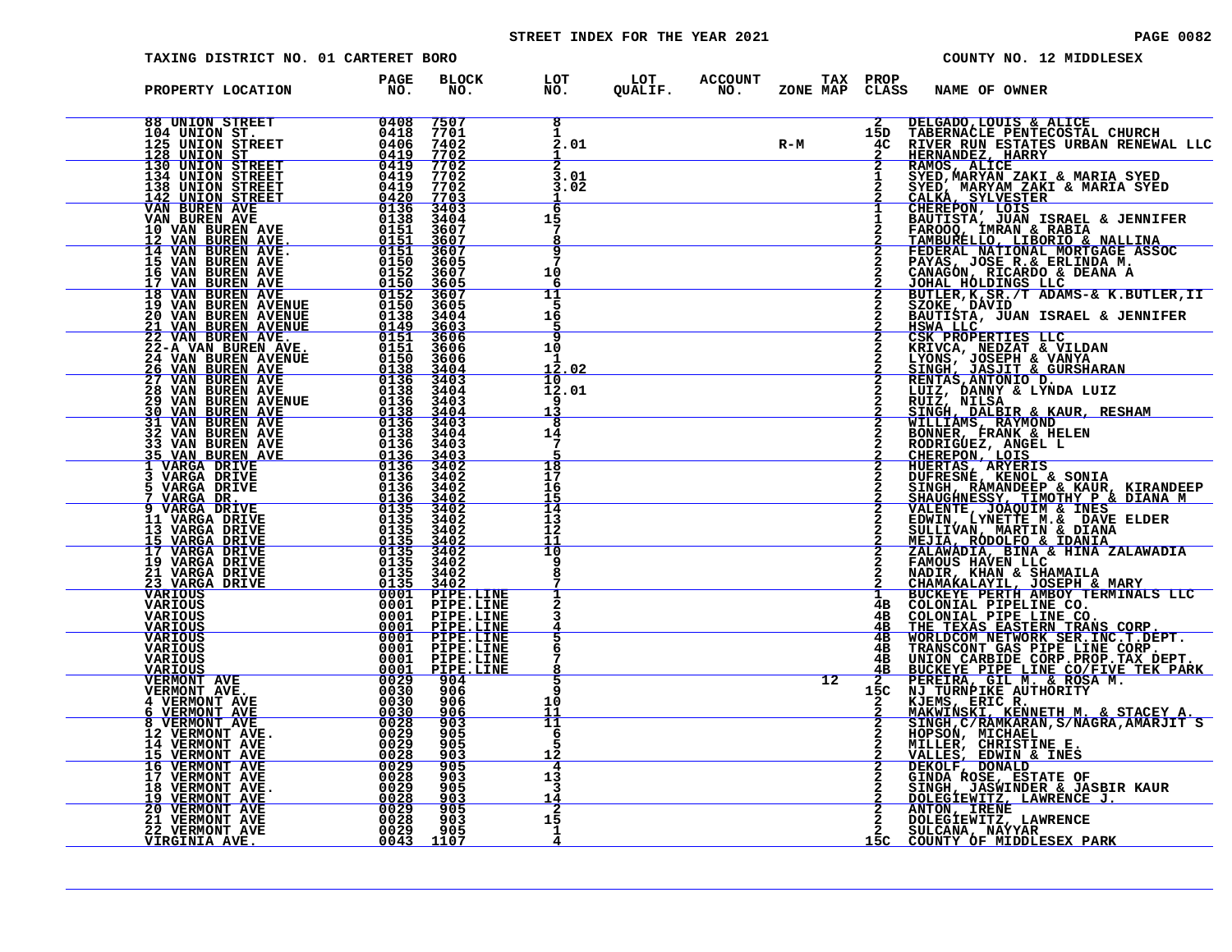# STREET INDEX FOR THE YEAR 2021 **PAGE 10082** PAGE 0082

| <b>TAXING DISTRICT NO. 01 CARTERET BORO</b>                                                                                                                                                                                                                                                                                                                                                 |                                     |                                                                                                                                                                                                                                                                                                                                                                |                                 |                                              |                 |                      | COUNTY NO. 12 MIDDLESEX                                                                                                                                                                                                                                                    |
|---------------------------------------------------------------------------------------------------------------------------------------------------------------------------------------------------------------------------------------------------------------------------------------------------------------------------------------------------------------------------------------------|-------------------------------------|----------------------------------------------------------------------------------------------------------------------------------------------------------------------------------------------------------------------------------------------------------------------------------------------------------------------------------------------------------------|---------------------------------|----------------------------------------------|-----------------|----------------------|----------------------------------------------------------------------------------------------------------------------------------------------------------------------------------------------------------------------------------------------------------------------------|
| PROPERTY LOCATION                                                                                                                                                                                                                                                                                                                                                                           | <b>PAGE<br/>NO.</b>                 | <b>BLOCK</b><br>NO.                                                                                                                                                                                                                                                                                                                                            | LOT<br>NO.                      | LOT ACCOUNT<br>QUALIF. NO.<br><b>ACCOUNT</b> | ZONE MAP        | TAX PROP<br>CLASS    | NAME OF OWNER                                                                                                                                                                                                                                                              |
| <b>88 UNION STREET</b> 0408<br>104 UNION ST. 0418<br>125 UNION STREET 0419<br>128 UNION STREET 0419<br>130 UNION STREET 0419<br>134 UNION STREET 0419<br>142 UNION STREET 0420                                                                                                                                                                                                              |                                     | 7507<br>7701<br>7402<br>7702                                                                                                                                                                                                                                                                                                                                   | $\overline{\mathbf{8}}$<br>2.01 |                                              | $R-M$           | 15D<br>4C            | DELGADO, LOUIS & ALICE<br>DELGADO, LOUIS & ALICE<br>TABERNACLE PENTECOSTAL CHURCH<br>RIVER RUN ESTATES URBAN RENEWAL LLC<br>HERNANDEZ, HARY<br>RAMOS, ALICE<br>SYED, MARYAM ZAKI & MARIA SYED<br>SYED, MARYAM ZAKI & MARIA SYED<br>CALKA, SYLVESTER<br>CHEREFON, LOIS<br>B |
|                                                                                                                                                                                                                                                                                                                                                                                             |                                     | 7702<br>7702<br>7702                                                                                                                                                                                                                                                                                                                                           | 3.01<br>3.02                    |                                              |                 |                      |                                                                                                                                                                                                                                                                            |
|                                                                                                                                                                                                                                                                                                                                                                                             |                                     | $\frac{7703}{3403}$<br>3404<br>3607                                                                                                                                                                                                                                                                                                                            | 6<br>15                         |                                              |                 |                      |                                                                                                                                                                                                                                                                            |
|                                                                                                                                                                                                                                                                                                                                                                                             |                                     | 3607<br>3605<br>3607                                                                                                                                                                                                                                                                                                                                           | q<br>10<br>6                    |                                              |                 |                      |                                                                                                                                                                                                                                                                            |
| $\begin{tabular}{ c c c} 125 UNION STREET & 0406 \\ \hline 128 UNION STREET & 0419 \\ \hline 130 UNION STREET & 0419 \\ 130 UNION STREET & 0419 \\ 131 UNION STREET & 0419 \\ 142 UNION STREET & 0420 \\ 142 UNION STREET & 0420 \\ 142 UNION STREET & 0420 \\ 142 UNION STREET & 0420 \\ 142 UNION SITER & 0158 \\ 14 VAN BUREN AVE & 0151 \\ 10 VAN BUREN AVE & 0151 \\ 14 VAN BUREN AVE$ |                                     | 3605<br>3607<br>3605<br>3404                                                                                                                                                                                                                                                                                                                                   | 11<br>5<br>16                   |                                              |                 |                      |                                                                                                                                                                                                                                                                            |
|                                                                                                                                                                                                                                                                                                                                                                                             |                                     | 3605<br>3606<br>3606                                                                                                                                                                                                                                                                                                                                           | q<br>10<br>12                   |                                              |                 |                      | HSWA LLC<br>CSK PROPERTIES LLC<br>HEWAL LICE COLONIAL PIPE LINE COLONIAL PROPERTIES IN A NAMED AND MANUSCRET AND MANUSCRET AND MANUSCRET AND MANUSCRET AND MANUSCRET AND MANUSCRET AND MANUSCRET AND MANUSCRET AND MANUSCRET AND MANUSCRET AND MANUSCRET AND MAN           |
|                                                                                                                                                                                                                                                                                                                                                                                             |                                     | <u>3404</u><br>3403<br>3404<br>3403                                                                                                                                                                                                                                                                                                                            | .02<br>10<br>12.01<br>9         |                                              |                 |                      |                                                                                                                                                                                                                                                                            |
|                                                                                                                                                                                                                                                                                                                                                                                             |                                     | $\frac{3404}{3403}$<br>3404<br>3403                                                                                                                                                                                                                                                                                                                            | 13<br>8<br>14                   |                                              |                 |                      |                                                                                                                                                                                                                                                                            |
|                                                                                                                                                                                                                                                                                                                                                                                             |                                     | $\frac{3403}{3402}$<br>3402<br>3402<br>3402                                                                                                                                                                                                                                                                                                                    | $\frac{18}{17}$<br>16           |                                              |                 |                      |                                                                                                                                                                                                                                                                            |
| 3 VARGA DRIVE<br>7 VARGA DRIVE<br>7 VARGA DRIVE<br>11 VARGA DRIVE<br>13 VARGA DRIVE<br>13 VARGA DRIVE<br>$\begin{array}{r} 0136 \\ 0136 \\ \hline 0135 \\ 0135 \\ 0135 \\ 0135 \\ 0135 \\ 0135 \\ \end{array}$                                                                                                                                                                              |                                     | 3402<br>3402                                                                                                                                                                                                                                                                                                                                                   | īš<br>14<br>13<br>īž            |                                              |                 |                      |                                                                                                                                                                                                                                                                            |
| 15 VARGA DRIVE<br>17 VARGA DRIVE<br>19 VARGA DRIVE<br>21 VARGA DRIVE<br>23 VARGA DRIVE                                                                                                                                                                                                                                                                                                      | $0135$ $0135$ $0135$                | $\frac{3402}{3402}$<br>$\begin{array}{r rr} &0135&3402\\ \hline 0135&3402\\ 0135&3402\\ 0135&3402\\ \hline 0135&3402\\ \hline 0135&3402\\ \hline 0001&{\tt PIPE.LINNE}\\ 00001&{\tt PIPE.LINNE}\\ 00001&{\tt PIPE.LINNE}\\ 0001&{\tt PIPE.LINNE}\\ 00001&{\tt PIPE.LINNE}\\ 00001&{\tt PIPE.LINNE}\\ 00001&{\tt PIPE.LINNE}\\ 00001&{\tt PIPE.LINNE}\\ 00001&$ | 11<br>10<br>8                   |                                              |                 |                      |                                                                                                                                                                                                                                                                            |
| <b>VARIOUS</b><br><b>VARIOUS</b><br><b>VARIOUS</b>                                                                                                                                                                                                                                                                                                                                          |                                     |                                                                                                                                                                                                                                                                                                                                                                |                                 |                                              |                 | 4в<br>4в             |                                                                                                                                                                                                                                                                            |
| <b>VARIOUS</b><br><b>VARIOUS</b><br><b>VARIOUS</b><br><b>VARIOUS</b>                                                                                                                                                                                                                                                                                                                        |                                     |                                                                                                                                                                                                                                                                                                                                                                |                                 |                                              |                 | 4B<br>4B<br>4в<br>4в |                                                                                                                                                                                                                                                                            |
| <b>VARIOUS</b><br>VERMONT AVE .                                                                                                                                                                                                                                                                                                                                                             | $\frac{0001}{0029}$<br>0030<br>0030 | <b>PIPE.LINE</b><br>904<br>906<br>906                                                                                                                                                                                                                                                                                                                          | 10                              |                                              | $\overline{12}$ | 4в<br>$1\bar{5}C$    |                                                                                                                                                                                                                                                                            |
| 4 VERMONT AVE<br>6 VERMONT AVE<br>8 VERMONT AVE<br>12 VERMONT AVE.<br>14 VERMONT AVE                                                                                                                                                                                                                                                                                                        | 0030<br>0028<br>0029                | 906<br>903<br>905                                                                                                                                                                                                                                                                                                                                              | 11<br>11<br>6<br>5              |                                              |                 |                      |                                                                                                                                                                                                                                                                            |
| <b>VERMONT AVE</b><br>VERMONT AVE<br>15<br>16                                                                                                                                                                                                                                                                                                                                               | 0029<br>0028<br>0028                | 905<br>$\frac{903}{905}$<br>903                                                                                                                                                                                                                                                                                                                                | 4<br>13                         |                                              |                 |                      | VALLES, EDWIN & INES<br>DEKOLF, DONALD                                                                                                                                                                                                                                     |
| 17 VERMONT AVE<br>18 VERMONT AVE<br>19 VERMONT AVE<br>20 VERMONT AVE<br>21 VERMONT AVE                                                                                                                                                                                                                                                                                                      | 0029<br>0028<br>$0029$<br>$0028$    | 905<br>903<br>905<br>903                                                                                                                                                                                                                                                                                                                                       | в<br>14<br>2<br>15              |                                              |                 |                      | GINDA ROSE, ESTATE OF<br>SINGH, JASWINDER & JASBIR KAUR<br><u>DOLEGIEWITZ, LAWRENCE J.</u><br>ANTON, IRENE DOLEGIEWITZ, LAWRENCE                                                                                                                                           |
| <b>22 VERMONT AVE</b><br><u>VIRGINIA AVE.</u>                                                                                                                                                                                                                                                                                                                                               | 0029<br>0043                        | 905<br><u> 1107</u>                                                                                                                                                                                                                                                                                                                                            | 4                               |                                              |                 | 15C                  | SULCANA, NAÝYAR<br>COUNTY OF MIDDLESEX PARK                                                                                                                                                                                                                                |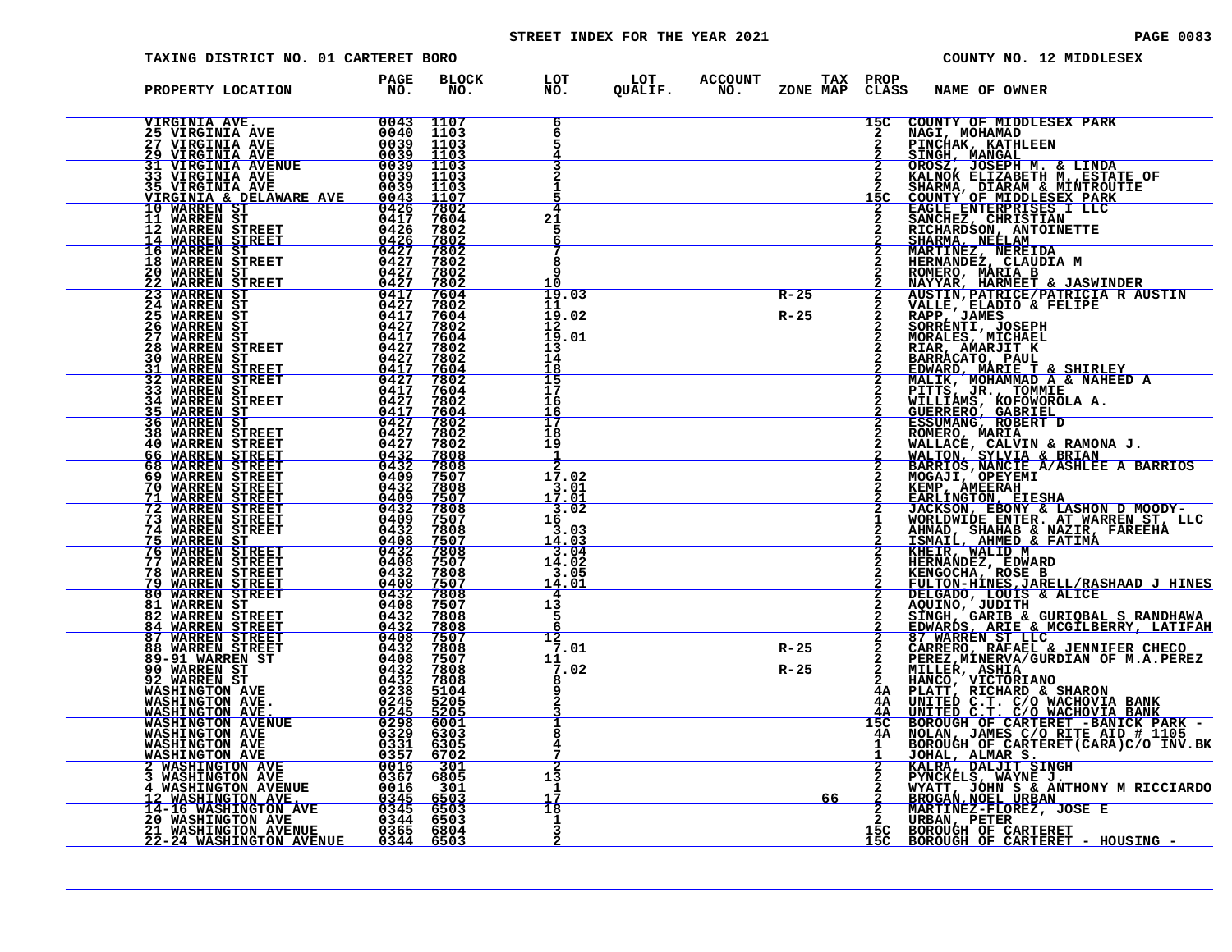# STREET INDEX FOR THE YEAR 2021 PAGE 0083

| TAXING DISTRICT NO. 01 CARTERET BORO                                                                                                                                                                                                                                  |                           |                                      |                                                               |                                      |          |              | COUNTY NO. 12 MIDDLESEX                                                                                                                                                                                                                                      |
|-----------------------------------------------------------------------------------------------------------------------------------------------------------------------------------------------------------------------------------------------------------------------|---------------------------|--------------------------------------|---------------------------------------------------------------|--------------------------------------|----------|--------------|--------------------------------------------------------------------------------------------------------------------------------------------------------------------------------------------------------------------------------------------------------------|
| PROPERTY LOCATION                                                                                                                                                                                                                                                     | PAGE<br>NO.               | <b>BLOCK</b><br>NO.                  |                                                               | LOT LOT ACCOUNT<br>NO. QUALIF. NO. Z |          | TAX PROP     | ZONE MAP CLASS NAME OF OWNER                                                                                                                                                                                                                                 |
| VIRGINIA AVE.<br>25 VIRGINIA AVE.<br>27 VIRGINIA AVE.<br>29 VIRGINIA AVE.<br>29 VIRGINIA AVE.<br>33 VIRGINIA AVE.<br>33 VIRGINIA AVE.<br>33 VIRGINIA AVE.<br>33 VIRGINIA AVE.<br>26 0039 1103<br>35 VIRGINIA AVE.<br>26 0039 1103<br>35 VIRGINIA AVE.<br>             |                           |                                      |                                                               |                                      |          | 15C          | COUNTY OF MIDDLESEX PARK                                                                                                                                                                                                                                     |
|                                                                                                                                                                                                                                                                       |                           |                                      |                                                               |                                      |          |              |                                                                                                                                                                                                                                                              |
|                                                                                                                                                                                                                                                                       |                           |                                      |                                                               |                                      |          |              |                                                                                                                                                                                                                                                              |
|                                                                                                                                                                                                                                                                       |                           |                                      |                                                               |                                      |          |              | NAGI, MOHAMAD<br>PINCHAK, KATHLEEN<br>SINGH, MANGAL<br>OROSZ, JOSEPH M. & LINDA<br>KALNOK ELIZABETH M.,ESTATE_OF                                                                                                                                             |
|                                                                                                                                                                                                                                                                       |                           |                                      |                                                               |                                      |          |              | KALNOK ELIZABETH M., ESTATE C<br>SHARMA, DIARAM & MINTROUTIE<br>COUNTY OF MIDDLESEX PARK<br>EAGLE ENTERPRISES I LLC<br>SANCHEZ, CHRISTIAN<br>SHARMA, NEELAM<br>MARTINEZ, NEREIDA<br>MARTINEZ, NEREIDA<br>HERNAAD MEELAM<br>MARTINEZ, NEREIDA<br>HERNAADEZ, C |
|                                                                                                                                                                                                                                                                       |                           |                                      |                                                               |                                      |          |              |                                                                                                                                                                                                                                                              |
|                                                                                                                                                                                                                                                                       |                           |                                      | 21<br>5                                                       |                                      |          |              |                                                                                                                                                                                                                                                              |
|                                                                                                                                                                                                                                                                       |                           |                                      |                                                               |                                      |          |              |                                                                                                                                                                                                                                                              |
|                                                                                                                                                                                                                                                                       |                           |                                      | 8                                                             |                                      |          |              |                                                                                                                                                                                                                                                              |
|                                                                                                                                                                                                                                                                       |                           |                                      | 1 ດ                                                           |                                      |          |              |                                                                                                                                                                                                                                                              |
|                                                                                                                                                                                                                                                                       |                           |                                      | 19.03                                                         |                                      | $R - 25$ |              |                                                                                                                                                                                                                                                              |
|                                                                                                                                                                                                                                                                       |                           |                                      | 11<br>19<br>.02                                               |                                      | $R - 25$ |              | HERNANDEZ, CLAUDIA M<br>ROMERO, MARIA B<br>NAYYAR, HARMEET & JASWINDER<br>AUSTIN, PATRICE/PATRICIA R AUSTIN<br>VALLE, ELADIO & FELIPE<br>SORRENTI, JOSEPH<br>SORRENTI, JOSEPH<br>MORALES, MICHAEL<br>MORALES, MICHAEL                                        |
| <b>WARREN ST</b><br>WARREN ST<br>$\frac{26}{27}$                                                                                                                                                                                                                      | $rac{0427}{0417}$         | $\frac{7802}{7604}$                  | 12<br>$\overline{19}$<br>.01                                  |                                      |          |              |                                                                                                                                                                                                                                                              |
| <b>28 WARREN STREET</b>                                                                                                                                                                                                                                               |                           | 7802                                 | 13                                                            |                                      |          |              |                                                                                                                                                                                                                                                              |
| $\begin{array}{r} 0417 \ 0427 \ 0427 \ 0427 \ 04417 \ 04427 \ 04417 \ 04417 \ 04417 \ 04427 \ 04427 \end{array}$<br>30 WARREN ST<br>31 WARREN STREET<br>32 WARREN STREET<br>33 WARREN ST                                                                              |                           | 7802<br>7604                         | 14<br>18                                                      |                                      |          |              |                                                                                                                                                                                                                                                              |
|                                                                                                                                                                                                                                                                       |                           | 7802<br>7604                         | $\frac{15}{17}$                                               |                                      |          |              |                                                                                                                                                                                                                                                              |
|                                                                                                                                                                                                                                                                       |                           | 7802                                 | 16                                                            |                                      |          |              |                                                                                                                                                                                                                                                              |
|                                                                                                                                                                                                                                                                       |                           | $\frac{7604}{7802}$                  | $\frac{16}{17}$                                               |                                      |          |              |                                                                                                                                                                                                                                                              |
|                                                                                                                                                                                                                                                                       |                           | 7802<br>7802                         | 18                                                            |                                      |          |              |                                                                                                                                                                                                                                                              |
|                                                                                                                                                                                                                                                                       |                           |                                      | 19                                                            |                                      |          |              |                                                                                                                                                                                                                                                              |
|                                                                                                                                                                                                                                                                       |                           | 7808<br>7507                         | 17.02                                                         |                                      |          |              |                                                                                                                                                                                                                                                              |
|                                                                                                                                                                                                                                                                       |                           |                                      | $3.01$<br>$17.01$                                             |                                      |          |              |                                                                                                                                                                                                                                                              |
|                                                                                                                                                                                                                                                                       |                           | 7808<br>7507<br>7808<br>7507<br>7808 |                                                               |                                      |          |              |                                                                                                                                                                                                                                                              |
|                                                                                                                                                                                                                                                                       |                           |                                      | $\frac{3.02}{16}$<br>3.03                                     |                                      |          |              |                                                                                                                                                                                                                                                              |
|                                                                                                                                                                                                                                                                       |                           | $\frac{7507}{7808}$                  |                                                               |                                      |          |              |                                                                                                                                                                                                                                                              |
|                                                                                                                                                                                                                                                                       |                           |                                      | $\begin{array}{r} 14.03 \\ 3.04 \\ 14.02 \\ 3.05 \end{array}$ |                                      |          |              |                                                                                                                                                                                                                                                              |
|                                                                                                                                                                                                                                                                       |                           | $7507$<br>$7808$                     |                                                               |                                      |          |              |                                                                                                                                                                                                                                                              |
|                                                                                                                                                                                                                                                                       |                           | <u>7507</u><br>$7808$<br>7507        | 14.01<br>4                                                    |                                      |          |              |                                                                                                                                                                                                                                                              |
|                                                                                                                                                                                                                                                                       | $\frac{0432}{0408}$       | 7808                                 | 13<br>5                                                       |                                      |          |              |                                                                                                                                                                                                                                                              |
|                                                                                                                                                                                                                                                                       | $0432$ $0432$ $0408$      | $\frac{7808}{7507}$                  |                                                               |                                      |          |              |                                                                                                                                                                                                                                                              |
| 32 WARREN STREET<br>34 WARREN STREET<br>34 WARREN STREET<br>36 WARREN STREET<br>36 WARREN STREET<br>46 WARREN STREET<br>46 WARREN STREET<br>46 WARREN STREET<br>70 WARREN STREET<br>71 WARREN STREET<br>73 WARREN STREET<br>73 WARREN STREET<br>75 WARREN STREET<br>7 |                           | 7808                                 | 12<br>7.01                                                    |                                      | $R - 25$ |              | SORRENTI, JOSEPH<br>MARA AMARJIT K<br>HARRACATO, PAUL EINERE<br>EDNARO, PAUL TE SHIRLEY<br>EDNARO, MARIE T & SHIRLEY<br>MALIIK, MOHAMMAD A & NAHEED A<br>PITTS, WARRACATOR A.<br>ESSUMANG, NABIA ENDERET<br>DESERRENCO, MARIA<br>ESSUMANG, ROBERT D<br>ROMER |
|                                                                                                                                                                                                                                                                       | $0432$<br>0408            | 7507                                 | 11                                                            |                                      |          |              |                                                                                                                                                                                                                                                              |
|                                                                                                                                                                                                                                                                       | $\frac{0432}{0432}$       | 7808<br>7808                         | 02                                                            |                                      | $R - 25$ |              |                                                                                                                                                                                                                                                              |
|                                                                                                                                                                                                                                                                       | 0238                      | 5104<br>5205                         |                                                               |                                      |          | 4Α<br>4A     |                                                                                                                                                                                                                                                              |
| WASHINGTON AVE.<br>WASHINGTON AVE.                                                                                                                                                                                                                                    | $0\overline{245}$<br>0245 | 5205                                 |                                                               |                                      |          |              |                                                                                                                                                                                                                                                              |
| <b>WASHINGTON AVENUE</b><br><b>WASHINGTON AVE</b>                                                                                                                                                                                                                     | 0298<br>0329<br>0331      | 6001<br>6303                         |                                                               |                                      |          | 15C<br>4A    |                                                                                                                                                                                                                                                              |
| WASHINGTON AVE                                                                                                                                                                                                                                                        |                           | 6305                                 |                                                               |                                      |          | $\mathbf{1}$ |                                                                                                                                                                                                                                                              |
| <b>WASHINGTON AVE 2 WASHINGTON AVE</b>                                                                                                                                                                                                                                | $\frac{0357}{0016}$       | $\frac{6702}{301}$                   |                                                               |                                      |          |              | PEREZ, MINERVA/GURDIAN OF M.A.PEREZ<br>MILLER, ASHIA<br>HANCO, VICTORIANO<br>PLATT, RICHARD & SHARON<br>UNITED C.T. C/O WACHOVIA BANK<br>UNITED C.T. C/O WACHOVIA BANK<br>BOROUGH OF CARTERET -BANICK PARK -<br>NOLAN, JAMES C/O RITE AID # 1105<br>DO       |
|                                                                                                                                                                                                                                                                       | 0367<br>0016              | 6805<br>301                          | 13<br>-1                                                      |                                      |          |              |                                                                                                                                                                                                                                                              |
|                                                                                                                                                                                                                                                                       |                           | 6503                                 | 17<br>18                                                      |                                      | 66       |              |                                                                                                                                                                                                                                                              |
| 2 WASHINGTON AVE<br>4 WASHINGTON AVENUE<br>12 WASHINGTON AVE<br>14-16 WASHINGTON AVE<br>20 WASHINGTON AVE<br>20 WASHINGTON AVE                                                                                                                                        | $\frac{0345}{0345}$       | 6503<br>6503                         |                                                               |                                      |          |              | <b>EXAMPLE , WAYNE J.<br/>WYATT, JOHN S &amp; ANTHONY M RICCIARDO<br/>BROGAN, NOEL URBAN<br/>MARTINEZ-FLOREZ, JOSE E<br/>URBAN,PETER</b>                                                                                                                     |
| <b>21 WASHINGTON AVENUE</b><br><u>22-24 WASHINGTON AVENUE</u>                                                                                                                                                                                                         | 0365 6804<br>0344         | 6503                                 | 3                                                             |                                      |          | 15C          | <b>BOROUGH OF CARTERET<br/>BOROUGH OF CARTERET - HOUSING -</b>                                                                                                                                                                                               |
|                                                                                                                                                                                                                                                                       |                           |                                      |                                                               |                                      |          |              |                                                                                                                                                                                                                                                              |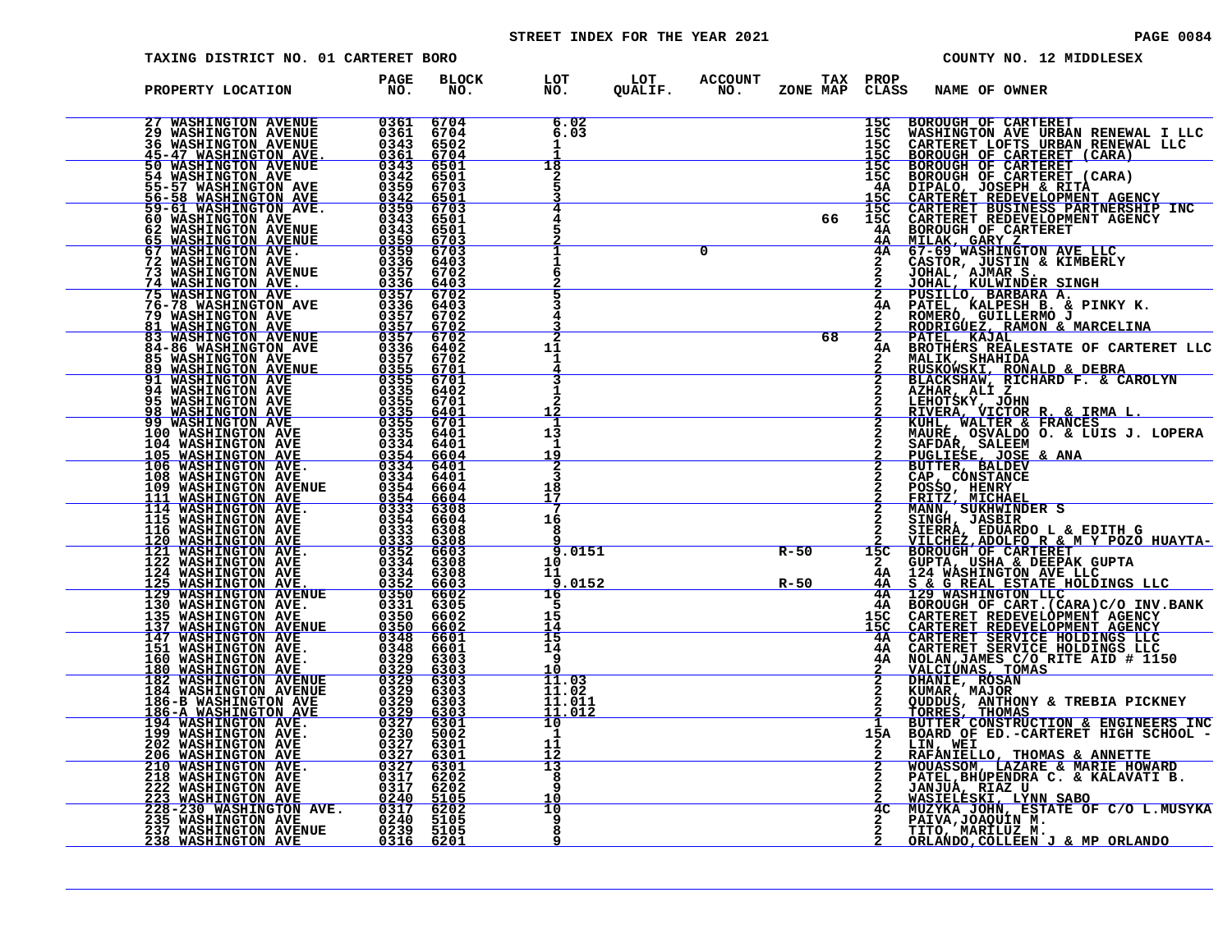# STREET INDEX FOR THE YEAR 2021 **PAGE 10084** PAGE 0084

| TAXING DISTRICT NO. 01 CARTERET BORO                                                                                                                                                                                                                                                         |             |                                      |                                  |                |                                        |          |                                                                                                                                                             |                     | COUNTY NO. 12 MIDDLESEX                                                                                                                                                                                                                          |
|----------------------------------------------------------------------------------------------------------------------------------------------------------------------------------------------------------------------------------------------------------------------------------------------|-------------|--------------------------------------|----------------------------------|----------------|----------------------------------------|----------|-------------------------------------------------------------------------------------------------------------------------------------------------------------|---------------------|--------------------------------------------------------------------------------------------------------------------------------------------------------------------------------------------------------------------------------------------------|
| PROPERTY LOCATION                                                                                                                                                                                                                                                                            | PAGE<br>NO. | <b>BLOCK</b><br>NO.                  | LOT<br>NO.                       | LOT<br>QUALIF. | ACCOUNT TAX PROP<br>NO. ZONE MAP CLASS |          |                                                                                                                                                             | NAME OF OWNER       |                                                                                                                                                                                                                                                  |
|                                                                                                                                                                                                                                                                                              |             | 6704<br>6704<br>6502<br>6704         | 6.02<br>6.03                     |                |                                        |          | $\begin{array}{r} \textbf{15C} \\ \textbf{15C} \\ \textbf{15C} \\ \textbf{15C} \\ \textbf{15C} \\ \textbf{15C} \\ \textbf{15C} \\ \textbf{15C} \end{array}$ | BOROUGH OF CARTERET |                                                                                                                                                                                                                                                  |
|                                                                                                                                                                                                                                                                                              |             | 6501<br>6501<br>6703                 | 18<br>2                          |                |                                        |          |                                                                                                                                                             |                     |                                                                                                                                                                                                                                                  |
| $\begin{tabular}{ c  c  c c c} \hline 27 & \text{WASHINGTON AVENUE} & 0361 & 0361 & 0361 & 0361 & 0361 & 0361 & 0361 & 0361 & 0361 & 0361 & 0361 & 0361 & 0361 & 0361 & 0361 & 0361 & 0361 & 0361 & 0361 & 0361 & 0361 & 0361 & 0361 & 0361 & 0361 & 0361 & 0361 & 0361 & 0361 & 0361 & 036$ |             | 6501<br>6703<br>6501<br>6501<br>6703 | $\overline{4}$                   |                |                                        | 66       | 15C                                                                                                                                                         |                     |                                                                                                                                                                                                                                                  |
|                                                                                                                                                                                                                                                                                              |             | 6703<br>6403<br>6702<br>6403         |                                  |                | $\overline{0}$                         |          |                                                                                                                                                             |                     |                                                                                                                                                                                                                                                  |
|                                                                                                                                                                                                                                                                                              |             | 6702<br>6403<br>6702                 |                                  |                |                                        | 68       |                                                                                                                                                             |                     |                                                                                                                                                                                                                                                  |
|                                                                                                                                                                                                                                                                                              |             |                                      | 11                               |                |                                        |          |                                                                                                                                                             |                     | 15C BOROUGH OF CARTERET<br>15C WASHINGTON AVE URBAN RENEWAL I LLC<br>15C CARTERET LOFTS URBAN RENEWAL LLC<br>15C BOROUGH OF CARTERET (CARA)<br>15C BOROUGH OF CARTERET (CARA)<br>15C BOROUGH OF CARTERET REDEVINIT AGENCY<br>14A DIPALO, J       |
|                                                                                                                                                                                                                                                                                              |             |                                      |                                  |                |                                        |          |                                                                                                                                                             |                     | <b>AZIAR, ALL JOHN<br/>RIVERA, VICTOR R. &amp; IRMA L.<br/>RIVERA, VICTOR R. &amp; IRMA L.<br/>MAURE, OSVALDO O. &amp; LUIS J. LOPERA<br/>SAFDAR, SALEEM</b>                                                                                     |
|                                                                                                                                                                                                                                                                                              |             |                                      | 13<br>1<br><u> 19</u><br>3       |                |                                        |          |                                                                                                                                                             |                     |                                                                                                                                                                                                                                                  |
|                                                                                                                                                                                                                                                                                              |             |                                      | 18<br>17<br>-7<br>16             |                |                                        |          |                                                                                                                                                             |                     |                                                                                                                                                                                                                                                  |
|                                                                                                                                                                                                                                                                                              |             |                                      | 8<br>9.0151<br>10                |                |                                        | $R - 50$ |                                                                                                                                                             |                     |                                                                                                                                                                                                                                                  |
|                                                                                                                                                                                                                                                                                              |             |                                      | 11<br>9.0152<br>16<br>5          |                |                                        | $R - 50$ |                                                                                                                                                             |                     |                                                                                                                                                                                                                                                  |
|                                                                                                                                                                                                                                                                                              |             |                                      | 15<br>$\frac{14}{15}$<br>14<br>9 |                |                                        |          |                                                                                                                                                             |                     | 2 MAURE, OSVALDO O. & LUIS J. LOPERA<br>2 SAFDAR, SALEEM<br>2 DUCLIESE, JOSE & ANA<br>2 DUTITESE, DOSE & ANA<br>2 CAP, CONSO, HENRY<br>2 CAP, CONSTANCE<br>2 FRITZ, MICHAEL<br>2 FRITZ, MICHAEL<br>2 SIERRA, EDUARDO L & EDITH G<br>2 SIERRA, ED |
|                                                                                                                                                                                                                                                                                              |             |                                      | 11.03<br>11.02<br>11.011         |                |                                        |          |                                                                                                                                                             |                     |                                                                                                                                                                                                                                                  |
|                                                                                                                                                                                                                                                                                              |             |                                      | 11.012<br>10<br>1<br>11          |                |                                        |          |                                                                                                                                                             | LIN, WEI            | 1 BUTTER CONSTRUCTION & ENGINEERS INC<br>15A BOARD OF ED.-CARTERET HIGH SCHOOL -                                                                                                                                                                 |
|                                                                                                                                                                                                                                                                                              |             |                                      | 13<br>8<br>10                    |                |                                        |          |                                                                                                                                                             |                     | LIN, WEI<br>RAFANIELLO, THOMAS & ANNETTE<br>WOUASSOM, LAZARE & MARIE HOWARD<br>PATEL, BHUPENDRA C. & KALAVATI B.<br>JANJUA, RIAZ U<br>MASIELESKI, LYNN SABO<br>MUZYKA JOHN, ESTATE OF C/O L.MUSYKA<br>PATVA,JOAQUIN M.                           |
| 75 WASHINGTON AVE 10357 6702<br>18 MASHINGTON AVE 10357 6702<br>18 MASHINGTON AVE 10357 6702<br>18 MASHINGTON AVE 10357 6702<br>18 MASHINGTON AVENUE 10357 6702<br>1848-BARLINGTON AVENUE 10357 6702<br>1848-BARLINGTON AVENUE 10355 667001<br>194                                           |             |                                      | 10<br>9<br>8                     |                |                                        |          | 4 <sub>C</sub>                                                                                                                                              |                     | TITO, MARILUZ M.<br>ORLANDO, COLLEEN J & MP ORLANDO                                                                                                                                                                                              |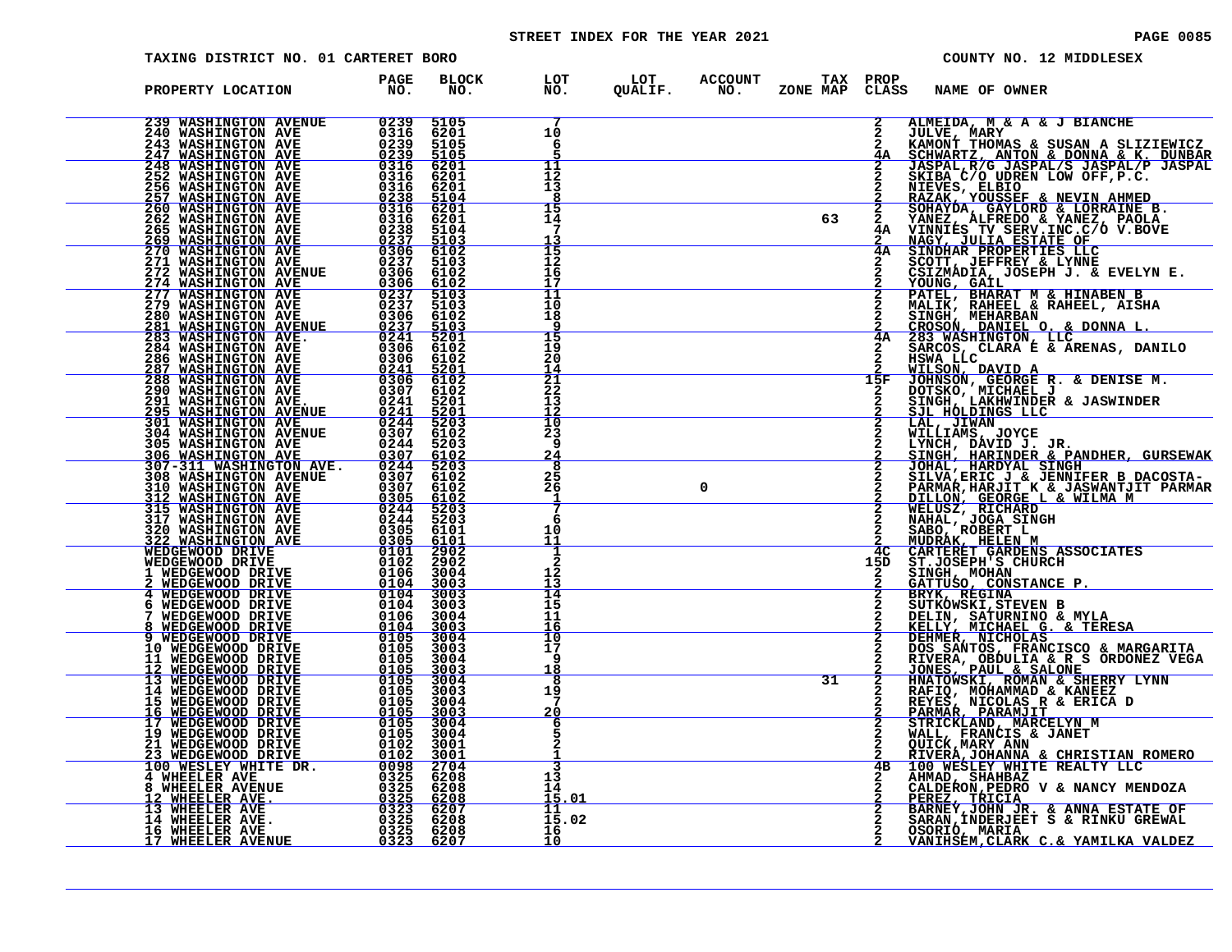# STREET INDEX FOR THE YEAR 2021 **PAGE 10085** PAGE 0085

| TAXING DISTRICT NO. 01 CARTERET BORO                                                                                                                                                                                                                 |                                                                    |                                                             |                                       |                |                       |          | COUNTY NO. 12 MIDDLESEX      |                                                                                                                                                                                 |  |  |  |
|------------------------------------------------------------------------------------------------------------------------------------------------------------------------------------------------------------------------------------------------------|--------------------------------------------------------------------|-------------------------------------------------------------|---------------------------------------|----------------|-----------------------|----------|------------------------------|---------------------------------------------------------------------------------------------------------------------------------------------------------------------------------|--|--|--|
| PROPERTY LOCATION                                                                                                                                                                                                                                    | <b>PAGE</b><br>NO.                                                 | <b>BLOCK</b><br>NO.                                         | LOT<br>NO.                            | LOT<br>QUALIF. | <b>ACCOUNT</b><br>NO. | ZONE MAP | TAX PROP<br>CLASS            | <b>NAME OF OWNER</b>                                                                                                                                                            |  |  |  |
| 239 WASHINGTON AVENUE<br>240 WASHINGTON AVE  243 WASHINGTON AVE  243 WASHINGTON AVE  2239<br><u>247 WASHINGTON AVE</u>                                                                                                                               | 0239                                                               | 5105<br>6201<br>5105<br>5105                                | 10<br>6                               |                |                       |          | $\mathbf{2}$<br>2<br>2<br>4Α | ALMEIDA, M & A & J BIANCHE<br><b>JULVE, MARY<br/>KAMONT THOMAS &amp; SUSAN A SLIZIEWICZ.</b><br>SCHWARTZ, ANTON & DONNA & K. DUNBAR                                             |  |  |  |
| <b>248 WASHINGTON AVE</b><br><b>252 WASHINGTON AVE</b><br>256 WASHINGTON AVE<br>257 WASHINGTON AVE<br>260 WASHINGTON AVE                                                                                                                             | <u>0239</u><br>0316<br>0316<br>0316                                | 6201<br>6201<br>6201                                        | 11<br>12<br>13                        |                |                       |          |                              | JASPAL, R/G JASPAL/S JASPAL/P JASPAL<br>SKIBA C/O UDREN LOW OFF, P.C.<br>NIEVES, ELBIO<br>RAZAK, YOUSSEF & NEVIN AHMED<br>SOHAYDA, GAYLORD & LORRAINE B.                        |  |  |  |
| <b>262 WASHINGTON AVE</b><br><b>265 WASHINGTON AVE</b><br><b>269 WASHINGTON AVE</b><br><b>270 WASHINGTON AVE</b>                                                                                                                                     | 0316<br>0238                                                       | <u>0238 5104</u><br>0316 6201<br>6201<br>5104               | 15<br>14                              |                |                       | 63       | $\overline{2}$<br>2<br>4Α    | YANEZ, ALFREDO & YANEZ, PAOLA<br>VINNIES TV SERV.INC.C/O V.BOVE<br><b>NAGY, JULIA ESTATE OF</b><br>SINDHAR PROPERTIES LLC                                                       |  |  |  |
| 271 WASHINGTON AVE<br>272 WASHINGTON AVENUE<br>274 WASHINGTON AVE                                                                                                                                                                                    | 0306<br>$\frac{0306}{0237}$                                        | 0237 5103<br>0306 6102<br>0237 5103<br>6102<br>6102<br>5103 | ĪŠ<br>12<br>16<br>17<br>11            |                |                       |          | 4A                           | SCOTT, JEFFREY & LYNNE<br>CSIZMADIA, JOSEPH J. & EVELYN E.<br><u>YOUNG, GAIL</u><br>PATEL, BHARAT M & HINABEN B                                                                 |  |  |  |
| 277 WASHINGTON AVE<br>279 WASHINGTON AVE<br>280 WASHINGTON AVE<br><b>281 WASHINGTON AVENUE<br/>283 WASHINGTON AVE.</b>                                                                                                                               | 0306                                                               | 5103<br>6102<br>$\frac{0237}{0241}$ 5103                    | 10<br>18<br>15                        |                |                       |          | 4A                           | MALIK, RAHEEL & RAHEEL, AISHA<br>SINGH, MEHARBAN<br>CROSON, DANIEL O. & DONNA L.<br>283 WASHINGTON, LLC.                                                                        |  |  |  |
| <b>284 WASHINGTON AVE</b><br>286 WASHINGTON AVE<br><u>287 WASHINGTON AVE</u><br><b>288 WASHINGTON AVE<br/>290 WASHINGTON AVE</b>                                                                                                                     | $\begin{array}{r} 0306 \\ 0241 \\ \hline 0306 \\ 0307 \end{array}$ | 0306 6102<br>6102<br>5201<br>6102                           | 19<br>20<br>14<br>$\overline{21}$     |                |                       |          | 15F                          | SARCOS, CLARA E & ARENAS, DANILO<br>HSWA LLC<br><u>WILSON, DAVID A</u><br>JOHNSON, GEORGE R. & DENISE M.                                                                        |  |  |  |
| <b>291 WASHINGTON AVE.<br/>295 WASHINGTON AVENUE<br/>301 WASHINGTON AVE</b>                                                                                                                                                                          | 0241                                                               | 6102<br>5201<br>$\frac{0.241}{0.244}$<br>6102               | 22<br>13<br>ΊŌ<br>23                  |                |                       |          |                              | DOTSKO, MICHAEL J<br>SINGH, LAKHWINDER & JASWINDER<br>SJL HOLDINGS LLC<br>LAL, JIWAN<br>WILLIAMS, JOYCE                                                                         |  |  |  |
| 304 WASHINGTON AVENUE<br>305 WASHINGTON AVE<br>306 WASHINGTON AVE<br>307-311 WASHINGTON AVE.<br>308 WASHINGTON AVENUE                                                                                                                                | 0307<br>0244<br>$0307$<br>$0244$<br>0307                           | 5203<br>$\frac{6102}{5203}$<br>6102                         | <b>g</b><br>24<br>8<br>25             |                |                       |          |                              | LYNCH, DAVID J. JR.<br>SINGH, HARINDER & PANDHER, GURSEWAK<br>JOHAL, HARDYAL SINGH                                                                                              |  |  |  |
| 310 WASHINGTON AVE<br>312 WASHINGTON AVE<br>315 WASHINGTON AVE<br>317 WASHINGTON AVE<br>320 WASHINGTON AVE                                                                                                                                           | $0307$<br>$0305$<br>0244                                           | 6102<br>6102<br>5203<br>5203                                | 26<br>7<br>-6                         |                | 0                     |          |                              | SILVA, ERIC J' & JENNIFER B DACOSTA-<br>PARMAR, HARJIT K & JASWANTJIT PARMAR<br><u>DILLON, GEORGE L &amp; WILMA M</u><br>WELUSZ, RICHARD<br>NAHAL, JOGA SINGH<br>SABO, ROBERT L |  |  |  |
| $\begin{array}{r}0244 \ -0305 \ -6205 \ -0305 \ -0101 \ -0102 \ -0104 \ -0104 \end{array}$<br>322 WASHINGTON AVE<br>WEDGEWOOD DRIVE<br>WEDGEWOOD DRIVE<br>1 WEDGEWOOD DRIVE<br>2 WEDGEWOOD DRIVE<br>2 WEDGEWOOD DRIVE                                |                                                                    | 6101<br>$\frac{6101}{2902}$<br>2902<br>3004                 | 10<br>11<br>1<br>$\overline{2}$<br>12 |                |                       |          | 4C<br>15D                    | MUDRÁK, HELEN M<br>CARTERET GARDENS ASSOCIATES<br>ST.JOSEPH'S CHURCH                                                                                                            |  |  |  |
|                                                                                                                                                                                                                                                      |                                                                    | 3003<br>3003<br>3003<br>3004                                | 13<br>14<br>15<br>11                  |                |                       |          | 2                            | SINGH, MOHAN<br>GATTUSO, CONSTANCE P.<br>BRYK, REGINA<br>SUTKOWSKI, STEVEN B<br>DELIN, SATURNINO & MYLA                                                                         |  |  |  |
| 4 WEDGEWOOD DRIVE<br>6 WEDGEWOOD DRIVE<br>7 WEDGEWOOD DRIVE<br>7 WEDGEWOOD DRIVE<br>8 WEDGEWOOD DRIVE<br>8 WEDGEWOOD DRIVE<br>10 WEDGEWOOD DRIVE<br>10 WEDGEWOOD DRIVE<br>11 WEDGEWOOD DRIVE<br>11 WEDGEWOOD DRIVE<br>12 WEDGEWOOD DRIVE<br>12 WEDGE |                                                                    | 3003<br>3004<br>3003<br>3004                                | 16<br>$\overline{10}$<br>17<br>9      |                |                       |          |                              | <u>KELLY, MICHAEL G. &amp; TERESA</u><br>DEHMER, NICHOLAS<br>DOS SANTOS, FRANCISCO & MARGARITA<br>RIVERA, OBDULIA & R.S ORDONEZ VEGA                                            |  |  |  |
| 12 WEDGEWOOD DRIVE<br>13 WEDGEWOOD DRIVE<br>$\begin{array}{r l} & & 0105 \\ \hline & 0105 \\ \hline & 0105 \\ \hline & 0105 \\ \hline & 0105 \\ \end{array},$<br>14 WEDGEWOOD DRIVE<br>15 WEDGEWOOD DRIVE<br>16 WEDGEWOOD DRIVE                      | 0105<br>0105<br>0105                                               | 3003<br>3004<br>3003<br>3004<br>3003                        | <u> 18</u><br>8<br>19<br>20           |                |                       | 31       |                              | TONES, PAUL & SALONE<br>HNATOWSKI, ROMAN & SHERRY LYNN<br>RAFIQ, MOHAMMAD & KANEEZ<br>REYEŠ, NICOLAS R & ERICA D<br>PARMAR, PARAMJIT                                            |  |  |  |
| 17 WEDGEWOOD DRIVE<br>19 WEDGEWOOD DRIVE<br>21 WEDGEWOOD DRIVE<br><b>23 WEDGEWOOD DRIVE 6102</b><br>100 WESLEY WHITE DR. 60098                                                                                                                       | 0105<br>oīŏž                                                       | 3004<br>3004<br>3001<br>$\frac{3001}{2704}$                 | 6<br>2                                |                |                       |          | 2                            | STRICKLAND, MARCELYN M<br>WALL, FRANCIS & JANET<br>QUICK, MARY ANN<br><u>ŘIVERÁ, JOHANNA &amp; CHRISTIAN ROMERO<br/>100 WESLEY WHITE REALTY LLC</u>                             |  |  |  |
| <b>4 WHEELER AVE</b><br>8 WHEELER AVENUE<br><u>12 WHEELER AVE.</u>                                                                                                                                                                                   | 0325                                                               | 6208<br>6208<br>6208                                        | ٦<br>13<br>14<br>15.01                |                |                       |          | 4B                           | AHMAD, SHAHBAZ<br>CALDERON, PEDRO V & NANCY MENDOZA<br><u>PEREZ, TRICIA</u>                                                                                                     |  |  |  |
| $\begin{array}{r} 0.325\ -0.325\ 0.325\ 0.323\ 0.325\ 0.325\ \end{array}$ (<br><b>13 WHEELER AVE</b><br>14 WHEELER AVE.<br><b>16 WHEELER AVE</b><br><u>17 WHEELER AVENUE</u>                                                                         | 0323                                                               | 6207<br>6208<br>6208<br><u>6207</u>                         | 11<br>15.02<br>16<br>10               |                |                       |          |                              | BARNEY, JOHN JR. & ANNA ESTATE OF<br>SARAN, INDERJEET S & RINKU GREWAL<br>OSORIO, MARIA<br>VANIHSEM, CLARK C.& YAMILKA VALDEZ                                                   |  |  |  |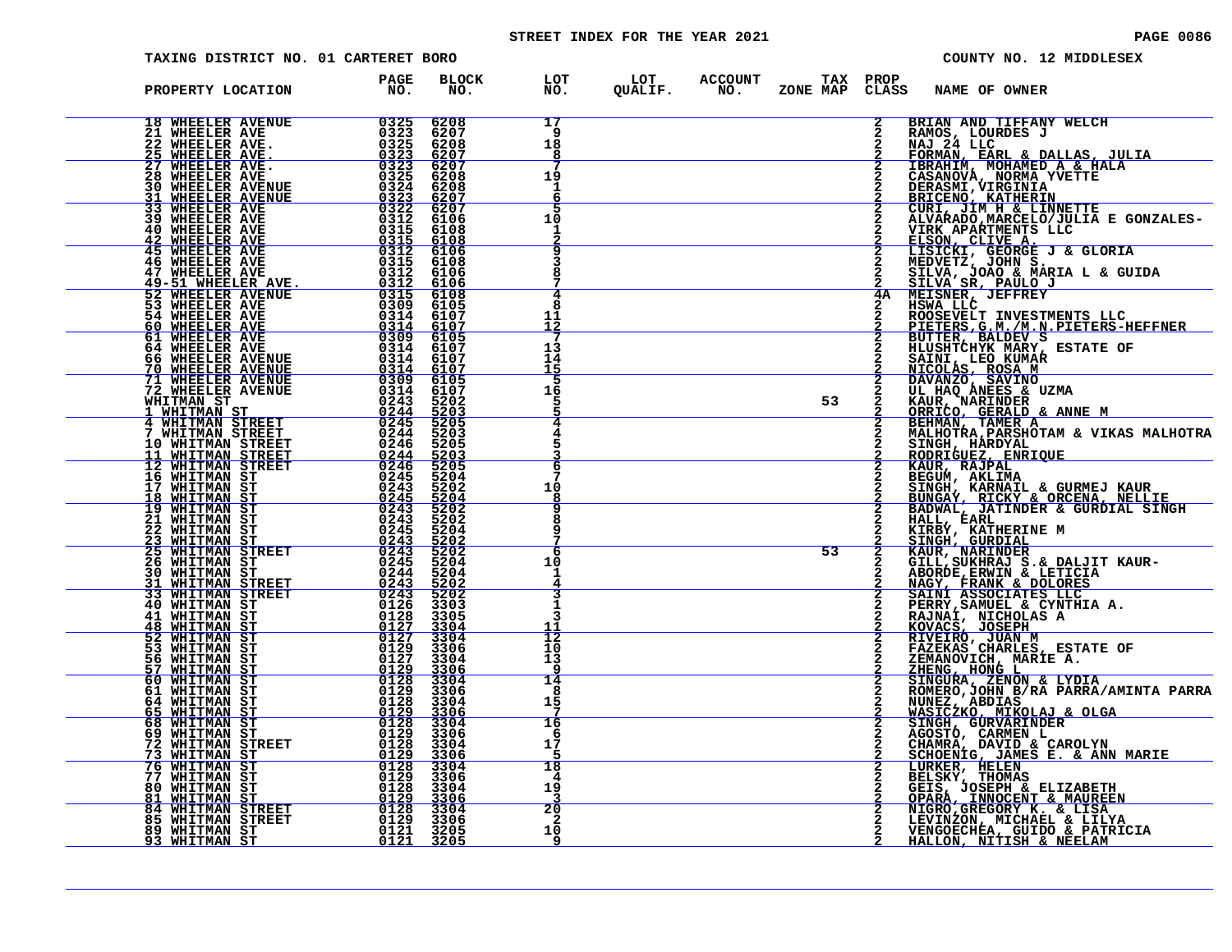# STREET INDEX FOR THE YEAR 2021 **PAGE 10086** PAGE 0086

| TAXING DISTRICT NO. 01 CARTERET BORO |             |              |                               |  |    |             |                                                                                                                                                           | COUNTY NO. 12 MIDDLESEX                                                                                                                                                                                                                           |
|--------------------------------------|-------------|--------------|-------------------------------|--|----|-------------|-----------------------------------------------------------------------------------------------------------------------------------------------------------|---------------------------------------------------------------------------------------------------------------------------------------------------------------------------------------------------------------------------------------------------|
| PROPERTY LOCATION                    | PAGE<br>NO. | BLOCK<br>NO. |                               |  |    |             | LOT LOT ACCOUNT TAX PROP<br>NO. QUALIF. NO. ZONE_MAP CLASS NAME_OF_OWNER                                                                                  |                                                                                                                                                                                                                                                   |
|                                      |             |              | 17<br>-9<br>18<br>8           |  |    | $2^{\circ}$ | BRIAN AND TIFFANY WELCH<br>RAMOS, LOURDES J<br>NAJ 24 LLC                                                                                                 |                                                                                                                                                                                                                                                   |
|                                      |             |              | 19<br>1                       |  |    |             |                                                                                                                                                           | FORMAN, EARL & DALLAS, JULIA<br>IBRAHIM, MOHAMED A. & HALA                                                                                                                                                                                        |
|                                      |             |              | 5<br>10<br>ı<br>$\frac{2}{9}$ |  |    |             |                                                                                                                                                           | <b>LEKARLE MURATE TREAT AND STAND THE DERASMI , VIRGINIA<br/>DERASMI , VIRGINIA<br/>BRICENO, KATHERIN<br/>CURI , JIM H &amp; LINNETTE<br/>ALVARADO, MARCELO/JULIA E GONZALES-<br/>TIRA APARTMENTS LLC</b>                                         |
|                                      |             |              |                               |  |    |             |                                                                                                                                                           | SILVA, JOAO & MARIA L & GUIDA<br>SILVA SR, PAULO J                                                                                                                                                                                                |
|                                      |             |              | 4<br>8<br>11                  |  |    |             | <b>2 SILVA SR, FAVILLY</b><br><b>4A MEISNER, JEFFREY<br/>2 HOOSEVELT INVESTMENTS LLC<br/>2 ROOSEVELT INVESTMENTS LLC<br/>2 TTETEDS.G.M./M.N.PIETERS-F</b> | PIETERS, G.M. /M.N. PIETERS-HEFFNER                                                                                                                                                                                                               |
|                                      |             |              | 13<br>14<br>15                |  |    |             | 2 BUTTER, BALDEV S<br>2 HLUSHTCHYK MARY, ESTATE OF<br>2 SATIJ, LEO KUMARY, ESTATE OF<br>2 NICOLAS, ROSA M<br>2 DAVANZO, SAVINO<br>2 UL HAQ ANEES & UZMA   |                                                                                                                                                                                                                                                   |
|                                      |             |              | .5<br>16                      |  | 53 |             |                                                                                                                                                           | KAUR, NARINDER<br>ORRICO, GERALD & ANNE M<br>BEHMAN, TAMER A<br>BEHMAN, TAMER A                                                                                                                                                                   |
|                                      |             |              | -6                            |  |    |             |                                                                                                                                                           | MALHOTRA, PARSHOTAM & VIKAS MALHOTRA<br>SINGH, HARDYAL<br>RODRIGUEZ, ENRIQUE<br>KAUR, RAJPAL<br>BEGUM, AKLIMA                                                                                                                                     |
|                                      |             |              | 10<br>8<br>٩                  |  |    |             |                                                                                                                                                           | SINGH, KARNAIL & GURMEJ KAUR<br>BUNGAY, RICKY & ORCENA, NELLIE                                                                                                                                                                                    |
|                                      |             |              | я<br>-6                       |  | 53 |             | HALL, ÉARL<br>KIRBY, KATHERINE M<br>SINGH, GURDIAL                                                                                                        | BADWAL, JATINDER & GURDIAL SINGH                                                                                                                                                                                                                  |
|                                      |             |              | 10<br>1<br>3                  |  |    |             |                                                                                                                                                           | SING, NARINDER<br>GILL, SUKHRAJ S. & DALJIT KAUR-<br>ABORDE, ERNIN & LETICIA<br>NAGY, FRANK & DOLORES<br>SAINI ASSOCIATES LLC<br>PERRY, SAMUEL & CYNTHIA A.<br>PERRY, SAMUEL & CYNTHIA A.                                                         |
|                                      |             |              | 1<br>$\bar{1}\bar{2}$         |  |    |             |                                                                                                                                                           |                                                                                                                                                                                                                                                   |
|                                      |             |              | 10<br>13<br>14                |  |    |             |                                                                                                                                                           | 2 FERRY, SAMUEL & CINTHIA A.<br>2 RAJNAI, NICHOLAS A<br>2 ROVACS, JOSEPH<br>2 RIVEIRO, JUAN M<br>2 FAZEKAS CHARLES, ESTATE OF<br>2 ZHENG, HONG L<br>2 ZHENG, HONG L<br>2 SINGURA, ZENON & LYDIA<br>2 SINGURA, ZENON & LYDIA<br>2 ROMERO,JOHN B/R  |
|                                      |             |              | 8<br>15<br>16                 |  |    |             |                                                                                                                                                           | NUNEZ, ABDIAS<br>WASICZKO, MIKOLAJ & OLGA<br>WASICZKO, MIKOLAJ & OLGA<br>AGOSTO, CARMEN L<br>CHAMRA, DAVID & CAROLYN                                                                                                                              |
|                                      |             |              | -6<br>17<br>18                |  |    |             |                                                                                                                                                           | SCHOENIG, JAMES E. & ANN MARIE<br>LURKER, HELEN                                                                                                                                                                                                   |
|                                      |             |              | 4<br>19<br>20                 |  |    |             |                                                                                                                                                           | <b>LUKARK, HELEN<br/>BELSKY, THOMAS<br/>GEIS, JOSEPH &amp; ELIZABETH<br/>OPARA, INNOCENT &amp; MAUREEN<br/>NIGRO,GREGORY K. &amp; LISA<br/>LEVINZON, MICHAEL &amp; LIIYA<br/>VENGOECHEA, GUIDO &amp; PATRICIA<br/>HALLON, NITISH &amp; NEELAM</b> |
|                                      |             |              | $\mathbf{2}$<br>10<br>9       |  |    |             |                                                                                                                                                           |                                                                                                                                                                                                                                                   |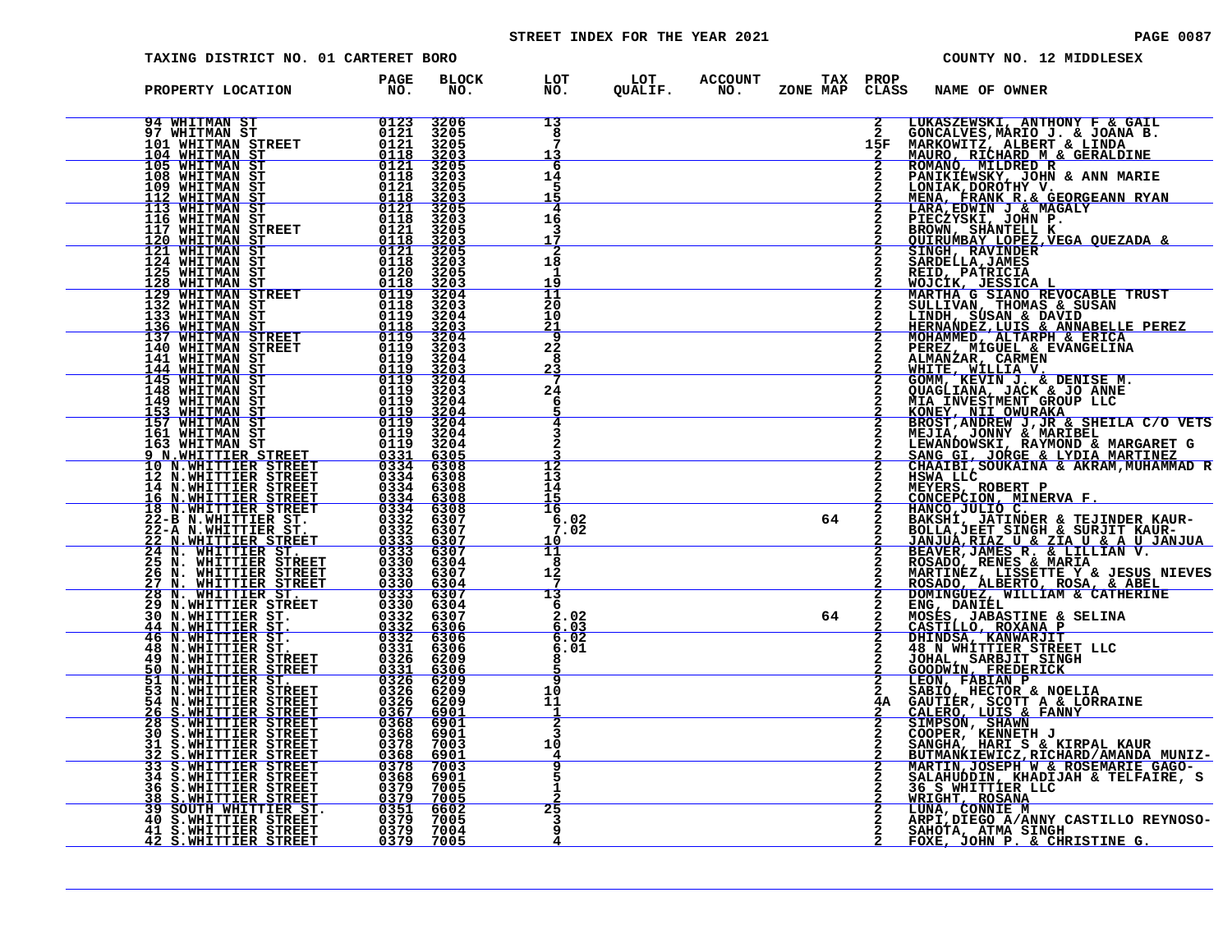# STREET INDEX FOR THE YEAR 2021 **PAGE 10087** PAGE 0087

| <b>TAXING DISTRICT NO. 01 CARTERET BORO</b>                                                                                                                                                                                                                        |                                                                                                                                                                                                                                                                                                        |                                                                             |                                               |                                      |          |                   |                                                    | COUNTY NO. 12 MIDDLESEX |                                                                                                                                                                                                                                                    |
|--------------------------------------------------------------------------------------------------------------------------------------------------------------------------------------------------------------------------------------------------------------------|--------------------------------------------------------------------------------------------------------------------------------------------------------------------------------------------------------------------------------------------------------------------------------------------------------|-----------------------------------------------------------------------------|-----------------------------------------------|--------------------------------------|----------|-------------------|----------------------------------------------------|-------------------------|----------------------------------------------------------------------------------------------------------------------------------------------------------------------------------------------------------------------------------------------------|
| PROPERTY LOCATION                                                                                                                                                                                                                                                  | <b>PAGE</b><br>$N\overline{O}$ .                                                                                                                                                                                                                                                                       | <b>BLOCK</b><br>NO.                                                         |                                               | LOT LOT ACCOUNT<br>NO. QUALIF. NO. Z | ZONE MAP | TAX PROP<br>CLASS | NAME OF OWNER                                      |                         |                                                                                                                                                                                                                                                    |
|                                                                                                                                                                                                                                                                    |                                                                                                                                                                                                                                                                                                        |                                                                             |                                               |                                      |          |                   |                                                    |                         |                                                                                                                                                                                                                                                    |
| $\begin{array}{cc} & & 0123 \ 0121 \ 0121 \ 0118 \ 0121 \ 0118 \ 0121 \ 0121 \ 0121 \ 0121 \ 0121 \ 0121 \ 0121 \ 0121 \ 01121 \ 01121 \end{array}$<br><b>94 WHITMAN ST</b><br><b>97 WHITMAN ST</b>                                                                |                                                                                                                                                                                                                                                                                                        | 3206                                                                        | 13<br>8                                       |                                      |          |                   |                                                    |                         | LUKASZEWSKI, ANTHONY F & GAIL<br>GONCALVES, MARIO J. & JOANA B.<br>MARKOWITZ, ALBERT & LINDA<br>MARKOWITZ, ALBERT & GERALDINE<br>ROMANO, MILDRED R & GERALDINE<br>HANKIK, DOROTHY V.<br>MENA, ERANK R. GEROGERANN RYAN<br>LARA, EDWIN J & MA       |
| 101 WHITMAN STREET<br>104 WHITMAN ST                                                                                                                                                                                                                               |                                                                                                                                                                                                                                                                                                        |                                                                             | 13                                            |                                      |          | 15F               |                                                    |                         |                                                                                                                                                                                                                                                    |
|                                                                                                                                                                                                                                                                    |                                                                                                                                                                                                                                                                                                        | 3205<br>3205<br>3205<br>3205<br>3203                                        | 6<br>14                                       |                                      |          |                   |                                                    |                         |                                                                                                                                                                                                                                                    |
|                                                                                                                                                                                                                                                                    |                                                                                                                                                                                                                                                                                                        | $\frac{3205}{3203}$                                                         | 5                                             |                                      |          |                   |                                                    |                         |                                                                                                                                                                                                                                                    |
| 105 WHITMAN ST<br>105 WHITMAN ST<br>108 WHITMAN ST<br>112 WHITMAN ST<br>113 WHITMAN ST<br>116 WHITMAN ST<br>116 WHITMAN ST<br>120 WHITMAN ST                                                                                                                       |                                                                                                                                                                                                                                                                                                        |                                                                             | 4                                             |                                      |          |                   |                                                    |                         |                                                                                                                                                                                                                                                    |
|                                                                                                                                                                                                                                                                    | 0118<br>0121                                                                                                                                                                                                                                                                                           | 3203<br>3205                                                                | 16<br>3                                       |                                      |          |                   |                                                    |                         |                                                                                                                                                                                                                                                    |
| 120 WHITMAN ST<br>121 WHITMAN ST<br>124 WHITMAN ST                                                                                                                                                                                                                 | $\begin{array}{r} 0121 \\ -0118 \\ 0112 \\ 0121 \\ 0120 \\ 0118 \\ 0112 \\ 01119 \\ 01119 \\ 01119 \\ 01119 \\ 01119 \\ 01119 \\ 01119 \\ 01119 \\ 01119 \\ 01119 \\ 01119 \\ 01119 \\ 01119 \\ 01119 \\ 01119 \\ 01119 \\ 01119 \\ 01119 \\ 01119 \\ 01119 \\ 01119 \\ 01119 \\ 01119 \\ 01119 \\ 01$ | $\frac{3203}{3205}$                                                         | 2                                             |                                      |          |                   |                                                    |                         |                                                                                                                                                                                                                                                    |
|                                                                                                                                                                                                                                                                    |                                                                                                                                                                                                                                                                                                        | 3205                                                                        | 18<br>1                                       |                                      |          |                   |                                                    |                         |                                                                                                                                                                                                                                                    |
|                                                                                                                                                                                                                                                                    |                                                                                                                                                                                                                                                                                                        | $\begin{array}{r}\n 3203 \\  3204 \\  3203 \\  3203 \\  3204\n\end{array}$  | $\frac{1\overline{9}}{11}$<br>$\frac{20}{10}$ |                                      |          |                   |                                                    |                         |                                                                                                                                                                                                                                                    |
|                                                                                                                                                                                                                                                                    |                                                                                                                                                                                                                                                                                                        |                                                                             |                                               |                                      |          |                   |                                                    |                         |                                                                                                                                                                                                                                                    |
|                                                                                                                                                                                                                                                                    |                                                                                                                                                                                                                                                                                                        | $3203$<br>$3204$                                                            | $\frac{21}{9}$                                |                                      |          |                   |                                                    |                         |                                                                                                                                                                                                                                                    |
|                                                                                                                                                                                                                                                                    |                                                                                                                                                                                                                                                                                                        |                                                                             | 22                                            |                                      |          |                   |                                                    |                         |                                                                                                                                                                                                                                                    |
|                                                                                                                                                                                                                                                                    |                                                                                                                                                                                                                                                                                                        |                                                                             | 8<br><u>23</u>                                |                                      |          |                   |                                                    |                         |                                                                                                                                                                                                                                                    |
|                                                                                                                                                                                                                                                                    |                                                                                                                                                                                                                                                                                                        | $\begin{array}{r} 3203 \\ 3204 \\ 3203 \\ 3204 \\ 3204 \\ 3203 \end{array}$ | 24                                            |                                      |          |                   |                                                    |                         |                                                                                                                                                                                                                                                    |
|                                                                                                                                                                                                                                                                    | $\frac{0119}{0119}$                                                                                                                                                                                                                                                                                    | $\frac{3204}{3204}$                                                         | 6                                             |                                      |          |                   |                                                    |                         |                                                                                                                                                                                                                                                    |
|                                                                                                                                                                                                                                                                    |                                                                                                                                                                                                                                                                                                        |                                                                             |                                               |                                      |          |                   |                                                    |                         |                                                                                                                                                                                                                                                    |
|                                                                                                                                                                                                                                                                    | $\frac{0119}{0119}$                                                                                                                                                                                                                                                                                    | $3204$<br>$3204$                                                            |                                               |                                      |          |                   |                                                    |                         |                                                                                                                                                                                                                                                    |
|                                                                                                                                                                                                                                                                    | 033314<br>03334444<br>0333444<br>0333444<br>033322                                                                                                                                                                                                                                                     | 6305<br>6308<br>6308                                                        | $\overline{12}$<br>īΞ                         |                                      |          |                   |                                                    |                         |                                                                                                                                                                                                                                                    |
|                                                                                                                                                                                                                                                                    |                                                                                                                                                                                                                                                                                                        | 6308                                                                        | 14                                            |                                      |          |                   |                                                    |                         |                                                                                                                                                                                                                                                    |
|                                                                                                                                                                                                                                                                    |                                                                                                                                                                                                                                                                                                        | <u>6308</u><br>6308                                                         | 15<br>16                                      |                                      |          |                   |                                                    |                         |                                                                                                                                                                                                                                                    |
|                                                                                                                                                                                                                                                                    |                                                                                                                                                                                                                                                                                                        | 6307<br>6307                                                                | 6.02<br>7.02                                  |                                      | 64       |                   |                                                    |                         |                                                                                                                                                                                                                                                    |
|                                                                                                                                                                                                                                                                    | $\frac{0333}{0333}$                                                                                                                                                                                                                                                                                    | $\frac{6307}{6307}$                                                         | 10<br>$\overline{11}$                         |                                      |          |                   |                                                    |                         |                                                                                                                                                                                                                                                    |
|                                                                                                                                                                                                                                                                    | 0330                                                                                                                                                                                                                                                                                                   | 6304<br>6307                                                                | 8<br>12                                       |                                      |          |                   |                                                    |                         |                                                                                                                                                                                                                                                    |
|                                                                                                                                                                                                                                                                    | $\begin{array}{r} 0333 \\ 0330 \\ \hline 0333 \\ \hline 0333 \\ \hline 0330 \end{array}$                                                                                                                                                                                                               | <u>6304</u><br>6307                                                         | 7<br>13                                       |                                      |          |                   |                                                    |                         |                                                                                                                                                                                                                                                    |
|                                                                                                                                                                                                                                                                    |                                                                                                                                                                                                                                                                                                        | 6304                                                                        | 6                                             |                                      |          |                   |                                                    |                         |                                                                                                                                                                                                                                                    |
|                                                                                                                                                                                                                                                                    | $0332$<br>$0332$<br>$0332$                                                                                                                                                                                                                                                                             | 6307<br>$\frac{6306}{6306}$                                                 | 2.02<br>$6.03$<br>$6.02$                      |                                      | 64       |                   |                                                    |                         |                                                                                                                                                                                                                                                    |
|                                                                                                                                                                                                                                                                    | 0331                                                                                                                                                                                                                                                                                                   | 6306                                                                        | 6.01                                          |                                      |          |                   |                                                    |                         |                                                                                                                                                                                                                                                    |
|                                                                                                                                                                                                                                                                    | 0326                                                                                                                                                                                                                                                                                                   | 6209                                                                        |                                               |                                      |          |                   |                                                    |                         |                                                                                                                                                                                                                                                    |
|                                                                                                                                                                                                                                                                    | $\frac{0331}{0326}$                                                                                                                                                                                                                                                                                    | 6306<br>6209<br>6209                                                        | 10                                            |                                      |          |                   |                                                    |                         |                                                                                                                                                                                                                                                    |
|                                                                                                                                                                                                                                                                    |                                                                                                                                                                                                                                                                                                        | 6209<br>6901                                                                | 11                                            |                                      |          | 4A                |                                                    |                         |                                                                                                                                                                                                                                                    |
|                                                                                                                                                                                                                                                                    | 03267<br>0367<br>0368<br>0378<br>0378                                                                                                                                                                                                                                                                  | 6901<br>6901                                                                |                                               |                                      |          |                   |                                                    |                         |                                                                                                                                                                                                                                                    |
|                                                                                                                                                                                                                                                                    |                                                                                                                                                                                                                                                                                                        | 7003                                                                        | 10                                            |                                      |          |                   |                                                    |                         |                                                                                                                                                                                                                                                    |
| 120 MHTMAN ST<br>121 WHITMAN ST<br>121 WHITMAN ST<br>125 WHITMAN STREET<br>125 WHITMAN STREET<br>122 WHITMAN STREET<br>129 WHITMAN STREET<br>133 WHITMAN STREET<br>133 WHITMAN STREET<br>144 WHITMAN STREET<br>144 WHITMAN STREET<br>144 WHITMAN STREET<br>144 WHI | 0368                                                                                                                                                                                                                                                                                                   | $\frac{6901}{7003}$                                                         | q                                             |                                      |          |                   |                                                    |                         | CHAATBI, SOUKAINA & AKRAM, MUHAMMAD R<br>HSWA LLCC<br>MEXECION, MINERVA F.<br>CONCEPCION, MINERVA F.<br>BAKSHI, JATINDER & TEJINDER KAUR-<br>BAKSHI, JATINDER & TEJINDER KAUR-<br>JANJUA, REAT SINGH & SURJIT KAUR-<br>JANJUA, REAT SINGH & SURJIT |
|                                                                                                                                                                                                                                                                    | 0368<br>0379<br>0379                                                                                                                                                                                                                                                                                   | 6901<br>7005                                                                |                                               |                                      |          |                   |                                                    |                         |                                                                                                                                                                                                                                                    |
| <b>334 S.WHITTIER STREET<br/> 36 S.WHITTIER STREET<br/> 38 S.WHITTIER STREET<br/> 39 SOUTH WHITTIER ST.<br/> 40 S.WHITTIER STREET<br/> 40 S.WHITTIER STREET</b>                                                                                                    |                                                                                                                                                                                                                                                                                                        | 7005                                                                        | $\overline{25}$                               |                                      |          |                   |                                                    |                         |                                                                                                                                                                                                                                                    |
|                                                                                                                                                                                                                                                                    | 0351<br>0379 7004                                                                                                                                                                                                                                                                                      | 6602<br>7005                                                                | 3                                             |                                      |          |                   |                                                    |                         |                                                                                                                                                                                                                                                    |
| 41 S.WHITTIER STREET<br>42 S.WHITTIER STREET                                                                                                                                                                                                                       | 0379 7005                                                                                                                                                                                                                                                                                              |                                                                             |                                               |                                      |          |                   | SAHOTA, ATMA SINGH<br>FOXE, JOHN P. & CHRISTINE G. |                         |                                                                                                                                                                                                                                                    |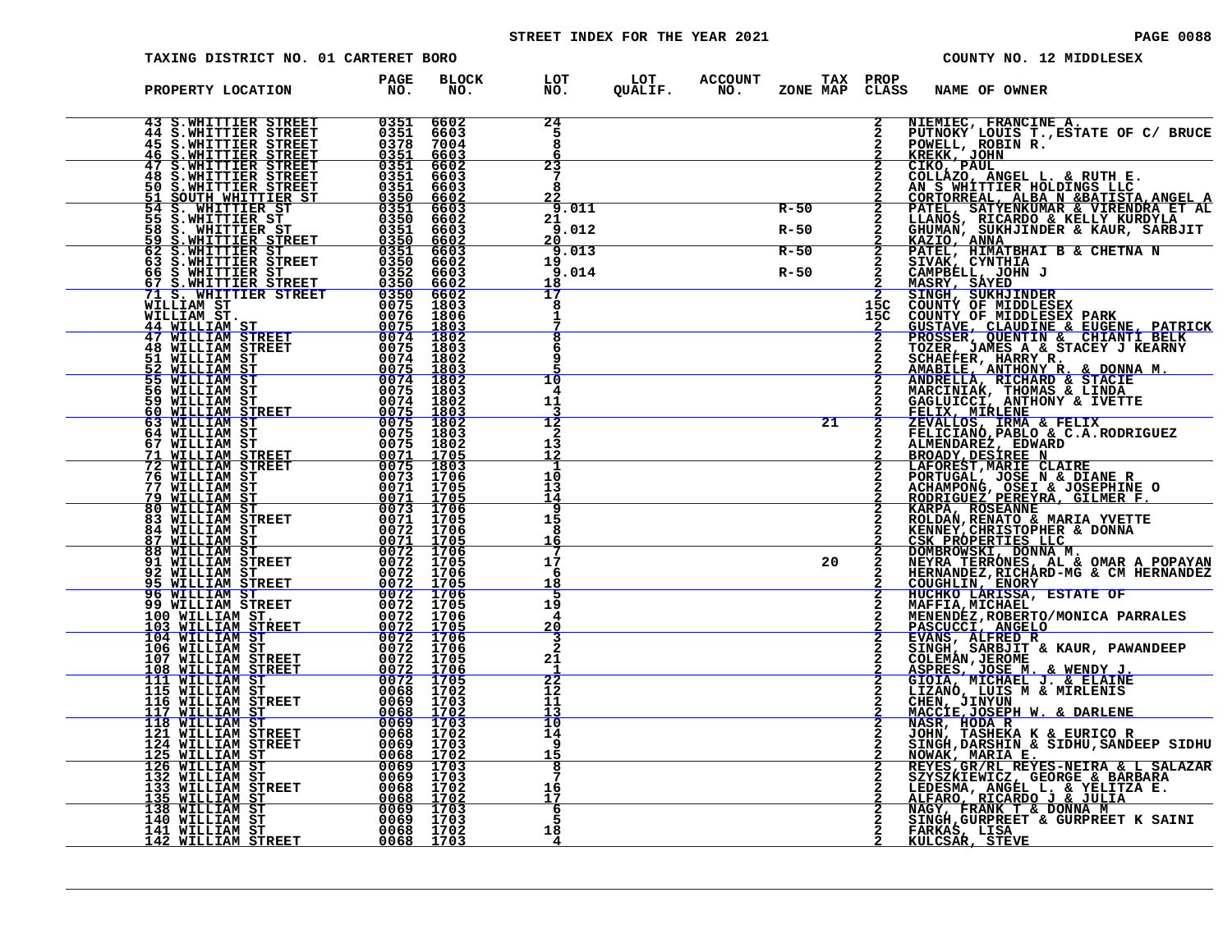# STREET INDEX FOR THE YEAR 2021 **PAGE 10088** PAGE 0088

| TAXING DISTRICT NO. 01 CARTERET BORO                                                                                                                                                                                                                                                                                                                                                                 |                                          |                                           |                                      |                            |                             |            | COUNTY NO. 12 MIDDLESEX                                                                                                                                                                                                                                        |
|------------------------------------------------------------------------------------------------------------------------------------------------------------------------------------------------------------------------------------------------------------------------------------------------------------------------------------------------------------------------------------------------------|------------------------------------------|-------------------------------------------|--------------------------------------|----------------------------|-----------------------------|------------|----------------------------------------------------------------------------------------------------------------------------------------------------------------------------------------------------------------------------------------------------------------|
| PROPERTY LOCATION                                                                                                                                                                                                                                                                                                                                                                                    | PAGE<br>NO.                              | <b>BLOCK</b><br>NO.                       | LOT<br>NO.                           | LOT ACCOUNT<br>QUALIF. NO. | <b>TAX PROP</b><br>ZONE MAP | CLASS      | <b>NAME OF OWNER</b>                                                                                                                                                                                                                                           |
| 43 S.WHITTIER STREET<br>44 S.WHITTIER STREET<br>45 S.WHITTIER STREET<br><b>46 S.WHITTIER STREET</b>                                                                                                                                                                                                                                                                                                  | 0351<br>0351<br>0378<br><u>0351</u>      | 6602<br>6603<br>7004<br>6603              | 24<br>5<br>8                         |                            |                             |            | NIEMIEC, FRANCINE A.<br>PUTNOKY LOUIS T., ESTATE OF C/ BRUCE<br>POWELL, ROBIN R.<br>KREKK, JOHN                                                                                                                                                                |
| 47 S.WHITTIER STREET<br>48 S.WHITTIER STREET<br>50 S.WHITTIER STREET<br><u>51 SOUTH WHITTIER ST</u><br>54 S. WHITTIER ST                                                                                                                                                                                                                                                                             | 0351<br>0351<br>0351<br>$0350$<br>$0351$ | 6602<br>6603<br>6603<br>$rac{6602}{6603}$ | 23<br>7<br>я                         |                            |                             |            | CIKO, PAUL<br>COLLAZO, ANGEL L. & RUTH E.<br>AN S WHITTIER HOLDINGS LLC<br>CORTORREAL, ALBA N & BATISTA, ANGEL A<br>PATEL, SATYENKUMAR & VIRENDRA ET AL                                                                                                        |
| 55 S.WHITTIER ST                                                                                                                                                                                                                                                                                                                                                                                     | 0350<br>0351                             | 6602                                      | 9.011<br>21<br>9.012<br>20           |                            | $R-50$<br>$R-50$            |            | LLANOS, RICARDO & KELLY KURDYLA<br>GHUMAN, SUKHJINDER & KAUR, SARBJIT<br>KAZIO, ANNA                                                                                                                                                                           |
|                                                                                                                                                                                                                                                                                                                                                                                                      |                                          |                                           | 9<br>.013<br>19<br>9.014<br>18<br>17 |                            | $R-50$<br>$R-50$            |            | PATEL, HIMATBHAI B & CHETNA N<br>SIVAK, CYNTHIA<br>CAMPBELL, JOHN J<br>MASRY, SAYED                                                                                                                                                                            |
| 63 S.WHITTIER STREET 0350 660<br>63 S.WHITTIER STREET 0350 660.<br>66 S.WHITTIER STREET 0350 6602<br>67 S.WHITTIER STREET 0350 6602<br>71 S. WHITTIER STREET 0350 6602<br>71 S. WHITTIER STREET 0350 6602<br>71 S. WHITTIER STREET 0350 66                                                                                                                                                           |                                          |                                           | 8                                    |                            |                             | 15C<br>15C | SINGH, SUKHJINDER<br>COUNTY OF MIDDLESEX<br>COUNTY OF MIDDLESEX PARK                                                                                                                                                                                           |
| $\begin{array}{r rrrr} & & 0075 & 1803 \\ \hline & 0074 & 1802 \\ \hline & 0074 & 1802 \\ \hline & 0075 & 1803 \\ \hline & 0075 & 1803 \\ \hline & 0075 & 1803 \\ \hline & 0075 & 1803 \\ \hline & 0075 & 1802 \\ \hline & 0075 & 1802 \\ \hline & 0075 & 1802 \\ \hline & 0075 & 1802 \\ \hline & 0071 & 1705 \end{array}$                                                                          |                                          |                                           | 10<br>4                              |                            |                             |            | CUSTAVE, CLAUDINE & EUGENE, PATRICK<br>PROSSER, QUENTIN & CHIANTI BELK<br>TOZER, JAMES A & STACEY J KEARNY<br>SCHAEFER, HARRY R.<br>AMABILE, ANTHONY R. & DONNA M.                                                                                             |
| 59 WILLIAM ST<br>60 WILLIAM STREET<br>63 WILLIAM ST<br>64 WILLIAM ST<br>67 WILLIAM ST                                                                                                                                                                                                                                                                                                                |                                          |                                           | 11<br>12<br>2<br>13                  |                            | 21                          |            | ANDRELLA, RICHARD & STACIE<br>MARCINIAK, THOMAS & LINDA<br>GAGLUUCCI, ANTHONY & IVETTE<br>FELIX, MIRLENE<br>ZEVALLOS, IRMA & FELIX<br>TELICIANO, PABLO, & C.A.RODRIGUEZ<br>FELICIANO, PABLO, & C.A.RODRIGUEZ<br>ALMENDAREZ, EDWARD                             |
| <b>71 WILLIAM STREET 80071 1705<br/> 72 WILLIAM STREET 80075 1803<br/> 76 WILLIAM STREET 80075 1803<br/> 77 WILLIAM ST 80071 1705<br/> 79 WILLIAM ST 8071 1705</b><br>77 WILLIAM ST<br><u>79 WILLIAM ST</u>                                                                                                                                                                                          |                                          |                                           | 12<br>-1<br>10<br>13                 |                            |                             |            | BROADY, DESIREE N<br>LAFOREST, MARIE CLAIRE<br>PORTUGAL, JOSE N & DIANE R<br>ACHAMPONG, OSEI & JOSEPHINE O<br>RODRIGUEZ PEREYRA, GILMER F.                                                                                                                     |
| $\begin{array}{r} 180\bar{3} \\ 007\bar{3} \\ 170\bar{5} \\ 0071 \\ -2071 \\ -1705 \\ -2073 \\ -1705 \\ -20071 \\ -1705 \\ -20072 \\ -1705 \\ -1705 \\ -1705 \\ -1705 \\ -1705 \\ -1705 \\ -1705 \\ -1705 \\ -1705 \\ -1705 \\ -1705 \\ -1705 \\ -1705 \\ -1705 \\ -1705 \\ -1705 \\ -1705 \\ -1705 \\ -1705 \\ -1705 \\ -1705 \\ -1705 \\ -$<br>80 WILLIAM ST<br>83 WILLIAM STREET<br>84 WILLIAM ST |                                          |                                           | 14<br>9<br>15<br>8<br>16             |                            |                             |            | KARPA, ROSEANNE                                                                                                                                                                                                                                                |
| 84 WILLIAM ST<br>87 WILLIAM ST<br>88 WILLIAM ST<br>91 WILLIAM ST<br>91 WILLIAM STREET<br>92 WILLIAM STREET<br>95 WILLIAM STREET<br>96 WILLIAM STREET<br>96 WILLIAM STREET<br>90 WILLIAM STREET<br>90 WILLIAM STREET<br>90 WILLIAM STREET<br>90 WILLIAM                                                                                                                                               |                                          |                                           | 17<br>6<br>18                        |                            | 20                          |            | AGLDAN RUSBANNE<br>KENNEY, CHRISTOPHER & DONNA<br>CSK PROPERTIES LLC<br>COMBROWSKI, DONNA M.<br>DOMBROWSKI, DONNA M.<br>NEYRA TERRONES, AL & OMAR A POPAYAN<br>HERNANDEZ, RICHARD-MG & CM HERNANDEZ<br>HERNANDEZ, RICHARD-MG & CM HERNANDEZ<br>COUGHLIN, ENORY |
|                                                                                                                                                                                                                                                                                                                                                                                                      |                                          |                                           | 5<br>19<br>4<br><u> 20</u><br>3      |                            |                             |            | HUCHKO LARISSA, ESTATE OF MAFFIA, MICHAEL<br>MENENDEZ, ROBERTO/MONICA PARRALES<br><b>PASCUCCI, ANGELO</b><br>EVANS, ALFRED R                                                                                                                                   |
| $\begin{array}{r}0072\\ \hline 0072\\ 1705\\ 0072\\ 1706\\ 0072\\ 1706\\ 0068\\ 1702\\ 0068\\ 1702\\ 0069\\ 1703\\ 0069\\ 170\\ 170\\ 170\\ \hline \end{array}$<br>106 WILLIAM ST<br>107 WILLIAM STREET<br>108 WILLIAM STREET<br>111 WILLIAM ST<br>115 WILLIAM ST<br>115 WILLIAM ST                                                                                                                  |                                          |                                           | 21<br>22                             |                            |                             |            | SINGH, SARBJIT & KAUR, PAWANDEEP<br><b>COLEMÁN, JEROME</b><br>ASPRES, JOSE M. & WENDY J.<br>GIOIA, MICHAEL J. & ELAINE                                                                                                                                         |
| 107 WILLIAM SIREET<br>108 MILLIAM STREET<br>111 WILLIAM ST<br>115 WILLIAM ST<br>116 WILLIAM STREET<br>117 WILLIAM STREET<br>117 WILLIAM ST<br>117 WILLIAM ST<br>117 WILLIAM ST<br>118 WILLIAM ST<br>118 WILLIAM ST<br>118 WILLIAM ST<br>10068 1702<br>00                                                                                                                                             |                                          |                                           | 12<br>11<br>13<br>10<br>14           |                            |                             |            | LIZANO, LUIS M & MIRLENIS<br>CHEN, JINYUN<br>MACCIE, JOSEPH W. & DARLENE<br>NASR, HODA R<br>JOHN, TASHEKA K & EURICO R<br>SINGH, DARSHIN_& SIDHU, SANDEEP SIDHU                                                                                                |
| $\begin{array}{r} 0068 & 1702 \ 0069 & 1703 \ 00689 & 1702 \ 00689 & 1702 \ 00689 & 1702 \ 00688 & 1703 \ 00689 & 1703 \ 00688 & 1702 \ 00689 & 1703 \ 00689 & 1703 \ 0069 & 1703 \ 0068 & 1702 \ \end{array}$<br>121 WILLIAM STREET<br>124 WILLIAM STREET<br>125 WILLIAM ST<br>126 WILLIAM ST<br>132 WILLIAM ST                                                                                     |                                          |                                           | 9<br>15<br>8                         |                            |                             |            | <u>NOWAK, MARIA E.</u><br>REYES, GR/RL REYES-NEIRA & L SALAZAR                                                                                                                                                                                                 |
| 133 WILLIAM STREET<br>135 WILLIAM ST<br>138 WILLIAM ST<br>140 WILLIAM ST<br>141 WILLIAM ST                                                                                                                                                                                                                                                                                                           |                                          | 0068 1702                                 | 16<br>17<br>6<br>5<br>18             |                            |                             |            | SZYSZKIEWICZ, GEORGE & BARBARA<br>LEDESMA, ANGEL L. & YELITZA E.<br>ALFARO, RICARDO J & JULIA<br>MAGY, FRANK T & DONNA M<br>SINGH, GURPREET & GURPREET K SAINI                                                                                                 |
| 142 WILLIAM STREET                                                                                                                                                                                                                                                                                                                                                                                   |                                          | 0068 1703                                 | 4                                    |                            |                             |            | FARKAS, LISA<br><u>KULCSAR, STEVE</u>                                                                                                                                                                                                                          |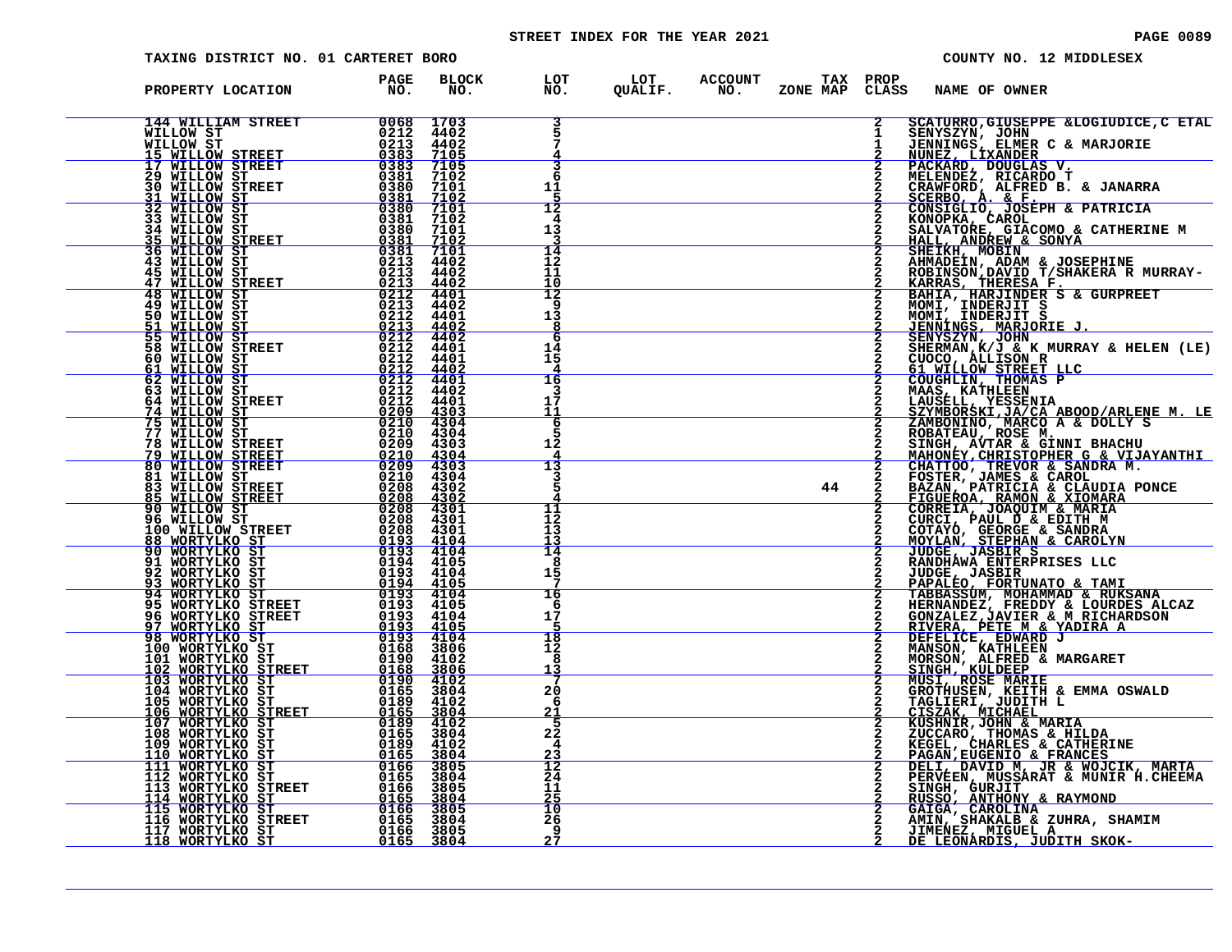# STREET INDEX FOR THE YEAR 2021 **PAGE 10089** PAGE 0089

| TAXING DISTRICT NO. 01 CARTERET BORO                                                                                                                                                                                                                                                                                                                                                                          |             |                     |                                                           |  |    |                |                      | COUNTY NO. 12 MIDDLESEX                                                                                                                                                                                                                                                          |
|---------------------------------------------------------------------------------------------------------------------------------------------------------------------------------------------------------------------------------------------------------------------------------------------------------------------------------------------------------------------------------------------------------------|-------------|---------------------|-----------------------------------------------------------|--|----|----------------|----------------------|----------------------------------------------------------------------------------------------------------------------------------------------------------------------------------------------------------------------------------------------------------------------------------|
| PROPERTY LOCATION<br>${\small \begin{tabular}{@{}c c@{}}\textbf{PROOFARY: LOCATION} & \textbf{PAGE} & \textbf{BLOC} \\ \textbf{M14WILLTANN STREET} & 00668 & 1703 \\ \textbf{M1LLOW STREET} & 00668 & 1703 \\ \textbf{M1LLOW STREET} & 00668 & 1703 \\ \textbf{M1LLOW STREET} & 00668 & 1703 \\ \textbf{M1LLOW STREET} & 02213 & 44002 \\ \textbf{M1LLOW STREET} & 02383 & 71038 \\ \textbf{M1LLOW STREET} &$ | PAGE<br>NO. | <b>BLOCK</b><br>NO. | LOT LOT ACCOUNT TAX PROP<br>NO. QUALIF. NO. ZONE_MAPCLASS |  |    |                | <b>NAME OF OWNER</b> |                                                                                                                                                                                                                                                                                  |
|                                                                                                                                                                                                                                                                                                                                                                                                               |             |                     | 3                                                         |  |    | $\mathbf{2}$   |                      | SCATURRO, GIUSEPPE & LOGIUDICE, C ETAL                                                                                                                                                                                                                                           |
|                                                                                                                                                                                                                                                                                                                                                                                                               |             |                     |                                                           |  |    |                |                      | SENYSZYN, JOHN - GEOGLOBER,<br>JENNINGS, ELMER C & MARJORIE<br>NUMEZ, LIXANDER<br>PACKARD, DOUGLAS V.<br>MELENDEZ, RICARDO T                                                                                                                                                     |
|                                                                                                                                                                                                                                                                                                                                                                                                               |             |                     | 3                                                         |  |    | $\overline{2}$ |                      |                                                                                                                                                                                                                                                                                  |
|                                                                                                                                                                                                                                                                                                                                                                                                               |             |                     |                                                           |  |    |                |                      |                                                                                                                                                                                                                                                                                  |
|                                                                                                                                                                                                                                                                                                                                                                                                               |             |                     | 11                                                        |  |    |                |                      | CRAWFORD, ALFRED B. & JANARRA<br>MENDEZ, ATCHANNED B. & JANARRA<br>SCERBO, A. & F.<br>CONSIGLIO, JOSEPH & PATRICIA<br>SCERBO, A. & F.<br>CONSIGLIO, JOSEPH & PATRICIA<br>SALVATORE, GIACOMO & CATHERINE M<br>HALL, ANDREW & SONYA<br>SHELKH, MOBIN<br>SHELKH, MOBIN<br>AHMADEIN, |
|                                                                                                                                                                                                                                                                                                                                                                                                               |             |                     | 12                                                        |  |    |                |                      |                                                                                                                                                                                                                                                                                  |
|                                                                                                                                                                                                                                                                                                                                                                                                               |             |                     | 4<br>13                                                   |  |    |                |                      |                                                                                                                                                                                                                                                                                  |
|                                                                                                                                                                                                                                                                                                                                                                                                               |             |                     |                                                           |  |    |                |                      |                                                                                                                                                                                                                                                                                  |
|                                                                                                                                                                                                                                                                                                                                                                                                               |             |                     | 14<br>12                                                  |  |    |                |                      |                                                                                                                                                                                                                                                                                  |
|                                                                                                                                                                                                                                                                                                                                                                                                               |             |                     | 11                                                        |  |    |                |                      |                                                                                                                                                                                                                                                                                  |
|                                                                                                                                                                                                                                                                                                                                                                                                               |             |                     | 10<br>12                                                  |  |    | 2              |                      |                                                                                                                                                                                                                                                                                  |
|                                                                                                                                                                                                                                                                                                                                                                                                               |             |                     | 9                                                         |  |    |                |                      |                                                                                                                                                                                                                                                                                  |
|                                                                                                                                                                                                                                                                                                                                                                                                               |             |                     | 13                                                        |  |    | $\mathbf{2}$   |                      |                                                                                                                                                                                                                                                                                  |
|                                                                                                                                                                                                                                                                                                                                                                                                               |             |                     | 6                                                         |  |    |                |                      |                                                                                                                                                                                                                                                                                  |
|                                                                                                                                                                                                                                                                                                                                                                                                               |             |                     | 14<br>15                                                  |  |    |                |                      |                                                                                                                                                                                                                                                                                  |
|                                                                                                                                                                                                                                                                                                                                                                                                               |             |                     |                                                           |  |    |                |                      |                                                                                                                                                                                                                                                                                  |
|                                                                                                                                                                                                                                                                                                                                                                                                               |             |                     | 16                                                        |  |    |                |                      |                                                                                                                                                                                                                                                                                  |
|                                                                                                                                                                                                                                                                                                                                                                                                               |             |                     | 17<br>11                                                  |  |    |                |                      |                                                                                                                                                                                                                                                                                  |
|                                                                                                                                                                                                                                                                                                                                                                                                               |             |                     | 6                                                         |  |    |                |                      |                                                                                                                                                                                                                                                                                  |
|                                                                                                                                                                                                                                                                                                                                                                                                               |             |                     | 12                                                        |  |    |                |                      |                                                                                                                                                                                                                                                                                  |
|                                                                                                                                                                                                                                                                                                                                                                                                               |             |                     |                                                           |  |    |                |                      |                                                                                                                                                                                                                                                                                  |
|                                                                                                                                                                                                                                                                                                                                                                                                               |             |                     | 13                                                        |  |    |                |                      |                                                                                                                                                                                                                                                                                  |
|                                                                                                                                                                                                                                                                                                                                                                                                               |             |                     |                                                           |  | 44 |                |                      |                                                                                                                                                                                                                                                                                  |
|                                                                                                                                                                                                                                                                                                                                                                                                               |             |                     | 11                                                        |  |    |                |                      | COUGHLIN, THOMAS P<br>MANS, KATHLEEN<br>LAUSELL, YESSENIA<br>SZMBONINO, MARCO A & DOLLY S<br>ROBATEJ, YESSENIA (2A ABOOD/ARLENE M. LE<br>ROBATEAU, ROSE M.<br>NAHONEY, CHRISTOPHER G & VIJAYANTHI<br>CHATTOO, TREVOR & SANDRA M.<br>MAHONEY, C                                   |
|                                                                                                                                                                                                                                                                                                                                                                                                               |             |                     | 12                                                        |  |    |                |                      |                                                                                                                                                                                                                                                                                  |
|                                                                                                                                                                                                                                                                                                                                                                                                               |             |                     | 13<br>$\frac{13}{14}$                                     |  |    |                |                      |                                                                                                                                                                                                                                                                                  |
|                                                                                                                                                                                                                                                                                                                                                                                                               |             |                     | 8                                                         |  |    |                |                      |                                                                                                                                                                                                                                                                                  |
|                                                                                                                                                                                                                                                                                                                                                                                                               |             |                     | 15                                                        |  |    |                |                      |                                                                                                                                                                                                                                                                                  |
|                                                                                                                                                                                                                                                                                                                                                                                                               |             |                     | 16                                                        |  |    |                |                      |                                                                                                                                                                                                                                                                                  |
|                                                                                                                                                                                                                                                                                                                                                                                                               |             |                     | -6                                                        |  |    |                |                      |                                                                                                                                                                                                                                                                                  |
|                                                                                                                                                                                                                                                                                                                                                                                                               |             |                     | 17                                                        |  |    |                |                      |                                                                                                                                                                                                                                                                                  |
|                                                                                                                                                                                                                                                                                                                                                                                                               |             |                     | 18                                                        |  |    |                |                      |                                                                                                                                                                                                                                                                                  |
|                                                                                                                                                                                                                                                                                                                                                                                                               |             |                     | 12<br>8                                                   |  |    |                |                      |                                                                                                                                                                                                                                                                                  |
|                                                                                                                                                                                                                                                                                                                                                                                                               |             |                     | <u> 13</u>                                                |  |    |                |                      |                                                                                                                                                                                                                                                                                  |
|                                                                                                                                                                                                                                                                                                                                                                                                               |             |                     | 20                                                        |  |    | $\frac{2}{2}$  |                      |                                                                                                                                                                                                                                                                                  |
|                                                                                                                                                                                                                                                                                                                                                                                                               |             |                     | -6<br>21                                                  |  |    |                |                      |                                                                                                                                                                                                                                                                                  |
|                                                                                                                                                                                                                                                                                                                                                                                                               |             |                     | -5                                                        |  |    | $\mathbf{2}$   |                      |                                                                                                                                                                                                                                                                                  |
|                                                                                                                                                                                                                                                                                                                                                                                                               |             |                     | $2\overline{2}$<br>4                                      |  |    |                |                      |                                                                                                                                                                                                                                                                                  |
|                                                                                                                                                                                                                                                                                                                                                                                                               |             |                     | $\frac{23}{12}$                                           |  |    |                |                      |                                                                                                                                                                                                                                                                                  |
|                                                                                                                                                                                                                                                                                                                                                                                                               |             |                     | 24                                                        |  |    |                |                      |                                                                                                                                                                                                                                                                                  |
|                                                                                                                                                                                                                                                                                                                                                                                                               |             |                     | 11                                                        |  |    |                |                      |                                                                                                                                                                                                                                                                                  |
|                                                                                                                                                                                                                                                                                                                                                                                                               |             |                     | 25<br>10                                                  |  |    |                |                      |                                                                                                                                                                                                                                                                                  |
|                                                                                                                                                                                                                                                                                                                                                                                                               |             |                     | 26                                                        |  |    |                |                      |                                                                                                                                                                                                                                                                                  |
|                                                                                                                                                                                                                                                                                                                                                                                                               |             |                     | -9<br>27                                                  |  |    |                |                      | CISZAK, MICHAEL<br>KUSHNIR,JOHN & MARIA<br>ZUCCARO, THOMAS & HILDA<br>KEGEL, CHARLES & CATHERINE<br>PAGAN,EUGENIO & FRANCES<br>DELI, DAVID M, JR & WOJCIK, MARTA<br>PERVÉEN, MUSSÁRAT & MUNIR H.CHEEMA<br>SINGH, GURJIT<br>MUSSO, ANTHONY & RAYMOND<br>GA                        |
|                                                                                                                                                                                                                                                                                                                                                                                                               |             |                     |                                                           |  |    |                |                      |                                                                                                                                                                                                                                                                                  |